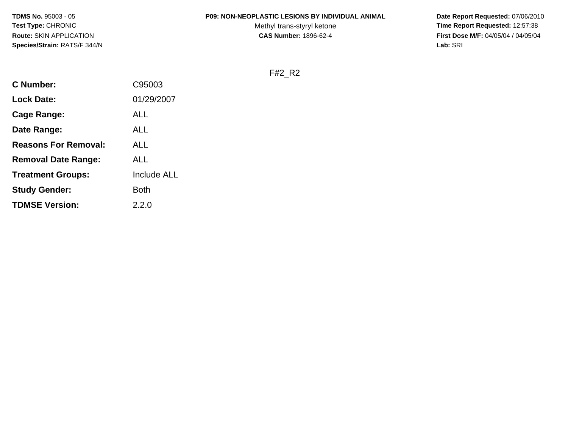#### **P09: NON-NEOPLASTIC LESIONS BY INDIVIDUAL ANIMAL**

Methyl trans-styryl ketone<br>CAS Number: 1896-62-4

 **Date Report Requested:** 07/06/2010 **Time Report Requested:** 12:57:38 **First Dose M/F:** 04/05/04 / 04/05/04<br>Lab: SRI **Lab:** SRI

F#2\_R2

| <b>C</b> Number:            | C95003             |
|-----------------------------|--------------------|
| <b>Lock Date:</b>           | 01/29/2007         |
| Cage Range:                 | ALL                |
| Date Range:                 | ALL                |
| <b>Reasons For Removal:</b> | ALL                |
| <b>Removal Date Range:</b>  | ALL                |
| <b>Treatment Groups:</b>    | <b>Include ALL</b> |
| <b>Study Gender:</b>        | Both               |
| <b>TDMSE Version:</b>       | 2.2.0              |
|                             |                    |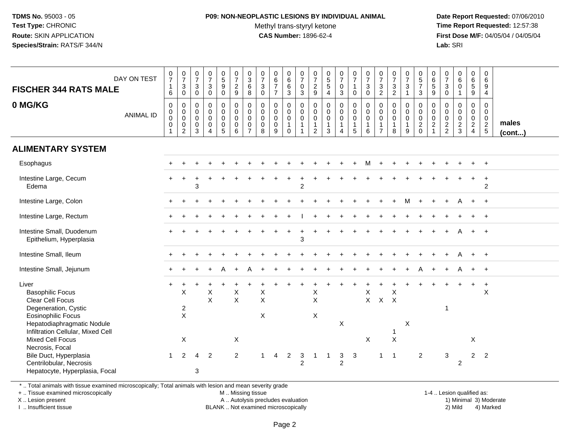## **P09: NON-NEOPLASTIC LESIONS BY INDIVIDUAL ANIMAL**

Methyl trans-styryl ketone<br>CAS Number: 1896-62-4

 **Date Report Requested:** 07/06/2010 **Time Report Requested:** 12:57:38 **First Dose M/F:** 04/05/04 / 04/05/04<br>**Lab:** SRI **Lab:** SRI

| <b>FISCHER 344 RATS MALE</b>                                                                                                                                                 | DAY ON TEST      | $\frac{0}{7}$<br>$\mathbf{1}$<br>6         | $\frac{0}{7}$<br>$\ensuremath{\mathsf{3}}$<br>$\mathbf 0$    | $\frac{0}{7}$<br>3<br>$\mathbf 0$                             | $\begin{array}{c} 0 \\ 7 \end{array}$<br>$\sqrt{3}$<br>$\Omega$  | $\begin{array}{c} 0 \\ 5 \end{array}$<br>9<br>$\mathbf 0$ | $\begin{array}{c} 0 \\ 7 \end{array}$<br>$\frac{2}{9}$        | $_{3}^{\rm 0}$<br>6<br>8                                                   | $\frac{0}{7}$<br>$\mathbf{3}$<br>$\Omega$ | $\begin{array}{c} 0 \\ 6 \end{array}$<br>$\overline{7}$<br>$\overline{7}$ | $\begin{array}{c} 0 \\ 6 \end{array}$<br>$\,6\,$<br>$\mathbf{3}$ | $\frac{0}{7}$<br>$\mathbf 0$<br>$\mathbf{3}$                                             | $\frac{0}{7}$<br>$\frac{2}{9}$                                              | $\begin{array}{c} 0 \\ 5 \end{array}$<br>$\sqrt{5}$<br>$\overline{4}$ | $\frac{0}{7}$<br>$\pmb{0}$<br>3                          | $\frac{0}{7}$<br>$\mathbf{1}$<br>$\mathbf 0$                        | $\frac{0}{7}$<br>$\sqrt{3}$<br>$\Omega$                        | $\frac{0}{7}$<br>$\mathbf{3}$<br>$\overline{2}$                             | $\frac{0}{7}$<br>$\frac{3}{2}$                                 | $\frac{0}{7}$<br>3<br>$\mathbf 1$                               | $\begin{array}{c} 0 \\ 5 \\ 7 \end{array}$<br>3 | $\begin{array}{c} 0 \\ 6 \end{array}$<br>$\sqrt{5}$<br>9                            | $\frac{0}{7}$<br>$\mathbf{3}$<br>$\mathbf 0$ | $\begin{array}{c} 0 \\ 6 \end{array}$<br>$\mathbf 0$<br>$\overline{1}$ | $\begin{matrix} 0 \\ 6 \end{matrix}$<br>5<br>9                      | $\mathbf 0$<br>$\,6\,$<br>9<br>$\overline{4}$                        |                 |
|------------------------------------------------------------------------------------------------------------------------------------------------------------------------------|------------------|--------------------------------------------|--------------------------------------------------------------|---------------------------------------------------------------|------------------------------------------------------------------|-----------------------------------------------------------|---------------------------------------------------------------|----------------------------------------------------------------------------|-------------------------------------------|---------------------------------------------------------------------------|------------------------------------------------------------------|------------------------------------------------------------------------------------------|-----------------------------------------------------------------------------|-----------------------------------------------------------------------|----------------------------------------------------------|---------------------------------------------------------------------|----------------------------------------------------------------|-----------------------------------------------------------------------------|----------------------------------------------------------------|-----------------------------------------------------------------|-------------------------------------------------|-------------------------------------------------------------------------------------|----------------------------------------------|------------------------------------------------------------------------|---------------------------------------------------------------------|----------------------------------------------------------------------|-----------------|
| 0 MG/KG                                                                                                                                                                      | <b>ANIMAL ID</b> | $\mathbf 0$<br>0<br>$\mathbf 0$<br>0<br>-1 | 0<br>$\pmb{0}$<br>$\mathbf 0$<br>$\pmb{0}$<br>$\overline{2}$ | $\mathbf 0$<br>$\mathbf 0$<br>$\mathbf 0$<br>$\mathbf 0$<br>3 | $\mathbf 0$<br>$\mathbf 0$<br>$\mathbf 0$<br>0<br>$\overline{4}$ | 0<br>$\mathbf 0$<br>$\pmb{0}$<br>$\pmb{0}$<br>5           | $\mathbf 0$<br>$\mathbf 0$<br>$\mathbf 0$<br>$\mathbf 0$<br>6 | $\mathbf 0$<br>$\mathbf 0$<br>$\mathbf 0$<br>$\mathbf 0$<br>$\overline{7}$ | $\mathbf 0$<br>0<br>$\pmb{0}$<br>0<br>8   | $\mathbf 0$<br>$\pmb{0}$<br>$\pmb{0}$<br>$\mathbf 0$<br>9                 | 0<br>0<br>$\mathbf 0$<br>$\mathbf{1}$<br>$\Omega$                | $\overline{0}$<br>$\boldsymbol{0}$<br>$\overline{0}$<br>$\overline{1}$<br>$\overline{1}$ | $\mathbf 0$<br>$\mathbf 0$<br>$\mathbf 0$<br>$\mathbf{1}$<br>$\overline{2}$ | 0<br>$\pmb{0}$<br>$\mathbf 0$<br>$\mathbf{1}$<br>3                    | $\pmb{0}$<br>$\pmb{0}$<br>$\pmb{0}$<br>$\mathbf{1}$<br>4 | $\mathbf 0$<br>$\overline{0}$<br>$\mathbf 0$<br>$\overline{1}$<br>5 | $\mathbf 0$<br>$\mathbf 0$<br>$\mathbf 0$<br>$\mathbf{1}$<br>6 | $\mathbf 0$<br>$\mathbf 0$<br>$\mathbf 0$<br>$\mathbf{1}$<br>$\overline{7}$ | $\mathbf 0$<br>$\mathbf 0$<br>$\mathbf 0$<br>$\mathbf{1}$<br>8 | $\mathbf{0}$<br>$\mathbf 0$<br>$\mathbf 0$<br>$\mathbf{1}$<br>9 | 0<br>$\mathbf 0$<br>$\pmb{0}$<br>$\frac{2}{0}$  | $\mathbf 0$<br>$\mathbf 0$<br>$\mathbf 0$<br>$\overline{c}$<br>$\blacktriangleleft$ | 0<br>0<br>$\mathbf 0$<br>$\frac{2}{2}$       | $\mathbf 0$<br>$\mathbf 0$<br>$\mathbf 0$<br>$\frac{2}{3}$             | $\mathbf 0$<br>0<br>$\mathbf 0$<br>$\overline{2}$<br>$\overline{4}$ | 0<br>$\mathbf 0$<br>$\mathbf 0$<br>$\overline{2}$<br>$5\phantom{.0}$ | males<br>(cont) |
| <b>ALIMENTARY SYSTEM</b>                                                                                                                                                     |                  |                                            |                                                              |                                                               |                                                                  |                                                           |                                                               |                                                                            |                                           |                                                                           |                                                                  |                                                                                          |                                                                             |                                                                       |                                                          |                                                                     |                                                                |                                                                             |                                                                |                                                                 |                                                 |                                                                                     |                                              |                                                                        |                                                                     |                                                                      |                 |
| Esophagus                                                                                                                                                                    |                  |                                            |                                                              |                                                               |                                                                  |                                                           |                                                               |                                                                            |                                           |                                                                           |                                                                  |                                                                                          |                                                                             |                                                                       |                                                          |                                                                     | м                                                              |                                                                             |                                                                |                                                                 |                                                 |                                                                                     |                                              |                                                                        |                                                                     |                                                                      |                 |
| Intestine Large, Cecum<br>Edema                                                                                                                                              |                  |                                            |                                                              | 3                                                             |                                                                  |                                                           |                                                               |                                                                            |                                           |                                                                           |                                                                  | $\overline{2}$                                                                           |                                                                             |                                                                       |                                                          |                                                                     |                                                                |                                                                             |                                                                |                                                                 |                                                 |                                                                                     |                                              |                                                                        |                                                                     | $\overline{2}$                                                       |                 |
| Intestine Large, Colon                                                                                                                                                       |                  |                                            |                                                              |                                                               |                                                                  |                                                           |                                                               |                                                                            |                                           |                                                                           |                                                                  |                                                                                          |                                                                             |                                                                       |                                                          |                                                                     |                                                                |                                                                             |                                                                |                                                                 |                                                 |                                                                                     |                                              |                                                                        |                                                                     |                                                                      |                 |
| Intestine Large, Rectum                                                                                                                                                      |                  |                                            |                                                              |                                                               |                                                                  |                                                           |                                                               |                                                                            |                                           |                                                                           |                                                                  |                                                                                          |                                                                             |                                                                       |                                                          |                                                                     |                                                                |                                                                             |                                                                |                                                                 |                                                 |                                                                                     |                                              |                                                                        |                                                                     |                                                                      |                 |
| Intestine Small, Duodenum<br>Epithelium, Hyperplasia                                                                                                                         |                  |                                            |                                                              |                                                               |                                                                  |                                                           |                                                               |                                                                            |                                           |                                                                           | $\ddot{}$                                                        | 3                                                                                        |                                                                             |                                                                       |                                                          |                                                                     |                                                                |                                                                             |                                                                |                                                                 |                                                 |                                                                                     |                                              |                                                                        |                                                                     | $+$                                                                  |                 |
| Intestine Small, Ileum                                                                                                                                                       |                  |                                            |                                                              |                                                               |                                                                  |                                                           |                                                               |                                                                            |                                           |                                                                           |                                                                  |                                                                                          |                                                                             |                                                                       |                                                          |                                                                     |                                                                |                                                                             |                                                                |                                                                 |                                                 |                                                                                     |                                              |                                                                        |                                                                     | $\ddot{}$                                                            |                 |
| Intestine Small, Jejunum                                                                                                                                                     |                  |                                            |                                                              |                                                               |                                                                  |                                                           |                                                               |                                                                            |                                           |                                                                           |                                                                  |                                                                                          |                                                                             |                                                                       |                                                          |                                                                     |                                                                |                                                                             |                                                                |                                                                 |                                                 |                                                                                     |                                              |                                                                        |                                                                     | $+$                                                                  |                 |
| Liver<br><b>Basophilic Focus</b><br>Clear Cell Focus<br>Degeneration, Cystic<br><b>Eosinophilic Focus</b><br>Hepatodiaphragmatic Nodule<br>Infiltration Cellular, Mixed Cell |                  |                                            | X<br>$\overline{\mathbf{c}}$<br>X                            |                                                               | X<br>$\boldsymbol{\mathsf{X}}$                                   |                                                           | X<br>$\boldsymbol{\mathsf{X}}$                                |                                                                            | X<br>$\mathsf X$<br>X                     |                                                                           |                                                                  |                                                                                          | X<br>$\mathsf X$<br>X                                                       |                                                                       | X                                                        |                                                                     | X<br>$\mathsf{X}$                                              | $X$ $X$                                                                     | X<br>1                                                         | Χ                                                               |                                                 |                                                                                     | $\overline{1}$                               |                                                                        |                                                                     | $\div$<br>$\times$                                                   |                 |
| <b>Mixed Cell Focus</b><br>Necrosis, Focal<br>Bile Duct, Hyperplasia<br>Centrilobular, Necrosis<br>Hepatocyte, Hyperplasia, Focal                                            |                  |                                            | X<br>2                                                       | 4<br>3                                                        | $\overline{2}$                                                   |                                                           | X<br>$\overline{2}$                                           |                                                                            |                                           | 4                                                                         | $\overline{2}$                                                   | 3<br>$\overline{2}$                                                                      |                                                                             |                                                                       | 3<br>$\overline{2}$                                      | 3                                                                   | X                                                              | $\mathbf{1}$                                                                | $\mathsf{X}$<br>$\overline{1}$                                 |                                                                 | $\overline{2}$                                  |                                                                                     | $\sqrt{3}$                                   | $\overline{c}$                                                         | $\times$<br>$\overline{2}$                                          | $\overline{2}$                                                       |                 |

\* .. Total animals with tissue examined microscopically; Total animals with lesion and mean severity grade

+ .. Tissue examined microscopically

X .. Lesion present

I .. Insufficient tissue

M .. Missing tissue

A .. Autolysis precludes evaluation

BLANK .. Not examined microscopically 2) Mild 4) Marked

1-4 .. Lesion qualified as:<br>1) Minimal 3) Moderate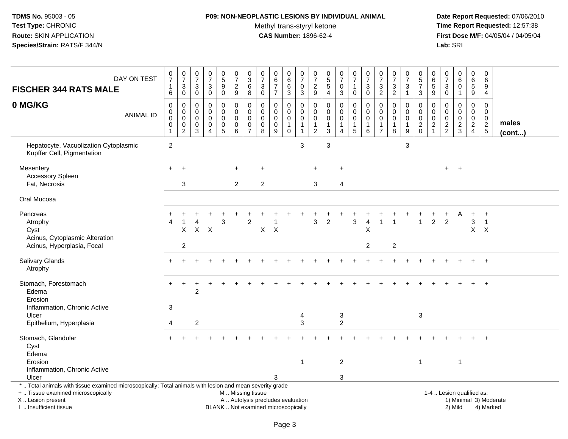## **P09: NON-NEOPLASTIC LESIONS BY INDIVIDUAL ANIMAL**

Methyl trans-styryl ketone<br>CAS Number: 1896-62-4

| <b>FISCHER 344 RATS MALE</b>                                                                                                                                                                 | DAY ON TEST      | $\frac{0}{7}$<br>1<br>6       | $\frac{0}{7}$<br>$\ensuremath{\mathsf{3}}$<br>$\mathbf 0$          | $\begin{array}{c} 0 \\ 7 \end{array}$<br>$\sqrt{3}$<br>$\mathbf 0$ | $\begin{array}{c} 0 \\ 7 \end{array}$<br>$\sqrt{3}$<br>$\mathbf 0$    | $\begin{array}{c} 0 \\ 5 \end{array}$<br>$\overline{9}$<br>$\mathbf 0$ | $\frac{0}{7}$<br>$\overline{2}$<br>$\boldsymbol{9}$ | 0<br>$\mathbf{3}$<br>$6\phantom{a}$<br>8     | $\begin{array}{c} 0 \\ 7 \end{array}$<br>$\sqrt{3}$<br>$\mathbf 0$ | $\pmb{0}$<br>$\,6\,$<br>$\overline{7}$<br>$\overline{7}$                 | $\pmb{0}$<br>$\,6\,$<br>6<br>$\mathbf{3}$        | $\frac{0}{7}$<br>$\pmb{0}$<br>$\mathbf{3}$                          | $\pmb{0}$<br>$\overline{7}$<br>$\boldsymbol{2}$<br>$\boldsymbol{9}$      | 0<br>$\sqrt{5}$<br>$\sqrt{5}$<br>$\overline{4}$                       | $\frac{0}{7}$<br>$\mathbf 0$<br>$\mathbf{3}$ | $\begin{smallmatrix}0\\7\end{smallmatrix}$<br>$\mathbf{1}$<br>$\mathbf 0$ | $\begin{array}{c} 0 \\ 7 \end{array}$<br>$\mathbf{3}$<br>$\pmb{0}$ | $\frac{0}{7}$<br>$\sqrt{3}$<br>$\overline{2}$ | $\begin{array}{c} 0 \\ 7 \end{array}$<br>$\ensuremath{\mathsf{3}}$<br>$\overline{c}$ | $\frac{0}{7}$<br>3<br>$\overline{1}$                 | $\pmb{0}$<br>$\sqrt{5}$<br>$\overline{7}$<br>$\mathbf{3}$ | 0<br>6<br>5<br>9                  | $\frac{0}{7}$<br>$\mathbf{3}$<br>$\pmb{0}$                      | $_6^0$<br>$\mathbf 0$<br>$\mathbf{1}$                       | $\pmb{0}$<br>$\,6\,$<br>$\overline{5}$<br>$\boldsymbol{9}$                 | $\mathbf 0$<br>$\,6\,$<br>9<br>$\overline{4}$              |                 |
|----------------------------------------------------------------------------------------------------------------------------------------------------------------------------------------------|------------------|-------------------------------|--------------------------------------------------------------------|--------------------------------------------------------------------|-----------------------------------------------------------------------|------------------------------------------------------------------------|-----------------------------------------------------|----------------------------------------------|--------------------------------------------------------------------|--------------------------------------------------------------------------|--------------------------------------------------|---------------------------------------------------------------------|--------------------------------------------------------------------------|-----------------------------------------------------------------------|----------------------------------------------|---------------------------------------------------------------------------|--------------------------------------------------------------------|-----------------------------------------------|--------------------------------------------------------------------------------------|------------------------------------------------------|-----------------------------------------------------------|-----------------------------------|-----------------------------------------------------------------|-------------------------------------------------------------|----------------------------------------------------------------------------|------------------------------------------------------------|-----------------|
| 0 MG/KG                                                                                                                                                                                      | <b>ANIMAL ID</b> | $\Omega$<br>0<br>0<br>0<br>-1 | $\mathbf 0$<br>$\pmb{0}$<br>$\pmb{0}$<br>$\,0\,$<br>$\overline{2}$ | $\mathbf{0}$<br>0<br>$\mathbf 0$<br>0<br>$\mathbf{3}$              | $\Omega$<br>$\mathbf 0$<br>$\mathsf{O}\xspace$<br>0<br>$\overline{4}$ | 0<br>$\mathbf 0$<br>$\mathbf 0$<br>0<br>$\overline{5}$                 | $\Omega$<br>0<br>$\pmb{0}$<br>0<br>$\,6\,$          | $\mathbf 0$<br>0<br>0<br>0<br>$\overline{7}$ | $\Omega$<br>$\Omega$<br>$\mathbf 0$<br>0<br>8                      | $\Omega$<br>$\mathbf 0$<br>$\mathsf{O}\xspace$<br>$\pmb{0}$<br>9         | $\Omega$<br>$\mathbf 0$<br>0<br>1<br>$\mathbf 0$ | $\Omega$<br>$\mathbf 0$<br>$\boldsymbol{0}$<br>$\overline{1}$<br>-1 | $\Omega$<br>$\mathbf 0$<br>$\mathbf 0$<br>$\mathbf{1}$<br>$\overline{c}$ | $\Omega$<br>$\mathbf 0$<br>$\mathbf 0$<br>$\mathbf 1$<br>$\mathbf{3}$ | 0<br>$\mathbf 0$<br>$\mathbf 0$<br>1<br>4    | $\Omega$<br>$\mathbf 0$<br>$\mathbf 0$<br>$\overline{1}$<br>$\sqrt{5}$    | $\mathbf 0$<br>$\pmb{0}$<br>$\pmb{0}$<br>$\mathbf 1$<br>6          | $\Omega$<br>0<br>0<br>-1<br>$\overline{7}$    | $\mathbf{0}$<br>0<br>$\pmb{0}$<br>-1<br>8                                            | 0<br>$\mathbf 0$<br>$\mathbf 0$<br>$\mathbf{1}$<br>9 | $\Omega$<br>$\mathbf 0$<br>$\mathbf 0$<br>$\frac{2}{0}$   | $\Omega$<br>0<br>$\mathbf 0$<br>2 | $\Omega$<br>$\mathbf 0$<br>$\mathsf{O}\xspace$<br>$\frac{2}{2}$ | $\mathbf 0$<br>$\mathbf 0$<br>$\mathsf{O}$<br>$\frac{2}{3}$ | $\Omega$<br>$\mathbf 0$<br>$\mathbf 0$<br>$\overline{2}$<br>$\overline{4}$ | $\mathbf 0$<br>$\mathbf 0$<br>$\mathbf 0$<br>$\frac{2}{5}$ | males<br>(cont) |
| Hepatocyte, Vacuolization Cytoplasmic<br>Kupffer Cell, Pigmentation                                                                                                                          |                  | $\overline{2}$                |                                                                    |                                                                    |                                                                       |                                                                        |                                                     |                                              |                                                                    |                                                                          |                                                  | 3                                                                   |                                                                          | 3                                                                     |                                              |                                                                           |                                                                    |                                               |                                                                                      | $\mathbf{3}$                                         |                                                           |                                   |                                                                 |                                                             |                                                                            |                                                            |                 |
| Mesentery<br><b>Accessory Spleen</b><br>Fat, Necrosis                                                                                                                                        |                  | $\ddot{}$                     | $\ddot{}$<br>3                                                     |                                                                    |                                                                       |                                                                        | ÷.<br>$\overline{2}$                                |                                              | $\ddot{}$<br>$\overline{2}$                                        |                                                                          |                                                  |                                                                     | $\ddot{}$<br>3                                                           |                                                                       | +<br>$\overline{4}$                          |                                                                           |                                                                    |                                               |                                                                                      |                                                      |                                                           |                                   | $+$                                                             | $+$                                                         |                                                                            |                                                            |                 |
| Oral Mucosa                                                                                                                                                                                  |                  |                               |                                                                    |                                                                    |                                                                       |                                                                        |                                                     |                                              |                                                                    |                                                                          |                                                  |                                                                     |                                                                          |                                                                       |                                              |                                                                           |                                                                    |                                               |                                                                                      |                                                      |                                                           |                                   |                                                                 |                                                             |                                                                            |                                                            |                 |
| Pancreas<br>Atrophy<br>Cyst<br>Acinus, Cytoplasmic Alteration                                                                                                                                |                  |                               | X                                                                  |                                                                    | $X$ $X$                                                               | 3                                                                      |                                                     | $\overline{c}$                               | $X$ $X$                                                            |                                                                          |                                                  |                                                                     | 3                                                                        | $\overline{c}$                                                        |                                              | 3                                                                         | $\overline{4}$<br>X                                                |                                               |                                                                                      |                                                      |                                                           | $\overline{2}$                    | $\overline{2}$                                                  | Α                                                           | 3                                                                          | $\ddot{}$<br>$\overline{1}$<br>$X$ $X$                     |                 |
| Acinus, Hyperplasia, Focal                                                                                                                                                                   |                  |                               | $\overline{c}$                                                     |                                                                    |                                                                       |                                                                        |                                                     |                                              |                                                                    |                                                                          |                                                  |                                                                     |                                                                          |                                                                       |                                              |                                                                           | $\overline{2}$                                                     |                                               | $\overline{2}$                                                                       |                                                      |                                                           |                                   |                                                                 |                                                             |                                                                            |                                                            |                 |
| Salivary Glands<br>Atrophy                                                                                                                                                                   |                  |                               |                                                                    |                                                                    |                                                                       |                                                                        |                                                     |                                              |                                                                    |                                                                          |                                                  |                                                                     |                                                                          |                                                                       |                                              |                                                                           |                                                                    |                                               |                                                                                      |                                                      |                                                           |                                   |                                                                 |                                                             |                                                                            | $+$                                                        |                 |
| Stomach, Forestomach<br>Edema<br>Erosion                                                                                                                                                     |                  | $\ddot{}$                     | $\ddot{}$                                                          | $\overline{2}$                                                     |                                                                       |                                                                        |                                                     |                                              |                                                                    |                                                                          |                                                  |                                                                     |                                                                          |                                                                       |                                              |                                                                           |                                                                    |                                               |                                                                                      |                                                      |                                                           |                                   |                                                                 |                                                             |                                                                            |                                                            |                 |
| Inflammation, Chronic Active<br>Ulcer<br>Epithelium, Hyperplasia                                                                                                                             |                  | 3<br>4                        |                                                                    | $\overline{c}$                                                     |                                                                       |                                                                        |                                                     |                                              |                                                                    |                                                                          |                                                  | 4<br>3                                                              |                                                                          |                                                                       | 3<br>$\overline{c}$                          |                                                                           |                                                                    |                                               |                                                                                      |                                                      | 3                                                         |                                   |                                                                 |                                                             |                                                                            |                                                            |                 |
| Stomach, Glandular<br>Cyst<br>Edema                                                                                                                                                          |                  |                               |                                                                    |                                                                    |                                                                       |                                                                        |                                                     |                                              |                                                                    |                                                                          |                                                  |                                                                     |                                                                          |                                                                       |                                              |                                                                           |                                                                    |                                               |                                                                                      |                                                      |                                                           |                                   |                                                                 |                                                             |                                                                            |                                                            |                 |
| Erosion<br>Inflammation, Chronic Active<br>Ulcer                                                                                                                                             |                  |                               |                                                                    |                                                                    |                                                                       |                                                                        |                                                     |                                              |                                                                    | 3                                                                        |                                                  | $\overline{1}$                                                      |                                                                          |                                                                       | $\overline{2}$<br>3                          |                                                                           |                                                                    |                                               |                                                                                      |                                                      | $\mathbf{1}$                                              |                                   |                                                                 | $\mathbf{1}$                                                |                                                                            |                                                            |                 |
| *  Total animals with tissue examined microscopically; Total animals with lesion and mean severity grade<br>+  Tissue examined microscopically<br>X Lesion present<br>I. Insufficient tissue |                  |                               |                                                                    |                                                                    |                                                                       |                                                                        | M  Missing tissue                                   |                                              |                                                                    | A  Autolysis precludes evaluation<br>BLANK  Not examined microscopically |                                                  |                                                                     |                                                                          |                                                                       |                                              |                                                                           |                                                                    |                                               |                                                                                      |                                                      |                                                           |                                   |                                                                 | 1-4  Lesion qualified as:<br>2) Mild                        |                                                                            | 1) Minimal 3) Moderate<br>4) Marked                        |                 |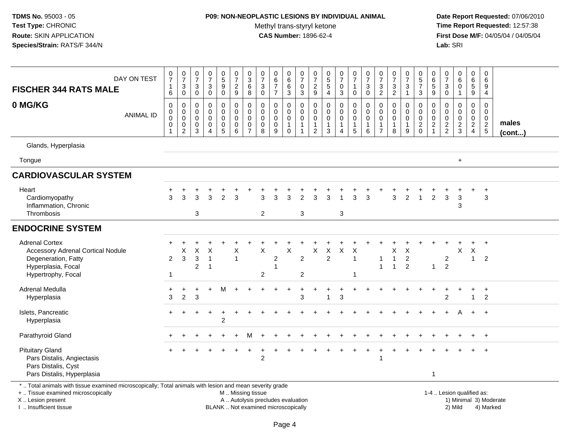## **P09: NON-NEOPLASTIC LESIONS BY INDIVIDUAL ANIMAL**

Methyl trans-styryl ketone<br>CAS Number: 1896-62-4

 **Date Report Requested:** 07/06/2010 **Time Report Requested:** 12:57:38 **First Dose M/F:** 04/05/04 / 04/05/04<br>Lab: SRI **Lab:** SRI

| DAY ON TEST<br><b>FISCHER 344 RATS MALE</b>                                                                                                    | $\frac{0}{7}$<br>$\mathbf{1}$<br>$\,6\,$                  | $\frac{0}{7}$<br>3<br>$\mathsf{O}\xspace$              | $\frac{0}{7}$<br>$\ensuremath{\mathsf{3}}$<br>$\overline{0}$ | $\begin{smallmatrix}0\\7\end{smallmatrix}$<br>$_{0}^{3}$               | $\begin{array}{c} 0 \\ 5 \\ 9 \end{array}$<br>$\ddot{\mathbf{0}}$ | $\frac{0}{7}$<br>$\frac{2}{9}$                                    | $\frac{0}{3}$<br>6<br>8                                          | $\frac{0}{7}$<br>$\mathfrak{Z}$<br>$\overline{0}$                  | $\begin{array}{c} 0 \\ 6 \\ 7 \end{array}$<br>$\overline{7}$ | $_{6}^{\rm 0}$<br>6<br>$\overline{3}$                | $\begin{array}{c} 0 \\ 7 \end{array}$<br>$\mathbf 0$<br>$\overline{3}$ | $\frac{0}{7}$<br>$\frac{2}{9}$                            | $\begin{array}{c} 0 \\ 5 \\ 5 \end{array}$<br>$\overline{4}$                | $\begin{smallmatrix}0\\7\end{smallmatrix}$<br>$\mathsf 0$<br>$\mathbf{3}$ | $\frac{0}{7}$<br>$\mathbf{1}$<br>$\mathsf{O}\xspace$                        | $\frac{0}{7}$<br>$\mathbf{3}$<br>$\pmb{0}$                             | $\frac{0}{7}$<br>$\ensuremath{\mathsf{3}}$<br>$\overline{2}$ | $\begin{array}{c} 0 \\ 7 \end{array}$<br>$\frac{3}{2}$         | $\frac{0}{7}$<br>$\ensuremath{\mathsf{3}}$<br>$\mathbf{1}$ | $\begin{array}{c} 0 \\ 5 \end{array}$<br>$\overline{7}$<br>$\mathsf 3$ | 0<br>$\,6$<br>$\overline{5}$<br>$\boldsymbol{9}$                  | $\frac{0}{7}$<br>$\ensuremath{\mathsf{3}}$<br>$\overline{0}$ | $\begin{matrix} 0 \\ 6 \\ 0 \end{matrix}$<br>$\mathbf{1}$ | $\begin{array}{c} 0 \\ 6 \end{array}$<br>$\overline{5}$<br>$\overline{9}$ | $\mathbf 0$<br>6<br>9<br>$\overline{4}$                  |                       |
|------------------------------------------------------------------------------------------------------------------------------------------------|-----------------------------------------------------------|--------------------------------------------------------|--------------------------------------------------------------|------------------------------------------------------------------------|-------------------------------------------------------------------|-------------------------------------------------------------------|------------------------------------------------------------------|--------------------------------------------------------------------|--------------------------------------------------------------|------------------------------------------------------|------------------------------------------------------------------------|-----------------------------------------------------------|-----------------------------------------------------------------------------|---------------------------------------------------------------------------|-----------------------------------------------------------------------------|------------------------------------------------------------------------|--------------------------------------------------------------|----------------------------------------------------------------|------------------------------------------------------------|------------------------------------------------------------------------|-------------------------------------------------------------------|--------------------------------------------------------------|-----------------------------------------------------------|---------------------------------------------------------------------------|----------------------------------------------------------|-----------------------|
| 0 MG/KG<br><b>ANIMAL ID</b>                                                                                                                    | $\pmb{0}$<br>$\pmb{0}$<br>$\mathbf 0$<br>$\mathbf 0$<br>1 | 0<br>$\mathbf 0$<br>$\mathbf 0$<br>0<br>$\overline{2}$ | 0<br>0<br>$\mathbf 0$<br>0<br>$\mathbf{3}$                   | $\pmb{0}$<br>$\mathsf{O}\xspace$<br>$\mathbf 0$<br>0<br>$\overline{4}$ | $\mathbf 0$<br>$\pmb{0}$<br>$\mathbf 0$<br>0<br>$\overline{5}$    | $\pmb{0}$<br>$\mathbf 0$<br>$\mathbf 0$<br>$\mathbf 0$<br>$\,6\,$ | 0<br>$\mathbf 0$<br>$\mathbf 0$<br>$\mathbf 0$<br>$\overline{7}$ | $\mathbf 0$<br>$\mathbf 0$<br>$\mathbf 0$<br>$\boldsymbol{0}$<br>8 | $\mathbf 0$<br>$\mathbf 0$<br>$\mathbf 0$<br>0<br>9          | 0<br>$\mathbf 0$<br>0<br>$\mathbf{1}$<br>$\mathbf 0$ | 0<br>$\mathbf 0$<br>$\mathbf 0$<br>$\mathbf{1}$<br>$\overline{1}$      | 0<br>0<br>$\mathbf 0$<br>$\overline{1}$<br>$\overline{c}$ | $\mathbf 0$<br>$\mathbf 0$<br>$\mathbf 0$<br>$\mathbf{1}$<br>$\overline{3}$ | 0<br>$\mathbf 0$<br>$\mathbf 0$<br>$\mathbf{1}$<br>4                      | $\mathbf 0$<br>$\mathbf 0$<br>$\mathbf 0$<br>$\mathbf{1}$<br>$\overline{5}$ | $\mathbf 0$<br>$\mathsf{O}\xspace$<br>$\mathsf 0$<br>$\mathbf{1}$<br>6 | 0<br>0<br>$\mathbf 0$<br>$\mathbf{1}$<br>$\overline{7}$      | $\mathbf 0$<br>$\mathbf 0$<br>$\mathbf 0$<br>$\mathbf{1}$<br>8 | 0<br>$\mathbf 0$<br>$\mathbf 0$<br>$\mathbf{1}$<br>9       | $\mathbf 0$<br>$\mathbf 0$<br>$\mathbf 0$<br>$^2_{\rm 0}$              | 0<br>$\mathbf 0$<br>$\mathbf 0$<br>$\overline{c}$<br>$\mathbf{1}$ | 0<br>$\mathbf 0$<br>$\mathbf 0$<br>$\frac{2}{2}$             | 0<br>$\pmb{0}$<br>$\mathsf 0$<br>$\frac{2}{3}$            | 0<br>$\mathbf 0$<br>$\mathbf 0$<br>$\frac{2}{4}$                          | 0<br>$\mathsf{O}\xspace$<br>$\mathbf 0$<br>$\frac{2}{5}$ | males<br>$($ cont $)$ |
| Glands, Hyperplasia                                                                                                                            |                                                           |                                                        |                                                              |                                                                        |                                                                   |                                                                   |                                                                  |                                                                    |                                                              |                                                      |                                                                        |                                                           |                                                                             |                                                                           |                                                                             |                                                                        |                                                              |                                                                |                                                            |                                                                        |                                                                   |                                                              |                                                           |                                                                           |                                                          |                       |
| Tongue                                                                                                                                         |                                                           |                                                        |                                                              |                                                                        |                                                                   |                                                                   |                                                                  |                                                                    |                                                              |                                                      |                                                                        |                                                           |                                                                             |                                                                           |                                                                             |                                                                        |                                                              |                                                                |                                                            |                                                                        |                                                                   |                                                              | $+$                                                       |                                                                           |                                                          |                       |
| <b>CARDIOVASCULAR SYSTEM</b>                                                                                                                   |                                                           |                                                        |                                                              |                                                                        |                                                                   |                                                                   |                                                                  |                                                                    |                                                              |                                                      |                                                                        |                                                           |                                                                             |                                                                           |                                                                             |                                                                        |                                                              |                                                                |                                                            |                                                                        |                                                                   |                                                              |                                                           |                                                                           |                                                          |                       |
| Heart<br>Cardiomyopathy<br>Inflammation, Chronic<br>Thrombosis                                                                                 | 3                                                         | 3                                                      | 3<br>$\mathbf{3}$                                            | 3                                                                      | $\overline{2}$                                                    | 3                                                                 |                                                                  | 3<br>$\overline{2}$                                                | 3                                                            | 3                                                    | $\mathfrak{p}$<br>3                                                    | 3                                                         |                                                                             | 3                                                                         | 3                                                                           | 3                                                                      |                                                              | 3                                                              | $\overline{2}$                                             |                                                                        | 2                                                                 | 3                                                            | 3<br>3                                                    |                                                                           | 3                                                        |                       |
| <b>ENDOCRINE SYSTEM</b>                                                                                                                        |                                                           |                                                        |                                                              |                                                                        |                                                                   |                                                                   |                                                                  |                                                                    |                                                              |                                                      |                                                                        |                                                           |                                                                             |                                                                           |                                                                             |                                                                        |                                                              |                                                                |                                                            |                                                                        |                                                                   |                                                              |                                                           |                                                                           |                                                          |                       |
| <b>Adrenal Cortex</b><br><b>Accessory Adrenal Cortical Nodule</b><br>Degeneration, Fatty<br>Hyperplasia, Focal<br>Hypertrophy, Focal           | $\overline{2}$<br>1                                       | Χ<br>$\mathbf{3}$                                      | X<br>3<br>$\overline{2}$                                     | X<br>$\mathbf{1}$<br>$\overline{1}$                                    |                                                                   | X<br>$\mathbf{1}$                                                 |                                                                  | X<br>$\overline{2}$                                                | $\boldsymbol{2}$<br>$\overline{1}$                           | X                                                    | $\overline{2}$<br>2                                                    | Χ                                                         | X<br>$\overline{c}$                                                         | $\boldsymbol{\mathsf{X}}$                                                 | X<br>$\overline{1}$                                                         |                                                                        | -1<br>$\overline{1}$                                         | X<br>$\overline{1}$<br>$\overline{1}$                          | X<br>$\overline{c}$<br>$\overline{2}$                      |                                                                        | $\mathbf{1}$                                                      | $\overline{c}$<br>$\overline{c}$                             | X                                                         | X<br>$\mathbf{1}$                                                         | $\ddot{}$<br>$\overline{2}$                              |                       |
| <b>Adrenal Medulla</b><br>Hyperplasia                                                                                                          | 3                                                         | ÷<br>$\overline{2}$                                    | ٠<br>3                                                       | $\overline{1}$                                                         | м                                                                 |                                                                   |                                                                  |                                                                    |                                                              |                                                      | 3                                                                      |                                                           | $\mathbf{1}$                                                                | 3                                                                         |                                                                             |                                                                        |                                                              |                                                                |                                                            |                                                                        |                                                                   | $\overline{2}$                                               |                                                           | $\mathbf{1}$                                                              | $\div$<br>$\overline{2}$                                 |                       |
| Islets, Pancreatic<br>Hyperplasia                                                                                                              |                                                           | $\pm$                                                  | $\pm$                                                        | $\overline{1}$                                                         | $\ddot{}$<br>$\overline{c}$                                       |                                                                   |                                                                  |                                                                    |                                                              |                                                      |                                                                        |                                                           |                                                                             |                                                                           |                                                                             |                                                                        |                                                              |                                                                |                                                            |                                                                        |                                                                   |                                                              |                                                           | $+$                                                                       | $+$                                                      |                       |
| Parathyroid Gland                                                                                                                              |                                                           |                                                        |                                                              |                                                                        |                                                                   |                                                                   | м                                                                |                                                                    |                                                              |                                                      |                                                                        |                                                           |                                                                             |                                                                           |                                                                             |                                                                        |                                                              |                                                                |                                                            |                                                                        |                                                                   |                                                              |                                                           |                                                                           | $\overline{+}$                                           |                       |
| <b>Pituitary Gland</b><br>Pars Distalis, Angiectasis<br>Pars Distalis, Cyst<br>Pars Distalis, Hyperplasia                                      |                                                           |                                                        |                                                              |                                                                        |                                                                   |                                                                   |                                                                  | $\overline{2}$                                                     |                                                              |                                                      |                                                                        |                                                           |                                                                             |                                                                           |                                                                             |                                                                        |                                                              |                                                                |                                                            |                                                                        | $\mathbf 1$                                                       |                                                              |                                                           |                                                                           | $\div$                                                   |                       |
| *  Total animals with tissue examined microscopically; Total animals with lesion and mean severity grade<br>+  Tissue examined microscopically |                                                           |                                                        |                                                              |                                                                        |                                                                   | M  Missing tissue                                                 |                                                                  |                                                                    |                                                              |                                                      |                                                                        |                                                           |                                                                             |                                                                           |                                                                             |                                                                        |                                                              |                                                                |                                                            |                                                                        |                                                                   |                                                              | 1-4  Lesion qualified as:                                 |                                                                           |                                                          |                       |

X .. Lesion present

I .. Insufficient tissue

BLANK .. Not examined microscopically and the state of the 2) Mild

A .. Autolysis precludes evaluation and the service of the service of the service of the service of the service of the service of the service of the service of the service of the service of the service of the service of th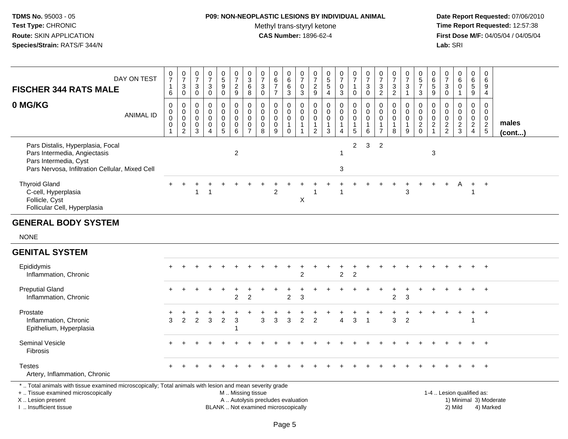# **P09: NON-NEOPLASTIC LESIONS BY INDIVIDUAL ANIMAL**

Methyl trans-styryl ketone<br>CAS Number: 1896-62-4

 **Date Report Requested:** 07/06/2010 **Time Report Requested:** 12:57:38 **First Dose M/F:** 04/05/04 / 04/05/04<br>Lab: SRI **Lab:** SRI

| <b>FISCHER 344 RATS MALE</b>                                                                                                                                        | DAY ON TEST      | 0<br>$\overline{7}$<br>$\mathbf{1}$<br>$\,6$                 | $\frac{0}{7}$<br>$\ensuremath{\mathsf{3}}$<br>$\mathbf 0$        | 0<br>$\overline{7}$<br>3<br>$\mathbf 0$             | $\frac{0}{7}$<br>$\sqrt{3}$<br>$\Omega$                                 | $\begin{array}{c} 0 \\ 5 \\ 9 \end{array}$<br>$\mathbf 0$ | $\frac{0}{7}$<br>$\frac{2}{9}$ | $_{3}^{\rm 0}$<br>$\,6\,$<br>$\,8\,$                               | 0<br>$\overline{7}$<br>3<br>$\mathbf 0$                       | $\pmb{0}$<br>$\begin{array}{c} 6 \\ 7 \end{array}$<br>$\overline{7}$ | 0<br>$\,6$<br>6<br>3                                 | $\begin{smallmatrix}0\\7\end{smallmatrix}$<br>$\mathbf 0$<br>$\mathbf{3}$ | 0<br>$\overline{7}$<br>$\frac{2}{9}$                   | 0<br>$\frac{5}{5}$<br>$\overline{4}$                   | $\frac{0}{7}$<br>$\pmb{0}$<br>$\sqrt{3}$                       | $\mathbf 0$<br>$\overline{7}$<br>$\mathbf{1}$<br>$\mathbf 0$    | $\frac{0}{7}$<br>$\sqrt{3}$<br>$\mathbf 0$                       | 0<br>$\overline{7}$<br>$\mathbf{3}$<br>$\overline{2}$                      | 0<br>$\overline{7}$<br>$\mathbf{3}$<br>$\overline{2}$            | 0<br>$\overline{7}$<br>3   | $\begin{array}{c} 0 \\ 5 \\ 7 \end{array}$<br>3  | 0<br>6<br>5<br>9                                                  | 0<br>$\overline{7}$<br>$\mathbf{3}$<br>$\mathbf 0$ | $\begin{array}{c} 0 \\ 6 \end{array}$<br>$\pmb{0}$ | $\mathbf 0$<br>6<br>$\overline{5}$<br>9                    | 0<br>$\,6\,$<br>9<br>$\overline{4}$              |                        |
|---------------------------------------------------------------------------------------------------------------------------------------------------------------------|------------------|--------------------------------------------------------------|------------------------------------------------------------------|-----------------------------------------------------|-------------------------------------------------------------------------|-----------------------------------------------------------|--------------------------------|--------------------------------------------------------------------|---------------------------------------------------------------|----------------------------------------------------------------------|------------------------------------------------------|---------------------------------------------------------------------------|--------------------------------------------------------|--------------------------------------------------------|----------------------------------------------------------------|-----------------------------------------------------------------|------------------------------------------------------------------|----------------------------------------------------------------------------|------------------------------------------------------------------|----------------------------|--------------------------------------------------|-------------------------------------------------------------------|----------------------------------------------------|----------------------------------------------------|------------------------------------------------------------|--------------------------------------------------|------------------------|
| 0 MG/KG                                                                                                                                                             | <b>ANIMAL ID</b> | 0<br>$\pmb{0}$<br>$\mathbf 0$<br>$\mathbf 0$<br>$\mathbf{1}$ | 0<br>$\mathbf 0$<br>$\mathbf 0$<br>$\mathbf 0$<br>$\overline{c}$ | 0<br>$\mathbf 0$<br>$\mathbf 0$<br>$\mathbf 0$<br>3 | 0<br>$\mathbf 0$<br>$\Omega$<br>$\mathbf 0$<br>$\boldsymbol{\varDelta}$ | 0<br>$\pmb{0}$<br>$\pmb{0}$<br>$\pmb{0}$<br>5             | 0<br>0<br>0<br>0<br>6          | $\pmb{0}$<br>$\pmb{0}$<br>$\pmb{0}$<br>$\pmb{0}$<br>$\overline{7}$ | $\mathbf 0$<br>$\mathbf 0$<br>$\mathbf 0$<br>$\mathbf 0$<br>8 | $\mathbf 0$<br>$\mathbf 0$<br>$\mathbf 0$<br>$\mathbf 0$<br>9        | 0<br>0<br>$\mathbf 0$<br>$\mathbf{1}$<br>$\mathbf 0$ | 0<br>0<br>$\mathbf 0$<br>$\mathbf{1}$<br>$\mathbf{1}$                     | 0<br>$\mathbf 0$<br>$\mathbf 0$<br>1<br>$\overline{2}$ | $\mathbf 0$<br>$\mathbf 0$<br>0<br>$\overline{1}$<br>3 | $\mathbf 0$<br>$\pmb{0}$<br>$\mathbf 0$<br>1<br>$\overline{4}$ | 0<br>$\mathbf 0$<br>$\mathbf 0$<br>$\overline{1}$<br>$\sqrt{5}$ | $\mathbf 0$<br>$\mathbf 0$<br>$\mathbf 0$<br>$\overline{1}$<br>6 | $\mathbf 0$<br>$\Omega$<br>$\mathbf 0$<br>$\overline{1}$<br>$\overline{7}$ | $\mathbf 0$<br>$\mathbf 0$<br>$\mathbf 0$<br>$\overline{1}$<br>8 | 0<br>0<br>$\mathbf 0$<br>9 | 0<br>$\mathbf 0$<br>$\mathsf 0$<br>$\frac{2}{0}$ | 0<br>$\mathbf 0$<br>$\mathbf 0$<br>$\overline{a}$<br>$\mathbf{1}$ | 0<br>0<br>0<br>$\frac{2}{2}$                       | $\mathbf 0$<br>0<br>$\pmb{0}$<br>$\frac{2}{3}$     | $\mathbf 0$<br>$\mathbf 0$<br>$\mathbf 0$<br>$\frac{2}{4}$ | 0<br>$\mathbf 0$<br>$\mathbf 0$<br>$\frac{2}{5}$ | males<br>$($ cont $)$  |
| Pars Distalis, Hyperplasia, Focal<br>Pars Intermedia, Angiectasis<br>Pars Intermedia, Cyst<br>Pars Nervosa, Infiltration Cellular, Mixed Cell                       |                  |                                                              |                                                                  |                                                     |                                                                         |                                                           | $\overline{2}$                 |                                                                    |                                                               |                                                                      |                                                      |                                                                           |                                                        |                                                        | -1<br>$\sqrt{3}$                                               | $\overline{c}$                                                  | 3                                                                | $\overline{2}$                                                             |                                                                  |                            |                                                  | 3                                                                 |                                                    |                                                    |                                                            |                                                  |                        |
| <b>Thyroid Gland</b><br>C-cell, Hyperplasia<br>Follicle, Cyst<br>Follicular Cell, Hyperplasia                                                                       |                  |                                                              |                                                                  | 1                                                   |                                                                         |                                                           |                                |                                                                    |                                                               | 2                                                                    |                                                      | Χ                                                                         |                                                        |                                                        |                                                                |                                                                 |                                                                  |                                                                            |                                                                  | 3                          |                                                  |                                                                   |                                                    |                                                    |                                                            | $+$                                              |                        |
| <b>GENERAL BODY SYSTEM</b>                                                                                                                                          |                  |                                                              |                                                                  |                                                     |                                                                         |                                                           |                                |                                                                    |                                                               |                                                                      |                                                      |                                                                           |                                                        |                                                        |                                                                |                                                                 |                                                                  |                                                                            |                                                                  |                            |                                                  |                                                                   |                                                    |                                                    |                                                            |                                                  |                        |
| <b>NONE</b>                                                                                                                                                         |                  |                                                              |                                                                  |                                                     |                                                                         |                                                           |                                |                                                                    |                                                               |                                                                      |                                                      |                                                                           |                                                        |                                                        |                                                                |                                                                 |                                                                  |                                                                            |                                                                  |                            |                                                  |                                                                   |                                                    |                                                    |                                                            |                                                  |                        |
| <b>GENITAL SYSTEM</b>                                                                                                                                               |                  |                                                              |                                                                  |                                                     |                                                                         |                                                           |                                |                                                                    |                                                               |                                                                      |                                                      |                                                                           |                                                        |                                                        |                                                                |                                                                 |                                                                  |                                                                            |                                                                  |                            |                                                  |                                                                   |                                                    |                                                    |                                                            |                                                  |                        |
| Epididymis<br>Inflammation, Chronic                                                                                                                                 |                  |                                                              |                                                                  |                                                     |                                                                         |                                                           |                                |                                                                    |                                                               |                                                                      |                                                      | 2                                                                         |                                                        |                                                        | $\overline{2}$                                                 | $\overline{2}$                                                  |                                                                  |                                                                            |                                                                  |                            |                                                  |                                                                   |                                                    |                                                    |                                                            | $+$                                              |                        |
| <b>Preputial Gland</b><br>Inflammation, Chronic                                                                                                                     |                  |                                                              |                                                                  |                                                     |                                                                         |                                                           | $\overline{c}$                 | $\overline{2}$                                                     |                                                               |                                                                      | $\overline{c}$                                       | 3                                                                         |                                                        |                                                        |                                                                |                                                                 |                                                                  |                                                                            | 2                                                                | 3                          |                                                  |                                                                   |                                                    |                                                    | $\ddot{}$                                                  | $+$                                              |                        |
| Prostate<br>Inflammation, Chronic<br>Epithelium, Hyperplasia                                                                                                        |                  | 3                                                            | $\overline{2}$                                                   | $\overline{2}$                                      | 3                                                                       | $\overline{2}$                                            | 3                              |                                                                    | 3                                                             | 3                                                                    | 3                                                    | 2                                                                         | $\overline{2}$                                         |                                                        | $\Delta$                                                       | 3                                                               | $\overline{1}$                                                   |                                                                            | 3                                                                | $\overline{2}$             |                                                  |                                                                   |                                                    |                                                    | $\ddot{}$                                                  | $+$                                              |                        |
| Seminal Vesicle<br>Fibrosis                                                                                                                                         |                  |                                                              |                                                                  |                                                     |                                                                         |                                                           |                                |                                                                    |                                                               |                                                                      |                                                      |                                                                           |                                                        |                                                        |                                                                |                                                                 |                                                                  |                                                                            |                                                                  |                            |                                                  |                                                                   |                                                    |                                                    |                                                            | $+$                                              |                        |
| <b>Testes</b><br>Artery, Inflammation, Chronic                                                                                                                      |                  |                                                              |                                                                  |                                                     |                                                                         |                                                           |                                |                                                                    |                                                               |                                                                      |                                                      |                                                                           |                                                        |                                                        |                                                                |                                                                 |                                                                  |                                                                            |                                                                  |                            |                                                  |                                                                   |                                                    |                                                    |                                                            | $+$                                              |                        |
| *  Total animals with tissue examined microscopically; Total animals with lesion and mean severity grade<br>+  Tissue examined microscopically<br>X  Lesion present |                  |                                                              |                                                                  |                                                     |                                                                         |                                                           | M  Missing tissue              |                                                                    | A  Autolysis precludes evaluation                             |                                                                      |                                                      |                                                                           |                                                        |                                                        |                                                                |                                                                 |                                                                  |                                                                            |                                                                  |                            |                                                  |                                                                   |                                                    | 1-4  Lesion qualified as:                          |                                                            |                                                  | 1) Minimal 3) Moderate |

I .. Insufficient tissue

Page 5

BLANK .. Not examined microscopically 2) Mild 4) Marked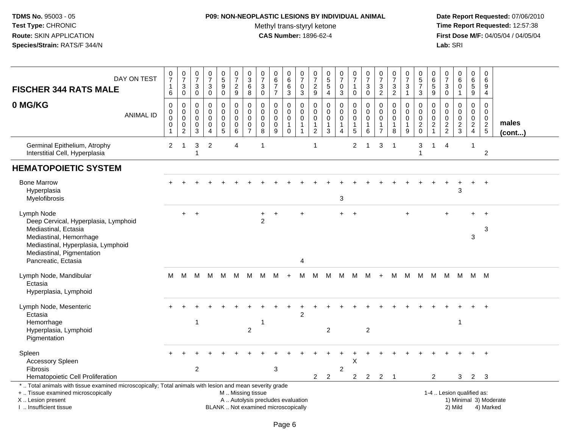## **P09: NON-NEOPLASTIC LESIONS BY INDIVIDUAL ANIMAL**

Methyl trans-styryl ketone<br>CAS Number: 1896-62-4

| <b>FISCHER 344 RATS MALE</b>                                                                                                                                                                  | DAY ON TEST      | 0<br>$\overline{7}$<br>$\mathbf{1}$<br>6                               | 0<br>$\overline{7}$<br>3<br>0                          | $\pmb{0}$<br>$\overline{7}$<br>$\mathbf{3}$<br>0                       | $\pmb{0}$<br>$\overline{7}$<br>3<br>0                         | $\begin{array}{c} 0 \\ 5 \end{array}$<br>$\boldsymbol{9}$<br>$\mathbf 0$ | 0<br>$\overline{7}$<br>$\overline{2}$<br>$\boldsymbol{9}$     | $\pmb{0}$<br>$\overline{3}$<br>$\,6\,$<br>8                    | $\pmb{0}$<br>$\overline{7}$<br>$\mathbf{3}$<br>$\mathbf 0$     | 0<br>6<br>$\overline{7}$<br>$\overline{7}$ | 0<br>$\,6\,$<br>6<br>3                                                   | 0<br>$\overline{7}$<br>$\mathbf 0$<br>$\mathbf{3}$   | 0<br>$\overline{7}$<br>$\overline{2}$<br>$\boldsymbol{9}$ | $\begin{array}{c} 0 \\ 5 \\ 5 \end{array}$<br>$\overline{4}$ | 0<br>$\overline{7}$<br>0<br>3 | 0<br>$\overline{7}$<br>$\overline{1}$<br>$\mathbf 0$                  | 0<br>$\boldsymbol{7}$<br>3<br>0                  | 0<br>$\overline{7}$<br>$\mathbf{3}$<br>$\overline{2}$             | 0<br>$\overline{7}$<br>3<br>$\overline{c}$ | 0<br>$\overline{7}$<br>3<br>$\mathbf{1}$                                              | 0<br>5<br>$\overline{7}$<br>3                   | 0<br>$\,6\,$<br>$5\phantom{.0}$<br>9             | $\begin{array}{c} 0 \\ 7 \end{array}$<br>3<br>0            | $\mathbf 0$<br>$\,6\,$<br>$\mathbf 0$<br>$\overline{1}$            | $\mathbf 0$<br>$6\phantom{1}6$<br>5<br>9                   | $\mathbf 0$<br>6<br>9<br>$\overline{4}$                 |                       |
|-----------------------------------------------------------------------------------------------------------------------------------------------------------------------------------------------|------------------|------------------------------------------------------------------------|--------------------------------------------------------|------------------------------------------------------------------------|---------------------------------------------------------------|--------------------------------------------------------------------------|---------------------------------------------------------------|----------------------------------------------------------------|----------------------------------------------------------------|--------------------------------------------|--------------------------------------------------------------------------|------------------------------------------------------|-----------------------------------------------------------|--------------------------------------------------------------|-------------------------------|-----------------------------------------------------------------------|--------------------------------------------------|-------------------------------------------------------------------|--------------------------------------------|---------------------------------------------------------------------------------------|-------------------------------------------------|--------------------------------------------------|------------------------------------------------------------|--------------------------------------------------------------------|------------------------------------------------------------|---------------------------------------------------------|-----------------------|
| 0 MG/KG                                                                                                                                                                                       | <b>ANIMAL ID</b> | $\pmb{0}$<br>$\mathbf 0$<br>$\mathbf 0$<br>$\mathbf 0$<br>$\mathbf{1}$ | 0<br>0<br>$\mathbf 0$<br>$\mathbf 0$<br>$\overline{c}$ | $\mathbf 0$<br>$\mathbf 0$<br>$\mathbf 0$<br>$\mathbf 0$<br>$\sqrt{3}$ | $\mathbf 0$<br>$\mathbf 0$<br>$\mathbf 0$<br>$\mathbf 0$<br>4 | $\mathbf 0$<br>$\mathbf 0$<br>$\pmb{0}$<br>$\pmb{0}$<br>$\overline{5}$   | $\pmb{0}$<br>$\mathbf 0$<br>$\pmb{0}$<br>$\pmb{0}$<br>$\,6\,$ | $\mathbf 0$<br>0<br>$\mathbf 0$<br>$\pmb{0}$<br>$\overline{7}$ | $\mathbf 0$<br>$\mathbf{0}$<br>$\mathbf 0$<br>$\mathbf 0$<br>8 | 0<br>0<br>$\pmb{0}$<br>$\pmb{0}$<br>9      | $\mathbf 0$<br>$\mathbf 0$<br>$\pmb{0}$<br>$\overline{1}$<br>$\mathbf 0$ | 0<br>$\mathbf 0$<br>0<br>$\mathbf{1}$<br>$\mathbf 1$ | 0<br>0<br>$\mathbf 0$<br>$\mathbf 1$<br>$\overline{2}$    | 0<br>0<br>$\pmb{0}$<br>1<br>3                                | 0<br>0<br>$\mathbf 0$<br>4    | $\mathbf 0$<br>$\mathbf 0$<br>$\pmb{0}$<br>$\mathbf{1}$<br>$\sqrt{5}$ | 0<br>$\Omega$<br>$\mathbf 0$<br>$\mathbf 1$<br>6 | 0<br>$\mathbf 0$<br>$\mathbf 0$<br>$\mathbf{1}$<br>$\overline{7}$ | 0<br>$\mathbf 0$<br>$\mathbf 0$<br>1<br>8  | $\mathbf 0$<br>$\mathbf 0$<br>$\ddot{\mathbf{0}}$<br>$\mathbf{1}$<br>$\boldsymbol{9}$ | 0<br>$\mathbf 0$<br>$\mathbf 0$<br>$^2_{\rm 0}$ | 0<br>$\mathbf 0$<br>$\mathbf 0$<br>$\frac{2}{1}$ | $\mathbf 0$<br>$\mathbf 0$<br>$\mathbf 0$<br>$\frac{2}{2}$ | $\mathbf 0$<br>$\mathbf 0$<br>$\mathsf{O}\xspace$<br>$\frac{2}{3}$ | $\mathbf 0$<br>$\mathbf 0$<br>$\mathbf 0$<br>$\frac{2}{4}$ | $\mathbf 0$<br>$\Omega$<br>$\mathbf 0$<br>$\frac{2}{5}$ | males<br>$($ cont $)$ |
| Germinal Epithelium, Atrophy<br>Interstitial Cell, Hyperplasia                                                                                                                                |                  | $\overline{2}$                                                         | 1                                                      | 3<br>-1                                                                | $\overline{c}$                                                |                                                                          | $\overline{4}$                                                |                                                                | 1                                                              |                                            |                                                                          |                                                      | $\overline{1}$                                            |                                                              |                               | $\overline{c}$                                                        | 1                                                | 3                                                                 | -1                                         |                                                                                       | 3<br>$\overline{1}$                             | $\mathbf{1}$                                     | $\overline{4}$                                             |                                                                    | $\overline{1}$                                             | $\overline{c}$                                          |                       |
| <b>HEMATOPOIETIC SYSTEM</b>                                                                                                                                                                   |                  |                                                                        |                                                        |                                                                        |                                                               |                                                                          |                                                               |                                                                |                                                                |                                            |                                                                          |                                                      |                                                           |                                                              |                               |                                                                       |                                                  |                                                                   |                                            |                                                                                       |                                                 |                                                  |                                                            |                                                                    |                                                            |                                                         |                       |
| <b>Bone Marrow</b><br>Hyperplasia<br>Myelofibrosis                                                                                                                                            |                  |                                                                        |                                                        |                                                                        |                                                               |                                                                          |                                                               |                                                                |                                                                |                                            |                                                                          |                                                      |                                                           |                                                              | 3                             |                                                                       |                                                  |                                                                   |                                            |                                                                                       |                                                 |                                                  |                                                            | 3                                                                  | $+$                                                        | $+$                                                     |                       |
| Lymph Node<br>Deep Cervical, Hyperplasia, Lymphoid<br>Mediastinal, Ectasia<br>Mediastinal, Hemorrhage<br>Mediastinal, Hyperplasia, Lymphoid<br>Mediastinal, Pigmentation                      |                  |                                                                        | $\ddot{}$                                              | $\ddot{}$                                                              |                                                               |                                                                          |                                                               |                                                                | 2                                                              | $\ddot{}$                                  |                                                                          | $\ddot{}$                                            |                                                           |                                                              | $+$                           | $+$                                                                   |                                                  |                                                                   |                                            |                                                                                       |                                                 |                                                  |                                                            |                                                                    | 3                                                          | $\ddot{}$<br>3                                          |                       |
| Pancreatic, Ectasia<br>Lymph Node, Mandibular<br>Ectasia<br>Hyperplasia, Lymphoid                                                                                                             |                  | M                                                                      | M                                                      | M                                                                      | M                                                             | M                                                                        | M                                                             | M                                                              | M                                                              | M                                          | $+$                                                                      | 4<br>м                                               | M                                                         | - M                                                          | M                             | M                                                                     | м                                                | $+$                                                               |                                            |                                                                                       |                                                 |                                                  | M M M M M M                                                |                                                                    | M M                                                        |                                                         |                       |
| Lymph Node, Mesenteric<br>Ectasia<br>Hemorrhage<br>Hyperplasia, Lymphoid<br>Pigmentation                                                                                                      |                  |                                                                        |                                                        | -1                                                                     |                                                               |                                                                          |                                                               | $\overline{c}$                                                 | -1                                                             |                                            |                                                                          | $\overline{c}$                                       |                                                           | $\overline{2}$                                               |                               |                                                                       | $\overline{2}$                                   |                                                                   |                                            |                                                                                       |                                                 |                                                  |                                                            | -1                                                                 |                                                            |                                                         |                       |
| Spleen<br>Accessory Spleen<br><b>Fibrosis</b><br>Hematopoietic Cell Proliferation                                                                                                             |                  |                                                                        |                                                        | $\overline{2}$                                                         |                                                               |                                                                          |                                                               |                                                                |                                                                | 3                                          |                                                                          |                                                      | $2^{\circ}$                                               | $\overline{2}$                                               | $\overline{c}$                | X<br>$2^{\circ}$                                                      | $\overline{2}$                                   | $\overline{2}$                                                    | $\overline{\phantom{0}}$ 1                 |                                                                                       |                                                 | 2                                                |                                                            | 3                                                                  | $2^{\circ}$                                                | 3                                                       |                       |
| *  Total animals with tissue examined microscopically; Total animals with lesion and mean severity grade<br>+  Tissue examined microscopically<br>X  Lesion present<br>I  Insufficient tissue |                  |                                                                        |                                                        |                                                                        |                                                               | BLANK  Not examined microscopically                                      | M  Missing tissue<br>A  Autolysis precludes evaluation        |                                                                |                                                                |                                            |                                                                          |                                                      |                                                           |                                                              |                               |                                                                       |                                                  |                                                                   |                                            |                                                                                       |                                                 |                                                  | 1-4  Lesion qualified as:                                  | 2) Mild                                                            |                                                            | 1) Minimal 3) Moderate<br>4) Marked                     |                       |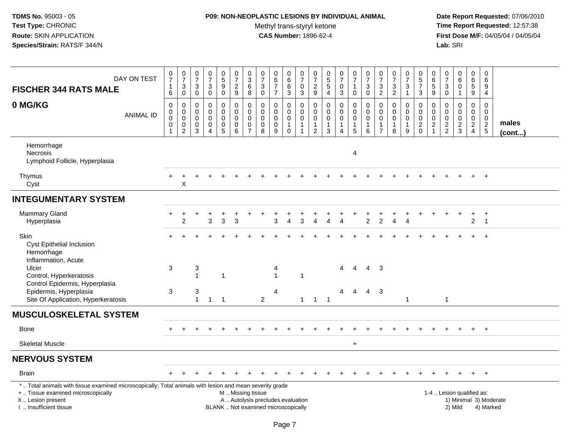## **P09: NON-NEOPLASTIC LESIONS BY INDIVIDUAL ANIMAL**

Methyl trans-styryl ketone<br>CAS Number: 1896-62-4

| DAY ON TEST                                                                                                                                                                                   | $\frac{0}{7}$                                                                | $\frac{0}{7}$                              | $\frac{0}{7}$                                                          | $\begin{array}{c} 0 \\ 7 \end{array}$                                    |                                                                                  | $\frac{0}{7}$                                                            | $_{3}^{\rm 0}$                                                             | $\frac{0}{7}$                                                            | $\begin{array}{c} 0 \\ 6 \\ 7 \end{array}$                                         | $\begin{array}{c} 0 \\ 6 \end{array}$                             | $\frac{0}{7}$                                             | $\begin{array}{c} 0 \\ 7 \end{array}$                                   |                                                                           | $\begin{array}{c} 0 \\ 7 \end{array}$                             | $\frac{0}{7}$                                                  | $\frac{0}{7}$                             | $\frac{0}{7}$                                                               | $\begin{array}{c} 0 \\ 7 \end{array}$             | $\frac{0}{7}$                                         | $\begin{array}{c} 0 \\ 5 \\ 7 \end{array}$                    | 0<br>$6\phantom{a}$                               | $\begin{array}{c} 0 \\ 7 \end{array}$              | $_{6}^{\rm 0}$                                           | $\begin{array}{c} 0 \\ 6 \end{array}$                      | 0<br>6                                                   |                                     |
|-----------------------------------------------------------------------------------------------------------------------------------------------------------------------------------------------|------------------------------------------------------------------------------|--------------------------------------------|------------------------------------------------------------------------|--------------------------------------------------------------------------|----------------------------------------------------------------------------------|--------------------------------------------------------------------------|----------------------------------------------------------------------------|--------------------------------------------------------------------------|------------------------------------------------------------------------------------|-------------------------------------------------------------------|-----------------------------------------------------------|-------------------------------------------------------------------------|---------------------------------------------------------------------------|-------------------------------------------------------------------|----------------------------------------------------------------|-------------------------------------------|-----------------------------------------------------------------------------|---------------------------------------------------|-------------------------------------------------------|---------------------------------------------------------------|---------------------------------------------------|----------------------------------------------------|----------------------------------------------------------|------------------------------------------------------------|----------------------------------------------------------|-------------------------------------|
| <b>FISCHER 344 RATS MALE</b>                                                                                                                                                                  | $\mathbf{1}$<br>6                                                            | $\ensuremath{\mathsf{3}}$<br>$\mathbf 0$   | $_{\rm 0}^3$                                                           | $\ensuremath{\mathsf{3}}$<br>$\mathbf 0$                                 | $\begin{array}{c} 0 \\ 5 \\ 9 \end{array}$                                       | $\frac{2}{9}$                                                            | $\,6$<br>8                                                                 | $\ensuremath{\mathsf{3}}$<br>$\mathbf 0$                                 | $\overline{7}$                                                                     | $\,6$<br>3                                                        | $\pmb{0}$<br>$\mathfrak{S}$                               | $\frac{2}{9}$                                                           | $0$<br>5<br>5<br>5<br>4                                                   | $\pmb{0}$<br>3                                                    | $\mathbf{1}$<br>$\mathbf 0$                                    | $\mathbf{3}$<br>$\mathsf 0$               | $\frac{3}{2}$                                                               | $\frac{3}{2}$                                     | $\ensuremath{\mathsf{3}}$<br>$\mathbf{1}$             | $\mathbf{3}$                                                  | $\,$ 5 $\,$<br>$\boldsymbol{9}$                   | $\ensuremath{\mathsf{3}}$<br>$\mathbf 0$           | $\mathbf 0$<br>$\mathbf{1}$                              | $\sqrt{5}$<br>9                                            | $\boldsymbol{9}$<br>$\overline{4}$                       |                                     |
| 0 MG/KG<br><b>ANIMAL ID</b>                                                                                                                                                                   | $\mathsf 0$<br>$\pmb{0}$<br>$\ddot{\mathbf{0}}$<br>$\pmb{0}$<br>$\mathbf{1}$ | 0<br>0<br>$\pmb{0}$<br>0<br>$\overline{2}$ | $\mathbf 0$<br>0<br>$\mathsf{O}\xspace$<br>$\pmb{0}$<br>$\overline{3}$ | $\mathbf 0$<br>$\mathbf 0$<br>$\mathbf 0$<br>$\pmb{0}$<br>$\overline{4}$ | 0<br>$\mathbf 0$<br>$\mathsf{O}\xspace$<br>$\begin{array}{c} 0 \\ 5 \end{array}$ | $\mathbf 0$<br>$\mathbf 0$<br>$\mathbf 0$<br>$\pmb{0}$<br>$6\phantom{1}$ | $\mathbf 0$<br>$\mathbf 0$<br>$\mathbf 0$<br>$\mathbf 0$<br>$\overline{7}$ | $\mathbf 0$<br>$\mathbf 0$<br>$\mathbf 0$<br>$\boldsymbol{0}$<br>8       | $\mathbf 0$<br>$\mathbf 0$<br>$\mathsf{O}\xspace$<br>$\mathbf 0$<br>$\overline{9}$ | $\mathbf 0$<br>0<br>$\mathbf 0$<br>$\mathbf{1}$<br>$\overline{0}$ | $\mathbf 0$<br>$\mathbf 0$<br>$\mathbf 0$<br>$\mathbf{1}$ | $\mathbf 0$<br>$\mathbf 0$<br>$\mathbf 0$<br>$\mathbf{1}$<br>$\sqrt{2}$ | $\mathbf 0$<br>$\mathbf 0$<br>$\mathbf 0$<br>$\mathbf{1}$<br>$\mathbf{3}$ | 0<br>$\mathbf 0$<br>$\mathbf 0$<br>$\mathbf{1}$<br>$\overline{4}$ | $\mathbf 0$<br>$\mathbf 0$<br>$\mathbf 0$<br>$\mathbf{1}$<br>5 | $\mathbf 0$<br>0<br>$\mathbf 0$<br>1<br>6 | $\mathbf 0$<br>$\mathbf 0$<br>$\mathbf 0$<br>$\mathbf{1}$<br>$\overline{7}$ | $\mathbf 0$<br>$\mathbf 0$<br>$\pmb{0}$<br>1<br>8 | 0<br>$\mathbf{0}$<br>$\mathbf 0$<br>$\mathbf{1}$<br>9 | $\mathbf 0$<br>$\mathbf 0$<br>$\overline{0}$<br>$\frac{2}{0}$ | 0<br>$\mathbf{0}$<br>$\mathbf 0$<br>$\frac{2}{1}$ | 0<br>$\Omega$<br>$\boldsymbol{0}$<br>$\frac{2}{2}$ | $\mathbf 0$<br>$\mathbf 0$<br>$\pmb{0}$<br>$\frac{2}{3}$ | $\mathbf 0$<br>$\mathbf 0$<br>$\mathbf 0$<br>$\frac{2}{4}$ | $\mathbf 0$<br>$\mathbf 0$<br>$\mathbf 0$<br>$rac{2}{5}$ | males<br>$($ cont $)$               |
| Hemorrhage<br>Necrosis<br>Lymphoid Follicle, Hyperplasia                                                                                                                                      |                                                                              |                                            |                                                                        |                                                                          |                                                                                  |                                                                          |                                                                            |                                                                          |                                                                                    |                                                                   |                                                           |                                                                         |                                                                           |                                                                   | 4                                                              |                                           |                                                                             |                                                   |                                                       |                                                               |                                                   |                                                    |                                                          |                                                            |                                                          |                                     |
| Thymus<br>Cyst                                                                                                                                                                                |                                                                              | $\pmb{\times}$                             |                                                                        |                                                                          |                                                                                  |                                                                          |                                                                            |                                                                          |                                                                                    |                                                                   |                                                           |                                                                         |                                                                           |                                                                   |                                                                |                                           |                                                                             |                                                   |                                                       |                                                               |                                                   |                                                    |                                                          |                                                            |                                                          |                                     |
| <b>INTEGUMENTARY SYSTEM</b>                                                                                                                                                                   |                                                                              |                                            |                                                                        |                                                                          |                                                                                  |                                                                          |                                                                            |                                                                          |                                                                                    |                                                                   |                                                           |                                                                         |                                                                           |                                                                   |                                                                |                                           |                                                                             |                                                   |                                                       |                                                               |                                                   |                                                    |                                                          |                                                            |                                                          |                                     |
| Mammary Gland<br>Hyperplasia                                                                                                                                                                  |                                                                              | $\overline{2}$                             |                                                                        | 3                                                                        | $\mathbf{3}$                                                                     | 3                                                                        |                                                                            |                                                                          | 3                                                                                  |                                                                   | 3                                                         |                                                                         |                                                                           |                                                                   |                                                                | $\overline{2}$                            | 2                                                                           |                                                   |                                                       |                                                               |                                                   |                                                    |                                                          | $\overline{2}$                                             | $+$<br>$\overline{1}$                                    |                                     |
| Skin<br><b>Cyst Epithelial Inclusion</b><br>Hemorrhage<br>Inflammation, Acute                                                                                                                 |                                                                              |                                            |                                                                        |                                                                          |                                                                                  |                                                                          |                                                                            |                                                                          |                                                                                    |                                                                   |                                                           |                                                                         |                                                                           |                                                                   |                                                                |                                           |                                                                             |                                                   |                                                       |                                                               |                                                   |                                                    |                                                          |                                                            | $+$                                                      |                                     |
| Ulcer<br>Control, Hyperkeratosis<br>Control Epidermis, Hyperplasia                                                                                                                            | 3                                                                            |                                            | 3<br>$\mathbf{1}$                                                      |                                                                          | $\overline{1}$                                                                   |                                                                          |                                                                            |                                                                          | 4<br>$\mathbf{1}$                                                                  |                                                                   | $\mathbf 1$                                               |                                                                         |                                                                           | 4                                                                 | 4                                                              | $\overline{4}$                            | 3                                                                           |                                                   |                                                       |                                                               |                                                   |                                                    |                                                          |                                                            |                                                          |                                     |
| Epidermis, Hyperplasia<br>Site Of Application, Hyperkeratosis                                                                                                                                 | 3                                                                            |                                            | 3<br>$\mathbf{1}$                                                      | $\mathbf{1}$                                                             | $\overline{1}$                                                                   |                                                                          |                                                                            | $\overline{2}$                                                           | 4                                                                                  |                                                                   |                                                           | $1 \quad 1 \quad 1$                                                     |                                                                           | 4                                                                 | $\overline{4}$                                                 | $\overline{4}$                            | -3                                                                          |                                                   | $\mathbf{1}$                                          |                                                               |                                                   | $\mathbf{1}$                                       |                                                          |                                                            |                                                          |                                     |
| <b>MUSCULOSKELETAL SYSTEM</b>                                                                                                                                                                 |                                                                              |                                            |                                                                        |                                                                          |                                                                                  |                                                                          |                                                                            |                                                                          |                                                                                    |                                                                   |                                                           |                                                                         |                                                                           |                                                                   |                                                                |                                           |                                                                             |                                                   |                                                       |                                                               |                                                   |                                                    |                                                          |                                                            |                                                          |                                     |
| Bone                                                                                                                                                                                          |                                                                              |                                            |                                                                        | $\overline{1}$                                                           |                                                                                  |                                                                          |                                                                            |                                                                          |                                                                                    |                                                                   |                                                           |                                                                         |                                                                           |                                                                   |                                                                |                                           |                                                                             |                                                   |                                                       |                                                               |                                                   |                                                    |                                                          | $+$                                                        | $+$                                                      |                                     |
| <b>Skeletal Muscle</b>                                                                                                                                                                        |                                                                              |                                            |                                                                        |                                                                          |                                                                                  |                                                                          |                                                                            |                                                                          |                                                                                    |                                                                   |                                                           |                                                                         |                                                                           |                                                                   | $\ddot{}$                                                      |                                           |                                                                             |                                                   |                                                       |                                                               |                                                   |                                                    |                                                          |                                                            |                                                          |                                     |
| <b>NERVOUS SYSTEM</b>                                                                                                                                                                         |                                                                              |                                            |                                                                        |                                                                          |                                                                                  |                                                                          |                                                                            |                                                                          |                                                                                    |                                                                   |                                                           |                                                                         |                                                                           |                                                                   |                                                                |                                           |                                                                             |                                                   |                                                       |                                                               |                                                   |                                                    |                                                          |                                                            |                                                          |                                     |
| <b>Brain</b>                                                                                                                                                                                  |                                                                              |                                            |                                                                        |                                                                          |                                                                                  |                                                                          |                                                                            |                                                                          |                                                                                    |                                                                   |                                                           |                                                                         |                                                                           |                                                                   |                                                                |                                           |                                                                             |                                                   |                                                       |                                                               |                                                   |                                                    |                                                          |                                                            | $+$                                                      |                                     |
| *  Total animals with tissue examined microscopically; Total animals with lesion and mean severity grade<br>+  Tissue examined microscopically<br>X  Lesion present<br>I  Insufficient tissue |                                                                              |                                            |                                                                        |                                                                          |                                                                                  | M  Missing tissue                                                        |                                                                            | A  Autolysis precludes evaluation<br>BLANK  Not examined microscopically |                                                                                    |                                                                   |                                                           |                                                                         |                                                                           |                                                                   |                                                                |                                           |                                                                             |                                                   |                                                       |                                                               |                                                   |                                                    | 1-4  Lesion qualified as:<br>2) Mild                     |                                                            |                                                          | 1) Minimal 3) Moderate<br>4) Marked |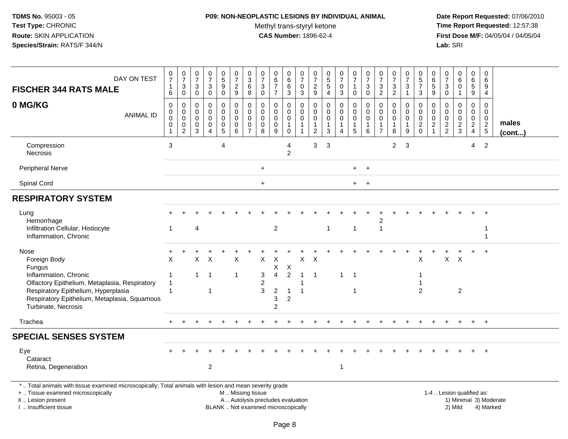### **P09: NON-NEOPLASTIC LESIONS BY INDIVIDUAL ANIMAL**

Methyl trans-styryl ketone<br>CAS Number: 1896-62-4

| DAY ON TEST<br><b>FISCHER 344 RATS MALE</b>                                                                                                                                                                            | $\begin{array}{c} 0 \\ 7 \end{array}$<br>$\mathbf{1}$<br>$6\phantom{1}$ | $\frac{0}{7}$<br>$\ensuremath{\mathsf{3}}$<br>$\pmb{0}$                  | $\begin{array}{c} 0 \\ 7 \end{array}$<br>$\ensuremath{\mathsf{3}}$<br>$\mathsf{O}\xspace$ | $\frac{0}{7}$<br>3<br>$\mathbf 0$                      | $\begin{array}{c} 0 \\ 5 \\ 9 \end{array}$<br>$\bar{0}$              | $\frac{0}{7}$<br>$rac{2}{9}$                         | $\begin{array}{c} 0 \\ 3 \\ 6 \end{array}$<br>$\overline{8}$               | $\frac{0}{7}$<br>$\mathbf{3}$<br>$\mathbf 0$                   | 0<br>$\frac{6}{7}$<br>$\overline{7}$                                     | $_{6}^{\rm 0}$<br>6<br>$\mathbf{3}$                                      | $\frac{0}{7}$<br>0<br>3                               | 0729                                                                      | $\begin{array}{c} 0 \\ 5 \\ 5 \end{array}$<br>$\overline{4}$ | $\begin{array}{c} 0 \\ 7 \end{array}$<br>$\mathbf 0$<br>$\overline{3}$      | $\frac{0}{7}$<br>$\mathbf{1}$<br>$\mathsf{O}\xspace$                 | $\begin{smallmatrix}0\\7\end{smallmatrix}$<br>3<br>$\mathbf 0$ | $\begin{array}{c} 0 \\ 7 \end{array}$<br>$\mathsf 3$<br>$\overline{2}$      | $\frac{0}{7}$<br>3<br>$\overline{2}$              | $\frac{0}{7}$<br>$\mathfrak{Z}$<br>$\mathbf{1}$                  | $\begin{array}{c} 0 \\ 5 \\ 7 \end{array}$<br>$\mathbf{3}$ | $\boldsymbol{0}$<br>$\begin{array}{c} 6 \\ 5 \\ 9 \end{array}$            | $\begin{array}{c} 0 \\ 7 \end{array}$<br>$\sqrt{3}$<br>$\mathbf 0$ | 0<br>$\,6$<br>$\mathbf 0$<br>$\mathbf{1}$                  | $\pmb{0}$<br>$\frac{6}{5}$<br>$\overline{9}$               | $\boldsymbol{0}$<br>6<br>9<br>4                               |                        |
|------------------------------------------------------------------------------------------------------------------------------------------------------------------------------------------------------------------------|-------------------------------------------------------------------------|--------------------------------------------------------------------------|-------------------------------------------------------------------------------------------|--------------------------------------------------------|----------------------------------------------------------------------|------------------------------------------------------|----------------------------------------------------------------------------|----------------------------------------------------------------|--------------------------------------------------------------------------|--------------------------------------------------------------------------|-------------------------------------------------------|---------------------------------------------------------------------------|--------------------------------------------------------------|-----------------------------------------------------------------------------|----------------------------------------------------------------------|----------------------------------------------------------------|-----------------------------------------------------------------------------|---------------------------------------------------|------------------------------------------------------------------|------------------------------------------------------------|---------------------------------------------------------------------------|--------------------------------------------------------------------|------------------------------------------------------------|------------------------------------------------------------|---------------------------------------------------------------|------------------------|
| 0 MG/KG<br><b>ANIMAL ID</b>                                                                                                                                                                                            | $\Omega$<br>$\mathbf 0$<br>0<br>$\,0\,$<br>$\mathbf{1}$                 | $\mathbf 0$<br>$\mathbf 0$<br>$\mathbf 0$<br>$\pmb{0}$<br>$\overline{c}$ | 0<br>$\mathbf 0$<br>$\mathbf 0$<br>$\pmb{0}$<br>3                                         | $\mathbf 0$<br>$\mathbf 0$<br>0<br>0<br>$\overline{4}$ | $\mathbf 0$<br>$\mathbf 0$<br>$\mathbf 0$<br>$\pmb{0}$<br>$\sqrt{5}$ | $\Omega$<br>$\mathbf 0$<br>0<br>$\pmb{0}$<br>$\,6\,$ | $\mathbf 0$<br>$\mathbf 0$<br>$\mathbf 0$<br>$\mathbf 0$<br>$\overline{7}$ | $\mathbf{0}$<br>$\mathbf 0$<br>$\mathbf 0$<br>$\mathbf 0$<br>8 | $\Omega$<br>$\mathbf 0$<br>0<br>$\pmb{0}$<br>$\boldsymbol{9}$            | $\mathbf 0$<br>$\mathbf 0$<br>$\mathbf 0$<br>$\mathbf{1}$<br>$\mathsf 0$ | 0<br>$\mathbf 0$<br>0<br>$\mathbf{1}$<br>$\mathbf{1}$ | $\mathbf 0$<br>$\mathbf 0$<br>$\pmb{0}$<br>$\mathbf{1}$<br>$\overline{2}$ | $\mathbf 0$<br>$\mathbf 0$<br>0<br>1<br>$\mathbf{3}$         | $\mathbf 0$<br>$\pmb{0}$<br>$\mathbf 0$<br>$\overline{1}$<br>$\overline{4}$ | $\Omega$<br>$\mathbf 0$<br>$\mathbf 0$<br>$\mathbf{1}$<br>$\sqrt{5}$ | $\Omega$<br>$\mathbf 0$<br>$\mathbf 0$<br>1<br>$\,6\,$         | $\mathbf 0$<br>$\mathbf 0$<br>$\mathbf 0$<br>$\mathbf{1}$<br>$\overline{7}$ | $\Omega$<br>$\mathbf 0$<br>0<br>$\mathbf{1}$<br>8 | $\mathbf 0$<br>$\mathbf 0$<br>$\pmb{0}$<br>$\mathbf{1}$<br>$9\,$ | $\Omega$<br>$\mathbf 0$<br>$\mathbf 0$<br>$\frac{2}{0}$    | $\mathbf 0$<br>$\mathbf 0$<br>$\mathbf 0$<br>$\sqrt{2}$<br>$\overline{1}$ | $\Omega$<br>$\mathbf 0$<br>$\mathbf 0$<br>$\frac{2}{2}$            | $\mathbf 0$<br>$\mathbf 0$<br>$\mathbf 0$<br>$\frac{2}{3}$ | $\mathbf 0$<br>$\mathbf 0$<br>$\mathbf 0$<br>$\frac{2}{4}$ | $\Omega$<br>$\mathbf 0$<br>0<br>$\sqrt{2}$<br>$5\phantom{.0}$ | males<br>(cont)        |
| Compression<br>Necrosis                                                                                                                                                                                                | 3                                                                       |                                                                          |                                                                                           |                                                        | $\overline{4}$                                                       |                                                      |                                                                            |                                                                |                                                                          | 4<br>$\overline{2}$                                                      |                                                       | $\mathbf{3}$                                                              | $\mathbf{3}$                                                 |                                                                             |                                                                      |                                                                |                                                                             | $\overline{2}$                                    | 3                                                                |                                                            |                                                                           |                                                                    |                                                            | 4                                                          | $\overline{2}$                                                |                        |
| <b>Peripheral Nerve</b>                                                                                                                                                                                                |                                                                         |                                                                          |                                                                                           |                                                        |                                                                      |                                                      |                                                                            | $\ddot{}$                                                      |                                                                          |                                                                          |                                                       |                                                                           |                                                              |                                                                             | $+$                                                                  | $+$                                                            |                                                                             |                                                   |                                                                  |                                                            |                                                                           |                                                                    |                                                            |                                                            |                                                               |                        |
| Spinal Cord                                                                                                                                                                                                            |                                                                         |                                                                          |                                                                                           |                                                        |                                                                      |                                                      |                                                                            | $\ddot{}$                                                      |                                                                          |                                                                          |                                                       |                                                                           |                                                              |                                                                             | $+$                                                                  | $+$                                                            |                                                                             |                                                   |                                                                  |                                                            |                                                                           |                                                                    |                                                            |                                                            |                                                               |                        |
| <b>RESPIRATORY SYSTEM</b>                                                                                                                                                                                              |                                                                         |                                                                          |                                                                                           |                                                        |                                                                      |                                                      |                                                                            |                                                                |                                                                          |                                                                          |                                                       |                                                                           |                                                              |                                                                             |                                                                      |                                                                |                                                                             |                                                   |                                                                  |                                                            |                                                                           |                                                                    |                                                            |                                                            |                                                               |                        |
| Lung<br>Hemorrhage<br>Infiltration Cellular, Histiocyte<br>Inflammation, Chronic                                                                                                                                       | $\overline{1}$                                                          |                                                                          | 4                                                                                         |                                                        |                                                                      |                                                      |                                                                            |                                                                | $\overline{2}$                                                           |                                                                          |                                                       |                                                                           | $\mathbf{1}$                                                 |                                                                             | $\overline{1}$                                                       |                                                                | $\mathbf{1}$                                                                |                                                   |                                                                  |                                                            |                                                                           |                                                                    |                                                            |                                                            | -1<br>$\overline{1}$                                          |                        |
| Nose<br>Foreign Body<br>Fungus<br>Inflammation, Chronic<br>Olfactory Epithelium, Metaplasia, Respiratory<br>Respiratory Epithelium, Hyperplasia<br>Respiratory Epithelium, Metaplasia, Squamous<br>Turbinate, Necrosis | X<br>$\overline{1}$<br>$\overline{1}$<br>$\overline{1}$                 |                                                                          | X<br>$\mathbf{1}$                                                                         | $\times$<br>$\overline{1}$<br>$\overline{1}$           |                                                                      | X<br>$\mathbf{1}$                                    |                                                                            | X<br>3<br>2<br>3                                               | X<br>X.<br>$\overline{4}$<br>$\sqrt{2}$<br>3<br>$\overline{2}$           | X<br>$\overline{2}$<br>$\mathbf{1}$<br>2                                 | X<br>$\overline{1}$<br>1<br>$\overline{1}$            | X<br>$\overline{1}$                                                       |                                                              | $\mathbf{1}$                                                                | $\overline{1}$<br>$\mathbf 1$                                        |                                                                |                                                                             |                                                   |                                                                  | X<br>2                                                     |                                                                           | $\mathsf{X}$                                                       | $\times$<br>$\overline{c}$                                 |                                                            | $\ddot{}$                                                     |                        |
| Trachea                                                                                                                                                                                                                |                                                                         |                                                                          |                                                                                           |                                                        |                                                                      |                                                      |                                                                            |                                                                |                                                                          |                                                                          |                                                       |                                                                           |                                                              |                                                                             |                                                                      |                                                                |                                                                             |                                                   |                                                                  |                                                            |                                                                           |                                                                    |                                                            |                                                            | $+$                                                           |                        |
| <b>SPECIAL SENSES SYSTEM</b>                                                                                                                                                                                           |                                                                         |                                                                          |                                                                                           |                                                        |                                                                      |                                                      |                                                                            |                                                                |                                                                          |                                                                          |                                                       |                                                                           |                                                              |                                                                             |                                                                      |                                                                |                                                                             |                                                   |                                                                  |                                                            |                                                                           |                                                                    |                                                            |                                                            |                                                               |                        |
| Eye<br>Cataract<br>Retina, Degeneration                                                                                                                                                                                |                                                                         |                                                                          |                                                                                           | $\overline{2}$                                         |                                                                      |                                                      |                                                                            |                                                                |                                                                          |                                                                          |                                                       |                                                                           |                                                              | -1                                                                          |                                                                      |                                                                |                                                                             |                                                   |                                                                  |                                                            |                                                                           |                                                                    |                                                            |                                                            |                                                               |                        |
| *  Total animals with tissue examined microscopically; Total animals with lesion and mean severity grade<br>+  Tissue examined microscopically<br>X Lesion present<br>I  Insufficient tissue                           |                                                                         |                                                                          |                                                                                           |                                                        |                                                                      | M  Missing tissue                                    |                                                                            |                                                                | A  Autolysis precludes evaluation<br>BLANK  Not examined microscopically |                                                                          |                                                       |                                                                           |                                                              |                                                                             |                                                                      |                                                                |                                                                             |                                                   |                                                                  |                                                            |                                                                           |                                                                    | 1-4  Lesion qualified as:<br>2) Mild                       |                                                            | 4) Marked                                                     | 1) Minimal 3) Moderate |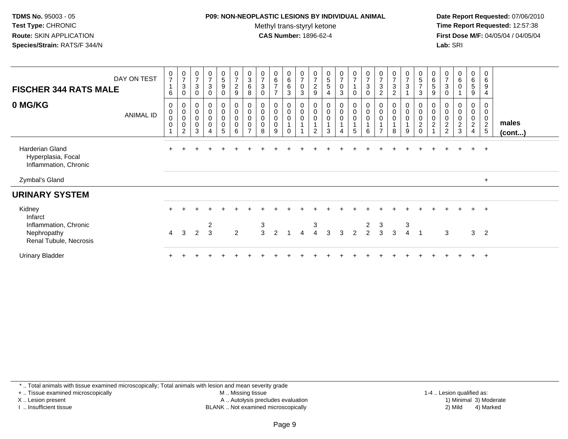### **P09: NON-NEOPLASTIC LESIONS BY INDIVIDUAL ANIMAL**

Methyl trans-styryl ketone<br>CAS Number: 1896-62-4

 **Date Report Requested:** 07/06/2010 **Time Report Requested:** 12:57:38 **First Dose M/F:** 04/05/04 / 04/05/04<br>**Lab:** SRI **Lab:** SRI

| <b>FISCHER 344 RATS MALE</b>                                   | DAY ON TEST      | 0<br>$\overline{7}$<br>$\mathbf{1}$<br>6         | $\mathbf 0$<br>$\overline{7}$<br>3<br>0             | $\frac{0}{7}$<br>$\mathbf{3}$<br>0         | $\frac{0}{7}$<br>$\mathbf{3}$<br>$\mathbf 0$                    | $\begin{array}{c} 0 \\ 5 \end{array}$<br>9<br>0 | $\pmb{0}$<br>$\overline{7}$<br>$\boldsymbol{2}$<br>$\boldsymbol{9}$ | 0<br>$\sqrt{3}$<br>$\,6\,$<br>8                    | 0<br>$\overline{7}$<br>$\sqrt{3}$<br>$\mathbf 0$    | 0<br>6<br>$\overline{7}$<br>$\overline{ }$ | $_{6}^{\rm 0}$<br>6<br>3             | $\frac{0}{7}$<br>$\pmb{0}$<br>3 | $\begin{array}{c} 0 \\ 7 \end{array}$<br>$\overline{c}$<br>$\boldsymbol{9}$ | $\begin{array}{c} 0 \\ 5 \\ 5 \end{array}$<br>$\overline{4}$ | $\frac{0}{7}$<br>0<br>3                 | $\frac{0}{7}$<br>$\mathbf{1}$<br>$\mathbf 0$                | $\frac{0}{7}$<br>$\mathbf{3}$<br>$\mathbf 0$                     | $\frac{0}{7}$<br>$\mathbf{3}$<br>2 | $\begin{array}{c} 0 \\ 7 \end{array}$<br>$\sqrt{3}$<br>$\overline{2}$ | $\frac{0}{7}$<br>3         | $\overline{0}$<br>$\sqrt{5}$<br>$\overline{7}$<br>$\sqrt{3}$                   | 0<br>6<br>5<br>9                | $\frac{0}{7}$<br>3<br>$\mathbf 0$                      | $\pmb{0}$<br>$\,6\,$<br>$\pmb{0}$ | 0<br>6<br>$\sqrt{5}$<br>9                  | 0<br>6<br>9<br>$\overline{4}$                          |                       |  |
|----------------------------------------------------------------|------------------|--------------------------------------------------|-----------------------------------------------------|--------------------------------------------|-----------------------------------------------------------------|-------------------------------------------------|---------------------------------------------------------------------|----------------------------------------------------|-----------------------------------------------------|--------------------------------------------|--------------------------------------|---------------------------------|-----------------------------------------------------------------------------|--------------------------------------------------------------|-----------------------------------------|-------------------------------------------------------------|------------------------------------------------------------------|------------------------------------|-----------------------------------------------------------------------|----------------------------|--------------------------------------------------------------------------------|---------------------------------|--------------------------------------------------------|-----------------------------------|--------------------------------------------|--------------------------------------------------------|-----------------------|--|
| 0 MG/KG                                                        | <b>ANIMAL ID</b> | 0<br>$_{\rm 0}^{\rm 0}$<br>$\boldsymbol{0}$<br>1 | 0<br>$\boldsymbol{0}$<br>$\boldsymbol{0}$<br>0<br>2 | $\,0\,$<br>$\mathbf 0$<br>$\mathbf 0$<br>3 | $\pmb{0}$<br>$\pmb{0}$<br>$\mathsf{O}\xspace$<br>$\pmb{0}$<br>4 | 0<br>0<br>0<br>0<br>5                           | $\pmb{0}$<br>$_{\rm 0}^{\rm 0}$<br>$\pmb{0}$<br>$\,6\,$             | 0<br>$\pmb{0}$<br>$\pmb{0}$<br>0<br>$\overline{ }$ | $\boldsymbol{0}$<br>$\mathbf 0$<br>$\mathbf 0$<br>8 | 0<br>0<br>$\mathbf 0$<br>0<br>9            | $\mathbf 0$<br>$\pmb{0}$<br>$\Omega$ | $\pmb{0}$<br>$\mathbf 0$        | 0<br>$\boldsymbol{0}$<br>$\boldsymbol{0}$<br>$\overline{2}$                 | $\pmb{0}$<br>$\pmb{0}$<br>$\pmb{0}$<br>3                     | 0<br>$\mathbf 0$<br>0<br>$\overline{4}$ | $\pmb{0}$<br>$\mathbf 0$<br>$\mathbf{1}$<br>$5\phantom{.0}$ | $\mathbf 0$<br>$\mathsf 0$<br>$\mathsf 0$<br>$\overline{A}$<br>6 | 0                                  | 0<br>$\pmb{0}$<br>$\pmb{0}$<br>8                                      | 0<br>$\mathbf 0$<br>0<br>9 | 0<br>$\mathbf 0$<br>$\boldsymbol{0}$<br>$\overline{\mathbf{c}}$<br>$\mathbf 0$ | $\mathbf 0$<br>$\mathbf 0$<br>2 | 0<br>$\mathbf 0$<br>$\boldsymbol{2}$<br>$\overline{2}$ | 0<br>0<br>$\overline{a}$<br>3     | 0<br>0<br>$\pmb{0}$<br>$\overline{2}$<br>4 | 0<br>0<br>$\mathbf 0$<br>$\overline{c}$<br>$\,$ 5 $\,$ | males<br>$($ cont $)$ |  |
| Harderian Gland<br>Hyperplasia, Focal<br>Inflammation, Chronic |                  |                                                  |                                                     |                                            |                                                                 |                                                 |                                                                     |                                                    |                                                     |                                            |                                      |                                 |                                                                             |                                                              |                                         |                                                             |                                                                  |                                    |                                                                       |                            |                                                                                |                                 |                                                        |                                   | $+$                                        | $+$                                                    |                       |  |
| Zymbal's Gland                                                 |                  |                                                  |                                                     |                                            |                                                                 |                                                 |                                                                     |                                                    |                                                     |                                            |                                      |                                 |                                                                             |                                                              |                                         |                                                             |                                                                  |                                    |                                                                       |                            |                                                                                |                                 |                                                        |                                   |                                            | $+$                                                    |                       |  |
| <b>URINARY SYSTEM</b>                                          |                  |                                                  |                                                     |                                            |                                                                 |                                                 |                                                                     |                                                    |                                                     |                                            |                                      |                                 |                                                                             |                                                              |                                         |                                                             |                                                                  |                                    |                                                                       |                            |                                                                                |                                 |                                                        |                                   |                                            |                                                        |                       |  |
| Kidney<br>Infarct                                              |                  |                                                  |                                                     |                                            |                                                                 |                                                 |                                                                     |                                                    |                                                     |                                            |                                      |                                 |                                                                             |                                                              |                                         |                                                             |                                                                  |                                    |                                                                       |                            |                                                                                |                                 |                                                        |                                   | $+$                                        | $+$                                                    |                       |  |
| Inflammation, Chronic<br>Nephropathy<br>Renal Tubule, Necrosis |                  | $\overline{4}$                                   | 3                                                   | 2                                          | $\overline{c}$<br>$\overline{3}$                                |                                                 | $\overline{2}$                                                      |                                                    | 3<br>3                                              | 2                                          |                                      | $\overline{A}$                  | 3<br>$\overline{4}$                                                         | $\mathbf{3}$                                                 | 3                                       | 2                                                           | 2<br>$\overline{2}$                                              | 3<br>3                             | $\mathbf{3}$                                                          | 3<br>$\overline{4}$        | $\overline{1}$                                                                 |                                 | 3                                                      |                                   | 3 <sub>2</sub>                             |                                                        |                       |  |
| <b>Urinary Bladder</b>                                         |                  |                                                  |                                                     |                                            |                                                                 |                                                 |                                                                     |                                                    |                                                     |                                            |                                      |                                 |                                                                             |                                                              |                                         |                                                             |                                                                  |                                    |                                                                       |                            |                                                                                |                                 |                                                        |                                   | $+$                                        | $+$                                                    |                       |  |

\* .. Total animals with tissue examined microscopically; Total animals with lesion and mean severity grade

+ .. Tissue examined microscopically

X .. Lesion present

I .. Insufficient tissue

M .. Missing tissue

 Lesion present A .. Autolysis precludes evaluation 1) Minimal 3) ModerateBLANK .. Not examined microscopically 2) Mild 4) Marked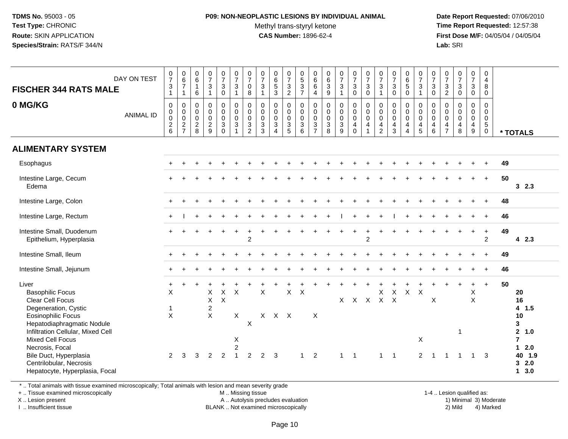## **P09: NON-NEOPLASTIC LESIONS BY INDIVIDUAL ANIMAL**Methyl trans-styryl ketone<br>CAS Number: 1896-62-4

 **Date Report Requested:** 07/06/2010 **Time Report Requested:** 12:57:38 **First Dose M/F:** 04/05/04 / 04/05/04<br>**Lab:** SRI **Lab:** SRI

| DAY ON TEST<br><b>FISCHER 344 RATS MALE</b><br>0 MG/KG<br><b>ANIMAL ID</b>                                                                                                                                                                                                                                 | $\frac{0}{7}$<br>$\ensuremath{\mathsf{3}}$<br>$\mathbf{1}$<br>$\mathbf 0$<br>0<br>0<br>$\sqrt{2}$<br>$6\phantom{1}$ | $\begin{array}{c} 0 \\ 6 \end{array}$<br>$\boldsymbol{7}$<br>$\mathbf{1}$<br>$\boldsymbol{0}$<br>$\mathbf 0$<br>$\pmb{0}$<br>$\frac{2}{7}$ | $\begin{array}{c} 0 \\ 6 \end{array}$<br>$\mathbf{1}$<br>6<br>$\mathsf 0$<br>$\mathbf 0$<br>$\mathbf 0$<br>$\sqrt{2}$<br>8 | $\frac{0}{7}$<br>$\mathbf{3}$<br>$\mathbf{1}$<br>$\mathsf{O}$<br>$\mathsf{O}$<br>0<br>$\frac{2}{9}$ | $\frac{0}{7}$<br>$\mathbf{3}$<br>$\mathbf 0$<br>$\pmb{0}$<br>$\mathsf{O}\xspace$<br>0<br>3<br>$\mathbf 0$ | $\frac{0}{7}$<br>$\mathbf{3}$<br>$\mathbf{1}$<br>$\begin{smallmatrix}0\\0\\0\end{smallmatrix}$<br>$\mathbf{3}$<br>$\mathbf{1}$ | 0<br>$\overline{7}$<br>$\pmb{0}$<br>8<br>0<br>$\pmb{0}$<br>0<br>$\ensuremath{\mathsf{3}}$<br>$\overline{2}$ | $\frac{0}{7}$<br>$\sqrt{3}$<br>$\mathbf{1}$<br>$\begin{smallmatrix} 0\\0 \end{smallmatrix}$<br>$\overline{0}$<br>3<br>3 | $\begin{array}{c} 0 \\ 6 \\ 5 \\ 3 \end{array}$<br>$\pmb{0}$<br>$\mathbf 0$<br>$\mathbf 0$<br>$\mathbf 3$<br>$\overline{4}$ | $\frac{0}{7}$<br>$\frac{3}{2}$<br>0<br>$\mathbf 0$<br>$\mathbf 0$<br>$\mathbf{3}$<br>$\sqrt{5}$ | $\begin{array}{c} 0 \\ 5 \end{array}$<br>$\sqrt{3}$<br>$\overline{7}$<br>$\mathbf 0$<br>$\mathbf 0$<br>$\mathbf 0$<br>$\ensuremath{\mathsf{3}}$<br>$\,6\,$ | $\begin{matrix}0\\6\end{matrix}$<br>$\,6$<br>$\overline{\mathbf{4}}$<br>$\mathbf 0$<br>$\mathbf 0$<br>$\mathbf 0$<br>$\sqrt{3}$<br>$\overline{7}$ | $_6^0$<br>$\overline{3}$<br>9<br>$\mathbf 0$<br>$\mathsf{O}\xspace$<br>0<br>$\ensuremath{\mathsf{3}}$<br>8 | $\frac{0}{7}$<br>$\mathbf{3}$<br>$\mathbf{1}$<br>$_{\rm 0}^{\rm 0}$<br>$\mathbf 0$<br>$\mathbf{3}$<br>$\boldsymbol{9}$ | $\frac{0}{7}$<br>$\mathbf 3$<br>$\pmb{0}$<br>$\begin{smallmatrix}0\\0\\0\end{smallmatrix}$<br>$\overline{4}$<br>$\mathbf 0$ | 0<br>$\overline{7}$<br>$\sqrt{3}$<br>$\pmb{0}$<br>0<br>$\pmb{0}$<br>$\mathbf 0$<br>$\overline{4}$ | $\frac{0}{7}$<br>$\sqrt{3}$<br>$\mathbf{1}$<br>$\begin{smallmatrix}0\\0\\0\end{smallmatrix}$<br>$\overline{4}$<br>$\overline{2}$ | $\frac{0}{7}$<br>$_{0}^{3}$<br>$\begin{smallmatrix} 0\\0 \end{smallmatrix}$<br>$\mathbf 0$<br>$\overline{\mathbf{4}}$<br>3 | 0<br>$\,6\,$<br>$\sqrt{5}$<br>$\mathbf 0$<br>0<br>$\overline{0}$<br>$\mathbf 0$<br>$\overline{4}$<br>$\overline{4}$ | $\frac{0}{7}$<br>$\mathbf{3}$<br>$\mathbf{1}$<br>$\mathbf 0$<br>$\mathbf 0$<br>$\mathbf 0$<br>$\overline{4}$<br>$\overline{5}$ | $\frac{0}{7}$<br>$\sqrt{3}$<br>$\pmb{0}$<br>$\boldsymbol{0}$<br>$\mathbf 0$<br>$\mathbf 0$<br>4<br>$\,6\,$ | $\frac{0}{7}$<br>$\mathbf{3}$<br>$\overline{2}$<br>$\mathbf 0$<br>$\mathsf{O}\xspace$<br>0<br>$\overline{4}$<br>$\overline{7}$ | $\frac{0}{7}$<br>$\mathbf{3}$<br>$\mathbf 0$<br>$_{\rm 0}^{\rm 0}$<br>$\mathbf 0$<br>$\overline{\mathbf{4}}$<br>8 | $\frac{0}{7}$<br>$\mathbf{3}$<br>$\pmb{0}$<br>$\mathsf{O}$<br>$\overline{0}$<br>$\mathbf 0$<br>$\overline{\mathbf{4}}$<br>9 | 0<br>$\overline{4}$<br>8<br>0<br>$\mathbf 0$<br>0<br>$\mathbf 0$<br>$\sqrt{5}$<br>$\pmb{0}$ | * TOTALS                                                                                                    |
|------------------------------------------------------------------------------------------------------------------------------------------------------------------------------------------------------------------------------------------------------------------------------------------------------------|---------------------------------------------------------------------------------------------------------------------|--------------------------------------------------------------------------------------------------------------------------------------------|----------------------------------------------------------------------------------------------------------------------------|-----------------------------------------------------------------------------------------------------|-----------------------------------------------------------------------------------------------------------|--------------------------------------------------------------------------------------------------------------------------------|-------------------------------------------------------------------------------------------------------------|-------------------------------------------------------------------------------------------------------------------------|-----------------------------------------------------------------------------------------------------------------------------|-------------------------------------------------------------------------------------------------|------------------------------------------------------------------------------------------------------------------------------------------------------------|---------------------------------------------------------------------------------------------------------------------------------------------------|------------------------------------------------------------------------------------------------------------|------------------------------------------------------------------------------------------------------------------------|-----------------------------------------------------------------------------------------------------------------------------|---------------------------------------------------------------------------------------------------|----------------------------------------------------------------------------------------------------------------------------------|----------------------------------------------------------------------------------------------------------------------------|---------------------------------------------------------------------------------------------------------------------|--------------------------------------------------------------------------------------------------------------------------------|------------------------------------------------------------------------------------------------------------|--------------------------------------------------------------------------------------------------------------------------------|-------------------------------------------------------------------------------------------------------------------|-----------------------------------------------------------------------------------------------------------------------------|---------------------------------------------------------------------------------------------|-------------------------------------------------------------------------------------------------------------|
| <b>ALIMENTARY SYSTEM</b>                                                                                                                                                                                                                                                                                   |                                                                                                                     |                                                                                                                                            |                                                                                                                            |                                                                                                     |                                                                                                           |                                                                                                                                |                                                                                                             |                                                                                                                         |                                                                                                                             |                                                                                                 |                                                                                                                                                            |                                                                                                                                                   |                                                                                                            |                                                                                                                        |                                                                                                                             |                                                                                                   |                                                                                                                                  |                                                                                                                            |                                                                                                                     |                                                                                                                                |                                                                                                            |                                                                                                                                |                                                                                                                   |                                                                                                                             |                                                                                             |                                                                                                             |
| Esophagus                                                                                                                                                                                                                                                                                                  |                                                                                                                     |                                                                                                                                            |                                                                                                                            |                                                                                                     |                                                                                                           |                                                                                                                                |                                                                                                             |                                                                                                                         |                                                                                                                             |                                                                                                 |                                                                                                                                                            |                                                                                                                                                   |                                                                                                            |                                                                                                                        |                                                                                                                             |                                                                                                   |                                                                                                                                  |                                                                                                                            |                                                                                                                     |                                                                                                                                |                                                                                                            |                                                                                                                                |                                                                                                                   |                                                                                                                             |                                                                                             | 49                                                                                                          |
| Intestine Large, Cecum<br>Edema                                                                                                                                                                                                                                                                            |                                                                                                                     |                                                                                                                                            |                                                                                                                            |                                                                                                     |                                                                                                           |                                                                                                                                |                                                                                                             |                                                                                                                         |                                                                                                                             |                                                                                                 |                                                                                                                                                            |                                                                                                                                                   |                                                                                                            |                                                                                                                        |                                                                                                                             |                                                                                                   |                                                                                                                                  |                                                                                                                            |                                                                                                                     |                                                                                                                                |                                                                                                            |                                                                                                                                |                                                                                                                   |                                                                                                                             | $+$                                                                                         | 50<br>32.3                                                                                                  |
| Intestine Large, Colon                                                                                                                                                                                                                                                                                     |                                                                                                                     |                                                                                                                                            |                                                                                                                            |                                                                                                     |                                                                                                           |                                                                                                                                |                                                                                                             |                                                                                                                         |                                                                                                                             |                                                                                                 |                                                                                                                                                            |                                                                                                                                                   |                                                                                                            |                                                                                                                        |                                                                                                                             |                                                                                                   |                                                                                                                                  |                                                                                                                            |                                                                                                                     |                                                                                                                                |                                                                                                            |                                                                                                                                |                                                                                                                   |                                                                                                                             |                                                                                             | 48                                                                                                          |
| Intestine Large, Rectum                                                                                                                                                                                                                                                                                    |                                                                                                                     |                                                                                                                                            |                                                                                                                            |                                                                                                     |                                                                                                           |                                                                                                                                |                                                                                                             |                                                                                                                         |                                                                                                                             |                                                                                                 |                                                                                                                                                            |                                                                                                                                                   |                                                                                                            |                                                                                                                        |                                                                                                                             |                                                                                                   |                                                                                                                                  |                                                                                                                            |                                                                                                                     |                                                                                                                                |                                                                                                            |                                                                                                                                |                                                                                                                   |                                                                                                                             |                                                                                             | 46                                                                                                          |
| Intestine Small, Duodenum<br>Epithelium, Hyperplasia                                                                                                                                                                                                                                                       |                                                                                                                     |                                                                                                                                            |                                                                                                                            |                                                                                                     |                                                                                                           |                                                                                                                                | $\overline{2}$                                                                                              |                                                                                                                         |                                                                                                                             |                                                                                                 |                                                                                                                                                            |                                                                                                                                                   |                                                                                                            |                                                                                                                        |                                                                                                                             | $\overline{2}$                                                                                    |                                                                                                                                  |                                                                                                                            |                                                                                                                     |                                                                                                                                |                                                                                                            |                                                                                                                                |                                                                                                                   | $\ddot{}$                                                                                                                   | $\ddot{}$<br>$\overline{2}$                                                                 | 49<br>42.3                                                                                                  |
| Intestine Small, Ileum                                                                                                                                                                                                                                                                                     |                                                                                                                     |                                                                                                                                            |                                                                                                                            |                                                                                                     |                                                                                                           |                                                                                                                                |                                                                                                             |                                                                                                                         |                                                                                                                             |                                                                                                 |                                                                                                                                                            |                                                                                                                                                   |                                                                                                            |                                                                                                                        |                                                                                                                             |                                                                                                   |                                                                                                                                  |                                                                                                                            |                                                                                                                     |                                                                                                                                |                                                                                                            |                                                                                                                                |                                                                                                                   |                                                                                                                             |                                                                                             | 49                                                                                                          |
| Intestine Small, Jejunum                                                                                                                                                                                                                                                                                   |                                                                                                                     |                                                                                                                                            |                                                                                                                            |                                                                                                     |                                                                                                           |                                                                                                                                |                                                                                                             |                                                                                                                         |                                                                                                                             |                                                                                                 |                                                                                                                                                            |                                                                                                                                                   |                                                                                                            |                                                                                                                        |                                                                                                                             |                                                                                                   |                                                                                                                                  |                                                                                                                            |                                                                                                                     |                                                                                                                                |                                                                                                            |                                                                                                                                |                                                                                                                   |                                                                                                                             |                                                                                             | 46                                                                                                          |
| Liver<br><b>Basophilic Focus</b><br>Clear Cell Focus<br>Degeneration, Cystic<br>Eosinophilic Focus<br>Hepatodiaphragmatic Nodule<br>Infiltration Cellular, Mixed Cell<br><b>Mixed Cell Focus</b><br>Necrosis, Focal<br>Bile Duct, Hyperplasia<br>Centrilobular, Necrosis<br>Hepatocyte, Hyperplasia, Focal | $\ddot{}$<br>X<br>$\overline{1}$<br>$\times$<br>2                                                                   | 3                                                                                                                                          | 3                                                                                                                          | Χ<br>X<br>$\overline{2}$<br>X<br>2                                                                  | X<br>$\mathsf X$<br>2                                                                                     | $\mathsf{X}$<br>X<br>X<br>$\overline{c}$<br>$\mathbf{1}$                                                                       | $\pmb{\times}$<br>2                                                                                         | X<br>$\overline{2}$                                                                                                     | $X$ $X$ $X$<br>3                                                                                                            | $\mathsf X$                                                                                     | $\times$<br>$\mathbf{1}$                                                                                                                                   | X<br>$\overline{2}$                                                                                                                               |                                                                                                            | X<br>$\mathbf{1}$                                                                                                      | $\overline{1}$                                                                                                              |                                                                                                   | X<br>X X X X<br>$\mathbf{1}$                                                                                                     | $\boldsymbol{\mathsf{X}}$<br>$\overline{\phantom{0}}$ 1                                                                    | $\mathsf{X}$                                                                                                        | $\boldsymbol{\mathsf{X}}$<br>$\boldsymbol{\mathsf{X}}$<br>$\overline{2}$                                                       | X<br>-1                                                                                                    | $\mathbf 1$                                                                                                                    | -1                                                                                                                | $+$<br>X<br>$\pmb{\times}$<br>$\mathbf{1}$                                                                                  | $+$<br>3                                                                                    | 50<br>20<br>16<br>4 1.5<br>10<br>3<br>2, 1.0<br>$\overline{7}$<br>$12.0$<br>40 1.9<br>32.0<br>$1 \quad 3.0$ |

\* .. Total animals with tissue examined microscopically; Total animals with lesion and mean severity grade

+ .. Tissue examined microscopically

X .. Lesion present

I .. Insufficient tissue

M .. Missing tissue

BLANK .. Not examined microscopically

1-4 .. Lesion qualified as:<br>1) Minimal 3) Moderate A .. Autolysis precludes evaluation 19 and 10 minimal 3) Moderate 1 and 20 minimal 3) Moderate 19 minimal 3) Moderat<br>19 and 19 and 19 and 19 and 19 and 19 and 19 and 19 and 19 and 19 and 19 and 19 and 19 and 19 and 19 and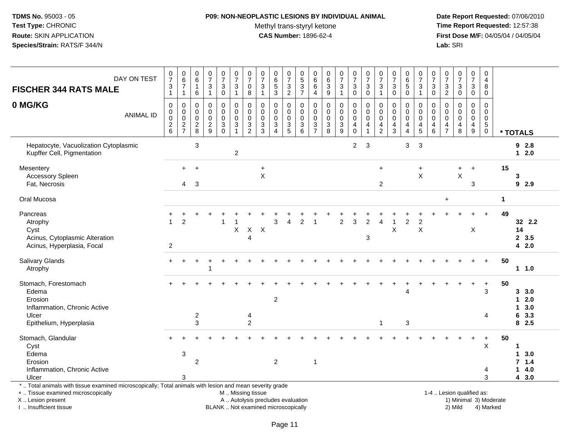### **P09: NON-NEOPLASTIC LESIONS BY INDIVIDUAL ANIMAL**

Methyl trans-styryl ketone<br>CAS Number: 1896-62-4

 **Date Report Requested:** 07/06/2010 **Time Report Requested:** 12:57:38 **First Dose M/F:** 04/05/04 / 04/05/04<br>Lab: SRI **Lab:** SRI

| <b>FISCHER 344 RATS MALE</b>                                                                                                                                                                  | DAY ON TEST      | $\begin{smallmatrix}0\\7\end{smallmatrix}$<br>$\ensuremath{\mathsf{3}}$<br>$\mathbf{1}$ | $\begin{array}{c} 0 \\ 6 \end{array}$<br>$\overline{7}$<br>$\mathbf{1}$ | 0<br>$\,6\,$<br>$\mathbf{1}$<br>6               | $\begin{array}{c} 0 \\ 7 \end{array}$<br>$\sqrt{3}$<br>$\overline{1}$ | $\begin{array}{c} 0 \\ 7 \end{array}$<br>3<br>$\mathsf 0$                    | 0<br>$\overline{7}$<br>3<br>$\mathbf{1}$             | $\frac{0}{7}$<br>0<br>$\,8\,$                    | $\begin{array}{c} 0 \\ 7 \end{array}$<br>3<br>$\mathbf{1}$ | $\pmb{0}$<br>$6\phantom{a}$<br>$\sqrt{5}$<br>$\mathfrak{Z}$              | $\frac{0}{7}$<br>$\sqrt{3}$<br>$\overline{2}$              | $\boldsymbol{0}$<br>$\overline{5}$<br>$\mathbf{3}$<br>$\overline{7}$ | 0<br>$\,6\,$<br>6<br>4                                     | $\pmb{0}$<br>$\,6\,$<br>3<br>$\boldsymbol{9}$                                            | $\frac{0}{7}$<br>3<br>$\mathbf{1}$     | $\begin{array}{c} 0 \\ 7 \end{array}$<br>$\mathbf{3}$<br>$\pmb{0}$              | $\frac{0}{7}$<br>$\sqrt{3}$<br>$\pmb{0}$ | $\begin{array}{c} 0 \\ 7 \end{array}$<br>$\mathbf{3}$<br>$\mathbf{1}$ | $\frac{0}{7}$<br>3<br>$\mathbf 0$                                | 0<br>$\,6\,$<br>5<br>$\pmb{0}$               | $\begin{smallmatrix}0\\7\end{smallmatrix}$<br>3<br>$\mathbf{1}$ | 0<br>$\overline{7}$<br>3<br>0   | $\frac{0}{7}$<br>$\mathbf{3}$<br>$\overline{2}$ | $\begin{array}{c} 0 \\ 7 \end{array}$<br>$\sqrt{3}$<br>$\ddot{\mathbf{0}}$ | $\begin{array}{c} 0 \\ 7 \end{array}$<br>3<br>$\pmb{0}$                                    | $\boldsymbol{0}$<br>$\overline{4}$<br>8<br>$\mathbf 0$                      |                        |                                            |
|-----------------------------------------------------------------------------------------------------------------------------------------------------------------------------------------------|------------------|-----------------------------------------------------------------------------------------|-------------------------------------------------------------------------|-------------------------------------------------|-----------------------------------------------------------------------|------------------------------------------------------------------------------|------------------------------------------------------|--------------------------------------------------|------------------------------------------------------------|--------------------------------------------------------------------------|------------------------------------------------------------|----------------------------------------------------------------------|------------------------------------------------------------|------------------------------------------------------------------------------------------|----------------------------------------|---------------------------------------------------------------------------------|------------------------------------------|-----------------------------------------------------------------------|------------------------------------------------------------------|----------------------------------------------|-----------------------------------------------------------------|---------------------------------|-------------------------------------------------|----------------------------------------------------------------------------|--------------------------------------------------------------------------------------------|-----------------------------------------------------------------------------|------------------------|--------------------------------------------|
| 0 MG/KG                                                                                                                                                                                       | <b>ANIMAL ID</b> | $\mathbf 0$<br>0<br>0<br>$\frac{2}{6}$                                                  | $\mathbf 0$<br>$\pmb{0}$<br>$\pmb{0}$<br>$\frac{2}{7}$                  | $\mathbf 0$<br>0<br>$\mathbf 0$<br>$^2_{\bf 8}$ | $\mathbf 0$<br>$\mathbf 0$<br>$\mathbf 0$<br>$\frac{2}{9}$            | 0<br>$\pmb{0}$<br>$\mathbf 0$<br>$\ensuremath{\mathsf{3}}$<br>$\overline{0}$ | 0<br>$\mathbf 0$<br>$\mathbf 0$<br>3<br>$\mathbf{1}$ | $\mathbf 0$<br>0<br>$\mathbf 0$<br>$\frac{3}{2}$ | 0<br>0<br>$\mathbf 0$<br>$\frac{3}{3}$                     | $\mathbf 0$<br>0<br>$\mathbf 0$<br>$\ensuremath{\mathsf{3}}$<br>$\Delta$ | $\mathbf 0$<br>$\mathbf 0$<br>$\mathbf 0$<br>$\frac{3}{5}$ | $\Omega$<br>$\mathbf 0$<br>$\mathbf 0$<br>$\frac{3}{6}$              | $\mathbf 0$<br>$\mathbf 0$<br>$\mathbf 0$<br>$\frac{3}{7}$ | $\mathbf 0$<br>$\mathbf 0$<br>$\mathbf 0$<br>$\ensuremath{\mathsf{3}}$<br>$\overline{8}$ | 0<br>$\mathbf 0$<br>0<br>$\frac{3}{9}$ | $\mathbf 0$<br>$\pmb{0}$<br>$\mathsf 0$<br>$\begin{matrix} 4 \\ 0 \end{matrix}$ | $\mathbf 0$<br>0<br>$\mathbf 0$<br>4     | $\mathbf 0$<br>0<br>$\pmb{0}$<br>$\frac{4}{2}$                        | $\mathbf 0$<br>$\mathbf 0$<br>$\mathbf 0$<br>4<br>$\overline{3}$ | 0<br>0<br>$\mathbf 0$<br>4<br>$\overline{4}$ | 0<br>0<br>$\mathbf 0$<br>$\frac{4}{5}$                          | 0<br>0<br>$\mathbf 0$<br>4<br>6 | 0<br>0<br>$\mathbf 0$<br>$\frac{4}{7}$          | $\mathbf 0$<br>$\mathbf 0$<br>$\mathbf 0$<br>$\overline{4}$<br>8           | $\mathbf 0$<br>$\mathsf{O}\xspace$<br>$\mathbf 0$<br>$\begin{array}{c} 4 \\ 9 \end{array}$ | $\mathbf 0$<br>$\mathbf 0$<br>$\mathbf 0$<br>$5\phantom{.0}$<br>$\mathbf 0$ |                        | * TOTALS                                   |
| Hepatocyte, Vacuolization Cytoplasmic<br>Kupffer Cell, Pigmentation                                                                                                                           |                  |                                                                                         |                                                                         | $\ensuremath{\mathsf{3}}$                       |                                                                       |                                                                              | $\overline{2}$                                       |                                                  |                                                            |                                                                          |                                                            |                                                                      |                                                            |                                                                                          |                                        | $\overline{2}$                                                                  | $\mathbf{3}$                             |                                                                       |                                                                  | 3                                            | 3                                                               |                                 |                                                 |                                                                            |                                                                                            |                                                                             |                        | 92.8<br>$12.0$                             |
| Mesentery<br><b>Accessory Spleen</b><br>Fat, Necrosis                                                                                                                                         |                  |                                                                                         | $\ddot{}$<br>$\overline{4}$                                             | $\ddot{}$<br>3                                  |                                                                       |                                                                              |                                                      |                                                  | $\ddot{}$<br>$\mathsf X$                                   |                                                                          |                                                            |                                                                      |                                                            |                                                                                          |                                        |                                                                                 |                                          | $\ddot{}$<br>$\overline{c}$                                           |                                                                  |                                              | $\ddot{}$<br>$\sf X$                                            |                                 |                                                 | +<br>$\mathsf X$                                                           | $\ddot{}$<br>3                                                                             |                                                                             | 15                     | 3<br>92.9                                  |
| Oral Mucosa                                                                                                                                                                                   |                  |                                                                                         |                                                                         |                                                 |                                                                       |                                                                              |                                                      |                                                  |                                                            |                                                                          |                                                            |                                                                      |                                                            |                                                                                          |                                        |                                                                                 |                                          |                                                                       |                                                                  |                                              |                                                                 |                                 | $\ddot{}$                                       |                                                                            |                                                                                            |                                                                             | $\mathbf{1}$           |                                            |
| Pancreas<br>Atrophy<br>Cyst<br>Acinus, Cytoplasmic Alteration<br>Acinus, Hyperplasia, Focal                                                                                                   |                  | $\overline{2}$                                                                          | $\overline{2}$                                                          |                                                 |                                                                       | 1                                                                            | X                                                    | $\mathsf X$<br>4                                 | $\boldsymbol{\mathsf{X}}$                                  | 3                                                                        | Δ                                                          | 2                                                                    |                                                            |                                                                                          | $\overline{2}$                         | 3                                                                               | $\overline{2}$<br>3                      | Δ                                                                     | X                                                                | $\overline{c}$                               | 2<br>$\sf X$                                                    |                                 |                                                 |                                                                            | X                                                                                          |                                                                             | 49                     | 32 2.2<br>14<br>2, 3.5<br>42.0             |
| Salivary Glands<br>Atrophy                                                                                                                                                                    |                  |                                                                                         |                                                                         |                                                 | -1                                                                    |                                                                              |                                                      |                                                  |                                                            |                                                                          |                                                            |                                                                      |                                                            |                                                                                          |                                        |                                                                                 |                                          |                                                                       |                                                                  |                                              |                                                                 |                                 |                                                 |                                                                            |                                                                                            | $+$                                                                         | 50                     | 11.0                                       |
| Stomach, Forestomach<br>Edema<br>Erosion<br>Inflammation, Chronic Active<br>Ulcer<br>Epithelium, Hyperplasia                                                                                  |                  |                                                                                         |                                                                         | $\overline{2}$<br>$\mathbf{3}$                  |                                                                       |                                                                              |                                                      | 4<br>$\overline{c}$                              |                                                            | $\overline{2}$                                                           |                                                            |                                                                      |                                                            |                                                                                          |                                        |                                                                                 |                                          | $\mathbf{1}$                                                          |                                                                  | Δ<br>3                                       |                                                                 |                                 |                                                 |                                                                            | $\ddot{}$                                                                                  | $\ddot{}$<br>3<br>4                                                         | 50                     | 3.0<br>$12.0$<br>3.0<br>1<br>6 3.3<br>82.5 |
| Stomach, Glandular<br>Cyst<br>Edema<br>Erosion<br>Inflammation, Chronic Active<br>Ulcer                                                                                                       |                  |                                                                                         | 3<br>3                                                                  | 2                                               |                                                                       |                                                                              |                                                      |                                                  |                                                            | $\overline{2}$                                                           |                                                            |                                                                      | $\mathbf{1}$                                               |                                                                                          |                                        |                                                                                 |                                          |                                                                       |                                                                  |                                              |                                                                 |                                 |                                                 |                                                                            | $\ddot{}$                                                                                  | $\ddot{}$<br>X<br>4<br>3                                                    | 50                     | 1<br>3.0<br>1<br>7, 1.4<br>14.0<br>43.0    |
| *  Total animals with tissue examined microscopically; Total animals with lesion and mean severity grade<br>+  Tissue examined microscopically<br>X  Lesion present<br>I  Insufficient tissue |                  |                                                                                         |                                                                         |                                                 |                                                                       |                                                                              | M  Missing tissue                                    |                                                  |                                                            | A  Autolysis precludes evaluation<br>BLANK  Not examined microscopically |                                                            |                                                                      |                                                            |                                                                                          |                                        |                                                                                 |                                          |                                                                       |                                                                  |                                              |                                                                 |                                 |                                                 | 1-4  Lesion qualified as:<br>2) Mild                                       |                                                                                            | 4) Marked                                                                   | 1) Minimal 3) Moderate |                                            |

I .. Insufficient tissue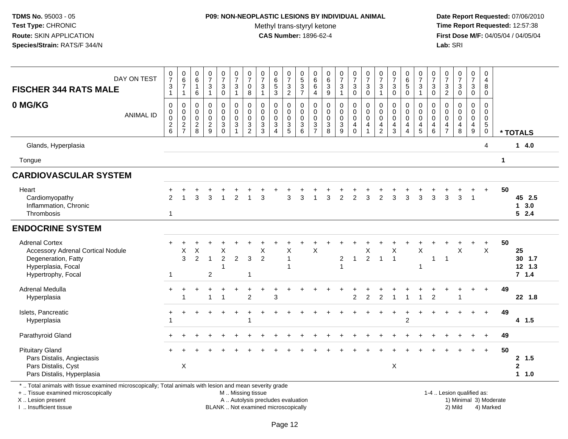## **P09: NON-NEOPLASTIC LESIONS BY INDIVIDUAL ANIMAL**

Methyl trans-styryl ketone<br>CAS Number: 1896-62-4

 **Date Report Requested:** 07/06/2010 **Time Report Requested:** 12:57:38 **First Dose M/F:** 04/05/04 / 04/05/04<br>**Lab:** SRI **Lab:** SRI

| DAY ON TEST<br><b>FISCHER 344 RATS MALE</b>                                                                                          | $\frac{0}{7}$<br>$\ensuremath{\mathsf{3}}$<br>$\mathbf{1}$ | $\begin{array}{c} 0 \\ 6 \end{array}$<br>$\overline{7}$<br>$\mathbf{1}$ | $\begin{array}{c} 0 \\ 6 \end{array}$<br>$\mathbf{1}$<br>6      | $\begin{smallmatrix} 0\\7 \end{smallmatrix}$<br>$\ensuremath{\mathsf{3}}$<br>$\mathbf{1}$ | $\frac{0}{7}$<br>$\sqrt{3}$<br>$\pmb{0}$                  | $\frac{0}{7}$<br>$\ensuremath{\mathsf{3}}$<br>$\mathbf{1}$                        | $\pmb{0}$<br>$\overline{7}$<br>$\mathbf 0$<br>8                     | $\begin{array}{c} 0 \\ 7 \end{array}$<br>$\sqrt{3}$<br>$\overline{1}$      | $\begin{array}{c} 0 \\ 6 \\ 5 \end{array}$<br>$\sqrt{3}$                                | $\begin{array}{c} 0 \\ 7 \end{array}$<br>$\sqrt{3}$<br>$\overline{2}$ | $\begin{array}{c} 0 \\ 5 \end{array}$<br>$\frac{3}{7}$ | $\mathbf 0$<br>$\,6\,$<br>$\,6\,$<br>$\overline{4}$                            | $\begin{array}{c} 0 \\ 6 \end{array}$<br>$\mathbf 3$<br>$9\,$ | $\frac{0}{7}$<br>3<br>$\mathbf{1}$ | $\begin{array}{c} 0 \\ 7 \end{array}$<br>$\ensuremath{\mathsf{3}}$<br>$\mathbf 0$ | $\frac{0}{7}$<br>$\sqrt{3}$<br>$\mathbf 0$                                   | $\frac{0}{7}$<br>3<br>$\overline{1}$                             | $\begin{matrix} 0 \\ 7 \end{matrix}$<br>$\sqrt{3}$<br>$\mathbf{0}$ | $\pmb{0}$<br>$\,6$<br>$\sqrt{5}$<br>$\mathbf 0$ | $\begin{smallmatrix}0\\7\end{smallmatrix}$<br>$\mathbf 3$<br>$\mathbf{1}$ | $\mathbf 0$<br>$\overline{7}$<br>3<br>$\Omega$ | 0<br>$\overline{7}$<br>$\ensuremath{\mathsf{3}}$<br>$\overline{2}$ | $\begin{smallmatrix}0\\7\end{smallmatrix}$<br>$\sqrt{3}$<br>$\pmb{0}$            | $\pmb{0}$<br>$\overline{7}$<br>$\sqrt{3}$<br>$\mathbf 0$       | $\mathbf 0$<br>$\overline{4}$<br>$\bf8$<br>$\mathbf 0$                   |             |                                   |
|--------------------------------------------------------------------------------------------------------------------------------------|------------------------------------------------------------|-------------------------------------------------------------------------|-----------------------------------------------------------------|-------------------------------------------------------------------------------------------|-----------------------------------------------------------|-----------------------------------------------------------------------------------|---------------------------------------------------------------------|----------------------------------------------------------------------------|-----------------------------------------------------------------------------------------|-----------------------------------------------------------------------|--------------------------------------------------------|--------------------------------------------------------------------------------|---------------------------------------------------------------|------------------------------------|-----------------------------------------------------------------------------------|------------------------------------------------------------------------------|------------------------------------------------------------------|--------------------------------------------------------------------|-------------------------------------------------|---------------------------------------------------------------------------|------------------------------------------------|--------------------------------------------------------------------|----------------------------------------------------------------------------------|----------------------------------------------------------------|--------------------------------------------------------------------------|-------------|-----------------------------------|
| 0 MG/KG<br><b>ANIMAL ID</b>                                                                                                          | $\mathbf 0$<br>$\pmb{0}$<br>$\mathbf 0$<br>$\frac{2}{6}$   | 0<br>$\pmb{0}$<br>$\overline{0}$<br>$\frac{2}{7}$                       | $\mathbf 0$<br>$\boldsymbol{0}$<br>$\mathbf 0$<br>$\frac{2}{8}$ | $\mathbf 0$<br>$\mathbf 0$<br>$\mathbf 0$<br>$\frac{2}{9}$                                | $\mathbf 0$<br>$\pmb{0}$<br>$\pmb{0}$<br>3<br>$\mathbf 0$ | $\mathbf 0$<br>$\mathsf{O}\xspace$<br>$\pmb{0}$<br>$\overline{3}$<br>$\mathbf{1}$ | $\Omega$<br>$\mathbf 0$<br>$\Omega$<br>$\sqrt{3}$<br>$\overline{2}$ | $\mathbf{0}$<br>$\mathbf 0$<br>$\mathbf 0$<br>$\sqrt{3}$<br>$\overline{3}$ | $\mathbf 0$<br>$\pmb{0}$<br>$\ddot{\mathbf{0}}$<br>$\sqrt{3}$<br>$\boldsymbol{\Lambda}$ | 0<br>$\mathbf 0$<br>$\mathbf 0$<br>$\sqrt{3}$<br>$\overline{5}$       | $\Omega$<br>$\mathbf 0$<br>$\Omega$<br>$\sqrt{3}$<br>6 | $\mathbf 0$<br>$\boldsymbol{0}$<br>$\mathbf 0$<br>$\sqrt{3}$<br>$\overline{7}$ | $\mathbf 0$<br>$\mathbf 0$<br>$\overline{0}$<br>$\frac{3}{8}$ | 0<br>$\mathbf 0$<br>0<br>3<br>9    | $\mathbf 0$<br>$\mathsf{O}\xspace$<br>$\pmb{0}$<br>4<br>$\mathbf 0$               | $\mathbf 0$<br>$\pmb{0}$<br>$\overline{0}$<br>$\overline{4}$<br>$\mathbf{1}$ | $\mathbf 0$<br>$\mathbf 0$<br>$\mathbf 0$<br>4<br>$\overline{2}$ | $\mathbf 0$<br>$\pmb{0}$<br>$\mathbf 0$<br>$\overline{a}$<br>3     | 0<br>$\pmb{0}$<br>$\mathbf 0$<br>4<br>4         | $\mathbf 0$<br>$\mathbf 0$<br>$\overline{0}$<br>4<br>5                    | $\Omega$<br>$\Omega$<br>$\Omega$<br>4<br>6     | $\Omega$<br>$\mathbf 0$<br>$\mathbf 0$<br>4<br>$\overline{7}$      | $\mathbf 0$<br>$\mathsf{O}\xspace$<br>$\ddot{\mathbf{0}}$<br>$\overline{4}$<br>8 | $\mathbf 0$<br>$\mathbf 0$<br>$\pmb{0}$<br>$\overline{4}$<br>9 | $\Omega$<br>$\mathbf 0$<br>$\mathbf 0$<br>$5\phantom{.0}$<br>$\mathbf 0$ |             | * TOTALS                          |
| Glands, Hyperplasia                                                                                                                  |                                                            |                                                                         |                                                                 |                                                                                           |                                                           |                                                                                   |                                                                     |                                                                            |                                                                                         |                                                                       |                                                        |                                                                                |                                                               |                                    |                                                                                   |                                                                              |                                                                  |                                                                    |                                                 |                                                                           |                                                |                                                                    |                                                                                  |                                                                | 4                                                                        |             | 14.0                              |
| Tongue                                                                                                                               |                                                            |                                                                         |                                                                 |                                                                                           |                                                           |                                                                                   |                                                                     |                                                                            |                                                                                         |                                                                       |                                                        |                                                                                |                                                               |                                    |                                                                                   |                                                                              |                                                                  |                                                                    |                                                 |                                                                           |                                                |                                                                    |                                                                                  |                                                                |                                                                          | $\mathbf 1$ |                                   |
| <b>CARDIOVASCULAR SYSTEM</b>                                                                                                         |                                                            |                                                                         |                                                                 |                                                                                           |                                                           |                                                                                   |                                                                     |                                                                            |                                                                                         |                                                                       |                                                        |                                                                                |                                                               |                                    |                                                                                   |                                                                              |                                                                  |                                                                    |                                                 |                                                                           |                                                |                                                                    |                                                                                  |                                                                |                                                                          |             |                                   |
| Heart<br>Cardiomyopathy<br>Inflammation, Chronic<br>Thrombosis                                                                       | $\mathfrak{p}$<br>$\mathbf{1}$                             |                                                                         | 3                                                               | 3                                                                                         |                                                           | $\overline{2}$                                                                    |                                                                     | 3                                                                          |                                                                                         | 3                                                                     | 3                                                      |                                                                                | 3                                                             | $\overline{2}$                     | $\overline{2}$                                                                    | 3                                                                            | $\mathfrak{p}$                                                   | 3                                                                  | 3                                               | 3                                                                         | 3                                              | 3                                                                  | 3                                                                                | $\overline{1}$                                                 | $\ddot{}$                                                                | 50          | 45 2.5<br>$1 \quad 3.0$<br>52.4   |
| <b>ENDOCRINE SYSTEM</b>                                                                                                              |                                                            |                                                                         |                                                                 |                                                                                           |                                                           |                                                                                   |                                                                     |                                                                            |                                                                                         |                                                                       |                                                        |                                                                                |                                                               |                                    |                                                                                   |                                                                              |                                                                  |                                                                    |                                                 |                                                                           |                                                |                                                                    |                                                                                  |                                                                |                                                                          |             |                                   |
| <b>Adrenal Cortex</b><br><b>Accessory Adrenal Cortical Nodule</b><br>Degeneration, Fatty<br>Hyperplasia, Focal<br>Hypertrophy, Focal | $+$<br>$\mathbf 1$                                         | X<br>$\overline{3}$                                                     | X<br>$\overline{2}$                                             | $\overline{1}$<br>$\overline{2}$                                                          | X<br>$\overline{c}$<br>1                                  | $\overline{2}$                                                                    | 3<br>$\overline{1}$                                                 | X<br>$\overline{2}$                                                        |                                                                                         | X<br>$\overline{1}$                                                   |                                                        | $\mathsf{X}$                                                                   |                                                               | $\overline{c}$                     | $\mathbf{1}$                                                                      | X<br>$\overline{2}$                                                          | $\overline{1}$                                                   | X<br>$\overline{1}$                                                |                                                 | $\sf X$                                                                   | $\mathbf{1}$                                   | -1                                                                 | $\overline{1}$<br>X                                                              | $+$                                                            | $\ddot{}$<br>$\mathsf{X}$                                                | 50          | 25<br>30 1.7<br>$12$ 1.3<br>7.1.4 |
| Adrenal Medulla<br>Hyperplasia                                                                                                       |                                                            | -1                                                                      |                                                                 | $\overline{1}$                                                                            | 1                                                         |                                                                                   | $\overline{c}$                                                      |                                                                            | 3                                                                                       |                                                                       |                                                        |                                                                                |                                                               |                                    | $\overline{2}$                                                                    | $\overline{2}$                                                               | $\overline{c}$                                                   | 1                                                                  | $\overline{1}$                                  | $\mathbf{1}$                                                              | $\overline{2}$                                 |                                                                    |                                                                                  |                                                                | $\ddot{}$                                                                | 49          | 22 1.8                            |
| Islets, Pancreatic<br>Hyperplasia                                                                                                    | $\pm$                                                      | ÷                                                                       |                                                                 |                                                                                           | $\ddot{}$                                                 | $\ddot{}$                                                                         | $\overline{ }$                                                      |                                                                            |                                                                                         |                                                                       |                                                        |                                                                                |                                                               |                                    |                                                                                   |                                                                              |                                                                  | $\ddot{}$                                                          | ÷<br>2                                          |                                                                           |                                                |                                                                    |                                                                                  | $+$                                                            | $+$                                                                      | 49          | 4 1.5                             |
| Parathyroid Gland                                                                                                                    |                                                            |                                                                         |                                                                 |                                                                                           |                                                           |                                                                                   |                                                                     |                                                                            |                                                                                         |                                                                       |                                                        |                                                                                |                                                               |                                    |                                                                                   |                                                                              |                                                                  |                                                                    |                                                 |                                                                           |                                                |                                                                    |                                                                                  |                                                                |                                                                          | 49          |                                   |
| <b>Pituitary Gland</b><br>Pars Distalis, Angiectasis<br>Pars Distalis, Cyst<br>Pars Distalis, Hyperplasia                            |                                                            | X                                                                       |                                                                 |                                                                                           |                                                           |                                                                                   |                                                                     |                                                                            |                                                                                         |                                                                       |                                                        |                                                                                |                                                               |                                    |                                                                                   |                                                                              |                                                                  | $\pmb{\times}$                                                     |                                                 |                                                                           |                                                |                                                                    |                                                                                  |                                                                | $+$                                                                      | 50          | 2, 1.5<br>$\mathbf 2$<br>1 1.0    |

\* .. Total animals with tissue examined microscopically; Total animals with lesion and mean severity grade

+ .. Tissue examined microscopically

X .. Lesion present

I .. Insufficient tissue

M .. Missing tissue

BLANK .. Not examined microscopically

1-4 .. Lesion qualified as:<br>1) Minimal 3) Moderate A .. Autolysis precludes evaluation 19 and 10 minimal 3) Moderate 1 and 20 minimal 3) Moderate 19 minimal 3) Moderat<br>19 and 19 and 19 and 19 and 19 and 19 and 19 and 19 and 19 and 19 and 19 and 19 and 19 and 19 and 19 and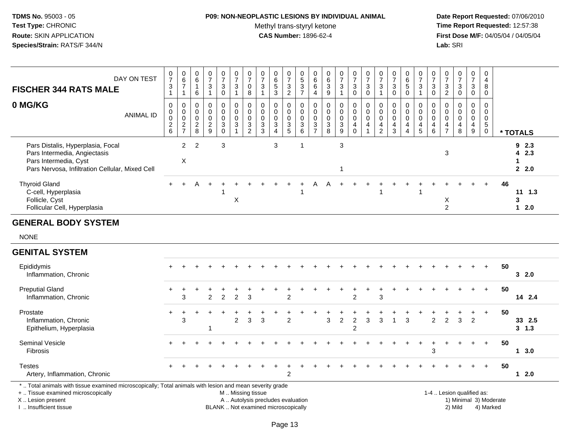# **P09: NON-NEOPLASTIC LESIONS BY INDIVIDUAL ANIMAL**

Methyl trans-styryl ketone<br>CAS Number: 1896-62-4

 **Date Report Requested:** 07/06/2010 **Time Report Requested:** 12:57:38 **First Dose M/F:** 04/05/04 / 04/05/04<br>Lab: SRI **Lab:** SRI

| DAY ON TEST<br><b>FISCHER 344 RATS MALE</b>                                                                                                   | 0<br>$\overline{7}$<br>3           | 0<br>$\,6$<br>$\rightarrow$                                        | $\begin{matrix} 0 \\ 6 \end{matrix}$<br>6       | $\frac{0}{7}$<br>$\mathbf{3}$      | $\frac{0}{7}$<br>3<br>0            | $\frac{0}{7}$<br>$\mathbf{3}$   | $\frac{0}{7}$<br>0<br>8                      | $\frac{0}{7}$<br>3  | 0<br>6<br>$\overline{5}$<br>3                                                 | 0<br>$\overline{ }$<br>3<br>$\overline{c}$ | $\begin{array}{c} 0 \\ 5 \\ 3 \end{array}$<br>$\overline{ }$ | $\begin{matrix} 0 \\ 6 \end{matrix}$<br>$\,6\,$<br>4 | $\begin{matrix} 0 \\ 6 \end{matrix}$<br>$\sqrt{3}$<br>9 | $\frac{0}{7}$<br>$\mathbf{3}$        | $\frac{0}{7}$<br>$\mathbf{3}$<br>0 | $\frac{0}{7}$<br>$\mathbf{3}$<br>$\pmb{0}$               | $\frac{0}{7}$<br>3                                 | $\frac{0}{7}$<br>$\mathbf{3}$<br>$\overline{0}$ | $0\over 6$<br>5<br>$\overline{0}$  | $\frac{0}{7}$<br>3    | $\frac{0}{7}$<br>$\mathbf{3}$<br>$\mathbf 0$                | $\frac{0}{7}$<br>3<br>$\overline{c}$               | $\frac{0}{7}$<br>$\mathbf{3}$<br>$\mathbf 0$ | $\frac{0}{7}$<br>3<br>0 | 0<br>4<br>8<br>0               |    |                          |
|-----------------------------------------------------------------------------------------------------------------------------------------------|------------------------------------|--------------------------------------------------------------------|-------------------------------------------------|------------------------------------|------------------------------------|---------------------------------|----------------------------------------------|---------------------|-------------------------------------------------------------------------------|--------------------------------------------|--------------------------------------------------------------|------------------------------------------------------|---------------------------------------------------------|--------------------------------------|------------------------------------|----------------------------------------------------------|----------------------------------------------------|-------------------------------------------------|------------------------------------|-----------------------|-------------------------------------------------------------|----------------------------------------------------|----------------------------------------------|-------------------------|--------------------------------|----|--------------------------|
| 0 MG/KG<br><b>ANIMAL ID</b>                                                                                                                   | 0<br>0<br>0<br>$\overline{2}$<br>6 | 0<br>$\pmb{0}$<br>$\mathbf 0$<br>$\boldsymbol{2}$<br>$\rightarrow$ | $\pmb{0}$<br>$\mathbf 0$<br>$\overline{c}$<br>8 | 0<br>0<br>0<br>$\overline{2}$<br>9 | 0<br>0<br>0<br>$\mathfrak{S}$<br>0 | 0<br>$\pmb{0}$<br>$\frac{0}{3}$ | 0<br>0<br>$\mathsf 0$<br>3<br>$\overline{2}$ | $\pmb{0}$<br>3<br>3 | 0<br>0<br>$\mathsf 0$<br>$\ensuremath{\mathsf{3}}$<br>$\overline{\mathbf{4}}$ | 0<br>0<br>0<br>3<br>5                      | $\pmb{0}$<br>$\frac{0}{3}$<br>6                              | 0<br>$\,0\,$<br>$\pmb{0}$<br>3<br>$\overline{ }$     | $\mathbf 0$<br>$\pmb{0}$<br>3<br>8                      | 0<br>$\pmb{0}$<br>$\frac{0}{3}$<br>9 | 0<br>0<br>0<br>$\overline{4}$      | $\mathbf 0$<br>$\begin{matrix} 0 \\ 0 \\ 4 \end{matrix}$ | 0<br>$\pmb{0}$<br>$\pmb{0}$<br>4<br>$\overline{2}$ | $\mathbf 0$<br>4<br>3                           | 0<br>0<br>0<br>4<br>$\overline{4}$ | 0<br>0<br>0<br>4<br>5 | 0<br>$\pmb{0}$<br>$\pmb{0}$<br>$\overline{\mathbf{4}}$<br>6 | 0<br>$\pmb{0}$<br>$\pmb{0}$<br>4<br>$\overline{ }$ | 0<br>4<br>8                                  | 0<br>0<br>0<br>4<br>9   | $5\phantom{.0}$<br>$\mathbf 0$ |    | * TOTALS                 |
| Pars Distalis, Hyperplasia, Focal<br>Pars Intermedia, Angiectasis<br>Pars Intermedia, Cyst<br>Pars Nervosa, Infiltration Cellular, Mixed Cell |                                    | $\overline{2}$<br>X                                                | 2                                               |                                    | 3                                  |                                 |                                              |                     | 3                                                                             |                                            |                                                              |                                                      |                                                         | 3                                    |                                    |                                                          |                                                    |                                                 |                                    |                       |                                                             | 3                                                  |                                              |                         |                                |    | 92.3<br>4 2.3<br>$2^{2}$ |
| <b>Thyroid Gland</b><br>C-cell, Hyperplasia<br>Follicle, Cyst<br>Follicular Cell, Hyperplasia                                                 | $+$                                | $+$                                                                | A                                               | $+$                                | $+$                                | $+$<br>Х                        | $\div$                                       |                     |                                                                               |                                            |                                                              |                                                      |                                                         |                                      |                                    |                                                          |                                                    |                                                 |                                    |                       |                                                             | ᄉ<br>$\overline{2}$                                |                                              | $+$                     | $+$                            | 46 | 1.3<br>11<br>3<br>$12.0$ |

#### **GENERAL BODY SYSTEM**

NONE

#### **GENITAL SYSTEM**

| Epididymis<br>Inflammation, Chronic | $+$   |   |               |               |                |   |     |               |  |   |   |                |   |   |   |   |   |   |    |     | 50 | 32.0      |  |
|-------------------------------------|-------|---|---------------|---------------|----------------|---|-----|---------------|--|---|---|----------------|---|---|---|---|---|---|----|-----|----|-----------|--|
| <b>Preputial Gland</b>              |       |   |               |               |                |   |     |               |  |   |   |                |   |   |   |   |   |   |    |     | 50 |           |  |
| Inflammation, Chronic               |       | 3 | $\mathcal{P}$ | $\mathcal{P}$ | 2              | 3 |     | 2             |  |   |   | $\overline{2}$ |   | 3 |   |   |   |   |    |     |    | 14 2.4    |  |
| Prostate                            | $\pm$ |   |               |               |                |   |     |               |  |   |   |                |   |   |   |   |   |   |    | $+$ | 50 |           |  |
| Inflammation, Chronic               |       | 3 |               |               | $\overline{2}$ | 3 | - 3 | 2             |  | 3 | 2 | 2              | 3 | 3 | 3 | 2 | 2 | 3 | -2 |     |    | 33 2.5    |  |
| Epithelium, Hyperplasia             |       |   |               |               |                |   |     |               |  |   |   | 2              |   |   |   |   |   |   |    |     |    | $3 \t1.3$ |  |
| <b>Seminal Vesicle</b>              |       |   |               |               |                |   |     |               |  |   |   |                |   |   |   |   |   |   |    |     | 50 |           |  |
| Fibrosis                            |       |   |               |               |                |   |     |               |  |   |   |                |   |   |   | 3 |   |   |    |     |    | 1 3.0     |  |
| <b>Testes</b>                       |       |   |               |               |                |   |     |               |  |   |   |                |   |   |   |   |   |   |    |     | 50 |           |  |
| Artery, Inflammation, Chronic       |       |   |               |               |                |   |     | $\mathcal{P}$ |  |   |   |                |   |   |   |   |   |   |    |     |    | 1 2.0     |  |

X .. Lesion present

I .. Insufficient tissue

A .. Autolysis precludes evaluation

BLANK .. Not examined microscopically 2) Mild 4) Marked

1-4 .. Lesion qualified as:<br>1) Minimal 3) Moderate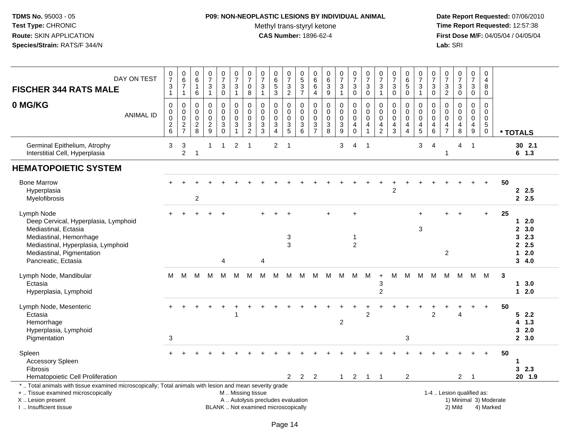## **P09: NON-NEOPLASTIC LESIONS BY INDIVIDUAL ANIMAL**

Methyl trans-styryl ketone<br>CAS Number: 1896-62-4

| <b>FISCHER 344 RATS MALE</b>                                                                                                                                                                    | DAY ON TEST      | $\frac{0}{7}$<br>$\ensuremath{\mathsf{3}}$<br>$\mathbf{1}$          | $\begin{array}{c} 0 \\ 6 \end{array}$<br>$\overline{7}$<br>$\mathbf{1}$ | $\begin{array}{c} 0 \\ 6 \end{array}$<br>$\mathbf{1}$<br>6 | $\frac{0}{7}$<br>3<br>$\mathbf{1}$               | $\begin{array}{c} 0 \\ 7 \end{array}$<br>$\mathbf{3}$<br>$\mathbf 0$   | $\frac{0}{7}$<br>$\sqrt{3}$<br>$\mathbf{1}$                                        | $\begin{array}{c} 0 \\ 7 \end{array}$<br>$\mathbf 0$<br>8 | $\begin{matrix} 0 \\ 7 \end{matrix}$<br>$\mathbf{3}$<br>$\mathbf{1}$     | $\begin{array}{c} 0 \\ 6 \end{array}$<br>$\overline{5}$<br>3 | $\begin{array}{c} 0 \\ 7 \end{array}$<br>$\mathbf{3}$<br>$\overline{2}$ | 0<br>$\frac{5}{3}$<br>$\overline{7}$ | $\pmb{0}$<br>$^6_{\ 6}$<br>$\overline{4}$      | $\begin{matrix} 0 \\ 6 \\ 3 \end{matrix}$<br>$\boldsymbol{9}$ | $\begin{array}{c} 0 \\ 7 \end{array}$<br>$\sqrt{3}$<br>$\mathbf{1}$ | $\frac{0}{7}$<br>$\sqrt{3}$<br>$\overline{0}$                         | $\frac{0}{7}$<br>3<br>$\mathbf 0$           | $\frac{0}{7}$<br>3<br>$\mathbf{1}$             | $\frac{0}{7}$<br>3<br>$\mathbf 0$                    | $\begin{array}{c} 0 \\ 6 \\ 5 \end{array}$<br>$\mathbf 0$ | $\frac{0}{7}$<br>$\sqrt{3}$<br>$\mathbf{1}$             | $\begin{smallmatrix}0\\7\end{smallmatrix}$<br>$\mathsf 3$<br>$\mathbf 0$         | $\begin{array}{c} 0 \\ 7 \end{array}$<br>$\sqrt{3}$<br>$\overline{2}$ | $\frac{0}{7}$<br>3<br>$\mathbf 0$         | $\begin{array}{c} 0 \\ 7 \end{array}$<br>$\mathbf{3}$<br>$\mathbf 0$     | $\mathsf 0$<br>$\overline{4}$<br>8<br>0       |    |                                                   |  |
|-------------------------------------------------------------------------------------------------------------------------------------------------------------------------------------------------|------------------|---------------------------------------------------------------------|-------------------------------------------------------------------------|------------------------------------------------------------|--------------------------------------------------|------------------------------------------------------------------------|------------------------------------------------------------------------------------|-----------------------------------------------------------|--------------------------------------------------------------------------|--------------------------------------------------------------|-------------------------------------------------------------------------|--------------------------------------|------------------------------------------------|---------------------------------------------------------------|---------------------------------------------------------------------|-----------------------------------------------------------------------|---------------------------------------------|------------------------------------------------|------------------------------------------------------|-----------------------------------------------------------|---------------------------------------------------------|----------------------------------------------------------------------------------|-----------------------------------------------------------------------|-------------------------------------------|--------------------------------------------------------------------------|-----------------------------------------------|----|---------------------------------------------------|--|
| 0 MG/KG                                                                                                                                                                                         | <b>ANIMAL ID</b> | $\Omega$<br>0<br>$\mathbf 0$<br>$\boldsymbol{2}$<br>$6\phantom{1}6$ | $\mathbf 0$<br>$\boldsymbol{0}$<br>$\mathbf 0$<br>$\frac{2}{7}$         | 0<br>$\mathbf 0$<br>0<br>$_{8}^2$                          | 0<br>$\mathbf 0$<br>$\mathbf 0$<br>$\frac{2}{9}$ | 0<br>$\mathbf 0$<br>$\pmb{0}$<br>$\overline{3}$<br>$\mathsf{O}\xspace$ | $\mathbf 0$<br>$\pmb{0}$<br>$\pmb{0}$<br>$\ensuremath{\mathsf{3}}$<br>$\mathbf{1}$ | 0<br>$\pmb{0}$<br>$\mathbf 0$<br>$\frac{3}{2}$            | $\Omega$<br>$\mathbf 0$<br>$\mathbf 0$<br>$\ensuremath{\mathsf{3}}$<br>3 | $\Omega$<br>0<br>$\mathbf 0$<br>3<br>$\overline{4}$          | $\mathbf 0$<br>$\mathbf 0$<br>$\mathbf 0$<br>$\frac{3}{5}$              | 0<br>0<br>$\mathbf 0$<br>3<br>6      | 0<br>$\mathsf{O}\xspace$<br>0<br>$\frac{3}{7}$ | $\mathbf 0$<br>$\mathbf 0$<br>$\pmb{0}$<br>$_8^3$             | 0<br>$\pmb{0}$<br>$\mathbf 0$<br>$_9^3$                             | $\Omega$<br>$\mathbf 0$<br>$\mathbf 0$<br>$\overline{4}$<br>$\pmb{0}$ | $\Omega$<br>$\mathbf 0$<br>$\mathbf 0$<br>4 | 0<br>$\pmb{0}$<br>$\mathbf 0$<br>$\frac{4}{2}$ | $\mathbf{0}$<br>$\mathbf 0$<br>$\mathbf 0$<br>4<br>3 | 0<br>$\mathbf 0$<br>0<br>$\frac{4}{4}$                    | $\Omega$<br>$\mathbf 0$<br>$\mathbf 0$<br>$\frac{4}{5}$ | $\mathbf 0$<br>$\pmb{0}$<br>$\mathbf 0$<br>$\begin{array}{c} 4 \\ 6 \end{array}$ | $\mathbf 0$<br>$\mathbf 0$<br>$\mathbf 0$<br>$\frac{4}{7}$            | 0<br>$\mathbf 0$<br>$\mathbf 0$<br>4<br>8 | 0<br>$\mathsf 0$<br>$\mathbf 0$<br>$\begin{array}{c} 4 \\ 9 \end{array}$ | $\Omega$<br>$\mathbf 0$<br>$\Omega$<br>5<br>0 |    | * TOTALS                                          |  |
| Germinal Epithelium, Atrophy<br>Interstitial Cell, Hyperplasia                                                                                                                                  |                  | 3                                                                   | $\ensuremath{\mathsf{3}}$<br>$\overline{2}$                             | $\mathbf{1}$                                               | 1                                                | -1                                                                     | 2                                                                                  | -1                                                        |                                                                          | $\overline{2}$                                               | $\overline{1}$                                                          |                                      |                                                |                                                               | 3                                                                   | 4                                                                     | $\overline{1}$                              |                                                |                                                      |                                                           | 3                                                       | 4                                                                                | 1                                                                     | 4                                         | $\overline{1}$                                                           |                                               |    | $30$ 2.1<br>$6$ 1.3                               |  |
| <b>HEMATOPOIETIC SYSTEM</b>                                                                                                                                                                     |                  |                                                                     |                                                                         |                                                            |                                                  |                                                                        |                                                                                    |                                                           |                                                                          |                                                              |                                                                         |                                      |                                                |                                                               |                                                                     |                                                                       |                                             |                                                |                                                      |                                                           |                                                         |                                                                                  |                                                                       |                                           |                                                                          |                                               |    |                                                   |  |
| <b>Bone Marrow</b><br>Hyperplasia<br>Myelofibrosis                                                                                                                                              |                  |                                                                     |                                                                         | $\overline{c}$                                             |                                                  |                                                                        |                                                                                    |                                                           |                                                                          |                                                              |                                                                         |                                      |                                                |                                                               |                                                                     |                                                                       |                                             |                                                | $\overline{2}$                                       |                                                           |                                                         |                                                                                  |                                                                       |                                           |                                                                          | $\ddot{}$                                     | 50 | 2.5<br>2.5                                        |  |
| Lymph Node<br>Deep Cervical, Hyperplasia, Lymphoid<br>Mediastinal, Ectasia<br>Mediastinal, Hemorrhage<br>Mediastinal, Hyperplasia, Lymphoid<br>Mediastinal, Pigmentation<br>Pancreatic, Ectasia |                  |                                                                     |                                                                         |                                                            |                                                  | 4                                                                      |                                                                                    |                                                           | 4                                                                        |                                                              | $\sqrt{3}$<br>3                                                         |                                      |                                                |                                                               |                                                                     | $\ddot{}$<br>$\overline{c}$                                           |                                             |                                                |                                                      |                                                           | 3                                                       |                                                                                  | $\sqrt{2}$                                                            | $\overline{1}$                            |                                                                          | $+$                                           | 25 | $12.0$<br>2, 3.0<br>32.3<br>2.5<br>$12.0$<br>34.0 |  |
| Lymph Node, Mandibular<br>Ectasia<br>Hyperplasia, Lymphoid                                                                                                                                      |                  | м                                                                   | м                                                                       | M                                                          | M                                                | м                                                                      | м                                                                                  | м                                                         | м                                                                        | M                                                            | м                                                                       | м                                    | M                                              | M                                                             | - M                                                                 | М                                                                     | м                                           | $\ddot{}$<br>3<br>2                            | м                                                    | M                                                         | м                                                       | М                                                                                |                                                                       | M M                                       | M                                                                        | M                                             | 3  | 13.0<br>$12.0$                                    |  |
| Lymph Node, Mesenteric<br>Ectasia<br>Hemorrhage<br>Hyperplasia, Lymphoid<br>Pigmentation                                                                                                        |                  | 3                                                                   |                                                                         |                                                            |                                                  |                                                                        |                                                                                    |                                                           |                                                                          |                                                              |                                                                         |                                      |                                                |                                                               | $\overline{c}$                                                      |                                                                       | $\overline{2}$                              |                                                |                                                      | 3                                                         |                                                         | $\overline{c}$                                                                   |                                                                       | Δ                                         |                                                                          |                                               | 50 | 52.2<br>$4$ 1.3<br>32.0<br>2, 3.0                 |  |
| Spleen<br>Accessory Spleen<br><b>Fibrosis</b><br>Hematopoietic Cell Proliferation                                                                                                               |                  |                                                                     |                                                                         |                                                            |                                                  |                                                                        |                                                                                    |                                                           |                                                                          |                                                              | $\mathbf{2}^{\circ}$                                                    | $\overline{2}$                       | $\overline{2}$                                 |                                                               | $\mathbf{1}$                                                        | $\overline{2}$                                                        | $\mathbf{1}$                                | $\overline{1}$                                 |                                                      | $\overline{2}$                                            |                                                         |                                                                                  |                                                                       | $\overline{2}$                            | $\overline{1}$                                                           |                                               | 50 | 1<br>32.3<br>20 1.9                               |  |
| *  Total animals with tissue examined microscopically; Total animals with lesion and mean severity grade<br>+  Tissue examined microscopically<br>X Lesion present<br>I. Insufficient tissue    |                  |                                                                     |                                                                         |                                                            |                                                  | BLANK  Not examined microscopically                                    |                                                                                    | M  Missing tissue                                         |                                                                          | A  Autolysis precludes evaluation                            |                                                                         |                                      |                                                |                                                               |                                                                     |                                                                       |                                             |                                                |                                                      |                                                           |                                                         |                                                                                  |                                                                       | 2) Mild                                   | 1-4  Lesion qualified as:                                                | 1) Minimal 3) Moderate<br>4) Marked           |    |                                                   |  |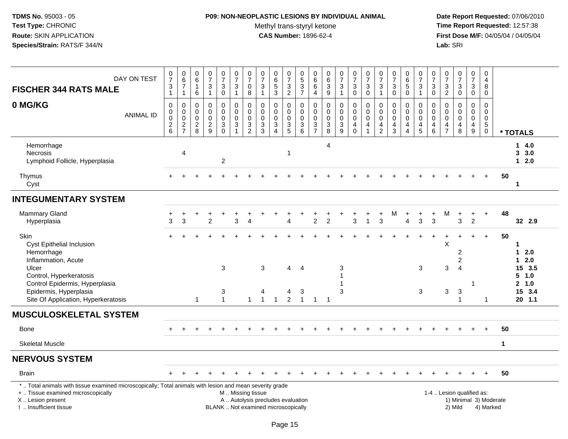## **P09: NON-NEOPLASTIC LESIONS BY INDIVIDUAL ANIMAL**

Methyl trans-styryl ketone<br>CAS Number: 1896-62-4

| DAY ON TEST<br><b>FISCHER 344 RATS MALE</b>                                                                                                                                                   | $\frac{0}{7}$<br>$\frac{3}{1}$                                               | $\begin{array}{c} 0 \\ 6 \end{array}$<br>$\overline{7}$<br>$\mathbf{1}$ | $\begin{array}{c} 0 \\ 6 \end{array}$<br>$\overline{1}$<br>6 | $\begin{array}{c} 0 \\ 7 \end{array}$<br>$\ensuremath{\mathsf{3}}$<br>$\mathbf{1}$ | $\frac{0}{7}$<br>3<br>$\mathbf 0$                      | $\begin{array}{c} 0 \\ 7 \end{array}$<br>$\ensuremath{\mathsf{3}}$<br>$\mathbf{1}$ | $\frac{0}{7}$<br>$\mathbf 0$<br>8                    | $\frac{0}{7}$<br>$\mathbf{3}$<br>$\mathbf{1}$                            | $065$<br>3                                                 | $\begin{smallmatrix}0\\7\end{smallmatrix}$<br>$\frac{3}{2}$ | $\begin{array}{c} 0 \\ 5 \end{array}$<br>$\frac{3}{7}$ | 0<br>$\overline{6}$<br>$\,6\,$<br>$\overline{a}$      | $\begin{array}{c} 0 \\ 6 \end{array}$<br>$\ensuremath{\mathsf{3}}$<br>$9\,$      | $\frac{0}{7}$<br>3<br>$\mathbf{1}$                     | $\frac{0}{7}$<br>$\ensuremath{\mathsf{3}}$<br>$\pmb{0}$                                  | $\frac{0}{7}$<br>$\ensuremath{\mathsf{3}}$<br>$\mathbf 0$    | $\frac{0}{7}$<br>$\ensuremath{\mathsf{3}}$<br>$\mathbf{1}$                                  | $\frac{0}{7}$<br>$\ensuremath{\mathsf{3}}$<br>$\mathbf 0$ | $\begin{array}{c} 0 \\ 6 \end{array}$<br>$\overline{5}$<br>$\mathbf 0$       | $\frac{0}{7}$<br>$\sqrt{3}$<br>$\mathbf{1}$                              | $\frac{0}{7}$<br>3<br>$\mathbf 0$            | $\frac{0}{7}$<br>$\frac{3}{2}$         | $\begin{array}{c} 0 \\ 7 \end{array}$<br>$_0^3$ | $\begin{array}{c} 0 \\ 7 \end{array}$<br>$\ensuremath{\mathsf{3}}$<br>$\mathbf 0$ | $\mathbf 0$<br>$\overline{a}$<br>8<br>$\mathbf 0$                              |             |                                                                    |
|-----------------------------------------------------------------------------------------------------------------------------------------------------------------------------------------------|------------------------------------------------------------------------------|-------------------------------------------------------------------------|--------------------------------------------------------------|------------------------------------------------------------------------------------|--------------------------------------------------------|------------------------------------------------------------------------------------|------------------------------------------------------|--------------------------------------------------------------------------|------------------------------------------------------------|-------------------------------------------------------------|--------------------------------------------------------|-------------------------------------------------------|----------------------------------------------------------------------------------|--------------------------------------------------------|------------------------------------------------------------------------------------------|--------------------------------------------------------------|---------------------------------------------------------------------------------------------|-----------------------------------------------------------|------------------------------------------------------------------------------|--------------------------------------------------------------------------|----------------------------------------------|----------------------------------------|-------------------------------------------------|-----------------------------------------------------------------------------------|--------------------------------------------------------------------------------|-------------|--------------------------------------------------------------------|
| 0 MG/KG<br><b>ANIMAL ID</b>                                                                                                                                                                   | $\pmb{0}$<br>$\pmb{0}$<br>$\pmb{0}$<br>$\begin{array}{c} 2 \\ 6 \end{array}$ | 0<br>$\pmb{0}$<br>$\mathbf 0$<br>$\frac{2}{7}$                          | $\mathbf 0$<br>0<br>$\mathbf 0$<br>$\frac{2}{8}$             | $\pmb{0}$<br>$\Omega$<br>$\mathbf 0$<br>$\frac{2}{9}$                              | 0<br>$\mathbf 0$<br>$\mathbf 0$<br>3<br>$\overline{0}$ | $\mathbf 0$<br>$\pmb{0}$<br>$\mathbf 0$<br>$\frac{3}{1}$                           | $\pmb{0}$<br>0<br>$\mathbf 0$<br>3<br>$\overline{2}$ | $\mathbf 0$<br>0<br>$\mathbf 0$<br>$\frac{3}{3}$                         | $\mathbf 0$<br>$\mathbf 0$<br>$\mathbf 0$<br>$\frac{3}{4}$ | 0<br>$\boldsymbol{0}$<br>$\mathbf 0$<br>$\frac{3}{5}$       | 0<br>$\mathbf 0$<br>$\mathbf 0$<br>$\frac{3}{6}$       | 0<br>$\boldsymbol{0}$<br>$\mathbf 0$<br>$\frac{3}{7}$ | $\mathbf 0$<br>$\pmb{0}$<br>$\mathbf 0$<br>$\begin{array}{c} 3 \\ 8 \end{array}$ | 0<br>$\mathbf 0$<br>$\mathbf 0$<br>3<br>$\overline{9}$ | $\mathbf 0$<br>$\mathsf{O}\xspace$<br>$\pmb{0}$<br>$\begin{array}{c} 4 \\ 0 \end{array}$ | $\mathbf 0$<br>$\pmb{0}$<br>$\mathbf 0$<br>4<br>$\mathbf{1}$ | $\mathbf 0$<br>$\boldsymbol{0}$<br>$\mathbf 0$<br>$\overline{\mathbf{4}}$<br>$\overline{2}$ | 0<br>$\mathbf 0$<br>$\mathbf 0$<br>4<br>$\mathbf{3}$      | 0<br>$\mathbf 0$<br>$\mathbf 0$<br>$\overline{\mathbf{4}}$<br>$\overline{4}$ | 0<br>$\mathbf 0$<br>$\mathbf 0$<br>$\begin{array}{c} 4 \\ 5 \end{array}$ | 0<br>0<br>$\mathbf 0$<br>4<br>$6\phantom{a}$ | 0<br>0<br>$\mathbf 0$<br>$\frac{4}{7}$ | $\pmb{0}$<br>0<br>$\mathbf 0$<br>4<br>$\,8\,$   | $\mathbf 0$<br>$\mathbf 0$<br>$\mathbf 0$<br>4<br>$\boldsymbol{9}$                | $\pmb{0}$<br>$\mathbf 0$<br>$\mathbf 0$<br>$5\phantom{.0}$<br>$\boldsymbol{0}$ |             | * TOTALS                                                           |
| Hemorrhage<br><b>Necrosis</b><br>Lymphoid Follicle, Hyperplasia                                                                                                                               |                                                                              | $\overline{4}$                                                          |                                                              |                                                                                    | $\overline{c}$                                         |                                                                                    |                                                      |                                                                          |                                                            | -1                                                          |                                                        |                                                       | 4                                                                                |                                                        |                                                                                          |                                                              |                                                                                             |                                                           |                                                                              |                                                                          |                                              |                                        |                                                 |                                                                                   |                                                                                |             | 14.0<br>3.0<br>$1 2.0$                                             |
| Thymus<br>Cyst                                                                                                                                                                                |                                                                              |                                                                         |                                                              |                                                                                    |                                                        |                                                                                    |                                                      |                                                                          |                                                            |                                                             |                                                        |                                                       |                                                                                  |                                                        |                                                                                          |                                                              |                                                                                             |                                                           |                                                                              |                                                                          |                                              |                                        |                                                 |                                                                                   |                                                                                | 50          | $\mathbf 1$                                                        |
| <b>INTEGUMENTARY SYSTEM</b>                                                                                                                                                                   |                                                                              |                                                                         |                                                              |                                                                                    |                                                        |                                                                                    |                                                      |                                                                          |                                                            |                                                             |                                                        |                                                       |                                                                                  |                                                        |                                                                                          |                                                              |                                                                                             |                                                           |                                                                              |                                                                          |                                              |                                        |                                                 |                                                                                   |                                                                                |             |                                                                    |
| Mammary Gland<br>Hyperplasia                                                                                                                                                                  | 3                                                                            | 3                                                                       |                                                              | $\overline{2}$                                                                     |                                                        | 3                                                                                  | $\boldsymbol{\Lambda}$                               |                                                                          |                                                            | Δ.                                                          |                                                        | $\overline{c}$                                        | $\overline{2}$                                                                   |                                                        | 3                                                                                        | $\overline{1}$                                               | $\ddot{}$<br>3                                                                              | M                                                         | $\ddot{}$<br>4                                                               | 3                                                                        | $\ddot{}$<br>3                               | M                                      | $\ddot{}$<br>3                                  | $\ddot{}$<br>$\overline{c}$                                                       | $\ddot{}$                                                                      | 48          | 32 2.9                                                             |
| <b>Skin</b><br>Cyst Epithelial Inclusion<br>Hemorrhage<br>Inflammation, Acute<br>Ulcer<br>Control, Hyperkeratosis<br>Control Epidermis, Hyperplasia                                           |                                                                              |                                                                         |                                                              |                                                                                    | 3                                                      |                                                                                    |                                                      | 3                                                                        |                                                            | 4                                                           | $\overline{4}$                                         |                                                       |                                                                                  | 3                                                      |                                                                                          |                                                              |                                                                                             |                                                           |                                                                              | 3                                                                        |                                              | X<br>3                                 | ÷<br>2<br>$\overline{2}$<br>$\overline{4}$      | $+$<br>1                                                                          | $+$                                                                            | 50          | 1<br>2.0<br>$\mathbf 1$<br>2.0<br>1<br>15, 3.5<br>5, 1.0<br>2, 1.0 |
| Epidermis, Hyperplasia<br>Site Of Application, Hyperkeratosis                                                                                                                                 |                                                                              |                                                                         | -1                                                           |                                                                                    | 3<br>$\mathbf{1}$                                      |                                                                                    | $\mathbf{1}$                                         | 4<br>$\overline{1}$                                                      | $\overline{1}$                                             | 4<br>$\overline{2}$                                         | 3<br>$\mathbf{1}$                                      | $\mathbf{1}$                                          | $\overline{1}$                                                                   | 3                                                      |                                                                                          |                                                              |                                                                                             |                                                           |                                                                              | 3                                                                        |                                              | $\mathbf{3}$                           | $\sqrt{3}$<br>1                                 |                                                                                   | 1                                                                              |             | 15 3.4<br>$20$ 1.1                                                 |
| <b>MUSCULOSKELETAL SYSTEM</b>                                                                                                                                                                 |                                                                              |                                                                         |                                                              |                                                                                    |                                                        |                                                                                    |                                                      |                                                                          |                                                            |                                                             |                                                        |                                                       |                                                                                  |                                                        |                                                                                          |                                                              |                                                                                             |                                                           |                                                                              |                                                                          |                                              |                                        |                                                 |                                                                                   |                                                                                |             |                                                                    |
| <b>Bone</b>                                                                                                                                                                                   |                                                                              |                                                                         |                                                              |                                                                                    |                                                        |                                                                                    |                                                      |                                                                          |                                                            |                                                             |                                                        |                                                       |                                                                                  |                                                        |                                                                                          |                                                              |                                                                                             |                                                           |                                                                              |                                                                          |                                              |                                        |                                                 |                                                                                   |                                                                                | 50          |                                                                    |
| <b>Skeletal Muscle</b>                                                                                                                                                                        |                                                                              |                                                                         |                                                              |                                                                                    |                                                        |                                                                                    |                                                      |                                                                          |                                                            |                                                             |                                                        |                                                       |                                                                                  |                                                        |                                                                                          |                                                              |                                                                                             |                                                           |                                                                              |                                                                          |                                              |                                        |                                                 |                                                                                   |                                                                                | $\mathbf 1$ |                                                                    |
| <b>NERVOUS SYSTEM</b>                                                                                                                                                                         |                                                                              |                                                                         |                                                              |                                                                                    |                                                        |                                                                                    |                                                      |                                                                          |                                                            |                                                             |                                                        |                                                       |                                                                                  |                                                        |                                                                                          |                                                              |                                                                                             |                                                           |                                                                              |                                                                          |                                              |                                        |                                                 |                                                                                   |                                                                                |             |                                                                    |
| <b>Brain</b>                                                                                                                                                                                  |                                                                              |                                                                         |                                                              |                                                                                    |                                                        |                                                                                    |                                                      |                                                                          |                                                            |                                                             |                                                        |                                                       |                                                                                  |                                                        |                                                                                          |                                                              |                                                                                             |                                                           |                                                                              |                                                                          |                                              |                                        |                                                 |                                                                                   |                                                                                | 50          |                                                                    |
| *  Total animals with tissue examined microscopically; Total animals with lesion and mean severity grade<br>+  Tissue examined microscopically<br>X  Lesion present<br>I. Insufficient tissue |                                                                              |                                                                         |                                                              |                                                                                    |                                                        | M  Missing tissue                                                                  |                                                      | A  Autolysis precludes evaluation<br>BLANK  Not examined microscopically |                                                            |                                                             |                                                        |                                                       |                                                                                  |                                                        |                                                                                          |                                                              |                                                                                             |                                                           |                                                                              |                                                                          |                                              |                                        | 1-4  Lesion qualified as:<br>2) Mild            |                                                                                   | 1) Minimal 3) Moderate<br>4) Marked                                            |             |                                                                    |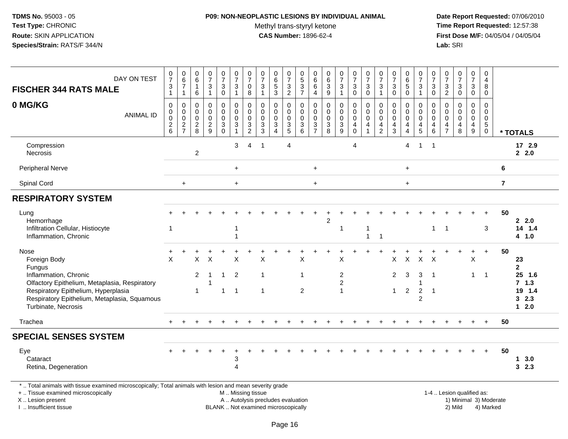### **P09: NON-NEOPLASTIC LESIONS BY INDIVIDUAL ANIMAL**

Methyl trans-styryl ketone<br>CAS Number: 1896-62-4

| DAY ON TEST<br><b>FISCHER 344 RATS MALE</b>                                                                                                                                                   | $\frac{0}{7}$<br>$\frac{3}{1}$                   | $\begin{array}{c} 0 \\ 6 \end{array}$<br>$\overline{7}$<br>$\mathbf{1}$ | $\begin{array}{c} 0 \\ 6 \end{array}$<br>$\overline{1}$<br>6    | $\begin{array}{c} 0 \\ 7 \end{array}$<br>$\frac{3}{1}$     | $\frac{0}{7}$<br>$\ensuremath{\mathsf{3}}$<br>$\pmb{0}$ | $\frac{0}{7}$<br>$\frac{3}{1}$                                                     | $\frac{0}{7}$<br>$\pmb{0}$<br>8                                                        | $\pmb{0}$<br>$\boldsymbol{7}$<br>$\ensuremath{\mathsf{3}}$<br>$\mathbf{1}$             | $065$<br>3                                                                  | $\frac{0}{7}$<br>$\frac{3}{2}$                   | $\begin{array}{c} 0 \\ 5 \end{array}$<br>$\frac{3}{7}$                      | $\begin{array}{c} 0 \\ 6 \end{array}$<br>$\,6\,$<br>$\overline{4}$ | $\begin{array}{c} 0 \\ 6 \end{array}$<br>$\overline{3}$<br>9 | $\frac{0}{7}$<br>$\mathbf{3}$<br>$\mathbf{1}$ | $\begin{array}{c} 0 \\ 7 \end{array}$<br>$\frac{3}{0}$               | $\frac{0}{7}$<br>$^3_{\rm 0}$                                           | $\begin{array}{c} 0 \\ 7 \end{array}$<br>$\ensuremath{\mathsf{3}}$<br>$\overline{1}$   | $\begin{array}{c} 0 \\ 7 \end{array}$<br>$\ensuremath{\mathsf{3}}$<br>$\mathbf 0$ | $\begin{array}{c} 0 \\ 6 \end{array}$<br>$\overline{5}$<br>$\pmb{0}$ | $\begin{smallmatrix}0\\7\end{smallmatrix}$<br>$\frac{3}{1}$ | $\frac{0}{7}$<br>3<br>$\mathbf 0$      | 0<br>$\boldsymbol{7}$<br>$\frac{3}{2}$                 | $\begin{array}{c} 0 \\ 7 \end{array}$<br>$_{0}^{3}$                                      | $\begin{array}{c} 0 \\ 7 \end{array}$<br>$\ensuremath{\mathsf{3}}$<br>$\mathbf 0$ | $\mathbf 0$<br>4<br>$\, 8$<br>$\mathbf 0$                              |                         |                                              |
|-----------------------------------------------------------------------------------------------------------------------------------------------------------------------------------------------|--------------------------------------------------|-------------------------------------------------------------------------|-----------------------------------------------------------------|------------------------------------------------------------|---------------------------------------------------------|------------------------------------------------------------------------------------|----------------------------------------------------------------------------------------|----------------------------------------------------------------------------------------|-----------------------------------------------------------------------------|--------------------------------------------------|-----------------------------------------------------------------------------|--------------------------------------------------------------------|--------------------------------------------------------------|-----------------------------------------------|----------------------------------------------------------------------|-------------------------------------------------------------------------|----------------------------------------------------------------------------------------|-----------------------------------------------------------------------------------|----------------------------------------------------------------------|-------------------------------------------------------------|----------------------------------------|--------------------------------------------------------|------------------------------------------------------------------------------------------|-----------------------------------------------------------------------------------|------------------------------------------------------------------------|-------------------------|----------------------------------------------|
| 0 MG/KG<br><b>ANIMAL ID</b>                                                                                                                                                                   | $\pmb{0}$<br>$_{\rm 0}^{\rm 0}$<br>$\frac{2}{6}$ | 0<br>$_{\rm 0}^{\rm 0}$<br>$\frac{2}{7}$                                | $\mathbf 0$<br>$\mathbf 0$<br>$\boldsymbol{0}$<br>$\frac{2}{8}$ | $\mathbf 0$<br>$\mathbf 0$<br>$\mathbf 0$<br>$\frac{2}{9}$ | 0<br>$\mathbf 0$<br>$\mathbf 0$<br>$\overline{3}$       | $\pmb{0}$<br>$\pmb{0}$<br>$\mathbf 0$<br>$\ensuremath{\mathsf{3}}$<br>$\mathbf{1}$ | $\mathbf 0$<br>$\pmb{0}$<br>$\mathbf 0$<br>$\ensuremath{\mathsf{3}}$<br>$\overline{2}$ | $\mathbf 0$<br>$\mathbf 0$<br>$\mathbf 0$<br>$\ensuremath{\mathsf{3}}$<br>$\mathbf{3}$ | $\mathbf 0$<br>$\mathbf 0$<br>$\pmb{0}$<br>$\overline{3}$<br>$\overline{4}$ | 0<br>$\mathsf 0$<br>$\mathbf 0$<br>$\frac{3}{5}$ | $\mathbf 0$<br>$\mathbf 0$<br>$\mathbf 0$<br>$\ensuremath{\mathsf{3}}$<br>6 | $\mathbf 0$<br>$\mathbf 0$<br>$\mathbf 0$<br>$\frac{3}{7}$         | $\mathbf 0$<br>$\mathbf 0$<br>$\pmb{0}$<br>$\frac{3}{8}$     | 0<br>$\mathbf 0$<br>0<br>$\frac{3}{9}$        | 0<br>$\mathsf{O}\xspace$<br>$\pmb{0}$<br>$\overline{4}$<br>$\pmb{0}$ | $\mathbf 0$<br>$\pmb{0}$<br>$\pmb{0}$<br>$\overline{4}$<br>$\mathbf{1}$ | $\mathbf 0$<br>$\mathbf 0$<br>$\mathbf 0$<br>$\overline{\mathbf{4}}$<br>$\overline{2}$ | $\mathbf 0$<br>$\mathbf 0$<br>$\mathbf 0$<br>$\frac{4}{3}$                        | 0<br>$\mathbf 0$<br>$\mathbf 0$<br>$\overline{4}$<br>$\overline{4}$  | 0<br>$\mathbf 0$<br>$\pmb{0}$<br>$\frac{4}{5}$              | $\Omega$<br>0<br>$\mathbf 0$<br>4<br>6 | $\mathbf 0$<br>$\mathbf 0$<br>0<br>4<br>$\overline{7}$ | $\mathbf 0$<br>$\mathsf{O}\xspace$<br>$\pmb{0}$<br>$\begin{array}{c} 4 \\ 8 \end{array}$ | 0<br>$\mathbf 0$<br>$\mathbf 0$<br>$\overline{4}$<br>9                            | $\mathbf 0$<br>$\mathbf 0$<br>$\mathbf 0$<br>$\sqrt{5}$<br>$\mathbf 0$ |                         | * TOTALS                                     |
| Compression<br>Necrosis                                                                                                                                                                       |                                                  |                                                                         | $\boldsymbol{2}$                                                |                                                            |                                                         | 3                                                                                  | 4                                                                                      | $\overline{1}$                                                                         |                                                                             | 4                                                |                                                                             |                                                                    |                                                              |                                               | $\overline{4}$                                                       |                                                                         |                                                                                        |                                                                                   | 4                                                                    | $\mathbf{1}$                                                | $\overline{1}$                         |                                                        |                                                                                          |                                                                                   |                                                                        |                         | 17 2.9<br>2.0                                |
| Peripheral Nerve                                                                                                                                                                              |                                                  |                                                                         |                                                                 |                                                            |                                                         | $\ddot{}$                                                                          |                                                                                        |                                                                                        |                                                                             |                                                  |                                                                             | $\ddot{}$                                                          |                                                              |                                               |                                                                      |                                                                         |                                                                                        |                                                                                   | $\ddot{}$                                                            |                                                             |                                        |                                                        |                                                                                          |                                                                                   |                                                                        | 6                       |                                              |
| Spinal Cord                                                                                                                                                                                   |                                                  | $+$                                                                     |                                                                 |                                                            |                                                         | $+$                                                                                |                                                                                        |                                                                                        |                                                                             |                                                  |                                                                             | $+$                                                                |                                                              |                                               |                                                                      |                                                                         |                                                                                        |                                                                                   | $\ddot{}$                                                            |                                                             |                                        |                                                        |                                                                                          |                                                                                   |                                                                        | $\overline{\mathbf{r}}$ |                                              |
| <b>RESPIRATORY SYSTEM</b>                                                                                                                                                                     |                                                  |                                                                         |                                                                 |                                                            |                                                         |                                                                                    |                                                                                        |                                                                                        |                                                                             |                                                  |                                                                             |                                                                    |                                                              |                                               |                                                                      |                                                                         |                                                                                        |                                                                                   |                                                                      |                                                             |                                        |                                                        |                                                                                          |                                                                                   |                                                                        |                         |                                              |
| Lung<br>Hemorrhage<br>Infiltration Cellular, Histiocyte<br>Inflammation, Chronic                                                                                                              | $\overline{1}$                                   |                                                                         |                                                                 |                                                            |                                                         |                                                                                    |                                                                                        |                                                                                        |                                                                             |                                                  |                                                                             |                                                                    | 2                                                            | -1                                            |                                                                      | -1<br>$\overline{1}$                                                    | $\overline{1}$                                                                         |                                                                                   |                                                                      |                                                             | $\mathbf{1}$                           | $\mathbf 1$                                            |                                                                                          |                                                                                   | 3                                                                      | 50                      | 2.0<br>14 1.4<br>4 1.0                       |
| Nose<br>Foreign Body<br>Fungus                                                                                                                                                                | +<br>$\sf X$                                     |                                                                         | X                                                               | X                                                          |                                                         | $\times$                                                                           |                                                                                        | X                                                                                      |                                                                             |                                                  | X                                                                           |                                                                    |                                                              | X                                             |                                                                      |                                                                         |                                                                                        | X                                                                                 | X                                                                    | X                                                           | $\times$                               |                                                        |                                                                                          | $\sf X$                                                                           | $\ddot{}$                                                              | 50                      | 23<br>$\mathbf{2}$                           |
| Inflammation, Chronic<br>Olfactory Epithelium, Metaplasia, Respiratory<br>Respiratory Epithelium, Hyperplasia<br>Respiratory Epithelium, Metaplasia, Squamous<br>Turbinate, Necrosis          |                                                  |                                                                         | $\overline{2}$<br>$\blacktriangleleft$                          | -1<br>1                                                    | $\mathbf 1$<br>$\mathbf{1}$                             | $\overline{2}$<br>$\overline{1}$                                                   |                                                                                        | $\mathbf{1}$<br>$\mathbf{1}$                                                           |                                                                             |                                                  | $\overline{1}$<br>2                                                         |                                                                    |                                                              | 2<br>$\boldsymbol{2}$<br>$\mathbf{1}$         |                                                                      |                                                                         |                                                                                        | $\overline{2}$<br>$\mathbf 1$                                                     | 3<br>$\overline{2}$                                                  | 3<br>$\overline{2}$<br>2                                    | $\overline{1}$<br>$\overline{1}$       |                                                        |                                                                                          | $\mathbf 1$                                                                       | $\overline{1}$                                                         |                         | 25 1.6<br>7, 1.3<br>19 1.4<br>32.3<br>$12.0$ |
| Trachea                                                                                                                                                                                       |                                                  |                                                                         |                                                                 |                                                            |                                                         |                                                                                    |                                                                                        |                                                                                        |                                                                             |                                                  |                                                                             |                                                                    |                                                              |                                               |                                                                      |                                                                         |                                                                                        |                                                                                   |                                                                      |                                                             |                                        |                                                        |                                                                                          | $+$                                                                               | $+$                                                                    | 50                      |                                              |
| <b>SPECIAL SENSES SYSTEM</b>                                                                                                                                                                  |                                                  |                                                                         |                                                                 |                                                            |                                                         |                                                                                    |                                                                                        |                                                                                        |                                                                             |                                                  |                                                                             |                                                                    |                                                              |                                               |                                                                      |                                                                         |                                                                                        |                                                                                   |                                                                      |                                                             |                                        |                                                        |                                                                                          |                                                                                   |                                                                        |                         |                                              |
| Eye<br>Cataract<br>Retina, Degeneration                                                                                                                                                       |                                                  |                                                                         |                                                                 |                                                            |                                                         | 3<br>4                                                                             |                                                                                        |                                                                                        |                                                                             |                                                  |                                                                             |                                                                    |                                                              |                                               |                                                                      |                                                                         |                                                                                        |                                                                                   |                                                                      |                                                             |                                        |                                                        |                                                                                          |                                                                                   |                                                                        | 50                      | 13.0<br>32.3                                 |
| *  Total animals with tissue examined microscopically; Total animals with lesion and mean severity grade<br>+  Tissue examined microscopically<br>X  Lesion present<br>I  Insufficient tissue |                                                  |                                                                         |                                                                 |                                                            |                                                         | M  Missing tissue                                                                  |                                                                                        |                                                                                        | A  Autolysis precludes evaluation<br>BLANK  Not examined microscopically    |                                                  |                                                                             |                                                                    |                                                              |                                               |                                                                      |                                                                         |                                                                                        |                                                                                   |                                                                      |                                                             | 1-4  Lesion qualified as:              |                                                        | 2) Mild                                                                                  |                                                                                   | 4) Marked                                                              | 1) Minimal 3) Moderate  |                                              |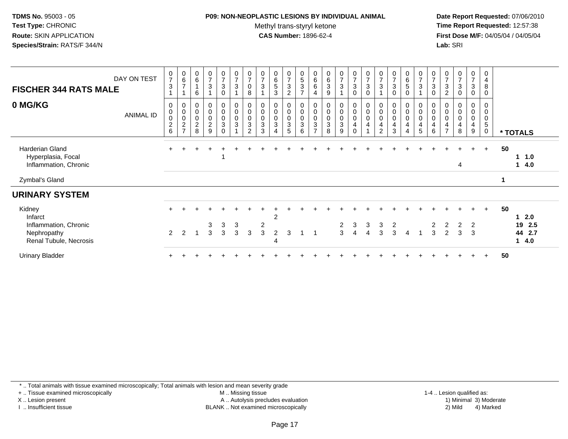## **P09: NON-NEOPLASTIC LESIONS BY INDIVIDUAL ANIMAL**

Methyl trans-styryl ketone<br>CAS Number: 1896-62-4

 **Date Report Requested:** 07/06/2010 **Time Report Requested:** 12:57:38 **First Dose M/F:** 04/05/04 / 04/05/04<br>**Lab:** SRI **Lab:** SRI

| <b>FISCHER 344 RATS MALE</b>                                          | DAY ON TEST      | $\frac{0}{7}$<br>$\sqrt{3}$                                    | $_{6}^{\rm 0}$<br>$\overline{ }$                                                        | $\begin{array}{c} 0 \\ 6 \end{array}$<br>$\overline{1}$<br>6     | $\frac{0}{7}$<br>$\sqrt{3}$                                      | $\frac{0}{7}$<br>3<br>$\mathbf 0$                        | $\frac{0}{7}$<br>$\sqrt{3}$                                  | $\frac{0}{7}$<br>$\mathbf 0$<br>8                                                | $\frac{0}{7}$<br>3                       | $\begin{array}{c} 0 \\ 6 \\ 5 \end{array}$<br>$\mathbf{3}$     | $\frac{0}{7}$<br>$\ensuremath{\mathsf{3}}$<br>$\overline{2}$ | $\begin{array}{c} 0 \\ 5 \end{array}$<br>$\ensuremath{\mathsf{3}}$<br>$\overline{7}$       | 0<br>$\,6\,$<br>6<br>4                                    | $\begin{matrix} 0 \\ 6 \\ 3 \end{matrix}$<br>9 | $\frac{0}{7}$<br>3                        | $\begin{smallmatrix}0\\7\end{smallmatrix}$<br>$\sqrt{3}$<br>$\mathbf 0$                         | $\frac{0}{7}$<br>$\mathbf{3}$<br>$\mathbf 0$                                       | $\frac{0}{7}$<br>3                                   | $\frac{0}{7}$<br>$\sqrt{3}$<br>$\Omega$                        | $\begin{array}{c} 0 \\ 6 \\ 5 \end{array}$<br>$\Omega$ | $\frac{0}{7}$<br>3            | $\frac{0}{7}$<br>$\mathbf{3}$<br>$\mathbf 0$                  | $\frac{0}{7}$<br>$\mathbf{3}$<br>$\overline{c}$                   | $\frac{0}{7}$<br>$\ensuremath{\mathsf{3}}$<br>$\mathbf 0$ | $\frac{0}{7}$<br>3<br>0 | 0<br>4<br>8<br>0                                   |          |                          |
|-----------------------------------------------------------------------|------------------|----------------------------------------------------------------|-----------------------------------------------------------------------------------------|------------------------------------------------------------------|------------------------------------------------------------------|----------------------------------------------------------|--------------------------------------------------------------|----------------------------------------------------------------------------------|------------------------------------------|----------------------------------------------------------------|--------------------------------------------------------------|--------------------------------------------------------------------------------------------|-----------------------------------------------------------|------------------------------------------------|-------------------------------------------|-------------------------------------------------------------------------------------------------|------------------------------------------------------------------------------------|------------------------------------------------------|----------------------------------------------------------------|--------------------------------------------------------|-------------------------------|---------------------------------------------------------------|-------------------------------------------------------------------|-----------------------------------------------------------|-------------------------|----------------------------------------------------|----------|--------------------------|
| 0 MG/KG                                                               | <b>ANIMAL ID</b> | 0<br>$\mathbf 0$<br>$\begin{array}{c} 0 \\ 2 \\ 6 \end{array}$ | $\pmb{0}$<br>$\pmb{0}$<br>$\begin{smallmatrix} 0\\2 \end{smallmatrix}$<br>$\rightarrow$ | $_{\rm 0}^{\rm 0}$<br>$\begin{array}{c} 0 \\ 2 \\ 8 \end{array}$ | $\begin{smallmatrix}0\\0\end{smallmatrix}$<br>$\frac{0}{2}$<br>9 | $\mathbf 0$<br>$\mathsf 0$<br>$_{3}^{\rm 0}$<br>$\Omega$ | $\begin{smallmatrix}0\\0\end{smallmatrix}$<br>$_{3}^{\rm 0}$ | $\begin{smallmatrix} 0\\0 \end{smallmatrix}$<br>$_{3}^{\rm 0}$<br>$\overline{2}$ | 0<br>$\pmb{0}$<br>0<br>$\mathbf{3}$<br>3 | $\begin{smallmatrix} 0\\0 \end{smallmatrix}$<br>$_{3}^{\rm 0}$ | $_{0}^{0}$<br>$_{3}^{\rm 0}$<br>5                            | $\boldsymbol{0}$<br>$\boldsymbol{0}$<br>$\boldsymbol{0}$<br>$\ensuremath{\mathsf{3}}$<br>6 | 0<br>$\boldsymbol{0}$<br>$\pmb{0}$<br>3<br>$\overline{ }$ | 0<br>$\pmb{0}$<br>$_3^0$<br>8                  | $_{\rm 0}^{\rm 0}$<br>$_{3}^{\rm 0}$<br>9 | $\begin{smallmatrix}0\0\0\end{smallmatrix}$<br>$\pmb{0}$<br>$\overline{\mathbf{4}}$<br>$\Omega$ | $\begin{smallmatrix} 0\\0 \end{smallmatrix}$<br>$\boldsymbol{0}$<br>$\overline{4}$ | 0<br>$\pmb{0}$<br>$\mathbf 0$<br>4<br>$\overline{c}$ | $\begin{smallmatrix}0\\0\end{smallmatrix}$<br>$\mathbf 0$<br>3 | 0<br>0<br>$\mathbf 0$<br>4<br>4                        | 0<br>$\pmb{0}$<br>0<br>4<br>5 | $_{\rm 0}^{\rm 0}$<br>$\boldsymbol{0}$<br>$\overline{4}$<br>6 | 0<br>$\pmb{0}$<br>$\mathbf 0$<br>$\overline{4}$<br>$\overline{7}$ | 0<br>$\pmb{0}$<br>$\pmb{0}$<br>4<br>8                     | 0<br>0<br>0<br>4<br>9   | 0<br>$\mathbf 0$<br>0<br>$\sqrt{5}$<br>$\mathbf 0$ | * TOTALS |                          |
| <b>Harderian Gland</b><br>Hyperplasia, Focal<br>Inflammation, Chronic |                  | $+$                                                            |                                                                                         |                                                                  |                                                                  |                                                          |                                                              |                                                                                  |                                          |                                                                |                                                              |                                                                                            |                                                           |                                                |                                           |                                                                                                 |                                                                                    |                                                      |                                                                |                                                        |                               |                                                               |                                                                   | 4                                                         | $\ddot{}$               | $+$                                                | 50       | $1 \t1.0$<br>14.0        |
| Zymbal's Gland                                                        |                  |                                                                |                                                                                         |                                                                  |                                                                  |                                                          |                                                              |                                                                                  |                                          |                                                                |                                                              |                                                                                            |                                                           |                                                |                                           |                                                                                                 |                                                                                    |                                                      |                                                                |                                                        |                               |                                                               |                                                                   |                                                           |                         |                                                    |          |                          |
| <b>URINARY SYSTEM</b>                                                 |                  |                                                                |                                                                                         |                                                                  |                                                                  |                                                          |                                                              |                                                                                  |                                          |                                                                |                                                              |                                                                                            |                                                           |                                                |                                           |                                                                                                 |                                                                                    |                                                      |                                                                |                                                        |                               |                                                               |                                                                   |                                                           |                         |                                                    |          |                          |
| Kidney<br>Infarct                                                     |                  | $+$                                                            |                                                                                         |                                                                  |                                                                  |                                                          |                                                              |                                                                                  |                                          | $\overline{2}$                                                 |                                                              |                                                                                            |                                                           |                                                |                                           |                                                                                                 |                                                                                    |                                                      |                                                                |                                                        |                               |                                                               |                                                                   |                                                           |                         | $+$                                                | 50       | $12.0$                   |
| Inflammation, Chronic<br>Nephropathy<br>Renal Tubule, Necrosis        |                  | $\overline{2}$                                                 | 2                                                                                       |                                                                  | 3<br>3                                                           | 3<br>3                                                   | 3<br>3                                                       | 3                                                                                | $\overline{c}$<br>3                      | 2<br>4                                                         | 3                                                            |                                                                                            |                                                           |                                                | 2<br>3                                    | 3<br>4                                                                                          | 3<br>4                                                                             | 3<br>3                                               | 2<br>3                                                         | $\overline{4}$                                         |                               | 3                                                             | 2<br>2                                                            | $\overline{2}$<br>3                                       | 2<br>3                  |                                                    |          | 19 2.5<br>44 2.7<br>14.0 |
| <b>Urinary Bladder</b>                                                |                  |                                                                |                                                                                         |                                                                  |                                                                  |                                                          |                                                              |                                                                                  |                                          |                                                                |                                                              |                                                                                            |                                                           |                                                |                                           |                                                                                                 |                                                                                    |                                                      |                                                                |                                                        |                               |                                                               |                                                                   |                                                           |                         | $\ddot{}$                                          | 50       |                          |

\* .. Total animals with tissue examined microscopically; Total animals with lesion and mean severity grade

+ .. Tissue examined microscopically

X .. Lesion present

I .. Insufficient tissue

 M .. Missing tissueA .. Autolysis precludes evaluation

BLANK .. Not examined microscopically 2) Mild 4) Marked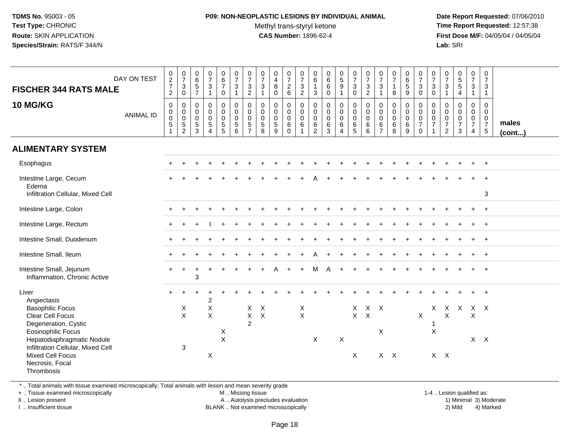## **P09: NON-NEOPLASTIC LESIONS BY INDIVIDUAL ANIMAL**Methyl trans-styryl ketone<br>CAS Number: 1896-62-4

 **Date Report Requested:** 07/06/2010 **Time Report Requested:** 12:57:38 **First Dose M/F:** 04/05/04 / 04/05/04<br>**Lab:** SRI **Lab:** SRI

| <b>FISCHER 344 RATS MALE</b><br>10 MG/KG                                                                                                                                                    | DAY ON TEST      | $0$<br>2<br>7<br>2<br>$\mathsf{O}\xspace$<br>$\pmb{0}$ | $\begin{array}{c} 0 \\ 7 \end{array}$<br>$\mathsf 3$<br>$\mathbf 0$<br>0     | $065$<br>57<br>$\mathbf 0$                                      | $\begin{array}{c} 0 \\ 7 \end{array}$<br>$\mathbf 3$<br>$\mathbf{1}$<br>$\mathbf 0$<br>$\mathbf 0$ | $\begin{array}{c} 0 \\ 6 \\ 7 \end{array}$<br>$\mathbf 0$<br>0<br>$\mathbf 0$ | $\begin{smallmatrix}0\\7\end{smallmatrix}$<br>$\mathbf{3}$<br>$\mathbf{1}$<br>$\pmb{0}$<br>$\overline{0}$ | $\frac{0}{7}$<br>$\sqrt{3}$<br>$\overline{c}$<br>$\mathbf 0$<br>$\pmb{0}$ | $\frac{0}{7}$<br>3<br>$\mathbf{1}$<br>$\mathbf 0$<br>$\mathbf 0$ | $\begin{smallmatrix}0\0\4\end{smallmatrix}$<br>$\, 8$<br>$\mathbf 0$<br>$\mathbf 0$<br>$\mathsf 0$ | $\frac{0}{7}$<br>$\overline{2}$<br>$6\phantom{1}$<br>$\mathbf 0$<br>$\mathbf 0$ | $\frac{0}{7}$<br>$\sqrt{3}$<br>$\overline{2}$<br>$\mathsf{O}\xspace$<br>$\mathbf 0$ | 0<br>$6\overline{6}$<br>1<br>3<br>0<br>$\mathsf{O}\xspace$ | 0<br>$6\phantom{a}$<br>6<br>$\mathbf 0$<br>$\mathbf 0$<br>$\mathbf 0$ | $\begin{array}{c} 0 \\ 5 \\ 9 \end{array}$<br>$\mathbf 0$                | $\frac{0}{7}$<br>$\mathbf{3}$<br>$\pmb{0}$<br>$\mathbf 0$           | $\frac{0}{7}$<br>$\sqrt{3}$<br>$\overline{2}$<br>$\mathbf 0$ | $\frac{0}{7}$<br>3<br>1<br>$\mathbf 0$<br>$\mathbf 0$ | $\frac{0}{7}$<br>$\mathbf{1}$<br>8<br>$\mathbf 0$ | $\begin{array}{c} 0 \\ 6 \\ 5 \end{array}$<br>9<br>0<br>$\mathsf{O}\xspace$ | $\frac{0}{7}$<br>$\mathbf{3}$<br>$\mathbf 0$<br>0<br>$\overline{0}$ | $\frac{0}{7}$<br>$\mathsf 3$<br>$\mathbf 0$<br>$\mathbf 0$<br>$\ddot{\mathbf{0}}$ | 0<br>$\overline{7}$<br>3<br>$\mathbf{1}$<br>$\mathbf 0$<br>$\mathbf 0$ | $\begin{array}{c} 0 \\ 5 \end{array}$<br>$\sqrt{5}$<br>$\overline{4}$<br>$\mathbf 0$<br>$\mathbf 0$ | $\frac{0}{7}$<br>3<br>$\mathbf{1}$<br>$\mathbf 0$<br>$\mathbf 0$ | $\begin{smallmatrix}0\\7\end{smallmatrix}$<br>$\mathbf{3}$<br>$\mathbf{1}$<br>$\mathsf{O}$<br>$\mathbf 0$ |                 |
|---------------------------------------------------------------------------------------------------------------------------------------------------------------------------------------------|------------------|--------------------------------------------------------|------------------------------------------------------------------------------|-----------------------------------------------------------------|----------------------------------------------------------------------------------------------------|-------------------------------------------------------------------------------|-----------------------------------------------------------------------------------------------------------|---------------------------------------------------------------------------|------------------------------------------------------------------|----------------------------------------------------------------------------------------------------|---------------------------------------------------------------------------------|-------------------------------------------------------------------------------------|------------------------------------------------------------|-----------------------------------------------------------------------|--------------------------------------------------------------------------|---------------------------------------------------------------------|--------------------------------------------------------------|-------------------------------------------------------|---------------------------------------------------|-----------------------------------------------------------------------------|---------------------------------------------------------------------|-----------------------------------------------------------------------------------|------------------------------------------------------------------------|-----------------------------------------------------------------------------------------------------|------------------------------------------------------------------|-----------------------------------------------------------------------------------------------------------|-----------------|
|                                                                                                                                                                                             | <b>ANIMAL ID</b> | $\pmb{0}$<br>$5\,$<br>$\overline{1}$                   | $\begin{smallmatrix} 0\\0 \end{smallmatrix}$<br>$\sqrt{5}$<br>$\overline{c}$ | $\begin{smallmatrix} 0\\0 \end{smallmatrix}$<br>$\sqrt{5}$<br>3 | $\mathbf 0$<br>$\overline{5}$<br>$\overline{4}$                                                    | $\mathbf 0$<br>$\sqrt{5}$<br>5                                                | $\mathbf 0$<br>5<br>6                                                                                     | $\mathbf 0$<br>5<br>$\overline{7}$                                        | $\mathbf 0$<br>$\sqrt{5}$<br>8                                   | $\mathbf 0$<br>$\sqrt{5}$<br>9                                                                     | $\mathbf 0$<br>$\,6\,$<br>$\Omega$                                              | $\mathbf 0$<br>$\,6$<br>$\overline{1}$                                              | $\mathbf 0$<br>6<br>$\overline{2}$                         | 0<br>$\,6\,$<br>3                                                     | $\begin{smallmatrix}0\0\0\end{smallmatrix}$<br>$\,6\,$<br>$\overline{4}$ | $\begin{smallmatrix}0\\0\end{smallmatrix}$<br>$\,6\,$<br>$\sqrt{5}$ | $\overline{0}$<br>0<br>$\,6\,$<br>6                          | $\mathbf 0$<br>6<br>$\overline{7}$                    | $\overline{0}$<br>0<br>$\,6\,$<br>8               | $\mathsf{O}$<br>6<br>9                                                      | 0<br>$\overline{7}$<br>0                                            | $\ddot{\mathbf{0}}$<br>$\overline{7}$<br>$\overline{\mathbf{1}}$                  | $\mathbf 0$<br>$\boldsymbol{7}$<br>$\overline{2}$                      | $\mathbf 0$<br>$\overline{7}$<br>3                                                                  | $\mathbf 0$<br>$\overline{7}$<br>$\overline{4}$                  | $\mathbf 0$<br>$\overline{7}$<br>$\sqrt{5}$                                                               | males<br>(cont) |
| <b>ALIMENTARY SYSTEM</b>                                                                                                                                                                    |                  |                                                        |                                                                              |                                                                 |                                                                                                    |                                                                               |                                                                                                           |                                                                           |                                                                  |                                                                                                    |                                                                                 |                                                                                     |                                                            |                                                                       |                                                                          |                                                                     |                                                              |                                                       |                                                   |                                                                             |                                                                     |                                                                                   |                                                                        |                                                                                                     |                                                                  |                                                                                                           |                 |
| Esophagus                                                                                                                                                                                   |                  |                                                        |                                                                              |                                                                 |                                                                                                    |                                                                               |                                                                                                           |                                                                           |                                                                  |                                                                                                    |                                                                                 |                                                                                     |                                                            |                                                                       |                                                                          |                                                                     |                                                              |                                                       |                                                   |                                                                             |                                                                     |                                                                                   |                                                                        |                                                                                                     |                                                                  | $\ddot{}$                                                                                                 |                 |
| Intestine Large, Cecum<br>Edema<br>Infiltration Cellular, Mixed Cell                                                                                                                        |                  |                                                        |                                                                              |                                                                 |                                                                                                    |                                                                               |                                                                                                           |                                                                           |                                                                  |                                                                                                    |                                                                                 |                                                                                     |                                                            |                                                                       |                                                                          |                                                                     |                                                              |                                                       |                                                   |                                                                             |                                                                     |                                                                                   |                                                                        |                                                                                                     |                                                                  | $\overline{+}$<br>3                                                                                       |                 |
| Intestine Large, Colon                                                                                                                                                                      |                  |                                                        |                                                                              |                                                                 |                                                                                                    |                                                                               |                                                                                                           |                                                                           |                                                                  |                                                                                                    |                                                                                 |                                                                                     |                                                            |                                                                       |                                                                          |                                                                     |                                                              |                                                       |                                                   |                                                                             |                                                                     |                                                                                   |                                                                        |                                                                                                     |                                                                  | $\ddot{}$                                                                                                 |                 |
| Intestine Large, Rectum                                                                                                                                                                     |                  |                                                        |                                                                              |                                                                 |                                                                                                    |                                                                               |                                                                                                           |                                                                           |                                                                  |                                                                                                    |                                                                                 |                                                                                     |                                                            |                                                                       |                                                                          |                                                                     |                                                              |                                                       |                                                   |                                                                             |                                                                     |                                                                                   |                                                                        |                                                                                                     |                                                                  | $\ddot{}$                                                                                                 |                 |
| Intestine Small, Duodenum                                                                                                                                                                   |                  |                                                        |                                                                              |                                                                 |                                                                                                    |                                                                               |                                                                                                           |                                                                           |                                                                  |                                                                                                    |                                                                                 |                                                                                     |                                                            |                                                                       |                                                                          |                                                                     |                                                              |                                                       |                                                   |                                                                             |                                                                     |                                                                                   |                                                                        |                                                                                                     |                                                                  | $\overline{+}$                                                                                            |                 |
| Intestine Small, Ileum                                                                                                                                                                      |                  |                                                        |                                                                              |                                                                 |                                                                                                    |                                                                               |                                                                                                           |                                                                           |                                                                  |                                                                                                    |                                                                                 |                                                                                     |                                                            |                                                                       |                                                                          |                                                                     |                                                              |                                                       |                                                   |                                                                             |                                                                     |                                                                                   |                                                                        |                                                                                                     |                                                                  | $\overline{+}$                                                                                            |                 |
| Intestine Small, Jejunum<br>Inflammation, Chronic Active                                                                                                                                    |                  | $\pm$                                                  |                                                                              | 3                                                               |                                                                                                    |                                                                               |                                                                                                           |                                                                           |                                                                  | А                                                                                                  | $\ddot{}$                                                                       |                                                                                     | м                                                          | А                                                                     |                                                                          |                                                                     |                                                              |                                                       |                                                   |                                                                             |                                                                     |                                                                                   |                                                                        |                                                                                                     |                                                                  | $\overline{+}$                                                                                            |                 |
| Liver<br>Angiectasis<br><b>Basophilic Focus</b><br>Clear Cell Focus<br>Degeneration, Cystic<br><b>Eosinophilic Focus</b><br>Hepatodiaphragmatic Nodule<br>Infiltration Cellular, Mixed Cell |                  |                                                        | X<br>$\mathsf{X}$<br>$\sqrt{3}$                                              |                                                                 | 2<br>X<br>$\mathsf X$                                                                              | X<br>$\boldsymbol{\mathsf{X}}$                                                |                                                                                                           | X<br>$\mathsf X$<br>$\overline{2}$                                        | X<br>$\mathsf X$                                                 |                                                                                                    |                                                                                 | $\frac{x}{x}$                                                                       | X                                                          |                                                                       | X                                                                        | X<br>$\mathsf{X}$                                                   | $X$ $X$<br>$\boldsymbol{\mathsf{X}}$                         | X                                                     |                                                   |                                                                             | X                                                                   | X<br>-1<br>$\boldsymbol{\mathsf{X}}$                                              | $\mathsf{X}^-$<br>Χ                                                    | $\mathsf{X}$                                                                                        | X X<br>X                                                         | $\overline{+}$<br>$X$ $X$                                                                                 |                 |
| <b>Mixed Cell Focus</b><br>Necrosis, Focal<br>Thrombosis                                                                                                                                    |                  |                                                        |                                                                              |                                                                 | $\mathsf X$                                                                                        |                                                                               |                                                                                                           |                                                                           |                                                                  |                                                                                                    |                                                                                 |                                                                                     |                                                            |                                                                       |                                                                          | $\pmb{\times}$                                                      |                                                              |                                                       | $X$ $X$                                           |                                                                             |                                                                     | $X$ $X$                                                                           |                                                                        |                                                                                                     |                                                                  |                                                                                                           |                 |

\* .. Total animals with tissue examined microscopically; Total animals with lesion and mean severity grade

+ .. Tissue examined microscopically

X .. Lesion present

I .. Insufficient tissue

M .. Missing tissue

Lesion present A .. Autolysis precludes evaluation 1) Minimal 3) Moderate

1-4 .. Lesion qualified as:<br>1) Minimal 3) Moderate BLANK .. Not examined microscopically 2) Mild 4) Marked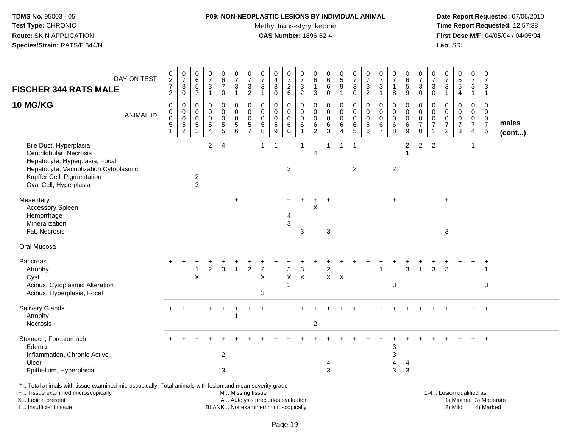## **P09: NON-NEOPLASTIC LESIONS BY INDIVIDUAL ANIMAL**

Methyl trans-styryl ketone<br>CAS Number: 1896-62-4

 **Date Report Requested:** 07/06/2010 **Time Report Requested:** 12:57:38 **First Dose M/F:** 04/05/04 / 04/05/04<br>Lab: SRI **Lab:** SRI

| <b>FISCHER 344 RATS MALE</b><br>10 MG/KG                                                                                                                                             | DAY ON TEST<br><b>ANIMAL ID</b> | $\begin{array}{c} 0 \\ 2 \\ 7 \end{array}$<br>$\overline{2}$<br>$\mathbf 0$<br>0<br>$\mathbf 0$<br>5 | $\frac{0}{7}$<br>3<br>$\mathbf 0$<br>0<br>$\pmb{0}$<br>$\mathbf 0$ | $065$<br>7<br>0<br>$\mathbf 0$<br>0 | $\begin{smallmatrix}0\\7\end{smallmatrix}$<br>$\frac{3}{1}$<br>$\pmb{0}$<br>$\mathbf 0$<br>$\pmb{0}$<br>$\overline{5}$ | $\begin{array}{c} 0 \\ 6 \\ 7 \end{array}$<br>$\mathsf{O}\xspace$<br>0<br>$\pmb{0}$<br>$\pmb{0}$ | $\frac{0}{7}$<br>$\mathbf{3}$<br>$\mathbf{1}$<br>$\mathbf 0$<br>$\mathbf 0$<br>$\mathbf 0$<br>$\sqrt{5}$ | $\begin{array}{c} 0 \\ 7 \end{array}$<br>$\ensuremath{\mathsf{3}}$<br>$\overline{c}$<br>0<br>$\pmb{0}$<br>$\mathbf 0$<br>$\sqrt{5}$ | $\frac{0}{7}$<br>$\ensuremath{\mathsf{3}}$<br>$\mathbf{1}$<br>$\Omega$<br>$\mathbf 0$<br>$\mathbf 0$ | $\pmb{0}$<br>$\overline{\mathbf{4}}$<br>$\bf 8$<br>$\mathbf 0$<br>0<br>$\mathsf{O}\xspace$<br>$\pmb{0}$<br>$\sqrt{5}$ | $\begin{array}{c} 0 \\ 7 \end{array}$<br>$^2\phantom{1}6$<br>0<br>$\mathbf 0$<br>$\mathbf 0$<br>6 | $\begin{array}{c} 0 \\ 7 \end{array}$<br>$\frac{3}{2}$<br>0<br>$\mathbf 0$<br>$\mathbf 0$<br>6 | 0<br>6<br>1<br>$\sqrt{3}$<br>0<br>$\mathbf 0$<br>$\mathbf 0$<br>6 | $0$<br>6<br>6<br>$\overline{0}$<br>$\mathbf 0$<br>$\mathbf 0$<br>$\pmb{0}$ | $\begin{array}{c} 0 \\ 5 \\ 9 \end{array}$<br>$\mathbf{1}$<br>$\pmb{0}$<br>$\pmb{0}$<br>$\mathsf 0$<br>6 | $\frac{0}{7}$<br>$\frac{3}{0}$<br>0<br>$\mathbf 0$<br>0 | $\frac{0}{7}$<br>$\frac{3}{2}$<br>$\mathbf 0$<br>$\mathbf 0$<br>$\mathbf 0$<br>$\,6$ | $\begin{matrix} 0 \\ 7 \end{matrix}$<br>$\sqrt{3}$<br>$\overline{1}$<br>$\mathbf 0$<br>$\mathbf 0$<br>$\mathbf 0$<br>6 | $\begin{array}{c} 0 \\ 7 \end{array}$<br>8<br>0<br>$\mathbf 0$<br>$\mathbf 0$<br>$\,6\,$ | $\begin{array}{c} 0 \\ 6 \\ 5 \end{array}$<br>$\overline{9}$<br>0<br>$\mathbf 0$<br>$\mathbf 0$ | $\frac{0}{7}$<br>$\frac{3}{0}$<br>0<br>$\pmb{0}$<br>$\frac{0}{7}$ | $\begin{array}{c} 0 \\ 7 \end{array}$<br>3<br>$\ddot{\mathbf{0}}$<br>0<br>$\mathbf 0$<br>0<br>$\overline{7}$ | $\frac{0}{7}$<br>$\mathbf{3}$<br>$\overline{1}$<br>0<br>$\mathbf 0$<br>0<br>$\overline{7}$ | $\begin{array}{c} 0 \\ 5 \\ 5 \end{array}$<br>$\overline{4}$<br>$\Omega$<br>$\mathbf 0$<br>$\mathbf 0$<br>$\overline{7}$ | $\frac{0}{7}$<br>$\mathbf{3}$<br>$\mathbf{1}$<br>0<br>$\mathbf 0$<br>$\mathbf 0$<br>$\overline{7}$ | $\begin{array}{c} 0 \\ 7 \end{array}$<br>$\mathbf{3}$<br>$\mathbf{1}$<br>$\mathbf 0$<br>$\mathbf 0$<br>$\mathbf 0$<br>$\boldsymbol{7}$ | males  |
|--------------------------------------------------------------------------------------------------------------------------------------------------------------------------------------|---------------------------------|------------------------------------------------------------------------------------------------------|--------------------------------------------------------------------|-------------------------------------|------------------------------------------------------------------------------------------------------------------------|--------------------------------------------------------------------------------------------------|----------------------------------------------------------------------------------------------------------|-------------------------------------------------------------------------------------------------------------------------------------|------------------------------------------------------------------------------------------------------|-----------------------------------------------------------------------------------------------------------------------|---------------------------------------------------------------------------------------------------|------------------------------------------------------------------------------------------------|-------------------------------------------------------------------|----------------------------------------------------------------------------|----------------------------------------------------------------------------------------------------------|---------------------------------------------------------|--------------------------------------------------------------------------------------|------------------------------------------------------------------------------------------------------------------------|------------------------------------------------------------------------------------------|-------------------------------------------------------------------------------------------------|-------------------------------------------------------------------|--------------------------------------------------------------------------------------------------------------|--------------------------------------------------------------------------------------------|--------------------------------------------------------------------------------------------------------------------------|----------------------------------------------------------------------------------------------------|----------------------------------------------------------------------------------------------------------------------------------------|--------|
|                                                                                                                                                                                      |                                 | 1                                                                                                    | $\frac{5}{2}$                                                      | $\frac{5}{3}$                       | $\overline{4}$                                                                                                         | $\begin{array}{c} 5 \\ 5 \end{array}$                                                            | 6                                                                                                        | $\overline{7}$                                                                                                                      | $\begin{array}{c} 5 \\ 8 \end{array}$                                                                | $\overline{9}$                                                                                                        | $\mathbf 0$                                                                                       | $\mathbf{1}$                                                                                   | $\overline{c}$                                                    | $^6_3$                                                                     | $\overline{4}$                                                                                           | $6\over 5$                                              | $\overline{6}$                                                                       | $\overline{7}$                                                                                                         | 8                                                                                        | $^6_9$                                                                                          | $\pmb{0}$                                                         |                                                                                                              | $\overline{2}$                                                                             | $\mathbf{3}$                                                                                                             | 4                                                                                                  | $\overline{5}$                                                                                                                         | (cont) |
| Bile Duct, Hyperplasia<br>Centrilobular, Necrosis<br>Hepatocyte, Hyperplasia, Focal<br>Hepatocyte, Vacuolization Cytoplasmic<br>Kupffer Cell, Pigmentation<br>Oval Cell, Hyperplasia |                                 |                                                                                                      |                                                                    | $\overline{c}$<br>3                 | $\overline{2}$                                                                                                         | $\overline{4}$                                                                                   |                                                                                                          |                                                                                                                                     | $\mathbf{1}$                                                                                         | $\overline{1}$                                                                                                        | $\sqrt{3}$                                                                                        | $\overline{1}$                                                                                 | $\overline{4}$                                                    | 1                                                                          | $\mathbf{1}$                                                                                             | $\overline{1}$<br>$\overline{2}$                        |                                                                                      |                                                                                                                        | $\overline{2}$                                                                           | $\overline{2}$                                                                                  | $\overline{2}$                                                    | 2                                                                                                            |                                                                                            |                                                                                                                          | 1                                                                                                  |                                                                                                                                        |        |
| Mesentery<br>Accessory Spleen<br>Hemorrhage<br>Mineralization<br>Fat, Necrosis                                                                                                       |                                 |                                                                                                      |                                                                    |                                     |                                                                                                                        |                                                                                                  | $+$                                                                                                      |                                                                                                                                     |                                                                                                      |                                                                                                                       | $\overline{4}$<br>$\sqrt{3}$                                                                      | 3                                                                                              | Χ                                                                 | 3                                                                          |                                                                                                          |                                                         |                                                                                      |                                                                                                                        | $\ddot{}$                                                                                |                                                                                                 |                                                                   |                                                                                                              | $\ddot{}$<br>$\mathbf{3}$                                                                  |                                                                                                                          |                                                                                                    |                                                                                                                                        |        |
| Oral Mucosa                                                                                                                                                                          |                                 |                                                                                                      |                                                                    |                                     |                                                                                                                        |                                                                                                  |                                                                                                          |                                                                                                                                     |                                                                                                      |                                                                                                                       |                                                                                                   |                                                                                                |                                                                   |                                                                            |                                                                                                          |                                                         |                                                                                      |                                                                                                                        |                                                                                          |                                                                                                 |                                                                   |                                                                                                              |                                                                                            |                                                                                                                          |                                                                                                    |                                                                                                                                        |        |
| Pancreas<br>Atrophy<br>Cyst<br>Acinus, Cytoplasmic Alteration<br>Acinus, Hyperplasia, Focal                                                                                          |                                 |                                                                                                      |                                                                    | X                                   | $\overline{c}$                                                                                                         | 3                                                                                                | 1                                                                                                        | $\overline{c}$                                                                                                                      | $\overline{c}$<br>X<br>3                                                                             |                                                                                                                       | 3<br>$\mathsf X$<br>3                                                                             | 3<br>$\boldsymbol{\mathsf{X}}$                                                                 |                                                                   | $\overline{2}$<br>$X$ $X$                                                  |                                                                                                          |                                                         |                                                                                      | 1                                                                                                                      | 3                                                                                        | 3                                                                                               |                                                                   | 3                                                                                                            | 3                                                                                          |                                                                                                                          |                                                                                                    | 3                                                                                                                                      |        |
| Salivary Glands<br>Atrophy<br>Necrosis                                                                                                                                               |                                 |                                                                                                      |                                                                    |                                     |                                                                                                                        |                                                                                                  | -1                                                                                                       |                                                                                                                                     |                                                                                                      |                                                                                                                       |                                                                                                   |                                                                                                | $\boldsymbol{2}$                                                  |                                                                            |                                                                                                          |                                                         |                                                                                      |                                                                                                                        |                                                                                          |                                                                                                 |                                                                   |                                                                                                              |                                                                                            |                                                                                                                          | $\ddot{}$                                                                                          | $\ddot{}$                                                                                                                              |        |
| Stomach, Forestomach<br>Edema<br>Inflammation, Chronic Active<br>Ulcer<br>Epithelium, Hyperplasia                                                                                    |                                 |                                                                                                      |                                                                    |                                     |                                                                                                                        | $\overline{c}$<br>3                                                                              |                                                                                                          |                                                                                                                                     |                                                                                                      |                                                                                                                       |                                                                                                   |                                                                                                |                                                                   | 4<br>3                                                                     |                                                                                                          |                                                         |                                                                                      |                                                                                                                        | 3<br>3<br>4<br>3                                                                         | $\overline{4}$<br>$\sqrt{3}$                                                                    |                                                                   |                                                                                                              |                                                                                            |                                                                                                                          |                                                                                                    | $\ddot{}$                                                                                                                              |        |
| *  Total animals with tissue examined microscopically; Total animals with lesion and mean severity grade<br>+  Tissue examined microscopically                                       |                                 |                                                                                                      |                                                                    |                                     |                                                                                                                        |                                                                                                  | M  Missing tissue                                                                                        |                                                                                                                                     |                                                                                                      |                                                                                                                       |                                                                                                   |                                                                                                |                                                                   |                                                                            |                                                                                                          |                                                         |                                                                                      |                                                                                                                        |                                                                                          |                                                                                                 |                                                                   |                                                                                                              |                                                                                            | 1-4  Lesion qualified as:                                                                                                |                                                                                                    |                                                                                                                                        |        |

X .. Lesion present I .. Insufficient tissue

BLANK .. Not examined microscopically

A .. Autolysis precludes evaluation and the service of the service of the service of the service of the service of the service of the service of the service of the service of the service of the service of the service of th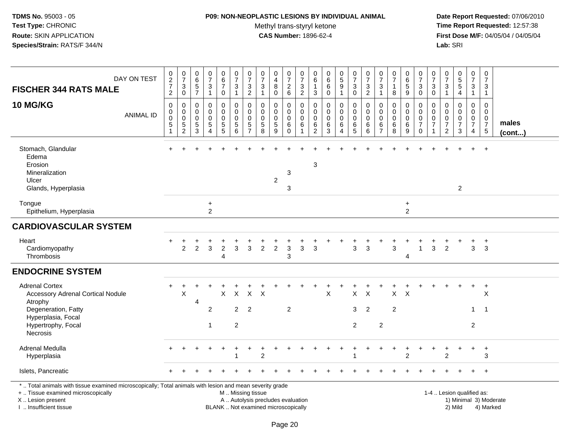#### **P09: NON-NEOPLASTIC LESIONS BY INDIVIDUAL ANIMAL**

Methyl trans-styryl ketone<br>CAS Number: 1896-62-4

 **Date Report Requested:** 07/06/2010 **Time Report Requested:** 12:57:38 **First Dose M/F:** 04/05/04 / 04/05/04<br>Lab: SRI **Lab:** SRI

| DAY ON TEST<br><b>FISCHER 344 RATS MALE</b>                                                                                                                         | $\begin{smallmatrix} 0\\2 \end{smallmatrix}$<br>$\boldsymbol{7}$<br>$\overline{c}$ | $\pmb{0}$<br>$\overline{7}$<br>$\sqrt{3}$<br>$\mathbf 0$                      | 0<br>$6\overline{6}$<br>5<br>$\overline{7}$ | $\frac{0}{7}$<br>3<br>$\mathbf{1}$ | $\begin{array}{c} 0 \\ 6 \end{array}$<br>$\overline{7}$<br>0                        | $\frac{0}{7}$<br>$\sqrt{3}$<br>$\mathbf{1}$            | $\begin{array}{c} 0 \\ 7 \end{array}$<br>$\ensuremath{\mathsf{3}}$<br>$\overline{2}$ | $\begin{array}{c} 0 \\ 7 \end{array}$<br>$\sqrt{3}$<br>$\mathbf{1}$ | 0<br>$\overline{4}$<br>8<br>$\mathbf 0$ | $\frac{0}{7}$<br>$\frac{2}{6}$               | $\frac{0}{7}$<br>$\ensuremath{\mathsf{3}}$<br>$\overline{2}$ | 0<br>6<br>3                    | $\begin{array}{c} 0 \\ 6 \end{array}$<br>$\,6\,$<br>$\mathbf 0$ | $\begin{array}{c} 0 \\ 5 \end{array}$<br>$\boldsymbol{9}$<br>$\mathbf{1}$ | $\frac{0}{7}$<br>$\sqrt{3}$<br>0          | $\begin{array}{c} 0 \\ 7 \end{array}$<br>$\sqrt{3}$<br>$\overline{2}$ | $\begin{array}{c} 0 \\ 7 \end{array}$<br>$\mathbf 3$<br>$\mathbf{1}$ | $\begin{array}{c} 0 \\ 7 \end{array}$<br>8 | $\mathbf 0$<br>6<br>$\,$ 5 $\,$<br>9                         | $\begin{array}{c} 0 \\ 7 \end{array}$<br>$\sqrt{3}$<br>$\mathbf 0$ | 0<br>$\overline{7}$<br>3<br>$\mathbf 0$        | $\frac{0}{7}$<br>$\sqrt{3}$<br>$\mathbf{1}$                               | $\begin{matrix}0\\5\\5\end{matrix}$<br>$\overline{4}$ | $\begin{array}{c} 0 \\ 7 \end{array}$<br>$\mathbf{3}$<br>$\mathbf{1}$ | $\mathbf 0$<br>$\overline{7}$<br>$\mathbf{3}$<br>$\mathbf{1}$                |                        |
|---------------------------------------------------------------------------------------------------------------------------------------------------------------------|------------------------------------------------------------------------------------|-------------------------------------------------------------------------------|---------------------------------------------|------------------------------------|-------------------------------------------------------------------------------------|--------------------------------------------------------|--------------------------------------------------------------------------------------|---------------------------------------------------------------------|-----------------------------------------|----------------------------------------------|--------------------------------------------------------------|--------------------------------|-----------------------------------------------------------------|---------------------------------------------------------------------------|-------------------------------------------|-----------------------------------------------------------------------|----------------------------------------------------------------------|--------------------------------------------|--------------------------------------------------------------|--------------------------------------------------------------------|------------------------------------------------|---------------------------------------------------------------------------|-------------------------------------------------------|-----------------------------------------------------------------------|------------------------------------------------------------------------------|------------------------|
| 10 MG/KG<br><b>ANIMAL ID</b>                                                                                                                                        | $\mathbf 0$<br>$\mathbf 0$<br>$\mathbf 0$<br>$\,$ 5 $\,$<br>1                      | $\mathbf 0$<br>$\mathbf 0$<br>$\mathbf 0$<br>$\overline{5}$<br>$\overline{2}$ | 0<br>$\mathbf 0$<br>0<br>5<br>3             | 0<br>$\mathbf 0$<br>0<br>5<br>4    | $\pmb{0}$<br>$\pmb{0}$<br>$\boldsymbol{0}$<br>$\begin{array}{c} 5 \\ 5 \end{array}$ | 0<br>$\mathbf 0$<br>0<br>$\sqrt{5}$<br>6               | 0<br>$\mathbf 0$<br>$\mathbf 0$<br>$\sqrt{5}$<br>$\overline{7}$                      | 0<br>$\mathbf 0$<br>$\mathbf 0$<br>$\sqrt{5}$<br>8                  | 0<br>$\mathbf 0$<br>0<br>5<br>9         | 0<br>$\pmb{0}$<br>$\pmb{0}$<br>6<br>$\Omega$ | 0<br>$\mathbf 0$<br>0<br>6<br>1                              | 0<br>0<br>0<br>6<br>$\sqrt{2}$ | 0<br>$\mathbf 0$<br>$\pmb{0}$<br>$\,6$<br>$\mathbf{3}$          | 0<br>$\mathbf 0$<br>$\mathbf 0$<br>6<br>4                                 | 0<br>$\mathbf 0$<br>$\mathbf 0$<br>6<br>5 | $\mathbf 0$<br>$\mathbf 0$<br>$\mathbf 0$<br>6<br>6                   | 0<br>$\Omega$<br>0<br>$\,6\,$<br>$\overline{7}$                      | 0<br>$\mathbf 0$<br>$\mathbf 0$<br>6<br>8  | 0<br>$\pmb{0}$<br>$\mathbf 0$<br>$\,6\,$<br>$\boldsymbol{9}$ | 0<br>$\Omega$<br>0<br>$\overline{7}$<br>$\mathbf 0$                | $\Omega$<br>$\mathbf 0$<br>0<br>$\overline{7}$ | $\mathbf 0$<br>$\mathbf 0$<br>$\,0\,$<br>$\overline{7}$<br>$\overline{2}$ | 0<br>$\Omega$<br>0<br>$\overline{7}$<br>3             | 0<br>$\mathsf{O}\xspace$<br>$\frac{0}{7}$<br>4                        | $\mathbf{0}$<br>$\mathbf 0$<br>$\mathbf 0$<br>$\boldsymbol{7}$<br>$\sqrt{5}$ | males<br>$($ cont $)$  |
| Stomach, Glandular<br>Edema<br>Erosion<br>Mineralization<br>Ulcer<br>Glands, Hyperplasia                                                                            |                                                                                    |                                                                               |                                             |                                    |                                                                                     |                                                        |                                                                                      |                                                                     | $\boldsymbol{2}$                        | 3<br>3                                       |                                                              | 3                              |                                                                 |                                                                           |                                           |                                                                       |                                                                      |                                            |                                                              |                                                                    |                                                |                                                                           | $\overline{a}$                                        | $\ddot{}$                                                             | $+$                                                                          |                        |
| Tongue<br>Epithelium, Hyperplasia                                                                                                                                   |                                                                                    |                                                                               |                                             | $\ddot{}$<br>$\overline{2}$        |                                                                                     |                                                        |                                                                                      |                                                                     |                                         |                                              |                                                              |                                |                                                                 |                                                                           |                                           |                                                                       |                                                                      |                                            | $\ddot{}$<br>2                                               |                                                                    |                                                |                                                                           |                                                       |                                                                       |                                                                              |                        |
| <b>CARDIOVASCULAR SYSTEM</b>                                                                                                                                        |                                                                                    |                                                                               |                                             |                                    |                                                                                     |                                                        |                                                                                      |                                                                     |                                         |                                              |                                                              |                                |                                                                 |                                                                           |                                           |                                                                       |                                                                      |                                            |                                                              |                                                                    |                                                |                                                                           |                                                       |                                                                       |                                                                              |                        |
| Heart<br>Cardiomyopathy<br>Thrombosis                                                                                                                               |                                                                                    | $\overline{2}$                                                                | 2                                           | $\mathbf{3}$                       | $\overline{2}$<br>4                                                                 | 3                                                      | 3                                                                                    | $\overline{2}$                                                      | $\sqrt{2}$                              | $\mathbf{3}$<br>3                            | 3                                                            | 3                              |                                                                 |                                                                           | 3                                         | 3                                                                     |                                                                      | 3                                          | 4                                                            | 1                                                                  | 3                                              | $\overline{2}$                                                            |                                                       | 3                                                                     | $\ddot{}$<br>3                                                               |                        |
| <b>ENDOCRINE SYSTEM</b>                                                                                                                                             |                                                                                    |                                                                               |                                             |                                    |                                                                                     |                                                        |                                                                                      |                                                                     |                                         |                                              |                                                              |                                |                                                                 |                                                                           |                                           |                                                                       |                                                                      |                                            |                                                              |                                                                    |                                                |                                                                           |                                                       |                                                                       |                                                                              |                        |
| <b>Adrenal Cortex</b><br><b>Accessory Adrenal Cortical Nodule</b><br>Atrophy                                                                                        |                                                                                    | X                                                                             | 4                                           |                                    | X                                                                                   | X                                                      | $X$ $X$                                                                              |                                                                     |                                         |                                              |                                                              |                                | X                                                               |                                                                           | X                                         | $\boldsymbol{\mathsf{X}}$                                             |                                                                      | $X$ $X$                                    |                                                              |                                                                    |                                                |                                                                           |                                                       | $+$                                                                   | $+$<br>X                                                                     |                        |
| Degeneration, Fatty<br>Hyperplasia, Focal<br>Hypertrophy, Focal<br>Necrosis                                                                                         |                                                                                    |                                                                               |                                             | $\overline{c}$<br>$\mathbf{1}$     |                                                                                     | $\overline{2}$<br>$\overline{2}$                       | $\overline{2}$                                                                       |                                                                     |                                         | $\overline{c}$                               |                                                              |                                |                                                                 |                                                                           | 3<br>$\overline{c}$                       | $\overline{2}$                                                        | $\overline{2}$                                                       | $\overline{2}$                             |                                                              |                                                                    |                                                |                                                                           |                                                       | $\mathbf{1}$<br>2                                                     | $\overline{1}$                                                               |                        |
| Adrenal Medulla<br>Hyperplasia                                                                                                                                      |                                                                                    |                                                                               |                                             |                                    |                                                                                     | -1                                                     |                                                                                      | $\overline{2}$                                                      |                                         |                                              |                                                              |                                |                                                                 |                                                                           |                                           |                                                                       |                                                                      |                                            | $\overline{2}$                                               |                                                                    |                                                | 2                                                                         |                                                       | $\ddot{}$                                                             | $\ddot{}$<br>3                                                               |                        |
| Islets, Pancreatic                                                                                                                                                  |                                                                                    |                                                                               |                                             |                                    |                                                                                     |                                                        |                                                                                      |                                                                     |                                         |                                              |                                                              |                                |                                                                 |                                                                           |                                           |                                                                       |                                                                      |                                            |                                                              |                                                                    |                                                |                                                                           |                                                       | $\ddot{}$                                                             | $+$                                                                          |                        |
| *  Total animals with tissue examined microscopically; Total animals with lesion and mean severity grade<br>+  Tissue examined microscopically<br>X  Lesion present |                                                                                    |                                                                               |                                             |                                    |                                                                                     | M  Missing tissue<br>A  Autolysis precludes evaluation |                                                                                      |                                                                     |                                         |                                              |                                                              |                                |                                                                 |                                                                           |                                           |                                                                       |                                                                      |                                            |                                                              |                                                                    |                                                |                                                                           | 1-4  Lesion qualified as:                             |                                                                       |                                                                              | 1) Minimal 3) Moderate |

I .. Insufficient tissue

BLANK .. Not examined microscopically 2) Mild 4) Marked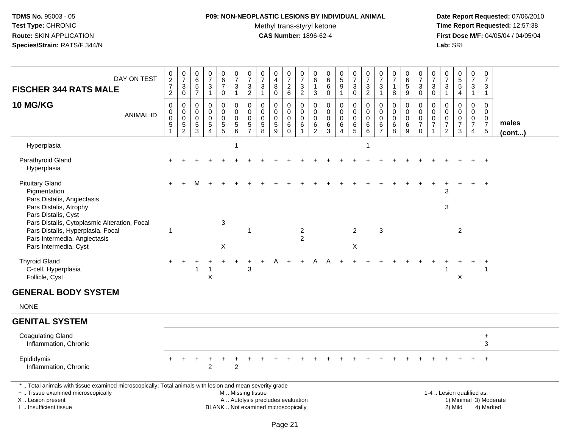## **P09: NON-NEOPLASTIC LESIONS BY INDIVIDUAL ANIMAL**

Methyl trans-styryl ketone<br>CAS Number: 1896-62-4

| DAY ON TEST<br><b>FISCHER 344 RATS MALE</b>                                                                                                                                                   | $\pmb{0}$<br>$\overline{2}$<br>$\overline{7}$<br>$\overline{c}$ | $\begin{array}{c} 0 \\ 7 \end{array}$<br>$\mathbf{3}$<br>$\mathsf{O}\xspace$ | $\mathbf 0$<br>$\,6\,$<br>$\sqrt{5}$<br>$\overline{7}$        | $\mathbf 0$<br>$\overline{7}$<br>3<br>$\overline{1}$                      | 0<br>$\,6\,$<br>$\overline{7}$<br>0                                              | 0<br>$\overline{7}$<br>3<br>$\mathbf{1}$                          | 0<br>$\overline{7}$<br>3<br>$\overline{c}$           | 0<br>$\overline{7}$<br>$\mathbf{3}$<br>$\mathbf{1}$ | $\pmb{0}$<br>$\overline{\mathbf{4}}$<br>8<br>0                           | 0<br>$\overline{7}$<br>2<br>6                                  | 0<br>$\overline{7}$<br>$\sqrt{3}$<br>$\overline{2}$                          | 0<br>6<br>$\mathbf{1}$<br>$\mathbf{3}$                           | $\mathbf 0$<br>$6\phantom{1}6$<br>6<br>$\mathbf 0$   | $\begin{array}{c} 0 \\ 5 \end{array}$<br>9<br>$\mathbf{1}$ | 0<br>$\overline{7}$<br>3<br>0                                      | $\frac{0}{7}$<br>$\mathbf{3}$<br>$\overline{c}$                     | 0<br>$\boldsymbol{7}$<br>3<br>$\mathbf{1}$   | $\begin{array}{c} 0 \\ 7 \end{array}$<br>$\mathbf{1}$<br>8 | $\pmb{0}$<br>$\,6\,$<br>5<br>9                | $\pmb{0}$<br>$\overline{7}$<br>$\mathbf{3}$<br>$\mathbf 0$                   | 0<br>$\overline{7}$<br>3<br>0 | 0<br>$\overline{7}$<br>3<br>$\mathbf{1}$                            | $\begin{array}{c} 0 \\ 5 \\ 5 \end{array}$<br>4                | 0<br>$\overline{7}$<br>3<br>$\mathbf{1}$                            | 0<br>$\overline{7}$<br>3<br>$\mathbf{1}$                                         |                 |
|-----------------------------------------------------------------------------------------------------------------------------------------------------------------------------------------------|-----------------------------------------------------------------|------------------------------------------------------------------------------|---------------------------------------------------------------|---------------------------------------------------------------------------|----------------------------------------------------------------------------------|-------------------------------------------------------------------|------------------------------------------------------|-----------------------------------------------------|--------------------------------------------------------------------------|----------------------------------------------------------------|------------------------------------------------------------------------------|------------------------------------------------------------------|------------------------------------------------------|------------------------------------------------------------|--------------------------------------------------------------------|---------------------------------------------------------------------|----------------------------------------------|------------------------------------------------------------|-----------------------------------------------|------------------------------------------------------------------------------|-------------------------------|---------------------------------------------------------------------|----------------------------------------------------------------|---------------------------------------------------------------------|----------------------------------------------------------------------------------|-----------------|
| <b>10 MG/KG</b><br><b>ANIMAL ID</b>                                                                                                                                                           | $\pmb{0}$<br>0<br>$\bar{0}$<br>5                                | $\mathbf 0$<br>$\pmb{0}$<br>$\overline{0}$<br>$\frac{5}{2}$                  | $\mathbf 0$<br>$\mathbf 0$<br>$\mathbf 0$<br>$\,$ 5 $\,$<br>3 | $\mathbf 0$<br>$\mathbf 0$<br>$\mathbf 0$<br>$\sqrt{5}$<br>$\overline{4}$ | 0<br>$\mathbf 0$<br>$\mathsf{O}\xspace$<br>$\begin{array}{c} 5 \\ 5 \end{array}$ | $\mathbf 0$<br>$\mathbf 0$<br>$\boldsymbol{0}$<br>$\sqrt{5}$<br>6 | $\pmb{0}$<br>0<br>$\mathbf 0$<br>5<br>$\overline{7}$ | $\mathbf 0$<br>$\Omega$<br>$\mathbf 0$<br>5<br>8    | $\mathbf 0$<br>$\mathbf 0$<br>$\mathbf 0$<br>$\sqrt{5}$<br>9             | $\mathbf 0$<br>$\mathbf 0$<br>$\mathbf 0$<br>$\,6$<br>$\Omega$ | $\boldsymbol{0}$<br>$\mathbf 0$<br>$\overline{0}$<br>$\,6\,$<br>$\mathbf{1}$ | $\mathbf 0$<br>$\mathbf 0$<br>$\mathbf 0$<br>6<br>$\overline{2}$ | $\mathbf 0$<br>$\Omega$<br>$\mathbf 0$<br>$\,6$<br>3 | 0<br>0<br>$\mathsf{O}\xspace$<br>$\,6$<br>$\overline{4}$   | 0<br>$\mathbf 0$<br>$\ddot{\mathbf{0}}$<br>$\,6$<br>$\overline{5}$ | $\pmb{0}$<br>$\pmb{0}$<br>$\overline{0}$<br>$\,6$<br>$\overline{6}$ | $\mathbf 0$<br>0<br>0<br>6<br>$\overline{7}$ | $\mathbf 0$<br>$\mathbf 0$<br>$\pmb{0}$<br>$\,6\,$<br>8    | 0<br>$\mathbf 0$<br>$\pmb{0}$<br>$\,6\,$<br>9 | $\mathbf 0$<br>$\mathbf 0$<br>$\mathbf 0$<br>$\boldsymbol{7}$<br>$\mathbf 0$ | 0<br>0<br>0<br>$\overline{7}$ | 0<br>$\mathbf 0$<br>$\mathbf 0$<br>$\overline{7}$<br>$\overline{2}$ | 0<br>$\mathbf 0$<br>$\ddot{\mathbf{0}}$<br>$\overline{7}$<br>3 | 0<br>$\mathbf 0$<br>$\pmb{0}$<br>$\boldsymbol{7}$<br>$\overline{4}$ | $\mathbf 0$<br>$\mathbf 0$<br>$\boldsymbol{0}$<br>$\boldsymbol{7}$<br>$\sqrt{5}$ | males<br>(cont) |
| Hyperplasia                                                                                                                                                                                   |                                                                 |                                                                              |                                                               |                                                                           |                                                                                  | 1                                                                 |                                                      |                                                     |                                                                          |                                                                |                                                                              |                                                                  |                                                      |                                                            |                                                                    | 1                                                                   |                                              |                                                            |                                               |                                                                              |                               |                                                                     |                                                                |                                                                     |                                                                                  |                 |
| Parathyroid Gland<br>Hyperplasia                                                                                                                                                              |                                                                 |                                                                              |                                                               |                                                                           |                                                                                  |                                                                   |                                                      |                                                     |                                                                          |                                                                |                                                                              |                                                                  |                                                      |                                                            |                                                                    |                                                                     |                                              |                                                            |                                               |                                                                              |                               |                                                                     |                                                                |                                                                     |                                                                                  |                 |
| <b>Pituitary Gland</b><br>Pigmentation<br>Pars Distalis, Angiectasis                                                                                                                          |                                                                 |                                                                              |                                                               |                                                                           |                                                                                  |                                                                   |                                                      |                                                     |                                                                          |                                                                |                                                                              |                                                                  |                                                      |                                                            |                                                                    |                                                                     |                                              |                                                            |                                               |                                                                              |                               | 3                                                                   |                                                                | $+$                                                                 | $+$                                                                              |                 |
| Pars Distalis, Atrophy<br>Pars Distalis, Cyst<br>Pars Distalis, Cytoplasmic Alteration, Focal                                                                                                 |                                                                 |                                                                              |                                                               |                                                                           | 3                                                                                |                                                                   |                                                      |                                                     |                                                                          |                                                                |                                                                              |                                                                  |                                                      |                                                            |                                                                    |                                                                     |                                              |                                                            |                                               |                                                                              |                               | 3                                                                   |                                                                |                                                                     |                                                                                  |                 |
| Pars Distalis, Hyperplasia, Focal<br>Pars Intermedia, Angiectasis<br>Pars Intermedia, Cyst                                                                                                    |                                                                 |                                                                              |                                                               |                                                                           | $\boldsymbol{\mathsf{X}}$                                                        |                                                                   | $\mathbf{1}$                                         |                                                     |                                                                          |                                                                | $\overline{2}$<br>2                                                          |                                                                  |                                                      |                                                            | $\overline{2}$<br>$\pmb{\times}$                                   |                                                                     | 3                                            |                                                            |                                               |                                                                              |                               |                                                                     | $\overline{2}$                                                 |                                                                     |                                                                                  |                 |
| <b>Thyroid Gland</b><br>C-cell, Hyperplasia<br>Follicle, Cyst                                                                                                                                 |                                                                 |                                                                              | 1                                                             | $\overline{1}$<br>X                                                       |                                                                                  |                                                                   | 3                                                    |                                                     |                                                                          |                                                                |                                                                              |                                                                  |                                                      |                                                            |                                                                    |                                                                     |                                              |                                                            |                                               |                                                                              |                               |                                                                     | X                                                              |                                                                     | $\overline{1}$                                                                   |                 |
| <b>GENERAL BODY SYSTEM</b>                                                                                                                                                                    |                                                                 |                                                                              |                                                               |                                                                           |                                                                                  |                                                                   |                                                      |                                                     |                                                                          |                                                                |                                                                              |                                                                  |                                                      |                                                            |                                                                    |                                                                     |                                              |                                                            |                                               |                                                                              |                               |                                                                     |                                                                |                                                                     |                                                                                  |                 |
| <b>NONE</b>                                                                                                                                                                                   |                                                                 |                                                                              |                                                               |                                                                           |                                                                                  |                                                                   |                                                      |                                                     |                                                                          |                                                                |                                                                              |                                                                  |                                                      |                                                            |                                                                    |                                                                     |                                              |                                                            |                                               |                                                                              |                               |                                                                     |                                                                |                                                                     |                                                                                  |                 |
| <b>GENITAL SYSTEM</b>                                                                                                                                                                         |                                                                 |                                                                              |                                                               |                                                                           |                                                                                  |                                                                   |                                                      |                                                     |                                                                          |                                                                |                                                                              |                                                                  |                                                      |                                                            |                                                                    |                                                                     |                                              |                                                            |                                               |                                                                              |                               |                                                                     |                                                                |                                                                     |                                                                                  |                 |
| <b>Coagulating Gland</b><br>Inflammation, Chronic                                                                                                                                             |                                                                 |                                                                              |                                                               |                                                                           |                                                                                  |                                                                   |                                                      |                                                     |                                                                          |                                                                |                                                                              |                                                                  |                                                      |                                                            |                                                                    |                                                                     |                                              |                                                            |                                               |                                                                              |                               |                                                                     |                                                                |                                                                     | $\ddot{}$<br>3                                                                   |                 |
| Epididymis<br>Inflammation, Chronic                                                                                                                                                           |                                                                 | $\ddot{}$                                                                    | $\div$                                                        | $\overline{2}$                                                            | +                                                                                | $\overline{2}$                                                    |                                                      |                                                     |                                                                          |                                                                |                                                                              |                                                                  |                                                      |                                                            |                                                                    |                                                                     |                                              |                                                            |                                               |                                                                              |                               |                                                                     |                                                                |                                                                     |                                                                                  |                 |
| *  Total animals with tissue examined microscopically; Total animals with lesion and mean severity grade<br>+  Tissue examined microscopically<br>X  Lesion present<br>I  Insufficient tissue |                                                                 |                                                                              |                                                               |                                                                           |                                                                                  | M  Missing tissue                                                 |                                                      |                                                     | A  Autolysis precludes evaluation<br>BLANK  Not examined microscopically |                                                                |                                                                              |                                                                  |                                                      |                                                            |                                                                    |                                                                     |                                              |                                                            |                                               |                                                                              |                               |                                                                     | 1-4  Lesion qualified as:<br>2) Mild                           |                                                                     | 1) Minimal 3) Moderate<br>4) Marked                                              |                 |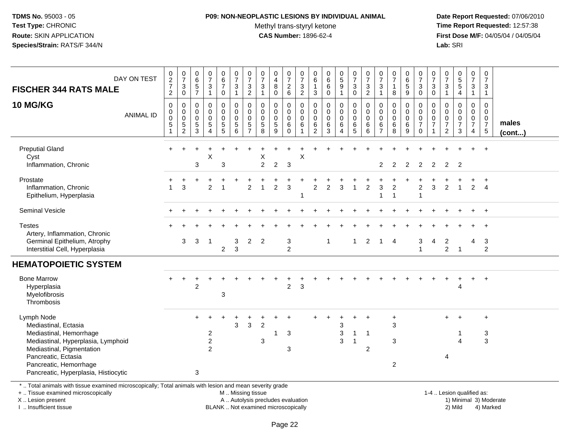## **P09: NON-NEOPLASTIC LESIONS BY INDIVIDUAL ANIMAL**

Methyl trans-styryl ketone<br>CAS Number: 1896-62-4

 **Date Report Requested:** 07/06/2010 **Time Report Requested:** 12:57:38 **First Dose M/F:** 04/05/04 / 04/05/04<br>Lab: SRI **Lab:** SRI

| DAY ON TEST<br><b>FISCHER 344 RATS MALE</b><br><b>10 MG/KG</b><br><b>ANIMAL ID</b>                                                                                                                                        | $\begin{array}{c} 0 \\ 2 \\ 7 \end{array}$<br>$\sqrt{2}$<br>$\mathbf 0$<br>$\mathbf 0$<br>$\mathbf 0$<br>$\overline{5}$<br>$\mathbf{1}$ | $\frac{0}{7}$<br>$\ensuremath{\mathsf{3}}$<br>$\pmb{0}$<br>0<br>0<br>0<br>5<br>$\overline{c}$ | $_{6}^{\rm 0}$<br>$\overline{5}$<br>$\overline{7}$<br>0<br>0<br>0<br>$\frac{5}{3}$ | $\frac{0}{7}$<br>$\sqrt{3}$<br>$\mathbf{1}$<br>0<br>0<br>0<br>$\overline{5}$<br>$\boldsymbol{\Lambda}$ | $\begin{array}{c} 0 \\ 6 \end{array}$<br>$\overline{7}$<br>$\mathsf 0$<br>0<br>0<br>0<br>$\frac{5}{5}$ | $\frac{0}{7}$<br>$\ensuremath{\mathsf{3}}$<br>$\mathbf{1}$<br>$\mathbf 0$<br>$\pmb{0}$<br>$\mathbf 0$<br>$\frac{5}{6}$ | $\frac{0}{7}$<br>$\sqrt{3}$<br>$\sqrt{2}$<br>$\mathbf 0$<br>$\mathbf 0$<br>$\mathbf 0$<br>$\sqrt{5}$<br>$\overline{7}$ | $\begin{array}{c} 0 \\ 7 \end{array}$<br>$\ensuremath{\mathsf{3}}$<br>$\mathbf{1}$<br>$\mathbf 0$<br>$\mathbf 0$<br>$\mathbf 0$<br>$\sqrt{5}$<br>8 | $\begin{array}{c} 0 \\ 4 \end{array}$<br>8<br>$\pmb{0}$<br>0<br>$\mathbf 0$<br>0<br>$\sqrt{5}$<br>$\overline{9}$ | $\begin{smallmatrix}0\\7\end{smallmatrix}$<br>$\overline{c}$<br>$\,6\,$<br>0<br>0<br>0<br>6<br>$\Omega$ | $\begin{array}{c} 0 \\ 7 \end{array}$<br>$\ensuremath{\mathsf{3}}$<br>$\overline{2}$<br>0<br>$\mathsf 0$<br>0<br>6 | 0<br>$\,6\,$<br>$\overline{1}$<br>$\mathsf 3$<br>$\mathbf 0$<br>$\mathbf 0$<br>$\mathbf 0$<br>$6\phantom{1}6$<br>$\overline{2}$ | $\pmb{0}$<br>$6\overline{6}$<br>6<br>$\mathbf 0$<br>$\pmb{0}$<br>$\mathbf 0$<br>$\mathbf 0$<br>$\,6\,$<br>3 | $\begin{array}{c} 0 \\ 5 \end{array}$<br>$\boldsymbol{9}$<br>$\mathbf{1}$<br>0<br>$\mathbf 0$<br>$\mathbf 0$<br>$\,6\,$<br>4 | $\begin{smallmatrix}0\\7\end{smallmatrix}$<br>$\sqrt{3}$<br>$\boldsymbol{0}$<br>0<br>$\pmb{0}$<br>0<br>6<br>$\overline{5}$ | $\frac{0}{7}$<br>$\ensuremath{\mathsf{3}}$<br>$\overline{2}$<br>$\mathsf 0$<br>0<br>0<br>6<br>$6\phantom{a}$ | 0<br>$\overline{7}$<br>$\sqrt{3}$<br>$\mathbf{1}$<br>0<br>0<br>0<br>6 | $\begin{array}{c} 0 \\ 7 \end{array}$<br>$\mathbf 1$<br>$\bf8$<br>$\mathbf 0$<br>$\mathbf 0$<br>$\mathbf 0$<br>$\,6\,$<br>8 | 0<br>$\,6$<br>$\sqrt{5}$<br>$\boldsymbol{9}$<br>0<br>0<br>0<br>$\,6\,$<br>9 | $\frac{0}{7}$<br>$\ensuremath{\mathsf{3}}$<br>$\mathbf 0$<br>$\mathbf 0$<br>$\mathbf 0$<br>$\mathbf 0$<br>$\overline{7}$<br>$\Omega$ | 0<br>$\overline{7}$<br>3<br>$\mathbf 0$<br>0<br>$\mathbf 0$<br>0<br>$\overline{7}$ | $\frac{0}{7}$<br>3<br>$\mathbf{1}$<br>$\mathbf 0$<br>0<br>0<br>$\overline{7}$<br>$\overline{c}$ | $\begin{array}{c} 0 \\ 5 \\ 5 \end{array}$<br>$\overline{\mathbf{4}}$<br>0<br>$\pmb{0}$<br>$\frac{0}{7}$<br>3 | $\mathbf 0$<br>$\overline{7}$<br>$\mathsf 3$<br>$\mathbf{1}$<br>$\mathbf 0$<br>$\mathbf 0$<br>$\mathbf 0$<br>$\overline{7}$<br>4 | $\pmb{0}$<br>$\overline{7}$<br>$\mathbf{3}$<br>$\overline{1}$<br>$\mathbf 0$<br>$\mathbf 0$<br>0<br>$\overline{7}$<br>$\overline{5}$ | males<br>$($ cont $)$ |
|---------------------------------------------------------------------------------------------------------------------------------------------------------------------------------------------------------------------------|-----------------------------------------------------------------------------------------------------------------------------------------|-----------------------------------------------------------------------------------------------|------------------------------------------------------------------------------------|--------------------------------------------------------------------------------------------------------|--------------------------------------------------------------------------------------------------------|------------------------------------------------------------------------------------------------------------------------|------------------------------------------------------------------------------------------------------------------------|----------------------------------------------------------------------------------------------------------------------------------------------------|------------------------------------------------------------------------------------------------------------------|---------------------------------------------------------------------------------------------------------|--------------------------------------------------------------------------------------------------------------------|---------------------------------------------------------------------------------------------------------------------------------|-------------------------------------------------------------------------------------------------------------|------------------------------------------------------------------------------------------------------------------------------|----------------------------------------------------------------------------------------------------------------------------|--------------------------------------------------------------------------------------------------------------|-----------------------------------------------------------------------|-----------------------------------------------------------------------------------------------------------------------------|-----------------------------------------------------------------------------|--------------------------------------------------------------------------------------------------------------------------------------|------------------------------------------------------------------------------------|-------------------------------------------------------------------------------------------------|---------------------------------------------------------------------------------------------------------------|----------------------------------------------------------------------------------------------------------------------------------|--------------------------------------------------------------------------------------------------------------------------------------|-----------------------|
| <b>Preputial Gland</b><br>Cyst<br>Inflammation, Chronic                                                                                                                                                                   |                                                                                                                                         |                                                                                               | 3                                                                                  | Χ                                                                                                      | 3                                                                                                      |                                                                                                                        |                                                                                                                        | х<br>$\overline{2}$                                                                                                                                | $\overline{c}$                                                                                                   | 3                                                                                                       | X                                                                                                                  |                                                                                                                                 |                                                                                                             |                                                                                                                              |                                                                                                                            |                                                                                                              | 2                                                                     | 2                                                                                                                           | 2                                                                           | $\overline{2}$                                                                                                                       | 2                                                                                  | 2                                                                                               | $\overline{2}$                                                                                                |                                                                                                                                  | $\overline{+}$                                                                                                                       |                       |
| Prostate<br>Inflammation, Chronic<br>Epithelium, Hyperplasia                                                                                                                                                              |                                                                                                                                         | 3                                                                                             |                                                                                    | $\overline{2}$                                                                                         |                                                                                                        |                                                                                                                        | $\overline{2}$                                                                                                         |                                                                                                                                                    | $\overline{c}$                                                                                                   | 3                                                                                                       |                                                                                                                    | $\overline{c}$                                                                                                                  | 2                                                                                                           | 3                                                                                                                            | 1                                                                                                                          | $\overline{c}$                                                                                               | 3                                                                     | $\overline{c}$<br>$\overline{1}$                                                                                            |                                                                             | $\overline{c}$<br>$\overline{1}$                                                                                                     | 3                                                                                  | 2                                                                                               | $\overline{1}$                                                                                                | $\overline{2}$                                                                                                                   | $\ddot{}$<br>$\overline{4}$                                                                                                          |                       |
| <b>Seminal Vesicle</b>                                                                                                                                                                                                    |                                                                                                                                         |                                                                                               |                                                                                    |                                                                                                        |                                                                                                        |                                                                                                                        |                                                                                                                        |                                                                                                                                                    |                                                                                                                  |                                                                                                         |                                                                                                                    |                                                                                                                                 |                                                                                                             |                                                                                                                              |                                                                                                                            |                                                                                                              |                                                                       |                                                                                                                             |                                                                             |                                                                                                                                      |                                                                                    |                                                                                                 |                                                                                                               |                                                                                                                                  | $+$                                                                                                                                  |                       |
| <b>Testes</b><br>Artery, Inflammation, Chronic<br>Germinal Epithelium, Atrophy<br>Interstitial Cell, Hyperplasia                                                                                                          |                                                                                                                                         | 3                                                                                             | 3                                                                                  | $\overline{1}$                                                                                         | $\overline{c}$                                                                                         | 3<br>$\mathbf{3}$                                                                                                      | $\overline{2}$                                                                                                         | $\overline{2}$                                                                                                                                     |                                                                                                                  | 3<br>$\overline{2}$                                                                                     |                                                                                                                    |                                                                                                                                 | $\mathbf 1$                                                                                                 |                                                                                                                              | $\mathbf{1}$                                                                                                               | $\overline{2}$                                                                                               | $\mathbf 1$                                                           | $\overline{4}$                                                                                                              |                                                                             | 3<br>$\overline{1}$                                                                                                                  | 4                                                                                  | 2<br>$\overline{2}$                                                                             | $\overline{1}$                                                                                                | 4                                                                                                                                | 3<br>$\overline{2}$                                                                                                                  |                       |
| <b>HEMATOPOIETIC SYSTEM</b>                                                                                                                                                                                               |                                                                                                                                         |                                                                                               |                                                                                    |                                                                                                        |                                                                                                        |                                                                                                                        |                                                                                                                        |                                                                                                                                                    |                                                                                                                  |                                                                                                         |                                                                                                                    |                                                                                                                                 |                                                                                                             |                                                                                                                              |                                                                                                                            |                                                                                                              |                                                                       |                                                                                                                             |                                                                             |                                                                                                                                      |                                                                                    |                                                                                                 |                                                                                                               |                                                                                                                                  |                                                                                                                                      |                       |
| <b>Bone Marrow</b><br>Hyperplasia<br>Myelofibrosis<br>Thrombosis                                                                                                                                                          |                                                                                                                                         |                                                                                               | $\overline{2}$                                                                     |                                                                                                        | 3                                                                                                      |                                                                                                                        |                                                                                                                        |                                                                                                                                                    |                                                                                                                  | $\overline{2}$                                                                                          | 3                                                                                                                  |                                                                                                                                 |                                                                                                             |                                                                                                                              |                                                                                                                            |                                                                                                              |                                                                       |                                                                                                                             |                                                                             |                                                                                                                                      |                                                                                    |                                                                                                 | $\overline{4}$                                                                                                |                                                                                                                                  | $\ddot{}$                                                                                                                            |                       |
| Lymph Node<br>Mediastinal, Ectasia<br>Mediastinal, Hemorrhage<br>Mediastinal, Hyperplasia, Lymphoid<br>Mediastinal, Pigmentation<br>Pancreatic, Ectasia<br>Pancreatic, Hemorrhage<br>Pancreatic, Hyperplasia, Histiocytic |                                                                                                                                         |                                                                                               | ÷<br>3                                                                             | $\ddot{}$<br>$\overline{c}$<br>$\mathbf 2$<br>$\overline{c}$                                           |                                                                                                        | 3                                                                                                                      | 3                                                                                                                      | $\overline{c}$<br>$\ensuremath{\mathsf{3}}$                                                                                                        | 1                                                                                                                | $\ddot{}$<br>3<br>3                                                                                     |                                                                                                                    |                                                                                                                                 |                                                                                                             | 3<br>$\ensuremath{\mathsf{3}}$<br>3                                                                                          | -1<br>-1                                                                                                                   | $\overline{+}$<br>$\mathbf 1$<br>$\overline{c}$                                                              |                                                                       | $\ddot{}$<br>3<br>$\ensuremath{\mathsf{3}}$<br>$\overline{2}$                                                               |                                                                             |                                                                                                                                      |                                                                                    | $+$<br>4                                                                                        | $\overline{+}$<br>$\overline{4}$                                                                              |                                                                                                                                  | $\ddot{}$<br>$\sqrt{3}$<br>$\mathfrak{S}$                                                                                            |                       |
| *  Total animals with tissue examined microscopically; Total animals with lesion and mean severity grade<br>+  Tissue examined microscopically                                                                            |                                                                                                                                         |                                                                                               |                                                                                    |                                                                                                        |                                                                                                        | M  Missing tissue                                                                                                      |                                                                                                                        |                                                                                                                                                    |                                                                                                                  |                                                                                                         |                                                                                                                    |                                                                                                                                 |                                                                                                             |                                                                                                                              |                                                                                                                            |                                                                                                              |                                                                       |                                                                                                                             |                                                                             |                                                                                                                                      |                                                                                    |                                                                                                 | 1-4  Lesion qualified as:                                                                                     |                                                                                                                                  |                                                                                                                                      |                       |

X .. Lesion present

I .. Insufficient tissue

BLANK .. Not examined microscopically

A .. Autolysis precludes evaluation and the service of the service of the service of the service of the service of the service of the service of the service of the service of the service of the service of the service of th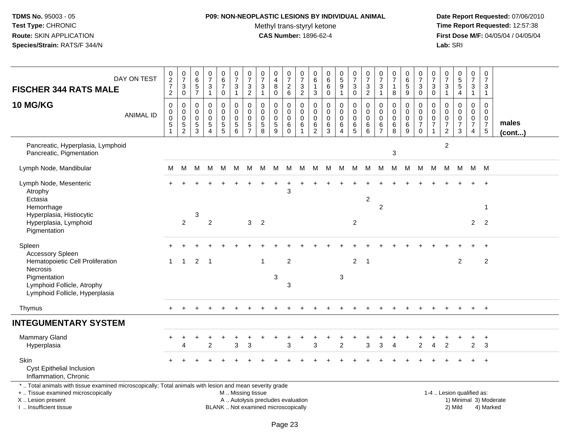# **P09: NON-NEOPLASTIC LESIONS BY INDIVIDUAL ANIMAL**

Methyl trans-styryl ketone<br>CAS Number: 1896-62-4

 **Date Report Requested:** 07/06/2010 **Time Report Requested:** 12:57:38 **First Dose M/F:** 04/05/04 / 04/05/04<br>Lab: SRI **Lab:** SRI

| DAY ON TEST<br><b>FISCHER 344 RATS MALE</b>                                                                                                                                                   | $\frac{0}{2}$<br>2<br>2                                              | $\frac{0}{7}$<br>3<br>$\mathsf{O}\xspace$    | $\pmb{0}$<br>6<br>$\frac{5}{7}$                               | $\frac{0}{7}$<br>$\frac{3}{1}$                                                     | $\begin{array}{c} 0 \\ 6 \end{array}$<br>$\overline{7}$<br>0            | $\begin{array}{c} 0 \\ 7 \end{array}$<br>$\sqrt{3}$<br>$\mathbf{1}$                           | $\frac{0}{7}$<br>$\mathbf{3}$<br>$\overline{c}$               | $\frac{0}{7}$<br>$\sqrt{3}$<br>$\mathbf{1}$                  | 0<br>$\overline{4}$<br>8<br>$\mathbf 0$ | 0<br>$\boldsymbol{7}$<br>$^2$ 6               | $\frac{0}{7}$<br>$\frac{3}{2}$                                 | 0<br>6<br>$\overline{1}$<br>3          | $\mathbf 0$<br>$\,6\,$<br>6<br>$\mathbf 0$             | $\begin{array}{c} 0 \\ 5 \end{array}$<br>$\boldsymbol{9}$<br>$\mathbf{1}$ | $\begin{array}{c} 0 \\ 7 \end{array}$<br>$\ensuremath{\mathsf{3}}$<br>$\overline{0}$ | $\frac{0}{7}$<br>$\mathbf 3$<br>$\overline{2}$        | 0<br>$\overline{7}$<br>$\mathbf{3}$<br>$\mathbf{1}$           | $\frac{0}{7}$<br>1<br>8                                    | 0<br>$6\phantom{a}$<br>$\sqrt{5}$<br>$9\,$ | $\begin{array}{c} 0 \\ 7 \end{array}$<br>$\ensuremath{\mathsf{3}}$<br>$\mathbf 0$ | 0<br>$\frac{5}{7}$<br>3<br>0                         | 0<br>$\overline{7}$<br>$\sqrt{3}$<br>$\mathbf{1}$                | $\begin{array}{c} 0 \\ 5 \\ 5 \end{array}$<br>$\overline{4}$   | $\begin{smallmatrix}0\\7\end{smallmatrix}$<br>3<br>$\mathbf{1}$               | $\mathbf 0$<br>$\overline{7}$<br>3<br>$\overline{1}$               |                       |
|-----------------------------------------------------------------------------------------------------------------------------------------------------------------------------------------------|----------------------------------------------------------------------|----------------------------------------------|---------------------------------------------------------------|------------------------------------------------------------------------------------|-------------------------------------------------------------------------|-----------------------------------------------------------------------------------------------|---------------------------------------------------------------|--------------------------------------------------------------|-----------------------------------------|-----------------------------------------------|----------------------------------------------------------------|----------------------------------------|--------------------------------------------------------|---------------------------------------------------------------------------|--------------------------------------------------------------------------------------|-------------------------------------------------------|---------------------------------------------------------------|------------------------------------------------------------|--------------------------------------------|-----------------------------------------------------------------------------------|------------------------------------------------------|------------------------------------------------------------------|----------------------------------------------------------------|-------------------------------------------------------------------------------|--------------------------------------------------------------------|-----------------------|
| 10 MG/KG<br><b>ANIMAL ID</b>                                                                                                                                                                  | $\pmb{0}$<br>$\pmb{0}$<br>$\mathbf 0$<br>$\,$ 5 $\,$<br>$\mathbf{1}$ | 0<br>$\mathbf 0$<br>0<br>5<br>$\overline{2}$ | $\mathbf 0$<br>$\mathbf 0$<br>$\mathbf 0$<br>$\,$ 5 $\,$<br>3 | $\mathbf 0$<br>$\mathbf 0$<br>$\mathbf 0$<br>$\,$ 5 $\,$<br>$\boldsymbol{\Lambda}$ | $\pmb{0}$<br>$\mathbf 0$<br>$\mathbf 0$<br>$\sqrt{5}$<br>$\overline{5}$ | $\pmb{0}$<br>$\mathbf 0$<br>$\mathbf 0$<br>$\sqrt{5}$<br>6                                    | $\mathbf 0$<br>$\Omega$<br>0<br>$\,$ 5 $\,$<br>$\overline{7}$ | $\mathbf 0$<br>$\mathbf 0$<br>$\mathbf 0$<br>$\sqrt{5}$<br>8 | 0<br>$\Omega$<br>0<br>5<br>9            | 0<br>$\mathbf 0$<br>0<br>$\,6$<br>$\mathbf 0$ | $\mathbf 0$<br>$\mathbf 0$<br>$\mathbf 0$<br>6<br>$\mathbf{1}$ | 0<br>$\Omega$<br>$\mathbf 0$<br>6<br>2 | $\mathbf 0$<br>$\Omega$<br>$\mathbf 0$<br>$\,6\,$<br>3 | 0<br>$\mathbf 0$<br>0<br>$\,6\,$<br>$\overline{4}$                        | 0<br>$\mathbf 0$<br>$\mathbf 0$<br>$\,6$<br>5                                        | $\pmb{0}$<br>$\mathbf 0$<br>$\mathbf 0$<br>$\,6$<br>6 | $\mathbf 0$<br>$\Omega$<br>$\mathbf 0$<br>6<br>$\overline{7}$ | $\mathbf 0$<br>$\mathbf{0}$<br>$\mathbf 0$<br>$\,6\,$<br>8 | 0<br>$\mathbf 0$<br>0<br>$\,6\,$<br>9      | $\mathbf 0$<br>$\mathbf 0$<br>$\mathbf 0$<br>$\boldsymbol{7}$<br>$\mathbf 0$      | 0<br>$\Omega$<br>0<br>$\overline{7}$<br>$\mathbf{1}$ | $\mathbf 0$<br>$\Omega$<br>0<br>$\overline{7}$<br>$\overline{2}$ | $\mathbf 0$<br>$\mathbf 0$<br>$\pmb{0}$<br>$\overline{7}$<br>3 | $\mathbf 0$<br>$\mathbf 0$<br>$\mathbf 0$<br>$\overline{7}$<br>$\overline{4}$ | $\mathbf{0}$<br>$\mathbf 0$<br>0<br>$\boldsymbol{7}$<br>$\sqrt{5}$ | males<br>$($ cont $)$ |
| Pancreatic, Hyperplasia, Lymphoid<br>Pancreatic, Pigmentation                                                                                                                                 |                                                                      |                                              |                                                               |                                                                                    |                                                                         |                                                                                               |                                                               |                                                              |                                         |                                               |                                                                |                                        |                                                        |                                                                           |                                                                                      |                                                       |                                                               | $\sqrt{3}$                                                 |                                            |                                                                                   |                                                      | $\overline{2}$                                                   |                                                                |                                                                               |                                                                    |                       |
| Lymph Node, Mandibular                                                                                                                                                                        | M                                                                    | M                                            |                                                               | M M M                                                                              |                                                                         |                                                                                               |                                                               |                                                              |                                         |                                               |                                                                |                                        | M M M M M M M M M M M M M M M                          |                                                                           |                                                                                      |                                                       |                                                               |                                                            |                                            |                                                                                   |                                                      |                                                                  | M M M M                                                        |                                                                               |                                                                    |                       |
| Lymph Node, Mesenteric<br>Atrophy<br>Ectasia<br>Hemorrhage                                                                                                                                    |                                                                      |                                              |                                                               |                                                                                    |                                                                         |                                                                                               |                                                               |                                                              | $\div$                                  | ÷<br>3                                        |                                                                |                                        |                                                        |                                                                           |                                                                                      | $\overline{2}$                                        | $\overline{2}$                                                |                                                            |                                            |                                                                                   |                                                      |                                                                  |                                                                |                                                                               | $+$<br>-1                                                          |                       |
| Hyperplasia, Histiocytic<br>Hyperplasia, Lymphoid<br>Pigmentation                                                                                                                             |                                                                      | $\overline{2}$                               | 3                                                             | $\overline{c}$                                                                     |                                                                         |                                                                                               | 3                                                             | $\overline{2}$                                               |                                         |                                               |                                                                |                                        |                                                        |                                                                           | $\overline{2}$                                                                       |                                                       |                                                               |                                                            |                                            |                                                                                   |                                                      |                                                                  |                                                                | $\overline{2}$                                                                | $\overline{2}$                                                     |                       |
| Spleen<br><b>Accessory Spleen</b>                                                                                                                                                             |                                                                      |                                              |                                                               |                                                                                    |                                                                         |                                                                                               |                                                               |                                                              |                                         |                                               |                                                                |                                        |                                                        |                                                                           |                                                                                      |                                                       |                                                               |                                                            |                                            |                                                                                   |                                                      |                                                                  |                                                                |                                                                               |                                                                    |                       |
| Hematopoietic Cell Proliferation<br>Necrosis                                                                                                                                                  | 1                                                                    | $\mathbf{1}$                                 | 2                                                             | -1                                                                                 |                                                                         |                                                                                               |                                                               | $\overline{1}$                                               |                                         | $\overline{2}$                                |                                                                |                                        |                                                        |                                                                           | $\overline{2}$                                                                       | $\overline{1}$                                        |                                                               |                                                            |                                            |                                                                                   |                                                      |                                                                  | $\overline{2}$                                                 |                                                                               | $\overline{2}$                                                     |                       |
| Pigmentation<br>Lymphoid Follicle, Atrophy<br>Lymphoid Follicle, Hyperplasia                                                                                                                  |                                                                      |                                              |                                                               |                                                                                    |                                                                         |                                                                                               |                                                               |                                                              | 3                                       | 3                                             |                                                                |                                        |                                                        | 3                                                                         |                                                                                      |                                                       |                                                               |                                                            |                                            |                                                                                   |                                                      |                                                                  |                                                                |                                                                               |                                                                    |                       |
| Thymus                                                                                                                                                                                        |                                                                      |                                              |                                                               |                                                                                    |                                                                         |                                                                                               |                                                               |                                                              |                                         |                                               |                                                                |                                        |                                                        |                                                                           |                                                                                      |                                                       |                                                               |                                                            |                                            |                                                                                   |                                                      |                                                                  |                                                                | $+$                                                                           | $+$                                                                |                       |
| <b>INTEGUMENTARY SYSTEM</b>                                                                                                                                                                   |                                                                      |                                              |                                                               |                                                                                    |                                                                         |                                                                                               |                                                               |                                                              |                                         |                                               |                                                                |                                        |                                                        |                                                                           |                                                                                      |                                                       |                                                               |                                                            |                                            |                                                                                   |                                                      |                                                                  |                                                                |                                                                               |                                                                    |                       |
| Mammary Gland<br>Hyperplasia                                                                                                                                                                  |                                                                      | +<br>$\boldsymbol{\Lambda}$                  |                                                               | $\mathfrak{p}$                                                                     |                                                                         | 3                                                                                             | 3                                                             |                                                              |                                         | 3                                             |                                                                | 3                                      |                                                        | $\mathcal{P}$                                                             |                                                                                      | 3                                                     | 3                                                             | Δ                                                          |                                            | 2                                                                                 | $\overline{\mathbf{A}}$                              | $\overline{2}$                                                   |                                                                | +<br>$\overline{2}$                                                           | $\ddot{}$<br>3                                                     |                       |
| Skin<br><b>Cyst Epithelial Inclusion</b><br>Inflammation, Chronic                                                                                                                             |                                                                      |                                              |                                                               |                                                                                    |                                                                         |                                                                                               |                                                               |                                                              |                                         |                                               |                                                                |                                        |                                                        |                                                                           |                                                                                      |                                                       |                                                               |                                                            |                                            |                                                                                   |                                                      |                                                                  |                                                                |                                                                               | $\overline{+}$                                                     |                       |
| *  Total animals with tissue examined microscopically; Total animals with lesion and mean severity grade<br>+  Tissue examined microscopically<br>X  Lesion present<br>I  Insufficient tissue |                                                                      |                                              |                                                               |                                                                                    |                                                                         | M  Missing tissue<br>A  Autolysis precludes evaluation<br>BLANK  Not examined microscopically |                                                               |                                                              |                                         |                                               |                                                                |                                        |                                                        |                                                                           |                                                                                      |                                                       |                                                               |                                                            |                                            |                                                                                   |                                                      |                                                                  | 1-4  Lesion qualified as:<br>2) Mild                           |                                                                               | 1) Minimal 3) Moderate<br>4) Marked                                |                       |

I .. Insufficient tissue

Page 23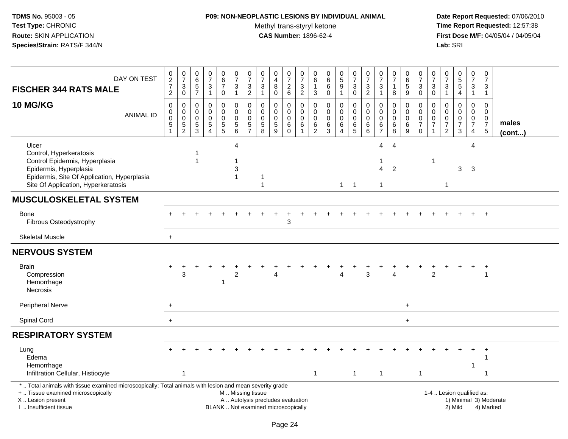## **P09: NON-NEOPLASTIC LESIONS BY INDIVIDUAL ANIMAL**Methyl trans-styryl ketone<br>CAS Number: 1896-62-4

| DAY ON TEST<br><b>FISCHER 344 RATS MALE</b>                                                                                                                                                   | $0$<br>27<br>2                                                               | $\frac{0}{7}$<br>$\mathbf{3}$<br>$\overline{0}$  | 0<br>$6\phantom{a}$<br>$\frac{5}{7}$                        | $\frac{0}{7}$<br>$\sqrt{3}$<br>$\mathbf{1}$                             | 0<br>6<br>$\overline{7}$<br>0                                            | $\pmb{0}$<br>$\overline{7}$<br>$\ensuremath{\mathsf{3}}$<br>$\mathbf{1}$ | $\frac{0}{7}$<br>3<br>$\boldsymbol{2}$              | $\frac{0}{7}$<br>$\mathbf{3}$<br>$\mathbf{1}$                   | $_4^{\rm 0}$<br>8<br>$\mathbf 0$                                         | $\frac{0}{7}$<br>$\frac{2}{6}$                 | 0<br>$\overline{7}$<br>$\frac{3}{2}$                      | 0<br>6<br>$\mathbf{1}$<br>$\sqrt{3}$                | 0<br>$\,6\,$<br>6<br>$\mathbf 0$                     | $\begin{array}{c} 0 \\ 5 \end{array}$<br>$\boldsymbol{9}$<br>$\mathbf 1$ | 0<br>$\overline{7}$<br>$_0^3$                       | $\frac{0}{7}$<br>$\frac{3}{2}$                                | 0<br>$\overline{7}$<br>$\mathbf{3}$<br>$\mathbf{1}$ | $\frac{0}{7}$<br>1<br>$\,8\,$                                        | 0<br>$6\phantom{a}$<br>$\frac{5}{9}$          | 0<br>$\overline{7}$<br>$_{0}^{3}$                                                | 0<br>$\overline{7}$<br>3<br>$\mathbf 0$ | $\frac{0}{7}$<br>$\mathbf{3}$<br>$\overline{1}$     | 0<br>5<br>5<br>4                                            | 0<br>$\overline{7}$<br>3<br>$\mathbf{1}$               | 0<br>$\overline{7}$<br>3<br>$\mathbf{1}$                                          |                       |
|-----------------------------------------------------------------------------------------------------------------------------------------------------------------------------------------------|------------------------------------------------------------------------------|--------------------------------------------------|-------------------------------------------------------------|-------------------------------------------------------------------------|--------------------------------------------------------------------------|--------------------------------------------------------------------------|-----------------------------------------------------|-----------------------------------------------------------------|--------------------------------------------------------------------------|------------------------------------------------|-----------------------------------------------------------|-----------------------------------------------------|------------------------------------------------------|--------------------------------------------------------------------------|-----------------------------------------------------|---------------------------------------------------------------|-----------------------------------------------------|----------------------------------------------------------------------|-----------------------------------------------|----------------------------------------------------------------------------------|-----------------------------------------|-----------------------------------------------------|-------------------------------------------------------------|--------------------------------------------------------|-----------------------------------------------------------------------------------|-----------------------|
| <b>10 MG/KG</b><br><b>ANIMAL ID</b>                                                                                                                                                           | $\pmb{0}$<br>$\boldsymbol{0}$<br>$\mathbf 0$<br>$\sqrt{5}$<br>$\overline{1}$ | 0<br>$\mathbf 0$<br>$\mathsf 0$<br>$\frac{5}{2}$ | $\mathbf 0$<br>$\mathbf{0}$<br>$\mathbf 0$<br>$\frac{5}{3}$ | $\mathbf 0$<br>$\mathbf 0$<br>$\pmb{0}$<br>$\sqrt{5}$<br>$\overline{4}$ | 0<br>$\mathbf 0$<br>$\mathbf 0$<br>$\begin{array}{c} 5 \\ 5 \end{array}$ | $\pmb{0}$<br>$\Omega$<br>$\mathbf 0$<br>$\sqrt{5}$<br>6                  | 0<br>$\Omega$<br>$\mathbf 0$<br>5<br>$\overline{7}$ | 0<br>$\mathbf 0$<br>$\mathbf 0$<br>$\sqrt{5}$<br>$\overline{8}$ | $\mathbf 0$<br>$\Omega$<br>$\mathbf 0$<br>5<br>9                         | 0<br>0<br>$\mathsf{O}\xspace$<br>6<br>$\Omega$ | 0<br>$\Omega$<br>$\mathbf 0$<br>$\,6\,$<br>$\overline{1}$ | 0<br>$\Omega$<br>$\mathbf 0$<br>6<br>$\overline{2}$ | $\mathbf 0$<br>$\Omega$<br>$\mathbf 0$<br>$\,6$<br>3 | 0<br>$\Omega$<br>$\mathbf 0$<br>6<br>4                                   | $\pmb{0}$<br>$\mathbf 0$<br>$\pmb{0}$<br>$6\over 5$ | $\mathsf 0$<br>$\Omega$<br>$\mathbf 0$<br>6<br>$6\phantom{a}$ | 0<br>$\Omega$<br>0<br>6<br>$\overline{7}$           | $\mathbf 0$<br>$\mathbf 0$<br>$\pmb{0}$<br>$\,6\,$<br>$\overline{8}$ | 0<br>$\mathbf 0$<br>$\mathbf 0$<br>$\,6$<br>9 | $\mathbf 0$<br>$\mathbf{0}$<br>$\boldsymbol{0}$<br>$\overline{7}$<br>$\mathbf 0$ | 0<br>$\Omega$<br>0<br>$\overline{7}$    | $\mathbf 0$<br>$\Omega$<br>$\,0\,$<br>$\frac{7}{2}$ | $\mathsf 0$<br>$\Omega$<br>$\pmb{0}$<br>$\overline{7}$<br>3 | 0<br>$\mathbf 0$<br>$\pmb{0}$<br>$\boldsymbol{7}$<br>4 | $\mathbf 0$<br>$\mathbf 0$<br>$\begin{array}{c} 0 \\ 7 \end{array}$<br>$\sqrt{5}$ | males<br>$($ cont $)$ |
| Ulcer<br>Control, Hyperkeratosis<br>Control Epidermis, Hyperplasia<br>Epidermis, Hyperplasia<br>Epidermis, Site Of Application, Hyperplasia<br>Site Of Application, Hyperkeratosis            |                                                                              |                                                  |                                                             |                                                                         |                                                                          | 4<br>-1<br>3<br>-1                                                       |                                                     |                                                                 |                                                                          |                                                |                                                           |                                                     |                                                      |                                                                          | $1 \quad 1$                                         |                                                               | 4<br>$\overline{4}$<br>$\mathbf{1}$                 | $\boldsymbol{\Lambda}$<br>$\overline{2}$                             |                                               |                                                                                  | 1                                       | 1                                                   | 3                                                           | Δ<br>3                                                 |                                                                                   |                       |
| <b>MUSCULOSKELETAL SYSTEM</b>                                                                                                                                                                 |                                                                              |                                                  |                                                             |                                                                         |                                                                          |                                                                          |                                                     |                                                                 |                                                                          |                                                |                                                           |                                                     |                                                      |                                                                          |                                                     |                                                               |                                                     |                                                                      |                                               |                                                                                  |                                         |                                                     |                                                             |                                                        |                                                                                   |                       |
| Bone<br>Fibrous Osteodystrophy                                                                                                                                                                |                                                                              |                                                  |                                                             |                                                                         |                                                                          |                                                                          |                                                     |                                                                 |                                                                          | 3                                              |                                                           |                                                     |                                                      |                                                                          |                                                     |                                                               |                                                     |                                                                      |                                               |                                                                                  |                                         |                                                     |                                                             |                                                        |                                                                                   |                       |
| <b>Skeletal Muscle</b>                                                                                                                                                                        | $+$                                                                          |                                                  |                                                             |                                                                         |                                                                          |                                                                          |                                                     |                                                                 |                                                                          |                                                |                                                           |                                                     |                                                      |                                                                          |                                                     |                                                               |                                                     |                                                                      |                                               |                                                                                  |                                         |                                                     |                                                             |                                                        |                                                                                   |                       |
| <b>NERVOUS SYSTEM</b>                                                                                                                                                                         |                                                                              |                                                  |                                                             |                                                                         |                                                                          |                                                                          |                                                     |                                                                 |                                                                          |                                                |                                                           |                                                     |                                                      |                                                                          |                                                     |                                                               |                                                     |                                                                      |                                               |                                                                                  |                                         |                                                     |                                                             |                                                        |                                                                                   |                       |
| <b>Brain</b><br>Compression<br>Hemorrhage<br><b>Necrosis</b>                                                                                                                                  |                                                                              | 3                                                |                                                             |                                                                         | -1                                                                       | $\overline{2}$                                                           |                                                     |                                                                 | Δ                                                                        |                                                |                                                           |                                                     |                                                      | Δ                                                                        |                                                     | 3                                                             |                                                     | Δ                                                                    |                                               |                                                                                  | $\overline{2}$                          |                                                     |                                                             | $\ddot{}$                                              | $\ddot{}$<br>$\overline{1}$                                                       |                       |
| Peripheral Nerve                                                                                                                                                                              | $\ddot{}$                                                                    |                                                  |                                                             |                                                                         |                                                                          |                                                                          |                                                     |                                                                 |                                                                          |                                                |                                                           |                                                     |                                                      |                                                                          |                                                     |                                                               |                                                     |                                                                      | $\ddot{}$                                     |                                                                                  |                                         |                                                     |                                                             |                                                        |                                                                                   |                       |
| Spinal Cord                                                                                                                                                                                   | $+$                                                                          |                                                  |                                                             |                                                                         |                                                                          |                                                                          |                                                     |                                                                 |                                                                          |                                                |                                                           |                                                     |                                                      |                                                                          |                                                     |                                                               |                                                     |                                                                      | $\ddot{}$                                     |                                                                                  |                                         |                                                     |                                                             |                                                        |                                                                                   |                       |
| <b>RESPIRATORY SYSTEM</b>                                                                                                                                                                     |                                                                              |                                                  |                                                             |                                                                         |                                                                          |                                                                          |                                                     |                                                                 |                                                                          |                                                |                                                           |                                                     |                                                      |                                                                          |                                                     |                                                               |                                                     |                                                                      |                                               |                                                                                  |                                         |                                                     |                                                             |                                                        |                                                                                   |                       |
| Lung<br>Edema<br>Hemorrhage<br>Infiltration Cellular, Histiocyte                                                                                                                              |                                                                              | $\overline{1}$                                   |                                                             |                                                                         |                                                                          |                                                                          |                                                     |                                                                 |                                                                          |                                                |                                                           | $\overline{1}$                                      |                                                      |                                                                          | $\mathbf{1}$                                        |                                                               | $\mathbf{1}$                                        |                                                                      |                                               | $\mathbf{1}$                                                                     |                                         |                                                     |                                                             |                                                        |                                                                                   |                       |
| *  Total animals with tissue examined microscopically; Total animals with lesion and mean severity grade<br>+  Tissue examined microscopically<br>X  Lesion present<br>I. Insufficient tissue |                                                                              |                                                  |                                                             |                                                                         |                                                                          | M  Missing tissue                                                        |                                                     |                                                                 | A  Autolysis precludes evaluation<br>BLANK  Not examined microscopically |                                                |                                                           |                                                     |                                                      |                                                                          |                                                     |                                                               |                                                     |                                                                      |                                               |                                                                                  |                                         |                                                     | 1-4  Lesion qualified as:<br>2) Mild                        |                                                        | 1) Minimal 3) Moderate<br>4) Marked                                               |                       |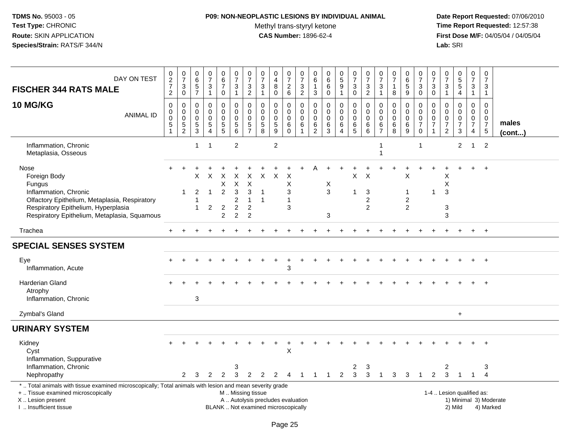## **P09: NON-NEOPLASTIC LESIONS BY INDIVIDUAL ANIMAL**

Methyl trans-styryl ketone<br>CAS Number: 1896-62-4

| DAY ON TEST<br><b>FISCHER 344 RATS MALE</b>                                                                                                                                                     | $\begin{array}{c} 0 \\ 2 \\ 7 \end{array}$<br>$\overline{2}$ | $\frac{0}{7}$<br>3<br>0                    | $\pmb{0}$<br>$6\phantom{a}$<br>$\,$ 5 $\,$<br>$\overline{7}$ | $\begin{smallmatrix}0\\7\end{smallmatrix}$<br>$\frac{3}{1}$ | 0<br>$\overline{6}$<br>$\overline{7}$<br>$\mathbf 0$                | $\begin{array}{c} 0 \\ 7 \end{array}$<br>$\sqrt{3}$<br>$\mathbf{1}$              | 0<br>$\overline{7}$<br>$\mathbf{3}$<br>$\overline{2}$                          | $\begin{array}{c} 0 \\ 7 \end{array}$<br>$\sqrt{3}$<br>$\mathbf{1}$      | $\mathbf 0$<br>$\overline{4}$<br>8<br>$\mathbf 0$                        | $\frac{0}{7}$<br>$\frac{2}{6}$                    | $\frac{0}{7}$<br>$\frac{3}{2}$                                       | 0<br>6<br>3                                  | $\mathbf 0$<br>$\,6\,$<br>6<br>$\mathbf 0$      | $\begin{array}{c} 0 \\ 5 \end{array}$<br>9<br>1                | $\begin{array}{c} 0 \\ 7 \end{array}$<br>$\sqrt{3}$<br>$\mathbf 0$ | $\frac{0}{7}$<br>$\ensuremath{\mathsf{3}}$<br>$\overline{2}$ | $\begin{array}{c} 0 \\ 7 \end{array}$<br>$\mathbf{3}$<br>$\mathbf{1}$ | $\frac{0}{7}$<br>-1<br>8                                  | 0<br>$6\phantom{a}$<br>5<br>9              | $\begin{array}{c} 0 \\ 7 \end{array}$<br>$\ensuremath{\mathsf{3}}$<br>$\mathbf 0$ | 0<br>$\overline{7}$<br>3<br>$\mathbf 0$                       | $\begin{smallmatrix}0\\7\end{smallmatrix}$<br>$\sqrt{3}$<br>$\mathbf{1}$ | $\begin{array}{c} 0 \\ 5 \\ 5 \end{array}$<br>$\overline{4}$ | $\begin{array}{c} 0 \\ 7 \end{array}$<br>$\sqrt{3}$<br>$\mathbf{1}$ | $\mathbf 0$<br>$\overline{7}$<br>$\sqrt{3}$<br>$\overline{1}$             |                       |
|-------------------------------------------------------------------------------------------------------------------------------------------------------------------------------------------------|--------------------------------------------------------------|--------------------------------------------|--------------------------------------------------------------|-------------------------------------------------------------|---------------------------------------------------------------------|----------------------------------------------------------------------------------|--------------------------------------------------------------------------------|--------------------------------------------------------------------------|--------------------------------------------------------------------------|---------------------------------------------------|----------------------------------------------------------------------|----------------------------------------------|-------------------------------------------------|----------------------------------------------------------------|--------------------------------------------------------------------|--------------------------------------------------------------|-----------------------------------------------------------------------|-----------------------------------------------------------|--------------------------------------------|-----------------------------------------------------------------------------------|---------------------------------------------------------------|--------------------------------------------------------------------------|--------------------------------------------------------------|---------------------------------------------------------------------|---------------------------------------------------------------------------|-----------------------|
| <b>10 MG/KG</b><br><b>ANIMAL ID</b>                                                                                                                                                             | $\mathbf 0$<br>0<br>$\mathbf 0$<br>$\frac{5}{1}$             | 0<br>0<br>$\pmb{0}$<br>5<br>$\overline{2}$ | $\mathbf 0$<br>0<br>$\mathsf{O}\xspace$<br>$\frac{5}{3}$     | $\mathbf 0$<br>$\mathbf 0$<br>$\pmb{0}$<br>$\frac{5}{4}$    | $\mathbf 0$<br>$\mathbf 0$<br>$\pmb{0}$<br>$\frac{5}{5}$            | $\mathbf 0$<br>$\mathbf 0$<br>$\pmb{0}$<br>$\begin{array}{c} 5 \\ 6 \end{array}$ | 0<br>$\mathbf 0$<br>$\mathbf 0$<br>$\mathbf 5$<br>$\overline{7}$               | 0<br>$\mathbf 0$<br>$\mathbf 0$<br>$\begin{array}{c} 5 \\ 8 \end{array}$ | 0<br>0<br>$\mathbf 0$<br>$\overline{5}$<br>9                             | 0<br>0<br>$\mathsf{O}\xspace$<br>6<br>$\mathbf 0$ | $\mathbf 0$<br>$\mathbf 0$<br>$\mathbf 0$<br>$\,6\,$<br>$\mathbf{1}$ | 0<br>0<br>$\mathbf 0$<br>6<br>$\overline{c}$ | 0<br>$\Omega$<br>$\pmb{0}$<br>6<br>$\mathbf{3}$ | $\mathbf 0$<br>$\mathbf 0$<br>$\pmb{0}$<br>6<br>$\overline{4}$ | $\mathbf 0$<br>$\mathbf 0$<br>$\mathbf 0$<br>$6\over 5$            | $\mathbf 0$<br>$\pmb{0}$<br>$\pmb{0}$<br>6<br>6              | $\Omega$<br>0<br>$\mathbf 0$<br>6<br>$\overline{7}$                   | $\mathbf 0$<br>$\mathbf 0$<br>$\mathbf 0$<br>$\,6\,$<br>8 | 0<br>0<br>$\mathbf 0$<br>$\,6\,$<br>$9\,$  | 0<br>$\mathbf 0$<br>$\boldsymbol{0}$<br>$\overline{7}$<br>$\boldsymbol{0}$        | $\Omega$<br>0<br>$\mathbf 0$<br>$\overline{7}$<br>$\mathbf 1$ | $\Omega$<br>$\Omega$<br>$\pmb{0}$<br>$\overline{7}$<br>$\overline{2}$    | $\mathbf 0$<br>0<br>$\mathsf 0$<br>$\overline{7}$<br>3       | $\Omega$<br>$\overline{0}$<br>0<br>$\overline{7}$<br>$\overline{4}$ | $\mathbf 0$<br>$\mathbf 0$<br>$\mathbf 0$<br>$\overline{7}$<br>$\sqrt{5}$ | males<br>$($ cont $)$ |
| Inflammation, Chronic<br>Metaplasia, Osseous                                                                                                                                                    |                                                              |                                            | $\mathbf{1}$                                                 | $\mathbf 1$                                                 |                                                                     | $\overline{c}$                                                                   |                                                                                |                                                                          | $\overline{c}$                                                           |                                                   |                                                                      |                                              |                                                 |                                                                |                                                                    |                                                              |                                                                       |                                                           |                                            | 1                                                                                 |                                                               |                                                                          | $\overline{2}$                                               | -1                                                                  | $\overline{2}$                                                            |                       |
| Nose<br>Foreign Body<br>Fungus<br>Inflammation, Chronic<br>Olfactory Epithelium, Metaplasia, Respiratory<br>Respiratory Epithelium, Hyperplasia<br>Respiratory Epithelium, Metaplasia, Squamous |                                                              |                                            | X<br>$\overline{2}$<br>$\mathbf 1$                           | X<br>$\mathbf{1}$<br>$\overline{2}$                         | $\times$<br>X<br>$\overline{c}$<br>$\overline{2}$<br>$\overline{2}$ | х<br>$\boldsymbol{\mathsf{X}}$<br>3<br>2<br>$\overline{c}$<br>2                  | X<br>$\pmb{\times}$<br>3<br>$\mathbf{1}$<br>$\boldsymbol{2}$<br>$\overline{2}$ | $\times$<br>-1<br>$\overline{1}$                                         | $\times$                                                                 | X<br>X<br>3<br>1<br>3                             |                                                                      |                                              | Χ<br>3<br>3                                     |                                                                | X                                                                  | X<br>3<br>$\overline{c}$<br>$\overline{2}$                   |                                                                       |                                                           | X<br>1<br>$\overline{c}$<br>$\overline{2}$ |                                                                                   | 1                                                             | Х<br>X<br>3<br>3<br>3                                                    |                                                              |                                                                     |                                                                           |                       |
| Trachea                                                                                                                                                                                         | $+$                                                          | $\div$                                     |                                                              |                                                             |                                                                     |                                                                                  |                                                                                |                                                                          |                                                                          |                                                   |                                                                      |                                              |                                                 |                                                                |                                                                    |                                                              |                                                                       |                                                           |                                            |                                                                                   |                                                               | ÷                                                                        | $\ddot{}$                                                    | $+$                                                                 | $+$                                                                       |                       |
| <b>SPECIAL SENSES SYSTEM</b>                                                                                                                                                                    |                                                              |                                            |                                                              |                                                             |                                                                     |                                                                                  |                                                                                |                                                                          |                                                                          |                                                   |                                                                      |                                              |                                                 |                                                                |                                                                    |                                                              |                                                                       |                                                           |                                            |                                                                                   |                                                               |                                                                          |                                                              |                                                                     |                                                                           |                       |
| Eye<br>Inflammation, Acute                                                                                                                                                                      |                                                              |                                            |                                                              |                                                             |                                                                     |                                                                                  |                                                                                |                                                                          |                                                                          | 3                                                 |                                                                      |                                              |                                                 |                                                                |                                                                    |                                                              |                                                                       |                                                           |                                            |                                                                                   |                                                               |                                                                          |                                                              |                                                                     |                                                                           |                       |
| Harderian Gland<br>Atrophy<br>Inflammation, Chronic                                                                                                                                             |                                                              |                                            | $\mathbf{3}$                                                 |                                                             |                                                                     |                                                                                  |                                                                                |                                                                          |                                                                          |                                                   |                                                                      |                                              |                                                 |                                                                |                                                                    |                                                              |                                                                       |                                                           |                                            |                                                                                   |                                                               |                                                                          |                                                              |                                                                     |                                                                           |                       |
| Zymbal's Gland                                                                                                                                                                                  |                                                              |                                            |                                                              |                                                             |                                                                     |                                                                                  |                                                                                |                                                                          |                                                                          |                                                   |                                                                      |                                              |                                                 |                                                                |                                                                    |                                                              |                                                                       |                                                           |                                            |                                                                                   |                                                               |                                                                          | $+$                                                          |                                                                     |                                                                           |                       |
| <b>URINARY SYSTEM</b>                                                                                                                                                                           |                                                              |                                            |                                                              |                                                             |                                                                     |                                                                                  |                                                                                |                                                                          |                                                                          |                                                   |                                                                      |                                              |                                                 |                                                                |                                                                    |                                                              |                                                                       |                                                           |                                            |                                                                                   |                                                               |                                                                          |                                                              |                                                                     |                                                                           |                       |
| Kidney<br>Cyst<br>Inflammation, Suppurative<br>Inflammation, Chronic                                                                                                                            |                                                              |                                            |                                                              |                                                             |                                                                     | 3                                                                                |                                                                                |                                                                          |                                                                          | X                                                 |                                                                      |                                              |                                                 |                                                                | 2                                                                  | 3                                                            |                                                                       |                                                           |                                            |                                                                                   |                                                               | $\overline{\mathbf{c}}$                                                  |                                                              |                                                                     | 3                                                                         |                       |
| Nephropathy                                                                                                                                                                                     |                                                              | $\overline{2}$                             | 3                                                            | 2                                                           | 2                                                                   | 3                                                                                | 2                                                                              | 2                                                                        | 2                                                                        |                                                   |                                                                      |                                              | 1                                               | 2                                                              | 3                                                                  | 3                                                            | $\mathbf 1$                                                           | 3                                                         | 3                                          | $\overline{1}$                                                                    | 2                                                             | 3                                                                        | $\overline{1}$                                               | $\mathbf{1}$                                                        | $\overline{4}$                                                            |                       |
| *  Total animals with tissue examined microscopically; Total animals with lesion and mean severity grade<br>+  Tissue examined microscopically<br>X  Lesion present<br>I. Insufficient tissue   |                                                              |                                            |                                                              |                                                             |                                                                     | M  Missing tissue                                                                |                                                                                |                                                                          | A  Autolysis precludes evaluation<br>BLANK  Not examined microscopically |                                                   |                                                                      |                                              |                                                 |                                                                |                                                                    |                                                              |                                                                       |                                                           |                                            |                                                                                   |                                                               |                                                                          | 1-4  Lesion qualified as:<br>2) Mild                         |                                                                     | 1) Minimal 3) Moderate<br>4) Marked                                       |                       |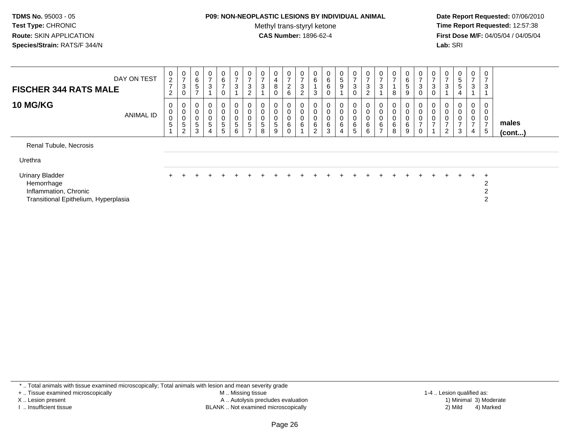#### **P09: NON-NEOPLASTIC LESIONS BY INDIVIDUAL ANIMAL**

Methyl trans-styryl ketone<br>CAS Number: 1896-62-4

 **Date Report Requested:** 07/06/2010 **Time Report Requested:** 12:57:38 **First Dose M/F:** 04/05/04 / 04/05/04<br>**Lab:** SRI **Lab:** SRI

| DAY ON TEST<br><b>FISCHER 344 RATS MALE</b>                                                           | 0<br>$\overline{c}$<br>$\overline{7}$<br>$\overline{c}$ | $\frac{0}{7}$<br>3<br>$\mathbf 0$                                               | 0<br>6<br>5<br>$\rightarrow$              | $\mathbf 0$<br>$\overline{ }$<br>$\sqrt{3}$                      | $\mathbf 0$<br>6<br>$\overline{ }$<br>0                 | 0<br>$\overline{ }$<br>3                     | 0<br>$\overline{ }$<br>3<br>$\Omega$                      | $\boldsymbol{0}$<br>$\overline{ }$<br>$\sqrt{3}$ | 0<br>4<br>8<br>$\mathbf 0$      | 0<br>$\rightarrow$<br>$\frac{2}{6}$ | 0<br>$\overline{ }$<br>$\sqrt{3}$<br>$\overline{2}$ | $\begin{matrix} 0 \\ 6 \end{matrix}$<br>3 | $\begin{matrix} 0 \\ 6 \end{matrix}$<br>$\,6\,$<br>$\mathbf 0$ | $\mathbf{0}$<br>5<br>9                                           | 0<br>$\overline{7}$<br>$\mathbf{3}$<br>$\Omega$ | 0<br>$\overline{ }$<br>3<br>$\overline{2}$ | $\mathsf{o}$<br>3                      | 0<br>$\overline{ }$<br>8                    | 0<br>6<br>$\sqrt{5}$<br>9 | $\mathbf 0$<br>$\overline{7}$<br>$\mathbf{3}$<br>$\mathbf 0$   | 0<br>3                                           | 0<br>$\overline{ }$<br>3                             | 0<br>$\mathbf 5$<br>$5\phantom{.0}$                | 0<br>$\overline{ }$<br>3           | 0<br>$\overline{\phantom{a}}$<br>3                 |                       |
|-------------------------------------------------------------------------------------------------------|---------------------------------------------------------|---------------------------------------------------------------------------------|-------------------------------------------|------------------------------------------------------------------|---------------------------------------------------------|----------------------------------------------|-----------------------------------------------------------|--------------------------------------------------|---------------------------------|-------------------------------------|-----------------------------------------------------|-------------------------------------------|----------------------------------------------------------------|------------------------------------------------------------------|-------------------------------------------------|--------------------------------------------|----------------------------------------|---------------------------------------------|---------------------------|----------------------------------------------------------------|--------------------------------------------------|------------------------------------------------------|----------------------------------------------------|------------------------------------|----------------------------------------------------|-----------------------|
| <b>10 MG/KG</b><br><b>ANIMAL ID</b>                                                                   | 0<br>$\pmb{0}$<br>$\mathbf 0$<br>5                      | 0<br>$\begin{smallmatrix}0\\0\end{smallmatrix}$<br>$\sqrt{5}$<br>$\overline{2}$ | 0<br>$\pmb{0}$<br>$\pmb{0}$<br>$5\,$<br>3 | $\begin{matrix} 0 \\ 0 \\ 0 \\ 5 \end{matrix}$<br>$\overline{4}$ | $_0^0$<br>$\pmb{0}$<br>$\overline{5}$<br>$\overline{5}$ | 0<br>$\pmb{0}$<br>$\boldsymbol{0}$<br>5<br>6 | $\pmb{0}$<br>$\pmb{0}$<br>$\overline{5}$<br>$\rightarrow$ | $\mathbf 0$<br>$\pmb{0}$<br>5<br>8               | 0<br>0<br>$\mathbf 0$<br>5<br>9 | 0<br>$\,0\,$<br>0<br>6<br>0         | $_{\rm 0}^{\rm 0}$<br>$\overline{0}$ 6              | $_{0}^{0}$<br>$\pmb{0}$<br>$\,6\,$<br>2   | 0<br>$\pmb{0}$<br>$\,0\,$<br>$\,6\,$<br>3                      | $\mathbf 0$<br>$\mathbf 0$<br>$\mathbf 0$<br>6<br>$\overline{4}$ | 0<br>$\mathsf 0$<br>0<br>6<br>$5\phantom{.0}$   | $_0^0$<br>$\mathbf 0$<br>6<br>6            | $\mathbf 0$<br>0<br>6<br>$\rightarrow$ | 0<br>$\pmb{0}$<br>$\pmb{0}$<br>$\,6\,$<br>8 | 0<br>0<br>0<br>6<br>9     | $_{\rm 0}^{\rm 0}$<br>$\,0\,$<br>$\overline{z}$<br>$\mathbf 0$ | 0<br>$\mathbf 0$<br>$\mathbf 0$<br>$\rightarrow$ | $\boldsymbol{0}$<br>$\overline{ }$<br>$\overline{c}$ | 0<br>$\pmb{0}$<br>$\pmb{0}$<br>$\overline{ }$<br>3 | 0<br>0<br>0<br>$\overline{ }$<br>4 | 0<br>$\pmb{0}$<br>$\pmb{0}$<br>$\overline{ }$<br>5 | males<br>$($ cont $)$ |
| Renal Tubule, Necrosis<br>Urethra                                                                     |                                                         |                                                                                 |                                           |                                                                  |                                                         |                                              |                                                           |                                                  |                                 |                                     |                                                     |                                           |                                                                |                                                                  |                                                 |                                            |                                        |                                             |                           |                                                                |                                                  |                                                      |                                                    |                                    |                                                    |                       |
| <b>Urinary Bladder</b><br>Hemorrhage<br>Inflammation, Chronic<br>Transitional Epithelium, Hyperplasia |                                                         |                                                                                 |                                           |                                                                  |                                                         |                                              |                                                           |                                                  |                                 |                                     |                                                     |                                           |                                                                |                                                                  |                                                 |                                            |                                        |                                             |                           |                                                                |                                                  |                                                      | $+$                                                | $+$                                | $\pm$<br>2<br>2<br>$\overline{2}$                  |                       |

\* .. Total animals with tissue examined microscopically; Total animals with lesion and mean severity grade

+ .. Tissue examined microscopically

X .. Lesion present

I .. Insufficient tissue

 M .. Missing tissueA .. Autolysis precludes evaluation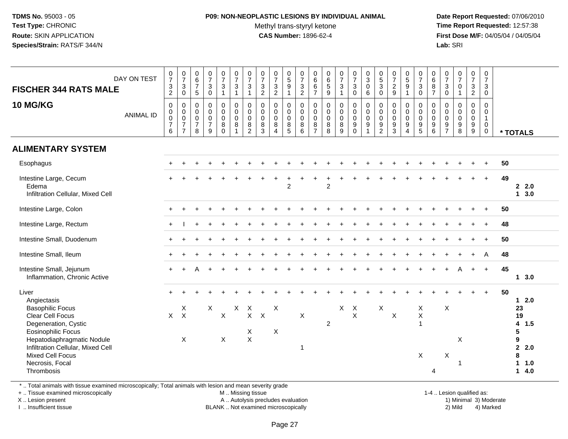# **P09: NON-NEOPLASTIC LESIONS BY INDIVIDUAL ANIMAL**

Methyl trans-styryl ketone<br>CAS Number: 1896-62-4

 **Date Report Requested:** 07/06/2010 **Time Report Requested:** 12:57:38 **First Dose M/F:** 04/05/04 / 04/05/04<br>**Lab:** SRI **Lab:** SRI

| DAY ON TEST<br><b>FISCHER 344 RATS MALE</b><br><b>10 MG/KG</b><br><b>ANIMAL ID</b>                                                                                                                                                                      | $\frac{0}{7}$<br>$\frac{3}{2}$<br>$\mathbf 0$<br>$\mathbf 0$<br>$\frac{0}{7}$<br>$\,6\,$ | $\frac{0}{7}$<br>$\mathbf{3}$<br>$\mathsf 0$<br>$\mathbf 0$<br>$\mathbf 0$<br>$\mathbf 0$<br>$\overline{7}$<br>$\overline{7}$ | $\begin{array}{c} 0 \\ 6 \end{array}$<br>$\overline{7}$<br>5<br>$\pmb{0}$<br>$\mathbf 0$<br>$\mathbf 0$<br>$\overline{7}$<br>8 | $\frac{0}{7}$<br>3<br>$\mathbf 0$<br>$\mathbf 0$<br>$\mathbf 0$<br>$\mathbf 0$<br>$\overline{7}$<br>9 | $\frac{0}{7}$<br>$\mathbf{3}$<br>$\mathbf{1}$<br>$_{\rm 0}^{\rm 0}$<br>$\overline{0}$<br>$\bf 8$<br>$\overline{0}$ | $\frac{0}{7}$<br>3<br>$\mathbf{1}$<br>$\mathsf{O}\xspace$<br>$\ddot{\mathbf{0}}$<br>$\mathbf 0$<br>8 | $\begin{array}{c} 0 \\ 7 \end{array}$<br>$\ensuremath{\mathsf{3}}$<br>$\mathbf{1}$<br>$\pmb{0}$<br>$\pmb{0}$<br>$\pmb{0}$<br>$\bf 8$<br>$\overline{2}$ | $\frac{0}{7}$<br>$\frac{3}{2}$<br>$\pmb{0}$<br>$\ddot{\mathbf{0}}$<br>$\pmb{0}$<br>8<br>3 | $\begin{smallmatrix}0\\7\end{smallmatrix}$<br>$\frac{3}{2}$<br>$\pmb{0}$<br>$\ddot{\mathbf{0}}$<br>$\pmb{0}$<br>$\,8\,$<br>$\overline{4}$ | $\begin{array}{c} 0 \\ 5 \end{array}$<br>$\boldsymbol{9}$<br>$\mathbf{1}$<br>$\pmb{0}$<br>$\ddot{\mathbf{0}}$<br>$\mathbf 0$<br>8<br>$\overline{5}$ | $\frac{0}{7}$<br>$\ensuremath{\mathsf{3}}$<br>$\overline{2}$<br>0<br>$\mathbf 0$<br>$\mathbf 0$<br>8<br>$\,6\,$ | $\pmb{0}$<br>$\,6\,$<br>$\,6\,$<br>$\overline{7}$<br>$\pmb{0}$<br>$\mathbf 0$<br>$\mathbf 0$<br>8<br>$\overline{7}$ | $_{6}^{\rm 0}$<br>$\sqrt{5}$<br>9<br>$\mathbf 0$<br>$\mathbf 0$<br>0<br>8<br>8 | $\frac{0}{7}$<br>$\mathbf{3}$<br>$\mathbf{1}$<br>$\begin{smallmatrix}0\\0\\0\end{smallmatrix}$<br>$\overline{8}$<br>$\overline{9}$ | $\frac{0}{7}$<br>3<br>$\mathbf 0$<br>$\begin{smallmatrix}0\0\0\end{smallmatrix}$<br>$\overline{0}$<br>$\overline{9}$<br>$\mathbf 0$ | $\pmb{0}$<br>$\ensuremath{\mathsf{3}}$<br>$\pmb{0}$<br>$\,6\,$<br>$\pmb{0}$<br>$\pmb{0}$<br>0<br>$\boldsymbol{9}$ | $\begin{smallmatrix}0\5\3\end{smallmatrix}$<br>$\mathbf 0$<br>$\mathbf 0$<br>$\ddot{\mathbf{0}}$<br>$\mathbf 0$<br>$\overline{9}$<br>$\overline{2}$ | $\frac{0}{7}$<br>$\frac{2}{9}$<br>$\pmb{0}$<br>$\ddot{\mathbf{0}}$<br>$\pmb{0}$<br>$\frac{9}{3}$ | 0<br>$\overline{5}$<br>$9\,$<br>$\overline{1}$<br>0<br>$\mathbf 0$<br>$\mathbf 0$<br>$\boldsymbol{9}$<br>$\overline{4}$ | $\frac{0}{7}$<br>3<br>$\mathbf 0$<br>$\mathbf 0$<br>$\mathbf 0$<br>$\mathbf 0$<br>$\boldsymbol{9}$<br>$\sqrt{5}$ | 0<br>$\,6\,$<br>$\, 8$<br>$\overline{7}$<br>$\pmb{0}$<br>$\mathsf{O}\xspace$<br>$\mathbf 0$<br>$\boldsymbol{9}$<br>6 | $\frac{0}{7}$<br>$\mathbf{3}$<br>$\mathbf 0$<br>0<br>$\mathbf 0$<br>$\mathbf 0$<br>$\boldsymbol{9}$<br>$\overline{7}$ | $\begin{smallmatrix}0\\7\end{smallmatrix}$<br>$\mathsf{O}\xspace$<br>$\mathbf{1}$<br>$\begin{smallmatrix}0\\0\\0\end{smallmatrix}$<br>$\frac{9}{8}$ | $\frac{0}{7}$<br>3<br>$\overline{2}$<br>$\mathsf{O}$<br>$\mathsf{O}\xspace$<br>$\overline{0}$<br>$\overline{9}$<br>$\tilde{9}$ | 0<br>$\overline{7}$<br>3<br>$\mathbf 0$<br>$\mathbf 0$<br>0<br>$\mathbf{1}$<br>0<br>0 | * TOTALS          |                                                                         |
|---------------------------------------------------------------------------------------------------------------------------------------------------------------------------------------------------------------------------------------------------------|------------------------------------------------------------------------------------------|-------------------------------------------------------------------------------------------------------------------------------|--------------------------------------------------------------------------------------------------------------------------------|-------------------------------------------------------------------------------------------------------|--------------------------------------------------------------------------------------------------------------------|------------------------------------------------------------------------------------------------------|--------------------------------------------------------------------------------------------------------------------------------------------------------|-------------------------------------------------------------------------------------------|-------------------------------------------------------------------------------------------------------------------------------------------|-----------------------------------------------------------------------------------------------------------------------------------------------------|-----------------------------------------------------------------------------------------------------------------|---------------------------------------------------------------------------------------------------------------------|--------------------------------------------------------------------------------|------------------------------------------------------------------------------------------------------------------------------------|-------------------------------------------------------------------------------------------------------------------------------------|-------------------------------------------------------------------------------------------------------------------|-----------------------------------------------------------------------------------------------------------------------------------------------------|--------------------------------------------------------------------------------------------------|-------------------------------------------------------------------------------------------------------------------------|------------------------------------------------------------------------------------------------------------------|----------------------------------------------------------------------------------------------------------------------|-----------------------------------------------------------------------------------------------------------------------|-----------------------------------------------------------------------------------------------------------------------------------------------------|--------------------------------------------------------------------------------------------------------------------------------|---------------------------------------------------------------------------------------|-------------------|-------------------------------------------------------------------------|
| <b>ALIMENTARY SYSTEM</b>                                                                                                                                                                                                                                |                                                                                          |                                                                                                                               |                                                                                                                                |                                                                                                       |                                                                                                                    |                                                                                                      |                                                                                                                                                        |                                                                                           |                                                                                                                                           |                                                                                                                                                     |                                                                                                                 |                                                                                                                     |                                                                                |                                                                                                                                    |                                                                                                                                     |                                                                                                                   |                                                                                                                                                     |                                                                                                  |                                                                                                                         |                                                                                                                  |                                                                                                                      |                                                                                                                       |                                                                                                                                                     |                                                                                                                                |                                                                                       |                   |                                                                         |
| Esophagus                                                                                                                                                                                                                                               |                                                                                          |                                                                                                                               |                                                                                                                                |                                                                                                       |                                                                                                                    |                                                                                                      |                                                                                                                                                        |                                                                                           |                                                                                                                                           |                                                                                                                                                     |                                                                                                                 |                                                                                                                     |                                                                                |                                                                                                                                    |                                                                                                                                     |                                                                                                                   |                                                                                                                                                     |                                                                                                  |                                                                                                                         |                                                                                                                  |                                                                                                                      |                                                                                                                       |                                                                                                                                                     |                                                                                                                                |                                                                                       | 50                |                                                                         |
| Intestine Large, Cecum<br>Edema<br>Infiltration Cellular, Mixed Cell                                                                                                                                                                                    |                                                                                          |                                                                                                                               |                                                                                                                                |                                                                                                       |                                                                                                                    |                                                                                                      |                                                                                                                                                        |                                                                                           |                                                                                                                                           | $\overline{2}$                                                                                                                                      |                                                                                                                 |                                                                                                                     | $\overline{c}$                                                                 |                                                                                                                                    |                                                                                                                                     |                                                                                                                   |                                                                                                                                                     |                                                                                                  |                                                                                                                         |                                                                                                                  |                                                                                                                      |                                                                                                                       |                                                                                                                                                     | $\div$                                                                                                                         | $+$                                                                                   | 49                | 22.0<br>$1 \quad 3.0$                                                   |
| Intestine Large, Colon                                                                                                                                                                                                                                  |                                                                                          |                                                                                                                               |                                                                                                                                |                                                                                                       |                                                                                                                    |                                                                                                      |                                                                                                                                                        |                                                                                           |                                                                                                                                           |                                                                                                                                                     |                                                                                                                 |                                                                                                                     |                                                                                |                                                                                                                                    |                                                                                                                                     |                                                                                                                   |                                                                                                                                                     |                                                                                                  |                                                                                                                         |                                                                                                                  |                                                                                                                      |                                                                                                                       |                                                                                                                                                     |                                                                                                                                |                                                                                       | 50                |                                                                         |
| Intestine Large, Rectum                                                                                                                                                                                                                                 |                                                                                          |                                                                                                                               |                                                                                                                                |                                                                                                       |                                                                                                                    |                                                                                                      |                                                                                                                                                        |                                                                                           |                                                                                                                                           |                                                                                                                                                     |                                                                                                                 |                                                                                                                     |                                                                                |                                                                                                                                    |                                                                                                                                     |                                                                                                                   |                                                                                                                                                     |                                                                                                  |                                                                                                                         |                                                                                                                  |                                                                                                                      |                                                                                                                       |                                                                                                                                                     |                                                                                                                                |                                                                                       | 48                |                                                                         |
| Intestine Small, Duodenum                                                                                                                                                                                                                               |                                                                                          |                                                                                                                               |                                                                                                                                |                                                                                                       |                                                                                                                    |                                                                                                      |                                                                                                                                                        |                                                                                           |                                                                                                                                           |                                                                                                                                                     |                                                                                                                 |                                                                                                                     |                                                                                |                                                                                                                                    |                                                                                                                                     |                                                                                                                   |                                                                                                                                                     |                                                                                                  |                                                                                                                         |                                                                                                                  |                                                                                                                      |                                                                                                                       |                                                                                                                                                     |                                                                                                                                |                                                                                       | 50                |                                                                         |
| Intestine Small, Ileum                                                                                                                                                                                                                                  |                                                                                          |                                                                                                                               |                                                                                                                                |                                                                                                       |                                                                                                                    |                                                                                                      |                                                                                                                                                        |                                                                                           |                                                                                                                                           |                                                                                                                                                     |                                                                                                                 |                                                                                                                     |                                                                                |                                                                                                                                    |                                                                                                                                     |                                                                                                                   |                                                                                                                                                     |                                                                                                  |                                                                                                                         |                                                                                                                  |                                                                                                                      |                                                                                                                       |                                                                                                                                                     | $\div$                                                                                                                         | A                                                                                     | 48                |                                                                         |
| Intestine Small, Jejunum<br>Inflammation, Chronic Active                                                                                                                                                                                                |                                                                                          |                                                                                                                               |                                                                                                                                |                                                                                                       |                                                                                                                    |                                                                                                      |                                                                                                                                                        |                                                                                           |                                                                                                                                           |                                                                                                                                                     |                                                                                                                 |                                                                                                                     |                                                                                |                                                                                                                                    |                                                                                                                                     |                                                                                                                   |                                                                                                                                                     |                                                                                                  |                                                                                                                         |                                                                                                                  |                                                                                                                      |                                                                                                                       | A                                                                                                                                                   | $+$                                                                                                                            | $\ddot{}$                                                                             | 45                | $1 \quad 3.0$                                                           |
| Liver<br>Angiectasis<br><b>Basophilic Focus</b><br>Clear Cell Focus<br>Degeneration, Cystic<br><b>Eosinophilic Focus</b><br>Hepatodiaphragmatic Nodule<br>Infiltration Cellular, Mixed Cell<br><b>Mixed Cell Focus</b><br>Necrosis, Focal<br>Thrombosis | $\boldsymbol{\mathsf{X}}$                                                                | $\boldsymbol{\mathsf{X}}$<br>$\boldsymbol{\mathsf{X}}$<br>$\boldsymbol{\mathsf{X}}$                                           |                                                                                                                                | $\mathsf{X}$                                                                                          | $\boldsymbol{\mathsf{X}}$<br>$\mathsf X$                                                                           | X                                                                                                    | $\boldsymbol{X}$<br>$\mathsf{X}^-$<br>X<br>$\mathsf X$                                                                                                 | $\boldsymbol{\mathsf{X}}$                                                                 | X<br>X                                                                                                                                    |                                                                                                                                                     | $\pmb{\times}$<br>1                                                                                             |                                                                                                                     | $\overline{2}$                                                                 |                                                                                                                                    | $X$ $X$<br>$\mathsf{X}$                                                                                                             |                                                                                                                   | X                                                                                                                                                   | $\boldsymbol{\mathsf{X}}$                                                                        |                                                                                                                         | $\boldsymbol{\mathsf{X}}$<br>$\mathsf X$<br>$\mathbf{1}$<br>$\times$                                             | 4                                                                                                                    | X<br>X                                                                                                                | X<br>-1                                                                                                                                             |                                                                                                                                |                                                                                       | 50<br>5<br>9<br>8 | $12.0$<br>23<br>19<br>4 1.5<br>$\mathbf{2}$<br>2.0<br>$1 1.0$<br>$14.0$ |

\* .. Total animals with tissue examined microscopically; Total animals with lesion and mean severity grade

+ .. Tissue examined microscopically

X .. Lesion present

I .. Insufficient tissue

M .. Missing tissue

A .. Autolysis precludes evaluation 1) Minimal 3 ... Autolysis precludes evaluation 1, and 30 ... (1) Minimal 3<br>1) Minimal 3) Mild BLANK .. Not examined microscopically 2) Mild 4) Marked

1-4 .. Lesion qualified as:<br>1) Minimal 3) Moderate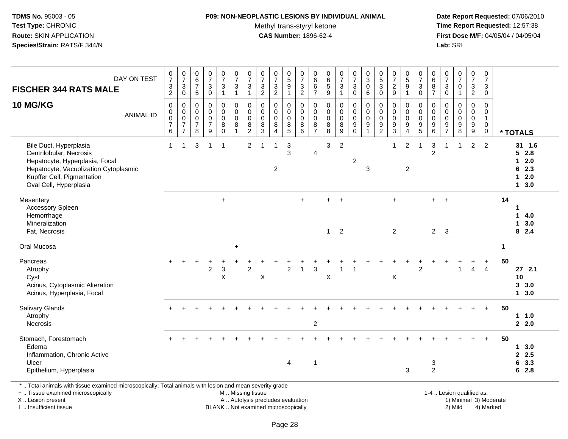#### **P09: NON-NEOPLASTIC LESIONS BY INDIVIDUAL ANIMAL**

Methyl trans-styryl ketone<br>CAS Number: 1896-62-4

 **Date Report Requested:** 07/06/2010 **Time Report Requested:** 12:57:38 **First Dose M/F:** 04/05/04 / 04/05/04<br>Lab: SRI **Lab:** SRI

| <b>FISCHER 344 RATS MALE</b>                                                                                                                                                         | DAY ON TEST      | $\frac{0}{7}$<br>$\frac{3}{2}$                                           | $\begin{array}{c} 0 \\ 7 \end{array}$<br>$\ensuremath{\mathsf{3}}$<br>$\pmb{0}$  | $\begin{array}{c} 0 \\ 6 \\ 7 \end{array}$<br>$\sqrt{5}$       | $\frac{0}{7}$<br>$\ensuremath{\mathsf{3}}$<br>$\pmb{0}$                               | $\begin{array}{c} 0 \\ 7 \end{array}$<br>$\frac{3}{1}$                 | $\frac{0}{7}$<br>$\frac{3}{1}$                                              | $\frac{0}{7}$<br>3<br>1                            | $\begin{array}{c} 0 \\ 7 \end{array}$<br>$\frac{3}{2}$   | $\frac{0}{7}$<br>$\ensuremath{\mathsf{3}}$<br>$\boldsymbol{2}$                      | $\begin{array}{c} 0 \\ 5 \end{array}$<br>$\boldsymbol{9}$<br>$\mathbf{1}$ | $\frac{0}{7}$<br>$\frac{3}{2}$                                | $\pmb{0}$<br>$\,6\,$<br>$\frac{6}{7}$                               | $\begin{array}{c} 0 \\ 6 \\ 5 \end{array}$<br>$\boldsymbol{9}$ | $\frac{0}{7}$<br>3<br>$\mathbf{1}$                   | $\frac{0}{7}$<br>$\ensuremath{\mathsf{3}}$<br>$\mathsf{O}\xspace$ | $\begin{smallmatrix}0\\3\\0\end{smallmatrix}$<br>$\,6\,$            | $\begin{array}{c} 0 \\ 5 \end{array}$<br>$\overline{3}$<br>$\pmb{0}$ | $\begin{array}{c} 0 \\ 7 \end{array}$<br>$\sqrt{2}$<br>$9$         | $\begin{array}{c} 0 \\ 5 \\ 9 \end{array}$<br>$\mathbf{1}$ | $\begin{array}{c} 0 \\ 7 \end{array}$<br>$_0^3$          | $\begin{array}{c} 0 \\ 6 \end{array}$<br>$\frac{8}{7}$                      | $\frac{0}{7}$<br>$_{\rm 0}^3$          | $\begin{array}{c} 0 \\ 7 \end{array}$<br>$\pmb{0}$<br>$\overline{1}$ | $\frac{0}{7}$<br>$\frac{3}{2}$                                        | $\frac{0}{7}$<br>$\ensuremath{\mathsf{3}}$<br>$\mathbf 0$    |              |                                                             |
|--------------------------------------------------------------------------------------------------------------------------------------------------------------------------------------|------------------|--------------------------------------------------------------------------|----------------------------------------------------------------------------------|----------------------------------------------------------------|---------------------------------------------------------------------------------------|------------------------------------------------------------------------|-----------------------------------------------------------------------------|----------------------------------------------------|----------------------------------------------------------|-------------------------------------------------------------------------------------|---------------------------------------------------------------------------|---------------------------------------------------------------|---------------------------------------------------------------------|----------------------------------------------------------------|------------------------------------------------------|-------------------------------------------------------------------|---------------------------------------------------------------------|----------------------------------------------------------------------|--------------------------------------------------------------------|------------------------------------------------------------|----------------------------------------------------------|-----------------------------------------------------------------------------|----------------------------------------|----------------------------------------------------------------------|-----------------------------------------------------------------------|--------------------------------------------------------------|--------------|-------------------------------------------------------------|
| <b>10 MG/KG</b>                                                                                                                                                                      | <b>ANIMAL ID</b> | $\boldsymbol{0}$<br>$\mathbf 0$<br>$\overline{0}$<br>$\overline{7}$<br>6 | $\mathbf 0$<br>$\mathbf 0$<br>$\overline{0}$<br>$\overline{7}$<br>$\overline{7}$ | 0<br>$\mathbf 0$<br>$\mathsf{O}\xspace$<br>$\overline{7}$<br>8 | $\mathbf 0$<br>$\mathbf 0$<br>$\ddot{\mathbf{0}}$<br>$\overline{7}$<br>$\overline{9}$ | $\mathbf 0$<br>$\mathbf 0$<br>$\pmb{0}$<br>$\overline{8}$ <sup>0</sup> | $\mathbf 0$<br>$\mathbf 0$<br>$\ddot{\mathbf{0}}$<br>$\, 8$<br>$\mathbf{1}$ | 0<br>$\mathbf 0$<br>0<br>$\bf 8$<br>$\overline{2}$ | 0<br>$\mathbf 0$<br>$\ddot{\mathbf{0}}$<br>$\frac{8}{3}$ | 0<br>$\mathsf{O}\xspace$<br>$\ddot{\mathbf{0}}$<br>$\overline{8}$<br>$\overline{4}$ | 0<br>$\mathbf 0$<br>0<br>$\frac{8}{5}$                                    | $\mathbf 0$<br>$\mathbf 0$<br>$\overline{0}$<br>$\frac{8}{6}$ | $\mathbf 0$<br>$\mathbf 0$<br>$\pmb{0}$<br>$\, 8$<br>$\overline{7}$ | $\pmb{0}$<br>$\mathbf 0$<br>$\mathbf 0$<br>$\overline{8}$<br>8 | 0<br>$\tilde{0}$<br>$\bar{0}$<br>$\overline{8}$<br>9 | 0<br>$\mathbf 0$<br>$\mathsf{O}\xspace$<br>$\overline{9}$<br>0    | $\mathbf 0$<br>$\mathbf 0$<br>$\overline{0}$<br>$\overline{9}$<br>1 | 0<br>$\mathbf 0$<br>0<br>$\boldsymbol{9}$<br>$\overline{2}$          | $\mathbf 0$<br>$\mathbf 0$<br>$\mathbf 0$<br>$\boldsymbol{9}$<br>3 | 0<br>$\mathbf 0$<br>0<br>$\overline{9}$<br>$\overline{4}$  | 0<br>$\mathbf 0$<br>$\ddot{\mathbf{0}}$<br>$\frac{9}{5}$ | $\mathbf 0$<br>$\mathbf 0$<br>$\overline{0}$<br>$\boldsymbol{9}$<br>$\,6\,$ | 0<br>$\mathbf 0$<br>0<br>$\frac{9}{7}$ | $\mathbf 0$<br>$\mathbf 0$<br>$\pmb{0}$<br>$\boldsymbol{9}$<br>8     | 0<br>$\mathbf 0$<br>$\pmb{0}$<br>$\boldsymbol{9}$<br>$\boldsymbol{9}$ | 0<br>$\mathbf 0$<br>$\mathbf{1}$<br>$\pmb{0}$<br>$\mathbf 0$ |              | * TOTALS                                                    |
| Bile Duct, Hyperplasia<br>Centrilobular, Necrosis<br>Hepatocyte, Hyperplasia, Focal<br>Hepatocyte, Vacuolization Cytoplasmic<br>Kupffer Cell, Pigmentation<br>Oval Cell, Hyperplasia |                  | $\mathbf{1}$                                                             | $\mathbf{1}$                                                                     | 3                                                              | $\overline{1}$                                                                        | $\overline{\mathbf{1}}$                                                |                                                                             | $\overline{c}$                                     | 1                                                        | $\overline{1}$<br>$\overline{2}$                                                    | $\mathbf{3}$<br>3                                                         |                                                               | $\overline{4}$                                                      | 3                                                              | $\overline{c}$                                       | $\boldsymbol{2}$                                                  | 3                                                                   |                                                                      | $\mathbf 1$                                                        | $\overline{2}$<br>$\overline{2}$                           | $\mathbf{1}$                                             | 3<br>$\overline{c}$                                                         | $\overline{1}$                         | $\mathbf{1}$                                                         | $\overline{c}$                                                        | $\overline{2}$                                               |              | 31 1.6<br>52.8<br>$12.0$<br>62.3<br>$12.0$<br>$1 \quad 3.0$ |
| Mesentery<br>Accessory Spleen<br>Hemorrhage<br>Mineralization<br>Fat, Necrosis                                                                                                       |                  |                                                                          |                                                                                  |                                                                |                                                                                       | $+$                                                                    |                                                                             |                                                    |                                                          |                                                                                     |                                                                           | $+$                                                           |                                                                     | $\mathbf{1}$                                                   | $\ddot{}$<br>$\overline{2}$                          |                                                                   |                                                                     |                                                                      | $\ddot{}$<br>$\overline{2}$                                        |                                                            |                                                          | ÷<br>$2^{\circ}$                                                            | $+$<br>$\overline{\mathbf{3}}$         |                                                                      |                                                                       |                                                              | 14           | $\mathbf 1$<br>14.0<br>13.0<br>82.4                         |
| Oral Mucosa                                                                                                                                                                          |                  |                                                                          |                                                                                  |                                                                |                                                                                       |                                                                        | $\ddot{}$                                                                   |                                                    |                                                          |                                                                                     |                                                                           |                                                               |                                                                     |                                                                |                                                      |                                                                   |                                                                     |                                                                      |                                                                    |                                                            |                                                          |                                                                             |                                        |                                                                      |                                                                       |                                                              | $\mathbf{1}$ |                                                             |
| Pancreas<br>Atrophy<br>Cyst<br>Acinus, Cytoplasmic Alteration<br>Acinus, Hyperplasia, Focal                                                                                          |                  |                                                                          |                                                                                  |                                                                | $\boldsymbol{2}$                                                                      | $\ensuremath{\mathsf{3}}$<br>$\times$                                  |                                                                             | $\overline{c}$                                     | X                                                        |                                                                                     | $\overline{2}$                                                            | $\overline{1}$                                                | 3                                                                   | X                                                              | 1                                                    |                                                                   |                                                                     |                                                                      | X                                                                  |                                                            | $\overline{2}$                                           |                                                                             |                                        | 1                                                                    | $\overline{4}$                                                        | $\overline{4}$                                               | 50           | $27$ 2.1<br>10<br>3, 3.0<br>13.0                            |
| Salivary Glands<br>Atrophy<br>Necrosis                                                                                                                                               |                  | $+$                                                                      |                                                                                  |                                                                |                                                                                       |                                                                        |                                                                             |                                                    |                                                          |                                                                                     |                                                                           |                                                               | $\overline{\mathbf{c}}$                                             |                                                                |                                                      |                                                                   |                                                                     |                                                                      |                                                                    |                                                            |                                                          |                                                                             |                                        |                                                                      |                                                                       | $+$                                                          | 50           | 1.0<br>2.0                                                  |
| Stomach, Forestomach<br>Edema<br>Inflammation, Chronic Active<br>Ulcer<br>Epithelium, Hyperplasia                                                                                    |                  |                                                                          |                                                                                  |                                                                |                                                                                       |                                                                        |                                                                             |                                                    |                                                          |                                                                                     | 4                                                                         |                                                               | $\mathbf{1}$                                                        |                                                                |                                                      |                                                                   |                                                                     |                                                                      |                                                                    | 3                                                          |                                                          | 3<br>$\overline{2}$                                                         |                                        |                                                                      |                                                                       |                                                              | 50           | 13.0<br>2.5<br>6 3.3<br>62.8                                |
| *  Total animals with tissue examined microscopically; Total animals with lesion and mean severity grade<br>+  Tissue examined microscopically                                       |                  |                                                                          |                                                                                  |                                                                |                                                                                       |                                                                        | M  Missing tissue                                                           |                                                    |                                                          |                                                                                     |                                                                           |                                                               |                                                                     |                                                                |                                                      |                                                                   |                                                                     |                                                                      |                                                                    |                                                            |                                                          |                                                                             |                                        | 1-4  Lesion qualified as:                                            |                                                                       |                                                              |              |                                                             |

X .. Lesion present

I .. Insufficient tissue

Lesion present **A** .. Autolysis precludes evaluation 1996 and the server all the server all the server all the server and the server all the server all the server all the server all the server all the server all the server BLANK .. Not examined microscopically 2) Mild 4) Marked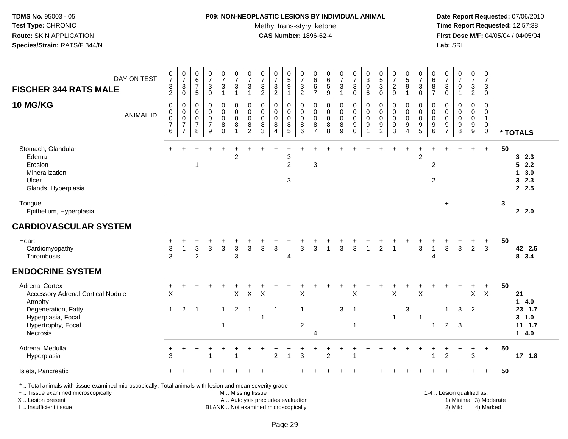#### **P09: NON-NEOPLASTIC LESIONS BY INDIVIDUAL ANIMAL**

Methyl trans-styryl ketone<br>CAS Number: 1896-62-4

 **Date Report Requested:** 07/06/2010 **Time Report Requested:** 12:57:38 **First Dose M/F:** 04/05/04 / 04/05/04<br>Lab: SRI **Lab:** SRI

| DAY ON TEST<br><b>FISCHER 344 RATS MALE</b>                                                                               | $\frac{0}{7}$<br>3<br>$\overline{c}$                                  | $\frac{0}{7}$<br>$\ensuremath{\mathsf{3}}$<br>$\pmb{0}$                     | $\begin{array}{c} 0 \\ 6 \end{array}$<br>$\overline{7}$<br>$\sqrt{5}$ | $\frac{0}{7}$<br>$\ensuremath{\mathsf{3}}$<br>$\mathbf 0$      | $\begin{smallmatrix}0\\7\end{smallmatrix}$<br>$\ensuremath{\mathsf{3}}$<br>1 | $\frac{0}{7}$<br>$\ensuremath{\mathsf{3}}$<br>$\mathbf{1}$ | $\frac{0}{7}$<br>3<br>$\mathbf{1}$                 | $\frac{0}{7}$<br>$\ensuremath{\mathsf{3}}$<br>$\overline{c}$ | $\frac{0}{7}$<br>$\ensuremath{\mathsf{3}}$<br>$\overline{2}$ | $\begin{array}{c} 0 \\ 5 \end{array}$<br>$\boldsymbol{9}$  | $\frac{0}{7}$<br>$\frac{3}{2}$                              | 0<br>$\,6\,$<br>$\,6\,$<br>$\overline{7}$ | 0<br>$6\phantom{a}$<br>$\sqrt{5}$<br>9                    | $\frac{0}{7}$<br>$\mathbf{3}$<br>1 | $\frac{0}{7}$<br>$\ensuremath{\mathsf{3}}$<br>$\mathbf 0$       | $\begin{smallmatrix}0\\3\end{smallmatrix}$<br>$\mathbf 0$<br>6                 | $\begin{smallmatrix}0\0\5\end{smallmatrix}$<br>$\ensuremath{\mathsf{3}}$<br>$\mathsf{O}\xspace$ | $\frac{0}{7}$<br>$\sqrt{2}$<br>9                             | 0<br>$\overline{5}$<br>$\boldsymbol{9}$<br>-1 | $\frac{0}{7}$<br>$\sqrt{3}$<br>$\mathbf 0$                                      | 0<br>6<br>8<br>$\overline{7}$      | $\frac{0}{7}$<br>$\ensuremath{\mathsf{3}}$<br>$\mathsf{O}\xspace$ | $\frac{0}{7}$<br>$\mathsf 0$<br>$\mathbf{1}$           | $\frac{0}{7}$<br>$\sqrt{3}$<br>$\overline{a}$                        | 0<br>$\overline{7}$<br>$\mathbf{3}$<br>$\mathbf 0$                       |    |                                             |
|---------------------------------------------------------------------------------------------------------------------------|-----------------------------------------------------------------------|-----------------------------------------------------------------------------|-----------------------------------------------------------------------|----------------------------------------------------------------|------------------------------------------------------------------------------|------------------------------------------------------------|----------------------------------------------------|--------------------------------------------------------------|--------------------------------------------------------------|------------------------------------------------------------|-------------------------------------------------------------|-------------------------------------------|-----------------------------------------------------------|------------------------------------|-----------------------------------------------------------------|--------------------------------------------------------------------------------|-------------------------------------------------------------------------------------------------|--------------------------------------------------------------|-----------------------------------------------|---------------------------------------------------------------------------------|------------------------------------|-------------------------------------------------------------------|--------------------------------------------------------|----------------------------------------------------------------------|--------------------------------------------------------------------------|----|---------------------------------------------|
| 10 MG/KG<br><b>ANIMAL ID</b>                                                                                              | $\pmb{0}$<br>0<br>$\mathsf{O}\xspace$<br>$\overline{\mathbf{7}}$<br>6 | $\mathbf 0$<br>$\pmb{0}$<br>$\mathbf 0$<br>$\overline{7}$<br>$\overline{7}$ | $\mathbf 0$<br>$\mathbf 0$<br>$\mathbf 0$<br>$\overline{7}$<br>8      | $\mathbf 0$<br>$\mathbf 0$<br>$\pmb{0}$<br>$\overline{7}$<br>9 | 0<br>$\mathbf 0$<br>$\mathbf 0$<br>$\bf 8$<br>$\Omega$                       | $\mathbf 0$<br>$\mathbf 0$<br>$\pmb{0}$<br>8<br>1          | 0<br>$\pmb{0}$<br>$\pmb{0}$<br>8<br>$\overline{2}$ | $\mathbf 0$<br>0<br>$\mathsf{O}\xspace$<br>$\,8\,$<br>3      | 0<br>0<br>$\mathbf 0$<br>$\bf8$<br>$\boldsymbol{\Lambda}$    | $\mathbf 0$<br>$\mathsf{O}$<br>$\mathbf 0$<br>$\bf 8$<br>5 | $\mathbf 0$<br>$\mathbf 0$<br>$\overline{0}$<br>$\, 8$<br>6 | 0<br>0<br>0<br>8<br>$\overline{7}$        | $\mathbf 0$<br>$\mathbf 0$<br>$\mathbf 0$<br>$\bf 8$<br>8 | 0<br>0<br>$\mathsf 0$<br>8<br>9    | 0<br>$\mathbf 0$<br>$\mathsf 0$<br>$\boldsymbol{9}$<br>$\Omega$ | $\mathbf 0$<br>$\pmb{0}$<br>$\overline{0}$<br>$\boldsymbol{9}$<br>$\mathbf{1}$ | 0<br>0<br>$\pmb{0}$<br>$\boldsymbol{9}$<br>$\overline{2}$                                       | $\pmb{0}$<br>$\pmb{0}$<br>$\pmb{0}$<br>$\boldsymbol{9}$<br>3 | 0<br>0<br>$\pmb{0}$<br>$\boldsymbol{9}$<br>4  | $\mathbf 0$<br>$\mathbf 0$<br>$\mathbf 0$<br>$\boldsymbol{9}$<br>$\overline{5}$ | 0<br>0<br>0<br>9<br>6              | $\mathbf 0$<br>$\mathbf 0$<br>0<br>$\frac{9}{7}$                  | 0<br>0<br>$\ddot{\mathbf{0}}$<br>$\boldsymbol{9}$<br>8 | 0<br>$\mathbf 0$<br>$\mathsf{O}\xspace$<br>$\boldsymbol{9}$<br>$9\,$ | $\mathbf 0$<br>$\mathbf 0$<br>$\mathbf{1}$<br>$\mathsf 0$<br>$\mathbf 0$ |    | * TOTALS                                    |
| Stomach, Glandular<br>Edema<br>Erosion<br>Mineralization<br>Ulcer<br>Glands, Hyperplasia                                  |                                                                       |                                                                             | $\mathbf 1$                                                           |                                                                |                                                                              | $\overline{c}$                                             |                                                    |                                                              |                                                              | 3<br>$\overline{2}$<br>3                                   |                                                             | 3                                         |                                                           |                                    |                                                                 |                                                                                |                                                                                                 |                                                              |                                               | $\overline{c}$                                                                  | $\boldsymbol{2}$<br>$\overline{c}$ |                                                                   |                                                        |                                                                      | $\ddot{+}$                                                               | 50 | 32.3<br>2.2<br>5<br>3.0<br>1<br>32.3<br>2.5 |
| Tongue<br>Epithelium, Hyperplasia                                                                                         |                                                                       |                                                                             |                                                                       |                                                                |                                                                              |                                                            |                                                    |                                                              |                                                              |                                                            |                                                             |                                           |                                                           |                                    |                                                                 |                                                                                |                                                                                                 |                                                              |                                               |                                                                                 |                                    | $+$                                                               |                                                        |                                                                      |                                                                          | 3  | 2.2.0                                       |
| <b>CARDIOVASCULAR SYSTEM</b>                                                                                              |                                                                       |                                                                             |                                                                       |                                                                |                                                                              |                                                            |                                                    |                                                              |                                                              |                                                            |                                                             |                                           |                                                           |                                    |                                                                 |                                                                                |                                                                                                 |                                                              |                                               |                                                                                 |                                    |                                                                   |                                                        |                                                                      |                                                                          |    |                                             |
| Heart<br>Cardiomyopathy<br>Thrombosis                                                                                     | 3<br>3                                                                | -1                                                                          | 3<br>$\overline{c}$                                                   | 3                                                              | $\mathbf{3}$                                                                 | 3<br>3                                                     | 3                                                  | 3                                                            | 3                                                            | 4                                                          | 3                                                           | 3                                         | -1                                                        | $\mathbf{3}$                       | 3                                                               | $\overline{1}$                                                                 | $\overline{2}$                                                                                  | -1                                                           |                                               | 3                                                                               | 1<br>4                             | 3                                                                 | $\mathbf{3}$                                           | $\overline{2}$                                                       | $\ddot{}$<br>3                                                           | 50 | 42 2.5<br>8 3.4                             |
| <b>ENDOCRINE SYSTEM</b>                                                                                                   |                                                                       |                                                                             |                                                                       |                                                                |                                                                              |                                                            |                                                    |                                                              |                                                              |                                                            |                                                             |                                           |                                                           |                                    |                                                                 |                                                                                |                                                                                                 |                                                              |                                               |                                                                                 |                                    |                                                                   |                                                        |                                                                      |                                                                          |    |                                             |
| <b>Adrenal Cortex</b><br><b>Accessory Adrenal Cortical Nodule</b><br>Atrophy<br>Degeneration, Fatty<br>Hyperplasia, Focal | +<br>X<br>$\mathbf 1$                                                 | 2                                                                           | $\overline{1}$                                                        |                                                                | $\mathbf{1}$                                                                 | X<br>$\overline{2}$                                        | $\mathsf{X}$<br>$\overline{1}$                     | X                                                            | $\overline{1}$                                               |                                                            | X<br>$\overline{1}$                                         |                                           |                                                           | 3                                  | X<br>$\overline{1}$                                             |                                                                                |                                                                                                 | X<br>$\overline{1}$                                          | $\ensuremath{\mathsf{3}}$                     | X<br>$\overline{1}$                                                             |                                    | -1                                                                | $\overline{1}$<br>3                                    | +<br>X<br>2                                                          | $+$<br>$\mathsf{X}$                                                      | 50 | 21<br>14.0<br>23 1.7<br>$3 - 1.0$           |
| Hypertrophy, Focal<br>Necrosis                                                                                            |                                                                       |                                                                             |                                                                       |                                                                | 1                                                                            |                                                            |                                                    |                                                              |                                                              |                                                            | $\sqrt{2}$                                                  | 4                                         |                                                           |                                    | -1                                                              |                                                                                |                                                                                                 |                                                              |                                               |                                                                                 | $\mathbf{1}$                       | $\overline{2}$                                                    | 3                                                      |                                                                      |                                                                          |    | $11 \t1.7$<br>14.0                          |
| Adrenal Medulla<br>Hyperplasia                                                                                            | $\ddot{}$<br>3                                                        |                                                                             |                                                                       |                                                                |                                                                              |                                                            |                                                    |                                                              | $\overline{c}$                                               | $\mathbf{1}$                                               | $\sqrt{3}$                                                  |                                           | $\overline{c}$                                            |                                    |                                                                 |                                                                                |                                                                                                 |                                                              |                                               |                                                                                 |                                    | $\overline{2}$                                                    | $\ddot{}$                                              | $\ddot{}$<br>$\mathbf{3}$                                            | $+$                                                                      | 50 | $17$ 1.8                                    |
| Islets, Pancreatic                                                                                                        |                                                                       |                                                                             |                                                                       |                                                                |                                                                              |                                                            |                                                    |                                                              |                                                              |                                                            |                                                             |                                           |                                                           |                                    |                                                                 |                                                                                |                                                                                                 |                                                              |                                               |                                                                                 |                                    |                                                                   |                                                        |                                                                      | $+$                                                                      | 50 |                                             |

X .. Lesion present

I .. Insufficient tissue

A .. Autolysis precludes evaluation and the service of the service of the service of the service of the service of the service of the service of the service of the service of the service of the service of the service of th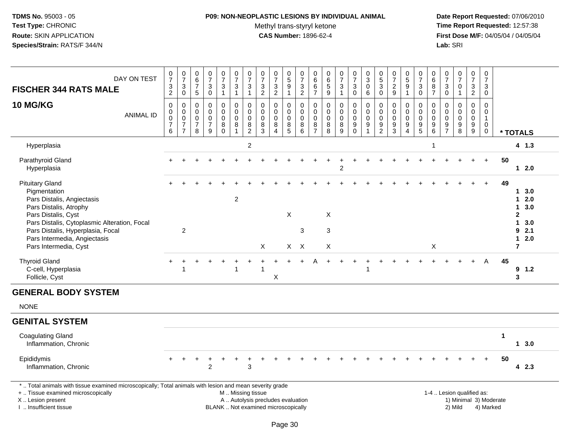## **P09: NON-NEOPLASTIC LESIONS BY INDIVIDUAL ANIMAL**

Methyl trans-styryl ketone<br>CAS Number: 1896-62-4

| DAY ON TEST<br><b>FISCHER 344 RATS MALE</b>                                                                                                                                                                | $\frac{0}{7}$<br>$\ensuremath{\mathsf{3}}$<br>$\overline{2}$ | $\frac{0}{7}$<br>$\ensuremath{\mathsf{3}}$<br>$\mathbf 0$                   | $\begin{array}{c} 0 \\ 6 \end{array}$<br>$\overline{7}$<br>$\sqrt{5}$ | $\begin{array}{c} 0 \\ 7 \end{array}$<br>$\sqrt{3}$<br>$\mathbf 0$ | $\frac{0}{7}$<br>3<br>$\mathbf{1}$     | $\frac{0}{7}$<br>$\sqrt{3}$<br>$\mathbf{1}$                          | $\frac{0}{7}$<br>$\mathfrak{S}$<br>$\mathbf{1}$            | $\begin{array}{c} 0 \\ 7 \end{array}$<br>$\mathfrak{Z}$<br>$\overline{2}$ | $\begin{array}{c} 0 \\ 7 \end{array}$<br>$\ensuremath{\mathsf{3}}$<br>$\overline{2}$ | $\begin{array}{c} 0 \\ 5 \end{array}$<br>$\boldsymbol{9}$<br>$\overline{1}$ | $\begin{matrix} 0 \\ 7 \end{matrix}$<br>$\sqrt{3}$<br>$\overline{2}$ | 0<br>6<br>6<br>$\overline{7}$                       | $\begin{array}{c} 0 \\ 6 \end{array}$<br>$\overline{5}$<br>$\boldsymbol{9}$ | $\frac{0}{7}$<br>$\mathbf{3}$<br>$\mathbf{1}$           | $\frac{0}{7}$<br>3<br>$\mathbf 0$                           | $_{3}^{\rm 0}$<br>$\mathbf 0$<br>6                                          | $\begin{array}{c} 0 \\ 5 \end{array}$<br>$\mathfrak{S}$<br>$\mathbf 0$     | $\frac{0}{7}$<br>$\sqrt{2}$<br>9                                | $\begin{array}{c} 0 \\ 5 \end{array}$<br>$\overline{9}$<br>$\mathbf{1}$ | $\frac{0}{7}$<br>3<br>$\mathbf 0$                       | $\pmb{0}$<br>$\overline{6}$<br>8<br>$\overline{7}$                           | $\begin{array}{c} 0 \\ 7 \end{array}$<br>$\mathbf{3}$<br>$\mathbf 0$ | $\frac{0}{7}$<br>$\mathbf 0$<br>$\overline{1}$                             | 0<br>$\overline{7}$<br>3<br>$\overline{2}$                       | $\mathbf 0$<br>$\overline{7}$<br>3<br>$\mathbf 0$           |              |                                                                                    |
|------------------------------------------------------------------------------------------------------------------------------------------------------------------------------------------------------------|--------------------------------------------------------------|-----------------------------------------------------------------------------|-----------------------------------------------------------------------|--------------------------------------------------------------------|----------------------------------------|----------------------------------------------------------------------|------------------------------------------------------------|---------------------------------------------------------------------------|--------------------------------------------------------------------------------------|-----------------------------------------------------------------------------|----------------------------------------------------------------------|-----------------------------------------------------|-----------------------------------------------------------------------------|---------------------------------------------------------|-------------------------------------------------------------|-----------------------------------------------------------------------------|----------------------------------------------------------------------------|-----------------------------------------------------------------|-------------------------------------------------------------------------|---------------------------------------------------------|------------------------------------------------------------------------------|----------------------------------------------------------------------|----------------------------------------------------------------------------|------------------------------------------------------------------|-------------------------------------------------------------|--------------|------------------------------------------------------------------------------------|
| <b>10 MG/KG</b><br><b>ANIMAL ID</b>                                                                                                                                                                        | $\mathbf 0$<br>$\pmb{0}$<br>$\pmb{0}$<br>$\overline{7}$<br>6 | $\mathbf 0$<br>$\mathbf 0$<br>$\pmb{0}$<br>$\overline{7}$<br>$\overline{7}$ | $\mathbf 0$<br>0<br>$\mathbf 0$<br>$\overline{7}$<br>8                | $\mathbf 0$<br>$\mathbf 0$<br>$\mathbf 0$<br>$\overline{7}$<br>9   | 0<br>0<br>$\mathbf 0$<br>8<br>$\Omega$ | $\mathbf 0$<br>$\mathbf 0$<br>$\pmb{0}$<br>$\bf 8$<br>$\overline{1}$ | 0<br>$\pmb{0}$<br>$\mathbf 0$<br>$\bf 8$<br>$\overline{2}$ | $\Omega$<br>0<br>0<br>8<br>3                                              | $\mathbf 0$<br>$\pmb{0}$<br>$\mathbf 0$<br>$\bf 8$<br>$\boldsymbol{\Lambda}$         | 0<br>$\mathbf 0$<br>$\mathbf 0$<br>$^8$ 5                                   | $\mathbf 0$<br>$\mathbf 0$<br>$\mathbf 0$<br>$\bf 8$<br>6            | $\Omega$<br>0<br>$\mathbf 0$<br>8<br>$\overline{7}$ | $\mathbf 0$<br>$\pmb{0}$<br>$\mathsf{O}\xspace$<br>$\bf 8$<br>8             | $\mathbf 0$<br>$\pmb{0}$<br>$\mathsf 0$<br>$\bf 8$<br>9 | 0<br>$\overline{0}$<br>0<br>$\boldsymbol{9}$<br>$\mathbf 0$ | $\mathbf 0$<br>$\pmb{0}$<br>$\mathbf 0$<br>$\boldsymbol{9}$<br>$\mathbf{1}$ | $\Omega$<br>$\pmb{0}$<br>$\mathbf 0$<br>$\boldsymbol{9}$<br>$\overline{2}$ | $\Omega$<br>$\mathbf 0$<br>$\mathbf 0$<br>$\boldsymbol{9}$<br>3 | 0<br>$\pmb{0}$<br>$\mathbf 0$<br>9<br>$\overline{4}$                    | $\Omega$<br>$\mathbf 0$<br>$\mathsf 0$<br>$\frac{9}{5}$ | $\mathbf 0$<br>$\mathsf{O}\xspace$<br>$\pmb{0}$<br>$\boldsymbol{9}$<br>$\,6$ | $\Omega$<br>0<br>0<br>9<br>$\overline{7}$                            | $\mathbf 0$<br>$\mathbf 0$<br>$\mathsf{O}\xspace$<br>$\boldsymbol{9}$<br>8 | $\Omega$<br>$\mathsf{O}$<br>$\mathbf 0$<br>$\boldsymbol{9}$<br>9 | $\Omega$<br>0<br>$\mathbf{1}$<br>$\mathbf 0$<br>$\mathbf 0$ |              | * TOTALS                                                                           |
| Hyperplasia                                                                                                                                                                                                |                                                              |                                                                             |                                                                       |                                                                    |                                        |                                                                      | $\overline{c}$                                             |                                                                           |                                                                                      |                                                                             |                                                                      |                                                     |                                                                             |                                                         |                                                             |                                                                             |                                                                            |                                                                 |                                                                         |                                                         | $\overline{1}$                                                               |                                                                      |                                                                            |                                                                  |                                                             |              | 4 1.3                                                                              |
| Parathyroid Gland<br>Hyperplasia                                                                                                                                                                           |                                                              |                                                                             |                                                                       |                                                                    |                                        |                                                                      |                                                            |                                                                           |                                                                                      |                                                                             |                                                                      |                                                     |                                                                             | $\overline{2}$                                          |                                                             |                                                                             |                                                                            |                                                                 |                                                                         |                                                         |                                                                              |                                                                      |                                                                            |                                                                  | $+$                                                         | 50           | 12.0                                                                               |
| <b>Pituitary Gland</b><br>Pigmentation<br>Pars Distalis, Angiectasis<br>Pars Distalis, Atrophy<br>Pars Distalis, Cyst<br>Pars Distalis, Cytoplasmic Alteration, Focal<br>Pars Distalis, Hyperplasia, Focal |                                                              | $\overline{2}$                                                              |                                                                       |                                                                    |                                        | 2                                                                    |                                                            |                                                                           |                                                                                      | $\boldsymbol{\mathsf{X}}$                                                   | 3                                                                    |                                                     | X<br>3                                                                      |                                                         |                                                             |                                                                             |                                                                            |                                                                 |                                                                         |                                                         |                                                                              |                                                                      |                                                                            |                                                                  |                                                             | 49           | 1, 3.0<br>12.0<br>3.0<br>$\mathbf 1$<br>$\mathbf{2}$<br>$\mathbf 1$<br>3.0<br>92.1 |
| Pars Intermedia, Angiectasis<br>Pars Intermedia, Cyst                                                                                                                                                      |                                                              |                                                                             |                                                                       |                                                                    |                                        |                                                                      |                                                            | X                                                                         |                                                                                      | $X$ $X$                                                                     |                                                                      |                                                     | X                                                                           |                                                         |                                                             |                                                                             |                                                                            |                                                                 |                                                                         |                                                         | X                                                                            |                                                                      |                                                                            |                                                                  |                                                             |              | 2.0<br>$\mathbf 1$<br>$\overline{7}$                                               |
| <b>Thyroid Gland</b><br>C-cell, Hyperplasia<br>Follicle, Cyst                                                                                                                                              |                                                              | $\overline{1}$                                                              |                                                                       |                                                                    |                                        | $\overline{1}$                                                       |                                                            |                                                                           | X                                                                                    |                                                                             |                                                                      |                                                     |                                                                             |                                                         |                                                             | $\overline{1}$                                                              |                                                                            |                                                                 |                                                                         |                                                         |                                                                              |                                                                      |                                                                            | $\ddot{}$                                                        | $\overline{A}$                                              | 45           | 9<br>1.2<br>$\mathbf{3}$                                                           |
| <b>GENERAL BODY SYSTEM</b>                                                                                                                                                                                 |                                                              |                                                                             |                                                                       |                                                                    |                                        |                                                                      |                                                            |                                                                           |                                                                                      |                                                                             |                                                                      |                                                     |                                                                             |                                                         |                                                             |                                                                             |                                                                            |                                                                 |                                                                         |                                                         |                                                                              |                                                                      |                                                                            |                                                                  |                                                             |              |                                                                                    |
| <b>NONE</b>                                                                                                                                                                                                |                                                              |                                                                             |                                                                       |                                                                    |                                        |                                                                      |                                                            |                                                                           |                                                                                      |                                                                             |                                                                      |                                                     |                                                                             |                                                         |                                                             |                                                                             |                                                                            |                                                                 |                                                                         |                                                         |                                                                              |                                                                      |                                                                            |                                                                  |                                                             |              |                                                                                    |
| <b>GENITAL SYSTEM</b>                                                                                                                                                                                      |                                                              |                                                                             |                                                                       |                                                                    |                                        |                                                                      |                                                            |                                                                           |                                                                                      |                                                                             |                                                                      |                                                     |                                                                             |                                                         |                                                             |                                                                             |                                                                            |                                                                 |                                                                         |                                                         |                                                                              |                                                                      |                                                                            |                                                                  |                                                             |              |                                                                                    |
| <b>Coagulating Gland</b><br>Inflammation, Chronic                                                                                                                                                          |                                                              |                                                                             |                                                                       |                                                                    |                                        |                                                                      |                                                            |                                                                           |                                                                                      |                                                                             |                                                                      |                                                     |                                                                             |                                                         |                                                             |                                                                             |                                                                            |                                                                 |                                                                         |                                                         |                                                                              |                                                                      |                                                                            |                                                                  |                                                             | $\mathbf{1}$ | 1, 3.0                                                                             |
| Epididymis<br>Inflammation, Chronic                                                                                                                                                                        |                                                              | $\pm$                                                                       | +                                                                     | $\overline{c}$                                                     |                                        |                                                                      | $\overline{ }$<br>3                                        |                                                                           |                                                                                      |                                                                             |                                                                      |                                                     |                                                                             |                                                         |                                                             |                                                                             |                                                                            |                                                                 |                                                                         |                                                         |                                                                              |                                                                      |                                                                            |                                                                  | $+$                                                         | 50           | 4 2.3                                                                              |
| *  Total animals with tissue examined microscopically; Total animals with lesion and mean severity grade<br>+  Tissue examined microscopically<br>X  Lesion present<br>I. Insufficient tissue              |                                                              |                                                                             |                                                                       |                                                                    | BLANK  Not examined microscopically    | M  Missing tissue<br>A  Autolysis precludes evaluation               |                                                            |                                                                           |                                                                                      |                                                                             |                                                                      |                                                     |                                                                             |                                                         |                                                             |                                                                             |                                                                            |                                                                 |                                                                         |                                                         |                                                                              |                                                                      | 1-4  Lesion qualified as:<br>2) Mild                                       |                                                                  | 1) Minimal 3) Moderate<br>4) Marked                         |              |                                                                                    |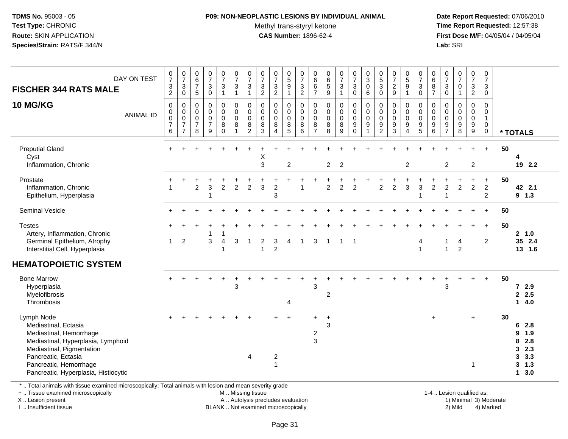#### **P09: NON-NEOPLASTIC LESIONS BY INDIVIDUAL ANIMAL**

Methyl trans-styryl ketone<br>CAS Number: 1896-62-4

 **Date Report Requested:** 07/06/2010 **Time Report Requested:** 12:57:38 **First Dose M/F:** 04/05/04 / 04/05/04<br>**Lab:** SRI **Lab:** SRI

| DAY ON TEST<br><b>FISCHER 344 RATS MALE</b><br><b>10 MG/KG</b><br><b>ANIMAL ID</b>                                                                                                                                        | $\begin{array}{c} 0 \\ 7 \end{array}$<br>$\frac{3}{2}$<br>$\mathbf 0$<br>$\pmb{0}$<br>$\mathbf 0$<br>$\overline{7}$<br>6 | $\frac{0}{7}$<br>$\ensuremath{\mathsf{3}}$<br>$\mathbf 0$<br>0<br>$\pmb{0}$<br>$\pmb{0}$<br>$\overline{7}$<br>$\overline{7}$ | $\begin{array}{c} 0 \\ 6 \end{array}$<br>$\overline{7}$<br>$\sqrt{5}$<br>0<br>0<br>$\mathsf{O}\xspace$<br>$\overline{7}$<br>8 | $\frac{0}{7}$<br>$\sqrt{3}$<br>$\mathbf 0$<br>$\mathbf 0$<br>$\pmb{0}$<br>$\pmb{0}$<br>$\overline{7}$<br>9 | $\frac{0}{7}$<br>$\frac{3}{1}$<br>$\mathbf 0$<br>$\pmb{0}$<br>$\pmb{0}$<br>$\,8\,$<br>$\overline{0}$ | $\frac{0}{7}$<br>$\sqrt{3}$<br>$\overline{1}$<br>$\pmb{0}$<br>$\mathbf 0$<br>$\mathbf 0$<br>$\bf 8$<br>$\mathbf{1}$ | $\frac{0}{7}$<br>$\ensuremath{\mathsf{3}}$<br>1<br>0<br>$\mathbf 0$<br>$\mathbf 0$<br>8<br>$\overline{c}$ | $\frac{0}{7}$<br>$\ensuremath{\mathsf{3}}$<br>$\overline{2}$<br>0<br>$\mathsf{O}\xspace$<br>$\mathbf 0$<br>$\bf8$<br>$\overline{3}$ | $\frac{0}{7}$<br>$\frac{3}{2}$<br>0<br>$\pmb{0}$<br>$\pmb{0}$<br>$\bf 8$<br>$\boldsymbol{\Lambda}$ | $\begin{array}{c} 0 \\ 5 \end{array}$<br>$\overline{9}$<br>$\overline{1}$<br>$\mathbf 0$<br>$\mathsf{O}\xspace$<br>$\mathsf{O}\xspace$<br>$^8$ 5 | $\frac{0}{7}$<br>$\frac{3}{2}$<br>0<br>$\mathsf{O}\xspace$<br>$\mathbf 0$<br>8<br>6 | 0<br>$\,6\,$<br>$\,6$<br>$\overline{7}$<br>0<br>0<br>$\mathsf{O}\xspace$<br>8<br>$\overline{7}$ | 0<br>6<br>5<br>9<br>$\pmb{0}$<br>$\pmb{0}$<br>$\pmb{0}$<br>$\bf 8$<br>$\overline{8}$ | $\frac{0}{7}$<br>$\sqrt{3}$<br>$\mathbf{1}$<br>$\pmb{0}$<br>$\pmb{0}$<br>$\pmb{0}$<br>8<br>$\overline{9}$ | $\begin{smallmatrix}0\\7\end{smallmatrix}$<br>$\ensuremath{\mathsf{3}}$<br>$\mathbf 0$<br>$\mathbf 0$<br>$\mathsf 0$<br>$\mathsf{O}\xspace$<br>$\boldsymbol{9}$<br>$\mathbf 0$ | $_{3}^{\rm 0}$<br>$\pmb{0}$<br>6<br>$\pmb{0}$<br>$\pmb{0}$<br>$\pmb{0}$<br>$\boldsymbol{9}$<br>$\mathbf{1}$ | $\begin{smallmatrix}0\0\5\end{smallmatrix}$<br>3<br>$\mathbf 0$<br>0<br>0<br>$\mathbf 0$<br>9<br>$\overline{c}$ | $\begin{array}{c} 0 \\ 7 \end{array}$<br>$\frac{2}{9}$<br>$\mathbf 0$<br>$\pmb{0}$<br>$\pmb{0}$<br>$\frac{9}{3}$ | $\begin{matrix}0\\5\\9\end{matrix}$<br>$\mathbf{1}$<br>0<br>$\pmb{0}$<br>$\mathsf 0$<br>9<br>$\overline{4}$ | $\begin{smallmatrix}0\\7\end{smallmatrix}$<br>$\sqrt{3}$<br>$\mathbf 0$<br>0<br>$\mathsf{O}\xspace$<br>$\mathsf{O}\xspace$<br>$\frac{9}{5}$ | $\pmb{0}$<br>6<br>$\frac{8}{7}$<br>$\pmb{0}$<br>$\pmb{0}$<br>$\pmb{0}$<br>$\boldsymbol{9}$<br>6 | $\,0\,$<br>$\overline{7}$<br>$\sqrt{3}$<br>$\mathbf 0$<br>$\mathbf 0$<br>$\mathbf 0$<br>$\mathbf 0$<br>$\frac{9}{7}$ | $\begin{smallmatrix}0\\7\end{smallmatrix}$<br>$\mathbf 0$<br>$\mathbf{1}$<br>$\pmb{0}$<br>$\pmb{0}$<br>$\mathsf{O}\xspace$<br>$\boldsymbol{9}$<br>$\overline{8}$ | $\frac{0}{7}$<br>$\frac{3}{2}$<br>$\pmb{0}$<br>$_{\rm 0}^{\rm 0}$<br>$\frac{9}{9}$ | $\frac{0}{7}$<br>$\mathbf{3}$<br>0<br>0<br>$\mathbf 0$<br>$\mathbf{1}$<br>$\mathbf 0$<br>$\mathbf 0$ |    | * TOTALS                                                                                       |
|---------------------------------------------------------------------------------------------------------------------------------------------------------------------------------------------------------------------------|--------------------------------------------------------------------------------------------------------------------------|------------------------------------------------------------------------------------------------------------------------------|-------------------------------------------------------------------------------------------------------------------------------|------------------------------------------------------------------------------------------------------------|------------------------------------------------------------------------------------------------------|---------------------------------------------------------------------------------------------------------------------|-----------------------------------------------------------------------------------------------------------|-------------------------------------------------------------------------------------------------------------------------------------|----------------------------------------------------------------------------------------------------|--------------------------------------------------------------------------------------------------------------------------------------------------|-------------------------------------------------------------------------------------|-------------------------------------------------------------------------------------------------|--------------------------------------------------------------------------------------|-----------------------------------------------------------------------------------------------------------|--------------------------------------------------------------------------------------------------------------------------------------------------------------------------------|-------------------------------------------------------------------------------------------------------------|-----------------------------------------------------------------------------------------------------------------|------------------------------------------------------------------------------------------------------------------|-------------------------------------------------------------------------------------------------------------|---------------------------------------------------------------------------------------------------------------------------------------------|-------------------------------------------------------------------------------------------------|----------------------------------------------------------------------------------------------------------------------|------------------------------------------------------------------------------------------------------------------------------------------------------------------|------------------------------------------------------------------------------------|------------------------------------------------------------------------------------------------------|----|------------------------------------------------------------------------------------------------|
| <b>Preputial Gland</b><br>Cyst<br>Inflammation, Chronic                                                                                                                                                                   | ÷                                                                                                                        |                                                                                                                              |                                                                                                                               |                                                                                                            |                                                                                                      |                                                                                                                     |                                                                                                           | X<br>3                                                                                                                              |                                                                                                    | 2                                                                                                                                                |                                                                                     |                                                                                                 | $\overline{2}$                                                                       | $\overline{2}$                                                                                            |                                                                                                                                                                                |                                                                                                             |                                                                                                                 |                                                                                                                  | $\overline{c}$                                                                                              |                                                                                                                                             |                                                                                                 | $\overline{c}$                                                                                                       |                                                                                                                                                                  | $\overline{2}$                                                                     | $\ddot{}$                                                                                            | 50 | 4<br>19 2.2                                                                                    |
| Prostate<br>Inflammation, Chronic<br>Epithelium, Hyperplasia                                                                                                                                                              | 1                                                                                                                        |                                                                                                                              | $\overline{c}$                                                                                                                | 3                                                                                                          | $\overline{c}$                                                                                       | $\overline{c}$                                                                                                      | $\overline{c}$                                                                                            | 3                                                                                                                                   | $\overline{c}$<br>3                                                                                |                                                                                                                                                  |                                                                                     |                                                                                                 | 2                                                                                    | $\overline{c}$                                                                                            | $\overline{c}$                                                                                                                                                                 |                                                                                                             | $\overline{c}$                                                                                                  | $\overline{2}$                                                                                                   | 3                                                                                                           | 3                                                                                                                                           | $\overline{c}$                                                                                  | $\overline{c}$<br>1                                                                                                  | $\overline{c}$                                                                                                                                                   | $\ddot{}$<br>$\overline{2}$                                                        | $+$<br>$\overline{2}$<br>$\overline{c}$                                                              | 50 | 42 2.1<br>$9$ 1.3                                                                              |
| Seminal Vesicle                                                                                                                                                                                                           |                                                                                                                          |                                                                                                                              |                                                                                                                               |                                                                                                            |                                                                                                      |                                                                                                                     |                                                                                                           |                                                                                                                                     |                                                                                                    |                                                                                                                                                  |                                                                                     |                                                                                                 |                                                                                      |                                                                                                           |                                                                                                                                                                                |                                                                                                             |                                                                                                                 |                                                                                                                  |                                                                                                             |                                                                                                                                             |                                                                                                 |                                                                                                                      |                                                                                                                                                                  |                                                                                    | $+$                                                                                                  | 50 |                                                                                                |
| <b>Testes</b><br>Artery, Inflammation, Chronic<br>Germinal Epithelium, Atrophy<br>Interstitial Cell, Hyperplasia                                                                                                          | 1                                                                                                                        | $\overline{2}$                                                                                                               |                                                                                                                               | $\mathbf{3}$                                                                                               | 4                                                                                                    | 3                                                                                                                   | 1                                                                                                         | $\mathbf{2}$<br>$\mathbf{1}$                                                                                                        | $\boldsymbol{3}$<br>$\overline{2}$                                                                 | 4                                                                                                                                                | $\overline{1}$                                                                      | 3                                                                                               | $\overline{1}$                                                                       | $1 \quad 1$                                                                                               |                                                                                                                                                                                |                                                                                                             |                                                                                                                 |                                                                                                                  |                                                                                                             | 4<br>$\blacktriangleleft$                                                                                                                   |                                                                                                 | 1<br>$\mathbf{1}$                                                                                                    | 4<br>$\overline{2}$                                                                                                                                              |                                                                                    | $\ddot{}$<br>$\overline{2}$                                                                          | 50 | 2, 1.0<br>35<br>2.4<br>13 1.6                                                                  |
| <b>HEMATOPOIETIC SYSTEM</b>                                                                                                                                                                                               |                                                                                                                          |                                                                                                                              |                                                                                                                               |                                                                                                            |                                                                                                      |                                                                                                                     |                                                                                                           |                                                                                                                                     |                                                                                                    |                                                                                                                                                  |                                                                                     |                                                                                                 |                                                                                      |                                                                                                           |                                                                                                                                                                                |                                                                                                             |                                                                                                                 |                                                                                                                  |                                                                                                             |                                                                                                                                             |                                                                                                 |                                                                                                                      |                                                                                                                                                                  |                                                                                    |                                                                                                      |    |                                                                                                |
| <b>Bone Marrow</b><br>Hyperplasia<br>Myelofibrosis<br>Thrombosis                                                                                                                                                          |                                                                                                                          |                                                                                                                              |                                                                                                                               |                                                                                                            |                                                                                                      | 3                                                                                                                   |                                                                                                           |                                                                                                                                     |                                                                                                    | 4                                                                                                                                                |                                                                                     | 3                                                                                               | $\overline{c}$                                                                       |                                                                                                           |                                                                                                                                                                                |                                                                                                             |                                                                                                                 |                                                                                                                  |                                                                                                             |                                                                                                                                             |                                                                                                 | 3                                                                                                                    |                                                                                                                                                                  |                                                                                    | +                                                                                                    | 50 | $72.9$<br>2.5<br>14.0                                                                          |
| Lymph Node<br>Mediastinal, Ectasia<br>Mediastinal, Hemorrhage<br>Mediastinal, Hyperplasia, Lymphoid<br>Mediastinal, Pigmentation<br>Pancreatic, Ectasia<br>Pancreatic, Hemorrhage<br>Pancreatic, Hyperplasia, Histiocytic |                                                                                                                          |                                                                                                                              |                                                                                                                               |                                                                                                            |                                                                                                      |                                                                                                                     | $\overline{4}$                                                                                            |                                                                                                                                     | $\overline{c}$<br>$\overline{1}$                                                                   | $+$                                                                                                                                              |                                                                                     | $\ddot{}$<br>$\boldsymbol{2}$<br>3                                                              | $\ddot{}$<br>3                                                                       |                                                                                                           |                                                                                                                                                                                |                                                                                                             |                                                                                                                 |                                                                                                                  |                                                                                                             |                                                                                                                                             | ÷                                                                                               |                                                                                                                      |                                                                                                                                                                  | $+$<br>$\mathbf{1}$                                                                |                                                                                                      | 30 | 62.8<br>9 1.9<br>2.8<br>8<br>2.3<br>3<br>3<br>3.3<br>1.3<br>$\mathbf{3}$<br>3.0<br>$\mathbf 1$ |

\* .. Total animals with tissue examined microscopically; Total animals with lesion and mean severity grade

+ .. Tissue examined microscopically

X .. Lesion present

I .. Insufficient tissue

M .. Missing tissue

A .. Autolysis precludes evaluation 1999 (1999) 1999 (1999) 1999 (1999) 1999 (1999) 1999 (1999) 1999 (1999) 1<br>1) Minimal 3) Mild 3) Mild 3) Mild 3) Mild 3, 2009 (1999) 1999 (1999) 1999 (1999) 1999 (1999) 1999 (1999) 199

BLANK .. Not examined microscopically 2) Mild 4) Marked

1-4 .. Lesion qualified as:<br>1) Minimal 3) Moderate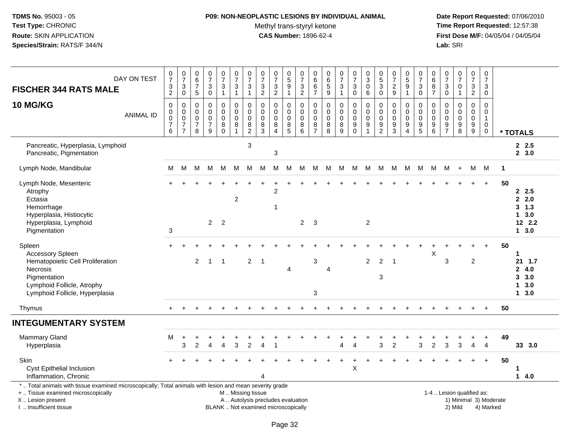## **P09: NON-NEOPLASTIC LESIONS BY INDIVIDUAL ANIMAL**

Methyl trans-styryl ketone<br>CAS Number: 1896-62-4

| DAY ON TEST<br><b>FISCHER 344 RATS MALE</b>                                                                                                                                                   | $\frac{0}{7}$<br>$\frac{3}{2}$                                   | $\frac{0}{7}$<br>$\ensuremath{\mathsf{3}}$<br>$\pmb{0}$                 | $\begin{array}{c} 0 \\ 6 \end{array}$<br>$\overline{7}$<br>$5\phantom{.0}$ | $\frac{0}{7}$<br>$\sqrt{3}$<br>$\pmb{0}$                         | $\begin{smallmatrix}0\\7\end{smallmatrix}$<br>$\ensuremath{\mathsf{3}}$<br>$\mathbf{1}$ | $\frac{0}{7}$<br>3<br>$\mathbf{1}$                             | $\frac{0}{7}$<br>3<br>$\mathbf{1}$                                     | $\frac{0}{7}$<br>$\ensuremath{\mathsf{3}}$<br>$\overline{2}$ | $\begin{array}{c} 0 \\ 7 \end{array}$<br>$\ensuremath{\mathsf{3}}$<br>$\overline{2}$ | $\begin{array}{c} 0 \\ 5 \end{array}$<br>$\boldsymbol{9}$<br>$\mathbf{1}$ | 0<br>$\frac{5}{7}$<br>$\frac{3}{2}$                 | $\mathbf 0$<br>$\,6\,$<br>$\,6$<br>$\overline{7}$                | $\begin{array}{c} 0 \\ 6 \end{array}$<br>$\overline{5}$<br>$\overline{9}$ | $\frac{0}{7}$<br>3<br>$\mathbf{1}$           | $\frac{0}{7}$<br>$\sqrt{3}$<br>$\bar{0}$                                 | $_{3}^{\rm 0}$<br>$\pmb{0}$<br>$\,6\,$                                        | $\begin{array}{c} 0 \\ 5 \end{array}$<br>$\overline{3}$<br>$\mathbf 0$ | $\frac{0}{7}$<br>$\sqrt{2}$<br>9                                   | $^{\rm 0}_{\rm 5}$<br>$\boldsymbol{9}$<br>1 | $\frac{0}{7}$<br>$\frac{3}{0}$                             | 0<br>$\overline{6}$<br>$\bf 8$<br>$\overline{7}$         | 0<br>$\overline{7}$<br>$\ensuremath{\mathsf{3}}$<br>$\pmb{0}$ | $\frac{0}{7}$<br>$\mathbf 0$<br>$\mathbf{1}$                       | $\begin{smallmatrix}0\\7\end{smallmatrix}$<br>$\ensuremath{\mathsf{3}}$<br>$\overline{2}$ | $\mathbf 0$<br>$\overline{7}$<br>$\sqrt{3}$<br>$\mathbf 0$            |                        |                                                      |
|-----------------------------------------------------------------------------------------------------------------------------------------------------------------------------------------------|------------------------------------------------------------------|-------------------------------------------------------------------------|----------------------------------------------------------------------------|------------------------------------------------------------------|-----------------------------------------------------------------------------------------|----------------------------------------------------------------|------------------------------------------------------------------------|--------------------------------------------------------------|--------------------------------------------------------------------------------------|---------------------------------------------------------------------------|-----------------------------------------------------|------------------------------------------------------------------|---------------------------------------------------------------------------|----------------------------------------------|--------------------------------------------------------------------------|-------------------------------------------------------------------------------|------------------------------------------------------------------------|--------------------------------------------------------------------|---------------------------------------------|------------------------------------------------------------|----------------------------------------------------------|---------------------------------------------------------------|--------------------------------------------------------------------|-------------------------------------------------------------------------------------------|-----------------------------------------------------------------------|------------------------|------------------------------------------------------|
| 10 MG/KG<br><b>ANIMAL ID</b>                                                                                                                                                                  | $\pmb{0}$<br>$\mathbf 0$<br>$\mathsf 0$<br>$\boldsymbol{7}$<br>6 | $\pmb{0}$<br>$\mathbf 0$<br>$\,0\,$<br>$\overline{7}$<br>$\overline{7}$ | $\mathbf 0$<br>$\mathbf 0$<br>0<br>$\overline{7}$<br>8                     | $\mathbf 0$<br>$\mathbf 0$<br>$\mathbf 0$<br>$\overline{7}$<br>9 | 0<br>$\mathbf 0$<br>$\mathbf 0$<br>$\bf 8$<br>$\mathbf 0$                               | $\mathbf 0$<br>$\mathbf 0$<br>$\mathbf 0$<br>8<br>$\mathbf{1}$ | $\mathbf 0$<br>$\mathbf 0$<br>$\mathbf 0$<br>$\bf 8$<br>$\overline{2}$ | $\mathbf 0$<br>$\mathbf{0}$<br>0<br>$\bf 8$<br>3             | $\mathbf 0$<br>$\Omega$<br>$\mathbf 0$<br>$\bf 8$<br>$\overline{4}$                  | 0<br>$\mathbf 0$<br>0<br>$\bf 8$<br>5                                     | $\mathbf 0$<br>$\mathbf 0$<br>$\mathbf 0$<br>8<br>6 | $\mathbf 0$<br>$\mathbf 0$<br>$\mathbf 0$<br>8<br>$\overline{7}$ | $\pmb{0}$<br>$\mathbf 0$<br>$\mathbf 0$<br>$\bf 8$<br>8                   | 0<br>$\overline{0}$<br>$\mathbf 0$<br>8<br>9 | $\pmb{0}$<br>$\mathbf 0$<br>$\pmb{0}$<br>$\boldsymbol{9}$<br>$\mathsf 0$ | $\mathbf 0$<br>$\mathbf 0$<br>$\mathbf 0$<br>$\boldsymbol{9}$<br>$\mathbf{1}$ | 0<br>$\mathbf 0$<br>$\mathbf 0$<br>$\boldsymbol{9}$<br>$\overline{2}$  | $\mathbf 0$<br>$\mathbf 0$<br>$\mathbf 0$<br>$\boldsymbol{9}$<br>3 | 0<br>$\mathbf 0$<br>0<br>9<br>4             | $\,0\,$<br>$\pmb{0}$<br>$\pmb{0}$<br>$\boldsymbol{9}$<br>5 | $\mathbf 0$<br>$\mathbf 0$<br>0<br>$\boldsymbol{9}$<br>6 | $\Omega$<br>$\mathbf{0}$<br>0<br>9<br>$\overline{7}$          | $\mathbf 0$<br>$\mathbf 0$<br>$\mathbf 0$<br>$\boldsymbol{9}$<br>8 | 0<br>$\mathbf 0$<br>$\mathbf 0$<br>9<br>9                                                 | $\Omega$<br>$\mathbf 0$<br>$\mathbf{1}$<br>$\mathbf 0$<br>$\mathbf 0$ |                        | * TOTALS                                             |
| Pancreatic, Hyperplasia, Lymphoid<br>Pancreatic, Pigmentation                                                                                                                                 |                                                                  |                                                                         |                                                                            |                                                                  |                                                                                         |                                                                | 3                                                                      |                                                              | $\sqrt{3}$                                                                           |                                                                           |                                                     |                                                                  |                                                                           |                                              |                                                                          |                                                                               |                                                                        |                                                                    |                                             |                                                            |                                                          |                                                               |                                                                    |                                                                                           |                                                                       |                        | 2.5<br>2, 3.0                                        |
| Lymph Node, Mandibular                                                                                                                                                                        | M                                                                | M                                                                       |                                                                            |                                                                  | M M M                                                                                   | M                                                              | M                                                                      | M                                                            | M                                                                                    | M                                                                         | M                                                   | M                                                                |                                                                           | M M                                          |                                                                          |                                                                               |                                                                        | M M M M M                                                          |                                             | M                                                          | M                                                        | M                                                             | $+$                                                                | M                                                                                         | M                                                                     | $\overline{1}$         |                                                      |
| Lymph Node, Mesenteric<br>Atrophy<br>Ectasia<br>Hemorrhage<br>Hyperplasia, Histiocytic<br>Hyperplasia, Lymphoid<br>Pigmentation                                                               | 3                                                                |                                                                         |                                                                            | $2^{\circ}$                                                      | $\overline{2}$                                                                          | $\overline{c}$                                                 |                                                                        |                                                              | ÷.<br>2<br>1                                                                         |                                                                           | $\overline{2}$                                      | $\mathbf{3}$                                                     |                                                                           |                                              |                                                                          | $\overline{2}$                                                                |                                                                        |                                                                    |                                             |                                                            |                                                          |                                                               |                                                                    | $+$                                                                                       | $+$                                                                   | 50                     | 2.5<br>2.2.0<br>$3 \t1.3$<br>13.0<br>12 2.2<br>13.0  |
| Spleen<br><b>Accessory Spleen</b><br>Hematopoietic Cell Proliferation<br>Necrosis<br>Pigmentation<br>Lymphoid Follicle, Atrophy<br>Lymphoid Follicle, Hyperplasia                             |                                                                  |                                                                         | 2                                                                          | $\overline{1}$                                                   | $\overline{1}$                                                                          |                                                                | $\overline{2}$                                                         | $\overline{1}$                                               |                                                                                      | 4                                                                         |                                                     | 3<br>3                                                           | 4                                                                         |                                              |                                                                          | 2                                                                             | 2<br>3                                                                 | $\overline{1}$                                                     |                                             |                                                            | $\sf X$                                                  | 3                                                             |                                                                    | $\overline{c}$                                                                            |                                                                       | 50                     | $\mathbf 1$<br>21 1.7<br>24.0<br>3.0<br>13.0<br>13.0 |
| Thymus                                                                                                                                                                                        |                                                                  |                                                                         |                                                                            |                                                                  |                                                                                         |                                                                |                                                                        |                                                              |                                                                                      |                                                                           |                                                     |                                                                  |                                                                           |                                              |                                                                          |                                                                               |                                                                        |                                                                    |                                             |                                                            |                                                          |                                                               |                                                                    |                                                                                           | $+$                                                                   | 50                     |                                                      |
| <b>INTEGUMENTARY SYSTEM</b>                                                                                                                                                                   |                                                                  |                                                                         |                                                                            |                                                                  |                                                                                         |                                                                |                                                                        |                                                              |                                                                                      |                                                                           |                                                     |                                                                  |                                                                           |                                              |                                                                          |                                                                               |                                                                        |                                                                    |                                             |                                                            |                                                          |                                                               |                                                                    |                                                                                           |                                                                       |                        |                                                      |
| Mammary Gland<br>Hyperplasia                                                                                                                                                                  | М                                                                | $\ddot{}$<br>3                                                          | $\mathfrak{p}$                                                             | Δ                                                                | $\overline{4}$                                                                          | 3                                                              | $\mathfrak{p}$                                                         |                                                              |                                                                                      |                                                                           |                                                     |                                                                  |                                                                           | $\overline{4}$                               | $\boldsymbol{\Lambda}$                                                   |                                                                               | 3                                                                      | $\mathfrak{p}$                                                     |                                             | 3                                                          | $\overline{2}$                                           | 3                                                             | 3                                                                  | +<br>$\overline{4}$                                                                       | $\ddot{}$<br>$\overline{4}$                                           | 49                     | 33 3.0                                               |
| Skin<br><b>Cyst Epithelial Inclusion</b><br>Inflammation, Chronic                                                                                                                             |                                                                  |                                                                         |                                                                            |                                                                  |                                                                                         |                                                                |                                                                        | 4                                                            |                                                                                      |                                                                           |                                                     |                                                                  |                                                                           |                                              | X                                                                        |                                                                               |                                                                        |                                                                    |                                             |                                                            |                                                          |                                                               |                                                                    |                                                                                           | $+$                                                                   | 50                     | 1<br>14.0                                            |
| *  Total animals with tissue examined microscopically; Total animals with lesion and mean severity grade<br>+  Tissue examined microscopically<br>X  Lesion present<br>I  Insufficient tissue |                                                                  |                                                                         |                                                                            |                                                                  | BLANK  Not examined microscopically                                                     | M  Missing tissue                                              |                                                                        | A  Autolysis precludes evaluation                            |                                                                                      |                                                                           |                                                     |                                                                  |                                                                           |                                              |                                                                          |                                                                               |                                                                        |                                                                    |                                             |                                                            |                                                          |                                                               | 1-4  Lesion qualified as:<br>2) Mild                               |                                                                                           | 4) Marked                                                             | 1) Minimal 3) Moderate |                                                      |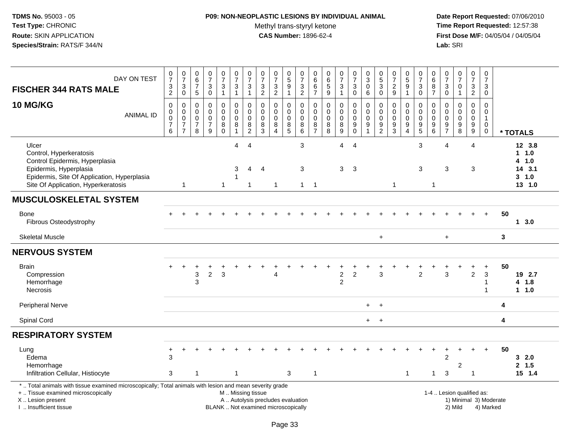## **P09: NON-NEOPLASTIC LESIONS BY INDIVIDUAL ANIMAL**

Methyl trans-styryl ketone<br>CAS Number: 1896-62-4

| DAY ON TEST<br><b>FISCHER 344 RATS MALE</b>                                                                                                                                                   | $\frac{0}{7}$<br>$\frac{3}{2}$                                             | $\frac{0}{7}$<br>$\ensuremath{\mathsf{3}}$<br>$\pmb{0}$                   | $\begin{array}{c} 0 \\ 6 \end{array}$<br>$\overline{7}$<br>$\sqrt{5}$ | $\frac{0}{7}$<br>$\sqrt{3}$<br>$\pmb{0}$                                        | $\begin{smallmatrix}0\\7\end{smallmatrix}$<br>$\mathbf 3$<br>$\mathbf{1}$ | $\frac{0}{7}$<br>$\ensuremath{\mathsf{3}}$<br>$\mathbf{1}$ | $\frac{0}{7}$<br>3<br>$\mathbf{1}$                   | $\begin{array}{c} 0 \\ 7 \end{array}$<br>$\frac{3}{2}$ | $\begin{array}{c} 0 \\ 7 \end{array}$<br>$\frac{3}{2}$                 | $\begin{array}{c} 0 \\ 5 \end{array}$<br>$\overline{9}$<br>$\mathbf{1}$ | $\pmb{0}$<br>$\overline{7}$<br>$\frac{3}{2}$ | $\pmb{0}$<br>$\,6\,$<br>$6\phantom{1}$<br>$\overline{7}$ | $\pmb{0}$<br>$6\phantom{a}$<br>$\overline{5}$<br>$\overline{9}$ | $\frac{0}{7}$<br>3<br>$\mathbf{1}$                                          | $\frac{0}{7}$<br>$\frac{3}{0}$              | $_{3}^{\rm 0}$<br>$\overline{0}$<br>$\,6\,$                                 | $\begin{array}{c} 0 \\ 5 \\ 3 \end{array}$<br>$\mathbf 0$ | $\begin{array}{c} 0 \\ 7 \end{array}$<br>$\sqrt{2}$<br>9   | $\begin{array}{c} 0 \\ 5 \end{array}$<br>$\overline{9}$<br>$\mathbf{1}$ | $\frac{0}{7}$<br>$\frac{3}{0}$                                         | $_{6}^{\rm 0}$<br>$\frac{8}{7}$                     | 0<br>$\overline{7}$<br>$_{\rm 0}^3$    | $\begin{array}{c} 0 \\ 7 \end{array}$<br>$\pmb{0}$<br>$\mathbf{1}$ | $\begin{array}{c} 0 \\ 7 \end{array}$<br>$\sqrt{3}$<br>$\overline{2}$ | $\pmb{0}$<br>$\overline{7}$<br>$\mathbf{3}$<br>$\pmb{0}$              |    |                                                               |
|-----------------------------------------------------------------------------------------------------------------------------------------------------------------------------------------------|----------------------------------------------------------------------------|---------------------------------------------------------------------------|-----------------------------------------------------------------------|---------------------------------------------------------------------------------|---------------------------------------------------------------------------|------------------------------------------------------------|------------------------------------------------------|--------------------------------------------------------|------------------------------------------------------------------------|-------------------------------------------------------------------------|----------------------------------------------|----------------------------------------------------------|-----------------------------------------------------------------|-----------------------------------------------------------------------------|---------------------------------------------|-----------------------------------------------------------------------------|-----------------------------------------------------------|------------------------------------------------------------|-------------------------------------------------------------------------|------------------------------------------------------------------------|-----------------------------------------------------|----------------------------------------|--------------------------------------------------------------------|-----------------------------------------------------------------------|-----------------------------------------------------------------------|----|---------------------------------------------------------------|
| 10 MG/KG<br><b>ANIMAL ID</b>                                                                                                                                                                  | $\mathbf 0$<br>$\boldsymbol{0}$<br>$\overline{0}$<br>$\boldsymbol{7}$<br>6 | $\pmb{0}$<br>$\mathbf 0$<br>$\pmb{0}$<br>$\overline{7}$<br>$\overline{7}$ | 0<br>0<br>$\mathbf 0$<br>$\overline{7}$<br>8                          | $\mathbf 0$<br>$\pmb{0}$<br>$\mathbf 0$<br>$\boldsymbol{7}$<br>$\boldsymbol{9}$ | 0<br>$\mathbf 0$<br>$\mathbf 0$<br>$\bf 8$<br>$\mathbf 0$                 | 0<br>$\pmb{0}$<br>$\mathbf 0$<br>8<br>$\mathbf{1}$         | 0<br>$\pmb{0}$<br>$\mathbf 0$<br>8<br>$\overline{c}$ | $\mathbf 0$<br>$\mathbf 0$<br>0<br>8<br>3              | $\mathbf 0$<br>$\mathbf 0$<br>$\mathbf 0$<br>$\bf 8$<br>$\overline{4}$ | 0<br>$\mathbf 0$<br>$\mathbf 0$<br>$^8$ 5                               | 0<br>$\mathbf 0$<br>$\Omega$<br>8<br>$\,6\,$ | 0<br>$\mathbf 0$<br>$\mathbf 0$<br>$\frac{8}{7}$         | $\pmb{0}$<br>$\mathbf 0$<br>$\mathbf 0$<br>8<br>8               | 0<br>$\overline{0}$<br>$\mathbf 0$<br>$\begin{array}{c} 8 \\ 9 \end{array}$ | 0<br>$\pmb{0}$<br>$\mathsf 0$<br>$_{0}^{9}$ | $\mathbf 0$<br>$\pmb{0}$<br>$\mathbf 0$<br>$\boldsymbol{9}$<br>$\mathbf{1}$ | 0<br>$\pmb{0}$<br>$\mathbf 0$<br>$9\,$<br>$\overline{2}$  | $\mathbf 0$<br>$\mathbf 0$<br>$\mathbf 0$<br>$\frac{9}{3}$ | 0<br>$\mathbf 0$<br>$\mathbf 0$<br>9<br>$\overline{4}$                  | 0<br>$\pmb{0}$<br>$\mathbf 0$<br>$\begin{array}{c} 9 \\ 5 \end{array}$ | $\mathbf 0$<br>$\mathbf 0$<br>$\mathbf 0$<br>$^9$ 6 | 0<br>$\mathbf 0$<br>0<br>$\frac{9}{7}$ | $\mathbf 0$<br>$\mathbf 0$<br>$\mathbf 0$<br>$\frac{9}{8}$         | 0<br>$\mathbf 0$<br>0<br>$\boldsymbol{9}$<br>$\boldsymbol{9}$         | $\Omega$<br>$\mathbf 0$<br>$\mathbf{1}$<br>$\mathbf 0$<br>$\mathbf 0$ |    | * TOTALS                                                      |
| Ulcer<br>Control, Hyperkeratosis<br>Control Epidermis, Hyperplasia<br>Epidermis, Hyperplasia<br>Epidermis, Site Of Application, Hyperplasia<br>Site Of Application, Hyperkeratosis            |                                                                            | $\mathbf{1}$                                                              |                                                                       |                                                                                 | $\mathbf{1}$                                                              | 4<br>3<br>-1                                               | $\overline{4}$<br>4<br>$\mathbf{1}$                  | 4                                                      | $\mathbf{1}$                                                           |                                                                         | $\mathbf{3}$<br>3<br>$\overline{1}$          | $\overline{1}$                                           |                                                                 | $\overline{4}$<br>3                                                         | $\overline{4}$<br>3                         |                                                                             |                                                           | $\mathbf{1}$                                               |                                                                         | 3<br>3                                                                 | $\mathbf{1}$                                        | $\overline{4}$<br>3                    |                                                                    | 4<br>3                                                                |                                                                       |    | 12 3.8<br>$1 \t1.0$<br>4 1.0<br>14 3.1<br>$3 - 1.0$<br>13 1.0 |
| <b>MUSCULOSKELETAL SYSTEM</b>                                                                                                                                                                 |                                                                            |                                                                           |                                                                       |                                                                                 |                                                                           |                                                            |                                                      |                                                        |                                                                        |                                                                         |                                              |                                                          |                                                                 |                                                                             |                                             |                                                                             |                                                           |                                                            |                                                                         |                                                                        |                                                     |                                        |                                                                    |                                                                       |                                                                       |    |                                                               |
| Bone<br>Fibrous Osteodystrophy                                                                                                                                                                |                                                                            |                                                                           |                                                                       |                                                                                 |                                                                           |                                                            |                                                      |                                                        |                                                                        |                                                                         |                                              |                                                          |                                                                 |                                                                             |                                             |                                                                             |                                                           |                                                            |                                                                         |                                                                        |                                                     |                                        |                                                                    |                                                                       | $+$                                                                   | 50 | 13.0                                                          |
| <b>Skeletal Muscle</b>                                                                                                                                                                        |                                                                            |                                                                           |                                                                       |                                                                                 |                                                                           |                                                            |                                                      |                                                        |                                                                        |                                                                         |                                              |                                                          |                                                                 |                                                                             |                                             |                                                                             | $\ddot{}$                                                 |                                                            |                                                                         |                                                                        |                                                     | $+$                                    |                                                                    |                                                                       |                                                                       | 3  |                                                               |
| <b>NERVOUS SYSTEM</b>                                                                                                                                                                         |                                                                            |                                                                           |                                                                       |                                                                                 |                                                                           |                                                            |                                                      |                                                        |                                                                        |                                                                         |                                              |                                                          |                                                                 |                                                                             |                                             |                                                                             |                                                           |                                                            |                                                                         |                                                                        |                                                     |                                        |                                                                    |                                                                       |                                                                       |    |                                                               |
| <b>Brain</b><br>Compression<br>Hemorrhage<br><b>Necrosis</b>                                                                                                                                  |                                                                            | $\ddot{}$                                                                 | +<br>3<br>3                                                           | $\overline{c}$                                                                  | 3                                                                         |                                                            |                                                      |                                                        | 4                                                                      |                                                                         |                                              |                                                          |                                                                 | $\boldsymbol{2}$<br>$\overline{2}$                                          | $\overline{2}$                              |                                                                             | 3                                                         |                                                            |                                                                         | $\overline{2}$                                                         |                                                     | 3                                      |                                                                    | +<br>$\overline{2}$                                                   | $\ddot{}$<br>$\mathbf{3}$<br>1                                        | 50 | 19 2.7<br>4 1.8<br>11.0                                       |
| <b>Peripheral Nerve</b>                                                                                                                                                                       |                                                                            |                                                                           |                                                                       |                                                                                 |                                                                           |                                                            |                                                      |                                                        |                                                                        |                                                                         |                                              |                                                          |                                                                 |                                                                             |                                             | $+$                                                                         | $+$                                                       |                                                            |                                                                         |                                                                        |                                                     |                                        |                                                                    |                                                                       |                                                                       | 4  |                                                               |
| Spinal Cord                                                                                                                                                                                   |                                                                            |                                                                           |                                                                       |                                                                                 |                                                                           |                                                            |                                                      |                                                        |                                                                        |                                                                         |                                              |                                                          |                                                                 |                                                                             |                                             | $+$                                                                         | $+$                                                       |                                                            |                                                                         |                                                                        |                                                     |                                        |                                                                    |                                                                       |                                                                       | 4  |                                                               |
| <b>RESPIRATORY SYSTEM</b>                                                                                                                                                                     |                                                                            |                                                                           |                                                                       |                                                                                 |                                                                           |                                                            |                                                      |                                                        |                                                                        |                                                                         |                                              |                                                          |                                                                 |                                                                             |                                             |                                                                             |                                                           |                                                            |                                                                         |                                                                        |                                                     |                                        |                                                                    |                                                                       |                                                                       |    |                                                               |
| Lung<br>Edema<br>Hemorrhage<br>Infiltration Cellular, Histiocyte                                                                                                                              | $\ddot{}$<br>3<br>3                                                        |                                                                           | 1                                                                     |                                                                                 |                                                                           | 1                                                          |                                                      |                                                        |                                                                        | 3                                                                       |                                              | $\mathbf{1}$                                             |                                                                 |                                                                             |                                             |                                                                             |                                                           |                                                            | $\mathbf{1}$                                                            |                                                                        | $\mathbf{1}$                                        | $\overline{c}$<br>$\mathbf{3}$         | $\overline{c}$                                                     | $\overline{1}$                                                        | $\ddot{}$                                                             | 50 | 32.0<br>2, 1.5<br>15 1.4                                      |
| *  Total animals with tissue examined microscopically; Total animals with lesion and mean severity grade<br>+  Tissue examined microscopically<br>X  Lesion present<br>I  Insufficient tissue |                                                                            |                                                                           |                                                                       |                                                                                 | BLANK  Not examined microscopically                                       | M. Missing tissue                                          |                                                      |                                                        | A  Autolysis precludes evaluation                                      |                                                                         |                                              |                                                          |                                                                 |                                                                             |                                             |                                                                             |                                                           |                                                            |                                                                         |                                                                        |                                                     |                                        | 1-4  Lesion qualified as:<br>1) Minimal 3) Moderate<br>2) Mild     |                                                                       | 4) Marked                                                             |    |                                                               |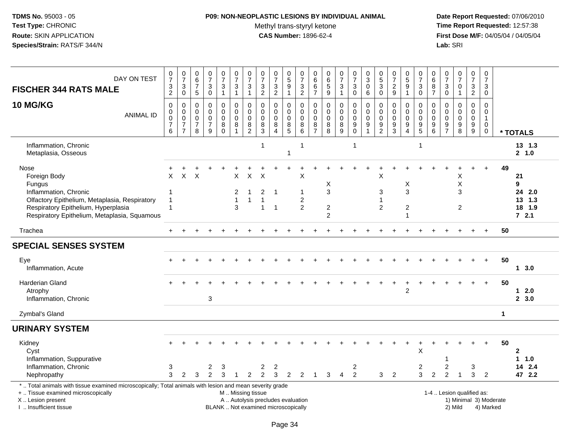### **P09: NON-NEOPLASTIC LESIONS BY INDIVIDUAL ANIMAL**

Methyl trans-styryl ketone<br>CAS Number: 1896-62-4

| DAY ON TEST<br><b>FISCHER 344 RATS MALE</b>                                                                                                                                                     | $\frac{0}{7}$<br>$\ensuremath{\mathsf{3}}$<br>$\overline{c}$ | $\frac{0}{7}$<br>$\ensuremath{\mathsf{3}}$<br>$\mathbf 0$                     | $_{6}^{\rm 0}$<br>$\overline{7}$<br>$5\phantom{.0}$              | $\frac{0}{7}$<br>3<br>0                                | $\frac{0}{7}$<br>$\ensuremath{\mathsf{3}}$<br>$\mathbf{1}$        | $\frac{0}{7}$<br>$\sqrt{3}$<br>$\mathbf{1}$                            | $\begin{array}{c} 0 \\ 7 \end{array}$<br>$\ensuremath{\mathsf{3}}$<br>$\overline{1}$ | $\frac{0}{7}$<br>$\ensuremath{\mathsf{3}}$<br>2     | $\frac{0}{7}$<br>$\ensuremath{\mathsf{3}}$<br>$\boldsymbol{2}$ | $\begin{matrix}0\\5\\9\end{matrix}$<br>$\mathbf{1}$    | $\frac{0}{7}$<br>$\frac{3}{2}$                                     | 0<br>$\,6$<br>$\,6\,$<br>$\overline{7}$          | 0<br>5<br>5<br>9                                       | $\begin{array}{c} 0 \\ 7 \end{array}$<br>$\ensuremath{\mathsf{3}}$<br>$\mathbf{1}$ | $\frac{0}{7}$<br>$\ensuremath{\mathsf{3}}$<br>$\pmb{0}$ | $_3^0$<br>$\mathsf 0$<br>6                          | $\begin{smallmatrix}0\5\3\end{smallmatrix}$<br>$\pmb{0}$   | $\frac{0}{7}$<br>$\sqrt{2}$<br>$\boldsymbol{9}$            | $\begin{array}{c} 0 \\ 5 \end{array}$<br>$\overline{9}$<br>$\overline{1}$ | $\begin{array}{c} 0 \\ 7 \end{array}$<br>$\ensuremath{\mathsf{3}}$<br>$\mathsf{O}$ | $\begin{array}{c} 0 \\ 6 \end{array}$<br>$\bf 8$<br>$\overline{7}$                 | $\frac{0}{7}$<br>$\ensuremath{\mathsf{3}}$<br>$\mathbf 0$ | $\frac{0}{7}$<br>$\mathsf{O}\xspace$<br>$\mathbf{1}$ | $\begin{array}{c} 0 \\ 7 \end{array}$<br>$\frac{3}{2}$   | $\begin{array}{c} 0 \\ 7 \end{array}$<br>$\sqrt{3}$<br>0                 |                        |                                                |
|-------------------------------------------------------------------------------------------------------------------------------------------------------------------------------------------------|--------------------------------------------------------------|-------------------------------------------------------------------------------|------------------------------------------------------------------|--------------------------------------------------------|-------------------------------------------------------------------|------------------------------------------------------------------------|--------------------------------------------------------------------------------------|-----------------------------------------------------|----------------------------------------------------------------|--------------------------------------------------------|--------------------------------------------------------------------|--------------------------------------------------|--------------------------------------------------------|------------------------------------------------------------------------------------|---------------------------------------------------------|-----------------------------------------------------|------------------------------------------------------------|------------------------------------------------------------|---------------------------------------------------------------------------|------------------------------------------------------------------------------------|------------------------------------------------------------------------------------|-----------------------------------------------------------|------------------------------------------------------|----------------------------------------------------------|--------------------------------------------------------------------------|------------------------|------------------------------------------------|
| 10 MG/KG<br><b>ANIMAL ID</b>                                                                                                                                                                    | $\mathbf 0$<br>$\mathbf 0$<br>0<br>$\overline{7}$<br>$\,6\,$ | $\mathbf 0$<br>$\pmb{0}$<br>$\mathbf 0$<br>$\boldsymbol{7}$<br>$\overline{7}$ | $\mathbf 0$<br>$\mathbf 0$<br>$\mathbf 0$<br>$\overline{7}$<br>8 | 0<br>$\mathbf 0$<br>$\mathbf 0$<br>$\overline{7}$<br>9 | $\mathbf 0$<br>$\pmb{0}$<br>$\mathsf 0$<br>$\bf 8$<br>$\mathsf 0$ | $\mathbf 0$<br>$\mathbf 0$<br>$\mathbf 0$<br>$\bf 8$<br>$\overline{1}$ | $\mathbf 0$<br>$\mathbf 0$<br>0<br>$\frac{8}{2}$                                     | $\mathbf 0$<br>$\mathbf 0$<br>$\mathbf 0$<br>$^8_3$ | 0<br>$\Omega$<br>$\mathbf 0$<br>8<br>$\overline{A}$            | $\pmb{0}$<br>$\pmb{0}$<br>$\mathbf 0$<br>$\frac{8}{5}$ | $\mathsf{O}\xspace$<br>$\mathbf 0$<br>$\mathbf 0$<br>$\frac{8}{6}$ | $\mathbf 0$<br>$\mathbf 0$<br>0<br>$\frac{8}{7}$ | $\mathbf 0$<br>$\pmb{0}$<br>$\pmb{0}$<br>$\frac{8}{8}$ | 0<br>$\mathbf 0$<br>0<br>$^8_9$                                                    | $\mathbf 0$<br>$\mathbf 0$<br>$\mathbf 0$<br>$_{0}^{9}$ | 0<br>$\mathbf 0$<br>$\mathbf 0$<br>$\boldsymbol{9}$ | $\mathbf 0$<br>$\mathbf 0$<br>$\mathbf 0$<br>$\frac{9}{2}$ | $\mathbf 0$<br>$\mathbf 0$<br>$\mathbf 0$<br>$\frac{9}{3}$ | $\mathbf 0$<br>$\mathbf 0$<br>$\mathbf 0$<br>9<br>$\overline{4}$          | $\mathbf 0$<br>$\mathbf 0$<br>$\mathbf 0$<br>$\frac{9}{5}$                         | $\mathbf 0$<br>$\mathbf 0$<br>$\mathbf 0$<br>$\begin{array}{c} 9 \\ 6 \end{array}$ | $\mathbf 0$<br>$\Omega$<br>$\Omega$<br>$\frac{9}{7}$      | 0<br>$\mathbf 0$<br>0<br>$\frac{9}{8}$               | $\pmb{0}$<br>$\mathbf 0$<br>$\mathbf 0$<br>$\frac{9}{9}$ | $\mathbf 0$<br>$\mathbf 0$<br>$\mathbf{1}$<br>$\mathbf 0$<br>$\mathbf 0$ |                        | * TOTALS                                       |
| Inflammation, Chronic<br>Metaplasia, Osseous                                                                                                                                                    |                                                              |                                                                               |                                                                  |                                                        |                                                                   |                                                                        |                                                                                      | $\mathbf{1}$                                        |                                                                | 1                                                      | $\mathbf{1}$                                                       |                                                  |                                                        |                                                                                    | $\overline{1}$                                          |                                                     |                                                            |                                                            |                                                                           | $\overline{1}$                                                                     |                                                                                    |                                                           |                                                      |                                                          |                                                                          |                        | 13 1.3<br>2, 1.0                               |
| Nose<br>Foreign Body<br>Fungus<br>Inflammation, Chronic<br>Olfactory Epithelium, Metaplasia, Respiratory<br>Respiratory Epithelium, Hyperplasia<br>Respiratory Epithelium, Metaplasia, Squamous | $\times$<br>-1<br>$\overline{1}$<br>$\overline{1}$           | X                                                                             | X                                                                |                                                        |                                                                   | X<br>2<br>3                                                            | X                                                                                    | X<br>$\overline{c}$<br>1<br>$\mathbf{1}$            | $\overline{1}$<br>$\overline{1}$                               |                                                        | $\mathsf X$<br>-1<br>$\boldsymbol{2}$<br>2                         |                                                  | X<br>$\mathbf{3}$<br>$\overline{c}$<br>2               |                                                                                    |                                                         |                                                     | Χ<br>3<br>-1<br>$\overline{c}$                             |                                                            | X<br>3<br>$\overline{c}$<br>1                                             |                                                                                    |                                                                                    |                                                           | Χ<br>Χ<br>3<br>$\overline{c}$                        |                                                          |                                                                          | 49                     | 21<br>9<br>24 2.0<br>13, 1.3<br>18 1.9<br>72.1 |
| Trachea                                                                                                                                                                                         | $+$                                                          |                                                                               |                                                                  |                                                        |                                                                   |                                                                        |                                                                                      |                                                     |                                                                |                                                        |                                                                    |                                                  |                                                        |                                                                                    |                                                         |                                                     |                                                            |                                                            |                                                                           |                                                                                    |                                                                                    |                                                           |                                                      |                                                          | $\ddot{}$                                                                | 50                     |                                                |
| <b>SPECIAL SENSES SYSTEM</b>                                                                                                                                                                    |                                                              |                                                                               |                                                                  |                                                        |                                                                   |                                                                        |                                                                                      |                                                     |                                                                |                                                        |                                                                    |                                                  |                                                        |                                                                                    |                                                         |                                                     |                                                            |                                                            |                                                                           |                                                                                    |                                                                                    |                                                           |                                                      |                                                          |                                                                          |                        |                                                |
| Eye<br>Inflammation, Acute                                                                                                                                                                      |                                                              |                                                                               |                                                                  |                                                        |                                                                   |                                                                        |                                                                                      |                                                     |                                                                |                                                        |                                                                    |                                                  |                                                        |                                                                                    |                                                         |                                                     |                                                            |                                                            |                                                                           |                                                                                    |                                                                                    |                                                           |                                                      |                                                          |                                                                          | 50                     | 13.0                                           |
| Harderian Gland<br>Atrophy<br>Inflammation, Chronic                                                                                                                                             |                                                              |                                                                               |                                                                  | 3                                                      |                                                                   |                                                                        |                                                                                      |                                                     |                                                                |                                                        |                                                                    |                                                  |                                                        |                                                                                    |                                                         |                                                     |                                                            |                                                            | $\overline{2}$                                                            |                                                                                    |                                                                                    |                                                           |                                                      |                                                          |                                                                          | 50                     | $12.0$<br>2, 3.0                               |
| Zymbal's Gland                                                                                                                                                                                  |                                                              |                                                                               |                                                                  |                                                        |                                                                   |                                                                        |                                                                                      |                                                     |                                                                |                                                        |                                                                    |                                                  |                                                        |                                                                                    |                                                         |                                                     |                                                            |                                                            |                                                                           |                                                                                    |                                                                                    |                                                           |                                                      |                                                          |                                                                          | $\mathbf 1$            |                                                |
| <b>URINARY SYSTEM</b>                                                                                                                                                                           |                                                              |                                                                               |                                                                  |                                                        |                                                                   |                                                                        |                                                                                      |                                                     |                                                                |                                                        |                                                                    |                                                  |                                                        |                                                                                    |                                                         |                                                     |                                                            |                                                            |                                                                           |                                                                                    |                                                                                    |                                                           |                                                      |                                                          |                                                                          |                        |                                                |
| Kidney<br>Cyst<br>Inflammation, Suppurative<br>Inflammation, Chronic<br>Nephropathy                                                                                                             | 3<br>3                                                       | 2                                                                             | 3                                                                | 2<br>$\overline{2}$                                    | 3<br>3                                                            | -1                                                                     | $\overline{2}$                                                                       | $\overline{c}$<br>2                                 | $\overline{c}$<br>3                                            | 2                                                      | 2                                                                  |                                                  | 3                                                      | $\overline{4}$                                                                     | 2<br>$\overline{2}$                                     |                                                     | 3                                                          | $\overline{2}$                                             |                                                                           | X<br>$\overline{c}$<br>3                                                           | 2                                                                                  | 2<br>2                                                    | $\overline{1}$                                       | 3<br>3                                                   | 2                                                                        | 50                     | $\mathbf{2}$<br>$1 \t1.0$<br>14 2.4<br>47 2.2  |
| *  Total animals with tissue examined microscopically; Total animals with lesion and mean severity grade<br>+  Tissue examined microscopically<br>X Lesion present<br>I. Insufficient tissue    |                                                              |                                                                               |                                                                  |                                                        | BLANK  Not examined microscopically                               |                                                                        | M  Missing tissue                                                                    | A  Autolysis precludes evaluation                   |                                                                |                                                        |                                                                    |                                                  |                                                        |                                                                                    |                                                         |                                                     |                                                            |                                                            |                                                                           |                                                                                    |                                                                                    |                                                           | 1-4  Lesion qualified as:<br>2) Mild                 |                                                          | 4) Marked                                                                | 1) Minimal 3) Moderate |                                                |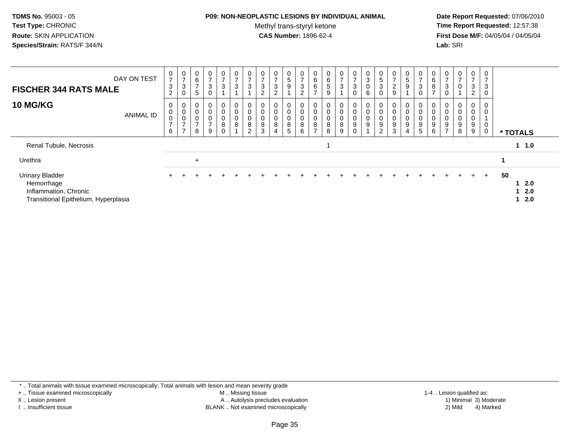#### **P09: NON-NEOPLASTIC LESIONS BY INDIVIDUAL ANIMAL**

Methyl trans-styryl ketone<br>CAS Number: 1896-62-4

 **Date Report Requested:** 07/06/2010 **Time Report Requested:** 12:57:38 **First Dose M/F:** 04/05/04 / 04/05/04<br>**Lab:** SRI **Lab:** SRI

| DAY ON TEST<br><b>FISCHER 344 RATS MALE</b>                                                           | $\frac{0}{7}$<br>3<br>$\overline{c}$ | $\frac{0}{7}$<br>$\sqrt{3}$<br>$\pmb{0}$          | 0<br>6<br>$\rightarrow$<br>5                | $\mathbf 0$<br>$\overline{ }$<br>$\sqrt{3}$<br>$\boldsymbol{0}$ | $\frac{0}{7}$<br>3    | $\mathbf 0$<br>$\overline{7}$<br>$\mathbf{3}$ | $\mathbf{0}$<br>$\overline{ }$<br>$\mathbf{3}$ | $\frac{0}{7}$<br>3<br>$\overline{c}$ | 0<br>-<br>$\sqrt{3}$<br>C | 0<br>5<br>9 | $\frac{0}{7}$<br>$\sqrt{3}$<br>$\overline{2}$              | $\begin{array}{c} 0 \\ 6 \end{array}$<br>$\,6$<br>$\rightarrow$ | 0<br>$\,6\,$<br>5<br>9                           | $\mathbf{0}$<br>$\overline{ }$<br>3 | $\frac{0}{7}$<br>$\ensuremath{\mathsf{3}}$ | $\frac{0}{3}$<br>$\pmb{0}$<br>6         | $\mathbf 0$<br>$\,$ 5 $\,$<br>3 | 0<br>$\overline{ }$<br>$\boldsymbol{2}$<br>$\boldsymbol{9}$          | $\begin{array}{c} 0 \\ 5 \end{array}$<br>9 | 0<br>7<br>$\mathbf 3$<br>$\mathbf 0$               | 0<br>6<br>8 | $\frac{0}{7}$<br>3                              | 0<br>$\rightarrow$<br>0               | 0<br>$\overline{ }$<br>3<br>$\overline{2}$ | 0<br>$\overline{ }$<br>$\mathbf{3}$<br>0 |                         |
|-------------------------------------------------------------------------------------------------------|--------------------------------------|---------------------------------------------------|---------------------------------------------|-----------------------------------------------------------------|-----------------------|-----------------------------------------------|------------------------------------------------|--------------------------------------|---------------------------|-------------|------------------------------------------------------------|-----------------------------------------------------------------|--------------------------------------------------|-------------------------------------|--------------------------------------------|-----------------------------------------|---------------------------------|----------------------------------------------------------------------|--------------------------------------------|----------------------------------------------------|-------------|-------------------------------------------------|---------------------------------------|--------------------------------------------|------------------------------------------|-------------------------|
| <b>10 MG/KG</b><br><b>ANIMAL ID</b>                                                                   | 0<br>$\pmb{0}$<br>$\frac{0}{7}$<br>6 | 0<br>$\pmb{0}$<br>$\frac{0}{7}$<br>$\overline{ }$ | 0<br>$\mathbf 0$<br>0<br>$\rightarrow$<br>8 | $\boldsymbol{0}$<br>$\pmb{0}$<br>$\frac{0}{7}$<br>$9\,$         | 0<br>0<br>0<br>8<br>0 | 0<br>$\pmb{0}$<br>$\pmb{0}$<br>8              | $\mathbf 0$<br>0<br>8<br>$\overline{2}$        | $\mathbf 0$<br>0<br>8<br>3           | 0<br>8<br>4               | 0<br>8<br>5 | $\mathbf 0$<br>$\pmb{0}$<br>$\pmb{0}$<br>$\, 8$<br>$\,6\,$ | 0<br>0<br>$\pmb{0}$<br>$\frac{8}{7}$                            | 0<br>$\pmb{0}$<br>$\pmb{0}$<br>$\bf 8$<br>$\bf8$ | 0<br>0<br>8<br>9                    | 0<br>0<br>9<br>$\mathbf 0$                 | 0<br>$\pmb{0}$<br>0<br>$\boldsymbol{9}$ | 9<br>$\overline{2}$             | 0<br>$\boldsymbol{0}$<br>$\pmb{0}$<br>$\boldsymbol{9}$<br>$\sqrt{3}$ | 0<br>0<br>$\pmb{0}$<br>9<br>$\overline{4}$ | 0<br>$\mathbf 0$<br>$\mathbf 0$<br>9<br>$\sqrt{5}$ | 0<br>9<br>6 | $\pmb{0}$<br>$\boldsymbol{9}$<br>$\overline{7}$ | 0<br>$\pmb{0}$<br>$\pmb{0}$<br>9<br>8 | 0<br>0<br>0<br>9<br>9                      | 0<br>$\mathbf 0$<br>0<br>0               | * TOTALS                |
| Renal Tubule, Necrosis                                                                                |                                      |                                                   |                                             |                                                                 |                       |                                               |                                                |                                      |                           |             |                                                            |                                                                 |                                                  |                                     |                                            |                                         |                                 |                                                                      |                                            |                                                    |             |                                                 |                                       |                                            |                                          | $1 \t1.0$               |
| Urethra                                                                                               |                                      |                                                   | $+$                                         |                                                                 |                       |                                               |                                                |                                      |                           |             |                                                            |                                                                 |                                                  |                                     |                                            |                                         |                                 |                                                                      |                                            |                                                    |             |                                                 |                                       |                                            |                                          |                         |
| <b>Urinary Bladder</b><br>Hemorrhage<br>Inflammation, Chronic<br>Transitional Epithelium, Hyperplasia |                                      |                                                   |                                             |                                                                 |                       |                                               |                                                |                                      |                           |             |                                                            |                                                                 |                                                  |                                     |                                            |                                         |                                 |                                                                      |                                            |                                                    |             |                                                 | $+$                                   | $\pm$                                      | $+$                                      | 50<br>2.0<br>2.0<br>2.0 |

\* .. Total animals with tissue examined microscopically; Total animals with lesion and mean severity grade

+ .. Tissue examined microscopically

X .. Lesion present

I .. Insufficient tissue

 M .. Missing tissueA .. Autolysis precludes evaluation

BLANK .. Not examined microscopically 2) Mild 4) Marked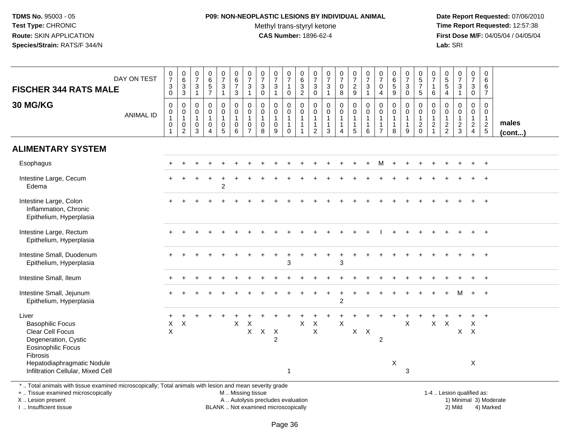## **P09: NON-NEOPLASTIC LESIONS BY INDIVIDUAL ANIMAL**

Methyl trans-styryl ketone<br>CAS Number: 1896-62-4

 **Date Report Requested:** 07/06/2010 **Time Report Requested:** 12:57:38 **First Dose M/F:** 04/05/04 / 04/05/04<br>**Lab:** SRI **Lab:** SRI

| <b>30 MG/KG</b>                                                                                                       | $\mathbf 0$                                   |                                                                                    | $\mathbf{1}$                                           | $\sqrt{5}$<br>$\overline{7}$                                                | $\mathbf{3}$<br>$\mathbf{1}$                                      | $\overline{7}$<br>$\mathbf{3}$             | $\frac{0}{7}$<br>$\mathfrak{Z}$<br>$\mathbf{1}$         | $\frac{0}{7}$<br>$\sqrt{3}$<br>$\mathbf 0$           | $\frac{0}{7}$<br>$\mathbf 3$<br>$\overline{1}$                 | $\frac{0}{7}$<br>$\mathbf{1}$<br>0                                      | 6<br>$\sqrt{3}$<br>$\overline{2}$                                            | $\frac{0}{7}$<br>$\sqrt{3}$<br>$\mathbf 0$                                   | $\frac{0}{7}$<br>$\ensuremath{\mathsf{3}}$<br>$\overline{1}$  | $\frac{0}{7}$<br>$\pmb{0}$<br>$\overline{8}$        | $\begin{smallmatrix}0\\7\end{smallmatrix}$<br>$\frac{2}{9}$                     | $\frac{0}{7}$<br>$\frac{3}{1}$                                                    | $\frac{0}{7}$<br>$\mathbf 0$<br>$\overline{4}$                               | $\begin{array}{c} 0 \\ 6 \end{array}$<br>$\sqrt{5}$<br>9          | $\frac{0}{7}$<br>$\sqrt{3}$<br>$\Omega$     | $\begin{array}{c} 0 \\ 5 \\ 7 \end{array}$<br>$5\phantom{.0}$               | $\frac{0}{7}$<br>$\mathbf{1}$<br>6                                               | $\begin{array}{c} 0 \\ 5 \\ 5 \end{array}$<br>$\overline{4}$  | $\frac{0}{7}$<br>$\sqrt{3}$<br>$\overline{1}$             | $\begin{smallmatrix}0\\7\end{smallmatrix}$<br>$\mathbf{3}$<br>$\mathbf 0$         | $\,6\,$<br>6<br>$\overline{7}$                                                 |                 |
|-----------------------------------------------------------------------------------------------------------------------|-----------------------------------------------|------------------------------------------------------------------------------------|--------------------------------------------------------|-----------------------------------------------------------------------------|-------------------------------------------------------------------|--------------------------------------------|---------------------------------------------------------|------------------------------------------------------|----------------------------------------------------------------|-------------------------------------------------------------------------|------------------------------------------------------------------------------|------------------------------------------------------------------------------|---------------------------------------------------------------|-----------------------------------------------------|---------------------------------------------------------------------------------|-----------------------------------------------------------------------------------|------------------------------------------------------------------------------|-------------------------------------------------------------------|---------------------------------------------|-----------------------------------------------------------------------------|----------------------------------------------------------------------------------|---------------------------------------------------------------|-----------------------------------------------------------|-----------------------------------------------------------------------------------|--------------------------------------------------------------------------------|-----------------|
| <b>ANIMAL ID</b>                                                                                                      | $\mathbf 0$<br>1<br>$\pmb{0}$<br>$\mathbf{1}$ | $\mathbf 0$<br>$\overline{0}$<br>1<br>$\begin{smallmatrix} 0\\2 \end{smallmatrix}$ | $\mathbf 0$<br>$\mathbf 0$<br>$\overline{1}$<br>0<br>3 | $\mathbf 0$<br>$\mathbf 0$<br>$\mathbf{1}$<br>$\mathbf 0$<br>$\overline{4}$ | 0<br>$\mathbf 0$<br>$\mathbf{1}$<br>$\mathbf 0$<br>$\overline{5}$ | 0<br>$\mathbf 0$<br>$\mathbf{1}$<br>0<br>6 | $\pmb{0}$<br>$\pmb{0}$<br>$\mathbf{1}$<br>$\frac{0}{7}$ | $\mathbf 0$<br>$\mathbf 0$<br>$\mathbf{1}$<br>0<br>8 | $\mathbf 0$<br>$\mathbf 0$<br>$\mathbf{1}$<br>$\mathbf 0$<br>9 | 0<br>$\mathsf{O}\xspace$<br>$\mathbf{1}$<br>$\mathbf{1}$<br>$\mathbf 0$ | $\mathbf 0$<br>$\mathbf 0$<br>$\mathbf{1}$<br>$\mathbf{1}$<br>$\overline{1}$ | $\mathbf 0$<br>$\mathbf 0$<br>$\mathbf{1}$<br>$\mathbf{1}$<br>$\overline{2}$ | $\mathbf 0$<br>$\pmb{0}$<br>$\mathbf{1}$<br>$\mathbf{1}$<br>3 | 0<br>$\pmb{0}$<br>$\mathbf{1}$<br>$\mathbf{1}$<br>4 | $\mathbf 0$<br>$\overline{0}$<br>$\mathbf{1}$<br>$\mathbf{1}$<br>$\overline{5}$ | $\mathbf 0$<br>$\mathbf 0$<br>$\overline{1}$<br>$\overline{1}$<br>$6\phantom{1}6$ | $\mathbf 0$<br>$\mathbf 0$<br>$\mathbf{1}$<br>$\mathbf{1}$<br>$\overline{7}$ | $\mathbf 0$<br>$\mathbf 0$<br>$\overline{1}$<br>$\mathbf{1}$<br>8 | 0<br>0<br>$\mathbf{1}$<br>$\mathbf{1}$<br>9 | $\mathbf 0$<br>$\mathbf 0$<br>$\mathbf{1}$<br>$\overline{2}$<br>$\mathbf 0$ | $\mathbf 0$<br>$\mathsf{O}\xspace$<br>$\mathbf{1}$<br>$\sqrt{2}$<br>$\mathbf{1}$ | $\mathbf 0$<br>$\mathbf 0$<br>$\overline{1}$<br>$\frac{2}{2}$ | $\mathbf 0$<br>$\pmb{0}$<br>$\mathbf{1}$<br>$\frac{2}{3}$ | $\mathbf 0$<br>$\overline{0}$<br>$\mathbf{1}$<br>$\overline{2}$<br>$\overline{4}$ | $\mathbf 0$<br>$\mathbf 0$<br>$\mathbf{1}$<br>$\overline{2}$<br>$\overline{5}$ | males<br>(cont) |
| <b>ALIMENTARY SYSTEM</b>                                                                                              |                                               |                                                                                    |                                                        |                                                                             |                                                                   |                                            |                                                         |                                                      |                                                                |                                                                         |                                                                              |                                                                              |                                                               |                                                     |                                                                                 |                                                                                   |                                                                              |                                                                   |                                             |                                                                             |                                                                                  |                                                               |                                                           |                                                                                   |                                                                                |                 |
| Esophagus                                                                                                             |                                               |                                                                                    |                                                        |                                                                             |                                                                   |                                            |                                                         |                                                      |                                                                |                                                                         |                                                                              |                                                                              |                                                               |                                                     |                                                                                 |                                                                                   | м                                                                            |                                                                   |                                             |                                                                             |                                                                                  |                                                               |                                                           |                                                                                   | $+$                                                                            |                 |
| Intestine Large, Cecum<br>Edema                                                                                       |                                               |                                                                                    |                                                        |                                                                             | $\overline{2}$                                                    |                                            |                                                         |                                                      |                                                                |                                                                         |                                                                              |                                                                              |                                                               |                                                     |                                                                                 |                                                                                   |                                                                              |                                                                   |                                             |                                                                             |                                                                                  |                                                               |                                                           |                                                                                   |                                                                                |                 |
| Intestine Large, Colon<br>Inflammation, Chronic<br>Epithelium, Hyperplasia                                            |                                               |                                                                                    |                                                        |                                                                             |                                                                   |                                            |                                                         |                                                      |                                                                |                                                                         |                                                                              |                                                                              |                                                               |                                                     |                                                                                 |                                                                                   |                                                                              |                                                                   |                                             |                                                                             |                                                                                  |                                                               |                                                           |                                                                                   |                                                                                |                 |
| Intestine Large, Rectum<br>Epithelium, Hyperplasia                                                                    |                                               |                                                                                    |                                                        |                                                                             |                                                                   |                                            |                                                         |                                                      |                                                                |                                                                         |                                                                              |                                                                              |                                                               |                                                     |                                                                                 |                                                                                   |                                                                              |                                                                   |                                             |                                                                             |                                                                                  |                                                               |                                                           |                                                                                   |                                                                                |                 |
| Intestine Small, Duodenum<br>Epithelium, Hyperplasia                                                                  |                                               |                                                                                    |                                                        |                                                                             |                                                                   |                                            |                                                         |                                                      |                                                                | 3                                                                       |                                                                              |                                                                              |                                                               | 3                                                   |                                                                                 |                                                                                   |                                                                              |                                                                   |                                             |                                                                             |                                                                                  |                                                               |                                                           |                                                                                   |                                                                                |                 |
| Intestine Small, Ileum                                                                                                |                                               |                                                                                    |                                                        |                                                                             |                                                                   |                                            |                                                         |                                                      |                                                                |                                                                         |                                                                              |                                                                              |                                                               |                                                     |                                                                                 |                                                                                   |                                                                              |                                                                   |                                             |                                                                             |                                                                                  |                                                               |                                                           |                                                                                   |                                                                                |                 |
| Intestine Small, Jejunum<br>Epithelium, Hyperplasia                                                                   |                                               |                                                                                    |                                                        |                                                                             |                                                                   |                                            |                                                         |                                                      |                                                                |                                                                         |                                                                              |                                                                              |                                                               | $\overline{c}$                                      |                                                                                 |                                                                                   |                                                                              |                                                                   |                                             |                                                                             |                                                                                  |                                                               |                                                           | $+$                                                                               | $+$                                                                            |                 |
| Liver<br><b>Basophilic Focus</b><br>Clear Cell Focus<br>Degeneration, Cystic<br><b>Eosinophilic Focus</b><br>Fibrosis | X<br>$\mathsf X$                              | $\boldsymbol{\mathsf{X}}$                                                          |                                                        |                                                                             |                                                                   | $\boldsymbol{\mathsf{X}}$                  | $\times$<br>X                                           | $X$ $X$                                              | $\overline{2}$                                                 |                                                                         | X                                                                            | $\boldsymbol{\mathsf{X}}$<br>$\mathsf X$                                     |                                                               | $\boldsymbol{\mathsf{X}}$                           |                                                                                 | $X$ $X$                                                                           | $\overline{c}$                                                               |                                                                   | $\pmb{\times}$                              |                                                                             | $\mathsf{X}$                                                                     | $\mathsf X$                                                   | $\mathsf{X}^-$                                            | X<br>$\times$                                                                     | $\div$                                                                         |                 |
| Hepatodiaphragmatic Nodule<br>Infiltration Cellular, Mixed Cell                                                       |                                               |                                                                                    |                                                        |                                                                             |                                                                   |                                            |                                                         |                                                      |                                                                | $\mathbf 1$                                                             |                                                                              |                                                                              |                                                               |                                                     |                                                                                 |                                                                                   |                                                                              | X                                                                 | 3                                           |                                                                             |                                                                                  |                                                               |                                                           | X                                                                                 |                                                                                |                 |

+ .. Tissue examined microscopically

X .. Lesion present

I .. Insufficient tissue

M .. Missing tissue

BLANK .. Not examined microscopically

1-4 .. Lesion qualified as:<br>1) Minimal 3) Moderate A .. Autolysis precludes evaluation 19 and 10 minimal 3) Moderate 1 and 20 minimal 3) Moderate 19 minimal 3) Moderat<br>19 and 19 and 19 and 19 and 19 and 19 and 19 and 19 and 19 and 19 and 19 and 19 and 19 and 19 and 19 and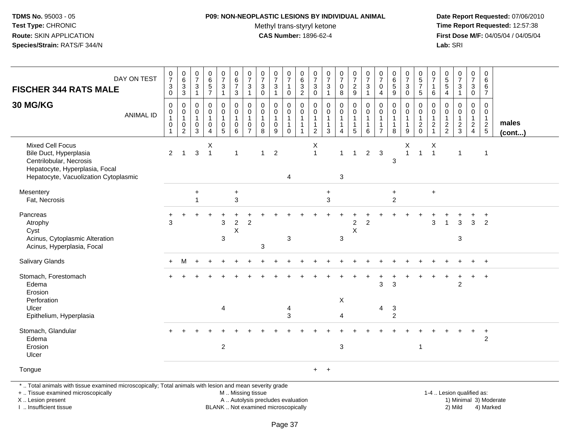### **P09: NON-NEOPLASTIC LESIONS BY INDIVIDUAL ANIMAL**

Methyl trans-styryl ketone<br>CAS Number: 1896-62-4

 **Date Report Requested:** 07/06/2010 **Time Report Requested:** 12:57:38 **First Dose M/F:** 04/05/04 / 04/05/04<br>**Lab:** SRI **Lab:** SRI

| DAY ON TEST<br><b>FISCHER 344 RATS MALE</b>                                                                                                             | $\frac{0}{7}$<br>$\ensuremath{\mathsf{3}}$<br>$\mathbf 0$         | $_{6}^{\rm 0}$<br>$\frac{3}{3}$                               | $\begin{array}{c} 0 \\ 7 \end{array}$<br>$\mathsf 3$<br>$\overline{1}$      | 0657                                                | $\frac{0}{7}$<br>$\mathbf{3}$<br>$\overline{1}$                              | $\begin{array}{c} 0 \\ 6 \end{array}$<br>$\overline{7}$<br>$\mathbf{3}$ | $\begin{array}{c} 0 \\ 7 \end{array}$<br>3<br>$\mathbf 1$                   | $\frac{0}{7}$<br>$\sqrt{3}$<br>$\Omega$                 | $\frac{0}{7}$<br>$\sqrt{3}$                                | $\begin{smallmatrix} 0\\7 \end{smallmatrix}$<br>$\mathbf{1}$<br>$\mathbf 0$         | $\begin{array}{c} 0 \\ 6 \end{array}$<br>$\ensuremath{\mathsf{3}}$<br>$\overline{2}$ | $\begin{array}{c} 0 \\ 7 \end{array}$<br>$\mathbf{3}$<br>$\mathbf 0$                 | $\frac{0}{7}$<br>$\ensuremath{\mathsf{3}}$<br>$\mathbf{1}$                         | $\frac{0}{7}$<br>$\pmb{0}$<br>$\overline{8}$                         | $\frac{0}{7}$<br>$\frac{2}{9}$                                | $\begin{array}{c} 0 \\ 7 \end{array}$<br>$\sqrt{3}$<br>$\overline{1}$              | $\begin{array}{c} 0 \\ 7 \end{array}$<br>$\mathbf 0$<br>$\overline{4}$     | $\begin{array}{c} 0 \\ 6 \end{array}$<br>$\sqrt{5}$<br>$9\,$ | $\frac{0}{7}$<br>$\mathbf{3}$<br>$\mathbf 0$        | $\begin{array}{c} 0 \\ 5 \\ 7 \end{array}$<br>$5\phantom{.0}$ | $\begin{array}{c} 0 \\ 7 \end{array}$<br>$\mathbf{1}$<br>$\,6\,$      | $\begin{array}{c} 0 \\ 5 \\ 5 \end{array}$<br>$\overline{4}$ | $\begin{array}{c} 0 \\ 7 \end{array}$<br>$\sqrt{3}$<br>$\overline{1}$ | $\frac{0}{7}$<br>3<br>$\mathbf 0$                 | $\pmb{0}$<br>6<br>6<br>$\overline{7}$                               |                 |
|---------------------------------------------------------------------------------------------------------------------------------------------------------|-------------------------------------------------------------------|---------------------------------------------------------------|-----------------------------------------------------------------------------|-----------------------------------------------------|------------------------------------------------------------------------------|-------------------------------------------------------------------------|-----------------------------------------------------------------------------|---------------------------------------------------------|------------------------------------------------------------|-------------------------------------------------------------------------------------|--------------------------------------------------------------------------------------|--------------------------------------------------------------------------------------|------------------------------------------------------------------------------------|----------------------------------------------------------------------|---------------------------------------------------------------|------------------------------------------------------------------------------------|----------------------------------------------------------------------------|--------------------------------------------------------------|-----------------------------------------------------|---------------------------------------------------------------|-----------------------------------------------------------------------|--------------------------------------------------------------|-----------------------------------------------------------------------|---------------------------------------------------|---------------------------------------------------------------------|-----------------|
| 30 MG/KG<br><b>ANIMAL ID</b>                                                                                                                            | $\boldsymbol{0}$<br>$\pmb{0}$<br>$\mathbf{1}$<br>$\mathbf 0$<br>1 | 0<br>$\pmb{0}$<br>$\mathbf{1}$<br>$\pmb{0}$<br>$\overline{c}$ | $\mathbf 0$<br>$\mathbf 0$<br>$\overline{1}$<br>$\pmb{0}$<br>$\overline{3}$ | $\mathsf 0$<br>$\overline{0}$<br>1<br>$\frac{0}{4}$ | 0<br>$\mathsf{O}\xspace$<br>$\mathbf{1}$<br>$\begin{matrix}0\\5\end{matrix}$ | $\pmb{0}$<br>$\overline{0}$<br>1<br>$\pmb{0}$<br>6                      | $\mathbf 0$<br>$\mathbf 0$<br>$\mathbf{1}$<br>$\mathbf 0$<br>$\overline{7}$ | $\Omega$<br>$\pmb{0}$<br>$\mathbf{1}$<br>$\pmb{0}$<br>8 | $\mathbf 0$<br>$\pmb{0}$<br>$\mathbf{1}$<br>$\pmb{0}$<br>9 | $\mathbf 0$<br>$\mathsf{O}\xspace$<br>$\overline{1}$<br>$\mathbf{1}$<br>$\mathbf 0$ | $\pmb{0}$<br>$\mathbf 0$<br>$\overline{1}$<br>$\mathbf{1}$<br>$\overline{1}$         | $\mathbf 0$<br>$\mathsf{O}\xspace$<br>$\mathbf{1}$<br>$\mathbf{1}$<br>$\overline{c}$ | $\mathbf 0$<br>$\ddot{\mathbf{0}}$<br>$\mathbf{1}$<br>$\mathbf{1}$<br>$\mathbf{3}$ | $\mathsf 0$<br>$\overline{0}$<br>1<br>$\mathbf{1}$<br>$\overline{4}$ | 0<br>$\ddot{\mathbf{0}}$<br>$\mathbf{1}$<br>$\mathbf{1}$<br>5 | $\pmb{0}$<br>$\overline{0}$<br>$\overline{1}$<br>$\overline{1}$<br>$6\phantom{1}6$ | $\mathbf 0$<br>$\pmb{0}$<br>$\mathbf{1}$<br>$\mathbf{1}$<br>$\overline{7}$ | $\pmb{0}$<br>$\pmb{0}$<br>$\mathbf{1}$<br>$\mathbf{1}$<br>8  | 0<br>$\pmb{0}$<br>$\mathbf{1}$<br>$\mathbf{1}$<br>9 | $\pmb{0}$<br>$\overline{0}$<br>1<br>$\frac{2}{0}$             | $\mathbf 0$<br>$\ddot{\mathbf{0}}$<br>$\overline{1}$<br>$\frac{2}{1}$ | $\Omega$<br>$\mathbf{0}$<br>$\overline{1}$<br>$\frac{2}{2}$  | $\mathbf 0$<br>$\mathbf 0$<br>$\mathbf{1}$<br>$\frac{2}{3}$           | $\mathbf 0$<br>0<br>$\mathbf{1}$<br>$\frac{2}{4}$ | $\mathbf 0$<br>$\mathsf{O}\xspace$<br>$\mathbf{1}$<br>$\frac{2}{5}$ | males<br>(cont) |
| <b>Mixed Cell Focus</b><br>Bile Duct, Hyperplasia<br>Centrilobular, Necrosis<br>Hepatocyte, Hyperplasia, Focal<br>Hepatocyte, Vacuolization Cytoplasmic | $\overline{2}$                                                    | $\blacktriangleleft$                                          | $\mathfrak{S}$                                                              | Х<br>$\overline{1}$                                 |                                                                              | $\mathbf{1}$                                                            |                                                                             | $\mathbf{1}$                                            | $\overline{2}$                                             | 4                                                                                   |                                                                                      | X<br>$\mathbf{1}$                                                                    |                                                                                    | $\mathbf{1}$<br>$\mathbf{3}$                                         | $\mathbf{1}$                                                  | $2^{\circ}$                                                                        | $\mathbf{3}$                                                               | 3                                                            | Χ<br>$\overline{1}$                                 | $\mathbf{1}$                                                  | X<br>$\overline{1}$                                                   |                                                              | $\mathbf{1}$                                                          |                                                   | $\mathbf{1}$                                                        |                 |
| Mesentery<br>Fat, Necrosis                                                                                                                              |                                                                   |                                                               | $\ddot{}$<br>1                                                              |                                                     |                                                                              | $\ddot{}$<br>$\mathbf{3}$                                               |                                                                             |                                                         |                                                            |                                                                                     |                                                                                      |                                                                                      | $\ddot{}$<br>$\mathbf{3}$                                                          |                                                                      |                                                               |                                                                                    |                                                                            | $\ddot{}$<br>$\overline{c}$                                  |                                                     |                                                               | $\ddot{}$                                                             |                                                              |                                                                       |                                                   |                                                                     |                 |
| Pancreas<br>Atrophy<br>Cyst<br>Acinus, Cytoplasmic Alteration<br>Acinus, Hyperplasia, Focal                                                             | 3                                                                 |                                                               |                                                                             |                                                     | 3<br>3                                                                       | $\overline{\mathbf{c}}$<br>$\sf X$                                      | $\overline{c}$                                                              | $\mathbf{3}$                                            |                                                            | $\sqrt{3}$                                                                          |                                                                                      |                                                                                      |                                                                                    | $\mathbf{3}$                                                         | $\overline{\mathbf{c}}$<br>$\sf X$                            | $\overline{2}$                                                                     |                                                                            |                                                              |                                                     |                                                               | 3                                                                     | $\overline{\mathbf{1}}$                                      | 3<br>3                                                                | $\mathbf{3}$                                      | +<br>$\overline{2}$                                                 |                 |
| <b>Salivary Glands</b>                                                                                                                                  |                                                                   | м                                                             |                                                                             |                                                     |                                                                              |                                                                         |                                                                             |                                                         |                                                            |                                                                                     |                                                                                      |                                                                                      |                                                                                    |                                                                      |                                                               |                                                                                    |                                                                            |                                                              |                                                     |                                                               |                                                                       |                                                              |                                                                       |                                                   | $\ddot{}$                                                           |                 |
| Stomach, Forestomach<br>Edema<br>Erosion<br>Perforation<br>Ulcer                                                                                        |                                                                   |                                                               |                                                                             |                                                     | 4                                                                            |                                                                         |                                                                             |                                                         |                                                            | 4                                                                                   |                                                                                      |                                                                                      |                                                                                    | X                                                                    |                                                               |                                                                                    | 3<br>4                                                                     | 3<br>3                                                       |                                                     |                                                               |                                                                       |                                                              | $\overline{2}$                                                        |                                                   | $\ddot{}$                                                           |                 |
| Epithelium, Hyperplasia                                                                                                                                 |                                                                   |                                                               |                                                                             |                                                     |                                                                              |                                                                         |                                                                             |                                                         |                                                            | 3                                                                                   |                                                                                      |                                                                                      |                                                                                    | $\overline{4}$                                                       |                                                               |                                                                                    |                                                                            | $\overline{2}$                                               |                                                     |                                                               |                                                                       |                                                              |                                                                       |                                                   |                                                                     |                 |
| Stomach, Glandular<br>Edema<br>Erosion<br>Ulcer                                                                                                         |                                                                   |                                                               |                                                                             |                                                     | $\overline{c}$                                                               |                                                                         |                                                                             |                                                         |                                                            |                                                                                     |                                                                                      |                                                                                      |                                                                                    | $\ensuremath{\mathsf{3}}$                                            |                                                               |                                                                                    |                                                                            |                                                              |                                                     | $\mathbf{1}$                                                  |                                                                       |                                                              |                                                                       |                                                   | $\ddot{}$<br>$\overline{c}$                                         |                 |
| Tongue<br>* Total animals with tissue examined microscopically: Total animals with lesion and mean severity grade                                       |                                                                   |                                                               |                                                                             |                                                     |                                                                              |                                                                         |                                                                             |                                                         |                                                            |                                                                                     |                                                                                      | $+$                                                                                  | $+$                                                                                |                                                                      |                                                               |                                                                                    |                                                                            |                                                              |                                                     |                                                               |                                                                       |                                                              |                                                                       |                                                   |                                                                     |                 |

. Total animals with tissue examined microscopically; Total animals with lesion and mean severity grade

+ .. Tissue examined microscopically

X .. Lesion present

I .. Insufficient tissue

M .. Missing tissue

A .. Autolysis precludes evaluation 1) Minimal 3 ... Autolysis precludes evaluation 1, and 30 ... (1) Minimal 3<br>1) Minimal 30 ... Autor microscopically 1990 ... (1) Minimal 30 ... (1) Minimal 30 ... (1) Minimal 30 ... (1)

BLANK .. Not examined microscopically 2) Mild 4) Marked

1-4 .. Lesion qualified as:<br>1) Minimal 3) Moderate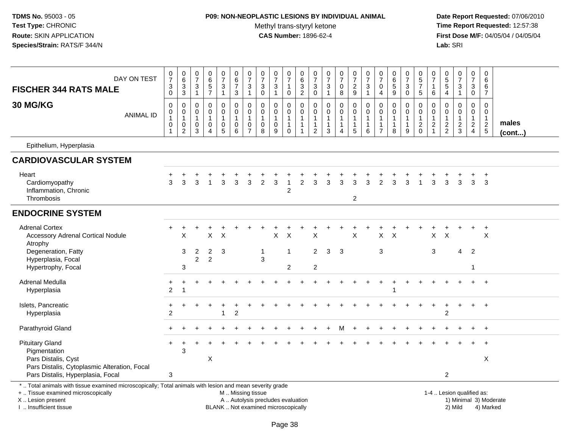#### **P09: NON-NEOPLASTIC LESIONS BY INDIVIDUAL ANIMAL**

Methyl trans-styryl ketone<br>CAS Number: 1896-62-4

| DAY ON TEST<br><b>FISCHER 344 RATS MALE</b>                                                                                                                                                   | $\begin{array}{c} 0 \\ 7 \\ 3 \end{array}$<br>$\mathbf 0$             | $_{6}^{\rm 0}$<br>3<br>$\overline{3}$         | $\begin{array}{c} 0 \\ 7 \end{array}$<br>$\sqrt{3}$<br>$\mathbf{1}$ | $\begin{array}{c} 0 \\ 6 \\ 5 \end{array}$<br>$\overline{7}$            | $\frac{0}{7}$<br>$\mathbf{3}$<br>$\overline{1}$                 | $\pmb{0}$<br>$6\phantom{a}$<br>$\overline{7}$<br>$\sqrt{3}$            | $\frac{0}{7}$<br>3<br>1                                           | $\frac{0}{7}$<br>$\sqrt{3}$<br>$\mathbf 0$                                | $\frac{0}{7}$<br>3<br>$\mathbf{1}$                                       | $\frac{0}{7}$<br>$\mathbf{1}$<br>$\mathsf{O}$                 | $\pmb{0}$<br>$\begin{array}{c} 6 \\ 3 \\ 2 \end{array}$                  | 0<br>$\overline{7}$<br>3<br>$\mathsf 0$                                          | $\frac{0}{7}$<br>$\mathbf{3}$<br>$\mathbf{1}$                           | $\frac{0}{7}$<br>0<br>8                    | $\frac{0}{7}$<br>$\boldsymbol{2}$<br>$\boldsymbol{9}$                        | $\frac{0}{7}$<br>$\ensuremath{\mathsf{3}}$<br>$\mathbf{1}$    | $\begin{array}{c} 0 \\ 7 \end{array}$<br>$\mathbf 0$<br>4            | $\begin{array}{c} 0 \\ 6 \end{array}$<br>$\overline{5}$<br>$\boldsymbol{9}$ | 0<br>$\overline{7}$<br>3<br>$\pmb{0}$                 | $\pmb{0}$<br>$\overline{5}$<br>$\overline{7}$<br>$\overline{5}$           | 0<br>$\overline{7}$<br>1<br>$\,6$                                          | $\begin{array}{c} 0 \\ 5 \end{array}$<br>5<br>$\overline{4}$ | $\frac{0}{7}$<br>$\mathbf{3}$<br>$\mathbf{1}$               | $\pmb{0}$<br>$\overline{7}$<br>3<br>$\overline{0}$                             | $\mathbf 0$<br>$\,6\,$<br>6<br>$\overline{7}$               |                       |
|-----------------------------------------------------------------------------------------------------------------------------------------------------------------------------------------------|-----------------------------------------------------------------------|-----------------------------------------------|---------------------------------------------------------------------|-------------------------------------------------------------------------|-----------------------------------------------------------------|------------------------------------------------------------------------|-------------------------------------------------------------------|---------------------------------------------------------------------------|--------------------------------------------------------------------------|---------------------------------------------------------------|--------------------------------------------------------------------------|----------------------------------------------------------------------------------|-------------------------------------------------------------------------|--------------------------------------------|------------------------------------------------------------------------------|---------------------------------------------------------------|----------------------------------------------------------------------|-----------------------------------------------------------------------------|-------------------------------------------------------|---------------------------------------------------------------------------|----------------------------------------------------------------------------|--------------------------------------------------------------|-------------------------------------------------------------|--------------------------------------------------------------------------------|-------------------------------------------------------------|-----------------------|
| 30 MG/KG<br><b>ANIMAL ID</b>                                                                                                                                                                  | $\pmb{0}$<br>$\pmb{0}$<br>$\mathbf{1}$<br>$\pmb{0}$<br>$\overline{1}$ | 0<br>0<br>$\mathbf{1}$<br>0<br>$\overline{2}$ | $\mathbf 0$<br>$\mathbf 0$<br>$\mathbf{1}$<br>0<br>$\overline{3}$   | $\pmb{0}$<br>$\pmb{0}$<br>$\mathbf{1}$<br>$\mathbf 0$<br>$\overline{4}$ | 0<br>$\pmb{0}$<br>$\overline{1}$<br>$\pmb{0}$<br>$\overline{5}$ | $\mathbf 0$<br>$\mathsf{O}\xspace$<br>$\overline{1}$<br>$\pmb{0}$<br>6 | $\mathbf 0$<br>$\mathbf 0$<br>$\mathbf{1}$<br>0<br>$\overline{7}$ | $\mathbf 0$<br>$\mathbf 0$<br>$\mathbf{1}$<br>$\pmb{0}$<br>$\overline{8}$ | 0<br>$\mathbf 0$<br>$\mathbf{1}$<br>0<br>$\overline{9}$                  | 0<br>0<br>$\mathbf{1}$<br>$\mathbf{1}$<br>$\mathsf{O}\xspace$ | $\mathbf 0$<br>$\pmb{0}$<br>$\mathbf{1}$<br>$\mathbf{1}$<br>$\mathbf{1}$ | $\mathbf 0$<br>$\mathbf 0$<br>$\overline{1}$<br>$\overline{1}$<br>$\overline{2}$ | $\mathbf 0$<br>$\Omega$<br>$\mathbf{1}$<br>$\mathbf{1}$<br>$\mathbf{3}$ | 0<br>$\mathbf 0$<br>1<br>$\mathbf{1}$<br>4 | $\mathbf 0$<br>$\mathbf 0$<br>$\mathbf{1}$<br>$\mathbf{1}$<br>$\overline{5}$ | $\mathbf 0$<br>$\pmb{0}$<br>$\mathbf{1}$<br>$\mathbf{1}$<br>6 | $\mathbf 0$<br>0<br>$\overline{1}$<br>$\mathbf{1}$<br>$\overline{7}$ | $\mathbf 0$<br>$\mathbf 0$<br>$\overline{1}$<br>$\mathbf{1}$<br>8           | 0<br>$\mathbf 0$<br>$\mathbf{1}$<br>$\mathbf{1}$<br>9 | $\mathbf 0$<br>$\mathbf 0$<br>$\overline{1}$<br>$\sqrt{2}$<br>$\mathbf 0$ | $\mathbf 0$<br>$\mathbf 0$<br>$\mathbf{1}$<br>$\mathbf{2}$<br>$\mathbf{1}$ | 0<br>$\mathbf 0$<br>$\mathbf{1}$<br>$\frac{2}{2}$            | $\mathbf 0$<br>$\mathbf 0$<br>$\mathbf{1}$<br>$\frac{2}{3}$ | $\mathbf 0$<br>$\mathbf 0$<br>$\mathbf{1}$<br>$\overline{a}$<br>$\overline{4}$ | $\mathbf 0$<br>$\mathbf 0$<br>$\mathbf{1}$<br>$\frac{2}{5}$ | males<br>$($ cont $)$ |
| Epithelium, Hyperplasia                                                                                                                                                                       |                                                                       |                                               |                                                                     |                                                                         |                                                                 |                                                                        |                                                                   |                                                                           |                                                                          |                                                               |                                                                          |                                                                                  |                                                                         |                                            |                                                                              |                                                               |                                                                      |                                                                             |                                                       |                                                                           |                                                                            |                                                              |                                                             |                                                                                |                                                             |                       |
| <b>CARDIOVASCULAR SYSTEM</b>                                                                                                                                                                  |                                                                       |                                               |                                                                     |                                                                         |                                                                 |                                                                        |                                                                   |                                                                           |                                                                          |                                                               |                                                                          |                                                                                  |                                                                         |                                            |                                                                              |                                                               |                                                                      |                                                                             |                                                       |                                                                           |                                                                            |                                                              |                                                             |                                                                                |                                                             |                       |
| Heart<br>Cardiomyopathy<br>Inflammation, Chronic<br>Thrombosis                                                                                                                                | 3                                                                     | 3                                             | 3                                                                   |                                                                         | 3                                                               | 3                                                                      | 3                                                                 | $\overline{2}$                                                            | 3                                                                        | $\overline{1}$<br>$\overline{2}$                              | $\overline{2}$                                                           | 3                                                                                | 3                                                                       | 3                                          | 3<br>$\overline{2}$                                                          | 3                                                             | $\mathfrak{p}$                                                       | 3                                                                           | 3                                                     |                                                                           | 3                                                                          | 3                                                            | 3                                                           | 3                                                                              | $\ddot{}$<br>3                                              |                       |
| <b>ENDOCRINE SYSTEM</b>                                                                                                                                                                       |                                                                       |                                               |                                                                     |                                                                         |                                                                 |                                                                        |                                                                   |                                                                           |                                                                          |                                                               |                                                                          |                                                                                  |                                                                         |                                            |                                                                              |                                                               |                                                                      |                                                                             |                                                       |                                                                           |                                                                            |                                                              |                                                             |                                                                                |                                                             |                       |
| <b>Adrenal Cortex</b><br><b>Accessory Adrenal Cortical Nodule</b><br>Atrophy                                                                                                                  |                                                                       | X                                             |                                                                     | X                                                                       | $\times$                                                        |                                                                        |                                                                   |                                                                           | X                                                                        | $\sf X$                                                       |                                                                          | X                                                                                |                                                                         |                                            | $\times$                                                                     |                                                               | X                                                                    | $\times$                                                                    |                                                       |                                                                           | X                                                                          | $\boldsymbol{\mathsf{X}}$                                    |                                                             |                                                                                | $\ddot{}$<br>X                                              |                       |
| Degeneration, Fatty<br>Hyperplasia, Focal<br>Hypertrophy, Focal                                                                                                                               |                                                                       | 3<br>3                                        | 2<br>$\overline{2}$                                                 | $\overline{2}$<br>$\overline{2}$                                        | 3                                                               |                                                                        |                                                                   | -1<br>3                                                                   |                                                                          | $\mathbf{1}$<br>$\overline{2}$                                |                                                                          | $\overline{c}$<br>$\overline{c}$                                                 | 3                                                                       | -3                                         |                                                                              |                                                               | $\mathbf{3}$                                                         |                                                                             |                                                       |                                                                           | 3                                                                          |                                                              | $\overline{4}$                                              | 2                                                                              |                                                             |                       |
| Adrenal Medulla<br>Hyperplasia                                                                                                                                                                | $\overline{c}$                                                        | $\overline{1}$                                |                                                                     |                                                                         |                                                                 |                                                                        |                                                                   |                                                                           |                                                                          |                                                               |                                                                          |                                                                                  |                                                                         |                                            |                                                                              |                                                               |                                                                      |                                                                             |                                                       |                                                                           |                                                                            |                                                              |                                                             |                                                                                | $\ddot{}$                                                   |                       |
| Islets, Pancreatic<br>Hyperplasia                                                                                                                                                             | $\overline{2}$                                                        |                                               |                                                                     |                                                                         | 1                                                               | $\overline{2}$                                                         |                                                                   |                                                                           |                                                                          |                                                               |                                                                          |                                                                                  |                                                                         |                                            |                                                                              |                                                               |                                                                      |                                                                             |                                                       |                                                                           |                                                                            | 2                                                            |                                                             |                                                                                | $+$                                                         |                       |
| Parathyroid Gland                                                                                                                                                                             |                                                                       |                                               |                                                                     |                                                                         |                                                                 |                                                                        |                                                                   |                                                                           |                                                                          |                                                               |                                                                          |                                                                                  |                                                                         |                                            |                                                                              |                                                               |                                                                      |                                                                             |                                                       |                                                                           |                                                                            |                                                              |                                                             |                                                                                | $\overline{+}$                                              |                       |
| <b>Pituitary Gland</b><br>Pigmentation                                                                                                                                                        |                                                                       | 3                                             |                                                                     |                                                                         |                                                                 |                                                                        |                                                                   |                                                                           |                                                                          |                                                               |                                                                          |                                                                                  |                                                                         |                                            |                                                                              |                                                               |                                                                      |                                                                             |                                                       |                                                                           |                                                                            |                                                              |                                                             |                                                                                | $\ddot{}$                                                   |                       |
| Pars Distalis, Cyst<br>Pars Distalis, Cytoplasmic Alteration, Focal<br>Pars Distalis, Hyperplasia, Focal                                                                                      | 3                                                                     |                                               |                                                                     | X                                                                       |                                                                 |                                                                        |                                                                   |                                                                           |                                                                          |                                                               |                                                                          |                                                                                  |                                                                         |                                            |                                                                              |                                                               |                                                                      |                                                                             |                                                       |                                                                           |                                                                            | $\overline{2}$                                               |                                                             |                                                                                | X                                                           |                       |
| *  Total animals with tissue examined microscopically; Total animals with lesion and mean severity grade<br>+  Tissue examined microscopically<br>X  Lesion present<br>I. Insufficient tissue |                                                                       |                                               |                                                                     |                                                                         |                                                                 | M  Missing tissue                                                      |                                                                   |                                                                           | A  Autolysis precludes evaluation<br>BLANK  Not examined microscopically |                                                               |                                                                          |                                                                                  |                                                                         |                                            |                                                                              |                                                               |                                                                      |                                                                             |                                                       |                                                                           |                                                                            |                                                              | 1-4  Lesion qualified as:<br>2) Mild                        |                                                                                | 1) Minimal 3) Moderate<br>4) Marked                         |                       |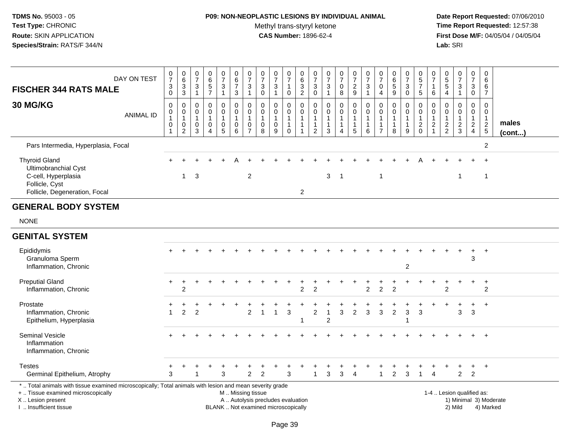## **P09: NON-NEOPLASTIC LESIONS BY INDIVIDUAL ANIMAL**

Methyl trans-styryl ketone<br>CAS Number: 1896-62-4

| <b>FISCHER 344 RATS MALE</b><br>30 MG/KG                                                                                                                                                      | DAY ON TEST<br><b>ANIMAL ID</b> | $\frac{0}{7}$<br>$\mathbf{3}$<br>0<br>$\mathbf 0$<br>$\pmb{0}$<br>$\mathbf 1$<br>$\pmb{0}$ | $\mathbf 0$<br>$\overline{6}$<br>$\frac{3}{3}$<br>$\mathbf 0$<br>$\pmb{0}$<br>$\overline{1}$<br>$\pmb{0}$<br>$\overline{2}$ | 0<br>$\overline{7}$<br>$\sqrt{3}$<br>$\overline{1}$<br>0<br>$\mathbf 0$<br>$\overline{1}$<br>0<br>3 | $\mathbf 0$<br>$\,6\,$<br>$\,$ 5 $\,$<br>$\overline{7}$<br>$\Omega$<br>$\mathbf 0$<br>$\overline{1}$<br>$\mathbf 0$<br>$\boldsymbol{\Lambda}$ | $\pmb{0}$<br>$\overline{7}$<br>$\mathbf{3}$<br>$\mathbf{1}$<br>$\mathbf 0$<br>$\mathbf 0$<br>1<br>$\pmb{0}$<br>$\overline{5}$ | $\begin{array}{c} 0 \\ 6 \end{array}$<br>$\overline{7}$<br>3<br>$\mathsf 0$<br>$\mathbf 0$<br>$\mathbf{1}$<br>$\mathbf 0$<br>6 | $\begin{array}{c} 0 \\ 7 \end{array}$<br>$\ensuremath{\mathsf{3}}$<br>$\mathbf{1}$<br>$\pmb{0}$<br>0<br>$\mathbf{1}$<br>$\pmb{0}$<br>$\overline{7}$ | $\mathbf 0$<br>$\overline{7}$<br>$\sqrt{3}$<br>$\mathbf 0$<br>$\mathbf{0}$<br>$\mathbf 0$<br>$\overline{1}$<br>$\mathbf 0$<br>8 | $\mathbf 0$<br>$\overline{7}$<br>$\sqrt{3}$<br>$\mathbf{1}$<br>$\mathbf 0$<br>$\mathbf 0$<br>$\mathbf{1}$<br>$\mathbf 0$<br>9 | 0<br>$\overline{7}$<br>1<br>$\mathbf 0$<br>0<br>$\mathbf 0$<br>$\mathbf{1}$<br>$\mathbf{1}$<br>0 | $\mathbf 0$<br>$\,6\,$<br>$\sqrt{3}$<br>$\overline{2}$<br>$\Omega$<br>$\mathbf 0$<br>$\overline{1}$<br>$\mathbf{1}$<br>1 | 0<br>$\overline{7}$<br>$\sqrt{3}$<br>$\mathbf 0$<br>$\mathbf 0$<br>0<br>1<br>1<br>$\overline{2}$ | $\pmb{0}$<br>$\overline{7}$<br>$\ensuremath{\mathsf{3}}$<br>$\mathbf{1}$<br>$\mathsf 0$<br>$\mathbf 0$<br>$\overline{1}$<br>$\mathbf{1}$<br>3 | $\frac{0}{7}$<br>$\pmb{0}$<br>8<br>$\pmb{0}$<br>$\mathbf 0$<br>1<br>1<br>$\boldsymbol{\Lambda}$ | $\mathbf 0$<br>$\overline{7}$<br>$\frac{2}{9}$<br>$\mathbf 0$<br>$\mathbf 0$<br>$\mathbf 1$<br>$\mathbf{1}$<br>5 | 0<br>$\overline{7}$<br>$\ensuremath{\mathsf{3}}$<br>$\mathbf{1}$<br>$\Omega$<br>$\mathbf 0$<br>$\overline{1}$<br>$\mathbf{1}$<br>6 | $\mathbf 0$<br>$\overline{7}$<br>$\mathbf 0$<br>$\overline{4}$<br>$\pmb{0}$<br>$\mathbf 0$<br>$\mathbf{1}$<br>1<br>$\overline{7}$ | $\mathbf 0$<br>$\,6\,$<br>5<br>9<br>$\pmb{0}$<br>$\mathbf 0$<br>$\mathbf{1}$<br>$\mathbf{1}$<br>8 | $\frac{0}{7}$<br>3<br>$\mathbf 0$<br>0<br>0<br>$\mathbf{1}$<br>$\mathbf{1}$<br>9 | $\begin{array}{c} 0 \\ 5 \end{array}$<br>$\overline{7}$<br>5<br>0<br>$\mathbf 0$<br>$\mathbf{1}$<br>$\frac{2}{0}$ | 0<br>$\overline{7}$<br>$\mathbf{1}$<br>6<br>$\Omega$<br>0<br>$\mathbf{1}$<br>$\boldsymbol{2}$ | $\begin{array}{c} 0 \\ 5 \\ 5 \end{array}$<br>$\overline{4}$<br>$\mathbf 0$<br>$\mathbf 0$<br>$\mathbf{1}$<br>$\frac{2}{2}$ | $\begin{array}{c} 0 \\ 7 \end{array}$<br>$\frac{3}{1}$<br>$\pmb{0}$<br>$\mathbf 0$<br>$\mathbf{1}$<br>$\frac{2}{3}$ | 0<br>$\overline{7}$<br>3<br>$\mathbf 0$<br>0<br>$\overline{0}$<br>$\mathbf{1}$<br>$\frac{2}{4}$ | 0<br>6<br>6<br>$\overline{7}$<br>$\mathsf 0$<br>$\mathbf 0$<br>$\mathbf{1}$<br>$\frac{2}{5}$ | males<br>$($ cont $)$  |
|-----------------------------------------------------------------------------------------------------------------------------------------------------------------------------------------------|---------------------------------|--------------------------------------------------------------------------------------------|-----------------------------------------------------------------------------------------------------------------------------|-----------------------------------------------------------------------------------------------------|-----------------------------------------------------------------------------------------------------------------------------------------------|-------------------------------------------------------------------------------------------------------------------------------|--------------------------------------------------------------------------------------------------------------------------------|-----------------------------------------------------------------------------------------------------------------------------------------------------|---------------------------------------------------------------------------------------------------------------------------------|-------------------------------------------------------------------------------------------------------------------------------|--------------------------------------------------------------------------------------------------|--------------------------------------------------------------------------------------------------------------------------|--------------------------------------------------------------------------------------------------|-----------------------------------------------------------------------------------------------------------------------------------------------|-------------------------------------------------------------------------------------------------|------------------------------------------------------------------------------------------------------------------|------------------------------------------------------------------------------------------------------------------------------------|-----------------------------------------------------------------------------------------------------------------------------------|---------------------------------------------------------------------------------------------------|----------------------------------------------------------------------------------|-------------------------------------------------------------------------------------------------------------------|-----------------------------------------------------------------------------------------------|-----------------------------------------------------------------------------------------------------------------------------|---------------------------------------------------------------------------------------------------------------------|-------------------------------------------------------------------------------------------------|----------------------------------------------------------------------------------------------|------------------------|
| Pars Intermedia, Hyperplasia, Focal                                                                                                                                                           |                                 |                                                                                            |                                                                                                                             |                                                                                                     |                                                                                                                                               |                                                                                                                               |                                                                                                                                |                                                                                                                                                     |                                                                                                                                 |                                                                                                                               |                                                                                                  |                                                                                                                          |                                                                                                  |                                                                                                                                               |                                                                                                 |                                                                                                                  |                                                                                                                                    |                                                                                                                                   |                                                                                                   |                                                                                  |                                                                                                                   |                                                                                               |                                                                                                                             |                                                                                                                     |                                                                                                 | $\overline{2}$                                                                               |                        |
| <b>Thyroid Gland</b><br>Ultimobranchial Cyst<br>C-cell, Hyperplasia<br>Follicle, Cyst<br>Follicle, Degeneration, Focal                                                                        |                                 |                                                                                            | $\overline{1}$                                                                                                              | 3                                                                                                   |                                                                                                                                               |                                                                                                                               |                                                                                                                                | $\overline{c}$                                                                                                                                      |                                                                                                                                 |                                                                                                                               |                                                                                                  | 2                                                                                                                        |                                                                                                  | 3                                                                                                                                             | -1                                                                                              |                                                                                                                  |                                                                                                                                    | 1                                                                                                                                 |                                                                                                   |                                                                                  |                                                                                                                   |                                                                                               |                                                                                                                             | -1                                                                                                                  |                                                                                                 | $\mathbf 1$                                                                                  |                        |
| <b>GENERAL BODY SYSTEM</b>                                                                                                                                                                    |                                 |                                                                                            |                                                                                                                             |                                                                                                     |                                                                                                                                               |                                                                                                                               |                                                                                                                                |                                                                                                                                                     |                                                                                                                                 |                                                                                                                               |                                                                                                  |                                                                                                                          |                                                                                                  |                                                                                                                                               |                                                                                                 |                                                                                                                  |                                                                                                                                    |                                                                                                                                   |                                                                                                   |                                                                                  |                                                                                                                   |                                                                                               |                                                                                                                             |                                                                                                                     |                                                                                                 |                                                                                              |                        |
| <b>NONE</b>                                                                                                                                                                                   |                                 |                                                                                            |                                                                                                                             |                                                                                                     |                                                                                                                                               |                                                                                                                               |                                                                                                                                |                                                                                                                                                     |                                                                                                                                 |                                                                                                                               |                                                                                                  |                                                                                                                          |                                                                                                  |                                                                                                                                               |                                                                                                 |                                                                                                                  |                                                                                                                                    |                                                                                                                                   |                                                                                                   |                                                                                  |                                                                                                                   |                                                                                               |                                                                                                                             |                                                                                                                     |                                                                                                 |                                                                                              |                        |
| <b>GENITAL SYSTEM</b>                                                                                                                                                                         |                                 |                                                                                            |                                                                                                                             |                                                                                                     |                                                                                                                                               |                                                                                                                               |                                                                                                                                |                                                                                                                                                     |                                                                                                                                 |                                                                                                                               |                                                                                                  |                                                                                                                          |                                                                                                  |                                                                                                                                               |                                                                                                 |                                                                                                                  |                                                                                                                                    |                                                                                                                                   |                                                                                                   |                                                                                  |                                                                                                                   |                                                                                               |                                                                                                                             |                                                                                                                     |                                                                                                 |                                                                                              |                        |
| Epididymis<br>Granuloma Sperm<br>Inflammation, Chronic                                                                                                                                        |                                 |                                                                                            |                                                                                                                             |                                                                                                     |                                                                                                                                               |                                                                                                                               |                                                                                                                                |                                                                                                                                                     |                                                                                                                                 |                                                                                                                               |                                                                                                  |                                                                                                                          |                                                                                                  |                                                                                                                                               |                                                                                                 |                                                                                                                  |                                                                                                                                    |                                                                                                                                   |                                                                                                   | 2                                                                                |                                                                                                                   |                                                                                               |                                                                                                                             |                                                                                                                     | 3                                                                                               | $\overline{1}$                                                                               |                        |
| <b>Preputial Gland</b><br>Inflammation, Chronic                                                                                                                                               |                                 | $\pm$                                                                                      | $\ddot{}$<br>$\overline{2}$                                                                                                 |                                                                                                     |                                                                                                                                               |                                                                                                                               |                                                                                                                                |                                                                                                                                                     |                                                                                                                                 |                                                                                                                               |                                                                                                  | 2                                                                                                                        | $\overline{2}$                                                                                   |                                                                                                                                               |                                                                                                 |                                                                                                                  | $\overline{2}$                                                                                                                     | $\overline{c}$                                                                                                                    | 2                                                                                                 |                                                                                  |                                                                                                                   |                                                                                               | 2                                                                                                                           |                                                                                                                     | +                                                                                               | $\ddot{}$<br>$\overline{2}$                                                                  |                        |
| Prostate<br>Inflammation, Chronic<br>Epithelium, Hyperplasia                                                                                                                                  |                                 | $\mathbf 1$                                                                                | 2                                                                                                                           | $\overline{2}$                                                                                      |                                                                                                                                               |                                                                                                                               |                                                                                                                                | $\overline{2}$                                                                                                                                      |                                                                                                                                 | $\overline{1}$                                                                                                                | 3                                                                                                |                                                                                                                          | $\overline{c}$                                                                                   | $\overline{2}$                                                                                                                                | $\mathbf{3}$                                                                                    | $\overline{2}$                                                                                                   | 3                                                                                                                                  | $\mathbf{3}$                                                                                                                      | $\overline{c}$                                                                                    | $\mathbf{3}$                                                                     | 3                                                                                                                 |                                                                                               |                                                                                                                             | 3                                                                                                                   | $\ddot{}$<br>3                                                                                  | $\ddot{}$                                                                                    |                        |
| Seminal Vesicle<br>Inflammation<br>Inflammation, Chronic                                                                                                                                      |                                 |                                                                                            |                                                                                                                             |                                                                                                     |                                                                                                                                               |                                                                                                                               |                                                                                                                                |                                                                                                                                                     |                                                                                                                                 |                                                                                                                               |                                                                                                  |                                                                                                                          |                                                                                                  |                                                                                                                                               |                                                                                                 |                                                                                                                  |                                                                                                                                    |                                                                                                                                   |                                                                                                   |                                                                                  |                                                                                                                   |                                                                                               |                                                                                                                             |                                                                                                                     |                                                                                                 |                                                                                              |                        |
| <b>Testes</b><br>Germinal Epithelium, Atrophy                                                                                                                                                 |                                 | 3                                                                                          |                                                                                                                             |                                                                                                     |                                                                                                                                               | 3                                                                                                                             |                                                                                                                                | 2                                                                                                                                                   | 2                                                                                                                               |                                                                                                                               | 3                                                                                                |                                                                                                                          | 1                                                                                                | 3                                                                                                                                             | 3                                                                                               | $\overline{4}$                                                                                                   |                                                                                                                                    | 1                                                                                                                                 | 2                                                                                                 | 3                                                                                | 1                                                                                                                 | $\overline{A}$                                                                                |                                                                                                                             | $\overline{2}$                                                                                                      | $\ddot{}$<br>$\overline{2}$                                                                     | $^{+}$                                                                                       |                        |
| *  Total animals with tissue examined microscopically; Total animals with lesion and mean severity grade<br>+  Tissue examined microscopically<br>X  Lesion present<br>I. Insufficient tissue |                                 |                                                                                            |                                                                                                                             |                                                                                                     |                                                                                                                                               |                                                                                                                               | M  Missing tissue                                                                                                              |                                                                                                                                                     | A  Autolysis precludes evaluation<br>BLANK  Not examined microscopically                                                        |                                                                                                                               |                                                                                                  |                                                                                                                          |                                                                                                  |                                                                                                                                               |                                                                                                 |                                                                                                                  |                                                                                                                                    |                                                                                                                                   |                                                                                                   |                                                                                  |                                                                                                                   |                                                                                               |                                                                                                                             | 1-4  Lesion qualified as:<br>2) Mild                                                                                |                                                                                                 | 4) Marked                                                                                    | 1) Minimal 3) Moderate |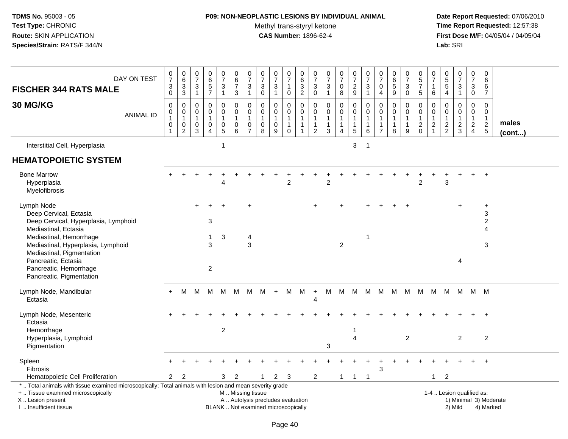## **P09: NON-NEOPLASTIC LESIONS BY INDIVIDUAL ANIMAL**

Methyl trans-styryl ketone<br>CAS Number: 1896-62-4

| DAY ON TEST<br><b>FISCHER 344 RATS MALE</b>                                                                                                                                                  | $\pmb{0}$<br>$\overline{7}$<br>3<br>$\mathbf 0$                         | $\begin{array}{c} 0 \\ 6 \end{array}$<br>3<br>$\ensuremath{\mathsf{3}}$ | $\begin{array}{c} 0 \\ 7 \end{array}$<br>$\sqrt{3}$<br>$\mathbf{1}$ | $\begin{array}{c} 0 \\ 6 \\ 5 \end{array}$<br>$\overline{7}$ | $\begin{array}{c} 0 \\ 7 \end{array}$<br>$\mathbf{3}$<br>$\mathbf{1}$             | $\begin{array}{c} 0 \\ 6 \end{array}$<br>$\overline{7}$<br>$\mathbf{3}$                       | $\begin{array}{c} 0 \\ 7 \end{array}$<br>$\sqrt{3}$<br>$\overline{1}$ | $\frac{0}{7}$<br>$\mathbf{3}$<br>0                           | $\frac{0}{7}$<br>3<br>$\mathbf{1}$      | $\frac{0}{7}$<br>$\mathbf{1}$<br>$\mathbf 0$                               | 0<br>$\overline{6}$<br>3<br>$\overline{c}$             | $\begin{smallmatrix}0\\7\end{smallmatrix}$<br>$\mathbf{3}$<br>$\mathsf 0$   | $\frac{0}{7}$<br>$\sqrt{3}$<br>$\overline{1}$      | $\frac{0}{7}$<br>$\mathbf 0$<br>$\bf 8$       | $\begin{array}{c} 0 \\ 7 \end{array}$<br>$\boldsymbol{2}$<br>$9\,$         | $\frac{0}{7}$<br>3<br>$\mathbf{1}$         | $\frac{0}{7}$<br>$\mathbf 0$<br>$\overline{4}$                    | $\begin{array}{c} 0 \\ 6 \end{array}$<br>5<br>9 | $\begin{array}{c} 0 \\ 7 \end{array}$<br>$\mathbf{3}$<br>$\mathbf 0$ | $\pmb{0}$<br>$\frac{5}{7}$<br>$\overline{5}$                            | 0<br>$\overline{7}$<br>$\mathbf{1}$<br>6                        | 0<br>$\overline{5}$<br>$\overline{5}$<br>$\overline{4}$    | $\frac{0}{7}$<br>$\mathbf{3}$<br>$\mathbf{1}$                  | 0<br>$\overline{7}$<br>$\mathbf{3}$<br>$\mathbf 0$                   | $\mathbf 0$<br>6<br>6<br>$\overline{7}$                                  |                        |
|----------------------------------------------------------------------------------------------------------------------------------------------------------------------------------------------|-------------------------------------------------------------------------|-------------------------------------------------------------------------|---------------------------------------------------------------------|--------------------------------------------------------------|-----------------------------------------------------------------------------------|-----------------------------------------------------------------------------------------------|-----------------------------------------------------------------------|--------------------------------------------------------------|-----------------------------------------|----------------------------------------------------------------------------|--------------------------------------------------------|-----------------------------------------------------------------------------|----------------------------------------------------|-----------------------------------------------|----------------------------------------------------------------------------|--------------------------------------------|-------------------------------------------------------------------|-------------------------------------------------|----------------------------------------------------------------------|-------------------------------------------------------------------------|-----------------------------------------------------------------|------------------------------------------------------------|----------------------------------------------------------------|----------------------------------------------------------------------|--------------------------------------------------------------------------|------------------------|
| 30 MG/KG<br><b>ANIMAL ID</b>                                                                                                                                                                 | $\mathbf 0$<br>$\pmb{0}$<br>$\mathbf{1}$<br>$\mathsf 0$<br>$\mathbf{1}$ | $\mathbf 0$<br>$\pmb{0}$<br>$\mathbf{1}$<br>0<br>$\overline{c}$         | 0<br>$\pmb{0}$<br>$\mathbf{1}$<br>$\pmb{0}$<br>3                    | 0<br>0<br>$\mathbf{1}$<br>0<br>4                             | 0<br>$\mathsf{O}\xspace$<br>$\mathbf{1}$<br>$\begin{array}{c} 0 \\ 5 \end{array}$ | $\mathbf 0$<br>$\pmb{0}$<br>$\overline{1}$<br>$\pmb{0}$<br>6                                  | $\mathbf 0$<br>$\mathbf 0$<br>$\overline{1}$<br>0<br>$\overline{7}$   | $\mathbf 0$<br>$\mathbf 0$<br>$\mathbf{1}$<br>$\pmb{0}$<br>8 | 0<br>$\mathbf 0$<br>1<br>$\pmb{0}$<br>9 | $\mathbf 0$<br>$\mathsf{O}$<br>$\mathbf{1}$<br>$\mathbf{1}$<br>$\mathbf 0$ | 0<br>0<br>$\mathbf{1}$<br>$\mathbf{1}$<br>$\mathbf{1}$ | $\mathbf 0$<br>$\mathbf 0$<br>$\mathbf{1}$<br>$\mathbf 1$<br>$\overline{2}$ | $\mathbf 0$<br>$\pmb{0}$<br>$\mathbf{1}$<br>1<br>3 | 0<br>0<br>$\mathbf{1}$<br>1<br>$\overline{4}$ | $\mathbf 0$<br>$\mathbf 0$<br>$\mathbf{1}$<br>$\overline{1}$<br>$\sqrt{5}$ | 0<br>$\mathbf 0$<br>$\mathbf{1}$<br>1<br>6 | $\mathbf 0$<br>$\mathbf 0$<br>$\mathbf{1}$<br>1<br>$\overline{7}$ | 0<br>0<br>$\mathbf{1}$<br>1<br>8                | 0<br>$\mathbf 0$<br>9                                                | $\mathbf 0$<br>$\pmb{0}$<br>$\overline{1}$<br>$\sqrt{2}$<br>$\mathbf 0$ | $\Omega$<br>0<br>$\mathbf{1}$<br>$\overline{c}$<br>$\mathbf{1}$ | $\mathbf 0$<br>$\Omega$<br>$\overline{1}$<br>$\frac{2}{2}$ | $\mathbf 0$<br>$\overline{0}$<br>$\mathbf{1}$<br>$\frac{2}{3}$ | 0<br>$\mathbf 0$<br>$\mathbf{1}$<br>$\overline{2}$<br>$\overline{4}$ | $\mathbf 0$<br>$\pmb{0}$<br>$\mathbf{1}$<br>$\overline{\mathbf{c}}$<br>5 | males<br>$($ cont $)$  |
| Interstitial Cell, Hyperplasia                                                                                                                                                               |                                                                         |                                                                         |                                                                     |                                                              | $\mathbf{1}$                                                                      |                                                                                               |                                                                       |                                                              |                                         |                                                                            |                                                        |                                                                             |                                                    |                                               | 3                                                                          | $\overline{1}$                             |                                                                   |                                                 |                                                                      |                                                                         |                                                                 |                                                            |                                                                |                                                                      |                                                                          |                        |
| <b>HEMATOPOIETIC SYSTEM</b>                                                                                                                                                                  |                                                                         |                                                                         |                                                                     |                                                              |                                                                                   |                                                                                               |                                                                       |                                                              |                                         |                                                                            |                                                        |                                                                             |                                                    |                                               |                                                                            |                                            |                                                                   |                                                 |                                                                      |                                                                         |                                                                 |                                                            |                                                                |                                                                      |                                                                          |                        |
| <b>Bone Marrow</b><br>Hyperplasia<br>Myelofibrosis                                                                                                                                           |                                                                         |                                                                         |                                                                     |                                                              | Δ                                                                                 |                                                                                               |                                                                       |                                                              |                                         | $\overline{2}$                                                             |                                                        |                                                                             | $\overline{2}$                                     |                                               |                                                                            |                                            |                                                                   |                                                 |                                                                      | $\overline{2}$                                                          |                                                                 | 3                                                          |                                                                | $+$                                                                  | $+$                                                                      |                        |
| Lymph Node<br>Deep Cervical, Ectasia<br>Deep Cervical, Hyperplasia, Lymphoid<br>Mediastinal, Ectasia                                                                                         |                                                                         |                                                                         |                                                                     | 3                                                            |                                                                                   |                                                                                               | $\ddot{}$                                                             |                                                              |                                         |                                                                            |                                                        |                                                                             |                                                    |                                               |                                                                            |                                            |                                                                   |                                                 |                                                                      |                                                                         |                                                                 |                                                            |                                                                |                                                                      | $\ddot{}$<br>3<br>$\overline{c}$<br>$\overline{4}$                       |                        |
| Mediastinal, Hemorrhage<br>Mediastinal, Hyperplasia, Lymphoid<br>Mediastinal, Pigmentation                                                                                                   |                                                                         |                                                                         |                                                                     | $\mathbf{1}$<br>3                                            | 3                                                                                 |                                                                                               | 4<br>3                                                                |                                                              |                                         |                                                                            |                                                        |                                                                             |                                                    | $\overline{2}$                                |                                                                            | $\mathbf{1}$                               |                                                                   |                                                 |                                                                      |                                                                         |                                                                 |                                                            |                                                                |                                                                      | 3                                                                        |                        |
| Pancreatic, Ectasia<br>Pancreatic, Hemorrhage<br>Pancreatic, Pigmentation                                                                                                                    |                                                                         |                                                                         |                                                                     | $\overline{2}$                                               |                                                                                   |                                                                                               |                                                                       |                                                              |                                         |                                                                            |                                                        |                                                                             |                                                    |                                               |                                                                            |                                            |                                                                   |                                                 |                                                                      |                                                                         |                                                                 |                                                            | 4                                                              |                                                                      |                                                                          |                        |
| Lymph Node, Mandibular<br>Ectasia                                                                                                                                                            | $+$                                                                     | M                                                                       | M                                                                   | M                                                            | M                                                                                 | М                                                                                             | M                                                                     | M                                                            | $+$                                     | M                                                                          | M                                                      | $\ddot{}$<br>Δ                                                              | M                                                  | M                                             | M                                                                          | M                                          | M                                                                 | M                                               | M                                                                    | M                                                                       | M                                                               |                                                            | M M                                                            |                                                                      | M M                                                                      |                        |
| Lymph Node, Mesenteric<br>Ectasia                                                                                                                                                            |                                                                         |                                                                         |                                                                     |                                                              |                                                                                   |                                                                                               |                                                                       |                                                              |                                         |                                                                            |                                                        |                                                                             |                                                    |                                               |                                                                            |                                            |                                                                   |                                                 |                                                                      |                                                                         |                                                                 |                                                            |                                                                |                                                                      |                                                                          |                        |
| Hemorrhage<br>Hyperplasia, Lymphoid<br>Pigmentation                                                                                                                                          |                                                                         |                                                                         |                                                                     |                                                              | $\overline{2}$                                                                    |                                                                                               |                                                                       |                                                              |                                         |                                                                            |                                                        |                                                                             | 3                                                  |                                               | 1<br>$\overline{\mathbf{4}}$                                               |                                            |                                                                   |                                                 | $\overline{2}$                                                       |                                                                         |                                                                 |                                                            | $\overline{2}$                                                 |                                                                      | $\overline{2}$                                                           |                        |
| Spleen<br><b>Fibrosis</b><br>Hematopoietic Cell Proliferation                                                                                                                                | $\overline{2}$                                                          | $\overline{2}$                                                          |                                                                     |                                                              | 3                                                                                 | 2                                                                                             |                                                                       | 1                                                            | 2                                       | -3                                                                         |                                                        | 2                                                                           |                                                    | $\mathbf{1}$                                  | $\mathbf{1}$                                                               | $\overline{1}$                             | 3                                                                 |                                                 |                                                                      |                                                                         | $\mathbf{1}$                                                    | 2                                                          |                                                                |                                                                      |                                                                          |                        |
| *  Total animals with tissue examined microscopically; Total animals with lesion and mean severity grade<br>+  Tissue examined microscopically<br>X Lesion present<br>I  Insufficient tissue |                                                                         |                                                                         |                                                                     |                                                              |                                                                                   | M  Missing tissue<br>A  Autolysis precludes evaluation<br>BLANK  Not examined microscopically |                                                                       |                                                              |                                         |                                                                            |                                                        |                                                                             |                                                    |                                               |                                                                            |                                            |                                                                   |                                                 |                                                                      |                                                                         |                                                                 |                                                            | 1-4  Lesion qualified as:<br>2) Mild                           |                                                                      | 4) Marked                                                                | 1) Minimal 3) Moderate |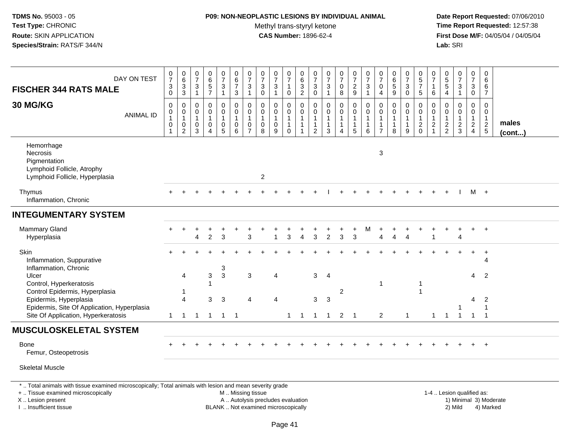#### **P09: NON-NEOPLASTIC LESIONS BY INDIVIDUAL ANIMAL**

Methyl trans-styryl ketone<br>CAS Number: 1896-62-4

| DAY ON TEST<br><b>FISCHER 344 RATS MALE</b>                                                                                                                                                   | $\frac{0}{7}$<br>$_{0}^{3}$                                       | 0<br>6<br>3<br>3                                              | $\frac{0}{7}$<br>$\frac{3}{1}$                          | $\begin{array}{c} 0 \\ 6 \end{array}$<br>$\frac{5}{7}$          | $\frac{0}{7}$<br>$\ensuremath{\mathsf{3}}$<br>$\mathbf{1}$        | $_{6}^{\rm 0}$<br>$\overline{7}$<br>$\overline{3}$                                | $\frac{0}{7}$<br>3<br>$\mathbf{1}$                              | $\frac{0}{7}$<br>$\sqrt{3}$<br>$\mathsf{O}\xspace$ | $\frac{0}{7}$<br>$\sqrt{3}$<br>$\mathbf{1}$                              | $\begin{smallmatrix}0\\7\end{smallmatrix}$<br>$\overline{1}$<br>$\mathbf 0$ | $\pmb{0}$<br>$6\phantom{a}$<br>$\frac{3}{2}$                             | 0<br>$\overline{7}$<br>3<br>$\overline{0}$              | $\frac{0}{7}$<br>$\sqrt{3}$<br>$\mathbf{1}$                                  | $\frac{0}{7}$<br>0<br>8                                          | $\frac{0}{7}$<br>$\frac{2}{9}$                                               | $\frac{0}{7}$<br>$\frac{3}{1}$                                                  | $\begin{array}{c} 0 \\ 7 \end{array}$<br>$\mathbf 0$<br>4           | $\begin{array}{c} 0 \\ 6 \end{array}$<br>$\sqrt{5}$<br>$\boldsymbol{9}$ | $\frac{0}{7}$<br>$\ensuremath{\mathsf{3}}$<br>$\pmb{0}$ | $\begin{array}{c} 0 \\ 5 \\ 7 \end{array}$<br>$\overline{5}$ | 0<br>$\overline{7}$<br>$\mathbf{1}$<br>6                          | 0<br>5<br>5<br>4                                            | $\begin{array}{c} 0 \\ 7 \end{array}$<br>$\frac{3}{1}$ | $\begin{array}{c} 0 \\ 7 \end{array}$<br>$_{0}^{3}$         | $\boldsymbol{0}$<br>$\,6\,$<br>6<br>$\overline{7}$            |                 |
|-----------------------------------------------------------------------------------------------------------------------------------------------------------------------------------------------|-------------------------------------------------------------------|---------------------------------------------------------------|---------------------------------------------------------|-----------------------------------------------------------------|-------------------------------------------------------------------|-----------------------------------------------------------------------------------|-----------------------------------------------------------------|----------------------------------------------------|--------------------------------------------------------------------------|-----------------------------------------------------------------------------|--------------------------------------------------------------------------|---------------------------------------------------------|------------------------------------------------------------------------------|------------------------------------------------------------------|------------------------------------------------------------------------------|---------------------------------------------------------------------------------|---------------------------------------------------------------------|-------------------------------------------------------------------------|---------------------------------------------------------|--------------------------------------------------------------|-------------------------------------------------------------------|-------------------------------------------------------------|--------------------------------------------------------|-------------------------------------------------------------|---------------------------------------------------------------|-----------------|
| 30 MG/KG<br><b>ANIMAL ID</b>                                                                                                                                                                  | $\pmb{0}$<br>$\pmb{0}$<br>$\mathbf{1}$<br>$\,0\,$<br>$\mathbf{1}$ | $\mathsf 0$<br>$\pmb{0}$<br>$\overline{1}$<br>0<br>$\sqrt{2}$ | $\mathbf 0$<br>0<br>$\overline{1}$<br>0<br>$\mathbf{3}$ | $\pmb{0}$<br>$\mathbf 0$<br>$\mathbf{1}$<br>0<br>$\overline{4}$ | 0<br>$\mathbf 0$<br>$\mathbf{1}$<br>$\mathbf 0$<br>$\overline{5}$ | $\pmb{0}$<br>$\mathbf 0$<br>$\mathbf{1}$<br>$\begin{array}{c} 0 \\ 6 \end{array}$ | $\pmb{0}$<br>$\mathbf 0$<br>$\mathbf{1}$<br>0<br>$\overline{7}$ | $\mathbf 0$<br>0<br>$\mathbf{1}$<br>$\pmb{0}$<br>8 | $\pmb{0}$<br>$\pmb{0}$<br>$\mathbf{1}$<br>$\mathbf 0$<br>$9\,$           | $\mathbf 0$<br>$\mathbf 0$<br>$\mathbf{1}$<br>$\mathbf{1}$<br>$\mathbf 0$   | $\pmb{0}$<br>$\mathbf 0$<br>$\mathbf{1}$<br>$\mathbf{1}$<br>$\mathbf{1}$ | 0<br>$\mathbf 0$<br>$\mathbf{1}$<br>1<br>$\overline{2}$ | $\mathbf 0$<br>$\mathbf 0$<br>$\mathbf{1}$<br>$\mathbf{1}$<br>$\overline{3}$ | $\mathsf{O}$<br>$\mathbf 0$<br>$\mathbf{1}$<br>$\mathbf{1}$<br>4 | $\mathbf 0$<br>$\mathbf 0$<br>$\mathbf{1}$<br>$\mathbf{1}$<br>$\overline{5}$ | $\mathbf 0$<br>$\mathbf 0$<br>$\overline{1}$<br>$\mathbf{1}$<br>$6\phantom{1}6$ | 0<br>$\mathbf 0$<br>$\overline{1}$<br>$\mathbf 1$<br>$\overline{7}$ | $\mathbf 0$<br>$\mathbf 0$<br>$\mathbf{1}$<br>$\mathbf{1}$<br>8         | 0<br>$\mathbf 0$<br>1<br>$\mathbf{1}$<br>9              | $\mathbf 0$<br>$\mathbf 0$<br>$\mathbf{1}$<br>$^2_{0}$       | $\mathbf 0$<br>0<br>$\mathbf 1$<br>$\overline{c}$<br>$\mathbf{1}$ | $\mathbf 0$<br>$\mathbf 0$<br>$\mathbf{1}$<br>$\frac{2}{2}$ | $\pmb{0}$<br>0<br>$\mathbf{1}$<br>$\frac{2}{3}$        | $\mathbf 0$<br>$\mathbf 0$<br>$\mathbf{1}$<br>$\frac{2}{4}$ | $\mathbf 0$<br>$\mathbf 0$<br>$\overline{1}$<br>$\frac{2}{5}$ | males<br>(cont) |
| Hemorrhage<br>Necrosis<br>Pigmentation<br>Lymphoid Follicle, Atrophy<br>Lymphoid Follicle, Hyperplasia                                                                                        |                                                                   |                                                               |                                                         |                                                                 |                                                                   |                                                                                   |                                                                 | $\overline{2}$                                     |                                                                          |                                                                             |                                                                          |                                                         |                                                                              |                                                                  |                                                                              |                                                                                 | 3                                                                   |                                                                         |                                                         |                                                              |                                                                   |                                                             |                                                        |                                                             |                                                               |                 |
| Thymus<br>Inflammation, Chronic                                                                                                                                                               |                                                                   |                                                               |                                                         |                                                                 |                                                                   |                                                                                   |                                                                 |                                                    |                                                                          |                                                                             |                                                                          |                                                         |                                                                              |                                                                  |                                                                              |                                                                                 |                                                                     |                                                                         |                                                         |                                                              |                                                                   |                                                             |                                                        | M +                                                         |                                                               |                 |
| <b>INTEGUMENTARY SYSTEM</b>                                                                                                                                                                   |                                                                   |                                                               |                                                         |                                                                 |                                                                   |                                                                                   |                                                                 |                                                    |                                                                          |                                                                             |                                                                          |                                                         |                                                                              |                                                                  |                                                                              |                                                                                 |                                                                     |                                                                         |                                                         |                                                              |                                                                   |                                                             |                                                        |                                                             |                                                               |                 |
| <b>Mammary Gland</b><br>Hyperplasia                                                                                                                                                           |                                                                   |                                                               | 4                                                       | 2                                                               | 3                                                                 |                                                                                   | 3                                                               |                                                    |                                                                          | 3                                                                           |                                                                          | 3                                                       | $\mathcal{P}$                                                                | 3                                                                | 3                                                                            | м                                                                               |                                                                     |                                                                         |                                                         |                                                              |                                                                   |                                                             |                                                        |                                                             | $\overline{+}$                                                |                 |
| Skin<br>Inflammation, Suppurative<br>Inflammation, Chronic                                                                                                                                    |                                                                   |                                                               |                                                         |                                                                 | 3                                                                 |                                                                                   |                                                                 |                                                    |                                                                          |                                                                             |                                                                          |                                                         |                                                                              |                                                                  |                                                                              |                                                                                 |                                                                     |                                                                         |                                                         |                                                              |                                                                   |                                                             |                                                        |                                                             | $\ddot{}$<br>Δ                                                |                 |
| Ulcer<br>Control, Hyperkeratosis<br>Control Epidermis, Hyperplasia                                                                                                                            |                                                                   | 4<br>-1                                                       |                                                         | 3<br>1                                                          | $\mathbf{3}$                                                      |                                                                                   | 3                                                               |                                                    | $\overline{4}$                                                           |                                                                             |                                                                          | 3                                                       | 4                                                                            | $\overline{c}$                                                   |                                                                              |                                                                                 |                                                                     |                                                                         |                                                         |                                                              |                                                                   |                                                             |                                                        | 4                                                           | $\overline{2}$                                                |                 |
| Epidermis, Hyperplasia<br>Epidermis, Site Of Application, Hyperplasia<br>Site Of Application, Hyperkeratosis                                                                                  | $\mathbf{1}$                                                      | $\overline{4}$<br>$\mathbf{1}$                                | $\overline{1}$                                          | 3<br>$\mathbf{1}$                                               | 3<br>$1 \quad 1$                                                  |                                                                                   | $\overline{4}$                                                  |                                                    | $\overline{4}$                                                           | $\mathbf{1}$                                                                | $\overline{1}$                                                           | 3<br>$\mathbf{1}$                                       | 3<br>$\mathbf 1$                                                             | 2                                                                | $\overline{1}$                                                               |                                                                                 | $\overline{2}$                                                      |                                                                         | $\mathbf{1}$                                            |                                                              | 1                                                                 |                                                             |                                                        | 4<br>$\overline{1}$                                         | 2<br>$\overline{1}$                                           |                 |
| <b>MUSCULOSKELETAL SYSTEM</b>                                                                                                                                                                 |                                                                   |                                                               |                                                         |                                                                 |                                                                   |                                                                                   |                                                                 |                                                    |                                                                          |                                                                             |                                                                          |                                                         |                                                                              |                                                                  |                                                                              |                                                                                 |                                                                     |                                                                         |                                                         |                                                              |                                                                   |                                                             |                                                        |                                                             |                                                               |                 |
| <b>Bone</b><br>Femur, Osteopetrosis                                                                                                                                                           |                                                                   |                                                               |                                                         |                                                                 |                                                                   |                                                                                   |                                                                 |                                                    |                                                                          |                                                                             |                                                                          |                                                         |                                                                              |                                                                  |                                                                              |                                                                                 |                                                                     |                                                                         |                                                         |                                                              |                                                                   |                                                             |                                                        |                                                             | $+$                                                           |                 |
| <b>Skeletal Muscle</b>                                                                                                                                                                        |                                                                   |                                                               |                                                         |                                                                 |                                                                   |                                                                                   |                                                                 |                                                    |                                                                          |                                                                             |                                                                          |                                                         |                                                                              |                                                                  |                                                                              |                                                                                 |                                                                     |                                                                         |                                                         |                                                              |                                                                   |                                                             |                                                        |                                                             |                                                               |                 |
| *  Total animals with tissue examined microscopically; Total animals with lesion and mean severity grade<br>+  Tissue examined microscopically<br>X  Lesion present<br>I. Insufficient tissue |                                                                   |                                                               |                                                         |                                                                 |                                                                   | M  Missing tissue                                                                 |                                                                 |                                                    | A  Autolysis precludes evaluation<br>BLANK  Not examined microscopically |                                                                             |                                                                          |                                                         |                                                                              |                                                                  |                                                                              |                                                                                 |                                                                     |                                                                         |                                                         |                                                              |                                                                   |                                                             | 1-4  Lesion qualified as:<br>2) Mild                   |                                                             | 1) Minimal 3) Moderate<br>4) Marked                           |                 |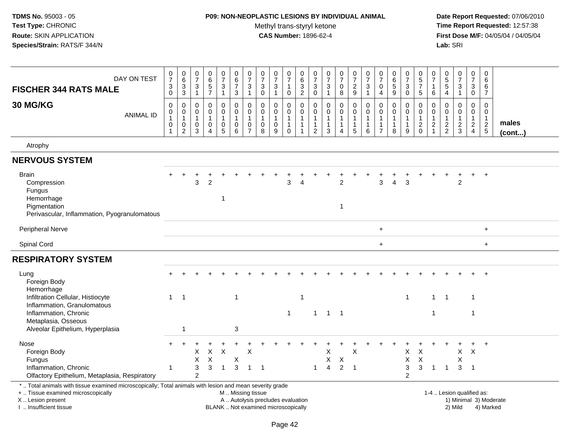#### **P09: NON-NEOPLASTIC LESIONS BY INDIVIDUAL ANIMAL**

Methyl trans-styryl ketone<br>CAS Number: 1896-62-4

| DAY ON TEST<br><b>FISCHER 344 RATS MALE</b>                                                                                                                                                  | $\boldsymbol{0}$<br>$\overline{7}$<br>3<br>$\mathsf{O}\xspace$ | $_6^0$<br>3<br>$\overline{3}$                           | $\pmb{0}$<br>$\overline{7}$<br>3<br>$\mathbf{1}$      | $065$<br>7                                                              | $\frac{0}{7}$<br>$\mathbf{3}$<br>$\mathbf{1}$ | $\mathbf 0$<br>$\,6\,$<br>$\overline{7}$<br>$\sqrt{3}$       | $\pmb{0}$<br>$\overline{7}$<br>$\ensuremath{\mathsf{3}}$<br>$\mathbf{1}$ | $\begin{array}{c} 0 \\ 7 \end{array}$<br>$\sqrt{3}$<br>$\mathbf 0$ | $\begin{array}{c} 0 \\ 7 \end{array}$<br>3<br>1                           | $\,0\,$<br>$\overline{7}$<br>$\mathbf{1}$<br>$\mathsf 0$                         | 0<br>$\,6\,$<br>$\mathbf{3}$<br>$\overline{2}$                             | $\begin{array}{c} 0 \\ 7 \end{array}$<br>3<br>$\mathbf 0$                  | $\begin{smallmatrix} 0\\7 \end{smallmatrix}$<br>3<br>$\mathbf{1}$ | $\frac{0}{7}$<br>$\mathsf 0$<br>$\bf 8$                            | $\begin{smallmatrix}0\\7\end{smallmatrix}$<br>$\frac{2}{9}$             | $\frac{0}{7}$<br>$\sqrt{3}$<br>$\overline{1}$                                 | $\pmb{0}$<br>$\overline{7}$<br>0<br>4                                  | 0<br>$\,6$<br>5<br>$9\,$                                        | $\frac{0}{7}$<br>3<br>0                               | $\begin{smallmatrix}0\0\5\end{smallmatrix}$<br>$\overline{7}$<br>$\sqrt{5}$ | $\,0\,$<br>$\overline{7}$<br>$\mathbf{1}$<br>$\,6\,$      | $\begin{array}{c} 0 \\ 5 \\ 5 \end{array}$<br>$\overline{a}$ | $\begin{array}{c} 0 \\ 7 \end{array}$<br>$\sqrt{3}$<br>$\mathbf{1}$ | $\frac{0}{7}$<br>3<br>$\mathbf 0$                 | $\pmb{0}$<br>$\,6\,$<br>6<br>$\overline{7}$                 |                       |
|----------------------------------------------------------------------------------------------------------------------------------------------------------------------------------------------|----------------------------------------------------------------|---------------------------------------------------------|-------------------------------------------------------|-------------------------------------------------------------------------|-----------------------------------------------|--------------------------------------------------------------|--------------------------------------------------------------------------|--------------------------------------------------------------------|---------------------------------------------------------------------------|----------------------------------------------------------------------------------|----------------------------------------------------------------------------|----------------------------------------------------------------------------|-------------------------------------------------------------------|--------------------------------------------------------------------|-------------------------------------------------------------------------|-------------------------------------------------------------------------------|------------------------------------------------------------------------|-----------------------------------------------------------------|-------------------------------------------------------|-----------------------------------------------------------------------------|-----------------------------------------------------------|--------------------------------------------------------------|---------------------------------------------------------------------|---------------------------------------------------|-------------------------------------------------------------|-----------------------|
| 30 MG/KG<br><b>ANIMAL ID</b>                                                                                                                                                                 | $\pmb{0}$<br>$\pmb{0}$<br>$\mathbf{1}$<br>0<br>$\mathbf{1}$    | 0<br>$\mathbf 0$<br>$\mathbf{1}$<br>0<br>$\overline{2}$ | $\mathbf 0$<br>0<br>$\mathbf{1}$<br>0<br>3            | $\pmb{0}$<br>$\pmb{0}$<br>$\overline{1}$<br>$\pmb{0}$<br>$\overline{4}$ | 0<br>0<br>$\mathbf{1}$<br>0<br>$\overline{5}$ | $\mathbf 0$<br>$\pmb{0}$<br>$\mathbf{1}$<br>$\mathbf 0$<br>6 | $\mathbf 0$<br>$\pmb{0}$<br>$\mathbf{1}$<br>0<br>$\overline{7}$          | $\mathbf 0$<br>$\pmb{0}$<br>$\mathbf{1}$<br>$\mathbf 0$<br>8       | $\mathbf 0$<br>$\pmb{0}$<br>$\mathbf{1}$<br>$\mathbf 0$<br>$\overline{9}$ | $\mathbf 0$<br>$\boldsymbol{0}$<br>$\overline{1}$<br>$\mathbf{1}$<br>$\mathbf 0$ | $\mathbf 0$<br>$\pmb{0}$<br>$\mathbf{1}$<br>$\overline{1}$<br>$\mathbf{1}$ | $\mathbf 0$<br>$\pmb{0}$<br>$\mathbf{1}$<br>$\mathbf{1}$<br>$\overline{c}$ | $\pmb{0}$<br>$\pmb{0}$<br>$\mathbf{1}$<br>$\mathbf{1}$<br>3       | $\boldsymbol{0}$<br>$\pmb{0}$<br>$\mathbf{1}$<br>$\mathbf{1}$<br>4 | 0<br>$\boldsymbol{0}$<br>$\mathbf{1}$<br>$\mathbf{1}$<br>$\overline{5}$ | $\mathbf 0$<br>$\pmb{0}$<br>$\overline{1}$<br>$\mathbf{1}$<br>$6\phantom{1}6$ | $\mathbf 0$<br>0<br>$\overline{1}$<br>$\overline{1}$<br>$\overline{7}$ | $\mathbf 0$<br>$\mathbf 0$<br>$\mathbf{1}$<br>$\mathbf{1}$<br>8 | $\mathbf 0$<br>0<br>$\mathbf{1}$<br>$\mathbf{1}$<br>9 | $\mathbf 0$<br>$\boldsymbol{0}$<br>$\overline{1}$<br>$\frac{2}{0}$          | $\mathbf 0$<br>$\pmb{0}$<br>$\mathbf{1}$<br>$\frac{2}{1}$ | $\mathbf 0$<br>$\boldsymbol{0}$<br>$\frac{1}{2}$             | $\mathbf 0$<br>$\mathbf 0$<br>$\mathbf{1}$<br>$\frac{2}{3}$         | $\mathbf 0$<br>0<br>$\mathbf{1}$<br>$\frac{2}{4}$ | $\mathbf 0$<br>$\mathbf 0$<br>$\mathbf{1}$<br>$\frac{2}{5}$ | males<br>$($ cont $)$ |
| Atrophy                                                                                                                                                                                      |                                                                |                                                         |                                                       |                                                                         |                                               |                                                              |                                                                          |                                                                    |                                                                           |                                                                                  |                                                                            |                                                                            |                                                                   |                                                                    |                                                                         |                                                                               |                                                                        |                                                                 |                                                       |                                                                             |                                                           |                                                              |                                                                     |                                                   |                                                             |                       |
| <b>NERVOUS SYSTEM</b>                                                                                                                                                                        |                                                                |                                                         |                                                       |                                                                         |                                               |                                                              |                                                                          |                                                                    |                                                                           |                                                                                  |                                                                            |                                                                            |                                                                   |                                                                    |                                                                         |                                                                               |                                                                        |                                                                 |                                                       |                                                                             |                                                           |                                                              |                                                                     |                                                   |                                                             |                       |
| <b>Brain</b><br>Compression<br>Fungus<br>Hemorrhage<br>Pigmentation<br>Perivascular, Inflammation, Pyogranulomatous                                                                          |                                                                |                                                         | 3                                                     | $\overline{2}$                                                          | 1                                             |                                                              |                                                                          |                                                                    |                                                                           | 3                                                                                |                                                                            |                                                                            |                                                                   | $\overline{2}$<br>$\mathbf{1}$                                     |                                                                         |                                                                               | 3                                                                      | $\boldsymbol{\Lambda}$                                          | $\overline{3}$                                        |                                                                             |                                                           |                                                              | $\overline{2}$                                                      | $\ddot{}$                                         | $\overline{ }$                                              |                       |
| <b>Peripheral Nerve</b>                                                                                                                                                                      |                                                                |                                                         |                                                       |                                                                         |                                               |                                                              |                                                                          |                                                                    |                                                                           |                                                                                  |                                                                            |                                                                            |                                                                   |                                                                    |                                                                         |                                                                               | $\ddot{}$                                                              |                                                                 |                                                       |                                                                             |                                                           |                                                              |                                                                     |                                                   | $+$                                                         |                       |
| Spinal Cord                                                                                                                                                                                  |                                                                |                                                         |                                                       |                                                                         |                                               |                                                              |                                                                          |                                                                    |                                                                           |                                                                                  |                                                                            |                                                                            |                                                                   |                                                                    |                                                                         |                                                                               | $\ddot{}$                                                              |                                                                 |                                                       |                                                                             |                                                           |                                                              |                                                                     |                                                   | $\ddot{}$                                                   |                       |
| <b>RESPIRATORY SYSTEM</b>                                                                                                                                                                    |                                                                |                                                         |                                                       |                                                                         |                                               |                                                              |                                                                          |                                                                    |                                                                           |                                                                                  |                                                                            |                                                                            |                                                                   |                                                                    |                                                                         |                                                                               |                                                                        |                                                                 |                                                       |                                                                             |                                                           |                                                              |                                                                     |                                                   |                                                             |                       |
| Lung<br>Foreign Body<br>Hemorrhage<br>Infiltration Cellular, Histiocyte<br>Inflammation, Granulomatous                                                                                       | $\mathbf{1}$                                                   | $\overline{1}$                                          |                                                       |                                                                         |                                               | $\mathbf{1}$                                                 |                                                                          |                                                                    |                                                                           |                                                                                  | $\overline{\mathbf{1}}$                                                    |                                                                            |                                                                   |                                                                    |                                                                         |                                                                               |                                                                        |                                                                 | $\mathbf{1}$                                          |                                                                             | $\mathbf{1}$                                              | $\overline{1}$                                               |                                                                     | 1                                                 |                                                             |                       |
| Inflammation, Chronic<br>Metaplasia, Osseous<br>Alveolar Epithelium, Hyperplasia                                                                                                             |                                                                | $\overline{1}$                                          |                                                       |                                                                         |                                               | 3                                                            |                                                                          |                                                                    |                                                                           | $\overline{1}$                                                                   |                                                                            |                                                                            | $1 \quad 1 \quad 1$                                               |                                                                    |                                                                         |                                                                               |                                                                        |                                                                 |                                                       |                                                                             | $\overline{1}$                                            |                                                              |                                                                     | 1                                                 |                                                             |                       |
| Nose<br>Foreign Body<br>Fungus<br>Inflammation, Chronic<br>Olfactory Epithelium, Metaplasia, Respiratory                                                                                     | 1                                                              |                                                         | X<br>X<br>$\ensuremath{\mathsf{3}}$<br>$\overline{c}$ | X<br>X<br>3                                                             | $\boldsymbol{\mathsf{X}}$<br>$\overline{1}$   | $\mathsf X$<br>3                                             | X<br>$\mathbf{1}$                                                        | $\overline{1}$                                                     |                                                                           |                                                                                  |                                                                            | $\mathbf 1$                                                                | X<br>X<br>$\overline{4}$                                          | X<br>$\overline{2}$                                                | X<br>$\overline{1}$                                                     |                                                                               |                                                                        |                                                                 | X<br>X<br>$\sqrt{3}$<br>$\overline{2}$                | X<br>$\times$<br>3                                                          | $\mathbf{1}$                                              | $\overline{1}$                                               | $\mathsf{X}$<br>X<br>3                                              | $\times$<br>$\overline{1}$                        |                                                             |                       |
| *  Total animals with tissue examined microscopically; Total animals with lesion and mean severity grade<br>+  Tissue examined microscopically<br>X Lesion present<br>I. Insufficient tissue |                                                                |                                                         |                                                       |                                                                         |                                               | M  Missing tissue                                            |                                                                          |                                                                    | A  Autolysis precludes evaluation<br>BLANK  Not examined microscopically  |                                                                                  |                                                                            |                                                                            |                                                                   |                                                                    |                                                                         |                                                                               |                                                                        |                                                                 |                                                       |                                                                             |                                                           |                                                              | 1-4  Lesion qualified as:<br>2) Mild                                |                                                   | 1) Minimal 3) Moderate<br>4) Marked                         |                       |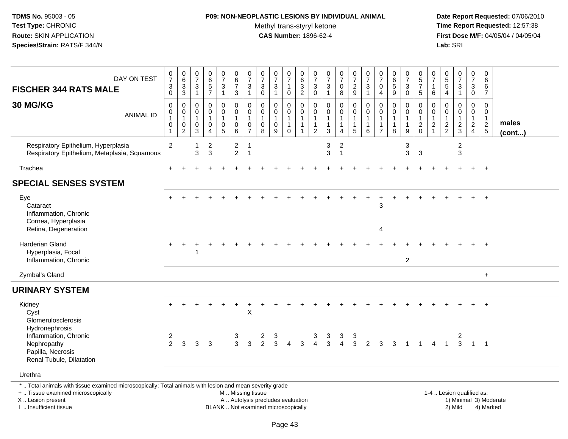### **P09: NON-NEOPLASTIC LESIONS BY INDIVIDUAL ANIMAL**

Methyl trans-styryl ketone<br>CAS Number: 1896-62-4

 **Date Report Requested:** 07/06/2010 **Time Report Requested:** 12:57:38 **First Dose M/F:** 04/05/04 / 04/05/04<br>**Lab:** SRI **Lab:** SRI

| DAY ON TEST<br><b>FISCHER 344 RATS MALE</b>                                             | $\frac{0}{7}$<br>$\ensuremath{\mathsf{3}}$<br>0         | $\begin{array}{c} 0 \\ 6 \end{array}$<br>$\overline{3}$<br>$\mathbf{3}$ | 0<br>$\overline{7}$<br>$\mathbf{3}$<br>$\overline{1}$ | $\begin{array}{c} 0 \\ 6 \\ 5 \end{array}$<br>$\overline{7}$   | $\frac{0}{7}$<br>$\mathbf{3}$<br>$\overline{1}$                   | $\begin{array}{c} 0 \\ 6 \end{array}$<br>$\overline{7}$<br>$\mathbf{3}$ | $\frac{0}{7}$<br>$\mathbf{3}$<br>1                                | $\begin{array}{c} 0 \\ 7 \end{array}$<br>$\mathbf 3$<br>$\mathbf 0$ | $\frac{0}{7}$<br>$\mathbf{3}$<br>$\mathbf 1$         | $\frac{0}{7}$<br>$\mathbf{1}$<br>0                                      | $\begin{array}{c} 0 \\ 6 \end{array}$<br>$\frac{3}{2}$     | $\frac{0}{7}$<br>$\mathbf{3}$<br>$\mathbf 0$                                               | $\frac{0}{7}$<br>$\sqrt{3}$<br>$\overline{1}$                   | $\begin{array}{c} 0 \\ 7 \end{array}$<br>$\mathsf{O}\xspace$<br>8 | $\frac{0}{7}$<br>$\frac{2}{9}$                        | $\frac{0}{7}$<br>$\mathbf{3}$<br>$\mathbf{1}$      | $\frac{0}{7}$<br>$\mathbf 0$<br>$\overline{4}$                         | $\begin{array}{c} 0 \\ 6 \\ 5 \end{array}$<br>9    | $\frac{0}{7}$<br>$\mathbf{3}$<br>$\mathbf 0$                        | $\begin{array}{c} 0 \\ 5 \\ 7 \end{array}$<br>$\sqrt{5}$                  | 0<br>$\overline{7}$<br>$\mathbf{1}$<br>6                     | $\begin{array}{c} 0 \\ 5 \end{array}$<br>$\sqrt{5}$<br>4 | $\frac{0}{7}$<br>3<br>1           | $\pmb{0}$<br>$\overline{7}$<br>$\mathbf{3}$<br>0                             | 0<br>6<br>6<br>$\overline{7}$                                        |                 |
|-----------------------------------------------------------------------------------------|---------------------------------------------------------|-------------------------------------------------------------------------|-------------------------------------------------------|----------------------------------------------------------------|-------------------------------------------------------------------|-------------------------------------------------------------------------|-------------------------------------------------------------------|---------------------------------------------------------------------|------------------------------------------------------|-------------------------------------------------------------------------|------------------------------------------------------------|--------------------------------------------------------------------------------------------|-----------------------------------------------------------------|-------------------------------------------------------------------|-------------------------------------------------------|----------------------------------------------------|------------------------------------------------------------------------|----------------------------------------------------|---------------------------------------------------------------------|---------------------------------------------------------------------------|--------------------------------------------------------------|----------------------------------------------------------|-----------------------------------|------------------------------------------------------------------------------|----------------------------------------------------------------------|-----------------|
| 30 MG/KG<br><b>ANIMAL ID</b>                                                            | 0<br>0<br>$\mathbf{1}$<br>$\mathbf 0$<br>$\overline{1}$ | $\mathbf 0$<br>$\mathsf 0$<br>$\mathbf{1}$<br>0<br>$\overline{2}$       | $\mathbf 0$<br>0<br>$\mathbf{1}$<br>$\mathbf 0$<br>3  | $\mathbf 0$<br>$\mathbf 0$<br>$\mathbf{1}$<br>$\mathbf 0$<br>4 | 0<br>$\mathbf 0$<br>$\mathbf{1}$<br>$\mathbf 0$<br>$\overline{5}$ | $\pmb{0}$<br>$\mathbf 0$<br>$\overline{1}$<br>$\mathbf 0$<br>$\,6\,$    | $\mathbf 0$<br>0<br>$\mathbf{1}$<br>$\mathbf 0$<br>$\overline{7}$ | $\pmb{0}$<br>$\mathbf 0$<br>$\overline{1}$<br>$\mathbf 0$<br>8      | 0<br>$\mathbf 0$<br>$\mathbf{1}$<br>$\mathbf 0$<br>9 | $\pmb{0}$<br>$\mathbf 0$<br>$\mathbf{1}$<br>$\mathbf{1}$<br>$\mathbf 0$ | $\mathsf 0$<br>$\mathsf 0$<br>$\mathbf{1}$<br>$\mathbf{1}$ | $\boldsymbol{0}$<br>$\boldsymbol{0}$<br>$\overline{1}$<br>$\overline{1}$<br>$\overline{2}$ | $\mathbf 0$<br>$\mathbf 0$<br>$\mathbf{1}$<br>$\mathbf{1}$<br>3 | $\pmb{0}$<br>$\mathbf 0$<br>$\mathbf{1}$<br>$\mathbf{1}$<br>4     | 0<br>$\mathbf 0$<br>$\mathbf{1}$<br>$\mathbf{1}$<br>5 | $\mathbf 0$<br>$\pmb{0}$<br>$\mathbf{1}$<br>1<br>6 | $\mathbf 0$<br>0<br>$\overline{1}$<br>$\overline{1}$<br>$\overline{7}$ | 0<br>$\mathsf{O}\xspace$<br>1<br>$\mathbf{1}$<br>8 | $\mathbf 0$<br>$\mathbf 0$<br>$\overline{1}$<br>$\overline{1}$<br>9 | $\boldsymbol{0}$<br>$\mathbf 0$<br>$\mathbf{1}$<br>$\sqrt{2}$<br>$\Omega$ | $\mathbf 0$<br>$\mathbf 0$<br>$\mathbf{1}$<br>$\overline{2}$ | $\Omega$<br>$\Omega$<br>$\mathbf{1}$<br>$\frac{2}{2}$    | 0<br>$\mathbf 0$<br>$\frac{2}{3}$ | $\mathbf 0$<br>$\mathbf 0$<br>$\mathbf{1}$<br>$\mathbf{2}$<br>$\overline{4}$ | $\mathbf 0$<br>0<br>$\mathbf{1}$<br>$\overline{2}$<br>$\overline{5}$ | males<br>(cont) |
| Respiratory Epithelium, Hyperplasia<br>Respiratory Epithelium, Metaplasia, Squamous     | $\overline{2}$                                          |                                                                         | $\overline{1}$<br>3                                   | $\overline{2}$<br>$\mathbf{3}$                                 |                                                                   | $\overline{c}$<br>$\overline{2}$                                        | $\mathbf{1}$<br>$\overline{1}$                                    |                                                                     |                                                      |                                                                         |                                                            |                                                                                            | 3<br>3                                                          | $\boldsymbol{2}$<br>$\mathbf{1}$                                  |                                                       |                                                    |                                                                        |                                                    | $\ensuremath{\mathsf{3}}$<br>3                                      | 3                                                                         |                                                              |                                                          | $\boldsymbol{2}$<br>$\mathbf{3}$  |                                                                              |                                                                      |                 |
| Trachea                                                                                 | $+$                                                     |                                                                         |                                                       |                                                                |                                                                   |                                                                         |                                                                   |                                                                     |                                                      |                                                                         |                                                            |                                                                                            |                                                                 |                                                                   |                                                       |                                                    |                                                                        |                                                    |                                                                     |                                                                           |                                                              |                                                          |                                   |                                                                              | $+$                                                                  |                 |
| <b>SPECIAL SENSES SYSTEM</b>                                                            |                                                         |                                                                         |                                                       |                                                                |                                                                   |                                                                         |                                                                   |                                                                     |                                                      |                                                                         |                                                            |                                                                                            |                                                                 |                                                                   |                                                       |                                                    |                                                                        |                                                    |                                                                     |                                                                           |                                                              |                                                          |                                   |                                                                              |                                                                      |                 |
| Eye<br>Cataract<br>Inflammation, Chronic<br>Cornea, Hyperplasia<br>Retina, Degeneration |                                                         |                                                                         |                                                       |                                                                |                                                                   |                                                                         |                                                                   |                                                                     |                                                      |                                                                         |                                                            |                                                                                            |                                                                 |                                                                   |                                                       |                                                    | 3<br>$\overline{4}$                                                    |                                                    |                                                                     |                                                                           |                                                              |                                                          |                                   |                                                                              | $\ddot{}$                                                            |                 |
| Harderian Gland<br>Hyperplasia, Focal<br>Inflammation, Chronic                          |                                                         |                                                                         |                                                       |                                                                |                                                                   |                                                                         |                                                                   |                                                                     |                                                      |                                                                         |                                                            |                                                                                            |                                                                 |                                                                   |                                                       |                                                    |                                                                        |                                                    | $\overline{2}$                                                      |                                                                           |                                                              |                                                          |                                   |                                                                              |                                                                      |                 |
| Zymbal's Gland                                                                          |                                                         |                                                                         |                                                       |                                                                |                                                                   |                                                                         |                                                                   |                                                                     |                                                      |                                                                         |                                                            |                                                                                            |                                                                 |                                                                   |                                                       |                                                    |                                                                        |                                                    |                                                                     |                                                                           |                                                              |                                                          |                                   |                                                                              | $+$                                                                  |                 |
| <b>URINARY SYSTEM</b>                                                                   |                                                         |                                                                         |                                                       |                                                                |                                                                   |                                                                         |                                                                   |                                                                     |                                                      |                                                                         |                                                            |                                                                                            |                                                                 |                                                                   |                                                       |                                                    |                                                                        |                                                    |                                                                     |                                                                           |                                                              |                                                          |                                   |                                                                              |                                                                      |                 |
| Kidney<br>Cyst<br>Glomerulosclerosis<br>Hydronephrosis<br>Inflammation, Chronic         | 2                                                       |                                                                         |                                                       |                                                                |                                                                   | 3                                                                       | $\boldsymbol{\mathsf{X}}$                                         |                                                                     |                                                      |                                                                         |                                                            |                                                                                            | 3                                                               | 3                                                                 | 3                                                     |                                                    |                                                                        |                                                    |                                                                     |                                                                           |                                                              |                                                          | 2                                 |                                                                              |                                                                      |                 |
| Nephropathy<br>Papilla, Necrosis<br>Renal Tubule, Dilatation                            | $\overline{2}$                                          | 3                                                                       | 3                                                     | $\mathbf{3}$                                                   |                                                                   | 3                                                                       | $\mathbf{3}$                                                      | $\frac{2}{2}$                                                       | $\frac{3}{3}$                                        | $\overline{4}$                                                          | $\overline{3}$                                             | $\frac{3}{4}$                                                                              | $\overline{3}$                                                  | $\overline{4}$                                                    | 3                                                     | $\overline{2}$                                     | 3                                                                      | 3                                                  |                                                                     | $\mathbf{1}$                                                              | $\overline{4}$                                               | $\mathbf{1}$                                             | 3                                 | $\overline{1}$                                                               | $\overline{1}$                                                       |                 |
| Urethra                                                                                 |                                                         |                                                                         |                                                       |                                                                |                                                                   |                                                                         |                                                                   |                                                                     |                                                      |                                                                         |                                                            |                                                                                            |                                                                 |                                                                   |                                                       |                                                    |                                                                        |                                                    |                                                                     |                                                                           |                                                              |                                                          |                                   |                                                                              |                                                                      |                 |

\* .. Total animals with tissue examined microscopically; Total animals with lesion and mean severity grade

+ .. Tissue examined microscopically

X .. Lesion present

I .. Insufficient tissue

M .. Missing tissue

A .. Autolysis precludes evaluation

BLANK .. Not examined microscopically 2) Mild 4) Marked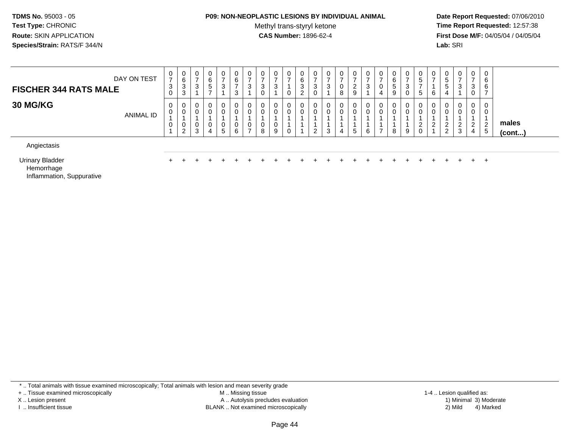#### **P09: NON-NEOPLASTIC LESIONS BY INDIVIDUAL ANIMAL**

Methyl trans-styryl ketone<br>CAS Number: 1896-62-4

 **Date Report Requested:** 07/06/2010 **Time Report Requested:** 12:57:38 **First Dose M/F:** 04/05/04 / 04/05/04<br>**Lab:** SRI **Lab:** SRI

| DAY ON TEST<br><b>FISCHER 344 RATS MALE</b> | $\mathbf 0$<br>$\overline{ }$<br>3<br>$\mathbf 0$ | U<br>6<br>3<br>3             | 0<br>◠<br>◡           | - 0<br>6<br><sub>5</sub> | 0<br>3           | U<br>6<br>っ | 0<br>3      | U<br>3<br>U | 0<br>3      | v<br>O<br>ۍ<br>ے | υ<br>د<br>U | 0<br>ు | $\mathbf{0}$<br>0<br>8 | 0<br>ົ<br><u>.</u><br>9 | U<br>3 | U<br>U | υ<br>6<br>-<br>đ<br>9 | U<br>3<br>0 | U<br>G.<br>≎ | U<br>6 | G<br>4 | 0<br>చ | 0<br>3<br>0           | 0<br>6<br>6<br>⇁           |                       |
|---------------------------------------------|---------------------------------------------------|------------------------------|-----------------------|--------------------------|------------------|-------------|-------------|-------------|-------------|------------------|-------------|--------|------------------------|-------------------------|--------|--------|-----------------------|-------------|--------------|--------|--------|--------|-----------------------|----------------------------|-----------------------|
| 30 MG/KG<br>ANIMAL ID                       | 0<br>0<br>$\mathbf 0$                             | 0<br>0<br>U<br>2<br><u>_</u> | 0<br>0<br>0<br>ີ<br>ت | $\mathbf 0$<br>0<br>4    | 0<br>0<br>0<br>5 | υ<br>U<br>6 | 0<br>0<br>0 | U<br>U<br>8 | 0<br>0<br>9 |                  | U           | 0<br>3 | 0<br>4                 | 0<br>0<br><sub>5</sub>  | 6      | U.     | υ<br>8                | 0<br>0<br>9 | U<br>∼<br>ν  | 0<br>n | _<br>_ | 3      | 0<br>0<br>ົ<br>∠<br>4 | 0<br>0<br>2<br>$5^{\circ}$ | males<br>$($ cont $)$ |
| Angiectasis                                 |                                                   |                              |                       |                          |                  |             |             |             |             |                  |             |        |                        |                         |        |        |                       |             |              |        |        |        |                       |                            |                       |

Urinary Bladderr +

<sup>+</sup> <sup>+</sup> <sup>+</sup> <sup>+</sup> <sup>+</sup> <sup>+</sup> <sup>+</sup> <sup>+</sup> <sup>+</sup> <sup>+</sup> <sup>+</sup> <sup>+</sup> <sup>+</sup> <sup>+</sup> <sup>+</sup> <sup>+</sup> <sup>+</sup> <sup>+</sup> <sup>+</sup> <sup>+</sup> <sup>+</sup> <sup>+</sup> <sup>+</sup> <sup>+</sup>

Hemorrhage

Inflammation, Suppurative

\* .. Total animals with tissue examined microscopically; Total animals with lesion and mean severity grade

+ .. Tissue examined microscopically

X .. Lesion present

I .. Insufficient tissue

 M .. Missing tissueA .. Autolysis precludes evaluation

BLANK .. Not examined microscopically 2) Mild 4) Marked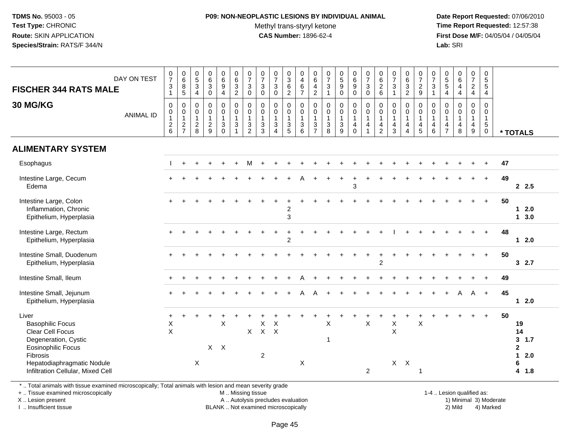## **P09: NON-NEOPLASTIC LESIONS BY INDIVIDUAL ANIMAL**

Methyl trans-styryl ketone<br>CAS Number: 1896-62-4

 **Date Report Requested:** 07/06/2010 **Time Report Requested:** 12:57:38 **First Dose M/F:** 04/05/04 / 04/05/04<br>**Lab:** SRI **Lab:** SRI

| <b>FISCHER 344 RATS MALE</b>                                                                                                                                                             | DAY ON TEST      | $\begin{smallmatrix}0\\7\end{smallmatrix}$<br>$\ensuremath{\mathsf{3}}$<br>$\mathbf{1}$ | $\begin{array}{c} 0 \\ 6 \end{array}$<br>$\bf 8$<br>5                          | $\begin{array}{c} 0 \\ 5 \end{array}$<br>$\mathbf{3}$<br>4 | $\pmb{0}$<br>$\,6\,$<br>$\mathfrak{S}$<br>$\mathsf{O}\xspace$ | $\begin{array}{c} 0 \\ 6 \end{array}$<br>$\boldsymbol{9}$<br>$\overline{4}$ | $\begin{array}{c} 0 \\ 6 \end{array}$<br>$\frac{3}{2}$                     | $\frac{0}{7}$<br>$\sqrt{3}$<br>$\mathbf 0$                                 | $\begin{array}{c} 0 \\ 7 \end{array}$<br>$\sqrt{3}$<br>$\pmb{0}$ | $\begin{array}{c} 0 \\ 7 \end{array}$<br>$\ensuremath{\mathsf{3}}$<br>$\mathbf 0$       | $\frac{0}{3}$<br>6<br>$\overline{2}$                 | $\pmb{0}$<br>$\overline{4}$<br>$\,6\,$<br>$\overline{7}$    | $\begin{array}{c} 0 \\ 6 \end{array}$<br>$\overline{4}$<br>$\sqrt{2}$              | $\frac{0}{7}$<br>$\mathbf 3$<br>$\overline{1}$                | $\begin{array}{c} 0 \\ 5 \end{array}$<br>$\boldsymbol{9}$<br>$\mathbf 0$ | $_{6}^{\rm 0}$<br>$\boldsymbol{9}$<br>$\mathbf 0$              | $\begin{smallmatrix}0\\7\end{smallmatrix}$<br>$\mathbf{3}$<br>$\mathbf 0$ | $_{6}^{\rm 0}$<br>$\overline{c}$<br>$\,6$                                           | $\frac{0}{7}$<br>$\sqrt{3}$<br>$\overline{1}$                                  | $\begin{array}{c} 0 \\ 6 \end{array}$<br>$\sqrt{3}$<br>$\overline{2}$            | $\begin{matrix} 0 \\ 7 \end{matrix}$<br>$\overline{c}$<br>$\boldsymbol{9}$ | $\frac{0}{7}$<br>$\ensuremath{\mathsf{3}}$<br>$\mathbf{1}$ | $\begin{array}{c} 0 \\ 5 \end{array}$<br>$5\,$<br>4 | $\begin{array}{c} 0 \\ 6 \end{array}$<br>$\overline{4}$<br>$\overline{4}$ | $\frac{0}{7}$<br>$\frac{2}{4}$                        | $\pmb{0}$<br>$\sqrt{5}$<br>$\overline{5}$<br>$\overline{4}$            |    |                                                                                       |
|------------------------------------------------------------------------------------------------------------------------------------------------------------------------------------------|------------------|-----------------------------------------------------------------------------------------|--------------------------------------------------------------------------------|------------------------------------------------------------|---------------------------------------------------------------|-----------------------------------------------------------------------------|----------------------------------------------------------------------------|----------------------------------------------------------------------------|------------------------------------------------------------------|-----------------------------------------------------------------------------------------|------------------------------------------------------|-------------------------------------------------------------|------------------------------------------------------------------------------------|---------------------------------------------------------------|--------------------------------------------------------------------------|----------------------------------------------------------------|---------------------------------------------------------------------------|-------------------------------------------------------------------------------------|--------------------------------------------------------------------------------|----------------------------------------------------------------------------------|----------------------------------------------------------------------------|------------------------------------------------------------|-----------------------------------------------------|---------------------------------------------------------------------------|-------------------------------------------------------|------------------------------------------------------------------------|----|---------------------------------------------------------------------------------------|
| 30 MG/KG                                                                                                                                                                                 | <b>ANIMAL ID</b> | 0<br>0<br>$\mathbf{1}$<br>$\boldsymbol{2}$<br>6                                         | $\mathbf 0$<br>$\mathbf 0$<br>$\mathbf{1}$<br>$\overline{c}$<br>$\overline{7}$ | 0<br>0<br>$\mathbf{1}$<br>$\overline{c}$<br>8              | $\pmb{0}$<br>0<br>$\mathbf{1}$<br>$\overline{2}$<br>9         | $\pmb{0}$<br>$\pmb{0}$<br>$\mathbf{1}$<br>3<br>$\Omega$                     | $\mathbf 0$<br>$\mathbf 0$<br>$\mathbf{1}$<br>$\sqrt{3}$<br>$\overline{1}$ | $\mathbf 0$<br>$\mathbf 0$<br>$\mathbf{1}$<br>$\sqrt{3}$<br>$\overline{c}$ | 0<br>0<br>$\mathbf{1}$<br>$\mathbf{3}$<br>3                      | $\pmb{0}$<br>$\mathbf 0$<br>$\mathbf{1}$<br>$\ensuremath{\mathsf{3}}$<br>$\overline{4}$ | $\mathbf 0$<br>$\mathbf 0$<br>$\mathbf{1}$<br>3<br>5 | $\pmb{0}$<br>$\mathbf 0$<br>$\mathbf{1}$<br>$\sqrt{3}$<br>6 | $\mathbf 0$<br>$\ddot{\mathbf{0}}$<br>$\mathbf{1}$<br>$\sqrt{3}$<br>$\overline{7}$ | $\mathbf 0$<br>$\mathbf 0$<br>$\mathbf{1}$<br>$\sqrt{3}$<br>8 | $\mathbf 0$<br>$\mathbf 0$<br>$\mathbf{1}$<br>$\sqrt{3}$<br>9            | 0<br>$\mathbf 0$<br>$\mathbf{1}$<br>$\overline{4}$<br>$\Omega$ | 0<br>$\mathbf 0$<br>$\mathbf{1}$<br>$\overline{4}$<br>$\overline{1}$      | $\pmb{0}$<br>$\pmb{0}$<br>$\mathbf{1}$<br>$\overline{\mathbf{4}}$<br>$\overline{2}$ | $\mathbf 0$<br>$\mathbf 0$<br>$\overline{1}$<br>$\overline{a}$<br>$\mathbf{3}$ | $\mathbf 0$<br>$\mathbf 0$<br>$\overline{1}$<br>$\overline{4}$<br>$\overline{4}$ | 0<br>0<br>$\mathbf{1}$<br>4<br>5                                           | 0<br>$\mathbf 0$<br>$\mathbf{1}$<br>4<br>6                 | 0<br>0<br>$\mathbf{1}$<br>4<br>$\overline{7}$       | 0<br>0<br>$\mathbf{1}$<br>$\overline{a}$<br>8                             | $\pmb{0}$<br>0<br>$\mathbf{1}$<br>$\overline{4}$<br>9 | $\mathbf 0$<br>$\mathbf 0$<br>$\mathbf{1}$<br>$\,$ 5 $\,$<br>$\pmb{0}$ |    | * TOTALS                                                                              |
| <b>ALIMENTARY SYSTEM</b>                                                                                                                                                                 |                  |                                                                                         |                                                                                |                                                            |                                                               |                                                                             |                                                                            |                                                                            |                                                                  |                                                                                         |                                                      |                                                             |                                                                                    |                                                               |                                                                          |                                                                |                                                                           |                                                                                     |                                                                                |                                                                                  |                                                                            |                                                            |                                                     |                                                                           |                                                       |                                                                        |    |                                                                                       |
| Esophagus                                                                                                                                                                                |                  |                                                                                         |                                                                                |                                                            |                                                               |                                                                             |                                                                            |                                                                            |                                                                  |                                                                                         |                                                      |                                                             |                                                                                    |                                                               |                                                                          |                                                                |                                                                           |                                                                                     |                                                                                |                                                                                  |                                                                            |                                                            |                                                     |                                                                           |                                                       |                                                                        | 47 |                                                                                       |
| Intestine Large, Cecum<br>Edema                                                                                                                                                          |                  |                                                                                         |                                                                                |                                                            |                                                               |                                                                             |                                                                            |                                                                            |                                                                  |                                                                                         |                                                      |                                                             |                                                                                    |                                                               |                                                                          | 3                                                              |                                                                           |                                                                                     |                                                                                |                                                                                  |                                                                            |                                                            |                                                     |                                                                           |                                                       | $+$                                                                    | 49 | 2.5                                                                                   |
| Intestine Large, Colon<br>Inflammation, Chronic<br>Epithelium, Hyperplasia                                                                                                               |                  |                                                                                         |                                                                                |                                                            |                                                               |                                                                             |                                                                            |                                                                            |                                                                  |                                                                                         | $\overline{c}$<br>3                                  |                                                             |                                                                                    |                                                               |                                                                          |                                                                |                                                                           |                                                                                     |                                                                                |                                                                                  |                                                                            |                                                            |                                                     |                                                                           |                                                       | $+$                                                                    | 50 | 2.0<br>$\mathbf{1}$<br>3.0<br>$\mathbf{1}$                                            |
| Intestine Large, Rectum<br>Epithelium, Hyperplasia                                                                                                                                       |                  |                                                                                         |                                                                                |                                                            |                                                               |                                                                             |                                                                            |                                                                            |                                                                  |                                                                                         | $\ddot{}$<br>$\overline{2}$                          |                                                             |                                                                                    |                                                               |                                                                          |                                                                |                                                                           |                                                                                     |                                                                                |                                                                                  |                                                                            |                                                            |                                                     |                                                                           |                                                       | $+$                                                                    | 48 | $12.0$                                                                                |
| Intestine Small, Duodenum<br>Epithelium, Hyperplasia                                                                                                                                     |                  | ÷.                                                                                      |                                                                                |                                                            |                                                               |                                                                             |                                                                            |                                                                            |                                                                  |                                                                                         |                                                      |                                                             |                                                                                    |                                                               |                                                                          |                                                                |                                                                           | $\overline{2}$                                                                      |                                                                                |                                                                                  |                                                                            |                                                            |                                                     |                                                                           |                                                       | $+$                                                                    | 50 | 32.7                                                                                  |
| Intestine Small, Ileum                                                                                                                                                                   |                  |                                                                                         |                                                                                |                                                            |                                                               |                                                                             |                                                                            |                                                                            |                                                                  |                                                                                         |                                                      |                                                             |                                                                                    |                                                               |                                                                          |                                                                |                                                                           |                                                                                     |                                                                                |                                                                                  |                                                                            |                                                            |                                                     |                                                                           |                                                       |                                                                        | 49 |                                                                                       |
| Intestine Small, Jejunum<br>Epithelium, Hyperplasia                                                                                                                                      |                  |                                                                                         |                                                                                |                                                            |                                                               |                                                                             |                                                                            |                                                                            |                                                                  |                                                                                         |                                                      |                                                             |                                                                                    |                                                               |                                                                          |                                                                |                                                                           |                                                                                     |                                                                                |                                                                                  |                                                                            |                                                            |                                                     | А                                                                         | A                                                     | $+$                                                                    | 45 | $12.0$                                                                                |
| Liver<br><b>Basophilic Focus</b><br>Clear Cell Focus<br>Degeneration, Cystic<br><b>Eosinophilic Focus</b><br>Fibrosis<br>Hepatodiaphragmatic Nodule<br>Infiltration Cellular, Mixed Cell |                  | $\ddot{}$<br>$\mathsf X$<br>$\times$                                                    |                                                                                | $\boldsymbol{X}$                                           | $\mathsf{X}^-$                                                | $\sf X$<br>$\boldsymbol{\mathsf{X}}$                                        |                                                                            | $\mathsf X$                                                                | Χ<br>$X$ $X$<br>$\overline{2}$                                   | Χ                                                                                       |                                                      | X                                                           |                                                                                    | $\sf X$<br>-1                                                 |                                                                          |                                                                | $\times$<br>$\overline{2}$                                                |                                                                                     | Χ<br>$\pmb{\times}$<br>$X$ $X$                                                 |                                                                                  | X<br>$\overline{1}$                                                        |                                                            |                                                     |                                                                           |                                                       |                                                                        | 50 | 19<br>14<br>$3^{\circ}$<br>1.7<br>$\overline{2}$<br>$\mathbf{1}$<br>2.0<br>6<br>4 1.8 |

\* .. Total animals with tissue examined microscopically; Total animals with lesion and mean severity grade

+ .. Tissue examined microscopically

X .. Lesion present

I .. Insufficient tissue

M .. Missing tissue

A .. Autolysis precludes evaluation

BLANK .. Not examined microscopically 2) Mild 4) Marked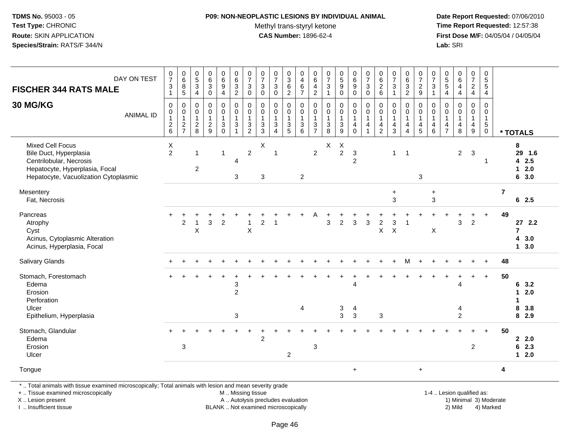#### **P09: NON-NEOPLASTIC LESIONS BY INDIVIDUAL ANIMAL**

Methyl trans-styryl ketone<br>CAS Number: 1896-62-4

 **Date Report Requested:** 07/06/2010 **Time Report Requested:** 12:57:38 **First Dose M/F:** 04/05/04 / 04/05/04<br>**Lab:** SRI **Lab:** SRI

| <b>FISCHER 344 RATS MALE</b>                                                                                                                            | DAY ON TEST      | $\frac{0}{7}$<br>$\sqrt{3}$<br>$\overline{1}$     | $\begin{array}{c} 0 \\ 6 \end{array}$<br>$\frac{8}{5}$ | $\begin{array}{c} 0 \\ 5 \end{array}$<br>$\mathbf{3}$<br>$\overline{4}$ | $\begin{array}{c} 0 \\ 6 \end{array}$<br>3<br>$\mathbf 0$           | $\begin{array}{c} 0 \\ 6 \\ 9 \end{array}$<br>$\overline{4}$ | $\begin{array}{c} 0 \\ 6 \\ 2 \end{array}$                                      | $\frac{0}{7}$<br>$\sqrt{3}$<br>$\ddot{\mathbf{0}}$ | $\begin{array}{c} 0 \\ 7 \end{array}$<br>$_{0}^{3}$ | $\begin{smallmatrix}0\\7\end{smallmatrix}$<br>$\sqrt{3}$<br>$\mathbf 0$        | $\frac{0}{3}$<br>$\,6\,$<br>$\overline{2}$              | $_4^{\rm 0}$<br>$\,6\,$<br>$\overline{7}$                   | $_{6}^{\rm 0}$<br>4<br>$\overline{2}$                   | $\frac{0}{7}$<br>$\sqrt{3}$<br>$\mathbf{1}$                                     | $\begin{array}{c} 0 \\ 5 \\ 9 \end{array}$                | $\begin{array}{c} 0 \\ 6 \end{array}$<br>$\overline{9}$<br>$\mathbf 0$ | $\frac{0}{7}$<br>$\sqrt{3}$<br>$\overline{0}$                                       | $\begin{array}{c} 0 \\ 6 \end{array}$<br>$\overline{c}$<br>$6\phantom{a}$ | $\frac{0}{7}$<br>$\sqrt{3}$<br>$\overline{1}$                           | $\begin{matrix} 0 \\ 6 \\ 3 \end{matrix}$<br>$\overline{2}$                   | $\begin{array}{c} 0 \\ 7 \end{array}$<br>$\frac{2}{9}$ | $\frac{0}{7}$<br>$\sqrt{3}$<br>$\overline{1}$                                 | 0<br>$\overline{5}$<br>$\overline{5}$<br>$\overline{4}$   | $\begin{array}{c} 0 \\ 6 \end{array}$<br>$\overline{4}$<br>$\overline{4}$ | $\frac{0}{7}$<br>$\frac{2}{4}$                | $\frac{0}{5}$<br>$\frac{5}{4}$                                        |                |                                                        |
|---------------------------------------------------------------------------------------------------------------------------------------------------------|------------------|---------------------------------------------------|--------------------------------------------------------|-------------------------------------------------------------------------|---------------------------------------------------------------------|--------------------------------------------------------------|---------------------------------------------------------------------------------|----------------------------------------------------|-----------------------------------------------------|--------------------------------------------------------------------------------|---------------------------------------------------------|-------------------------------------------------------------|---------------------------------------------------------|---------------------------------------------------------------------------------|-----------------------------------------------------------|------------------------------------------------------------------------|-------------------------------------------------------------------------------------|---------------------------------------------------------------------------|-------------------------------------------------------------------------|-------------------------------------------------------------------------------|--------------------------------------------------------|-------------------------------------------------------------------------------|-----------------------------------------------------------|---------------------------------------------------------------------------|-----------------------------------------------|-----------------------------------------------------------------------|----------------|--------------------------------------------------------|
| 30 MG/KG                                                                                                                                                | <b>ANIMAL ID</b> | 0<br>$\mathbf 0$<br>$\mathbf{1}$<br>$\frac{2}{6}$ | $\mathbf 0$<br>$\overline{0}$<br>1<br>$\frac{2}{7}$    | 0<br>$\mathbf 0$<br>$\mathbf{1}$<br>$\frac{2}{8}$                       | $\mathbf 0$<br>$\mathbf 0$<br>$\mathbf{1}$<br>$\boldsymbol{2}$<br>9 | 0<br>$\mathbf 0$<br>$\mathbf{1}$<br>3<br>$\overline{0}$      | $\pmb{0}$<br>$\mathsf{O}\xspace$<br>$\mathbf{1}$<br>$\mathsf 3$<br>$\mathbf{1}$ | 0<br>$\mathbf 0$<br>$\mathbf{1}$<br>$\frac{3}{2}$  | 0<br>$\mathbf 0$<br>$\mathbf{1}$<br>$\frac{3}{3}$   | $\mathbf 0$<br>$\mathbf 0$<br>$\mathbf{1}$<br>$\mathfrak{Z}$<br>$\overline{4}$ | 0<br>0<br>$\mathbf{1}$<br>$\mathbf 3$<br>$\overline{5}$ | 0<br>$\mathsf{O}\xspace$<br>$\overline{1}$<br>$\frac{3}{6}$ | 0<br>$\mathbf 0$<br>$\mathbf{1}$<br>3<br>$\overline{7}$ | $\mathbf 0$<br>0<br>$\mathbf{1}$<br>$\ensuremath{\mathsf{3}}$<br>$\overline{8}$ | $\pmb{0}$<br>$\pmb{0}$<br>$\overline{1}$<br>$\frac{3}{9}$ | 0<br>$\pmb{0}$<br>$\mathbf{1}$<br>4<br>$\mathbf 0$                     | $\mathbf 0$<br>$\boldsymbol{0}$<br>$\mathbf{1}$<br>$\overline{4}$<br>$\overline{1}$ | 0<br>0<br>$\mathbf{1}$<br>4<br>$\overline{2}$                             | $\Omega$<br>$\mathbf 0$<br>$\mathbf{1}$<br>$\overline{\mathbf{4}}$<br>3 | 0<br>$\mathbf 0$<br>$\mathbf{1}$<br>$\overline{\mathbf{4}}$<br>$\overline{4}$ | 0<br>$\mathbf 0$<br>$\mathbf{1}$<br>4<br>5             | 0<br>$\mathsf{O}\xspace$<br>$\mathbf{1}$<br>$\overline{4}$<br>$6\phantom{1}6$ | 0<br>$\mathbf 0$<br>$\overline{1}$<br>4<br>$\overline{7}$ | $\Omega$<br>$\mathbf 0$<br>$\mathbf{1}$<br>$\overline{\mathbf{4}}$<br>8   | 0<br>0<br>$\mathbf{1}$<br>4<br>$\overline{9}$ | 0<br>$\mathbf 0$<br>$\mathbf{1}$<br>$\sqrt{5}$<br>$\ddot{\mathbf{0}}$ |                | * TOTALS                                               |
| <b>Mixed Cell Focus</b><br>Bile Duct, Hyperplasia<br>Centrilobular, Necrosis<br>Hepatocyte, Hyperplasia, Focal<br>Hepatocyte, Vacuolization Cytoplasmic |                  | X<br>$\overline{2}$                               |                                                        | $\mathbf{1}$<br>$\overline{\mathbf{c}}$                                 |                                                                     | $\mathbf{1}$                                                 | $\overline{4}$<br>3                                                             | $\overline{2}$                                     | $\mathsf X$<br>3                                    | $\overline{1}$                                                                 |                                                         | $\overline{2}$                                              | $\overline{c}$                                          | X                                                                               | X<br>$\overline{2}$                                       | $\ensuremath{\mathsf{3}}$<br>$\overline{2}$                            |                                                                                     |                                                                           | $\mathbf{1}$                                                            | $\overline{1}$                                                                | 3                                                      |                                                                               |                                                           | $\overline{2}$                                                            | 3                                             | $\mathbf{1}$                                                          |                | 8<br>29 1.6<br>42.5<br>$12.0$<br>6 3.0                 |
| Mesentery<br>Fat, Necrosis                                                                                                                              |                  |                                                   |                                                        |                                                                         |                                                                     |                                                              |                                                                                 |                                                    |                                                     |                                                                                |                                                         |                                                             |                                                         |                                                                                 |                                                           |                                                                        |                                                                                     |                                                                           | $\ddot{}$<br>3                                                          |                                                                               |                                                        | $\ddot{}$<br>3                                                                |                                                           |                                                                           |                                               |                                                                       | $\overline{7}$ | 62.5                                                   |
| Pancreas<br>Atrophy<br>Cyst<br>Acinus, Cytoplasmic Alteration<br>Acinus, Hyperplasia, Focal                                                             |                  |                                                   | $\overline{2}$                                         | $\mathsf{X}$                                                            | 3                                                                   | $\overline{2}$                                               |                                                                                 | $\sf X$                                            | 2                                                   |                                                                                |                                                         |                                                             |                                                         | 3                                                                               | $\overline{2}$                                            | 3                                                                      | 3                                                                                   | $\boldsymbol{2}$<br>X                                                     | 3<br>$\sf X$                                                            |                                                                               |                                                        | $\mathsf X$                                                                   |                                                           | 3                                                                         | $\overline{c}$                                | +                                                                     | 49             | $27$ 2.2<br>$\overline{7}$<br>43.0<br>13.0             |
| Salivary Glands                                                                                                                                         |                  |                                                   |                                                        |                                                                         |                                                                     |                                                              |                                                                                 |                                                    |                                                     |                                                                                |                                                         |                                                             |                                                         |                                                                                 |                                                           |                                                                        |                                                                                     |                                                                           |                                                                         |                                                                               |                                                        |                                                                               |                                                           |                                                                           |                                               |                                                                       | 48             |                                                        |
| Stomach, Forestomach<br>Edema<br>Erosion<br>Perforation<br>Ulcer<br>Epithelium, Hyperplasia                                                             |                  |                                                   |                                                        |                                                                         |                                                                     |                                                              | 3<br>$\overline{a}$<br>3                                                        |                                                    |                                                     |                                                                                |                                                         | 4                                                           |                                                         |                                                                                 | 3<br>3                                                    | $\overline{4}$<br>4<br>$\mathbf{3}$                                    |                                                                                     | 3                                                                         |                                                                         |                                                                               |                                                        |                                                                               |                                                           | 4<br>4<br>$\overline{c}$                                                  |                                               | $+$                                                                   | 50             | 6 3.2<br>2.0<br>$\mathbf{1}$<br>1<br>8<br>3.8<br>8 2.9 |
| Stomach, Glandular<br>Edema<br>Erosion<br>Ulcer                                                                                                         |                  |                                                   | 3                                                      |                                                                         |                                                                     |                                                              |                                                                                 |                                                    | $\overline{c}$                                      |                                                                                | 2                                                       |                                                             | 3                                                       |                                                                                 |                                                           |                                                                        |                                                                                     |                                                                           |                                                                         |                                                                               |                                                        |                                                                               |                                                           |                                                                           | $\overline{c}$                                |                                                                       | 50             | 2.2.0<br>62.3<br>$12.0$                                |
| Tongue                                                                                                                                                  |                  |                                                   |                                                        |                                                                         |                                                                     |                                                              |                                                                                 |                                                    |                                                     |                                                                                |                                                         |                                                             |                                                         |                                                                                 |                                                           | $+$                                                                    |                                                                                     |                                                                           |                                                                         |                                                                               | $\ddot{}$                                              |                                                                               |                                                           |                                                                           |                                               |                                                                       | 4              |                                                        |
| *  Total animals with tissue examined microscopically; Total animals with lesion and mean severity grade                                                |                  |                                                   |                                                        |                                                                         |                                                                     |                                                              |                                                                                 |                                                    |                                                     |                                                                                |                                                         |                                                             |                                                         |                                                                                 |                                                           |                                                                        |                                                                                     |                                                                           |                                                                         |                                                                               |                                                        |                                                                               |                                                           |                                                                           |                                               |                                                                       |                |                                                        |

+ .. Tissue examined microscopically

X .. Lesion present

I .. Insufficient tissue

M .. Missing tissue

 Lesion present A .. Autolysis precludes evaluation 1) Minimal 3) ModerateBLANK .. Not examined microscopically 2) Mild 4) Marked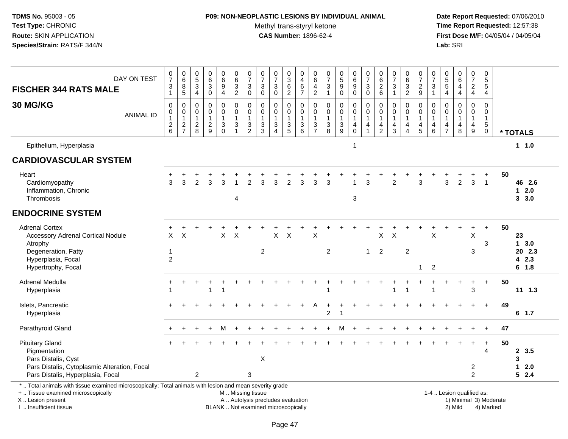# **P09: NON-NEOPLASTIC LESIONS BY INDIVIDUAL ANIMAL**

Methyl trans-styryl ketone<br>CAS Number: 1896-62-4

 **Date Report Requested:** 07/06/2010 **Time Report Requested:** 12:57:38 **First Dose M/F:** 04/05/04 / 04/05/04<br>Lab: SRI **Lab:** SRI

| DAY ON TEST<br><b>FISCHER 344 RATS MALE</b>                                                                                                                                                   | $\frac{0}{7}$<br>$\ensuremath{\mathsf{3}}$<br>$\mathbf{1}$ | $\begin{array}{c} 0 \\ 6 \end{array}$<br>$\frac{8}{5}$                   | $\begin{array}{c} 0 \\ 5 \end{array}$<br>$\sqrt{3}$<br>$\overline{4}$ | $\mathbf 0$<br>$\,6\,$<br>$\ensuremath{\mathsf{3}}$<br>$\mathbf 0$ | $\begin{array}{c} 0 \\ 6 \end{array}$<br>$\boldsymbol{9}$<br>$\overline{4}$ | 0<br>$\,6\,$<br>$\frac{3}{2}$                                                           | $\frac{0}{7}$<br>$\sqrt{3}$<br>$\mathbf 0$                                      | 0<br>$\overline{7}$<br>3<br>$\pmb{0}$                                        | $\frac{0}{7}$<br>$\ensuremath{\mathsf{3}}$<br>$\pmb{0}$                                   | $_3^0$<br>$\,6\,$<br>$\overline{2}$                                           | $\mathbf 0$<br>$\overline{4}$<br>$\begin{array}{c} 6 \\ 7 \end{array}$       | 0<br>$\overline{6}$<br>4<br>$\overline{c}$ | 0<br>$\frac{5}{7}$<br>$\frac{3}{1}$                                | $\begin{array}{c} 0 \\ 5 \\ 9 \end{array}$<br>$\bar{0}$                    | $\begin{array}{c} 0 \\ 6 \end{array}$<br>$\boldsymbol{9}$<br>$\ddot{\mathbf{0}}$ | $\frac{0}{7}$<br>$\sqrt{3}$<br>$\mathsf{O}\xspace$                           | 0<br>$\,6\,$<br>$^2\phantom{1}6$                                                 | $\begin{array}{c} 0 \\ 7 \end{array}$<br>$\ensuremath{\mathsf{3}}$<br>$\mathbf{1}$ | $_{6}^{\rm 0}$<br>$\sqrt{3}$<br>$\overline{2}$ | $\frac{0}{7}$<br>$\frac{2}{9}$                                | 0<br>$\overline{7}$<br>$\sqrt{3}$<br>$\mathbf{1}$                          | 0<br>$\frac{5}{4}$                                                      | $\begin{array}{c} 0 \\ 6 \end{array}$<br>$\overline{4}$<br>$\overline{4}$ | $\frac{0}{7}$<br>$\frac{2}{4}$                          | $\pmb{0}$<br>$\sqrt{5}$<br>$\sqrt{5}$<br>4                                   |                        |                                       |
|-----------------------------------------------------------------------------------------------------------------------------------------------------------------------------------------------|------------------------------------------------------------|--------------------------------------------------------------------------|-----------------------------------------------------------------------|--------------------------------------------------------------------|-----------------------------------------------------------------------------|-----------------------------------------------------------------------------------------|---------------------------------------------------------------------------------|------------------------------------------------------------------------------|-------------------------------------------------------------------------------------------|-------------------------------------------------------------------------------|------------------------------------------------------------------------------|--------------------------------------------|--------------------------------------------------------------------|----------------------------------------------------------------------------|----------------------------------------------------------------------------------|------------------------------------------------------------------------------|----------------------------------------------------------------------------------|------------------------------------------------------------------------------------|------------------------------------------------|---------------------------------------------------------------|----------------------------------------------------------------------------|-------------------------------------------------------------------------|---------------------------------------------------------------------------|---------------------------------------------------------|------------------------------------------------------------------------------|------------------------|---------------------------------------|
| <b>30 MG/KG</b><br><b>ANIMAL ID</b>                                                                                                                                                           | $\mathbf 0$<br>0<br>$\begin{array}{c} 2 \\ 6 \end{array}$  | $\pmb{0}$<br>$\begin{smallmatrix}0\\1\end{smallmatrix}$<br>$\frac{2}{7}$ | 0<br>$\mathbf 0$<br>$\mathbf{1}$<br>$\overline{2}$<br>8               | $\mathbf 0$<br>$\mathbf 0$<br>$\mathbf{1}$<br>$\sqrt{2}$<br>9      | 0<br>$\mathbf 0$<br>$\ensuremath{\mathsf{3}}$<br>$\Omega$                   | $\pmb{0}$<br>$\mathbf 0$<br>$\mathbf{1}$<br>$\ensuremath{\mathsf{3}}$<br>$\overline{1}$ | 0<br>$\mathbf 0$<br>$\mathbf{1}$<br>$\ensuremath{\mathsf{3}}$<br>$\overline{2}$ | $\mathbf 0$<br>$\mathbf 0$<br>$\mathbf{1}$<br>$\ensuremath{\mathsf{3}}$<br>3 | $\mathbf 0$<br>$\mathbf 0$<br>$\mathbf{1}$<br>$\ensuremath{\mathsf{3}}$<br>$\overline{4}$ | 0<br>$\mathbf 0$<br>$\overline{1}$<br>$\ensuremath{\mathsf{3}}$<br>$\sqrt{5}$ | $\mathbf 0$<br>$\mathbf 0$<br>$\mathbf{1}$<br>$\ensuremath{\mathsf{3}}$<br>6 | 0<br>$\mathbf 0$<br>3<br>$\overline{7}$    | 0<br>$\mathbf 0$<br>$\mathbf{1}$<br>$\ensuremath{\mathsf{3}}$<br>8 | $\pmb{0}$<br>$\mathbf 0$<br>$\mathbf{1}$<br>$\ensuremath{\mathsf{3}}$<br>9 | 0<br>$\mathbf 0$<br>1<br>$\overline{4}$<br>$\mathbf 0$                           | $\mathbf 0$<br>$\pmb{0}$<br>$\overline{1}$<br>$\overline{4}$<br>$\mathbf{1}$ | $\mathbf 0$<br>$\mathbf 0$<br>$\overline{1}$<br>$\overline{4}$<br>$\overline{2}$ | $\mathbf 0$<br>$\mathbf 0$<br>$\mathbf{1}$<br>$\overline{4}$<br>3                  | 0<br>$\Omega$<br>$\overline{4}$<br>4           | $\,0\,$<br>$\mathbf 0$<br>$\mathbf{1}$<br>$\overline{4}$<br>5 | $\mathbf 0$<br>$\mathbf 0$<br>$\mathbf{1}$<br>$\overline{\mathbf{4}}$<br>6 | $\Omega$<br>$\Omega$<br>$\mathbf 1$<br>$\overline{4}$<br>$\overline{7}$ | $\mathbf 0$<br>$\mathbf 0$<br>$\mathbf{1}$<br>$\overline{4}$<br>8         | 0<br>$\mathbf 0$<br>$\mathbf{1}$<br>$\overline{4}$<br>9 | $\mathbf 0$<br>$\mathbf 0$<br>$\mathbf{1}$<br>$5\phantom{.0}$<br>$\mathbf 0$ |                        | * TOTALS                              |
| Epithelium, Hyperplasia                                                                                                                                                                       |                                                            |                                                                          |                                                                       |                                                                    |                                                                             |                                                                                         |                                                                                 |                                                                              |                                                                                           |                                                                               |                                                                              |                                            |                                                                    |                                                                            | $\mathbf{1}$                                                                     |                                                                              |                                                                                  |                                                                                    |                                                |                                                               |                                                                            |                                                                         |                                                                           |                                                         |                                                                              |                        | 1 1.0                                 |
| <b>CARDIOVASCULAR SYSTEM</b>                                                                                                                                                                  |                                                            |                                                                          |                                                                       |                                                                    |                                                                             |                                                                                         |                                                                                 |                                                                              |                                                                                           |                                                                               |                                                                              |                                            |                                                                    |                                                                            |                                                                                  |                                                                              |                                                                                  |                                                                                    |                                                |                                                               |                                                                            |                                                                         |                                                                           |                                                         |                                                                              |                        |                                       |
| Heart<br>Cardiomyopathy<br>Inflammation, Chronic<br>Thrombosis                                                                                                                                | $\mathcal{R}$                                              | 3                                                                        | $\mathfrak{p}$                                                        | 3                                                                  | 3                                                                           | 4                                                                                       | $\overline{2}$                                                                  | 3                                                                            | 3                                                                                         | $\overline{2}$                                                                | з                                                                            | 3                                          | 3                                                                  |                                                                            | 3                                                                                | 3                                                                            |                                                                                  | $\overline{2}$                                                                     |                                                | 3                                                             |                                                                            | 3                                                                       | $\overline{2}$                                                            | 3                                                       | $\overline{1}$                                                               | 50                     | 46 2.6<br>$1 \quad 2.0$<br>3, 3.0     |
| <b>ENDOCRINE SYSTEM</b>                                                                                                                                                                       |                                                            |                                                                          |                                                                       |                                                                    |                                                                             |                                                                                         |                                                                                 |                                                                              |                                                                                           |                                                                               |                                                                              |                                            |                                                                    |                                                                            |                                                                                  |                                                                              |                                                                                  |                                                                                    |                                                |                                                               |                                                                            |                                                                         |                                                                           |                                                         |                                                                              |                        |                                       |
| <b>Adrenal Cortex</b><br><b>Accessory Adrenal Cortical Nodule</b><br>Atrophy<br>Degeneration, Fatty<br>Hyperplasia, Focal<br>Hypertrophy, Focal                                               | X<br>-1<br>$\overline{c}$                                  | $\times$                                                                 |                                                                       |                                                                    | X                                                                           | $\boldsymbol{\mathsf{X}}$                                                               |                                                                                 | $\overline{2}$                                                               | $\pmb{\times}$                                                                            | $\sf X$                                                                       |                                                                              | X                                          | $\overline{2}$                                                     |                                                                            |                                                                                  | $\mathbf{1}$                                                                 | X<br>$\overline{2}$                                                              | X                                                                                  | $\overline{c}$                                 | 1                                                             | X<br>$\overline{2}$                                                        |                                                                         |                                                                           | $\ddot{}$<br>$\sf X$<br>3                               | $\ddot{}$<br>3                                                               | 50                     | 23<br>13.0<br>20 2.3<br>42.3<br>6 1.8 |
| Adrenal Medulla<br>Hyperplasia                                                                                                                                                                | $\ddot{}$                                                  |                                                                          |                                                                       | $\overline{1}$                                                     |                                                                             |                                                                                         |                                                                                 |                                                                              |                                                                                           |                                                                               |                                                                              |                                            |                                                                    |                                                                            |                                                                                  |                                                                              |                                                                                  | 1                                                                                  |                                                |                                                               | $\overline{1}$                                                             |                                                                         | $\overline{1}$                                                            | $\ddot{}$<br>3                                          | $+$                                                                          | 50                     | $11 \t1.3$                            |
| Islets, Pancreatic<br>Hyperplasia                                                                                                                                                             |                                                            |                                                                          |                                                                       |                                                                    |                                                                             |                                                                                         |                                                                                 |                                                                              |                                                                                           |                                                                               |                                                                              |                                            | $\overline{c}$                                                     | -1                                                                         |                                                                                  |                                                                              |                                                                                  |                                                                                    |                                                |                                                               |                                                                            |                                                                         |                                                                           | $\ddot{}$                                               | $+$                                                                          | 49                     | $6$ 1.7                               |
| Parathyroid Gland                                                                                                                                                                             |                                                            |                                                                          |                                                                       |                                                                    | M                                                                           |                                                                                         |                                                                                 |                                                                              |                                                                                           |                                                                               |                                                                              |                                            |                                                                    |                                                                            |                                                                                  |                                                                              |                                                                                  |                                                                                    |                                                |                                                               |                                                                            |                                                                         |                                                                           |                                                         |                                                                              | 47                     |                                       |
| <b>Pituitary Gland</b><br>Pigmentation<br>Pars Distalis, Cyst<br>Pars Distalis, Cytoplasmic Alteration, Focal<br>Pars Distalis, Hyperplasia, Focal                                            |                                                            |                                                                          | $\overline{c}$                                                        |                                                                    |                                                                             |                                                                                         | $\mathbf{3}$                                                                    | $\boldsymbol{\mathsf{X}}$                                                    |                                                                                           |                                                                               |                                                                              |                                            |                                                                    |                                                                            |                                                                                  |                                                                              |                                                                                  |                                                                                    |                                                |                                                               |                                                                            |                                                                         |                                                                           | $\div$<br>2<br>$\overline{2}$                           | $\ddot{}$<br>4                                                               | 50                     | 2, 3.5<br>3<br>2.0<br>1<br>52.4       |
| *  Total animals with tissue examined microscopically; Total animals with lesion and mean severity grade<br>+  Tissue examined microscopically<br>X  Lesion present<br>I  Insufficient tissue |                                                            |                                                                          |                                                                       |                                                                    |                                                                             | M  Missing tissue                                                                       |                                                                                 |                                                                              | A  Autolysis precludes evaluation<br>BLANK  Not examined microscopically                  |                                                                               |                                                                              |                                            |                                                                    |                                                                            |                                                                                  |                                                                              |                                                                                  |                                                                                    |                                                |                                                               |                                                                            |                                                                         | 1-4  Lesion qualified as:<br>2) Mild                                      |                                                         | 4) Marked                                                                    | 1) Minimal 3) Moderate |                                       |

I .. Insufficient tissue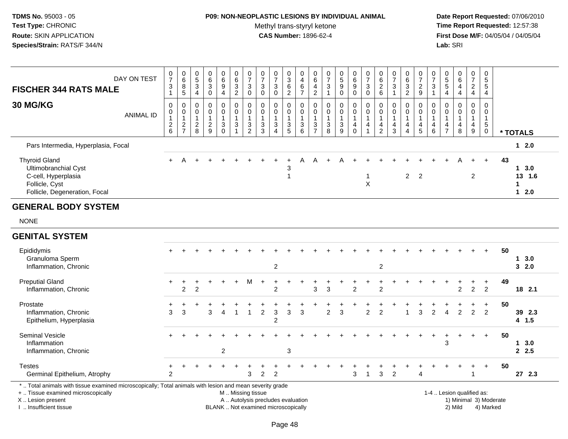## **P09: NON-NEOPLASTIC LESIONS BY INDIVIDUAL ANIMAL**

Methyl trans-styryl ketone<br>CAS Number: 1896-62-4

 **Date Report Requested:** 07/06/2010 **Time Report Requested:** 12:57:38 **First Dose M/F:** 04/05/04 / 04/05/04<br>Lab: SRI **Lab:** SRI

| <b>FISCHER 344 RATS MALE</b>                                                                                           | DAY ON TEST | 0<br>$\overline{7}$<br>3                             | $\mathbf 0$<br>$\,6$<br>$\bf 8$<br>5 | $\begin{smallmatrix}0\0\0\end{smallmatrix}$<br>$\ensuremath{\mathsf{3}}$ | 0<br>6<br>$\mathbf{3}$<br>$\mathbf 0$ | 0<br>6<br>9<br>$\overline{4}$ | 0<br>$\,6\,$<br>$\mathbf{3}$<br>$\overline{2}$ | $\frac{0}{7}$<br>3<br>$\mathbf 0$           | $\overline{7}$<br>3<br>$\mathbf 0$ | 0<br>$\overline{ }$<br>3<br>0 | $\frac{0}{3}$<br>$\,6\,$<br>$\overline{c}$                 | 0<br>$\overline{\mathbf{4}}$<br>$\,6\,$<br>$\rightarrow$ | $\begin{array}{c} 0 \\ 6 \end{array}$<br>4<br>$\overline{c}$ | $\frac{0}{7}$<br>$\mathbf{3}$                                        | 0<br>$\sqrt{5}$<br>$\boldsymbol{9}$<br>0 | $\,6\,$<br>9 | 0<br>$\rightarrow$<br>$\ensuremath{\mathsf{3}}$<br>$\mathbf 0$ | O<br>6<br>$\overline{2}$<br>6 | 0<br>$\overline{ }$<br>$\mathbf{3}$ | 0<br>$\,6\,$<br>$\sqrt{3}$<br>$\overline{c}$ | $\overline{ }$<br>$\boldsymbol{2}$<br>9 | $\frac{0}{7}$<br>3 | $\begin{array}{c} 0 \\ 5 \\ 5 \end{array}$<br>$\overline{4}$ | 0<br>6<br>4<br>$\overline{4}$                   | $\mathbf 0$<br>$\overline{ }$<br>$\overline{\mathbf{c}}$<br>4 | 0<br>5<br>5<br>$\overline{4}$ |                              |  |
|------------------------------------------------------------------------------------------------------------------------|-------------|------------------------------------------------------|--------------------------------------|--------------------------------------------------------------------------|---------------------------------------|-------------------------------|------------------------------------------------|---------------------------------------------|------------------------------------|-------------------------------|------------------------------------------------------------|----------------------------------------------------------|--------------------------------------------------------------|----------------------------------------------------------------------|------------------------------------------|--------------|----------------------------------------------------------------|-------------------------------|-------------------------------------|----------------------------------------------|-----------------------------------------|--------------------|--------------------------------------------------------------|-------------------------------------------------|---------------------------------------------------------------|-------------------------------|------------------------------|--|
| <b>30 MG/KG</b>                                                                                                        | ANIMAL ID   | 0<br>$\mathbf 0$<br>$\overline{2}$<br>$6\phantom{a}$ | 0<br>$\mathbf 0$<br>$\frac{2}{7}$    | 0<br>$\overline{0}$<br>$\frac{2}{8}$                                     | 0<br>0<br>$\frac{2}{9}$               | 0<br>0<br>$\mathbf{3}$<br>0   | $\mathbf 0$<br>$\pmb{0}$<br>$\mathbf{3}$       | $\pmb{0}$<br>$\pmb{0}$<br>$\mathbf{3}$<br>2 | $\mathbf 0$<br>$\mathbf{3}$<br>3   | $\mathbf 0$<br>0<br>3<br>4    | $_{0}^{0}$<br>$\ensuremath{\mathsf{3}}$<br>$5\phantom{.0}$ | 0<br>$\pmb{0}$<br>$\mathbf{3}$<br>6                      | $_{\rm 0}^{\rm 0}$<br>$\sqrt{3}$<br>$\overline{ }$           | $\begin{smallmatrix} 0\\0 \end{smallmatrix}$<br>$\sqrt{3}$<br>$\bf8$ | 0<br>$\mathbf 0$<br>$\mathbf{3}$<br>9    | 0<br>0<br>4  | 0<br>$\mathsf 0$<br>4                                          | $\pmb{0}$<br>4<br>2           | 0<br>$\pmb{0}$<br>4<br>3            | 0<br>$\mathsf{O}\xspace$<br>4<br>4           | $\mathbf 0$<br>4<br>5                   | 0<br>0<br>4<br>6   | 4<br>$\overline{7}$                                          | 0<br>$\mathsf{O}\xspace$<br>$\overline{4}$<br>8 | $\overline{0}$<br>$\mathbf 0$<br>4<br>9                       | 0<br>0<br>5<br>$\mathbf 0$    | * TOTALS                     |  |
| Pars Intermedia, Hyperplasia, Focal                                                                                    |             |                                                      |                                      |                                                                          |                                       |                               |                                                |                                             |                                    |                               |                                                            |                                                          |                                                              |                                                                      |                                          |              |                                                                |                               |                                     |                                              |                                         |                    |                                                              |                                                 |                                                               |                               | $12.0$                       |  |
| <b>Thyroid Gland</b><br>Ultimobranchial Cyst<br>C-cell, Hyperplasia<br>Follicle, Cyst<br>Follicle, Degeneration, Focal |             | $+$                                                  |                                      |                                                                          |                                       |                               |                                                |                                             |                                    |                               | 3                                                          |                                                          |                                                              |                                                                      |                                          |              | X                                                              |                               |                                     |                                              | $2 \quad 2$                             |                    |                                                              | A                                               | 2                                                             | $+$                           | 43<br>13.0<br>13 1.6<br>12.0 |  |

#### **GENERAL BODY SYSTEM**

NONE

#### **GENITAL SYSTEM**

| Epididymis                   |        |                |   |   |   |     |   |                |   |   |   |   |                |   |                |                |                |                |   |   |    |               |       | $+$            | 50 |         |  |
|------------------------------|--------|----------------|---|---|---|-----|---|----------------|---|---|---|---|----------------|---|----------------|----------------|----------------|----------------|---|---|----|---------------|-------|----------------|----|---------|--|
| Granuloma Sperm              |        |                |   |   |   |     |   |                |   |   |   |   |                |   |                |                |                |                |   |   |    |               |       |                |    | 3.0     |  |
| Inflammation, Chronic        |        |                |   |   |   |     |   |                | 2 |   |   |   |                |   |                |                | $\overline{2}$ |                |   |   |    |               |       |                |    | 32.0    |  |
| <b>Preputial Gland</b>       | $+$    |                |   |   |   | $+$ | м |                |   |   |   |   |                |   |                |                |                |                |   |   |    |               |       |                | 49 |         |  |
| Inflammation, Chronic        |        | $\overline{2}$ | 2 |   |   |     |   |                | 2 |   |   | 3 | 3              |   | $\overline{2}$ |                | $\overline{2}$ |                |   |   |    | $\mathcal{P}$ | 2     | $\overline{2}$ |    | 18 2.1  |  |
| Prostate                     |        |                |   |   |   |     |   |                |   |   |   |   |                |   |                |                |                |                |   |   |    |               |       |                | 50 |         |  |
| Inflammation, Chronic        | 3      | 3              |   | 3 | Δ |     |   | 2              | 3 | 3 | 3 |   | $\overline{2}$ | 3 |                | $\overline{2}$ | $\overline{2}$ |                | 3 | 2 | 4  | $\mathcal{P}$ | 2     | $\overline{2}$ |    | 39 2.3  |  |
| Epithelium, Hyperplasia      |        |                |   |   |   |     |   |                | 2 |   |   |   |                |   |                |                |                |                |   |   |    |               |       |                |    | $4$ 1.5 |  |
| <b>Seminal Vesicle</b>       | $+$    |                |   |   |   |     |   |                |   |   |   |   |                |   |                |                |                |                |   |   |    |               | $\pm$ | $+$            | 50 |         |  |
| Inflammation                 |        |                |   |   |   |     |   |                |   |   |   |   |                |   |                |                |                |                |   |   | 3  |               |       |                |    | 3.0     |  |
| Inflammation, Chronic        |        |                |   |   | 2 |     |   |                |   | 3 |   |   |                |   |                |                |                |                |   |   |    |               |       |                |    | 2.5     |  |
| <b>Testes</b>                | $\div$ |                |   |   |   |     |   |                |   |   |   |   |                |   |                |                |                |                |   |   | ÷. |               | $+$   | $+$            | 50 |         |  |
| Germinal Epithelium, Atrophy | 2      |                |   |   |   |     | 3 | $\overline{2}$ | 2 |   |   |   |                |   | 3              |                | 3              | $\overline{2}$ | 4 |   |    |               |       |                |    | 27 2.3  |  |

X .. Lesion present I .. Insufficient tissue

BLANK .. Not examined microscopically 2) Mild 4) Marked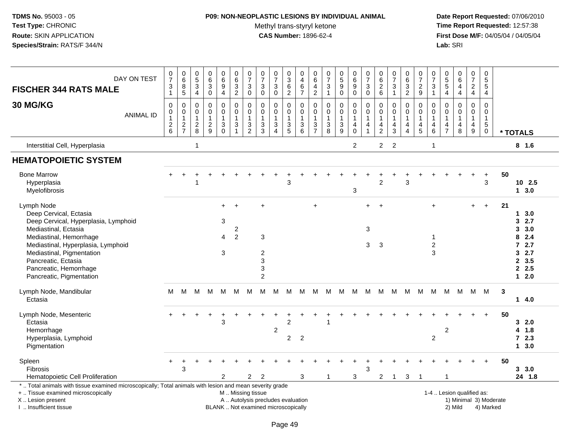#### **P09: NON-NEOPLASTIC LESIONS BY INDIVIDUAL ANIMAL**

Methyl trans-styryl ketone<br>CAS Number: 1896-62-4

| DAY ON TEST<br><b>FISCHER 344 RATS MALE</b>                                                                                                                                                                                                                                     | $\pmb{0}$<br>$\overline{7}$<br>3<br>$\mathbf{1}$                     | $\pmb{0}$<br>$\,6\,$<br>8<br>$\,$ 5 $\,$                  | $\pmb{0}$<br>$\,$ 5 $\,$<br>$\mathbf{3}$<br>4            | 0<br>$\overline{6}$<br>3<br>0                                      | $\pmb{0}$<br>$\,6\,$<br>9<br>$\overline{4}$                              | $\pmb{0}$<br>$\frac{6}{3}$<br>$\sqrt{2}$                                                      | $\pmb{0}$<br>$\overline{7}$<br>$\mathbf{3}$<br>$\boldsymbol{0}$      | $\begin{matrix} 0 \\ 7 \end{matrix}$<br>$\mathbf{3}$<br>$\mathbf 0$        | $\frac{0}{7}$<br>3<br>0            | $\pmb{0}$<br>$\ensuremath{\mathsf{3}}$<br>6<br>$\overline{2}$ | $\pmb{0}$<br>$\overline{4}$<br>6<br>$\overline{7}$            | 0<br>$\,6\,$<br>$\overline{4}$<br>$\sqrt{2}$            | $\frac{0}{7}$<br>$\sqrt{3}$<br>$\overline{1}$                                     | 0<br>$\overline{5}$<br>9<br>$\pmb{0}$                 | $\mathbf 0$<br>$\,6\,$<br>9<br>$\mathbf 0$                   | $\pmb{0}$<br>$\overline{7}$<br>3<br>$\mathsf 0$   | $\pmb{0}$<br>$\,6\,$<br>$\overline{2}$<br>$\,6\,$       | $\begin{array}{c} 0 \\ 7 \end{array}$<br>3           | $\pmb{0}$<br>$\,6\,$<br>3<br>$\overline{2}$                                    | $\,0\,$<br>$\overline{7}$<br>$\boldsymbol{2}$<br>$\boldsymbol{9}$                | $\,0\,$<br>$\overline{7}$<br>3<br>$\mathbf{1}$   | $\,0\,$<br>$\sqrt{5}$<br>5<br>4                         | 0<br>$6\phantom{a}$<br>$\overline{\mathbf{4}}$<br>4   | $\pmb{0}$<br>$\overline{7}$<br>$\frac{2}{4}$                                 | $\pmb{0}$<br>$\overline{5}$<br>5<br>4              |    |                                                                                         |
|---------------------------------------------------------------------------------------------------------------------------------------------------------------------------------------------------------------------------------------------------------------------------------|----------------------------------------------------------------------|-----------------------------------------------------------|----------------------------------------------------------|--------------------------------------------------------------------|--------------------------------------------------------------------------|-----------------------------------------------------------------------------------------------|----------------------------------------------------------------------|----------------------------------------------------------------------------|------------------------------------|---------------------------------------------------------------|---------------------------------------------------------------|---------------------------------------------------------|-----------------------------------------------------------------------------------|-------------------------------------------------------|--------------------------------------------------------------|---------------------------------------------------|---------------------------------------------------------|------------------------------------------------------|--------------------------------------------------------------------------------|----------------------------------------------------------------------------------|--------------------------------------------------|---------------------------------------------------------|-------------------------------------------------------|------------------------------------------------------------------------------|----------------------------------------------------|----|-----------------------------------------------------------------------------------------|
| 30 MG/KG<br><b>ANIMAL ID</b>                                                                                                                                                                                                                                                    | $\mathbf 0$<br>0<br>$\mathbf{1}$<br>$\overline{c}$<br>$6\phantom{a}$ | $\mathbf 0$<br>$\pmb{0}$<br>$\mathbf{1}$<br>$\frac{2}{7}$ | $\mathbf 0$<br>$\pmb{0}$<br>$\mathbf{1}$<br>$_{\rm 8}^2$ | $\mathbf 0$<br>$\mathsf{O}$<br>$\mathbf{1}$<br>$\overline{c}$<br>9 | $\pmb{0}$<br>$\pmb{0}$<br>$\mathbf{1}$<br>$\mathbf{3}$<br>$\overline{0}$ | $\mathbf 0$<br>$\pmb{0}$<br>$\overline{1}$<br>$\sqrt{3}$<br>$\mathbf{1}$                      | $\mathbf 0$<br>0<br>$\overline{1}$<br>$\mathbf{3}$<br>$\overline{2}$ | $\mathbf 0$<br>$\mathbf 0$<br>$\mathbf{1}$<br>$\sqrt{3}$<br>$\overline{3}$ | 0<br>0<br>1<br>3<br>$\overline{4}$ | $\pmb{0}$<br>$\mathbf 0$<br>$\mathbf{1}$<br>$\frac{3}{5}$     | $\mathbf 0$<br>$\pmb{0}$<br>$\mathbf{1}$<br>$\mathbf{3}$<br>6 | $\mathbf 0$<br>0<br>$\mathbf{1}$<br>3<br>$\overline{7}$ | $\mathbf 0$<br>$\pmb{0}$<br>$\mathbf{1}$<br>$\begin{array}{c} 3 \\ 8 \end{array}$ | 0<br>$\pmb{0}$<br>$\mathbf{1}$<br>3<br>$\overline{9}$ | $\mathbf 0$<br>$\pmb{0}$<br>$\mathbf{1}$<br>4<br>$\mathbf 0$ | $\mathbf 0$<br>$\mathbf 0$<br>1<br>$\overline{4}$ | $\mathbf 0$<br>0<br>$\mathbf{1}$<br>4<br>$\overline{2}$ | $\mathbf 0$<br>$\mathbf 0$<br>$\mathbf{1}$<br>4<br>3 | $\mathbf 0$<br>$\mathbf 0$<br>$\mathbf{1}$<br>$\overline{4}$<br>$\overline{4}$ | $\mathbf 0$<br>$\mathbf 0$<br>$\overline{1}$<br>$\overline{4}$<br>$\overline{5}$ | 0<br>0<br>$\mathbf{1}$<br>4<br>$\,6\,$           | $\mathbf 0$<br>0<br>$\mathbf{1}$<br>4<br>$\overline{7}$ | $\mathbf 0$<br>$\mathsf{O}$<br>$\mathbf{1}$<br>4<br>8 | $\pmb{0}$<br>$\pmb{0}$<br>$\mathbf{1}$<br>$\overline{4}$<br>$\boldsymbol{9}$ | $\mathbf 0$<br>0<br>$\mathbf{1}$<br>5<br>$\pmb{0}$ |    | * TOTALS                                                                                |
| Interstitial Cell, Hyperplasia                                                                                                                                                                                                                                                  |                                                                      |                                                           | $\mathbf{1}$                                             |                                                                    |                                                                          |                                                                                               |                                                                      |                                                                            |                                    |                                                               |                                                               |                                                         |                                                                                   |                                                       | $\overline{2}$                                               |                                                   | $\overline{2}$                                          | $\overline{2}$                                       |                                                                                |                                                                                  | $\mathbf{1}$                                     |                                                         |                                                       |                                                                              |                                                    |    | 8 1.6                                                                                   |
| <b>HEMATOPOIETIC SYSTEM</b>                                                                                                                                                                                                                                                     |                                                                      |                                                           |                                                          |                                                                    |                                                                          |                                                                                               |                                                                      |                                                                            |                                    |                                                               |                                                               |                                                         |                                                                                   |                                                       |                                                              |                                                   |                                                         |                                                      |                                                                                |                                                                                  |                                                  |                                                         |                                                       |                                                                              |                                                    |    |                                                                                         |
| <b>Bone Marrow</b><br>Hyperplasia<br>Myelofibrosis                                                                                                                                                                                                                              |                                                                      |                                                           |                                                          |                                                                    |                                                                          |                                                                                               |                                                                      |                                                                            |                                    | 3                                                             |                                                               |                                                         |                                                                                   |                                                       | 3                                                            |                                                   | $\overline{2}$                                          |                                                      | 3                                                                              |                                                                                  |                                                  |                                                         |                                                       |                                                                              | $\ddot{}$<br>$\mathbf{3}$                          | 50 | 10 2.5<br>13.0                                                                          |
| Lymph Node<br>Deep Cervical, Ectasia<br>Deep Cervical, Hyperplasia, Lymphoid<br>Mediastinal, Ectasia<br>Mediastinal, Hemorrhage<br>Mediastinal, Hyperplasia, Lymphoid<br>Mediastinal, Pigmentation<br>Pancreatic, Ectasia<br>Pancreatic, Hemorrhage<br>Pancreatic, Pigmentation |                                                                      |                                                           |                                                          |                                                                    | $+$<br>3<br>4<br>3                                                       | $\overline{c}$<br>$\overline{2}$                                                              |                                                                      | 3<br>$\overline{c}$<br>3<br>3<br>$\overline{c}$                            |                                    |                                                               |                                                               | $+$                                                     |                                                                                   |                                                       |                                                              | $\ddot{}$<br>3<br>3                               | 3                                                       |                                                      |                                                                                |                                                                                  | $\ddot{}$<br>$\mathbf{1}$<br>$\overline{c}$<br>3 |                                                         |                                                       | $+$                                                                          | $+$                                                | 21 | 3.0<br>1<br>2.7<br>3<br>3.0<br>3<br>2.4<br>8<br>72.7<br>32.7<br>2, 3.5<br>2.5<br>$12.0$ |
| Lymph Node, Mandibular<br>Ectasia                                                                                                                                                                                                                                               | м                                                                    | M                                                         | M                                                        | M                                                                  | M                                                                        | М                                                                                             | м                                                                    | М                                                                          | М                                  | M                                                             | M                                                             | м                                                       | M                                                                                 | M                                                     | M                                                            | M                                                 | M                                                       | M                                                    | M                                                                              | м                                                                                | M                                                | M                                                       | M                                                     | M                                                                            | M                                                  | 3  | 14.0                                                                                    |
| Lymph Node, Mesenteric<br>Ectasia<br>Hemorrhage<br>Hyperplasia, Lymphoid<br>Pigmentation                                                                                                                                                                                        |                                                                      |                                                           |                                                          | $\overline{1}$                                                     | 3                                                                        |                                                                                               |                                                                      |                                                                            | $\overline{c}$                     | 2<br>$\overline{2}$                                           | $\overline{c}$                                                |                                                         |                                                                                   |                                                       |                                                              |                                                   |                                                         |                                                      |                                                                                |                                                                                  | $\overline{2}$                                   | 2                                                       |                                                       |                                                                              |                                                    | 50 | 32.0<br>4 1.8<br>72.3<br>13.0                                                           |
| Spleen<br><b>Fibrosis</b><br>Hematopoietic Cell Proliferation                                                                                                                                                                                                                   |                                                                      | 3                                                         |                                                          |                                                                    | $\overline{2}$                                                           |                                                                                               | $\overline{2}$                                                       | $\overline{2}$                                                             |                                    |                                                               | 3                                                             |                                                         | -1                                                                                |                                                       | 3                                                            | 3                                                 | $\overline{2}$                                          | $\overline{1}$                                       | 3                                                                              | -1                                                                               |                                                  |                                                         |                                                       |                                                                              | $\overline{+}$                                     | 50 | 3, 3.0<br>24 1.8                                                                        |
| *  Total animals with tissue examined microscopically; Total animals with lesion and mean severity grade<br>+  Tissue examined microscopically<br>X Lesion present<br>I. Insufficient tissue                                                                                    |                                                                      |                                                           |                                                          |                                                                    |                                                                          | M  Missing tissue<br>A  Autolysis precludes evaluation<br>BLANK  Not examined microscopically |                                                                      |                                                                            |                                    |                                                               |                                                               |                                                         |                                                                                   |                                                       |                                                              |                                                   |                                                         |                                                      |                                                                                |                                                                                  |                                                  | 1-4  Lesion qualified as:                               | 2) Mild                                               |                                                                              | 1) Minimal 3) Moderate<br>4) Marked                |    |                                                                                         |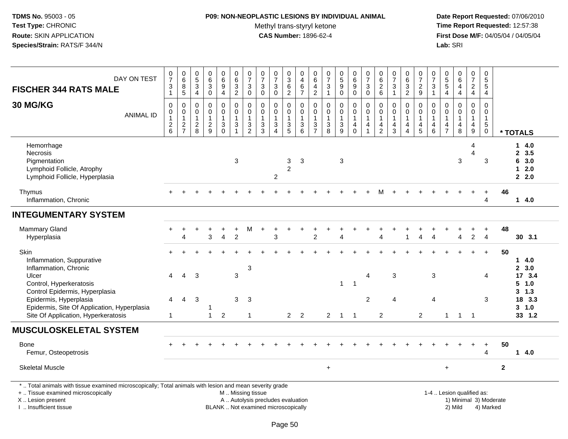## **P09: NON-NEOPLASTIC LESIONS BY INDIVIDUAL ANIMAL**

Methyl trans-styryl ketone<br>CAS Number: 1896-62-4

| DAY ON TEST<br><b>FISCHER 344 RATS MALE</b>                                                                                                                                                   | $\frac{0}{7}$<br>3<br>$\overline{1}$              | $_{6}^{\rm 0}$<br>8<br>$\overline{5}$                     | $\begin{array}{c} 0 \\ 5 \end{array}$<br>$\frac{3}{4}$  | $_{6}^{\rm 0}$<br>$\frac{3}{0}$                                   | $\pmb{0}$<br>$\,6\,$<br>$\boldsymbol{9}$<br>$\overline{\mathbf{4}}$   | $\pmb{0}$<br>$\,6\,$<br>$\frac{3}{2}$                   | $\begin{array}{c} 0 \\ 7 \end{array}$<br>$\ensuremath{\mathsf{3}}$<br>$\mathbf 0$ | $\frac{0}{7}$<br>3<br>$\overline{0}$                      | $\begin{array}{c} 0 \\ 7 \end{array}$<br>$\sqrt{3}$<br>$\ddot{\mathbf{0}}$            | 0<br>3<br>6<br>$\overline{2}$          | $\pmb{0}$<br>$\overline{\mathbf{4}}$<br>$\frac{6}{7}$                         | $\pmb{0}$<br>$\,6\,$<br>$\overline{4}$<br>$\overline{c}$         | $\frac{0}{7}$<br>3<br>$\overline{1}$      | 0<br>9<br>0<br>0                                | $\pmb{0}$<br>6<br>$_{0}^{9}$                                                      | $\frac{0}{7}$<br>$\ensuremath{\mathsf{3}}$<br>$\overline{0}$                 | $_{6}^{\rm 0}$<br>$\frac{2}{6}$                                      | $\frac{0}{7}$<br>$\sqrt{3}$<br>$\mathbf{1}$                              | $\begin{array}{c} 0 \\ 6 \end{array}$<br>$\mathbf{3}$<br>$\overline{2}$ | $\frac{0}{7}$<br>$\frac{2}{9}$                                                    | $\frac{0}{7}$<br>$\ensuremath{\mathsf{3}}$<br>$\mathbf{1}$        | $\begin{array}{c} 0 \\ 5 \\ 5 \end{array}$<br>$\overline{4}$ | $\begin{array}{c} 0 \\ 6 \end{array}$<br>$\overline{4}$<br>$\overline{4}$          | $\pmb{0}$<br>$\overline{7}$<br>$\frac{2}{4}$                           | 0<br>5<br>5<br>$\overline{4}$    |                        |                                          |
|-----------------------------------------------------------------------------------------------------------------------------------------------------------------------------------------------|---------------------------------------------------|-----------------------------------------------------------|---------------------------------------------------------|-------------------------------------------------------------------|-----------------------------------------------------------------------|---------------------------------------------------------|-----------------------------------------------------------------------------------|-----------------------------------------------------------|---------------------------------------------------------------------------------------|----------------------------------------|-------------------------------------------------------------------------------|------------------------------------------------------------------|-------------------------------------------|-------------------------------------------------|-----------------------------------------------------------------------------------|------------------------------------------------------------------------------|----------------------------------------------------------------------|--------------------------------------------------------------------------|-------------------------------------------------------------------------|-----------------------------------------------------------------------------------|-------------------------------------------------------------------|--------------------------------------------------------------|------------------------------------------------------------------------------------|------------------------------------------------------------------------|----------------------------------|------------------------|------------------------------------------|
| 30 MG/KG<br><b>ANIMAL ID</b>                                                                                                                                                                  | $\mathbf 0$<br>0<br>$\mathbf{1}$<br>$\frac{2}{6}$ | 0<br>$\mathsf{O}\xspace$<br>$\mathbf{1}$<br>$\frac{2}{7}$ | $\pmb{0}$<br>$\pmb{0}$<br>$\mathbf{1}$<br>$\frac{2}{8}$ | $\pmb{0}$<br>$\ddot{\mathbf{0}}$<br>$\mathbf{1}$<br>$\frac{2}{9}$ | $\pmb{0}$<br>$\pmb{0}$<br>$\overline{1}$<br>$\sqrt{3}$<br>$\mathbf 0$ | $\pmb{0}$<br>$\pmb{0}$<br>$\mathbf{1}$<br>$\frac{3}{1}$ | 0<br>$\mathbf 0$<br>1<br>3<br>$\overline{2}$                                      | $\pmb{0}$<br>$\mathbf 0$<br>$\mathbf{1}$<br>$\frac{3}{3}$ | $\pmb{0}$<br>$\pmb{0}$<br>$\mathbf{1}$<br>$\ensuremath{\mathsf{3}}$<br>$\overline{4}$ | 0<br>$\mathbf 0$<br>1<br>$\frac{3}{5}$ | $\mathbf 0$<br>$\mathbf 0$<br>$\overline{1}$<br>$\sqrt{3}$<br>$6\phantom{1}6$ | $\mathbf 0$<br>$\boldsymbol{0}$<br>$\mathbf{1}$<br>$\frac{3}{7}$ | $\mathbf 0$<br>$\mathbf 0$<br>1<br>3<br>8 | 0<br>$\bar{0}$<br>$\mathbf{1}$<br>$\frac{3}{9}$ | $\pmb{0}$<br>$\ddot{\mathbf{0}}$<br>$\mathbf{1}$<br>$\overline{4}$<br>$\mathbf 0$ | $\pmb{0}$<br>$\mathsf 0$<br>$\mathbf{1}$<br>$\overline{4}$<br>$\overline{1}$ | $\pmb{0}$<br>0<br>$\overline{1}$<br>$\overline{a}$<br>$\overline{c}$ | $\pmb{0}$<br>$\pmb{0}$<br>$\mathbf{1}$<br>$\overline{4}$<br>$\mathbf{3}$ | $\mathbf 0$<br>$\mathbf 0$<br>$\overline{4}$<br>4                       | 0<br>$\ddot{\mathbf{0}}$<br>$\mathbf{1}$<br>$\begin{array}{c} 4 \\ 5 \end{array}$ | $\pmb{0}$<br>$\pmb{0}$<br>$\mathbf{1}$<br>$\overline{4}$<br>$\,6$ | 0<br>0<br>1<br>$\overline{4}$<br>$\overline{7}$              | $\pmb{0}$<br>$\ddot{\mathbf{0}}$<br>$\overline{1}$<br>$\overline{\mathbf{4}}$<br>8 | 0<br>$\mathsf 0$<br>$\mathbf{1}$<br>$\overline{4}$<br>$\boldsymbol{9}$ | 0<br>0<br>$\mathbf{1}$<br>5<br>0 |                        | * TOTALS                                 |
| Hemorrhage<br>Necrosis<br>Pigmentation<br>Lymphoid Follicle, Atrophy<br>Lymphoid Follicle, Hyperplasia                                                                                        |                                                   |                                                           |                                                         |                                                                   |                                                                       | 3                                                       |                                                                                   |                                                           | $\overline{2}$                                                                        | 3<br>$\overline{c}$                    | 3                                                                             |                                                                  |                                           | 3                                               |                                                                                   |                                                                              |                                                                      |                                                                          |                                                                         |                                                                                   |                                                                   |                                                              | $\sqrt{3}$                                                                         | 4<br>$\overline{\mathbf{4}}$                                           | 3                                |                        | 14.0<br>2, 3.5<br>6 3.0<br>$12.0$<br>2.0 |
| Thymus<br>Inflammation, Chronic                                                                                                                                                               |                                                   |                                                           |                                                         |                                                                   |                                                                       |                                                         |                                                                                   |                                                           |                                                                                       |                                        |                                                                               |                                                                  |                                           |                                                 |                                                                                   |                                                                              |                                                                      |                                                                          |                                                                         |                                                                                   |                                                                   |                                                              |                                                                                    |                                                                        | 4                                | 46                     | 14.0                                     |
| <b>INTEGUMENTARY SYSTEM</b>                                                                                                                                                                   |                                                   |                                                           |                                                         |                                                                   |                                                                       |                                                         |                                                                                   |                                                           |                                                                                       |                                        |                                                                               |                                                                  |                                           |                                                 |                                                                                   |                                                                              |                                                                      |                                                                          |                                                                         |                                                                                   |                                                                   |                                                              |                                                                                    |                                                                        |                                  |                        |                                          |
| Mammary Gland<br>Hyperplasia                                                                                                                                                                  |                                                   | $\Delta$                                                  |                                                         | 3                                                                 | $\ddot{}$<br>$\overline{4}$                                           | $\overline{2}$                                          | М                                                                                 |                                                           | 3                                                                                     |                                        |                                                                               | $\overline{2}$                                                   |                                           | $\boldsymbol{\Lambda}$                          |                                                                                   |                                                                              | Δ                                                                    |                                                                          |                                                                         |                                                                                   | Δ                                                                 |                                                              | Δ                                                                                  | $\overline{2}$                                                         | $\ddot{}$<br>$\overline{4}$      | 48                     | 30 3.1                                   |
| Skin<br>Inflammation, Suppurative<br>Inflammation, Chronic                                                                                                                                    |                                                   | $\overline{4}$                                            | 3                                                       |                                                                   |                                                                       |                                                         | 3                                                                                 |                                                           |                                                                                       |                                        |                                                                               |                                                                  |                                           |                                                 |                                                                                   |                                                                              |                                                                      |                                                                          |                                                                         |                                                                                   |                                                                   |                                                              |                                                                                    |                                                                        | $\ddot{}$                        | 50                     | 14.0<br>2, 3.0                           |
| Ulcer<br>Control, Hyperkeratosis<br>Control Epidermis, Hyperplasia<br>Epidermis, Hyperplasia                                                                                                  | 4<br>4                                            | $\overline{4}$                                            | 3                                                       |                                                                   |                                                                       | 3<br>3                                                  | 3                                                                                 |                                                           |                                                                                       |                                        |                                                                               |                                                                  |                                           | $\mathbf{1}$                                    | $\overline{1}$                                                                    | $\overline{4}$<br>$\overline{2}$                                             |                                                                      | 3<br>4                                                                   |                                                                         |                                                                                   | 3<br>$\overline{4}$                                               |                                                              |                                                                                    |                                                                        | 4<br>3                           |                        | 17 3.4<br>$5 \t1.0$<br>3, 1.3<br>18 3.3  |
| Epidermis, Site Of Application, Hyperplasia<br>Site Of Application, Hyperkeratosis                                                                                                            | $\mathbf{1}$                                      |                                                           |                                                         | $\mathbf{1}$                                                      | $\boldsymbol{2}$                                                      |                                                         | $\mathbf{1}$                                                                      |                                                           |                                                                                       | $2^{\circ}$                            | $\overline{2}$                                                                |                                                                  | $\overline{2}$                            | $\overline{1}$                                  | $\overline{1}$                                                                    |                                                                              | $\overline{2}$                                                       |                                                                          |                                                                         | $\overline{2}$                                                                    |                                                                   | $\mathbf{1}$                                                 | $\overline{1}$                                                                     | $\overline{1}$                                                         |                                  |                        | $3 - 1.0$<br>33 1.2                      |
| <b>MUSCULOSKELETAL SYSTEM</b>                                                                                                                                                                 |                                                   |                                                           |                                                         |                                                                   |                                                                       |                                                         |                                                                                   |                                                           |                                                                                       |                                        |                                                                               |                                                                  |                                           |                                                 |                                                                                   |                                                                              |                                                                      |                                                                          |                                                                         |                                                                                   |                                                                   |                                                              |                                                                                    |                                                                        |                                  |                        |                                          |
| Bone<br>Femur, Osteopetrosis                                                                                                                                                                  |                                                   |                                                           |                                                         |                                                                   |                                                                       |                                                         |                                                                                   |                                                           |                                                                                       |                                        |                                                                               |                                                                  |                                           |                                                 |                                                                                   |                                                                              |                                                                      |                                                                          |                                                                         |                                                                                   |                                                                   |                                                              |                                                                                    |                                                                        | $\ddot{}$<br>4                   | 50                     | 14.0                                     |
| <b>Skeletal Muscle</b>                                                                                                                                                                        |                                                   |                                                           |                                                         |                                                                   |                                                                       |                                                         |                                                                                   |                                                           |                                                                                       |                                        |                                                                               |                                                                  | $\ddot{}$                                 |                                                 |                                                                                   |                                                                              |                                                                      |                                                                          |                                                                         |                                                                                   |                                                                   | $\ddot{}$                                                    |                                                                                    |                                                                        |                                  | $\mathbf{2}$           |                                          |
| *  Total animals with tissue examined microscopically; Total animals with lesion and mean severity grade<br>+  Tissue examined microscopically<br>X  Lesion present<br>I. Insufficient tissue |                                                   |                                                           |                                                         |                                                                   |                                                                       | M  Missing tissue                                       |                                                                                   |                                                           | A  Autolysis precludes evaluation<br>BLANK  Not examined microscopically              |                                        |                                                                               |                                                                  |                                           |                                                 |                                                                                   |                                                                              |                                                                      |                                                                          |                                                                         |                                                                                   |                                                                   |                                                              | 1-4  Lesion qualified as:<br>2) Mild                                               |                                                                        | 4) Marked                        | 1) Minimal 3) Moderate |                                          |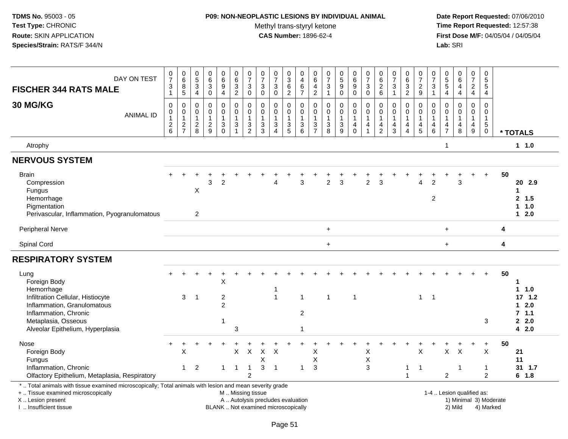## **P09: NON-NEOPLASTIC LESIONS BY INDIVIDUAL ANIMAL**

Methyl trans-styryl ketone<br>CAS Number: 1896-62-4

| DAY ON TEST<br><b>FISCHER 344 RATS MALE</b><br>30 MG/KG                                                                                                                                       | $\frac{0}{7}$<br>$\ensuremath{\mathsf{3}}$<br>$\mathbf{1}$               | $_6^0$<br>8<br>5                                | $\begin{array}{c} 0 \\ 5 \end{array}$<br>$\overline{3}$<br>$\overline{4}$ | $\begin{array}{c} 0 \\ 6 \end{array}$<br>$\overline{3}$ | $\pmb{0}$<br>$\overline{6}$<br>$\boldsymbol{9}$<br>$\overline{4}$ | $\pmb{0}$<br>$\overline{6}$<br>$\frac{3}{2}$                  | 0<br>$\overline{7}$<br>$\mathbf{3}$<br>$\mathbf 0$<br>$\Omega$ | $\frac{0}{7}$<br>$\sqrt{3}$<br>$\mathbf 0$        | $\frac{0}{7}$<br>$\ensuremath{\mathsf{3}}$<br>$\mathbf 0$                | 0<br>$\overline{3}$<br>$\frac{6}{2}$ | $\mathbf 0$<br>$\overline{4}$<br>$\frac{6}{7}$            | 0<br>$\,6\,$<br>$\overline{\mathbf{4}}$<br>$\overline{2}$ | $\frac{0}{7}$<br>$\frac{3}{1}$                            | $\begin{array}{c} 0 \\ 5 \end{array}$<br>$\mathsf g$<br>$\ddot{\mathbf{0}}$ | $\begin{array}{c} 0 \\ 6 \end{array}$<br>$\boldsymbol{9}$<br>$\overline{0}$ | $\frac{0}{7}$<br>$\ensuremath{\mathsf{3}}$<br>$\mathbf 0$                             | $\pmb{0}$<br>$\overline{6}$<br>$\frac{2}{6}$<br>$\Omega$ | $\begin{array}{c} 0 \\ 7 \end{array}$<br>$\ensuremath{\mathsf{3}}$<br>$\mathbf{1}$ | 0<br>$\overline{6}$<br>$\frac{3}{2}$                             | $\frac{0}{7}$<br>$\frac{2}{9}$<br>$\Omega$                             | 0<br>$\bar{7}$<br>3<br>$\mathbf{1}$<br>$\Omega$    | $\begin{array}{c} 0 \\ 5 \\ 5 \end{array}$<br>$\overline{4}$<br>$\Omega$ | $_{6}^{\rm 0}$<br>$\overline{4}$<br>$\overline{4}$        | 0<br>$\overline{7}$<br>$\frac{2}{4}$<br>$\Omega$                     | $\mathbf 0$<br>$\overline{5}$<br>$\overline{5}$<br>$\overline{4}$<br>$\Omega$ |    |                                                                         |
|-----------------------------------------------------------------------------------------------------------------------------------------------------------------------------------------------|--------------------------------------------------------------------------|-------------------------------------------------|---------------------------------------------------------------------------|---------------------------------------------------------|-------------------------------------------------------------------|---------------------------------------------------------------|----------------------------------------------------------------|---------------------------------------------------|--------------------------------------------------------------------------|--------------------------------------|-----------------------------------------------------------|-----------------------------------------------------------|-----------------------------------------------------------|-----------------------------------------------------------------------------|-----------------------------------------------------------------------------|---------------------------------------------------------------------------------------|----------------------------------------------------------|------------------------------------------------------------------------------------|------------------------------------------------------------------|------------------------------------------------------------------------|----------------------------------------------------|--------------------------------------------------------------------------|-----------------------------------------------------------|----------------------------------------------------------------------|-------------------------------------------------------------------------------|----|-------------------------------------------------------------------------|
| <b>ANIMAL ID</b>                                                                                                                                                                              | $\pmb{0}$<br>$\begin{smallmatrix}0\\1\end{smallmatrix}$<br>$\frac{2}{6}$ | $\pmb{0}$<br>0<br>$\mathbf{1}$<br>$\frac{2}{7}$ | $\mathbf 0$<br>0<br>$\mathbf{1}$<br>$^2_{\bf 8}$                          | $\pmb{0}$<br>$\pmb{0}$<br>$\mathbf{1}$<br>$\frac{2}{9}$ | 0<br>$\pmb{0}$<br>$\mathbf{1}$<br>$_{0}^{3}$                      | $\mathbf 0$<br>$\mathbf 0$<br>$\overline{1}$<br>$\frac{3}{1}$ | $\mathbf 0$<br>1<br>$\frac{3}{2}$                              | 0<br>$\mathbf 0$<br>$\mathbf{1}$<br>$\frac{3}{3}$ | 0<br>$\mathbf 0$<br>$\mathbf{1}$<br>$\sqrt{3}$<br>$\Delta$               | 0<br>0<br>1<br>$\frac{3}{5}$         | $\mathbf 0$<br>$\pmb{0}$<br>$\mathbf{1}$<br>$\frac{3}{6}$ | 0<br>0<br>$\overline{1}$<br>$\frac{3}{7}$                 | $\pmb{0}$<br>$\mathbf 0$<br>$\mathbf{1}$<br>$\frac{3}{8}$ | 0<br>$\mathbf 0$<br>1<br>$\frac{3}{9}$                                      | 0<br>$\mathbf 0$<br>$\mathbf{1}$<br>$^{\,4}_{\,0}$                          | $\mathbf 0$<br>$\pmb{0}$<br>$\mathbf{1}$<br>$\overline{\mathbf{4}}$<br>$\overline{1}$ | 0<br>$\mathbf 1$<br>$\frac{4}{2}$                        | $\pmb{0}$<br>$\mathbf 0$<br>$\overline{1}$<br>$\frac{4}{3}$                        | 0<br>$\mathbf 0$<br>$\mathbf{1}$<br>4<br>$\overline{\mathbf{4}}$ | $\mathbf 0$<br>$\overline{1}$<br>$\begin{array}{c} 4 \\ 5 \end{array}$ | $\mathbf 0$<br>$\mathbf{1}$<br>4<br>$6\phantom{a}$ | $\mathbf 0$<br>$\mathbf{1}$<br>$\frac{4}{7}$                             | $\pmb{0}$<br>$\mathbf 0$<br>$\mathbf{1}$<br>$\frac{4}{8}$ | $\mathbf 0$<br>$\mathbf{1}$<br>$\begin{array}{c} 4 \\ 9 \end{array}$ | $\mathbf 0$<br>$\mathbf{1}$<br>$^5_{0}$                                       |    | * TOTALS                                                                |
| Atrophy                                                                                                                                                                                       |                                                                          |                                                 |                                                                           |                                                         |                                                                   |                                                               |                                                                |                                                   |                                                                          |                                      |                                                           |                                                           |                                                           |                                                                             |                                                                             |                                                                                       |                                                          |                                                                                    |                                                                  |                                                                        |                                                    | 1                                                                        |                                                           |                                                                      |                                                                               |    | 11.0                                                                    |
| <b>NERVOUS SYSTEM</b>                                                                                                                                                                         |                                                                          |                                                 |                                                                           |                                                         |                                                                   |                                                               |                                                                |                                                   |                                                                          |                                      |                                                           |                                                           |                                                           |                                                                             |                                                                             |                                                                                       |                                                          |                                                                                    |                                                                  |                                                                        |                                                    |                                                                          |                                                           |                                                                      |                                                                               |    |                                                                         |
| <b>Brain</b><br>Compression<br>Fungus<br>Hemorrhage<br>Pigmentation<br>Perivascular, Inflammation, Pyogranulomatous                                                                           |                                                                          |                                                 | X<br>$\overline{2}$                                                       | 3                                                       | $\overline{2}$                                                    |                                                               |                                                                |                                                   | 4                                                                        |                                      | 3                                                         |                                                           | $\overline{c}$                                            | 3                                                                           |                                                                             | $\overline{2}$                                                                        | 3                                                        |                                                                                    |                                                                  | $\Lambda$                                                              | $\overline{2}$<br>$\overline{2}$                   |                                                                          | 3                                                         |                                                                      | $+$                                                                           | 50 | 20 2.9<br>2, 1.5<br>$1 \t1.0$<br>$12.0$                                 |
| Peripheral Nerve                                                                                                                                                                              |                                                                          |                                                 |                                                                           |                                                         |                                                                   |                                                               |                                                                |                                                   |                                                                          |                                      |                                                           |                                                           | $\ddot{}$                                                 |                                                                             |                                                                             |                                                                                       |                                                          |                                                                                    |                                                                  |                                                                        |                                                    | $\ddot{}$                                                                |                                                           |                                                                      |                                                                               | 4  |                                                                         |
| Spinal Cord                                                                                                                                                                                   |                                                                          |                                                 |                                                                           |                                                         |                                                                   |                                                               |                                                                |                                                   |                                                                          |                                      |                                                           |                                                           | $\ddot{}$                                                 |                                                                             |                                                                             |                                                                                       |                                                          |                                                                                    |                                                                  |                                                                        |                                                    | $+$                                                                      |                                                           |                                                                      |                                                                               | 4  |                                                                         |
| <b>RESPIRATORY SYSTEM</b>                                                                                                                                                                     |                                                                          |                                                 |                                                                           |                                                         |                                                                   |                                                               |                                                                |                                                   |                                                                          |                                      |                                                           |                                                           |                                                           |                                                                             |                                                                             |                                                                                       |                                                          |                                                                                    |                                                                  |                                                                        |                                                    |                                                                          |                                                           |                                                                      |                                                                               |    |                                                                         |
| Lung<br>Foreign Body<br>Hemorrhage<br>Infiltration Cellular, Histiocyte<br>Inflammation, Granulomatous<br>Inflammation, Chronic<br>Metaplasia, Osseous<br>Alveolar Epithelium, Hyperplasia    |                                                                          | 3                                               | $\mathbf 1$                                                               |                                                         | $\sf X$<br>$\overline{\mathbf{c}}$<br>$\overline{c}$<br>1         | 3                                                             |                                                                |                                                   | 1<br>$\overline{1}$                                                      |                                      | $\overline{1}$<br>$\overline{2}$<br>$\overline{1}$        |                                                           | 1                                                         |                                                                             | $\overline{1}$                                                              |                                                                                       |                                                          |                                                                                    |                                                                  | $\mathbf{1}$                                                           | $\overline{1}$                                     |                                                                          |                                                           |                                                                      | 3                                                                             | 50 | 1<br>$1 \t1.0$<br>17, 1.2<br>2.0<br>$\mathbf 1$<br>7.1.1<br>2.0<br>42.0 |
| Nose<br>Foreign Body<br>Fungus<br>Inflammation, Chronic<br>Olfactory Epithelium, Metaplasia, Respiratory                                                                                      |                                                                          | X<br>$\mathbf{1}$                               | $\overline{2}$                                                            |                                                         | $\mathbf{1}$                                                      | X<br>$\mathbf{1}$                                             | $\pmb{\times}$<br>$\mathbf{1}$<br>$\overline{2}$               | X<br>X<br>3                                       | $\times$<br>$\overline{1}$                                               |                                      | $\overline{1}$                                            | Χ<br>$\mathsf X$<br>3                                     |                                                           |                                                                             |                                                                             | X<br>X<br>3                                                                           |                                                          |                                                                                    | 1<br>$\mathbf{1}$                                                | X<br>$\overline{1}$                                                    |                                                    | X<br>$\overline{2}$                                                      | $\times$<br>$\mathbf 1$                                   |                                                                      | $\ddot{}$<br>$\times$<br>$\mathbf{1}$<br>2                                    | 50 | 21<br>11<br>31 1.7<br>6 1.8                                             |
| *  Total animals with tissue examined microscopically; Total animals with lesion and mean severity grade<br>+  Tissue examined microscopically<br>X  Lesion present<br>I. Insufficient tissue |                                                                          |                                                 |                                                                           |                                                         |                                                                   | M  Missing tissue                                             |                                                                |                                                   | A  Autolysis precludes evaluation<br>BLANK  Not examined microscopically |                                      |                                                           |                                                           |                                                           |                                                                             |                                                                             |                                                                                       |                                                          |                                                                                    |                                                                  |                                                                        |                                                    |                                                                          | 1-4  Lesion qualified as:<br>2) Mild                      |                                                                      | 1) Minimal 3) Moderate<br>4) Marked                                           |    |                                                                         |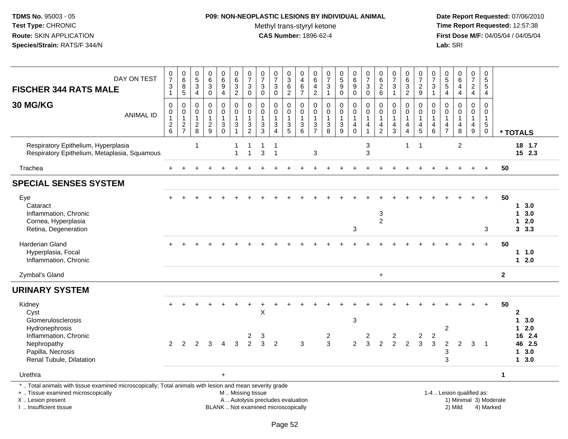#### **P09: NON-NEOPLASTIC LESIONS BY INDIVIDUAL ANIMAL**

Methyl trans-styryl ketone<br>CAS Number: 1896-62-4

 **Date Report Requested:** 07/06/2010 **Time Report Requested:** 12:57:38 **First Dose M/F:** 04/05/04 / 04/05/04<br>Lab: SRI **Lab:** SRI

| DAY ON TEST<br><b>FISCHER 344 RATS MALE</b>                                                                                                                         | $\frac{0}{7}$<br>$\ensuremath{\mathsf{3}}$<br>$\mathbf{1}$                  | $\begin{array}{c} 0 \\ 6 \end{array}$<br>$\bf 8$<br>$5\phantom{1}$ | $\begin{array}{c} 0 \\ 5 \end{array}$<br>$\sqrt{3}$<br>$\overline{4}$ | $_{6}^{\rm 0}$<br>$\sqrt{3}$<br>$\mathbf 0$                 | $_{6}^{\rm 0}$<br>$\overline{9}$<br>$\overline{4}$                | $\begin{array}{c} 0 \\ 6 \end{array}$<br>$\overline{3}$<br>$\overline{2}$ | $\frac{0}{7}$<br>$\sqrt{3}$<br>$\mathbf 0$                               | $\begin{array}{c} 0 \\ 7 \end{array}$<br>$\mathbf{3}$<br>$\mathbf 0$ | $\frac{0}{7}$<br>$\sqrt{3}$<br>$\Omega$                                           | $\frac{0}{3}$<br>6<br>$\overline{2}$                             | $\begin{smallmatrix} 0\\4 \end{smallmatrix}$<br>$\,6\,$<br>$\overline{7}$ | $\begin{array}{c} 0 \\ 6 \end{array}$<br>$\overline{4}$<br>$\overline{2}$ | 0<br>$\overline{7}$<br>$\sqrt{3}$                    | $\begin{array}{c} 0 \\ 5 \\ 9 \end{array}$<br>$\mathbf 0$   | $\begin{array}{c} 0 \\ 6 \end{array}$<br>$\boldsymbol{9}$<br>$\mathbf 0$ | $\frac{0}{7}$<br>3<br>$\mathbf 0$                    | $\begin{array}{c} 0 \\ 6 \end{array}$<br>$\frac{2}{6}$                         | $\frac{0}{7}$<br>$\sqrt{3}$<br>$\overline{1}$        | $\begin{array}{c} 0 \\ 6 \end{array}$<br>$\overline{3}$<br>$\overline{2}$ | $\begin{smallmatrix}0\\7\end{smallmatrix}$<br>$\frac{2}{9}$   | 0<br>$\overline{7}$<br>$\mathbf{3}$<br>$\overline{1}$                            | 0<br>$\overline{5}$<br>$\sqrt{5}$<br>$\overline{4}$    | $_{6}^{\rm 0}$<br>4<br>$\overline{4}$          | $\frac{0}{7}$<br>$\overline{a}$<br>$\overline{4}$                 | $\begin{array}{c} 0 \\ 5 \end{array}$<br>$\overline{5}$<br>$\overline{4}$ |                |                                                                     |
|---------------------------------------------------------------------------------------------------------------------------------------------------------------------|-----------------------------------------------------------------------------|--------------------------------------------------------------------|-----------------------------------------------------------------------|-------------------------------------------------------------|-------------------------------------------------------------------|---------------------------------------------------------------------------|--------------------------------------------------------------------------|----------------------------------------------------------------------|-----------------------------------------------------------------------------------|------------------------------------------------------------------|---------------------------------------------------------------------------|---------------------------------------------------------------------------|------------------------------------------------------|-------------------------------------------------------------|--------------------------------------------------------------------------|------------------------------------------------------|--------------------------------------------------------------------------------|------------------------------------------------------|---------------------------------------------------------------------------|---------------------------------------------------------------|----------------------------------------------------------------------------------|--------------------------------------------------------|------------------------------------------------|-------------------------------------------------------------------|---------------------------------------------------------------------------|----------------|---------------------------------------------------------------------|
| 30 MG/KG<br><b>ANIMAL ID</b>                                                                                                                                        | $\mathbf 0$<br>0<br>$\overline{1}$<br>$\begin{array}{c} 2 \\ 6 \end{array}$ | $\mathbf 0$<br>0<br>$\mathbf{1}$<br>$\frac{2}{7}$                  | $\mathbf 0$<br>$\mathbf 0$<br>$\mathbf{1}$<br>$\frac{2}{8}$           | $\mathbf 0$<br>$\mathbf 0$<br>$\mathbf{1}$<br>$\frac{2}{9}$ | $\mathbf 0$<br>$\mathsf 0$<br>$\mathbf{1}$<br>3<br>$\overline{0}$ | $\mathbf 0$<br>0<br>$\mathbf{1}$<br>$\sqrt{3}$                            | $\mathbf 0$<br>$\pmb{0}$<br>$\mathbf{1}$<br>$\sqrt{3}$<br>$\overline{2}$ | $\mathbf 0$<br>$\Omega$<br>$\overline{1}$<br>3<br>3                  | $\Omega$<br>$\mathbf 0$<br>$\mathbf{1}$<br>$\mathbf 3$<br>$\overline{\mathbf{A}}$ | $\mathbf 0$<br>$\mathbf 0$<br>$\mathbf 1$<br>3<br>$\overline{5}$ | $\mathbf 0$<br>$\mathsf{O}\xspace$<br>$\mathbf{1}$<br>$\frac{3}{6}$       | $\mathbf 0$<br>$\pmb{0}$<br>$\mathbf{1}$<br>$\sqrt{3}$<br>$\overline{7}$  | $\mathbf 0$<br>$\mathbf 0$<br>$\mathbf{1}$<br>3<br>8 | $\mathbf 0$<br>$\mathbf 0$<br>$\mathbf{1}$<br>$\frac{3}{9}$ | 0<br>$\mathbf 0$<br>$\mathbf{1}$<br>4<br>$\ddot{\mathbf{0}}$             | $\mathbf 0$<br>$\mathbf 0$<br>$\mathbf{1}$<br>4<br>1 | $\mathbf 0$<br>$\mathbf 0$<br>$\mathbf{1}$<br>$\overline{4}$<br>$\overline{2}$ | $\Omega$<br>0<br>$\mathbf{1}$<br>$\overline{a}$<br>3 | $\Omega$<br>0<br>1<br>4<br>$\overline{4}$                                 | $\mathbf 0$<br>$\mathbf 0$<br>$\mathbf{1}$<br>4<br>$\sqrt{5}$ | $\mathbf 0$<br>$\mathbf 0$<br>$\overline{1}$<br>$\overline{4}$<br>$6\phantom{1}$ | $\Omega$<br>0<br>$\overline{1}$<br>4<br>$\overline{7}$ | $\Omega$<br>$\Omega$<br>$\mathbf{1}$<br>4<br>8 | $\mathbf 0$<br>$\mathbf 0$<br>$\mathbf{1}$<br>4<br>$\overline{9}$ | $\mathbf 0$<br>$\mathbf 0$<br>$\mathbf{1}$<br>5<br>$\mathbf 0$            |                | * TOTALS                                                            |
| Respiratory Epithelium, Hyperplasia<br>Respiratory Epithelium, Metaplasia, Squamous                                                                                 |                                                                             |                                                                    | $\mathbf{1}$                                                          |                                                             |                                                                   | $\mathbf 1$                                                               | $\overline{1}$<br>1                                                      | $\mathbf 1$<br>3                                                     | $\overline{1}$<br>$\overline{1}$                                                  |                                                                  |                                                                           | $\mathbf{3}$                                                              |                                                      |                                                             |                                                                          | 3<br>3                                               |                                                                                |                                                      | $\mathbf{1}$                                                              | $\overline{1}$                                                |                                                                                  |                                                        | $\boldsymbol{2}$                               |                                                                   |                                                                           |                | 18 1.7<br>$15$ 2.3                                                  |
| Trachea                                                                                                                                                             |                                                                             |                                                                    |                                                                       |                                                             |                                                                   |                                                                           |                                                                          |                                                                      |                                                                                   |                                                                  |                                                                           |                                                                           |                                                      |                                                             |                                                                          |                                                      |                                                                                |                                                      |                                                                           |                                                               |                                                                                  |                                                        |                                                |                                                                   | $+$                                                                       | 50             |                                                                     |
| <b>SPECIAL SENSES SYSTEM</b>                                                                                                                                        |                                                                             |                                                                    |                                                                       |                                                             |                                                                   |                                                                           |                                                                          |                                                                      |                                                                                   |                                                                  |                                                                           |                                                                           |                                                      |                                                             |                                                                          |                                                      |                                                                                |                                                      |                                                                           |                                                               |                                                                                  |                                                        |                                                |                                                                   |                                                                           |                |                                                                     |
| Eye<br>Cataract<br>Inflammation, Chronic<br>Cornea, Hyperplasia<br>Retina, Degeneration                                                                             |                                                                             |                                                                    |                                                                       |                                                             |                                                                   |                                                                           |                                                                          |                                                                      |                                                                                   |                                                                  |                                                                           |                                                                           |                                                      |                                                             | 3                                                                        |                                                      | $\ensuremath{\mathsf{3}}$<br>$\overline{c}$                                    |                                                      |                                                                           |                                                               |                                                                                  |                                                        |                                                |                                                                   | 3                                                                         | 50             | $1 3.0$<br>$1 \quad 3.0$<br>$12.0$<br>3, 3.3                        |
| Harderian Gland<br>Hyperplasia, Focal<br>Inflammation, Chronic                                                                                                      |                                                                             |                                                                    |                                                                       |                                                             |                                                                   |                                                                           |                                                                          |                                                                      |                                                                                   |                                                                  |                                                                           |                                                                           |                                                      |                                                             |                                                                          |                                                      |                                                                                |                                                      |                                                                           |                                                               |                                                                                  |                                                        |                                                |                                                                   | $+$                                                                       | 50             | 1 1.0<br>$12.0$                                                     |
| Zymbal's Gland                                                                                                                                                      |                                                                             |                                                                    |                                                                       |                                                             |                                                                   |                                                                           |                                                                          |                                                                      |                                                                                   |                                                                  |                                                                           |                                                                           |                                                      |                                                             |                                                                          |                                                      | $\ddot{}$                                                                      |                                                      |                                                                           |                                                               |                                                                                  |                                                        |                                                |                                                                   |                                                                           | $\overline{2}$ |                                                                     |
| <b>URINARY SYSTEM</b>                                                                                                                                               |                                                                             |                                                                    |                                                                       |                                                             |                                                                   |                                                                           |                                                                          |                                                                      |                                                                                   |                                                                  |                                                                           |                                                                           |                                                      |                                                             |                                                                          |                                                      |                                                                                |                                                      |                                                                           |                                                               |                                                                                  |                                                        |                                                |                                                                   |                                                                           |                |                                                                     |
| Kidney<br>Cyst<br>Glomerulosclerosis<br>Hydronephrosis<br>Inflammation, Chronic<br>Nephropathy<br>Papilla, Necrosis                                                 | 2                                                                           | 2                                                                  | 2                                                                     | 3                                                           | $\overline{4}$                                                    | 3                                                                         | $\overline{\mathbf{c}}$<br>$\overline{2}$                                | X<br>3<br>3                                                          | $\overline{2}$                                                                    |                                                                  | 3                                                                         |                                                                           | $\overline{a}$<br>3                                  |                                                             | 3<br>$\overline{2}$                                                      | 2<br>3                                               | $\overline{2}$                                                                 | $\overline{a}$<br>2                                  | $\overline{2}$                                                            | 2<br>$\mathbf{3}$                                             | $\overline{c}$<br>3                                                              | $\overline{c}$<br>$\overline{c}$<br>3                  | 2                                              | 3                                                                 | -1                                                                        | 50             | $\mathbf{2}$<br>13.0<br>$12.0$<br>16 2.4<br>46 2.5<br>$1 \quad 3.0$ |
| Renal Tubule, Dilatation                                                                                                                                            |                                                                             |                                                                    |                                                                       |                                                             |                                                                   |                                                                           |                                                                          |                                                                      |                                                                                   |                                                                  |                                                                           |                                                                           |                                                      |                                                             |                                                                          |                                                      |                                                                                |                                                      |                                                                           |                                                               |                                                                                  | 3                                                      |                                                |                                                                   |                                                                           |                | 13.0                                                                |
| Urethra                                                                                                                                                             |                                                                             |                                                                    |                                                                       |                                                             | $+$                                                               |                                                                           |                                                                          |                                                                      |                                                                                   |                                                                  |                                                                           |                                                                           |                                                      |                                                             |                                                                          |                                                      |                                                                                |                                                      |                                                                           |                                                               |                                                                                  |                                                        |                                                |                                                                   |                                                                           | $\mathbf{1}$   |                                                                     |
| *  Total animals with tissue examined microscopically; Total animals with lesion and mean severity grade<br>+  Tissue examined microscopically<br>X  Lesion present |                                                                             |                                                                    |                                                                       |                                                             |                                                                   | M  Missing tissue                                                         |                                                                          | A  Autolysis precludes evaluation                                    |                                                                                   |                                                                  |                                                                           |                                                                           |                                                      |                                                             |                                                                          |                                                      |                                                                                |                                                      |                                                                           |                                                               |                                                                                  |                                                        | 1-4  Lesion qualified as:                      |                                                                   | 1) Minimal 3) Moderate                                                    |                |                                                                     |

I .. Insufficient tissue

BLANK .. Not examined microscopically 2) Mild 4) Marked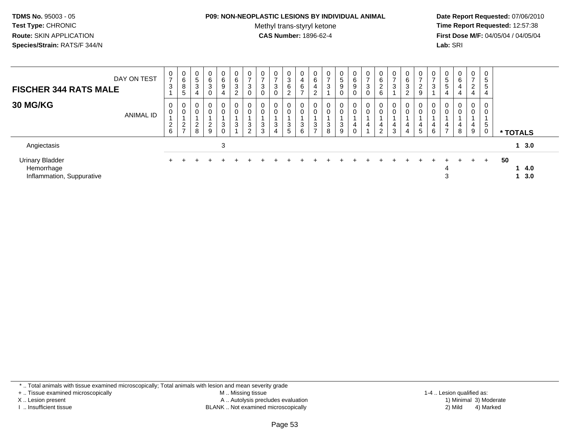#### **P09: NON-NEOPLASTIC LESIONS BY INDIVIDUAL ANIMAL**

Methyl trans-styryl ketone<br>CAS Number: 1896-62-4

 **Date Report Requested:** 07/06/2010 **Time Report Requested:** 12:57:38 **First Dose M/F:** 04/05/04 / 04/05/04<br>**Lab:** SRI **Lab:** SRI

| <b>FISCHER 344 RATS MALE</b>                                      | DAY ON TEST      | 0<br>$\overline{7}$<br>3 | 0<br>6<br>$\bf 8$<br>5                    | 0<br>5<br>3<br>4               | 0<br>6<br>$\sqrt{3}$<br>$\mathbf 0$              | 0<br>6<br>9<br>4            | 0<br>6<br>3<br>2      | $\rightarrow$<br>3 | $\overline{ }$<br>3<br>0   | 0<br>3<br>0      | 0<br>3<br>6<br>2           | 0<br>4<br>6<br>$\overline{ }$ | 0<br>$\,6\,$<br>4<br>ົ        | 0<br>$\overline{ }$<br>3 | 0<br>5<br>9<br>0 | 0<br>6<br>9      | 0<br>$\rightarrow$<br>3<br>0       | 0<br>$\,6\,$<br>$\sqrt{2}$<br>$6\phantom{1}$ | 0<br>$\overline{ }$<br>3   | $\mathbf{0}$<br>6<br>3<br>$\sim$ | $\overline{ }$<br>$\overline{2}$<br>9 | 0<br>$\rightarrow$<br>3     | U<br>$\sqrt{5}$<br>$\sqrt{5}$ | $\mathbf{0}$<br>6<br>4<br>4 | 0<br>$\overline{ }$<br>2<br>4 | 0<br>5<br>5<br>4           |                         |  |
|-------------------------------------------------------------------|------------------|--------------------------|-------------------------------------------|--------------------------------|--------------------------------------------------|-----------------------------|-----------------------|--------------------|----------------------------|------------------|----------------------------|-------------------------------|-------------------------------|--------------------------|------------------|------------------|------------------------------------|----------------------------------------------|----------------------------|----------------------------------|---------------------------------------|-----------------------------|-------------------------------|-----------------------------|-------------------------------|----------------------------|-------------------------|--|
| <b>30 MG/KG</b>                                                   | <b>ANIMAL ID</b> | 0<br>$\frac{2}{6}$       | 0<br>0<br>$\overline{c}$<br>$\rightarrow$ | 0<br>0<br>ົ<br>$\epsilon$<br>8 | 0<br>$\mathbf 0$<br>$\sqrt{2}$<br>$\overline{9}$ | $\mathbf{0}$<br>0<br>3<br>0 | 0<br>$\mathbf 0$<br>3 | 0<br>3<br>$\sim$   | 0<br>$\mathbf 0$<br>3<br>3 | 0<br>0<br>3<br>4 | 0<br>$\mathbf 0$<br>3<br>5 | 0<br>0<br>3<br>6              | 0<br>0<br>3<br>$\overline{ }$ | $\overline{0}$<br>3<br>8 | 0<br>0<br>3<br>9 | 0<br>0<br>4<br>0 | 0<br>$\mathbf 0$<br>$\overline{4}$ | 0<br>$\mathbf 0$<br>4<br>$\overline{2}$      | 0<br>$\mathbf 0$<br>4<br>3 | $\mathbf 0$<br>0<br>4<br>4       | $\mathbf 0$<br>4<br>$\sqrt{5}$        | $\mathbf{0}$<br>0<br>4<br>6 | 4<br>$\rightarrow$            | 0<br>0<br>4<br>8            | $\mathbf{0}$<br>0<br>4<br>9   | 0<br>0<br>5<br>$\mathbf 0$ | * TOTALS                |  |
| Angiectasis                                                       |                  |                          |                                           |                                |                                                  | 3                           |                       |                    |                            |                  |                            |                               |                               |                          |                  |                  |                                    |                                              |                            |                                  |                                       |                             |                               |                             |                               |                            | 13.0                    |  |
| <b>Urinary Bladder</b><br>Hemorrhage<br>Inflammation, Suppurative |                  |                          |                                           |                                |                                                  |                             |                       |                    |                            |                  |                            |                               |                               |                          |                  |                  |                                    |                                              |                            |                                  |                                       |                             | 3                             |                             | $+$                           | $+$                        | 50<br>14.0<br>$1 \t3.0$ |  |

\* .. Total animals with tissue examined microscopically; Total animals with lesion and mean severity grade

+ .. Tissue examined microscopically

X .. Lesion present

I .. Insufficient tissue

 M .. Missing tissueA .. Autolysis precludes evaluation

BLANK .. Not examined microscopically 2) Mild 4) Marked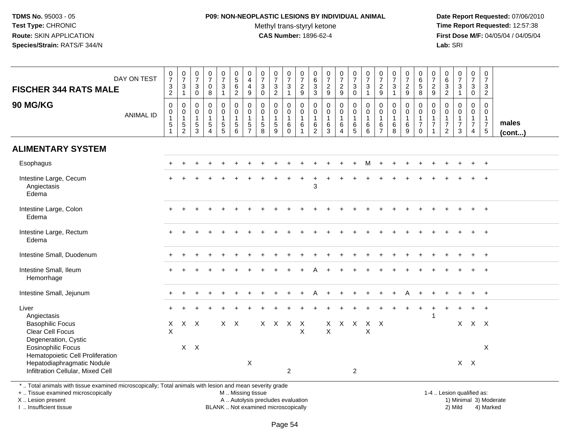#### **P09: NON-NEOPLASTIC LESIONS BY INDIVIDUAL ANIMAL**Methyl trans-styryl ketone<br>CAS Number: 1896-62-4

 **Date Report Requested:** 07/06/2010 **Time Report Requested:** 12:57:38 **First Dose M/F:** 04/05/04 / 04/05/04<br>**Lab:** SRI **Lab:** SRI

| <b>FISCHER 344 RATS MALE</b>                                                                                                                                              | DAY ON TEST      | $\frac{0}{7}$<br>$\frac{3}{2}$                                            | $\begin{array}{c} 0 \\ 7 \end{array}$<br>$\mathbf{3}$<br>$\mathbf{1}$ | $\begin{smallmatrix}0\\7\end{smallmatrix}$<br>3<br>$\mathbf 0$ | $\begin{array}{c} 0 \\ 7 \end{array}$<br>$\mathsf{O}\xspace$<br>$\overline{8}$ | $\begin{array}{c} 0 \\ 7 \end{array}$<br>$\mathbf{3}$<br>$\mathbf{1}$               | $\begin{array}{c} 0 \\ 5 \end{array}$<br>$\,6\,$<br>$\overline{2}$ | $\begin{array}{c} 0 \\ 4 \\ 4 \\ 9 \end{array}$                        | $\begin{array}{c} 0 \\ 7 \end{array}$<br>$\mathfrak{Z}$<br>$\ddot{\mathbf{0}}$      | $\frac{0}{7}$<br>$\frac{3}{2}$                      | $\begin{array}{c} 0 \\ 7 \end{array}$<br>$\ensuremath{\mathsf{3}}$<br>$\mathbf{1}$ | $\frac{0}{7}$<br>$\frac{2}{9}$                                            | $\boldsymbol{0}$<br>$6\overline{6}$<br>$\frac{3}{3}$                      | $\begin{array}{c} 0 \\ 7 \end{array}$<br>$\frac{2}{9}$            | $\frac{0}{7}$<br>$\frac{2}{9}$                          | $\begin{array}{c} 0 \\ 7 \\ 3 \\ 0 \end{array}$ | $\begin{array}{c} 0 \\ 7 \end{array}$<br>$\sqrt{3}$<br>$\overline{1}$ | $\begin{array}{c} 0 \\ 7 \end{array}$<br>$\frac{2}{9}$                         | $\begin{array}{c} 0 \\ 7 \end{array}$<br>$\mathbf{3}$<br>$\overline{1}$ | $\frac{0}{7}$<br>$\frac{2}{9}$                   | 0658                                                                | $\begin{array}{c} 0 \\ 7 \end{array}$<br>$\frac{2}{9}$                     | 0<br>$6\overline{6}$<br>$\frac{3}{2}$                                        | $\begin{array}{c} 0 \\ 7 \end{array}$<br>$\sqrt{3}$<br>$\overline{1}$        | $\frac{0}{7}$<br>3<br>$\mathbf 0$                         | $\begin{smallmatrix}0\\7\end{smallmatrix}$<br>$\mathbf{3}$<br>$\overline{2}$ |                       |
|---------------------------------------------------------------------------------------------------------------------------------------------------------------------------|------------------|---------------------------------------------------------------------------|-----------------------------------------------------------------------|----------------------------------------------------------------|--------------------------------------------------------------------------------|-------------------------------------------------------------------------------------|--------------------------------------------------------------------|------------------------------------------------------------------------|-------------------------------------------------------------------------------------|-----------------------------------------------------|------------------------------------------------------------------------------------|---------------------------------------------------------------------------|---------------------------------------------------------------------------|-------------------------------------------------------------------|---------------------------------------------------------|-------------------------------------------------|-----------------------------------------------------------------------|--------------------------------------------------------------------------------|-------------------------------------------------------------------------|--------------------------------------------------|---------------------------------------------------------------------|----------------------------------------------------------------------------|------------------------------------------------------------------------------|------------------------------------------------------------------------------|-----------------------------------------------------------|------------------------------------------------------------------------------|-----------------------|
| 90 MG/KG                                                                                                                                                                  | <b>ANIMAL ID</b> | $\pmb{0}$<br>$\pmb{0}$<br>$\overline{1}$<br>$\mathbf 5$<br>$\overline{1}$ | $\pmb{0}$<br>$\mathbf 0$<br>$\mathbf{1}$<br>$\frac{5}{2}$             | $\mathbf 0$<br>0<br>$\mathbf{1}$<br>$\frac{5}{3}$              | $\pmb{0}$<br>$\pmb{0}$<br>$\mathbf{1}$<br>$\,$ 5 $\,$<br>$\overline{4}$        | $\mathbf 0$<br>$\mathbf 0$<br>$\mathbf{1}$<br>$\begin{array}{c} 5 \\ 5 \end{array}$ | $\pmb{0}$<br>$\mathbf 0$<br>$\mathbf{1}$<br>$\sqrt{5}$<br>$\,6\,$  | $\pmb{0}$<br>$\pmb{0}$<br>$\mathbf{1}$<br>$\sqrt{5}$<br>$\overline{7}$ | $\mathbf 0$<br>$\mathbf 0$<br>$\mathbf{1}$<br>$\begin{array}{c} 5 \\ 8 \end{array}$ | $\mathbf 0$<br>0<br>$\mathbf{1}$<br>$\sqrt{5}$<br>9 | $\mathbf 0$<br>$\mathbf 0$<br>$\overline{1}$<br>$\,6\,$<br>$\mathbf 0$             | $\mathbf 0$<br>$\mathbf 0$<br>$\overline{1}$<br>$\,6\,$<br>$\overline{1}$ | $\mathbf 0$<br>$\mathbf 0$<br>$\overline{1}$<br>$\,6\,$<br>$\overline{2}$ | $\mathbf 0$<br>$\pmb{0}$<br>$\mathbf{1}$<br>$\,6\,$<br>$\sqrt{3}$ | 0<br>$\mathbf 0$<br>$\mathbf{1}$<br>6<br>$\overline{4}$ | 0<br>$\mathbf 0$<br>$\mathbf{1}$<br>$^6$ 5      | $\pmb{0}$<br>$\mathsf 0$<br>$\mathbf{1}$<br>$^6_6$                    | $\boldsymbol{0}$<br>$\mathbf 0$<br>$\overline{1}$<br>$\,6\,$<br>$\overline{7}$ | $\mathbf 0$<br>$\mathbf 0$<br>$\mathbf{1}$<br>$\,6\,$<br>8              | 0<br>$\mathbf 0$<br>$\mathbf{1}$<br>$\,6\,$<br>9 | $\pmb{0}$<br>$\overline{0}$<br>1<br>$\boldsymbol{7}$<br>$\mathbf 0$ | 0<br>$\mathsf{O}\xspace$<br>$\mathbf{1}$<br>$\overline{7}$<br>$\mathbf{1}$ | $\mathbf 0$<br>$\mathbf 0$<br>$\mathbf{1}$<br>$\boldsymbol{7}$<br>$\sqrt{2}$ | $\mathbf 0$<br>$\mathbf 0$<br>$\mathbf{1}$<br>$\overline{7}$<br>$\mathbf{3}$ | 0<br>$\mathbf 0$<br>$\overline{1}$<br>$\overline{7}$<br>4 | $\mathbf 0$<br>$\mathbf 0$<br>$\overline{1}$<br>$\overline{7}$<br>$\sqrt{5}$ | males<br>$($ cont $)$ |
| <b>ALIMENTARY SYSTEM</b>                                                                                                                                                  |                  |                                                                           |                                                                       |                                                                |                                                                                |                                                                                     |                                                                    |                                                                        |                                                                                     |                                                     |                                                                                    |                                                                           |                                                                           |                                                                   |                                                         |                                                 |                                                                       |                                                                                |                                                                         |                                                  |                                                                     |                                                                            |                                                                              |                                                                              |                                                           |                                                                              |                       |
| Esophagus                                                                                                                                                                 |                  |                                                                           |                                                                       |                                                                |                                                                                |                                                                                     |                                                                    |                                                                        |                                                                                     |                                                     |                                                                                    |                                                                           |                                                                           |                                                                   |                                                         |                                                 | м                                                                     |                                                                                |                                                                         |                                                  |                                                                     |                                                                            |                                                                              |                                                                              |                                                           | $+$                                                                          |                       |
| Intestine Large, Cecum<br>Angiectasis<br>Edema                                                                                                                            |                  |                                                                           |                                                                       |                                                                |                                                                                |                                                                                     |                                                                    |                                                                        |                                                                                     |                                                     |                                                                                    |                                                                           | 3                                                                         |                                                                   |                                                         |                                                 |                                                                       |                                                                                |                                                                         |                                                  |                                                                     |                                                                            |                                                                              |                                                                              |                                                           |                                                                              |                       |
| Intestine Large, Colon<br>Edema                                                                                                                                           |                  |                                                                           |                                                                       |                                                                |                                                                                |                                                                                     |                                                                    |                                                                        |                                                                                     |                                                     |                                                                                    |                                                                           |                                                                           |                                                                   |                                                         |                                                 |                                                                       |                                                                                |                                                                         |                                                  |                                                                     |                                                                            |                                                                              |                                                                              |                                                           |                                                                              |                       |
| Intestine Large, Rectum<br>Edema                                                                                                                                          |                  |                                                                           |                                                                       |                                                                |                                                                                |                                                                                     |                                                                    |                                                                        |                                                                                     |                                                     |                                                                                    |                                                                           |                                                                           |                                                                   |                                                         |                                                 |                                                                       |                                                                                |                                                                         |                                                  |                                                                     |                                                                            |                                                                              |                                                                              |                                                           | $+$                                                                          |                       |
| Intestine Small, Duodenum                                                                                                                                                 |                  |                                                                           |                                                                       |                                                                |                                                                                |                                                                                     |                                                                    |                                                                        |                                                                                     |                                                     |                                                                                    |                                                                           |                                                                           |                                                                   |                                                         |                                                 |                                                                       |                                                                                |                                                                         |                                                  |                                                                     |                                                                            |                                                                              |                                                                              |                                                           | $+$                                                                          |                       |
| Intestine Small, Ileum<br>Hemorrhage                                                                                                                                      |                  |                                                                           |                                                                       |                                                                |                                                                                |                                                                                     |                                                                    |                                                                        |                                                                                     |                                                     |                                                                                    |                                                                           |                                                                           |                                                                   |                                                         |                                                 |                                                                       |                                                                                |                                                                         |                                                  |                                                                     |                                                                            |                                                                              |                                                                              |                                                           |                                                                              |                       |
| Intestine Small, Jejunum                                                                                                                                                  |                  |                                                                           |                                                                       |                                                                |                                                                                |                                                                                     |                                                                    |                                                                        |                                                                                     |                                                     |                                                                                    |                                                                           |                                                                           |                                                                   |                                                         |                                                 |                                                                       |                                                                                |                                                                         |                                                  |                                                                     |                                                                            |                                                                              |                                                                              |                                                           |                                                                              |                       |
| Liver                                                                                                                                                                     |                  |                                                                           |                                                                       |                                                                |                                                                                |                                                                                     |                                                                    |                                                                        |                                                                                     |                                                     |                                                                                    |                                                                           |                                                                           |                                                                   |                                                         |                                                 |                                                                       |                                                                                |                                                                         |                                                  |                                                                     | $\overline{1}$                                                             |                                                                              |                                                                              | $\ddot{}$                                                 | $+$                                                                          |                       |
| Angiectasis<br><b>Basophilic Focus</b><br>Clear Cell Focus<br>Degeneration, Cystic                                                                                        |                  | $\mathsf{X}$<br>$\times$                                                  |                                                                       | $X$ $X$                                                        |                                                                                |                                                                                     | $X$ $X$                                                            |                                                                        |                                                                                     | $X$ $X$ $X$ $X$                                     |                                                                                    | $\sf X$                                                                   |                                                                           | X<br>$\mathsf{X}$                                                 | X X                                                     |                                                 | X X<br>X                                                              |                                                                                |                                                                         |                                                  |                                                                     |                                                                            |                                                                              |                                                                              | $X$ $X$ $X$                                               |                                                                              |                       |
| Eosinophilic Focus<br>Hematopoietic Cell Proliferation                                                                                                                    |                  |                                                                           |                                                                       | $X$ $X$                                                        |                                                                                |                                                                                     |                                                                    |                                                                        |                                                                                     |                                                     |                                                                                    |                                                                           |                                                                           |                                                                   |                                                         |                                                 |                                                                       |                                                                                |                                                                         |                                                  |                                                                     |                                                                            |                                                                              |                                                                              |                                                           | $\boldsymbol{\mathsf{X}}$                                                    |                       |
| Hepatodiaphragmatic Nodule<br>Infiltration Cellular, Mixed Cell<br>* Tatel entire els cotte theorie acceptant patences controller. Tatel entire els cotte la dieu en dins |                  |                                                                           |                                                                       |                                                                |                                                                                |                                                                                     |                                                                    | $\times$                                                               |                                                                                     |                                                     | $\overline{c}$                                                                     |                                                                           |                                                                           |                                                                   |                                                         | $\overline{2}$                                  |                                                                       |                                                                                |                                                                         |                                                  |                                                                     |                                                                            |                                                                              | $X$ $X$                                                                      |                                                           |                                                                              |                       |

\* .. Total animals with tissue examined microscopically; Total animals with lesion and mean severity grade

+ .. Tissue examined microscopicallyX .. Lesion present

I .. Insufficient tissue

M .. Missing tissue

Lesion present A .. Autolysis precludes evaluation 1) Minimal 3) Moderate

 1-4 .. Lesion qualified as: BLANK .. Not examined microscopically 2) Mild 4) Marked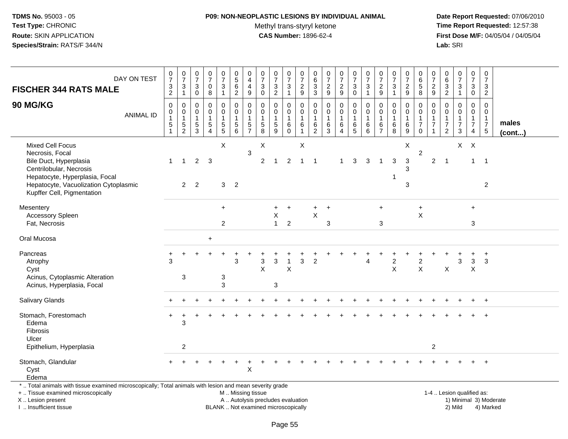## **P09: NON-NEOPLASTIC LESIONS BY INDIVIDUAL ANIMAL**

Methyl trans-styryl ketone<br>CAS Number: 1896-62-4

 **Date Report Requested:** 07/06/2010 **Time Report Requested:** 12:57:38 **First Dose M/F:** 04/05/04 / 04/05/04<br>Lab: SRI **Lab:** SRI

| DAY ON TEST<br><b>FISCHER 344 RATS MALE</b>                                                                                                                                                   | $\frac{0}{7}$<br>$\frac{3}{2}$                                        | $\frac{0}{7}$<br>3<br>$\mathbf{1}$                | $\,0\,$<br>$\overline{7}$<br>3<br>0            | $\frac{0}{7}$<br>$\mathbf 0$<br>8                           | $\begin{array}{c} 0 \\ 7 \end{array}$<br>$\mathbf{3}$<br>$\mathbf{1}$               | $\pmb{0}$<br>$\sqrt{5}$<br>$\,6\,$<br>$\overline{2}$          | 0<br>4<br>4<br>9                          | 0<br>$\overline{7}$<br>3<br>$\mathbf 0$                       | $\frac{0}{7}$<br>3<br>$\overline{c}$                                     | $\frac{0}{7}$<br>$\mathbf{3}$<br>$\mathbf{1}$ | $\,0\,$<br>$\overline{7}$<br>$\boldsymbol{2}$<br>$\overline{9}$    | 0<br>$\,6\,$<br>$\mathbf{3}$<br>3               | $\pmb{0}$<br>$\overline{7}$<br>$\overline{c}$<br>$\overline{9}$ | $\frac{0}{7}$<br>$\overline{2}$<br>$9\,$  | $\frac{0}{7}$<br>3<br>0                        | $\frac{0}{7}$<br>$\mathbf{3}$<br>$\mathbf{1}$      | 0<br>$\overline{7}$<br>$\overline{c}$<br>$9\,$       | $\begin{array}{c} 0 \\ 7 \end{array}$<br>3<br>-1           | 0<br>$\overline{7}$<br>$\overline{c}$<br>9 | $\mathbf 0$<br>$\,6\,$<br>$\overline{5}$<br>8                            | 0<br>$\overline{7}$<br>$\overline{2}$<br>9          | 0<br>6<br>$\frac{3}{2}$                                             | $\frac{0}{7}$<br>$\mathbf{3}$<br>$\mathbf{1}$                  | $\pmb{0}$<br>$\overline{7}$<br>3<br>$\overline{0}$                             | $\mathbf 0$<br>$\overline{7}$<br>3<br>$\overline{2}$       |                       |
|-----------------------------------------------------------------------------------------------------------------------------------------------------------------------------------------------|-----------------------------------------------------------------------|---------------------------------------------------|------------------------------------------------|-------------------------------------------------------------|-------------------------------------------------------------------------------------|---------------------------------------------------------------|-------------------------------------------|---------------------------------------------------------------|--------------------------------------------------------------------------|-----------------------------------------------|--------------------------------------------------------------------|-------------------------------------------------|-----------------------------------------------------------------|-------------------------------------------|------------------------------------------------|----------------------------------------------------|------------------------------------------------------|------------------------------------------------------------|--------------------------------------------|--------------------------------------------------------------------------|-----------------------------------------------------|---------------------------------------------------------------------|----------------------------------------------------------------|--------------------------------------------------------------------------------|------------------------------------------------------------|-----------------------|
| 90 MG/KG<br><b>ANIMAL ID</b>                                                                                                                                                                  | $\,0\,$<br>$\pmb{0}$<br>$\overline{1}$<br>$\mathbf 5$<br>$\mathbf{1}$ | $\mathbf 0$<br>0<br>$\mathbf{1}$<br>$\frac{5}{2}$ | $\Omega$<br>0<br>$\mathbf{1}$<br>$\frac{5}{3}$ | $\mathbf 0$<br>$\mathbf 0$<br>$\mathbf{1}$<br>$\frac{5}{4}$ | $\mathbf 0$<br>$\mathbf 0$<br>$\mathbf{1}$<br>$\begin{array}{c} 5 \\ 5 \end{array}$ | $\mathbf 0$<br>$\mathbf 0$<br>$\mathbf{1}$<br>$\sqrt{5}$<br>6 | $\Omega$<br>0<br>1<br>5<br>$\overline{7}$ | $\mathbf 0$<br>$\mathbf 0$<br>$\mathbf{1}$<br>$\sqrt{5}$<br>8 | $\mathbf 0$<br>0<br>$\mathbf{1}$<br>5<br>9                               | 0<br>0<br>$\mathbf{1}$<br>$^6_0$              | $\Omega$<br>$\mathbf 0$<br>$\mathbf{1}$<br>$\,6\,$<br>$\mathbf{1}$ | 0<br>0<br>$\overline{1}$<br>6<br>$\overline{2}$ | $\mathbf 0$<br>$\mathbf 0$<br>$\overline{1}$<br>6<br>3          | $\mathbf 0$<br>0<br>$\mathbf 1$<br>6<br>4 | $\mathbf 0$<br>0<br>$\mathbf{1}$<br>$6\over 5$ | $\mathbf 0$<br>$\pmb{0}$<br>$\mathbf{1}$<br>6<br>6 | $\Omega$<br>0<br>$\mathbf{1}$<br>6<br>$\overline{7}$ | $\mathbf 0$<br>$\mathbf 0$<br>$\mathbf{1}$<br>$\,6\,$<br>8 | 0<br>0<br>$\mathbf{1}$<br>$^6_9$           | $\Omega$<br>$\mathbf 0$<br>$\mathbf{1}$<br>$\overline{7}$<br>$\mathbf 0$ | $\Omega$<br>$\mathbf 0$<br>1<br>$\overline{7}$<br>1 | $\Omega$<br>0<br>$\mathbf{1}$<br>$\boldsymbol{7}$<br>$\overline{2}$ | $\mathbf 0$<br>0<br>$\mathbf{1}$<br>$\overline{7}$<br>3        | $\Omega$<br>$\overline{0}$<br>$\mathbf{1}$<br>$\overline{7}$<br>$\overline{4}$ | $\mathbf{0}$<br>0<br>$\overline{1}$<br>$\overline{7}$<br>5 | males<br>$($ cont $)$ |
| <b>Mixed Cell Focus</b><br>Necrosis, Focal<br>Bile Duct, Hyperplasia<br>Centrilobular, Necrosis<br>Hepatocyte, Hyperplasia, Focal                                                             | $\mathbf{1}$                                                          | $\mathbf{1}$                                      | $\overline{2}$                                 | 3                                                           | $\times$                                                                            |                                                               | 3                                         | $\boldsymbol{\mathsf{X}}$<br>$\overline{2}$                   | $\overline{1}$                                                           | $\overline{2}$                                | $\pmb{\times}$<br>$\overline{\mathbf{1}}$                          | -1                                              |                                                                 | 1                                         | 3                                              | 3                                                  | 1                                                    | 3<br>1                                                     | $\pmb{\times}$<br>3<br>3                   | $\overline{c}$                                                           | $\overline{2}$                                      | $\overline{1}$                                                      | $\mathsf{X}$                                                   | $\sf X$<br>$\mathbf 1$                                                         | $\overline{1}$                                             |                       |
| Hepatocyte, Vacuolization Cytoplasmic<br>Kupffer Cell, Pigmentation                                                                                                                           |                                                                       | $\overline{2}$                                    | $\overline{2}$                                 |                                                             | 3                                                                                   | $\overline{2}$                                                |                                           |                                                               |                                                                          |                                               |                                                                    |                                                 |                                                                 |                                           |                                                |                                                    |                                                      |                                                            | 3                                          |                                                                          |                                                     |                                                                     |                                                                |                                                                                | $\overline{2}$                                             |                       |
| Mesentery<br><b>Accessory Spleen</b><br>Fat, Necrosis                                                                                                                                         |                                                                       |                                                   |                                                |                                                             | $+$<br>$\overline{2}$                                                               |                                                               |                                           |                                                               | $+$<br>Χ<br>$\mathbf{1}$                                                 | $+$<br>$\overline{2}$                         |                                                                    | $+$<br>$\times$                                 | $\ddot{}$<br>3                                                  |                                           |                                                |                                                    | $+$<br>$\mathbf{3}$                                  |                                                            |                                            | $\ddot{}$<br>$\boldsymbol{\mathsf{X}}$                                   |                                                     |                                                                     |                                                                | $\ddot{}$<br>3                                                                 |                                                            |                       |
| Oral Mucosa                                                                                                                                                                                   |                                                                       |                                                   |                                                | $\ddot{}$                                                   |                                                                                     |                                                               |                                           |                                                               |                                                                          |                                               |                                                                    |                                                 |                                                                 |                                           |                                                |                                                    |                                                      |                                                            |                                            |                                                                          |                                                     |                                                                     |                                                                |                                                                                |                                                            |                       |
| Pancreas<br>Atrophy<br>Cyst<br>Acinus, Cytoplasmic Alteration<br>Acinus, Hyperplasia, Focal                                                                                                   | 3                                                                     | 3                                                 |                                                |                                                             | $\sqrt{3}$<br>3                                                                     | 3                                                             |                                           | 3<br>$\times$                                                 | 3<br>3                                                                   | $\mathbf{1}$<br>X                             | 3                                                                  | $\overline{2}$                                  |                                                                 |                                           |                                                | $\overline{4}$                                     |                                                      | $\overline{c}$<br>$\sf X$                                  |                                            | $\overline{c}$<br>$\mathsf{X}$                                           |                                                     | X                                                                   | 3                                                              | $\ensuremath{\mathsf{3}}$<br>$\boldsymbol{\mathsf{X}}$                         | $\ddot{}$<br>3                                             |                       |
| Salivary Glands                                                                                                                                                                               |                                                                       |                                                   |                                                |                                                             |                                                                                     |                                                               |                                           |                                                               |                                                                          |                                               |                                                                    |                                                 |                                                                 |                                           |                                                |                                                    |                                                      |                                                            |                                            |                                                                          |                                                     |                                                                     |                                                                |                                                                                | $+$                                                        |                       |
| Stomach, Forestomach<br>Edema<br>Fibrosis<br>Ulcer                                                                                                                                            |                                                                       | 3                                                 |                                                |                                                             |                                                                                     |                                                               |                                           |                                                               |                                                                          |                                               |                                                                    |                                                 |                                                                 |                                           |                                                |                                                    |                                                      |                                                            |                                            |                                                                          |                                                     |                                                                     |                                                                |                                                                                |                                                            |                       |
| Epithelium, Hyperplasia                                                                                                                                                                       |                                                                       | $\overline{c}$                                    |                                                |                                                             |                                                                                     |                                                               |                                           |                                                               |                                                                          |                                               |                                                                    |                                                 |                                                                 |                                           |                                                |                                                    |                                                      |                                                            |                                            |                                                                          | $\overline{c}$                                      |                                                                     |                                                                |                                                                                |                                                            |                       |
| Stomach, Glandular<br>Cyst<br>Edema                                                                                                                                                           |                                                                       |                                                   |                                                |                                                             |                                                                                     |                                                               | X                                         |                                                               |                                                                          |                                               |                                                                    |                                                 |                                                                 |                                           |                                                |                                                    |                                                      |                                                            |                                            |                                                                          |                                                     |                                                                     |                                                                |                                                                                |                                                            |                       |
| *  Total animals with tissue examined microscopically; Total animals with lesion and mean severity grade<br>+  Tissue examined microscopically<br>X  Lesion present<br>I  Insufficient tissue |                                                                       |                                                   |                                                |                                                             |                                                                                     | M  Missing tissue                                             |                                           |                                                               | A  Autolysis precludes evaluation<br>BLANK  Not examined microscopically |                                               |                                                                    |                                                 |                                                                 |                                           |                                                |                                                    |                                                      |                                                            |                                            |                                                                          |                                                     |                                                                     | 1-4  Lesion qualified as:<br>1) Minimal 3) Moderate<br>2) Mild |                                                                                | 4) Marked                                                  |                       |

I .. Insufficient tissue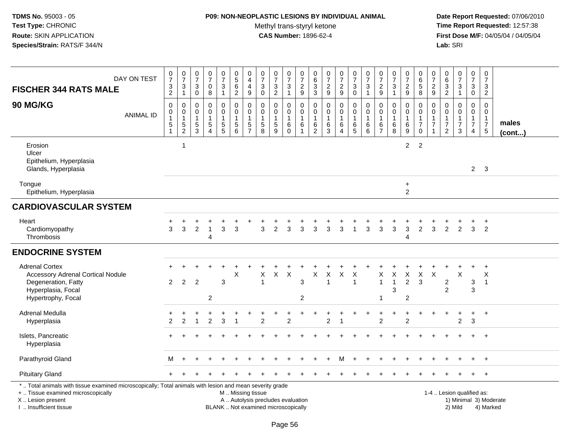#### **P09: NON-NEOPLASTIC LESIONS BY INDIVIDUAL ANIMAL**

Methyl trans-styryl ketone<br>CAS Number: 1896-62-4

| <b>FISCHER 344 RATS MALE</b>                                                                                                                                                                  | DAY ON TEST      | $\frac{0}{7}$<br>$\frac{3}{2}$                              | $\pmb{0}$<br>$\overline{7}$<br>$\mathbf{3}$<br>$\mathbf{1}$ | 0<br>$\overline{7}$<br>3<br>$\mathbf 0$              | $\frac{0}{7}$<br>0<br>8                                         | $\pmb{0}$<br>$\overline{7}$<br>$\mathbf{3}$<br>$\mathbf{1}$ | $\pmb{0}$<br>$\overline{5}$<br>$\,6\,$<br>$\overline{2}$                                      | 0<br>$\overline{4}$<br>$\overline{4}$<br>9                    | 0<br>$\overline{7}$<br>$\sqrt{3}$<br>$\mathbf 0$                  | $\begin{array}{c} 0 \\ 7 \end{array}$<br>$\ensuremath{\mathsf{3}}$<br>2 | 0<br>$\overline{7}$<br>3<br>$\mathbf{1}$            | 0<br>$\overline{7}$<br>$\frac{2}{9}$ | 0<br>$\,6$<br>$\sqrt{3}$<br>$\mathbf{3}$          | $\frac{0}{7}$<br>$\sqrt{2}$<br>$\boldsymbol{9}$ | $\begin{array}{c} 0 \\ 7 \end{array}$<br>$\frac{2}{9}$          | 0<br>$\overline{7}$<br>$\sqrt{3}$<br>$\mathbf 0$ | 0<br>$\overline{7}$<br>$\sqrt{3}$<br>$\mathbf{1}$    | 0<br>$\overline{7}$<br>$\overline{c}$<br>9                        | $\frac{0}{7}$<br>3<br>$\mathbf{1}$                              | $\frac{0}{7}$<br>$\sqrt{2}$<br>9         | 0<br>$\,6\,$<br>$\sqrt{5}$<br>8                                             | $\frac{0}{7}$<br>$\frac{2}{9}$                                 | $\pmb{0}$<br>$6\phantom{a}$<br>$\ensuremath{\mathsf{3}}$<br>$\overline{2}$ | $\pmb{0}$<br>$\overline{7}$<br>3<br>$\mathbf{1}$                            | 0<br>$\overline{7}$<br>$\mathbf{3}$<br>$\mathbf 0$                               | 0<br>$\overline{7}$<br>3<br>$\overline{2}$             |                        |
|-----------------------------------------------------------------------------------------------------------------------------------------------------------------------------------------------|------------------|-------------------------------------------------------------|-------------------------------------------------------------|------------------------------------------------------|-----------------------------------------------------------------|-------------------------------------------------------------|-----------------------------------------------------------------------------------------------|---------------------------------------------------------------|-------------------------------------------------------------------|-------------------------------------------------------------------------|-----------------------------------------------------|--------------------------------------|---------------------------------------------------|-------------------------------------------------|-----------------------------------------------------------------|--------------------------------------------------|------------------------------------------------------|-------------------------------------------------------------------|-----------------------------------------------------------------|------------------------------------------|-----------------------------------------------------------------------------|----------------------------------------------------------------|----------------------------------------------------------------------------|-----------------------------------------------------------------------------|----------------------------------------------------------------------------------|--------------------------------------------------------|------------------------|
| 90 MG/KG                                                                                                                                                                                      | <b>ANIMAL ID</b> | $\mathbf 0$<br>$\pmb{0}$<br>$\overline{1}$<br>$\frac{5}{1}$ | $\mathbf 0$<br>$\pmb{0}$<br>$\mathbf{1}$<br>$\frac{5}{2}$   | $\mathbf 0$<br>$\mathbf 0$<br>$\mathbf{1}$<br>5<br>3 | $\mathbf 0$<br>$\mathsf 0$<br>1<br>$\sqrt{5}$<br>$\overline{4}$ | $\mathbf 0$<br>$\pmb{0}$<br>$\overline{1}$<br>$\frac{5}{5}$ | $\mathbf 0$<br>$\pmb{0}$<br>$\overline{1}$<br>$\mathbf 5$<br>6                                | $\mathbf 0$<br>$\mathbf 0$<br>$\overline{1}$<br>$\frac{5}{7}$ | $\mathbf 0$<br>$\mathbf 0$<br>$\mathbf{1}$<br>$\overline{5}$<br>8 | $\mathbf 0$<br>$\pmb{0}$<br>1<br>$\frac{5}{9}$                          | $\mathbf 0$<br>0<br>$\mathbf 1$<br>6<br>$\mathbf 0$ | 0<br>0<br>1<br>6                     | $\mathbf 0$<br>0<br>$\mathbf{1}$<br>$\frac{6}{2}$ | $\mathbf 0$<br>$\pmb{0}$<br>1<br>$^6_3$         | 0<br>$\mathbf 0$<br>$\overline{1}$<br>$\,6\,$<br>$\overline{4}$ | $\mathbf 0$<br>0<br>$\mathbf{1}$<br>$^6$ 5       | $\mathbf 0$<br>$\mathbf 0$<br>$\mathbf{1}$<br>6<br>6 | $\mathbf 0$<br>$\mathbf 0$<br>$\mathbf{1}$<br>6<br>$\overline{7}$ | 0<br>0<br>$\mathbf{1}$<br>$\begin{array}{c} 6 \\ 8 \end{array}$ | 0<br>$\pmb{0}$<br>$\mathbf{1}$<br>$^6_9$ | $\mathbf 0$<br>$\mathsf 0$<br>$\mathbf{1}$<br>$\overline{7}$<br>$\mathbf 0$ | $\mathbf 0$<br>$\mathbf 0$<br>$\overline{1}$<br>$\overline{7}$ | $\mathbf 0$<br>0<br>$\mathbf{1}$<br>$\overline{7}$<br>$\overline{2}$       | $\mathbf 0$<br>$\mathbf 0$<br>$\mathbf{1}$<br>$\overline{\mathcal{I}}$<br>3 | $\mathbf 0$<br>$\mathbf 0$<br>$\mathbf{1}$<br>$\boldsymbol{7}$<br>$\overline{4}$ | $\Omega$<br>0<br>$\mathbf{1}$<br>$\overline{7}$<br>5   | males<br>(cont)        |
| Erosion<br>Ulcer<br>Epithelium, Hyperplasia<br>Glands, Hyperplasia                                                                                                                            |                  |                                                             | 1                                                           |                                                      |                                                                 |                                                             |                                                                                               |                                                               |                                                                   |                                                                         |                                                     |                                      |                                                   |                                                 |                                                                 |                                                  |                                                      |                                                                   |                                                                 | $\overline{a}$                           | $\overline{2}$                                                              |                                                                |                                                                            |                                                                             |                                                                                  | $2 \quad 3$                                            |                        |
| Tongue<br>Epithelium, Hyperplasia                                                                                                                                                             |                  |                                                             |                                                             |                                                      |                                                                 |                                                             |                                                                                               |                                                               |                                                                   |                                                                         |                                                     |                                      |                                                   |                                                 |                                                                 |                                                  |                                                      |                                                                   |                                                                 | $\ddot{}$<br>$\overline{2}$              |                                                                             |                                                                |                                                                            |                                                                             |                                                                                  |                                                        |                        |
| <b>CARDIOVASCULAR SYSTEM</b>                                                                                                                                                                  |                  |                                                             |                                                             |                                                      |                                                                 |                                                             |                                                                                               |                                                               |                                                                   |                                                                         |                                                     |                                      |                                                   |                                                 |                                                                 |                                                  |                                                      |                                                                   |                                                                 |                                          |                                                                             |                                                                |                                                                            |                                                                             |                                                                                  |                                                        |                        |
| Heart<br>Cardiomyopathy<br>Thrombosis                                                                                                                                                         |                  | 3                                                           | 3                                                           | $\overline{c}$                                       | $\mathbf{1}$<br>4                                               | 3                                                           | 3                                                                                             |                                                               | 3                                                                 | $\overline{2}$                                                          | 3                                                   | 3                                    | 3                                                 | 3                                               | 3                                                               | 1                                                | 3                                                    | 3                                                                 | 3                                                               | 3<br>$\overline{4}$                      | $\overline{2}$                                                              | 3                                                              | 2                                                                          | $\overline{2}$                                                              | 3                                                                                | $\ddot{}$<br>$\overline{2}$                            |                        |
| <b>ENDOCRINE SYSTEM</b>                                                                                                                                                                       |                  |                                                             |                                                             |                                                      |                                                                 |                                                             |                                                                                               |                                                               |                                                                   |                                                                         |                                                     |                                      |                                                   |                                                 |                                                                 |                                                  |                                                      |                                                                   |                                                                 |                                          |                                                                             |                                                                |                                                                            |                                                                             |                                                                                  |                                                        |                        |
| <b>Adrenal Cortex</b><br>Accessory Adrenal Cortical Nodule<br>Degeneration, Fatty<br>Hyperplasia, Focal<br>Hypertrophy, Focal                                                                 |                  | $\overline{2}$                                              | 2                                                           | $\overline{2}$                                       | $\overline{c}$                                                  | 3                                                           | $\boldsymbol{\mathsf{X}}$                                                                     |                                                               | X<br>$\overline{1}$                                               | X                                                                       | $\times$                                            | 3<br>$\overline{2}$                  | X                                                 | X<br>$\overline{\mathbf{1}}$                    | X                                                               | Χ<br>$\overline{1}$                              |                                                      | Χ<br>$\mathbf{1}$                                                 | Χ<br>$\overline{1}$<br>3                                        | X<br>$\overline{2}$<br>2                 | X<br>$\mathbf{3}$                                                           | X                                                              | 2<br>$\overline{2}$                                                        | $\ddot{}$<br>X                                                              | $\ddot{}$<br>3<br>3                                                              | $\ddot{}$<br>$\boldsymbol{\mathsf{X}}$<br>$\mathbf{1}$ |                        |
| Adrenal Medulla<br>Hyperplasia                                                                                                                                                                |                  | $\overline{2}$                                              | 2                                                           |                                                      | $\overline{2}$                                                  | 3                                                           |                                                                                               |                                                               | 2                                                                 |                                                                         | 2                                                   |                                      |                                                   | $\overline{2}$                                  |                                                                 |                                                  |                                                      | 2                                                                 | $\ddot{}$                                                       | $\ddot{}$<br>$\overline{2}$              |                                                                             |                                                                |                                                                            | $\ddot{}$<br>$\overline{c}$                                                 | +<br>3                                                                           | $+$                                                    |                        |
| Islets, Pancreatic<br>Hyperplasia                                                                                                                                                             |                  |                                                             |                                                             |                                                      |                                                                 |                                                             |                                                                                               |                                                               |                                                                   |                                                                         |                                                     |                                      |                                                   |                                                 |                                                                 |                                                  |                                                      |                                                                   |                                                                 |                                          |                                                                             |                                                                |                                                                            |                                                                             |                                                                                  | $+$                                                    |                        |
| Parathyroid Gland                                                                                                                                                                             |                  | м                                                           |                                                             |                                                      |                                                                 |                                                             |                                                                                               |                                                               |                                                                   |                                                                         |                                                     |                                      |                                                   |                                                 | м                                                               |                                                  |                                                      |                                                                   |                                                                 |                                          |                                                                             |                                                                |                                                                            |                                                                             |                                                                                  | $\ddot{}$                                              |                        |
| <b>Pituitary Gland</b>                                                                                                                                                                        |                  |                                                             |                                                             |                                                      |                                                                 |                                                             |                                                                                               |                                                               |                                                                   |                                                                         |                                                     |                                      |                                                   |                                                 |                                                                 |                                                  |                                                      |                                                                   |                                                                 |                                          |                                                                             |                                                                |                                                                            |                                                                             |                                                                                  | $+$                                                    |                        |
| *  Total animals with tissue examined microscopically; Total animals with lesion and mean severity grade<br>+  Tissue examined microscopically<br>X  Lesion present<br>I. Insufficient tissue |                  |                                                             |                                                             |                                                      |                                                                 |                                                             | M  Missing tissue<br>A  Autolysis precludes evaluation<br>BLANK  Not examined microscopically |                                                               |                                                                   |                                                                         |                                                     |                                      |                                                   |                                                 |                                                                 |                                                  |                                                      |                                                                   |                                                                 |                                          |                                                                             |                                                                |                                                                            | 1-4  Lesion qualified as:<br>2) Mild                                        |                                                                                  | 4) Marked                                              | 1) Minimal 3) Moderate |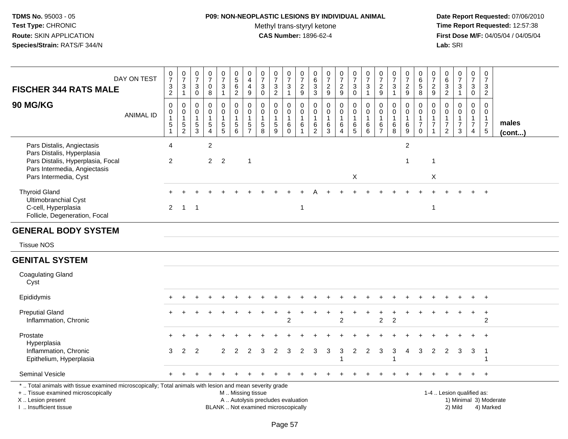#### **P09: NON-NEOPLASTIC LESIONS BY INDIVIDUAL ANIMAL**Methyl trans-styryl ketone<br>CAS Number: 1896-62-4

| <b>FISCHER 344 RATS MALE</b>                                                                                                                                                                  | DAY ON TEST      | $\frac{0}{7}$<br>$\frac{3}{2}$                                                        | $\frac{0}{7}$<br>$\ensuremath{\mathsf{3}}$<br>$\mathbf{1}$ | 0<br>$\overline{7}$<br>$\sqrt{3}$<br>$\mathsf{O}\xspace$   | $\frac{0}{7}$<br>$\mathbf 0$<br>$\bf 8$                                  | $\frac{0}{7}$<br>$\mathbf{3}$<br>$\mathbf{1}$                | $\begin{array}{c} 0 \\ 5 \end{array}$<br>$\frac{6}{2}$                  | 0<br>$\overline{4}$<br>$\overline{4}$<br>$\boldsymbol{9}$   | $\begin{array}{c} 0 \\ 7 \end{array}$<br>$\ensuremath{\mathsf{3}}$<br>$\mathbf 0$ | $\frac{0}{7}$<br>$\frac{3}{2}$                                | $\frac{0}{7}$<br>3<br>$\mathbf{1}$                | 0<br>$\overline{7}$<br>$\frac{2}{9}$                          | 0<br>$\overline{6}$<br>3<br>$\overline{3}$           | $\pmb{0}$<br>$\overline{7}$<br>$\frac{2}{9}$ | $\frac{0}{7}$<br>$\frac{2}{9}$                                                     | $\begin{array}{c} 0 \\ 7 \end{array}$<br>$_{0}^{3}$                   | $\frac{0}{7}$<br>$\mathsf 3$<br>$\overline{1}$                   | $\frac{0}{7}$<br>$\frac{2}{9}$                      | $\frac{0}{7}$<br>$\sqrt{3}$<br>$\mathbf{1}$                  | $\frac{0}{7}$<br>$\overline{c}$<br>$\overline{9}$ | $_{6}^{\rm 0}$<br>$\frac{5}{8}$                           | 0<br>$\overline{7}$<br>$\frac{2}{9}$                                        | 0<br>$6\phantom{a}$<br>$\frac{3}{2}$                              | $\begin{array}{c} 0 \\ 7 \end{array}$<br>$\mathbf{3}$<br>$\mathbf{1}$ | 0<br>$\overline{7}$<br>3<br>$\mathbf 0$                   | $\pmb{0}$<br>$\overline{7}$<br>$\frac{3}{2}$                                      |                 |
|-----------------------------------------------------------------------------------------------------------------------------------------------------------------------------------------------|------------------|---------------------------------------------------------------------------------------|------------------------------------------------------------|------------------------------------------------------------|--------------------------------------------------------------------------|--------------------------------------------------------------|-------------------------------------------------------------------------|-------------------------------------------------------------|-----------------------------------------------------------------------------------|---------------------------------------------------------------|---------------------------------------------------|---------------------------------------------------------------|------------------------------------------------------|----------------------------------------------|------------------------------------------------------------------------------------|-----------------------------------------------------------------------|------------------------------------------------------------------|-----------------------------------------------------|--------------------------------------------------------------|---------------------------------------------------|-----------------------------------------------------------|-----------------------------------------------------------------------------|-------------------------------------------------------------------|-----------------------------------------------------------------------|-----------------------------------------------------------|-----------------------------------------------------------------------------------|-----------------|
| 90 MG/KG                                                                                                                                                                                      | <b>ANIMAL ID</b> | $\mathsf{O}\xspace$<br>$\mathbf 0$<br>$\overline{1}$<br>$\,$ 5 $\,$<br>$\overline{1}$ | 0<br>$\mathbf 0$<br>$\mathbf{1}$<br>$\frac{5}{2}$          | $\mathbf 0$<br>$\Omega$<br>1<br>$\sqrt{5}$<br>$\mathbf{3}$ | $\pmb{0}$<br>$\mathbf 0$<br>$\mathbf{1}$<br>$\sqrt{5}$<br>$\overline{4}$ | $\mathsf{O}$<br>$\mathbf 0$<br>$\mathbf{1}$<br>$\frac{5}{5}$ | $\pmb{0}$<br>0<br>$\mathbf{1}$<br>$\begin{array}{c} 5 \\ 6 \end{array}$ | $\pmb{0}$<br>$\mathbf 0$<br>$\overline{1}$<br>$\frac{5}{7}$ | 0<br>$\mathbf 0$<br>$\overline{1}$<br>$\begin{array}{c} 5 \\ 8 \end{array}$       | $\mathbf 0$<br>$\mathbf 0$<br>$\mathbf{1}$<br>$\sqrt{5}$<br>9 | 0<br>$\mathbf 0$<br>$\mathbf{1}$<br>6<br>$\Omega$ | $\pmb{0}$<br>$\mathbf 0$<br>$\mathbf{1}$<br>6<br>$\mathbf{1}$ | 0<br>$\Omega$<br>$\mathbf{1}$<br>6<br>$\overline{2}$ | 0<br>$\mathbf 0$<br>$\mathbf 1$<br>$^6_3$    | $\mathbf 0$<br>$\overline{0}$<br>$\mathbf{1}$<br>$\,6\,$<br>$\boldsymbol{\Lambda}$ | $\pmb{0}$<br>$\mathbf 0$<br>$\mathbf{1}$<br>$\,6\,$<br>$\overline{5}$ | $\pmb{0}$<br>$\mathbf 0$<br>$\mathbf{1}$<br>$6\phantom{1}6$<br>6 | $\mathbf 0$<br>$\Omega$<br>1<br>6<br>$\overline{7}$ | $\mathsf{O}\xspace$<br>$\mathbf 0$<br>$\mathbf{1}$<br>$^6_8$ | 0<br>$\mathbf 0$<br>$\mathbf 1$<br>$^6_9$         | 0<br>0<br>$\mathbf{1}$<br>$\boldsymbol{7}$<br>$\mathbf 0$ | $\mathbf 0$<br>$\Omega$<br>$\mathbf{1}$<br>$\overline{7}$<br>$\overline{1}$ | 0<br>$\Omega$<br>$\mathbf{1}$<br>$\overline{7}$<br>$\overline{2}$ | $\mathbf 0$<br>$\Omega$<br>$\mathbf{1}$<br>$\overline{7}$<br>3        | 0<br>$\mathbf 0$<br>1<br>$\overline{7}$<br>$\overline{4}$ | $\mathbf 0$<br>$\mathbf 0$<br>$\mathbf{1}$<br>$\boldsymbol{7}$<br>$5\phantom{.0}$ | males<br>(cont) |
| Pars Distalis, Angiectasis<br>Pars Distalis, Hyperplasia<br>Pars Distalis, Hyperplasia, Focal<br>Pars Intermedia, Angiectasis<br>Pars Intermedia, Cyst                                        |                  | 4<br>2                                                                                |                                                            |                                                            | $\overline{2}$<br>$\overline{2}$                                         | $\overline{2}$                                               |                                                                         | $\overline{1}$                                              |                                                                                   |                                                               |                                                   |                                                               |                                                      |                                              |                                                                                    | X                                                                     |                                                                  |                                                     |                                                              | $\overline{c}$<br>$\mathbf{1}$                    |                                                           | $\overline{1}$<br>X                                                         |                                                                   |                                                                       |                                                           |                                                                                   |                 |
| <b>Thyroid Gland</b><br>Ultimobranchial Cyst<br>C-cell, Hyperplasia<br>Follicle, Degeneration, Focal                                                                                          |                  | $\overline{2}$                                                                        | $\overline{1}$                                             | $\overline{1}$                                             |                                                                          |                                                              |                                                                         |                                                             |                                                                                   |                                                               |                                                   | $\mathbf 1$                                                   |                                                      |                                              |                                                                                    |                                                                       |                                                                  |                                                     |                                                              |                                                   |                                                           | $\overline{1}$                                                              |                                                                   |                                                                       |                                                           |                                                                                   |                 |
| <b>GENERAL BODY SYSTEM</b>                                                                                                                                                                    |                  |                                                                                       |                                                            |                                                            |                                                                          |                                                              |                                                                         |                                                             |                                                                                   |                                                               |                                                   |                                                               |                                                      |                                              |                                                                                    |                                                                       |                                                                  |                                                     |                                                              |                                                   |                                                           |                                                                             |                                                                   |                                                                       |                                                           |                                                                                   |                 |
| <b>Tissue NOS</b>                                                                                                                                                                             |                  |                                                                                       |                                                            |                                                            |                                                                          |                                                              |                                                                         |                                                             |                                                                                   |                                                               |                                                   |                                                               |                                                      |                                              |                                                                                    |                                                                       |                                                                  |                                                     |                                                              |                                                   |                                                           |                                                                             |                                                                   |                                                                       |                                                           |                                                                                   |                 |
| <b>GENITAL SYSTEM</b>                                                                                                                                                                         |                  |                                                                                       |                                                            |                                                            |                                                                          |                                                              |                                                                         |                                                             |                                                                                   |                                                               |                                                   |                                                               |                                                      |                                              |                                                                                    |                                                                       |                                                                  |                                                     |                                                              |                                                   |                                                           |                                                                             |                                                                   |                                                                       |                                                           |                                                                                   |                 |
| <b>Coagulating Gland</b><br>Cyst                                                                                                                                                              |                  |                                                                                       |                                                            |                                                            |                                                                          |                                                              |                                                                         |                                                             |                                                                                   |                                                               |                                                   |                                                               |                                                      |                                              |                                                                                    |                                                                       |                                                                  |                                                     |                                                              |                                                   |                                                           |                                                                             |                                                                   |                                                                       |                                                           |                                                                                   |                 |
| Epididymis                                                                                                                                                                                    |                  |                                                                                       |                                                            |                                                            |                                                                          |                                                              |                                                                         |                                                             |                                                                                   |                                                               |                                                   |                                                               |                                                      |                                              |                                                                                    |                                                                       |                                                                  |                                                     |                                                              |                                                   |                                                           |                                                                             |                                                                   |                                                                       |                                                           |                                                                                   |                 |
| <b>Preputial Gland</b><br>Inflammation, Chronic                                                                                                                                               |                  |                                                                                       |                                                            |                                                            |                                                                          |                                                              |                                                                         |                                                             |                                                                                   |                                                               | $\mathfrak{p}$                                    |                                                               |                                                      |                                              | $\overline{2}$                                                                     |                                                                       |                                                                  | $\overline{2}$                                      | 2                                                            |                                                   |                                                           |                                                                             |                                                                   |                                                                       | $\ddot{}$                                                 | $\ddot{}$<br>2                                                                    |                 |
| Prostate<br>Hyperplasia                                                                                                                                                                       |                  |                                                                                       |                                                            |                                                            |                                                                          |                                                              |                                                                         |                                                             |                                                                                   |                                                               |                                                   |                                                               |                                                      |                                              |                                                                                    |                                                                       |                                                                  |                                                     |                                                              |                                                   |                                                           |                                                                             |                                                                   |                                                                       |                                                           |                                                                                   |                 |
| Inflammation, Chronic<br>Epithelium, Hyperplasia                                                                                                                                              |                  | 3                                                                                     | 2                                                          | 2                                                          |                                                                          | $\overline{2}$                                               | 2                                                                       | 2                                                           | 3                                                                                 | 2                                                             | 3                                                 | 2                                                             | 3                                                    | 3                                            | 3                                                                                  | $\overline{c}$                                                        | $\overline{2}$                                                   | 3                                                   | 3                                                            | 4                                                 | 3                                                         | $\overline{2}$                                                              | $\overline{2}$                                                    | 3                                                                     | 3                                                         | - 1<br>-1                                                                         |                 |
| Seminal Vesicle                                                                                                                                                                               |                  |                                                                                       |                                                            |                                                            |                                                                          |                                                              |                                                                         |                                                             |                                                                                   |                                                               |                                                   |                                                               |                                                      |                                              |                                                                                    |                                                                       |                                                                  |                                                     |                                                              |                                                   |                                                           |                                                                             |                                                                   |                                                                       |                                                           |                                                                                   |                 |
| *  Total animals with tissue examined microscopically; Total animals with lesion and mean severity grade<br>+  Tissue examined microscopically<br>X  Lesion present<br>I. Insufficient tissue |                  |                                                                                       |                                                            |                                                            |                                                                          |                                                              | M  Missing tissue                                                       |                                                             | A  Autolysis precludes evaluation<br>BLANK  Not examined microscopically          |                                                               |                                                   |                                                               |                                                      |                                              |                                                                                    |                                                                       |                                                                  |                                                     |                                                              |                                                   |                                                           |                                                                             |                                                                   | 1-4  Lesion qualified as:<br>2) Mild                                  |                                                           | 1) Minimal 3) Moderate<br>4) Marked                                               |                 |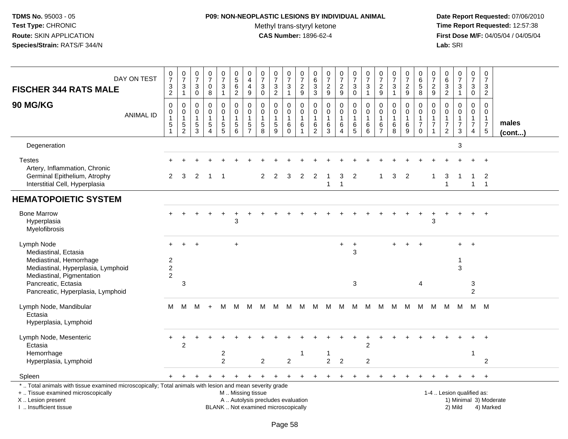# **P09: NON-NEOPLASTIC LESIONS BY INDIVIDUAL ANIMAL**

Methyl trans-styryl ketone<br>CAS Number: 1896-62-4

| DAY ON TEST<br><b>FISCHER 344 RATS MALE</b>                                                                                                                                                  | $\frac{0}{7}$<br>$\ensuremath{\mathsf{3}}$<br>$\overline{2}$ | $\frac{0}{7}$<br>$\ensuremath{\mathsf{3}}$<br>$\mathbf{1}$                | $\begin{array}{c} 0 \\ 7 \end{array}$<br>3<br>$\mathbf 0$      | $\begin{array}{c} 0 \\ 7 \end{array}$<br>$\mathbf 0$<br>8                  | $\begin{array}{c} 0 \\ 7 \end{array}$<br>3<br>$\mathbf{1}$ | 0<br>$\overline{5}$<br>6<br>$\overline{c}$                 | 0<br>$\overline{4}$<br>$\overline{\mathbf{4}}$<br>9     | $\frac{0}{7}$<br>$\sqrt{3}$<br>0                 | $\begin{array}{c} 0 \\ 7 \end{array}$<br>$\sqrt{3}$<br>$\overline{2}$    | $\begin{array}{c} 0 \\ 7 \end{array}$<br>$\mathbf{3}$<br>$\overline{1}$ | $\begin{array}{c} 0 \\ 7 \end{array}$<br>$\sqrt{2}$<br>$\overline{9}$ | 0<br>$\,6\,$<br>$\ensuremath{\mathsf{3}}$<br>$\mathbf{3}$ | $\frac{0}{7}$<br>$\overline{c}$<br>9              | $\frac{0}{7}$<br>$\overline{c}$<br>9                             | $\frac{0}{7}$<br>3<br>$\mathbf 0$       | $\frac{0}{7}$<br>$\mathbf{3}$<br>$\mathbf{1}$ | $\begin{array}{c} 0 \\ 7 \end{array}$<br>$\overline{c}$<br>9 | $\begin{array}{c} 0 \\ 7 \end{array}$<br>$\mathbf{3}$<br>$\overline{1}$ | $\begin{array}{c} 0 \\ 7 \end{array}$<br>$\overline{\mathbf{c}}$<br>9 | $\mathbf 0$<br>$\,6\,$<br>$\overline{5}$<br>8                                | 0<br>$\overline{7}$<br>$\overline{c}$<br>9     | $_{6}^{\rm 0}$<br>$\overline{3}$<br>$\overline{2}$                            | $\frac{0}{7}$<br>$\mathbf{3}$<br>$\mathbf{1}$        | $\frac{0}{7}$<br>3<br>$\overline{0}$                                        | $\pmb{0}$<br>$\overline{7}$<br>$\sqrt{3}$<br>$\overline{2}$                    |                       |
|----------------------------------------------------------------------------------------------------------------------------------------------------------------------------------------------|--------------------------------------------------------------|---------------------------------------------------------------------------|----------------------------------------------------------------|----------------------------------------------------------------------------|------------------------------------------------------------|------------------------------------------------------------|---------------------------------------------------------|--------------------------------------------------|--------------------------------------------------------------------------|-------------------------------------------------------------------------|-----------------------------------------------------------------------|-----------------------------------------------------------|---------------------------------------------------|------------------------------------------------------------------|-----------------------------------------|-----------------------------------------------|--------------------------------------------------------------|-------------------------------------------------------------------------|-----------------------------------------------------------------------|------------------------------------------------------------------------------|------------------------------------------------|-------------------------------------------------------------------------------|------------------------------------------------------|-----------------------------------------------------------------------------|--------------------------------------------------------------------------------|-----------------------|
| <b>90 MG/KG</b><br><b>ANIMAL ID</b>                                                                                                                                                          | $\mathbf 0$<br>0<br>$\overline{1}$<br>5<br>$\overline{1}$    | $\mathbf 0$<br>$\pmb{0}$<br>$\mathbf{1}$<br>$\mathbf 5$<br>$\overline{c}$ | $\mathbf{0}$<br>$\mathbf 0$<br>$\mathbf{1}$<br>$\sqrt{5}$<br>3 | $\mathbf 0$<br>$\mathbf 0$<br>$\mathbf{1}$<br>$\sqrt{5}$<br>$\overline{4}$ | 0<br>0<br>$\mathbf{1}$<br>$\,$ 5 $\,$<br>5                 | $\Omega$<br>$\mathbf 0$<br>$\mathbf{1}$<br>$\sqrt{5}$<br>6 | 0<br>0<br>$\mathbf{1}$<br>$\,$ 5 $\,$<br>$\overline{7}$ | $\Omega$<br>0<br>$\mathbf{1}$<br>$\sqrt{5}$<br>8 | $\Omega$<br>0<br>$\mathbf{1}$<br>$\sqrt{5}$<br>9                         | $\Omega$<br>$\mathsf{O}$<br>$\overline{1}$<br>$\,6$<br>$\Omega$         | $\mathbf 0$<br>$\mathbf 0$<br>$\overline{1}$<br>6<br>$\overline{1}$   | $\Omega$<br>0<br>$\overline{1}$<br>6<br>2                 | $\Omega$<br>$\mathbf 0$<br>$\mathbf{1}$<br>6<br>3 | $\mathbf 0$<br>$\mathbf 0$<br>$\mathbf 1$<br>6<br>$\overline{4}$ | $\Omega$<br>0<br>$\mathbf{1}$<br>$^6_5$ | 0<br>$\pmb{0}$<br>$\mathbf{1}$<br>$\,6$<br>6  | $\Omega$<br>0<br>$\mathbf{1}$<br>6<br>$\overline{7}$         | $\mathbf 0$<br>$\mathbf 0$<br>$\mathbf{1}$<br>$\,6$<br>8                | 0<br>0<br>$\mathbf{1}$<br>$\,6\,$<br>9                                | $\Omega$<br>$\mathbf 0$<br>$\overline{1}$<br>$\boldsymbol{7}$<br>$\mathbf 0$ | $\Omega$<br>0<br>$\mathbf 1$<br>$\overline{7}$ | $\Omega$<br>$\mathbf 0$<br>$\mathbf{1}$<br>$\boldsymbol{7}$<br>$\overline{2}$ | $\Omega$<br>0<br>$\mathbf{1}$<br>$\overline{7}$<br>3 | $\Omega$<br>$\mathbf 0$<br>$\mathbf{1}$<br>$\overline{7}$<br>$\overline{4}$ | $\Omega$<br>$\mathbf 0$<br>$\overline{1}$<br>$\overline{7}$<br>$5\phantom{.0}$ | males<br>$($ cont $)$ |
| Degeneration                                                                                                                                                                                 |                                                              |                                                                           |                                                                |                                                                            |                                                            |                                                            |                                                         |                                                  |                                                                          |                                                                         |                                                                       |                                                           |                                                   |                                                                  |                                         |                                               |                                                              |                                                                         |                                                                       |                                                                              |                                                |                                                                               | 3                                                    |                                                                             |                                                                                |                       |
| <b>Testes</b><br>Artery, Inflammation, Chronic                                                                                                                                               |                                                              |                                                                           |                                                                |                                                                            |                                                            |                                                            |                                                         |                                                  |                                                                          |                                                                         |                                                                       |                                                           |                                                   |                                                                  |                                         |                                               |                                                              |                                                                         |                                                                       |                                                                              |                                                |                                                                               |                                                      |                                                                             |                                                                                |                       |
| Germinal Epithelium, Atrophy<br>Interstitial Cell, Hyperplasia                                                                                                                               | $\mathbf{2}^{\circ}$                                         | 3                                                                         | 2                                                              | -1                                                                         |                                                            |                                                            |                                                         | $\overline{2}$                                   | $\overline{2}$                                                           | 3                                                                       | 2                                                                     | 2                                                         | $\mathbf{1}$                                      | 3<br>$\mathbf{1}$                                                | 2                                       |                                               | $\mathbf{1}$                                                 | 3                                                                       | $\overline{2}$                                                        |                                                                              | 1                                              | 3<br>$\mathbf{1}$                                                             | $\mathbf 1$                                          | 1<br>$\mathbf{1}$                                                           | 2<br>$\overline{\mathbf{1}}$                                                   |                       |
| <b>HEMATOPOIETIC SYSTEM</b>                                                                                                                                                                  |                                                              |                                                                           |                                                                |                                                                            |                                                            |                                                            |                                                         |                                                  |                                                                          |                                                                         |                                                                       |                                                           |                                                   |                                                                  |                                         |                                               |                                                              |                                                                         |                                                                       |                                                                              |                                                |                                                                               |                                                      |                                                                             |                                                                                |                       |
| <b>Bone Marrow</b><br>Hyperplasia<br>Myelofibrosis                                                                                                                                           |                                                              |                                                                           |                                                                |                                                                            |                                                            | 3                                                          |                                                         |                                                  |                                                                          |                                                                         |                                                                       |                                                           |                                                   |                                                                  |                                         |                                               |                                                              |                                                                         |                                                                       |                                                                              | 3                                              |                                                                               |                                                      |                                                                             |                                                                                |                       |
| Lymph Node<br>Mediastinal, Ectasia<br>Mediastinal, Hemorrhage<br>Mediastinal, Hyperplasia, Lymphoid<br>Mediastinal, Pigmentation                                                             | $+$<br>$\overline{c}$<br>$\overline{2}$<br>$\overline{2}$    | $\ddot{}$                                                                 | $\ddot{}$                                                      |                                                                            |                                                            | $+$                                                        |                                                         |                                                  |                                                                          |                                                                         |                                                                       |                                                           |                                                   | $+$                                                              | $\ddot{}$<br>3                          |                                               |                                                              |                                                                         | $\ddot{}$                                                             | $+$                                                                          |                                                |                                                                               | $+$<br>-1<br>3                                       | $+$                                                                         |                                                                                |                       |
| Pancreatic, Ectasia<br>Pancreatic, Hyperplasia, Lymphoid                                                                                                                                     |                                                              | 3                                                                         |                                                                |                                                                            |                                                            |                                                            |                                                         |                                                  |                                                                          |                                                                         |                                                                       |                                                           |                                                   |                                                                  | 3                                       |                                               |                                                              |                                                                         |                                                                       | 4                                                                            |                                                |                                                                               |                                                      | 3<br>$\overline{c}$                                                         |                                                                                |                       |
| Lymph Node, Mandibular<br>Ectasia<br>Hyperplasia, Lymphoid                                                                                                                                   | М                                                            | M                                                                         | м                                                              | $+$                                                                        | м                                                          | M                                                          | М                                                       | м                                                | M                                                                        | M                                                                       | M                                                                     | M                                                         | M                                                 | M                                                                | M                                       | M                                             | M                                                            | M                                                                       | M                                                                     | M                                                                            | M                                              | м                                                                             | M                                                    | M M                                                                         |                                                                                |                       |
| Lymph Node, Mesenteric<br>Ectasia                                                                                                                                                            | $\pm$                                                        | $\div$<br>$\overline{2}$                                                  |                                                                |                                                                            |                                                            |                                                            |                                                         |                                                  |                                                                          |                                                                         |                                                                       |                                                           |                                                   |                                                                  |                                         | $\overline{2}$                                |                                                              |                                                                         |                                                                       |                                                                              |                                                |                                                                               |                                                      |                                                                             | $+$                                                                            |                       |
| Hemorrhage<br>Hyperplasia, Lymphoid                                                                                                                                                          |                                                              |                                                                           |                                                                |                                                                            | 2<br>$\overline{2}$                                        |                                                            |                                                         | $\overline{c}$                                   |                                                                          | $\overline{2}$                                                          | -1                                                                    |                                                           | 1<br>$\overline{c}$                               | $\overline{2}$                                                   |                                         | $\overline{c}$                                |                                                              |                                                                         |                                                                       |                                                                              |                                                |                                                                               |                                                      | -1                                                                          | 2                                                                              |                       |
| Spleen                                                                                                                                                                                       | $+$                                                          |                                                                           |                                                                |                                                                            |                                                            |                                                            |                                                         |                                                  |                                                                          |                                                                         |                                                                       |                                                           |                                                   |                                                                  |                                         |                                               |                                                              |                                                                         |                                                                       |                                                                              |                                                |                                                                               |                                                      | $^+$                                                                        | $\overline{+}$                                                                 |                       |
| *  Total animals with tissue examined microscopically; Total animals with lesion and mean severity grade<br>+  Tissue examined microscopically<br>X Lesion present<br>I. Insufficient tissue |                                                              |                                                                           |                                                                |                                                                            |                                                            | M  Missing tissue                                          |                                                         |                                                  | A  Autolysis precludes evaluation<br>BLANK  Not examined microscopically |                                                                         |                                                                       |                                                           |                                                   |                                                                  |                                         |                                               |                                                              |                                                                         |                                                                       |                                                                              |                                                |                                                                               | 1-4  Lesion qualified as:<br>2) Mild                 |                                                                             | 1) Minimal 3) Moderate<br>4) Marked                                            |                       |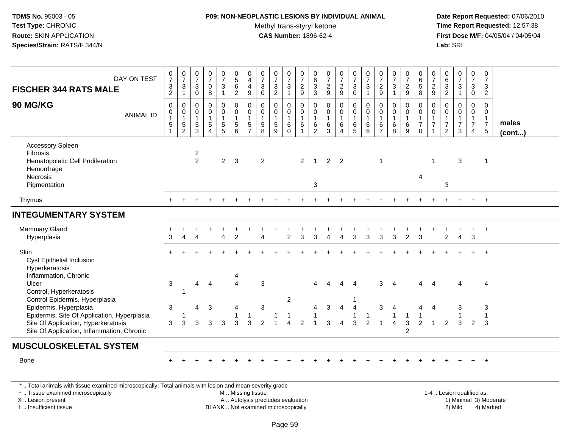# **P09: NON-NEOPLASTIC LESIONS BY INDIVIDUAL ANIMAL**

Methyl trans-styryl ketone<br>CAS Number: 1896-62-4

 **Date Report Requested:** 07/06/2010 **Time Report Requested:** 12:57:38 **First Dose M/F:** 04/05/04 / 04/05/04<br>Lab: SRI **Lab:** SRI

| DAY ON TEST<br><b>FISCHER 344 RATS MALE</b>                                                                                                                | $\frac{0}{7}$<br>$\frac{3}{2}$       | $\frac{0}{7}$<br>$\ensuremath{\mathsf{3}}$<br>$\mathbf{1}$ | $\begin{array}{c} 0 \\ 7 \end{array}$<br>$\ensuremath{\mathsf{3}}$<br>$\mathsf{O}\xspace$ | $\begin{smallmatrix} 0\\7 \end{smallmatrix}$<br>$\pmb{0}$<br>8                   | $\begin{smallmatrix}0\\7\end{smallmatrix}$<br>$\mathbf{3}$<br>$\mathbf{1}$ | $\begin{array}{c} 0 \\ 5 \end{array}$<br>$\,6\,$<br>$\overline{2}$ | $\begin{array}{c} 0 \\ 4 \\ 4 \end{array}$<br>$\boldsymbol{9}$ | $\begin{array}{c} 0 \\ 7 \end{array}$<br>$\frac{3}{0}$                              | $\begin{array}{c} 0 \\ 7 \end{array}$<br>$\frac{3}{2}$                             | $\begin{array}{c} 0 \\ 7 \end{array}$<br>$\frac{3}{1}$ | $\begin{array}{c} 0 \\ 7 \end{array}$<br>$\frac{2}{9}$    | $\begin{matrix} 0 \\ 6 \end{matrix}$<br>$\overline{3}$<br>$\overline{3}$ | $\begin{array}{c} 0 \\ 7 \end{array}$<br>$\frac{2}{9}$          | $\frac{0}{7}$<br>$\frac{2}{9}$             | $\begin{array}{c} 0 \\ 7 \end{array}$<br>$\frac{3}{0}$         | $\frac{0}{7}$<br>$\sqrt{3}$<br>$\mathbf{1}$    | $\begin{array}{c} 0 \\ 7 \end{array}$<br>$\frac{2}{9}$            | $\begin{array}{c} 0 \\ 7 \end{array}$<br>$\sqrt{3}$<br>$\overline{1}$ | $\frac{0}{7}$<br>$\frac{2}{9}$                                  | $_{6}^{\rm 0}$<br>$\overline{5}$<br>$\overline{8}$                 | $\frac{0}{7}$<br>$\frac{2}{9}$                          | $\begin{array}{c} 0 \\ 6 \\ 3 \\ 2 \end{array}$           | $\begin{array}{c} 0 \\ 7 \end{array}$<br>$\frac{3}{1}$                               | $\begin{smallmatrix} 0\\7 \end{smallmatrix}$<br>$_0^3$                         | $\frac{0}{7}$<br>$\mathbf{3}$<br>$\overline{2}$                          |                       |
|------------------------------------------------------------------------------------------------------------------------------------------------------------|--------------------------------------|------------------------------------------------------------|-------------------------------------------------------------------------------------------|----------------------------------------------------------------------------------|----------------------------------------------------------------------------|--------------------------------------------------------------------|----------------------------------------------------------------|-------------------------------------------------------------------------------------|------------------------------------------------------------------------------------|--------------------------------------------------------|-----------------------------------------------------------|--------------------------------------------------------------------------|-----------------------------------------------------------------|--------------------------------------------|----------------------------------------------------------------|------------------------------------------------|-------------------------------------------------------------------|-----------------------------------------------------------------------|-----------------------------------------------------------------|--------------------------------------------------------------------|---------------------------------------------------------|-----------------------------------------------------------|--------------------------------------------------------------------------------------|--------------------------------------------------------------------------------|--------------------------------------------------------------------------|-----------------------|
| 90 MG/KG<br><b>ANIMAL ID</b>                                                                                                                               | 0<br>0<br>$\mathbf{1}$<br>$\sqrt{5}$ | $\pmb{0}$<br>$\mathbf 0$<br>$\mathbf{1}$<br>$\frac{5}{2}$  | $\mathbf 0$<br>$\mathbf 0$<br>$\mathbf{1}$<br>$\overline{5}$<br>3                         | $\mathbf 0$<br>$\pmb{0}$<br>$\mathbf{1}$<br>$\sqrt{5}$<br>$\boldsymbol{\Lambda}$ | $\pmb{0}$<br>$\mathbf 0$<br>$\mathbf{1}$<br>$\frac{5}{5}$                  | $\pmb{0}$<br>$\pmb{0}$<br>$\mathbf{1}$<br>5<br>6                   | 0<br>$\pmb{0}$<br>$\mathbf{1}$<br>$\frac{5}{7}$                | $\mathbf 0$<br>$\mathbf 0$<br>$\mathbf{1}$<br>$\begin{array}{c} 5 \\ 8 \end{array}$ | $\mathbf 0$<br>$\mathsf{O}\xspace$<br>$\mathbf{1}$<br>$\sqrt{5}$<br>$\overline{9}$ | 0<br>$\mathbf 0$<br>$\mathbf{1}$<br>6<br>$\mathbf 0$   | 0<br>$\mathbf 0$<br>$\overline{1}$<br>6<br>$\overline{1}$ | $\boldsymbol{0}$<br>$\mathbf 0$<br>$\mathbf{1}$<br>6<br>$\overline{2}$   | $\mathbf 0$<br>$\mathbf 0$<br>$\mathbf{1}$<br>6<br>$\mathbf{3}$ | 0<br>$\mathbf 0$<br>$\mathbf{1}$<br>6<br>4 | $\pmb{0}$<br>$\mathsf{O}\xspace$<br>$\mathbf{1}$<br>$6\over 5$ | 0<br>$\pmb{0}$<br>$\mathbf{1}$<br>$\,6\,$<br>6 | $\mathbf 0$<br>$\pmb{0}$<br>$\overline{1}$<br>6<br>$\overline{7}$ | $\mathbf 0$<br>$\mathbf 0$<br>$\mathbf{1}$<br>$\,6\,$<br>8            | 0<br>$\mathsf{O}\xspace$<br>$\mathbf{1}$<br>6<br>$\overline{9}$ | $\mathbf 0$<br>$\mathsf{O}\xspace$<br>$\frac{1}{7}$<br>$\mathbf 0$ | $\mathbf 0$<br>0<br>$\mathbf{1}$<br>$\overline{7}$<br>1 | 0<br>$\mathsf{O}\xspace$<br>$\mathbf{1}$<br>$\frac{7}{2}$ | $\pmb{0}$<br>$\mathsf{O}\xspace$<br>$\mathbf{1}$<br>$\overline{7}$<br>$\mathfrak{Z}$ | $\mathbf 0$<br>$\mathbf 0$<br>$\mathbf{1}$<br>$\overline{7}$<br>$\overline{4}$ | $\mathbf 0$<br>$\mathbf 0$<br>$\begin{array}{c} 1 \\ 7 \\ 5 \end{array}$ | males<br>$($ cont $)$ |
| <b>Accessory Spleen</b><br>Fibrosis<br>Hematopoietic Cell Proliferation<br>Hemorrhage<br>Necrosis<br>Pigmentation                                          |                                      |                                                            | $\frac{2}{2}$                                                                             |                                                                                  | $\overline{2}$                                                             | -3                                                                 |                                                                | $\overline{2}$                                                                      |                                                                                    |                                                        | $\overline{2}$                                            | $\mathbf{1}$<br>3                                                        | $\overline{2}$                                                  | $\overline{\phantom{0}}^2$                 |                                                                |                                                | -1                                                                |                                                                       |                                                                 | 4                                                                  | -1                                                      | 3                                                         | 3                                                                                    |                                                                                | $\mathbf 1$                                                              |                       |
| Thymus                                                                                                                                                     |                                      |                                                            |                                                                                           |                                                                                  |                                                                            |                                                                    |                                                                |                                                                                     |                                                                                    |                                                        |                                                           |                                                                          |                                                                 |                                            |                                                                |                                                |                                                                   |                                                                       |                                                                 |                                                                    |                                                         |                                                           |                                                                                      |                                                                                | $+$                                                                      |                       |
| <b>INTEGUMENTARY SYSTEM</b>                                                                                                                                |                                      |                                                            |                                                                                           |                                                                                  |                                                                            |                                                                    |                                                                |                                                                                     |                                                                                    |                                                        |                                                           |                                                                          |                                                                 |                                            |                                                                |                                                |                                                                   |                                                                       |                                                                 |                                                                    |                                                         |                                                           |                                                                                      |                                                                                |                                                                          |                       |
| <b>Mammary Gland</b><br>Hyperplasia                                                                                                                        | 3                                    | $\overline{\Lambda}$                                       |                                                                                           |                                                                                  | Δ                                                                          | $\mathcal{P}$                                                      |                                                                |                                                                                     |                                                                                    | $\overline{2}$                                         | 3                                                         | 3                                                                        |                                                                 | $\boldsymbol{\Lambda}$                     | 3                                                              | 3                                              | 3                                                                 | 3                                                                     | $\overline{2}$                                                  | 3                                                                  |                                                         | $\overline{2}$                                            | $\overline{4}$                                                                       | +<br>3                                                                         | $+$                                                                      |                       |
| Skin<br>Cyst Epithelial Inclusion<br>Hyperkeratosis<br>Inflammation, Chronic                                                                               |                                      |                                                            |                                                                                           |                                                                                  |                                                                            |                                                                    |                                                                |                                                                                     |                                                                                    |                                                        |                                                           |                                                                          |                                                                 |                                            |                                                                |                                                |                                                                   |                                                                       |                                                                 |                                                                    |                                                         |                                                           |                                                                                      |                                                                                |                                                                          |                       |
| Ulcer<br>Control, Hyperkeratosis<br>Control Epidermis, Hyperplasia                                                                                         | 3                                    | $\overline{1}$                                             | 4                                                                                         | $\overline{4}$                                                                   |                                                                            | $\Delta$                                                           |                                                                | 3                                                                                   |                                                                                    | $\overline{2}$                                         |                                                           | Δ                                                                        |                                                                 |                                            |                                                                |                                                | 3                                                                 | $\boldsymbol{\Lambda}$                                                |                                                                 | 4                                                                  | $\boldsymbol{\Lambda}$                                  |                                                           |                                                                                      |                                                                                | 4                                                                        |                       |
| Epidermis, Hyperplasia<br>Epidermis, Site Of Application, Hyperplasia<br>Site Of Application, Hyperkeratosis<br>Site Of Application, Inflammation, Chronic | 3<br>3                               | 3                                                          | 4<br>3                                                                                    | 3<br>3                                                                           | 3                                                                          | 4<br>3                                                             | $\mathbf{1}$<br>3                                              | $\mathbf{3}$<br>$\overline{2}$                                                      |                                                                                    | $\lambda$                                              | $\overline{2}$                                            | 4                                                                        | 3<br>3                                                          | $\overline{4}$<br>$\overline{4}$           | $\overline{4}$<br>3                                            | $\overline{2}$                                 | 3                                                                 | 1<br>$\overline{4}$                                                   | 1<br>3<br>$\overline{c}$                                        | 2                                                                  | 4<br>$\overline{1}$                                     | 2                                                         | 3<br>3                                                                               | $\overline{2}$                                                                 | 3<br>$\mathbf{1}$<br>3                                                   |                       |
| <b>MUSCULOSKELETAL SYSTEM</b>                                                                                                                              |                                      |                                                            |                                                                                           |                                                                                  |                                                                            |                                                                    |                                                                |                                                                                     |                                                                                    |                                                        |                                                           |                                                                          |                                                                 |                                            |                                                                |                                                |                                                                   |                                                                       |                                                                 |                                                                    |                                                         |                                                           |                                                                                      |                                                                                |                                                                          |                       |
| <b>Bone</b>                                                                                                                                                |                                      |                                                            |                                                                                           |                                                                                  |                                                                            |                                                                    |                                                                |                                                                                     |                                                                                    |                                                        |                                                           |                                                                          |                                                                 |                                            |                                                                |                                                |                                                                   |                                                                       |                                                                 |                                                                    |                                                         |                                                           |                                                                                      |                                                                                | $\overline{+}$                                                           |                       |
| *  Total animals with tissue examined microscopically; Total animals with lesion and mean severity grade<br>+  Tissue examined microscopically             |                                      |                                                            |                                                                                           |                                                                                  |                                                                            | M  Missing tissue                                                  |                                                                |                                                                                     |                                                                                    |                                                        |                                                           |                                                                          |                                                                 |                                            |                                                                |                                                |                                                                   |                                                                       |                                                                 |                                                                    |                                                         |                                                           | 1-4  Lesion qualified as:                                                            |                                                                                |                                                                          |                       |

X .. Lesion present

I .. Insufficient tissue

BLANK .. Not examined microscopically and the state of the 2) Mild

A .. Autolysis precludes evaluation and the service of the service of the service of the service of the service of the service of the service of the service of the service of the service of the service of the service of th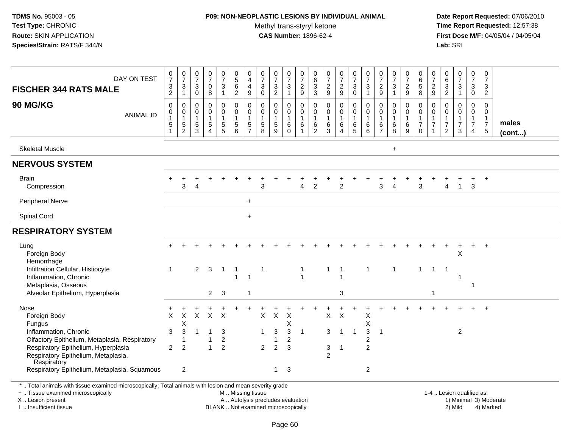#### **P09: NON-NEOPLASTIC LESIONS BY INDIVIDUAL ANIMAL**

Methyl trans-styryl ketone<br>CAS Number: 1896-62-4

 **Date Report Requested:** 07/06/2010 **Time Report Requested:** 12:57:38 **First Dose M/F:** 04/05/04 / 04/05/04<br>Lab: SRI **Lab:** SRI

| DAY ON TEST                                                                                                                                    | $\frac{0}{7}$                                                  | $\frac{0}{7}$                                | $\frac{0}{7}$                                       | $\frac{0}{7}$                                          | $\frac{0}{7}$                                 | $\begin{array}{c} 0 \\ 5 \end{array}$                                 | 0<br>$\overline{4}$                                              | 0<br>$\overline{7}$                                  | $\frac{0}{7}$                              | 0<br>$\overline{7}$                           | $\begin{array}{c} 0 \\ 7 \end{array}$                                   | $\begin{array}{c} 0 \\ 6 \end{array}$                                     | $\frac{0}{7}$                                | $\frac{0}{7}$                                | $\frac{0}{7}$                            | $\frac{0}{7}$                                | $\frac{0}{7}$                                       | $\frac{0}{7}$                                            | $\frac{0}{7}$                              | 0<br>$\,6\,$                                                                  | 0<br>$\overline{7}$                          | 0<br>6                                                     | $\frac{0}{7}$                                                                | $\mathbf 0$<br>$\overline{7}$                                        | $\pmb{0}$<br>$\overline{7}$                            |                       |
|------------------------------------------------------------------------------------------------------------------------------------------------|----------------------------------------------------------------|----------------------------------------------|-----------------------------------------------------|--------------------------------------------------------|-----------------------------------------------|-----------------------------------------------------------------------|------------------------------------------------------------------|------------------------------------------------------|--------------------------------------------|-----------------------------------------------|-------------------------------------------------------------------------|---------------------------------------------------------------------------|----------------------------------------------|----------------------------------------------|------------------------------------------|----------------------------------------------|-----------------------------------------------------|----------------------------------------------------------|--------------------------------------------|-------------------------------------------------------------------------------|----------------------------------------------|------------------------------------------------------------|------------------------------------------------------------------------------|----------------------------------------------------------------------|--------------------------------------------------------|-----------------------|
| <b>FISCHER 344 RATS MALE</b>                                                                                                                   | $\ensuremath{\mathsf{3}}$<br>$\sqrt{2}$                        | 3<br>1                                       | 3<br>$\mathbf 0$                                    | $\pmb{0}$<br>8                                         | 3<br>$\mathbf{1}$                             | $\,6\,$<br>$\overline{2}$                                             | $\overline{4}$<br>9                                              | 3<br>$\mathbf 0$                                     | 3<br>$\overline{2}$                        | 3<br>$\mathbf{1}$                             | $\boldsymbol{2}$<br>$\boldsymbol{9}$                                    | $\frac{3}{3}$                                                             | $\overline{c}$<br>$\boldsymbol{9}$           | $\overline{a}$<br>$\boldsymbol{9}$           | $\mathbf{3}$<br>$\pmb{0}$                | $\mathbf{3}$<br>$\mathbf{1}$                 | $\overline{a}$<br>$\boldsymbol{9}$                  | $\sqrt{3}$<br>$\overline{1}$                             | $\boldsymbol{2}$<br>$\boldsymbol{9}$       | $\overline{5}$<br>8                                                           | $\overline{c}$<br>9                          | $\frac{3}{2}$                                              | $\sqrt{3}$<br>$\mathbf{1}$                                                   | $\mathbf{3}$<br>$\mathsf{O}\xspace$                                  | $\mathbf{3}$<br>$\overline{2}$                         |                       |
| 90 MG/KG<br><b>ANIMAL ID</b>                                                                                                                   | $\pmb{0}$<br>0<br>$\overline{1}$<br>$\sqrt{5}$<br>$\mathbf{1}$ | 0<br>0<br>$\mathbf 1$<br>5<br>$\overline{c}$ | 0<br>$\mathbf 0$<br>$\mathbf{1}$<br>$\sqrt{5}$<br>3 | 0<br>0<br>$\mathbf{1}$<br>$\sqrt{5}$<br>$\overline{4}$ | 0<br>$\mathbf 0$<br>1<br>5<br>$5\phantom{.0}$ | $\mathbf 0$<br>$\mathbf 0$<br>$\overline{1}$<br>$\sqrt{5}$<br>$\,6\,$ | 0<br>$\mathbf 0$<br>$\mathbf{1}$<br>$\sqrt{5}$<br>$\overline{7}$ | $\mathbf 0$<br>$\mathbf 0$<br>$\mathbf{1}$<br>5<br>8 | 0<br>$\mathbf 0$<br>$\mathbf{1}$<br>5<br>9 | 0<br>0<br>$\mathbf{1}$<br>6<br>$\overline{0}$ | $\mathbf 0$<br>$\mathbf 0$<br>$\mathbf{1}$<br>$\,6\,$<br>$\overline{1}$ | $\mathbf 0$<br>$\mathbf 0$<br>$\overline{1}$<br>$\,6\,$<br>$\overline{2}$ | $\pmb{0}$<br>0<br>$\mathbf{1}$<br>$\,6$<br>3 | 0<br>$\mathbf 0$<br>1<br>6<br>$\overline{4}$ | $\pmb{0}$<br>0<br>$\mathbf{1}$<br>6<br>5 | 0<br>$\pmb{0}$<br>$\mathbf{1}$<br>$\,6$<br>6 | $\Omega$<br>0<br>$\mathbf 1$<br>6<br>$\overline{7}$ | $\pmb{0}$<br>$\mathbf 0$<br>$\mathbf{1}$<br>$\,6\,$<br>8 | 0<br>$\mathbf 0$<br>$\mathbf{1}$<br>6<br>9 | $\mathbf 0$<br>$\mathbf 0$<br>$\overline{1}$<br>$\boldsymbol{7}$<br>$\pmb{0}$ | $\mathbf 0$<br>0<br>1<br>$\overline{7}$<br>1 | 0<br>0<br>$\mathbf{1}$<br>$\overline{7}$<br>$\overline{c}$ | $\mathbf 0$<br>$\mathbf 0$<br>$\mathbf{1}$<br>$\overline{7}$<br>$\mathbf{3}$ | $\mathbf 0$<br>0<br>$\mathbf{1}$<br>$\overline{7}$<br>$\overline{4}$ | 0<br>0<br>$\mathbf{1}$<br>$\overline{7}$<br>$\sqrt{5}$ | males<br>$($ cont $)$ |
| <b>Skeletal Muscle</b>                                                                                                                         |                                                                |                                              |                                                     |                                                        |                                               |                                                                       |                                                                  |                                                      |                                            |                                               |                                                                         |                                                                           |                                              |                                              |                                          |                                              |                                                     | $\pm$                                                    |                                            |                                                                               |                                              |                                                            |                                                                              |                                                                      |                                                        |                       |
| <b>NERVOUS SYSTEM</b>                                                                                                                          |                                                                |                                              |                                                     |                                                        |                                               |                                                                       |                                                                  |                                                      |                                            |                                               |                                                                         |                                                                           |                                              |                                              |                                          |                                              |                                                     |                                                          |                                            |                                                                               |                                              |                                                            |                                                                              |                                                                      |                                                        |                       |
| <b>Brain</b><br>Compression                                                                                                                    |                                                                | 3                                            |                                                     |                                                        |                                               |                                                                       |                                                                  | 3                                                    |                                            |                                               | 4                                                                       | $\overline{2}$                                                            |                                              | $\overline{2}$                               |                                          |                                              | 3                                                   | $\overline{A}$                                           |                                            | 3                                                                             |                                              | 4                                                          | $\mathbf{1}$                                                                 | 3                                                                    | $\ddot{}$                                              |                       |
| <b>Peripheral Nerve</b>                                                                                                                        |                                                                |                                              |                                                     |                                                        |                                               |                                                                       | $\pm$                                                            |                                                      |                                            |                                               |                                                                         |                                                                           |                                              |                                              |                                          |                                              |                                                     |                                                          |                                            |                                                                               |                                              |                                                            |                                                                              |                                                                      |                                                        |                       |
| Spinal Cord                                                                                                                                    |                                                                |                                              |                                                     |                                                        |                                               |                                                                       | $\ddot{}$                                                        |                                                      |                                            |                                               |                                                                         |                                                                           |                                              |                                              |                                          |                                              |                                                     |                                                          |                                            |                                                                               |                                              |                                                            |                                                                              |                                                                      |                                                        |                       |
| <b>RESPIRATORY SYSTEM</b>                                                                                                                      |                                                                |                                              |                                                     |                                                        |                                               |                                                                       |                                                                  |                                                      |                                            |                                               |                                                                         |                                                                           |                                              |                                              |                                          |                                              |                                                     |                                                          |                                            |                                                                               |                                              |                                                            |                                                                              |                                                                      |                                                        |                       |
| Lung<br>Foreign Body<br>Hemorrhage                                                                                                             |                                                                |                                              |                                                     |                                                        |                                               |                                                                       |                                                                  |                                                      |                                            |                                               |                                                                         |                                                                           |                                              |                                              |                                          |                                              |                                                     |                                                          |                                            |                                                                               |                                              |                                                            | ÷<br>$\boldsymbol{\mathsf{X}}$                                               | $\ddot{}$                                                            | $+$                                                    |                       |
| Infiltration Cellular, Histiocyte<br>Inflammation, Chronic<br>Metaplasia, Osseous                                                              | $\mathbf{1}$                                                   |                                              | $\overline{2}$                                      | $\mathbf{3}$                                           | $\overline{1}$                                | $\overline{1}$<br>$\overline{1}$                                      | $\overline{1}$                                                   | -1                                                   |                                            |                                               | $\mathbf 1$<br>$\overline{1}$                                           |                                                                           | $\mathbf{1}$                                 | -1<br>1                                      |                                          | $\mathbf{1}$                                 |                                                     | $\mathbf{1}$                                             |                                            | $\mathbf{1}$                                                                  | $\mathbf{1}$                                 | -1                                                         | $\mathbf 1$                                                                  | -1                                                                   |                                                        |                       |
| Alveolar Epithelium, Hyperplasia                                                                                                               |                                                                |                                              |                                                     | $\overline{2}$                                         | 3                                             |                                                                       | 1                                                                |                                                      |                                            |                                               |                                                                         |                                                                           |                                              | 3                                            |                                          |                                              |                                                     |                                                          |                                            |                                                                               | 1                                            |                                                            |                                                                              |                                                                      |                                                        |                       |
| Nose<br>Foreign Body<br>Fungus                                                                                                                 | X                                                              | X<br>Χ                                       | $\mathsf{X}$                                        | $\mathsf{X}$                                           | $\times$                                      |                                                                       |                                                                  | $\times$                                             | $\times$                                   | $\times$<br>X                                 |                                                                         |                                                                           | $\mathsf{X}$                                 | $\times$                                     |                                          | X<br>$\sf X$                                 |                                                     |                                                          |                                            |                                                                               |                                              |                                                            |                                                                              |                                                                      | $\ddot{}$                                              |                       |
| Inflammation, Chronic                                                                                                                          | 3                                                              | 3                                            |                                                     |                                                        | 3                                             |                                                                       |                                                                  |                                                      | $\mathbf{3}$                               | 3                                             | $\overline{1}$                                                          |                                                                           | 3                                            | $\overline{1}$                               | -1                                       | $\mathbf{3}$                                 | -1                                                  |                                                          |                                            |                                                                               |                                              |                                                            | $\overline{c}$                                                               |                                                                      |                                                        |                       |
| Olfactory Epithelium, Metaplasia, Respiratory                                                                                                  |                                                                | 1                                            |                                                     | $\mathbf{1}$<br>$\mathbf{1}$                           | $\overline{c}$<br>$\overline{2}$              |                                                                       |                                                                  |                                                      | $\mathbf{1}$                               | $\overline{c}$                                |                                                                         |                                                                           |                                              |                                              |                                          | $\overline{c}$                               |                                                     |                                                          |                                            |                                                                               |                                              |                                                            |                                                                              |                                                                      |                                                        |                       |
| Respiratory Epithelium, Hyperplasia<br>Respiratory Epithelium, Metaplasia,<br>Respiratory                                                      | $\overline{c}$                                                 | $\overline{c}$                               |                                                     |                                                        |                                               |                                                                       |                                                                  | $\overline{c}$                                       | $\overline{c}$                             | 3                                             |                                                                         |                                                                           | 3<br>2                                       | 1                                            |                                          | $\overline{c}$                               |                                                     |                                                          |                                            |                                                                               |                                              |                                                            |                                                                              |                                                                      |                                                        |                       |
| Respiratory Epithelium, Metaplasia, Squamous                                                                                                   |                                                                | $\overline{2}$                               |                                                     |                                                        |                                               |                                                                       |                                                                  |                                                      | $\mathbf{1}$                               | 3                                             |                                                                         |                                                                           |                                              |                                              |                                          | 2                                            |                                                     |                                                          |                                            |                                                                               |                                              |                                                            |                                                                              |                                                                      |                                                        |                       |
| *  Total animals with tissue examined microscopically; Total animals with lesion and mean severity grade<br>+  Tissue examined microscopically |                                                                |                                              |                                                     |                                                        |                                               | M  Missing tissue                                                     |                                                                  |                                                      |                                            |                                               |                                                                         |                                                                           |                                              |                                              |                                          |                                              |                                                     |                                                          |                                            |                                                                               |                                              |                                                            | 1-4  Lesion qualified as:                                                    |                                                                      |                                                        |                       |

X .. Lesion present

I .. Insufficient tissue

BLANK .. Not examined microscopically

A .. Autolysis precludes evaluation and the service of the service of the service of the service of the service of the service of the service of the service of the service of the service of the service of the service of th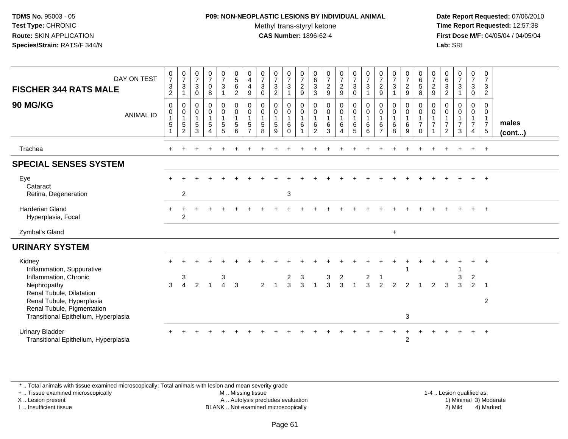## **P09: NON-NEOPLASTIC LESIONS BY INDIVIDUAL ANIMAL**

Methyl trans-styryl ketone<br>CAS Number: 1896-62-4

 **Date Report Requested:** 07/06/2010 **Time Report Requested:** 12:57:38 **First Dose M/F:** 04/05/04 / 04/05/04<br>**Lab:** SRI **Lab:** SRI

| DAY ON TEST<br><b>FISCHER 344 RATS MALE</b><br><b>90 MG/KG</b><br><b>ANIMAL ID</b>                      | $\frac{0}{7}$<br>$\mathbf{3}$<br>2<br>$\mathbf 0$<br>$\Omega$<br>$\mathbf{1}$<br>5 | $\frac{0}{7}$<br>$\sqrt{3}$<br>1<br>$\pmb{0}$<br>$\mathbf 0$<br>$\overline{1}$<br>$\mathbf 5$<br>2 | $\frac{0}{7}$<br>$\ensuremath{\mathsf{3}}$<br>$\mathbf 0$<br>$\mathbf 0$<br>$\mathbf 0$<br>$\mathbf{1}$<br>$\sqrt{5}$<br>3 | $\frac{0}{7}$<br>0<br>8<br>0<br>$\overline{0}$<br>$\mathbf{1}$<br>5 | $\frac{0}{7}$<br>$\sqrt{3}$<br>0<br>$\mathsf{O}\xspace$<br>$\mathbf{1}$<br>$\frac{5}{5}$ | $\begin{array}{c} 0 \\ 5 \end{array}$<br>$\,6\,$<br>$\overline{2}$<br>$\mathbf 0$<br>$\pmb{0}$<br>$\overline{1}$<br>$\sqrt{5}$<br>6 | 0<br>$\overline{4}$<br>$\overline{\mathbf{4}}$<br>9<br>0<br>$\Omega$<br>$\overline{1}$<br>5<br>$\overline{ }$ | $\frac{0}{7}$<br>$\mathbf{3}$<br>$\Omega$<br>$\mathbf 0$<br>$\mathbf 0$<br>$\mathbf{1}$<br>$5\phantom{.0}$<br>8 | $\frac{0}{7}$<br>3<br>2<br>0<br>$\mathbf 0$<br>$\mathbf{1}$<br>5<br>9 | $\frac{0}{7}$<br>$\mathbf{3}$<br>0<br>$\mathbf 0$<br>$\mathbf{1}$<br>6<br>$\Omega$ | $\frac{0}{7}$<br>$\overline{c}$<br>9<br>0<br>$\pmb{0}$<br>$\mathbf{1}$<br>6 | 0<br>$\,6\,$<br>$\sqrt{3}$<br>3<br>$\mathbf 0$<br>$\mathbf 0$<br>$\mathbf{1}$<br>$\,6$<br>2 | $\frac{0}{7}$<br>$\overline{2}$<br>9<br>0<br>$\mathbf 0$<br>$\mathbf{1}$<br>$\,6\,$<br>3 | $\frac{0}{7}$<br>$\sqrt{2}$<br>9<br>0<br>$\pmb{0}$<br>$\mathbf{1}$<br>$\,6\,$<br>4 | $\frac{0}{7}$<br>$\mathbf{3}$<br>$\mathbf 0$<br>0<br>$\begin{smallmatrix}0\\1\end{smallmatrix}$<br>6<br>5 | $\frac{0}{7}$<br>3<br>0<br>0<br>$\mathbf{1}$<br>6<br>6 | 0<br>$\boldsymbol{7}$<br>$\sqrt{2}$<br>9<br>0<br>0<br>$\mathbf{1}$<br>6<br>$\overline{7}$ | $\frac{0}{7}$<br>$\sqrt{3}$<br>0<br>$\mathbf 0$<br>$\mathbf{1}$<br>$\,6\,$<br>8 | $\frac{0}{7}$<br>$\sqrt{2}$<br>9<br>0<br>$\mathsf 0$<br>$\mathbf{1}$<br>6<br>9 | 0<br>$\,6\,$<br>$\overline{5}$<br>8<br>0<br>$\mathsf 0$<br>$\overline{1}$<br>$\overline{7}$<br>$\Omega$ | 0<br>$\overline{7}$<br>$\overline{c}$<br>9<br>0<br>$\mathbf 0$<br>$\mathbf{1}$<br>$\overline{7}$ | 0<br>$\,6\,$<br>$\sqrt{3}$<br>$\overline{2}$<br>0<br>$\mathbf 0$<br>$\overline{7}$<br>2 | $\frac{0}{7}$<br>$\mathbf{3}$<br>0<br>$\pmb{0}$<br>$\mathbf{1}$<br>$\overline{7}$<br>3 | 0<br>$\overline{7}$<br>$\mathbf{3}$<br>$\mathbf 0$<br>0<br>$\mathbf 0$<br>$\overline{1}$<br>$\overline{7}$<br>$\overline{4}$ | 0<br>$\overline{7}$<br>3<br>$\overline{2}$<br>$\mathbf 0$<br>$\mathbf{0}$<br>$\overline{1}$<br>$\overline{7}$<br>$5\phantom{.0}$ | males<br>$($ cont $)$ |
|---------------------------------------------------------------------------------------------------------|------------------------------------------------------------------------------------|----------------------------------------------------------------------------------------------------|----------------------------------------------------------------------------------------------------------------------------|---------------------------------------------------------------------|------------------------------------------------------------------------------------------|-------------------------------------------------------------------------------------------------------------------------------------|---------------------------------------------------------------------------------------------------------------|-----------------------------------------------------------------------------------------------------------------|-----------------------------------------------------------------------|------------------------------------------------------------------------------------|-----------------------------------------------------------------------------|---------------------------------------------------------------------------------------------|------------------------------------------------------------------------------------------|------------------------------------------------------------------------------------|-----------------------------------------------------------------------------------------------------------|--------------------------------------------------------|-------------------------------------------------------------------------------------------|---------------------------------------------------------------------------------|--------------------------------------------------------------------------------|---------------------------------------------------------------------------------------------------------|--------------------------------------------------------------------------------------------------|-----------------------------------------------------------------------------------------|----------------------------------------------------------------------------------------|------------------------------------------------------------------------------------------------------------------------------|----------------------------------------------------------------------------------------------------------------------------------|-----------------------|
| Trachea                                                                                                 |                                                                                    |                                                                                                    |                                                                                                                            |                                                                     |                                                                                          |                                                                                                                                     |                                                                                                               |                                                                                                                 |                                                                       |                                                                                    |                                                                             |                                                                                             |                                                                                          |                                                                                    |                                                                                                           |                                                        |                                                                                           |                                                                                 |                                                                                |                                                                                                         |                                                                                                  |                                                                                         |                                                                                        | $\ddot{}$                                                                                                                    | $+$                                                                                                                              |                       |
| <b>SPECIAL SENSES SYSTEM</b>                                                                            |                                                                                    |                                                                                                    |                                                                                                                            |                                                                     |                                                                                          |                                                                                                                                     |                                                                                                               |                                                                                                                 |                                                                       |                                                                                    |                                                                             |                                                                                             |                                                                                          |                                                                                    |                                                                                                           |                                                        |                                                                                           |                                                                                 |                                                                                |                                                                                                         |                                                                                                  |                                                                                         |                                                                                        |                                                                                                                              |                                                                                                                                  |                       |
| Eye<br>Cataract<br>Retina, Degeneration                                                                 |                                                                                    | $\overline{c}$                                                                                     |                                                                                                                            |                                                                     |                                                                                          |                                                                                                                                     |                                                                                                               |                                                                                                                 |                                                                       | 3                                                                                  |                                                                             |                                                                                             |                                                                                          |                                                                                    |                                                                                                           |                                                        |                                                                                           |                                                                                 |                                                                                |                                                                                                         |                                                                                                  |                                                                                         |                                                                                        |                                                                                                                              | $+$                                                                                                                              |                       |
| <b>Harderian Gland</b><br>Hyperplasia, Focal                                                            |                                                                                    | 2                                                                                                  |                                                                                                                            |                                                                     |                                                                                          |                                                                                                                                     |                                                                                                               |                                                                                                                 |                                                                       |                                                                                    |                                                                             |                                                                                             |                                                                                          |                                                                                    |                                                                                                           |                                                        |                                                                                           |                                                                                 |                                                                                |                                                                                                         |                                                                                                  |                                                                                         |                                                                                        | $\ddot{}$                                                                                                                    | $+$                                                                                                                              |                       |
| Zymbal's Gland                                                                                          |                                                                                    |                                                                                                    |                                                                                                                            |                                                                     |                                                                                          |                                                                                                                                     |                                                                                                               |                                                                                                                 |                                                                       |                                                                                    |                                                                             |                                                                                             |                                                                                          |                                                                                    |                                                                                                           |                                                        |                                                                                           | $\ddot{}$                                                                       |                                                                                |                                                                                                         |                                                                                                  |                                                                                         |                                                                                        |                                                                                                                              |                                                                                                                                  |                       |
| <b>URINARY SYSTEM</b>                                                                                   |                                                                                    |                                                                                                    |                                                                                                                            |                                                                     |                                                                                          |                                                                                                                                     |                                                                                                               |                                                                                                                 |                                                                       |                                                                                    |                                                                             |                                                                                             |                                                                                          |                                                                                    |                                                                                                           |                                                        |                                                                                           |                                                                                 |                                                                                |                                                                                                         |                                                                                                  |                                                                                         |                                                                                        |                                                                                                                              |                                                                                                                                  |                       |
| Kidney<br>Inflammation, Suppurative<br>Inflammation, Chronic<br>Nephropathy<br>Renal Tubule, Dilatation | 3                                                                                  | 3<br>$\overline{4}$                                                                                | $\mathcal{P}$                                                                                                              | $\overline{1}$                                                      | 3                                                                                        | $4 \quad 3$                                                                                                                         |                                                                                                               | $\overline{2}$                                                                                                  | $\overline{1}$                                                        | 2<br>$\overline{3}$                                                                | 3<br>3                                                                      | $\overline{1}$                                                                              | 3<br>3                                                                                   | 2<br>3                                                                             | $\mathbf{1}$                                                                                              | $\frac{2}{3}$                                          | -1<br>$\mathfrak{p}$                                                                      | $\mathcal{P}$                                                                   | $\mathcal{P}$                                                                  |                                                                                                         | $\mathcal{P}$                                                                                    | 3                                                                                       | 3<br>3                                                                                 | $\overline{c}$<br>$\mathfrak{p}$                                                                                             | $+$<br>$\overline{\mathbf{1}}$                                                                                                   |                       |
| Renal Tubule, Hyperplasia<br>Renal Tubule, Pigmentation<br>Transitional Epithelium, Hyperplasia         |                                                                                    |                                                                                                    |                                                                                                                            |                                                                     |                                                                                          |                                                                                                                                     |                                                                                                               |                                                                                                                 |                                                                       |                                                                                    |                                                                             |                                                                                             |                                                                                          |                                                                                    |                                                                                                           |                                                        |                                                                                           |                                                                                 | 3                                                                              |                                                                                                         |                                                                                                  |                                                                                         |                                                                                        |                                                                                                                              | $\overline{2}$                                                                                                                   |                       |
| <b>Urinary Bladder</b><br>Transitional Epithelium, Hyperplasia                                          |                                                                                    |                                                                                                    |                                                                                                                            |                                                                     |                                                                                          |                                                                                                                                     |                                                                                                               |                                                                                                                 |                                                                       |                                                                                    |                                                                             |                                                                                             |                                                                                          |                                                                                    |                                                                                                           |                                                        |                                                                                           |                                                                                 | $\ddot{}$<br>$\overline{c}$                                                    |                                                                                                         |                                                                                                  |                                                                                         |                                                                                        |                                                                                                                              |                                                                                                                                  |                       |

\* .. Total animals with tissue examined microscopically; Total animals with lesion and mean severity grade

+ .. Tissue examined microscopically

X .. Lesion present

I .. Insufficient tissue

M .. Missing tissue

A .. Autolysis precludes evaluation

BLANK .. Not examined microscopically 2) Mild 4) Marked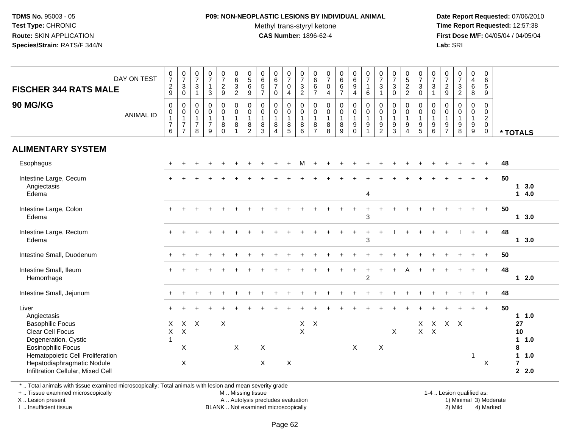# **P09: NON-NEOPLASTIC LESIONS BY INDIVIDUAL ANIMAL**

Methyl trans-styryl ketone<br>CAS Number: 1896-62-4

 **Date Report Requested:** 07/06/2010 **Time Report Requested:** 12:57:38 **First Dose M/F:** 04/05/04 / 04/05/04<br>**Lab:** SRI **Lab:** SRI

| <b>FISCHER 344 RATS MALE</b><br>90 MG/KG                                                                                                                                                                                               | DAY ON TEST<br><b>ANIMAL ID</b> | $\frac{0}{7}$<br>$\frac{2}{9}$<br>$\mathbf 0$<br>$\pmb{0}$<br>$\mathbf{1}$<br>$\overline{7}$<br>6 | $\begin{array}{c} 0 \\ 7 \end{array}$<br>$\sqrt{3}$<br>$\mathbf 0$<br>$\mathbf 0$<br>$\mathbf 0$<br>$\mathbf{1}$<br>$\overline{7}$<br>$\overline{7}$ | $\frac{0}{7}$<br>$\sqrt{3}$<br>$\overline{1}$<br>0<br>0<br>$\mathbf{1}$<br>$\overline{7}$<br>8 | $\frac{0}{7}$<br>$\mathbf{1}$<br>3<br>$\mathsf{O}$<br>$\mathsf{O}$<br>$\mathbf{1}$<br>$\overline{7}$<br>9 | $\begin{array}{c} 0 \\ 7 \end{array}$<br>$\frac{2}{9}$<br>0<br>$\mathbf 0$<br>1<br>8<br>$\Omega$ | $\begin{array}{c} 0 \\ 6 \end{array}$<br>$\frac{3}{2}$<br>$\mathbf 0$<br>$\mathbf 0$<br>$\mathbf{1}$<br>$\, 8$<br>$\overline{1}$ | $\begin{array}{c} 0 \\ 5 \end{array}$<br>$\,6$<br>$9\,$<br>0<br>$\boldsymbol{0}$<br>$\overline{1}$<br>8<br>$\overline{2}$ | $\begin{array}{c} 0 \\ 6 \end{array}$<br>$\sqrt{5}$<br>$\overline{7}$<br>$\mathbf 0$<br>$\mathbf 0$<br>$\overline{1}$<br>$\,8\,$<br>3 | $_{6}^{\rm 0}$<br>$\overline{7}$<br>$\mathbf 0$<br>0<br>$\mathbf 0$<br>$\mathbf{1}$<br>8<br>4 | $\begin{array}{c} 0 \\ 7 \end{array}$<br>$\mathbf 0$<br>$\overline{4}$<br>$\mathbf 0$<br>$\mathbf 0$<br>$\mathbf{1}$<br>$\bf 8$<br>5 | $\frac{0}{7}$<br>$\mathbf{3}$<br>$\overline{2}$<br>$\mathbf 0$<br>$\mathbf 0$<br>$\mathbf{1}$<br>$\bf 8$<br>6 | 0<br>$\,6\,$<br>$\,6\,$<br>$\overline{7}$<br>0<br>$\mathbf 0$<br>$\mathbf{1}$<br>8<br>$\overline{7}$ | $\frac{0}{7}$<br>$\pmb{0}$<br>$\overline{4}$<br>$\pmb{0}$<br>$\pmb{0}$<br>$\mathbf{1}$<br>$\bf 8$<br>8 | $\begin{array}{c} 0 \\ 6 \end{array}$<br>$6\phantom{1}$<br>$\overline{7}$<br>$\mathbf 0$<br>$\mathbf 0$<br>$\overline{1}$<br>$\bf 8$<br>9 | $\begin{array}{c} 0 \\ 6 \end{array}$<br>$\boldsymbol{9}$<br>$\overline{4}$<br>$\mathbf 0$<br>$\boldsymbol{0}$<br>$\mathbf{1}$<br>$\boldsymbol{9}$<br>$\Omega$ | $\frac{0}{7}$<br>$\overline{1}$<br>6<br>$\mathbf 0$<br>$\mathbf 0$<br>$\mathbf{1}$<br>9<br>$\overline{ }$ | $\begin{array}{c} 0 \\ 7 \end{array}$<br>$\sqrt{3}$<br>$\overline{1}$<br>$\mathbf 0$<br>$\pmb{0}$<br>$\mathbf{1}$<br>$\boldsymbol{9}$<br>$\overline{2}$ | $\frac{0}{7}$<br>3<br>$\Omega$<br>0<br>$\mathsf{O}$<br>$\mathbf{1}$<br>9<br>3 | $\begin{array}{c} 0 \\ 5 \end{array}$<br>$\frac{2}{2}$<br>$\mathbf 0$<br>$\mathbf 0$<br>$\mathbf{1}$<br>$\boldsymbol{9}$<br>$\overline{4}$ | $\frac{0}{7}$<br>$\mathbf{3}$<br>$\mathbf 0$<br>0<br>$\pmb{0}$<br>$\mathbf{1}$<br>$\boldsymbol{9}$<br>5 | 0<br>$\boldsymbol{7}$<br>$\mathsf 3$<br>$\overline{1}$<br>$\mathbf 0$<br>$\mathbf 0$<br>$\mathbf{1}$<br>$^9$ 6 | $\frac{0}{7}$<br>$\frac{2}{9}$<br>$\mathsf{O}\xspace$<br>$\pmb{0}$<br>$\mathbf{1}$<br>$\frac{9}{7}$ | $\frac{0}{7}$<br>$\mathbf{3}$<br>$\overline{2}$<br>$\pmb{0}$<br>$\mathbf 0$<br>$\overline{1}$<br>$_{8}^{\rm 9}$ | $\pmb{0}$<br>$\overline{4}$<br>$6\phantom{1}6$<br>8<br>$\mathbf 0$<br>$\overline{0}$<br>$\mathbf{1}$<br>$\boldsymbol{9}$<br>$\overline{9}$ | $\boldsymbol{0}$<br>$6\phantom{1}6$<br>$\overline{5}$<br>9<br>$\mathbf 0$<br>$\mathbf 0$<br>$\overline{2}$<br>$\mathbf 0$<br>0 |    | * TOTALS                                                                   |
|----------------------------------------------------------------------------------------------------------------------------------------------------------------------------------------------------------------------------------------|---------------------------------|---------------------------------------------------------------------------------------------------|------------------------------------------------------------------------------------------------------------------------------------------------------|------------------------------------------------------------------------------------------------|-----------------------------------------------------------------------------------------------------------|--------------------------------------------------------------------------------------------------|----------------------------------------------------------------------------------------------------------------------------------|---------------------------------------------------------------------------------------------------------------------------|---------------------------------------------------------------------------------------------------------------------------------------|-----------------------------------------------------------------------------------------------|--------------------------------------------------------------------------------------------------------------------------------------|---------------------------------------------------------------------------------------------------------------|------------------------------------------------------------------------------------------------------|--------------------------------------------------------------------------------------------------------|-------------------------------------------------------------------------------------------------------------------------------------------|----------------------------------------------------------------------------------------------------------------------------------------------------------------|-----------------------------------------------------------------------------------------------------------|---------------------------------------------------------------------------------------------------------------------------------------------------------|-------------------------------------------------------------------------------|--------------------------------------------------------------------------------------------------------------------------------------------|---------------------------------------------------------------------------------------------------------|----------------------------------------------------------------------------------------------------------------|-----------------------------------------------------------------------------------------------------|-----------------------------------------------------------------------------------------------------------------|--------------------------------------------------------------------------------------------------------------------------------------------|--------------------------------------------------------------------------------------------------------------------------------|----|----------------------------------------------------------------------------|
| <b>ALIMENTARY SYSTEM</b>                                                                                                                                                                                                               |                                 |                                                                                                   |                                                                                                                                                      |                                                                                                |                                                                                                           |                                                                                                  |                                                                                                                                  |                                                                                                                           |                                                                                                                                       |                                                                                               |                                                                                                                                      |                                                                                                               |                                                                                                      |                                                                                                        |                                                                                                                                           |                                                                                                                                                                |                                                                                                           |                                                                                                                                                         |                                                                               |                                                                                                                                            |                                                                                                         |                                                                                                                |                                                                                                     |                                                                                                                 |                                                                                                                                            |                                                                                                                                |    |                                                                            |
| Esophagus                                                                                                                                                                                                                              |                                 |                                                                                                   |                                                                                                                                                      |                                                                                                |                                                                                                           |                                                                                                  |                                                                                                                                  |                                                                                                                           |                                                                                                                                       |                                                                                               |                                                                                                                                      | м                                                                                                             |                                                                                                      |                                                                                                        |                                                                                                                                           |                                                                                                                                                                |                                                                                                           |                                                                                                                                                         |                                                                               |                                                                                                                                            |                                                                                                         |                                                                                                                |                                                                                                     |                                                                                                                 |                                                                                                                                            |                                                                                                                                | 48 |                                                                            |
| Intestine Large, Cecum<br>Angiectasis<br>Edema                                                                                                                                                                                         |                                 |                                                                                                   |                                                                                                                                                      |                                                                                                |                                                                                                           |                                                                                                  |                                                                                                                                  |                                                                                                                           |                                                                                                                                       |                                                                                               |                                                                                                                                      |                                                                                                               |                                                                                                      |                                                                                                        |                                                                                                                                           |                                                                                                                                                                | 4                                                                                                         |                                                                                                                                                         |                                                                               |                                                                                                                                            |                                                                                                         |                                                                                                                |                                                                                                     |                                                                                                                 |                                                                                                                                            | $+$                                                                                                                            | 50 | 13.0<br>14.0                                                               |
| Intestine Large, Colon<br>Edema                                                                                                                                                                                                        |                                 |                                                                                                   |                                                                                                                                                      |                                                                                                |                                                                                                           |                                                                                                  |                                                                                                                                  |                                                                                                                           |                                                                                                                                       |                                                                                               |                                                                                                                                      |                                                                                                               |                                                                                                      |                                                                                                        |                                                                                                                                           |                                                                                                                                                                | 3                                                                                                         |                                                                                                                                                         |                                                                               |                                                                                                                                            |                                                                                                         |                                                                                                                |                                                                                                     |                                                                                                                 |                                                                                                                                            | $\ddot{}$                                                                                                                      | 50 | 13.0                                                                       |
| Intestine Large, Rectum<br>Edema                                                                                                                                                                                                       |                                 |                                                                                                   |                                                                                                                                                      |                                                                                                |                                                                                                           |                                                                                                  |                                                                                                                                  |                                                                                                                           |                                                                                                                                       |                                                                                               |                                                                                                                                      |                                                                                                               |                                                                                                      |                                                                                                        | $+$                                                                                                                                       | $+$                                                                                                                                                            | $\ddot{}$<br>3                                                                                            | $\ddot{}$                                                                                                                                               |                                                                               |                                                                                                                                            |                                                                                                         |                                                                                                                |                                                                                                     |                                                                                                                 | $+$                                                                                                                                        | $+$                                                                                                                            | 48 | $1 \quad 3.0$                                                              |
| Intestine Small, Duodenum                                                                                                                                                                                                              |                                 |                                                                                                   |                                                                                                                                                      |                                                                                                |                                                                                                           |                                                                                                  |                                                                                                                                  |                                                                                                                           |                                                                                                                                       |                                                                                               |                                                                                                                                      |                                                                                                               |                                                                                                      |                                                                                                        |                                                                                                                                           |                                                                                                                                                                |                                                                                                           |                                                                                                                                                         |                                                                               |                                                                                                                                            |                                                                                                         |                                                                                                                |                                                                                                     |                                                                                                                 |                                                                                                                                            |                                                                                                                                | 50 |                                                                            |
| Intestine Small, Ileum<br>Hemorrhage                                                                                                                                                                                                   |                                 |                                                                                                   |                                                                                                                                                      |                                                                                                |                                                                                                           |                                                                                                  |                                                                                                                                  |                                                                                                                           |                                                                                                                                       |                                                                                               |                                                                                                                                      |                                                                                                               |                                                                                                      |                                                                                                        |                                                                                                                                           |                                                                                                                                                                | $\overline{c}$                                                                                            |                                                                                                                                                         |                                                                               |                                                                                                                                            |                                                                                                         |                                                                                                                |                                                                                                     |                                                                                                                 |                                                                                                                                            | $+$                                                                                                                            | 48 | $12.0$                                                                     |
| Intestine Small, Jejunum                                                                                                                                                                                                               |                                 |                                                                                                   |                                                                                                                                                      |                                                                                                |                                                                                                           |                                                                                                  |                                                                                                                                  |                                                                                                                           |                                                                                                                                       |                                                                                               |                                                                                                                                      |                                                                                                               |                                                                                                      |                                                                                                        |                                                                                                                                           |                                                                                                                                                                |                                                                                                           |                                                                                                                                                         |                                                                               |                                                                                                                                            |                                                                                                         |                                                                                                                |                                                                                                     |                                                                                                                 |                                                                                                                                            |                                                                                                                                | 48 |                                                                            |
| Liver<br>Angiectasis<br><b>Basophilic Focus</b><br><b>Clear Cell Focus</b><br>Degeneration, Cystic<br><b>Eosinophilic Focus</b><br>Hematopoietic Cell Proliferation<br>Hepatodiaphragmatic Nodule<br>Infiltration Cellular, Mixed Cell |                                 | $\times$<br>$\times$<br>$\overline{1}$                                                            | $\boldsymbol{\mathsf{X}}$<br>X<br>$\times$                                                                                                           | $X$ $X$                                                                                        |                                                                                                           | X                                                                                                | X                                                                                                                                |                                                                                                                           | X<br>X                                                                                                                                |                                                                                               | $\boldsymbol{\mathsf{X}}$                                                                                                            | $\mathsf X$<br>$\sf X$                                                                                        | $\mathsf{X}$                                                                                         |                                                                                                        |                                                                                                                                           | $\times$                                                                                                                                                       |                                                                                                           | $\sf X$                                                                                                                                                 | X                                                                             |                                                                                                                                            | X<br>$\mathsf{X}$                                                                                       | $\mathsf{X}$                                                                                                   | X X X                                                                                               |                                                                                                                 | $\mathbf{1}$                                                                                                                               | $+$<br>X                                                                                                                       | 50 | 1 1.0<br>27<br>10<br>11.0<br>8<br>1 1.0<br>$\overline{7}$<br>$2 \quad 2.0$ |

\* .. Total animals with tissue examined microscopically; Total animals with lesion and mean severity grade

+ .. Tissue examined microscopically

X .. Lesion present

I .. Insufficient tissue

M .. Missing tissue

Lesion present A .. Autolysis precludes evaluation 1) Minimal 3) Moderate

BLANK .. Not examined microscopically 2) Mild 4) Marked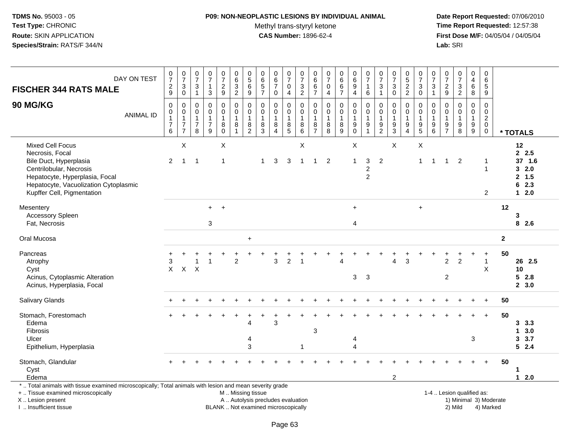#### **P09: NON-NEOPLASTIC LESIONS BY INDIVIDUAL ANIMAL**

Methyl trans-styryl ketone<br>CAS Number: 1896-62-4

| <b>FISCHER 344 RATS MALE</b>                                                                                                                                                                             | DAY ON TEST      | 0<br>$\overline{7}$<br>$\overline{\mathbf{c}}$<br>9                       | $\begin{array}{c} 0 \\ 7 \end{array}$<br>3<br>$\mathbf 0$  | $\pmb{0}$<br>$\overline{7}$<br>$\mathbf{3}$<br>$\mathbf{1}$       | $\frac{0}{7}$<br>3                                   | $\begin{smallmatrix} 0\\7 \end{smallmatrix}$<br>$\frac{2}{9}$    | $\pmb{0}$<br>6<br>$\sqrt{3}$<br>$\overline{2}$                                                | 0<br>$\overline{5}$<br>6<br>9                 | 0<br>$6\phantom{a}$<br>5<br>$\overline{7}$              | $_{6}^{\rm 0}$<br>$\overline{7}$<br>$\mathbf 0$                 | $\frac{0}{7}$<br>$\mathbf 0$<br>4 | $\frac{0}{7}$<br>$\mathbf{3}$<br>$\overline{2}$          | 0<br>$\,6$<br>$\,6\,$<br>$\overline{7}$   | $\mathsf 0$<br>$\overline{7}$<br>$\mathsf{O}\xspace$<br>$\overline{4}$ | 0<br>$6\phantom{a}$<br>6<br>$\overline{7}$               | $\mathbf 0$<br>$6^{\circ}$<br>$\boldsymbol{9}$<br>4                                     | $\frac{0}{7}$<br>$\mathbf{1}$<br>6                                             | 0<br>$\overline{7}$<br>$\mathbf{3}$<br>$\overline{1}$         | $\begin{array}{c} 0 \\ 7 \end{array}$<br>$\mathbf{3}$<br>$\mathbf 0$ | $\begin{smallmatrix}0\0\0\end{smallmatrix}$<br>$\sqrt{2}$<br>2                           | 0<br>$\overline{7}$<br>3<br>$\mathbf 0$                         | 0<br>$\overline{7}$<br>$\mathbf{3}$<br>$\mathbf{1}$ | $\pmb{0}$<br>$\overline{7}$<br>$\overline{c}$<br>$9\,$ | $\frac{0}{7}$<br>$\sqrt{3}$<br>$\overline{2}$   | $\pmb{0}$<br>$\overline{\mathbf{4}}$<br>$\,6\,$<br>8 | $\pmb{0}$<br>6<br>$\sqrt{5}$<br>9                      |              |                                                         |
|----------------------------------------------------------------------------------------------------------------------------------------------------------------------------------------------------------|------------------|---------------------------------------------------------------------------|------------------------------------------------------------|-------------------------------------------------------------------|------------------------------------------------------|------------------------------------------------------------------|-----------------------------------------------------------------------------------------------|-----------------------------------------------|---------------------------------------------------------|-----------------------------------------------------------------|-----------------------------------|----------------------------------------------------------|-------------------------------------------|------------------------------------------------------------------------|----------------------------------------------------------|-----------------------------------------------------------------------------------------|--------------------------------------------------------------------------------|---------------------------------------------------------------|----------------------------------------------------------------------|------------------------------------------------------------------------------------------|-----------------------------------------------------------------|-----------------------------------------------------|--------------------------------------------------------|-------------------------------------------------|------------------------------------------------------|--------------------------------------------------------|--------------|---------------------------------------------------------|
| 90 MG/KG                                                                                                                                                                                                 | <b>ANIMAL ID</b> | $\mathbf 0$<br>0<br>$\mathbf{1}$<br>$\begin{array}{c} 7 \\ 6 \end{array}$ | 0<br>0<br>$\mathbf{1}$<br>$\overline{7}$<br>$\overline{7}$ | $\mathbf 0$<br>$\pmb{0}$<br>$\overline{1}$<br>$\overline{7}$<br>8 | $\mathbf 0$<br>$\pmb{0}$<br>1<br>$\overline{7}$<br>9 | $\mathbf 0$<br>$\pmb{0}$<br>$\overline{1}$<br>$_{\rm 0}^{\rm 8}$ | $\mathbf 0$<br>$\mathbf 0$<br>$\mathbf{1}$<br>$\,8\,$<br>$\mathbf{1}$                         | 0<br>0<br>$\mathbf{1}$<br>8<br>$\overline{2}$ | $\mathbf 0$<br>$\pmb{0}$<br>$\mathbf{1}$<br>$\bf8$<br>3 | $\mathbf 0$<br>$\pmb{0}$<br>$\mathbf{1}$<br>8<br>$\overline{4}$ | 0<br>0<br>1<br>$^8_5$             | $\mathbf 0$<br>$\pmb{0}$<br>$\overline{1}$<br>$_{6}^{8}$ | 0<br>0<br>$\overline{1}$<br>$\frac{8}{7}$ | $\mathbf 0$<br>$\pmb{0}$<br>$\mathbf{1}$<br>$\bf 8$<br>8               | $\mathbf 0$<br>$\pmb{0}$<br>$\mathbf{1}$<br>$\bf 8$<br>9 | $\mathbf 0$<br>$\boldsymbol{0}$<br>$\overline{1}$<br>$\boldsymbol{9}$<br>$\overline{0}$ | $\mathbf 0$<br>$\pmb{0}$<br>$\mathbf{1}$<br>$\boldsymbol{9}$<br>$\overline{1}$ | $\mathbf 0$<br>$\mathbf 0$<br>$\overline{1}$<br>$\frac{9}{2}$ | $\mathbf 0$<br>$\pmb{0}$<br>$\mathbf{1}$<br>$\frac{9}{3}$            | $\mathbf 0$<br>$\mathsf{O}\xspace$<br>$\mathbf{1}$<br>$\boldsymbol{9}$<br>$\overline{4}$ | $\Omega$<br>$\mathbf 0$<br>$\mathbf 1$<br>$\boldsymbol{9}$<br>5 | 0<br>0<br>1<br>$\boldsymbol{9}$<br>6                | $\mathbf 0$<br>0<br>$\mathbf{1}$<br>$\frac{9}{7}$      | $\mathbf 0$<br>$\pmb{0}$<br>1<br>$_{8}^{\rm 9}$ | $\mathbf 0$<br>$\mathbf 0$<br>$\mathbf{1}$<br>$^9_9$ | $\mathbf 0$<br>0<br>$\overline{c}$<br>$\mathbf 0$<br>0 |              | * TOTALS                                                |
| <b>Mixed Cell Focus</b><br>Necrosis, Focal<br>Bile Duct, Hyperplasia<br>Centrilobular, Necrosis<br>Hepatocyte, Hyperplasia, Focal<br>Hepatocyte, Vacuolization Cytoplasmic<br>Kupffer Cell, Pigmentation |                  | $\overline{2}$                                                            | $\sf X$<br>$\mathbf{1}$                                    | -1                                                                |                                                      | $\times$<br>1                                                    |                                                                                               |                                               | -1                                                      | 3                                                               | 3                                 | $\sf X$<br>$\overline{1}$                                | $\mathbf{1}$                              | $\overline{2}$                                                         |                                                          | X<br>$\mathbf{1}$                                                                       | $\sqrt{3}$<br>$\overline{c}$<br>$\sqrt{2}$                                     | $\overline{2}$                                                | X                                                                    |                                                                                          | $\pmb{\times}$<br>$\mathbf 1$                                   | $\mathbf{1}$                                        | $\mathbf{1}$                                           | $\overline{2}$                                  |                                                      | -1<br>$\overline{1}$<br>2                              |              | 12<br>2.5<br>37 1.6<br>32.0<br>2, 1.5<br>62.3<br>$12.0$ |
| Mesentery<br>Accessory Spleen<br>Fat, Necrosis                                                                                                                                                           |                  |                                                                           |                                                            |                                                                   | $+$<br>$\sqrt{3}$                                    | $+$                                                              |                                                                                               |                                               |                                                         |                                                                 |                                   |                                                          |                                           |                                                                        |                                                          | $+$<br>4                                                                                |                                                                                |                                                               |                                                                      |                                                                                          | $+$                                                             |                                                     |                                                        |                                                 |                                                      |                                                        | 12           | 3<br>82.6                                               |
| Oral Mucosa                                                                                                                                                                                              |                  |                                                                           |                                                            |                                                                   |                                                      |                                                                  |                                                                                               | $\ddot{}$                                     |                                                         |                                                                 |                                   |                                                          |                                           |                                                                        |                                                          |                                                                                         |                                                                                |                                                               |                                                                      |                                                                                          |                                                                 |                                                     |                                                        |                                                 |                                                      |                                                        | $\mathbf{2}$ |                                                         |
| Pancreas<br>Atrophy<br>Cyst<br>Acinus, Cytoplasmic Alteration<br>Acinus, Hyperplasia, Focal                                                                                                              |                  | 3<br>X                                                                    | $\sf X$                                                    | X                                                                 |                                                      |                                                                  | $\overline{2}$                                                                                |                                               |                                                         | 3                                                               | $\overline{2}$                    | $\overline{1}$                                           |                                           |                                                                        | Δ                                                        | 3                                                                                       | 3                                                                              |                                                               | 4                                                                    | 3                                                                                        |                                                                 |                                                     | $\overline{2}$<br>$\overline{2}$                       | $\overline{2}$                                  | $\div$                                               | $\ddot{}$<br>$\mathbf{1}$<br>X                         | 50           | 26 2.5<br>10<br>52.8<br>2, 3.0                          |
| <b>Salivary Glands</b>                                                                                                                                                                                   |                  |                                                                           |                                                            |                                                                   |                                                      |                                                                  |                                                                                               |                                               |                                                         |                                                                 |                                   |                                                          |                                           |                                                                        |                                                          |                                                                                         |                                                                                |                                                               |                                                                      |                                                                                          |                                                                 |                                                     |                                                        |                                                 |                                                      | $+$                                                    | 50           |                                                         |
| Stomach, Forestomach<br>Edema<br>Fibrosis<br>Ulcer<br>Epithelium, Hyperplasia                                                                                                                            |                  |                                                                           |                                                            |                                                                   |                                                      |                                                                  |                                                                                               | 4<br>4<br>3                                   |                                                         | 3                                                               |                                   |                                                          | 3                                         |                                                                        |                                                          | 4<br>$\lambda$                                                                          |                                                                                |                                                               |                                                                      |                                                                                          |                                                                 |                                                     |                                                        |                                                 | 3                                                    | $\ddot{}$                                              | 50           | $3\quad 3.3$<br>3.0<br>$\mathbf 1$<br>3.3.7<br>52.4     |
| Stomach, Glandular<br>Cyst<br>Edema                                                                                                                                                                      |                  |                                                                           |                                                            |                                                                   |                                                      |                                                                  |                                                                                               |                                               |                                                         |                                                                 |                                   |                                                          |                                           |                                                                        |                                                          |                                                                                         |                                                                                |                                                               | $\overline{2}$                                                       |                                                                                          |                                                                 |                                                     |                                                        |                                                 |                                                      |                                                        | 50           | 1<br>$12.0$                                             |
| *  Total animals with tissue examined microscopically; Total animals with lesion and mean severity grade<br>+  Tissue examined microscopically<br>X  Lesion present<br>I  Insufficient tissue            |                  |                                                                           |                                                            |                                                                   |                                                      |                                                                  | M  Missing tissue<br>A  Autolysis precludes evaluation<br>BLANK  Not examined microscopically |                                               |                                                         |                                                                 |                                   |                                                          |                                           |                                                                        |                                                          |                                                                                         |                                                                                |                                                               |                                                                      |                                                                                          |                                                                 |                                                     |                                                        | 1-4  Lesion qualified as:<br>2) Mild            |                                                      | 1) Minimal 3) Moderate<br>4) Marked                    |              |                                                         |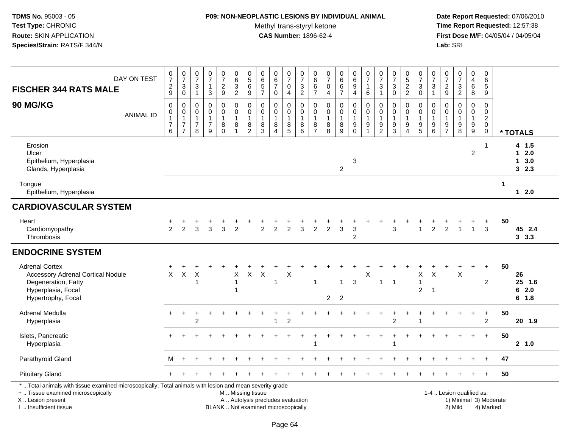## **P09: NON-NEOPLASTIC LESIONS BY INDIVIDUAL ANIMAL**

Methyl trans-styryl ketone<br>CAS Number: 1896-62-4

| DAY ON TEST<br><b>FISCHER 344 RATS MALE</b>                                                                                                                                                   | $\frac{0}{7}$<br>$\overline{2}$<br>$\boldsymbol{9}$                                 | $\frac{0}{7}$<br>$\sqrt{3}$<br>$\pmb{0}$                                       | $\frac{0}{7}$<br>$\sqrt{3}$<br>$\mathbf{1}$                       | $\frac{0}{7}$<br>$\mathbf{1}$<br>3                      | $\begin{array}{c} 0 \\ 7 \end{array}$<br>$\overline{2}$<br>9 | $\pmb{0}$<br>$\frac{6}{3}$<br>$\overline{2}$                            | $\mathbf 0$<br>$\overline{5}$<br>$\,6\,$<br>$\boldsymbol{9}$ | $\pmb{0}$<br>$\,6\,$<br>$\sqrt{5}$<br>$\overline{7}$                    | 0<br>$\overline{6}$<br>$\overline{7}$<br>0   | $\frac{0}{7}$<br>0<br>$\overline{4}$       | $\frac{0}{7}$<br>$\ensuremath{\mathsf{3}}$<br>$\overline{2}$ | 0<br>$\,6$<br>$\,6\,$<br>$\overline{7}$   | $\begin{smallmatrix}0\\7\end{smallmatrix}$<br>$\pmb{0}$<br>$\overline{a}$ | 0<br>$6\phantom{a}$<br>6<br>$\overline{7}$ | $\pmb{0}$<br>$\,6\,$<br>9<br>4                                           | 0<br>$\overline{7}$<br>1<br>6           | $\frac{0}{7}$<br>$\sqrt{3}$<br>$\mathbf{1}$       | $\frac{0}{7}$<br>$\sqrt{3}$<br>$\pmb{0}$        | $0$<br>52<br>2                                                         | $\begin{array}{c} 0 \\ 7 \\ 3 \end{array}$<br>$\overline{0}$                          | $\pmb{0}$<br>$\overline{7}$<br>$\mathbf{3}$<br>$\mathbf{1}$ | $\frac{0}{7}$<br>$\overline{c}$<br>$\boldsymbol{9}$ | $\frac{0}{7}$<br>3<br>$\overline{2}$         | $\pmb{0}$<br>$\overline{4}$<br>$6\phantom{1}$<br>8      | $\pmb{0}$<br>$\,6\,$<br>5<br>9                                           |                        |                                          |
|-----------------------------------------------------------------------------------------------------------------------------------------------------------------------------------------------|-------------------------------------------------------------------------------------|--------------------------------------------------------------------------------|-------------------------------------------------------------------|---------------------------------------------------------|--------------------------------------------------------------|-------------------------------------------------------------------------|--------------------------------------------------------------|-------------------------------------------------------------------------|----------------------------------------------|--------------------------------------------|--------------------------------------------------------------|-------------------------------------------|---------------------------------------------------------------------------|--------------------------------------------|--------------------------------------------------------------------------|-----------------------------------------|---------------------------------------------------|-------------------------------------------------|------------------------------------------------------------------------|---------------------------------------------------------------------------------------|-------------------------------------------------------------|-----------------------------------------------------|----------------------------------------------|---------------------------------------------------------|--------------------------------------------------------------------------|------------------------|------------------------------------------|
| 90 MG/KG<br><b>ANIMAL ID</b>                                                                                                                                                                  | $\mathbf 0$<br>$\boldsymbol{0}$<br>$\mathbf{1}$<br>$\overline{7}$<br>$6\phantom{1}$ | $\mathbf 0$<br>$\pmb{0}$<br>$\mathbf{1}$<br>$\boldsymbol{7}$<br>$\overline{7}$ | $\mathbf 0$<br>$\mathbf 0$<br>$\mathbf{1}$<br>$\overline{7}$<br>8 | 0<br>$\mathbf 0$<br>$\mathbf{1}$<br>$\overline{7}$<br>9 | $\mathbf 0$<br>$\pmb{0}$<br>$\mathbf{1}$<br>$_{0}^{8}$       | $\mathbf 0$<br>$\pmb{0}$<br>$\overline{1}$<br>$\bf 8$<br>$\overline{1}$ | 0<br>$\pmb{0}$<br>$\overline{1}$<br>$\frac{8}{2}$            | $\mathbf 0$<br>$\mathbf 0$<br>$\mathbf{1}$<br>$\,8\,$<br>$\overline{3}$ | 0<br>$\mathbf 0$<br>1<br>8<br>$\overline{A}$ | 0<br>$\mathbf 0$<br>$\mathbf{1}$<br>$^8_5$ | 0<br>$\pmb{0}$<br>$\mathbf{1}$<br>$^8_6$                     | 0<br>0<br>$\overline{1}$<br>$\frac{8}{7}$ | $\mathbf 0$<br>$\pmb{0}$<br>$\mathbf{1}$<br>$_{8}^8$                      | 0<br>$\mathbf 0$<br>$\mathbf{1}$<br>$^8_9$ | $\Omega$<br>$\pmb{0}$<br>$\mathbf{1}$<br>$\boldsymbol{9}$<br>$\mathbf 0$ | 0<br>$\pmb{0}$<br>1<br>$\boldsymbol{9}$ | 0<br>$\mathbf 0$<br>$\mathbf{1}$<br>$\frac{9}{2}$ | 0<br>$\pmb{0}$<br>$\mathbf{1}$<br>$\frac{9}{3}$ | 0<br>$\mathbf 0$<br>$\mathbf{1}$<br>$\boldsymbol{9}$<br>$\overline{4}$ | $\mathbf 0$<br>$\mathbf 0$<br>$\overline{1}$<br>$\begin{array}{c} 9 \\ 5 \end{array}$ | 0<br>$\mathbf 0$<br>$\mathbf{1}$<br>9<br>$\,6\,$            | 0<br>$\mathbf 0$<br>1<br>$\frac{9}{7}$              | 0<br>$\mathbf 0$<br>$\mathbf{1}$<br>$_{8}^9$ | $\mathbf 0$<br>$\overline{0}$<br>$\mathbf{1}$<br>$^9_9$ | $\mathbf 0$<br>$\mathbf 0$<br>$\overline{2}$<br>$\mathbf 0$<br>$\pmb{0}$ |                        | * TOTALS                                 |
| Erosion<br>Ulcer<br>Epithelium, Hyperplasia<br>Glands, Hyperplasia                                                                                                                            |                                                                                     |                                                                                |                                                                   |                                                         |                                                              |                                                                         |                                                              |                                                                         |                                              |                                            |                                                              |                                           |                                                                           | $\overline{2}$                             | 3                                                                        |                                         |                                                   |                                                 |                                                                        |                                                                                       |                                                             |                                                     |                                              | $\overline{2}$                                          | -1                                                                       |                        | 4 1.5<br>$12.0$<br>$1 \quad 3.0$<br>32.3 |
| Tongue<br>Epithelium, Hyperplasia                                                                                                                                                             |                                                                                     |                                                                                |                                                                   |                                                         |                                                              |                                                                         |                                                              |                                                                         |                                              |                                            |                                                              |                                           |                                                                           |                                            |                                                                          |                                         |                                                   |                                                 |                                                                        |                                                                                       |                                                             |                                                     |                                              |                                                         |                                                                          | $\mathbf 1$            | $12.0$                                   |
| <b>CARDIOVASCULAR SYSTEM</b>                                                                                                                                                                  |                                                                                     |                                                                                |                                                                   |                                                         |                                                              |                                                                         |                                                              |                                                                         |                                              |                                            |                                                              |                                           |                                                                           |                                            |                                                                          |                                         |                                                   |                                                 |                                                                        |                                                                                       |                                                             |                                                     |                                              |                                                         |                                                                          |                        |                                          |
| Heart<br>Cardiomyopathy<br>Thrombosis                                                                                                                                                         | 2                                                                                   | $\overline{2}$                                                                 | 3                                                                 | 3                                                       | 3                                                            | $\overline{2}$                                                          |                                                              | $\overline{c}$                                                          | $\overline{2}$                               | $\overline{2}$                             | 3                                                            | $\overline{2}$                            | $\overline{2}$                                                            | 3                                          | 3<br>$\overline{c}$                                                      |                                         |                                                   | 3                                               |                                                                        | 1                                                                                     | $\overline{c}$                                              | $\overline{c}$                                      | $\mathbf{1}$                                 | $\mathbf{1}$                                            | $\ddot{}$<br>3                                                           | 50                     | 45 2.4<br>$3\quad 3.3$                   |
| <b>ENDOCRINE SYSTEM</b>                                                                                                                                                                       |                                                                                     |                                                                                |                                                                   |                                                         |                                                              |                                                                         |                                                              |                                                                         |                                              |                                            |                                                              |                                           |                                                                           |                                            |                                                                          |                                         |                                                   |                                                 |                                                                        |                                                                                       |                                                             |                                                     |                                              |                                                         |                                                                          |                        |                                          |
| <b>Adrenal Cortex</b><br>Accessory Adrenal Cortical Nodule<br>Degeneration, Fatty<br>Hyperplasia, Focal<br>Hypertrophy, Focal                                                                 | $\ddot{}$<br>X                                                                      | X                                                                              | X<br>1                                                            |                                                         |                                                              | $\sf X$<br>$\overline{1}$<br>$\overline{\mathbf{1}}$                    | $\mathsf{X}$                                                 | $\times$                                                                | 1                                            | X                                          |                                                              | $\mathbf{1}$                              | $\overline{2}$                                                            | $\mathbf{1}$<br>$\overline{2}$             | $\mathbf{3}$                                                             | Χ                                       | $\mathbf{1}$                                      | $\overline{1}$                                  |                                                                        | X<br>$\overline{1}$<br>$\overline{2}$                                                 | X<br>$\overline{1}$                                         |                                                     | $\sf X$                                      | $\ddot{}$                                               | $\ddot{}$<br>$\overline{2}$                                              | 50                     | 26<br>25 1.6<br>62.0<br>6 1.8            |
| Adrenal Medulla<br>Hyperplasia                                                                                                                                                                | $+$                                                                                 | $\ddot{}$                                                                      | 2                                                                 |                                                         |                                                              |                                                                         |                                                              |                                                                         | ÷<br>1                                       | $\overline{c}$                             |                                                              |                                           |                                                                           |                                            |                                                                          |                                         |                                                   | $\div$<br>$\mathcal{P}$                         |                                                                        |                                                                                       |                                                             |                                                     |                                              | $\ddot{}$                                               | $\ddot{}$<br>2                                                           | 50                     | 20 1.9                                   |
| Islets, Pancreatic<br>Hyperplasia                                                                                                                                                             |                                                                                     |                                                                                |                                                                   |                                                         |                                                              |                                                                         |                                                              |                                                                         |                                              |                                            |                                                              |                                           |                                                                           |                                            |                                                                          |                                         |                                                   | -1                                              |                                                                        |                                                                                       |                                                             |                                                     |                                              |                                                         | $+$                                                                      | 50                     | 2, 1.0                                   |
| Parathyroid Gland                                                                                                                                                                             | м                                                                                   |                                                                                |                                                                   |                                                         |                                                              |                                                                         |                                                              |                                                                         |                                              |                                            |                                                              |                                           |                                                                           |                                            |                                                                          |                                         |                                                   |                                                 |                                                                        |                                                                                       |                                                             |                                                     |                                              |                                                         |                                                                          | 47                     |                                          |
| <b>Pituitary Gland</b>                                                                                                                                                                        |                                                                                     |                                                                                |                                                                   |                                                         |                                                              |                                                                         |                                                              |                                                                         |                                              |                                            |                                                              |                                           |                                                                           |                                            |                                                                          |                                         |                                                   |                                                 |                                                                        |                                                                                       |                                                             |                                                     |                                              |                                                         |                                                                          | 50                     |                                          |
| *  Total animals with tissue examined microscopically; Total animals with lesion and mean severity grade<br>+  Tissue examined microscopically<br>X  Lesion present<br>I  Insufficient tissue |                                                                                     |                                                                                |                                                                   |                                                         | BLANK  Not examined microscopically                          | M  Missing tissue                                                       |                                                              |                                                                         | A  Autolysis precludes evaluation            |                                            |                                                              |                                           |                                                                           |                                            |                                                                          |                                         |                                                   |                                                 |                                                                        |                                                                                       |                                                             | 1-4  Lesion qualified as:                           | 2) Mild                                      |                                                         | 4) Marked                                                                | 1) Minimal 3) Moderate |                                          |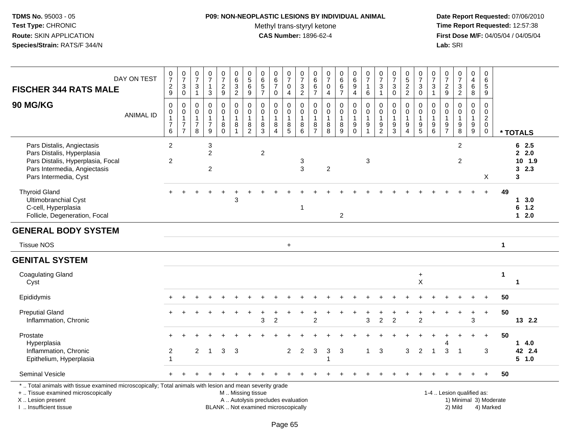## **P09: NON-NEOPLASTIC LESIONS BY INDIVIDUAL ANIMAL**

Methyl trans-styryl ketone<br>CAS Number: 1896-62-4

| <b>FISCHER 344 RATS MALE</b>                                                                                                                                                                  | DAY ON TEST      | $\frac{0}{7}$<br>$\frac{2}{9}$                                        | $\frac{0}{7}$<br>$\ensuremath{\mathsf{3}}$<br>$\mathbf 0$                    | 0<br>$\overline{7}$<br>$\ensuremath{\mathsf{3}}$<br>$\mathbf{1}$ | $\frac{0}{7}$<br>$\mathbf{1}$<br>3                                | $\frac{0}{7}$<br>$\boldsymbol{2}$<br>$\boldsymbol{9}$ | 0<br>$\,6$<br>$\ensuremath{\mathsf{3}}$<br>$\overline{2}$         | $\begin{smallmatrix}0\0\5\end{smallmatrix}$<br>$\,6$<br>9 | $\pmb{0}$<br>$\,6\,$<br>$\overline{5}$<br>$\overline{7}$                 | $\begin{array}{c} 0 \\ 6 \end{array}$<br>$\overline{7}$<br>$\mathbf 0$ | $\begin{array}{c} 0 \\ 7 \end{array}$<br>$\mathbf 0$<br>$\overline{4}$ | $\begin{array}{c} 0 \\ 7 \end{array}$<br>$\frac{3}{2}$ | $\,0\,$<br>$\,6\,$<br>$\,6$<br>$\overline{7}$           | $\frac{0}{7}$<br>$\pmb{0}$<br>$\overline{4}$               | $0$ 6<br>6<br>$\overline{7}$                         | $\begin{array}{c} 0 \\ 6 \end{array}$<br>$\overline{9}$<br>$\overline{4}$ | $\frac{0}{7}$<br>$\mathbf{1}$<br>$\,6\,$                                       | $\begin{array}{c} 0 \\ 7 \end{array}$<br>3<br>$\mathbf{1}$ | $\frac{0}{7}$<br>$\ensuremath{\mathsf{3}}$<br>$\mathbf 0$        | $\begin{array}{c} 0 \\ 5 \end{array}$<br>$\overline{2}$<br>$\overline{2}$ | $\frac{0}{7}$<br>$\ensuremath{\mathsf{3}}$<br>$\mathbf 0$                   | $\begin{array}{c} 0 \\ 7 \end{array}$<br>$\ensuremath{\mathsf{3}}$<br>$\mathbf{1}$ | $\pmb{0}$<br>$\overline{7}$<br>$\boldsymbol{2}$<br>$\mathsf g$    | $\begin{array}{c} 0 \\ 7 \end{array}$<br>$\ensuremath{\mathsf{3}}$<br>$\overline{2}$ | $\pmb{0}$<br>$\overline{4}$<br>$\,6\,$<br>8               | 0<br>6<br>5<br>9                                                           |                        |                                      |
|-----------------------------------------------------------------------------------------------------------------------------------------------------------------------------------------------|------------------|-----------------------------------------------------------------------|------------------------------------------------------------------------------|------------------------------------------------------------------|-------------------------------------------------------------------|-------------------------------------------------------|-------------------------------------------------------------------|-----------------------------------------------------------|--------------------------------------------------------------------------|------------------------------------------------------------------------|------------------------------------------------------------------------|--------------------------------------------------------|---------------------------------------------------------|------------------------------------------------------------|------------------------------------------------------|---------------------------------------------------------------------------|--------------------------------------------------------------------------------|------------------------------------------------------------|------------------------------------------------------------------|---------------------------------------------------------------------------|-----------------------------------------------------------------------------|------------------------------------------------------------------------------------|-------------------------------------------------------------------|--------------------------------------------------------------------------------------|-----------------------------------------------------------|----------------------------------------------------------------------------|------------------------|--------------------------------------|
| 90 MG/KG                                                                                                                                                                                      | <b>ANIMAL ID</b> | $\pmb{0}$<br>$\pmb{0}$<br>$\mathbf{1}$<br>$\boldsymbol{7}$<br>$\,6\,$ | $\mathbf 0$<br>$\pmb{0}$<br>$\mathbf{1}$<br>$\overline{7}$<br>$\overline{7}$ | 0<br>$\mathbf 0$<br>1<br>7<br>8                                  | $\mathbf 0$<br>$\mathbf 0$<br>$\mathbf{1}$<br>$\overline{7}$<br>9 | 0<br>$\mathbf 0$<br>$\mathbf{1}$<br>8<br>$\Omega$     | $\mathbf 0$<br>$\mathbf 0$<br>$\mathbf{1}$<br>8<br>$\overline{1}$ | 0<br>$\pmb{0}$<br>$\mathbf{1}$<br>8<br>$\overline{2}$     | $\mathbf 0$<br>$\pmb{0}$<br>$\mathbf{1}$<br>8<br>3                       | $\Omega$<br>$\mathsf{O}\xspace$<br>$\mathbf{1}$<br>$\bf 8$<br>$\Delta$ | 0<br>$\mathbf 0$<br>$\mathbf{1}$<br>$^8$ 5                             | $\Omega$<br>$\mathsf 0$<br>$\overline{1}$<br>8<br>6    | 0<br>$\mathbf 0$<br>$\mathbf{1}$<br>8<br>$\overline{7}$ | $\mathbf 0$<br>$\mathsf 0$<br>$\mathbf{1}$<br>$\,8\,$<br>8 | 0<br>$\overline{0}$<br>$\mathbf{1}$<br>$\frac{8}{9}$ | 0<br>$\mathsf{O}\xspace$<br>$\mathbf{1}$<br>$_{0}^{9}$                    | $\mathbf 0$<br>$\pmb{0}$<br>$\overline{1}$<br>$\boldsymbol{9}$<br>$\mathbf{1}$ | 0<br>$\mathbf 0$<br>$\mathbf{1}$<br>9<br>$\overline{2}$    | $\Omega$<br>$\mathbf 0$<br>$\mathbf{1}$<br>$\boldsymbol{9}$<br>3 | 0<br>$\mathbf 0$<br>$\boldsymbol{9}$<br>$\overline{4}$                    | 0<br>$\mathbf 0$<br>$\overline{1}$<br>$\begin{array}{c} 9 \\ 5 \end{array}$ | 0<br>$\pmb{0}$<br>$\mathbf{1}$<br>$\begin{array}{c} 9 \\ 6 \end{array}$            | $\mathbf 0$<br>$\mathbf 0$<br>$\mathbf{1}$<br>9<br>$\overline{7}$ | $\mathbf 0$<br>$\mathbf 0$<br>$\mathbf{1}$<br>$\boldsymbol{9}$<br>8                  | 0<br>$\mathbf 0$<br>$\mathbf{1}$<br>$\boldsymbol{9}$<br>9 | $\mathbf 0$<br>$\mathsf 0$<br>$\overline{c}$<br>$\mathbf 0$<br>$\mathbf 0$ |                        | * TOTALS                             |
| Pars Distalis, Angiectasis<br>Pars Distalis, Hyperplasia<br>Pars Distalis, Hyperplasia, Focal<br>Pars Intermedia, Angiectasis<br>Pars Intermedia, Cyst                                        |                  | $\overline{2}$<br>$\overline{2}$                                      |                                                                              |                                                                  | $\mathbf{3}$<br>$\overline{2}$<br>$\overline{2}$                  |                                                       |                                                                   |                                                           | $\overline{2}$                                                           |                                                                        |                                                                        | 3<br>3                                                 |                                                         | $\overline{2}$                                             |                                                      |                                                                           | 3                                                                              |                                                            |                                                                  |                                                                           |                                                                             |                                                                                    |                                                                   | $\overline{2}$<br>$\overline{2}$                                                     |                                                           | X                                                                          |                        | 62.5<br>2.2.0<br>10 1.9<br>32.3<br>3 |
| <b>Thyroid Gland</b><br>Ultimobranchial Cyst<br>C-cell, Hyperplasia<br>Follicle, Degeneration, Focal                                                                                          |                  |                                                                       |                                                                              |                                                                  |                                                                   |                                                       | 3                                                                 |                                                           |                                                                          |                                                                        |                                                                        | $\overline{\mathbf{1}}$                                |                                                         |                                                            | $\overline{a}$                                       |                                                                           |                                                                                |                                                            |                                                                  |                                                                           |                                                                             |                                                                                    |                                                                   |                                                                                      |                                                           |                                                                            | 49                     | 13.0<br>6 1.2<br>$12.0$              |
| <b>GENERAL BODY SYSTEM</b>                                                                                                                                                                    |                  |                                                                       |                                                                              |                                                                  |                                                                   |                                                       |                                                                   |                                                           |                                                                          |                                                                        |                                                                        |                                                        |                                                         |                                                            |                                                      |                                                                           |                                                                                |                                                            |                                                                  |                                                                           |                                                                             |                                                                                    |                                                                   |                                                                                      |                                                           |                                                                            |                        |                                      |
| <b>Tissue NOS</b>                                                                                                                                                                             |                  |                                                                       |                                                                              |                                                                  |                                                                   |                                                       |                                                                   |                                                           |                                                                          |                                                                        | $\ddot{}$                                                              |                                                        |                                                         |                                                            |                                                      |                                                                           |                                                                                |                                                            |                                                                  |                                                                           |                                                                             |                                                                                    |                                                                   |                                                                                      |                                                           |                                                                            | $\mathbf{1}$           |                                      |
| <b>GENITAL SYSTEM</b>                                                                                                                                                                         |                  |                                                                       |                                                                              |                                                                  |                                                                   |                                                       |                                                                   |                                                           |                                                                          |                                                                        |                                                                        |                                                        |                                                         |                                                            |                                                      |                                                                           |                                                                                |                                                            |                                                                  |                                                                           |                                                                             |                                                                                    |                                                                   |                                                                                      |                                                           |                                                                            |                        |                                      |
| <b>Coagulating Gland</b><br>Cyst                                                                                                                                                              |                  |                                                                       |                                                                              |                                                                  |                                                                   |                                                       |                                                                   |                                                           |                                                                          |                                                                        |                                                                        |                                                        |                                                         |                                                            |                                                      |                                                                           |                                                                                |                                                            |                                                                  |                                                                           | $\ddot{}$<br>Χ                                                              |                                                                                    |                                                                   |                                                                                      |                                                           |                                                                            | $\mathbf{1}$           | $\mathbf 1$                          |
| Epididymis                                                                                                                                                                                    |                  |                                                                       |                                                                              |                                                                  |                                                                   |                                                       |                                                                   |                                                           |                                                                          |                                                                        |                                                                        |                                                        |                                                         |                                                            |                                                      |                                                                           |                                                                                |                                                            |                                                                  |                                                                           |                                                                             |                                                                                    |                                                                   |                                                                                      |                                                           |                                                                            | 50                     |                                      |
| <b>Preputial Gland</b><br>Inflammation, Chronic                                                                                                                                               |                  |                                                                       |                                                                              |                                                                  |                                                                   |                                                       |                                                                   |                                                           | 3                                                                        | $\overline{2}$                                                         |                                                                        |                                                        | $\mathfrak{p}$                                          |                                                            |                                                      |                                                                           | 3                                                                              | $\overline{2}$                                             | $\mathfrak{p}$                                                   |                                                                           | $\overline{2}$                                                              |                                                                                    |                                                                   |                                                                                      | $\ddot{}$<br>3                                            | $\ddot{}$                                                                  | 50                     | 13 2.2                               |
| Prostate<br>Hyperplasia                                                                                                                                                                       |                  |                                                                       |                                                                              |                                                                  |                                                                   |                                                       |                                                                   |                                                           |                                                                          |                                                                        |                                                                        |                                                        |                                                         |                                                            |                                                      |                                                                           |                                                                                |                                                            |                                                                  |                                                                           |                                                                             |                                                                                    |                                                                   |                                                                                      | $\ddot{}$                                                 | $+$                                                                        | 50                     | 14.0                                 |
| Inflammation, Chronic<br>Epithelium, Hyperplasia                                                                                                                                              |                  | $\overline{c}$                                                        |                                                                              | $\overline{c}$                                                   | $\overline{1}$                                                    | 3                                                     | 3                                                                 |                                                           |                                                                          |                                                                        | $\overline{2}$                                                         | 2                                                      | 3                                                       | 3                                                          | 3                                                    |                                                                           | $\mathbf{1}$                                                                   | 3                                                          |                                                                  | 3                                                                         | 2                                                                           | $\mathbf{1}$                                                                       | 3                                                                 | $\overline{\mathbf{1}}$                                                              |                                                           | 3                                                                          |                        | 42 2.4<br>5 1.0                      |
| Seminal Vesicle                                                                                                                                                                               |                  |                                                                       |                                                                              |                                                                  |                                                                   |                                                       |                                                                   |                                                           |                                                                          |                                                                        |                                                                        |                                                        |                                                         |                                                            |                                                      |                                                                           |                                                                                |                                                            |                                                                  |                                                                           |                                                                             |                                                                                    |                                                                   |                                                                                      |                                                           |                                                                            | 50                     |                                      |
| *  Total animals with tissue examined microscopically; Total animals with lesion and mean severity grade<br>+  Tissue examined microscopically<br>X  Lesion present<br>I. Insufficient tissue |                  |                                                                       |                                                                              |                                                                  |                                                                   |                                                       | M  Missing tissue                                                 |                                                           | A  Autolysis precludes evaluation<br>BLANK  Not examined microscopically |                                                                        |                                                                        |                                                        |                                                         |                                                            |                                                      |                                                                           |                                                                                |                                                            |                                                                  |                                                                           |                                                                             |                                                                                    |                                                                   | 1-4  Lesion qualified as:<br>2) Mild                                                 |                                                           | 4) Marked                                                                  | 1) Minimal 3) Moderate |                                      |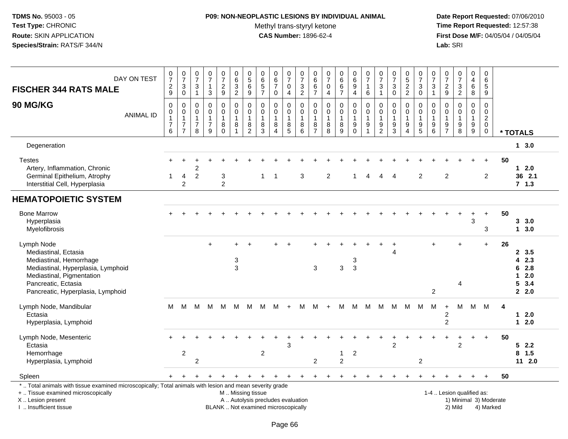## **P09: NON-NEOPLASTIC LESIONS BY INDIVIDUAL ANIMAL**

Methyl trans-styryl ketone<br>CAS Number: 1896-62-4

 **Date Report Requested:** 07/06/2010 **Time Report Requested:** 12:57:38 **First Dose M/F:** 04/05/04 / 04/05/04<br>Lab: SRI **Lab:** SRI

| <b>FISCHER 344 RATS MALE</b>                                                                                                                                                                  | DAY ON TEST      | $\begin{array}{c} 0 \\ 7 \end{array}$<br>$\frac{2}{9}$         | $\frac{0}{7}$<br>$_{0}^{3}$                                                      | $\frac{0}{7}$<br>$\mathbf{3}$<br>$\mathbf{1}$           | $\frac{0}{7}$<br>$\overline{1}$<br>$\mathbf{3}$                   | $\frac{0}{7}$<br>$\frac{2}{9}$                             | $_{6}^{\rm 0}$<br>$\frac{3}{2}$                                   | $\begin{array}{c} 0 \\ 5 \end{array}$<br>$\,6$<br>$\boldsymbol{9}$ | 0<br>6<br>5<br>7                                                         | $\begin{array}{c} 0 \\ 6 \end{array}$<br>$\overline{7}$<br>$\mathbf 0$    | $\begin{array}{c} 0 \\ 7 \end{array}$<br>$\pmb{0}$<br>4                 | $\frac{0}{7}$<br>$\ensuremath{\mathsf{3}}$<br>$\overline{2}$ | 0<br>$\overline{6}$<br>$\frac{6}{7}$                    | $\frac{0}{7}$<br>$\pmb{0}$<br>$\overline{4}$         | $_{6}^{\rm 0}$<br>$\,6\,$<br>$\overline{7}$        | $\begin{array}{c} 0 \\ 6 \\ 9 \end{array}$<br>$\overline{4}$  | $\begin{array}{c} 0 \\ 7 \end{array}$<br>$\mathbf{1}$<br>$\,6\,$ | $\frac{0}{7}$<br>3<br>$\mathbf{1}$                | $\begin{array}{c} 0 \\ 7 \end{array}$<br>$\ensuremath{\mathsf{3}}$<br>$\pmb{0}$ | $0$<br>52<br>2                                              | $\frac{0}{7}$<br>$_0^3$                                                   | $\begin{array}{c} 0 \\ 7 \end{array}$<br>$\frac{3}{1}$                                     | $\frac{0}{7}$<br>$\frac{2}{9}$                         | $\frac{0}{7}$<br>$\frac{3}{2}$                                 | 0<br>$\overline{4}$<br>6<br>8                                     | 0<br>$\overline{6}$<br>$\sqrt{5}$<br>$\overline{9}$                                  |    |                                                  |
|-----------------------------------------------------------------------------------------------------------------------------------------------------------------------------------------------|------------------|----------------------------------------------------------------|----------------------------------------------------------------------------------|---------------------------------------------------------|-------------------------------------------------------------------|------------------------------------------------------------|-------------------------------------------------------------------|--------------------------------------------------------------------|--------------------------------------------------------------------------|---------------------------------------------------------------------------|-------------------------------------------------------------------------|--------------------------------------------------------------|---------------------------------------------------------|------------------------------------------------------|----------------------------------------------------|---------------------------------------------------------------|------------------------------------------------------------------|---------------------------------------------------|---------------------------------------------------------------------------------|-------------------------------------------------------------|---------------------------------------------------------------------------|--------------------------------------------------------------------------------------------|--------------------------------------------------------|----------------------------------------------------------------|-------------------------------------------------------------------|--------------------------------------------------------------------------------------|----|--------------------------------------------------|
| 90 MG/KG                                                                                                                                                                                      | <b>ANIMAL ID</b> | $\mathbf 0$<br>0<br>$\mathbf 1$<br>$\boldsymbol{7}$<br>$\,6\,$ | $\mathbf 0$<br>$\mathbf 0$<br>$\overline{1}$<br>$\overline{7}$<br>$\overline{7}$ | $\mathbf 0$<br>0<br>$\mathbf{1}$<br>$\overline{7}$<br>8 | $\mathbf 0$<br>$\mathbf 0$<br>$\mathbf{1}$<br>$\overline{7}$<br>9 | $\mathbf 0$<br>$\mathsf 0$<br>$\mathbf 1$<br>8<br>$\Omega$ | $\mathbf 0$<br>$\mathbf 0$<br>$\mathbf{1}$<br>8<br>$\overline{1}$ | $\mathbf 0$<br>$\pmb{0}$<br>$\mathbf{1}$<br>8<br>$\overline{2}$    | $\mathbf 0$<br>$\mathbf 0$<br>$\mathbf{1}$<br>8<br>$\overline{3}$        | $\mathbf 0$<br>$\mathbf 0$<br>$\mathbf{1}$<br>8<br>$\boldsymbol{\Lambda}$ | 0<br>$\pmb{0}$<br>$\mathbf{1}$<br>$\begin{array}{c} 8 \\ 5 \end{array}$ | $\mathbf 0$<br>0<br>$\mathbf{1}$<br>8<br>$\overline{6}$      | 0<br>$\mathsf 0$<br>$\mathbf{1}$<br>8<br>$\overline{7}$ | $\mathbf 0$<br>$\pmb{0}$<br>$\mathbf{1}$<br>$_{8}^8$ | $\mathbf 0$<br>$\pmb{0}$<br>$\mathbf{1}$<br>$^8_9$ | $\mathbf 0$<br>$\overline{0}$<br>$\overline{1}$<br>$_{0}^{9}$ | $\mathbf 0$<br>$\mathbf 0$<br>$\overline{1}$<br>$\frac{9}{1}$    | 0<br>$\mathbf 0$<br>$\mathbf{1}$<br>$\frac{9}{2}$ | $\mathbf 0$<br>$\pmb{0}$<br>$\mathbf{1}$<br>$\frac{9}{3}$                       | $\mathbf 0$<br>$\mathbf 0$<br>$\mathbf{1}$<br>9<br>$\Delta$ | 0<br>$\mathbf 0$<br>$\mathbf{1}$<br>$\begin{array}{c} 9 \\ 5 \end{array}$ | $\mathbf 0$<br>$\boldsymbol{0}$<br>$\overline{1}$<br>$\begin{array}{c} 9 \\ 6 \end{array}$ | 0<br>0<br>$\overline{1}$<br>9<br>$\overline{7}$        | $\mathbf 0$<br>$\mathbf 0$<br>$\mathbf{1}$<br>$_{8}^{\rm 9}$   | $\mathbf 0$<br>$\mathbf 0$<br>$\mathbf{1}$<br>9<br>$\overline{9}$ | $\mathbf 0$<br>$\mathbf 0$<br>$\boldsymbol{2}$<br>$\mathbf 0$<br>$\mathsf{O}\xspace$ |    | * TOTALS                                         |
| Degeneration                                                                                                                                                                                  |                  |                                                                |                                                                                  |                                                         |                                                                   |                                                            |                                                                   |                                                                    |                                                                          |                                                                           |                                                                         |                                                              |                                                         |                                                      |                                                    |                                                               |                                                                  |                                                   |                                                                                 |                                                             |                                                                           |                                                                                            |                                                        |                                                                |                                                                   |                                                                                      |    | 13.0                                             |
| <b>Testes</b><br>Artery, Inflammation, Chronic<br>Germinal Epithelium, Atrophy<br>Interstitial Cell, Hyperplasia                                                                              |                  |                                                                | 4<br>$\overline{2}$                                                              | $\overline{c}$<br>$\overline{c}$                        |                                                                   | 3<br>$\overline{2}$                                        |                                                                   |                                                                    | 1                                                                        | -1                                                                        |                                                                         | 3                                                            |                                                         | $\overline{2}$                                       |                                                    |                                                               | Δ                                                                | $\lambda$                                         |                                                                                 |                                                             | 2                                                                         |                                                                                            | $\overline{2}$                                         |                                                                |                                                                   | $\ddot{}$<br>$\overline{2}$                                                          | 50 | $12.0$<br>36 2.1<br>$7 \t1.3$                    |
| <b>HEMATOPOIETIC SYSTEM</b>                                                                                                                                                                   |                  |                                                                |                                                                                  |                                                         |                                                                   |                                                            |                                                                   |                                                                    |                                                                          |                                                                           |                                                                         |                                                              |                                                         |                                                      |                                                    |                                                               |                                                                  |                                                   |                                                                                 |                                                             |                                                                           |                                                                                            |                                                        |                                                                |                                                                   |                                                                                      |    |                                                  |
| <b>Bone Marrow</b><br>Hyperplasia<br>Myelofibrosis                                                                                                                                            |                  |                                                                |                                                                                  |                                                         |                                                                   |                                                            |                                                                   |                                                                    |                                                                          |                                                                           |                                                                         |                                                              |                                                         |                                                      |                                                    |                                                               |                                                                  |                                                   |                                                                                 |                                                             |                                                                           |                                                                                            |                                                        |                                                                | 3                                                                 | 3                                                                                    | 50 | 3, 3.0<br>13.0                                   |
| Lymph Node<br>Mediastinal, Ectasia<br>Mediastinal, Hemorrhage<br>Mediastinal, Hyperplasia, Lymphoid<br>Mediastinal, Pigmentation<br>Pancreatic, Ectasia<br>Pancreatic, Hyperplasia, Lymphoid  |                  |                                                                |                                                                                  |                                                         | $+$                                                               |                                                            | $+$<br>3<br>3                                                     | $\overline{+}$                                                     |                                                                          |                                                                           | $+$                                                                     |                                                              | 3                                                       |                                                      | $\mathbf{3}$                                       | 3<br>3                                                        |                                                                  |                                                   |                                                                                 |                                                             |                                                                           | $\ddot{}$<br>2                                                                             |                                                        | $\div$<br>4                                                    |                                                                   | $+$                                                                                  | 26 | 2, 3.5<br>4 2.3<br>62.8<br>$12.0$<br>53.4<br>2.0 |
| Lymph Node, Mandibular<br>Ectasia<br>Hyperplasia, Lymphoid                                                                                                                                    |                  | м                                                              | M                                                                                | M                                                       | М                                                                 | M                                                          | M                                                                 | M                                                                  | M                                                                        | м                                                                         | $\ddot{}$                                                               | м                                                            | M                                                       | $\ddot{}$                                            | M                                                  | M                                                             | М                                                                | M                                                 | M                                                                               | M                                                           | M                                                                         | M                                                                                          | $\ddot{}$<br>$\overline{\mathbf{c}}$<br>$\overline{2}$ | M                                                              | M                                                                 | M                                                                                    | 4  | $12.0$<br>$12.0$                                 |
| Lymph Node, Mesenteric<br>Ectasia<br>Hemorrhage<br>Hyperplasia, Lymphoid                                                                                                                      |                  |                                                                | $\overline{2}$                                                                   | $\overline{c}$                                          |                                                                   |                                                            |                                                                   |                                                                    | $\overline{c}$                                                           |                                                                           | 3                                                                       |                                                              | 2                                                       |                                                      | 1<br>$\overline{2}$                                | $\overline{c}$                                                |                                                                  |                                                   | $\overline{2}$                                                                  |                                                             | $\overline{2}$                                                            |                                                                                            |                                                        | $\overline{2}$                                                 |                                                                   | $+$                                                                                  | 50 | 52.2<br>$8$ 1.5<br>112.0                         |
| Spleen                                                                                                                                                                                        |                  |                                                                |                                                                                  |                                                         |                                                                   |                                                            |                                                                   |                                                                    |                                                                          |                                                                           |                                                                         |                                                              |                                                         |                                                      |                                                    |                                                               |                                                                  |                                                   |                                                                                 |                                                             |                                                                           |                                                                                            |                                                        |                                                                |                                                                   |                                                                                      | 50 |                                                  |
| *  Total animals with tissue examined microscopically; Total animals with lesion and mean severity grade<br>+  Tissue examined microscopically<br>X  Lesion present<br>I  Insufficient tissue |                  |                                                                |                                                                                  |                                                         |                                                                   |                                                            | M  Missing tissue                                                 |                                                                    | A  Autolysis precludes evaluation<br>BLANK  Not examined microscopically |                                                                           |                                                                         |                                                              |                                                         |                                                      |                                                    |                                                               |                                                                  |                                                   |                                                                                 |                                                             |                                                                           |                                                                                            |                                                        | 1-4  Lesion qualified as:<br>1) Minimal 3) Moderate<br>2) Mild |                                                                   | 4) Marked                                                                            |    |                                                  |

Page 66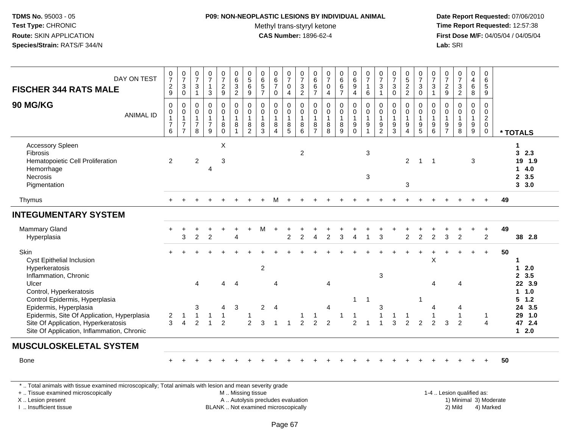## **P09: NON-NEOPLASTIC LESIONS BY INDIVIDUAL ANIMAL**

Methyl trans-styryl ketone<br>CAS Number: 1896-62-4

 **Date Report Requested:** 07/06/2010 **Time Report Requested:** 12:57:38 **First Dose M/F:** 04/05/04 / 04/05/04<br>**Lab:** SRI **Lab:** SRI

| DAY ON TEST<br><b>FISCHER 344 RATS MALE</b>                                                                                                                                                                             | $\frac{0}{7}$<br>$\frac{2}{9}$                                     | $\frac{0}{7}$<br>$\mathbf{3}$<br>$\mathbf 0$                         | $\frac{0}{7}$<br>$\ensuremath{\mathsf{3}}$<br>$\mathbf{1}$ | $\frac{0}{7}$<br>$\mathbf{1}$<br>3                                | $\frac{0}{7}$<br>$\boldsymbol{2}$<br>9 | $\pmb{0}$<br>$\,6\,$<br>$\sqrt{3}$<br>2                               | $\begin{array}{c} 0 \\ 5 \end{array}$<br>6<br>9 | $\begin{array}{c} 0 \\ 6 \end{array}$<br>$\,$ 5 $\,$<br>$\overline{7}$  | $\begin{array}{c} 0 \\ 6 \\ 7 \end{array}$<br>$\mathbf 0$       | $\begin{smallmatrix}0\\7\end{smallmatrix}$<br>$\mathbf 0$<br>$\overline{4}$ | $\frac{0}{7}$<br>$\frac{3}{2}$                     | 0<br>$\,6\,$<br>$6\phantom{1}6$<br>$\overline{7}$                   | $\frac{0}{7}$<br>$\pmb{0}$<br>$\overline{4}$           | $\begin{matrix} 0 \\ 6 \\ 6 \end{matrix}$<br>$\overline{7}$ | $_{6}^{\rm 0}$<br>$\boldsymbol{9}$<br>$\overline{4}$ | $\frac{0}{7}$<br>$\mathbf{1}$<br>6                                   | $\frac{0}{7}$<br>$\sqrt{3}$<br>$\overline{1}$                           | $\frac{0}{7}$<br>$\sqrt{3}$<br>$\mathbf 0$                                            | $0$<br>52<br>2                  | $\begin{smallmatrix}0\\7\end{smallmatrix}$<br>$\sqrt{3}$<br>$\mathbf 0$ | $\frac{0}{7}$<br>$\sqrt{3}$<br>$\mathbf{1}$                            | $\frac{0}{7}$<br>$\frac{2}{9}$                              | $\begin{smallmatrix}0\\7\end{smallmatrix}$<br>$\frac{3}{2}$ | 0<br>$\overline{\mathbf{4}}$<br>$\,6\,$<br>8 | $\pmb{0}$<br>$\,6\,$<br>$\sqrt{5}$<br>9                   |          |                                                            |
|-------------------------------------------------------------------------------------------------------------------------------------------------------------------------------------------------------------------------|--------------------------------------------------------------------|----------------------------------------------------------------------|------------------------------------------------------------|-------------------------------------------------------------------|----------------------------------------|-----------------------------------------------------------------------|-------------------------------------------------|-------------------------------------------------------------------------|-----------------------------------------------------------------|-----------------------------------------------------------------------------|----------------------------------------------------|---------------------------------------------------------------------|--------------------------------------------------------|-------------------------------------------------------------|------------------------------------------------------|----------------------------------------------------------------------|-------------------------------------------------------------------------|---------------------------------------------------------------------------------------|---------------------------------|-------------------------------------------------------------------------|------------------------------------------------------------------------|-------------------------------------------------------------|-------------------------------------------------------------|----------------------------------------------|-----------------------------------------------------------|----------|------------------------------------------------------------|
| 90 MG/KG<br><b>ANIMAL ID</b>                                                                                                                                                                                            | $\pmb{0}$<br>0<br>$\mathbf{1}$<br>$\overline{7}$<br>$6\phantom{a}$ | $\mathbf 0$<br>0<br>$\mathbf{1}$<br>$\overline{7}$<br>$\overline{7}$ | 0<br>0<br>$\mathbf{1}$<br>$\boldsymbol{7}$<br>8            | $\mathbf 0$<br>$\mathbf 0$<br>$\mathbf{1}$<br>$\overline{7}$<br>9 | 0<br>0<br>$\overline{1}$<br>8<br>0     | $\pmb{0}$<br>$\mathbf 0$<br>$\overline{1}$<br>$\bf 8$<br>$\mathbf{1}$ | 0<br>0<br>$\mathbf{1}$<br>8<br>$\overline{c}$   | $\mathbf 0$<br>$\mathbf 0$<br>$\overline{1}$<br>$\bf 8$<br>$\mathbf{3}$ | $\mathsf{O}\xspace$<br>0<br>$\mathbf{1}$<br>$\bf 8$<br>$\Delta$ | 0<br>0<br>$\mathbf{1}$<br>$\bf 8$<br>$\overline{5}$                         | $\mathbf 0$<br>0<br>$\overline{1}$<br>$\bf 8$<br>6 | $\mathbf 0$<br>$\mathbf 0$<br>$\overline{1}$<br>8<br>$\overline{7}$ | $\pmb{0}$<br>$\pmb{0}$<br>$\mathbf{1}$<br>$\bf 8$<br>8 | $\pmb{0}$<br>$\pmb{0}$<br>$\mathbf{1}$<br>$^8_9$            | 0<br>0<br>1<br>$_{0}^{9}$                            | $\mathbf 0$<br>$\pmb{0}$<br>$\overline{1}$<br>$\boldsymbol{9}$<br>-1 | $\mathbf 0$<br>$\mathbf 0$<br>$\overline{1}$<br>$9\,$<br>$\overline{c}$ | $\boldsymbol{0}$<br>$\mathbf 0$<br>$\mathbf{1}$<br>$\boldsymbol{9}$<br>$\overline{3}$ | 0<br>0<br>$\boldsymbol{9}$<br>4 | $\mathbf 0$<br>0<br>$\mathbf{1}$<br>$\frac{9}{5}$                       | $\mathbf 0$<br>0<br>$\mathbf{1}$<br>$\boldsymbol{9}$<br>$6\phantom{1}$ | $\mathbf 0$<br>$\mathbf 0$<br>$\mathbf{1}$<br>$\frac{9}{7}$ | $\mathsf 0$<br>0<br>$\mathbf{1}$<br>$_{\rm 8}^{\rm 9}$      | 0<br>0<br>$\mathbf{1}$<br>$^9_9$             | $\mathbf 0$<br>$\mathbf 0$<br>$^2_{\rm 0}$<br>$\mathbf 0$ | * TOTALS |                                                            |
| <b>Accessory Spleen</b><br><b>Fibrosis</b><br>Hematopoietic Cell Proliferation<br>Hemorrhage<br>Necrosis<br>Pigmentation                                                                                                | $\overline{2}$                                                     |                                                                      | $\overline{c}$                                             | $\overline{4}$                                                    | $\boldsymbol{\mathsf{X}}$<br>3         |                                                                       |                                                 |                                                                         |                                                                 |                                                                             | $\overline{2}$                                     |                                                                     |                                                        |                                                             |                                                      | 3<br>3                                                               |                                                                         |                                                                                       | $\overline{2}$<br>3             | $\mathbf{1}$                                                            | -1                                                                     |                                                             |                                                             | 3                                            |                                                           |          | 1<br>32.3<br>19 1.9<br>14.0<br>2, 3.5<br>3, 3.0            |
| Thymus                                                                                                                                                                                                                  |                                                                    |                                                                      |                                                            |                                                                   |                                        |                                                                       |                                                 |                                                                         |                                                                 |                                                                             |                                                    |                                                                     |                                                        |                                                             |                                                      |                                                                      |                                                                         |                                                                                       |                                 |                                                                         |                                                                        |                                                             |                                                             |                                              |                                                           | 49       |                                                            |
| <b>INTEGUMENTARY SYSTEM</b>                                                                                                                                                                                             |                                                                    |                                                                      |                                                            |                                                                   |                                        |                                                                       |                                                 |                                                                         |                                                                 |                                                                             |                                                    |                                                                     |                                                        |                                                             |                                                      |                                                                      |                                                                         |                                                                                       |                                 |                                                                         |                                                                        |                                                             |                                                             |                                              |                                                           |          |                                                            |
| Mammary Gland<br>Hyperplasia                                                                                                                                                                                            |                                                                    | ÷<br>3                                                               | $\overline{c}$                                             | $\overline{2}$                                                    | $\ddot{}$                              | $\overline{\mathbf{4}}$                                               |                                                 | М                                                                       | $\ddot{}$                                                       | $\overline{2}$                                                              | $\overline{c}$                                     | 4                                                                   | $\overline{c}$                                         | 3                                                           | 4                                                    | 1                                                                    | 3                                                                       |                                                                                       | $\overline{c}$                  | $\overline{c}$                                                          | $\overline{2}$                                                         | 3                                                           | $\overline{2}$                                              | $\ddot{}$                                    | $\ddot{}$<br>$\overline{2}$                               | 49       | 38 2.8                                                     |
| Skin<br><b>Cyst Epithelial Inclusion</b><br>Hyperkeratosis<br>Inflammation, Chronic<br>Ulcer                                                                                                                            |                                                                    |                                                                      | $\overline{4}$                                             |                                                                   | 4                                      | $\overline{4}$                                                        |                                                 | $\overline{2}$                                                          | 4                                                               |                                                                             |                                                    |                                                                     | 4                                                      |                                                             |                                                      |                                                                      | 3                                                                       |                                                                                       |                                 |                                                                         | X<br>$\boldsymbol{\Delta}$                                             |                                                             | 4                                                           |                                              | $+$                                                       | 50       | 1<br>$12.0$<br>2, 3.5<br>22 3.9                            |
| Control, Hyperkeratosis<br>Control Epidermis, Hyperplasia<br>Epidermis, Hyperplasia<br>Epidermis, Site Of Application, Hyperplasia<br>Site Of Application, Hyperkeratosis<br>Site Of Application, Inflammation, Chronic | $\overline{2}$<br>3                                                | $\boldsymbol{\Lambda}$                                               | 3<br>$\mathbf{1}$<br>2                                     | $\overline{1}$                                                    | 4<br>1<br>$\overline{2}$               | 3                                                                     | $\mathbf{1}$<br>$\overline{2}$                  | $\overline{2}$<br>3                                                     | $\overline{4}$                                                  | $\overline{1}$                                                              | 1<br>2                                             | -1<br>$\overline{2}$                                                | 4<br>2                                                 | $\overline{1}$                                              | $\mathbf{1}$<br>1<br>$\overline{2}$                  | $\overline{1}$                                                       | 3<br>1                                                                  | -1<br>3                                                                               | $\mathbf{1}$<br>$\overline{2}$  | $\overline{2}$                                                          | 4<br>$\overline{1}$<br>2                                               | 3                                                           | 4<br>$\mathbf{1}$<br>$\mathfrak{p}$                         |                                              | -1<br>$\Delta$                                            |          | 1 1.0<br>$5 \t1.2$<br>24 3.5<br>29 1.0<br>47 2.4<br>$12.0$ |
| <b>MUSCULOSKELETAL SYSTEM</b>                                                                                                                                                                                           |                                                                    |                                                                      |                                                            |                                                                   |                                        |                                                                       |                                                 |                                                                         |                                                                 |                                                                             |                                                    |                                                                     |                                                        |                                                             |                                                      |                                                                      |                                                                         |                                                                                       |                                 |                                                                         |                                                                        |                                                             |                                                             |                                              |                                                           |          |                                                            |
| <b>Bone</b>                                                                                                                                                                                                             |                                                                    |                                                                      |                                                            |                                                                   |                                        |                                                                       |                                                 |                                                                         |                                                                 |                                                                             |                                                    |                                                                     |                                                        |                                                             |                                                      |                                                                      |                                                                         |                                                                                       |                                 |                                                                         |                                                                        |                                                             |                                                             |                                              |                                                           | 50       |                                                            |

+ .. Tissue examined microscopically

X .. Lesion present

I .. Insufficient tissue

 M .. Missing tissueA .. Autolysis precludes evaluation

BLANK .. Not examined microscopically 2) Mild 4) Marked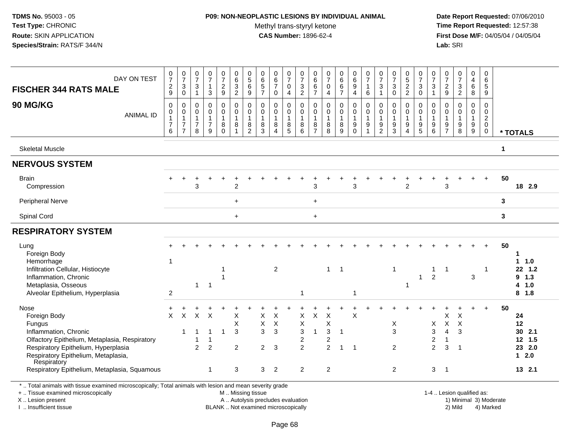## **P09: NON-NEOPLASTIC LESIONS BY INDIVIDUAL ANIMAL**

Methyl trans-styryl ketone<br>CAS Number: 1896-62-4

 **Date Report Requested:** 07/06/2010 **Time Report Requested:** 12:57:38 **First Dose M/F:** 04/05/04 / 04/05/04<br>**Lab:** SRI **Lab:** SRI

| DAY ON TEST<br><b>FISCHER 344 RATS MALE</b>                                                                                                    | $\frac{0}{7}$<br>$\boldsymbol{2}$                                 | $\frac{0}{7}$<br>$\mathbf{3}$                                                  | $\frac{0}{7}$<br>3                                     | $\frac{0}{7}$<br>$\mathbf{1}$                | $\frac{0}{7}$<br>$\overline{c}$                        | $\begin{array}{c} 0 \\ 6 \end{array}$<br>$\ensuremath{\mathsf{3}}$ | $\begin{smallmatrix}0\0\5\end{smallmatrix}$<br>$\,6\,$ | $\begin{array}{c} 0 \\ 6 \\ 5 \end{array}$              | 0<br>$6\phantom{a}$<br>$\overline{7}$       | $\frac{0}{7}$<br>$\mathsf 0$                                                        | 0<br>$\overline{7}$<br>3                      | $_{6}^{\rm 0}$<br>6                                       | $\frac{0}{7}$<br>0                                                                   | 0<br>6<br>6<br>7                            | 0<br>$6\phantom{a}$<br>$\boldsymbol{9}$                | 0<br>$\overline{7}$<br>$\overline{1}$                       | $\frac{0}{7}$<br>$\mathbf 3$                             | 0<br>$\overline{7}$<br>$\ensuremath{\mathsf{3}}$                                 | 0<br>$\overline{5}$<br>$\overline{c}$                                                 | 0<br>$\overline{7}$<br>3                         | $\frac{0}{7}$<br>$\mathbf{3}$                                             | $\frac{0}{7}$<br>$\overline{c}$                   | $\frac{0}{7}$                                      | $\mathbf 0$<br>$\overline{4}$<br>$\,6$              | $\mathbf 0$<br>$\,6\,$<br>$\sqrt{5}$                                               |              |                            |
|------------------------------------------------------------------------------------------------------------------------------------------------|-------------------------------------------------------------------|--------------------------------------------------------------------------------|--------------------------------------------------------|----------------------------------------------|--------------------------------------------------------|--------------------------------------------------------------------|--------------------------------------------------------|---------------------------------------------------------|---------------------------------------------|-------------------------------------------------------------------------------------|-----------------------------------------------|-----------------------------------------------------------|--------------------------------------------------------------------------------------|---------------------------------------------|--------------------------------------------------------|-------------------------------------------------------------|----------------------------------------------------------|----------------------------------------------------------------------------------|---------------------------------------------------------------------------------------|--------------------------------------------------|---------------------------------------------------------------------------|---------------------------------------------------|----------------------------------------------------|-----------------------------------------------------|------------------------------------------------------------------------------------|--------------|----------------------------|
|                                                                                                                                                | $9\,$                                                             | $\boldsymbol{0}$                                                               | $\mathbf{1}$                                           | 3                                            | 9                                                      | $\overline{2}$                                                     | $\boldsymbol{9}$                                       | $\overline{7}$                                          | $\pmb{0}$                                   | $\overline{4}$                                                                      | $\boldsymbol{2}$                              | $\overline{7}$                                            | $\overline{4}$                                                                       |                                             | $\overline{4}$                                         | $\,6\,$                                                     | $\overline{1}$                                           | $\mathbf 0$                                                                      | $\overline{2}$                                                                        | $\mathbf 0$                                      | $\mathbf{1}$                                                              | 9                                                 | $\frac{3}{2}$                                      | 8                                                   | 9                                                                                  |              |                            |
| 90 MG/KG<br><b>ANIMAL ID</b>                                                                                                                   | $\mathbf 0$<br>$\mathbf 0$<br>$\mathbf{1}$<br>$\overline{7}$<br>6 | $\mathbf 0$<br>$\mathbf 0$<br>$\mathbf{1}$<br>$\overline{7}$<br>$\overline{7}$ | $\mathbf 0$<br>$\mathbf 0$<br>1<br>$\overline{7}$<br>8 | 0<br>$\mathsf 0$<br>1<br>$\overline{7}$<br>9 | $\mathbf 0$<br>0<br>$\overline{1}$<br>8<br>$\mathbf 0$ | $\mathbf 0$<br>$\pmb{0}$<br>$\mathbf{1}$<br>8<br>1                 | $\Omega$<br>0<br>$\mathbf{1}$<br>8<br>$\overline{2}$   | $\pmb{0}$<br>$\pmb{0}$<br>$\mathbf{1}$<br>$\frac{8}{3}$ | 0<br>$\mathsf{O}$<br>$\mathbf{1}$<br>8<br>4 | $\mathbf 0$<br>$\mathbf 0$<br>$\mathbf{1}$<br>$\begin{array}{c} 8 \\ 5 \end{array}$ | 0<br>0<br>1<br>8<br>6                         | $\mathbf 0$<br>$\pmb{0}$<br>$\mathbf{1}$<br>$\frac{8}{7}$ | $\mathbf 0$<br>$\mathsf{O}$<br>$\mathbf{1}$<br>$\begin{array}{c} 8 \\ 8 \end{array}$ | 0<br>$\mathsf{O}$<br>$\mathbf{1}$<br>$^8_9$ | $\mathbf 0$<br>$\pmb{0}$<br>$\mathbf{1}$<br>$_{0}^{9}$ | $\mathbf 0$<br>$\mathbf 0$<br>$\mathbf{1}$<br>$\frac{9}{1}$ | $\Omega$<br>$\mathbf 0$<br>$\mathbf{1}$<br>$\frac{9}{2}$ | $\mathbf 0$<br>$\mathbf 0$<br>$\mathbf{1}$<br>$\boldsymbol{9}$<br>$\overline{3}$ | $\Omega$<br>$\mathsf{O}\xspace$<br>$\mathbf{1}$<br>$\boldsymbol{9}$<br>$\overline{4}$ | $\mathbf 0$<br>$\mathbf 0$<br>1<br>$\frac{9}{5}$ | 0<br>$\mathbf 0$<br>$\mathbf{1}$<br>$\begin{array}{c} 9 \\ 6 \end{array}$ | $\mathbf 0$<br>0<br>$\mathbf{1}$<br>$\frac{9}{7}$ | 0<br>$\mathbf 0$<br>$\mathbf{1}$<br>$_{8}^{\rm 9}$ | $\Omega$<br>$\mathbf 0$<br>$\mathbf{1}$<br>$_{9}^9$ | $\mathbf 0$<br>$\mathbf 0$<br>$\overline{c}$<br>$\mathbf 0$<br>$\ddot{\mathbf{0}}$ |              | * TOTALS                   |
| <b>Skeletal Muscle</b>                                                                                                                         |                                                                   |                                                                                |                                                        |                                              |                                                        |                                                                    |                                                        |                                                         |                                             |                                                                                     |                                               |                                                           |                                                                                      |                                             |                                                        |                                                             |                                                          |                                                                                  |                                                                                       |                                                  |                                                                           |                                                   |                                                    |                                                     |                                                                                    | $\mathbf{1}$ |                            |
| <b>NERVOUS SYSTEM</b>                                                                                                                          |                                                                   |                                                                                |                                                        |                                              |                                                        |                                                                    |                                                        |                                                         |                                             |                                                                                     |                                               |                                                           |                                                                                      |                                             |                                                        |                                                             |                                                          |                                                                                  |                                                                                       |                                                  |                                                                           |                                                   |                                                    |                                                     |                                                                                    |              |                            |
| <b>Brain</b><br>Compression                                                                                                                    |                                                                   |                                                                                | 3                                                      |                                              |                                                        | $\overline{c}$                                                     |                                                        |                                                         |                                             |                                                                                     |                                               | 3                                                         |                                                                                      |                                             | 3                                                      |                                                             |                                                          |                                                                                  | 2                                                                                     |                                                  |                                                                           | 3                                                 |                                                    |                                                     |                                                                                    | 50           | 18 2.9                     |
| Peripheral Nerve                                                                                                                               |                                                                   |                                                                                |                                                        |                                              |                                                        | $\ddot{}$                                                          |                                                        |                                                         |                                             |                                                                                     |                                               | $\ddot{}$                                                 |                                                                                      |                                             |                                                        |                                                             |                                                          |                                                                                  |                                                                                       |                                                  |                                                                           |                                                   |                                                    |                                                     |                                                                                    | $\mathbf{3}$ |                            |
| Spinal Cord                                                                                                                                    |                                                                   |                                                                                |                                                        |                                              |                                                        | $+$                                                                |                                                        |                                                         |                                             |                                                                                     |                                               | $\ddot{}$                                                 |                                                                                      |                                             |                                                        |                                                             |                                                          |                                                                                  |                                                                                       |                                                  |                                                                           |                                                   |                                                    |                                                     |                                                                                    | 3            |                            |
| <b>RESPIRATORY SYSTEM</b>                                                                                                                      |                                                                   |                                                                                |                                                        |                                              |                                                        |                                                                    |                                                        |                                                         |                                             |                                                                                     |                                               |                                                           |                                                                                      |                                             |                                                        |                                                             |                                                          |                                                                                  |                                                                                       |                                                  |                                                                           |                                                   |                                                    |                                                     |                                                                                    |              |                            |
| Lung<br>Foreign Body<br>Hemorrhage                                                                                                             | -1                                                                |                                                                                |                                                        |                                              |                                                        |                                                                    |                                                        |                                                         |                                             |                                                                                     |                                               |                                                           |                                                                                      |                                             |                                                        |                                                             |                                                          |                                                                                  |                                                                                       |                                                  |                                                                           |                                                   |                                                    |                                                     |                                                                                    | 50           | -1<br>1.0<br>$\mathbf 1$   |
| Infiltration Cellular, Histiocyte<br>Inflammation, Chronic<br>Metaplasia, Osseous                                                              |                                                                   |                                                                                | $\mathbf{1}$                                           | $\mathbf{1}$                                 |                                                        |                                                                    |                                                        |                                                         | $\overline{2}$                              |                                                                                     |                                               |                                                           | $\mathbf{1}$                                                                         | $\overline{1}$                              |                                                        |                                                             |                                                          | 1                                                                                | 1                                                                                     | 1                                                | -1<br>$\overline{2}$                                                      | $\mathbf 1$                                       |                                                    | $\mathbf{3}$                                        | -1                                                                                 |              | 22 1.2<br>$9$ 1.3<br>4 1.0 |
| Alveolar Epithelium, Hyperplasia                                                                                                               | $\overline{c}$                                                    |                                                                                |                                                        |                                              |                                                        |                                                                    |                                                        |                                                         |                                             |                                                                                     | $\mathbf 1$                                   |                                                           |                                                                                      |                                             | -1                                                     |                                                             |                                                          |                                                                                  |                                                                                       |                                                  |                                                                           |                                                   |                                                    |                                                     |                                                                                    |              | $8$ 1.8                    |
| Nose<br>Foreign Body<br>Fungus                                                                                                                 | $\times$                                                          | $\boldsymbol{\mathsf{X}}$                                                      | $\times$                                               | $\boldsymbol{\mathsf{X}}$                    |                                                        | X<br>X                                                             |                                                        | X<br>X                                                  | $\times$<br>$\times$                        |                                                                                     | X<br>Χ                                        | X                                                         | $\sf X$<br>X                                                                         |                                             | $\times$                                               |                                                             |                                                          | X                                                                                |                                                                                       |                                                  | X                                                                         | X<br>$\mathsf X$                                  | X<br>$\pmb{\times}$                                |                                                     | $\div$                                                                             | 50           | 24<br>12                   |
| Inflammation, Chronic<br>Olfactory Epithelium, Metaplasia, Respiratory                                                                         |                                                                   | 1                                                                              | -1                                                     | $\mathbf 1$<br>1                             |                                                        | 3                                                                  |                                                        | 3                                                       | 3                                           |                                                                                     | $\ensuremath{\mathsf{3}}$<br>$\boldsymbol{2}$ | 1                                                         | $\sqrt{3}$<br>$\overline{c}$                                                         | $\mathbf 1$                                 |                                                        |                                                             |                                                          | 3                                                                                |                                                                                       |                                                  | 3<br>$\overline{c}$                                                       | $\overline{4}$<br>$\mathbf{1}$                    | 3                                                  |                                                     |                                                                                    |              | 30 2.1<br>12 1.5           |
| Respiratory Epithelium, Hyperplasia<br>Respiratory Epithelium, Metaplasia,<br>Respiratory                                                      |                                                                   |                                                                                | $\overline{2}$                                         | $\overline{2}$                               |                                                        | $\overline{2}$                                                     |                                                        | $\overline{2}$                                          | 3                                           |                                                                                     | $\overline{2}$                                |                                                           | $\overline{2}$                                                                       | 1                                           | $\overline{\mathbf{1}}$                                |                                                             |                                                          | $\overline{2}$                                                                   |                                                                                       |                                                  | $\overline{2}$                                                            | 3                                                 | -1                                                 |                                                     |                                                                                    |              | 23 2.0<br>$12.0$           |
| Respiratory Epithelium, Metaplasia, Squamous                                                                                                   |                                                                   |                                                                                |                                                        | $\mathbf{1}$                                 |                                                        | $\mathbf{3}$                                                       |                                                        | 3 <sup>1</sup>                                          | $\overline{2}$                              |                                                                                     | $\overline{c}$                                |                                                           | $\overline{2}$                                                                       |                                             |                                                        |                                                             |                                                          | $\overline{2}$                                                                   |                                                                                       |                                                  | 3                                                                         | $\overline{\phantom{0}}$ 1                        |                                                    |                                                     |                                                                                    |              | 13 2.1                     |
| *  Total animals with tissue examined microscopically; Total animals with lesion and mean severity grade<br>+  Tissue examined microscopically |                                                                   |                                                                                |                                                        |                                              |                                                        | M  Missing tissue                                                  |                                                        |                                                         |                                             |                                                                                     |                                               |                                                           |                                                                                      |                                             |                                                        |                                                             |                                                          |                                                                                  |                                                                                       |                                                  |                                                                           | 1-4  Lesion qualified as:                         |                                                    |                                                     |                                                                                    |              |                            |

+ .. Tissue examined microscopically

X .. Lesion present

I .. Insufficient tissue

A .. Autolysis precludes evaluation 19 and 10 minimal 3) Moderate 1 and 20 minimal 3) Moderate 19 minimal 3) Moderat<br>19 and 19 and 19 and 19 and 19 and 19 and 19 and 19 and 19 and 19 and 19 and 19 and 19 and 19 and 19 and BLANK .. Not examined microscopically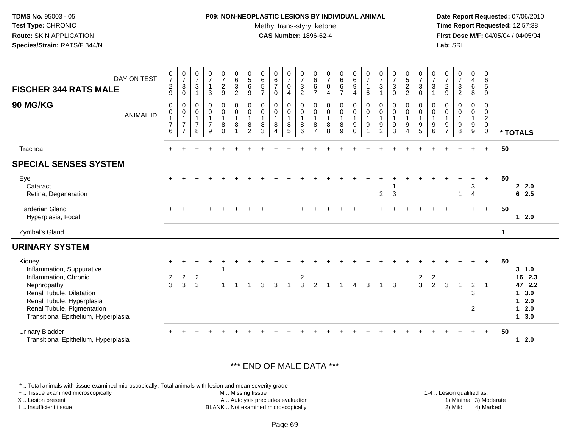#### **P09: NON-NEOPLASTIC LESIONS BY INDIVIDUAL ANIMAL**

Methyl trans-styryl ketone<br>CAS Number: 1896-62-4

 **Date Report Requested:** 07/06/2010 **Time Report Requested:** 12:57:38 **First Dose M/F:** 04/05/04 / 04/05/04<br>**Lab:** SRI **Lab:** SRI

| DAY ON TEST<br><b>FISCHER 344 RATS MALE</b><br><b>90 MG/KG</b><br><b>ANIMAL ID</b>                                                                                                                         | $\mathbf 0$<br>$\overline{7}$<br>$\sqrt{2}$<br>9<br>$\mathsf 0$<br>0<br>$\mathbf{1}$<br>$\overline{7}$<br>6 | $\frac{0}{7}$<br>$\sqrt{3}$<br>$\mathbf 0$<br>$\mathbf 0$<br>$\mathbf 0$<br>$\mathbf{1}$<br>$\overline{7}$<br>$\overline{7}$ | $\frac{0}{7}$<br>$\ensuremath{\mathsf{3}}$<br>$\overline{1}$<br>$\mathsf{O}\xspace$<br>0<br>$\mathbf{1}$<br>$\overline{7}$<br>8 | $\frac{0}{7}$<br>$\mathbf{1}$<br>$\mathbf{3}$<br>$\begin{smallmatrix}0\0\0\end{smallmatrix}$<br>$\overline{1}$<br>$\overline{7}$<br>9 | $\frac{0}{7}$<br>$\overline{a}$<br>9<br>0<br>$\mathbf 0$<br>$\mathbf{1}$<br>8<br>$\Omega$ | $\begin{matrix} 0 \\ 6 \\ 3 \end{matrix}$<br>$\overline{2}$<br>$_{\rm 0}^{\rm 0}$<br>$\overline{1}$<br>$\bf 8$<br>$\overline{\mathbf{1}}$ | $\begin{array}{c} 0 \\ 5 \end{array}$<br>$\,6\,$<br>$\boldsymbol{9}$<br>0<br>$\mathbf 0$<br>$\overline{1}$<br>8<br>$\overline{2}$ | $\begin{array}{c} 0 \\ 6 \end{array}$<br>$\sqrt{5}$<br>$\overline{7}$<br>$\mathbf 0$<br>$\mathbf 0$<br>$\mathbf 1$<br>8<br>3 | $\begin{array}{c} 0 \\ 6 \\ 7 \end{array}$<br>$\mathbf 0$<br>0<br>$\mathbf 0$<br>$\mathbf{1}$<br>8<br>4 | $\begin{array}{c} 0 \\ 7 \end{array}$<br>$\mathsf 0$<br>$\overline{4}$<br>0<br>$\mathbf 0$<br>$\mathbf{1}$<br>$\,8\,$<br>5 | $\frac{0}{7}$<br>$\ensuremath{\mathsf{3}}$<br>$\overline{2}$<br>0<br>0<br>$\mathbf{1}$<br>8<br>6 | $066$<br>6<br>6<br>7<br>$\mathbf 0$<br>$\mathbf 0$<br>$\overline{1}$<br>$\bf 8$<br>$\overline{7}$ | $\begin{array}{c} 0 \\ 7 \end{array}$<br>$\pmb{0}$<br>$\overline{4}$<br>$\pmb{0}$<br>$\mathsf{O}\xspace$<br>$\overline{1}$<br>$\bf 8$<br>8 | $_{6}^{\rm 0}$<br>6<br>$\overline{7}$<br>0<br>$\mathbf 0$<br>$\mathbf{1}$<br>8<br>9 | $\begin{array}{c} 0 \\ 6 \\ 9 \end{array}$<br>$\overline{4}$<br>$\begin{smallmatrix} 0\\0 \end{smallmatrix}$<br>$\overline{1}$<br>$\boldsymbol{9}$<br>$\Omega$ | $\frac{0}{7}$<br>$\mathbf{1}$<br>6<br>$\pmb{0}$<br>$\pmb{0}$<br>$\overline{1}$<br>$\boldsymbol{9}$<br>$\overline{ }$ | $\frac{0}{7}$<br>$\mathsf 3$<br>$\mathbf 0$<br>$\mathbf 0$<br>$\mathbf 1$<br>$\boldsymbol{9}$<br>$\overline{2}$ | $\frac{0}{7}$<br>$\mathbf{3}$<br>$\Omega$<br>$\mathbf 0$<br>$\mathbf 0$<br>$\mathbf{1}$<br>$\boldsymbol{9}$<br>3 | $\begin{array}{c} 0 \\ 5 \\ 2 \end{array}$<br>$\overline{2}$<br>0<br>$\mathbf 0$<br>$\mathbf{1}$<br>$\boldsymbol{9}$<br>4 | 0<br>$\overline{7}$<br>$\sqrt{3}$<br>$\mathbf 0$<br>$\mathbf 0$<br>$\mathbf 0$<br>$\mathbf{1}$<br>$\boldsymbol{9}$<br>5 | $\frac{0}{7}$<br>$\sqrt{3}$<br>$\mathbf 0$<br>0<br>$\mathbf{1}$<br>$\boldsymbol{9}$<br>6 | $\frac{0}{7}$<br>$\sqrt{2}$<br>9<br>$\mathbf 0$<br>0<br>$\mathbf{1}$<br>$\boldsymbol{9}$<br>$\overline{7}$ | $\frac{0}{7}$<br>$\ensuremath{\mathsf{3}}$<br>$\overline{2}$<br>$\mathbf 0$<br>$\pmb{0}$<br>$\mathbf{1}$<br>$\boldsymbol{9}$<br>8 | 0<br>$\frac{4}{6}$<br>8<br>$\mathbf 0$<br>$\mathbf 0$<br>$\overline{1}$<br>$\boldsymbol{9}$<br>$\boldsymbol{9}$ | $\mathbf 0$<br>$\,6\,$<br>$\overline{5}$<br>$9\,$<br>0<br>$\mathbf 0$<br>$\overline{2}$<br>$\mathbf 0$<br>$\mathbf 0$ |             | * TOTALS                                                              |
|------------------------------------------------------------------------------------------------------------------------------------------------------------------------------------------------------------|-------------------------------------------------------------------------------------------------------------|------------------------------------------------------------------------------------------------------------------------------|---------------------------------------------------------------------------------------------------------------------------------|---------------------------------------------------------------------------------------------------------------------------------------|-------------------------------------------------------------------------------------------|-------------------------------------------------------------------------------------------------------------------------------------------|-----------------------------------------------------------------------------------------------------------------------------------|------------------------------------------------------------------------------------------------------------------------------|---------------------------------------------------------------------------------------------------------|----------------------------------------------------------------------------------------------------------------------------|--------------------------------------------------------------------------------------------------|---------------------------------------------------------------------------------------------------|--------------------------------------------------------------------------------------------------------------------------------------------|-------------------------------------------------------------------------------------|----------------------------------------------------------------------------------------------------------------------------------------------------------------|----------------------------------------------------------------------------------------------------------------------|-----------------------------------------------------------------------------------------------------------------|------------------------------------------------------------------------------------------------------------------|---------------------------------------------------------------------------------------------------------------------------|-------------------------------------------------------------------------------------------------------------------------|------------------------------------------------------------------------------------------|------------------------------------------------------------------------------------------------------------|-----------------------------------------------------------------------------------------------------------------------------------|-----------------------------------------------------------------------------------------------------------------|-----------------------------------------------------------------------------------------------------------------------|-------------|-----------------------------------------------------------------------|
| Trachea                                                                                                                                                                                                    |                                                                                                             |                                                                                                                              |                                                                                                                                 |                                                                                                                                       |                                                                                           |                                                                                                                                           |                                                                                                                                   |                                                                                                                              |                                                                                                         |                                                                                                                            |                                                                                                  |                                                                                                   |                                                                                                                                            |                                                                                     |                                                                                                                                                                |                                                                                                                      |                                                                                                                 |                                                                                                                  |                                                                                                                           |                                                                                                                         |                                                                                          |                                                                                                            |                                                                                                                                   |                                                                                                                 |                                                                                                                       | 50          |                                                                       |
| <b>SPECIAL SENSES SYSTEM</b>                                                                                                                                                                               |                                                                                                             |                                                                                                                              |                                                                                                                                 |                                                                                                                                       |                                                                                           |                                                                                                                                           |                                                                                                                                   |                                                                                                                              |                                                                                                         |                                                                                                                            |                                                                                                  |                                                                                                   |                                                                                                                                            |                                                                                     |                                                                                                                                                                |                                                                                                                      |                                                                                                                 |                                                                                                                  |                                                                                                                           |                                                                                                                         |                                                                                          |                                                                                                            |                                                                                                                                   |                                                                                                                 |                                                                                                                       |             |                                                                       |
| Eye<br>Cataract<br>Retina, Degeneration                                                                                                                                                                    |                                                                                                             |                                                                                                                              |                                                                                                                                 |                                                                                                                                       |                                                                                           |                                                                                                                                           |                                                                                                                                   |                                                                                                                              |                                                                                                         |                                                                                                                            |                                                                                                  |                                                                                                   |                                                                                                                                            |                                                                                     |                                                                                                                                                                |                                                                                                                      | $\overline{2}$                                                                                                  | 3                                                                                                                |                                                                                                                           |                                                                                                                         |                                                                                          |                                                                                                            | 1                                                                                                                                 | 3<br>4                                                                                                          | $\ddot{}$                                                                                                             | 50          | 2.0<br>62.5                                                           |
| <b>Harderian Gland</b><br>Hyperplasia, Focal                                                                                                                                                               |                                                                                                             |                                                                                                                              |                                                                                                                                 |                                                                                                                                       |                                                                                           |                                                                                                                                           |                                                                                                                                   |                                                                                                                              |                                                                                                         |                                                                                                                            |                                                                                                  |                                                                                                   |                                                                                                                                            |                                                                                     |                                                                                                                                                                |                                                                                                                      |                                                                                                                 |                                                                                                                  |                                                                                                                           |                                                                                                                         |                                                                                          |                                                                                                            |                                                                                                                                   |                                                                                                                 | $+$                                                                                                                   | 50          | 12.0                                                                  |
| Zymbal's Gland                                                                                                                                                                                             |                                                                                                             |                                                                                                                              |                                                                                                                                 |                                                                                                                                       |                                                                                           |                                                                                                                                           |                                                                                                                                   |                                                                                                                              |                                                                                                         |                                                                                                                            |                                                                                                  |                                                                                                   |                                                                                                                                            |                                                                                     |                                                                                                                                                                |                                                                                                                      |                                                                                                                 |                                                                                                                  |                                                                                                                           |                                                                                                                         |                                                                                          |                                                                                                            |                                                                                                                                   |                                                                                                                 |                                                                                                                       | $\mathbf 1$ |                                                                       |
| <b>URINARY SYSTEM</b>                                                                                                                                                                                      |                                                                                                             |                                                                                                                              |                                                                                                                                 |                                                                                                                                       |                                                                                           |                                                                                                                                           |                                                                                                                                   |                                                                                                                              |                                                                                                         |                                                                                                                            |                                                                                                  |                                                                                                   |                                                                                                                                            |                                                                                     |                                                                                                                                                                |                                                                                                                      |                                                                                                                 |                                                                                                                  |                                                                                                                           |                                                                                                                         |                                                                                          |                                                                                                            |                                                                                                                                   |                                                                                                                 |                                                                                                                       |             |                                                                       |
| Kidney<br>Inflammation, Suppurative<br>Inflammation, Chronic<br>Nephropathy<br>Renal Tubule, Dilatation<br>Renal Tubule, Hyperplasia<br>Renal Tubule, Pigmentation<br>Transitional Epithelium, Hyperplasia | $\frac{2}{3}$                                                                                               | $\frac{2}{3}$                                                                                                                | $\overline{c}$<br>3                                                                                                             |                                                                                                                                       |                                                                                           |                                                                                                                                           |                                                                                                                                   | 3                                                                                                                            | 3                                                                                                       |                                                                                                                            | $\frac{2}{3}$                                                                                    | $\overline{2}$                                                                                    |                                                                                                                                            |                                                                                     | 4                                                                                                                                                              | 3                                                                                                                    |                                                                                                                 | 3                                                                                                                |                                                                                                                           | $\frac{2}{3}$                                                                                                           | $\frac{2}{2}$                                                                            | 3                                                                                                          | $\mathbf{1}$                                                                                                                      | $\overline{\mathbf{c}}$<br>3<br>$\overline{2}$                                                                  | $\overline{1}$                                                                                                        | 50          | $3 - 1.0$<br>16 2.3<br>47 2.2<br>1, 3.0<br>$12.0$<br>$12.0$<br>1, 3.0 |
| <b>Urinary Bladder</b><br>Transitional Epithelium, Hyperplasia                                                                                                                                             |                                                                                                             |                                                                                                                              |                                                                                                                                 |                                                                                                                                       |                                                                                           |                                                                                                                                           |                                                                                                                                   |                                                                                                                              |                                                                                                         |                                                                                                                            |                                                                                                  |                                                                                                   |                                                                                                                                            |                                                                                     |                                                                                                                                                                |                                                                                                                      |                                                                                                                 |                                                                                                                  |                                                                                                                           |                                                                                                                         |                                                                                          |                                                                                                            |                                                                                                                                   | $\ddot{}$                                                                                                       | $+$                                                                                                                   | 50          | $12.0$                                                                |

#### \*\*\* END OF MALE DATA \*\*\*

\* .. Total animals with tissue examined microscopically; Total animals with lesion and mean severity grade

+ .. Tissue examined microscopically

X .. Lesion present

I .. Insufficient tissue

M .. Missing tissue

A .. Autolysis precludes evaluation

BLANK .. Not examined microscopically 2) Mild 4) Marked

1-4 .. Lesion qualified as:<br>1) Minimal 3) Moderate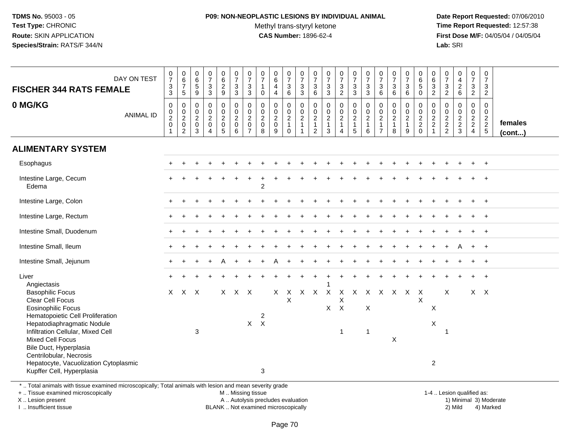#### **P09: NON-NEOPLASTIC LESIONS BY INDIVIDUAL ANIMAL**Methyl trans-styryl ketone<br>CAS Number: 1896-62-4

 **Date Report Requested:** 07/06/2010 **Time Report Requested:** 12:57:38 **First Dose M/F:** 04/05/04 / 04/05/04<br>**Lab:** SRI **Lab:** SRI

| <b>FISCHER 344 RATS FEMALE</b>                                                                                                                  | DAY ON TEST      | $\begin{array}{c} 0 \\ 7 \\ 3 \\ 3 \end{array}$ | $\begin{array}{c} 0 \\ 6 \\ 7 \end{array}$<br>$5\overline{)}$ | 0<br>$6\overline{6}$<br>$\sqrt{5}$<br>9                        | $\begin{array}{c} 0 \\ 7 \end{array}$<br>$_3^3$ | $\begin{array}{c} 0 \\ 6 \end{array}$<br>$\frac{2}{9}$                  | $\begin{array}{c} 0 \\ 7 \end{array}$<br>3<br>3                         | $\frac{0}{7}$<br>$\frac{3}{3}$                                                | $\begin{array}{c} 0 \\ 7 \end{array}$<br>$\mathbf{1}$<br>$\mathbf 0$  | $_{6}^{\rm 0}$<br>4<br>$\overline{4}$   | $\begin{array}{c} 0 \\ 7 \end{array}$<br>$\begin{array}{c} 3 \\ 6 \end{array}$ | $\frac{0}{7}$<br>$\frac{3}{3}$                                 | 0<br>$\overline{7}$<br>$\sqrt{3}$<br>6                                              | $\begin{smallmatrix}0\\7\end{smallmatrix}$<br>$\frac{3}{3}$                      | $\frac{0}{7}$<br>$\frac{3}{2}$         | $\begin{smallmatrix}0\\7\end{smallmatrix}$<br>$\frac{3}{3}$ | $\begin{array}{c} 0 \\ 7 \end{array}$<br>$_3^3$         | $\frac{0}{7}$<br>3<br>6                                                           | $\begin{array}{c} 0 \\ 7 \end{array}$<br>$\sqrt{3}$<br>6       | $\frac{0}{7}$<br>3<br>6                                 | $\begin{array}{c} 0 \\ 6 \\ 5 \end{array}$<br>$\mathbf 0$    | $\begin{array}{c} 0 \\ 6 \end{array}$<br>$\overline{3}$<br>$\overline{2}$            | 0<br>$\overline{7}$<br>$\frac{3}{2}$        | $0$<br>$4$<br>$2$<br>$6$                                       | $\frac{0}{7}$<br>$\frac{3}{2}$                 | $\begin{array}{c} 0 \\ 7 \end{array}$<br>3<br>$\overline{2}$                          |                   |
|-------------------------------------------------------------------------------------------------------------------------------------------------|------------------|-------------------------------------------------|---------------------------------------------------------------|----------------------------------------------------------------|-------------------------------------------------|-------------------------------------------------------------------------|-------------------------------------------------------------------------|-------------------------------------------------------------------------------|-----------------------------------------------------------------------|-----------------------------------------|--------------------------------------------------------------------------------|----------------------------------------------------------------|-------------------------------------------------------------------------------------|----------------------------------------------------------------------------------|----------------------------------------|-------------------------------------------------------------|---------------------------------------------------------|-----------------------------------------------------------------------------------|----------------------------------------------------------------|---------------------------------------------------------|--------------------------------------------------------------|--------------------------------------------------------------------------------------|---------------------------------------------|----------------------------------------------------------------|------------------------------------------------|---------------------------------------------------------------------------------------|-------------------|
| 0 MG/KG                                                                                                                                         | <b>ANIMAL ID</b> | $\pmb{0}$<br>$\frac{0}{2}$<br>1                 | $\pmb{0}$<br>$\frac{0}{2}$<br>$\mathsf 0$<br>$\overline{c}$   | 0<br>$\mathbf 0$<br>$\overline{2}$<br>$\mathsf{O}\xspace$<br>3 | $\pmb{0}$<br>$\frac{0}{2}$<br>4                 | 0<br>$\mathbf 0$<br>$\sqrt{2}$<br>$\mathsf{O}\xspace$<br>$\overline{5}$ | $\pmb{0}$<br>$\boldsymbol{0}$<br>$\overline{2}$<br>$\pmb{0}$<br>$\,6\,$ | $\mathsf{O}\xspace$<br>$\pmb{0}$<br>$\sqrt{2}$<br>$\pmb{0}$<br>$\overline{7}$ | $\mathbf 0$<br>$\mathsf 0$<br>$\overline{2}$<br>$\mathbf 0$<br>$\bf8$ | $\mathbf 0$<br>$_2^0$<br>$\pmb{0}$<br>9 | 0<br>$\mathsf{O}\xspace$<br>$\overline{2}$<br>$\mathbf{1}$<br>$\mathbf 0$      | $\mathsf 0$<br>$\frac{0}{2}$<br>$\mathbf{1}$<br>$\overline{1}$ | $\boldsymbol{0}$<br>$\mathbf 0$<br>$\overline{2}$<br>$\mathbf{1}$<br>$\overline{c}$ | $\mathbf 0$<br>$\begin{smallmatrix} 0\\2 \end{smallmatrix}$<br>$\mathbf{1}$<br>3 | $\mathbf 0$<br>$\frac{0}{2}$<br>1<br>4 | $\pmb{0}$<br>$\frac{0}{2}$<br>$\mathbf{1}$<br>5             | $\mathbf 0$<br>$\frac{0}{2}$<br>$\mathbf{1}$<br>$\,6\,$ | $\boldsymbol{0}$<br>$\pmb{0}$<br>$\overline{2}$<br>$\mathbf{1}$<br>$\overline{7}$ | $\mathbf 0$<br>$\begin{array}{c} 0 \\ 2 \\ 1 \end{array}$<br>8 | 0<br>$\mathsf 0$<br>$\overline{2}$<br>$\mathbf{1}$<br>9 | $\pmb{0}$<br>$\begin{array}{c} 0 \\ 2 \\ 2 \\ 0 \end{array}$ | $\mathsf{O}\xspace$<br>$\pmb{0}$<br>$\overline{2}$<br>$\overline{2}$<br>$\mathbf{1}$ | $\mathbf 0$<br>$\mathbf 0$<br>$\frac{2}{2}$ | $\mathbf 0$<br>$\begin{array}{c} 0 \\ 2 \\ 2 \\ 3 \end{array}$ | 0<br>$\mathsf{O}\xspace$<br>$\frac{2}{2}$<br>4 | $\mathbf 0$<br>$\boldsymbol{0}$<br>$\overline{2}$<br>$\overline{2}$<br>$\overline{5}$ | females<br>(cont) |
| <b>ALIMENTARY SYSTEM</b>                                                                                                                        |                  |                                                 |                                                               |                                                                |                                                 |                                                                         |                                                                         |                                                                               |                                                                       |                                         |                                                                                |                                                                |                                                                                     |                                                                                  |                                        |                                                             |                                                         |                                                                                   |                                                                |                                                         |                                                              |                                                                                      |                                             |                                                                |                                                |                                                                                       |                   |
| Esophagus                                                                                                                                       |                  |                                                 |                                                               |                                                                |                                                 |                                                                         |                                                                         |                                                                               |                                                                       |                                         |                                                                                |                                                                |                                                                                     |                                                                                  |                                        |                                                             |                                                         |                                                                                   |                                                                |                                                         |                                                              |                                                                                      |                                             |                                                                |                                                | $\ddot{+}$                                                                            |                   |
| Intestine Large, Cecum<br>Edema                                                                                                                 |                  |                                                 |                                                               |                                                                |                                                 |                                                                         |                                                                         |                                                                               | $\overline{c}$                                                        |                                         |                                                                                |                                                                |                                                                                     |                                                                                  |                                        |                                                             |                                                         |                                                                                   |                                                                |                                                         |                                                              |                                                                                      |                                             |                                                                |                                                |                                                                                       |                   |
| Intestine Large, Colon                                                                                                                          |                  |                                                 |                                                               |                                                                |                                                 |                                                                         |                                                                         |                                                                               |                                                                       |                                         |                                                                                |                                                                |                                                                                     |                                                                                  |                                        |                                                             |                                                         |                                                                                   |                                                                |                                                         |                                                              |                                                                                      |                                             |                                                                |                                                | $\ddot{}$                                                                             |                   |
| Intestine Large, Rectum                                                                                                                         |                  |                                                 |                                                               |                                                                |                                                 |                                                                         |                                                                         |                                                                               |                                                                       |                                         |                                                                                |                                                                |                                                                                     |                                                                                  |                                        |                                                             |                                                         |                                                                                   |                                                                |                                                         |                                                              |                                                                                      |                                             |                                                                |                                                |                                                                                       |                   |
| Intestine Small, Duodenum                                                                                                                       |                  |                                                 |                                                               |                                                                |                                                 |                                                                         |                                                                         |                                                                               |                                                                       |                                         |                                                                                |                                                                |                                                                                     |                                                                                  |                                        |                                                             |                                                         |                                                                                   |                                                                |                                                         |                                                              |                                                                                      |                                             |                                                                |                                                | $\ddot{}$                                                                             |                   |
| Intestine Small, Ileum                                                                                                                          |                  |                                                 |                                                               |                                                                |                                                 |                                                                         |                                                                         |                                                                               |                                                                       |                                         |                                                                                |                                                                |                                                                                     |                                                                                  |                                        |                                                             |                                                         |                                                                                   |                                                                |                                                         |                                                              |                                                                                      |                                             |                                                                | $+$                                            | $+$                                                                                   |                   |
| Intestine Small, Jejunum                                                                                                                        |                  |                                                 |                                                               |                                                                |                                                 |                                                                         |                                                                         |                                                                               |                                                                       |                                         |                                                                                |                                                                |                                                                                     |                                                                                  |                                        |                                                             |                                                         |                                                                                   |                                                                |                                                         |                                                              |                                                                                      |                                             |                                                                |                                                | $\overline{+}$                                                                        |                   |
| Liver<br>Angiectasis                                                                                                                            |                  |                                                 |                                                               |                                                                |                                                 |                                                                         |                                                                         |                                                                               |                                                                       |                                         |                                                                                |                                                                |                                                                                     |                                                                                  |                                        |                                                             |                                                         |                                                                                   |                                                                |                                                         |                                                              |                                                                                      |                                             |                                                                |                                                |                                                                                       |                   |
| <b>Basophilic Focus</b><br>Clear Cell Focus<br><b>Eosinophilic Focus</b><br>Hematopoietic Cell Proliferation                                    |                  |                                                 | X X X                                                         |                                                                |                                                 |                                                                         | X X X                                                                   |                                                                               | $\overline{2}$<br>$X$ $X$                                             | X                                       | X<br>X                                                                         |                                                                | X X X                                                                               | $X$ $X$                                                                          | X                                      |                                                             | X X X X X X X<br>X                                      |                                                                                   |                                                                |                                                         | $\times$                                                     | X<br>X                                                                               | X                                           |                                                                | $X$ $X$                                        |                                                                                       |                   |
| Hepatodiaphragmatic Nodule<br>Infiltration Cellular, Mixed Cell<br><b>Mixed Cell Focus</b><br>Bile Duct, Hyperplasia<br>Centrilobular, Necrosis |                  |                                                 |                                                               | 3                                                              |                                                 |                                                                         |                                                                         |                                                                               |                                                                       |                                         |                                                                                |                                                                |                                                                                     |                                                                                  | $\mathbf{1}$                           |                                                             | $\overline{1}$                                          |                                                                                   | $\boldsymbol{\mathsf{X}}$                                      |                                                         |                                                              |                                                                                      |                                             |                                                                |                                                |                                                                                       |                   |
| Hepatocyte, Vacuolization Cytoplasmic<br>Kupffer Cell, Hyperplasia                                                                              |                  |                                                 |                                                               |                                                                |                                                 |                                                                         |                                                                         |                                                                               | 3                                                                     |                                         |                                                                                |                                                                |                                                                                     |                                                                                  |                                        |                                                             |                                                         |                                                                                   |                                                                |                                                         |                                                              | 2                                                                                    |                                             |                                                                |                                                |                                                                                       |                   |

\* .. Total animals with tissue examined microscopically; Total animals with lesion and mean severity grade

+ .. Tissue examined microscopically

X .. Lesion present

I .. Insufficient tissue

M .. Missing tissue

A .. Autolysis precludes evaluation

BLANK .. Not examined microscopically 2) Mild 4) Marked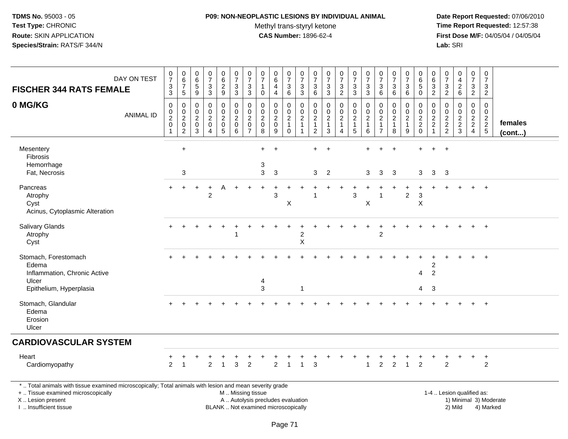#### **P09: NON-NEOPLASTIC LESIONS BY INDIVIDUAL ANIMAL**Methyl trans-styryl ketone<br>CAS Number: 1896-62-4

 **Date Report Requested:** 07/06/2010 **Time Report Requested:** 12:57:38 **First Dose M/F:** 04/05/04 / 04/05/04<br>Lab: SRI **Lab:** SRI

| <b>FISCHER 344 RATS FEMALE</b>                                                                                                                                                                | DAY ON TEST      | $\boldsymbol{0}$<br>$\overline{7}$<br>$\ensuremath{\mathsf{3}}$<br>$\mathbf{3}$ | $\pmb{0}$<br>$\,6\,$<br>$\overline{7}$<br>5         | $\mathbf 0$<br>6<br>$\sqrt{5}$<br>9                               | $\pmb{0}$<br>$\overline{7}$<br>$\sqrt{3}$<br>3                                | $\pmb{0}$<br>$\,6\,$<br>$\sqrt{2}$<br>9      | $\pmb{0}$<br>$\boldsymbol{7}$<br>$\mathbf{3}$<br>3   | 0<br>$\overline{7}$<br>3<br>3                                       | $\pmb{0}$<br>$\overline{7}$<br>$\mathbf{1}$<br>0               | $\pmb{0}$<br>$\,6\,$<br>$\overline{4}$<br>4                              | $\begin{array}{c} 0 \\ 7 \end{array}$<br>$\mathbf{3}$<br>6          | $\pmb{0}$<br>$\overline{7}$<br>$\ensuremath{\mathsf{3}}$<br>3                  | 0<br>$\overline{7}$<br>3<br>6                                | $\pmb{0}$<br>$\overline{7}$<br>$\mathbf{3}$<br>3                  | 0<br>$\overline{7}$<br>3<br>$\overline{2}$                         | $\frac{0}{7}$<br>$\sqrt{3}$<br>3                        | $\pmb{0}$<br>$\overline{7}$<br>$\mathbf{3}$<br>3                    | $\pmb{0}$<br>$\overline{7}$<br>$\mathbf{3}$<br>6                     | $\pmb{0}$<br>$\overline{7}$<br>$\mathbf{3}$<br>6        | $\pmb{0}$<br>$\overline{7}$<br>$\mathbf{3}$<br>6 | $\pmb{0}$<br>6<br>$5\,$<br>$\mathbf 0$    | 0<br>6<br>3<br>$\overline{2}$                              | $\,0\,$<br>$\overline{7}$<br>$\mathbf{3}$<br>$\overline{2}$ | $\pmb{0}$<br>4<br>$\sqrt{2}$<br>$\,6\,$                   | $\pmb{0}$<br>$\overline{7}$<br>3<br>$\overline{2}$  | $\pmb{0}$<br>$\overline{7}$<br>$\mathbf{3}$<br>$\overline{2}$ |                         |
|-----------------------------------------------------------------------------------------------------------------------------------------------------------------------------------------------|------------------|---------------------------------------------------------------------------------|-----------------------------------------------------|-------------------------------------------------------------------|-------------------------------------------------------------------------------|----------------------------------------------|------------------------------------------------------|---------------------------------------------------------------------|----------------------------------------------------------------|--------------------------------------------------------------------------|---------------------------------------------------------------------|--------------------------------------------------------------------------------|--------------------------------------------------------------|-------------------------------------------------------------------|--------------------------------------------------------------------|---------------------------------------------------------|---------------------------------------------------------------------|----------------------------------------------------------------------|---------------------------------------------------------|--------------------------------------------------|-------------------------------------------|------------------------------------------------------------|-------------------------------------------------------------|-----------------------------------------------------------|-----------------------------------------------------|---------------------------------------------------------------|-------------------------|
| 0 MG/KG                                                                                                                                                                                       | <b>ANIMAL ID</b> | $\pmb{0}$<br>$_2^0$<br>$\mathbf 0$<br>$\overline{1}$                            | 0<br>0<br>$\overline{2}$<br>$\pmb{0}$<br>$\sqrt{2}$ | $\mathbf 0$<br>$\mathbf 0$<br>$\sqrt{2}$<br>$\boldsymbol{0}$<br>3 | $\mathbf 0$<br>$\mathbf 0$<br>$\boldsymbol{2}$<br>0<br>$\boldsymbol{\Lambda}$ | 0<br>0<br>$\boldsymbol{2}$<br>$\pmb{0}$<br>5 | 0<br>$\mathbf 0$<br>$\overline{c}$<br>$\pmb{0}$<br>6 | 0<br>$\mathbf 0$<br>$\overline{c}$<br>$\mathbf 0$<br>$\overline{7}$ | $\mathbf 0$<br>$\mathbf 0$<br>$\overline{c}$<br>$\pmb{0}$<br>8 | $\mathbf 0$<br>$\mathbf 0$<br>$\sqrt{2}$<br>$\pmb{0}$<br>9               | 0<br>$\mathbf 0$<br>$\overline{c}$<br>$\overline{1}$<br>$\mathbf 0$ | $\mathbf 0$<br>$\mathbf 0$<br>$\boldsymbol{2}$<br>$\mathbf{1}$<br>$\mathbf{1}$ | 0<br>0<br>$\boldsymbol{2}$<br>$\mathbf{1}$<br>$\overline{2}$ | $\mathbf 0$<br>$\mathbf 0$<br>$\overline{c}$<br>$\mathbf{1}$<br>3 | 0<br>0<br>$\overline{a}$<br>$\mathbf{1}$<br>$\boldsymbol{\Lambda}$ | 0<br>$\mathbf 0$<br>$\overline{2}$<br>$\mathbf{1}$<br>5 | $\mathbf 0$<br>$\mathbf 0$<br>$\boldsymbol{2}$<br>$\mathbf{1}$<br>6 | 0<br>$\mathbf 0$<br>$\overline{c}$<br>$\mathbf{1}$<br>$\overline{7}$ | 0<br>$\mathbf 0$<br>$\overline{2}$<br>$\mathbf{1}$<br>8 | 0<br>0<br>$\boldsymbol{2}$<br>$\mathbf{1}$<br>9  | 0<br>$\mathbf 0$<br>$\frac{2}{2}$<br>0    | 0<br>0<br>$\overline{a}$<br>$\overline{a}$<br>$\mathbf{1}$ | 0<br>0<br>$\overline{c}$<br>$\frac{2}{2}$                   | $\mathbf 0$<br>$\mathbf 0$<br>$\sqrt{2}$<br>$\frac{2}{3}$ | 0<br>$\mathbf 0$<br>$\frac{2}{2}$<br>$\overline{4}$ | $\mathbf 0$<br>$\mathbf 0$<br>$\frac{2}{2}$<br>5              | females<br>$($ cont $)$ |
| Mesentery<br><b>Fibrosis</b><br>Hemorrhage<br>Fat, Necrosis                                                                                                                                   |                  |                                                                                 | $\ddot{}$<br>3                                      |                                                                   |                                                                               |                                              |                                                      |                                                                     | $+$<br>3<br>3                                                  | $\overline{+}$<br>3                                                      |                                                                     |                                                                                | $\pm$<br>3                                                   | $\div$<br>2                                                       |                                                                    |                                                         | 3                                                                   | 3                                                                    | $\overline{1}$<br>3                                     |                                                  | 3                                         | $\ddot{}$<br>3                                             | $\ddot{}$<br>3                                              |                                                           |                                                     |                                                               |                         |
| Pancreas<br>Atrophy<br>Cyst<br>Acinus, Cytoplasmic Alteration                                                                                                                                 |                  |                                                                                 |                                                     |                                                                   | $\overline{2}$                                                                |                                              |                                                      |                                                                     |                                                                | 3                                                                        | X                                                                   |                                                                                |                                                              |                                                                   |                                                                    | 3                                                       | X                                                                   |                                                                      |                                                         | $\boldsymbol{2}$                                 | $\mathbf{3}$<br>$\boldsymbol{\mathsf{X}}$ |                                                            |                                                             |                                                           |                                                     | $\div$                                                        |                         |
| Salivary Glands<br>Atrophy<br>Cyst                                                                                                                                                            |                  |                                                                                 |                                                     |                                                                   |                                                                               |                                              |                                                      |                                                                     |                                                                |                                                                          |                                                                     | $\boldsymbol{2}$<br>$\boldsymbol{\mathsf{X}}$                                  |                                                              |                                                                   |                                                                    |                                                         |                                                                     | $\overline{c}$                                                       |                                                         |                                                  |                                           |                                                            |                                                             |                                                           |                                                     | $+$                                                           |                         |
| Stomach, Forestomach<br>Edema<br>Inflammation, Chronic Active<br>Ulcer<br>Epithelium, Hyperplasia                                                                                             |                  |                                                                                 |                                                     |                                                                   |                                                                               |                                              |                                                      |                                                                     | $\overline{\mathcal{L}}$<br>3                                  |                                                                          |                                                                     | $\mathbf 1$                                                                    |                                                              |                                                                   |                                                                    |                                                         |                                                                     |                                                                      |                                                         |                                                  | 4<br>4                                    | 2<br>$\overline{c}$<br>3                                   |                                                             |                                                           |                                                     | $\overline{+}$                                                |                         |
| Stomach, Glandular<br>Edema<br>Erosion<br>Ulcer                                                                                                                                               |                  |                                                                                 |                                                     |                                                                   |                                                                               |                                              |                                                      |                                                                     |                                                                |                                                                          |                                                                     |                                                                                |                                                              |                                                                   |                                                                    |                                                         |                                                                     |                                                                      |                                                         |                                                  |                                           |                                                            |                                                             |                                                           |                                                     | $+$                                                           |                         |
| <b>CARDIOVASCULAR SYSTEM</b>                                                                                                                                                                  |                  |                                                                                 |                                                     |                                                                   |                                                                               |                                              |                                                      |                                                                     |                                                                |                                                                          |                                                                     |                                                                                |                                                              |                                                                   |                                                                    |                                                         |                                                                     |                                                                      |                                                         |                                                  |                                           |                                                            |                                                             |                                                           |                                                     |                                                               |                         |
| Heart<br>Cardiomyopathy                                                                                                                                                                       |                  | $\ddot{}$<br>2                                                                  |                                                     |                                                                   | $\overline{2}$                                                                | $\mathbf{1}$                                 | $\overline{3}$                                       | $\overline{2}$                                                      |                                                                | $\overline{2}$                                                           | $\overline{1}$                                                      |                                                                                | 3                                                            |                                                                   |                                                                    | $\ddot{}$                                               | $\mathbf{1}$                                                        | $\overline{2}$                                                       | $\overline{2}$                                          | $\overline{1}$                                   | $\overline{2}$                            |                                                            | $\overline{2}$                                              |                                                           | $\ddot{}$                                           | $+$<br>$\overline{2}$                                         |                         |
| *  Total animals with tissue examined microscopically; Total animals with lesion and mean severity grade<br>+  Tissue examined microscopically<br>X  Lesion present<br>I  Insufficient tissue |                  |                                                                                 |                                                     |                                                                   |                                                                               |                                              | M  Missing tissue                                    |                                                                     |                                                                | A  Autolysis precludes evaluation<br>BLANK  Not examined microscopically |                                                                     |                                                                                |                                                              |                                                                   |                                                                    |                                                         |                                                                     |                                                                      |                                                         |                                                  |                                           |                                                            |                                                             | 1-4  Lesion qualified as:<br>2) Mild                      |                                                     | 1) Minimal 3) Moderate<br>4) Marked                           |                         |

Page 71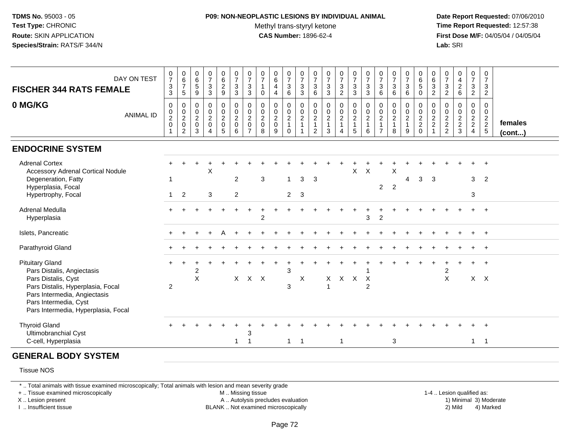#### **P09: NON-NEOPLASTIC LESIONS BY INDIVIDUAL ANIMAL**Methyl trans-styryl ketone<br>CAS Number: 1896-62-4

 **Date Report Requested:** 07/06/2010 **Time Report Requested:** 12:57:38 **First Dose M/F:** 04/05/04 / 04/05/04<br>**Lab:** SRI **Lab:** SRI

| DAY ON TEST<br><b>FISCHER 344 RATS FEMALE</b>                                                                                                                                                                    | $\frac{0}{7}$<br>3<br>3                                           | $\begin{array}{c} 0 \\ 6 \\ 7 \end{array}$<br>5                     | $\begin{array}{c} 0 \\ 6 \end{array}$<br>$\sqrt{5}$<br>9   | $\frac{0}{7}$<br>$\ensuremath{\mathsf{3}}$<br>$\sqrt{3}$                          | 0629                                                                  | $\begin{array}{c} 0 \\ 7 \\ 3 \end{array}$<br>$\mathbf{3}$  | $\begin{array}{c} 0 \\ 7 \end{array}$<br>$\mathbf{3}$<br>3           | 0<br>$\overline{7}$<br>$\mathbf{1}$<br>$\mathbf 0$     | $_{6}^{\rm 0}$<br>$\overline{4}$<br>$\overline{4}$   | $\begin{array}{c} 0 \\ 7 \end{array}$<br>$\mathsf 3$<br>$6\phantom{1}$ | $\frac{0}{7}$<br>$\frac{3}{3}$                              | 0<br>$\overline{7}$<br>$\mathbf{3}$<br>$\,6$                     | $\frac{0}{7}$<br>$\ensuremath{\mathsf{3}}$<br>3                 | $\frac{0}{7}$<br>3<br>$\overline{c}$                    | $\begin{array}{c} 0 \\ 7 \\ 3 \\ 3 \end{array}$                      | $\frac{0}{7}$<br>$\ensuremath{\mathsf{3}}$<br>$\sqrt{3}$      | $\frac{0}{7}$<br>3<br>$\,6\,$                                        | $\frac{0}{7}$<br>$\mathbf{3}$<br>6                      | $\frac{0}{7}$<br>3<br>6                                 | 0<br>$\overline{6}$<br>5<br>$\mathbf 0$   | $\begin{array}{c} 0 \\ 6 \end{array}$<br>$\ensuremath{\mathsf{3}}$<br>$\overline{2}$ | 0<br>$\overline{7}$<br>$\mathsf 3$<br>$\overline{2}$ | $0$<br>$4$<br>$2$<br>$6$                                | $\begin{array}{c} 0 \\ 7 \end{array}$<br>$\mathsf 3$<br>$\overline{2}$ | 0<br>$\overline{7}$<br>3<br>$\overline{a}$          |                         |
|------------------------------------------------------------------------------------------------------------------------------------------------------------------------------------------------------------------|-------------------------------------------------------------------|---------------------------------------------------------------------|------------------------------------------------------------|-----------------------------------------------------------------------------------|-----------------------------------------------------------------------|-------------------------------------------------------------|----------------------------------------------------------------------|--------------------------------------------------------|------------------------------------------------------|------------------------------------------------------------------------|-------------------------------------------------------------|------------------------------------------------------------------|-----------------------------------------------------------------|---------------------------------------------------------|----------------------------------------------------------------------|---------------------------------------------------------------|----------------------------------------------------------------------|---------------------------------------------------------|---------------------------------------------------------|-------------------------------------------|--------------------------------------------------------------------------------------|------------------------------------------------------|---------------------------------------------------------|------------------------------------------------------------------------|-----------------------------------------------------|-------------------------|
| 0 MG/KG<br><b>ANIMAL ID</b>                                                                                                                                                                                      | $\mathbf 0$<br>0<br>$\overline{c}$<br>$\mathbf 0$<br>$\mathbf{1}$ | $\mathbf 0$<br>0<br>$\overline{2}$<br>$\mathbf 0$<br>$\overline{2}$ | $\pmb{0}$<br>$\mathbf 0$<br>$\sqrt{2}$<br>$\mathbf 0$<br>3 | $\pmb{0}$<br>$\mathsf{O}\xspace$<br>$\overline{2}$<br>$\pmb{0}$<br>$\overline{4}$ | $\pmb{0}$<br>$\mathbf 0$<br>$\sqrt{2}$<br>$\pmb{0}$<br>$\overline{5}$ | $\pmb{0}$<br>$\mathbf 0$<br>$\overline{2}$<br>$\Omega$<br>6 | 0<br>$\mathbf 0$<br>$\overline{c}$<br>$\mathbf{0}$<br>$\overline{7}$ | 0<br>$\mathbf 0$<br>$\overline{2}$<br>$\mathbf 0$<br>8 | 0<br>$\pmb{0}$<br>$\overline{2}$<br>$\mathbf 0$<br>9 | 0<br>$\mathbf 0$<br>$\overline{c}$<br>$\overline{1}$<br>$\mathbf 0$    | $\pmb{0}$<br>$\mathbf 0$<br>$\frac{2}{1}$<br>$\overline{1}$ | 0<br>$\mathbf 0$<br>$\sqrt{2}$<br>$\mathbf{1}$<br>$\overline{2}$ | $\pmb{0}$<br>$\mathbf 0$<br>$\overline{c}$<br>$\mathbf{1}$<br>3 | 0<br>$\mathbf 0$<br>$\overline{2}$<br>$\mathbf{1}$<br>4 | $\begin{smallmatrix} 0\\0\\2 \end{smallmatrix}$<br>$\mathbf{1}$<br>5 | $\pmb{0}$<br>$\pmb{0}$<br>$\overline{2}$<br>$\mathbf{1}$<br>6 | 0<br>$\mathbf 0$<br>$\overline{c}$<br>$\mathbf{1}$<br>$\overline{7}$ | 0<br>$\mathsf 0$<br>$\overline{2}$<br>$\mathbf{1}$<br>8 | 0<br>$\mathbf 0$<br>$\overline{c}$<br>$\mathbf{1}$<br>9 | $\pmb{0}$<br>$\frac{0}{2}$<br>$\mathbf 0$ | $\pmb{0}$<br>$\mathbf 0$<br>$\frac{2}{2}$<br>$\mathbf{1}$                            | 0<br>0<br>$\frac{2}{2}$                              | $\pmb{0}$<br>$\pmb{0}$<br>$\frac{2}{2}$<br>$\mathbf{3}$ | 0<br>$\mathbf 0$<br>$\frac{2}{2}$<br>$\overline{4}$                    | 0<br>$\mathbf 0$<br>$\overline{2}$<br>$\frac{2}{5}$ | females<br>$($ cont $)$ |
| <b>ENDOCRINE SYSTEM</b>                                                                                                                                                                                          |                                                                   |                                                                     |                                                            |                                                                                   |                                                                       |                                                             |                                                                      |                                                        |                                                      |                                                                        |                                                             |                                                                  |                                                                 |                                                         |                                                                      |                                                               |                                                                      |                                                         |                                                         |                                           |                                                                                      |                                                      |                                                         |                                                                        |                                                     |                         |
| <b>Adrenal Cortex</b><br><b>Accessory Adrenal Cortical Nodule</b><br>Degeneration, Fatty<br>Hyperplasia, Focal<br>Hypertrophy, Focal                                                                             | -1                                                                | $\overline{2}$                                                      |                                                            | X<br>3                                                                            |                                                                       | $\overline{2}$<br>$\overline{2}$                            |                                                                      | 3                                                      |                                                      | $\mathbf{1}$<br>$\overline{2}$                                         | 3<br>-3                                                     | 3                                                                |                                                                 |                                                         | X                                                                    | X                                                             | $\overline{2}$                                                       | Χ<br>2                                                  | 4                                                       | 3                                         | 3                                                                                    |                                                      |                                                         | 3<br>3                                                                 | $\overline{2}$                                      |                         |
| <b>Adrenal Medulla</b><br>Hyperplasia                                                                                                                                                                            |                                                                   |                                                                     |                                                            |                                                                                   |                                                                       |                                                             |                                                                      | $\overline{2}$                                         |                                                      |                                                                        |                                                             |                                                                  |                                                                 |                                                         |                                                                      | 3                                                             | $\overline{2}$                                                       |                                                         |                                                         |                                           |                                                                                      |                                                      |                                                         |                                                                        | $\ddot{}$                                           |                         |
| Islets, Pancreatic                                                                                                                                                                                               |                                                                   |                                                                     |                                                            |                                                                                   |                                                                       |                                                             |                                                                      |                                                        |                                                      |                                                                        |                                                             |                                                                  |                                                                 |                                                         |                                                                      |                                                               |                                                                      |                                                         |                                                         |                                           |                                                                                      |                                                      |                                                         |                                                                        |                                                     |                         |
| Parathyroid Gland                                                                                                                                                                                                |                                                                   |                                                                     |                                                            |                                                                                   |                                                                       |                                                             |                                                                      |                                                        |                                                      |                                                                        |                                                             |                                                                  |                                                                 |                                                         |                                                                      |                                                               |                                                                      |                                                         |                                                         |                                           |                                                                                      |                                                      |                                                         |                                                                        | $\overline{+}$                                      |                         |
| <b>Pituitary Gland</b><br>Pars Distalis, Angiectasis<br>Pars Distalis, Cyst<br>Pars Distalis, Hyperplasia, Focal<br>Pars Intermedia, Angiectasis<br>Pars Intermedia, Cyst<br>Pars Intermedia, Hyperplasia, Focal | $\boldsymbol{2}$                                                  |                                                                     | $\overline{2}$<br>X                                        |                                                                                   |                                                                       | X                                                           | $X$ $X$                                                              |                                                        |                                                      | 3<br>3                                                                 | X                                                           |                                                                  | X<br>$\mathbf{1}$                                               | $\mathsf{X}$                                            | $\mathsf{X}$                                                         | $\mathsf{X}$<br>$\overline{2}$                                |                                                                      |                                                         |                                                         |                                           |                                                                                      | 2<br>X                                               |                                                         | $X$ $X$                                                                |                                                     |                         |
| <b>Thyroid Gland</b><br>Ultimobranchial Cyst<br>C-cell, Hyperplasia                                                                                                                                              |                                                                   |                                                                     |                                                            |                                                                                   |                                                                       | $\mathbf{1}$                                                | 3<br>$\overline{1}$                                                  |                                                        |                                                      | $\mathbf{1}$                                                           | $\overline{1}$                                              |                                                                  |                                                                 | $\mathbf{1}$                                            |                                                                      |                                                               |                                                                      | $\mathbf 3$                                             |                                                         |                                           |                                                                                      |                                                      |                                                         |                                                                        | $1 \quad 1$                                         |                         |
| <b>GENERAL BODY SYSTEM</b>                                                                                                                                                                                       |                                                                   |                                                                     |                                                            |                                                                                   |                                                                       |                                                             |                                                                      |                                                        |                                                      |                                                                        |                                                             |                                                                  |                                                                 |                                                         |                                                                      |                                                               |                                                                      |                                                         |                                                         |                                           |                                                                                      |                                                      |                                                         |                                                                        |                                                     |                         |
| <b>Tissue NOS</b>                                                                                                                                                                                                |                                                                   |                                                                     |                                                            |                                                                                   |                                                                       |                                                             |                                                                      |                                                        |                                                      |                                                                        |                                                             |                                                                  |                                                                 |                                                         |                                                                      |                                                               |                                                                      |                                                         |                                                         |                                           |                                                                                      |                                                      |                                                         |                                                                        |                                                     |                         |

\* .. Total animals with tissue examined microscopically; Total animals with lesion and mean severity grade

+ .. Tissue examined microscopically

X .. Lesion present

I .. Insufficient tissue

M .. Missing tissue

A .. Autolysis precludes evaluation

BLANK .. Not examined microscopically 2) Mild 4) Marked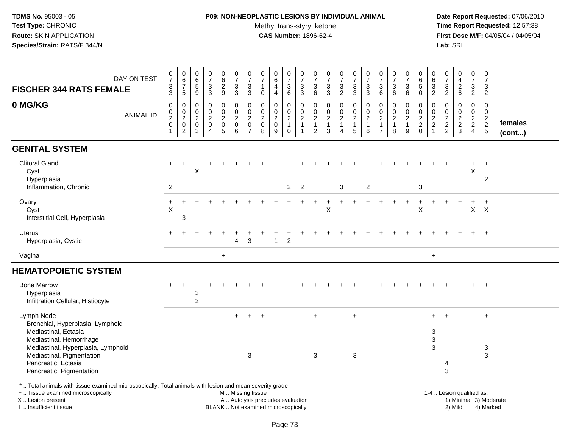#### **P09: NON-NEOPLASTIC LESIONS BY INDIVIDUAL ANIMAL**Methyl trans-styryl ketone<br>CAS Number: 1896-62-4

 **Date Report Requested:** 07/06/2010 **Time Report Requested:** 12:57:38 **First Dose M/F:** 04/05/04 / 04/05/04<br>**Lab:** SRI **Lab:** SRI

| DAY ON TEST                                                                                              | $\frac{0}{7}$                               | $_{6}^{\rm 0}$        | 0<br>$\,6\,$                    | $\begin{smallmatrix}0\\7\end{smallmatrix}$ | $\begin{matrix} 0 \\ 6 \\ 2 \end{matrix}$ | $\frac{0}{7}$                 | 0<br>$\overline{7}$           | $\frac{0}{7}$                 | $\begin{array}{c} 0 \\ 6 \end{array}$ | $\frac{0}{7}$                               | $\frac{0}{7}$                   | 0<br>$\overline{7}$              | $\frac{0}{7}$                    | $\frac{0}{7}$                     | $\frac{0}{7}$                  | $\frac{0}{7}$      | $\frac{0}{7}$              | 0<br>$\overline{7}$            | $\frac{0}{7}$                    | $\begin{array}{c} 0 \\ 6 \end{array}$ | 0<br>$6\phantom{a}$                         | $\frac{0}{7}$           | $\begin{smallmatrix} 0\\4 \end{smallmatrix}$ | 0<br>$\overline{7}$              | $\frac{0}{7}$                    |         |
|----------------------------------------------------------------------------------------------------------|---------------------------------------------|-----------------------|---------------------------------|--------------------------------------------|-------------------------------------------|-------------------------------|-------------------------------|-------------------------------|---------------------------------------|---------------------------------------------|---------------------------------|----------------------------------|----------------------------------|-----------------------------------|--------------------------------|--------------------|----------------------------|--------------------------------|----------------------------------|---------------------------------------|---------------------------------------------|-------------------------|----------------------------------------------|----------------------------------|----------------------------------|---------|
| <b>FISCHER 344 RATS FEMALE</b>                                                                           | $\ensuremath{\mathsf{3}}$<br>$\mathfrak{S}$ | $\boldsymbol{7}$<br>5 | $\,$ 5 $\,$<br>$\boldsymbol{9}$ | $\mathsf 3$<br>$\mathbf{3}$                | $\boldsymbol{9}$                          | $\sqrt{3}$<br>3               | $\sqrt{3}$<br>3               | $\mathbf{1}$<br>$\mathbf{0}$  | 4<br>4                                | $\ensuremath{\mathsf{3}}$<br>$6\phantom{1}$ | $\mathbf{3}$<br>$\mathbf{3}$    | 3<br>6                           | $\mathbf{3}$<br>$\mathbf{3}$     | $\sqrt{3}$<br>$\overline{2}$      | $\mathbf{3}$<br>3              | $\frac{3}{3}$      | $\mathbf{3}$<br>6          | $\sqrt{3}$<br>6                | 3<br>6                           | 5<br>$\Omega$                         | $\ensuremath{\mathsf{3}}$<br>$\overline{c}$ | $\frac{3}{2}$           | $\overline{c}$<br>$6\phantom{1}$             | 3<br>$\boldsymbol{2}$            | $\mathbf{3}$<br>$\overline{2}$   |         |
|                                                                                                          |                                             |                       |                                 |                                            |                                           |                               |                               |                               |                                       |                                             |                                 |                                  |                                  |                                   |                                |                    |                            |                                |                                  |                                       |                                             |                         |                                              |                                  |                                  |         |
| 0 MG/KG<br>ANIMAL ID                                                                                     | 0<br>0                                      | 0<br>$\mathbf 0$      | 0<br>0                          | 0<br>$\mathsf 0$                           | 0<br>0                                    | $\mathbf 0$<br>$\pmb{0}$      | 0<br>$\pmb{0}$                | 0<br>$\mathbf 0$              | $\mathbf 0$<br>$\pmb{0}$              | 0<br>$\mathsf{O}\xspace$                    | $\mathbf 0$<br>$\boldsymbol{0}$ | 0<br>$\pmb{0}$                   | 0<br>$\pmb{0}$                   | $\boldsymbol{0}$<br>$\frac{0}{2}$ | 0<br>$\mathsf{O}\xspace$       | 0<br>$\frac{0}{2}$ | 0<br>$\pmb{0}$             | $\mathbf 0$<br>$\mathbf 0$     | 0<br>$\pmb{0}$                   | 0<br>$\mathbf 0$                      | 0<br>$\pmb{0}$                              | $\mathbf 0$             | 0<br>0                                       | 0<br>0                           | 0<br>$\boldsymbol{0}$            |         |
|                                                                                                          | $\boldsymbol{2}$<br>$\mathbf 0$             | $\overline{2}$<br>0   | $\boldsymbol{2}$<br>$\pmb{0}$   | $\sqrt{2}$<br>$\pmb{0}$                    | $\boldsymbol{2}$<br>$\pmb{0}$             | $\overline{2}$<br>$\mathbf 0$ | $\overline{2}$<br>$\mathbf 0$ | $\overline{2}$<br>$\mathbf 0$ | $\boldsymbol{2}$<br>$\pmb{0}$         | $\overline{c}$<br>$\mathbf{1}$              | $\overline{2}$<br>$\mathbf{1}$  | $\boldsymbol{2}$<br>$\mathbf{1}$ | $\boldsymbol{2}$<br>$\mathbf{1}$ | $\mathbf{1}$                      | $\overline{a}$<br>$\mathbf{1}$ | $\mathbf{1}$       | $\sqrt{2}$<br>$\mathbf{1}$ | $\overline{2}$<br>$\mathbf{1}$ | $\boldsymbol{2}$<br>$\mathbf{1}$ | $\overline{c}$<br>$\overline{a}$      | $\boldsymbol{2}$<br>$\sqrt{2}$              | $\frac{0}{2}$<br>2<br>2 | $\boldsymbol{2}$<br>$\overline{c}$           | $\overline{a}$<br>$\overline{2}$ | $\overline{c}$<br>$\overline{2}$ | females |
|                                                                                                          | $\mathbf{1}$                                | $\overline{2}$        | 3                               | $\boldsymbol{\Lambda}$                     | $5\phantom{.0}$                           | 6                             | $\overline{7}$                | 8                             | 9                                     | $\mathbf 0$                                 | $\overline{1}$                  | $\overline{2}$                   | 3                                | $\overline{4}$                    | $\overline{5}$                 | 6                  | $\overline{7}$             | 8                              | 9                                | $\mathbf 0$                           | $\overline{1}$                              |                         | $\mathbf{3}$                                 | $\overline{4}$                   | $\sqrt{5}$                       | (cont)  |
| <b>GENITAL SYSTEM</b>                                                                                    |                                             |                       |                                 |                                            |                                           |                               |                               |                               |                                       |                                             |                                 |                                  |                                  |                                   |                                |                    |                            |                                |                                  |                                       |                                             |                         |                                              |                                  |                                  |         |
| <b>Clitoral Gland</b>                                                                                    |                                             |                       |                                 |                                            |                                           |                               |                               |                               |                                       |                                             |                                 |                                  |                                  |                                   |                                |                    |                            |                                |                                  |                                       |                                             |                         |                                              |                                  |                                  |         |
| Cyst                                                                                                     |                                             |                       | X                               |                                            |                                           |                               |                               |                               |                                       |                                             |                                 |                                  |                                  |                                   |                                |                    |                            |                                |                                  |                                       |                                             |                         |                                              | X                                |                                  |         |
| Hyperplasia<br>Inflammation, Chronic                                                                     | $\overline{2}$                              |                       |                                 |                                            |                                           |                               |                               |                               |                                       | $\overline{2}$                              | $\overline{2}$                  |                                  |                                  | 3                                 |                                | $\overline{2}$     |                            |                                |                                  | 3                                     |                                             |                         |                                              |                                  | $\overline{2}$                   |         |
|                                                                                                          |                                             |                       |                                 |                                            |                                           |                               |                               |                               |                                       |                                             |                                 |                                  |                                  |                                   |                                |                    |                            |                                |                                  |                                       |                                             |                         |                                              |                                  |                                  |         |
| Ovary                                                                                                    | $\ddot{}$                                   |                       |                                 |                                            |                                           |                               |                               |                               |                                       |                                             |                                 |                                  |                                  |                                   |                                |                    |                            |                                | $\ddot{}$                        | +                                     |                                             |                         |                                              | $\ddot{}$                        | $\ddot{}$                        |         |
| Cyst<br>Interstitial Cell, Hyperplasia                                                                   | $\times$                                    | 3                     |                                 |                                            |                                           |                               |                               |                               |                                       |                                             |                                 |                                  | X                                |                                   |                                |                    |                            |                                |                                  | X                                     |                                             |                         |                                              | $\mathsf{X}$                     | $\mathsf{X}$                     |         |
|                                                                                                          |                                             |                       |                                 |                                            |                                           |                               |                               |                               |                                       |                                             |                                 |                                  |                                  |                                   |                                |                    |                            |                                |                                  |                                       |                                             |                         |                                              |                                  |                                  |         |
| Uterus<br>Hyperplasia, Cystic                                                                            |                                             |                       |                                 |                                            |                                           | Δ                             | 3                             |                               | -1                                    | $\overline{c}$                              |                                 |                                  |                                  |                                   |                                |                    |                            |                                |                                  |                                       |                                             |                         |                                              |                                  | $+$                              |         |
| Vagina                                                                                                   |                                             |                       |                                 |                                            | $+$                                       |                               |                               |                               |                                       |                                             |                                 |                                  |                                  |                                   |                                |                    |                            |                                |                                  |                                       | $+$                                         |                         |                                              |                                  |                                  |         |
| <b>HEMATOPOIETIC SYSTEM</b>                                                                              |                                             |                       |                                 |                                            |                                           |                               |                               |                               |                                       |                                             |                                 |                                  |                                  |                                   |                                |                    |                            |                                |                                  |                                       |                                             |                         |                                              |                                  |                                  |         |
| <b>Bone Marrow</b>                                                                                       |                                             |                       |                                 |                                            |                                           |                               |                               |                               |                                       |                                             |                                 |                                  |                                  |                                   |                                |                    |                            |                                |                                  |                                       |                                             |                         |                                              |                                  | $+$                              |         |
| Hyperplasia                                                                                              |                                             |                       | 3                               |                                            |                                           |                               |                               |                               |                                       |                                             |                                 |                                  |                                  |                                   |                                |                    |                            |                                |                                  |                                       |                                             |                         |                                              |                                  |                                  |         |
| Infiltration Cellular, Histiocyte                                                                        |                                             |                       | $\overline{2}$                  |                                            |                                           |                               |                               |                               |                                       |                                             |                                 |                                  |                                  |                                   |                                |                    |                            |                                |                                  |                                       |                                             |                         |                                              |                                  |                                  |         |
| Lymph Node                                                                                               |                                             |                       |                                 |                                            |                                           |                               |                               | $\overline{+}$                |                                       |                                             |                                 | $+$                              |                                  |                                   | $+$                            |                    |                            |                                |                                  |                                       |                                             |                         |                                              |                                  | $\ddot{}$                        |         |
| Bronchial, Hyperplasia, Lymphoid<br>Mediastinal, Ectasia                                                 |                                             |                       |                                 |                                            |                                           |                               |                               |                               |                                       |                                             |                                 |                                  |                                  |                                   |                                |                    |                            |                                |                                  |                                       |                                             |                         |                                              |                                  |                                  |         |
| Mediastinal, Hemorrhage                                                                                  |                                             |                       |                                 |                                            |                                           |                               |                               |                               |                                       |                                             |                                 |                                  |                                  |                                   |                                |                    |                            |                                |                                  |                                       | 3<br>$\ensuremath{\mathsf{3}}$              |                         |                                              |                                  |                                  |         |
| Mediastinal, Hyperplasia, Lymphoid                                                                       |                                             |                       |                                 |                                            |                                           |                               |                               |                               |                                       |                                             |                                 |                                  |                                  |                                   |                                |                    |                            |                                |                                  |                                       | $\overline{3}$                              |                         |                                              |                                  | 3                                |         |
| Mediastinal, Pigmentation                                                                                |                                             |                       |                                 |                                            |                                           |                               | $\mathbf 3$                   |                               |                                       |                                             |                                 | $\sqrt{3}$                       |                                  |                                   | $\mathbf{3}$                   |                    |                            |                                |                                  |                                       |                                             |                         |                                              |                                  | $\mathbf{3}$                     |         |
| Pancreatic, Ectasia                                                                                      |                                             |                       |                                 |                                            |                                           |                               |                               |                               |                                       |                                             |                                 |                                  |                                  |                                   |                                |                    |                            |                                |                                  |                                       |                                             | 4                       |                                              |                                  |                                  |         |
| Pancreatic, Pigmentation                                                                                 |                                             |                       |                                 |                                            |                                           |                               |                               |                               |                                       |                                             |                                 |                                  |                                  |                                   |                                |                    |                            |                                |                                  |                                       |                                             | 3                       |                                              |                                  |                                  |         |
| *  Total animals with tissue examined microscopically; Total animals with lesion and mean severity grade |                                             |                       |                                 |                                            |                                           |                               |                               |                               |                                       |                                             |                                 |                                  |                                  |                                   |                                |                    |                            |                                |                                  |                                       |                                             |                         |                                              |                                  |                                  |         |

+ .. Tissue examined microscopically

X .. Lesion present

I .. Insufficient tissue

M .. Missing tissue

BLANK .. Not examined microscopically

1-4 .. Lesion qualified as:<br>1) Minimal 3) Moderate A .. Autolysis precludes evaluation 19 and 10 minimal 3) Moderate 1 and 20 minimal 3) Moderate 19 minimal 3) Moderat<br>19 and 19 and 19 and 19 and 19 and 19 and 19 and 19 and 19 and 19 and 19 and 19 and 19 and 19 and 19 and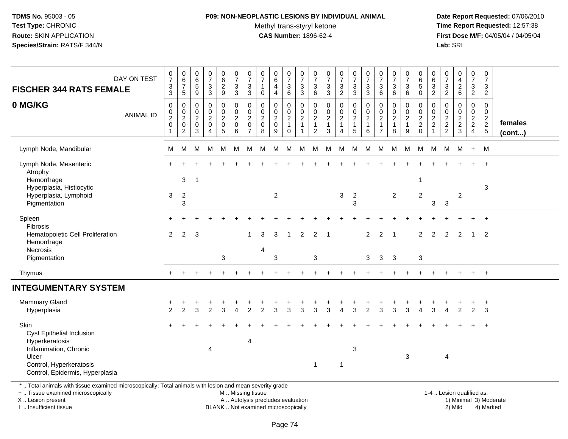### **P09: NON-NEOPLASTIC LESIONS BY INDIVIDUAL ANIMAL**Methyl trans-styryl ketone<br>CAS Number: 1896-62-4

 **Date Report Requested:** 07/06/2010 **Time Report Requested:** 12:57:38 **First Dose M/F:** 04/05/04 / 04/05/04<br>Lab: SRI **Lab:** SRI

| DAY ON TEST<br><b>FISCHER 344 RATS FEMALE</b>                                                                                                       | $\frac{0}{7}$<br>$_3^3$                                            | $\begin{array}{c} 0 \\ 6 \end{array}$<br>$\overline{7}$<br>$\overline{5}$               | $_{6}^{\rm 0}$<br>$\overline{5}$<br>$\overline{9}$             | $\frac{0}{7}$<br>$\frac{3}{3}$                                                  |                                                                             | $\frac{0}{7}$<br>$\frac{3}{3}$              | $\begin{array}{c} 0 \\ 7 \end{array}$<br>$_3^3$            | $\frac{0}{7}$<br>$\mathbf{1}$<br>$\mathbf 0$                     | $\begin{array}{c} 0 \\ 6 \end{array}$<br>$\overline{\mathbf{4}}$<br>$\overline{\mathbf{4}}$ | $\begin{smallmatrix}0\\7\end{smallmatrix}$<br>$\frac{3}{6}$        | $\frac{0}{7}$<br>3<br>$\overline{3}$                       | $\begin{smallmatrix}0\\7\end{smallmatrix}$<br>$\begin{array}{c} 3 \\ 6 \end{array}$ | $\frac{0}{7}$<br>$\frac{3}{3}$                                      | $\begin{smallmatrix} 0\\7 \end{smallmatrix}$<br>$\frac{3}{2}$ | $\frac{0}{7}$<br>$\frac{3}{3}$            | $\frac{0}{7}$<br>3<br>$\overline{3}$                                       | $\begin{array}{c} 0 \\ 7 \end{array}$<br>$\frac{3}{6}$      | $\frac{0}{7}$<br>$\mathbf{3}$<br>$6\phantom{1}$ | $\frac{0}{7}$<br>$\frac{3}{6}$                                       | 0<br>$\overline{6}$<br>$\overline{5}$<br>$\overline{0}$ | $\begin{array}{c} 0 \\ 6 \\ 2 \end{array}$          | $\begin{array}{c} 0 \\ 7 \end{array}$<br>$\frac{3}{2}$ | $0$<br>$4$<br>$2$<br>$6$          | $\begin{array}{c} 0 \\ 7 \end{array}$<br>$\frac{3}{2}$ | $\begin{array}{c} 0 \\ 7 \end{array}$<br>3<br>$\overline{c}$          |                         |
|-----------------------------------------------------------------------------------------------------------------------------------------------------|--------------------------------------------------------------------|-----------------------------------------------------------------------------------------|----------------------------------------------------------------|---------------------------------------------------------------------------------|-----------------------------------------------------------------------------|---------------------------------------------|------------------------------------------------------------|------------------------------------------------------------------|---------------------------------------------------------------------------------------------|--------------------------------------------------------------------|------------------------------------------------------------|-------------------------------------------------------------------------------------|---------------------------------------------------------------------|---------------------------------------------------------------|-------------------------------------------|----------------------------------------------------------------------------|-------------------------------------------------------------|-------------------------------------------------|----------------------------------------------------------------------|---------------------------------------------------------|-----------------------------------------------------|--------------------------------------------------------|-----------------------------------|--------------------------------------------------------|-----------------------------------------------------------------------|-------------------------|
| 0 MG/KG<br><b>ANIMAL ID</b>                                                                                                                         | $\mathsf 0$<br>$\mathsf 0$<br>$\boldsymbol{2}$<br>$\mathbf 0$<br>1 | $\boldsymbol{0}$<br>$\mathbf 0$<br>$\overline{c}$<br>$\boldsymbol{0}$<br>$\overline{c}$ | $\pmb{0}$<br>$\mathbf 0$<br>$\overline{c}$<br>$\mathsf 0$<br>3 | $\mathsf{O}$<br>$\mathsf{O}$<br>$\overline{a}$<br>$\mathbf 0$<br>$\overline{4}$ | $\pmb{0}$<br>$\boldsymbol{0}$<br>$\begin{array}{c} 2 \\ 0 \\ 5 \end{array}$ | $\pmb{0}$<br>$\pmb{0}$<br>$^2_{\rm 0}$<br>6 | $\mathbf 0$<br>$\pmb{0}$<br>$^2_{\rm 0}$<br>$\overline{7}$ | $\mathbf 0$<br>$\mathbf 0$<br>$\overline{c}$<br>$\mathbf 0$<br>8 | 0<br>$\pmb{0}$<br>$^2_{\rm 0}$<br>9                                                         | $\mathbf 0$<br>$\mathbf 0$<br>$\frac{2}{1}$<br>$\mathsf{O}\xspace$ | 0<br>$\mathsf{O}\xspace$<br>$\overline{c}$<br>$\mathbf{1}$ | $\mathsf{O}\xspace$<br>$\pmb{0}$<br>$\frac{2}{1}$<br>$\overline{c}$                 | $\pmb{0}$<br>$\mathsf{O}\xspace$<br>$\frac{2}{1}$<br>$\mathfrak{Z}$ | $\mathbf 0$<br>$\pmb{0}$<br>$\frac{2}{1}$<br>$\overline{4}$   | $\pmb{0}$<br>$\mathbf 0$<br>$\frac{2}{1}$ | $\mathbf 0$<br>$\mathbf 0$<br>$\overline{\mathbf{c}}$<br>$\mathbf{1}$<br>6 | $\mathbf 0$<br>$\pmb{0}$<br>$\frac{2}{1}$<br>$\overline{7}$ | $\mathbf 0$<br>$\pmb{0}$<br>$\frac{2}{1}$<br>8  | 0<br>$\pmb{0}$<br>$\overline{c}$<br>$\mathbf{1}$<br>$\boldsymbol{9}$ | 0<br>$\mathbf 0$<br>$\frac{2}{2}$ <sub>0</sub>          | $\boldsymbol{0}$<br>$\pmb{0}$<br>$\frac{2}{2}$<br>1 | $\mathbf 0$<br>$\mathbf 0$<br>$\frac{2}{2}$            | 0<br>$\mathbf 0$<br>$\frac{2}{3}$ | $\pmb{0}$<br>$\mathsf{O}\xspace$<br>$\frac{2}{4}$      | $\Omega$<br>$\mathbf 0$<br>$\begin{array}{c} 2 \\ 2 \\ 5 \end{array}$ | females<br>$($ cont $)$ |
| Lymph Node, Mandibular                                                                                                                              | M                                                                  | M                                                                                       | M                                                              | M                                                                               | M                                                                           | M                                           | M                                                          | м                                                                | M                                                                                           | M                                                                  | M                                                          | M                                                                                   | М                                                                   | M                                                             | M                                         | M                                                                          | M                                                           | M                                               | M                                                                    | М                                                       | M                                                   | M                                                      | M                                 | $+$                                                    | M                                                                     |                         |
| Lymph Node, Mesenteric<br>Atrophy<br>Hemorrhage                                                                                                     |                                                                    | 3                                                                                       | $\mathbf 1$                                                    |                                                                                 |                                                                             |                                             |                                                            |                                                                  |                                                                                             |                                                                    |                                                            |                                                                                     |                                                                     |                                                               |                                           |                                                                            |                                                             |                                                 |                                                                      | -1                                                      |                                                     |                                                        |                                   |                                                        | $\ddot{}$                                                             |                         |
| Hyperplasia, Histiocytic<br>Hyperplasia, Lymphoid<br>Pigmentation                                                                                   | 3                                                                  | $\overline{2}$<br>3                                                                     |                                                                |                                                                                 |                                                                             |                                             |                                                            |                                                                  | $\overline{c}$                                                                              |                                                                    |                                                            |                                                                                     |                                                                     | 3                                                             | $\overline{2}$<br>3                       |                                                                            |                                                             | $\overline{2}$                                  |                                                                      | $\overline{2}$                                          | 3                                                   | $\sqrt{3}$                                             | $\overline{c}$                    |                                                        | 3                                                                     |                         |
| Spleen<br>Fibrosis<br>Hematopoietic Cell Proliferation<br>Hemorrhage<br>Necrosis                                                                    | $\overline{2}$                                                     | 2                                                                                       | 3                                                              |                                                                                 |                                                                             |                                             |                                                            | 3                                                                | 3                                                                                           | 1                                                                  | 2                                                          | 2                                                                                   |                                                                     |                                                               |                                           | $\overline{2}$                                                             | $\overline{2}$                                              |                                                 |                                                                      | 2                                                       | 2                                                   | 2                                                      | $\overline{2}$                    | 1                                                      | $+$<br>$\overline{2}$                                                 |                         |
| Pigmentation                                                                                                                                        |                                                                    |                                                                                         |                                                                |                                                                                 | 3                                                                           |                                             |                                                            | 4                                                                | 3                                                                                           |                                                                    |                                                            | $\mathbf{3}$                                                                        |                                                                     |                                                               |                                           | 3                                                                          | 3                                                           | $\overline{\mathbf{3}}$                         |                                                                      | $\sqrt{3}$                                              |                                                     |                                                        |                                   |                                                        |                                                                       |                         |
| Thymus                                                                                                                                              |                                                                    |                                                                                         |                                                                |                                                                                 |                                                                             |                                             |                                                            |                                                                  |                                                                                             |                                                                    |                                                            |                                                                                     |                                                                     |                                                               |                                           |                                                                            |                                                             |                                                 |                                                                      |                                                         |                                                     |                                                        |                                   |                                                        | $+$                                                                   |                         |
| <b>INTEGUMENTARY SYSTEM</b>                                                                                                                         |                                                                    |                                                                                         |                                                                |                                                                                 |                                                                             |                                             |                                                            |                                                                  |                                                                                             |                                                                    |                                                            |                                                                                     |                                                                     |                                                               |                                           |                                                                            |                                                             |                                                 |                                                                      |                                                         |                                                     |                                                        |                                   |                                                        |                                                                       |                         |
| <b>Mammary Gland</b><br>Hyperplasia                                                                                                                 | 2                                                                  | $\mathcal{P}$                                                                           | 3                                                              | $\overline{2}$                                                                  | 3                                                                           |                                             | 2                                                          |                                                                  | 3                                                                                           |                                                                    | 3                                                          | 3                                                                                   | 3                                                                   | Δ                                                             |                                           | 2                                                                          |                                                             | 3                                               | 3                                                                    |                                                         | 3                                                   |                                                        | $\overline{2}$                    | $\overline{2}$                                         | $^{+}$<br>3                                                           |                         |
| Skin<br>Cyst Epithelial Inclusion<br>Hyperkeratosis<br>Inflammation, Chronic<br>Ulcer<br>Control, Hyperkeratosis<br>Control, Epidermis, Hyperplasia |                                                                    |                                                                                         |                                                                | 4                                                                               |                                                                             |                                             | 4                                                          |                                                                  |                                                                                             |                                                                    |                                                            | $\mathbf 1$                                                                         |                                                                     | -1                                                            | $\mathbf{3}$                              |                                                                            |                                                             |                                                 | 3                                                                    |                                                         |                                                     | 4                                                      |                                   |                                                        | $\ddot{}$                                                             |                         |
| *  Total animals with tissue examined microscopically; Total animals with lesion and mean severity grade<br>+  Tissue examined microscopically      |                                                                    |                                                                                         |                                                                |                                                                                 |                                                                             | M  Missing tissue                           |                                                            |                                                                  |                                                                                             |                                                                    |                                                            |                                                                                     |                                                                     |                                                               |                                           |                                                                            |                                                             |                                                 |                                                                      |                                                         |                                                     |                                                        | 1-4  Lesion qualified as:         |                                                        |                                                                       |                         |

X .. Lesion present

I .. Insufficient tissue

Lesion present **A** .. Autolysis precludes evaluation 1996 and the server all the server all the server all the server and the server all the server all the server all the server all the server all the server all the server

BLANK .. Not examined microscopically 2) Mild 4) Marked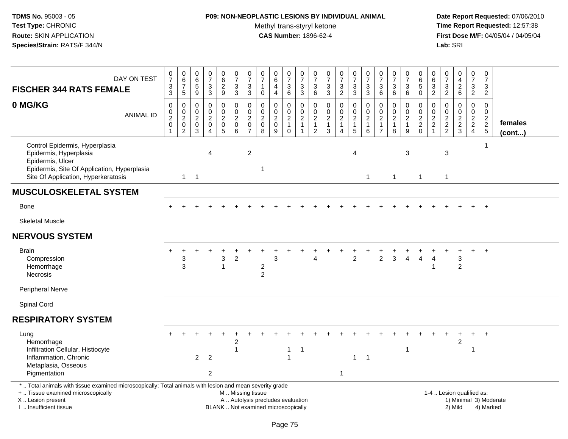### **P09: NON-NEOPLASTIC LESIONS BY INDIVIDUAL ANIMAL**Methyl trans-styryl ketone<br>CAS Number: 1896-62-4

| DAY ON TEST<br><b>FISCHER 344 RATS FEMALE</b>                                                                                                                                                 | $\frac{0}{7}$<br>$\frac{3}{3}$                 | $\begin{array}{c} 0 \\ 6 \end{array}$<br>$\overline{7}$<br>$\sqrt{5}$  | $\begin{array}{c} 0 \\ 6 \end{array}$<br>$\overline{5}$<br>$\boldsymbol{9}$                  | $\begin{array}{c} 0 \\ 7 \end{array}$<br>$\ensuremath{\mathsf{3}}$<br>$\mathbf 3$   | $\begin{array}{c} 0 \\ 6 \end{array}$<br>$\overline{2}$<br>$\boldsymbol{9}$ | $\begin{smallmatrix}0\\7\end{smallmatrix}$<br>$\frac{3}{3}$ | $\frac{0}{7}$<br>$\ensuremath{\mathsf{3}}$<br>3                                     | 0<br>$\boldsymbol{7}$<br>$\mathbf{1}$<br>$\mathbf 0$                    | $\begin{array}{c} 0 \\ 6 \end{array}$<br>$\overline{\mathbf{4}}$<br>$\overline{4}$ | $\begin{smallmatrix}0\\7\end{smallmatrix}$<br>$\begin{array}{c} 3 \\ 6 \end{array}$ | $\frac{0}{7}$<br>$\ensuremath{\mathsf{3}}$<br>$\sqrt{3}$           | $\frac{0}{7}$<br>3<br>$\,6\,$                                                | $\begin{array}{c} 0 \\ 7 \end{array}$<br>$\frac{3}{3}$    | $\frac{0}{7}$<br>$\frac{3}{2}$                                                          | $\begin{array}{c} 0 \\ 7 \end{array}$<br>$\frac{3}{3}$       | $\frac{0}{7}$<br>$_3^3$                                                         | $\frac{0}{7}$<br>$\ensuremath{\mathsf{3}}$<br>6                      | $\begin{array}{c} 0 \\ 7 \end{array}$<br>$\ensuremath{\mathsf{3}}$<br>6 | $\frac{0}{7}$<br>$\ensuremath{\mathsf{3}}$<br>6         | $_{6}^{\rm 0}$<br>$\overline{5}$<br>$\mathbf 0$              | 0<br>6<br>$\overline{3}$<br>$\overline{a}$          | 0<br>$\boldsymbol{7}$<br>$\frac{3}{2}$ | $\begin{smallmatrix}0\0\4\end{smallmatrix}$<br>$\frac{2}{6}$   | $\pmb{0}$<br>$\overline{7}$<br>$\frac{3}{2}$ | $\mathsf 0$<br>$\overline{7}$<br>$\sqrt{3}$<br>$\overline{2}$ |                         |
|-----------------------------------------------------------------------------------------------------------------------------------------------------------------------------------------------|------------------------------------------------|------------------------------------------------------------------------|----------------------------------------------------------------------------------------------|-------------------------------------------------------------------------------------|-----------------------------------------------------------------------------|-------------------------------------------------------------|-------------------------------------------------------------------------------------|-------------------------------------------------------------------------|------------------------------------------------------------------------------------|-------------------------------------------------------------------------------------|--------------------------------------------------------------------|------------------------------------------------------------------------------|-----------------------------------------------------------|-----------------------------------------------------------------------------------------|--------------------------------------------------------------|---------------------------------------------------------------------------------|----------------------------------------------------------------------|-------------------------------------------------------------------------|---------------------------------------------------------|--------------------------------------------------------------|-----------------------------------------------------|----------------------------------------|----------------------------------------------------------------|----------------------------------------------|---------------------------------------------------------------|-------------------------|
| 0 MG/KG<br><b>ANIMAL ID</b>                                                                                                                                                                   | $\mathbf 0$<br>$\frac{0}{2}$<br>$\overline{1}$ | $\mathsf 0$<br>$_{2}^{\rm 0}$<br>$\mathsf{O}\xspace$<br>$\overline{2}$ | $\mathbf 0$<br>$\begin{smallmatrix} 0\\2 \end{smallmatrix}$<br>$\mathbf 0$<br>$\overline{3}$ | $\pmb{0}$<br>$\mathbf 0$<br>$\overline{2}$<br>$\mathbf 0$<br>$\boldsymbol{\Lambda}$ | 0<br>$\mathsf{O}\xspace$<br>$\overline{2}$<br>$\mathbf 0$<br>$\overline{5}$ | $\pmb{0}$<br>$\frac{0}{2}$<br>$6^{\circ}$                   | $\mathbf 0$<br>$\mathsf{O}\xspace$<br>$\overline{c}$<br>$\pmb{0}$<br>$\overline{7}$ | $\pmb{0}$<br>$\pmb{0}$<br>$\overline{2}$<br>$\pmb{0}$<br>$\overline{8}$ | $\pmb{0}$<br>$\pmb{0}$<br>$\overline{2}$<br>$\mathsf{O}\xspace$<br>9               | 0<br>$\begin{smallmatrix} 0\\2 \end{smallmatrix}$<br>$\mathbf{1}$<br>$\mathbf 0$    | 0<br>$\mathbf 0$<br>$\overline{2}$<br>$\mathbf{1}$<br>$\mathbf{1}$ | $\mathbf 0$<br>$\pmb{0}$<br>$\overline{2}$<br>$\mathbf{1}$<br>$\overline{2}$ | $\pmb{0}$<br>$\pmb{0}$<br>$\overline{2}$<br>$\frac{1}{3}$ | $\mathsf{O}$<br>$\mathsf{O}\xspace$<br>$\overline{2}$<br>$\mathbf{1}$<br>$\overline{4}$ | $\pmb{0}$<br>$\frac{0}{2}$<br>$\mathbf{1}$<br>$\overline{5}$ | $\mathbf 0$<br>$\pmb{0}$<br>$\overline{2}$<br>$\overline{1}$<br>$6\phantom{1}6$ | 0<br>$\mathbf 0$<br>$\overline{2}$<br>$\mathbf{1}$<br>$\overline{7}$ | $\pmb{0}$<br>$\mathbf 0$<br>$\frac{2}{1}$<br>8                          | 0<br>$\mathbf 0$<br>$\overline{2}$<br>$\mathbf{1}$<br>9 | $\pmb{0}$<br>$\begin{array}{c} 0 \\ 2 \\ 2 \\ 0 \end{array}$ | $\mathbf 0$<br>0<br>$\overline{2}$<br>$\frac{2}{1}$ | 0<br>$\pmb{0}$<br>$\frac{2}{2}$        | $\pmb{0}$<br>$\pmb{0}$<br>$\frac{2}{3}$                        | $\pmb{0}$<br>$\mathbf 0$<br>$\frac{2}{2}$    | $\mathbf 0$<br>$\boldsymbol{0}$<br>$\frac{2}{2}$<br>5         | females<br>$($ cont $)$ |
| Control Epidermis, Hyperplasia<br>Epidermis, Hyperplasia<br>Epidermis, Ulcer<br>Epidermis, Site Of Application, Hyperplasia<br>Site Of Application, Hyperkeratosis                            |                                                | $\mathbf{1}$                                                           | $\overline{1}$                                                                               | 4                                                                                   |                                                                             |                                                             | $\overline{2}$                                                                      | $\mathbf 1$                                                             |                                                                                    |                                                                                     |                                                                    |                                                                              |                                                           |                                                                                         | 4                                                            | $\overline{1}$                                                                  |                                                                      | $\mathbf{1}$                                                            | 3                                                       | $\mathbf{1}$                                                 |                                                     | $\mathbf{3}$<br>$\mathbf{1}$           |                                                                |                                              | $\overline{1}$                                                |                         |
| <b>MUSCULOSKELETAL SYSTEM</b>                                                                                                                                                                 |                                                |                                                                        |                                                                                              |                                                                                     |                                                                             |                                                             |                                                                                     |                                                                         |                                                                                    |                                                                                     |                                                                    |                                                                              |                                                           |                                                                                         |                                                              |                                                                                 |                                                                      |                                                                         |                                                         |                                                              |                                                     |                                        |                                                                |                                              |                                                               |                         |
| Bone                                                                                                                                                                                          |                                                |                                                                        |                                                                                              |                                                                                     |                                                                             |                                                             |                                                                                     |                                                                         |                                                                                    |                                                                                     |                                                                    |                                                                              |                                                           |                                                                                         |                                                              |                                                                                 |                                                                      |                                                                         |                                                         |                                                              |                                                     |                                        |                                                                |                                              |                                                               |                         |
| <b>Skeletal Muscle</b>                                                                                                                                                                        |                                                |                                                                        |                                                                                              |                                                                                     |                                                                             |                                                             |                                                                                     |                                                                         |                                                                                    |                                                                                     |                                                                    |                                                                              |                                                           |                                                                                         |                                                              |                                                                                 |                                                                      |                                                                         |                                                         |                                                              |                                                     |                                        |                                                                |                                              |                                                               |                         |
| <b>NERVOUS SYSTEM</b>                                                                                                                                                                         |                                                |                                                                        |                                                                                              |                                                                                     |                                                                             |                                                             |                                                                                     |                                                                         |                                                                                    |                                                                                     |                                                                    |                                                                              |                                                           |                                                                                         |                                                              |                                                                                 |                                                                      |                                                                         |                                                         |                                                              |                                                     |                                        |                                                                |                                              |                                                               |                         |
| <b>Brain</b><br>Compression<br>Hemorrhage<br><b>Necrosis</b>                                                                                                                                  |                                                | 3<br>3                                                                 |                                                                                              |                                                                                     | 3<br>$\mathbf{1}$                                                           | $\overline{c}$                                              |                                                                                     | $\overline{c}$<br>$\overline{2}$                                        | 3                                                                                  |                                                                                     |                                                                    | 4                                                                            |                                                           |                                                                                         | $\overline{2}$                                               |                                                                                 | $\overline{c}$                                                       | 3                                                                       | 4                                                       | 4                                                            | 4<br>$\mathbf 1$                                    |                                        | 3<br>2                                                         |                                              | $\overline{+}$                                                |                         |
| Peripheral Nerve                                                                                                                                                                              |                                                |                                                                        |                                                                                              |                                                                                     |                                                                             |                                                             |                                                                                     |                                                                         |                                                                                    |                                                                                     |                                                                    |                                                                              |                                                           |                                                                                         |                                                              |                                                                                 |                                                                      |                                                                         |                                                         |                                                              |                                                     |                                        |                                                                |                                              |                                                               |                         |
| Spinal Cord                                                                                                                                                                                   |                                                |                                                                        |                                                                                              |                                                                                     |                                                                             |                                                             |                                                                                     |                                                                         |                                                                                    |                                                                                     |                                                                    |                                                                              |                                                           |                                                                                         |                                                              |                                                                                 |                                                                      |                                                                         |                                                         |                                                              |                                                     |                                        |                                                                |                                              |                                                               |                         |
| <b>RESPIRATORY SYSTEM</b>                                                                                                                                                                     |                                                |                                                                        |                                                                                              |                                                                                     |                                                                             |                                                             |                                                                                     |                                                                         |                                                                                    |                                                                                     |                                                                    |                                                                              |                                                           |                                                                                         |                                                              |                                                                                 |                                                                      |                                                                         |                                                         |                                                              |                                                     |                                        |                                                                |                                              |                                                               |                         |
| Lung<br>Hemorrhage<br>Infiltration Cellular, Histiocyte<br>Inflammation, Chronic<br>Metaplasia, Osseous<br>Pigmentation                                                                       |                                                |                                                                        | $\overline{2}$                                                                               | $\overline{2}$<br>$\overline{2}$                                                    |                                                                             | $\overline{c}$                                              |                                                                                     |                                                                         |                                                                                    | 1                                                                                   | $\overline{1}$                                                     |                                                                              |                                                           | 1                                                                                       | $\mathbf{1}$                                                 | $\overline{1}$                                                                  |                                                                      |                                                                         | 1                                                       |                                                              |                                                     |                                        | $\overline{2}$                                                 | 1                                            |                                                               |                         |
| *  Total animals with tissue examined microscopically; Total animals with lesion and mean severity grade<br>+  Tissue examined microscopically<br>X  Lesion present<br>I. Insufficient tissue |                                                |                                                                        |                                                                                              |                                                                                     |                                                                             |                                                             | M  Missing tissue                                                                   |                                                                         | A  Autolysis precludes evaluation<br>BLANK  Not examined microscopically           |                                                                                     |                                                                    |                                                                              |                                                           |                                                                                         |                                                              |                                                                                 |                                                                      |                                                                         |                                                         |                                                              |                                                     |                                        | 1-4  Lesion qualified as:<br>1) Minimal 3) Moderate<br>2) Mild |                                              | 4) Marked                                                     |                         |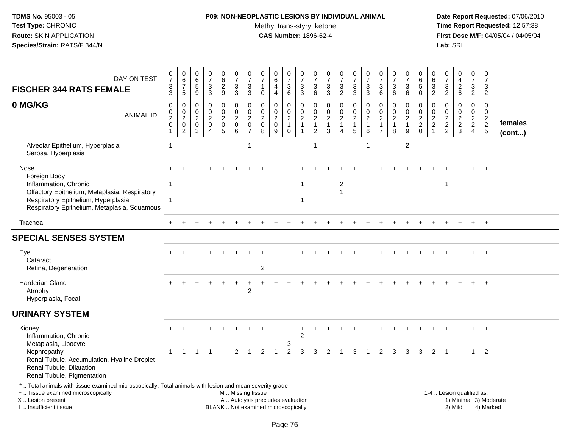### **P09: NON-NEOPLASTIC LESIONS BY INDIVIDUAL ANIMAL**Methyl trans-styryl ketone<br>CAS Number: 1896-62-4

| DAY ON TEST<br><b>FISCHER 344 RATS FEMALE</b>                                                                                                                                                 | $\frac{0}{7}$<br>$\ensuremath{\mathsf{3}}$<br>$\mathbf{3}$                               | $\begin{array}{c} 0 \\ 6 \end{array}$<br>$\overline{7}$<br>5      | $\begin{array}{c} 0 \\ 6 \end{array}$<br>$\overline{5}$<br>$9\,$ | $\frac{0}{7}$<br>3<br>3                                                       | $\begin{array}{c} 0 \\ 6 \\ 2 \end{array}$<br>9                        | $\frac{0}{7}$<br>$\sqrt{3}$<br>3                               | $\frac{0}{7}$<br>3<br>$\mathbf{3}$                                | $\begin{matrix} 0 \\ 7 \end{matrix}$<br>$\mathbf{1}$<br>$\mathbf 0$ | $_{6}^{\rm 0}$<br>$\overline{4}$<br>$\overline{4}$     | $\frac{0}{7}$<br>$\mathbf{3}$<br>6 | $\begin{array}{c} 0 \\ 7 \end{array}$<br>3<br>3                                     | $\frac{0}{7}$<br>$\mathbf{3}$<br>$\,6\,$                                              | $\begin{array}{c} 0 \\ 7 \end{array}$<br>$\sqrt{3}$<br>3            | $\frac{0}{7}$<br>$\ensuremath{\mathsf{3}}$<br>$\boldsymbol{2}$ | $\begin{array}{c} 0 \\ 7 \end{array}$<br>$\sqrt{3}$<br>3       | $\frac{0}{7}$<br>3<br>$\mathbf{3}$                     | $\frac{0}{7}$<br>$\mathfrak{Z}$<br>6                                         | $\frac{0}{7}$<br>3<br>6                                 | $\frac{0}{7}$<br>3<br>6                                     | 0<br>$\overline{6}$<br>$\overline{5}$<br>$\mathbf 0$ | $\pmb{0}$<br>$\,6$<br>$\overline{3}$<br>$\overline{2}$ | $\begin{array}{c} 0 \\ 7 \end{array}$<br>$\sqrt{3}$<br>$\overline{2}$ | $\begin{array}{c} 0 \\ 4 \end{array}$<br>$\overline{a}$<br>6 | $\frac{0}{7}$<br>$\mathbf{3}$<br>$\overline{2}$  | 0<br>$\overline{7}$<br>3<br>$\overline{2}$                   |                   |
|-----------------------------------------------------------------------------------------------------------------------------------------------------------------------------------------------|------------------------------------------------------------------------------------------|-------------------------------------------------------------------|------------------------------------------------------------------|-------------------------------------------------------------------------------|------------------------------------------------------------------------|----------------------------------------------------------------|-------------------------------------------------------------------|---------------------------------------------------------------------|--------------------------------------------------------|------------------------------------|-------------------------------------------------------------------------------------|---------------------------------------------------------------------------------------|---------------------------------------------------------------------|----------------------------------------------------------------|----------------------------------------------------------------|--------------------------------------------------------|------------------------------------------------------------------------------|---------------------------------------------------------|-------------------------------------------------------------|------------------------------------------------------|--------------------------------------------------------|-----------------------------------------------------------------------|--------------------------------------------------------------|--------------------------------------------------|--------------------------------------------------------------|-------------------|
| 0 MG/KG<br><b>ANIMAL ID</b>                                                                                                                                                                   | $\mathbf 0$<br>$\begin{smallmatrix} 0\\2 \end{smallmatrix}$<br>$\pmb{0}$<br>$\mathbf{1}$ | 0<br>$\pmb{0}$<br>$\overline{c}$<br>$\mathbf 0$<br>$\overline{c}$ | $\mathbf 0$<br>$\mathsf{O}\xspace$<br>$\frac{2}{0}$<br>3         | $\mathbf 0$<br>$\mathbf 0$<br>$\overline{2}$<br>$\mathbf 0$<br>$\overline{4}$ | 0<br>$\mathbf 0$<br>$\overline{c}$<br>$\begin{matrix}0\\5\end{matrix}$ | $\mathbf 0$<br>$\mathsf{O}\xspace$<br>$\frac{2}{0}$<br>$\,6\,$ | 0<br>$\pmb{0}$<br>$\overline{c}$<br>$\mathbf 0$<br>$\overline{7}$ | $\mathbf{0}$<br>$\pmb{0}$<br>$\overline{2}$<br>$\mathbf 0$<br>8     | 0<br>$\mathbf 0$<br>$\overline{c}$<br>$\mathbf 0$<br>9 | 0<br>$\frac{0}{2}$<br>$\mathbf 0$  | $\mathbf 0$<br>$\mathsf{O}\xspace$<br>$\overline{2}$<br>$\mathbf{1}$<br>$\mathbf 1$ | $\mathbf 0$<br>$\mathsf 0$<br>$\begin{array}{c} 2 \\ 1 \end{array}$<br>$\overline{c}$ | $\mathbf 0$<br>$\mathsf{O}\xspace$<br>$\frac{2}{1}$<br>$\mathbf{3}$ | 0<br>$\mathsf{O}\xspace$<br>$\frac{2}{1}$<br>$\overline{4}$    | $\mathbf 0$<br>$\mathbf 0$<br>$\frac{2}{1}$<br>$5\phantom{.0}$ | $\mathbf 0$<br>$\mathsf 0$<br>$\overline{c}$<br>1<br>6 | $\mathbf 0$<br>$\pmb{0}$<br>$\overline{2}$<br>$\mathbf{1}$<br>$\overline{7}$ | 0<br>$\mathbf 0$<br>$\overline{2}$<br>$\mathbf{1}$<br>8 | 0<br>$\mathbf 0$<br>$\overline{2}$<br>$\mathbf{1}$<br>$9\,$ | $\mathbf{0}$<br>$\pmb{0}$<br>$\frac{2}{2}$<br>0      | 0<br>$\mathsf 0$<br>$\frac{2}{2}$                      | $\mathbf 0$<br>$\mathbf 0$<br>$\frac{2}{2}$                           | 0<br>$\mathbf 0$<br>$\frac{2}{3}$                            | $\mathbf 0$<br>$\mathbf 0$<br>$\frac{2}{2}$<br>4 | $\Omega$<br>$\mathbf 0$<br>$\overline{a}$<br>$\sqrt{2}$<br>5 | females<br>(cont) |
| Alveolar Epithelium, Hyperplasia<br>Serosa, Hyperplasia                                                                                                                                       | 1                                                                                        |                                                                   |                                                                  |                                                                               |                                                                        |                                                                | $\overline{1}$                                                    |                                                                     |                                                        |                                    |                                                                                     |                                                                                       |                                                                     |                                                                |                                                                | -1                                                     |                                                                              |                                                         | $\overline{2}$                                              |                                                      |                                                        |                                                                       |                                                              |                                                  |                                                              |                   |
| Nose<br>Foreign Body<br>Inflammation, Chronic<br>Olfactory Epithelium, Metaplasia, Respiratory<br>Respiratory Epithelium, Hyperplasia<br>Respiratory Epithelium, Metaplasia, Squamous         | 1<br>1                                                                                   |                                                                   |                                                                  |                                                                               |                                                                        |                                                                |                                                                   |                                                                     |                                                        |                                    | 1<br>$\mathbf{1}$                                                                   |                                                                                       |                                                                     | 2<br>$\overline{1}$                                            |                                                                |                                                        |                                                                              |                                                         |                                                             |                                                      |                                                        | 1                                                                     |                                                              |                                                  |                                                              |                   |
| Trachea                                                                                                                                                                                       |                                                                                          |                                                                   |                                                                  |                                                                               |                                                                        |                                                                |                                                                   |                                                                     |                                                        |                                    |                                                                                     |                                                                                       |                                                                     |                                                                |                                                                |                                                        |                                                                              |                                                         |                                                             |                                                      |                                                        |                                                                       |                                                              |                                                  | $+$                                                          |                   |
| <b>SPECIAL SENSES SYSTEM</b>                                                                                                                                                                  |                                                                                          |                                                                   |                                                                  |                                                                               |                                                                        |                                                                |                                                                   |                                                                     |                                                        |                                    |                                                                                     |                                                                                       |                                                                     |                                                                |                                                                |                                                        |                                                                              |                                                         |                                                             |                                                      |                                                        |                                                                       |                                                              |                                                  |                                                              |                   |
| Eye<br>Cataract<br>Retina, Degeneration                                                                                                                                                       |                                                                                          |                                                                   |                                                                  |                                                                               |                                                                        |                                                                |                                                                   | $\overline{c}$                                                      |                                                        |                                    |                                                                                     |                                                                                       |                                                                     |                                                                |                                                                |                                                        |                                                                              |                                                         |                                                             |                                                      |                                                        |                                                                       |                                                              |                                                  |                                                              |                   |
| Harderian Gland<br>Atrophy<br>Hyperplasia, Focal                                                                                                                                              |                                                                                          |                                                                   |                                                                  |                                                                               |                                                                        |                                                                | $\overline{2}$                                                    |                                                                     |                                                        |                                    |                                                                                     |                                                                                       |                                                                     |                                                                |                                                                |                                                        |                                                                              |                                                         |                                                             |                                                      |                                                        |                                                                       |                                                              |                                                  | $+$                                                          |                   |
| <b>URINARY SYSTEM</b>                                                                                                                                                                         |                                                                                          |                                                                   |                                                                  |                                                                               |                                                                        |                                                                |                                                                   |                                                                     |                                                        |                                    |                                                                                     |                                                                                       |                                                                     |                                                                |                                                                |                                                        |                                                                              |                                                         |                                                             |                                                      |                                                        |                                                                       |                                                              |                                                  |                                                              |                   |
| Kidney<br>Inflammation, Chronic<br>Metaplasia, Lipocyte                                                                                                                                       |                                                                                          |                                                                   |                                                                  |                                                                               |                                                                        |                                                                |                                                                   |                                                                     |                                                        | 3                                  | $\overline{2}$                                                                      |                                                                                       |                                                                     |                                                                |                                                                |                                                        |                                                                              |                                                         |                                                             |                                                      |                                                        |                                                                       |                                                              |                                                  | $+$                                                          |                   |
| Nephropathy<br>Renal Tubule, Accumulation, Hyaline Droplet<br>Renal Tubule, Dilatation<br>Renal Tubule, Pigmentation                                                                          | $\mathbf 1$                                                                              | -1                                                                | 1                                                                | -1                                                                            |                                                                        | 2                                                              |                                                                   | $\mathfrak{p}$                                                      |                                                        | 2                                  | 3                                                                                   | 3                                                                                     | $\mathcal{P}$                                                       |                                                                |                                                                |                                                        |                                                                              | 3                                                       | 3                                                           | 3                                                    | 2                                                      | -1                                                                    |                                                              | $\mathbf 1$                                      | $\overline{2}$                                               |                   |
| *  Total animals with tissue examined microscopically; Total animals with lesion and mean severity grade<br>+  Tissue examined microscopically<br>X  Lesion present<br>I  Insufficient tissue |                                                                                          |                                                                   |                                                                  |                                                                               | BLANK  Not examined microscopically                                    |                                                                | M  Missing tissue                                                 |                                                                     | A  Autolysis precludes evaluation                      |                                    |                                                                                     |                                                                                       |                                                                     |                                                                |                                                                |                                                        |                                                                              |                                                         |                                                             |                                                      |                                                        |                                                                       | 1-4  Lesion qualified as:<br>2) Mild                         |                                                  | 1) Minimal 3) Moderate<br>4) Marked                          |                   |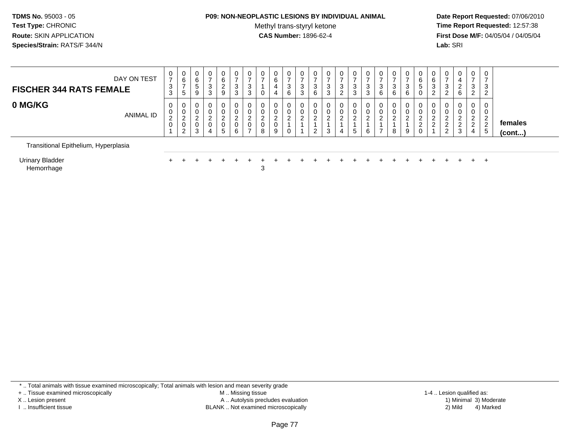#### **P09: NON-NEOPLASTIC LESIONS BY INDIVIDUAL ANIMAL**

Methyl trans-styryl ketone<br>CAS Number: 1896-62-4

 **Date Report Requested:** 07/06/2010 **Time Report Requested:** 12:57:38 **First Dose M/F:** 04/05/04 / 04/05/04<br>**Lab:** SRI **Lab:** SRI

| 0 MG/KG<br>0<br>$\mathbf{0}$<br>0<br>0<br>0<br>U<br>ν<br>0<br>0<br>0<br>0<br>U                                                                                                          | 0<br>0<br>0<br>0<br>0<br>0<br>0<br>0<br>0                                                                                                                                                                                                                                                                                         |
|-----------------------------------------------------------------------------------------------------------------------------------------------------------------------------------------|-----------------------------------------------------------------------------------------------------------------------------------------------------------------------------------------------------------------------------------------------------------------------------------------------------------------------------------|
| ANIMAL ID<br><sup>o</sup><br>ົ<br>ົ<br>ົ<br>ົ<br>$\sim$<br>$\sqrt{2}$<br>∠<br>$\epsilon$<br>ے<br>$\epsilon$<br>∼<br>$\mathbf 0$<br>0<br>0<br>0<br>U<br>⇁<br>8<br>5<br>6<br>റ<br>-3<br>4 | 0<br>0<br>0<br>0<br>0<br>0<br>U<br>υ<br>ົ<br>ີ<br>റ<br>ົ<br>ົ<br>ົ<br>ົ<br>ົ<br>ົ<br>ົ<br>ົ<br>ົ<br>ົ<br><sup>o</sup><br><u>_</u><br><u>.</u><br><u>_</u><br>females<br>່າ<br>ົ<br>$\sqrt{2}$<br>ີ<br>ົ<br>∼<br><u>_</u><br><u>_</u><br>$\overline{2}$<br>3<br>5<br>-<br>9<br>3<br>ົ<br>8<br>6<br>0<br>9<br>4<br>(cont)<br>ಾ<br>∼ |

Urinary BladderHemorrhage

r +  $\epsilon$  3

<sup>+</sup> <sup>+</sup> <sup>+</sup> <sup>+</sup> <sup>+</sup> <sup>+</sup> <sup>+</sup> <sup>+</sup> <sup>+</sup> <sup>+</sup> <sup>+</sup> <sup>+</sup> <sup>+</sup> <sup>+</sup> <sup>+</sup> <sup>+</sup> <sup>+</sup> <sup>+</sup> <sup>+</sup> <sup>+</sup> <sup>+</sup> <sup>+</sup> <sup>+</sup> <sup>+</sup>

\* .. Total animals with tissue examined microscopically; Total animals with lesion and mean severity grade

+ .. Tissue examined microscopically

X .. Lesion present

I .. Insufficient tissue

 M .. Missing tissueA .. Autolysis precludes evaluation

BLANK .. Not examined microscopically 2) Mild 4) Marked

1-4 .. Lesion qualified as:<br>1) Minimal 3) Moderate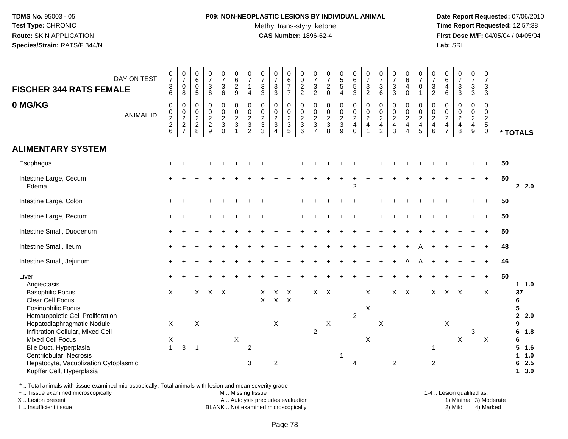#### **P09: NON-NEOPLASTIC LESIONS BY INDIVIDUAL ANIMAL**Methyl trans-styryl ketone<br>CAS Number: 1896-62-4

 **Date Report Requested:** 07/06/2010 **Time Report Requested:** 12:57:38 **First Dose M/F:** 04/05/04 / 04/05/04<br>**Lab:** SRI **Lab:** SRI

| DAY ON TEST<br><b>FISCHER 344 RATS FEMALE</b><br>0 MG/KG                                                                                                                                                                                            | <b>ANIMAL ID</b> | $\frac{0}{7}$<br>$\frac{3}{6}$<br>$\pmb{0}$<br>0, 2, 2, 6 | $\begin{array}{c} 0 \\ 7 \end{array}$<br>$\pmb{0}$<br>8<br>$\mathsf{O}\xspace$<br>$\frac{0}{2}$<br>7 | $\begin{array}{c} 0 \\ 6 \end{array}$<br>$\mathsf 0$<br>5<br>0<br>$\pmb{0}$<br>$\overline{2}$<br>$^{\mathsf{2}}_{\mathsf{8}}$ | $\frac{0}{7}$<br>$\sqrt{3}$<br>6<br>$\pmb{0}$<br>$\pmb{0}$<br>$\overline{2}$<br>$\frac{2}{9}$ | $\frac{0}{7}$<br>$\mathbf{3}$<br>6<br>$\mathbf 0$<br>$\pmb{0}$<br>$\frac{2}{3}$<br>$\mathbf 0$ | $\begin{array}{c} 0 \\ 6 \end{array}$<br>$\overline{c}$<br>9<br>$\mathsf 0$<br>$\mathsf{O}\xspace$<br>$\overline{2}$<br>$\mathfrak{S}$<br>$\overline{1}$ | $\frac{0}{7}$<br>$\mathbf{1}$<br>$\overline{4}$<br>$\pmb{0}$<br>$^{\rm 0}_{\rm 2}$<br>$\mathfrak{Z}$<br>$\overline{2}$ | $\begin{array}{c} 0 \\ 7 \end{array}$<br>$\frac{3}{3}$<br>$\pmb{0}$<br>$\begin{smallmatrix} 0\\2 \end{smallmatrix}$<br>$\overline{3}$<br>3 | $\begin{array}{c} 0 \\ 7 \end{array}$<br>$\sqrt{3}$<br>$\mathbf{3}$<br>$\mathbf 0$<br>$\begin{smallmatrix} 0\\2 \end{smallmatrix}$<br>$\mathbf{3}$<br>$\overline{4}$ | $_{6}^{\rm 0}$<br>$\overline{7}$<br>$\overline{7}$<br>$\mathbf 0$<br>$\mathbf 0$<br>$\boldsymbol{2}$<br>$\mathbf{3}$<br>5 | $\begin{smallmatrix} 0\\0 \end{smallmatrix}$<br>$\frac{2}{2}$<br>$\mathbf 0$<br>$\frac{0}{2}$<br>6 | $\begin{array}{c} 0 \\ 7 \end{array}$<br>$\frac{3}{2}$<br>$\mathsf{O}\xspace$<br>$_{2}^{\rm 0}$<br>$\ensuremath{\mathsf{3}}$<br>$\overline{7}$ | $\frac{0}{7}$<br>$\frac{2}{0}$<br>0<br>$\begin{array}{c} 0 \\ 2 \\ 3 \\ 8 \end{array}$ | $\begin{array}{c} 0 \\ 5 \\ 5 \end{array}$<br>$\overline{4}$<br>$\pmb{0}$<br>$0$<br>$3$<br>$9$ | $\begin{array}{c} 0 \\ 6 \\ 5 \end{array}$<br>3<br>$\boldsymbol{0}$<br>$\mathsf 0$<br>$\overline{2}$<br>$\overline{4}$<br>$\pmb{0}$ | $\frac{0}{7}$<br>$\mathbf{3}$<br>$\overline{2}$<br>$\mathbf 0$<br>$\pmb{0}$<br>$\overline{2}$<br>$\overline{4}$<br>$\mathbf{1}$ | $\frac{0}{7}$<br>3<br>$6\overline{6}$<br>$\mathbf 0$<br>$_2^0$<br>$\overline{\mathbf{4}}$<br>$\overline{2}$ | $\frac{0}{7}$<br>$\ensuremath{\mathsf{3}}$<br>$\mathfrak{Z}$<br>$\pmb{0}$<br>$\begin{smallmatrix} 0\\2 \end{smallmatrix}$<br>$\overline{4}$<br>$\mathfrak{Z}$ | $\begin{array}{c} 0 \\ 6 \end{array}$<br>$\overline{4}$<br>$\mathbf 0$<br>$\mathbf 0$<br>$\begin{smallmatrix} 0\\2 \end{smallmatrix}$<br>$\overline{4}$<br>$\overline{4}$ | $\frac{0}{7}$<br>$\pmb{0}$<br>$\overline{1}$<br>$\pmb{0}$<br>$\begin{smallmatrix} 0\\2 \end{smallmatrix}$<br>$\overline{4}$<br>$\sqrt{5}$ | $\frac{0}{7}$<br>$\mathbf 3$<br>$\overline{2}$<br>$\boldsymbol{0}$<br>$\begin{smallmatrix} 0\\2 \end{smallmatrix}$<br>$\overline{4}$<br>$\,6\,$ | $_{6}^{\rm 0}$<br>$\overline{4}$<br>6<br>0<br>$\pmb{0}$<br>$\overline{2}$<br>$\overline{4}$<br>$\overline{7}$ | $\frac{0}{7}$<br>$\mathbf{3}$<br>$\mathbf{3}$<br>$\pmb{0}$<br>$_2^0$<br>$\overline{4}$<br>8 | $\frac{0}{7}$<br>$\ensuremath{\mathsf{3}}$<br>$\mathfrak{S}$<br>$\pmb{0}$<br>$\begin{array}{c} 0 \\ 2 \\ 4 \end{array}$<br>$\boldsymbol{9}$ | $\mathbf 0$<br>$\boldsymbol{7}$<br>$\ensuremath{\mathsf{3}}$<br>$\mathbf{3}$<br>$\mathsf{O}$<br>$\mathbf 0$<br>$\overline{2}$<br>$\overline{5}$<br>$\mathbf 0$ |    | * TOTALS                                                                                         |
|-----------------------------------------------------------------------------------------------------------------------------------------------------------------------------------------------------------------------------------------------------|------------------|-----------------------------------------------------------|------------------------------------------------------------------------------------------------------|-------------------------------------------------------------------------------------------------------------------------------|-----------------------------------------------------------------------------------------------|------------------------------------------------------------------------------------------------|----------------------------------------------------------------------------------------------------------------------------------------------------------|------------------------------------------------------------------------------------------------------------------------|--------------------------------------------------------------------------------------------------------------------------------------------|----------------------------------------------------------------------------------------------------------------------------------------------------------------------|---------------------------------------------------------------------------------------------------------------------------|----------------------------------------------------------------------------------------------------|------------------------------------------------------------------------------------------------------------------------------------------------|----------------------------------------------------------------------------------------|------------------------------------------------------------------------------------------------|-------------------------------------------------------------------------------------------------------------------------------------|---------------------------------------------------------------------------------------------------------------------------------|-------------------------------------------------------------------------------------------------------------|---------------------------------------------------------------------------------------------------------------------------------------------------------------|---------------------------------------------------------------------------------------------------------------------------------------------------------------------------|-------------------------------------------------------------------------------------------------------------------------------------------|-------------------------------------------------------------------------------------------------------------------------------------------------|---------------------------------------------------------------------------------------------------------------|---------------------------------------------------------------------------------------------|---------------------------------------------------------------------------------------------------------------------------------------------|----------------------------------------------------------------------------------------------------------------------------------------------------------------|----|--------------------------------------------------------------------------------------------------|
| <b>ALIMENTARY SYSTEM</b>                                                                                                                                                                                                                            |                  |                                                           |                                                                                                      |                                                                                                                               |                                                                                               |                                                                                                |                                                                                                                                                          |                                                                                                                        |                                                                                                                                            |                                                                                                                                                                      |                                                                                                                           |                                                                                                    |                                                                                                                                                |                                                                                        |                                                                                                |                                                                                                                                     |                                                                                                                                 |                                                                                                             |                                                                                                                                                               |                                                                                                                                                                           |                                                                                                                                           |                                                                                                                                                 |                                                                                                               |                                                                                             |                                                                                                                                             |                                                                                                                                                                |    |                                                                                                  |
| Esophagus                                                                                                                                                                                                                                           |                  |                                                           |                                                                                                      |                                                                                                                               |                                                                                               |                                                                                                |                                                                                                                                                          |                                                                                                                        |                                                                                                                                            |                                                                                                                                                                      |                                                                                                                           |                                                                                                    |                                                                                                                                                |                                                                                        |                                                                                                |                                                                                                                                     |                                                                                                                                 |                                                                                                             |                                                                                                                                                               |                                                                                                                                                                           |                                                                                                                                           |                                                                                                                                                 |                                                                                                               |                                                                                             |                                                                                                                                             |                                                                                                                                                                | 50 |                                                                                                  |
| Intestine Large, Cecum<br>Edema                                                                                                                                                                                                                     |                  |                                                           |                                                                                                      |                                                                                                                               |                                                                                               |                                                                                                |                                                                                                                                                          |                                                                                                                        |                                                                                                                                            |                                                                                                                                                                      |                                                                                                                           |                                                                                                    |                                                                                                                                                |                                                                                        |                                                                                                | $\overline{2}$                                                                                                                      |                                                                                                                                 |                                                                                                             |                                                                                                                                                               |                                                                                                                                                                           |                                                                                                                                           |                                                                                                                                                 |                                                                                                               |                                                                                             |                                                                                                                                             | $+$                                                                                                                                                            | 50 | $2 \quad 2.0$                                                                                    |
| Intestine Large, Colon                                                                                                                                                                                                                              |                  |                                                           |                                                                                                      |                                                                                                                               |                                                                                               |                                                                                                |                                                                                                                                                          |                                                                                                                        |                                                                                                                                            |                                                                                                                                                                      |                                                                                                                           |                                                                                                    |                                                                                                                                                |                                                                                        |                                                                                                |                                                                                                                                     |                                                                                                                                 |                                                                                                             |                                                                                                                                                               |                                                                                                                                                                           |                                                                                                                                           |                                                                                                                                                 |                                                                                                               |                                                                                             |                                                                                                                                             |                                                                                                                                                                | 50 |                                                                                                  |
| Intestine Large, Rectum                                                                                                                                                                                                                             |                  |                                                           |                                                                                                      |                                                                                                                               |                                                                                               |                                                                                                |                                                                                                                                                          |                                                                                                                        |                                                                                                                                            |                                                                                                                                                                      |                                                                                                                           |                                                                                                    |                                                                                                                                                |                                                                                        |                                                                                                |                                                                                                                                     |                                                                                                                                 |                                                                                                             |                                                                                                                                                               |                                                                                                                                                                           |                                                                                                                                           |                                                                                                                                                 |                                                                                                               |                                                                                             |                                                                                                                                             | $\ddot{}$                                                                                                                                                      | 50 |                                                                                                  |
| Intestine Small, Duodenum                                                                                                                                                                                                                           |                  | $\pm$                                                     |                                                                                                      |                                                                                                                               |                                                                                               |                                                                                                |                                                                                                                                                          |                                                                                                                        |                                                                                                                                            |                                                                                                                                                                      |                                                                                                                           |                                                                                                    |                                                                                                                                                |                                                                                        |                                                                                                |                                                                                                                                     |                                                                                                                                 |                                                                                                             |                                                                                                                                                               |                                                                                                                                                                           |                                                                                                                                           |                                                                                                                                                 |                                                                                                               |                                                                                             |                                                                                                                                             |                                                                                                                                                                | 50 |                                                                                                  |
| Intestine Small, Ileum                                                                                                                                                                                                                              |                  |                                                           |                                                                                                      |                                                                                                                               |                                                                                               |                                                                                                |                                                                                                                                                          |                                                                                                                        |                                                                                                                                            |                                                                                                                                                                      |                                                                                                                           |                                                                                                    |                                                                                                                                                |                                                                                        |                                                                                                |                                                                                                                                     |                                                                                                                                 |                                                                                                             |                                                                                                                                                               |                                                                                                                                                                           |                                                                                                                                           |                                                                                                                                                 |                                                                                                               |                                                                                             |                                                                                                                                             |                                                                                                                                                                | 48 |                                                                                                  |
| Intestine Small, Jejunum                                                                                                                                                                                                                            |                  | $+$                                                       |                                                                                                      |                                                                                                                               |                                                                                               |                                                                                                |                                                                                                                                                          |                                                                                                                        |                                                                                                                                            |                                                                                                                                                                      |                                                                                                                           |                                                                                                    |                                                                                                                                                |                                                                                        |                                                                                                |                                                                                                                                     |                                                                                                                                 |                                                                                                             |                                                                                                                                                               | A                                                                                                                                                                         | A                                                                                                                                         |                                                                                                                                                 |                                                                                                               |                                                                                             |                                                                                                                                             | $\ddot{}$                                                                                                                                                      | 46 |                                                                                                  |
| Liver                                                                                                                                                                                                                                               |                  |                                                           |                                                                                                      |                                                                                                                               |                                                                                               |                                                                                                |                                                                                                                                                          |                                                                                                                        |                                                                                                                                            |                                                                                                                                                                      |                                                                                                                           |                                                                                                    |                                                                                                                                                |                                                                                        |                                                                                                |                                                                                                                                     |                                                                                                                                 |                                                                                                             |                                                                                                                                                               |                                                                                                                                                                           |                                                                                                                                           |                                                                                                                                                 |                                                                                                               |                                                                                             |                                                                                                                                             | $+$                                                                                                                                                            | 50 | 1.0                                                                                              |
| Angiectasis<br><b>Basophilic Focus</b><br>Clear Cell Focus<br><b>Eosinophilic Focus</b><br>Hematopoietic Cell Proliferation<br>Hepatodiaphragmatic Nodule<br>Infiltration Cellular, Mixed Cell<br><b>Mixed Cell Focus</b><br>Bile Duct, Hyperplasia |                  | X<br>X<br>Х<br>$\mathbf{1}$                               | $\sqrt{3}$                                                                                           | X<br>$\times$<br>$\overline{1}$                                                                                               | $X$ $X$                                                                                       |                                                                                                | X                                                                                                                                                        | $\overline{c}$                                                                                                         | X<br>$\mathsf{X}$                                                                                                                          | X<br>$\mathsf{X}^-$<br>$\pmb{\times}$                                                                                                                                | $\times$<br>$\mathsf{X}$                                                                                                  |                                                                                                    | X<br>$\overline{2}$                                                                                                                            | $\mathsf{X}$<br>X                                                                      |                                                                                                | $\overline{2}$                                                                                                                      | X<br>X<br>X                                                                                                                     | X                                                                                                           | $X$ $X$                                                                                                                                                       |                                                                                                                                                                           |                                                                                                                                           | X<br>1                                                                                                                                          | $X$ $X$<br>X                                                                                                  | X                                                                                           | $\mathfrak{S}$                                                                                                                              | X<br>X                                                                                                                                                         |    | $\overline{\mathbf{1}}$<br>37<br>6<br>5<br>$\mathbf{2}$<br>2.0<br>9<br>6<br>1.8<br>6<br>5<br>1.6 |
| Centrilobular, Necrosis<br>Hepatocyte, Vacuolization Cytoplasmic<br>Kupffer Cell, Hyperplasia                                                                                                                                                       |                  |                                                           |                                                                                                      |                                                                                                                               |                                                                                               |                                                                                                |                                                                                                                                                          | 3                                                                                                                      |                                                                                                                                            | $\boldsymbol{2}$                                                                                                                                                     |                                                                                                                           |                                                                                                    |                                                                                                                                                |                                                                                        | -1                                                                                             | 4                                                                                                                                   |                                                                                                                                 |                                                                                                             | $\overline{2}$                                                                                                                                                |                                                                                                                                                                           |                                                                                                                                           | $\overline{2}$                                                                                                                                  |                                                                                                               |                                                                                             |                                                                                                                                             |                                                                                                                                                                |    | $\mathbf{1}$<br>1.0<br>2.5<br>6<br>3.0<br>$\mathbf 1$                                            |

\* .. Total animals with tissue examined microscopically; Total animals with lesion and mean severity grade

+ .. Tissue examined microscopically

X .. Lesion present

I .. Insufficient tissue

M .. Missing tissue

A .. Autolysis precludes evaluation

BLANK .. Not examined microscopically 2) Mild 4) Marked

1-4 .. Lesion qualified as: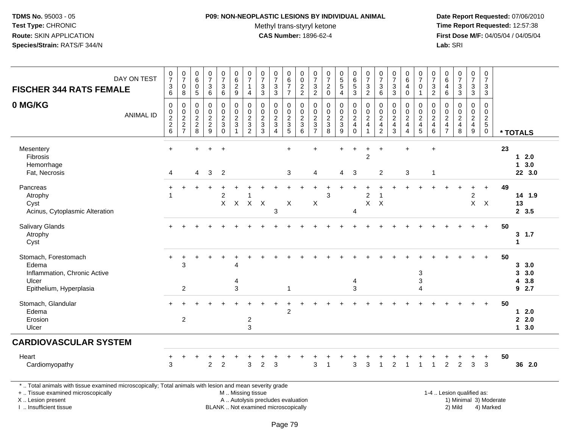## **P09: NON-NEOPLASTIC LESIONS BY INDIVIDUAL ANIMAL**

Methyl trans-styryl ketone<br>CAS Number: 1896-62-4

 **Date Report Requested:** 07/06/2010 **Time Report Requested:** 12:57:38 **First Dose M/F:** 04/05/04 / 04/05/04<br>**Lab:** SRI **Lab:** SRI

| <b>FISCHER 344 RATS FEMALE</b>                                                                           | DAY ON TEST      | $\frac{0}{7}$<br>3<br>6 | $\frac{0}{7}$<br>$\pmb{0}$<br>8     | $\begin{array}{c} 0 \\ 6 \end{array}$<br>$\pmb{0}$<br>$\overline{5}$     | $\frac{0}{7}$<br>$\ensuremath{\mathsf{3}}$<br>6                 | $\frac{0}{7}$<br>$\mathbf{3}$<br>$\,6\,$    | 0<br>$6\phantom{a}$<br>$\sqrt{2}$<br>9                    | $\frac{0}{7}$<br>$\mathbf{1}$<br>$\overline{4}$             | 0<br>$\boldsymbol{7}$<br>$\ensuremath{\mathsf{3}}$<br>$\mathbf{3}$             | $\frac{0}{7}$<br>$\ensuremath{\mathsf{3}}$<br>$\sqrt{3}$ | 0<br>$\,6\,$<br>$\boldsymbol{7}$<br>$\overline{7}$ | 0<br>$\mathbf 0$<br>$\sqrt{2}$<br>$\overline{2}$ | 0<br>$\overline{7}$<br>$\ensuremath{\mathsf{3}}$<br>$\overline{2}$ | 0<br>$\overline{7}$<br>$\sqrt{2}$<br>$\mathbf 0$ | $\begin{array}{c} 0 \\ 5 \\ 5 \end{array}$<br>$\overline{4}$ | $\begin{array}{c} 0 \\ 6 \end{array}$<br>$\sqrt{5}$<br>3      | $\frac{0}{7}$<br>$\sqrt{3}$<br>$\overline{2}$                             | $\pmb{0}$<br>$\overline{7}$<br>$\sqrt{3}$<br>6                                          | 0<br>$\overline{7}$<br>$\ensuremath{\mathsf{3}}$<br>$\mathbf{3}$ | $\begin{matrix} 0 \\ 6 \end{matrix}$<br>4<br>$\mathbf 0$                              | $\frac{0}{7}$<br>$\mathsf{O}$<br>$\mathbf{1}$    | $\begin{array}{c} 0 \\ 7 \end{array}$<br>$\ensuremath{\mathsf{3}}$<br>$\overline{2}$ | $\begin{array}{c} 0 \\ 6 \end{array}$<br>$\overline{4}$<br>6   | $\begin{smallmatrix}0\\7\end{smallmatrix}$<br>$\sqrt{3}$<br>$\mathbf{3}$ | $\frac{0}{7}$<br>$\mathbf{3}$<br>3                                                                              | 0<br>$\overline{7}$<br>$\mathbf{3}$<br>3       |    |                                   |
|----------------------------------------------------------------------------------------------------------|------------------|-------------------------|-------------------------------------|--------------------------------------------------------------------------|-----------------------------------------------------------------|---------------------------------------------|-----------------------------------------------------------|-------------------------------------------------------------|--------------------------------------------------------------------------------|----------------------------------------------------------|----------------------------------------------------|--------------------------------------------------|--------------------------------------------------------------------|--------------------------------------------------|--------------------------------------------------------------|---------------------------------------------------------------|---------------------------------------------------------------------------|-----------------------------------------------------------------------------------------|------------------------------------------------------------------|---------------------------------------------------------------------------------------|--------------------------------------------------|--------------------------------------------------------------------------------------|----------------------------------------------------------------|--------------------------------------------------------------------------|-----------------------------------------------------------------------------------------------------------------|------------------------------------------------|----|-----------------------------------|
| 0 MG/KG                                                                                                  | <b>ANIMAL ID</b> | $\pmb{0}$<br>0 2 2 6    | 0<br>$\frac{0}{2}$<br>$\frac{2}{7}$ | $\mathbf 0$<br>$\mathbf 0$<br>$\begin{array}{c} 2 \\ 2 \\ 8 \end{array}$ | $\mathbf 0$<br>$\pmb{0}$<br>$\sqrt{2}$<br>$\boldsymbol{2}$<br>9 | 0<br>$\pmb{0}$<br>$\frac{2}{3}$<br>$\Omega$ | $\pmb{0}$<br>$\pmb{0}$<br>$\frac{2}{3}$<br>$\overline{1}$ | $\mathbf 0$<br>$\pmb{0}$<br>$\frac{2}{3}$<br>$\overline{2}$ | $\mathbf 0$<br>$\mathbf 0$<br>$\overline{c}$<br>$\ensuremath{\mathsf{3}}$<br>3 | $\mathbf 0$<br>$\pmb{0}$<br>$\frac{2}{3}$<br>$\Delta$    | 0<br>$\pmb{0}$<br>$\frac{2}{3}$<br>5               | $\mathbf 0$<br>$\,0\,$<br>$\frac{2}{3}$<br>6     | $\mathbf 0$<br>$\pmb{0}$<br>$\frac{2}{3}$<br>$\overline{7}$        | $\mathbf 0$<br>$\pmb{0}$<br>$\frac{2}{3}$<br>8   | 0<br>$\pmb{0}$<br>$\frac{2}{3}$<br>9                         | 0<br>$\pmb{0}$<br>$\sqrt{2}$<br>$\overline{4}$<br>$\mathbf 0$ | 0<br>$\pmb{0}$<br>$\sqrt{2}$<br>$\overline{\mathbf{4}}$<br>$\overline{1}$ | $\mathbf 0$<br>$\pmb{0}$<br>$\overline{2}$<br>$\overline{\mathbf{4}}$<br>$\overline{c}$ | 0<br>$\pmb{0}$<br>$\frac{2}{4}$<br>3                             | 0<br>$\pmb{0}$<br>$\overline{c}$<br>$\overline{\mathbf{4}}$<br>$\boldsymbol{\Lambda}$ | 0<br>$\frac{0}{2}$<br>5                          | $\mathbf 0$<br>$\pmb{0}$<br>$\sqrt{2}$<br>$\overline{\mathbf{4}}$<br>$\,6\,$         | 0<br>$\mathbf 0$<br>$\begin{array}{c} 2 \\ 4 \\ 7 \end{array}$ | $\mathbf 0$<br>$\mathsf 0$<br>$\frac{2}{4}$                              | $\mathbf 0$<br>$\pmb{0}$<br>$\frac{2}{4}$<br>9                                                                  | 0<br>$\pmb{0}$<br>$\frac{2}{5}$<br>$\mathbf 0$ |    | * TOTALS                          |
| Mesentery<br>Fibrosis<br>Hemorrhage<br>Fat, Necrosis                                                     |                  | $+$<br>$\overline{4}$   |                                     | $\ddot{}$<br>4                                                           | $\ddot{}$<br>3                                                  | $\ddot{}$<br>$\overline{2}$                 |                                                           |                                                             |                                                                                |                                                          | $+$<br>3                                           |                                                  | $\ddot{}$<br>4                                                     |                                                  | $\ddot{}$<br>$\overline{4}$                                  | $\ddot{}$<br>$\mathbf{3}$                                     | $\ddot{}$<br>$\overline{2}$                                               | $\ddot{}$<br>$\overline{c}$                                                             |                                                                  | $\ddot{}$<br>$\sqrt{3}$                                                               |                                                  | $\ddot{}$<br>$\overline{1}$                                                          |                                                                |                                                                          |                                                                                                                 |                                                | 23 | $1 \quad 2.0$<br>13.0<br>22 3.0   |
| Pancreas<br>Atrophy<br>Cyst<br>Acinus, Cytoplasmic Alteration                                            |                  |                         |                                     |                                                                          |                                                                 | $\overline{2}$<br>$X -$                     | $\mathsf{X}$                                              | X X                                                         |                                                                                | 3                                                        | $\mathsf X$                                        |                                                  | X                                                                  | 3                                                |                                                              | $\overline{4}$                                                | $\overline{\mathbf{c}}$<br>$\boldsymbol{\mathsf{X}}$                      | 1<br>X                                                                                  |                                                                  |                                                                                       |                                                  |                                                                                      |                                                                |                                                                          | $\overline{2}$                                                                                                  | $\ddot{}$<br>$X$ $X$                           | 49 | 14 1.9<br>13<br>2, 3.5            |
| Salivary Glands<br>Atrophy<br>Cyst                                                                       |                  |                         |                                     |                                                                          |                                                                 |                                             |                                                           |                                                             |                                                                                |                                                          |                                                    |                                                  |                                                                    |                                                  |                                                              |                                                               |                                                                           |                                                                                         |                                                                  |                                                                                       |                                                  |                                                                                      |                                                                |                                                                          |                                                                                                                 | $\ddot{}$                                      | 50 | 3, 1.7<br>$\mathbf 1$             |
| Stomach, Forestomach<br>Edema<br>Inflammation, Chronic Active<br>Ulcer<br>Epithelium, Hyperplasia        |                  |                         | 3<br>2                              |                                                                          |                                                                 |                                             | 4<br>3                                                    |                                                             |                                                                                |                                                          | 1                                                  |                                                  |                                                                    |                                                  |                                                              | 4<br>3                                                        |                                                                           |                                                                                         |                                                                  |                                                                                       | $\ensuremath{\mathsf{3}}$<br>3<br>$\overline{A}$ |                                                                                      |                                                                |                                                                          |                                                                                                                 |                                                | 50 | 3, 3.0<br>3, 3.0<br>4 3.8<br>92.7 |
| Stomach, Glandular<br>Edema<br>Erosion<br>Ulcer                                                          |                  | $+$                     | $\overline{c}$                      |                                                                          |                                                                 |                                             |                                                           | $\overline{c}$<br>3                                         |                                                                                |                                                          | $\overline{c}$                                     |                                                  |                                                                    |                                                  |                                                              |                                                               |                                                                           |                                                                                         |                                                                  |                                                                                       |                                                  |                                                                                      |                                                                |                                                                          |                                                                                                                 | $+$                                            | 50 | $12.0$<br>2.2.0<br>13.0           |
| <b>CARDIOVASCULAR SYSTEM</b>                                                                             |                  |                         |                                     |                                                                          |                                                                 |                                             |                                                           |                                                             |                                                                                |                                                          |                                                    |                                                  |                                                                    |                                                  |                                                              |                                                               |                                                                           |                                                                                         |                                                                  |                                                                                       |                                                  |                                                                                      |                                                                |                                                                          |                                                                                                                 |                                                |    |                                   |
| Heart<br>Cardiomyopathy                                                                                  |                  | ÷<br>3                  |                                     |                                                                          | $\overline{2}$                                                  | $\overline{2}$                              |                                                           | 3                                                           | 2                                                                              | 3                                                        |                                                    |                                                  | 3                                                                  |                                                  |                                                              | 3                                                             | 3                                                                         | 1                                                                                       | $\overline{2}$                                                   |                                                                                       |                                                  | $\mathbf{1}$                                                                         | $\overline{2}$                                                 | $\overline{2}$                                                           | $\ddot{}$<br>$\mathbf{3}$                                                                                       | $\ddot{}$<br>3                                 | 50 | 36 2.0                            |
| *  Total animals with tissue examined microscopically; Total animals with lesion and mean severity grade |                  |                         |                                     |                                                                          |                                                                 |                                             |                                                           |                                                             |                                                                                |                                                          |                                                    |                                                  |                                                                    |                                                  |                                                              |                                                               |                                                                           |                                                                                         |                                                                  |                                                                                       |                                                  |                                                                                      |                                                                |                                                                          | the contract of the contract of the contract of the contract of the contract of the contract of the contract of |                                                |    |                                   |

+ .. Tissue examined microscopicallyX .. Lesion present

I .. Insufficient tissue

 M .. Missing tissueA .. Autolysis precludes evaluation

BLANK .. Not examined microscopically 2) Mild 4) Marked

1-4 .. Lesion qualified as: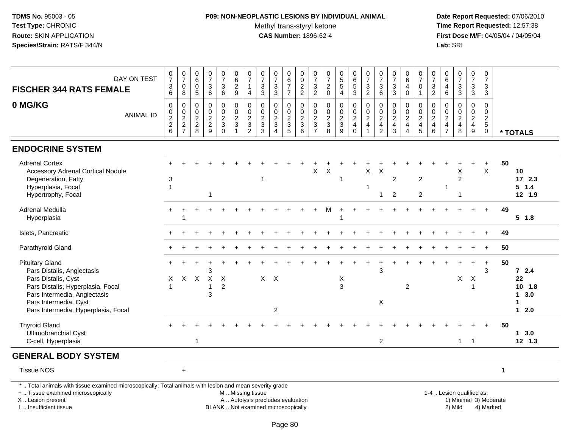# **P09: NON-NEOPLASTIC LESIONS BY INDIVIDUAL ANIMAL**

Methyl trans-styryl ketone<br>CAS Number: 1896-62-4

| DAY ON TEST<br><b>FISCHER 344 RATS FEMALE</b>                                                                                                                                                                    | $\begin{array}{c} 0 \\ 7 \end{array}$<br>$\frac{3}{6}$    | $\begin{array}{c} 0 \\ 7 \end{array}$<br>$\boldsymbol{0}$<br>8      | 0<br>$\overline{6}$<br>$\boldsymbol{0}$<br>5 | $\begin{array}{c} 0 \\ 7 \end{array}$<br>3<br>$\,6\,$         | $\frac{0}{7}$<br>$\frac{3}{6}$                             | $\pmb{0}$<br>$\overline{6}$<br>$\frac{2}{9}$                                                  | $\frac{0}{7}$<br>$\mathbf{1}$<br>$\overline{4}$ | $\pmb{0}$<br>$\overline{7}$<br>$\ensuremath{\mathsf{3}}$<br>$\mathbf{3}$ | $\frac{0}{7}$<br>$\sqrt{3}$<br>$\mathbf{3}$                                | $_6^0$<br>$\overline{7}$<br>$\overline{7}$ | $_{\rm 0}^{\rm 0}$<br>$\frac{2}{2}$                       | $\frac{0}{7}$<br>$\frac{3}{2}$            | $\begin{array}{c} 0 \\ 7 \end{array}$<br>$^2_{\rm 0}$ | $\begin{array}{c} 0 \\ 5 \\ 5 \end{array}$<br>$\overline{4}$ | $\begin{array}{c} 0 \\ 6 \end{array}$<br>$\frac{5}{3}$              | $\begin{array}{c} 0 \\ 7 \end{array}$<br>$\frac{3}{2}$                              | $\frac{0}{7}$<br>$\mathfrak{S}$<br>6                                       | $\frac{0}{7}$<br>$\sqrt{3}$<br>3                           | $\mathbf 0$<br>$\overline{6}$<br>$\overline{4}$<br>$\mathbf 0$                                 | 0<br>$\overline{7}$<br>$\pmb{0}$<br>$\mathbf{1}$ | $\begin{array}{c} 0 \\ 7 \end{array}$<br>$\frac{3}{2}$                             | 0<br>$\overline{6}$<br>$\overline{4}$<br>6       | $\begin{smallmatrix}0\\7\end{smallmatrix}$<br>$\frac{3}{3}$ | $\begin{array}{c} 0 \\ 7 \end{array}$<br>$\sqrt{3}$<br>$\overline{3}$               | $\mathbf 0$<br>$\overline{7}$<br>$\frac{3}{3}$                   |                        |                                                           |
|------------------------------------------------------------------------------------------------------------------------------------------------------------------------------------------------------------------|-----------------------------------------------------------|---------------------------------------------------------------------|----------------------------------------------|---------------------------------------------------------------|------------------------------------------------------------|-----------------------------------------------------------------------------------------------|-------------------------------------------------|--------------------------------------------------------------------------|----------------------------------------------------------------------------|--------------------------------------------|-----------------------------------------------------------|-------------------------------------------|-------------------------------------------------------|--------------------------------------------------------------|---------------------------------------------------------------------|-------------------------------------------------------------------------------------|----------------------------------------------------------------------------|------------------------------------------------------------|------------------------------------------------------------------------------------------------|--------------------------------------------------|------------------------------------------------------------------------------------|--------------------------------------------------|-------------------------------------------------------------|-------------------------------------------------------------------------------------|------------------------------------------------------------------|------------------------|-----------------------------------------------------------|
| 0 MG/KG<br><b>ANIMAL ID</b>                                                                                                                                                                                      | $\pmb{0}$<br>$\pmb{0}$<br>$\overline{2}$<br>$\frac{2}{6}$ | $\boldsymbol{0}$<br>$\begin{array}{c} 0 \\ 2 \\ 2 \\ 7 \end{array}$ | 0<br>0<br>$\overline{c}$<br>$_{\rm 8}^2$     | $\mathbf 0$<br>$\mathbf 0$<br>$\overline{2}$<br>$\frac{2}{9}$ | $\pmb{0}$<br>$\boldsymbol{0}$<br>$\frac{2}{3}$<br>$\Omega$ | $\mathsf 0$<br>$\mathbf 0$<br>$\overline{2}$<br>$\mathsf 3$<br>$\overline{1}$                 | $\pmb{0}$<br>$\boldsymbol{0}$<br>$\frac{2}{3}$  | $\pmb{0}$<br>$\mathbf 0$<br>$\sqrt{2}$<br>$\sqrt{3}$<br>$\mathbf{3}$     | $\pmb{0}$<br>$\mathbf 0$<br>$\overline{2}$<br>$\sqrt{3}$<br>$\overline{4}$ | 0<br>$\mathbf 0$<br>$\frac{2}{3}$<br>5     | $\pmb{0}$<br>$\mathsf{O}$<br>$\frac{2}{3}$<br>$6^{\circ}$ | $\mathsf 0$<br>$\pmb{0}$<br>$\frac{2}{3}$ | $\pmb{0}$<br>$0$<br>$3$<br>$8$                        | $\pmb{0}$<br>$\mathbf 0$<br>$\frac{2}{3}$<br>$\overline{9}$  | 0<br>$\mathbf 0$<br>$\overline{2}$<br>$\overline{4}$<br>$\mathbf 0$ | $\mathbf 0$<br>$\overline{0}$<br>$\overline{2}$<br>$\overline{4}$<br>$\overline{1}$ | $\pmb{0}$<br>$\begin{smallmatrix} 0\\2 \end{smallmatrix}$<br>$\frac{4}{2}$ | $\Omega$<br>$\mathbf 0$<br>$\overline{2}$<br>$\frac{4}{3}$ | $\Omega$<br>$\mathbf 0$<br>$\overline{2}$<br>$\overline{\mathbf{4}}$<br>$\boldsymbol{\Lambda}$ | $\Omega$<br>0<br>$\overline{2}$<br>$\frac{4}{5}$ | $\Omega$<br>$\mathbf 0$<br>$\overline{2}$<br>$\begin{array}{c} 4 \\ 6 \end{array}$ | $\Omega$<br>0<br>$\overline{c}$<br>$\frac{4}{7}$ | $\pmb{0}$<br>$\mathbf 0$<br>$\frac{2}{4}$                   | $\pmb{0}$<br>$\mathbf 0$<br>$\overline{2}$<br>$\begin{array}{c} 4 \\ 9 \end{array}$ | $\mathsf{O}\xspace$<br>$\mathbf 0$<br>$rac{2}{5}$<br>$\mathbf 0$ |                        | * TOTALS                                                  |
| <b>ENDOCRINE SYSTEM</b>                                                                                                                                                                                          |                                                           |                                                                     |                                              |                                                               |                                                            |                                                                                               |                                                 |                                                                          |                                                                            |                                            |                                                           |                                           |                                                       |                                                              |                                                                     |                                                                                     |                                                                            |                                                            |                                                                                                |                                                  |                                                                                    |                                                  |                                                             |                                                                                     |                                                                  |                        |                                                           |
| <b>Adrenal Cortex</b><br><b>Accessory Adrenal Cortical Nodule</b><br>Degeneration, Fatty<br>Hyperplasia, Focal<br>Hypertrophy, Focal                                                                             | 3<br>$\overline{1}$                                       |                                                                     |                                              | -1                                                            |                                                            |                                                                                               |                                                 | -1                                                                       |                                                                            |                                            |                                                           | $\pmb{\times}$                            | $\mathsf X$                                           | 1                                                            |                                                                     | $\pmb{\times}$<br>-1                                                                | $\times$<br>$\mathbf{1}$                                                   | $\overline{2}$<br>$\overline{2}$                           |                                                                                                | $\overline{c}$<br>$\overline{c}$                 |                                                                                    | 1                                                | X<br>$\overline{2}$                                         |                                                                                     | $\ddot{}$<br>$\pmb{\times}$                                      | 50                     | 10<br>17 2.3<br>$5 \t1.4$<br>12 1.9                       |
| Adrenal Medulla<br>Hyperplasia                                                                                                                                                                                   | $\ddot{}$                                                 |                                                                     |                                              |                                                               |                                                            |                                                                                               |                                                 |                                                                          |                                                                            |                                            |                                                           |                                           | м                                                     |                                                              |                                                                     |                                                                                     |                                                                            |                                                            |                                                                                                |                                                  |                                                                                    |                                                  |                                                             |                                                                                     | $+$                                                              | 49                     | $5 \t1.8$                                                 |
| Islets, Pancreatic                                                                                                                                                                                               |                                                           |                                                                     |                                              |                                                               |                                                            |                                                                                               |                                                 |                                                                          |                                                                            |                                            |                                                           |                                           |                                                       |                                                              |                                                                     |                                                                                     |                                                                            |                                                            |                                                                                                |                                                  |                                                                                    |                                                  |                                                             |                                                                                     |                                                                  | 49                     |                                                           |
| Parathyroid Gland                                                                                                                                                                                                |                                                           |                                                                     |                                              |                                                               |                                                            |                                                                                               |                                                 |                                                                          |                                                                            |                                            |                                                           |                                           |                                                       |                                                              |                                                                     |                                                                                     |                                                                            |                                                            |                                                                                                |                                                  |                                                                                    |                                                  |                                                             |                                                                                     |                                                                  | 50                     |                                                           |
| <b>Pituitary Gland</b><br>Pars Distalis, Angiectasis<br>Pars Distalis, Cyst<br>Pars Distalis, Hyperplasia, Focal<br>Pars Intermedia, Angiectasis<br>Pars Intermedia, Cyst<br>Pars Intermedia, Hyperplasia, Focal | X<br>1                                                    | $\sf X$                                                             | $\sf X$                                      | X<br>3                                                        | X<br>$\overline{2}$                                        |                                                                                               |                                                 |                                                                          | $X$ $X$<br>$\overline{c}$                                                  |                                            |                                                           |                                           |                                                       | X<br>3                                                       |                                                                     |                                                                                     | 3<br>X                                                                     |                                                            | 2                                                                                              |                                                  |                                                                                    |                                                  | X                                                           | Χ<br>1                                                                              | $+$<br>3                                                         | 50                     | 72.4<br>22<br>$10$ 1.8<br>3.0<br>$\mathbf 1$<br>1<br>12.0 |
| <b>Thyroid Gland</b><br>Ultimobranchial Cyst<br>C-cell, Hyperplasia                                                                                                                                              |                                                           |                                                                     | $\mathbf{1}$                                 |                                                               |                                                            |                                                                                               |                                                 |                                                                          |                                                                            |                                            |                                                           |                                           |                                                       |                                                              |                                                                     |                                                                                     | $\overline{2}$                                                             |                                                            |                                                                                                |                                                  |                                                                                    |                                                  | $\mathbf{1}$                                                | $\overline{1}$                                                                      |                                                                  | 50                     | $1 \quad 3.0$<br>$12$ 1.3                                 |
| <b>GENERAL BODY SYSTEM</b>                                                                                                                                                                                       |                                                           |                                                                     |                                              |                                                               |                                                            |                                                                                               |                                                 |                                                                          |                                                                            |                                            |                                                           |                                           |                                                       |                                                              |                                                                     |                                                                                     |                                                                            |                                                            |                                                                                                |                                                  |                                                                                    |                                                  |                                                             |                                                                                     |                                                                  |                        |                                                           |
| <b>Tissue NOS</b>                                                                                                                                                                                                |                                                           | $+$                                                                 |                                              |                                                               |                                                            |                                                                                               |                                                 |                                                                          |                                                                            |                                            |                                                           |                                           |                                                       |                                                              |                                                                     |                                                                                     |                                                                            |                                                            |                                                                                                |                                                  |                                                                                    |                                                  |                                                             |                                                                                     |                                                                  | $\mathbf{1}$           |                                                           |
| *  Total animals with tissue examined microscopically; Total animals with lesion and mean severity grade<br>+  Tissue examined microscopically<br>X  Lesion present<br>I  Insufficient tissue                    |                                                           |                                                                     |                                              |                                                               |                                                            | M  Missing tissue<br>A  Autolysis precludes evaluation<br>BLANK  Not examined microscopically |                                                 |                                                                          |                                                                            |                                            |                                                           |                                           |                                                       |                                                              |                                                                     |                                                                                     |                                                                            |                                                            |                                                                                                |                                                  |                                                                                    |                                                  | 1-4  Lesion qualified as:<br>2) Mild                        |                                                                                     | 4) Marked                                                        | 1) Minimal 3) Moderate |                                                           |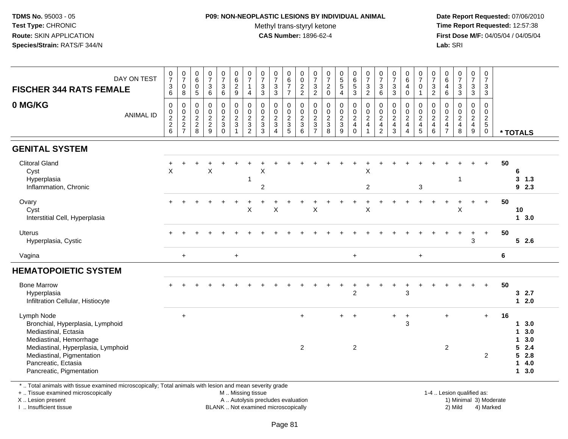### **P09: NON-NEOPLASTIC LESIONS BY INDIVIDUAL ANIMAL**Methyl trans-styryl ketone<br>CAS Number: 1896-62-4

 **Date Report Requested:** 07/06/2010 **Time Report Requested:** 12:57:38 **First Dose M/F:** 04/05/04 / 04/05/04<br>**Lab:** SRI **Lab:** SRI

| DAY ON TEST<br><b>FISCHER 344 RATS FEMALE</b>                                                                      | $\frac{0}{7}$<br>$\sqrt{3}$<br>6 | $\frac{0}{7}$<br>0<br>$\,8\,$   | $\begin{array}{c} 0 \\ 6 \end{array}$<br>$\mathbf 0$<br>$\sqrt{5}$ | $\frac{0}{7}$<br>3<br>$\,6\,$                       | $\begin{array}{c} 0 \\ 7 \\ 3 \end{array}$<br>$6\overline{6}$ | 0629                         | $\frac{0}{7}$<br>$\mathbf{1}$<br>$\overline{4}$     | $\begin{array}{c} 0 \\ 7 \end{array}$<br>$\frac{3}{3}$ | $\begin{array}{c} 0 \\ 7 \end{array}$<br>$\frac{3}{3}$    | 0<br>$\overline{6}$<br>$\overline{7}$<br>$\overline{7}$ | 0<br>$\overline{0}$<br>$\frac{2}{2}$              | $\frac{0}{7}$<br>$\ensuremath{\mathsf{3}}$<br>$\overline{2}$               | $\frac{0}{7}$<br>$^2_{\rm 0}$        | $\frac{0}{5}$<br>5<br>5<br>4                   | 0<br>6<br>5<br>3               | $\frac{0}{7}$<br>$\ensuremath{\mathsf{3}}$<br>$\overline{2}$ | $\frac{0}{7}$<br>$\frac{3}{6}$       | $\frac{0}{7}$<br>$\sqrt{3}$<br>$\mathfrak{Z}$           | $\begin{array}{c} 0 \\ 6 \end{array}$<br>$\overline{4}$<br>$\mathbf 0$ | $\frac{0}{7}$<br>$\mathbf 0$<br>1                       | $\frac{0}{7}$<br>$\frac{3}{2}$ | $\begin{matrix} 0 \\ 6 \\ 4 \end{matrix}$<br>6                    | $\begin{smallmatrix}0\\7\end{smallmatrix}$<br>$\frac{3}{3}$ | $\begin{array}{c} 0 \\ 7 \end{array}$<br>$\frac{3}{3}$         | 0<br>$\overline{7}$<br>3<br>3                         |         |                                                     |  |
|--------------------------------------------------------------------------------------------------------------------|----------------------------------|---------------------------------|--------------------------------------------------------------------|-----------------------------------------------------|---------------------------------------------------------------|------------------------------|-----------------------------------------------------|--------------------------------------------------------|-----------------------------------------------------------|---------------------------------------------------------|---------------------------------------------------|----------------------------------------------------------------------------|--------------------------------------|------------------------------------------------|--------------------------------|--------------------------------------------------------------|--------------------------------------|---------------------------------------------------------|------------------------------------------------------------------------|---------------------------------------------------------|--------------------------------|-------------------------------------------------------------------|-------------------------------------------------------------|----------------------------------------------------------------|-------------------------------------------------------|---------|-----------------------------------------------------|--|
| 0 MG/KG<br><b>ANIMAL ID</b>                                                                                        | $\mathsf 0$<br>$0$<br>$2$<br>$6$ | $\pmb{0}$<br>$\frac{0}{2}$<br>7 | $\pmb{0}$<br>$\mathbf 0$<br>$\frac{2}{2}$<br>8                     | 0<br>$\pmb{0}$<br>$\frac{2}{2}$<br>$\boldsymbol{9}$ | 0<br>$\frac{0}{2}$<br>$\Omega$                                | 0<br>0<br>$\frac{2}{3}$<br>1 | 0<br>$\mathbf 0$<br>$\frac{2}{3}$<br>$\overline{2}$ | 0<br>$\pmb{0}$<br>$\frac{2}{3}$<br>3                   | 0<br>$\pmb{0}$<br>$\frac{2}{3}$<br>$\boldsymbol{\Lambda}$ | 0<br>$\boldsymbol{0}$<br>$\frac{2}{3}$<br>5             | $\mathbf 0$<br>0<br>$\sqrt{2}$<br>$\sqrt{3}$<br>6 | $\mathbf 0$<br>$\pmb{0}$<br>$\overline{2}$<br>$\sqrt{3}$<br>$\overline{7}$ | 0<br>$\pmb{0}$<br>$\frac{2}{3}$<br>8 | 0<br>$\mathsf{O}\xspace$<br>$\frac{2}{3}$<br>9 | 0<br>$\frac{0}{2}$<br>$\Omega$ | $\mathbf 0$<br>$\pmb{0}$<br>$\overline{2}$<br>$\overline{4}$ | 0<br>$\frac{0}{2}$<br>$\overline{2}$ | 0<br>$\pmb{0}$<br>$\overline{2}$<br>$\overline{4}$<br>3 | 0<br>$\pmb{0}$<br>$\frac{2}{4}$<br>$\overline{4}$                      | 0<br>$\pmb{0}$<br>$\overline{2}$<br>$\overline{4}$<br>5 | 0<br>$\frac{0}{2}$<br>6        | 0<br>$\begin{array}{c} 0 \\ 2 \\ 4 \end{array}$<br>$\overline{7}$ | 0<br>$\frac{0}{2}$<br>8                                     | $\mathbf 0$<br>$\begin{array}{c} 0 \\ 2 \\ 4 \end{array}$<br>9 | 0<br>0<br>$\overline{2}$<br>$\sqrt{5}$<br>$\mathsf 0$ |         | * TOTALS                                            |  |
| <b>GENITAL SYSTEM</b>                                                                                              |                                  |                                 |                                                                    |                                                     |                                                               |                              |                                                     |                                                        |                                                           |                                                         |                                                   |                                                                            |                                      |                                                |                                |                                                              |                                      |                                                         |                                                                        |                                                         |                                |                                                                   |                                                             |                                                                |                                                       |         |                                                     |  |
| <b>Clitoral Gland</b><br>Cyst<br>Hyperplasia<br>Inflammation, Chronic                                              | $\pmb{\times}$                   |                                 |                                                                    | X                                                   |                                                               |                              | $\mathbf{1}$                                        | X<br>$\overline{2}$                                    |                                                           |                                                         |                                                   |                                                                            |                                      |                                                |                                | X<br>$\overline{2}$                                          |                                      |                                                         |                                                                        | 3                                                       |                                |                                                                   | $\mathbf 1$                                                 |                                                                |                                                       | 50      | 6<br>3<br>1.3<br>92.3                               |  |
| Ovary<br>Cyst<br>Interstitial Cell, Hyperplasia                                                                    |                                  |                                 |                                                                    |                                                     |                                                               |                              | X                                                   |                                                        | $\pmb{\mathsf{X}}$                                        |                                                         |                                                   | X                                                                          |                                      |                                                |                                | $\ddot{}$<br>X                                               |                                      |                                                         |                                                                        |                                                         |                                | $\ddot{}$                                                         | X                                                           |                                                                | $+$                                                   | 50      | 10<br>13.0                                          |  |
| <b>Uterus</b><br>Hyperplasia, Cystic                                                                               |                                  |                                 |                                                                    |                                                     |                                                               |                              |                                                     |                                                        |                                                           |                                                         |                                                   |                                                                            |                                      |                                                |                                |                                                              |                                      |                                                         |                                                                        |                                                         |                                |                                                                   |                                                             | $\ddot{}$<br>3                                                 | $+$                                                   | 50      | 52.6                                                |  |
| Vagina                                                                                                             |                                  | $\ddot{}$                       |                                                                    |                                                     |                                                               | $\ddot{}$                    |                                                     |                                                        |                                                           |                                                         |                                                   |                                                                            |                                      |                                                | $\pmb{+}$                      |                                                              |                                      |                                                         |                                                                        | $\ddot{}$                                               |                                |                                                                   |                                                             |                                                                |                                                       | $\bf 6$ |                                                     |  |
| <b>HEMATOPOIETIC SYSTEM</b>                                                                                        |                                  |                                 |                                                                    |                                                     |                                                               |                              |                                                     |                                                        |                                                           |                                                         |                                                   |                                                                            |                                      |                                                |                                |                                                              |                                      |                                                         |                                                                        |                                                         |                                |                                                                   |                                                             |                                                                |                                                       |         |                                                     |  |
| <b>Bone Marrow</b><br>Hyperplasia<br>Infiltration Cellular, Histiocyte                                             |                                  |                                 |                                                                    |                                                     |                                                               |                              |                                                     |                                                        |                                                           |                                                         |                                                   |                                                                            |                                      |                                                | $\overline{c}$                 |                                                              |                                      |                                                         | 3                                                                      |                                                         |                                |                                                                   |                                                             |                                                                | $+$                                                   | 50      | 32.7<br>$12.0$                                      |  |
| Lymph Node<br>Bronchial, Hyperplasia, Lymphoid<br>Mediastinal, Ectasia<br>Mediastinal, Hemorrhage                  |                                  | $\ddot{}$                       |                                                                    |                                                     |                                                               |                              |                                                     |                                                        |                                                           |                                                         | $\ddot{}$<br>2                                    |                                                                            |                                      | $+$                                            | $\ddot{}$<br>$\overline{2}$    |                                                              |                                      | $+$                                                     | $\ddot{}$<br>3                                                         |                                                         |                                | $\ddot{}$<br>$\overline{2}$                                       |                                                             |                                                                | $+$                                                   | 16      | 3.0<br>$\mathbf 1$<br>3.0<br>-1<br>3.0<br>1<br>52.4 |  |
| Mediastinal, Hyperplasia, Lymphoid<br>Mediastinal, Pigmentation<br>Pancreatic, Ectasia<br>Pancreatic, Pigmentation |                                  |                                 |                                                                    |                                                     |                                                               |                              |                                                     |                                                        |                                                           |                                                         |                                                   |                                                                            |                                      |                                                |                                |                                                              |                                      |                                                         |                                                                        |                                                         |                                |                                                                   |                                                             |                                                                | 2                                                     |         | 52.8<br>4.0<br>$\mathbf{1}$<br>3.0<br>$\mathbf{1}$  |  |

+ .. Tissue examined microscopically

X .. Lesion present

I .. Insufficient tissue

M .. Missing tissue

BLANK .. Not examined microscopically

 1-4 .. Lesion qualified as: A .. Autolysis precludes evaluation 19 and 10 minimal 3) Moderate 1 and 20 minimal 3) Moderate 19 minimal 3) Moderat<br>19 and 19 and 19 and 19 and 19 and 19 and 19 and 19 and 19 and 19 and 19 and 19 and 19 and 19 and 19 and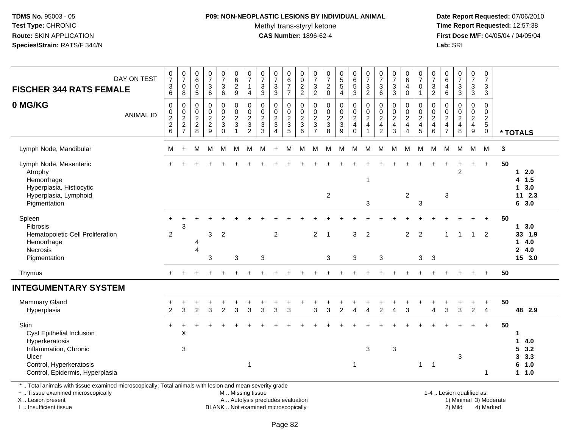## **P09: NON-NEOPLASTIC LESIONS BY INDIVIDUAL ANIMAL**

Methyl trans-styryl ketone<br>CAS Number: 1896-62-4

 **Date Report Requested:** 07/06/2010 **Time Report Requested:** 12:57:38 **First Dose M/F:** 04/05/04 / 04/05/04<br>Lab: SRI **Lab:** SRI

| <b>FISCHER 344 RATS FEMALE</b>                                                                                                                                      | DAY ON TEST      | $\frac{0}{7}$<br>$\ensuremath{\mathsf{3}}$<br>6 | $\frac{0}{7}$<br>$\pmb{0}$<br>8   | $\begin{array}{c} 0 \\ 6 \end{array}$<br>0<br>$\sqrt{5}$ | $\frac{0}{7}$<br>$\ensuremath{\mathsf{3}}$<br>6 | $\frac{0}{7}$<br>$\ensuremath{\mathsf{3}}$<br>$6\phantom{1}6$ | 0<br>$6\phantom{a}$<br>$\overline{c}$<br>9             | $\frac{0}{7}$<br>$\mathbf{1}$<br>$\overline{4}$                    | $\frac{0}{7}$<br>$\ensuremath{\mathsf{3}}$<br>$\mathbf{3}$ | $\frac{0}{7}$<br>$\frac{3}{3}$       | 0<br>$\overline{6}$<br>$\overline{7}$<br>$\overline{7}$ | 0<br>$\overline{0}$<br>$\frac{2}{2}$               | 0<br>$\overline{7}$<br>$\ensuremath{\mathsf{3}}$<br>$\overline{2}$ | $\frac{0}{7}$<br>$\sqrt{2}$<br>$\mathbf 0$          | $\begin{array}{c} 0 \\ 5 \\ 5 \end{array}$<br>$\overline{4}$ | $\begin{array}{c} 0 \\ 6 \end{array}$<br>$\frac{5}{3}$ | $\frac{0}{7}$<br>$\sqrt{3}$<br>$\overline{2}$       | $\frac{0}{7}$<br>$\mathbf{3}$<br>6                         | $\frac{0}{7}$<br>$\ensuremath{\mathsf{3}}$<br>3  | $_{\rm 6}^{\rm 0}$<br>$\overline{4}$<br>$\mathbf 0$   | $\frac{0}{7}$<br>$\mathbf 0$<br>$\mathbf{1}$ | $\frac{0}{7}$<br>$\frac{3}{2}$                             | 0<br>6<br>$\overline{4}$<br>$6\phantom{1}6$         | $\frac{0}{7}$<br>$\ensuremath{\mathsf{3}}$<br>$\mathbf{3}$ | $\frac{0}{7}$<br>$\mathbf{3}$<br>3                | 0<br>$\overline{7}$<br>$\mathbf{3}$<br>3                                 |    |                                                              |
|---------------------------------------------------------------------------------------------------------------------------------------------------------------------|------------------|-------------------------------------------------|-----------------------------------|----------------------------------------------------------|-------------------------------------------------|---------------------------------------------------------------|--------------------------------------------------------|--------------------------------------------------------------------|------------------------------------------------------------|--------------------------------------|---------------------------------------------------------|----------------------------------------------------|--------------------------------------------------------------------|-----------------------------------------------------|--------------------------------------------------------------|--------------------------------------------------------|-----------------------------------------------------|------------------------------------------------------------|--------------------------------------------------|-------------------------------------------------------|----------------------------------------------|------------------------------------------------------------|-----------------------------------------------------|------------------------------------------------------------|---------------------------------------------------|--------------------------------------------------------------------------|----|--------------------------------------------------------------|
| 0 MG/KG                                                                                                                                                             | <b>ANIMAL ID</b> | $\pmb{0}$<br>$\pmb{0}$<br>$\frac{2}{2}$ 6       | 0<br>$\mathbf 0$<br>$\frac{2}{7}$ | 0<br>0<br>$\frac{2}{8}$                                  | $\mathbf 0$<br>$\pmb{0}$<br>$\frac{2}{9}$       | 0<br>$\pmb{0}$<br>$\frac{2}{3}$<br>$\overline{0}$             | $\mathbf 0$<br>$\pmb{0}$<br>$\frac{2}{3}$<br>1         | $\Omega$<br>$\mathsf{O}\xspace$<br>$\frac{2}{3}$<br>$\overline{2}$ | $\Omega$<br>$\mathbf 0$<br>$\frac{2}{3}$<br>$\overline{3}$ | 0<br>$\pmb{0}$<br>$\frac{2}{3}$<br>4 | 0<br>$\mathsf 0$<br>$\frac{2}{3}$<br>$\overline{5}$     | $\Omega$<br>$\boldsymbol{0}$<br>$\frac{2}{3}$<br>6 | $\Omega$<br>$\mathbf 0$<br>$\frac{2}{3}$<br>$\overline{7}$         | 0<br>$\mathbf 0$<br>$\frac{2}{3}$<br>$\overline{8}$ | 0<br>$\pmb{0}$<br>$\frac{2}{3}$<br>$\overline{9}$            | 0<br>$\pmb{0}$<br>$\frac{2}{4}$<br>$\mathbf 0$         | 0<br>$\mathbf 0$<br>$\frac{2}{4}$<br>$\overline{1}$ | $\Omega$<br>$\mathbf 0$<br>$\frac{2}{4}$<br>$\overline{2}$ | $\Omega$<br>$\mathsf{O}\xspace$<br>$\frac{2}{3}$ | $\mathbf 0$<br>$\pmb{0}$<br>$\frac{2}{4}$<br>$\Delta$ | 0<br>0<br>$\frac{2}{4}$<br>5                 | $\Omega$<br>$\mathbf 0$<br>$\frac{2}{4}$<br>$6\phantom{a}$ | 0<br>$\mathbf 0$<br>$\frac{2}{4}$<br>$\overline{7}$ | $\Omega$<br>$\pmb{0}$<br>$\frac{2}{4}$<br>8                | $\mathbf 0$<br>$\mathsf{O}$<br>$\frac{2}{4}$<br>9 | $\mathbf 0$<br>$\mathbf 0$<br>$\begin{array}{c} 2 \\ 5 \\ 0 \end{array}$ |    | * TOTALS                                                     |
| Lymph Node, Mandibular                                                                                                                                              |                  | М                                               | $\ddot{}$                         | M                                                        | м                                               | М                                                             | M                                                      | M                                                                  | M                                                          | $\ddot{}$                            | M                                                       | M                                                  | M                                                                  | M                                                   | M                                                            | M                                                      | M                                                   | M                                                          | M                                                | M                                                     | M                                            | M                                                          | M                                                   | М                                                          | M                                                 | M                                                                        | 3  |                                                              |
| Lymph Node, Mesenteric<br>Atrophy<br>Hemorrhage<br>Hyperplasia, Histiocytic<br>Hyperplasia, Lymphoid<br>Pigmentation                                                |                  |                                                 |                                   |                                                          |                                                 |                                                               |                                                        |                                                                    |                                                            |                                      |                                                         |                                                    |                                                                    | $\overline{a}$                                      |                                                              |                                                        | $\mathbf{1}$<br>$\mathbf{3}$                        |                                                            |                                                  | $\overline{c}$                                        | $\mathbf{3}$                                 |                                                            | 3                                                   | 2                                                          | $\ddot{}$                                         | $+$                                                                      | 50 | $12.0$<br>4 1.5<br>13.0<br>112.3<br>6 3.0                    |
| Spleen<br><b>Fibrosis</b><br>Hematopoietic Cell Proliferation<br>Hemorrhage<br>Necrosis<br>Pigmentation                                                             |                  | $\overline{2}$                                  | 3                                 | 4<br>$\overline{4}$                                      | 3<br>3                                          | $\overline{2}$                                                | 3                                                      |                                                                    | 3                                                          | $\overline{2}$                       |                                                         |                                                    | 2                                                                  | $\overline{1}$<br>3                                 |                                                              | 3<br>3                                                 | $\overline{2}$                                      | 3                                                          |                                                  | $\overline{2}$                                        | 2<br>3                                       | -3                                                         | 1                                                   | -1                                                         | $\overline{1}$                                    | $\overline{2}$                                                           | 50 | 13.0<br>33 1.9<br>14.0<br>24.0<br>15 3.0                     |
| Thymus                                                                                                                                                              |                  |                                                 |                                   |                                                          |                                                 |                                                               |                                                        |                                                                    |                                                            |                                      |                                                         |                                                    |                                                                    |                                                     |                                                              |                                                        |                                                     |                                                            |                                                  |                                                       |                                              |                                                            |                                                     |                                                            |                                                   | $\ddot{}$                                                                | 50 |                                                              |
| <b>INTEGUMENTARY SYSTEM</b>                                                                                                                                         |                  |                                                 |                                   |                                                          |                                                 |                                                               |                                                        |                                                                    |                                                            |                                      |                                                         |                                                    |                                                                    |                                                     |                                                              |                                                        |                                                     |                                                            |                                                  |                                                       |                                              |                                                            |                                                     |                                                            |                                                   |                                                                          |    |                                                              |
| Mammary Gland<br>Hyperplasia                                                                                                                                        |                  | $\overline{2}$                                  | 3                                 | 2                                                        | 3                                               | $\overline{c}$                                                | 3                                                      | 3                                                                  | 3                                                          | 3                                    | 3                                                       |                                                    | 3                                                                  | 3                                                   | $\overline{2}$                                               | Δ                                                      | Δ                                                   | 2                                                          |                                                  | 3                                                     |                                              | Δ                                                          | 3                                                   | 3                                                          | $\overline{2}$                                    | $\ddot{}$<br>$\overline{4}$                                              | 50 | 48 2.9                                                       |
| Skin<br><b>Cyst Epithelial Inclusion</b><br>Hyperkeratosis<br>Inflammation, Chronic<br>Ulcer<br>Control, Hyperkeratosis<br>Control, Epidermis, Hyperplasia          |                  | $+$                                             | $\div$<br>X<br>3                  |                                                          |                                                 |                                                               |                                                        | $\mathbf{1}$                                                       |                                                            |                                      |                                                         |                                                    |                                                                    |                                                     |                                                              | $\mathbf 1$                                            | 3                                                   |                                                            | $\mathbf{3}$                                     |                                                       | $\mathbf 1$                                  | $\overline{1}$                                             |                                                     | 3                                                          |                                                   | $+$<br>1                                                                 | 50 | 1<br>4.0<br>1<br>5<br>3.2<br>3.3<br>3<br>6<br>1.0<br>$1 1.0$ |
| *  Total animals with tissue examined microscopically; Total animals with lesion and mean severity grade<br>+  Tissue examined microscopically<br>X  Lesion present |                  |                                                 |                                   |                                                          |                                                 |                                                               | M  Missing tissue<br>A  Autolysis precludes evaluation |                                                                    |                                                            |                                      |                                                         |                                                    |                                                                    |                                                     |                                                              |                                                        |                                                     |                                                            |                                                  |                                                       |                                              |                                                            |                                                     | 1-4  Lesion qualified as:<br>1) Minimal 3) Moderate        |                                                   |                                                                          |    |                                                              |

I .. Insufficient tissue

BLANK .. Not examined microscopically 2) Mild 4) Marked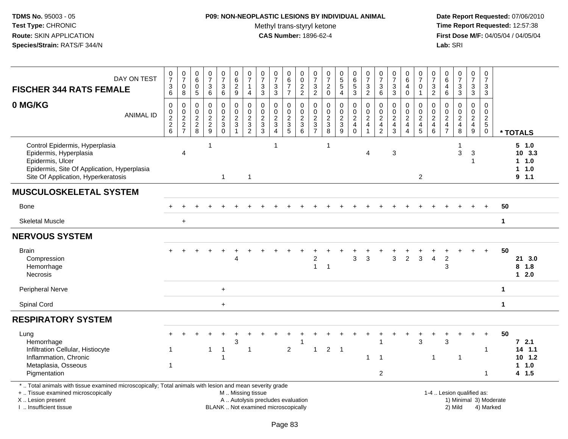### **P09: NON-NEOPLASTIC LESIONS BY INDIVIDUAL ANIMAL**Methyl trans-styryl ketone<br>CAS Number: 1896-62-4

| DAY ON TEST<br><b>FISCHER 344 RATS FEMALE</b>                                                                                                                                                 | $\frac{0}{7}$<br>$\ensuremath{\mathsf{3}}$<br>6  | $\frac{0}{7}$<br>$\pmb{0}$<br>8                   | $\begin{array}{c} 0 \\ 6 \end{array}$<br>$\pmb{0}$<br>5 | $\frac{0}{7}$<br>$\frac{3}{6}$          | $\boldsymbol{0}$<br>$\overline{7}$<br>$\frac{3}{6}$ | $\pmb{0}$<br>$\overline{6}$<br>$\frac{2}{9}$                           | $\mathbf 0$<br>$\overline{7}$<br>$\mathbf{1}$<br>$\overline{4}$ | $\frac{0}{7}$<br>$\frac{3}{3}$                              | $\frac{0}{7}$<br>$\frac{3}{3}$                                           | $_6^0$<br>$\overline{7}$<br>$\overline{7}$ | $\mathbf 0$<br>$\overline{0}$<br>$\frac{2}{2}$ | $\begin{smallmatrix}0\\7\end{smallmatrix}$<br>$\frac{3}{2}$ | $\begin{array}{c} 0 \\ 7 \end{array}$<br>$\boldsymbol{2}$<br>$\mathbf 0$ | $\begin{array}{c} 0 \\ 5 \\ 5 \end{array}$<br>$\overline{4}$ | $_{6}^{\rm 0}$<br>$\frac{5}{3}$                                | $\frac{0}{7}$<br>$\frac{3}{2}$                                    | $\frac{0}{7}$<br>$\ensuremath{\mathsf{3}}$<br>$\,6\,$         | $\begin{array}{c} 0 \\ 7 \end{array}$<br>$\frac{3}{3}$    | $\begin{array}{c} 0 \\ 6 \end{array}$<br>$\overline{\mathbf{4}}$<br>$\mathbf 0$ | $\frac{0}{7}$<br>$\pmb{0}$<br>$\mathbf{1}$    | 0<br>$\overline{7}$<br>$\frac{3}{2}$      | $_{6}^{\rm 0}$<br>$\overline{\mathbf{4}}$<br>6 | $\frac{0}{7}$<br>$\frac{3}{3}$                              | 0<br>$\overline{7}$<br>$\frac{3}{3}$ | $\mathbf 0$<br>$\overline{7}$<br>$\ensuremath{\mathsf{3}}$<br>3 |              |                                                    |
|-----------------------------------------------------------------------------------------------------------------------------------------------------------------------------------------------|--------------------------------------------------|---------------------------------------------------|---------------------------------------------------------|-----------------------------------------|-----------------------------------------------------|------------------------------------------------------------------------|-----------------------------------------------------------------|-------------------------------------------------------------|--------------------------------------------------------------------------|--------------------------------------------|------------------------------------------------|-------------------------------------------------------------|--------------------------------------------------------------------------|--------------------------------------------------------------|----------------------------------------------------------------|-------------------------------------------------------------------|---------------------------------------------------------------|-----------------------------------------------------------|---------------------------------------------------------------------------------|-----------------------------------------------|-------------------------------------------|------------------------------------------------|-------------------------------------------------------------|--------------------------------------|-----------------------------------------------------------------|--------------|----------------------------------------------------|
| 0 MG/KG<br><b>ANIMAL ID</b>                                                                                                                                                                   | $\boldsymbol{0}$<br>$\pmb{0}$<br>$\frac{2}{2}$ 6 | 0<br>$\pmb{0}$<br>$\overline{2}$<br>$\frac{2}{7}$ | 0<br>0<br>$\overline{2}$<br>$_{8}^2$                    | $\pmb{0}$<br>$\pmb{0}$<br>$\frac{2}{9}$ | 0<br>$\mathbf 0$<br>$\frac{2}{3}$                   | $\pmb{0}$<br>$\mathbf 0$<br>$\begin{array}{c} 2 \\ 3 \\ 1 \end{array}$ | $\pmb{0}$<br>$\mathbf 0$<br>$\sqrt{2}$<br>$\frac{3}{2}$         | $\pmb{0}$<br>$\mathbf 0$<br>$\overline{2}$<br>$\frac{3}{3}$ | 0<br>0<br>$\frac{2}{3}$                                                  | 0<br>$\mathbf 0$<br>$rac{2}{3}$            | $\mathbf 0$<br>$0$<br>$3$<br>$6$               | $\pmb{0}$<br>$\pmb{0}$<br>$rac{2}{3}$                       | 0<br>$\mathbf 0$<br>$\frac{2}{3}$                                        | 0<br>$\pmb{0}$<br>$\frac{2}{3}$                              | $\mathbf 0$<br>$\begin{array}{c} 0 \\ 2 \\ 4 \\ 0 \end{array}$ | $\mathsf 0$<br>$\pmb{0}$<br>$\overline{2}$<br>$\overline{4}$<br>1 | $\mathbf 0$<br>$\mathbf 0$<br>$\overline{2}$<br>$\frac{4}{2}$ | $\pmb{0}$<br>$\pmb{0}$<br>$\overline{2}$<br>$\frac{4}{3}$ | 0<br>$\mathsf{O}\xspace$<br>$\overline{2}$<br>$\overline{4}$<br>$\overline{4}$  | $\mathbf 0$<br>$\frac{0}{2}$<br>$\frac{4}{5}$ | 0<br>0<br>$\overline{c}$<br>$\frac{4}{6}$ | 0<br>$\mathsf{O}\xspace$<br>$\frac{2}{4}$      | $\mathsf 0$<br>$\pmb{0}$<br>$\overline{2}$<br>$\frac{4}{8}$ | 0<br>$\mathbf 0$<br>$\frac{2}{4}$    | $\Omega$<br>$\mathbf 0$<br>$\frac{2}{5}$                        |              | * TOTALS                                           |
| Control Epidermis, Hyperplasia<br>Epidermis, Hyperplasia<br>Epidermis, Ulcer<br>Epidermis, Site Of Application, Hyperplasia<br>Site Of Application, Hyperkeratosis                            |                                                  | $\overline{4}$                                    |                                                         | $\mathbf 1$                             | $\mathbf{1}$                                        |                                                                        | $\mathbf{1}$                                                    |                                                             | $\mathbf{1}$                                                             |                                            |                                                |                                                             | $\overline{1}$                                                           |                                                              |                                                                | $\overline{4}$                                                    |                                                               | 3                                                         |                                                                                 | $\overline{2}$                                |                                           |                                                | 1<br>$\mathbf{3}$                                           | 3                                    |                                                                 |              | 5 1.0<br>10, 3.3<br>1 1.0<br>1 1.0<br>9.1.1        |
| <b>MUSCULOSKELETAL SYSTEM</b>                                                                                                                                                                 |                                                  |                                                   |                                                         |                                         |                                                     |                                                                        |                                                                 |                                                             |                                                                          |                                            |                                                |                                                             |                                                                          |                                                              |                                                                |                                                                   |                                                               |                                                           |                                                                                 |                                               |                                           |                                                |                                                             |                                      |                                                                 |              |                                                    |
| Bone                                                                                                                                                                                          |                                                  |                                                   |                                                         |                                         |                                                     |                                                                        |                                                                 |                                                             |                                                                          |                                            |                                                |                                                             |                                                                          |                                                              |                                                                |                                                                   |                                                               |                                                           |                                                                                 |                                               |                                           |                                                |                                                             |                                      |                                                                 | 50           |                                                    |
| <b>Skeletal Muscle</b>                                                                                                                                                                        |                                                  | $\ddot{}$                                         |                                                         |                                         |                                                     |                                                                        |                                                                 |                                                             |                                                                          |                                            |                                                |                                                             |                                                                          |                                                              |                                                                |                                                                   |                                                               |                                                           |                                                                                 |                                               |                                           |                                                |                                                             |                                      |                                                                 | $\mathbf 1$  |                                                    |
| <b>NERVOUS SYSTEM</b>                                                                                                                                                                         |                                                  |                                                   |                                                         |                                         |                                                     |                                                                        |                                                                 |                                                             |                                                                          |                                            |                                                |                                                             |                                                                          |                                                              |                                                                |                                                                   |                                                               |                                                           |                                                                                 |                                               |                                           |                                                |                                                             |                                      |                                                                 |              |                                                    |
| <b>Brain</b><br>Compression<br>Hemorrhage<br><b>Necrosis</b>                                                                                                                                  |                                                  |                                                   |                                                         |                                         |                                                     | 4                                                                      |                                                                 |                                                             |                                                                          |                                            |                                                | 2<br>$\mathbf{1}$                                           | $\overline{1}$                                                           |                                                              | 3                                                              | 3                                                                 |                                                               | $\mathbf{3}$                                              | $\overline{2}$                                                                  | 3                                             | $\overline{\mathbf{4}}$                   | $\overline{2}$<br>3                            |                                                             |                                      |                                                                 | 50           | 21 3.0<br>8<br>1.8<br>$12.0$                       |
| <b>Peripheral Nerve</b>                                                                                                                                                                       |                                                  |                                                   |                                                         |                                         | $+$                                                 |                                                                        |                                                                 |                                                             |                                                                          |                                            |                                                |                                                             |                                                                          |                                                              |                                                                |                                                                   |                                                               |                                                           |                                                                                 |                                               |                                           |                                                |                                                             |                                      |                                                                 | $\mathbf 1$  |                                                    |
| Spinal Cord                                                                                                                                                                                   |                                                  |                                                   |                                                         |                                         | $+$                                                 |                                                                        |                                                                 |                                                             |                                                                          |                                            |                                                |                                                             |                                                                          |                                                              |                                                                |                                                                   |                                                               |                                                           |                                                                                 |                                               |                                           |                                                |                                                             |                                      |                                                                 | $\mathbf{1}$ |                                                    |
| <b>RESPIRATORY SYSTEM</b>                                                                                                                                                                     |                                                  |                                                   |                                                         |                                         |                                                     |                                                                        |                                                                 |                                                             |                                                                          |                                            |                                                |                                                             |                                                                          |                                                              |                                                                |                                                                   |                                                               |                                                           |                                                                                 |                                               |                                           |                                                |                                                             |                                      |                                                                 |              |                                                    |
| Lung<br>Hemorrhage<br>Infiltration Cellular, Histiocyte<br>Inflammation, Chronic<br>Metaplasia, Osseous<br>Pigmentation                                                                       | 1<br>1                                           |                                                   |                                                         | $\mathbf{1}$                            | -1                                                  | 3                                                                      | $\mathbf{1}$                                                    |                                                             |                                                                          | $\overline{2}$                             | 1                                              | $\overline{1}$                                              | $2 \quad 1$                                                              |                                                              |                                                                | -1                                                                | $\mathbf{1}$<br>$\overline{2}$                                |                                                           |                                                                                 | 3                                             | $\mathbf{1}$                              | 3                                              | $\overline{1}$                                              |                                      | $\overline{1}$<br>-1                                            | 50           | $72.1$<br>$14$ 1.1<br>$10 \t1.2$<br>1 1.0<br>4 1.5 |
| *  Total animals with tissue examined microscopically; Total animals with lesion and mean severity grade<br>+  Tissue examined microscopically<br>X  Lesion present<br>I  Insufficient tissue |                                                  |                                                   |                                                         |                                         |                                                     | M  Missing tissue                                                      |                                                                 |                                                             | A  Autolysis precludes evaluation<br>BLANK  Not examined microscopically |                                            |                                                |                                                             |                                                                          |                                                              |                                                                |                                                                   |                                                               |                                                           |                                                                                 |                                               |                                           |                                                | 1-4  Lesion qualified as:<br>2) Mild                        |                                      | 1) Minimal 3) Moderate<br>4) Marked                             |              |                                                    |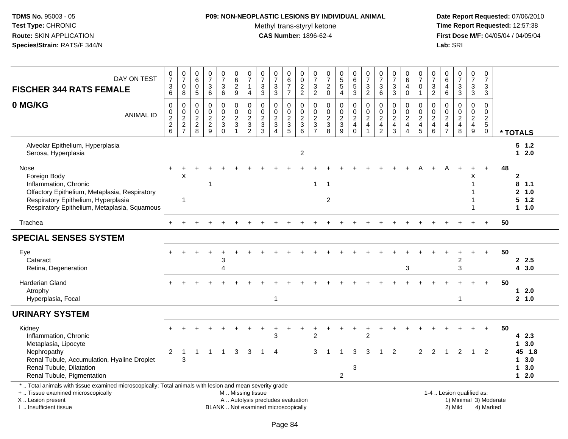### **P09: NON-NEOPLASTIC LESIONS BY INDIVIDUAL ANIMAL**Methyl trans-styryl ketone<br>CAS Number: 1896-62-4

| DAY ON TEST<br><b>FISCHER 344 RATS FEMALE</b>                                                                                                                                                 | 0<br>$\overline{7}$<br>$\frac{3}{6}$           | $\begin{array}{c} 0 \\ 7 \end{array}$<br>$\pmb{0}$<br>$\overline{8}$ | $\pmb{0}$<br>$\,6\,$<br>0<br>$\sqrt{5}$                           | $\pmb{0}$<br>$\overline{7}$<br>$\ensuremath{\mathsf{3}}$<br>$\,6\,$ | $\frac{0}{7}$<br>3<br>6                       | $\pmb{0}$<br>6<br>$\overline{c}$<br>9                                     | $\frac{0}{7}$<br>1<br>$\overline{4}$                         | $\begin{array}{c} 0 \\ 7 \end{array}$<br>$\frac{3}{3}$                   | $\frac{0}{7}$<br>$\frac{3}{3}$                              | $_{6}^{\rm 0}$<br>$\overline{7}$<br>$\overline{7}$  | 0<br>$\mathbf 0$<br>$\frac{2}{2}$                    | $\frac{0}{7}$<br>$\frac{3}{2}$                                            | 0<br>$\overline{7}$<br>$\boldsymbol{2}$<br>$\pmb{0}$ | $\frac{0}{5}$<br>5<br>4           | $\begin{array}{c} 0 \\ 6 \end{array}$<br>$\overline{5}$<br>$\mathbf{3}$  | $\frac{0}{7}$<br>$\frac{3}{2}$                                   | $\frac{0}{7}$<br>3<br>$\,6\,$                                   | 0<br>$\overline{7}$<br>$\frac{3}{3}$           | $\begin{array}{c} 0 \\ 6 \end{array}$<br>4<br>$\mathbf 0$                                | $\begin{array}{c} 0 \\ 7 \end{array}$<br>$\boldsymbol{0}$<br>$\mathbf{1}$ | $\frac{0}{7}$<br>$\frac{3}{2}$                      | $\begin{array}{c} 0 \\ 6 \end{array}$<br>4<br>$\,6\,$                            | $\begin{array}{c} 0 \\ 7 \\ 3 \\ 3 \end{array}$                | $\frac{0}{7}$<br>$\frac{3}{3}$                                 | $\mathbf 0$<br>$\overline{7}$<br>$\frac{3}{3}$                                   |                        |                                                       |
|-----------------------------------------------------------------------------------------------------------------------------------------------------------------------------------------------|------------------------------------------------|----------------------------------------------------------------------|-------------------------------------------------------------------|---------------------------------------------------------------------|-----------------------------------------------|---------------------------------------------------------------------------|--------------------------------------------------------------|--------------------------------------------------------------------------|-------------------------------------------------------------|-----------------------------------------------------|------------------------------------------------------|---------------------------------------------------------------------------|------------------------------------------------------|-----------------------------------|--------------------------------------------------------------------------|------------------------------------------------------------------|-----------------------------------------------------------------|------------------------------------------------|------------------------------------------------------------------------------------------|---------------------------------------------------------------------------|-----------------------------------------------------|----------------------------------------------------------------------------------|----------------------------------------------------------------|----------------------------------------------------------------|----------------------------------------------------------------------------------|------------------------|-------------------------------------------------------|
| 0 MG/KG<br><b>ANIMAL ID</b>                                                                                                                                                                   | $\mathsf 0$<br>$_{2}^{\rm 0}$<br>$\frac{2}{6}$ | $\pmb{0}$<br>$\begin{array}{c} 0 \\ 2 \\ 2 \\ 7 \end{array}$         | $\mathbf 0$<br>$\mathbf 0$<br>$\boldsymbol{2}$<br>$\sqrt{2}$<br>8 | $\mathbf 0$<br>$\mathbf 0$<br>$\overline{2}$<br>$\sqrt{2}$<br>9     | 0<br>$\mathbf 0$<br>$\frac{2}{3}$<br>$\Omega$ | $\pmb{0}$<br>$\mathbf 0$<br>$\overline{2}$<br>$\mathsf 3$<br>$\mathbf{1}$ | $\pmb{0}$<br>$\begin{array}{c} 0 \\ 2 \\ 3 \\ 2 \end{array}$ | $\pmb{0}$<br>$\begin{array}{c}\n0 \\ 2 \\ 3\n\end{array}$                | $\pmb{0}$<br>$\mathbf 0$<br>$\frac{2}{3}$<br>$\overline{4}$ | 0<br>$\mathbf 0$<br>$\overline{2}$<br>$\frac{3}{5}$ | 0<br>$\begin{array}{c} 0 \\ 2 \\ 3 \\ 6 \end{array}$ | $\mathsf{O}\xspace$<br>$\mathsf{O}\xspace$<br>$\sqrt{2}$<br>$\frac{3}{7}$ | 0<br>$\frac{0}{2}$<br>8                              | $\mathbf 0$<br>$\frac{0}{2}$<br>9 | 0<br>$\mathsf{O}\xspace$<br>$\overline{2}$<br>$\overline{4}$<br>$\Omega$ | $\mathbf 0$<br>$\frac{0}{2}$<br>$\overline{4}$<br>$\overline{1}$ | 0<br>$\frac{0}{2}$<br>$\overline{\mathbf{4}}$<br>$\overline{c}$ | $\pmb{0}$<br>$\mathbf 0$<br>$\frac{2}{4}$<br>3 | $\mathbf 0$<br>$\mathsf{O}\xspace$<br>$\overline{2}$<br>$\overline{4}$<br>$\overline{4}$ | 0<br>$\frac{0}{2}$<br>5                                                   | 0<br>$\mathbf 0$<br>$\frac{2}{4}$<br>$6\phantom{1}$ | $\mathbf 0$<br>$\pmb{0}$<br>$\boldsymbol{2}$<br>$\overline{4}$<br>$\overline{7}$ | $\mathbf 0$<br>$\begin{array}{c} 0 \\ 2 \\ 4 \\ 8 \end{array}$ | $\mathsf{O}$<br>$\mathbf 0$<br>$\overline{2}$<br>$\frac{4}{9}$ | $\overline{0}$<br>$\mathbf 0$<br>$\overline{2}$<br>$\overline{5}$<br>$\mathbf 0$ |                        | * TOTALS                                              |
| Alveolar Epithelium, Hyperplasia<br>Serosa, Hyperplasia                                                                                                                                       |                                                |                                                                      |                                                                   |                                                                     |                                               |                                                                           |                                                              |                                                                          |                                                             |                                                     | $\sqrt{2}$                                           |                                                                           |                                                      |                                   |                                                                          |                                                                  |                                                                 |                                                |                                                                                          |                                                                           |                                                     |                                                                                  |                                                                |                                                                |                                                                                  |                        | $5 \t1.2$<br>$12.0$                                   |
| Nose<br>Foreign Body<br>Inflammation, Chronic<br>Olfactory Epithelium, Metaplasia, Respiratory<br>Respiratory Epithelium, Hyperplasia<br>Respiratory Epithelium, Metaplasia, Squamous         |                                                | X<br>-1                                                              |                                                                   | 1                                                                   |                                               |                                                                           |                                                              |                                                                          |                                                             |                                                     |                                                      | $\mathbf{1}$                                                              | $\overline{1}$<br>$\overline{2}$                     |                                   |                                                                          |                                                                  |                                                                 |                                                |                                                                                          |                                                                           |                                                     |                                                                                  |                                                                | X<br>1                                                         | $+$                                                                              | 48                     | $\mathbf{2}$<br>8, 1.1<br>2, 1.0<br>$5 \t1.2$<br>11.0 |
| Trachea                                                                                                                                                                                       |                                                |                                                                      |                                                                   |                                                                     |                                               |                                                                           |                                                              |                                                                          |                                                             |                                                     |                                                      |                                                                           |                                                      |                                   |                                                                          |                                                                  |                                                                 |                                                |                                                                                          |                                                                           |                                                     |                                                                                  |                                                                |                                                                | $+$                                                                              | 50                     |                                                       |
| <b>SPECIAL SENSES SYSTEM</b>                                                                                                                                                                  |                                                |                                                                      |                                                                   |                                                                     |                                               |                                                                           |                                                              |                                                                          |                                                             |                                                     |                                                      |                                                                           |                                                      |                                   |                                                                          |                                                                  |                                                                 |                                                |                                                                                          |                                                                           |                                                     |                                                                                  |                                                                |                                                                |                                                                                  |                        |                                                       |
| Eye<br>Cataract<br>Retina, Degeneration                                                                                                                                                       |                                                |                                                                      |                                                                   |                                                                     | 3<br>$\boldsymbol{\varDelta}$                 |                                                                           |                                                              |                                                                          |                                                             |                                                     |                                                      |                                                                           |                                                      |                                   |                                                                          |                                                                  |                                                                 |                                                | $\sqrt{3}$                                                                               |                                                                           |                                                     |                                                                                  | 2<br>3                                                         |                                                                | $\div$                                                                           | 50                     | 2.5<br>4 3.0                                          |
| Harderian Gland<br>Atrophy<br>Hyperplasia, Focal                                                                                                                                              |                                                |                                                                      |                                                                   |                                                                     |                                               |                                                                           |                                                              |                                                                          | $\mathbf{1}$                                                |                                                     |                                                      |                                                                           |                                                      |                                   |                                                                          |                                                                  |                                                                 |                                                |                                                                                          |                                                                           |                                                     |                                                                                  | $\mathbf{1}$                                                   |                                                                |                                                                                  | 50                     | $12.0$<br>2, 1.0                                      |
| <b>URINARY SYSTEM</b>                                                                                                                                                                         |                                                |                                                                      |                                                                   |                                                                     |                                               |                                                                           |                                                              |                                                                          |                                                             |                                                     |                                                      |                                                                           |                                                      |                                   |                                                                          |                                                                  |                                                                 |                                                |                                                                                          |                                                                           |                                                     |                                                                                  |                                                                |                                                                |                                                                                  |                        |                                                       |
| Kidney<br>Inflammation, Chronic<br>Metaplasia, Lipocyte                                                                                                                                       |                                                |                                                                      |                                                                   |                                                                     |                                               |                                                                           |                                                              |                                                                          | 3                                                           |                                                     |                                                      | $\overline{2}$                                                            |                                                      |                                   |                                                                          | $\overline{2}$                                                   |                                                                 |                                                |                                                                                          |                                                                           |                                                     |                                                                                  |                                                                |                                                                | $+$                                                                              | 50                     | 4 2.3<br>3.0<br>$\mathbf 1$                           |
| Nephropathy<br>Renal Tubule, Accumulation, Hyaline Droplet<br>Renal Tubule, Dilatation<br>Renal Tubule, Pigmentation                                                                          | 2                                              | -1<br>3                                                              | 1                                                                 | -1                                                                  | $\overline{1}$                                | 3                                                                         | 3                                                            |                                                                          | 4                                                           |                                                     |                                                      | 3                                                                         |                                                      | $\overline{2}$                    | 3<br>3                                                                   |                                                                  |                                                                 | 2                                              |                                                                                          | $\overline{2}$                                                            | 2                                                   | -1                                                                               | 2                                                              | $\mathbf{1}$                                                   | $\overline{2}$                                                                   |                        | 45 1.8<br>13.0<br>3.0<br>$\mathbf 1$<br>$12.0$        |
| *  Total animals with tissue examined microscopically; Total animals with lesion and mean severity grade<br>+  Tissue examined microscopically<br>X  Lesion present<br>I  Insufficient tissue |                                                |                                                                      |                                                                   |                                                                     |                                               | M  Missing tissue                                                         |                                                              | A  Autolysis precludes evaluation<br>BLANK  Not examined microscopically |                                                             |                                                     |                                                      |                                                                           |                                                      |                                   |                                                                          |                                                                  |                                                                 |                                                |                                                                                          |                                                                           |                                                     |                                                                                  | 1-4  Lesion qualified as:<br>2) Mild                           |                                                                | 4) Marked                                                                        | 1) Minimal 3) Moderate |                                                       |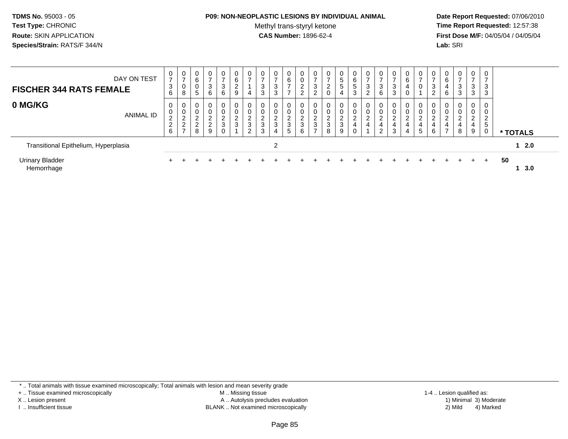#### **P09: NON-NEOPLASTIC LESIONS BY INDIVIDUAL ANIMAL**

Methyl trans-styryl ketone<br>CAS Number: 1896-62-4

 **Date Report Requested:** 07/06/2010 **Time Report Requested:** 12:57:38 **First Dose M/F:** 04/05/04 / 04/05/04<br>**Lab:** SRI **Lab:** SRI

| <b>FISCHER 344 RATS FEMALE</b>       | DAY ON TEST      | 0<br>$\overline{ }$<br>3<br>6      | 0<br>$\rightarrow$<br>ν<br>8      | 0<br>6<br>0<br>5                             | 0<br>3<br>6                                            | 0<br>$\overline{ }$<br>3<br>$6\overline{6}$         | 0<br>$\,6$<br>$\overline{2}$<br>$9\,$ | 0<br>4                     | 3<br>3                                                   | $\mathbf 0$<br>$\rightarrow$<br>3<br>3 | 0<br>6<br>$\rightarrow$                                  | 0<br>$\mathbf 0$<br>2<br>$\Omega$ | 0<br>$\rightarrow$<br>3<br>2                | 0<br>⇁<br>$\overline{2}$<br>$\mathbf 0$ | 5<br>5<br>4           | b<br>5<br>3                   | $\mathbf{0}$<br>3<br>$\Omega$<br>∠ | 0<br>3<br>6                                                    | 0<br>$\overline{ }$<br>3<br>3 | 0<br>6<br>4<br>0      | $\mathbf 0$<br>v           | $\rightarrow$<br>3<br>C<br>∠ | 6<br>6           | $\mathbf{0}$<br>$\rightarrow$<br>3<br>$\sqrt{3}$           | $\overline{0}$<br>$\overline{ }$<br>3<br>3            | $\mathbf 0$<br>$\overline{ }$<br>3<br>3 |                 |
|--------------------------------------|------------------|------------------------------------|-----------------------------------|----------------------------------------------|--------------------------------------------------------|-----------------------------------------------------|---------------------------------------|----------------------------|----------------------------------------------------------|----------------------------------------|----------------------------------------------------------|-----------------------------------|---------------------------------------------|-----------------------------------------|-----------------------|-------------------------------|------------------------------------|----------------------------------------------------------------|-------------------------------|-----------------------|----------------------------|------------------------------|------------------|------------------------------------------------------------|-------------------------------------------------------|-----------------------------------------|-----------------|
| 0 MG/KG                              | <b>ANIMAL ID</b> | 0<br>0<br>$\overline{c}$<br>2<br>6 | $\sim$<br>∼<br>∠<br>$\rightarrow$ | 0<br>0<br>$\sim$<br>∠<br>$\overline{c}$<br>8 | 0<br>0<br>$\Omega$<br>$\frac{2}{2}$<br>$\epsilon$<br>9 | $\overline{0}$<br>0<br>$\frac{2}{3}$<br>$\mathbf 0$ | 0<br>0<br>$\frac{2}{3}$               | 0<br>0<br>$\sim$<br>3<br>2 | $\mathbf 0$<br>$\mathbf 0$<br>$\sim$<br>$rac{2}{3}$<br>3 | 0<br>0<br>ົ<br>$rac{2}{3}$<br>4        | $\mathbf{0}$<br>0<br>$\sim$<br>4<br>3<br>$5\overline{)}$ | 0<br>$\mathbf 0$<br>ົ<br>3<br>6   | 0<br>0<br>$\sim$<br>۷<br>3<br>$\rightarrow$ | 0<br>0<br>$\overline{2}$<br>3<br>8      | 0<br>$\sim$<br>3<br>9 | $\overline{0}$<br>0<br>$\sim$ | 0<br>0<br>$\sim$<br>4              | $\mathbf 0$<br>0<br>ົ<br>∼<br>$\overline{4}$<br>$\overline{2}$ | 0<br>0<br>$\Omega$<br>4<br>3  | 0<br>0<br>ົ<br>4<br>4 | $\mathbf 0$<br>2<br>4<br>5 | 0<br>0<br>$\sim$<br>4<br>6   | $\sim$<br>∠<br>⇁ | $\mathbf{0}$<br>0<br>$\overline{2}$<br>$\overline{4}$<br>8 | $\mathbf 0$<br>0<br>$\overline{\mathbf{c}}$<br>4<br>9 | 0<br>0<br>$\overline{2}$<br>5<br>0      | * TOTALS        |
| Transitional Epithelium, Hyperplasia |                  |                                    |                                   |                                              |                                                        |                                                     |                                       |                            |                                                          | 2                                      |                                                          |                                   |                                             |                                         |                       |                               |                                    |                                                                |                               |                       |                            |                              |                  |                                                            |                                                       |                                         | $12.0$          |
| <b>Urinary Bladder</b><br>Hemorrhage |                  |                                    |                                   |                                              |                                                        |                                                     |                                       |                            |                                                          |                                        |                                                          |                                   |                                             |                                         |                       |                               |                                    |                                                                |                               |                       |                            |                              |                  |                                                            | $+$                                                   | $+$                                     | 50<br>$1 \t3.0$ |

\* .. Total animals with tissue examined microscopically; Total animals with lesion and mean severity grade

+ .. Tissue examined microscopically

X .. Lesion present

I .. Insufficient tissue

 M .. Missing tissueA .. Autolysis precludes evaluation

BLANK .. Not examined microscopically 2) Mild 4) Marked

1-4 .. Lesion qualified as: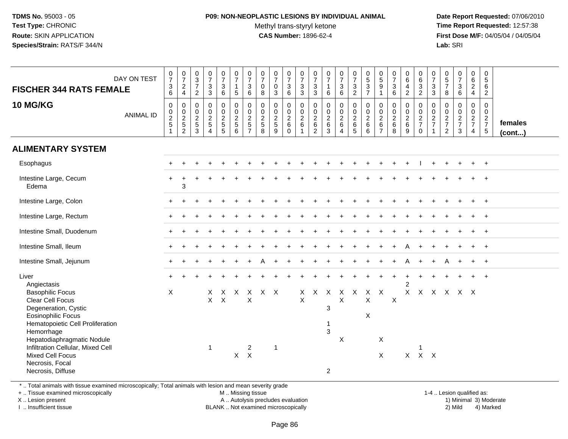#### **P09: NON-NEOPLASTIC LESIONS BY INDIVIDUAL ANIMAL**Methyl trans-styryl ketone<br>CAS Number: 1896-62-4

 **Date Report Requested:** 07/06/2010 **Time Report Requested:** 12:57:38 **First Dose M/F:** 04/05/04 / 04/05/04<br>**Lab:** SRI **Lab:** SRI

| DAY ON TEST<br><b>FISCHER 344 RATS FEMALE</b><br><b>10 MG/KG</b>                                                                                                                                                                                                                         | $\frac{0}{7}$<br>$^3$ 6<br>$\pmb{0}$       | $\begin{array}{c} 0 \\ 7 \end{array}$<br>$_4^2$<br>0         | $\begin{array}{c} 0 \\ 3 \\ 7 \end{array}$<br>$\overline{2}$<br>$\boldsymbol{0}$ | $\begin{smallmatrix}0\\7\end{smallmatrix}$<br>$\mathbf 3$<br>$\overline{3}$<br>$\mathbf 0$ | $\frac{0}{7}$<br>3<br>$\,6\,$<br>0 | $\frac{0}{7}$<br>$\mathbf{1}$<br>$\overline{5}$<br>$\pmb{0}$ | $\begin{array}{c} 0 \\ 7 \end{array}$<br>3<br>$6\phantom{1}$<br>$\mathbf 0$ | $\frac{0}{7}$<br>0<br>8<br>0           | $\begin{array}{c} 0 \\ 7 \end{array}$<br>$\pmb{0}$<br>$\mathbf{3}$<br>$\pmb{0}$ | $\frac{0}{7}$<br>$\mathsf 3$<br>$6\phantom{1}$<br>0    | $\frac{0}{7}$<br>$\mathbf{3}$<br>$\mathbf{3}$<br>$\boldsymbol{0}$   | $\frac{0}{7}$<br>$\mathbf{3}$<br>3<br>0                  | $\frac{0}{7}$<br>$\mathbf{1}$<br>$6\phantom{1}$<br>$\pmb{0}$ | $\frac{0}{7}$<br>$\ensuremath{\mathsf{3}}$<br>$6\overline{6}$<br>$\pmb{0}$ | $\frac{0}{7}$<br>3<br>$\overline{2}$<br>$\mathbf 0$ | $0$<br>$5$<br>$3$<br>$7$<br>$\mathbf 0$                                | $\begin{array}{c} 0 \\ 5 \end{array}$<br>$\boldsymbol{9}$<br>$\mathbf{1}$<br>$\mathbf 0$ | $\frac{0}{7}$<br>$\mathbf{3}$<br>$6\phantom{a}$<br>$\mathbf 0$ | $_6^0$<br>4<br>$\overline{2}$<br>0 | $_{6}^{\rm 0}$<br>$\mathsf 3$<br>$\overline{2}$<br>0   | $\frac{0}{7}$<br>$\ensuremath{\mathsf{3}}$<br>$\mathbf{3}$<br>$\mathbf 0$ | $\begin{array}{c} 0 \\ 5 \\ 7 \end{array}$<br>8<br>$\mathbf 0$ | $\begin{array}{c} 0 \\ 7 \end{array}$<br>$\ensuremath{\mathsf{3}}$<br>$\,6\,$<br>$\pmb{0}$ | $_{\rm 6}^{\rm 0}$<br>$\overline{2}$<br>$\overline{4}$<br>0 | $\begin{smallmatrix}0\0\0\end{smallmatrix}$<br>6<br>$\overline{2}$<br>$\mathbf 0$ |                         |
|------------------------------------------------------------------------------------------------------------------------------------------------------------------------------------------------------------------------------------------------------------------------------------------|--------------------------------------------|--------------------------------------------------------------|----------------------------------------------------------------------------------|--------------------------------------------------------------------------------------------|------------------------------------|--------------------------------------------------------------|-----------------------------------------------------------------------------|----------------------------------------|---------------------------------------------------------------------------------|--------------------------------------------------------|---------------------------------------------------------------------|----------------------------------------------------------|--------------------------------------------------------------|----------------------------------------------------------------------------|-----------------------------------------------------|------------------------------------------------------------------------|------------------------------------------------------------------------------------------|----------------------------------------------------------------|------------------------------------|--------------------------------------------------------|---------------------------------------------------------------------------|----------------------------------------------------------------|--------------------------------------------------------------------------------------------|-------------------------------------------------------------|-----------------------------------------------------------------------------------|-------------------------|
| <b>ANIMAL ID</b>                                                                                                                                                                                                                                                                         | $\pmb{0}$<br>$\frac{2}{5}$<br>$\mathbf{1}$ | $\begin{array}{c} 0 \\ 2 \\ 5 \end{array}$<br>$\overline{c}$ | $\begin{array}{c} 0 \\ 2 \\ 5 \end{array}$<br>$\mathbf{3}$                       | $\begin{array}{c} 0 \\ 2 \\ 5 \end{array}$<br>$\overline{A}$                               | $\mathbf 0$<br>$\frac{2}{5}$<br>5  | $\frac{0}{2}$<br>6                                           | $\pmb{0}$<br>$\overline{c}$<br>5<br>$\overline{7}$                          | 0<br>$\overline{a}$<br>$\sqrt{5}$<br>8 | $\frac{0}{2}$<br>9                                                              | $\mathbf 0$<br>$\boldsymbol{2}$<br>$\,6\,$<br>$\Omega$ | $\begin{smallmatrix} 0\\2 \end{smallmatrix}$<br>6<br>$\overline{1}$ | $\pmb{0}$<br>$\overline{c}$<br>$\,6\,$<br>$\overline{2}$ | $\frac{0}{2}$<br>3                                           | $\begin{array}{c} 0 \\ 2 \\ 6 \end{array}$<br>4                            | $\overline{0}$<br>$\frac{2}{6}$<br>$\overline{5}$   | $\begin{array}{c} 0 \\ 2 \\ 6 \end{array}$<br>6                        | $\begin{smallmatrix} 0\\2 \end{smallmatrix}$<br>6<br>$\overline{7}$                      | $\begin{smallmatrix} 0\\2 \end{smallmatrix}$<br>$\,6\,$<br>8   | $\bf{0}$<br>$\frac{2}{6}$<br>9     | $\begin{array}{c} 0 \\ 2 \\ 7 \end{array}$<br>$\Omega$ | $\begin{array}{c} 0 \\ 2 \\ 7 \end{array}$                                | $\begin{array}{c} 0 \\ 2 \\ 7 \end{array}$<br>$\overline{2}$   | $\begin{array}{c} 0 \\ 2 \\ 7 \end{array}$<br>3                                            | $\mathbf 0$<br>$\frac{2}{7}$<br>$\overline{4}$              | $\overline{0}$<br>$\frac{2}{7}$<br>$5\phantom{.0}$                                | females<br>$($ cont $)$ |
| <b>ALIMENTARY SYSTEM</b>                                                                                                                                                                                                                                                                 |                                            |                                                              |                                                                                  |                                                                                            |                                    |                                                              |                                                                             |                                        |                                                                                 |                                                        |                                                                     |                                                          |                                                              |                                                                            |                                                     |                                                                        |                                                                                          |                                                                |                                    |                                                        |                                                                           |                                                                |                                                                                            |                                                             |                                                                                   |                         |
| Esophagus                                                                                                                                                                                                                                                                                |                                            |                                                              |                                                                                  |                                                                                            |                                    |                                                              |                                                                             |                                        |                                                                                 |                                                        |                                                                     |                                                          |                                                              |                                                                            |                                                     |                                                                        |                                                                                          |                                                                |                                    |                                                        |                                                                           |                                                                |                                                                                            |                                                             |                                                                                   |                         |
| Intestine Large, Cecum<br>Edema                                                                                                                                                                                                                                                          |                                            | 3                                                            |                                                                                  |                                                                                            |                                    |                                                              |                                                                             |                                        |                                                                                 |                                                        |                                                                     |                                                          |                                                              |                                                                            |                                                     |                                                                        |                                                                                          |                                                                |                                    |                                                        |                                                                           |                                                                |                                                                                            |                                                             | $\ddot{}$                                                                         |                         |
| Intestine Large, Colon                                                                                                                                                                                                                                                                   |                                            |                                                              |                                                                                  |                                                                                            |                                    |                                                              |                                                                             |                                        |                                                                                 |                                                        |                                                                     |                                                          |                                                              |                                                                            |                                                     |                                                                        |                                                                                          |                                                                |                                    |                                                        |                                                                           |                                                                |                                                                                            |                                                             | $^{+}$                                                                            |                         |
| Intestine Large, Rectum                                                                                                                                                                                                                                                                  |                                            |                                                              |                                                                                  |                                                                                            |                                    |                                                              |                                                                             |                                        |                                                                                 |                                                        |                                                                     |                                                          |                                                              |                                                                            |                                                     |                                                                        |                                                                                          |                                                                |                                    |                                                        |                                                                           |                                                                |                                                                                            |                                                             | $\overline{+}$                                                                    |                         |
| Intestine Small, Duodenum                                                                                                                                                                                                                                                                |                                            |                                                              |                                                                                  |                                                                                            |                                    |                                                              |                                                                             |                                        |                                                                                 |                                                        |                                                                     |                                                          |                                                              |                                                                            |                                                     |                                                                        |                                                                                          |                                                                |                                    |                                                        |                                                                           |                                                                |                                                                                            |                                                             |                                                                                   |                         |
| Intestine Small, Ileum                                                                                                                                                                                                                                                                   |                                            |                                                              |                                                                                  |                                                                                            |                                    |                                                              |                                                                             |                                        |                                                                                 |                                                        |                                                                     |                                                          |                                                              |                                                                            |                                                     |                                                                        |                                                                                          |                                                                |                                    |                                                        |                                                                           |                                                                |                                                                                            |                                                             | $\overline{1}$                                                                    |                         |
| Intestine Small, Jejunum                                                                                                                                                                                                                                                                 |                                            |                                                              |                                                                                  |                                                                                            |                                    |                                                              |                                                                             |                                        |                                                                                 |                                                        |                                                                     |                                                          |                                                              |                                                                            |                                                     |                                                                        |                                                                                          |                                                                |                                    |                                                        |                                                                           |                                                                |                                                                                            | $\ddot{}$                                                   | $+$                                                                               |                         |
| Liver<br>Angiectasis                                                                                                                                                                                                                                                                     |                                            |                                                              |                                                                                  |                                                                                            |                                    |                                                              |                                                                             |                                        |                                                                                 |                                                        |                                                                     |                                                          |                                                              |                                                                            |                                                     |                                                                        |                                                                                          |                                                                | $\overline{2}$                     |                                                        |                                                                           |                                                                |                                                                                            |                                                             |                                                                                   |                         |
| <b>Basophilic Focus</b><br>Clear Cell Focus<br>Degeneration, Cystic<br><b>Eosinophilic Focus</b><br>Hematopoietic Cell Proliferation<br>Hemorrhage<br>Hepatodiaphragmatic Nodule<br>Infiltration Cellular, Mixed Cell<br><b>Mixed Cell Focus</b><br>Necrosis, Focal<br>Necrosis, Diffuse | X                                          |                                                              |                                                                                  | X<br>$\mathsf{X}$<br>$\mathbf{1}$                                                          | X<br>$\boldsymbol{\mathsf{X}}$     | $\mathsf{X}$<br>$X$ $X$                                      | $\times$<br>$\sf X$<br>$\overline{c}$                                       | $X \times$                             | $\overline{1}$                                                                  |                                                        | X<br>$\mathsf X$                                                    | $\mathsf{X}$                                             | $\mathsf{X}$<br>3<br>-1<br>3<br>2                            | $\mathsf{X}$<br>$\boldsymbol{\mathsf{X}}$<br>X                             | $\mathsf{X}$                                        | $\mathsf{X}$<br>$\boldsymbol{\mathsf{X}}$<br>$\boldsymbol{\mathsf{X}}$ | X<br>X<br>X                                                                              | $\times$                                                       | $\mathsf{X}$                       | $\mathsf{X}$<br>$X$ $X$ $X$                            |                                                                           |                                                                | $X$ $X$ $X$ $X$                                                                            |                                                             |                                                                                   |                         |

\* .. Total animals with tissue examined microscopically; Total animals with lesion and mean severity grade

+ .. Tissue examined microscopically

X .. Lesion present

I .. Insufficient tissue

M .. Missing tissue

A .. Autolysis precludes evaluation

BLANK .. Not examined microscopically 2) Mild 4) Marked

1-4 .. Lesion qualified as: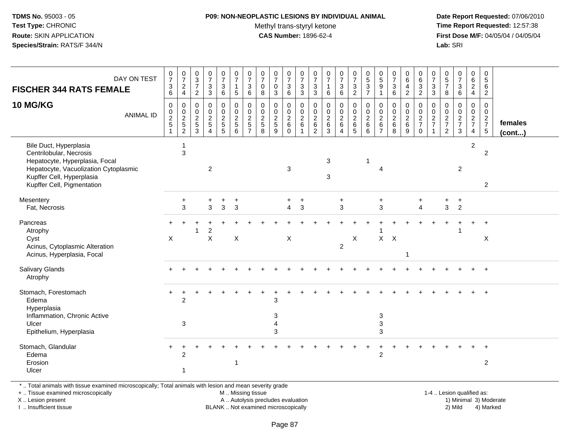#### **P09: NON-NEOPLASTIC LESIONS BY INDIVIDUAL ANIMAL**Methyl trans-styryl ketone<br>CAS Number: 1896-62-4

 **Date Report Requested:** 07/06/2010 **Time Report Requested:** 12:57:38 **First Dose M/F:** 04/05/04 / 04/05/04 Lab: SRI **Lab:** SRI

| DAY ON TEST<br><b>FISCHER 344 RATS FEMALE</b>                                                                                                                                           | $\frac{0}{7}$<br>$\begin{array}{c} 3 \\ 6 \end{array}$ | $\begin{array}{c} 0 \\ 7 \end{array}$<br>$\frac{2}{4}$ | $_{3}^{\rm 0}$<br>$\overline{7}$<br>$\overline{2}$ | $\frac{0}{7}$<br>$\sqrt{3}$<br>$\mathbf{3}$                 | $\frac{0}{7}$<br>3<br>6         | $\begin{smallmatrix}0\\7\end{smallmatrix}$<br>$\mathbf{1}$<br>5 | $\begin{array}{c} 0 \\ 7 \end{array}$<br>3<br>$6\phantom{1}$ | $\frac{0}{7}$<br>0<br>8                          | $\begin{array}{c} 0 \\ 7 \end{array}$<br>$\mathbf 0$<br>$\mathbf{3}$ | $\frac{0}{7}$<br>3<br>$\,6\,$                 | $\begin{array}{c} 0 \\ 7 \end{array}$<br>$\ensuremath{\mathsf{3}}$<br>$\mathbf{3}$ | $\frac{0}{7}$<br>3<br>3                | $\begin{smallmatrix}0\\7\end{smallmatrix}$<br>$\mathbf{1}$<br>6 | $\frac{0}{7}$<br>$\mathfrak{S}$<br>6 | $\begin{smallmatrix}0\\7\end{smallmatrix}$<br>3<br>$\overline{2}$ | $0$<br>$5$<br>$3$<br>$7$            | $\begin{array}{c} 0 \\ 5 \end{array}$<br>9<br>$\overline{1}$ | $\begin{array}{c} 0 \\ 7 \end{array}$<br>$\mathbf{3}$<br>6 | $_6^0$<br>$\overline{4}$<br>$\overline{2}$        | $_{6}^{\rm 0}$<br>$\frac{3}{2}$     | $\frac{0}{7}$<br>3<br>3                   | $\begin{array}{c} 0 \\ 5 \end{array}$<br>$\overline{7}$<br>8 | $\begin{smallmatrix}0\\7\end{smallmatrix}$<br>$\begin{array}{c} 3 \\ 6 \end{array}$ | $\begin{array}{c} 0 \\ 6 \end{array}$<br>$\overline{a}$<br>$\overline{4}$ | $\begin{array}{c} 0 \\ 5 \end{array}$<br>6<br>$\overline{2}$ |                   |
|-----------------------------------------------------------------------------------------------------------------------------------------------------------------------------------------|--------------------------------------------------------|--------------------------------------------------------|----------------------------------------------------|-------------------------------------------------------------|---------------------------------|-----------------------------------------------------------------|--------------------------------------------------------------|--------------------------------------------------|----------------------------------------------------------------------|-----------------------------------------------|------------------------------------------------------------------------------------|----------------------------------------|-----------------------------------------------------------------|--------------------------------------|-------------------------------------------------------------------|-------------------------------------|--------------------------------------------------------------|------------------------------------------------------------|---------------------------------------------------|-------------------------------------|-------------------------------------------|--------------------------------------------------------------|-------------------------------------------------------------------------------------|---------------------------------------------------------------------------|--------------------------------------------------------------|-------------------|
| <b>10 MG/KG</b><br><b>ANIMAL ID</b>                                                                                                                                                     | 0<br>$\begin{array}{c} 0 \\ 2 \\ 5 \end{array}$        | 0<br>$\frac{0}{2}$<br>$\overline{c}$                   | 0<br>$\mathbf 0$<br>$\frac{2}{5}$<br>3             | $\mathbf 0$<br>$\pmb{0}$<br>$\frac{2}{5}$<br>$\overline{4}$ | 0<br>$\mathbf 0$<br>$rac{2}{5}$ | $\pmb{0}$<br>$0$<br>$5$<br>$6$                                  | $\mathbf 0$<br>$0$<br>$2$<br>$5$<br>$7$                      | $\mathbf 0$<br>$\mathbf 0$<br>$\frac{2}{5}$<br>8 | $\mathbf 0$<br>$\frac{0}{2}$<br>9                                    | 0<br>$\mathbf 0$<br>$\frac{2}{6}$<br>$\Omega$ | $\pmb{0}$<br>$\frac{0}{2}$ 6<br>$\overline{1}$                                     | 0<br>$\mathbf 0$<br>$\frac{2}{6}$<br>2 | $\mathbf 0$<br>$\begin{array}{c} 0 \\ 2 \\ 6 \\ 3 \end{array}$  | 0<br>$\frac{0}{2}$<br>$\Delta$       | 0<br>$\begin{array}{c} 0 \\ 2 \\ 6 \\ 5 \end{array}$              | $\mathbf 0$<br>$\frac{0}{2}$ 6<br>6 | 0<br>$\mathbf 0$<br>$\sqrt{2}$<br>6<br>$\overline{7}$        | $\mathbf 0$<br>$\pmb{0}$<br>$\frac{2}{6}$<br>8             | $\mathbf{0}$<br>$\mathbf 0$<br>$\frac{2}{6}$<br>9 | 0<br>$\frac{0}{2}$<br>7<br>$\Omega$ | 0<br>$\mathsf{O}\xspace$<br>$\frac{2}{7}$ | $\mathbf 0$<br>$\pmb{0}$<br>$\frac{2}{7}$<br>$\overline{2}$  | $\mathbf 0$<br>$\frac{0}{2}$<br>3                                                   | 0<br>$\overline{0}$<br>$rac{2}{7}$<br>4                                   | 0<br>$\mathbf 0$<br>$\frac{2}{7}$<br>$\overline{5}$          | females<br>(cont) |
| Bile Duct, Hyperplasia<br>Centrilobular, Necrosis<br>Hepatocyte, Hyperplasia, Focal<br>Hepatocyte, Vacuolization Cytoplasmic<br>Kupffer Cell, Hyperplasia<br>Kupffer Cell, Pigmentation |                                                        | -1<br>$\mathbf{3}$                                     |                                                    | $\overline{2}$                                              |                                 |                                                                 |                                                              |                                                  |                                                                      | 3                                             |                                                                                    |                                        | 3<br>3                                                          |                                      |                                                                   | $\overline{1}$                      | 4                                                            |                                                            |                                                   |                                     |                                           |                                                              | $\overline{2}$                                                                      | $\overline{c}$                                                            | $\overline{c}$<br>$\overline{a}$                             |                   |
| Mesentery<br>Fat, Necrosis                                                                                                                                                              |                                                        | $\ddot{}$<br>3                                         |                                                    | $\ddot{}$<br>3                                              | $\ddot{}$<br>$\mathbf{3}$       | $\ddot{}$<br>3                                                  |                                                              |                                                  |                                                                      | $\ddot{}$<br>$\overline{4}$                   | $\ddot{}$<br>$\mathbf{3}$                                                          |                                        |                                                                 | $\ddot{}$<br>3                       |                                                                   |                                     | $\ddot{}$<br>$\mathbf{3}$                                    |                                                            |                                                   | $\overline{4}$                      |                                           | $\ddot{}$<br>3                                               | $\ddot{}$<br>$\overline{2}$                                                         |                                                                           |                                                              |                   |
| Pancreas<br>Atrophy<br>Cyst<br>Acinus, Cytoplasmic Alteration<br>Acinus, Hyperplasia, Focal                                                                                             | X                                                      |                                                        |                                                    | $\overline{c}$<br>$\mathsf{X}$                              |                                 | $\mathsf X$                                                     |                                                              |                                                  |                                                                      | $\pmb{\times}$                                |                                                                                    |                                        |                                                                 | $\overline{2}$                       | X                                                                 |                                     | $X$ $X$                                                      |                                                            | 1                                                 |                                     |                                           |                                                              |                                                                                     |                                                                           | $\ddot{}$<br>$\boldsymbol{\mathsf{X}}$                       |                   |
| Salivary Glands<br>Atrophy                                                                                                                                                              |                                                        |                                                        |                                                    |                                                             |                                 |                                                                 |                                                              |                                                  |                                                                      |                                               |                                                                                    |                                        |                                                                 |                                      |                                                                   |                                     |                                                              |                                                            |                                                   |                                     |                                           |                                                              |                                                                                     |                                                                           | $\ddot{}$                                                    |                   |
| Stomach, Forestomach<br>Edema<br>Hyperplasia<br>Inflammation, Chronic Active<br>Ulcer                                                                                                   | +                                                      | $\overline{2}$<br>3                                    |                                                    |                                                             |                                 |                                                                 |                                                              |                                                  | 3<br>$\mathbf{3}$<br>4                                               |                                               |                                                                                    |                                        |                                                                 |                                      |                                                                   |                                     | $\ensuremath{\mathsf{3}}$<br>3                               |                                                            |                                                   |                                     |                                           |                                                              |                                                                                     |                                                                           |                                                              |                   |
| Epithelium, Hyperplasia                                                                                                                                                                 |                                                        |                                                        |                                                    |                                                             |                                 |                                                                 |                                                              |                                                  | 3                                                                    |                                               |                                                                                    |                                        |                                                                 |                                      |                                                                   |                                     | 3                                                            |                                                            |                                                   |                                     |                                           |                                                              |                                                                                     |                                                                           |                                                              |                   |
| Stomach, Glandular<br>Edema<br>Erosion<br>Ulcer                                                                                                                                         |                                                        | $\overline{c}$<br>$\overline{1}$                       |                                                    |                                                             |                                 | 1                                                               |                                                              |                                                  |                                                                      |                                               |                                                                                    |                                        |                                                                 |                                      |                                                                   |                                     | $\overline{2}$                                               |                                                            |                                                   |                                     |                                           |                                                              |                                                                                     |                                                                           | $\overline{c}$                                               |                   |

\* .. Total animals with tissue examined microscopically; Total animals with lesion and mean severity grade

+ .. Tissue examined microscopically

X .. Lesion present

I .. Insufficient tissue

 M .. Missing tissueA .. Autolysis precludes evaluation

 1-4 .. Lesion qualified as: BLANK .. Not examined microscopically 2) Mild 4) Marked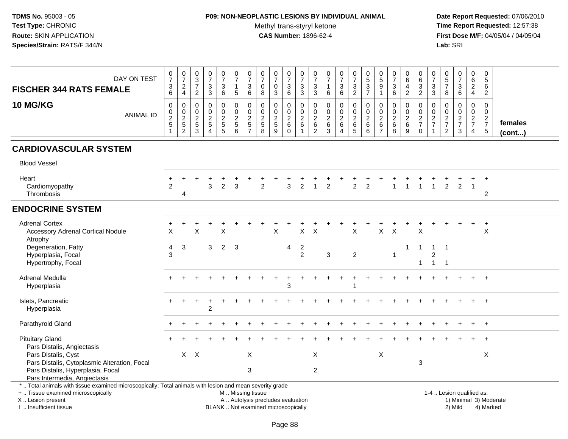### **P09: NON-NEOPLASTIC LESIONS BY INDIVIDUAL ANIMAL**

Methyl trans-styryl ketone<br>CAS Number: 1896-62-4

 **Date Report Requested:** 07/06/2010 **Time Report Requested:** 12:57:38 **First Dose M/F:** 04/05/04 / 04/05/04<br>Lab: SRI **Lab:** SRI

| DAY ON TEST<br><b>FISCHER 344 RATS FEMALE</b>                                                                                                                                                 | $\frac{0}{7}$<br>$\frac{3}{6}$                                          | $\frac{0}{7}$<br>$_4^2$                      | $\begin{array}{c} 0 \\ 3 \\ 7 \end{array}$<br>$\sqrt{2}$                     | $\frac{0}{7}$<br>$_3^3$                                                  | $\frac{0}{7}$<br>3<br>$\,6\,$                       | $\frac{0}{7}$<br>$\mathbf{1}$<br>$5\phantom{.0}$ | $\frac{0}{7}$<br>$\ensuremath{\mathsf{3}}$<br>$6\phantom{1}$        | 0<br>$\overline{7}$<br>$\pmb{0}$<br>8                           | $\frac{0}{7}$<br>$\pmb{0}$<br>$\overline{3}$                             | $\frac{0}{7}$<br>3<br>$\,6\,$                         | $\begin{array}{c} 0 \\ 7 \end{array}$<br>$\frac{3}{3}$                   | $\frac{0}{7}$<br>$\ensuremath{\mathsf{3}}$<br>$\mathfrak{S}$    | $\frac{0}{7}$<br>$\mathbf{1}$<br>$\,6\,$                   | $\frac{0}{7}$<br>$\ensuremath{\mathsf{3}}$<br>$6\overline{6}$           | $\frac{0}{7}$<br>$\frac{3}{2}$                                            | $0$<br>$5$<br>$3$<br>$7$                                   | $\begin{array}{c} 0 \\ 5 \end{array}$<br>$\boldsymbol{9}$<br>$\mathbf{1}$ | $\frac{0}{7}$<br>$\ensuremath{\mathsf{3}}$<br>$\,6\,$    | $_6^0$<br>$\overline{\mathbf{4}}$<br>$\overline{2}$ | $\begin{array}{c} 0 \\ 6 \end{array}$<br>$\frac{3}{2}$ | $\begin{array}{c} 0 \\ 7 \end{array}$<br>$\ensuremath{\mathsf{3}}$<br>$\overline{3}$ | $\begin{array}{c} 0 \\ 5 \\ 7 \end{array}$<br>$\bf8$          | $\begin{array}{c} 0 \\ 7 \end{array}$<br>$\ensuremath{\mathsf{3}}$<br>$\,6\,$ | $\begin{array}{c} 0 \\ 6 \end{array}$<br>$\frac{2}{4}$ | $\begin{array}{c} 0 \\ 5 \end{array}$<br>6<br>$\overline{2}$   |                         |
|-----------------------------------------------------------------------------------------------------------------------------------------------------------------------------------------------|-------------------------------------------------------------------------|----------------------------------------------|------------------------------------------------------------------------------|--------------------------------------------------------------------------|-----------------------------------------------------|--------------------------------------------------|---------------------------------------------------------------------|-----------------------------------------------------------------|--------------------------------------------------------------------------|-------------------------------------------------------|--------------------------------------------------------------------------|-----------------------------------------------------------------|------------------------------------------------------------|-------------------------------------------------------------------------|---------------------------------------------------------------------------|------------------------------------------------------------|---------------------------------------------------------------------------|----------------------------------------------------------|-----------------------------------------------------|--------------------------------------------------------|--------------------------------------------------------------------------------------|---------------------------------------------------------------|-------------------------------------------------------------------------------|--------------------------------------------------------|----------------------------------------------------------------|-------------------------|
| 10 MG/KG<br><b>ANIMAL ID</b>                                                                                                                                                                  | $\pmb{0}$<br>$\begin{array}{c} 0 \\ 2 \\ 5 \end{array}$<br>$\mathbf{1}$ | $\pmb{0}$<br>$\frac{0}{2}$<br>$\overline{2}$ | $\mathbf 0$<br>$\begin{smallmatrix} 0\\2 \end{smallmatrix}$<br>$\frac{1}{3}$ | $\mathbf 0$<br>$\mathbf 0$<br>$\sqrt{2}$<br>$\sqrt{5}$<br>$\overline{4}$ | 0<br>$\mathbf 0$<br>$\overline{c}$<br>$\frac{1}{5}$ | $\pmb{0}$<br>$\frac{0}{2}$<br>6                  | $\pmb{0}$<br>$\mathbf 0$<br>$\boldsymbol{2}$<br>5<br>$\overline{7}$ | $\mathbf 0$<br>$\mathbf 0$<br>$\overline{c}$<br>$\sqrt{5}$<br>8 | $\mathbf 0$<br>$\mathbf 0$<br>$\overline{2}$<br>$\,$ 5 $\,$<br>9         | 0<br>$\mathbf 0$<br>$\sqrt{2}$<br>$\,6\,$<br>$\Omega$ | $\boldsymbol{0}$<br>$\mathbf 0$<br>$\overline{2}$<br>6<br>$\overline{1}$ | 0<br>$\mathbf 0$<br>$\overline{c}$<br>$\,6\,$<br>$\overline{2}$ | $\pmb{0}$<br>$\mathbf 0$<br>$\overline{2}$<br>$\,6\,$<br>3 | $\pmb{0}$<br>$\mathbf 0$<br>$\overline{c}$<br>$\,6\,$<br>$\overline{4}$ | $\mathbf 0$<br>$\mathbf 0$<br>$\overline{2}$<br>$\,6\,$<br>$\overline{5}$ | $\pmb{0}$<br>$\mathbf 0$<br>$\overline{2}$<br>$\,6\,$<br>6 | $\mathbf 0$<br>$\mathbf 0$<br>$\overline{2}$<br>$\,6\,$<br>$\overline{7}$ | $\mathbf 0$<br>$\mathbf 0$<br>$\sqrt{2}$<br>$\,6\,$<br>8 | 0<br>$\mathbf 0$<br>$\overline{c}$<br>$\,6$<br>9    | 0<br>$\mathbf 0$<br>$\frac{2}{7}$<br>$\mathsf{O}$      | $\mathbf 0$<br>$\pmb{0}$<br>$\frac{2}{7}$                                            | $\mathbf 0$<br>$\mathbf 0$<br>$\frac{2}{7}$<br>$\overline{2}$ | $\mathbf 0$<br>$\mathbf 0$<br>$\frac{2}{7}$<br>3                              | 0<br>$\mathbf 0$<br>$\frac{2}{7}$<br>$\overline{4}$    | $\mathbf 0$<br>$\mathbf 0$<br>$\frac{2}{7}$<br>$5\phantom{.0}$ | females<br>$($ cont $)$ |
| <b>CARDIOVASCULAR SYSTEM</b>                                                                                                                                                                  |                                                                         |                                              |                                                                              |                                                                          |                                                     |                                                  |                                                                     |                                                                 |                                                                          |                                                       |                                                                          |                                                                 |                                                            |                                                                         |                                                                           |                                                            |                                                                           |                                                          |                                                     |                                                        |                                                                                      |                                                               |                                                                               |                                                        |                                                                |                         |
| <b>Blood Vessel</b>                                                                                                                                                                           |                                                                         |                                              |                                                                              |                                                                          |                                                     |                                                  |                                                                     |                                                                 |                                                                          |                                                       |                                                                          |                                                                 |                                                            |                                                                         |                                                                           |                                                            |                                                                           |                                                          |                                                     |                                                        |                                                                                      |                                                               |                                                                               |                                                        |                                                                |                         |
| Heart<br>Cardiomyopathy<br>Thrombosis                                                                                                                                                         | 2                                                                       | $\boldsymbol{\Delta}$                        |                                                                              | 3                                                                        | $\overline{2}$                                      | 3                                                |                                                                     | $\overline{2}$                                                  |                                                                          | 3                                                     | $\overline{2}$                                                           |                                                                 | $\overline{2}$                                             |                                                                         | $\overline{2}$                                                            | $\overline{2}$                                             |                                                                           |                                                          | $\mathbf{1}$                                        |                                                        | $\mathbf{1}$                                                                         | $\overline{2}$                                                | $\overline{2}$                                                                | $\overline{1}$                                         | $\overline{c}$                                                 |                         |
| <b>ENDOCRINE SYSTEM</b>                                                                                                                                                                       |                                                                         |                                              |                                                                              |                                                                          |                                                     |                                                  |                                                                     |                                                                 |                                                                          |                                                       |                                                                          |                                                                 |                                                            |                                                                         |                                                                           |                                                            |                                                                           |                                                          |                                                     |                                                        |                                                                                      |                                                               |                                                                               |                                                        |                                                                |                         |
| <b>Adrenal Cortex</b><br><b>Accessory Adrenal Cortical Nodule</b><br>Atrophy                                                                                                                  | $\ddot{}$<br>X                                                          |                                              | X                                                                            |                                                                          | Χ                                                   |                                                  |                                                                     |                                                                 | X                                                                        |                                                       | X                                                                        | X                                                               |                                                            |                                                                         | X                                                                         |                                                            | X                                                                         | $\times$                                                 |                                                     | X                                                      |                                                                                      |                                                               |                                                                               |                                                        | $\ddot{}$<br>X                                                 |                         |
| Degeneration, Fatty<br>Hyperplasia, Focal<br>Hypertrophy, Focal                                                                                                                               | 4<br>3                                                                  | 3                                            |                                                                              | 3                                                                        | $\overline{2}$                                      | $\overline{\mathbf{3}}$                          |                                                                     |                                                                 |                                                                          | 4                                                     | $\overline{2}$<br>$\overline{2}$                                         |                                                                 | 3                                                          |                                                                         | $\overline{2}$                                                            |                                                            |                                                                           | $\mathbf{1}$                                             | 1                                                   |                                                        | -1<br>$\overline{c}$<br>$\overline{1}$                                               | -1<br>-1                                                      |                                                                               |                                                        |                                                                |                         |
| Adrenal Medulla<br>Hyperplasia                                                                                                                                                                |                                                                         |                                              |                                                                              |                                                                          |                                                     |                                                  |                                                                     |                                                                 |                                                                          | 3                                                     |                                                                          |                                                                 |                                                            |                                                                         |                                                                           |                                                            |                                                                           |                                                          |                                                     |                                                        |                                                                                      |                                                               |                                                                               |                                                        |                                                                |                         |
| Islets, Pancreatic<br>Hyperplasia                                                                                                                                                             |                                                                         |                                              |                                                                              | $\mathfrak{p}$                                                           |                                                     |                                                  |                                                                     |                                                                 |                                                                          |                                                       |                                                                          |                                                                 |                                                            |                                                                         |                                                                           |                                                            |                                                                           |                                                          |                                                     |                                                        |                                                                                      |                                                               |                                                                               |                                                        |                                                                |                         |
| Parathyroid Gland                                                                                                                                                                             |                                                                         |                                              |                                                                              |                                                                          |                                                     |                                                  |                                                                     |                                                                 |                                                                          |                                                       |                                                                          |                                                                 |                                                            |                                                                         |                                                                           |                                                            |                                                                           |                                                          |                                                     |                                                        |                                                                                      |                                                               |                                                                               |                                                        |                                                                |                         |
| <b>Pituitary Gland</b><br>Pars Distalis, Angiectasis                                                                                                                                          |                                                                         |                                              |                                                                              |                                                                          |                                                     |                                                  |                                                                     |                                                                 |                                                                          |                                                       |                                                                          |                                                                 |                                                            |                                                                         |                                                                           |                                                            |                                                                           |                                                          |                                                     |                                                        |                                                                                      |                                                               |                                                                               |                                                        |                                                                |                         |
| Pars Distalis, Cyst<br>Pars Distalis, Cytoplasmic Alteration, Focal<br>Pars Distalis, Hyperplasia, Focal<br>Pars Intermedia, Angiectasis                                                      |                                                                         |                                              | $X$ $X$                                                                      |                                                                          |                                                     |                                                  | X<br>3                                                              |                                                                 |                                                                          |                                                       |                                                                          | $\boldsymbol{\mathsf{X}}$<br>$\overline{2}$                     |                                                            |                                                                         |                                                                           |                                                            | $\pmb{\times}$                                                            |                                                          |                                                     | 3                                                      |                                                                                      |                                                               |                                                                               |                                                        | X                                                              |                         |
| *  Total animals with tissue examined microscopically; Total animals with lesion and mean severity grade<br>+  Tissue examined microscopically<br>X  Lesion present<br>I  Insufficient tissue |                                                                         |                                              |                                                                              |                                                                          |                                                     |                                                  | M  Missing tissue                                                   |                                                                 | A  Autolysis precludes evaluation<br>BLANK  Not examined microscopically |                                                       |                                                                          |                                                                 |                                                            |                                                                         |                                                                           |                                                            |                                                                           |                                                          |                                                     |                                                        |                                                                                      |                                                               | 1-4  Lesion qualified as:<br>2) Mild                                          |                                                        | 4) Marked                                                      | 1) Minimal 3) Moderate  |

I .. Insufficient tissue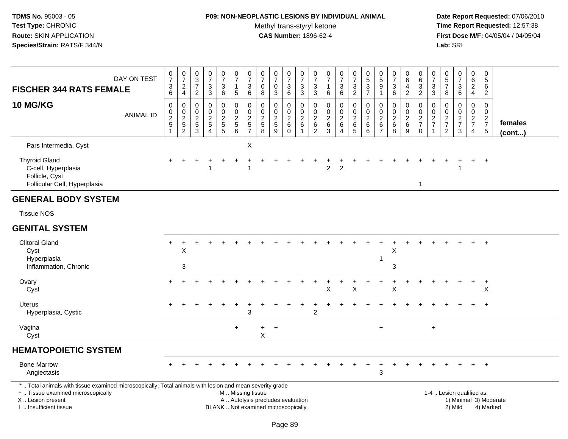# **P09: NON-NEOPLASTIC LESIONS BY INDIVIDUAL ANIMAL**

Methyl trans-styryl ketone<br>CAS Number: 1896-62-4

| DAY ON TEST<br><b>FISCHER 344 RATS FEMALE</b>                                                                                                                                                 | $\frac{0}{7}$<br>$\frac{3}{6}$             | $\begin{array}{c} 0 \\ 7 \end{array}$<br>$\overline{a}$<br>$\overline{4}$ | 0<br>$\mathbf{3}$<br>$\overline{7}$<br>$\overline{2}$ | $\begin{array}{c} 0 \\ 7 \end{array}$<br>$\frac{3}{3}$              | $\pmb{0}$<br>$\overline{7}$<br>$\sqrt{3}$<br>$\,6\,$ | $\frac{0}{7}$<br>$\mathbf{1}$<br>$\sqrt{5}$ | $\begin{array}{c} 0 \\ 7 \end{array}$<br>3<br>$\,6\,$ | 0<br>$\overline{7}$<br>0<br>8                  | $\frac{0}{7}$<br>0<br>3                                                  | 0<br>$\overline{7}$<br>$\frac{3}{6}$   | $\pmb{0}$<br>$\overline{7}$<br>$\frac{3}{3}$                      | 0<br>$\overline{7}$<br>3<br>$\mathbf{3}$ | $\pmb{0}$<br>$\overline{7}$<br>$\mathbf{1}$<br>6         | $\frac{0}{7}$<br>3<br>6                                        | $\frac{0}{7}$<br>$\frac{3}{2}$                   | 0537                                                            | $\pmb{0}$<br>$\sqrt{5}$<br>9<br>1                     | $\frac{0}{7}$<br>$\ensuremath{\mathsf{3}}$<br>$\,6\,$          | 0<br>6<br>4<br>$\overline{2}$                      | $\pmb{0}$<br>$\,6\,$<br>$\ensuremath{\mathsf{3}}$<br>$\overline{2}$ | 0<br>$\overline{7}$<br>3<br>$\mathfrak{S}$          | 0<br>$\frac{5}{7}$<br>8                   | $\frac{0}{7}$<br>$\ensuremath{\mathsf{3}}$<br>6 | $\mathbf 0$<br>6<br>$\overline{2}$<br>$\overline{4}$ | $\pmb{0}$<br>$\overline{5}$<br>6<br>$\overline{2}$                                                          |  |
|-----------------------------------------------------------------------------------------------------------------------------------------------------------------------------------------------|--------------------------------------------|---------------------------------------------------------------------------|-------------------------------------------------------|---------------------------------------------------------------------|------------------------------------------------------|---------------------------------------------|-------------------------------------------------------|------------------------------------------------|--------------------------------------------------------------------------|----------------------------------------|-------------------------------------------------------------------|------------------------------------------|----------------------------------------------------------|----------------------------------------------------------------|--------------------------------------------------|-----------------------------------------------------------------|-------------------------------------------------------|----------------------------------------------------------------|----------------------------------------------------|---------------------------------------------------------------------|-----------------------------------------------------|-------------------------------------------|-------------------------------------------------|------------------------------------------------------|-------------------------------------------------------------------------------------------------------------|--|
| 10 MG/KG<br><b>ANIMAL ID</b>                                                                                                                                                                  | $\pmb{0}$<br>$\frac{0}{2}$<br>$\mathbf{1}$ | 0<br>$\frac{0}{2}$<br>$\overline{2}$                                      | 0<br>0<br>$\boldsymbol{2}$<br>$\,$ 5 $\,$<br>3        | $\pmb{0}$<br>$\mathsf{O}\xspace$<br>$\frac{2}{5}$<br>$\overline{4}$ | 0<br>$\mathbf 0$<br>$\frac{2}{5}$                    | $\mathbf 0$<br>$\mathbf 0$<br>$rac{2}{6}$   | 0<br>$\mathbf 0$<br>$\boldsymbol{2}$<br>$\frac{5}{7}$ | 0<br>$\mathsf{O}\xspace$<br>$\frac{2}{5}$<br>8 | 0<br>$\mathbf 0$<br>$\frac{2}{5}$<br>9                                   | 0<br>$\frac{0}{2}$<br>6<br>$\mathbf 0$ | 0<br>$\mathsf{O}\xspace$<br>$\sqrt{2}$<br>$\,6\,$<br>$\mathbf{1}$ | 0<br>0<br>$\overline{c}$<br>$\,6\,$<br>2 | $\mathbf 0$<br>$\mathbf 0$<br>$\sqrt{2}$<br>$\,6\,$<br>3 | 0<br>$\mathbf 0$<br>$^2\phantom{1}6$<br>$\boldsymbol{\Lambda}$ | 0<br>$\mathbf 0$<br>$\overline{2}$<br>$6\over 5$ | 0<br>$\pmb{0}$<br>$\boldsymbol{2}$<br>$\,6\,$<br>$6\phantom{a}$ | 0<br>0<br>$\overline{c}$<br>$\,6\,$<br>$\overline{7}$ | 0<br>$\mathbf 0$<br>$\begin{array}{c} 2 \\ 6 \end{array}$<br>8 | 0<br>$\mathbf 0$<br>$\overline{c}$<br>$\,6\,$<br>9 | 0<br>$\mathbf 0$<br>$\frac{2}{7}$<br>$\mathbf 0$                    | 0<br>0<br>$\overline{\mathbf{c}}$<br>$\overline{7}$ | 0<br>0<br>$\frac{2}{7}$<br>$\overline{c}$ | 0<br>$\mathsf 0$<br>$\frac{2}{7}$<br>3          | $\mathbf 0$<br>$\mathbf 0$<br>$\frac{2}{7}$<br>4     | $\mathbf 0$<br>$\mathsf{O}\xspace$<br>$\begin{array}{c} 2 \\ 7 \\ 5 \end{array}$<br>females<br>$($ cont $)$ |  |
| Pars Intermedia, Cyst                                                                                                                                                                         |                                            |                                                                           |                                                       |                                                                     |                                                      |                                             | $\pmb{\times}$                                        |                                                |                                                                          |                                        |                                                                   |                                          |                                                          |                                                                |                                                  |                                                                 |                                                       |                                                                |                                                    |                                                                     |                                                     |                                           |                                                 |                                                      |                                                                                                             |  |
| <b>Thyroid Gland</b><br>C-cell, Hyperplasia<br>Follicle, Cyst<br>Follicular Cell, Hyperplasia                                                                                                 |                                            |                                                                           |                                                       |                                                                     |                                                      |                                             | 1                                                     |                                                |                                                                          |                                        |                                                                   |                                          | 2                                                        | $\overline{2}$                                                 |                                                  |                                                                 |                                                       |                                                                |                                                    | 1                                                                   |                                                     |                                           |                                                 |                                                      | $\ddot{}$                                                                                                   |  |
| <b>GENERAL BODY SYSTEM</b>                                                                                                                                                                    |                                            |                                                                           |                                                       |                                                                     |                                                      |                                             |                                                       |                                                |                                                                          |                                        |                                                                   |                                          |                                                          |                                                                |                                                  |                                                                 |                                                       |                                                                |                                                    |                                                                     |                                                     |                                           |                                                 |                                                      |                                                                                                             |  |
| <b>Tissue NOS</b>                                                                                                                                                                             |                                            |                                                                           |                                                       |                                                                     |                                                      |                                             |                                                       |                                                |                                                                          |                                        |                                                                   |                                          |                                                          |                                                                |                                                  |                                                                 |                                                       |                                                                |                                                    |                                                                     |                                                     |                                           |                                                 |                                                      |                                                                                                             |  |
| <b>GENITAL SYSTEM</b>                                                                                                                                                                         |                                            |                                                                           |                                                       |                                                                     |                                                      |                                             |                                                       |                                                |                                                                          |                                        |                                                                   |                                          |                                                          |                                                                |                                                  |                                                                 |                                                       |                                                                |                                                    |                                                                     |                                                     |                                           |                                                 |                                                      |                                                                                                             |  |
| <b>Clitoral Gland</b><br>Cyst<br>Hyperplasia<br>Inflammation, Chronic                                                                                                                         |                                            | $\mathsf X$<br>3                                                          |                                                       |                                                                     |                                                      |                                             |                                                       |                                                |                                                                          |                                        |                                                                   |                                          |                                                          |                                                                |                                                  |                                                                 |                                                       | X<br>3                                                         |                                                    |                                                                     |                                                     |                                           |                                                 |                                                      |                                                                                                             |  |
| Ovary<br>Cyst                                                                                                                                                                                 |                                            | $\ddot{}$                                                                 |                                                       |                                                                     |                                                      |                                             |                                                       |                                                |                                                                          |                                        |                                                                   |                                          | X                                                        |                                                                | $\sf X$                                          |                                                                 |                                                       | X                                                              |                                                    |                                                                     |                                                     |                                           |                                                 | $\ddot{}$                                            | $\ddot{}$<br>X                                                                                              |  |
| <b>Uterus</b><br>Hyperplasia, Cystic                                                                                                                                                          |                                            |                                                                           |                                                       |                                                                     |                                                      |                                             | 3                                                     |                                                |                                                                          |                                        |                                                                   | 2                                        |                                                          |                                                                |                                                  |                                                                 |                                                       |                                                                |                                                    |                                                                     |                                                     |                                           |                                                 |                                                      | $\ddot{}$                                                                                                   |  |
| Vagina<br>Cyst                                                                                                                                                                                |                                            |                                                                           |                                                       |                                                                     |                                                      | $+$                                         |                                                       | $\ddot{}$<br>X                                 | $\overline{+}$                                                           |                                        |                                                                   |                                          |                                                          |                                                                |                                                  |                                                                 | $+$                                                   |                                                                |                                                    |                                                                     | $\ddot{}$                                           |                                           |                                                 |                                                      |                                                                                                             |  |
| <b>HEMATOPOIETIC SYSTEM</b>                                                                                                                                                                   |                                            |                                                                           |                                                       |                                                                     |                                                      |                                             |                                                       |                                                |                                                                          |                                        |                                                                   |                                          |                                                          |                                                                |                                                  |                                                                 |                                                       |                                                                |                                                    |                                                                     |                                                     |                                           |                                                 |                                                      |                                                                                                             |  |
| <b>Bone Marrow</b><br>Angiectasis                                                                                                                                                             |                                            |                                                                           |                                                       |                                                                     |                                                      |                                             |                                                       |                                                |                                                                          |                                        |                                                                   |                                          |                                                          |                                                                |                                                  |                                                                 | 3                                                     |                                                                |                                                    |                                                                     |                                                     |                                           |                                                 |                                                      | $+$                                                                                                         |  |
| *  Total animals with tissue examined microscopically; Total animals with lesion and mean severity grade<br>+  Tissue examined microscopically<br>X  Lesion present<br>I  Insufficient tissue |                                            |                                                                           |                                                       |                                                                     |                                                      | M  Missing tissue                           |                                                       |                                                | A  Autolysis precludes evaluation<br>BLANK  Not examined microscopically |                                        |                                                                   |                                          |                                                          |                                                                |                                                  |                                                                 |                                                       |                                                                |                                                    |                                                                     |                                                     |                                           | 1-4  Lesion qualified as:<br>2) Mild            |                                                      | 1) Minimal 3) Moderate<br>4) Marked                                                                         |  |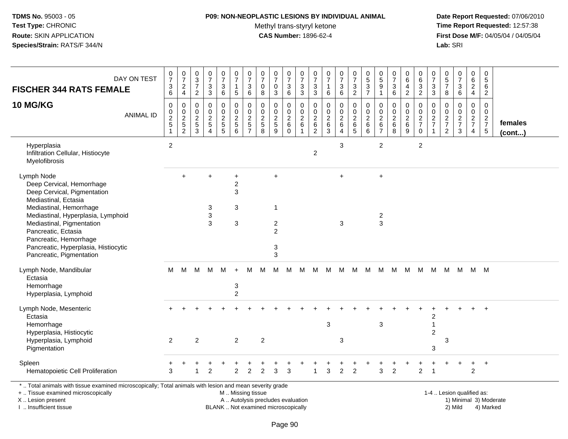### **P09: NON-NEOPLASTIC LESIONS BY INDIVIDUAL ANIMAL**

Methyl trans-styryl ketone<br>CAS Number: 1896-62-4

 **Date Report Requested:** 07/06/2010 **Time Report Requested:** 12:57:38 **First Dose M/F:** 04/05/04 / 04/05/04<br>Lab: SRI **Lab:** SRI

| <b>FISCHER 344 RATS FEMALE</b>                                                                                                                                      | DAY ON TEST      | $\pmb{0}$<br>$\overline{7}$<br>3<br>6 | $\pmb{0}$<br>$\overline{7}$<br>$\overline{c}$<br>$\overline{4}$ | $\pmb{0}$<br>$\frac{3}{7}$<br>$\overline{2}$                                  | $\pmb{0}$<br>$\overline{7}$<br>3<br>$\sqrt{3}$                | $\pmb{0}$<br>$\overline{7}$<br>3<br>$\,6\,$                    | $\pmb{0}$<br>$\overline{7}$<br>$\mathbf{1}$<br>$\sqrt{5}$ | 0<br>$\overline{7}$<br>3<br>6                             | $\pmb{0}$<br>$\overline{7}$<br>0<br>$\bf 8$ | $\pmb{0}$<br>$\overline{7}$<br>0<br>3                   | 0<br>$\overline{7}$<br>3<br>6                         | $\pmb{0}$<br>$\overline{7}$<br>$\mathbf{3}$<br>$\overline{3}$                   | 0<br>$\overline{7}$<br>3<br>3                   | 0<br>$\overline{7}$<br>$\mathbf{1}$<br>6                             | $\frac{0}{7}$<br>3<br>6                             | $\pmb{0}$<br>$\overline{7}$<br>$\sqrt{3}$<br>$\overline{2}$      | $\pmb{0}$<br>$\frac{5}{3}$<br>$\overline{7}$                              | $\pmb{0}$<br>$\frac{5}{9}$<br>$\overline{1}$                   | $\pmb{0}$<br>$\overline{7}$<br>$\mathbf{3}$<br>6           | 0<br>$\,6\,$<br>4<br>$\boldsymbol{2}$                      | 0<br>$\,6$<br>$\mathbf{3}$<br>$\overline{c}$          | 0<br>$\overline{7}$<br>3<br>3                            | $\pmb{0}$<br>$\frac{5}{7}$<br>$\bf 8$                      | $\pmb{0}$<br>$\overline{7}$<br>$\ensuremath{\mathsf{3}}$<br>$6\phantom{a}$ | 0<br>$\,6$<br>$\boldsymbol{2}$<br>$\overline{4}$ | $\mathbf 0$<br>$\sqrt{5}$<br>6<br>$\overline{2}$       |                   |
|---------------------------------------------------------------------------------------------------------------------------------------------------------------------|------------------|---------------------------------------|-----------------------------------------------------------------|-------------------------------------------------------------------------------|---------------------------------------------------------------|----------------------------------------------------------------|-----------------------------------------------------------|-----------------------------------------------------------|---------------------------------------------|---------------------------------------------------------|-------------------------------------------------------|---------------------------------------------------------------------------------|-------------------------------------------------|----------------------------------------------------------------------|-----------------------------------------------------|------------------------------------------------------------------|---------------------------------------------------------------------------|----------------------------------------------------------------|------------------------------------------------------------|------------------------------------------------------------|-------------------------------------------------------|----------------------------------------------------------|------------------------------------------------------------|----------------------------------------------------------------------------|--------------------------------------------------|--------------------------------------------------------|-------------------|
| <b>10 MG/KG</b>                                                                                                                                                     | <b>ANIMAL ID</b> | $\Omega$<br>0<br>$\frac{2}{5}$<br>1   | 0<br>0<br>$\frac{2}{5}$<br>$\overline{2}$                       | $\Omega$<br>$\mathbf 0$<br>$\overline{2}$<br>$\overline{5}$<br>$\overline{3}$ | $\mathbf 0$<br>$\mathbf 0$<br>$\frac{2}{5}$<br>$\overline{4}$ | 0<br>$\mathbf 0$<br>$\begin{array}{c} 2 \\ 5 \\ 5 \end{array}$ | $\Omega$<br>$\mathbf 0$<br>$\frac{2}{5}$<br>6             | 0<br>$\mathbf 0$<br>$\overline{2}$<br>5<br>$\overline{7}$ | $\mathbf 0$<br>$\mathbf 0$<br>$\frac{2}{5}$ | $\mathbf{0}$<br>$\mathbf 0$<br>$rac{2}{5}$<br>9         | $\Omega$<br>0<br>$\frac{2}{6}$<br>$\ddot{\mathbf{0}}$ | $\Omega$<br>$\mathbf 0$<br>$\boldsymbol{2}$<br>$\overline{6}$<br>$\overline{1}$ | 0<br>0<br>$\overline{c}$<br>6<br>$\overline{2}$ | $\Omega$<br>$\mathbf 0$<br>$\overline{2}$<br>$\,6$<br>$\overline{3}$ | 0<br>$\mathbf 0$<br>$\frac{2}{6}$<br>$\overline{4}$ | $\Omega$<br>$\mathbf 0$<br>$\overline{2}$<br>6<br>$\overline{5}$ | $\Omega$<br>$\mathbf 0$<br>$\boldsymbol{2}$<br>$\,6\,$<br>$6\overline{6}$ | $\mathbf 0$<br>$\mathbf 0$<br>$^{\,2}_{\,6}$<br>$\overline{7}$ | $\Omega$<br>$\mathbf 0$<br>$\frac{2}{6}$<br>$\overline{8}$ | $\Omega$<br>$\mathbf 0$<br>$\frac{2}{6}$<br>$\overline{9}$ | $\Omega$<br>$\mathbf 0$<br>$\frac{2}{7}$<br>$\pmb{0}$ | $\Omega$<br>$\mathbf 0$<br>$\frac{2}{7}$<br>$\mathbf{1}$ | $\Omega$<br>$\mathbf 0$<br>$\frac{2}{7}$<br>$\overline{c}$ | $\Omega$<br>$\mathbf 0$<br>$\frac{2}{7}$<br>$\sqrt{3}$                     | 0<br>$\mathbf 0$<br>$\frac{2}{7}$<br>4           | $\Omega$<br>$\mathbf 0$<br>$\frac{2}{7}$<br>$\sqrt{5}$ | females<br>(cont) |
| Hyperplasia<br>Infiltration Cellular, Histiocyte<br>Myelofibrosis                                                                                                   |                  | $\overline{2}$                        |                                                                 |                                                                               |                                                               |                                                                |                                                           |                                                           |                                             |                                                         |                                                       |                                                                                 | $\overline{c}$                                  |                                                                      | 3                                                   |                                                                  |                                                                           | 2                                                              |                                                            |                                                            | 2                                                     |                                                          |                                                            |                                                                            |                                                  |                                                        |                   |
| Lymph Node<br>Deep Cervical, Hemorrhage<br>Deep Cervical, Pigmentation<br>Mediastinal, Ectasia<br>Mediastinal, Hemorrhage<br>Mediastinal, Hyperplasia, Lymphoid     |                  |                                       | $\ddot{}$                                                       |                                                                               | $\ddot{}$<br>3<br>$\ensuremath{\mathsf{3}}$                   |                                                                | +<br>$\boldsymbol{2}$<br>3<br>3                           |                                                           |                                             | $\ddot{}$<br>$\mathbf{1}$                               |                                                       |                                                                                 |                                                 |                                                                      | $+$                                                 |                                                                  |                                                                           | $\ddot{}$<br>$\sqrt{2}$                                        |                                                            |                                                            |                                                       |                                                          |                                                            |                                                                            |                                                  |                                                        |                   |
| Mediastinal, Pigmentation<br>Pancreatic, Ectasia<br>Pancreatic, Hemorrhage<br>Pancreatic, Hyperplasia, Histiocytic<br>Pancreatic, Pigmentation                      |                  |                                       |                                                                 |                                                                               | 3                                                             |                                                                | $\mathbf{3}$                                              |                                                           |                                             | $\boldsymbol{2}$<br>$\overline{2}$<br>3<br>$\mathbf{3}$ |                                                       |                                                                                 |                                                 |                                                                      | $\mathbf{3}$                                        |                                                                  |                                                                           | 3                                                              |                                                            |                                                            |                                                       |                                                          |                                                            |                                                                            |                                                  |                                                        |                   |
| Lymph Node, Mandibular<br>Ectasia<br>Hemorrhage<br>Hyperplasia, Lymphoid                                                                                            |                  | м                                     | M                                                               | M                                                                             | м                                                             | м                                                              | $\ddot{}$<br>3<br>2                                       | м                                                         | м                                           | м                                                       | M                                                     | М                                                                               | M                                               | M                                                                    | M                                                   | М                                                                | M                                                                         | м                                                              | M                                                          | M                                                          | M                                                     | М                                                        | M                                                          | M                                                                          | M M                                              |                                                        |                   |
| Lymph Node, Mesenteric<br>Ectasia<br>Hemorrhage<br>Hyperplasia, Histiocytic<br>Hyperplasia, Lymphoid                                                                |                  | 2                                     |                                                                 | $\overline{2}$                                                                |                                                               |                                                                | $\overline{2}$                                            |                                                           | $\overline{2}$                              |                                                         |                                                       |                                                                                 |                                                 | 3                                                                    | 3                                                   |                                                                  |                                                                           | $\mathbf{3}$                                                   |                                                            |                                                            |                                                       | $\boldsymbol{2}$<br>$\overline{1}$<br>$\overline{c}$     | 3                                                          |                                                                            |                                                  |                                                        |                   |
| Pigmentation<br>Spleen<br>Hematopoietic Cell Proliferation                                                                                                          |                  | 3                                     |                                                                 | 1                                                                             | $\overline{2}$                                                |                                                                | $\overline{2}$                                            | $\overline{2}$                                            | $\overline{2}$                              | 3                                                       | 3                                                     |                                                                                 | 1                                               | 3                                                                    | $\overline{c}$                                      | $\overline{2}$                                                   |                                                                           | 3                                                              | $\overline{2}$                                             |                                                            | $\overline{c}$                                        | 3<br>$\overline{1}$                                      |                                                            |                                                                            | $\overline{2}$                                   | $\ddot{}$                                              |                   |
| *  Total animals with tissue examined microscopically; Total animals with lesion and mean severity grade<br>+  Tissue examined microscopically<br>X  Lesion present |                  |                                       |                                                                 |                                                                               |                                                               |                                                                | M  Missing tissue                                         |                                                           |                                             | A  Autolysis precludes evaluation                       |                                                       |                                                                                 |                                                 |                                                                      |                                                     |                                                                  |                                                                           |                                                                |                                                            |                                                            |                                                       |                                                          |                                                            | 1-4  Lesion qualified as:                                                  |                                                  | 1) Minimal 3) Moderate                                 |                   |

I .. Insufficient tissue

BLANK .. Not examined microscopically 2) Mild 4) Marked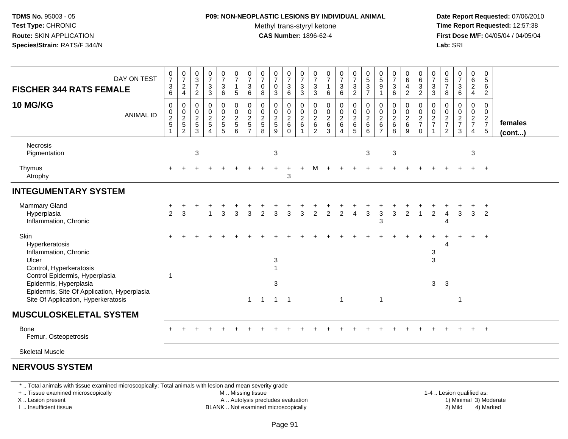#### **P09: NON-NEOPLASTIC LESIONS BY INDIVIDUAL ANIMAL**Methyl trans-styryl ketone<br>CAS Number: 1896-62-4

 **Date Report Requested:** 07/06/2010 **Time Report Requested:** 12:57:38 **First Dose M/F:** 04/05/04 / 04/05/04<br>**Lab:** SRI **Lab:** SRI

| DAY ON TEST<br><b>FISCHER 344 RATS FEMALE</b>                                                                                                  | 0<br>$\overline{7}$<br>$\ensuremath{\mathsf{3}}$<br>6 | $\frac{0}{7}$<br>$\boldsymbol{2}$<br>$\overline{4}$ | 0<br>$\sqrt{3}$<br>$\overline{7}$<br>$\overline{2}$   | $\frac{0}{7}$<br>$\ensuremath{\mathsf{3}}$<br>3                      | $\frac{0}{7}$<br>$\sqrt{3}$<br>6                               | $\pmb{0}$<br>$\overline{7}$<br>1<br>5                        | $\frac{0}{7}$<br>3<br>6                                   | 0<br>$\overline{7}$<br>0<br>8                 | $\frac{0}{7}$<br>0<br>3                     | 0<br>$\overline{7}$<br>$\ensuremath{\mathsf{3}}$<br>6 | $\pmb{0}$<br>$\overline{7}$<br>$\frac{3}{3}$                  | $\boldsymbol{0}$<br>$\boldsymbol{7}$<br>$\sqrt{3}$<br>$\mathbf{3}$ | $\frac{0}{7}$<br>$\mathbf{1}$<br>6                                        | $\begin{smallmatrix}0\\7\end{smallmatrix}$<br>3<br>$\,6\,$ | $\frac{0}{7}$<br>$\ensuremath{\mathsf{3}}$<br>$\overline{2}$ | $\begin{array}{c} 0 \\ 5 \end{array}$<br>3<br>$\overline{7}$ | 0<br>$\,$ 5 $\,$<br>9<br>$\mathbf{1}$        | $\frac{0}{7}$<br>$\mathbf{3}$<br>6                           | $\pmb{0}$<br>$\,6\,$<br>$\overline{\mathbf{4}}$<br>2  | $\pmb{0}$<br>$\,6$<br>$\frac{3}{2}$                      | 0<br>7<br>$\mathbf{3}$<br>3                                          | 0<br>5<br>$\overline{7}$<br>8                                       | $\frac{0}{7}$<br>3<br>6                                     | 0<br>6<br>$\overline{a}$<br>$\overline{4}$ | $\pmb{0}$<br>5<br>6<br>$\overline{2}$              |                   |
|------------------------------------------------------------------------------------------------------------------------------------------------|-------------------------------------------------------|-----------------------------------------------------|-------------------------------------------------------|----------------------------------------------------------------------|----------------------------------------------------------------|--------------------------------------------------------------|-----------------------------------------------------------|-----------------------------------------------|---------------------------------------------|-------------------------------------------------------|---------------------------------------------------------------|--------------------------------------------------------------------|---------------------------------------------------------------------------|------------------------------------------------------------|--------------------------------------------------------------|--------------------------------------------------------------|----------------------------------------------|--------------------------------------------------------------|-------------------------------------------------------|----------------------------------------------------------|----------------------------------------------------------------------|---------------------------------------------------------------------|-------------------------------------------------------------|--------------------------------------------|----------------------------------------------------|-------------------|
| <b>10 MG/KG</b><br><b>ANIMAL ID</b>                                                                                                            | 0<br>0<br>$\frac{2}{5}$                               | 0<br>$\frac{0}{2}$<br>$\overline{2}$                | $\mathbf 0$<br>0<br>$\overline{c}$<br>$\sqrt{5}$<br>3 | 0<br>$\mathbf 0$<br>$\boldsymbol{2}$<br>$\sqrt{5}$<br>$\overline{4}$ | 0<br>$\mathbf 0$<br>$\sqrt{2}$<br>$\sqrt{5}$<br>$\overline{5}$ | $\mathbf 0$<br>$\mathbf 0$<br>$\overline{c}$<br>5<br>$\,6\,$ | 0<br>$\mathbf 0$<br>$\overline{c}$<br>5<br>$\overline{7}$ | $\Omega$<br>$\mathbf 0$<br>$\frac{2}{5}$<br>8 | 0<br>0<br>$\overline{c}$<br>$\sqrt{5}$<br>9 | 0<br>0<br>$\sqrt{2}$<br>$\,6\,$<br>$\mathbf 0$        | 0<br>$\mathbf 0$<br>$\boldsymbol{2}$<br>$\,6$<br>$\mathbf{1}$ | 0<br>$\mathbf 0$<br>$^2\phantom{1}6$<br>$\overline{c}$             | $\mathbf 0$<br>$\mathbf 0$<br>$\boldsymbol{2}$<br>$\,6\,$<br>$\mathbf{3}$ | 0<br>$\mathbf 0$<br>$\overline{c}$<br>$\,6\,$<br>4         | 0<br>$\pmb{0}$<br>$\frac{2}{6}$<br>5                         | 0<br>0<br>$\overline{\mathbf{c}}$<br>6<br>6                  | 0<br>0<br>$^2\phantom{1}6$<br>$\overline{7}$ | $\mathbf 0$<br>$\mathbf 0$<br>$\overline{c}$<br>$\,6\,$<br>8 | 0<br>$\mathbf 0$<br>$\frac{2}{6}$<br>$\boldsymbol{9}$ | 0<br>$\mathbf 0$<br>$\frac{2}{7}$<br>$\mathsf{O}\xspace$ | 0<br>$\mathbf 0$<br>$\overline{c}$<br>$\overline{7}$<br>$\mathbf{1}$ | $\Omega$<br>0<br>$\overline{c}$<br>$\overline{7}$<br>$\overline{c}$ | $\mathbf 0$<br>$\mathbf 0$<br>$\frac{2}{7}$<br>$\mathbf{3}$ | 0<br>$\mathbf 0$<br>$\frac{2}{7}$<br>4     | 0<br>$\pmb{0}$<br>$\frac{2}{7}$<br>$5\phantom{.0}$ | females<br>(cont) |
| <b>Necrosis</b><br>Pigmentation                                                                                                                |                                                       |                                                     | $\ensuremath{\mathsf{3}}$                             |                                                                      |                                                                |                                                              |                                                           |                                               | $\ensuremath{\mathsf{3}}$                   |                                                       |                                                               |                                                                    |                                                                           |                                                            |                                                              | $\sqrt{3}$                                                   |                                              | $\ensuremath{\mathsf{3}}$                                    |                                                       |                                                          |                                                                      |                                                                     |                                                             | 3                                          |                                                    |                   |
| Thymus<br>Atrophy                                                                                                                              |                                                       |                                                     |                                                       |                                                                      |                                                                |                                                              |                                                           |                                               |                                             | $\ddot{}$<br>3                                        |                                                               |                                                                    |                                                                           |                                                            |                                                              |                                                              |                                              |                                                              |                                                       |                                                          |                                                                      |                                                                     |                                                             |                                            | $+$                                                |                   |
| <b>INTEGUMENTARY SYSTEM</b>                                                                                                                    |                                                       |                                                     |                                                       |                                                                      |                                                                |                                                              |                                                           |                                               |                                             |                                                       |                                                               |                                                                    |                                                                           |                                                            |                                                              |                                                              |                                              |                                                              |                                                       |                                                          |                                                                      |                                                                     |                                                             |                                            |                                                    |                   |
| Mammary Gland<br>Hyperplasia<br>Inflammation, Chronic                                                                                          | 2                                                     | 3                                                   |                                                       |                                                                      | 3                                                              | 3                                                            | 3                                                         |                                               | 3                                           | 3                                                     | 3                                                             | 2                                                                  | 2                                                                         | $\overline{2}$                                             |                                                              | 3                                                            | 3<br>3                                       | 3                                                            | 2                                                     | -1                                                       | 2                                                                    | Δ<br>4                                                              | 3                                                           | 3                                          | $\overline{+}$<br>2                                |                   |
| Skin<br>Hyperkeratosis<br>Inflammation, Chronic<br>Ulcer<br>Control, Hyperkeratosis<br>Control Epidermis, Hyperplasia                          | -1                                                    |                                                     |                                                       |                                                                      |                                                                |                                                              |                                                           |                                               | 3<br>$\mathbf{1}$                           |                                                       |                                                               |                                                                    |                                                                           |                                                            |                                                              |                                                              |                                              |                                                              |                                                       |                                                          | 3<br>3                                                               | Δ                                                                   |                                                             |                                            | $\overline{+}$                                     |                   |
| Epidermis, Hyperplasia<br>Epidermis, Site Of Application, Hyperplasia<br>Site Of Application, Hyperkeratosis                                   |                                                       |                                                     |                                                       |                                                                      |                                                                |                                                              | $\mathbf{1}$                                              | -1                                            | 3<br>$\mathbf{1}$                           | $\overline{\phantom{0}}$ 1                            |                                                               |                                                                    |                                                                           | $\mathbf{1}$                                               |                                                              |                                                              | $\mathbf{1}$                                 |                                                              |                                                       |                                                          | 3                                                                    | 3                                                                   | $\mathbf{1}$                                                |                                            |                                                    |                   |
| <b>MUSCULOSKELETAL SYSTEM</b>                                                                                                                  |                                                       |                                                     |                                                       |                                                                      |                                                                |                                                              |                                                           |                                               |                                             |                                                       |                                                               |                                                                    |                                                                           |                                                            |                                                              |                                                              |                                              |                                                              |                                                       |                                                          |                                                                      |                                                                     |                                                             |                                            |                                                    |                   |
| Bone<br>Femur, Osteopetrosis                                                                                                                   |                                                       |                                                     |                                                       |                                                                      |                                                                |                                                              |                                                           |                                               |                                             |                                                       |                                                               |                                                                    |                                                                           |                                                            |                                                              |                                                              |                                              |                                                              |                                                       |                                                          |                                                                      |                                                                     |                                                             |                                            | $+$                                                |                   |
| <b>Skeletal Muscle</b>                                                                                                                         |                                                       |                                                     |                                                       |                                                                      |                                                                |                                                              |                                                           |                                               |                                             |                                                       |                                                               |                                                                    |                                                                           |                                                            |                                                              |                                                              |                                              |                                                              |                                                       |                                                          |                                                                      |                                                                     |                                                             |                                            |                                                    |                   |
| <b>NERVOUS SYSTEM</b>                                                                                                                          |                                                       |                                                     |                                                       |                                                                      |                                                                |                                                              |                                                           |                                               |                                             |                                                       |                                                               |                                                                    |                                                                           |                                                            |                                                              |                                                              |                                              |                                                              |                                                       |                                                          |                                                                      |                                                                     |                                                             |                                            |                                                    |                   |
| *  Total animals with tissue examined microscopically; Total animals with lesion and mean severity grade<br>+  Tissue examined microscopically |                                                       |                                                     |                                                       |                                                                      |                                                                | M  Missing tissue                                            |                                                           |                                               |                                             |                                                       |                                                               |                                                                    |                                                                           |                                                            |                                                              |                                                              |                                              |                                                              |                                                       |                                                          |                                                                      | 1-4  Lesion qualified as:                                           |                                                             |                                            |                                                    |                   |

+ .. Tissue examined microscopically

X .. Lesion present

I .. Insufficient tissue

A .. Autolysis precludes evaluation

BLANK .. Not examined microscopically 2) Mild 4) Marked

1-4 .. Lesion qualified as: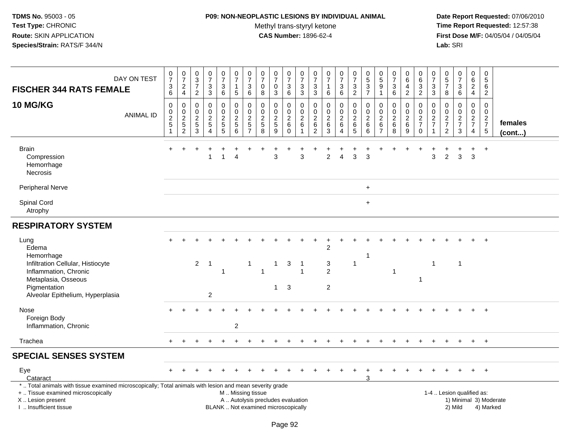### **P09: NON-NEOPLASTIC LESIONS BY INDIVIDUAL ANIMAL**

Methyl trans-styryl ketone<br>CAS Number: 1896-62-4

| DAY ON TEST<br><b>FISCHER 344 RATS FEMALE</b>                                                                                                                                                 | $\begin{array}{c} 0 \\ 7 \end{array}$<br>$\frac{3}{6}$ | $\frac{0}{7}$<br>$\frac{2}{4}$ | $\begin{array}{c} 0 \\ 3 \\ 7 \end{array}$<br>$\overline{2}$ | $\frac{0}{7}$<br>$\ensuremath{\mathsf{3}}$<br>3   | $\frac{0}{7}$<br>$\sqrt{3}$<br>$6\phantom{1}$ | $\frac{0}{7}$<br>$\mathbf{1}$<br>$5\phantom{.0}$                                              | $\pmb{0}$<br>$\overline{7}$<br>$\sqrt{3}$<br>$6\phantom{1}$ | $\begin{array}{c} 0 \\ 7 \end{array}$<br>$\boldsymbol{0}$<br>8 | $\frac{0}{7}$<br>$\pmb{0}$<br>$\mathbf{3}$ | 0<br>$\overline{7}$<br>3<br>$\,6\,$                          | $\frac{0}{7}$<br>3<br>3                | $\pmb{0}$<br>$\overline{7}$<br>$\ensuremath{\mathsf{3}}$<br>$\mathbf{3}$ | $\frac{0}{7}$<br>1<br>$\,6\,$                        | $\begin{array}{c} 0 \\ 7 \end{array}$<br>$^3$ 6 | $\frac{0}{7}$<br>$\frac{3}{2}$ | $\begin{array}{c} 0 \\ 5 \end{array}$<br>$\frac{3}{7}$        | $\begin{array}{c} 0 \\ 5 \end{array}$<br>$\boldsymbol{9}$<br>$\mathbf{1}$ | $\frac{0}{7}$<br>$\sqrt{3}$<br>$6\phantom{1}$ | $\mathbf 0$<br>6<br>$\overline{\mathbf{4}}$<br>$\overline{2}$ | $\begin{array}{c} 0 \\ 6 \end{array}$<br>$\frac{3}{2}$ | 0<br>$\overline{7}$<br>3<br>$\mathbf{3}$ | 0<br>$\sqrt{5}$<br>$\overline{7}$<br>$\boldsymbol{8}$       | $\frac{0}{7}$<br>3<br>6                | $\pmb{0}$<br>$\,6\,$<br>$\overline{c}$<br>$\overline{4}$            | $\pmb{0}$<br>$\sqrt{5}$<br>$\,6\,$<br>$\overline{2}$ |                         |
|-----------------------------------------------------------------------------------------------------------------------------------------------------------------------------------------------|--------------------------------------------------------|--------------------------------|--------------------------------------------------------------|---------------------------------------------------|-----------------------------------------------|-----------------------------------------------------------------------------------------------|-------------------------------------------------------------|----------------------------------------------------------------|--------------------------------------------|--------------------------------------------------------------|----------------------------------------|--------------------------------------------------------------------------|------------------------------------------------------|-------------------------------------------------|--------------------------------|---------------------------------------------------------------|---------------------------------------------------------------------------|-----------------------------------------------|---------------------------------------------------------------|--------------------------------------------------------|------------------------------------------|-------------------------------------------------------------|----------------------------------------|---------------------------------------------------------------------|------------------------------------------------------|-------------------------|
| <b>10 MG/KG</b><br><b>ANIMAL ID</b>                                                                                                                                                           | $\pmb{0}$<br>$\frac{0}{2}$<br>$\mathbf{1}$             | $\pmb{0}$<br>0, 2, 5, 2        | $\pmb{0}$<br>$\mathbf 0$<br>$rac{2}{3}$                      | $\pmb{0}$<br>$\mathsf{O}\xspace$<br>$\frac{2}{5}$ | 0<br>$\mathbf 0$<br>$rac{2}{5}$               | $\pmb{0}$<br>$0$<br>$5$<br>$6$                                                                | $\mathbf 0$<br>$\pmb{0}$<br>$\frac{2}{5}$<br>$\overline{7}$ | $\mathbf 0$<br>$\mathbf 0$<br>$\frac{2}{5}$<br>8               | 0<br>$\pmb{0}$<br>$\frac{2}{5}$            | 0<br>$\pmb{0}$<br>$\boldsymbol{2}$<br>$\,6\,$<br>$\mathbf 0$ | 0<br>$\pmb{0}$<br>$\overline{c}$<br>6  | $\pmb{0}$<br>$\pmb{0}$<br>$^2_6$<br>$\overline{c}$                       | $\pmb{0}$<br>$\mathbf 0$<br>$\overline{c}$<br>$^6_3$ | $\pmb{0}$<br>$\frac{0}{2}$ 6<br>$\overline{4}$  | $\pmb{0}$<br>$0$<br>$6$<br>$5$ | 0<br>$\pmb{0}$<br>$\overline{c}$<br>$\,6\,$<br>$6\phantom{1}$ | 0<br>0267                                                                 | 0<br>$\mathbf 0$<br>$\frac{2}{6}$             | 0<br>$\mathbf 0$<br>$\frac{2}{6}$<br>9                        | $\pmb{0}$<br>$\frac{0}{2}$<br>$\mathbf 0$              | 0<br>$\mathsf 0$<br>$\frac{2}{7}$        | $\mathbf 0$<br>$\pmb{0}$<br>$\frac{2}{7}$<br>$\overline{2}$ | 0<br>$\mathbf 0$<br>$\frac{2}{7}$<br>3 | $\pmb{0}$<br>$\mathsf{O}\xspace$<br>$\frac{2}{7}$<br>$\overline{4}$ | $\mathbf 0$<br>$\pmb{0}$<br>$\frac{2}{7}$            | females<br>$($ cont $)$ |
| <b>Brain</b><br>Compression<br>Hemorrhage<br>Necrosis                                                                                                                                         |                                                        |                                |                                                              |                                                   | $\overline{1}$                                | $\overline{4}$                                                                                |                                                             |                                                                | 3                                          |                                                              | 3                                      |                                                                          | $\overline{2}$                                       | $\overline{4}$                                  | 3                              | 3                                                             |                                                                           |                                               |                                                               |                                                        | 3                                        | $\overline{2}$                                              | 3                                      | +<br>3                                                              | $+$                                                  |                         |
| Peripheral Nerve                                                                                                                                                                              |                                                        |                                |                                                              |                                                   |                                               |                                                                                               |                                                             |                                                                |                                            |                                                              |                                        |                                                                          |                                                      |                                                 |                                | $\ddot{}$                                                     |                                                                           |                                               |                                                               |                                                        |                                          |                                                             |                                        |                                                                     |                                                      |                         |
| Spinal Cord<br>Atrophy                                                                                                                                                                        |                                                        |                                |                                                              |                                                   |                                               |                                                                                               |                                                             |                                                                |                                            |                                                              |                                        |                                                                          |                                                      |                                                 |                                | $\ddot{}$                                                     |                                                                           |                                               |                                                               |                                                        |                                          |                                                             |                                        |                                                                     |                                                      |                         |
| <b>RESPIRATORY SYSTEM</b>                                                                                                                                                                     |                                                        |                                |                                                              |                                                   |                                               |                                                                                               |                                                             |                                                                |                                            |                                                              |                                        |                                                                          |                                                      |                                                 |                                |                                                               |                                                                           |                                               |                                                               |                                                        |                                          |                                                             |                                        |                                                                     |                                                      |                         |
| Lung<br>Edema<br>Hemorrhage                                                                                                                                                                   |                                                        |                                |                                                              |                                                   |                                               |                                                                                               |                                                             |                                                                |                                            |                                                              |                                        |                                                                          | $\ddot{}$<br>$\overline{2}$                          |                                                 |                                | -1                                                            |                                                                           |                                               |                                                               |                                                        |                                          |                                                             |                                        |                                                                     | $\ddot{}$                                            |                         |
| Infiltration Cellular, Histiocyte<br>Inflammation, Chronic<br>Metaplasia, Osseous                                                                                                             |                                                        |                                | $\overline{2}$                                               | - 1                                               | -1                                            |                                                                                               | $\mathbf{1}$                                                | $\overline{1}$                                                 | $\mathbf{1}$                               | 3                                                            | $\overline{1}$<br>$\blacktriangleleft$ |                                                                          | $\sqrt{3}$<br>$\overline{2}$                         |                                                 | $\mathbf{1}$                   |                                                               |                                                                           | $\mathbf{1}$                                  |                                                               | -1                                                     | $\mathbf{1}$                             |                                                             | $\mathbf{1}$                           |                                                                     |                                                      |                         |
| Pigmentation<br>Alveolar Epithelium, Hyperplasia                                                                                                                                              |                                                        |                                |                                                              | $\overline{c}$                                    |                                               |                                                                                               |                                                             |                                                                | $\mathbf{1}$                               | 3                                                            |                                        |                                                                          | $\overline{2}$                                       |                                                 |                                |                                                               |                                                                           |                                               |                                                               |                                                        |                                          |                                                             |                                        |                                                                     |                                                      |                         |
| Nose<br>Foreign Body<br>Inflammation, Chronic                                                                                                                                                 |                                                        |                                |                                                              |                                                   |                                               | $\overline{c}$                                                                                |                                                             |                                                                |                                            |                                                              |                                        |                                                                          |                                                      |                                                 |                                |                                                               |                                                                           |                                               |                                                               |                                                        |                                          |                                                             |                                        |                                                                     | $+$                                                  |                         |
| Trachea                                                                                                                                                                                       |                                                        |                                |                                                              |                                                   |                                               |                                                                                               |                                                             |                                                                |                                            |                                                              |                                        |                                                                          |                                                      |                                                 |                                |                                                               |                                                                           |                                               |                                                               |                                                        |                                          |                                                             |                                        | $+$                                                                 | $+$                                                  |                         |
| <b>SPECIAL SENSES SYSTEM</b>                                                                                                                                                                  |                                                        |                                |                                                              |                                                   |                                               |                                                                                               |                                                             |                                                                |                                            |                                                              |                                        |                                                                          |                                                      |                                                 |                                |                                                               |                                                                           |                                               |                                                               |                                                        |                                          |                                                             |                                        |                                                                     |                                                      |                         |
| Eye<br>Cataract                                                                                                                                                                               |                                                        |                                |                                                              |                                                   |                                               |                                                                                               |                                                             |                                                                |                                            |                                                              |                                        |                                                                          |                                                      |                                                 | $\div$                         | ÷<br>3                                                        |                                                                           |                                               |                                                               |                                                        |                                          |                                                             | ÷                                      | $+$                                                                 | $+$                                                  |                         |
| *  Total animals with tissue examined microscopically; Total animals with lesion and mean severity grade<br>+  Tissue examined microscopically<br>X  Lesion present<br>I. Insufficient tissue |                                                        |                                |                                                              |                                                   |                                               | M  Missing tissue<br>A  Autolysis precludes evaluation<br>BLANK  Not examined microscopically |                                                             |                                                                |                                            |                                                              |                                        |                                                                          |                                                      |                                                 |                                |                                                               |                                                                           |                                               |                                                               |                                                        |                                          |                                                             | 1-4  Lesion qualified as:<br>2) Mild   |                                                                     | 4) Marked                                            | 1) Minimal 3) Moderate  |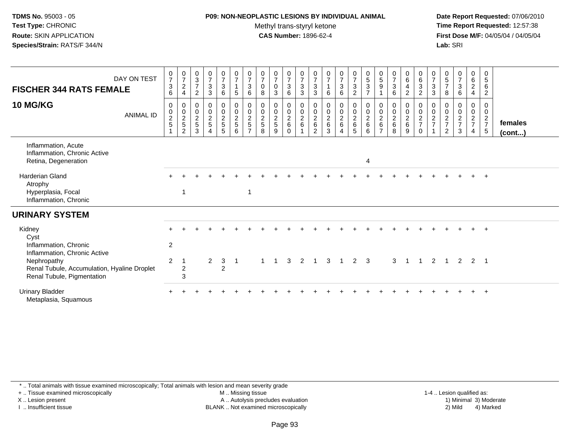#### **P09: NON-NEOPLASTIC LESIONS BY INDIVIDUAL ANIMAL**Methyl trans-styryl ketone<br>CAS Number: 1896-62-4

 **Date Report Requested:** 07/06/2010 **Time Report Requested:** 12:57:38 **First Dose M/F:** 04/05/04 / 04/05/04<br>**Lab:** SRI **Lab:** SRI

| DAY ON TEST<br><b>FISCHER 344 RATS FEMALE</b>                                                                            | $\frac{0}{7}$<br>$\mathsf 3$<br>6           | $\frac{0}{7}$<br>$\sqrt{2}$<br>$\overline{4}$  | $_{3}^{\rm 0}$<br>$\overline{7}$<br>$\sqrt{2}$                      | $\begin{array}{c} 0 \\ 7 \end{array}$<br>$\mathfrak{Z}$<br>$\mathbf{3}$ | $\frac{0}{7}$<br>3<br>6                        | $\begin{array}{c} 0 \\ 7 \end{array}$<br>$\mathbf{1}$<br>$\sqrt{5}$             | $\frac{0}{7}$<br>$\sqrt{3}$<br>$\,6\,$                                     | $\frac{0}{7}$<br>$\mathbf 0$<br>8                                              | $\frac{0}{7}$<br>$\mathbf 0$<br>3                           | $\begin{smallmatrix}0\\7\end{smallmatrix}$<br>$\mathbf{3}$<br>6 | $\frac{0}{7}$<br>3<br>3                            | $\frac{0}{7}$<br>$\overline{3}$<br>3       | $\frac{0}{7}$<br>$\mathbf{1}$<br>6           | $\frac{0}{7}$<br>$\overline{3}$<br>$\,6\,$                              | $\begin{smallmatrix}0\\7\end{smallmatrix}$<br>$\overline{3}$<br>$\overline{2}$ | $\begin{array}{c} 0 \\ 5 \\ 3 \end{array}$<br>$\overline{7}$ | $\begin{array}{c} 0 \\ 5 \end{array}$<br>9                | $\frac{0}{7}$<br>$\overline{3}$<br>6                                  | $_6^0$<br>$\overline{4}$<br>2                 | $\begin{matrix} 0 \\ 6 \\ 3 \end{matrix}$<br>$\overline{2}$ | $\begin{array}{c} 0 \\ 7 \end{array}$<br>$\sqrt{3}$<br>$\mathbf{3}$ | $\begin{array}{c} 0 \\ 5 \\ 7 \end{array}$<br>8                              | $\begin{array}{c} 0 \\ 7 \end{array}$<br>$\sqrt{3}$<br>$\,6\,$ | $_6^0$<br>$\overline{a}$<br>4                                          | 0<br>$\overline{5}$<br>6<br>$\overline{c}$                              |                   |
|--------------------------------------------------------------------------------------------------------------------------|---------------------------------------------|------------------------------------------------|---------------------------------------------------------------------|-------------------------------------------------------------------------|------------------------------------------------|---------------------------------------------------------------------------------|----------------------------------------------------------------------------|--------------------------------------------------------------------------------|-------------------------------------------------------------|-----------------------------------------------------------------|----------------------------------------------------|--------------------------------------------|----------------------------------------------|-------------------------------------------------------------------------|--------------------------------------------------------------------------------|--------------------------------------------------------------|-----------------------------------------------------------|-----------------------------------------------------------------------|-----------------------------------------------|-------------------------------------------------------------|---------------------------------------------------------------------|------------------------------------------------------------------------------|----------------------------------------------------------------|------------------------------------------------------------------------|-------------------------------------------------------------------------|-------------------|
| <b>10 MG/KG</b><br><b>ANIMAL ID</b>                                                                                      | $\mathbf 0$<br>$\mathbf 0$<br>$\frac{2}{5}$ | $\mathbf 0$<br>$\frac{0}{2}$<br>$\overline{2}$ | $\mathbf 0$<br>$\mathbf 0$<br>$\overline{c}$<br>$\overline{5}$<br>3 | $\mathbf 0$<br>$\mathbf 0$<br>$\overline{2}$<br>$\overline{5}$<br>4     | 0<br>$\mathsf{O}\xspace$<br>$\frac{2}{5}$<br>5 | $\mathsf{O}\xspace$<br>$\mathsf{O}\xspace$<br>$\overline{2}$<br>$\sqrt{5}$<br>6 | $\pmb{0}$<br>$\mathbf 0$<br>$\overline{2}$<br>$\sqrt{5}$<br>$\overline{ }$ | $\mathbf 0$<br>$\begin{smallmatrix} 0\\2 \end{smallmatrix}$<br>$\sqrt{5}$<br>8 | $\mathbf 0$<br>$\mathbf 0$<br>$\sqrt{2}$<br>$\sqrt{5}$<br>9 | 0<br>$\mathbf 0$<br>$\frac{2}{6}$<br>$\Omega$                   | 0<br>$\boldsymbol{0}$<br>$\overline{a}$<br>$\,6\,$ | 0<br>$\pmb{0}$<br>$\overline{2}$<br>6<br>2 | 0<br>$\mathsf 0$<br>$\overline{2}$<br>6<br>3 | $\pmb{0}$<br>$\frac{0}{2}$<br>$6\phantom{1}$<br>$\overline{\mathbf{4}}$ | $\mathbf 0$<br>$\frac{0}{2}$<br>5                                              | $\mathsf 0$<br>$\frac{0}{2}$<br>$6\phantom{1}6$<br>6         | 0<br>$\mathbf 0$<br>$\overline{2}$<br>6<br>$\overline{ }$ | $\mathbf 0$<br>$\begin{smallmatrix} 0\\2 \end{smallmatrix}$<br>6<br>8 | 0<br>$\mathsf{O}$<br>$\overline{2}$<br>6<br>9 | $\pmb{0}$<br>$\frac{0}{2}$<br>$\overline{0}$                | $\mathbf 0$<br>$\pmb{0}$<br>$\sqrt{2}$<br>$\overline{7}$            | $\mathbf{0}$<br>$\begin{array}{c} 0 \\ 2 \\ 7 \end{array}$<br>$\overline{2}$ | 0<br>$\pmb{0}$<br>$\frac{2}{7}$<br>3                           | 0<br>$\mathbf 0$<br>$\overline{a}$<br>$\overline{7}$<br>$\overline{4}$ | 0<br>$\mathbf 0$<br>$\overline{2}$<br>$\overline{7}$<br>$5\phantom{.0}$ | females<br>(cont) |
| Inflammation, Acute<br>Inflammation, Chronic Active<br>Retina, Degeneration                                              |                                             |                                                |                                                                     |                                                                         |                                                |                                                                                 |                                                                            |                                                                                |                                                             |                                                                 |                                                    |                                            |                                              |                                                                         |                                                                                | $\overline{4}$                                               |                                                           |                                                                       |                                               |                                                             |                                                                     |                                                                              |                                                                |                                                                        |                                                                         |                   |
| <b>Harderian Gland</b><br>Atrophy<br>Hyperplasia, Focal<br>Inflammation, Chronic                                         |                                             | -1                                             |                                                                     |                                                                         |                                                |                                                                                 | -1                                                                         |                                                                                |                                                             |                                                                 |                                                    |                                            |                                              |                                                                         |                                                                                |                                                              |                                                           |                                                                       |                                               |                                                             |                                                                     |                                                                              |                                                                |                                                                        |                                                                         |                   |
| <b>URINARY SYSTEM</b>                                                                                                    |                                             |                                                |                                                                     |                                                                         |                                                |                                                                                 |                                                                            |                                                                                |                                                             |                                                                 |                                                    |                                            |                                              |                                                                         |                                                                                |                                                              |                                                           |                                                                       |                                               |                                                             |                                                                     |                                                                              |                                                                |                                                                        |                                                                         |                   |
| Kidney<br>Cyst<br>Inflammation, Chronic                                                                                  | $\overline{2}$                              |                                                |                                                                     |                                                                         |                                                |                                                                                 |                                                                            |                                                                                |                                                             |                                                                 |                                                    |                                            |                                              |                                                                         |                                                                                |                                                              |                                                           |                                                                       |                                               |                                                             |                                                                     |                                                                              |                                                                |                                                                        |                                                                         |                   |
| Inflammation, Chronic Active<br>Nephropathy<br>Renal Tubule, Accumulation, Hyaline Droplet<br>Renal Tubule, Pigmentation | $\overline{c}$                              | $\overline{c}$<br>$\overline{3}$               |                                                                     | $\overline{2}$                                                          | 3<br>$\mathcal{P}$                             |                                                                                 |                                                                            |                                                                                |                                                             | 3                                                               |                                                    |                                            | 3                                            |                                                                         | $\overline{2}$                                                                 | 3                                                            |                                                           | 3                                                                     |                                               |                                                             | 2                                                                   |                                                                              | 2                                                              | 2                                                                      | $\overline{\phantom{0}}$                                                |                   |
| <b>Urinary Bladder</b><br>Metaplasia, Squamous                                                                           |                                             |                                                |                                                                     |                                                                         |                                                |                                                                                 |                                                                            |                                                                                |                                                             |                                                                 |                                                    |                                            |                                              |                                                                         |                                                                                |                                                              |                                                           |                                                                       |                                               |                                                             |                                                                     |                                                                              |                                                                |                                                                        |                                                                         |                   |

\* .. Total animals with tissue examined microscopically; Total animals with lesion and mean severity grade

+ .. Tissue examined microscopically

X .. Lesion present

I .. Insufficient tissue

M .. Missing tissue

A .. Autolysis precludes evaluation

 1-4 .. Lesion qualified as: BLANK .. Not examined microscopically 2) Mild 4) Marked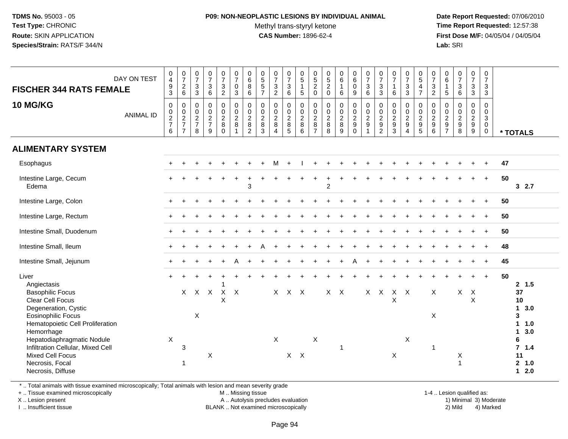### **P09: NON-NEOPLASTIC LESIONS BY INDIVIDUAL ANIMAL**Methyl trans-styryl ketone<br>CAS Number: 1896-62-4

 **Date Report Requested:** 07/06/2010 **Time Report Requested:** 12:57:38 **First Dose M/F:** 04/05/04 / 04/05/04<br>**Lab:** SRI **Lab:** SRI

| DAY ON TEST<br><b>FISCHER 344 RATS FEMALE</b>                                                                                                                                                                                                                                                      | $\begin{smallmatrix}0\0\4\end{smallmatrix}$<br>$\frac{9}{3}$              | $\frac{0}{7}$<br>$\sqrt{2}$<br>$\,6\,$                      | $\frac{0}{7}$<br>$\mathbf{3}$<br>3           | $\frac{0}{7}$<br>3<br>6                                                   | $\frac{0}{7}$<br>$\frac{3}{2}$                                    | $\frac{0}{7}$<br>$\mathsf{O}\xspace$<br>$\mathbf{3}$  | $\begin{array}{c} 0 \\ 6 \\ 8 \end{array}$<br>$\,6$ | 0<br>5<br>5<br>7                                        | $\begin{array}{c} 0 \\ 7 \end{array}$<br>$\frac{3}{2}$ | $\frac{0}{7}$<br>$\ensuremath{\mathsf{3}}$<br>$\,6\,$ | 0<br>$\overline{5}$<br>$\mathbf{1}$<br>$\sqrt{5}$       | $\begin{array}{c} 0 \\ 5 \\ 2 \end{array}$<br>$\mathbf 0$                 | $\begin{array}{c} 0 \\ 5 \\ 2 \end{array}$<br>$\mathbf 0$           | $\begin{array}{c} 0 \\ 6 \end{array}$<br>$\mathbf{1}$<br>$\,6\,$  | $\begin{matrix} 0 \\ 6 \\ 0 \end{matrix}$<br>9                                 | $\frac{0}{7}$<br>$\mathsf 3$<br>$\,6\,$                      | $\begin{array}{c} 0 \\ 7 \end{array}$<br>$\mathsf 3$<br>$\sqrt{3}$ | $\begin{array}{c} 0 \\ 7 \end{array}$<br>$\mathbf{1}$<br>$\,6\,$ | $\frac{0}{7}$<br>$\frac{3}{3}$                                | $\frac{0}{5}$<br>4<br>$\overline{7}$             | $\frac{0}{7}$<br>$\sqrt{3}$<br>$\sqrt{2}$                               | $0\over 6$<br>$\mathbf{1}$<br>$5\phantom{.0}$                                            | $\frac{0}{7}$<br>$\frac{3}{6}$                                    | $\begin{smallmatrix}0\\7\end{smallmatrix}$<br>$\mathfrak{S}$<br>3           | 0<br>$\overline{7}$<br>3<br>3   |    |                                                                                                                      |
|----------------------------------------------------------------------------------------------------------------------------------------------------------------------------------------------------------------------------------------------------------------------------------------------------|---------------------------------------------------------------------------|-------------------------------------------------------------|----------------------------------------------|---------------------------------------------------------------------------|-------------------------------------------------------------------|-------------------------------------------------------|-----------------------------------------------------|---------------------------------------------------------|--------------------------------------------------------|-------------------------------------------------------|---------------------------------------------------------|---------------------------------------------------------------------------|---------------------------------------------------------------------|-------------------------------------------------------------------|--------------------------------------------------------------------------------|--------------------------------------------------------------|--------------------------------------------------------------------|------------------------------------------------------------------|---------------------------------------------------------------|--------------------------------------------------|-------------------------------------------------------------------------|------------------------------------------------------------------------------------------|-------------------------------------------------------------------|-----------------------------------------------------------------------------|---------------------------------|----|----------------------------------------------------------------------------------------------------------------------|
| 10 MG/KG<br><b>ANIMAL ID</b>                                                                                                                                                                                                                                                                       | $\boldsymbol{0}$<br>$\begin{array}{c} 0 \\ 2 \\ 7 \end{array}$<br>$\,6\,$ | $\pmb{0}$<br>$\mathbf 0$<br>$\frac{2}{7}$<br>$\overline{7}$ | $\mathbf 0$<br>$\,0\,$<br>$\frac{2}{7}$<br>8 | $\pmb{0}$<br>$\mathsf{O}\xspace$<br>$\overline{2}$<br>$\overline{7}$<br>9 | $\begin{array}{c} 0 \\ 0 \\ 2 \\ 8 \end{array}$<br>$\overline{0}$ | $\mathsf{O}$<br>$\pmb{0}$<br>$\overline{2}$<br>8<br>1 | $\pmb{0}$<br>$\frac{0}{2}$<br>$\overline{2}$        | $\mathbf 0$<br>$\frac{0}{2}$<br>$\bf 8$<br>$\mathbf{3}$ | $\pmb{0}$<br>$\frac{0}{2}$<br>$\overline{4}$           | $\pmb{0}$<br>$\frac{0}{2}$<br>$\overline{5}$          | 0<br>$\boldsymbol{0}$<br>$\overline{2}$<br>8<br>$\,6\,$ | $\mathbf 0$<br>$\mathbf 0$<br>$\overline{2}$<br>$\bf 8$<br>$\overline{7}$ | $\boldsymbol{0}$<br>$\mathsf{O}\xspace$<br>$\overline{c}$<br>8<br>8 | $\begin{array}{c} 0 \\ 0 \\ 2 \\ 8 \end{array}$<br>$\overline{9}$ | $\mathsf{O}\xspace$<br>$\overline{0}$<br>$\overline{c}$<br>9<br>$\overline{0}$ | $\pmb{0}$<br>$\pmb{0}$<br>$\overline{c}$<br>$\boldsymbol{9}$ | $\mathbf 0$<br>$\frac{0}{2}$<br>$\overline{2}$                     | $\pmb{0}$<br>$\frac{0}{2}$<br>$\overline{3}$                     | $\pmb{0}$<br>$\pmb{0}$<br>$\sqrt{2}$<br>$\boldsymbol{9}$<br>4 | $\mathbf 0$<br>$\mathbf 0$<br>$\frac{2}{9}$<br>5 | $\mathbf 0$<br>$\mathbf 0$<br>$\sqrt{2}$<br>$\boldsymbol{9}$<br>$\,6\,$ | $\pmb{0}$<br>$\mathsf{O}\xspace$<br>$\overline{c}$<br>$\boldsymbol{9}$<br>$\overline{7}$ | $\begin{array}{c} 0 \\ 0 \\ 2 \\ 9 \end{array}$<br>$\overline{8}$ | $\mathsf 0$<br>$\mathsf{O}\xspace$<br>$\overline{2}$<br>9<br>$\overline{9}$ | $\mathbf 0$<br>0<br>3<br>0<br>0 |    | * TOTALS                                                                                                             |
| <b>ALIMENTARY SYSTEM</b>                                                                                                                                                                                                                                                                           |                                                                           |                                                             |                                              |                                                                           |                                                                   |                                                       |                                                     |                                                         |                                                        |                                                       |                                                         |                                                                           |                                                                     |                                                                   |                                                                                |                                                              |                                                                    |                                                                  |                                                               |                                                  |                                                                         |                                                                                          |                                                                   |                                                                             |                                 |    |                                                                                                                      |
| Esophagus                                                                                                                                                                                                                                                                                          |                                                                           |                                                             |                                              |                                                                           |                                                                   |                                                       |                                                     |                                                         | м                                                      |                                                       |                                                         |                                                                           |                                                                     |                                                                   |                                                                                |                                                              |                                                                    |                                                                  |                                                               |                                                  |                                                                         |                                                                                          |                                                                   |                                                                             |                                 | 47 |                                                                                                                      |
| Intestine Large, Cecum<br>Edema                                                                                                                                                                                                                                                                    |                                                                           |                                                             |                                              |                                                                           |                                                                   |                                                       | 3                                                   |                                                         |                                                        |                                                       |                                                         |                                                                           | $\overline{2}$                                                      |                                                                   |                                                                                |                                                              |                                                                    |                                                                  |                                                               |                                                  |                                                                         |                                                                                          |                                                                   |                                                                             | $+$                             | 50 | 32.7                                                                                                                 |
| Intestine Large, Colon                                                                                                                                                                                                                                                                             |                                                                           |                                                             |                                              |                                                                           |                                                                   |                                                       |                                                     |                                                         |                                                        |                                                       |                                                         |                                                                           |                                                                     |                                                                   |                                                                                |                                                              |                                                                    |                                                                  |                                                               |                                                  |                                                                         |                                                                                          |                                                                   |                                                                             |                                 | 50 |                                                                                                                      |
| Intestine Large, Rectum                                                                                                                                                                                                                                                                            |                                                                           |                                                             |                                              |                                                                           |                                                                   |                                                       |                                                     |                                                         |                                                        |                                                       |                                                         |                                                                           |                                                                     |                                                                   |                                                                                |                                                              |                                                                    |                                                                  |                                                               |                                                  |                                                                         |                                                                                          |                                                                   |                                                                             |                                 | 50 |                                                                                                                      |
| Intestine Small, Duodenum                                                                                                                                                                                                                                                                          |                                                                           |                                                             |                                              |                                                                           |                                                                   |                                                       |                                                     |                                                         |                                                        |                                                       |                                                         |                                                                           |                                                                     |                                                                   |                                                                                |                                                              |                                                                    |                                                                  |                                                               |                                                  |                                                                         |                                                                                          |                                                                   |                                                                             |                                 | 50 |                                                                                                                      |
| Intestine Small, Ileum                                                                                                                                                                                                                                                                             |                                                                           |                                                             |                                              |                                                                           |                                                                   |                                                       |                                                     |                                                         |                                                        |                                                       |                                                         |                                                                           |                                                                     |                                                                   |                                                                                |                                                              |                                                                    |                                                                  |                                                               |                                                  |                                                                         |                                                                                          |                                                                   |                                                                             |                                 | 48 |                                                                                                                      |
| Intestine Small, Jejunum                                                                                                                                                                                                                                                                           |                                                                           |                                                             |                                              |                                                                           |                                                                   | Δ                                                     |                                                     |                                                         |                                                        |                                                       |                                                         |                                                                           |                                                                     |                                                                   |                                                                                |                                                              |                                                                    |                                                                  |                                                               |                                                  |                                                                         |                                                                                          |                                                                   |                                                                             | $+$                             | 45 |                                                                                                                      |
| Liver<br>Angiectasis<br><b>Basophilic Focus</b><br>Clear Cell Focus<br>Degeneration, Cystic<br>Eosinophilic Focus<br>Hematopoietic Cell Proliferation<br>Hemorrhage<br>Hepatodiaphragmatic Nodule<br>Infiltration Cellular, Mixed Cell<br>Mixed Cell Focus<br>Necrosis, Focal<br>Necrosis, Diffuse | $\mathsf X$                                                               | $\times$<br>3<br>$\mathbf 1$                                | $\boldsymbol{\mathsf{X}}$                    | $X$ $X$<br>X                                                              | $X$ $X$<br>X                                                      |                                                       |                                                     |                                                         | X                                                      | $X$ $X$ $X$<br>$X$ $X$                                |                                                         | $\mathsf X$                                                               | $X$ $X$                                                             |                                                                   |                                                                                | $X$ $X$                                                      |                                                                    | $X$ $X$<br>$\mathsf X$<br>X                                      | X                                                             |                                                  | $\mathsf{X}$<br>$\pmb{\times}$<br>$\mathbf 1$                           |                                                                                          | X                                                                 | $X$ $X$<br>X                                                                |                                 | 50 | 2, 1.5<br>37<br>10<br>3.0<br>$\mathbf 1$<br>3<br>11.0<br>3.0<br>$\mathbf 1$<br>6<br>7, 1.4<br>11<br>2, 1.0<br>$12.0$ |

\* .. Total animals with tissue examined microscopically; Total animals with lesion and mean severity grade

+ .. Tissue examined microscopically

X .. Lesion present

I .. Insufficient tissue

M .. Missing tissue

BLANK .. Not examined microscopically

 1-4 .. Lesion qualified as: A .. Autolysis precludes evaluation 19 and 10 minimal 3) Moderate 1 and 20 minimal 3) Moderate 19 minimal 3) Moderat<br>19 and 19 and 19 and 19 and 19 and 19 and 19 and 19 and 19 and 19 and 19 and 19 and 19 and 19 and 19 and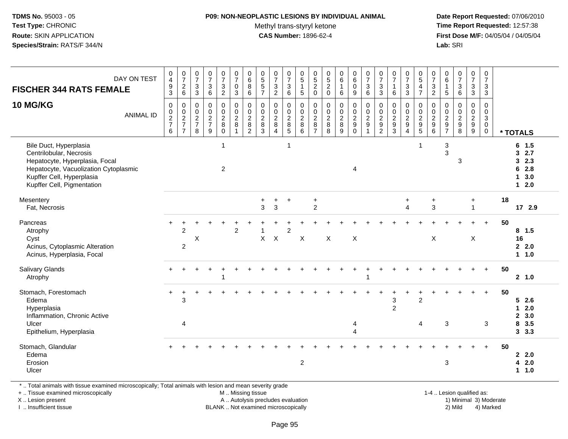#### **P09: NON-NEOPLASTIC LESIONS BY INDIVIDUAL ANIMAL**

Methyl trans-styryl ketone<br>CAS Number: 1896-62-4

 **Date Report Requested:** 07/06/2010 **Time Report Requested:** 12:57:38 **First Dose M/F:** 04/05/04 / 04/05/04 Lab: SRI **Lab:** SRI

| DAY ON TEST<br><b>FISCHER 344 RATS FEMALE</b><br><b>10 MG/KG</b><br><b>ANIMAL ID</b>                                                                                                    | $\pmb{0}$<br>$\overline{\mathbf{4}}$<br>$\frac{9}{3}$<br>$\pmb{0}$<br>$\frac{0}{2}$<br>6 | $\begin{array}{c} 0 \\ 7 \end{array}$<br>$\overline{c}$<br>$6\phantom{1}$<br>0<br>$\frac{0}{2}$<br>$\overline{7}$ | $\pmb{0}$<br>$\overline{7}$<br>$\sqrt{3}$<br>$\mathbf{3}$<br>$\mathbf 0$<br>$\mathbf 0$<br>$\overline{2}$<br>$\overline{7}$<br>8 | $\frac{0}{7}$<br>$\sqrt{3}$<br>6<br>0<br>$\begin{array}{c} 0 \\ 2 \\ 7 \end{array}$<br>9 | $\begin{array}{c} 0 \\ 7 \end{array}$<br>3<br>$\overline{2}$<br>0<br>$\overline{0}$<br>$\frac{2}{8}$<br>$\mathbf 0$ | $\frac{0}{7}$<br>0<br>3<br>0<br>$^{\rm 0}_{\rm 2}$<br>8<br>$\mathbf{1}$ | $_6^0$<br>8<br>6<br>0<br>$\frac{0}{2}$<br>8<br>$\overline{2}$ | $\begin{array}{c} 0 \\ 5 \end{array}$<br>$\sqrt{5}$<br>$\overline{7}$<br>0<br>0<br>$\sqrt{2}$<br>8<br>3 | $\begin{array}{c} 0 \\ 7 \end{array}$<br>$\sqrt{3}$<br>$\overline{2}$<br>$\mathbf 0$<br>$\frac{0}{2}$<br>8<br>$\boldsymbol{\Lambda}$ | $\frac{0}{7}$<br>$\mathbf{3}$<br>6<br>0<br>0<br>$\overline{2}$<br>8<br>5 | $\pmb{0}$<br>5<br>$\mathbf{1}$<br>5<br>$\mathbf 0$<br>$\boldsymbol{0}$<br>$\overline{2}$<br>8<br>6 | $\begin{array}{c} 0 \\ 5 \end{array}$<br>$\overline{c}$<br>$\mathbf 0$<br>0<br>$_{2}^{\rm 0}$<br>8<br>$\overline{7}$ | $\begin{array}{c} 0 \\ 5 \end{array}$<br>$\overline{c}$<br>$\mathbf 0$<br>$\mathbf 0$<br>$\frac{0}{2}$<br>8 | $\begin{array}{c} 0 \\ 6 \end{array}$<br>$\mathbf{1}$<br>$\,6\,$<br>$\mathsf 0$<br>$\frac{0}{2}$<br>9 | $\begin{array}{c} 0 \\ 6 \end{array}$<br>0<br>$\boldsymbol{9}$<br>0<br>$\begin{smallmatrix} 0\\2\\9 \end{smallmatrix}$<br>$\mathbf 0$ | $\frac{0}{7}$<br>$\mathbf{3}$<br>6<br>0<br>$\frac{0}{2}$<br>$9\,$<br>$\overline{1}$ | $\begin{array}{c} 0 \\ 7 \end{array}$<br>3<br>3<br>$\mathbf 0$<br>$\begin{smallmatrix} 0\\2\\9 \end{smallmatrix}$<br>$\overline{2}$ | $\begin{array}{c} 0 \\ 7 \end{array}$<br>$\overline{1}$<br>6<br>0<br>$\mathbf 0$<br>$\overline{2}$<br>9<br>$\mathbf{3}$ | $\begin{array}{c} 0 \\ 7 \end{array}$<br>$\sqrt{3}$<br>$\mathbf{3}$<br>$\mathbf 0$<br>$\mathbf 0$<br>$\overline{2}$<br>$9\,$<br>$\boldsymbol{\Lambda}$ | $\begin{array}{c} 0 \\ 5 \end{array}$<br>$\overline{4}$<br>$\overline{7}$<br>0<br>$\begin{smallmatrix} 0\\2\\9 \end{smallmatrix}$<br>$\overline{5}$ | $\frac{0}{7}$<br>$\sqrt{3}$<br>$\overline{2}$<br>$\mathbf 0$<br>$\mathbf 0$<br>$\overline{2}$<br>$\boldsymbol{9}$<br>6 | $\begin{array}{c} 0 \\ 6 \end{array}$<br>$\mathbf{1}$<br>5<br>0<br>0<br>$\sqrt{2}$<br>9<br>$\overline{7}$ | $\frac{0}{7}$<br>$\ensuremath{\mathsf{3}}$<br>$6\phantom{a}$<br>0<br>$\frac{0}{2}$<br>8 | $\frac{0}{7}$<br>$\mathbf{3}$<br>3<br>0<br>$\frac{0}{2}$<br>9 | $\mathbf 0$<br>$\overline{7}$<br>3<br>$\mathbf{3}$<br>$\mathbf 0$<br>0<br>3<br>$\overline{0}$<br>$\overline{0}$ |    | * TOTALS                                                                                |
|-----------------------------------------------------------------------------------------------------------------------------------------------------------------------------------------|------------------------------------------------------------------------------------------|-------------------------------------------------------------------------------------------------------------------|----------------------------------------------------------------------------------------------------------------------------------|------------------------------------------------------------------------------------------|---------------------------------------------------------------------------------------------------------------------|-------------------------------------------------------------------------|---------------------------------------------------------------|---------------------------------------------------------------------------------------------------------|--------------------------------------------------------------------------------------------------------------------------------------|--------------------------------------------------------------------------|----------------------------------------------------------------------------------------------------|----------------------------------------------------------------------------------------------------------------------|-------------------------------------------------------------------------------------------------------------|-------------------------------------------------------------------------------------------------------|---------------------------------------------------------------------------------------------------------------------------------------|-------------------------------------------------------------------------------------|-------------------------------------------------------------------------------------------------------------------------------------|-------------------------------------------------------------------------------------------------------------------------|--------------------------------------------------------------------------------------------------------------------------------------------------------|-----------------------------------------------------------------------------------------------------------------------------------------------------|------------------------------------------------------------------------------------------------------------------------|-----------------------------------------------------------------------------------------------------------|-----------------------------------------------------------------------------------------|---------------------------------------------------------------|-----------------------------------------------------------------------------------------------------------------|----|-----------------------------------------------------------------------------------------|
| Bile Duct, Hyperplasia<br>Centrilobular, Necrosis<br>Hepatocyte, Hyperplasia, Focal<br>Hepatocyte, Vacuolization Cytoplasmic<br>Kupffer Cell, Hyperplasia<br>Kupffer Cell, Pigmentation |                                                                                          |                                                                                                                   |                                                                                                                                  |                                                                                          | $\mathbf{1}$<br>$\overline{c}$                                                                                      |                                                                         |                                                               |                                                                                                         |                                                                                                                                      | $\mathbf{1}$                                                             |                                                                                                    |                                                                                                                      |                                                                                                             |                                                                                                       | 4                                                                                                                                     |                                                                                     |                                                                                                                                     |                                                                                                                         |                                                                                                                                                        | -1                                                                                                                                                  |                                                                                                                        | 3<br>3                                                                                                    | 3                                                                                       |                                                               |                                                                                                                 |    | $6$ 1.5<br>2.7<br>3<br>2.3<br>3<br>2.8<br>6<br>3.0<br>$\mathbf 1$<br>2.0<br>$\mathbf 1$ |
| Mesentery<br>Fat, Necrosis                                                                                                                                                              |                                                                                          |                                                                                                                   |                                                                                                                                  |                                                                                          |                                                                                                                     |                                                                         |                                                               | $\ddot{}$<br>3                                                                                          | $\ddot{}$<br>3                                                                                                                       | $\ddot{}$                                                                |                                                                                                    | $\ddot{}$<br>$\overline{2}$                                                                                          |                                                                                                             |                                                                                                       |                                                                                                                                       |                                                                                     |                                                                                                                                     |                                                                                                                         | $\ddot{}$<br>$\boldsymbol{\Lambda}$                                                                                                                    |                                                                                                                                                     | $\ddot{}$<br>3                                                                                                         |                                                                                                           |                                                                                         | $\ddot{}$<br>$\overline{1}$                                   |                                                                                                                 | 18 | 172.9                                                                                   |
| Pancreas<br>Atrophy<br>Cyst<br>Acinus, Cytoplasmic Alteration<br>Acinus, Hyperplasia, Focal                                                                                             |                                                                                          | $\overline{c}$<br>2                                                                                               | $\mathsf X$                                                                                                                      |                                                                                          |                                                                                                                     | $\overline{2}$                                                          |                                                               | X                                                                                                       | $\boldsymbol{\mathsf{X}}$                                                                                                            | $\overline{c}$                                                           | $\boldsymbol{\mathsf{X}}$                                                                          |                                                                                                                      | X                                                                                                           |                                                                                                       | $\boldsymbol{\mathsf{X}}$                                                                                                             |                                                                                     |                                                                                                                                     |                                                                                                                         |                                                                                                                                                        |                                                                                                                                                     | $\boldsymbol{\mathsf{X}}$                                                                                              |                                                                                                           |                                                                                         | X                                                             | $\ddot{}$                                                                                                       | 50 | $8$ 1.5<br>16<br>22.0<br>1 1.0                                                          |
| Salivary Glands<br>Atrophy                                                                                                                                                              |                                                                                          |                                                                                                                   |                                                                                                                                  |                                                                                          | 1                                                                                                                   |                                                                         |                                                               |                                                                                                         |                                                                                                                                      |                                                                          |                                                                                                    |                                                                                                                      |                                                                                                             |                                                                                                       |                                                                                                                                       | 1                                                                                   |                                                                                                                                     |                                                                                                                         |                                                                                                                                                        |                                                                                                                                                     |                                                                                                                        |                                                                                                           |                                                                                         |                                                               | $\ddot{}$                                                                                                       | 50 | 2, 1.0                                                                                  |
| Stomach, Forestomach<br>Edema<br>Hyperplasia<br>Inflammation, Chronic Active<br>Ulcer<br>Epithelium, Hyperplasia                                                                        | $\ddot{}$                                                                                | ÷<br>3<br>$\overline{4}$                                                                                          |                                                                                                                                  |                                                                                          |                                                                                                                     |                                                                         |                                                               |                                                                                                         |                                                                                                                                      |                                                                          |                                                                                                    |                                                                                                                      |                                                                                                             |                                                                                                       | 4<br>4                                                                                                                                |                                                                                     |                                                                                                                                     | 3<br>$\overline{c}$                                                                                                     |                                                                                                                                                        | $\overline{2}$<br>4                                                                                                                                 |                                                                                                                        | 3                                                                                                         |                                                                                         |                                                               | $+$<br>3                                                                                                        | 50 | 52.6<br>2.0<br>$\mathbf{1}$<br>3.0<br>$\mathbf{2}$<br>3.5<br>8<br>3, 3.3                |
| Stomach, Glandular<br>Edema<br>Erosion<br>Ulcer                                                                                                                                         |                                                                                          |                                                                                                                   |                                                                                                                                  |                                                                                          |                                                                                                                     |                                                                         |                                                               |                                                                                                         |                                                                                                                                      |                                                                          | $\boldsymbol{2}$                                                                                   |                                                                                                                      |                                                                                                             |                                                                                                       |                                                                                                                                       |                                                                                     |                                                                                                                                     |                                                                                                                         |                                                                                                                                                        |                                                                                                                                                     |                                                                                                                        | 3                                                                                                         |                                                                                         |                                                               | $+$                                                                                                             | 50 | 2.2.0<br>42.0<br>1.0<br>$\mathbf 1$                                                     |

\* .. Total animals with tissue examined microscopically; Total animals with lesion and mean severity grade

+ .. Tissue examined microscopically

X .. Lesion present

I .. Insufficient tissue

 M .. Missing tissueA .. Autolysis precludes evaluation

BLANK .. Not examined microscopically 2) Mild 4) Marked

1-4 .. Lesion qualified as: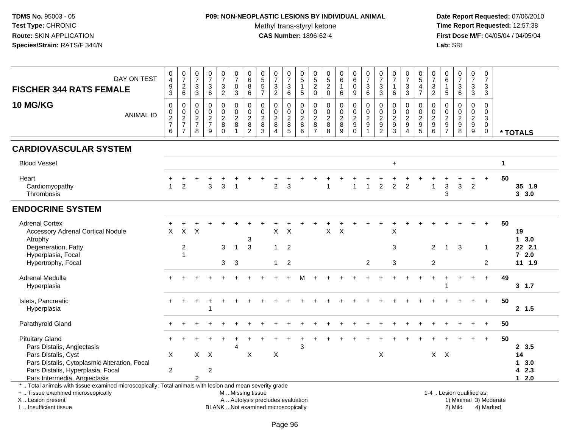## **P09: NON-NEOPLASTIC LESIONS BY INDIVIDUAL ANIMAL**

Methyl trans-styryl ketone<br>CAS Number: 1896-62-4

 **Date Report Requested:** 07/06/2010 **Time Report Requested:** 12:57:38 **First Dose M/F:** 04/05/04 / 04/05/04<br>Lab: SRI **Lab:** SRI

| DAY ON TEST<br><b>FISCHER 344 RATS FEMALE</b>                                                                                                                                                 | 0<br>$\overline{4}$<br>$\frac{9}{3}$   | $\frac{0}{7}$<br>$\frac{2}{6}$                 | $\frac{0}{7}$<br>$\sqrt{3}$<br>$\mathbf{3}$           | $\pmb{0}$<br>$\overline{7}$<br>$\ensuremath{\mathsf{3}}$<br>$\,6\,$ | $\frac{0}{7}$<br>$\frac{3}{2}$                   | $\frac{0}{7}$<br>$\pmb{0}$<br>$\overline{3}$                             | $\begin{array}{c} 0 \\ 6 \end{array}$<br>$\bf 8$<br>$\,6\,$      | $0$<br>5<br>5<br>5<br>7                       | $\frac{0}{7}$<br>$\frac{3}{2}$                                        | $\frac{0}{7}$<br>3<br>$6\phantom{1}$  | $\begin{array}{c} 0 \\ 5 \end{array}$<br>$\mathbf{1}$<br>$5\phantom{.0}$ | $\begin{array}{c} 0 \\ 5 \\ 2 \end{array}$<br>$\mathbf 0$                                     | $\begin{array}{c} 0 \\ 5 \end{array}$<br>$\overline{2}$<br>$\mathsf{O}\xspace$ | $\begin{array}{c} 0 \\ 6 \end{array}$<br>$\mathbf{1}$<br>$\,6\,$ | $\begin{array}{c} 0 \\ 6 \end{array}$<br>$\overline{0}$<br>$\boldsymbol{9}$ | $\begin{smallmatrix}0\\7\end{smallmatrix}$<br>$\overline{3}$<br>6 | $\frac{0}{7}$<br>$\ensuremath{\mathsf{3}}$<br>3     | 0<br>$\overline{7}$<br>$\mathbf{1}$<br>$\,6\,$                | $\frac{0}{7}$<br>$_3^3$                                       | $\begin{array}{c} 0 \\ 5 \end{array}$<br>$\overline{4}$<br>$\overline{7}$ | $\frac{0}{7}$<br>$\frac{3}{2}$                                 | 0<br>6<br>1<br>$5\phantom{.0}$                                                  | $\frac{0}{7}$<br>3<br>$\,6\,$          | $\begin{array}{c} 0 \\ 7 \end{array}$<br>$\frac{3}{3}$ | $\mathbf 0$<br>$\overline{7}$<br>$\mathsf 3$<br>$\mathbf{3}$  |                        |                                   |
|-----------------------------------------------------------------------------------------------------------------------------------------------------------------------------------------------|----------------------------------------|------------------------------------------------|-------------------------------------------------------|---------------------------------------------------------------------|--------------------------------------------------|--------------------------------------------------------------------------|------------------------------------------------------------------|-----------------------------------------------|-----------------------------------------------------------------------|---------------------------------------|--------------------------------------------------------------------------|-----------------------------------------------------------------------------------------------|--------------------------------------------------------------------------------|------------------------------------------------------------------|-----------------------------------------------------------------------------|-------------------------------------------------------------------|-----------------------------------------------------|---------------------------------------------------------------|---------------------------------------------------------------|---------------------------------------------------------------------------|----------------------------------------------------------------|---------------------------------------------------------------------------------|----------------------------------------|--------------------------------------------------------|---------------------------------------------------------------|------------------------|-----------------------------------|
| 10 MG/KG<br><b>ANIMAL ID</b>                                                                                                                                                                  | 0<br>$\mathbf 0$<br>$\frac{2}{7}$<br>6 | $\mathbf 0$<br>$\frac{0}{2}$<br>$\overline{7}$ | $\mathbf 0$<br>$\boldsymbol{0}$<br>$\frac{2}{7}$<br>8 | 0<br>$\mathbf 0$<br>$\frac{2}{7}$<br>9                              | 0<br>$\overline{0}$<br>$\frac{2}{8}$<br>$\Omega$ | $\boldsymbol{0}$<br>$\ddot{\mathbf{0}}$<br>$\frac{2}{8}$<br>$\mathbf{1}$ | $\mathbf 0$<br>$\overline{0}$<br>$\frac{2}{8}$<br>$\overline{2}$ | 0<br>$\mathbf 0$<br>$\sqrt{2}$<br>$\bf8$<br>3 | $\mathbf 0$<br>$\mathbf 0$<br>$\sqrt{2}$<br>$\,8\,$<br>$\overline{4}$ | 0<br>$\mathbf 0$<br>$_{\rm 8}^2$<br>5 | 0<br>$\frac{0}{2}$<br>$\bf 8$<br>$6\phantom{1}$                          | $\mathbf 0$<br>$\ddot{\mathbf{0}}$<br>$\begin{array}{c} 2 \\ 8 \end{array}$<br>$\overline{7}$ | 0<br>$\mathbf 0$<br>$_{8}^{\rm 2}$<br>8                                        | $\mathbf 0$<br>$\mathbf 0$<br>$\overline{c}$<br>$\, 8$<br>9      | 0<br>$\pmb{0}$<br>$\frac{2}{9}$<br>$\mathbf 0$                              | 0<br>$\ddot{\mathbf{0}}$<br>$\frac{2}{9}$<br>$\mathbf{1}$         | 0<br>$\mathbf 0$<br>$\frac{2}{9}$<br>$\overline{2}$ | $\mathbf 0$<br>$\mathbf 0$<br>$\overline{2}$<br>$\frac{9}{3}$ | $\mathbf 0$<br>$\mathbf 0$<br>$\frac{2}{9}$<br>$\overline{4}$ | 0<br>$\mathbf 0$<br>$\frac{2}{9}$<br>5                                    | $\mathbf 0$<br>$\mathbf 0$<br>$\frac{2}{9}$<br>$6\phantom{1}6$ | $\mathbf 0$<br>$\Omega$<br>$\overline{c}$<br>$\boldsymbol{9}$<br>$\overline{7}$ | 0<br>$\mathbf 0$<br>$\frac{2}{9}$<br>8 | 0<br>$\mathbf 0$<br>$\frac{2}{9}$                      | $\mathbf 0$<br>$\mathbf 0$<br>3<br>$\mathbf 0$<br>$\mathbf 0$ |                        | * TOTALS                          |
| <b>CARDIOVASCULAR SYSTEM</b>                                                                                                                                                                  |                                        |                                                |                                                       |                                                                     |                                                  |                                                                          |                                                                  |                                               |                                                                       |                                       |                                                                          |                                                                                               |                                                                                |                                                                  |                                                                             |                                                                   |                                                     |                                                               |                                                               |                                                                           |                                                                |                                                                                 |                                        |                                                        |                                                               |                        |                                   |
| <b>Blood Vessel</b>                                                                                                                                                                           |                                        |                                                |                                                       |                                                                     |                                                  |                                                                          |                                                                  |                                               |                                                                       |                                       |                                                                          |                                                                                               |                                                                                |                                                                  |                                                                             |                                                                   |                                                     | $+$                                                           |                                                               |                                                                           |                                                                |                                                                                 |                                        |                                                        |                                                               | $\mathbf{1}$           |                                   |
| Heart<br>Cardiomyopathy<br>Thrombosis                                                                                                                                                         | $\mathbf{1}$                           | $\overline{2}$                                 |                                                       | 3                                                                   | 3                                                |                                                                          |                                                                  |                                               | $\overline{2}$                                                        | 3                                     |                                                                          |                                                                                               |                                                                                |                                                                  | 1                                                                           | $\mathbf{1}$                                                      | $\overline{2}$                                      | $\overline{2}$                                                | $\overline{2}$                                                |                                                                           | 1                                                              | 3<br>3                                                                          | 3                                      | $\overline{2}$                                         |                                                               | 50                     | 35 1.9<br>3, 3.0                  |
| <b>ENDOCRINE SYSTEM</b>                                                                                                                                                                       |                                        |                                                |                                                       |                                                                     |                                                  |                                                                          |                                                                  |                                               |                                                                       |                                       |                                                                          |                                                                                               |                                                                                |                                                                  |                                                                             |                                                                   |                                                     |                                                               |                                                               |                                                                           |                                                                |                                                                                 |                                        |                                                        |                                                               |                        |                                   |
| <b>Adrenal Cortex</b><br><b>Accessory Adrenal Cortical Nodule</b><br>Atrophy                                                                                                                  | $\pmb{\times}$                         | $\mathsf X$                                    | $\times$                                              |                                                                     |                                                  |                                                                          | $\sqrt{3}$                                                       |                                               | X                                                                     | $\boldsymbol{\mathsf{X}}$             |                                                                          |                                                                                               | $\mathsf X$                                                                    | $\pmb{\times}$                                                   |                                                                             |                                                                   |                                                     | X                                                             |                                                               |                                                                           |                                                                |                                                                                 |                                        |                                                        | ÷.                                                            | 50                     | 19<br>$1 \quad 3.0$               |
| Degeneration, Fatty<br>Hyperplasia, Focal<br>Hypertrophy, Focal                                                                                                                               |                                        | $\overline{c}$<br>$\overline{1}$               |                                                       |                                                                     | 3<br>3                                           | $\mathbf 1$<br>3                                                         | $\mathbf{3}$                                                     |                                               | $\mathbf{1}$<br>$\mathbf{1}$                                          | $\overline{2}$<br>$\overline{2}$      |                                                                          |                                                                                               |                                                                                |                                                                  |                                                                             | 2                                                                 |                                                     | 3<br>3                                                        |                                                               |                                                                           | $\overline{2}$<br>$\overline{2}$                               | $\mathbf{1}$                                                                    | 3                                      |                                                        | $\mathbf 1$<br>2                                              |                        | 22 2.1<br>$72.0$<br>11 1.9        |
| Adrenal Medulla<br>Hyperplasia                                                                                                                                                                |                                        |                                                |                                                       |                                                                     |                                                  |                                                                          |                                                                  |                                               |                                                                       |                                       |                                                                          |                                                                                               |                                                                                |                                                                  |                                                                             |                                                                   |                                                     |                                                               |                                                               |                                                                           |                                                                |                                                                                 |                                        | $\ddot{}$                                              | $+$                                                           | 49                     | $3 \t1.7$                         |
| Islets, Pancreatic<br>Hyperplasia                                                                                                                                                             |                                        |                                                |                                                       |                                                                     |                                                  |                                                                          |                                                                  |                                               |                                                                       |                                       |                                                                          |                                                                                               |                                                                                |                                                                  |                                                                             |                                                                   |                                                     |                                                               |                                                               |                                                                           |                                                                |                                                                                 |                                        |                                                        | $+$                                                           | 50                     | 2, 1.5                            |
| Parathyroid Gland                                                                                                                                                                             |                                        |                                                |                                                       |                                                                     |                                                  |                                                                          |                                                                  |                                               |                                                                       |                                       |                                                                          |                                                                                               |                                                                                |                                                                  |                                                                             |                                                                   |                                                     |                                                               |                                                               |                                                                           |                                                                |                                                                                 |                                        |                                                        |                                                               | 50                     |                                   |
| <b>Pituitary Gland</b><br>Pars Distalis, Angiectasis<br>Pars Distalis, Cyst                                                                                                                   | X                                      |                                                | $\mathsf{X}$                                          | $\boldsymbol{\mathsf{X}}$                                           |                                                  | 4                                                                        | X                                                                |                                               | $\boldsymbol{\mathsf{X}}$                                             |                                       | 3                                                                        |                                                                                               |                                                                                |                                                                  |                                                                             |                                                                   | $\times$                                            |                                                               |                                                               |                                                                           |                                                                | $X$ $X$                                                                         |                                        |                                                        |                                                               | 50                     | 2, 3.5<br>14                      |
| Pars Distalis, Cytoplasmic Alteration, Focal<br>Pars Distalis, Hyperplasia, Focal<br>Pars Intermedia, Angiectasis                                                                             | $\sqrt{2}$                             |                                                |                                                       | $\boldsymbol{2}$                                                    |                                                  |                                                                          |                                                                  |                                               |                                                                       |                                       |                                                                          |                                                                                               |                                                                                |                                                                  |                                                                             |                                                                   |                                                     |                                                               |                                                               |                                                                           |                                                                |                                                                                 |                                        |                                                        |                                                               |                        | $1 \quad 3.0$<br>42.3<br>2.0<br>1 |
| *  Total animals with tissue examined microscopically; Total animals with lesion and mean severity grade<br>+  Tissue examined microscopically<br>X  Lesion present<br>I  Insufficient tissue |                                        |                                                |                                                       |                                                                     | BLANK  Not examined microscopically              | M  Missing tissue                                                        |                                                                  | A  Autolysis precludes evaluation             |                                                                       |                                       |                                                                          |                                                                                               |                                                                                |                                                                  |                                                                             |                                                                   |                                                     |                                                               |                                                               |                                                                           |                                                                |                                                                                 | 1-4  Lesion qualified as:<br>2) Mild   |                                                        | 4) Marked                                                     | 1) Minimal 3) Moderate |                                   |

I .. Insufficient tissue

Page 96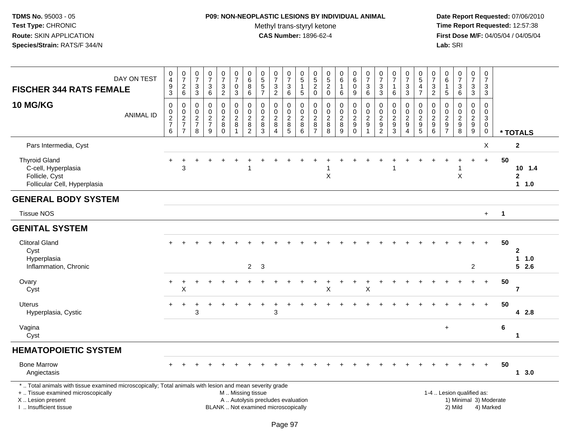### **P09: NON-NEOPLASTIC LESIONS BY INDIVIDUAL ANIMAL**Methyl trans-styryl ketone<br>CAS Number: 1896-62-4

| <b>FISCHER 344 RATS FEMALE</b>                                                                                                                                                                | DAY ON TEST      | $\begin{smallmatrix}0\\4\end{smallmatrix}$<br>$\frac{9}{3}$   | $\frac{0}{7}$<br>$\frac{2}{6}$                                 | $\begin{array}{c} 0 \\ 7 \end{array}$<br>$\sqrt{3}$<br>3             | $\begin{array}{c} 0 \\ 7 \end{array}$<br>3<br>6                   | $\frac{0}{7}$<br>$\frac{3}{2}$            | $\frac{0}{7}$<br>$\mathbf 0$<br>3                                   | $\begin{array}{c} 0 \\ 6 \end{array}$<br>8<br>$\,6$                   | $\begin{array}{c} 0 \\ 5 \\ 5 \end{array}$<br>$\overline{7}$             | $\begin{array}{c} 0 \\ 7 \end{array}$<br>$\frac{3}{2}$                        | $\frac{0}{7}$<br>3<br>6                               | $\begin{array}{c} 0 \\ 5 \end{array}$<br>$\mathbf{1}$<br>$\overline{5}$ | $\begin{array}{c} 0 \\ 5 \end{array}$<br>$\overline{\mathbf{c}}$<br>$\mathbf 0$ | $\begin{array}{c} 0 \\ 5 \end{array}$<br>$\boldsymbol{2}$<br>$\mathbf 0$ | $_{6}^{\rm 0}$<br>$\mathbf{1}$<br>6     | $\begin{array}{c} 0 \\ 6 \end{array}$<br>$\mathbf 0$<br>9                             | $\frac{0}{7}$<br>$\ensuremath{\mathsf{3}}$<br>6                  | $\frac{0}{7}$<br>$\ensuremath{\mathsf{3}}$<br>3                 | $\begin{array}{c} 0 \\ 7 \end{array}$<br>$\mathbf{1}$<br>6                       | $\begin{array}{c} 0 \\ 7 \end{array}$<br>3<br>3                                   | $\begin{array}{c} 0 \\ 5 \end{array}$<br>$\frac{4}{7}$ | $\frac{0}{7}$<br>$\mathfrak{Z}$<br>$\overline{2}$           | 0<br>$\,6\,$<br>1<br>$\sqrt{5}$                       | $\begin{smallmatrix}0\\7\end{smallmatrix}$<br>$\frac{3}{6}$ | $\begin{array}{c} 0 \\ 7 \end{array}$<br>$\sqrt{3}$<br>3       | $\mathbf 0$<br>$\boldsymbol{7}$<br>$\sqrt{3}$<br>3                                  |                        |                                    |
|-----------------------------------------------------------------------------------------------------------------------------------------------------------------------------------------------|------------------|---------------------------------------------------------------|----------------------------------------------------------------|----------------------------------------------------------------------|-------------------------------------------------------------------|-------------------------------------------|---------------------------------------------------------------------|-----------------------------------------------------------------------|--------------------------------------------------------------------------|-------------------------------------------------------------------------------|-------------------------------------------------------|-------------------------------------------------------------------------|---------------------------------------------------------------------------------|--------------------------------------------------------------------------|-----------------------------------------|---------------------------------------------------------------------------------------|------------------------------------------------------------------|-----------------------------------------------------------------|----------------------------------------------------------------------------------|-----------------------------------------------------------------------------------|--------------------------------------------------------|-------------------------------------------------------------|-------------------------------------------------------|-------------------------------------------------------------|----------------------------------------------------------------|-------------------------------------------------------------------------------------|------------------------|------------------------------------|
| <b>10 MG/KG</b>                                                                                                                                                                               | <b>ANIMAL ID</b> | $\mathbf 0$<br>$\mathbf 0$<br>$\frac{2}{7}$<br>$6\phantom{a}$ | $\pmb{0}$<br>$\frac{0}{2}$<br>$\overline{7}$<br>$\overline{7}$ | $\boldsymbol{0}$<br>$\mathbf 0$<br>$\sqrt{2}$<br>$\overline{7}$<br>8 | $\pmb{0}$<br>$\mathbf 0$<br>$\overline{2}$<br>$\overline{7}$<br>9 | 0<br>0<br>$\overline{c}$<br>8<br>$\Omega$ | $\mathsf 0$<br>$\mathbf 0$<br>$\overline{2}$<br>8<br>$\overline{1}$ | $\pmb{0}$<br>$\pmb{0}$<br>$\overline{2}$<br>$\bf 8$<br>$\overline{2}$ | $\pmb{0}$<br>$\mathbf 0$<br>$\boldsymbol{2}$<br>8<br>$\overline{3}$      | $\boldsymbol{0}$<br>$\mathbf 0$<br>$\overline{2}$<br>$\, 8$<br>$\overline{4}$ | 0<br>0<br>$\overline{2}$<br>$\bf 8$<br>$\overline{5}$ | $\mathbf 0$<br>$\mathsf{O}\xspace$<br>$\overline{2}$<br>$\, 8$<br>6     | 0<br>$\mathbf 0$<br>$\boldsymbol{2}$<br>$\bf 8$<br>$\overline{7}$               | $\pmb{0}$<br>$\mathbf 0$<br>$\overline{2}$<br>$\bf 8$<br>8               | $\pmb{0}$<br>$\pmb{0}$<br>$\frac{2}{9}$ | $\pmb{0}$<br>$\mathbf 0$<br>$\overline{2}$<br>$\boldsymbol{9}$<br>$\mathsf{O}\xspace$ | $\pmb{0}$<br>$\frac{0}{2}$<br>$\boldsymbol{9}$<br>$\overline{1}$ | 0<br>$\mathbf 0$<br>$\boldsymbol{2}$<br>$9\,$<br>$\overline{2}$ | $\pmb{0}$<br>$\mathbf 0$<br>$\overline{2}$<br>$\boldsymbol{9}$<br>$\overline{3}$ | 0<br>$\mathbf 0$<br>$\overline{c}$<br>$\boldsymbol{9}$<br>$\overline{\mathbf{4}}$ | 0<br>$_2^0$<br>$\begin{array}{c} 9 \\ 5 \end{array}$   | 0<br>$\mathbf 0$<br>$\overline{2}$<br>$\boldsymbol{9}$<br>6 | 0<br>$\mathbf 0$<br>$\boldsymbol{2}$<br>$\frac{9}{7}$ | $\pmb{0}$<br>$\ddot{\mathbf{0}}$<br>$\frac{2}{9}$           | 0<br>0<br>$\overline{2}$<br>$\boldsymbol{9}$<br>$\overline{9}$ | $\pmb{0}$<br>$\mathbf 0$<br>$\ensuremath{\mathsf{3}}$<br>$\mathbf 0$<br>$\mathbf 0$ |                        | * TOTALS                           |
| Pars Intermedia, Cyst                                                                                                                                                                         |                  |                                                               |                                                                |                                                                      |                                                                   |                                           |                                                                     |                                                                       |                                                                          |                                                                               |                                                       |                                                                         |                                                                                 |                                                                          |                                         |                                                                                       |                                                                  |                                                                 |                                                                                  |                                                                                   |                                                        |                                                             |                                                       |                                                             |                                                                | X                                                                                   |                        | $\mathbf 2$                        |
| <b>Thyroid Gland</b><br>C-cell, Hyperplasia<br>Follicle, Cyst<br>Follicular Cell, Hyperplasia                                                                                                 |                  | $+$                                                           | 3                                                              |                                                                      |                                                                   |                                           |                                                                     | -1                                                                    |                                                                          |                                                                               |                                                       |                                                                         |                                                                                 | $\boldsymbol{\mathsf{X}}$                                                |                                         |                                                                                       |                                                                  |                                                                 | 1                                                                                |                                                                                   |                                                        |                                                             |                                                       | X                                                           | $\ddot{}$                                                      | $+$                                                                                 | 50                     | $10 \t1.4$<br>$\mathbf 2$<br>1 1.0 |
| <b>GENERAL BODY SYSTEM</b>                                                                                                                                                                    |                  |                                                               |                                                                |                                                                      |                                                                   |                                           |                                                                     |                                                                       |                                                                          |                                                                               |                                                       |                                                                         |                                                                                 |                                                                          |                                         |                                                                                       |                                                                  |                                                                 |                                                                                  |                                                                                   |                                                        |                                                             |                                                       |                                                             |                                                                |                                                                                     |                        |                                    |
| <b>Tissue NOS</b>                                                                                                                                                                             |                  |                                                               |                                                                |                                                                      |                                                                   |                                           |                                                                     |                                                                       |                                                                          |                                                                               |                                                       |                                                                         |                                                                                 |                                                                          |                                         |                                                                                       |                                                                  |                                                                 |                                                                                  |                                                                                   |                                                        |                                                             |                                                       |                                                             |                                                                | $+$                                                                                 | $\mathbf{1}$           |                                    |
| <b>GENITAL SYSTEM</b>                                                                                                                                                                         |                  |                                                               |                                                                |                                                                      |                                                                   |                                           |                                                                     |                                                                       |                                                                          |                                                                               |                                                       |                                                                         |                                                                                 |                                                                          |                                         |                                                                                       |                                                                  |                                                                 |                                                                                  |                                                                                   |                                                        |                                                             |                                                       |                                                             |                                                                |                                                                                     |                        |                                    |
| <b>Clitoral Gland</b><br>Cyst<br>Hyperplasia<br>Inflammation, Chronic                                                                                                                         |                  |                                                               |                                                                |                                                                      |                                                                   |                                           |                                                                     | $\overline{2}$                                                        | $\sqrt{3}$                                                               |                                                                               |                                                       |                                                                         |                                                                                 |                                                                          |                                         |                                                                                       |                                                                  |                                                                 |                                                                                  |                                                                                   |                                                        |                                                             |                                                       |                                                             | $\overline{2}$                                                 | $\ddot{}$                                                                           | 50                     | $\mathbf 2$<br>1 1.0<br>$5$ 2.6    |
| Ovary<br>Cyst                                                                                                                                                                                 |                  | $+$                                                           | $\div$<br>X                                                    |                                                                      |                                                                   |                                           |                                                                     |                                                                       |                                                                          |                                                                               |                                                       |                                                                         |                                                                                 | X                                                                        |                                         |                                                                                       | X                                                                |                                                                 |                                                                                  |                                                                                   |                                                        |                                                             |                                                       |                                                             | $\ddot{}$                                                      | $\ddot{}$                                                                           | 50                     | $\overline{7}$                     |
| Uterus<br>Hyperplasia, Cystic                                                                                                                                                                 |                  | $+$                                                           | $+$                                                            | $\ddot{}$<br>3                                                       |                                                                   |                                           |                                                                     |                                                                       |                                                                          | 3                                                                             |                                                       |                                                                         |                                                                                 |                                                                          |                                         |                                                                                       |                                                                  |                                                                 |                                                                                  |                                                                                   |                                                        |                                                             |                                                       |                                                             |                                                                | $+$                                                                                 | 50                     | 4 2.8                              |
| Vagina<br>Cyst                                                                                                                                                                                |                  |                                                               |                                                                |                                                                      |                                                                   |                                           |                                                                     |                                                                       |                                                                          |                                                                               |                                                       |                                                                         |                                                                                 |                                                                          |                                         |                                                                                       |                                                                  |                                                                 |                                                                                  |                                                                                   |                                                        |                                                             | $+$                                                   |                                                             |                                                                |                                                                                     | $\bf 6$                | 1                                  |
| <b>HEMATOPOIETIC SYSTEM</b>                                                                                                                                                                   |                  |                                                               |                                                                |                                                                      |                                                                   |                                           |                                                                     |                                                                       |                                                                          |                                                                               |                                                       |                                                                         |                                                                                 |                                                                          |                                         |                                                                                       |                                                                  |                                                                 |                                                                                  |                                                                                   |                                                        |                                                             |                                                       |                                                             |                                                                |                                                                                     |                        |                                    |
| <b>Bone Marrow</b><br>Angiectasis                                                                                                                                                             |                  |                                                               |                                                                |                                                                      |                                                                   |                                           |                                                                     |                                                                       |                                                                          |                                                                               |                                                       |                                                                         |                                                                                 |                                                                          |                                         |                                                                                       |                                                                  |                                                                 |                                                                                  |                                                                                   |                                                        |                                                             |                                                       |                                                             | $+$                                                            | $+$                                                                                 | 50                     | 1, 3.0                             |
| *  Total animals with tissue examined microscopically; Total animals with lesion and mean severity grade<br>+  Tissue examined microscopically<br>X  Lesion present<br>I  Insufficient tissue |                  |                                                               |                                                                |                                                                      |                                                                   |                                           | M  Missing tissue                                                   |                                                                       | A  Autolysis precludes evaluation<br>BLANK  Not examined microscopically |                                                                               |                                                       |                                                                         |                                                                                 |                                                                          |                                         |                                                                                       |                                                                  |                                                                 |                                                                                  |                                                                                   |                                                        |                                                             |                                                       | 1-4  Lesion qualified as:<br>2) Mild                        |                                                                | 4) Marked                                                                           | 1) Minimal 3) Moderate |                                    |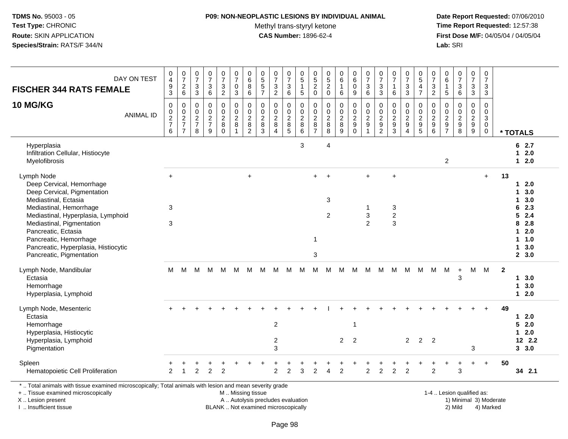#### **P09: NON-NEOPLASTIC LESIONS BY INDIVIDUAL ANIMAL**

Methyl trans-styryl ketone<br>CAS Number: 1896-62-4

 **Date Report Requested:** 07/06/2010 **Time Report Requested:** 12:57:38 **First Dose M/F:** 04/05/04 / 04/05/04<br>Lab: SRI **Lab:** SRI

| DAY ON TEST<br><b>FISCHER 344 RATS FEMALE</b>                                                                                                                                                                                                                                                                     | $_4^{\rm 0}$<br>$\boldsymbol{9}$<br>$\overline{3}$             | $\frac{0}{7}$<br>$\frac{2}{6}$                                              | $\begin{smallmatrix} 0\\7 \end{smallmatrix}$<br>$\sqrt{3}$<br>$\overline{3}$ | $\begin{array}{c} 0 \\ 7 \end{array}$<br>$\mathsf 3$<br>6 | $\frac{0}{7}$<br>3<br>$\overline{2}$                         | $\frac{0}{7}$<br>$\mathsf 0$<br>$\mathbf{3}$            | $\begin{matrix}0\\6\\8\end{matrix}$<br>$6\phantom{a}$                              | $\pmb{0}$<br>$\frac{5}{5}$<br>$\overline{7}$        | $\begin{array}{c} 0 \\ 7 \end{array}$<br>$\frac{3}{2}$        | $\begin{array}{c} 0 \\ 7 \end{array}$<br>3<br>$\,6\,$             | $\pmb{0}$<br>$\sqrt{5}$<br>$\mathbf{1}$<br>$\overline{5}$         | $\pmb{0}$<br>$\begin{array}{c} 5 \\ 2 \\ 0 \end{array}$ | $0$<br>$5$<br>$2$<br>$0$                           | $_{6}^{\rm 0}$<br>$\mathbf{1}$<br>6             | $_{6}^{\rm 0}$<br>$\mathsf 0$<br>$9\,$                                | $\frac{0}{7}$<br>$\overline{3}$<br>6                      | $\begin{array}{c} 0 \\ 7 \end{array}$<br>$\mathbf{3}$<br>$\sqrt{3}$                | $\frac{0}{7}$<br>$\mathbf 1$<br>$\,6$                                 | $\frac{0}{7}$<br>3<br>$\overline{3}$                                               | $\begin{array}{c} 0 \\ 5 \end{array}$<br>$\overline{\mathbf{4}}$<br>$\overline{7}$ | $\pmb{0}$<br>$\overline{7}$<br>$\sqrt{3}$<br>$\overline{2}$                                | $\pmb{0}$<br>$\,6\,$<br>$\mathbf{1}$<br>$\sqrt{5}$ | $\begin{smallmatrix}0\\7\end{smallmatrix}$<br>$\mathsf 3$<br>$6\phantom{1}$ | $\frac{0}{7}$<br>3<br>$\overline{3}$                                       | $\begin{smallmatrix} 0\\7 \end{smallmatrix}$<br>$\mathbf{3}$<br>$\mathbf{3}$ |              |                                                                                                                                       |
|-------------------------------------------------------------------------------------------------------------------------------------------------------------------------------------------------------------------------------------------------------------------------------------------------------------------|----------------------------------------------------------------|-----------------------------------------------------------------------------|------------------------------------------------------------------------------|-----------------------------------------------------------|--------------------------------------------------------------|---------------------------------------------------------|------------------------------------------------------------------------------------|-----------------------------------------------------|---------------------------------------------------------------|-------------------------------------------------------------------|-------------------------------------------------------------------|---------------------------------------------------------|----------------------------------------------------|-------------------------------------------------|-----------------------------------------------------------------------|-----------------------------------------------------------|------------------------------------------------------------------------------------|-----------------------------------------------------------------------|------------------------------------------------------------------------------------|------------------------------------------------------------------------------------|--------------------------------------------------------------------------------------------|----------------------------------------------------|-----------------------------------------------------------------------------|----------------------------------------------------------------------------|------------------------------------------------------------------------------|--------------|---------------------------------------------------------------------------------------------------------------------------------------|
| 10 MG/KG<br><b>ANIMAL ID</b>                                                                                                                                                                                                                                                                                      | $\mathbf 0$<br>$\begin{array}{c} 0 \\ 2 \\ 7 \end{array}$<br>6 | $\mathsf 0$<br>$\begin{array}{c} 0 \\ 2 \\ 7 \end{array}$<br>$\overline{7}$ | $\boldsymbol{0}$<br>$\begin{array}{c} 0 \\ 2 \\ 7 \end{array}$<br>8          | $\mathbf 0$<br>0<br>$\frac{2}{7}$<br>9                    | $\mathbf 0$<br>0<br>$\overline{2}$<br>$\bf 8$<br>$\mathbf 0$ | $\mathbf 0$<br>$\frac{0}{2}$<br>$\bf 8$<br>$\mathbf{1}$ | $\mathbf 0$<br>$\begin{smallmatrix} 0\\2 \end{smallmatrix}$<br>8<br>$\overline{2}$ | 0<br>0<br>$\overline{2}$<br>$\bf 8$<br>$\mathbf{3}$ | $\mathbf 0$<br>$\mathbf 0$<br>$\frac{2}{8}$<br>$\overline{4}$ | 0<br>0<br>$\overline{2}$<br>$\begin{array}{c} 8 \\ 5 \end{array}$ | $\mathbf 0$<br>$\mathbf 0$<br>$\overline{2}$<br>$\, 8$<br>$\,6\,$ | 0<br>0<br>$\overline{2}$<br>$\bf 8$<br>$\overline{7}$   | $\mathbf 0$<br>0<br>$\overline{2}$<br>$\bf 8$<br>8 | $\pmb{0}$<br>$^{\rm 0}_{\rm 2}$<br>$\bf 8$<br>9 | $\mathbf 0$<br>0<br>$\overline{2}$<br>$\boldsymbol{9}$<br>$\mathbf 0$ | $\mathbf 0$<br>$\pmb{0}$<br>$\frac{2}{9}$<br>$\mathbf{1}$ | $\mathbf 0$<br>$\mathbf 0$<br>$\overline{2}$<br>$\boldsymbol{9}$<br>$\overline{2}$ | $\mathbf 0$<br>$\mathbf 0$<br>$\overline{2}$<br>$\boldsymbol{9}$<br>3 | $\mathbf 0$<br>$\mathbf 0$<br>$\overline{2}$<br>$\boldsymbol{9}$<br>$\overline{4}$ | $\mathbf 0$<br>0<br>$\overline{2}$<br>9<br>5                                       | $\mathbf 0$<br>$\begin{smallmatrix} 0\\2 \end{smallmatrix}$<br>$\boldsymbol{9}$<br>$\,6\,$ | $\mathbf 0$<br>$\mathbf 0$<br>$\frac{2}{9}$        | $\mathbf 0$<br>$\mathbf 0$<br>$\frac{2}{9}$<br>8                            | 0<br>$\mathbf 0$<br>$\overline{2}$<br>$\boldsymbol{9}$<br>$\boldsymbol{9}$ | $\mathbf 0$<br>$\mathbf 0$<br>$\overline{3}$<br>$\mathbf 0$<br>$\mathbf 0$   |              | * TOTALS                                                                                                                              |
| Hyperplasia<br>Infiltration Cellular, Histiocyte<br>Myelofibrosis                                                                                                                                                                                                                                                 |                                                                |                                                                             |                                                                              |                                                           |                                                              |                                                         |                                                                                    |                                                     |                                                               |                                                                   | 3                                                                 |                                                         | 4                                                  |                                                 |                                                                       |                                                           |                                                                                    |                                                                       |                                                                                    |                                                                                    |                                                                                            | $\overline{2}$                                     |                                                                             |                                                                            |                                                                              |              | 62.7<br>$12.0$<br>$12.0$                                                                                                              |
| Lymph Node<br>Deep Cervical, Hemorrhage<br>Deep Cervical, Pigmentation<br>Mediastinal, Ectasia<br>Mediastinal, Hemorrhage<br>Mediastinal, Hyperplasia, Lymphoid<br>Mediastinal, Pigmentation<br>Pancreatic, Ectasia<br>Pancreatic, Hemorrhage<br>Pancreatic, Hyperplasia, Histiocytic<br>Pancreatic, Pigmentation | $+$<br>3<br>3                                                  |                                                                             |                                                                              |                                                           |                                                              |                                                         | $\ddot{}$                                                                          |                                                     |                                                               |                                                                   |                                                                   | $+$<br>$\mathbf{1}$<br>3                                | $+$<br>3<br>$\overline{c}$                         |                                                 |                                                                       | $+$<br>-1<br>$\ensuremath{\mathsf{3}}$<br>$\overline{2}$  |                                                                                    | $\ddot{}$<br>3<br>$\boldsymbol{2}$<br>3                               |                                                                                    |                                                                                    |                                                                                            |                                                    |                                                                             |                                                                            | $+$                                                                          | 13           | 2.0<br>1<br>3.0<br>$\mathbf 1$<br>3.0<br>$\mathbf 1$<br>62.3<br>52.4<br>8<br>2.8<br>2.0<br>$\mathbf 1$<br>$1 \t1.0$<br>13.0<br>2, 3.0 |
| Lymph Node, Mandibular<br>Ectasia<br>Hemorrhage<br>Hyperplasia, Lymphoid                                                                                                                                                                                                                                          | м                                                              | м                                                                           | м                                                                            | м                                                         | м                                                            | M                                                       | M                                                                                  | M                                                   | M                                                             | м                                                                 | М                                                                 | M                                                       | м                                                  | м                                               | M                                                                     | м                                                         | м                                                                                  | М                                                                     | M                                                                                  | M                                                                                  | M                                                                                          | М                                                  | $\ddot{}$<br>3                                                              | М                                                                          | M                                                                            | $\mathbf{2}$ | 13.0<br>13.0<br>$12.0$                                                                                                                |
| Lymph Node, Mesenteric<br>Ectasia<br>Hemorrhage<br>Hyperplasia, Histiocytic<br>Hyperplasia, Lymphoid<br>Pigmentation                                                                                                                                                                                              |                                                                |                                                                             |                                                                              |                                                           |                                                              |                                                         |                                                                                    |                                                     | $\overline{c}$<br>$\overline{c}$<br>3                         |                                                                   |                                                                   |                                                         |                                                    | $\overline{2}$                                  | $\overline{2}$                                                        |                                                           |                                                                                    |                                                                       | $\overline{2}$                                                                     | $\overline{2}$                                                                     | $\overline{2}$                                                                             |                                                    |                                                                             | 3                                                                          |                                                                              | 49           | $12.0$<br>52.0<br>2.0<br>$\mathbf{1}$<br>12 2.2<br>3, 3.0                                                                             |
| Spleen<br>Hematopoietic Cell Proliferation                                                                                                                                                                                                                                                                        | 2                                                              |                                                                             | 2                                                                            | 2                                                         | $\overline{2}$                                               |                                                         |                                                                                    |                                                     | 2                                                             | $\overline{2}$                                                    | 3                                                                 | 2                                                       |                                                    | $\overline{2}$                                  |                                                                       | $\overline{c}$                                            | $\overline{c}$                                                                     | 2                                                                     | $\overline{c}$                                                                     |                                                                                    | $\overline{2}$                                                                             |                                                    | 3                                                                           |                                                                            | $\ddot{}$                                                                    | 50           | 34 2.1                                                                                                                                |
| *  Total animals with tissue examined microscopically; Total animals with lesion and mean severity grade<br>+  Tissue examined microscopically<br>X  Lesion present                                                                                                                                               |                                                                |                                                                             |                                                                              |                                                           |                                                              | M  Missing tissue<br>A  Autolysis precludes evaluation  |                                                                                    |                                                     |                                                               |                                                                   |                                                                   |                                                         |                                                    |                                                 |                                                                       |                                                           |                                                                                    |                                                                       |                                                                                    |                                                                                    |                                                                                            |                                                    | 1-4  Lesion qualified as:                                                   |                                                                            | 1) Minimal 3) Moderate                                                       |              |                                                                                                                                       |

I .. Insufficient tissue

BLANK .. Not examined microscopically 2) Mild 4) Marked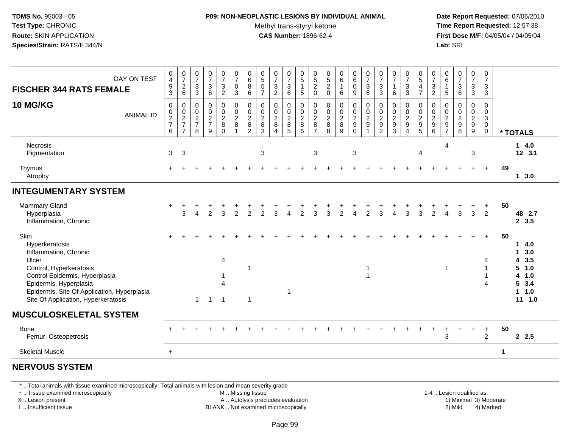### **P09: NON-NEOPLASTIC LESIONS BY INDIVIDUAL ANIMAL**Methyl trans-styryl ketone<br>CAS Number: 1896-62-4

 **Date Report Requested:** 07/06/2010 **Time Report Requested:** 12:57:38 **First Dose M/F:** 04/05/04 / 04/05/04<br>Lab: SRI **Lab:** SRI

| DAY ON TEST<br><b>FISCHER 344 RATS FEMALE</b>                                                                                                                                                                                         | $\boldsymbol{0}$<br>$\overline{4}$<br>$\boldsymbol{9}$<br>3 | $\frac{0}{7}$<br>$\frac{2}{6}$                              | $\frac{0}{7}$<br>$\sqrt{3}$<br>$\mathbf{3}$      | 0<br>$\overline{7}$<br>$\ensuremath{\mathsf{3}}$<br>6 | $\frac{0}{7}$<br>$\ensuremath{\mathsf{3}}$<br>$\overline{2}$ | 0<br>$\overline{7}$<br>$\mathsf{O}$<br>3               | $_{6}^{\rm 0}$<br>8<br>6                                               | $\begin{array}{c} 0 \\ 5 \end{array}$<br>$\sqrt{5}$<br>$\overline{7}$ | $\frac{0}{7}$<br>$\frac{3}{2}$                                        | 0<br>$\overline{7}$<br>3<br>$\,6\,$      | 0<br>$\overline{5}$<br>1<br>$\sqrt{5}$           | 0<br>$\overline{5}$<br>$\sqrt{2}$<br>$\mathbf 0$                      | 0<br>$\overline{5}$<br>$\sqrt{2}$<br>$\mathbf 0$         | $\begin{array}{c} 0 \\ 6 \end{array}$<br>$\mathbf{1}$<br>$\,6\,$       | $\begin{array}{c} 0 \\ 6 \end{array}$<br>$\mathbf 0$<br>9 | $\frac{0}{7}$<br>$\ensuremath{\mathsf{3}}$<br>6                                | $\pmb{0}$<br>$\overline{7}$<br>$\sqrt{3}$<br>$\mathbf{3}$      | 0<br>$\overline{7}$<br>$\mathbf{1}$<br>6                       | $\frac{0}{7}$<br>3<br>3                          | $\begin{array}{c} 0 \\ 5 \end{array}$<br>$\overline{4}$<br>$\overline{7}$ | $\frac{0}{7}$<br>$\ensuremath{\mathsf{3}}$<br>$\overline{c}$             | $\begin{array}{c} 0 \\ 6 \end{array}$<br>$\begin{array}{c} 1 \\ 5 \end{array}$ | $\frac{0}{7}$<br>$\ensuremath{\mathsf{3}}$<br>$\,6\,$      | $\frac{0}{7}$<br>3<br>3                     | 0<br>$\overline{7}$<br>$\mathbf{3}$<br>3                          |                        |                                                                   |
|---------------------------------------------------------------------------------------------------------------------------------------------------------------------------------------------------------------------------------------|-------------------------------------------------------------|-------------------------------------------------------------|--------------------------------------------------|-------------------------------------------------------|--------------------------------------------------------------|--------------------------------------------------------|------------------------------------------------------------------------|-----------------------------------------------------------------------|-----------------------------------------------------------------------|------------------------------------------|--------------------------------------------------|-----------------------------------------------------------------------|----------------------------------------------------------|------------------------------------------------------------------------|-----------------------------------------------------------|--------------------------------------------------------------------------------|----------------------------------------------------------------|----------------------------------------------------------------|--------------------------------------------------|---------------------------------------------------------------------------|--------------------------------------------------------------------------|--------------------------------------------------------------------------------|------------------------------------------------------------|---------------------------------------------|-------------------------------------------------------------------|------------------------|-------------------------------------------------------------------|
| 10 MG/KG<br><b>ANIMAL ID</b>                                                                                                                                                                                                          | $\mathbf 0$<br>$\pmb{0}$<br>$\frac{2}{7}$<br>6              | $\mathbf 0$<br>$\pmb{0}$<br>$\frac{2}{7}$<br>$\overline{7}$ | $\mathbf 0$<br>$\mathbf 0$<br>$\frac{2}{7}$<br>8 | $\Omega$<br>$\mathbf 0$<br>$\frac{2}{7}$<br>9         | 0<br>$\mathbf 0$<br>$_{8}^{\rm 2}$<br>$\Omega$               | $\mathbf 0$<br>$\mathbf 0$<br>$\boldsymbol{2}$<br>8    | $\pmb{0}$<br>$\mathsf 0$<br>$\begin{array}{c} 2 \\ 8 \\ 2 \end{array}$ | $\mathbf 0$<br>$\mathbf 0$<br>$_{8}^{\rm 2}$<br>$\mathbf{3}$          | $\mathbf 0$<br>$\mathbf 0$<br>$\frac{2}{8}$<br>$\boldsymbol{\Lambda}$ | 0<br>0<br>$_{\rm 8}^2$<br>$\overline{5}$ | $\mathbf 0$<br>$\mathbf 0$<br>$\frac{2}{8}$<br>6 | $\mathbf 0$<br>$\mathbf 0$<br>$\boldsymbol{2}$<br>8<br>$\overline{7}$ | 0<br>$\Omega$<br>$\overline{\mathbf{c}}$<br>$\bf 8$<br>8 | $\mathbf 0$<br>$\pmb{0}$<br>$\begin{array}{c} 2 \\ 8 \\ 9 \end{array}$ | 0<br>$\mathbf 0$<br>$\frac{2}{9}$<br>$\mathbf 0$          | $\mathbf 0$<br>$\mathbf 0$<br>$\overline{\mathbf{c}}$<br>$\boldsymbol{9}$<br>1 | $\mathbf 0$<br>$\mathbf{0}$<br>$\frac{2}{9}$<br>$\overline{2}$ | $\mathbf 0$<br>$\mathbf{0}$<br>$\frac{2}{9}$<br>$\overline{3}$ | 0<br>$\Omega$<br>$\frac{2}{9}$<br>$\overline{4}$ | $\mathbf 0$<br>$\mathbf 0$<br>$\frac{2}{9}$                               | $\mathbf 0$<br>$\mathbf 0$<br>$\begin{array}{c} 2 \\ 9 \\ 6 \end{array}$ | $\mathbf 0$<br>$\mathbf 0$<br>$\begin{array}{c} 2 \\ 9 \\ 7 \end{array}$       | $\mathbf 0$<br>$\Omega$<br>$\frac{2}{9}$<br>$\overline{8}$ | $\mathbf 0$<br>$\mathbf 0$<br>$\frac{2}{9}$ | 0<br>$\mathbf 0$<br>$\mathbf{3}$<br>$\overline{0}$<br>$\mathbf 0$ |                        | * TOTALS                                                          |
| <b>Necrosis</b><br>Pigmentation                                                                                                                                                                                                       | 3                                                           | 3                                                           |                                                  |                                                       |                                                              |                                                        |                                                                        | $\mathbf{3}$                                                          |                                                                       |                                          |                                                  | 3                                                                     |                                                          |                                                                        | 3                                                         |                                                                                |                                                                |                                                                |                                                  | 4                                                                         |                                                                          | 4                                                                              |                                                            | 3                                           |                                                                   |                        | 14.0<br>12, 3.1                                                   |
| Thymus<br>Atrophy                                                                                                                                                                                                                     |                                                             |                                                             |                                                  |                                                       |                                                              |                                                        |                                                                        |                                                                       |                                                                       |                                          |                                                  |                                                                       |                                                          |                                                                        |                                                           |                                                                                |                                                                |                                                                |                                                  |                                                                           |                                                                          |                                                                                |                                                            | $\ddot{}$                                   | $+$                                                               | 49                     | 13.0                                                              |
| <b>INTEGUMENTARY SYSTEM</b>                                                                                                                                                                                                           |                                                             |                                                             |                                                  |                                                       |                                                              |                                                        |                                                                        |                                                                       |                                                                       |                                          |                                                  |                                                                       |                                                          |                                                                        |                                                           |                                                                                |                                                                |                                                                |                                                  |                                                                           |                                                                          |                                                                                |                                                            |                                             |                                                                   |                        |                                                                   |
| Mammary Gland<br>Hyperplasia<br>Inflammation, Chronic                                                                                                                                                                                 |                                                             | 3                                                           | 4                                                | $\mathfrak{p}$                                        | 3                                                            | $\overline{2}$                                         | $\overline{2}$                                                         | $\overline{2}$                                                        | 3                                                                     | Δ                                        | 2                                                | 3                                                                     | 3                                                        | $\overline{2}$                                                         | 4                                                         | $\overline{2}$                                                                 | 3                                                              |                                                                | 3                                                | 3                                                                         | $\overline{2}$                                                           | 4                                                                              | 3                                                          | 3                                           | $\ddot{}$<br>$\overline{2}$                                       | 50                     | 48 2.7<br>2, 3.5                                                  |
| Skin<br>Hyperkeratosis<br>Inflammation, Chronic<br>Ulcer<br>Control, Hyperkeratosis<br>Control Epidermis, Hyperplasia<br>Epidermis, Hyperplasia<br>Epidermis, Site Of Application, Hyperplasia<br>Site Of Application, Hyperkeratosis |                                                             |                                                             |                                                  | $1 \quad 1$                                           | 4<br>Δ<br>$\overline{1}$                                     |                                                        | -1<br>$\overline{1}$                                                   |                                                                       |                                                                       | $\mathbf{1}$                             |                                                  |                                                                       |                                                          |                                                                        |                                                           | -1<br>$\overline{\mathbf{1}}$                                                  |                                                                |                                                                |                                                  |                                                                           |                                                                          | 1                                                                              |                                                            |                                             |                                                                   | 50                     | 14.0<br>13.0<br>4 3.5<br>5 1.0<br>4 1.0<br>53.4<br>11.0<br>11 1.0 |
| <b>MUSCULOSKELETAL SYSTEM</b>                                                                                                                                                                                                         |                                                             |                                                             |                                                  |                                                       |                                                              |                                                        |                                                                        |                                                                       |                                                                       |                                          |                                                  |                                                                       |                                                          |                                                                        |                                                           |                                                                                |                                                                |                                                                |                                                  |                                                                           |                                                                          |                                                                                |                                                            |                                             |                                                                   |                        |                                                                   |
| Bone<br>Femur, Osteopetrosis                                                                                                                                                                                                          |                                                             |                                                             |                                                  |                                                       |                                                              |                                                        |                                                                        |                                                                       |                                                                       |                                          |                                                  |                                                                       |                                                          |                                                                        |                                                           |                                                                                |                                                                |                                                                |                                                  |                                                                           |                                                                          | 3                                                                              |                                                            |                                             | $\ddot{}$<br>$\overline{2}$                                       | 50                     | 2.5                                                               |
| <b>Skeletal Muscle</b>                                                                                                                                                                                                                | $\ddot{}$                                                   |                                                             |                                                  |                                                       |                                                              |                                                        |                                                                        |                                                                       |                                                                       |                                          |                                                  |                                                                       |                                                          |                                                                        |                                                           |                                                                                |                                                                |                                                                |                                                  |                                                                           |                                                                          |                                                                                |                                                            |                                             |                                                                   | 1                      |                                                                   |
| <b>NERVOUS SYSTEM</b>                                                                                                                                                                                                                 |                                                             |                                                             |                                                  |                                                       |                                                              |                                                        |                                                                        |                                                                       |                                                                       |                                          |                                                  |                                                                       |                                                          |                                                                        |                                                           |                                                                                |                                                                |                                                                |                                                  |                                                                           |                                                                          |                                                                                |                                                            |                                             |                                                                   |                        |                                                                   |
| *  Total animals with tissue examined microscopically; Total animals with lesion and mean severity grade<br>+  Tissue examined microscopically<br>X  Lesion present                                                                   |                                                             |                                                             |                                                  |                                                       |                                                              | M  Missing tissue<br>A  Autolysis precludes evaluation |                                                                        |                                                                       |                                                                       |                                          |                                                  |                                                                       |                                                          |                                                                        |                                                           |                                                                                |                                                                |                                                                |                                                  |                                                                           |                                                                          |                                                                                | 1-4  Lesion qualified as:                                  |                                             |                                                                   | 1) Minimal 3) Moderate |                                                                   |

I .. Insufficient tissue

BLANK .. Not examined microscopically 2) Mild 4) Marked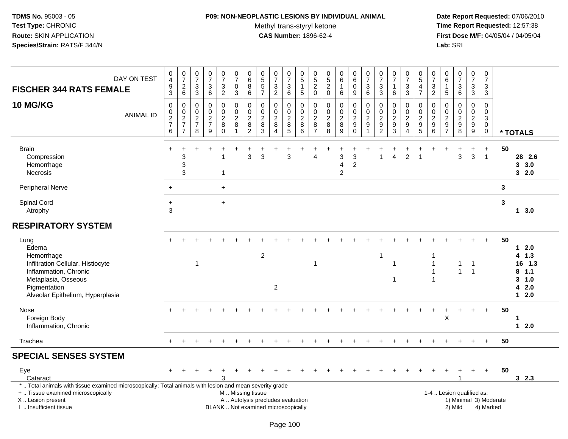## **P09: NON-NEOPLASTIC LESIONS BY INDIVIDUAL ANIMAL**

Methyl trans-styryl ketone<br>CAS Number: 1896-62-4

| DAY ON TEST<br><b>FISCHER 344 RATS FEMALE</b>                                                                                                                                                 | 0<br>$\overline{4}$<br>$\boldsymbol{9}$<br>$\overline{3}$ | $\begin{array}{c} 0 \\ 7 \end{array}$<br>$^2\phantom{1}6$ | $\begin{smallmatrix}0\\7\end{smallmatrix}$<br>$\frac{3}{3}$ | $\begin{smallmatrix}0\\7\end{smallmatrix}$<br>$^3$ 6                         | $\frac{0}{7}$<br>$\frac{3}{2}$                                  | $\frac{0}{7}$<br>$\mathbf 0$<br>$\mathbf{3}$                              | 0<br>$\overline{6}$<br>8<br>6                             | $\begin{array}{c} 0 \\ 5 \end{array}$<br>$\sqrt{5}$<br>$\overline{7}$ | $\begin{array}{c} 0 \\ 7 \end{array}$<br>$\frac{3}{2}$                    | $\mathbf 0$<br>$\overline{7}$<br>$\begin{array}{c} 3 \\ 6 \end{array}$ | $\mathbf 0$<br>$\overline{5}$<br>$\mathbf{1}$<br>$\sqrt{5}$      | $\mathbf 0$<br>$\overline{5}$<br>$\frac{2}{0}$                           | 0<br>$\overline{5}$<br>$\overline{c}$<br>$\mathbf 0$            | $_{6}^{\rm 0}$<br>$\mathbf{1}$<br>6       | $\begin{array}{c} 0 \\ 6 \end{array}$<br>$\pmb{0}$<br>9  | $\frac{0}{7}$<br>$\frac{3}{6}$                                               | $\begin{array}{c} 0 \\ 7 \end{array}$<br>$\ensuremath{\mathsf{3}}$<br>$\mathbf{3}$ | $\begin{matrix} 0 \\ 7 \end{matrix}$<br>$\mathbf{1}$<br>6                        | $\frac{0}{7}$<br>3<br>$\overline{3}$                | $\begin{array}{c} 0 \\ 5 \end{array}$<br>$\overline{\mathbf{4}}$<br>$\overline{7}$ | $\frac{0}{7}$<br>$\frac{3}{2}$                                                    | 0<br>$\,6\,$<br>-1<br>5                               | $\begin{smallmatrix} 0\\7 \end{smallmatrix}$<br>$\begin{array}{c} 3 \\ 6 \end{array}$ | $\pmb{0}$<br>$\overline{7}$<br>$_3^3$          | 0<br>$\overline{7}$<br>$\mathbf{3}$<br>$\mathbf{3}$                      |        |                                                   |
|-----------------------------------------------------------------------------------------------------------------------------------------------------------------------------------------------|-----------------------------------------------------------|-----------------------------------------------------------|-------------------------------------------------------------|------------------------------------------------------------------------------|-----------------------------------------------------------------|---------------------------------------------------------------------------|-----------------------------------------------------------|-----------------------------------------------------------------------|---------------------------------------------------------------------------|------------------------------------------------------------------------|------------------------------------------------------------------|--------------------------------------------------------------------------|-----------------------------------------------------------------|-------------------------------------------|----------------------------------------------------------|------------------------------------------------------------------------------|------------------------------------------------------------------------------------|----------------------------------------------------------------------------------|-----------------------------------------------------|------------------------------------------------------------------------------------|-----------------------------------------------------------------------------------|-------------------------------------------------------|---------------------------------------------------------------------------------------|------------------------------------------------|--------------------------------------------------------------------------|--------|---------------------------------------------------|
| <b>10 MG/KG</b><br><b>ANIMAL ID</b>                                                                                                                                                           | $\boldsymbol{0}$<br>0<br>$\frac{2}{7}$<br>6               | $\pmb{0}$<br>$\pmb{0}$<br>$\frac{2}{7}$<br>$\overline{7}$ | $\pmb{0}$<br>0<br>$\overline{2}$<br>$\overline{7}$<br>8     | $\pmb{0}$<br>$\pmb{0}$<br>$\overline{2}$<br>$\overline{7}$<br>$\overline{9}$ | 0<br>$\mathbf 0$<br>$\overline{2}$<br>$\bf 8$<br>$\overline{0}$ | $\mathbf 0$<br>$\mathbf 0$<br>$\overline{2}$<br>$\bf 8$<br>$\overline{1}$ | 0<br>$\mathbf 0$<br>$\overline{c}$<br>8<br>$\overline{2}$ | 0<br>$\mathbf 0$<br>$\overline{2}$<br>$\,8\,$<br>$\overline{3}$       | $\mathbf 0$<br>$\mathbf 0$<br>$\overline{2}$<br>$\bf 8$<br>$\overline{4}$ | $\Omega$<br>0<br>$\overline{2}$<br>$^8$ 5                              | $\boldsymbol{0}$<br>$\mathbf 0$<br>$\overline{2}$<br>$\, 8$<br>6 | $\mathbf 0$<br>$\mathbf 0$<br>$\overline{c}$<br>$\, 8$<br>$\overline{7}$ | 0<br>$\mathbf 0$<br>$\overline{c}$<br>$\bf 8$<br>$\overline{8}$ | 0<br>0<br>$\overline{c}$<br>$\frac{8}{9}$ | $\pmb{0}$<br>$\mathbf 0$<br>$\overline{2}$<br>$_{0}^{9}$ | $\pmb{0}$<br>$\pmb{0}$<br>$\overline{2}$<br>$\boldsymbol{9}$<br>$\mathbf{1}$ | 0<br>$\mathbf 0$<br>$\overline{2}$<br>$\boldsymbol{9}$<br>$\overline{2}$           | $\pmb{0}$<br>$\mathbf 0$<br>$\overline{2}$<br>$\boldsymbol{9}$<br>$\overline{3}$ | 0<br>$\mathbf 0$<br>$\frac{2}{9}$<br>$\overline{4}$ | 0<br>$\pmb{0}$<br>$\overline{2}$<br>$\begin{array}{c} 9 \\ 5 \end{array}$          | $\pmb{0}$<br>$\pmb{0}$<br>$\overline{2}$<br>$\begin{array}{c} 9 \\ 6 \end{array}$ | 0<br>$\mathbf 0$<br>$\boldsymbol{2}$<br>$\frac{9}{7}$ | $\mathbf 0$<br>$\mathbf 0$<br>$\sqrt{2}$<br>$_{\rm 8}^{\rm 9}$                        | 0<br>$\mathbf 0$<br>$\overline{2}$<br>$_{9}^9$ | $\Omega$<br>$\mathbf 0$<br>$\mathbf{3}$<br>$\overline{0}$<br>$\mathbf 0$ |        | * TOTALS                                          |
| <b>Brain</b><br>Compression<br>Hemorrhage<br>Necrosis                                                                                                                                         |                                                           | 3<br>3<br>3                                               |                                                             |                                                                              | -1                                                              |                                                                           | 3                                                         | 3                                                                     |                                                                           | 3                                                                      |                                                                  | Δ                                                                        |                                                                 | 3<br>$\overline{4}$<br>$\overline{c}$     | 3<br>$\overline{2}$                                      |                                                                              | 1                                                                                  |                                                                                  | $\overline{2}$                                      |                                                                                    |                                                                                   |                                                       | 3                                                                                     | 3                                              | $\ddot{}$<br>$\overline{1}$                                              | 50     | 28 2.6<br>3, 3.0<br>32.0                          |
| <b>Peripheral Nerve</b><br>Spinal Cord                                                                                                                                                        | $\ddot{}$<br>$\ddot{}$                                    |                                                           |                                                             |                                                                              | $+$<br>$+$                                                      |                                                                           |                                                           |                                                                       |                                                                           |                                                                        |                                                                  |                                                                          |                                                                 |                                           |                                                          |                                                                              |                                                                                    |                                                                                  |                                                     |                                                                                    |                                                                                   |                                                       |                                                                                       |                                                |                                                                          | 3<br>3 |                                                   |
| Atrophy                                                                                                                                                                                       | 3                                                         |                                                           |                                                             |                                                                              |                                                                 |                                                                           |                                                           |                                                                       |                                                                           |                                                                        |                                                                  |                                                                          |                                                                 |                                           |                                                          |                                                                              |                                                                                    |                                                                                  |                                                     |                                                                                    |                                                                                   |                                                       |                                                                                       |                                                |                                                                          |        | 13.0                                              |
| <b>RESPIRATORY SYSTEM</b>                                                                                                                                                                     |                                                           |                                                           |                                                             |                                                                              |                                                                 |                                                                           |                                                           |                                                                       |                                                                           |                                                                        |                                                                  |                                                                          |                                                                 |                                           |                                                          |                                                                              |                                                                                    |                                                                                  |                                                     |                                                                                    |                                                                                   |                                                       |                                                                                       |                                                |                                                                          |        |                                                   |
| Lung<br>Edema<br>Hemorrhage<br>Infiltration Cellular, Histiocyte<br>Inflammation, Chronic<br>Metaplasia, Osseous                                                                              |                                                           |                                                           | $\mathbf 1$                                                 |                                                                              |                                                                 |                                                                           |                                                           | $\overline{2}$                                                        |                                                                           |                                                                        |                                                                  | 1                                                                        |                                                                 |                                           |                                                          |                                                                              | -1                                                                                 | 1<br>1                                                                           |                                                     |                                                                                    | $\mathbf 1$<br>$\mathbf{1}$<br>$\overline{1}$                                     |                                                       | $\overline{1}$<br>$\mathbf{1}$                                                        | $\overline{1}$<br>$\mathbf{1}$                 |                                                                          | 50     | 12.0<br>$4$ 1.3<br>16 1.3<br>$8$ 1.1<br>$3 - 1.0$ |
| Pigmentation<br>Alveolar Epithelium, Hyperplasia                                                                                                                                              |                                                           |                                                           |                                                             |                                                                              |                                                                 |                                                                           |                                                           |                                                                       | $\overline{c}$                                                            |                                                                        |                                                                  |                                                                          |                                                                 |                                           |                                                          |                                                                              |                                                                                    |                                                                                  |                                                     |                                                                                    |                                                                                   |                                                       |                                                                                       |                                                |                                                                          |        | 42.0<br>$12.0$                                    |
| Nose<br>Foreign Body<br>Inflammation, Chronic                                                                                                                                                 |                                                           |                                                           |                                                             |                                                                              |                                                                 |                                                                           |                                                           |                                                                       |                                                                           |                                                                        |                                                                  |                                                                          |                                                                 |                                           |                                                          |                                                                              |                                                                                    |                                                                                  |                                                     |                                                                                    |                                                                                   | X                                                     |                                                                                       |                                                | $\ddot{}$                                                                | 50     | 1<br>$12.0$                                       |
| Trachea                                                                                                                                                                                       | $+$                                                       |                                                           |                                                             |                                                                              |                                                                 |                                                                           |                                                           |                                                                       |                                                                           |                                                                        |                                                                  |                                                                          |                                                                 |                                           |                                                          |                                                                              |                                                                                    |                                                                                  |                                                     |                                                                                    |                                                                                   |                                                       |                                                                                       |                                                | $\ddot{}$                                                                | 50     |                                                   |
| <b>SPECIAL SENSES SYSTEM</b>                                                                                                                                                                  |                                                           |                                                           |                                                             |                                                                              |                                                                 |                                                                           |                                                           |                                                                       |                                                                           |                                                                        |                                                                  |                                                                          |                                                                 |                                           |                                                          |                                                                              |                                                                                    |                                                                                  |                                                     |                                                                                    |                                                                                   |                                                       |                                                                                       |                                                |                                                                          |        |                                                   |
| Eye<br>Cataract                                                                                                                                                                               |                                                           |                                                           |                                                             |                                                                              |                                                                 |                                                                           |                                                           |                                                                       |                                                                           |                                                                        |                                                                  |                                                                          |                                                                 |                                           |                                                          |                                                                              |                                                                                    |                                                                                  |                                                     |                                                                                    |                                                                                   |                                                       |                                                                                       |                                                | $\ddot{}$                                                                | 50     | 32.3                                              |
| *  Total animals with tissue examined microscopically; Total animals with lesion and mean severity grade<br>+  Tissue examined microscopically<br>X  Lesion present<br>I. Insufficient tissue |                                                           |                                                           |                                                             |                                                                              |                                                                 | M  Missing tissue                                                         |                                                           |                                                                       | A  Autolysis precludes evaluation<br>BLANK  Not examined microscopically  |                                                                        |                                                                  |                                                                          |                                                                 |                                           |                                                          |                                                                              |                                                                                    |                                                                                  |                                                     |                                                                                    |                                                                                   |                                                       | 1-4  Lesion qualified as:<br>1) Minimal 3) Moderate<br>2) Mild                        |                                                | 4) Marked                                                                |        |                                                   |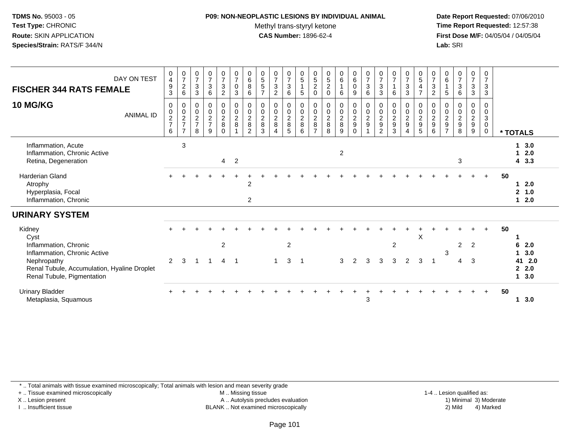#### **P09: NON-NEOPLASTIC LESIONS BY INDIVIDUAL ANIMAL**Methyl trans-styryl ketone<br>CAS Number: 1896-62-4

 **Date Report Requested:** 07/06/2010 **Time Report Requested:** 12:57:38 **First Dose M/F:** 04/05/04 / 04/05/04<br>**Lab:** SRI **Lab:** SRI

| DAY ON TEST<br><b>FISCHER 344 RATS FEMALE</b><br><b>10 MG/KG</b><br><b>ANIMAL ID</b>                                                                                | $\begin{smallmatrix}0\0\4\end{smallmatrix}$<br>$\frac{9}{3}$<br>0<br>$\begin{array}{c} 0 \\ 2 \\ 7 \end{array}$<br>6 | $\frac{0}{7}$<br>$^2$ 6<br>$\,0\,$<br>$\frac{0}{2}$<br>$\overline{7}$ | $\frac{0}{7}$<br>$\sqrt{3}$<br>$\mathbf{3}$<br>0<br>$\mathsf{O}\xspace$<br>$\overline{c}$<br>$\overline{7}$<br>8 | $\frac{0}{7}$<br>$\sqrt{3}$<br>$\,6\,$<br>$\mathbf 0$<br>$\pmb{0}$<br>$\overline{c}$<br>$\overline{7}$<br>9 | $\frac{0}{7}$<br>$\mathbf{3}$<br>$\overline{a}$<br>$\mathbf 0$<br>$\mathsf{O}\xspace$<br>$\overline{a}$<br>8<br>$\Omega$ | $\frac{0}{7}$<br>$\pmb{0}$<br>$\mathbf{3}$<br>$\mathbf 0$<br>$\mathbf 0$<br>$\overline{2}$<br>8 | $\begin{array}{c} 0 \\ 6 \\ 8 \end{array}$<br>$6\overline{6}$<br>$\pmb{0}$<br>$\mathbf 0$<br>$\overline{2}$<br>8<br>$\mathfrak{p}$ | $\begin{array}{c} 0 \\ 5 \\ 5 \end{array}$<br>$\overline{7}$<br>$\pmb{0}$<br>$\frac{0}{2}$<br>3 | $\frac{0}{7}$<br>$\sqrt{3}$<br>$\overline{2}$<br>0<br>$\mathsf{O}\xspace$<br>$\overline{2}$<br>$\,8\,$<br>$\overline{4}$ | $\frac{0}{7}$<br>3<br>6<br>0<br>$\mathbf 0$<br>$\overline{a}$<br>8<br>5 | $\begin{array}{c} 0 \\ 5 \\ 1 \end{array}$<br>$5\,$<br>$\pmb{0}$<br>$\frac{0}{2}$<br>8<br>6 | $\begin{array}{c} 0 \\ 5 \\ 2 \end{array}$<br>$\mathbf 0$<br>0<br>$\mathbf 0$<br>$\sqrt{2}$<br>8<br>$\overline{z}$ | $\begin{array}{c} 0 \\ 5 \\ 2 \end{array}$<br>$\mathbf 0$<br>0<br>$\mathbf 0$<br>$\overline{c}$<br>8<br>8 | $\begin{matrix} 0 \\ 6 \\ 1 \end{matrix}$<br>6<br>$\pmb{0}$<br>$\frac{0}{2}$<br>9 | $\begin{array}{c} 0 \\ 6 \end{array}$<br>$\overline{0}$<br>9<br>$\boldsymbol{0}$<br>$\mathsf{O}\xspace$<br>$\overline{c}$<br>$\boldsymbol{9}$<br>$\Omega$ | $\frac{0}{7}$<br>$\mathsf 3$<br>6<br>$\boldsymbol{0}$<br>$\mathbf 0$<br>$\overline{c}$<br>$\boldsymbol{9}$ | $\frac{0}{7}$<br>3<br>3<br>0<br>$\pmb{0}$<br>$\overline{2}$<br>9<br>$\overline{2}$ | $\frac{0}{7}$<br>$\overline{1}$<br>6<br>0<br>$\pmb{0}$<br>$\overline{2}$<br>$\boldsymbol{9}$<br>3 | $\frac{0}{7}$<br>$\mathbf{3}$<br>$\overline{3}$<br>$\begin{smallmatrix} 0\\0\\2 \end{smallmatrix}$<br>$\boldsymbol{9}$<br>$\overline{4}$ | $\begin{array}{c} 0 \\ 5 \\ 4 \end{array}$<br>$\overline{7}$<br>0<br>$\mathsf{O}\xspace$<br>$\frac{2}{9}$<br>5 | $\begin{array}{c} 0 \\ 7 \\ 3 \end{array}$<br>$\overline{2}$<br>$\pmb{0}$<br>$\mathbf 0$<br>$\overline{2}$<br>$\boldsymbol{9}$<br>6 | $\begin{matrix} 0 \\ 6 \end{matrix}$<br>5<br>0<br>$\mathbf 0$<br>$\overline{c}$<br>$\boldsymbol{9}$<br>$\overline{ }$ | $\frac{0}{7}$<br>$\mathbf{3}$<br>6<br>0<br>$\pmb{0}$<br>$\overline{c}$<br>$\boldsymbol{9}$<br>8 | $\frac{0}{7}$<br>$\mathfrak{Z}$<br>$\sqrt{3}$<br>0<br>$\mathbf 0$<br>$\overline{c}$<br>$\boldsymbol{9}$<br>9 | 0<br>$\overline{7}$<br>$\mathsf 3$<br>$\mathsf 3$<br>0<br>$\mathbf 0$<br>$\mathbf{3}$<br>$\mathsf{O}\xspace$<br>$\mathbf 0$ |    |                                                             |
|---------------------------------------------------------------------------------------------------------------------------------------------------------------------|----------------------------------------------------------------------------------------------------------------------|-----------------------------------------------------------------------|------------------------------------------------------------------------------------------------------------------|-------------------------------------------------------------------------------------------------------------|--------------------------------------------------------------------------------------------------------------------------|-------------------------------------------------------------------------------------------------|------------------------------------------------------------------------------------------------------------------------------------|-------------------------------------------------------------------------------------------------|--------------------------------------------------------------------------------------------------------------------------|-------------------------------------------------------------------------|---------------------------------------------------------------------------------------------|--------------------------------------------------------------------------------------------------------------------|-----------------------------------------------------------------------------------------------------------|-----------------------------------------------------------------------------------|-----------------------------------------------------------------------------------------------------------------------------------------------------------|------------------------------------------------------------------------------------------------------------|------------------------------------------------------------------------------------|---------------------------------------------------------------------------------------------------|------------------------------------------------------------------------------------------------------------------------------------------|----------------------------------------------------------------------------------------------------------------|-------------------------------------------------------------------------------------------------------------------------------------|-----------------------------------------------------------------------------------------------------------------------|-------------------------------------------------------------------------------------------------|--------------------------------------------------------------------------------------------------------------|-----------------------------------------------------------------------------------------------------------------------------|----|-------------------------------------------------------------|
| Inflammation, Acute<br>Inflammation, Chronic Active<br>Retina, Degeneration                                                                                         |                                                                                                                      | 3                                                                     |                                                                                                                  |                                                                                                             | $\overline{4}$                                                                                                           | $\overline{2}$                                                                                  |                                                                                                                                    |                                                                                                 |                                                                                                                          |                                                                         |                                                                                             |                                                                                                                    |                                                                                                           | $\overline{2}$                                                                    |                                                                                                                                                           |                                                                                                            |                                                                                    |                                                                                                   |                                                                                                                                          |                                                                                                                |                                                                                                                                     |                                                                                                                       | 3                                                                                               |                                                                                                              |                                                                                                                             |    | * TOTALS<br>3.0<br>1.<br>2.0<br>$\mathbf 1$<br>43.3         |
| Harderian Gland<br>Atrophy<br>Hyperplasia, Focal<br>Inflammation, Chronic                                                                                           |                                                                                                                      |                                                                       |                                                                                                                  |                                                                                                             |                                                                                                                          |                                                                                                 | $\overline{2}$<br>$\overline{2}$                                                                                                   |                                                                                                 |                                                                                                                          |                                                                         |                                                                                             |                                                                                                                    |                                                                                                           |                                                                                   |                                                                                                                                                           |                                                                                                            |                                                                                    |                                                                                                   |                                                                                                                                          |                                                                                                                |                                                                                                                                     |                                                                                                                       |                                                                                                 |                                                                                                              | $+$                                                                                                                         | 50 | 2.0<br>2, 1.0<br>2.0<br>$\mathbf 1$                         |
| <b>URINARY SYSTEM</b>                                                                                                                                               |                                                                                                                      |                                                                       |                                                                                                                  |                                                                                                             |                                                                                                                          |                                                                                                 |                                                                                                                                    |                                                                                                 |                                                                                                                          |                                                                         |                                                                                             |                                                                                                                    |                                                                                                           |                                                                                   |                                                                                                                                                           |                                                                                                            |                                                                                    |                                                                                                   |                                                                                                                                          |                                                                                                                |                                                                                                                                     |                                                                                                                       |                                                                                                 |                                                                                                              |                                                                                                                             |    |                                                             |
| Kidney<br>Cyst<br>Inflammation, Chronic<br>Inflammation, Chronic Active<br>Nephropathy<br>Renal Tubule, Accumulation, Hyaline Droplet<br>Renal Tubule, Pigmentation | 2                                                                                                                    | 3                                                                     | -1                                                                                                               | -1                                                                                                          | $\overline{c}$<br>$\overline{4}$                                                                                         | $\overline{1}$                                                                                  |                                                                                                                                    |                                                                                                 | 1                                                                                                                        | $\overline{c}$<br>3                                                     | - 1                                                                                         |                                                                                                                    |                                                                                                           | 3                                                                                 | 2                                                                                                                                                         | 3                                                                                                          | 3                                                                                  | $\overline{2}$<br>3                                                                               | $\overline{2}$                                                                                                                           | $\boldsymbol{\mathsf{X}}$<br>3                                                                                 | $\overline{1}$                                                                                                                      | 3                                                                                                                     | $\overline{2}$<br>4                                                                             | 2<br>3                                                                                                       | $\ddot{}$                                                                                                                   | 50 | 6<br>2.0<br>3.0<br>2.0<br>41<br>2.2.0<br>3.0<br>$\mathbf 1$ |
| <b>Urinary Bladder</b><br>Metaplasia, Squamous                                                                                                                      |                                                                                                                      |                                                                       |                                                                                                                  |                                                                                                             |                                                                                                                          |                                                                                                 |                                                                                                                                    |                                                                                                 |                                                                                                                          |                                                                         |                                                                                             |                                                                                                                    |                                                                                                           |                                                                                   |                                                                                                                                                           | 3                                                                                                          |                                                                                    |                                                                                                   |                                                                                                                                          |                                                                                                                |                                                                                                                                     |                                                                                                                       |                                                                                                 |                                                                                                              | $+$                                                                                                                         | 50 | 3.0                                                         |

\* .. Total animals with tissue examined microscopically; Total animals with lesion and mean severity grade

+ .. Tissue examined microscopically

X .. Lesion present

I .. Insufficient tissue

M .. Missing tissue

A .. Autolysis precludes evaluation

 1-4 .. Lesion qualified as: BLANK .. Not examined microscopically 2) Mild 4) Marked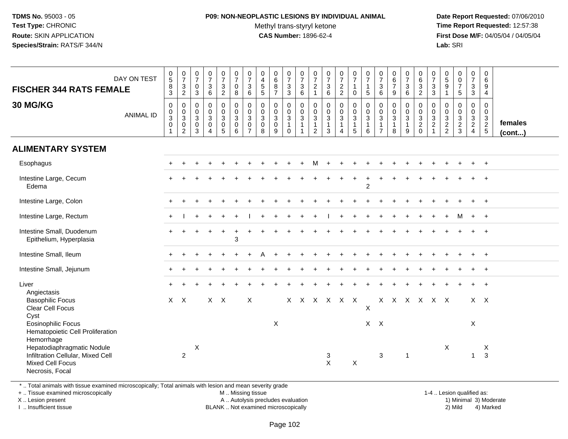#### **P09: NON-NEOPLASTIC LESIONS BY INDIVIDUAL ANIMAL**Methyl trans-styryl ketone<br>CAS Number: 1896-62-4

 **Date Report Requested:** 07/06/2010 **Time Report Requested:** 12:57:38 **First Dose M/F:** 04/05/04 / 04/05/04<br>**Lab:** SRI **Lab:** SRI

| <b>FISCHER 344 RATS FEMALE</b><br>30 MG/KG                                                             | DAY ON TEST      | $\begin{array}{c} 0 \\ 5 \end{array}$<br>$\frac{8}{3}$<br>$\mathbf 0$ | $\frac{0}{7}$<br>$\frac{3}{2}$<br>$\mathsf{O}\xspace$ | $\frac{0}{7}$<br>$\mathbf 0$<br>3<br>0<br>$\mathbf 0$ | $\begin{smallmatrix}0\\7\end{smallmatrix}$<br>$\begin{array}{c} 3 \\ 6 \end{array}$<br>$\mathbf 0$ | $\frac{0}{7}$<br>3<br>$\overline{2}$<br>$\mathbf 0$<br>$\mathbf 0$ | $\frac{0}{7}$<br>$\mathbf 0$<br>8<br>$\mathbf 0$ | $\frac{0}{7}$<br>3<br>6<br>$\mathbf 0$ | $\begin{array}{c} 0 \\ 4 \\ 5 \\ 5 \end{array}$<br>$\mathbf 0$<br>$\mathbf 0$ | $\begin{array}{c} 0 \\ 6 \\ 8 \end{array}$<br>$\overline{7}$<br>$\mathsf{O}\xspace$<br>$\mathbf 0$ | $\begin{array}{c} 0 \\ 7 \end{array}$<br>$\frac{3}{3}$<br>$\mathbf 0$ | $\frac{0}{7}$<br>$\mathbf{3}$<br>6<br>$\mathsf 0$ | $\frac{0}{7}$<br>$\sqrt{2}$<br>$\mathbf{1}$<br>$\pmb{0}$<br>$\mathbf 0$ | $\begin{array}{c} 0 \\ 7 \\ 3 \\ 6 \end{array}$<br>$\mathbf 0$ | $\frac{0}{7}$<br>$\frac{2}{2}$<br>$\mathbf 0$ | $\begin{smallmatrix}0\\7\end{smallmatrix}$<br>$\mathbf{1}$<br>$\mathbf 0$<br>$\mathbf 0$ | $\begin{smallmatrix}0\\7\end{smallmatrix}$<br>$\mathbf{1}$<br>$5\phantom{.0}$<br>$\mathbf 0$ | $\frac{0}{7}$<br>3<br>6<br>0<br>0                | $\begin{array}{c} 0 \\ 6 \end{array}$<br>$\overline{7}$<br>9<br>$\mathbf 0$<br>$\mathbf 0$ | $\frac{0}{7}$<br>$\sqrt{3}$<br>6<br>0<br>$\mathbf 0$ | $\begin{array}{c} 0 \\ 6 \\ 3 \\ 2 \end{array}$<br>$\pmb{0}$ | $\begin{smallmatrix}0\\7\end{smallmatrix}$<br>$\frac{3}{3}$<br>$\pmb{0}$ | $\begin{smallmatrix}0\0\5\end{smallmatrix}$<br>$\boldsymbol{9}$<br>$\mathbf{1}$<br>0 | $\begin{matrix} 0 \\ 0 \\ 7 \end{matrix}$<br>$\sqrt{5}$<br>$\mathsf{O}\xspace$ | $\frac{0}{7}$<br>$\mathsf 3$<br>$\mathbf{3}$<br>0<br>$\mathbf 0$ | $\mathbf 0$<br>6<br>9<br>$\overline{4}$<br>$\mathbf 0$<br>$\mathbf 0$ |                   |
|--------------------------------------------------------------------------------------------------------|------------------|-----------------------------------------------------------------------|-------------------------------------------------------|-------------------------------------------------------|----------------------------------------------------------------------------------------------------|--------------------------------------------------------------------|--------------------------------------------------|----------------------------------------|-------------------------------------------------------------------------------|----------------------------------------------------------------------------------------------------|-----------------------------------------------------------------------|---------------------------------------------------|-------------------------------------------------------------------------|----------------------------------------------------------------|-----------------------------------------------|------------------------------------------------------------------------------------------|----------------------------------------------------------------------------------------------|--------------------------------------------------|--------------------------------------------------------------------------------------------|------------------------------------------------------|--------------------------------------------------------------|--------------------------------------------------------------------------|--------------------------------------------------------------------------------------|--------------------------------------------------------------------------------|------------------------------------------------------------------|-----------------------------------------------------------------------|-------------------|
|                                                                                                        | <b>ANIMAL ID</b> | $\overline{0}$<br>3<br>$\pmb{0}$<br>$\mathbf{1}$                      | $\frac{0}{3}$<br>0<br>$\overline{2}$                  | $\mathbf{3}$<br>0<br>3                                | $\overline{0}$<br>3<br>$\mathbf 0$<br>$\overline{4}$                                               | $\overline{3}$<br>0<br>5                                           | $\frac{0}{3}$<br>$\mathbf 0$<br>6                | $\frac{0}{3}$<br>0<br>$\overline{7}$   | $\overline{3}$<br>$\mathbf 0$<br>8                                            | $\overline{3}$<br>0<br>9                                                                           | $\frac{0}{3}$<br>$\mathbf{1}$<br>$\mathbf{0}$                         | $\frac{0}{3}$<br>$\overline{1}$<br>-1             | $\overline{3}$<br>$\mathbf{1}$<br>$\overline{2}$                        | $\frac{0}{3}$<br>$\mathbf{1}$<br>3                             | $\frac{0}{3}$<br>$\mathbf{1}$<br>4            | $\frac{0}{3}$<br>$\mathbf{1}$<br>$\overline{5}$                                          | $\overline{0}$<br>3<br>$\overline{1}$<br>6                                                   | $\mathbf{3}$<br>$\overline{1}$<br>$\overline{7}$ | $\overline{3}$<br>$\mathbf{1}$<br>8                                                        | $\overline{3}$<br>$\mathbf{1}$<br>9                  | $\frac{0}{3}$<br>$\Omega$                                    | $\frac{0}{3}$<br>$\overline{1}$                                          | $\begin{array}{c} 0 \\ 3 \\ 2 \\ 2 \end{array}$                                      | $\begin{array}{c} 0 \\ 3 \\ 2 \\ 3 \end{array}$                                | $\frac{3}{2}$<br>$\overline{4}$                                  | $\overline{3}$<br>$rac{2}{5}$                                         | females<br>(cont) |
| <b>ALIMENTARY SYSTEM</b>                                                                               |                  |                                                                       |                                                       |                                                       |                                                                                                    |                                                                    |                                                  |                                        |                                                                               |                                                                                                    |                                                                       |                                                   |                                                                         |                                                                |                                               |                                                                                          |                                                                                              |                                                  |                                                                                            |                                                      |                                                              |                                                                          |                                                                                      |                                                                                |                                                                  |                                                                       |                   |
| Esophagus                                                                                              |                  |                                                                       |                                                       |                                                       |                                                                                                    |                                                                    |                                                  |                                        |                                                                               |                                                                                                    |                                                                       |                                                   |                                                                         |                                                                |                                               |                                                                                          |                                                                                              |                                                  |                                                                                            |                                                      |                                                              |                                                                          |                                                                                      |                                                                                |                                                                  |                                                                       |                   |
| Intestine Large, Cecum<br>Edema                                                                        |                  |                                                                       |                                                       |                                                       |                                                                                                    |                                                                    |                                                  |                                        |                                                                               |                                                                                                    |                                                                       |                                                   |                                                                         |                                                                |                                               |                                                                                          | $\overline{2}$                                                                               |                                                  |                                                                                            |                                                      |                                                              |                                                                          |                                                                                      |                                                                                |                                                                  |                                                                       |                   |
| Intestine Large, Colon                                                                                 |                  |                                                                       |                                                       |                                                       |                                                                                                    |                                                                    |                                                  |                                        |                                                                               |                                                                                                    |                                                                       |                                                   |                                                                         |                                                                |                                               |                                                                                          |                                                                                              |                                                  |                                                                                            |                                                      |                                                              |                                                                          |                                                                                      |                                                                                |                                                                  |                                                                       |                   |
| Intestine Large, Rectum                                                                                |                  |                                                                       |                                                       |                                                       |                                                                                                    |                                                                    |                                                  |                                        |                                                                               |                                                                                                    |                                                                       |                                                   |                                                                         |                                                                |                                               |                                                                                          |                                                                                              |                                                  |                                                                                            |                                                      |                                                              |                                                                          |                                                                                      |                                                                                |                                                                  |                                                                       |                   |
| Intestine Small, Duodenum<br>Epithelium, Hyperplasia                                                   |                  |                                                                       |                                                       |                                                       |                                                                                                    |                                                                    | 3                                                |                                        |                                                                               |                                                                                                    |                                                                       |                                                   |                                                                         |                                                                |                                               |                                                                                          |                                                                                              |                                                  |                                                                                            |                                                      |                                                              |                                                                          |                                                                                      |                                                                                |                                                                  |                                                                       |                   |
| Intestine Small, Ileum                                                                                 |                  |                                                                       |                                                       |                                                       |                                                                                                    |                                                                    |                                                  |                                        |                                                                               |                                                                                                    |                                                                       |                                                   |                                                                         |                                                                |                                               |                                                                                          |                                                                                              |                                                  |                                                                                            |                                                      |                                                              |                                                                          |                                                                                      |                                                                                |                                                                  | $\overline{1}$                                                        |                   |
| Intestine Small, Jejunum                                                                               |                  |                                                                       |                                                       |                                                       |                                                                                                    |                                                                    |                                                  |                                        |                                                                               |                                                                                                    |                                                                       |                                                   |                                                                         |                                                                |                                               |                                                                                          |                                                                                              |                                                  |                                                                                            |                                                      |                                                              |                                                                          |                                                                                      |                                                                                |                                                                  |                                                                       |                   |
| Liver<br>Angiectasis                                                                                   |                  |                                                                       |                                                       |                                                       |                                                                                                    |                                                                    |                                                  |                                        |                                                                               |                                                                                                    |                                                                       |                                                   |                                                                         |                                                                |                                               |                                                                                          |                                                                                              |                                                  |                                                                                            |                                                      |                                                              |                                                                          |                                                                                      |                                                                                |                                                                  |                                                                       |                   |
| <b>Basophilic Focus</b><br>Clear Cell Focus<br>Cyst                                                    |                  | $X$ $X$                                                               |                                                       |                                                       | $X$ $X$                                                                                            |                                                                    |                                                  | X                                      |                                                                               |                                                                                                    |                                                                       |                                                   |                                                                         |                                                                | X X X X X X                                   |                                                                                          | X                                                                                            |                                                  | X X X X X X                                                                                |                                                      |                                                              |                                                                          |                                                                                      |                                                                                |                                                                  | $X \times$                                                            |                   |
| <b>Eosinophilic Focus</b><br>Hematopoietic Cell Proliferation<br>Hemorrhage                            |                  |                                                                       |                                                       |                                                       |                                                                                                    |                                                                    |                                                  |                                        |                                                                               | X                                                                                                  |                                                                       |                                                   |                                                                         |                                                                |                                               |                                                                                          | $X$ $X$                                                                                      |                                                  |                                                                                            |                                                      |                                                              |                                                                          |                                                                                      |                                                                                | X                                                                |                                                                       |                   |
| Hepatodiaphragmatic Nodule<br>Infiltration Cellular, Mixed Cell<br>Mixed Cell Focus<br>Necrosis, Focal |                  |                                                                       | $\overline{c}$                                        | X                                                     |                                                                                                    |                                                                    |                                                  |                                        |                                                                               |                                                                                                    |                                                                       |                                                   |                                                                         | 3<br>$\pmb{\times}$                                            |                                               | X                                                                                        |                                                                                              | $\mathbf{3}$                                     |                                                                                            | $\mathbf{1}$                                         |                                                              |                                                                          | $\boldsymbol{\mathsf{X}}$                                                            |                                                                                | $\mathbf{1}$                                                     | $\boldsymbol{\mathsf{X}}$<br>$\mathbf{3}$                             |                   |

\* .. Total animals with tissue examined microscopically; Total animals with lesion and mean severity grade

+ .. Tissue examined microscopically

X .. Lesion present

I .. Insufficient tissue

M .. Missing tissue

A .. Autolysis precludes evaluation

BLANK .. Not examined microscopically 2) Mild 4) Marked

1-4 .. Lesion qualified as: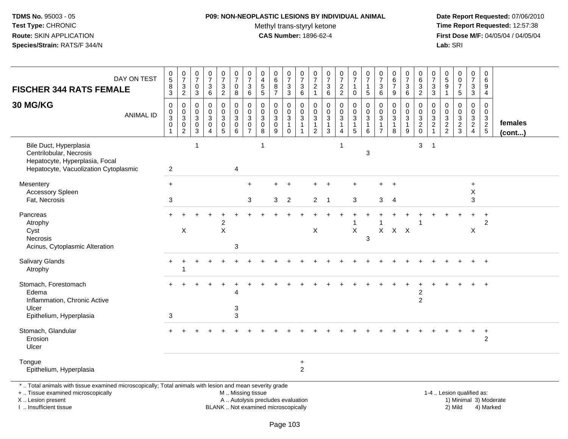# **P09: NON-NEOPLASTIC LESIONS BY INDIVIDUAL ANIMAL**

Methyl trans-styryl ketone<br>CAS Number: 1896-62-4

 **Date Report Requested:** 07/06/2010 **Time Report Requested:** 12:57:38 **First Dose M/F:** 04/05/04 / 04/05/04<br>Lab: SRI **Lab:** SRI

| <b>FISCHER 344 RATS FEMALE</b><br>30 MG/KG                                                                                                                          | DAY ON TEST<br><b>ANIMAL ID</b> | $\begin{array}{c} 0 \\ 5 \end{array}$<br>$\frac{8}{3}$<br>$\pmb{0}$<br>$\frac{0}{3}$ | $\frac{0}{7}$<br>$\frac{3}{2}$<br>$\mathbf 0$<br>$\overline{0}$<br>$\overline{3}$ | $\begin{array}{c} 0 \\ 7 \end{array}$<br>0<br>$\sqrt{3}$<br>0<br>$\mathbf 0$<br>$\ensuremath{\mathsf{3}}$ | $\begin{smallmatrix}0\\7\end{smallmatrix}$<br>$\sqrt{3}$<br>$6\phantom{1}6$<br>$\mathbf 0$<br>$\mathbf 0$<br>$\overline{3}$ | $\frac{0}{7}$<br>3<br>$\overline{2}$<br>0<br>$\overline{0}$<br>3 | $\frac{0}{7}$<br>$\pmb{0}$<br>8<br>$\pmb{0}$<br>$\overline{0}$<br>$\overline{3}$ | $\begin{array}{c} 0 \\ 7 \end{array}$<br>$\ensuremath{\mathsf{3}}$<br>$6\phantom{1}$<br>$\mathbf 0$<br>$\overline{0}$<br>$\ensuremath{\mathsf{3}}$ | 0<br>$\overline{4}$<br>$\sqrt{5}$<br>5<br>0<br>$\mathbf 0$<br>$\ensuremath{\mathsf{3}}$ | $\begin{array}{c} 0 \\ 6 \end{array}$<br>$\frac{8}{7}$<br>$\mathbf 0$<br>$\ddot{\mathbf{0}}$<br>$\overline{3}$ | $\frac{0}{7}$<br>$\ensuremath{\mathsf{3}}$<br>$\mathbf{3}$<br>0<br>$\mathbf 0$<br>$\ensuremath{\mathsf{3}}$ | $\frac{0}{7}$<br>$\sqrt{3}$<br>$\,6\,$<br>$\mathbf 0$<br>$\overline{0}$<br>$\overline{3}$ | $\frac{0}{7}$<br>$\overline{c}$<br>$\mathbf{1}$<br>0<br>$\mathbf 0$<br>3 | $\frac{0}{7}$<br>$\frac{3}{6}$<br>$\pmb{0}$<br>$\overline{0}$<br>$\overline{3}$ | $\frac{0}{7}$<br>$\frac{2}{2}$<br>$\mathsf{O}$<br>$\bar{0}$<br>$\overline{3}$ | $\frac{0}{7}$<br>$\mathbf{1}$<br>$\mathbf 0$<br>0<br>$\overline{0}$<br>$\overline{3}$ | $\frac{0}{7}$<br>$\mathbf{1}$<br>$\sqrt{5}$<br>$\mathbf 0$<br>$\ddot{\mathbf{0}}$<br>$\overline{3}$ | $\frac{0}{7}$<br>$\mathbf{3}$<br>$\,6\,$<br>$\mathbf 0$<br>$\mathbf{0}$<br>$\ensuremath{\mathsf{3}}$ | 0<br>$\,6\,$<br>$\overline{7}$<br>9<br>$\mathbf 0$<br>$\mathbf 0$<br>3 | $\frac{0}{7}$<br>3<br>6<br>0<br>$\mathbf 0$<br>$\ensuremath{\mathsf{3}}$ | $\begin{array}{c} 0 \\ 6 \end{array}$<br>$\frac{3}{2}$<br>0<br>$\mathsf{O}\xspace$<br>$\overline{3}$ | $\frac{0}{7}$<br>$\frac{3}{3}$<br>$\mathbf 0$<br>$\pmb{0}$<br>$\overline{3}$ | $^{\rm 0}_{\rm 5}$<br>9<br>$\mathbf{1}$<br>0<br>$\mathbf 0$<br>$\ensuremath{\mathsf{3}}$ | $_{\rm 0}^{\rm 0}$<br>$\overline{7}$<br>$\,$ 5 $\,$<br>$\mathbf 0$<br>$\ddot{\mathbf{0}}$ | 0<br>$\frac{5}{7}$<br>$\sqrt{3}$<br>$\mathbf{3}$<br>0<br>$\mathbf 0$<br>$\mathbf{3}$ | $\pmb{0}$<br>6<br>9<br>4<br>$\mathbf 0$<br>$\mathbf 0$<br>$\sqrt{3}$ |                         |
|---------------------------------------------------------------------------------------------------------------------------------------------------------------------|---------------------------------|--------------------------------------------------------------------------------------|-----------------------------------------------------------------------------------|-----------------------------------------------------------------------------------------------------------|-----------------------------------------------------------------------------------------------------------------------------|------------------------------------------------------------------|----------------------------------------------------------------------------------|----------------------------------------------------------------------------------------------------------------------------------------------------|-----------------------------------------------------------------------------------------|----------------------------------------------------------------------------------------------------------------|-------------------------------------------------------------------------------------------------------------|-------------------------------------------------------------------------------------------|--------------------------------------------------------------------------|---------------------------------------------------------------------------------|-------------------------------------------------------------------------------|---------------------------------------------------------------------------------------|-----------------------------------------------------------------------------------------------------|------------------------------------------------------------------------------------------------------|------------------------------------------------------------------------|--------------------------------------------------------------------------|------------------------------------------------------------------------------------------------------|------------------------------------------------------------------------------|------------------------------------------------------------------------------------------|-------------------------------------------------------------------------------------------|--------------------------------------------------------------------------------------|----------------------------------------------------------------------|-------------------------|
|                                                                                                                                                                     |                                 | $\pmb{0}$                                                                            | $\begin{smallmatrix} 0\\2 \end{smallmatrix}$                                      | $\mathbf 0$<br>3                                                                                          | $\mathbf 0$<br>$\boldsymbol{\Lambda}$                                                                                       | $\pmb{0}$<br>5                                                   | $\pmb{0}$<br>6                                                                   | $\mathbf 0$<br>$\overline{7}$                                                                                                                      | $\pmb{0}$<br>8                                                                          | $\pmb{0}$<br>9                                                                                                 | $\overline{1}$<br>$\Omega$                                                                                  | $\overline{1}$<br>$\overline{1}$                                                          | 1<br>$\overline{2}$                                                      | $\mathbf{1}$<br>3                                                               | $\mathbf{1}$<br>$\overline{4}$                                                | 1<br>5                                                                                | $\overline{1}$<br>6                                                                                 | $\overline{1}$<br>$\overline{7}$                                                                     | $\mathbf{1}$<br>8                                                      | $\mathbf{1}$<br>9                                                        | $\frac{2}{0}$                                                                                        | $\overline{c}$<br>1                                                          | $\frac{2}{2}$                                                                            | $\frac{3}{2}$                                                                             | $\overline{2}$<br>$\overline{4}$                                                     | $rac{2}{5}$                                                          | females<br>$($ cont $)$ |
| Bile Duct, Hyperplasia<br>Centrilobular, Necrosis<br>Hepatocyte, Hyperplasia, Focal<br>Hepatocyte, Vacuolization Cytoplasmic                                        |                                 | $\mathbf{2}$                                                                         |                                                                                   | -1                                                                                                        |                                                                                                                             |                                                                  | $\overline{4}$                                                                   |                                                                                                                                                    |                                                                                         |                                                                                                                |                                                                                                             |                                                                                           |                                                                          |                                                                                 | -1                                                                            |                                                                                       | 3                                                                                                   |                                                                                                      |                                                                        |                                                                          | 3                                                                                                    | -1                                                                           |                                                                                          |                                                                                           |                                                                                      |                                                                      |                         |
| Mesentery                                                                                                                                                           |                                 | $+$                                                                                  |                                                                                   |                                                                                                           |                                                                                                                             |                                                                  |                                                                                  | $\ddot{}$                                                                                                                                          |                                                                                         |                                                                                                                | $\ddot{}$                                                                                                   |                                                                                           |                                                                          |                                                                                 |                                                                               |                                                                                       |                                                                                                     | $\pm$                                                                                                |                                                                        |                                                                          |                                                                                                      |                                                                              |                                                                                          |                                                                                           | +                                                                                    |                                                                      |                         |
| <b>Accessory Spleen</b><br>Fat, Necrosis                                                                                                                            |                                 | 3                                                                                    |                                                                                   |                                                                                                           |                                                                                                                             |                                                                  |                                                                                  | 3                                                                                                                                                  |                                                                                         | 3                                                                                                              | $\overline{2}$                                                                                              |                                                                                           | $\overline{2}$                                                           | -1                                                                              |                                                                               | 3                                                                                     |                                                                                                     | 3                                                                                                    | $\overline{4}$                                                         |                                                                          |                                                                                                      |                                                                              |                                                                                          |                                                                                           | X<br>3                                                                               |                                                                      |                         |
| Pancreas<br>Atrophy<br>Cyst<br>Necrosis<br>Acinus, Cytoplasmic Alteration                                                                                           |                                 |                                                                                      | X                                                                                 |                                                                                                           |                                                                                                                             | 2<br>$\mathsf X$                                                 | 3                                                                                |                                                                                                                                                    |                                                                                         |                                                                                                                |                                                                                                             |                                                                                           | $\mathsf X$                                                              |                                                                                 |                                                                               | X                                                                                     | 3                                                                                                   | $\mathsf{X}$                                                                                         | $X$ $X$                                                                |                                                                          |                                                                                                      |                                                                              |                                                                                          |                                                                                           | X                                                                                    | $\overline{2}$                                                       |                         |
| Salivary Glands<br>Atrophy                                                                                                                                          |                                 |                                                                                      |                                                                                   |                                                                                                           |                                                                                                                             |                                                                  |                                                                                  |                                                                                                                                                    |                                                                                         |                                                                                                                |                                                                                                             |                                                                                           |                                                                          |                                                                                 |                                                                               |                                                                                       |                                                                                                     |                                                                                                      |                                                                        |                                                                          |                                                                                                      |                                                                              |                                                                                          |                                                                                           |                                                                                      |                                                                      |                         |
| Stomach, Forestomach<br>Edema<br>Inflammation, Chronic Active<br>Ulcer<br>Epithelium, Hyperplasia                                                                   |                                 | 3                                                                                    |                                                                                   |                                                                                                           |                                                                                                                             |                                                                  | 3<br>3                                                                           |                                                                                                                                                    |                                                                                         |                                                                                                                |                                                                                                             |                                                                                           |                                                                          |                                                                                 |                                                                               |                                                                                       |                                                                                                     |                                                                                                      |                                                                        |                                                                          | $\overline{c}$<br>$\overline{2}$                                                                     |                                                                              |                                                                                          |                                                                                           |                                                                                      |                                                                      |                         |
| Stomach, Glandular<br>Erosion<br>Ulcer                                                                                                                              |                                 | $+$                                                                                  |                                                                                   |                                                                                                           |                                                                                                                             |                                                                  |                                                                                  |                                                                                                                                                    |                                                                                         |                                                                                                                |                                                                                                             |                                                                                           |                                                                          |                                                                                 |                                                                               |                                                                                       |                                                                                                     |                                                                                                      |                                                                        |                                                                          |                                                                                                      |                                                                              |                                                                                          |                                                                                           | $\ddot{}$                                                                            | $\ddot{}$<br>$\overline{2}$                                          |                         |
| Tongue<br>Epithelium, Hyperplasia                                                                                                                                   |                                 |                                                                                      |                                                                                   |                                                                                                           |                                                                                                                             |                                                                  |                                                                                  |                                                                                                                                                    |                                                                                         |                                                                                                                |                                                                                                             | $\ddot{}$<br>$\overline{c}$                                                               |                                                                          |                                                                                 |                                                                               |                                                                                       |                                                                                                     |                                                                                                      |                                                                        |                                                                          |                                                                                                      |                                                                              |                                                                                          |                                                                                           |                                                                                      |                                                                      |                         |
| *  Total animals with tissue examined microscopically; Total animals with lesion and mean severity grade<br>+  Tissue examined microscopically<br>X  Lesion present |                                 |                                                                                      |                                                                                   |                                                                                                           |                                                                                                                             |                                                                  | M  Missing tissue<br>A  Autolysis precludes evaluation                           |                                                                                                                                                    |                                                                                         |                                                                                                                |                                                                                                             |                                                                                           |                                                                          |                                                                                 |                                                                               |                                                                                       |                                                                                                     |                                                                                                      |                                                                        |                                                                          |                                                                                                      |                                                                              |                                                                                          | 1-4  Lesion qualified as:                                                                 |                                                                                      | 1) Minimal 3) Moderate                                               |                         |

I .. Insufficient tissue

Page 103

BLANK .. Not examined microscopically 2) Mild 4) Marked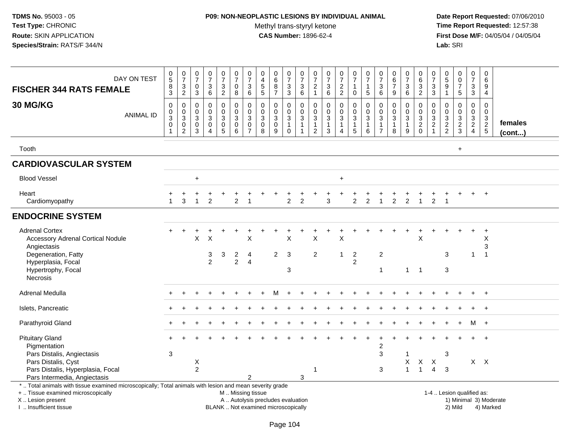### **P09: NON-NEOPLASTIC LESIONS BY INDIVIDUAL ANIMAL**Methyl trans-styryl ketone<br>CAS Number: 1896-62-4

| DAY ON TEST<br><b>FISCHER 344 RATS FEMALE</b><br>30 MG/KG<br><b>ANIMAL ID</b>                                                                                                                 | $\begin{array}{c} 0 \\ 5 \end{array}$<br>$\bf8$<br>$\mathbf{3}$<br>$\mathbf 0$<br>$\pmb{0}$<br>$\ensuremath{\mathsf{3}}$<br>$\mathbf 0$<br>$\overline{1}$ | $\frac{0}{7}$<br>$\sqrt{3}$<br>$\overline{2}$<br>$\boldsymbol{0}$<br>$\mathbf 0$<br>$\ensuremath{\mathsf{3}}$<br>$\mathbf 0$<br>$\overline{c}$ | $\frac{0}{7}$<br>$\pmb{0}$<br>$\mathsf 3$<br>$\pmb{0}$<br>$\mathbf 0$<br>$\mathfrak{S}$<br>$\pmb{0}$<br>$\overline{3}$ | $\frac{0}{7}$<br>3<br>6<br>$\mathsf{O}$<br>$\mathsf{O}$<br>3<br>$\mathsf{O}$<br>$\overline{4}$ | $\frac{0}{7}$<br>$\frac{3}{2}$<br>$\pmb{0}$<br>$\mathbf 0$<br>$\overline{3}$<br>$\begin{array}{c} 0 \\ 5 \end{array}$ | $\begin{array}{c} 0 \\ 7 \end{array}$<br>$\pmb{0}$<br>8<br>$\mathbf 0$<br>$\pmb{0}$<br>$\overline{3}$<br>$\mathbf 0$<br>6 | $\begin{array}{c} 0 \\ 7 \end{array}$<br>$\ensuremath{\mathsf{3}}$<br>6<br>0<br>$\mathbf 0$<br>$\sqrt{3}$<br>0<br>$\overline{7}$ | $\pmb{0}$<br>$\overline{4}$<br>$\sqrt{5}$<br>$\sqrt{5}$<br>$\pmb{0}$<br>$\mathbf 0$<br>$\sqrt{3}$<br>$\mathbf 0$<br>$\overline{8}$ | $_{6}^{\rm 0}$<br>$\bf 8$<br>$\overline{7}$<br>0<br>$\mathbf 0$<br>$\mathfrak{S}$<br>$\mathbf 0$<br>9 | $\frac{0}{7}$<br>$\frac{3}{3}$<br>$\,0\,$<br>$\mathsf{O}\xspace$<br>$\overline{3}$<br>$\mathbf{1}$<br>$\pmb{0}$ | $\frac{0}{7}$<br>$\ensuremath{\mathsf{3}}$<br>6<br>$\mathsf{O}\xspace$<br>$\mathsf{O}\xspace$<br>$\mathbf{3}$<br>$\mathbf{1}$<br>$\mathbf{1}$ | 0<br>$\overline{7}$<br>$\boldsymbol{2}$<br>$\mathbf{1}$<br>$\mathbf 0$<br>$\pmb{0}$<br>$\sqrt{3}$<br>$\mathbf{1}$<br>$\overline{2}$ | $\begin{array}{c} 0 \\ 7 \end{array}$<br>$^3$ 6<br>$\pmb{0}$<br>$\mathbf 0$<br>$\overline{3}$<br>$\mathbf{1}$<br>$\mathbf{3}$ | $\begin{smallmatrix}0\\7\end{smallmatrix}$<br>$\frac{2}{2}$<br>0<br>$\mathbf 0$<br>$\sqrt{3}$<br>$\mathbf{1}$<br>4 | $\begin{array}{c} 0 \\ 7 \end{array}$<br>1<br>$\mathbf 0$<br>$\mathbf 0$<br>$\mathbf 0$<br>$\mathbf{3}$<br>$\mathbf{1}$<br>$\overline{5}$ | $\frac{0}{7}$<br>1<br>$\sqrt{5}$<br>$\mathbf 0$<br>$\pmb{0}$<br>$\mathbf{3}$<br>1<br>$6\phantom{a}$ | $\frac{0}{7}$<br>$\sqrt{3}$<br>$\,6\,$<br>$\mathbf 0$<br>0<br>$\mathbf{3}$<br>$\mathbf{1}$<br>$\overline{7}$ | $\begin{array}{c} 0 \\ 6 \\ 7 \end{array}$<br>$9\,$<br>$\mathbf 0$<br>$\pmb{0}$<br>$\sqrt{3}$<br>$\mathbf{1}$<br>8 | $\begin{array}{c} 0 \\ 7 \end{array}$<br>$\ensuremath{\mathsf{3}}$<br>$6\phantom{1}$<br>$\mathbf{0}$<br>$\mathbf 0$<br>$\sqrt{3}$<br>$\mathbf{1}$<br>$9\,$ | $\pmb{0}$<br>$\overline{6}$<br>$\frac{3}{2}$<br>$\mathbf 0$<br>$\pmb{0}$<br>$\frac{3}{2}$ <sub>0</sub> | $\pmb{0}$<br>$\overline{7}$<br>$\ensuremath{\mathsf{3}}$<br>$\mathbf{3}$<br>$\mathbf 0$<br>$\mathbf 0$<br>$\sqrt{3}$<br>$\frac{2}{1}$ | 0<br>5<br>$\boldsymbol{9}$<br>$\mathbf{1}$<br>$\mathbf 0$<br>$\mathbf 0$<br>$\sqrt{3}$<br>$\frac{2}{2}$ | $\begin{smallmatrix} 0\\0 \end{smallmatrix}$<br>$\overline{7}$<br>5<br>0<br>$\mathbf 0$<br>$\overline{3}$<br>$\frac{2}{3}$ | $\begin{smallmatrix} 0\\7 \end{smallmatrix}$<br>$\ensuremath{\mathsf{3}}$<br>$\mathbf{3}$<br>$\pmb{0}$<br>$\mathbf 0$<br>$\overline{3}$<br>$\overline{a}$<br>$\overline{4}$ | $\mathbf 0$<br>$\,6\,$<br>9<br>4<br>$\mathbf 0$<br>0<br>$\ensuremath{\mathsf{3}}$<br>$\frac{2}{5}$ | females<br>$($ cont $)$ |
|-----------------------------------------------------------------------------------------------------------------------------------------------------------------------------------------------|-----------------------------------------------------------------------------------------------------------------------------------------------------------|------------------------------------------------------------------------------------------------------------------------------------------------|------------------------------------------------------------------------------------------------------------------------|------------------------------------------------------------------------------------------------|-----------------------------------------------------------------------------------------------------------------------|---------------------------------------------------------------------------------------------------------------------------|----------------------------------------------------------------------------------------------------------------------------------|------------------------------------------------------------------------------------------------------------------------------------|-------------------------------------------------------------------------------------------------------|-----------------------------------------------------------------------------------------------------------------|-----------------------------------------------------------------------------------------------------------------------------------------------|-------------------------------------------------------------------------------------------------------------------------------------|-------------------------------------------------------------------------------------------------------------------------------|--------------------------------------------------------------------------------------------------------------------|-------------------------------------------------------------------------------------------------------------------------------------------|-----------------------------------------------------------------------------------------------------|--------------------------------------------------------------------------------------------------------------|--------------------------------------------------------------------------------------------------------------------|------------------------------------------------------------------------------------------------------------------------------------------------------------|--------------------------------------------------------------------------------------------------------|---------------------------------------------------------------------------------------------------------------------------------------|---------------------------------------------------------------------------------------------------------|----------------------------------------------------------------------------------------------------------------------------|-----------------------------------------------------------------------------------------------------------------------------------------------------------------------------|----------------------------------------------------------------------------------------------------|-------------------------|
| Tooth                                                                                                                                                                                         |                                                                                                                                                           |                                                                                                                                                |                                                                                                                        |                                                                                                |                                                                                                                       |                                                                                                                           |                                                                                                                                  |                                                                                                                                    |                                                                                                       |                                                                                                                 |                                                                                                                                               |                                                                                                                                     |                                                                                                                               |                                                                                                                    |                                                                                                                                           |                                                                                                     |                                                                                                              |                                                                                                                    |                                                                                                                                                            |                                                                                                        |                                                                                                                                       |                                                                                                         | $\ddot{}$                                                                                                                  |                                                                                                                                                                             |                                                                                                    |                         |
| <b>CARDIOVASCULAR SYSTEM</b>                                                                                                                                                                  |                                                                                                                                                           |                                                                                                                                                |                                                                                                                        |                                                                                                |                                                                                                                       |                                                                                                                           |                                                                                                                                  |                                                                                                                                    |                                                                                                       |                                                                                                                 |                                                                                                                                               |                                                                                                                                     |                                                                                                                               |                                                                                                                    |                                                                                                                                           |                                                                                                     |                                                                                                              |                                                                                                                    |                                                                                                                                                            |                                                                                                        |                                                                                                                                       |                                                                                                         |                                                                                                                            |                                                                                                                                                                             |                                                                                                    |                         |
| <b>Blood Vessel</b>                                                                                                                                                                           |                                                                                                                                                           |                                                                                                                                                | $\ddot{}$                                                                                                              |                                                                                                |                                                                                                                       |                                                                                                                           |                                                                                                                                  |                                                                                                                                    |                                                                                                       |                                                                                                                 |                                                                                                                                               |                                                                                                                                     |                                                                                                                               | $\ddot{}$                                                                                                          |                                                                                                                                           |                                                                                                     |                                                                                                              |                                                                                                                    |                                                                                                                                                            |                                                                                                        |                                                                                                                                       |                                                                                                         |                                                                                                                            |                                                                                                                                                                             |                                                                                                    |                         |
| Heart<br>Cardiomyopathy                                                                                                                                                                       | $\overline{1}$                                                                                                                                            | 3                                                                                                                                              | $\mathbf 1$                                                                                                            | $\overline{2}$                                                                                 |                                                                                                                       | 2                                                                                                                         | -1                                                                                                                               |                                                                                                                                    |                                                                                                       | $\overline{2}$                                                                                                  | $\overline{c}$                                                                                                                                |                                                                                                                                     | 3                                                                                                                             |                                                                                                                    | $\overline{2}$                                                                                                                            | $\overline{c}$                                                                                      |                                                                                                              | $\overline{2}$                                                                                                     | $\overline{2}$                                                                                                                                             | $\mathbf{1}$                                                                                           | $\overline{2}$                                                                                                                        | $\overline{1}$                                                                                          |                                                                                                                            |                                                                                                                                                                             | $+$                                                                                                |                         |
| <b>ENDOCRINE SYSTEM</b>                                                                                                                                                                       |                                                                                                                                                           |                                                                                                                                                |                                                                                                                        |                                                                                                |                                                                                                                       |                                                                                                                           |                                                                                                                                  |                                                                                                                                    |                                                                                                       |                                                                                                                 |                                                                                                                                               |                                                                                                                                     |                                                                                                                               |                                                                                                                    |                                                                                                                                           |                                                                                                     |                                                                                                              |                                                                                                                    |                                                                                                                                                            |                                                                                                        |                                                                                                                                       |                                                                                                         |                                                                                                                            |                                                                                                                                                                             |                                                                                                    |                         |
| <b>Adrenal Cortex</b><br><b>Accessory Adrenal Cortical Nodule</b><br>Angiectasis<br>Degeneration, Fatty<br>Hyperplasia, Focal<br>Hypertrophy, Focal<br>Necrosis                               | $+$                                                                                                                                                       | $\ddot{}$                                                                                                                                      | X                                                                                                                      | $\overline{1}$<br>$\times$<br>3<br>2                                                           | 3                                                                                                                     | $\ddot{}$<br>$\overline{2}$<br>$\overline{2}$                                                                             | $\ddot{}$<br>X<br>$\overline{4}$<br>$\overline{4}$                                                                               |                                                                                                                                    | $\overline{2}$                                                                                        | $\times$<br>3<br>3                                                                                              |                                                                                                                                               | ÷<br>$\mathsf X$<br>$\overline{2}$                                                                                                  |                                                                                                                               | +<br>$\sf X$<br>$\mathbf{1}$                                                                                       | $\overline{2}$<br>$\overline{c}$                                                                                                          |                                                                                                     | $\overline{2}$<br>$\mathbf{1}$                                                                               |                                                                                                                    | $\ddot{}$<br>$\mathbf{1}$                                                                                                                                  | $\ddot{}$<br>$\times$<br>$\overline{1}$                                                                |                                                                                                                                       | 3<br>3                                                                                                  |                                                                                                                            | $\mathbf{1}$                                                                                                                                                                | $\ddot{}$<br>X<br>$\sqrt{3}$<br>$\overline{1}$                                                     |                         |
| <b>Adrenal Medulla</b>                                                                                                                                                                        |                                                                                                                                                           |                                                                                                                                                |                                                                                                                        |                                                                                                |                                                                                                                       |                                                                                                                           |                                                                                                                                  |                                                                                                                                    |                                                                                                       |                                                                                                                 |                                                                                                                                               |                                                                                                                                     |                                                                                                                               |                                                                                                                    |                                                                                                                                           |                                                                                                     |                                                                                                              |                                                                                                                    |                                                                                                                                                            |                                                                                                        |                                                                                                                                       |                                                                                                         |                                                                                                                            |                                                                                                                                                                             |                                                                                                    |                         |
| Islets, Pancreatic                                                                                                                                                                            |                                                                                                                                                           |                                                                                                                                                |                                                                                                                        |                                                                                                |                                                                                                                       |                                                                                                                           |                                                                                                                                  |                                                                                                                                    |                                                                                                       |                                                                                                                 |                                                                                                                                               |                                                                                                                                     |                                                                                                                               |                                                                                                                    |                                                                                                                                           |                                                                                                     |                                                                                                              |                                                                                                                    |                                                                                                                                                            |                                                                                                        |                                                                                                                                       |                                                                                                         |                                                                                                                            |                                                                                                                                                                             | $+$                                                                                                |                         |
| Parathyroid Gland                                                                                                                                                                             |                                                                                                                                                           |                                                                                                                                                |                                                                                                                        |                                                                                                |                                                                                                                       |                                                                                                                           |                                                                                                                                  |                                                                                                                                    |                                                                                                       |                                                                                                                 |                                                                                                                                               |                                                                                                                                     |                                                                                                                               |                                                                                                                    |                                                                                                                                           |                                                                                                     |                                                                                                              |                                                                                                                    |                                                                                                                                                            |                                                                                                        |                                                                                                                                       |                                                                                                         |                                                                                                                            | M                                                                                                                                                                           | $+$                                                                                                |                         |
| <b>Pituitary Gland</b><br>Pigmentation<br>Pars Distalis, Angiectasis<br>Pars Distalis, Cyst<br>Pars Distalis, Hyperplasia, Focal<br>Pars Intermedia, Angiectasis                              | 3                                                                                                                                                         |                                                                                                                                                | X<br>$\overline{c}$                                                                                                    |                                                                                                |                                                                                                                       |                                                                                                                           | $\overline{2}$                                                                                                                   |                                                                                                                                    |                                                                                                       |                                                                                                                 | 3                                                                                                                                             | -1                                                                                                                                  |                                                                                                                               |                                                                                                                    |                                                                                                                                           |                                                                                                     | $\overline{c}$<br>3<br>3                                                                                     |                                                                                                                    | X<br>$\mathbf{1}$                                                                                                                                          | $\times$<br>$\overline{1}$                                                                             | $\times$<br>$\overline{\mathbf{4}}$                                                                                                   | 3<br>$\mathbf{3}$                                                                                       |                                                                                                                            |                                                                                                                                                                             | $+$<br>$X$ $X$                                                                                     |                         |
| *  Total animals with tissue examined microscopically; Total animals with lesion and mean severity grade<br>+  Tissue examined microscopically<br>X  Lesion present<br>I  Insufficient tissue |                                                                                                                                                           |                                                                                                                                                |                                                                                                                        |                                                                                                |                                                                                                                       | M  Missing tissue                                                                                                         |                                                                                                                                  |                                                                                                                                    | A  Autolysis precludes evaluation<br>BLANK  Not examined microscopically                              |                                                                                                                 |                                                                                                                                               |                                                                                                                                     |                                                                                                                               |                                                                                                                    |                                                                                                                                           |                                                                                                     |                                                                                                              |                                                                                                                    |                                                                                                                                                            |                                                                                                        |                                                                                                                                       |                                                                                                         | 1-4  Lesion qualified as:<br>2) Mild                                                                                       |                                                                                                                                                                             | 1) Minimal 3) Moderate<br>4) Marked                                                                |                         |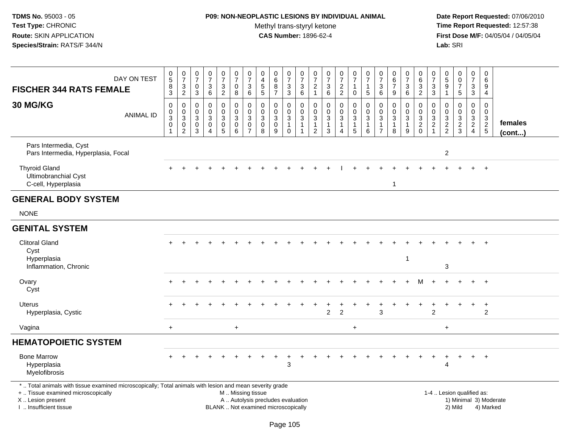### **P09: NON-NEOPLASTIC LESIONS BY INDIVIDUAL ANIMAL**Methyl trans-styryl ketone<br>CAS Number: 1896-62-4

| DAY ON TEST<br><b>FISCHER 344 RATS FEMALE</b>                                                                                                                                                 | $\begin{array}{c} 0 \\ 5 \end{array}$<br>$^8_3$         | $\frac{0}{7}$<br>$\frac{3}{2}$                              | $\frac{0}{7}$<br>$\boldsymbol{0}$<br>$\overline{3}$                       | $\begin{array}{c} 0 \\ 7 \end{array}$<br>$\ensuremath{\mathsf{3}}$<br>6 | $\begin{array}{c} 0 \\ 7 \end{array}$<br>$\frac{3}{2}$  | $\frac{0}{7}$<br>0<br>8                                                        | $\frac{0}{7}$<br>3<br>$\,6\,$                        | $\begin{array}{c} 0 \\ 4 \\ 5 \\ 5 \end{array}$             | $\begin{array}{c} 0 \\ 6 \end{array}$<br>$\bf 8$<br>$\overline{7}$       | $\begin{array}{c} 0 \\ 7 \end{array}$<br>$\frac{3}{3}$                           | $\begin{array}{c} 0 \\ 7 \end{array}$<br>$\frac{3}{6}$                     | $\frac{0}{7}$<br>$\frac{2}{1}$                                    | $\frac{0}{7}$<br>3<br>6                                       | $\frac{0}{7}$<br>$\frac{2}{2}$                                     | $\begin{smallmatrix}0\\7\end{smallmatrix}$<br>$\mathbf{1}$<br>$\mathbf 0$     | $\frac{0}{7}$<br>$\mathbf{1}$<br>$\sqrt{5}$                            | $\frac{0}{7}$<br>$\sqrt{3}$<br>6                                    | $\begin{array}{c} 0 \\ 6 \end{array}$<br>$\overline{7}$<br>9      | $\frac{0}{7}$<br>3<br>$6\phantom{1}$                  | 0<br>$\,6\,$<br>$\ensuremath{\mathsf{3}}$<br>$\overline{2}$                   | $\frac{0}{7}$<br>$\ensuremath{\mathsf{3}}$<br>$\mathfrak{S}$ | $\begin{smallmatrix}0\0\5\end{smallmatrix}$<br>$\boldsymbol{9}$<br>$\mathbf{1}$ | $\begin{array}{c} 0 \\ 0 \\ 7 \end{array}$<br>$5\phantom{.0}$ | 0<br>$\boldsymbol{7}$<br>$\frac{3}{3}$                    | 0<br>$\,6\,$<br>9<br>$\overline{4}$         |                                     |
|-----------------------------------------------------------------------------------------------------------------------------------------------------------------------------------------------|---------------------------------------------------------|-------------------------------------------------------------|---------------------------------------------------------------------------|-------------------------------------------------------------------------|---------------------------------------------------------|--------------------------------------------------------------------------------|------------------------------------------------------|-------------------------------------------------------------|--------------------------------------------------------------------------|----------------------------------------------------------------------------------|----------------------------------------------------------------------------|-------------------------------------------------------------------|---------------------------------------------------------------|--------------------------------------------------------------------|-------------------------------------------------------------------------------|------------------------------------------------------------------------|---------------------------------------------------------------------|-------------------------------------------------------------------|-------------------------------------------------------|-------------------------------------------------------------------------------|--------------------------------------------------------------|---------------------------------------------------------------------------------|---------------------------------------------------------------|-----------------------------------------------------------|---------------------------------------------|-------------------------------------|
| 30 MG/KG<br><b>ANIMAL ID</b>                                                                                                                                                                  | $\pmb{0}$<br>$\frac{0}{3}$<br>$\pmb{0}$<br>$\mathbf{1}$ | $\pmb{0}$<br>$\frac{0}{3}$<br>$\mathbf 0$<br>$\overline{c}$ | $\mathbf 0$<br>$\mathbf 0$<br>$\overline{3}$<br>$\pmb{0}$<br>$\mathbf{3}$ | $\pmb{0}$<br>$\mathbf 0$<br>3<br>$\mathbf 0$<br>$\overline{4}$          | 0<br>$\pmb{0}$<br>$\sqrt{3}$<br>$\pmb{0}$<br>$\sqrt{5}$ | $\pmb{0}$<br>$\mathsf{O}\xspace$<br>$\overline{3}$<br>$\mathsf{O}\xspace$<br>6 | $\pmb{0}$<br>$\mathbf 0$<br>3<br>0<br>$\overline{7}$ | $\mathbf 0$<br>$\mathbf 0$<br>3<br>$\mathsf{O}\xspace$<br>8 | 0<br>$\mathbf 0$<br>$\sqrt{3}$<br>$\pmb{0}$<br>9                         | $\boldsymbol{0}$<br>$\mathbf 0$<br>$\overline{3}$<br>$\mathbf{1}$<br>$\mathbf 0$ | $\pmb{0}$<br>$\mathbf 0$<br>$\sqrt{3}$<br>$\overline{1}$<br>$\overline{1}$ | $\mathbf 0$<br>$\mathbf 0$<br>3<br>$\mathbf{1}$<br>$\overline{2}$ | $\pmb{0}$<br>$\mathbf 0$<br>$\mathbf{3}$<br>$\mathbf{1}$<br>3 | 0<br>$\mathbf 0$<br>$\mathbf{3}$<br>$\mathbf{1}$<br>$\overline{4}$ | $\pmb{0}$<br>$\mathbf 0$<br>$\overline{3}$<br>$\mathbf{1}$<br>$5\phantom{.0}$ | $\pmb{0}$<br>$\pmb{0}$<br>$\sqrt{3}$<br>$\mathbf{1}$<br>$6\phantom{1}$ | $\mathbf 0$<br>$\mathbf 0$<br>3<br>$\overline{1}$<br>$\overline{7}$ | $\mathbf 0$<br>$\mathbf 0$<br>$\mathbf{3}$<br>$\overline{1}$<br>8 | 0<br>$\mathbf 0$<br>$\mathbf{3}$<br>$\mathbf{1}$<br>9 | $\mathbf 0$<br>$\mathbf 0$<br>$\overline{3}$<br>$\overline{2}$<br>$\mathbf 0$ | 0<br>$\mathbf 0$<br>3<br>$\overline{c}$<br>$\mathbf{1}$      | 0<br>$\mathbf 0$<br>$\sqrt{3}$<br>$\frac{2}{2}$                                 | $\pmb{0}$<br>$\overline{0}$<br>3<br>$\frac{2}{3}$             | 0<br>$\mathbf 0$<br>3<br>$\overline{2}$<br>$\overline{4}$ | $\mathbf 0$<br>$\mathbf 0$<br>$\frac{3}{2}$ | females<br>(cont)                   |
| Pars Intermedia, Cyst<br>Pars Intermedia, Hyperplasia, Focal                                                                                                                                  |                                                         |                                                             |                                                                           |                                                                         |                                                         |                                                                                |                                                      |                                                             |                                                                          |                                                                                  |                                                                            |                                                                   |                                                               |                                                                    |                                                                               |                                                                        |                                                                     |                                                                   |                                                       |                                                                               |                                                              | $\overline{c}$                                                                  |                                                               |                                                           |                                             |                                     |
| <b>Thyroid Gland</b><br>Ultimobranchial Cyst<br>C-cell, Hyperplasia                                                                                                                           |                                                         |                                                             |                                                                           |                                                                         |                                                         |                                                                                |                                                      |                                                             |                                                                          |                                                                                  |                                                                            |                                                                   |                                                               |                                                                    |                                                                               |                                                                        |                                                                     | $\overline{1}$                                                    |                                                       |                                                                               |                                                              |                                                                                 |                                                               |                                                           |                                             |                                     |
| <b>GENERAL BODY SYSTEM</b>                                                                                                                                                                    |                                                         |                                                             |                                                                           |                                                                         |                                                         |                                                                                |                                                      |                                                             |                                                                          |                                                                                  |                                                                            |                                                                   |                                                               |                                                                    |                                                                               |                                                                        |                                                                     |                                                                   |                                                       |                                                                               |                                                              |                                                                                 |                                                               |                                                           |                                             |                                     |
| <b>NONE</b>                                                                                                                                                                                   |                                                         |                                                             |                                                                           |                                                                         |                                                         |                                                                                |                                                      |                                                             |                                                                          |                                                                                  |                                                                            |                                                                   |                                                               |                                                                    |                                                                               |                                                                        |                                                                     |                                                                   |                                                       |                                                                               |                                                              |                                                                                 |                                                               |                                                           |                                             |                                     |
| <b>GENITAL SYSTEM</b>                                                                                                                                                                         |                                                         |                                                             |                                                                           |                                                                         |                                                         |                                                                                |                                                      |                                                             |                                                                          |                                                                                  |                                                                            |                                                                   |                                                               |                                                                    |                                                                               |                                                                        |                                                                     |                                                                   |                                                       |                                                                               |                                                              |                                                                                 |                                                               |                                                           |                                             |                                     |
| <b>Clitoral Gland</b><br>Cyst<br>Hyperplasia<br>Inflammation, Chronic                                                                                                                         |                                                         |                                                             |                                                                           |                                                                         |                                                         |                                                                                |                                                      |                                                             |                                                                          |                                                                                  |                                                                            |                                                                   |                                                               |                                                                    |                                                                               |                                                                        |                                                                     |                                                                   | $\overline{1}$                                        |                                                                               |                                                              | 3                                                                               |                                                               |                                                           |                                             |                                     |
| Ovary<br>Cyst                                                                                                                                                                                 |                                                         |                                                             |                                                                           |                                                                         |                                                         |                                                                                |                                                      |                                                             |                                                                          |                                                                                  |                                                                            |                                                                   |                                                               |                                                                    |                                                                               |                                                                        |                                                                     |                                                                   |                                                       | М                                                                             |                                                              |                                                                                 |                                                               | $+$                                                       | $+$                                         |                                     |
| <b>Uterus</b><br>Hyperplasia, Cystic                                                                                                                                                          |                                                         |                                                             |                                                                           |                                                                         |                                                         |                                                                                |                                                      |                                                             |                                                                          |                                                                                  |                                                                            |                                                                   | $\overline{c}$                                                | $\overline{2}$                                                     |                                                                               |                                                                        | 3                                                                   |                                                                   |                                                       |                                                                               | $\overline{2}$                                               |                                                                                 |                                                               | $+$                                                       | $\ddot{}$<br>2                              |                                     |
| Vagina                                                                                                                                                                                        | $+$                                                     |                                                             |                                                                           |                                                                         |                                                         | $\ddot{}$                                                                      |                                                      |                                                             |                                                                          |                                                                                  |                                                                            |                                                                   |                                                               |                                                                    | $\ddot{}$                                                                     |                                                                        |                                                                     |                                                                   |                                                       |                                                                               |                                                              | $\ddot{}$                                                                       |                                                               |                                                           |                                             |                                     |
| <b>HEMATOPOIETIC SYSTEM</b>                                                                                                                                                                   |                                                         |                                                             |                                                                           |                                                                         |                                                         |                                                                                |                                                      |                                                             |                                                                          |                                                                                  |                                                                            |                                                                   |                                                               |                                                                    |                                                                               |                                                                        |                                                                     |                                                                   |                                                       |                                                                               |                                                              |                                                                                 |                                                               |                                                           |                                             |                                     |
| <b>Bone Marrow</b><br>Hyperplasia<br>Myelofibrosis                                                                                                                                            |                                                         |                                                             |                                                                           |                                                                         |                                                         |                                                                                |                                                      |                                                             |                                                                          | 3                                                                                |                                                                            |                                                                   |                                                               |                                                                    |                                                                               |                                                                        |                                                                     |                                                                   |                                                       |                                                                               |                                                              | 4                                                                               |                                                               | $+$                                                       | $+$                                         |                                     |
| *  Total animals with tissue examined microscopically; Total animals with lesion and mean severity grade<br>+  Tissue examined microscopically<br>X  Lesion present<br>I  Insufficient tissue |                                                         |                                                             |                                                                           |                                                                         |                                                         |                                                                                | M  Missing tissue                                    |                                                             | A  Autolysis precludes evaluation<br>BLANK  Not examined microscopically |                                                                                  |                                                                            |                                                                   |                                                               |                                                                    |                                                                               |                                                                        |                                                                     |                                                                   |                                                       |                                                                               |                                                              |                                                                                 | 1-4  Lesion qualified as:<br>2) Mild                          |                                                           |                                             | 1) Minimal 3) Moderate<br>4) Marked |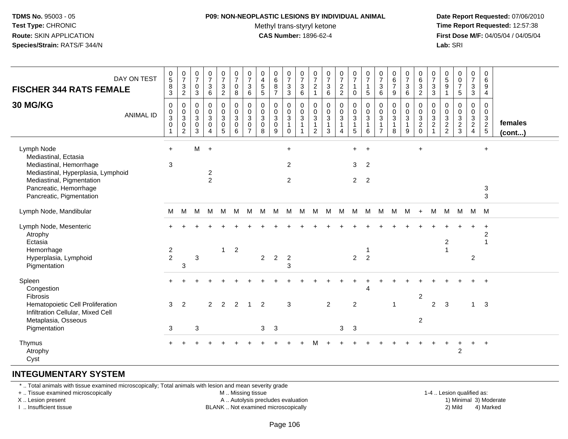#### **P09: NON-NEOPLASTIC LESIONS BY INDIVIDUAL ANIMAL**Methyl trans-styryl ketone<br>CAS Number: 1896-62-4

 **Date Report Requested:** 07/06/2010 **Time Report Requested:** 12:57:38 **First Dose M/F:** 04/05/04 / 04/05/04<br>**Lab:** SRI **Lab:** SRI

| DAY ON TEST<br><b>FISCHER 344 RATS FEMALE</b><br>30 MG/KG<br><b>ANIMAL ID</b>                                                                                                          | $\begin{array}{c} 0 \\ 5 \end{array}$<br>8<br>$\overline{3}$<br>$\pmb{0}$<br>$\pmb{0}$<br>$\ensuremath{\mathsf{3}}$<br>$\pmb{0}$<br>$\mathbf{1}$ | $\begin{array}{c} 0 \\ 7 \end{array}$<br>3<br>$\overline{2}$<br>0<br>$\mathsf{O}\xspace$<br>$\sqrt{3}$<br>0<br>$\overline{2}$ | 0<br>$\overline{7}$<br>$\mathbf 0$<br>$\mathbf{3}$<br>0<br>$\mathbf 0$<br>$\mathbf{3}$<br>0<br>3 | $\begin{array}{c} 0 \\ 7 \end{array}$<br>$\ensuremath{\mathsf{3}}$<br>$\,6\,$<br>$\mathbf 0$<br>$\mathsf{O}\xspace$<br>$\ensuremath{\mathsf{3}}$<br>$\pmb{0}$<br>$\boldsymbol{\Lambda}$ | $\begin{smallmatrix}0\\7\end{smallmatrix}$<br>$\ensuremath{\mathsf{3}}$<br>$\overline{2}$<br>0<br>$\mathsf 0$<br>3<br>$\pmb{0}$<br>5 <sup>5</sup> | $\begin{array}{c} 0 \\ 7 \end{array}$<br>$\mathbf 0$<br>8<br>$\pmb{0}$<br>$\mathbf 0$<br>$\mathbf 3$<br>0<br>6 | $\begin{array}{c} 0 \\ 7 \end{array}$<br>$\mathbf{3}$<br>6<br>0<br>$\mathbf 0$<br>$\mathbf{3}$<br>0<br>$\overline{7}$ | $\mathbf 0$<br>$\overline{4}$<br>$\begin{array}{c} 5 \\ 5 \end{array}$<br>0<br>$\mathbf 0$<br>$\mathbf{3}$<br>0<br>8 | $_{6}^{\rm 0}$<br>$\bf 8$<br>$\overline{7}$<br>0<br>$\mathsf{O}\xspace$<br>$\mathbf{3}$<br>0<br>9 | $\begin{array}{c} 0 \\ 7 \end{array}$<br>$\ensuremath{\mathsf{3}}$<br>$\mathbf{3}$<br>0<br>$\mathbf 0$<br>$\mathbf{3}$<br>$\mathbf{1}$<br>$\mathbf{0}$ | $\frac{0}{7}$<br>$\mathbf{3}$<br>6<br>0<br>$\mathbf 0$<br>$\mathbf{3}$<br>$\mathbf{1}$<br>$\overline{1}$ | $\frac{0}{7}$<br>$\overline{c}$<br>$\mathbf{1}$<br>0<br>$\boldsymbol{0}$<br>$\mathbf{3}$<br>$\mathbf{1}$<br>$\overline{2}$ | $\begin{array}{c} 0 \\ 7 \\ 3 \end{array}$<br>6<br>$\mathbf 0$<br>$\pmb{0}$<br>$\mathbf 3$<br>$\mathbf{1}$<br>3 | $072$<br>2<br>$\mathbf 0$<br>$\mathsf{O}\xspace$<br>$\mathbf{3}$<br>$\mathbf{1}$<br>4 | $\begin{smallmatrix}0\\7\end{smallmatrix}$<br>$\mathbf{1}$<br>0<br>0<br>$\mathsf{O}\xspace$<br>$\mathbf{3}$<br>$\mathbf{1}$<br>5 | $\pmb{0}$<br>$\overline{7}$<br>$\mathbf{1}$<br>$\sqrt{5}$<br>$\pmb{0}$<br>$\pmb{0}$<br>$\sqrt{3}$<br>$\overline{1}$<br>6 | $\frac{0}{7}$<br>$\mathbf 3$<br>6<br>0<br>$\mathbf 0$<br>$\mathbf{3}$<br>$\overline{7}$ | $\pmb{0}$<br>$rac{6}{7}$<br>9<br>$\mathbf 0$<br>$\mathbf 0$<br>$\mathbf{3}$<br>$\mathbf{1}$<br>8 | $\frac{0}{7}$<br>$\mathbf{3}$<br>6<br>0<br>$\mathsf 0$<br>$\mathbf{3}$<br>$\mathbf{1}$<br>9 | $\mathbf 0$<br>$\frac{6}{3}$<br>$\mathbf 0$<br>$\mathbf 0$<br>$\ensuremath{\mathsf{3}}$<br>$\overline{c}$<br>$\mathbf 0$ | $\frac{0}{7}$<br>$\ensuremath{\mathsf{3}}$<br>$\mathfrak{S}$<br>0<br>$\pmb{0}$<br>$\ensuremath{\mathsf{3}}$<br>$\overline{c}$<br>$\overline{1}$ | $\begin{array}{c} 0 \\ 5 \end{array}$<br>$\boldsymbol{9}$<br>$\overline{1}$<br>0<br>$\mathbf 0$<br>$\ensuremath{\mathsf{3}}$<br>$\overline{c}$<br>2 | $\begin{matrix} 0 \\ 0 \\ 7 \end{matrix}$<br>$\overline{5}$<br>$\mathbf 0$<br>$\mathsf{O}\xspace$<br>$\frac{3}{2}$<br>3 | $\begin{array}{c} 0 \\ 7 \end{array}$<br>$\ensuremath{\mathsf{3}}$<br>$\mathbf{3}$<br>0<br>$\mathbf 0$<br>$\frac{3}{2}$<br>$\overline{4}$ | $\boldsymbol{0}$<br>6<br>9<br>$\overline{4}$<br>0<br>$\mathbf 0$<br>$\mathbf{3}$<br>$\overline{2}$<br>$5\phantom{.0}$ | females<br>(cont) |
|----------------------------------------------------------------------------------------------------------------------------------------------------------------------------------------|--------------------------------------------------------------------------------------------------------------------------------------------------|-------------------------------------------------------------------------------------------------------------------------------|--------------------------------------------------------------------------------------------------|-----------------------------------------------------------------------------------------------------------------------------------------------------------------------------------------|---------------------------------------------------------------------------------------------------------------------------------------------------|----------------------------------------------------------------------------------------------------------------|-----------------------------------------------------------------------------------------------------------------------|----------------------------------------------------------------------------------------------------------------------|---------------------------------------------------------------------------------------------------|--------------------------------------------------------------------------------------------------------------------------------------------------------|----------------------------------------------------------------------------------------------------------|----------------------------------------------------------------------------------------------------------------------------|-----------------------------------------------------------------------------------------------------------------|---------------------------------------------------------------------------------------|----------------------------------------------------------------------------------------------------------------------------------|--------------------------------------------------------------------------------------------------------------------------|-----------------------------------------------------------------------------------------|--------------------------------------------------------------------------------------------------|---------------------------------------------------------------------------------------------|--------------------------------------------------------------------------------------------------------------------------|-------------------------------------------------------------------------------------------------------------------------------------------------|-----------------------------------------------------------------------------------------------------------------------------------------------------|-------------------------------------------------------------------------------------------------------------------------|-------------------------------------------------------------------------------------------------------------------------------------------|-----------------------------------------------------------------------------------------------------------------------|-------------------|
| Lymph Node<br>Mediastinal, Ectasia<br>Mediastinal, Hemorrhage<br>Mediastinal, Hyperplasia, Lymphoid<br>Mediastinal, Pigmentation<br>Pancreatic, Hemorrhage<br>Pancreatic, Pigmentation | $+$<br>3                                                                                                                                         |                                                                                                                               | M                                                                                                | $\ddot{+}$<br>$\overline{2}$<br>$\overline{2}$                                                                                                                                          |                                                                                                                                                   |                                                                                                                |                                                                                                                       |                                                                                                                      |                                                                                                   | $+$<br>$\overline{2}$<br>2                                                                                                                             |                                                                                                          |                                                                                                                            |                                                                                                                 |                                                                                       | $+$<br>3<br>$2^{\circ}$                                                                                                          | $+$<br>$\overline{2}$<br>$\overline{2}$                                                                                  |                                                                                         |                                                                                                  |                                                                                             | $\ddot{}$                                                                                                                |                                                                                                                                                 |                                                                                                                                                     |                                                                                                                         |                                                                                                                                           | $\ddot{}$<br>3<br>3                                                                                                   |                   |
| Lymph Node, Mandibular                                                                                                                                                                 | M                                                                                                                                                | M                                                                                                                             | М                                                                                                | M                                                                                                                                                                                       | M                                                                                                                                                 | M                                                                                                              | M                                                                                                                     | M                                                                                                                    | M                                                                                                 | M                                                                                                                                                      | М                                                                                                        | M                                                                                                                          | M                                                                                                               | M                                                                                     | M                                                                                                                                | M                                                                                                                        | M                                                                                       | M                                                                                                | M                                                                                           | $+$                                                                                                                      | M                                                                                                                                               |                                                                                                                                                     | M M M M                                                                                                                 |                                                                                                                                           |                                                                                                                       |                   |
| Lymph Node, Mesenteric<br>Atrophy<br>Ectasia<br>Hemorrhage<br>Hyperplasia, Lymphoid<br>Pigmentation                                                                                    | $\overline{c}$<br>$\overline{2}$                                                                                                                 | 3                                                                                                                             | $\mathbf{3}$                                                                                     |                                                                                                                                                                                         | $\mathbf{1}$                                                                                                                                      | $\overline{c}$                                                                                                 |                                                                                                                       | $\overline{a}$                                                                                                       | $\sqrt{2}$                                                                                        | $\overline{c}$<br>3                                                                                                                                    |                                                                                                          |                                                                                                                            |                                                                                                                 |                                                                                       | $\overline{2}$                                                                                                                   | $\overline{2}$                                                                                                           |                                                                                         |                                                                                                  |                                                                                             |                                                                                                                          |                                                                                                                                                 | $\overline{2}$                                                                                                                                      |                                                                                                                         | $\overline{c}$                                                                                                                            | $\overline{c}$<br>$\overline{1}$                                                                                      |                   |
| Spleen<br>Congestion<br>Fibrosis<br>Hematopoietic Cell Proliferation<br>Infiltration Cellular, Mixed Cell<br>Metaplasia, Osseous<br>Pigmentation                                       | 3<br>3                                                                                                                                           | $\overline{2}$                                                                                                                | 3                                                                                                | $\overline{2}$                                                                                                                                                                          | 2                                                                                                                                                 | 2                                                                                                              | $\mathbf 1$                                                                                                           | 2<br>3 <sup>1</sup>                                                                                                  | $\mathbf{3}$                                                                                      | 3                                                                                                                                                      |                                                                                                          |                                                                                                                            | $\overline{2}$                                                                                                  | 3                                                                                     | $\overline{2}$<br>$\mathbf{3}$                                                                                                   | $\overline{4}$                                                                                                           |                                                                                         | 1                                                                                                |                                                                                             | $\overline{2}$<br>$\overline{c}$                                                                                         | 2                                                                                                                                               | 3                                                                                                                                                   |                                                                                                                         | 1                                                                                                                                         | $\mathbf{3}$                                                                                                          |                   |
| Thymus<br>Atrophy<br>Cyst                                                                                                                                                              |                                                                                                                                                  |                                                                                                                               |                                                                                                  |                                                                                                                                                                                         |                                                                                                                                                   |                                                                                                                |                                                                                                                       |                                                                                                                      |                                                                                                   |                                                                                                                                                        |                                                                                                          |                                                                                                                            |                                                                                                                 |                                                                                       |                                                                                                                                  |                                                                                                                          |                                                                                         |                                                                                                  |                                                                                             |                                                                                                                          |                                                                                                                                                 |                                                                                                                                                     | 2                                                                                                                       | $+$                                                                                                                                       | $\ddot{+}$                                                                                                            |                   |

#### **INTEGUMENTARY SYSTEM**

\* .. Total animals with tissue examined microscopically; Total animals with lesion and mean severity grade

+ .. Tissue examined microscopically

X .. Lesion present

I .. Insufficient tissue

M .. Missing tissue

A .. Autolysis precludes evaluation

BLANK .. Not examined microscopically 2) Mild 4) Marked

1-4 .. Lesion qualified as:<br>1) Minimal 3) Moderate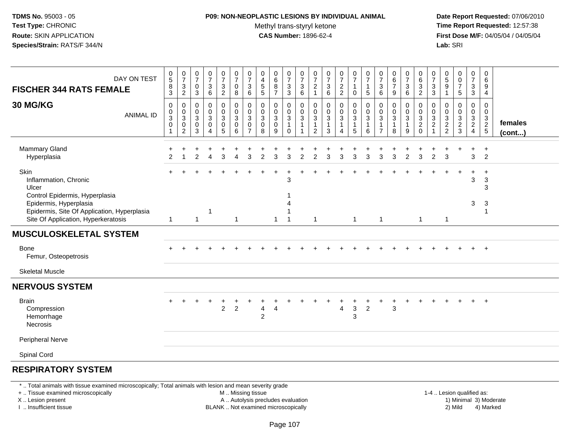### **P09: NON-NEOPLASTIC LESIONS BY INDIVIDUAL ANIMAL**

Methyl trans-styryl ketone<br>CAS Number: 1896-62-4

 **Date Report Requested:** 07/06/2010 **Time Report Requested:** 12:57:38 **First Dose M/F:** 04/05/04 / 04/05/04<br>**Lab:** SRI **Lab:** SRI

| DAY ON TEST<br><b>FISCHER 344 RATS FEMALE</b>                                                                | $\begin{array}{c} 0 \\ 5 \end{array}$<br>$\bf 8$<br>$\mathfrak{S}$ | $\begin{array}{c} 0 \\ 7 \end{array}$<br>$\mathbf{3}$<br>$\overline{c}$ | $\begin{smallmatrix}0\\7\end{smallmatrix}$<br>$\pmb{0}$<br>$\mathbf{3}$ | $\begin{array}{c} 0 \\ 7 \end{array}$<br>$\ensuremath{\mathsf{3}}$<br>$\,6\,$   | $\begin{smallmatrix}0\\7\end{smallmatrix}$<br>$\frac{3}{2}$                                      | $\frac{0}{7}$<br>0<br>8                            | $\frac{0}{7}$<br>$\ensuremath{\mathsf{3}}$<br>$\,6$ | $\pmb{0}$<br>$\frac{4}{5}$<br>5                                | $\begin{matrix}0\6\8\end{matrix}$<br>$\overline{7}$  | $\begin{array}{c} 0 \\ 7 \end{array}$<br>$\overline{3}$<br>3 | $\frac{0}{7}$<br>$\ensuremath{\mathsf{3}}$<br>$\,6$ | 0<br>$\overline{7}$<br>$\overline{c}$<br>$\overline{1}$            | $\frac{0}{7}$<br>$\sqrt{3}$<br>$\,6\,$                      | $\begin{smallmatrix}0\\7\end{smallmatrix}$<br>$\frac{2}{2}$        | $\frac{0}{7}$<br>1<br>$\mathbf 0$                                        | $\frac{0}{7}$<br>1<br>$5\phantom{.0}$ | $\frac{0}{7}$<br>$\ensuremath{\mathsf{3}}$<br>$\,6\,$                          | $\begin{array}{c} 0 \\ 6 \\ 7 \end{array}$<br>$\boldsymbol{9}$   | $\begin{array}{c} 0 \\ 7 \end{array}$<br>$\mathsf 3$<br>$6\phantom{1}$ | $\begin{array}{c} 0 \\ 6 \\ 3 \\ 2 \end{array}$                 | 0<br>$\overline{7}$<br>$\sqrt{3}$<br>3   | $\pmb{0}$<br>$\frac{5}{9}$<br>$\mathbf{1}$ | 0<br>$\pmb{0}$<br>$\overline{7}$<br>5                | $\begin{array}{c} 0 \\ 7 \end{array}$<br>$\mathbf{3}$<br>$\mathbf{3}$          | 0<br>$6\phantom{1}6$<br>9<br>$\overline{4}$ |                         |
|--------------------------------------------------------------------------------------------------------------|--------------------------------------------------------------------|-------------------------------------------------------------------------|-------------------------------------------------------------------------|---------------------------------------------------------------------------------|--------------------------------------------------------------------------------------------------|----------------------------------------------------|-----------------------------------------------------|----------------------------------------------------------------|------------------------------------------------------|--------------------------------------------------------------|-----------------------------------------------------|--------------------------------------------------------------------|-------------------------------------------------------------|--------------------------------------------------------------------|--------------------------------------------------------------------------|---------------------------------------|--------------------------------------------------------------------------------|------------------------------------------------------------------|------------------------------------------------------------------------|-----------------------------------------------------------------|------------------------------------------|--------------------------------------------|------------------------------------------------------|--------------------------------------------------------------------------------|---------------------------------------------|-------------------------|
| <b>30 MG/KG</b><br><b>ANIMAL ID</b>                                                                          | $\pmb{0}$<br>$_{3}^{\rm 0}$<br>$\pmb{0}$<br>$\mathbf{1}$           | $\mathbf 0$<br>0<br>$\mathbf 3$<br>0<br>$\overline{2}$                  | 0<br>0<br>$\mathsf 3$<br>$\pmb{0}$<br>3                                 | $\pmb{0}$<br>$\pmb{0}$<br>$\mathbf{3}$<br>$\mathbf 0$<br>$\boldsymbol{\Lambda}$ | $\mathbf 0$<br>$\mathsf 0$<br>$\ensuremath{\mathsf{3}}$<br>$\begin{array}{c} 0 \\ 5 \end{array}$ | $\pmb{0}$<br>$\mathbf 0$<br>$\mathbf{3}$<br>0<br>6 | 0<br>0<br>$\mathbf{3}$<br>0<br>$\overline{7}$       | $\mathbf 0$<br>$\mathbf 0$<br>$\mathbf{3}$<br>$\mathbf 0$<br>8 | $\mathbf 0$<br>0<br>$\mathbf{3}$<br>$\mathbf 0$<br>9 | 0<br>0<br>$\overline{3}$<br>$\mathbf{1}$<br>$\Omega$         | 0<br>$\,0\,$<br>$\ensuremath{\mathsf{3}}$<br>1      | $\mathbf 0$<br>0<br>$\ensuremath{\mathsf{3}}$<br>$\mathbf{1}$<br>2 | $\pmb{0}$<br>$_{3}^{\rm 0}$<br>$\mathbf{1}$<br>$\mathbf{3}$ | 0<br>$\mathbf 0$<br>$\ensuremath{\mathsf{3}}$<br>$\mathbf{1}$<br>4 | $\mathbf 0$<br>$\pmb{0}$<br>$\sqrt{3}$<br>$\mathbf{1}$<br>$\overline{5}$ | 0<br>0<br>$\mathbf{3}$<br>1<br>6      | $\Omega$<br>0<br>$\ensuremath{\mathsf{3}}$<br>$\overline{1}$<br>$\overline{7}$ | 0<br>$\pmb{0}$<br>$\ensuremath{\mathsf{3}}$<br>$\mathbf{1}$<br>8 | 0<br>0<br>$\mathbf{3}$<br>$\mathbf{1}$<br>9                            | $\mathbf 0$<br>$\begin{bmatrix} 0 \\ 3 \\ 2 \\ 0 \end{bmatrix}$ | 0<br>0<br>$\mathbf{3}$<br>$\overline{c}$ | 0<br>0<br>$\sqrt{3}$<br>$\frac{2}{2}$      | 0<br>0<br>$\ensuremath{\mathsf{3}}$<br>$\frac{2}{3}$ | $\mathbf 0$<br>$\pmb{0}$<br>$\overline{3}$<br>$\overline{2}$<br>$\overline{4}$ | 0<br>0<br>3<br>$\frac{2}{5}$                | females<br>$($ cont $)$ |
| Mammary Gland<br>Hyperplasia                                                                                 | $\mathcal{P}$                                                      |                                                                         | $\mathcal{P}$                                                           | $\boldsymbol{\varDelta}$                                                        | 3                                                                                                | $\Delta$                                           | 3                                                   | $\mathcal{P}$                                                  | 3                                                    | 3                                                            | $\overline{2}$                                      | $\overline{2}$                                                     | 3                                                           | 3                                                                  | 3                                                                        | 3                                     | 3                                                                              | 3                                                                | $\overline{2}$                                                         | 3                                                               | $\overline{2}$                           | 3                                          |                                                      | 3                                                                              | $\ddot{}$<br>$\overline{2}$                 |                         |
| Skin<br>Inflammation, Chronic<br>Ulcer<br>Control Epidermis, Hyperplasia                                     |                                                                    |                                                                         |                                                                         |                                                                                 |                                                                                                  |                                                    |                                                     |                                                                |                                                      | 3                                                            |                                                     |                                                                    |                                                             |                                                                    |                                                                          |                                       |                                                                                |                                                                  |                                                                        |                                                                 |                                          |                                            |                                                      | $\ddot{}$<br>3                                                                 | $\overline{+}$<br>$\sqrt{3}$<br>3           |                         |
| Epidermis, Hyperplasia<br>Epidermis, Site Of Application, Hyperplasia<br>Site Of Application, Hyperkeratosis | $\mathbf{1}$                                                       |                                                                         | $\mathbf{1}$                                                            | -1                                                                              |                                                                                                  | $\overline{1}$                                     |                                                     |                                                                | $\mathbf{1}$                                         |                                                              |                                                     | $\mathbf{1}$                                                       |                                                             |                                                                    | $\overline{1}$                                                           |                                       | $\mathbf{1}$                                                                   |                                                                  |                                                                        | $\overline{1}$                                                  |                                          | $\mathbf{1}$                               |                                                      | 3                                                                              | 3<br>$\mathbf{1}$                           |                         |
| <b>MUSCULOSKELETAL SYSTEM</b>                                                                                |                                                                    |                                                                         |                                                                         |                                                                                 |                                                                                                  |                                                    |                                                     |                                                                |                                                      |                                                              |                                                     |                                                                    |                                                             |                                                                    |                                                                          |                                       |                                                                                |                                                                  |                                                                        |                                                                 |                                          |                                            |                                                      |                                                                                |                                             |                         |
| Bone<br>Femur, Osteopetrosis                                                                                 |                                                                    |                                                                         |                                                                         |                                                                                 |                                                                                                  |                                                    |                                                     |                                                                |                                                      |                                                              |                                                     |                                                                    |                                                             |                                                                    |                                                                          |                                       |                                                                                |                                                                  |                                                                        |                                                                 |                                          |                                            |                                                      | $+$                                                                            | $+$                                         |                         |
| <b>Skeletal Muscle</b>                                                                                       |                                                                    |                                                                         |                                                                         |                                                                                 |                                                                                                  |                                                    |                                                     |                                                                |                                                      |                                                              |                                                     |                                                                    |                                                             |                                                                    |                                                                          |                                       |                                                                                |                                                                  |                                                                        |                                                                 |                                          |                                            |                                                      |                                                                                |                                             |                         |
| <b>NERVOUS SYSTEM</b>                                                                                        |                                                                    |                                                                         |                                                                         |                                                                                 |                                                                                                  |                                                    |                                                     |                                                                |                                                      |                                                              |                                                     |                                                                    |                                                             |                                                                    |                                                                          |                                       |                                                                                |                                                                  |                                                                        |                                                                 |                                          |                                            |                                                      |                                                                                |                                             |                         |
| <b>Brain</b><br>Compression<br>Hemorrhage<br><b>Necrosis</b>                                                 |                                                                    |                                                                         |                                                                         |                                                                                 | $\overline{2}$                                                                                   | $\overline{2}$                                     |                                                     | 4<br>$\overline{c}$                                            | $\overline{4}$                                       |                                                              |                                                     |                                                                    |                                                             | $\overline{4}$                                                     | $\mathbf{3}$<br>3                                                        | $\overline{2}$                        |                                                                                | $\mathbf{3}$                                                     |                                                                        |                                                                 |                                          |                                            |                                                      |                                                                                | $\overline{+}$                              |                         |
| Peripheral Nerve                                                                                             |                                                                    |                                                                         |                                                                         |                                                                                 |                                                                                                  |                                                    |                                                     |                                                                |                                                      |                                                              |                                                     |                                                                    |                                                             |                                                                    |                                                                          |                                       |                                                                                |                                                                  |                                                                        |                                                                 |                                          |                                            |                                                      |                                                                                |                                             |                         |
| Spinal Cord                                                                                                  |                                                                    |                                                                         |                                                                         |                                                                                 |                                                                                                  |                                                    |                                                     |                                                                |                                                      |                                                              |                                                     |                                                                    |                                                             |                                                                    |                                                                          |                                       |                                                                                |                                                                  |                                                                        |                                                                 |                                          |                                            |                                                      |                                                                                |                                             |                         |

#### **RESPIRATORY SYSTEM**

\* .. Total animals with tissue examined microscopically; Total animals with lesion and mean severity grade

+ .. Tissue examined microscopically

X .. Lesion present

I .. Insufficient tissue

M .. Missing tissue

A .. Autolysis precludes evaluation

BLANK .. Not examined microscopically 2) Mild 4) Marked

1-4 .. Lesion qualified as:<br>1) Minimal 3) Moderate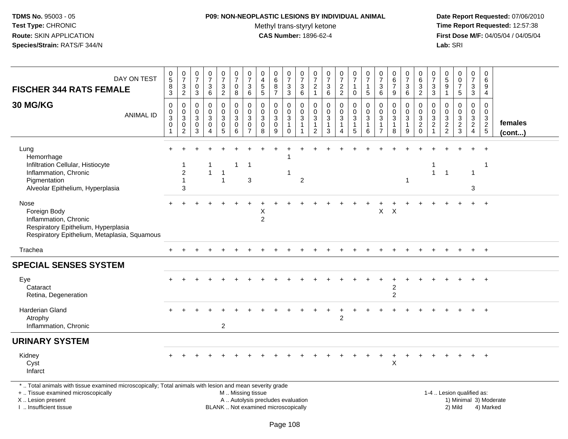# **P09: NON-NEOPLASTIC LESIONS BY INDIVIDUAL ANIMAL**

Methyl trans-styryl ketone<br>CAS Number: 1896-62-4

 **Date Report Requested:** 07/06/2010 **Time Report Requested:** 12:57:38 **First Dose M/F:** 04/05/04 / 04/05/04<br>Lab: SRI **Lab:** SRI

| DAY ON TEST<br><b>FISCHER 344 RATS FEMALE</b><br>30 MG/KG<br><b>ANIMAL ID</b>                                                                                       | 0<br>$\overline{5}$<br>8<br>3<br>$\mathbf 0$<br>$\mathbf 0$<br>3 | $\mathbf 0$<br>$\overline{7}$<br>$\mathbf{3}$<br>$\overline{2}$<br>$\mathbf 0$<br>$\overline{0}$<br>$\ensuremath{\mathsf{3}}$ | 0<br>$\overline{7}$<br>0<br>3<br>$\mathbf 0$<br>$\mathbf{0}$<br>3 | $\frac{0}{7}$<br>3<br>6<br>$\mathbf 0$<br>$\Omega$<br>3 | $\frac{0}{7}$<br>$\ensuremath{\mathsf{3}}$<br>$\overline{2}$<br>0<br>$\mathbf 0$<br>3 | $\begin{array}{c} 0 \\ 7 \end{array}$<br>$\pmb{0}$<br>8<br>$\mathbf 0$<br>$\mathbf 0$<br>3 | $\frac{0}{7}$<br>3<br>6<br>$\mathbf 0$<br>$\Omega$<br>$\mathbf{3}$ | 0<br>$\overline{\mathbf{4}}$<br>$\overline{5}$<br>5<br>$\mathbf{0}$<br>$\mathbf{0}$<br>$\sqrt{3}$ | 0<br>6<br>$\bf 8$<br>$\overline{7}$<br>0<br>$\mathbf 0$<br>3 | 0<br>$\overline{7}$<br>$\ensuremath{\mathsf{3}}$<br>3<br>0<br>$\mathbf 0$<br>$\mathbf{3}$ | 0<br>$\overline{7}$<br>$\ensuremath{\mathsf{3}}$<br>6<br>0<br>$\Omega$<br>$\sqrt{3}$ | 0<br>$\overline{7}$<br>$\overline{c}$<br>$\mathbf{1}$<br>$\mathbf 0$<br>$\mathbf 0$<br>$\mathbf{3}$ | $\frac{0}{7}$<br>$\frac{3}{6}$<br>$\mathbf 0$<br>$\mathsf{O}\xspace$<br>$\sqrt{3}$ | $\frac{0}{7}$<br>$\sqrt{2}$<br>$\overline{2}$<br>0<br>$\pmb{0}$<br>$\mathbf{3}$ | 0<br>$\overline{7}$<br>$\mathbf{1}$<br>$\mathbf 0$<br>$\mathbf 0$<br>$\mathbf 0$<br>$\sqrt{3}$ | 0<br>$\overline{7}$<br>1<br>5<br>$\Omega$<br>$\Omega$<br>3 | 0<br>$\overline{7}$<br>$\sqrt{3}$<br>6<br>$\Omega$<br>$\Omega$<br>3 | 0<br>$\,6\,$<br>$\overline{7}$<br>9<br>$\mathbf 0$<br>$\mathbf 0$<br>$\sqrt{3}$ | 0<br>$\overline{7}$<br>$\mathsf 3$<br>6<br>0<br>$\Omega$<br>3 | 0<br>$\,6\,$<br>$\frac{3}{2}$<br>$\mathbf 0$<br>$\mathbf 0$<br>$\frac{3}{2}$ | 0<br>$\overline{7}$<br>$\sqrt{3}$<br>3<br>$\mathbf 0$<br>$\Omega$<br>$\sqrt{3}$ | 0<br>5<br>9<br>$\mathbf{1}$<br>$\Omega$<br>$\Omega$<br>3 | $\begin{smallmatrix}0\0\0\end{smallmatrix}$<br>$\overline{7}$<br>5<br>$\mathbf 0$<br>$\mathbf 0$ | 0<br>$\overline{7}$<br>$\mathbf{3}$<br>3<br>$\mathbf 0$<br>$\overline{0}$ | 0<br>6<br>9<br>4<br>$\Omega$<br>$\mathbf 0$ |                         |
|---------------------------------------------------------------------------------------------------------------------------------------------------------------------|------------------------------------------------------------------|-------------------------------------------------------------------------------------------------------------------------------|-------------------------------------------------------------------|---------------------------------------------------------|---------------------------------------------------------------------------------------|--------------------------------------------------------------------------------------------|--------------------------------------------------------------------|---------------------------------------------------------------------------------------------------|--------------------------------------------------------------|-------------------------------------------------------------------------------------------|--------------------------------------------------------------------------------------|-----------------------------------------------------------------------------------------------------|------------------------------------------------------------------------------------|---------------------------------------------------------------------------------|------------------------------------------------------------------------------------------------|------------------------------------------------------------|---------------------------------------------------------------------|---------------------------------------------------------------------------------|---------------------------------------------------------------|------------------------------------------------------------------------------|---------------------------------------------------------------------------------|----------------------------------------------------------|--------------------------------------------------------------------------------------------------|---------------------------------------------------------------------------|---------------------------------------------|-------------------------|
|                                                                                                                                                                     | $\mathbf 0$                                                      | $\mathbf 0$<br>2                                                                                                              | $\mathbf 0$<br>3                                                  | $\mathbf 0$<br>4                                        | $\mathbf 0$<br>$\overline{5}$                                                         | $\mathbf 0$<br>6                                                                           | $\mathbf 0$<br>$\overline{7}$                                      | $\mathbf 0$<br>8                                                                                  | $\mathbf 0$<br>9                                             | $\mathbf{1}$<br>$\Omega$                                                                  | $\mathbf{1}$                                                                         | $\mathbf{1}$<br>$\overline{2}$                                                                      | $\mathbf{1}$<br>3                                                                  | $\mathbf{1}$                                                                    | $\mathbf{1}$<br>5                                                                              | 1<br>6                                                     | $\mathbf{1}$                                                        | 1<br>8                                                                          | $\mathbf{1}$<br>9                                             | $\mathbf 0$                                                                  | $\overline{2}$<br>$\mathbf{1}$                                                  | $\frac{2}{2}$                                            | $\frac{3}{2}$                                                                                    | $\begin{array}{c} 3 \\ 2 \\ 4 \end{array}$                                | $\begin{array}{c} 3 \\ 2 \\ 5 \end{array}$  | females<br>$($ cont $)$ |
| Lung<br>Hemorrhage<br>Infiltration Cellular, Histiocyte<br>Inflammation, Chronic<br>Pigmentation<br>Alveolar Epithelium, Hyperplasia                                |                                                                  | $\overline{2}$<br>$\mathbf{1}$<br>3                                                                                           |                                                                   | $\mathbf{1}$                                            | -1<br>$\mathbf 1$                                                                     |                                                                                            | -1<br>3                                                            |                                                                                                   |                                                              | 1                                                                                         | 2                                                                                    |                                                                                                     |                                                                                    |                                                                                 |                                                                                                |                                                            |                                                                     |                                                                                 |                                                               |                                                                              | 1<br>$\mathbf{1}$                                                               | $\overline{1}$                                           |                                                                                                  | $\mathbf 1$<br>3                                                          | $\ddot{}$<br>-1                             |                         |
| Nose<br>Foreign Body<br>Inflammation, Chronic<br>Respiratory Epithelium, Hyperplasia<br>Respiratory Epithelium, Metaplasia, Squamous                                |                                                                  |                                                                                                                               |                                                                   |                                                         |                                                                                       |                                                                                            |                                                                    | X<br>$\overline{c}$                                                                               |                                                              |                                                                                           |                                                                                      |                                                                                                     |                                                                                    |                                                                                 |                                                                                                |                                                            | X                                                                   | $\boldsymbol{\mathsf{X}}$                                                       |                                                               |                                                                              |                                                                                 |                                                          |                                                                                                  |                                                                           | $\ddot{}$                                   |                         |
| Trachea                                                                                                                                                             |                                                                  |                                                                                                                               |                                                                   |                                                         |                                                                                       |                                                                                            |                                                                    |                                                                                                   |                                                              |                                                                                           |                                                                                      |                                                                                                     |                                                                                    |                                                                                 |                                                                                                |                                                            |                                                                     |                                                                                 |                                                               |                                                                              |                                                                                 |                                                          |                                                                                                  |                                                                           | $+$                                         |                         |
| <b>SPECIAL SENSES SYSTEM</b>                                                                                                                                        |                                                                  |                                                                                                                               |                                                                   |                                                         |                                                                                       |                                                                                            |                                                                    |                                                                                                   |                                                              |                                                                                           |                                                                                      |                                                                                                     |                                                                                    |                                                                                 |                                                                                                |                                                            |                                                                     |                                                                                 |                                                               |                                                                              |                                                                                 |                                                          |                                                                                                  |                                                                           |                                             |                         |
| Eye<br>Cataract<br>Retina, Degeneration                                                                                                                             |                                                                  |                                                                                                                               |                                                                   |                                                         |                                                                                       |                                                                                            |                                                                    |                                                                                                   |                                                              |                                                                                           |                                                                                      |                                                                                                     |                                                                                    |                                                                                 |                                                                                                |                                                            |                                                                     | 2<br>$\overline{2}$                                                             |                                                               |                                                                              |                                                                                 |                                                          |                                                                                                  |                                                                           |                                             |                         |
| <b>Harderian Gland</b><br>Atrophy<br>Inflammation, Chronic                                                                                                          |                                                                  |                                                                                                                               |                                                                   |                                                         | $\overline{2}$                                                                        |                                                                                            |                                                                    |                                                                                                   |                                                              |                                                                                           |                                                                                      |                                                                                                     |                                                                                    | $\overline{2}$                                                                  |                                                                                                |                                                            |                                                                     |                                                                                 |                                                               |                                                                              |                                                                                 |                                                          |                                                                                                  |                                                                           |                                             |                         |
| <b>URINARY SYSTEM</b>                                                                                                                                               |                                                                  |                                                                                                                               |                                                                   |                                                         |                                                                                       |                                                                                            |                                                                    |                                                                                                   |                                                              |                                                                                           |                                                                                      |                                                                                                     |                                                                                    |                                                                                 |                                                                                                |                                                            |                                                                     |                                                                                 |                                                               |                                                                              |                                                                                 |                                                          |                                                                                                  |                                                                           |                                             |                         |
| Kidney<br>Cyst<br>Infarct                                                                                                                                           |                                                                  |                                                                                                                               |                                                                   |                                                         |                                                                                       |                                                                                            |                                                                    |                                                                                                   |                                                              |                                                                                           |                                                                                      |                                                                                                     |                                                                                    |                                                                                 |                                                                                                |                                                            |                                                                     | $\boldsymbol{\mathsf{X}}$                                                       |                                                               |                                                                              |                                                                                 |                                                          |                                                                                                  |                                                                           |                                             |                         |
| *  Total animals with tissue examined microscopically; Total animals with lesion and mean severity grade<br>+  Tissue examined microscopically<br>X  Lesion present |                                                                  |                                                                                                                               |                                                                   |                                                         |                                                                                       | M  Missing tissue<br>A  Autolysis precludes evaluation                                     |                                                                    |                                                                                                   |                                                              |                                                                                           |                                                                                      |                                                                                                     |                                                                                    |                                                                                 |                                                                                                |                                                            |                                                                     |                                                                                 |                                                               |                                                                              |                                                                                 |                                                          | 1-4  Lesion qualified as:                                                                        |                                                                           |                                             | 1) Minimal 3) Moderate  |

I .. Insufficient tissue

BLANK .. Not examined microscopically 2) Mild 4) Marked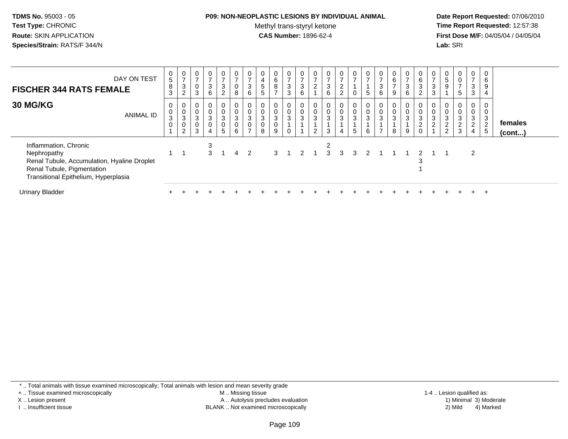## **P09: NON-NEOPLASTIC LESIONS BY INDIVIDUAL ANIMAL**

Methyl trans-styryl ketone<br>CAS Number: 1896-62-4

 **Date Report Requested:** 07/06/2010 **Time Report Requested:** 12:57:38 **First Dose M/F:** 04/05/04 / 04/05/04<br>**Lab:** SRI **Lab:** SRI

| DAY ON TEST<br><b>FISCHER 344 RATS FEMALE</b>                                                                                                             | 0<br>5<br>8<br>3                     | $\frac{0}{7}$<br>$\ensuremath{\mathsf{3}}$<br>$\overline{2}$ | $\frac{0}{7}$<br>$\mathbf 0$<br>3              | $\mathbf{0}$<br>3<br>6                             | $\frac{0}{7}$<br>$\mathbf{3}$<br>$2^{\circ}$                    | $\frac{0}{7}$<br>$_{\rm 8}^{\rm 0}$ | 0<br>$\rightarrow$<br>3<br>6                                  | $\overline{\mathbf{4}}$<br>5<br>$5\phantom{.0}$  | $0\over 6$<br>8<br>$\overline{ }$                    | $\frac{0}{7}$<br>3<br>3       | $\frac{0}{7}$<br>$\mathbf{3}$<br>6 | $\frac{0}{7}$<br>$\overline{c}$        | $\frac{0}{7}$<br>$\ensuremath{\mathsf{3}}$<br>$\,6\,$ | $\mathbf{0}$<br>$\overline{ }$<br>$\Omega$<br>$\epsilon$<br>$\overline{a}$ | $\frac{0}{7}$                        | $\frac{0}{7}$<br>5                | $\rightarrow$<br>$\mathbf{3}$<br>6             | $\begin{matrix} 0 \\ 6 \end{matrix}$<br>$\overline{ }$<br>9 | $\frac{0}{7}$<br>$\sqrt{3}$<br>6 | 0<br>6<br>$\ensuremath{\mathsf{3}}$<br>2                                    | $\frac{0}{7}$<br>$\sqrt{3}$<br>3   | $\frac{0}{5}$<br>$\boldsymbol{9}$                              | 0<br>0<br>$\overline{ }$<br>5                                     | $\frac{0}{7}$<br>$\sqrt{3}$<br>3                                     | 0<br>6<br>9<br>$\overline{4}$                          |                         |  |
|-----------------------------------------------------------------------------------------------------------------------------------------------------------|--------------------------------------|--------------------------------------------------------------|------------------------------------------------|----------------------------------------------------|-----------------------------------------------------------------|-------------------------------------|---------------------------------------------------------------|--------------------------------------------------|------------------------------------------------------|-------------------------------|------------------------------------|----------------------------------------|-------------------------------------------------------|----------------------------------------------------------------------------|--------------------------------------|-----------------------------------|------------------------------------------------|-------------------------------------------------------------|----------------------------------|-----------------------------------------------------------------------------|------------------------------------|----------------------------------------------------------------|-------------------------------------------------------------------|----------------------------------------------------------------------|--------------------------------------------------------|-------------------------|--|
| <b>30 MG/KG</b><br><b>ANIMAL ID</b>                                                                                                                       | 0<br>$\mathbf 0$<br>3<br>$\mathbf 0$ | 0<br>$_3^0$<br>0<br>$\overline{2}$                           | 0<br>$\pmb{0}$<br>$\sqrt{3}$<br>$\pmb{0}$<br>3 | 0<br>$_{3}^{\rm 0}$<br>$\pmb{0}$<br>$\overline{4}$ | $\mathbf 0$<br>$\begin{bmatrix} 0 \\ 3 \\ 0 \end{bmatrix}$<br>5 | 0<br>$\frac{0}{3}$<br>$\,6\,$       | 0<br>$\pmb{0}$<br>$\mathbf{3}$<br>$\pmb{0}$<br>$\overline{ }$ | $\pmb{0}$<br>$\sqrt{3}$<br>$\boldsymbol{0}$<br>8 | $\begin{smallmatrix}0\0\0\3\0\end{smallmatrix}$<br>9 | 0 <sup>1</sup><br>0<br>3<br>0 | 0<br>$\pmb{0}$<br>$\sqrt{3}$       | $_{\rm 0}^{\rm 0}$<br>$\mathbf 3$<br>2 | 0<br>$\frac{0}{3}$<br>3                               | $\mathbf{0}$<br>$\mathbf 0$<br>$\mathbf{3}$<br>4                           | 0<br>$\mathbf 0$<br>$\mathsf 3$<br>5 | 0<br>$\pmb{0}$<br>$\sqrt{3}$<br>6 | 0<br>$\pmb{0}$<br>$\sqrt{3}$<br>$\overline{ }$ | $\begin{matrix} 0 \\ 0 \\ 3 \end{matrix}$<br>8              | 0<br>$\frac{0}{3}$<br>9          | 0<br>$\mathbf 0$<br>$\ensuremath{\mathsf{3}}$<br>$\overline{c}$<br>$\Omega$ | $\mathbf 0$<br>3<br>$\overline{2}$ | $\begin{smallmatrix}0\0\0\3\end{smallmatrix}$<br>$\frac{2}{2}$ | 0<br>$\overline{0}$<br>$\ensuremath{\mathsf{3}}$<br>$\frac{2}{3}$ | 0<br>$\mathbf 0$<br>$\mathbf{3}$<br>$\overline{c}$<br>$\overline{4}$ | 0<br>0<br>$\mathbf{3}$<br>$\overline{2}$<br>$\sqrt{5}$ | females<br>$($ cont $)$ |  |
| Inflammation, Chronic<br>Nephropathy<br>Renal Tubule, Accumulation, Hyaline Droplet<br>Renal Tubule, Pigmentation<br>Transitional Epithelium, Hyperplasia |                                      |                                                              |                                                | 3<br>$\mathcal{S}$                                 |                                                                 | 4                                   | -2                                                            |                                                  | 3                                                    |                               | $\mathcal{P}$                      |                                        | 2<br>3                                                | 3                                                                          |                                      |                                   |                                                |                                                             |                                  |                                                                             |                                    |                                                                |                                                                   | 2                                                                    |                                                        |                         |  |
| <b>Urinary Bladder</b>                                                                                                                                    |                                      |                                                              |                                                |                                                    |                                                                 |                                     |                                                               |                                                  |                                                      |                               |                                    |                                        |                                                       |                                                                            |                                      |                                   |                                                |                                                             |                                  |                                                                             |                                    |                                                                |                                                                   |                                                                      | $\div$                                                 |                         |  |

\* .. Total animals with tissue examined microscopically; Total animals with lesion and mean severity grade

+ .. Tissue examined microscopically

X .. Lesion present

I .. Insufficient tissue

 M .. Missing tissueA .. Autolysis precludes evaluation

BLANK .. Not examined microscopically 2) Mild 4) Marked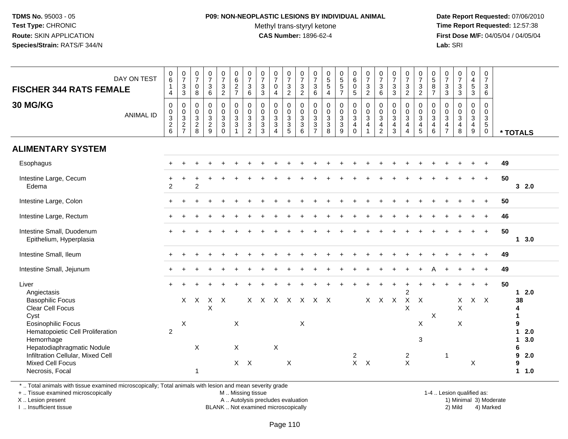## **P09: NON-NEOPLASTIC LESIONS BY INDIVIDUAL ANIMAL**Methyl trans-styryl ketone<br>CAS Number: 1896-62-4

 **Date Report Requested:** 07/06/2010 **Time Report Requested:** 12:57:38 **First Dose M/F:** 04/05/04 / 04/05/04<br>**Lab:** SRI **Lab:** SRI

| DAY ON TEST<br><b>FISCHER 344 RATS FEMALE</b>                                                                                                                                         | $\begin{array}{c} 0 \\ 6 \end{array}$<br>$\mathbf{1}$<br>$\overline{4}$ | $\frac{0}{7}$<br>$_3^3$                                      | $\frac{0}{7}$<br>$\mathbf 0$<br>8            | $\frac{0}{7}$<br>$\mathbf{3}$<br>$\,6\,$ | $\begin{smallmatrix}0\\7\end{smallmatrix}$<br>$\mathbf{3}$<br>$\overline{2}$                            | 0627                                      | $\frac{0}{7}$<br>$\mathbf{3}$<br>$6\phantom{1}$                                           | $\frac{0}{7}$<br>$\ensuremath{\mathsf{3}}$<br>$\sqrt{3}$               | $\frac{0}{7}$<br>$\mathbf 0$<br>$\overline{4}$                              | $\frac{0}{7}$<br>$\frac{3}{2}$                                   | $\frac{0}{7}$<br>$\ensuremath{\mathsf{3}}$<br>$\overline{2}$ | $\frac{0}{7}$<br>$\mathbf{3}$<br>6         | $\begin{array}{c} 0 \\ 5 \\ 5 \end{array}$<br>$\overline{4}$ | 0<br>5<br>5<br>7                                    | $\begin{array}{c} 0 \\ 6 \end{array}$<br>$\mathbf 0$<br>5              | $\begin{smallmatrix}0\\7\end{smallmatrix}$<br>$\ensuremath{\mathsf{3}}$<br>$\overline{2}$ | $\frac{0}{7}$<br>$\ensuremath{\mathsf{3}}$<br>$\,6\,$  | $\frac{0}{7}$<br>$\frac{3}{3}$                                                    | $\frac{0}{7}$<br>$\frac{3}{2}$                                                           | $\frac{0}{7}$<br>$\sqrt{3}$<br>$\overline{2}$          | $\begin{matrix} 0 \\ 5 \end{matrix}$<br>$\bf 8$<br>$\overline{7}$    | $\frac{0}{7}$<br>$\mathbf{3}$<br>3                        | $\frac{0}{7}$<br>$\mathbf{3}$<br>$\mathbf{3}$                        | $\pmb{0}$<br>$\overline{4}$<br>5<br>$\mathbf{3}$                | 0<br>$\overline{7}$<br>3<br>$\,6\,$              |                                                                                  |
|---------------------------------------------------------------------------------------------------------------------------------------------------------------------------------------|-------------------------------------------------------------------------|--------------------------------------------------------------|----------------------------------------------|------------------------------------------|---------------------------------------------------------------------------------------------------------|-------------------------------------------|-------------------------------------------------------------------------------------------|------------------------------------------------------------------------|-----------------------------------------------------------------------------|------------------------------------------------------------------|--------------------------------------------------------------|--------------------------------------------|--------------------------------------------------------------|-----------------------------------------------------|------------------------------------------------------------------------|-------------------------------------------------------------------------------------------|--------------------------------------------------------|-----------------------------------------------------------------------------------|------------------------------------------------------------------------------------------|--------------------------------------------------------|----------------------------------------------------------------------|-----------------------------------------------------------|----------------------------------------------------------------------|-----------------------------------------------------------------|--------------------------------------------------|----------------------------------------------------------------------------------|
| 30 MG/KG<br><b>ANIMAL ID</b>                                                                                                                                                          | $\mathsf{O}\xspace$<br>$\frac{0}{2}$ 6                                  | $\pmb{0}$<br>$\begin{array}{c} 0 \\ 3 \\ 2 \\ 7 \end{array}$ | $\pmb{0}$<br>$\overline{0}$<br>$\frac{3}{2}$ | 0<br>$\ddot{\mathbf{0}}$<br>$rac{3}{2}$  | $\begin{smallmatrix} 0\\0 \end{smallmatrix}$<br>$\ensuremath{\mathsf{3}}$<br>$\mathsf 3$<br>$\mathbf 0$ | $\mathsf{O}\xspace$<br>$\frac{0}{3}$<br>3 | $\mathbf 0$<br>$\mathbf 0$<br>$\ensuremath{\mathsf{3}}$<br>$\mathbf{3}$<br>$\overline{2}$ | $\mathsf{O}\xspace$<br>$\frac{0}{3}$<br>$\ensuremath{\mathsf{3}}$<br>3 | $\mathbf 0$<br>$\mathbf 0$<br>$\mathsf 3$<br>$\mathbf{3}$<br>$\overline{4}$ | $\begin{matrix} 0 \\ 0 \\ 3 \\ 3 \end{matrix}$<br>$\overline{5}$ | 0<br>0<br>$\mathbf{3}$<br>$\mathbf{3}$<br>6                  | $\,0\,$<br>$\frac{0}{3}$<br>$\overline{7}$ | 0<br>$\ddot{\mathbf{0}}$<br>3<br>3<br>8                      | $\begin{matrix} 0 \\ 0 \\ 3 \\ 3 \end{matrix}$<br>9 | $\mathsf{O}$<br>$\ddot{\mathbf{0}}$<br>3<br>$\overline{4}$<br>$\Omega$ | $\pmb{0}$<br>$_{3}^{\rm 0}$<br>$\overline{4}$<br>$\mathbf{1}$                             | 0<br>$\frac{0}{3}$<br>$\overline{4}$<br>$\overline{2}$ | $\mathbf 0$<br>$\overline{0}$<br>$\overline{3}$<br>$\overline{4}$<br>$\mathbf{3}$ | $\mathbf 0$<br>$\ddot{\mathbf{0}}$<br>$\overline{3}$<br>$\overline{4}$<br>$\overline{4}$ | 0<br>0<br>$\mathbf{3}$<br>$\overline{4}$<br>$\sqrt{5}$ | $\pmb{0}$<br>$\boldsymbol{0}$<br>$\mathbf{3}$<br>$\overline{4}$<br>6 | 0<br>$\mathbf 0$<br>3<br>$\overline{4}$<br>$\overline{7}$ | $\begin{smallmatrix}0\0\0\3\end{smallmatrix}$<br>$\overline{4}$<br>8 | $\mathsf{O}$<br>$\ddot{\mathbf{0}}$<br>3<br>$\overline{4}$<br>9 | $\mathbf 0$<br>0<br>3<br>$\sqrt{5}$<br>$\pmb{0}$ | * TOTALS                                                                         |
| <b>ALIMENTARY SYSTEM</b>                                                                                                                                                              |                                                                         |                                                              |                                              |                                          |                                                                                                         |                                           |                                                                                           |                                                                        |                                                                             |                                                                  |                                                              |                                            |                                                              |                                                     |                                                                        |                                                                                           |                                                        |                                                                                   |                                                                                          |                                                        |                                                                      |                                                           |                                                                      |                                                                 |                                                  |                                                                                  |
| Esophagus                                                                                                                                                                             |                                                                         |                                                              |                                              |                                          |                                                                                                         |                                           |                                                                                           |                                                                        |                                                                             |                                                                  |                                                              |                                            |                                                              |                                                     |                                                                        |                                                                                           |                                                        |                                                                                   |                                                                                          |                                                        |                                                                      |                                                           |                                                                      |                                                                 |                                                  | 49                                                                               |
| Intestine Large, Cecum<br>Edema                                                                                                                                                       | 2                                                                       |                                                              | $\mathcal{P}$                                |                                          |                                                                                                         |                                           |                                                                                           |                                                                        |                                                                             |                                                                  |                                                              |                                            |                                                              |                                                     |                                                                        |                                                                                           |                                                        |                                                                                   |                                                                                          |                                                        |                                                                      |                                                           |                                                                      |                                                                 | $+$                                              | 50<br>32.0                                                                       |
| Intestine Large, Colon                                                                                                                                                                |                                                                         |                                                              |                                              |                                          |                                                                                                         |                                           |                                                                                           |                                                                        |                                                                             |                                                                  |                                                              |                                            |                                                              |                                                     |                                                                        |                                                                                           |                                                        |                                                                                   |                                                                                          |                                                        |                                                                      |                                                           |                                                                      |                                                                 |                                                  | 50                                                                               |
| Intestine Large, Rectum                                                                                                                                                               |                                                                         |                                                              |                                              |                                          |                                                                                                         |                                           |                                                                                           |                                                                        |                                                                             |                                                                  |                                                              |                                            |                                                              |                                                     |                                                                        |                                                                                           |                                                        |                                                                                   |                                                                                          |                                                        |                                                                      |                                                           |                                                                      |                                                                 |                                                  | 46                                                                               |
| Intestine Small, Duodenum<br>Epithelium, Hyperplasia                                                                                                                                  |                                                                         |                                                              |                                              |                                          |                                                                                                         |                                           |                                                                                           |                                                                        |                                                                             |                                                                  |                                                              |                                            |                                                              |                                                     |                                                                        |                                                                                           |                                                        |                                                                                   |                                                                                          |                                                        |                                                                      |                                                           |                                                                      |                                                                 |                                                  | 50<br>$1 \quad 3.0$                                                              |
| Intestine Small, Ileum                                                                                                                                                                |                                                                         |                                                              |                                              |                                          |                                                                                                         |                                           |                                                                                           |                                                                        |                                                                             |                                                                  |                                                              |                                            |                                                              |                                                     |                                                                        |                                                                                           |                                                        |                                                                                   |                                                                                          |                                                        |                                                                      |                                                           |                                                                      |                                                                 |                                                  | 49                                                                               |
| Intestine Small, Jejunum                                                                                                                                                              |                                                                         |                                                              |                                              |                                          |                                                                                                         |                                           |                                                                                           |                                                                        |                                                                             |                                                                  |                                                              |                                            |                                                              |                                                     |                                                                        |                                                                                           |                                                        |                                                                                   |                                                                                          |                                                        |                                                                      |                                                           |                                                                      |                                                                 |                                                  | 49                                                                               |
| Liver<br>Angiectasis<br><b>Basophilic Focus</b><br>Clear Cell Focus<br>Cyst                                                                                                           |                                                                         | $\mathsf{X}$                                                 | $\boldsymbol{\mathsf{X}}$                    | $\mathsf{X}$<br>X                        | $\mathsf{X}$                                                                                            |                                           |                                                                                           | X X X X X X X                                                          |                                                                             |                                                                  |                                                              |                                            |                                                              |                                                     |                                                                        |                                                                                           | X X X                                                  |                                                                                   | $\overline{c}$<br>$\mathsf{X}$<br>X                                                      | $\boldsymbol{\mathsf{X}}$                              | $\boldsymbol{\mathsf{X}}$                                            |                                                           | $\mathsf{X}$<br>$\boldsymbol{\mathsf{X}}$                            |                                                                 | $+$<br>$X$ $X$                                   | 50<br>$12.0$<br>38<br>4<br>1                                                     |
| <b>Eosinophilic Focus</b><br>Hematopoietic Cell Proliferation<br>Hemorrhage<br>Hepatodiaphragmatic Nodule<br>Infiltration Cellular, Mixed Cell<br>Mixed Cell Focus<br>Necrosis, Focal | 2                                                                       | $\boldsymbol{\mathsf{X}}$                                    | X<br>$\mathbf{1}$                            |                                          |                                                                                                         | $\times$<br>X                             | $X$ $X$                                                                                   |                                                                        | $\pmb{\times}$                                                              | X                                                                | $\times$                                                     |                                            |                                                              |                                                     | $\overline{2}$<br>$X$ $X$                                              |                                                                                           |                                                        |                                                                                   | $\overline{c}$<br>$\times$                                                               | $\times$<br>3                                          |                                                                      | $\mathbf{1}$                                              | X                                                                    | X                                                               |                                                  | 9<br>$\mathbf{1}$<br>2.0<br>$\mathbf{1}$<br>3.0<br>6<br>9<br>2.0<br>9<br>$1 1.0$ |

\* .. Total animals with tissue examined microscopically; Total animals with lesion and mean severity grade

+ .. Tissue examined microscopically

X .. Lesion present

I .. Insufficient tissue

M .. Missing tissue

A .. Autolysis precludes evaluation 19 and 10 minimal 3) Moderate 1 and 20 minimal 3) Moderate 19 minimal 3) Moderat<br>19 and 19 and 19 and 19 and 19 and 19 and 19 and 19 and 19 and 19 and 19 and 19 and 19 and 19 and 19 and

BLANK .. Not examined microscopically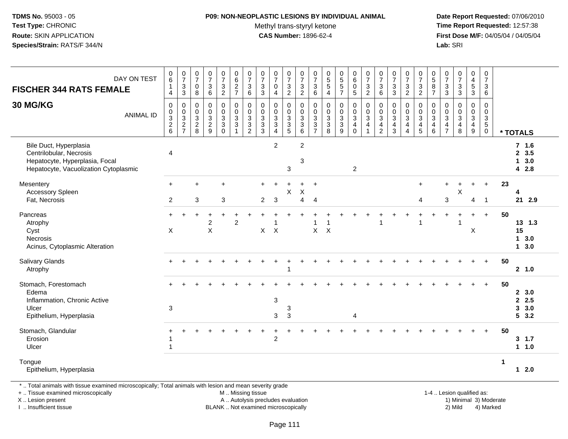# **P09: NON-NEOPLASTIC LESIONS BY INDIVIDUAL ANIMAL**

Methyl trans-styryl ketone<br>CAS Number: 1896-62-4

 **Date Report Requested:** 07/06/2010 **Time Report Requested:** 12:57:38 **First Dose M/F:** 04/05/04 / 04/05/04<br>Lab: SRI **Lab:** SRI

| DAY ON TEST<br><b>FISCHER 344 RATS FEMALE</b>                                                                                | $_{6}^{\rm 0}$<br>$\mathbf{1}$<br>$\overline{4}$                          | $\frac{0}{7}$<br>$_3^3$              | $\begin{smallmatrix}0\\7\end{smallmatrix}$<br>$\boldsymbol{0}$<br>$\overline{8}$ | $\frac{0}{7}$<br>$\mathsf 3$<br>$6\phantom{a}$       | $\frac{0}{7}$<br>$\frac{3}{2}$                 | 0627                                              | $\frac{0}{7}$<br>$\mathbf{3}$<br>$6\overline{6}$                            | $\frac{0}{7}$<br>$\frac{3}{3}$                                                                        | $\begin{array}{c} 0 \\ 7 \end{array}$<br>$\mathbf 0$<br>$\overline{4}$ | $\frac{0}{7}$<br>$\frac{3}{2}$    | $\begin{smallmatrix}0\\7\end{smallmatrix}$<br>$\frac{3}{2}$                      | $\frac{0}{7}$<br>3<br>$\,6\,$                                                                          | $\frac{0}{5}$<br>$\frac{5}{4}$            | 0<br>5<br>5<br>7                       | $_{6}^{\rm 0}$<br>$\begin{array}{c} 0 \\ 5 \end{array}$                          | $\begin{array}{c} 0 \\ 7 \end{array}$<br>$\frac{3}{2}$              | $\begin{array}{c} 0 \\ 7 \end{array}$<br>$\begin{array}{c} 3 \\ 6 \end{array}$             | $\frac{0}{7}$<br>$\sqrt{3}$<br>$\overline{3}$                                           | $\frac{0}{7}$<br>$\ensuremath{\mathsf{3}}$<br>$\overline{2}$  | $\frac{0}{7}$<br>$\frac{3}{2}$                                           | $\begin{array}{c} 0 \\ 5 \\ 8 \end{array}$<br>$\overline{7}$ | $\frac{0}{7}$<br>$\frac{3}{3}$                                 | $\begin{smallmatrix}0\\7\end{smallmatrix}$<br>$\frac{3}{3}$ | $\begin{array}{c} 0 \\ 4 \\ 5 \\ 3 \end{array}$                                                  | $\frac{0}{7}$<br>$\mathbf{3}$<br>$\,6\,$                               |             |                                                   |
|------------------------------------------------------------------------------------------------------------------------------|---------------------------------------------------------------------------|--------------------------------------|----------------------------------------------------------------------------------|------------------------------------------------------|------------------------------------------------|---------------------------------------------------|-----------------------------------------------------------------------------|-------------------------------------------------------------------------------------------------------|------------------------------------------------------------------------|-----------------------------------|----------------------------------------------------------------------------------|--------------------------------------------------------------------------------------------------------|-------------------------------------------|----------------------------------------|----------------------------------------------------------------------------------|---------------------------------------------------------------------|--------------------------------------------------------------------------------------------|-----------------------------------------------------------------------------------------|---------------------------------------------------------------|--------------------------------------------------------------------------|--------------------------------------------------------------|----------------------------------------------------------------|-------------------------------------------------------------|--------------------------------------------------------------------------------------------------|------------------------------------------------------------------------|-------------|---------------------------------------------------|
| 30 MG/KG<br><b>ANIMAL ID</b>                                                                                                 | $\mathbf 0$<br>$\pmb{0}$<br>$\ensuremath{\mathsf{3}}$<br>$^2\phantom{1}6$ | 0<br>$\overline{0}$<br>$\frac{3}{2}$ | $\mathbf 0$<br>$\mathbf 0$<br>$\frac{3}{2}$                                      | $\mathbf 0$<br>$\mathbf 0$<br>$\frac{3}{2}$          | 0<br>$\pmb{0}$<br>$\mathbf 3$<br>$\frac{3}{0}$ | 0<br>$\mathbf 0$<br>$\frac{3}{3}$<br>$\mathbf{1}$ | $\Omega$<br>$\mathbf 0$<br>$\ensuremath{\mathsf{3}}$<br>3<br>$\overline{2}$ | $\mathbf{0}$<br>$\mathbf 0$<br>$\ensuremath{\mathsf{3}}$<br>$\ensuremath{\mathsf{3}}$<br>$\mathbf{3}$ | $\mathbf 0$<br>$\ddot{\mathbf{0}}$<br>$\frac{3}{3}$<br>$\overline{4}$  | 0<br>$\mathbf 0$<br>$\frac{3}{3}$ | $\mathbf 0$<br>$\mathbf 0$<br>$\ensuremath{\mathsf{3}}$<br>$\sqrt{3}$<br>$\,6\,$ | $\mathbf 0$<br>$\mathbf 0$<br>$\ensuremath{\mathsf{3}}$<br>$\ensuremath{\mathsf{3}}$<br>$\overline{7}$ | $\mathbf 0$<br>$\pmb{0}$<br>$\frac{3}{8}$ | 0<br>$\boldsymbol{0}$<br>$\frac{3}{9}$ | 0<br>$\mathsf{O}\xspace$<br>$\mathbf{3}$<br>$\overline{\mathbf{4}}$<br>$\pmb{0}$ | 0<br>$\overline{0}$<br>$\sqrt{3}$<br>$\overline{4}$<br>$\mathbf{1}$ | 0<br>$\mathbf 0$<br>$\ensuremath{\mathsf{3}}$<br>$\overline{\mathbf{4}}$<br>$\overline{c}$ | $\mathbf 0$<br>$\pmb{0}$<br>$\ensuremath{\mathsf{3}}$<br>$\overline{4}$<br>$\mathbf{3}$ | 0<br>$\pmb{0}$<br>$\mathbf 3$<br>$\overline{\mathbf{4}}$<br>4 | 0<br>$\mathbf 0$<br>$\mathbf 3$<br>$\begin{array}{c} 4 \\ 5 \end{array}$ | 0<br>$\mathbf 0$<br>3<br>$\overline{4}$<br>6                 | $\mathbf 0$<br>0<br>$\ensuremath{\mathsf{3}}$<br>$\frac{4}{7}$ | 0<br>$\ddot{\mathbf{0}}$<br>$\frac{3}{4}$<br>8              | $\mathbf 0$<br>$\mathbf 0$<br>$\ensuremath{\mathsf{3}}$<br>$\begin{array}{c} 4 \\ 9 \end{array}$ | $\mathbf 0$<br>$\mathbf 0$<br>$\mathbf 3$<br>$\sqrt{5}$<br>$\mathbf 0$ |             | * TOTALS                                          |
| Bile Duct, Hyperplasia<br>Centrilobular, Necrosis<br>Hepatocyte, Hyperplasia, Focal<br>Hepatocyte, Vacuolization Cytoplasmic | $\overline{4}$                                                            |                                      |                                                                                  |                                                      |                                                |                                                   |                                                                             |                                                                                                       | $\overline{2}$                                                         | 3                                 | $\overline{c}$<br>$\sqrt{3}$                                                     |                                                                                                        |                                           |                                        | $\overline{2}$                                                                   |                                                                     |                                                                                            |                                                                                         |                                                               |                                                                          |                                                              |                                                                |                                                             |                                                                                                  |                                                                        |             | $7$ 1.6<br>2, 3.5<br>3.0<br>$\mathbf{1}$<br>4 2.8 |
| Mesentery<br><b>Accessory Spleen</b><br>Fat, Necrosis                                                                        | $+$<br>$\overline{2}$                                                     |                                      | $\ddot{}$<br>3                                                                   |                                                      | $\ddot{}$<br>3                                 |                                                   |                                                                             | $+$<br>$\overline{2}$                                                                                 | 3                                                                      | X                                 | X<br>4                                                                           | $\ddot{}$<br>$\overline{4}$                                                                            |                                           |                                        |                                                                                  |                                                                     |                                                                                            |                                                                                         |                                                               | $+$<br>4                                                                 |                                                              | $\ddot{}$<br>3                                                 | X                                                           | $\ddot{}$<br>4                                                                                   | $\ddot{}$<br>$\overline{1}$                                            | 23          | 4<br>21 2.9                                       |
| Pancreas<br>Atrophy<br>Cyst<br>Necrosis<br>Acinus, Cytoplasmic Alteration                                                    | X                                                                         |                                      |                                                                                  | $\overline{\mathbf{c}}$<br>$\boldsymbol{\mathsf{X}}$ |                                                | $\overline{c}$                                    |                                                                             | X                                                                                                     | $\mathsf{X}$                                                           |                                   |                                                                                  | $\mathsf{X}$                                                                                           | $\boldsymbol{\mathsf{X}}$                 |                                        |                                                                                  |                                                                     |                                                                                            |                                                                                         |                                                               |                                                                          |                                                              |                                                                |                                                             | $\ddot{}$<br>X                                                                                   | $+$                                                                    | 50          | 13, 1.3<br>15<br>13.0<br>13.0                     |
| Salivary Glands<br>Atrophy                                                                                                   |                                                                           |                                      |                                                                                  |                                                      |                                                |                                                   |                                                                             |                                                                                                       |                                                                        |                                   |                                                                                  |                                                                                                        |                                           |                                        |                                                                                  |                                                                     |                                                                                            |                                                                                         |                                                               |                                                                          |                                                              |                                                                |                                                             |                                                                                                  | $+$                                                                    | 50          | 2 1.0                                             |
| Stomach, Forestomach<br>Edema<br>Inflammation, Chronic Active<br>Ulcer<br>Epithelium, Hyperplasia                            | 3                                                                         |                                      |                                                                                  |                                                      |                                                |                                                   |                                                                             |                                                                                                       | $\sqrt{3}$<br>3                                                        | 3<br>3                            |                                                                                  |                                                                                                        |                                           |                                        | $\overline{4}$                                                                   |                                                                     |                                                                                            |                                                                                         |                                                               |                                                                          |                                                              |                                                                |                                                             |                                                                                                  |                                                                        | 50          | 2, 3.0<br>2.5<br>$3\ 3.0$<br>53.2                 |
| Stomach, Glandular<br>Erosion<br>Ulcer                                                                                       | -1                                                                        |                                      |                                                                                  |                                                      |                                                |                                                   |                                                                             |                                                                                                       | $\overline{2}$                                                         |                                   |                                                                                  |                                                                                                        |                                           |                                        |                                                                                  |                                                                     |                                                                                            |                                                                                         |                                                               |                                                                          |                                                              |                                                                |                                                             |                                                                                                  |                                                                        | 50          | $3 \t1.7$<br>1 1.0                                |
| Tongue<br>Epithelium, Hyperplasia                                                                                            |                                                                           |                                      |                                                                                  |                                                      |                                                |                                                   |                                                                             |                                                                                                       |                                                                        |                                   |                                                                                  |                                                                                                        |                                           |                                        |                                                                                  |                                                                     |                                                                                            |                                                                                         |                                                               |                                                                          |                                                              |                                                                |                                                             |                                                                                                  |                                                                        | $\mathbf 1$ | $12.0$                                            |

X .. Lesion present

I .. Insufficient tissue

A .. Autolysis precludes evaluation

BLANK .. Not examined microscopically 2) Mild 4) Marked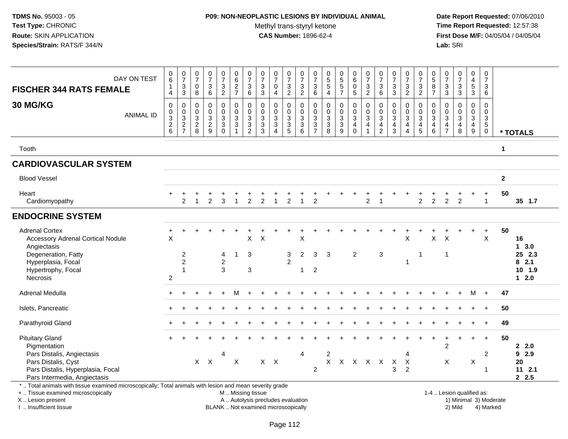## **P09: NON-NEOPLASTIC LESIONS BY INDIVIDUAL ANIMAL**Methyl trans-styryl ketone<br>CAS Number: 1896-62-4

 **Date Report Requested:** 07/06/2010 **Time Report Requested:** 12:57:38 **First Dose M/F:** 04/05/04 / 04/05/04<br>Lab: SRI **Lab:** SRI

| DAY ON TEST<br><b>FISCHER 344 RATS FEMALE</b>                                                                                                                       | $\begin{matrix} 0 \\ 6 \end{matrix}$<br>$\mathbf{1}$<br>$\overline{4}$ | $\frac{0}{7}$<br>$\frac{3}{3}$                               | $\begin{smallmatrix}0\\7\end{smallmatrix}$<br>$\mathbf 0$<br>8 | $\frac{0}{7}$<br>$\ensuremath{\mathsf{3}}$<br>$\,6\,$ | $\frac{0}{7}$<br>$\mathbf{3}$<br>$\overline{c}$        | $\begin{array}{c} 0 \\ 6 \end{array}$<br>$\frac{2}{7}$ | $\frac{0}{7}$<br>$\mathbf{3}$<br>6        | $\frac{0}{7}$<br>$\ensuremath{\mathsf{3}}$<br>3                 | $\frac{0}{7}$<br>$\mathbf 0$<br>$\overline{4}$ | 0<br>$\overline{7}$<br>$\ensuremath{\mathsf{3}}$<br>2         | $\frac{0}{7}$<br>$\ensuremath{\mathsf{3}}$<br>$\overline{2}$ | 0<br>$\overline{7}$<br>$\sqrt{3}$<br>6 | $\begin{array}{c} 0 \\ 5 \\ 5 \end{array}$<br>$\overline{4}$ | $\begin{array}{c} 0 \\ 5 \\ 5 \end{array}$<br>$\overline{7}$ | $\begin{array}{c} 0 \\ 6 \end{array}$<br>$\frac{0}{5}$ | $\frac{0}{7}$<br>$\frac{3}{2}$             | 0<br>$\overline{7}$<br>$\mathbf{3}$<br>6        | $\frac{0}{7}$<br>$\frac{3}{3}$                       | $\frac{0}{7}$<br>$\frac{3}{2}$                     | $\frac{0}{7}$<br>$\frac{3}{2}$                      | $\begin{array}{c} 0 \\ 5 \end{array}$<br>$\frac{8}{7}$ | 0<br>$\overline{7}$<br>$\ensuremath{\mathsf{3}}$<br>$\mathbf{3}$ | $\begin{array}{c} 0 \\ 7 \end{array}$<br>$\ensuremath{\mathsf{3}}$<br>$\mathbf{3}$ | 0<br>$\overline{4}$<br>$\frac{5}{3}$                            | $\begin{smallmatrix}0\\7\end{smallmatrix}$<br>$\mathbf{3}$<br>$6\phantom{1}6$ |                      |                                                  |
|---------------------------------------------------------------------------------------------------------------------------------------------------------------------|------------------------------------------------------------------------|--------------------------------------------------------------|----------------------------------------------------------------|-------------------------------------------------------|--------------------------------------------------------|--------------------------------------------------------|-------------------------------------------|-----------------------------------------------------------------|------------------------------------------------|---------------------------------------------------------------|--------------------------------------------------------------|----------------------------------------|--------------------------------------------------------------|--------------------------------------------------------------|--------------------------------------------------------|--------------------------------------------|-------------------------------------------------|------------------------------------------------------|----------------------------------------------------|-----------------------------------------------------|--------------------------------------------------------|------------------------------------------------------------------|------------------------------------------------------------------------------------|-----------------------------------------------------------------|-------------------------------------------------------------------------------|----------------------|--------------------------------------------------|
| 30 MG/KG<br><b>ANIMAL ID</b>                                                                                                                                        | $\pmb{0}$<br>$\frac{0}{2}$ 8                                           | $\pmb{0}$<br>$\begin{array}{c} 0 \\ 3 \\ 2 \\ 7 \end{array}$ | 0<br>$\mathbf 0$<br>$\frac{3}{2}$                              | $\pmb{0}$<br>$\pmb{0}$<br>$\frac{3}{2}$               | 0<br>$\mathbf 0$<br>3<br>$\overline{3}$<br>$\mathbf 0$ | $\pmb{0}$<br>$\frac{0}{3}$<br>$\mathbf{1}$             | $\mathbf 0$<br>$\pmb{0}$<br>$\frac{3}{2}$ | $\mathbf 0$<br>$\pmb{0}$<br>$\mathbf{3}$<br>$\overline{3}$<br>3 | $\mathbf 0$<br>$\frac{0}{3}$<br>$\overline{4}$ | 0<br>$\mathsf{O}\xspace$<br>$\sqrt{3}$<br>$\overline{3}$<br>5 | $\mathbf 0$<br>$\pmb{0}$<br>$\frac{3}{3}$<br>$\,6$           | 0<br>$\pmb{0}$<br>$\frac{3}{3}$        | $\pmb{0}$<br>$\mathbf 0$<br>$\frac{3}{8}$                    | $\pmb{0}$<br>$\frac{0}{3}$<br>$\overline{9}$                 | $\mathbf 0$<br>$\frac{0}{3}$<br>$\mathbf 0$            | $\pmb{0}$<br>$\frac{0}{3}$<br>$\mathbf{1}$ | 0<br>0<br>3<br>$\overline{4}$<br>$\overline{2}$ | $\mathsf{O}\xspace$<br>$\frac{0}{3}$<br>$\mathbf{3}$ | $\mathbf 0$<br>$\frac{0}{3}$<br>$\overline{4}$     | 0<br>$_{3}^{\rm 0}$<br>$\overline{4}$<br>$\sqrt{5}$ | $\mathbf 0$<br>$\mathbf 0$<br>$\frac{3}{4}$<br>$\,6\,$ | $\Omega$<br>$\mathbf 0$<br>3<br>$\overline{4}$<br>$\overline{7}$ | $\mathbf 0$<br>$\mathbf 0$<br>$\mathbf 3$<br>4<br>8                                | $\mathbf 0$<br>$\pmb{0}$<br>$\mathbf{3}$<br>$\overline{4}$<br>9 | $\pmb{0}$<br>$\mathbf 0$<br>$\mathsf 3$<br>$\overline{5}$<br>$\pmb{0}$        |                      | * TOTALS                                         |
| Tooth                                                                                                                                                               |                                                                        |                                                              |                                                                |                                                       |                                                        |                                                        |                                           |                                                                 |                                                |                                                               |                                                              |                                        |                                                              |                                                              |                                                        |                                            |                                                 |                                                      |                                                    |                                                     |                                                        |                                                                  |                                                                                    |                                                                 |                                                                               | $\blacktriangleleft$ |                                                  |
| <b>CARDIOVASCULAR SYSTEM</b>                                                                                                                                        |                                                                        |                                                              |                                                                |                                                       |                                                        |                                                        |                                           |                                                                 |                                                |                                                               |                                                              |                                        |                                                              |                                                              |                                                        |                                            |                                                 |                                                      |                                                    |                                                     |                                                        |                                                                  |                                                                                    |                                                                 |                                                                               |                      |                                                  |
| <b>Blood Vessel</b>                                                                                                                                                 |                                                                        |                                                              |                                                                |                                                       |                                                        |                                                        |                                           |                                                                 |                                                |                                                               |                                                              |                                        |                                                              |                                                              |                                                        |                                            |                                                 |                                                      |                                                    |                                                     |                                                        |                                                                  |                                                                                    |                                                                 |                                                                               | $\overline{2}$       |                                                  |
| Heart<br>Cardiomyopathy                                                                                                                                             |                                                                        | $\overline{2}$                                               |                                                                | $\overline{2}$                                        | 3                                                      | $\mathbf{1}$                                           | $\overline{2}$                            | $\overline{2}$                                                  | $\overline{1}$                                 | $\overline{2}$                                                | $\mathbf{1}$                                                 | $\overline{2}$                         |                                                              |                                                              |                                                        | $\overline{a}$                             | -1                                              |                                                      |                                                    | $\overline{2}$                                      | $\overline{2}$                                         | $\overline{2}$                                                   | $\overline{2}$                                                                     |                                                                 | $\ddot{}$<br>$\overline{1}$                                                   | 50                   | 35 1.7                                           |
| <b>ENDOCRINE SYSTEM</b>                                                                                                                                             |                                                                        |                                                              |                                                                |                                                       |                                                        |                                                        |                                           |                                                                 |                                                |                                                               |                                                              |                                        |                                                              |                                                              |                                                        |                                            |                                                 |                                                      |                                                    |                                                     |                                                        |                                                                  |                                                                                    |                                                                 |                                                                               |                      |                                                  |
| <b>Adrenal Cortex</b><br><b>Accessory Adrenal Cortical Nodule</b><br>Angiectasis<br>Degeneration, Fatty<br>Hyperplasia, Focal<br>Hypertrophy, Focal<br>Necrosis     | $\ddot{}$<br>$\mathsf{X}$<br>2                                         | $\overline{c}$<br>$\overline{c}$<br>$\overline{1}$           |                                                                |                                                       | 4<br>$\overline{c}$<br>3                               | -1                                                     | X<br>3<br>3                               | X                                                               |                                                | 3<br>$\overline{2}$                                           | X<br>$\overline{c}$<br>1                                     | 3<br>$\overline{2}$                    | 3                                                            |                                                              | $\overline{2}$                                         |                                            | $\sqrt{3}$                                      |                                                      | $\pmb{\times}$<br>$\mathbf{1}$                     | -1                                                  | $\mathsf{X}$                                           | $\times$<br>$\mathbf{1}$                                         |                                                                                    |                                                                 | $+$<br>$\mathsf{X}$                                                           | 50                   | 16<br>13.0<br>25 2.3<br>82.1<br>10 1.9<br>$12.0$ |
| Adrenal Medulla                                                                                                                                                     |                                                                        |                                                              |                                                                |                                                       |                                                        | м                                                      |                                           |                                                                 |                                                |                                                               |                                                              |                                        |                                                              |                                                              |                                                        |                                            |                                                 |                                                      |                                                    |                                                     |                                                        |                                                                  |                                                                                    | M                                                               | $+$                                                                           | 47                   |                                                  |
| Islets, Pancreatic                                                                                                                                                  |                                                                        |                                                              |                                                                |                                                       |                                                        |                                                        |                                           |                                                                 |                                                |                                                               |                                                              |                                        |                                                              |                                                              |                                                        |                                            |                                                 |                                                      |                                                    |                                                     |                                                        |                                                                  |                                                                                    |                                                                 | $\ddot{}$                                                                     | 50                   |                                                  |
| Parathyroid Gland                                                                                                                                                   |                                                                        |                                                              |                                                                |                                                       |                                                        |                                                        |                                           |                                                                 |                                                |                                                               |                                                              |                                        |                                                              |                                                              |                                                        |                                            |                                                 |                                                      |                                                    |                                                     |                                                        |                                                                  |                                                                                    |                                                                 |                                                                               | 49                   |                                                  |
| <b>Pituitary Gland</b><br>Pigmentation<br>Pars Distalis, Angiectasis<br>Pars Distalis, Cyst<br>Pars Distalis, Hyperplasia, Focal<br>Pars Intermedia, Angiectasis    |                                                                        |                                                              | X                                                              | $\boldsymbol{\mathsf{X}}$                             | 4                                                      | X                                                      |                                           |                                                                 | $X$ $X$                                        |                                                               | $\overline{4}$                                               | $\overline{2}$                         | $\boldsymbol{2}$<br>X                                        |                                                              |                                                        | X X X X                                    |                                                 | $\times$<br>3                                        | $\boldsymbol{4}$<br>$\mathsf{X}$<br>$\overline{2}$ |                                                     |                                                        | $\overline{2}$<br>$\boldsymbol{\mathsf{X}}$                      |                                                                                    | $+$<br>Χ                                                        | $+$<br>$\overline{2}$<br>$\mathbf{1}$                                         | 50                   | 22.0<br>92.9<br>20<br>112.1<br>2.5               |
| *  Total animals with tissue examined microscopically; Total animals with lesion and mean severity grade<br>+  Tissue examined microscopically<br>X  Lesion present |                                                                        |                                                              |                                                                |                                                       |                                                        | M  Missing tissue<br>A  Autolysis precludes evaluation |                                           |                                                                 |                                                |                                                               |                                                              |                                        |                                                              |                                                              |                                                        |                                            |                                                 |                                                      |                                                    |                                                     |                                                        |                                                                  | 1-4  Lesion qualified as:                                                          |                                                                 | 1) Minimal 3) Moderate                                                        |                      |                                                  |

I .. Insufficient tissue

BLANK .. Not examined microscopically and the contract of the contract of the contract of Modellin 2) Mild 4) Marked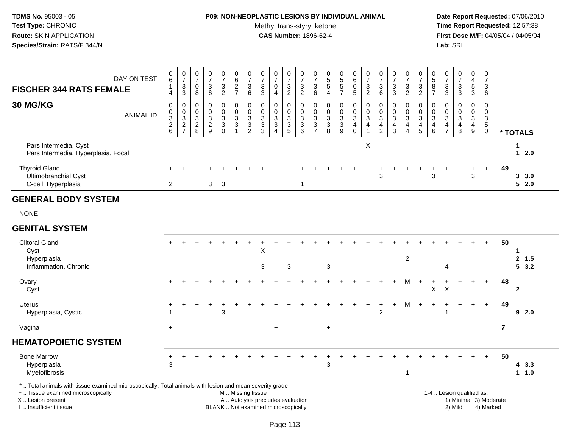# **P09: NON-NEOPLASTIC LESIONS BY INDIVIDUAL ANIMAL**

Methyl trans-styryl ketone<br>CAS Number: 1896-62-4

 **Date Report Requested:** 07/06/2010 **Time Report Requested:** 12:57:38 **First Dose M/F:** 04/05/04 / 04/05/04<br>Lab: SRI **Lab:** SRI

| <b>FISCHER 344 RATS FEMALE</b>                                                                                                                                      | DAY ON TEST      | $\begin{array}{c} 0 \\ 6 \end{array}$<br>$\overline{4}$                    | $\begin{array}{c} 0 \\ 7 \end{array}$<br>3<br>$\mathbf{3}$                  | $\begin{array}{c} 0 \\ 7 \end{array}$<br>0<br>8       | $\mathbf 0$<br>$\overline{7}$<br>3<br>6                 | $\begin{array}{c} 0 \\ 7 \end{array}$<br>3<br>$\overline{2}$             | $_{6}^{\rm 0}$<br>$\frac{2}{7}$        | $\frac{0}{7}$<br>$\ensuremath{\mathsf{3}}$<br>$6\phantom{1}$                                 | $\begin{array}{c} 0 \\ 7 \end{array}$<br>$\ensuremath{\mathsf{3}}$<br>$\mathfrak{Z}$               | $\mathbf 0$<br>$\overline{7}$<br>0<br>$\overline{4}$                                 | $\begin{array}{c} 0 \\ 7 \end{array}$<br>$\frac{3}{2}$ | $\frac{0}{7}$<br>$\ensuremath{\mathsf{3}}$<br>$\sqrt{2}$ | $\begin{array}{c} 0 \\ 7 \end{array}$<br>$\sqrt{3}$<br>$6\phantom{1}6$ | $\begin{array}{c} 0 \\ 5 \end{array}$<br>$\mathbf 5$<br>4 | $0$<br>5<br>5<br>5<br>7                                       | $_{6}^{\rm 0}$<br>$\pmb{0}$<br>$5\phantom{.0}$                  | $\frac{0}{7}$<br>$\frac{3}{2}$                       | $\begin{array}{c} 0 \\ 7 \end{array}$<br>$\ensuremath{\mathsf{3}}$<br>$\,6\,$ | $\begin{array}{c} 0 \\ 7 \end{array}$<br>$\frac{3}{3}$                         | $\frac{0}{7}$<br>$\ensuremath{\mathsf{3}}$<br>$\sqrt{2}$                         | $\frac{0}{7}$<br>$\ensuremath{\mathsf{3}}$<br>$\overline{2}$ | $^{\rm 0}_{\rm 5}$<br>8<br>$\overline{7}$             | 0<br>$\overline{7}$<br>$\ensuremath{\mathsf{3}}$<br>$\mathbf{3}$  | $\mathbf 0$<br>$\frac{5}{7}$<br>$\ensuremath{\mathsf{3}}$<br>$\mathbf{3}$ | $\pmb{0}$<br>$\overline{4}$<br>$\overline{5}$<br>$\mathbf{3}$ | $\mathbf 0$<br>$\overline{7}$<br>$\mathbf{3}$<br>6                                       |                |                     |
|---------------------------------------------------------------------------------------------------------------------------------------------------------------------|------------------|----------------------------------------------------------------------------|-----------------------------------------------------------------------------|-------------------------------------------------------|---------------------------------------------------------|--------------------------------------------------------------------------|----------------------------------------|----------------------------------------------------------------------------------------------|----------------------------------------------------------------------------------------------------|--------------------------------------------------------------------------------------|--------------------------------------------------------|----------------------------------------------------------|------------------------------------------------------------------------|-----------------------------------------------------------|---------------------------------------------------------------|-----------------------------------------------------------------|------------------------------------------------------|-------------------------------------------------------------------------------|--------------------------------------------------------------------------------|----------------------------------------------------------------------------------|--------------------------------------------------------------|-------------------------------------------------------|-------------------------------------------------------------------|---------------------------------------------------------------------------|---------------------------------------------------------------|------------------------------------------------------------------------------------------|----------------|---------------------|
| <b>30 MG/KG</b>                                                                                                                                                     | <b>ANIMAL ID</b> | $\mathbf 0$<br>$\pmb{0}$<br>$\overline{3}$<br>$\sqrt{2}$<br>$6\phantom{1}$ | 0<br>$\boldsymbol{0}$<br>$\overline{3}$<br>$\overline{2}$<br>$\overline{7}$ | 0<br>$\mathbf 0$<br>$\sqrt{3}$<br>$\overline{2}$<br>8 | 0<br>$\mathbf 0$<br>$\mathbf{3}$<br>$\overline{2}$<br>9 | $\mathbf 0$<br>$\mathbf 0$<br>3<br>$\ensuremath{\mathsf{3}}$<br>$\Omega$ | 0<br>0<br>$\mathbf{3}$<br>$\mathbf{3}$ | 0<br>$\mathbf 0$<br>$\ensuremath{\mathsf{3}}$<br>$\ensuremath{\mathsf{3}}$<br>$\overline{2}$ | $\mathbf 0$<br>$\pmb{0}$<br>$\ensuremath{\mathsf{3}}$<br>$\ensuremath{\mathsf{3}}$<br>$\mathbf{3}$ | $\mathbf 0$<br>$\mathbf 0$<br>$\mathbf{3}$<br>$\mathbf{3}$<br>$\boldsymbol{\Lambda}$ | 0<br>$\mathsf{O}\xspace$<br>$\frac{3}{3}$              | 0<br>0<br>$\sqrt{3}$<br>$\sqrt{3}$<br>$6\phantom{1}$     | $\mathbf 0$<br>$\mathbf 0$<br>$\frac{3}{3}$                            | 0<br>$\mathbf 0$<br>3<br>$\ensuremath{\mathsf{3}}$<br>8   | $\mathbf 0$<br>$\mathbf 0$<br>$\overline{3}$<br>$\frac{3}{9}$ | 0<br>$\mathsf{O}$<br>$\mathbf{3}$<br>$\overline{4}$<br>$\Omega$ | 0<br>$\mathbf 0$<br>$\overline{3}$<br>$\overline{4}$ | 0<br>$\pmb{0}$<br>$\overline{3}$<br>$\overline{4}$<br>$\overline{2}$          | $\mathbf 0$<br>$\mathbf 0$<br>$\ensuremath{\mathsf{3}}$<br>$\overline{4}$<br>3 | $\mathbf 0$<br>$\Omega$<br>$\sqrt{3}$<br>$\overline{4}$<br>$\boldsymbol{\Delta}$ | 0<br>0<br>$\mathbf{3}$<br>$\overline{4}$<br>$\overline{5}$   | 0<br>$\mathbf 0$<br>$\sqrt{3}$<br>$\overline{4}$<br>6 | 0<br>$\Omega$<br>$\mathbf{3}$<br>$\overline{4}$<br>$\overline{7}$ | $\mathbf 0$<br>$\Omega$<br>$\sqrt{3}$<br>$\overline{4}$<br>8              | 0<br>$\mathbf 0$<br>$\mathbf 3$<br>$\overline{4}$<br>9        | $\mathbf 0$<br>$\mathbf 0$<br>$\ensuremath{\mathsf{3}}$<br>$\overline{5}$<br>$\mathbf 0$ |                | * TOTALS            |
| Pars Intermedia, Cyst<br>Pars Intermedia, Hyperplasia, Focal                                                                                                        |                  |                                                                            |                                                                             |                                                       |                                                         |                                                                          |                                        |                                                                                              |                                                                                                    |                                                                                      |                                                        |                                                          |                                                                        |                                                           |                                                               |                                                                 | X                                                    |                                                                               |                                                                                |                                                                                  |                                                              |                                                       |                                                                   |                                                                           |                                                               |                                                                                          |                | 1<br>$12.0$         |
| <b>Thyroid Gland</b><br>Ultimobranchial Cyst<br>C-cell, Hyperplasia                                                                                                 |                  | 2                                                                          |                                                                             |                                                       | 3                                                       | 3                                                                        |                                        |                                                                                              |                                                                                                    |                                                                                      |                                                        | $\overline{1}$                                           |                                                                        |                                                           |                                                               |                                                                 |                                                      | 3                                                                             |                                                                                |                                                                                  |                                                              | 3                                                     |                                                                   |                                                                           | 3                                                             | $\ddot{}$                                                                                | 49             | 3, 3.0<br>52.0      |
| <b>GENERAL BODY SYSTEM</b>                                                                                                                                          |                  |                                                                            |                                                                             |                                                       |                                                         |                                                                          |                                        |                                                                                              |                                                                                                    |                                                                                      |                                                        |                                                          |                                                                        |                                                           |                                                               |                                                                 |                                                      |                                                                               |                                                                                |                                                                                  |                                                              |                                                       |                                                                   |                                                                           |                                                               |                                                                                          |                |                     |
| <b>NONE</b>                                                                                                                                                         |                  |                                                                            |                                                                             |                                                       |                                                         |                                                                          |                                        |                                                                                              |                                                                                                    |                                                                                      |                                                        |                                                          |                                                                        |                                                           |                                                               |                                                                 |                                                      |                                                                               |                                                                                |                                                                                  |                                                              |                                                       |                                                                   |                                                                           |                                                               |                                                                                          |                |                     |
| <b>GENITAL SYSTEM</b>                                                                                                                                               |                  |                                                                            |                                                                             |                                                       |                                                         |                                                                          |                                        |                                                                                              |                                                                                                    |                                                                                      |                                                        |                                                          |                                                                        |                                                           |                                                               |                                                                 |                                                      |                                                                               |                                                                                |                                                                                  |                                                              |                                                       |                                                                   |                                                                           |                                                               |                                                                                          |                |                     |
| <b>Clitoral Gland</b><br>Cyst<br>Hyperplasia<br>Inflammation, Chronic                                                                                               |                  |                                                                            |                                                                             |                                                       |                                                         |                                                                          |                                        |                                                                                              | $\mathsf X$<br>3                                                                                   |                                                                                      | 3                                                      |                                                          |                                                                        | 3                                                         |                                                               |                                                                 |                                                      |                                                                               |                                                                                | $\overline{c}$                                                                   |                                                              |                                                       | 4                                                                 |                                                                           |                                                               | $+$                                                                                      | 50             | 1<br>2, 1.5<br>53.2 |
| Ovary<br>Cyst                                                                                                                                                       |                  |                                                                            |                                                                             |                                                       |                                                         |                                                                          |                                        |                                                                                              |                                                                                                    |                                                                                      |                                                        |                                                          |                                                                        |                                                           |                                                               |                                                                 |                                                      |                                                                               |                                                                                | м                                                                                | $+$                                                          | X                                                     | $\boldsymbol{\mathsf{X}}$                                         |                                                                           |                                                               | $+$                                                                                      | 48             | $\mathbf{2}$        |
| <b>Uterus</b><br>Hyperplasia, Cystic                                                                                                                                |                  |                                                                            |                                                                             |                                                       |                                                         | 3                                                                        |                                        |                                                                                              |                                                                                                    |                                                                                      |                                                        |                                                          |                                                                        |                                                           |                                                               |                                                                 |                                                      | $\overline{2}$                                                                |                                                                                | м                                                                                |                                                              |                                                       | $\overline{1}$                                                    |                                                                           | $\ddot{}$                                                     | $+$                                                                                      | 49             | 92.0                |
| Vagina                                                                                                                                                              |                  | $+$                                                                        |                                                                             |                                                       |                                                         |                                                                          |                                        |                                                                                              |                                                                                                    | $\ddot{}$                                                                            |                                                        |                                                          |                                                                        | $+$                                                       |                                                               |                                                                 |                                                      |                                                                               |                                                                                |                                                                                  |                                                              |                                                       |                                                                   |                                                                           |                                                               |                                                                                          | $\overline{7}$ |                     |
| <b>HEMATOPOIETIC SYSTEM</b>                                                                                                                                         |                  |                                                                            |                                                                             |                                                       |                                                         |                                                                          |                                        |                                                                                              |                                                                                                    |                                                                                      |                                                        |                                                          |                                                                        |                                                           |                                                               |                                                                 |                                                      |                                                                               |                                                                                |                                                                                  |                                                              |                                                       |                                                                   |                                                                           |                                                               |                                                                                          |                |                     |
| <b>Bone Marrow</b><br>Hyperplasia<br>Myelofibrosis                                                                                                                  |                  | $\ddot{}$<br>$\mathbf{3}$                                                  |                                                                             |                                                       |                                                         |                                                                          |                                        |                                                                                              |                                                                                                    |                                                                                      |                                                        |                                                          |                                                                        | 3                                                         |                                                               |                                                                 |                                                      |                                                                               |                                                                                | $\overline{1}$                                                                   |                                                              |                                                       |                                                                   |                                                                           |                                                               | $+$                                                                                      | 50             | 43.3<br>1 1.0       |
| *  Total animals with tissue examined microscopically; Total animals with lesion and mean severity grade<br>+  Tissue examined microscopically<br>X  Lesion present |                  |                                                                            |                                                                             |                                                       |                                                         |                                                                          |                                        |                                                                                              | M  Missing tissue<br>A  Autolysis precludes evaluation                                             |                                                                                      |                                                        |                                                          |                                                                        |                                                           |                                                               |                                                                 |                                                      |                                                                               |                                                                                |                                                                                  |                                                              |                                                       |                                                                   | 1-4  Lesion qualified as:<br>1) Minimal 3) Moderate                       |                                                               |                                                                                          |                |                     |

I .. Insufficient tissue

Page 113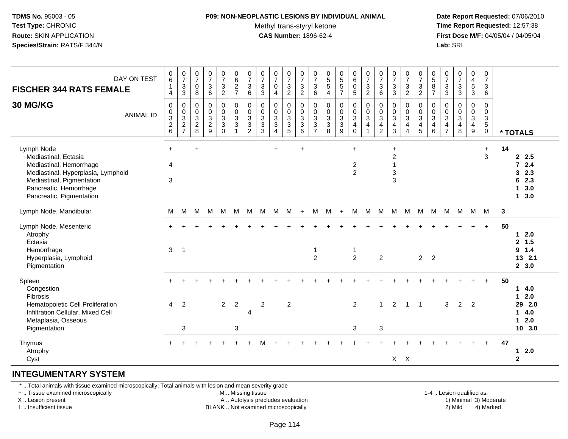# **P09: NON-NEOPLASTIC LESIONS BY INDIVIDUAL ANIMAL**

Methyl trans-styryl ketone<br>CAS Number: 1896-62-4

 **Date Report Requested:** 07/06/2010 **Time Report Requested:** 12:57:38 **First Dose M/F:** 04/05/04 / 04/05/04<br>**Lab:** SRI **Lab:** SRI

| DAY ON TEST<br><b>FISCHER 344 RATS FEMALE</b><br>30 MG/KG<br><b>ANIMAL ID</b>                                                                                                          | $\pmb{0}$<br>$\,6\,$<br>$\mathbf{1}$<br>4<br>$\mathbf 0$ | $\begin{array}{c} 0 \\ 7 \end{array}$<br>$_3^3$<br>$\pmb{0}$ | $\frac{0}{7}$<br>0<br>8<br>$\pmb{0}$<br>$\mathbf 0$ | $\begin{array}{c} 0 \\ 7 \end{array}$<br>$\sqrt{3}$<br>$\,6\,$<br>$\pmb{0}$<br>$\mathbf 0$ | $\frac{0}{7}$<br>3<br>$\overline{c}$<br>$\pmb{0}$<br>$\mathsf{O}\xspace$ | $\begin{array}{c} 0 \\ 6 \end{array}$<br>$\frac{2}{7}$<br>$\begin{smallmatrix}0\0\0\end{smallmatrix}$ | $\frac{0}{7}$<br>$\sqrt{3}$<br>$\,6\,$<br>$\pmb{0}$ | $\frac{0}{7}$<br>$\ensuremath{\mathsf{3}}$<br>$\mathbf{3}$<br>$\pmb{0}$ | $\begin{array}{c} 0 \\ 7 \end{array}$<br>$\mathbf 0$<br>$\overline{4}$<br>$\pmb{0}$<br>$\pmb{0}$ | $\begin{array}{c} 0 \\ 7 \end{array}$<br>3<br>$\overline{2}$<br>0<br>$\pmb{0}$ | $\frac{0}{7}$<br>$\sqrt{3}$<br>$\mathbf{2}$<br>$\pmb{0}$<br>$\mathsf{O}\xspace$ | $\frac{0}{7}$<br>$\mathbf{3}$<br>6<br>0<br>$\boldsymbol{0}$ | $\begin{array}{c} 0 \\ 5 \\ 5 \end{array}$<br>$\overline{4}$<br>$\pmb{0}$ | $0$<br>5<br>5<br>5<br>7<br>$\begin{matrix}0\\0\\3\\3\end{matrix}$ | $\begin{array}{c} 0 \\ 6 \end{array}$<br>$\mathbf 0$<br>$\sqrt{5}$<br>$\begin{smallmatrix} 0\\0\\3 \end{smallmatrix}$ | $\frac{0}{7}$<br>$\mathbf{3}$<br>$\overline{2}$<br>$\pmb{0}$<br>$\frac{0}{3}$ | $\begin{array}{c} 0 \\ 7 \end{array}$<br>3<br>6<br>0<br>$\mathbf 0$ | $\begin{array}{c} 0 \\ 7 \end{array}$<br>$\ensuremath{\mathsf{3}}$<br>$\mathbf{3}$<br>0<br>$\mathbf 0$ | $\frac{0}{7}$<br>$\sqrt{3}$<br>$\overline{2}$<br>$\mathbf 0$<br>$\pmb{0}$ | $\pmb{0}$<br>$\overline{7}$<br>$\frac{3}{2}$<br>$\pmb{0}$<br>$\mathsf{O}\xspace$ | $\begin{array}{c} 0 \\ 5 \end{array}$<br>8<br>$\overline{7}$<br>0<br>$\mathbf 0$ | $\frac{0}{7}$<br>$\mathbf 3$<br>$\ensuremath{\mathsf{3}}$<br>0<br>$\pmb{0}$ | $\begin{smallmatrix}0\\7\end{smallmatrix}$<br>$_3^3$<br>$\pmb{0}$ | $\begin{smallmatrix}0\0\4\end{smallmatrix}$<br>$\frac{5}{3}$<br>$\begin{array}{c} 0 \\ 0 \\ 3 \\ 4 \end{array}$ | $\mathbf 0$<br>$\overline{7}$<br>3<br>6<br>$\mathsf{O}$<br>$\mathbf 0$ |    |                                                                                   |
|----------------------------------------------------------------------------------------------------------------------------------------------------------------------------------------|----------------------------------------------------------|--------------------------------------------------------------|-----------------------------------------------------|--------------------------------------------------------------------------------------------|--------------------------------------------------------------------------|-------------------------------------------------------------------------------------------------------|-----------------------------------------------------|-------------------------------------------------------------------------|--------------------------------------------------------------------------------------------------|--------------------------------------------------------------------------------|---------------------------------------------------------------------------------|-------------------------------------------------------------|---------------------------------------------------------------------------|-------------------------------------------------------------------|-----------------------------------------------------------------------------------------------------------------------|-------------------------------------------------------------------------------|---------------------------------------------------------------------|--------------------------------------------------------------------------------------------------------|---------------------------------------------------------------------------|----------------------------------------------------------------------------------|----------------------------------------------------------------------------------|-----------------------------------------------------------------------------|-------------------------------------------------------------------|-----------------------------------------------------------------------------------------------------------------|------------------------------------------------------------------------|----|-----------------------------------------------------------------------------------|
|                                                                                                                                                                                        | $0$<br>$3$<br>$2$<br>$6$                                 | $\frac{0}{3}$<br>$\frac{2}{7}$                               | $\frac{3}{2}$ 8                                     | $\frac{3}{2}$<br>9                                                                         | $\overline{3}$<br>$\mathbf{3}$<br>$\Omega$                               | $\overline{3}$<br>$\mathbf{3}$                                                                        | $\frac{0}{3}$<br>$\overline{c}$                     | $\frac{0}{3}$<br>$\mathbf{3}$                                           | $\overline{3}$<br>$\mathbf 3$<br>$\overline{4}$                                                  | $\frac{3}{3}$<br>$\overline{5}$                                                | $\overline{3}$<br>$\mathbf{3}$<br>6                                             | $\frac{3}{3}$<br>$\overline{7}$                             | $\frac{0}{3}$<br>8                                                        | $\overline{9}$                                                    | $\overline{4}$<br>$\mathbf 0$                                                                                         | $\overline{4}$<br>$\overline{1}$                                              | $\overline{3}$<br>$\overline{\mathbf{4}}$<br>$\overline{2}$         | $\overline{3}$<br>$\overline{4}$<br>3                                                                  | $\overline{3}$<br>$\overline{4}$<br>$\boldsymbol{\Lambda}$                | $\overline{3}$<br>4<br>$5\phantom{.0}$                                           | $\overline{3}$<br>$\overline{4}$<br>6                                            | $\sqrt{3}$<br>$\overline{\mathbf{4}}$<br>$\overline{7}$                     | $\begin{array}{c} 0 \\ 3 \\ 4 \end{array}$<br>8                   | 9                                                                                                               | $\frac{3}{5}$<br>$\mathsf{O}\xspace$                                   |    | * TOTALS                                                                          |
| Lymph Node<br>Mediastinal, Ectasia<br>Mediastinal, Hemorrhage<br>Mediastinal, Hyperplasia, Lymphoid<br>Mediastinal, Pigmentation<br>Pancreatic, Hemorrhage<br>Pancreatic, Pigmentation | $\ddot{}$<br>$\overline{4}$<br>3                         |                                                              | $\ddot{}$                                           |                                                                                            |                                                                          |                                                                                                       |                                                     |                                                                         | $\ddot{}$                                                                                        |                                                                                | $\ddot{}$                                                                       |                                                             |                                                                           |                                                                   | $\ddot{}$<br>2<br>$\overline{2}$                                                                                      |                                                                               |                                                                     | $\ddot{}$<br>$\overline{c}$<br>$\mathbf{1}$<br>$\ensuremath{\mathsf{3}}$<br>$\mathsf 3$                |                                                                           |                                                                                  |                                                                                  |                                                                             |                                                                   |                                                                                                                 | $\ddot{}$<br>3                                                         | 14 | 2.5<br>$72.4$<br>32.3<br>62.3<br>3.0<br>$\mathbf{1}$<br>3.0<br>$\mathbf{1}$       |
| Lymph Node, Mandibular                                                                                                                                                                 | M                                                        | M                                                            | M                                                   | M                                                                                          | M                                                                        | M                                                                                                     | M                                                   | M                                                                       | м                                                                                                | M                                                                              | $+$                                                                             | M                                                           | M                                                                         | $+$                                                               | M                                                                                                                     | M                                                                             | M                                                                   | M                                                                                                      | M                                                                         | M                                                                                | M                                                                                | M                                                                           | M                                                                 | M                                                                                                               | <b>M</b>                                                               | 3  |                                                                                   |
| Lymph Node, Mesenteric<br>Atrophy<br>Ectasia<br>Hemorrhage<br>Hyperplasia, Lymphoid<br>Pigmentation                                                                                    | 3                                                        | $\overline{1}$                                               |                                                     |                                                                                            |                                                                          |                                                                                                       |                                                     |                                                                         |                                                                                                  |                                                                                |                                                                                 | 1<br>$\overline{2}$                                         |                                                                           |                                                                   | 1<br>$\overline{2}$                                                                                                   |                                                                               | 2                                                                   |                                                                                                        |                                                                           | $2^{\circ}$                                                                      | $\overline{2}$                                                                   |                                                                             |                                                                   |                                                                                                                 | $+$                                                                    | 50 | $12.0$<br>2, 1.5<br>$9 \t1.4$<br>13 2.1<br>2, 3.0                                 |
| Spleen<br>Congestion<br>Fibrosis<br>Hematopoietic Cell Proliferation<br>Infiltration Cellular, Mixed Cell<br>Metaplasia, Osseous<br>Pigmentation                                       | $\overline{4}$                                           | 2<br>3                                                       |                                                     |                                                                                            | $\overline{2}$                                                           | $\overline{2}$<br>3                                                                                   | $\overline{4}$                                      | $\overline{2}$                                                          |                                                                                                  | 2                                                                              |                                                                                 |                                                             |                                                                           |                                                                   | 2<br>3                                                                                                                |                                                                               | $\mathbf{1}$<br>3                                                   | $\overline{2}$                                                                                         | $\overline{1}$                                                            | $\overline{1}$                                                                   |                                                                                  | 3                                                                           | $\overline{2}$                                                    | $\overline{2}$                                                                                                  | $\ddot{}$                                                              | 50 | 14.0<br>2.0<br>$\mathbf{1}$<br>2.0<br>29<br>14.0<br>2.0<br>$\mathbf{1}$<br>10 3.0 |
| Thymus<br>Atrophy<br>Cyst                                                                                                                                                              |                                                          |                                                              |                                                     |                                                                                            |                                                                          |                                                                                                       |                                                     |                                                                         |                                                                                                  |                                                                                |                                                                                 |                                                             |                                                                           |                                                                   |                                                                                                                       |                                                                               |                                                                     | $X$ $X$                                                                                                |                                                                           |                                                                                  |                                                                                  |                                                                             |                                                                   |                                                                                                                 | $+$                                                                    | 47 | 2.0<br>$\mathbf 1$<br>$\overline{2}$                                              |

#### **INTEGUMENTARY SYSTEM**

\* .. Total animals with tissue examined microscopically; Total animals with lesion and mean severity grade

+ .. Tissue examined microscopically

X .. Lesion present

I .. Insufficient tissue

M .. Missing tissue

A .. Autolysis precludes evaluation

BLANK .. Not examined microscopically 2) Mild 4) Marked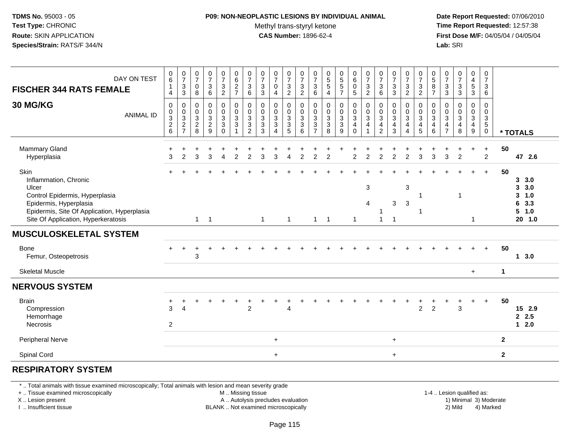# **P09: NON-NEOPLASTIC LESIONS BY INDIVIDUAL ANIMAL**

Methyl trans-styryl ketone<br>CAS Number: 1896-62-4

 **Date Report Requested:** 07/06/2010 **Time Report Requested:** 12:57:38 **First Dose M/F:** 04/05/04 / 04/05/04<br>**Lab:** SRI **Lab:** SRI

| $\begin{array}{c} 0 \\ 6 \end{array}$<br>$\frac{0}{7}$<br>$\begin{array}{c} 0 \\ 6 \end{array}$<br>$\frac{0}{7}$<br>0<br>5<br>5<br>7<br>$\frac{0}{7}$<br>$\begin{array}{c} 0 \\ 7 \end{array}$<br>$\frac{0}{7}$<br>$\frac{0}{7}$<br>$\frac{0}{7}$<br>$\frac{0}{7}$<br>$\frac{0}{7}$<br>$\begin{array}{c} 0 \\ 7 \end{array}$<br>$\frac{0}{7}$<br>$\frac{0}{7}$<br>$\begin{array}{c} 0 \\ 5 \\ 5 \end{array}$<br>$_{6}^{\rm 0}$<br>$\frac{0}{7}$<br>$\frac{3}{2}$<br>$\begin{array}{c} 0 \\ 7 \end{array}$<br>$\frac{0}{7}$<br>0587<br>$\frac{0}{7}$<br>$\begin{smallmatrix}0\0\4\end{smallmatrix}$<br>$\frac{0}{7}$<br>$\frac{0}{7}$<br>DAY ON TEST<br>$\frac{3}{2}$<br>$\frac{3}{2}$<br>$\frac{3}{3}$<br>$\mathbf{3}$<br>$\mathsf 0$<br>$\ensuremath{\mathsf{3}}$<br>$\frac{3}{2}$<br>$\frac{2}{7}$<br>$\mathbf{3}$<br>$\mathbf{3}$<br>$\sqrt{3}$<br>$\ensuremath{\mathsf{3}}$<br>$\sqrt{3}$<br>$\sqrt{3}$<br>$\frac{3}{2}$<br>$_3^3$<br>5<br>$\mathfrak{S}$<br>$\pmb{0}$<br>$\mathsf{O}\xspace$<br>$\mathbf{1}$<br>$6\phantom{a}$<br>$\overline{2}$<br>$\overline{5}$<br>$\overline{3}$<br>$\mathsf 3$<br>$\mathfrak{Z}$<br>$\,6\,$<br>$\,6\,$<br>$\mathbf{3}$<br>6<br>8<br>6<br>$\overline{4}$<br>4<br>$\overline{4}$<br>$\pmb{0}$<br>$\pmb{0}$<br>$\pmb{0}$<br>0<br>$\pmb{0}$<br>$\pmb{0}$<br>$\pmb{0}$<br>$\pmb{0}$<br>$\,0\,$<br>$\pmb{0}$<br>0<br>$\pmb{0}$<br>$\pmb{0}$<br>$\pmb{0}$<br>$\pmb{0}$<br>$\mathbf 0$<br>0<br>0<br>0<br>0<br>0<br>0<br>0<br>0<br>0<br>$\frac{0}{3}$<br>$\frac{0}{3}$<br>$\frac{0}{3}$<br>$\frac{0}{3}$<br>$_{3}^{\rm 0}$<br>$_{3}^{\rm 0}$<br>$_{3}^{\rm 0}$<br>$_{3}^{\rm 0}$<br>$_{3}^{\rm 0}$<br>$_{3}^{\rm 0}$<br>$\begin{smallmatrix} 0\\ 3 \end{smallmatrix}$<br>$_{3}^{\rm 0}$<br>$\pmb{0}$<br>$\frac{0}{3}$<br>$_{3}^{\rm 0}$<br>$\pmb{0}$<br>$\mathsf 0$<br>$_{3}^{\rm 0}$<br>$_{3}^{\rm 0}$<br>$_{3}^{\rm 0}$<br>0<br>$\pmb{0}$<br>$_{3}^{\rm 0}$<br>$\mathbf 0$<br>$\pmb{0}$<br><b>ANIMAL ID</b><br>$\overline{3}$<br>$\overline{3}$<br>$\overline{3}$<br>$\overline{3}$<br>$\overline{3}$<br>$\overline{3}$<br>3<br>$\mathbf{3}$<br>3<br>$5\,$<br>$\frac{2}{6}$<br>$\frac{2}{7}$<br>$_{8}^2$<br>$\frac{2}{9}$<br>$\ensuremath{\mathsf{3}}$<br>$\sqrt{3}$<br>$\mathbf{3}$<br>$\sqrt{3}$<br>$\sqrt{3}$<br>$\mathbf{3}$<br>$\sqrt{3}$<br>$\ensuremath{\mathsf{3}}$<br>$\overline{4}$<br>$\overline{\mathbf{4}}$<br>$\overline{\mathbf{4}}$<br>$\overline{4}$<br>$\overline{4}$<br>$\overline{\mathbf{4}}$<br>$\overline{4}$<br>4<br>4<br>$\overline{4}$<br>$\overline{0}$<br>3<br>$\overline{5}$<br>6<br>$\overline{7}$<br>$\overline{8}$<br>$\overline{9}$<br>$\overline{2}$<br>$\overline{3}$<br>$\overline{5}$<br>$\overline{7}$<br>8<br>$\overline{2}$<br>$\mathbf 0$<br>$6\phantom{1}$<br>9<br>$\mathsf{O}\xspace$<br>$\overline{1}$<br>$\Delta$<br>$\overline{ }$<br>4<br>* TOTALS<br>Mammary Gland<br>50<br>$+$<br>$\ddot{}$<br>$\ddot{}$<br>$\overline{3}$<br>3<br>$\overline{2}$<br>$\mathfrak{p}$<br>3<br>$\mathfrak{p}$<br>$\overline{2}$<br>$\overline{2}$<br>$\mathfrak{p}$<br>$\mathcal{P}$<br>3<br>$\overline{2}$<br>3<br>3<br>$\mathfrak{p}$<br>$\mathfrak{D}$<br>3<br>$\mathfrak{p}$<br>$\mathcal{D}$<br>47 2.6<br>Hyperplasia<br>$\mathcal{P}$<br>$\lambda$<br>З<br>$\lambda$<br>Skin<br>50<br>$+$<br>$\ddot{}$<br>Inflammation, Chronic<br>3, 3.0<br>$\mathbf{3}$<br>3<br>3, 3.0<br>Ulcer<br>Control Epidermis, Hyperplasia<br>3<br>1.0<br>1<br>3<br>Epidermis, Hyperplasia<br>3<br>6<br>3.3<br>4<br>Epidermis, Site Of Application, Hyperplasia<br>5 1.0<br>Site Of Application, Hyperkeratosis<br>$1 \quad 1$<br>$\mathbf{1}$<br>$20$ 1.0<br>$\overline{1}$<br>$\mathbf{1}$<br>$1 \quad 1$<br>1<br>$\mathbf{1}$<br>$\mathbf 1$<br>50<br><b>Bone</b><br>$\ddot{}$<br>Femur, Osteopetrosis<br>3<br>13.0<br><b>Skeletal Muscle</b><br>$\mathbf{1}$<br>$\ddot{}$<br>50<br><b>Brain</b><br>$+$<br>$\ddot{}$<br>$\overline{2}$<br>$\overline{2}$<br>$\overline{2}$<br>3<br>Compression<br>3<br>$\overline{4}$<br>15 2.9<br>4<br>2.5<br>Hemorrhage<br>$1 \quad 2.0$<br>$\mathbf{2}$<br>Necrosis<br>Peripheral Nerve<br>$\mathbf{2}$<br>$+$<br>$\ddot{}$<br>Spinal Cord<br>$\overline{2}$<br>$+$<br>$+$ |                                |  |  |  |  |  |  |  |  |  |  |  |  |  |  |
|------------------------------------------------------------------------------------------------------------------------------------------------------------------------------------------------------------------------------------------------------------------------------------------------------------------------------------------------------------------------------------------------------------------------------------------------------------------------------------------------------------------------------------------------------------------------------------------------------------------------------------------------------------------------------------------------------------------------------------------------------------------------------------------------------------------------------------------------------------------------------------------------------------------------------------------------------------------------------------------------------------------------------------------------------------------------------------------------------------------------------------------------------------------------------------------------------------------------------------------------------------------------------------------------------------------------------------------------------------------------------------------------------------------------------------------------------------------------------------------------------------------------------------------------------------------------------------------------------------------------------------------------------------------------------------------------------------------------------------------------------------------------------------------------------------------------------------------------------------------------------------------------------------------------------------------------------------------------------------------------------------------------------------------------------------------------------------------------------------------------------------------------------------------------------------------------------------------------------------------------------------------------------------------------------------------------------------------------------------------------------------------------------------------------------------------------------------------------------------------------------------------------------------------------------------------------------------------------------------------------------------------------------------------------------------------------------------------------------------------------------------------------------------------------------------------------------------------------------------------------------------------------------------------------------------------------------------------------------------------------------------------------------------------------------------------------------------------------------------------------------------------------------------------------------------------------------------------------------------------------------------------------------------------------------------------------------------------------------------------------------------------------------------------------------------------------------------------------------------------------------------------------------------------------------------------------------------------------------------------------------------------------------------------------------------------------------------------------------------------------------------------------------------------------------------------------------------------------------------------------------------------------------------------------------------------------------------------------------------------------------------------------------------------------------------------------------------------------------------------------------------------------------------------|--------------------------------|--|--|--|--|--|--|--|--|--|--|--|--|--|--|
|                                                                                                                                                                                                                                                                                                                                                                                                                                                                                                                                                                                                                                                                                                                                                                                                                                                                                                                                                                                                                                                                                                                                                                                                                                                                                                                                                                                                                                                                                                                                                                                                                                                                                                                                                                                                                                                                                                                                                                                                                                                                                                                                                                                                                                                                                                                                                                                                                                                                                                                                                                                                                                                                                                                                                                                                                                                                                                                                                                                                                                                                                                                                                                                                                                                                                                                                                                                                                                                                                                                                                                                                                                                                                                                                                                                                                                                                                                                                                                                                                                                                                                                                                                  | <b>FISCHER 344 RATS FEMALE</b> |  |  |  |  |  |  |  |  |  |  |  |  |  |  |
|                                                                                                                                                                                                                                                                                                                                                                                                                                                                                                                                                                                                                                                                                                                                                                                                                                                                                                                                                                                                                                                                                                                                                                                                                                                                                                                                                                                                                                                                                                                                                                                                                                                                                                                                                                                                                                                                                                                                                                                                                                                                                                                                                                                                                                                                                                                                                                                                                                                                                                                                                                                                                                                                                                                                                                                                                                                                                                                                                                                                                                                                                                                                                                                                                                                                                                                                                                                                                                                                                                                                                                                                                                                                                                                                                                                                                                                                                                                                                                                                                                                                                                                                                                  | 30 MG/KG                       |  |  |  |  |  |  |  |  |  |  |  |  |  |  |
|                                                                                                                                                                                                                                                                                                                                                                                                                                                                                                                                                                                                                                                                                                                                                                                                                                                                                                                                                                                                                                                                                                                                                                                                                                                                                                                                                                                                                                                                                                                                                                                                                                                                                                                                                                                                                                                                                                                                                                                                                                                                                                                                                                                                                                                                                                                                                                                                                                                                                                                                                                                                                                                                                                                                                                                                                                                                                                                                                                                                                                                                                                                                                                                                                                                                                                                                                                                                                                                                                                                                                                                                                                                                                                                                                                                                                                                                                                                                                                                                                                                                                                                                                                  |                                |  |  |  |  |  |  |  |  |  |  |  |  |  |  |
|                                                                                                                                                                                                                                                                                                                                                                                                                                                                                                                                                                                                                                                                                                                                                                                                                                                                                                                                                                                                                                                                                                                                                                                                                                                                                                                                                                                                                                                                                                                                                                                                                                                                                                                                                                                                                                                                                                                                                                                                                                                                                                                                                                                                                                                                                                                                                                                                                                                                                                                                                                                                                                                                                                                                                                                                                                                                                                                                                                                                                                                                                                                                                                                                                                                                                                                                                                                                                                                                                                                                                                                                                                                                                                                                                                                                                                                                                                                                                                                                                                                                                                                                                                  |                                |  |  |  |  |  |  |  |  |  |  |  |  |  |  |
|                                                                                                                                                                                                                                                                                                                                                                                                                                                                                                                                                                                                                                                                                                                                                                                                                                                                                                                                                                                                                                                                                                                                                                                                                                                                                                                                                                                                                                                                                                                                                                                                                                                                                                                                                                                                                                                                                                                                                                                                                                                                                                                                                                                                                                                                                                                                                                                                                                                                                                                                                                                                                                                                                                                                                                                                                                                                                                                                                                                                                                                                                                                                                                                                                                                                                                                                                                                                                                                                                                                                                                                                                                                                                                                                                                                                                                                                                                                                                                                                                                                                                                                                                                  | <b>MUSCULOSKELETAL SYSTEM</b>  |  |  |  |  |  |  |  |  |  |  |  |  |  |  |
|                                                                                                                                                                                                                                                                                                                                                                                                                                                                                                                                                                                                                                                                                                                                                                                                                                                                                                                                                                                                                                                                                                                                                                                                                                                                                                                                                                                                                                                                                                                                                                                                                                                                                                                                                                                                                                                                                                                                                                                                                                                                                                                                                                                                                                                                                                                                                                                                                                                                                                                                                                                                                                                                                                                                                                                                                                                                                                                                                                                                                                                                                                                                                                                                                                                                                                                                                                                                                                                                                                                                                                                                                                                                                                                                                                                                                                                                                                                                                                                                                                                                                                                                                                  |                                |  |  |  |  |  |  |  |  |  |  |  |  |  |  |
|                                                                                                                                                                                                                                                                                                                                                                                                                                                                                                                                                                                                                                                                                                                                                                                                                                                                                                                                                                                                                                                                                                                                                                                                                                                                                                                                                                                                                                                                                                                                                                                                                                                                                                                                                                                                                                                                                                                                                                                                                                                                                                                                                                                                                                                                                                                                                                                                                                                                                                                                                                                                                                                                                                                                                                                                                                                                                                                                                                                                                                                                                                                                                                                                                                                                                                                                                                                                                                                                                                                                                                                                                                                                                                                                                                                                                                                                                                                                                                                                                                                                                                                                                                  |                                |  |  |  |  |  |  |  |  |  |  |  |  |  |  |
|                                                                                                                                                                                                                                                                                                                                                                                                                                                                                                                                                                                                                                                                                                                                                                                                                                                                                                                                                                                                                                                                                                                                                                                                                                                                                                                                                                                                                                                                                                                                                                                                                                                                                                                                                                                                                                                                                                                                                                                                                                                                                                                                                                                                                                                                                                                                                                                                                                                                                                                                                                                                                                                                                                                                                                                                                                                                                                                                                                                                                                                                                                                                                                                                                                                                                                                                                                                                                                                                                                                                                                                                                                                                                                                                                                                                                                                                                                                                                                                                                                                                                                                                                                  | <b>NERVOUS SYSTEM</b>          |  |  |  |  |  |  |  |  |  |  |  |  |  |  |
|                                                                                                                                                                                                                                                                                                                                                                                                                                                                                                                                                                                                                                                                                                                                                                                                                                                                                                                                                                                                                                                                                                                                                                                                                                                                                                                                                                                                                                                                                                                                                                                                                                                                                                                                                                                                                                                                                                                                                                                                                                                                                                                                                                                                                                                                                                                                                                                                                                                                                                                                                                                                                                                                                                                                                                                                                                                                                                                                                                                                                                                                                                                                                                                                                                                                                                                                                                                                                                                                                                                                                                                                                                                                                                                                                                                                                                                                                                                                                                                                                                                                                                                                                                  |                                |  |  |  |  |  |  |  |  |  |  |  |  |  |  |
|                                                                                                                                                                                                                                                                                                                                                                                                                                                                                                                                                                                                                                                                                                                                                                                                                                                                                                                                                                                                                                                                                                                                                                                                                                                                                                                                                                                                                                                                                                                                                                                                                                                                                                                                                                                                                                                                                                                                                                                                                                                                                                                                                                                                                                                                                                                                                                                                                                                                                                                                                                                                                                                                                                                                                                                                                                                                                                                                                                                                                                                                                                                                                                                                                                                                                                                                                                                                                                                                                                                                                                                                                                                                                                                                                                                                                                                                                                                                                                                                                                                                                                                                                                  |                                |  |  |  |  |  |  |  |  |  |  |  |  |  |  |
|                                                                                                                                                                                                                                                                                                                                                                                                                                                                                                                                                                                                                                                                                                                                                                                                                                                                                                                                                                                                                                                                                                                                                                                                                                                                                                                                                                                                                                                                                                                                                                                                                                                                                                                                                                                                                                                                                                                                                                                                                                                                                                                                                                                                                                                                                                                                                                                                                                                                                                                                                                                                                                                                                                                                                                                                                                                                                                                                                                                                                                                                                                                                                                                                                                                                                                                                                                                                                                                                                                                                                                                                                                                                                                                                                                                                                                                                                                                                                                                                                                                                                                                                                                  |                                |  |  |  |  |  |  |  |  |  |  |  |  |  |  |

#### **RESPIRATORY SYSTEM**

\* .. Total animals with tissue examined microscopically; Total animals with lesion and mean severity grade

+ .. Tissue examined microscopically

X .. Lesion present

I .. Insufficient tissue

M .. Missing tissue

A .. Autolysis precludes evaluation

BLANK .. Not examined microscopically 2) Mild 4) Marked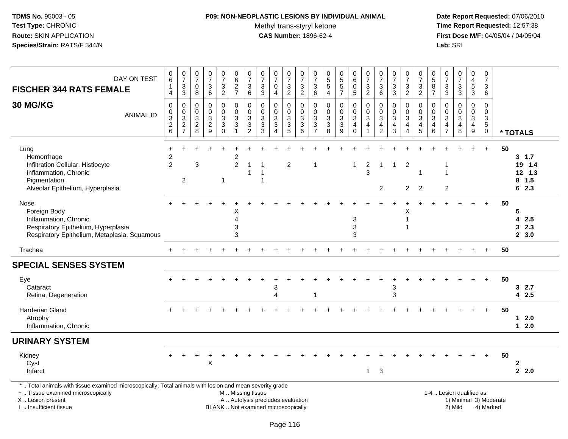# **P09: NON-NEOPLASTIC LESIONS BY INDIVIDUAL ANIMAL**

Methyl trans-styryl ketone<br>CAS Number: 1896-62-4

| DAY ON TEST<br><b>FISCHER 344 RATS FEMALE</b>                                                                                                                                                | 0<br>6<br>1<br>4                       | $\frac{0}{7}$<br>$\ensuremath{\mathsf{3}}$<br>$\overline{3}$ | $\begin{array}{c} 0 \\ 7 \end{array}$<br>$\pmb{0}$<br>8                                | $\frac{0}{7}$<br>$\ensuremath{\mathsf{3}}$<br>6           | $\frac{0}{7}$<br>$\sqrt{3}$<br>$\overline{2}$   | $\pmb{0}$<br>$\overline{6}$<br>$\frac{2}{7}$                                            | $\begin{array}{c} 0 \\ 7 \end{array}$<br>$\ensuremath{\mathsf{3}}$<br>6                                | $\frac{0}{7}$<br>$\sqrt{3}$<br>$\sqrt{3}$                                  | $\begin{array}{c} 0 \\ 7 \end{array}$<br>$\pmb{0}$<br>$\overline{4}$     | $\begin{array}{c} 0 \\ 7 \end{array}$<br>$\ensuremath{\mathsf{3}}$<br>$\overline{2}$ | $\frac{0}{7}$<br>$\ensuremath{\mathsf{3}}$<br>$\overline{2}$                  | 0<br>$\overline{7}$<br>$\ensuremath{\mathsf{3}}$<br>$\,6\,$ | $\begin{array}{c} 0 \\ 5 \\ 5 \end{array}$<br>$\overline{a}$ | 0<br>5<br>5<br>7                     | $\begin{array}{c} 0 \\ 6 \end{array}$<br>$\mathbf 0$<br>$5\phantom{.0}$ | $\begin{array}{c} 0 \\ 7 \end{array}$<br>$\frac{3}{2}$                         | $\begin{array}{c} 0 \\ 7 \end{array}$<br>$\ensuremath{\mathsf{3}}$<br>6 | $\frac{0}{7}$<br>$\ensuremath{\mathsf{3}}$<br>3                          | $\frac{0}{7}$<br>$\mathbf{3}$<br>$\overline{2}$        | $\frac{0}{7}$<br>$\frac{3}{2}$                                                                 | $\begin{array}{c} 0 \\ 5 \end{array}$<br>$\bf 8$<br>$\overline{7}$               | 0<br>$\overline{7}$<br>$\ensuremath{\mathsf{3}}$<br>$\overline{3}$ | $\begin{array}{c} 0 \\ 7 \end{array}$<br>$\ensuremath{\mathsf{3}}$<br>$\overline{3}$ | 0<br>$\overline{4}$<br>$\sqrt{5}$<br>3                 | $\begin{array}{c} 0 \\ 7 \end{array}$<br>$\mathbf{3}$<br>$\,6\,$                    |    |                                               |
|----------------------------------------------------------------------------------------------------------------------------------------------------------------------------------------------|----------------------------------------|--------------------------------------------------------------|----------------------------------------------------------------------------------------|-----------------------------------------------------------|-------------------------------------------------|-----------------------------------------------------------------------------------------|--------------------------------------------------------------------------------------------------------|----------------------------------------------------------------------------|--------------------------------------------------------------------------|--------------------------------------------------------------------------------------|-------------------------------------------------------------------------------|-------------------------------------------------------------|--------------------------------------------------------------|--------------------------------------|-------------------------------------------------------------------------|--------------------------------------------------------------------------------|-------------------------------------------------------------------------|--------------------------------------------------------------------------|--------------------------------------------------------|------------------------------------------------------------------------------------------------|----------------------------------------------------------------------------------|--------------------------------------------------------------------|--------------------------------------------------------------------------------------|--------------------------------------------------------|-------------------------------------------------------------------------------------|----|-----------------------------------------------|
| 30 MG/KG<br><b>ANIMAL ID</b>                                                                                                                                                                 | $\mathbf 0$<br>0<br>3<br>$\frac{2}{6}$ | 0<br>$\pmb{0}$<br>$\overline{3}$<br>$\frac{2}{7}$            | $\mathbf 0$<br>0<br>$\ensuremath{\mathsf{3}}$<br>$\begin{array}{c} 2 \\ 8 \end{array}$ | $\mathbf 0$<br>$\mathbf 0$<br>$\sqrt{3}$<br>$\frac{2}{9}$ | 0<br>$\mathbf 0$<br>$\sqrt{3}$<br>$\frac{3}{0}$ | $\mathbf 0$<br>$\mathbf 0$<br>$\sqrt{3}$<br>$\ensuremath{\mathsf{3}}$<br>$\overline{1}$ | $\mathbf 0$<br>$\mathbf 0$<br>$\ensuremath{\mathsf{3}}$<br>$\ensuremath{\mathsf{3}}$<br>$\overline{2}$ | $\mathbf 0$<br>$\mathbf 0$<br>$\sqrt{3}$<br>$\ensuremath{\mathsf{3}}$<br>3 | $\mathbf 0$<br>0<br>$\sqrt{3}$<br>$\ensuremath{\mathsf{3}}$<br>$\Delta$  | $\mathbf 0$<br>$\mathbf 0$<br>$\sqrt{3}$<br>$\frac{3}{5}$                            | $\mathbf 0$<br>0<br>$\sqrt{3}$<br>$\ensuremath{\mathsf{3}}$<br>$6\phantom{1}$ | 0<br>$\mathbf 0$<br>3<br>$\frac{3}{7}$                      | $\mathbf 0$<br>$\pmb{0}$<br>$\frac{3}{8}$                    | 0<br>$\pmb{0}$<br>$\frac{3}{3}$<br>9 | $\mathbf 0$<br>$\mathbf 0$<br>3<br>$\overline{4}$<br>$\mathbf 0$        | $\mathbf 0$<br>$\pmb{0}$<br>$\overline{3}$<br>$\overline{4}$<br>$\overline{1}$ | $\mathbf 0$<br>0<br>$\sqrt{3}$<br>$\overline{4}$<br>$\overline{2}$      | $\mathbf 0$<br>$\mathbf 0$<br>$\sqrt{3}$<br>$\overline{\mathbf{4}}$<br>3 | $\mathbf 0$<br>$\mathbf 0$<br>3<br>4<br>$\overline{4}$ | $\mathbf 0$<br>$\pmb{0}$<br>$\ensuremath{\mathsf{3}}$<br>$\begin{array}{c} 4 \\ 5 \end{array}$ | $\mathbf 0$<br>$\mathsf 0$<br>$\mathbf{3}$<br>$\overline{\mathbf{4}}$<br>$\,6\,$ | 0<br>0<br>$\sqrt{3}$<br>$\overline{\mathbf{4}}$<br>$\overline{7}$  | $\mathbf 0$<br>$\Omega$<br>$\sqrt{3}$<br>$\overline{\mathbf{4}}$<br>8                | $\mathbf 0$<br>$\mathbf 0$<br>3<br>$\overline{4}$<br>9 | $\mathbf 0$<br>$\mathbf 0$<br>$\mathbf{3}$<br>$\overline{5}$<br>$\mathsf{O}\xspace$ |    | * TOTALS                                      |
| Lung<br>Hemorrhage<br>Infiltration Cellular, Histiocyte<br>Inflammation, Chronic<br>Pigmentation<br>Alveolar Epithelium, Hyperplasia                                                         | 2<br>$\overline{2}$                    | 2                                                            | 3                                                                                      |                                                           | -1                                              | 2<br>$\overline{c}$                                                                     | 1<br>1                                                                                                 |                                                                            |                                                                          | 2                                                                                    |                                                                               | -1                                                          |                                                              |                                      | $\mathbf{1}$                                                            | $\overline{c}$<br>3                                                            | $\mathbf{1}$<br>$\overline{c}$                                          | $\overline{1}$                                                           | $\overline{2}$<br>$\overline{2}$                       | 2                                                                                              |                                                                                  | $\overline{1}$<br>$\overline{c}$                                   |                                                                                      |                                                        | $\ddot{}$                                                                           | 50 | 3, 1.7<br>19 1.4<br>12 1.3<br>$8$ 1.5<br>62.3 |
| Nose<br>Foreign Body<br>Inflammation, Chronic<br>Respiratory Epithelium, Hyperplasia<br>Respiratory Epithelium, Metaplasia, Squamous                                                         |                                        |                                                              |                                                                                        |                                                           |                                                 | х<br>4<br>3<br>3                                                                        |                                                                                                        |                                                                            |                                                                          |                                                                                      |                                                                               |                                                             |                                                              |                                      | 3<br>3<br>3                                                             |                                                                                |                                                                         |                                                                          | Χ<br>$\mathbf{1}$<br>-1                                |                                                                                                |                                                                                  |                                                                    |                                                                                      |                                                        | $\ddot{}$                                                                           | 50 | 5<br>42.5<br>32.3<br>2, 3.0                   |
| Trachea                                                                                                                                                                                      |                                        |                                                              |                                                                                        |                                                           |                                                 |                                                                                         |                                                                                                        |                                                                            |                                                                          |                                                                                      |                                                                               |                                                             |                                                              |                                      |                                                                         |                                                                                |                                                                         |                                                                          |                                                        |                                                                                                |                                                                                  |                                                                    |                                                                                      |                                                        | $+$                                                                                 | 50 |                                               |
| <b>SPECIAL SENSES SYSTEM</b>                                                                                                                                                                 |                                        |                                                              |                                                                                        |                                                           |                                                 |                                                                                         |                                                                                                        |                                                                            |                                                                          |                                                                                      |                                                                               |                                                             |                                                              |                                      |                                                                         |                                                                                |                                                                         |                                                                          |                                                        |                                                                                                |                                                                                  |                                                                    |                                                                                      |                                                        |                                                                                     |    |                                               |
| Eye<br>Cataract<br>Retina, Degeneration                                                                                                                                                      |                                        |                                                              |                                                                                        |                                                           |                                                 |                                                                                         |                                                                                                        |                                                                            | 3<br>$\lambda$                                                           |                                                                                      |                                                                               | -1                                                          |                                                              |                                      |                                                                         |                                                                                |                                                                         | 3<br>3                                                                   |                                                        |                                                                                                |                                                                                  |                                                                    |                                                                                      |                                                        | $\ddot{}$                                                                           | 50 | 32.7<br>42.5                                  |
| Harderian Gland<br>Atrophy<br>Inflammation, Chronic                                                                                                                                          |                                        |                                                              |                                                                                        |                                                           |                                                 |                                                                                         |                                                                                                        |                                                                            |                                                                          |                                                                                      |                                                                               |                                                             |                                                              |                                      |                                                                         |                                                                                |                                                                         |                                                                          |                                                        |                                                                                                |                                                                                  |                                                                    |                                                                                      |                                                        | $\div$                                                                              | 50 | $12.0$<br>$12.0$                              |
| <b>URINARY SYSTEM</b>                                                                                                                                                                        |                                        |                                                              |                                                                                        |                                                           |                                                 |                                                                                         |                                                                                                        |                                                                            |                                                                          |                                                                                      |                                                                               |                                                             |                                                              |                                      |                                                                         |                                                                                |                                                                         |                                                                          |                                                        |                                                                                                |                                                                                  |                                                                    |                                                                                      |                                                        |                                                                                     |    |                                               |
| Kidney<br>Cyst<br>Infarct                                                                                                                                                                    |                                        |                                                              |                                                                                        | X                                                         |                                                 |                                                                                         |                                                                                                        |                                                                            |                                                                          |                                                                                      |                                                                               |                                                             |                                                              |                                      |                                                                         | $\mathbf{1}$                                                                   | $\ensuremath{\mathsf{3}}$                                               |                                                                          |                                                        |                                                                                                |                                                                                  |                                                                    |                                                                                      |                                                        | $+$                                                                                 | 50 | $\mathbf{2}$<br>2, 2.0                        |
| *  Total animals with tissue examined microscopically; Total animals with lesion and mean severity grade<br>+  Tissue examined microscopically<br>X Lesion present<br>I. Insufficient tissue |                                        |                                                              |                                                                                        |                                                           |                                                 | M  Missing tissue                                                                       |                                                                                                        |                                                                            | A  Autolysis precludes evaluation<br>BLANK  Not examined microscopically |                                                                                      |                                                                               |                                                             |                                                              |                                      |                                                                         |                                                                                |                                                                         |                                                                          |                                                        |                                                                                                |                                                                                  |                                                                    | 1-4  Lesion qualified as:<br>1) Minimal 3) Moderate<br>2) Mild                       |                                                        | 4) Marked                                                                           |    |                                               |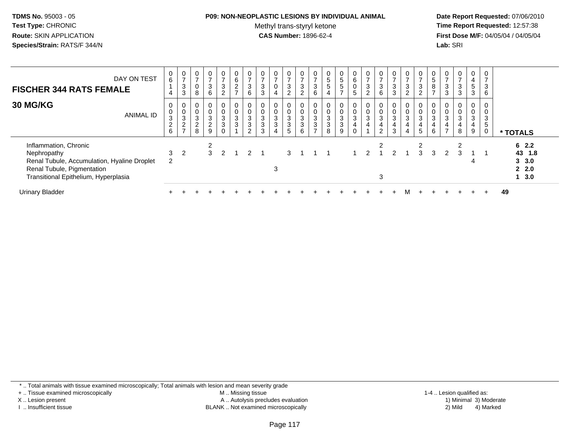### **P09: NON-NEOPLASTIC LESIONS BY INDIVIDUAL ANIMAL**

Methyl trans-styryl ketone<br>CAS Number: 1896-62-4

 **Date Report Requested:** 07/06/2010 **Time Report Requested:** 12:57:38 **First Dose M/F:** 04/05/04 / 04/05/04<br>**Lab:** SRI **Lab:** SRI

| DAY ON TEST<br><b>FISCHER 344 RATS FEMALE</b>                                                                                                             | $6\phantom{.}6$                                | 0<br>$\overline{ }$<br>$\ensuremath{\mathsf{3}}$<br>3             | 0<br>0<br>8                        | $\mathbf 0$<br>$\rightarrow$<br>$\sqrt{3}$<br>6 | 0<br>$\overline{ }$<br>$\mathbf{3}$<br>$\overline{a}$ | 0<br>$\,6\,$<br>$\overline{c}$<br>$\overline{ }$ | $\rightarrow$<br>$\mathbf{3}$<br>6                   | $\overline{ }$<br>3<br>$\mathbf{3}$  | 0<br>0                      | $\mathbf{0}$<br>$\overline{ }$<br>$\mathbf{3}$<br>$\overline{2}$ | 0<br>$\overline{z}$<br>$\mathbf{3}$<br>$\overline{2}$ | 0<br>$\overline{ }$<br>3<br>6                               | 0<br>$\sqrt{5}$<br>5<br>4                          | $\begin{array}{c} 0 \\ 5 \end{array}$<br>$\overline{5}$<br>$\overline{ }$ | $\mathbf{0}$<br>6<br>$\mathbf 0$<br>5  | $\mathbf{0}$<br>$\overline{ }$<br>$\mathbf{3}$<br>$\overline{2}$ | 0<br>$\overline{ }$<br>3<br>6                         | 0<br>$\overline{7}$<br>$\sqrt{3}$<br>3                | $\mathbf 0$<br>$\overline{ }$<br>3<br>$\overline{2}$ | $\frac{0}{7}$<br>$\sqrt{3}$<br>$\overline{c}$               | $\frac{0}{5}$<br>$\bf 8$<br>$\rightarrow$             | 0<br>$\rightarrow$<br>3<br>3                        | $\frac{0}{7}$<br>$\sqrt{3}$<br>3       | 0<br>4<br>5<br>$\mathbf{3}$   | $\overline{ }$<br>3<br>6 |                                             |
|-----------------------------------------------------------------------------------------------------------------------------------------------------------|------------------------------------------------|-------------------------------------------------------------------|------------------------------------|-------------------------------------------------|-------------------------------------------------------|--------------------------------------------------|------------------------------------------------------|--------------------------------------|-----------------------------|------------------------------------------------------------------|-------------------------------------------------------|-------------------------------------------------------------|----------------------------------------------------|---------------------------------------------------------------------------|----------------------------------------|------------------------------------------------------------------|-------------------------------------------------------|-------------------------------------------------------|------------------------------------------------------|-------------------------------------------------------------|-------------------------------------------------------|-----------------------------------------------------|----------------------------------------|-------------------------------|--------------------------|---------------------------------------------|
| <b>30 MG/KG</b><br><b>ANIMAL ID</b>                                                                                                                       | $\pmb{0}$<br>$\sqrt{3}$<br>$\overline{c}$<br>6 | 0<br>$\pmb{0}$<br>$\mathbf 3$<br>$\overline{c}$<br>$\overline{ }$ | 0<br>0<br>3<br>$\overline{c}$<br>8 | 0<br>$\pmb{0}$<br>$\sqrt{3}$<br>$\sqrt{2}$<br>9 | 0<br>0<br>3<br>3                                      | 0<br>$\pmb{0}$<br>$\ensuremath{\mathsf{3}}$<br>3 | $\pmb{0}$<br>$\mathbf 3$<br>$\mathbf{3}$<br>$\Omega$ | $\mathbf 0$<br>3<br>$\mathsf 3$<br>3 | 0<br>0<br>3<br>$\mathbf{3}$ | 0<br>$\pmb{0}$<br>$\sqrt{3}$<br>$\mathbf{3}$<br>5                | 0<br>$\pmb{0}$<br>$\mathbf{3}$<br>$\mathbf{3}$<br>6   | 0<br>$\pmb{0}$<br>$\sqrt{3}$<br>$\sqrt{3}$<br>$\rightarrow$ | 0<br>$\mathbf 0$<br>$\sqrt{3}$<br>$\mathbf 3$<br>8 | 0<br>0<br>$\frac{3}{3}$<br>9                                              | 0<br>0<br>3<br>$\overline{\mathbf{4}}$ | 0<br>$\pmb{0}$<br>$\sqrt{3}$<br>$\overline{4}$                   | 0<br>$\pmb{0}$<br>$\mathbf{3}$<br>4<br>$\overline{2}$ | 0<br>$\pmb{0}$<br>$\mathbf{3}$<br>$\overline{4}$<br>3 | $\overline{0}$<br>$\mathbf 0$<br>3<br>4<br>4         | 0<br>$\boldsymbol{0}$<br>$\mathbf 3$<br>$\overline{4}$<br>5 | 0<br>$\pmb{0}$<br>$\ensuremath{\mathsf{3}}$<br>4<br>6 | 0<br>$\pmb{0}$<br>$\sqrt{3}$<br>4<br>$\overline{ }$ | 0<br>$\pmb{0}$<br>$\sqrt{3}$<br>4<br>8 | 0<br>$\pmb{0}$<br>3<br>4<br>9 | 0<br>3<br>5              | * TOTALS                                    |
| Inflammation, Chronic<br>Nephropathy<br>Renal Tubule, Accumulation, Hyaline Droplet<br>Renal Tubule, Pigmentation<br>Transitional Epithelium, Hyperplasia | 3<br>2                                         | $\overline{2}$                                                    |                                    | 2<br>$\mathbf{3}$                               | $\mathcal{P}$                                         |                                                  | $\mathcal{P}$                                        |                                      | 3                           | $\mathcal{R}$                                                    |                                                       |                                                             |                                                    |                                                                           |                                        |                                                                  | 2<br>3                                                |                                                       |                                                      | 2<br>$\mathcal{R}$                                          | 3                                                     | $\mathcal{P}$                                       | $\overline{2}$<br>3                    |                               |                          | 62.2<br>43 1.8<br>3, 3.0<br>$2^{2}$<br>13.0 |
| <b>Urinary Bladder</b>                                                                                                                                    |                                                |                                                                   |                                    |                                                 |                                                       |                                                  |                                                      |                                      |                             |                                                                  |                                                       |                                                             |                                                    |                                                                           |                                        |                                                                  |                                                       |                                                       |                                                      |                                                             |                                                       |                                                     |                                        |                               |                          | 49                                          |

\* .. Total animals with tissue examined microscopically; Total animals with lesion and mean severity grade

+ .. Tissue examined microscopically

X .. Lesion present

I .. Insufficient tissue

 M .. Missing tissueA .. Autolysis precludes evaluation

1-4 .. Lesion qualified as:<br>1) Minimal 3) Moderate BLANK .. Not examined microscopically 2) Mild 4) Marked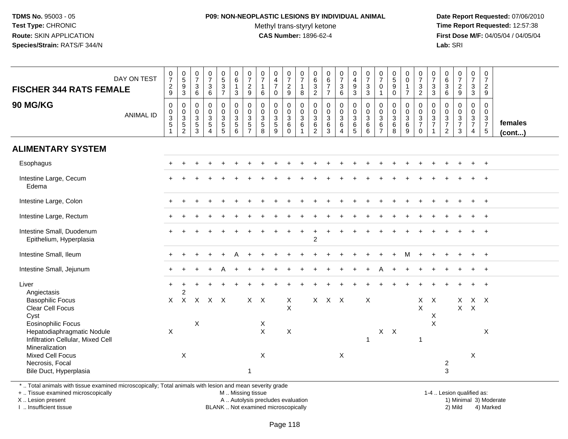### **P09: NON-NEOPLASTIC LESIONS BY INDIVIDUAL ANIMAL**Methyl trans-styryl ketone<br>CAS Number: 1896-62-4

 **Date Report Requested:** 07/06/2010 **Time Report Requested:** 12:57:38 **First Dose M/F:** 04/05/04 / 04/05/04 Lab: SRI **Lab:** SRI

| <b>FISCHER 344 RATS FEMALE</b>                                                                          | DAY ON TEST      | $\frac{0}{7}$<br>$\frac{2}{9}$                        | $\begin{array}{c} 0 \\ 5 \end{array}$<br>$\boldsymbol{9}$<br>$\mathfrak{Z}$ | $\frac{0}{7}$<br>3<br>$6\phantom{1}$                            | $\begin{array}{c} 0 \\ 7 \end{array}$<br>$\mathbf 3$<br>$\,6\,$          | $\begin{smallmatrix} 0\\5 \end{smallmatrix}$<br>$\mathbf{3}$<br>$\overline{7}$ | $\begin{array}{c} 0 \\ 6 \end{array}$<br>$\mathbf{1}$<br>3 | $\frac{0}{7}$<br>$\overline{c}$<br>$9\,$                | 0<br>$\overline{7}$<br>$\mathbf{1}$<br>$\,6\,$          | $\begin{smallmatrix}0\\4\end{smallmatrix}$<br>$\overline{7}$<br>$\mathbf 0$ | $\frac{0}{7}$<br>$\boldsymbol{2}$<br>$\boldsymbol{9}$   | $\frac{0}{7}$<br>$\mathbf{1}$<br>8                  | $_{6}^{\rm 0}$<br>$\sqrt{3}$<br>$\overline{2}$         | $\mathbf 0$<br>$\,6\,$<br>$\boldsymbol{7}$<br>$\overline{7}$ | $\frac{0}{7}$<br>$\ensuremath{\mathsf{3}}$<br>$6\phantom{a}$ | $\mathbf 0$<br>$\overline{4}$<br>$\boldsymbol{9}$<br>$\mathbf{3}$ | $\frac{0}{7}$<br>$\mathbf 3$<br>$\mathbf{3}$ | $\frac{0}{7}$<br>0<br>$\overline{1}$                                    | $\begin{array}{c} 0 \\ 5 \end{array}$<br>9<br>$\mathbf 0$ | $_0^0$<br>$\mathbf{1}$<br>$\overline{7}$ | $\frac{0}{7}$<br>$\mathbf{3}$<br>$\overline{2}$ | $\begin{array}{c} 0 \\ 7 \end{array}$<br>$\ensuremath{\mathsf{3}}$<br>3 | $\begin{array}{c} 0 \\ 6 \end{array}$<br>$\begin{array}{c} 3 \\ 6 \end{array}$ | $\frac{0}{7}$<br>$\overline{2}$<br>$\overline{9}$                         | $\frac{0}{7}$<br>3<br>3                             | $\begin{smallmatrix}0\\7\end{smallmatrix}$<br>$\overline{2}$<br>9 |                   |
|---------------------------------------------------------------------------------------------------------|------------------|-------------------------------------------------------|-----------------------------------------------------------------------------|-----------------------------------------------------------------|--------------------------------------------------------------------------|--------------------------------------------------------------------------------|------------------------------------------------------------|---------------------------------------------------------|---------------------------------------------------------|-----------------------------------------------------------------------------|---------------------------------------------------------|-----------------------------------------------------|--------------------------------------------------------|--------------------------------------------------------------|--------------------------------------------------------------|-------------------------------------------------------------------|----------------------------------------------|-------------------------------------------------------------------------|-----------------------------------------------------------|------------------------------------------|-------------------------------------------------|-------------------------------------------------------------------------|--------------------------------------------------------------------------------|---------------------------------------------------------------------------|-----------------------------------------------------|-------------------------------------------------------------------|-------------------|
| 90 MG/KG                                                                                                | <b>ANIMAL ID</b> | 0<br>$\begin{array}{c} 0 \\ 3 \\ 5 \end{array}$<br>-1 | 0<br>$\begin{array}{c} 0 \\ 3 \\ 5 \end{array}$<br>$\overline{c}$           | 0<br>$\begin{array}{c} 0 \\ 3 \\ 5 \end{array}$<br>$\mathbf{3}$ | $\pmb{0}$<br>$\pmb{0}$<br>$\overline{3}$<br>$\sqrt{5}$<br>$\overline{4}$ | 0<br>$\begin{array}{c} 0 \\ 3 \\ 5 \\ 5 \end{array}$                           | $\mathbf 0$<br>$\frac{0}{3}$<br>6                          | 0<br>$\pmb{0}$<br>$\overline{3}$<br>5<br>$\overline{7}$ | 0<br>0<br>$\ensuremath{\mathsf{3}}$<br>$\,$ 5 $\,$<br>8 | $\mathbf 0$<br>$_{3}^{\rm 0}$<br>$\sqrt{5}$<br>9                            | 0<br>$\mathbf 0$<br>$\overline{3}$<br>$\,6$<br>$\Omega$ | $\mathbf 0$<br>$\frac{0}{3}$<br>6<br>$\overline{1}$ | 0<br>$\mathbf 0$<br>$\mathsf 3$<br>6<br>$\overline{2}$ | $\pmb{0}$<br>$\pmb{0}$<br>$\overline{3}$<br>$\,6\,$<br>3     | 0<br>$\begin{matrix}0\\3\\6\end{matrix}$<br>$\overline{4}$   | $\mathbf{0}$<br>$\frac{0}{3}$<br>6<br>$\sqrt{5}$                  | $\mathbf 0$<br>$\frac{0}{3}$<br>$\,6$<br>6   | $\mathbf 0$<br>$\mathbf 0$<br>$\overline{3}$<br>$\,6$<br>$\overline{7}$ | $\mathbf 0$<br>$_3^{\rm 0}$<br>$\,6\,$<br>8               | 0<br>$_{3}^{\rm 0}$<br>6<br>9            | 0<br>$\frac{0}{3}$<br>7<br>$\mathbf 0$          | 0<br>$\frac{0}{3}$                                                      | 0<br>$\mathbf 0$<br>$\frac{3}{7}$<br>$\sqrt{2}$                                | $\mathbf 0$<br>$\begin{array}{c} 0 \\ 3 \\ 7 \end{array}$<br>$\mathbf{3}$ | 0<br>$\mathbf 0$<br>$\frac{3}{7}$<br>$\overline{4}$ | 0<br>$\mathbf 0$<br>$\frac{3}{7}$<br>$\sqrt{5}$                   | females<br>(cont) |
| <b>ALIMENTARY SYSTEM</b>                                                                                |                  |                                                       |                                                                             |                                                                 |                                                                          |                                                                                |                                                            |                                                         |                                                         |                                                                             |                                                         |                                                     |                                                        |                                                              |                                                              |                                                                   |                                              |                                                                         |                                                           |                                          |                                                 |                                                                         |                                                                                |                                                                           |                                                     |                                                                   |                   |
| Esophagus                                                                                               |                  |                                                       |                                                                             |                                                                 |                                                                          |                                                                                |                                                            |                                                         |                                                         |                                                                             |                                                         |                                                     |                                                        |                                                              |                                                              |                                                                   |                                              |                                                                         |                                                           |                                          |                                                 |                                                                         |                                                                                |                                                                           |                                                     | $\ddot{+}$                                                        |                   |
| Intestine Large, Cecum<br>Edema                                                                         |                  |                                                       |                                                                             |                                                                 |                                                                          |                                                                                |                                                            |                                                         |                                                         |                                                                             |                                                         |                                                     |                                                        |                                                              |                                                              |                                                                   |                                              |                                                                         |                                                           |                                          |                                                 |                                                                         |                                                                                |                                                                           |                                                     | $\ddot{}$                                                         |                   |
| Intestine Large, Colon                                                                                  |                  |                                                       |                                                                             |                                                                 |                                                                          |                                                                                |                                                            |                                                         |                                                         |                                                                             |                                                         |                                                     |                                                        |                                                              |                                                              |                                                                   |                                              |                                                                         |                                                           |                                          |                                                 |                                                                         |                                                                                |                                                                           |                                                     | $\ddot{+}$                                                        |                   |
| Intestine Large, Rectum                                                                                 |                  |                                                       |                                                                             |                                                                 |                                                                          |                                                                                |                                                            |                                                         |                                                         |                                                                             |                                                         |                                                     |                                                        |                                                              |                                                              |                                                                   |                                              |                                                                         |                                                           |                                          |                                                 |                                                                         |                                                                                |                                                                           |                                                     | $\pm$                                                             |                   |
| Intestine Small, Duodenum<br>Epithelium, Hyperplasia                                                    |                  |                                                       |                                                                             |                                                                 |                                                                          |                                                                                |                                                            |                                                         |                                                         |                                                                             |                                                         |                                                     | $\overline{2}$                                         |                                                              |                                                              |                                                                   |                                              |                                                                         |                                                           |                                          |                                                 |                                                                         |                                                                                |                                                                           |                                                     | $\ddot{}$                                                         |                   |
| Intestine Small, Ileum                                                                                  |                  | $+$                                                   |                                                                             |                                                                 |                                                                          |                                                                                |                                                            |                                                         |                                                         |                                                                             |                                                         |                                                     |                                                        |                                                              |                                                              |                                                                   |                                              |                                                                         |                                                           | м                                        |                                                 |                                                                         |                                                                                |                                                                           | $\div$                                              | $+$                                                               |                   |
| Intestine Small, Jejunum                                                                                |                  |                                                       |                                                                             |                                                                 |                                                                          |                                                                                |                                                            |                                                         |                                                         |                                                                             |                                                         |                                                     |                                                        |                                                              |                                                              |                                                                   |                                              |                                                                         |                                                           |                                          |                                                 |                                                                         |                                                                                |                                                                           |                                                     | $\ddot{}$                                                         |                   |
| Liver<br>Angiectasis<br><b>Basophilic Focus</b>                                                         |                  | $+$<br>X                                              | $\ddot{}$<br>$\overline{2}$<br>$\mathsf{X}$                                 |                                                                 | $X$ $X$ $X$                                                              |                                                                                |                                                            | $X$ $X$                                                 |                                                         |                                                                             | X                                                       |                                                     | $\times$                                               | $X$ $X$                                                      |                                                              |                                                                   | $\boldsymbol{\mathsf{X}}$                    |                                                                         |                                                           |                                          | $\mathsf{X}$                                    | $\mathsf{X}$                                                            |                                                                                | $\mathsf{X}$                                                              | X X                                                 |                                                                   |                   |
| Clear Cell Focus<br>Cyst                                                                                |                  |                                                       |                                                                             |                                                                 |                                                                          |                                                                                |                                                            |                                                         |                                                         |                                                                             | $\mathsf{X}$                                            |                                                     |                                                        |                                                              |                                                              |                                                                   |                                              |                                                                         |                                                           |                                          | $\times$                                        | X                                                                       |                                                                                | $\mathsf{X}$                                                              | $\boldsymbol{\mathsf{X}}$                           |                                                                   |                   |
| Eosinophilic Focus<br>Hepatodiaphragmatic Nodule<br>Infiltration Cellular, Mixed Cell<br>Mineralization |                  | $\mathsf X$                                           |                                                                             | X                                                               |                                                                          |                                                                                |                                                            |                                                         | X<br>$\mathsf{X}$                                       |                                                                             | $\mathsf X$                                             |                                                     |                                                        |                                                              |                                                              |                                                                   | $\overline{1}$                               |                                                                         | $X$ $X$                                                   |                                          | $\mathbf 1$                                     | $\mathsf X$                                                             |                                                                                |                                                                           |                                                     | X                                                                 |                   |
| Mixed Cell Focus<br>Necrosis, Focal<br>Bile Duct, Hyperplasia                                           |                  |                                                       | $\boldsymbol{\mathsf{X}}$                                                   |                                                                 |                                                                          |                                                                                |                                                            | $\mathbf{1}$                                            | $\boldsymbol{\mathsf{X}}$                               |                                                                             |                                                         |                                                     |                                                        |                                                              | $\mathsf X$                                                  |                                                                   |                                              |                                                                         |                                                           |                                          |                                                 |                                                                         | $\overline{2}$<br>3                                                            |                                                                           | $\boldsymbol{\mathsf{X}}$                           |                                                                   |                   |

\* .. Total animals with tissue examined microscopically; Total animals with lesion and mean severity grade

+ .. Tissue examined microscopically

X .. Lesion present

I .. Insufficient tissue

M .. Missing tissue

A .. Autolysis precludes evaluation

BLANK .. Not examined microscopically 2) Mild 4) Marked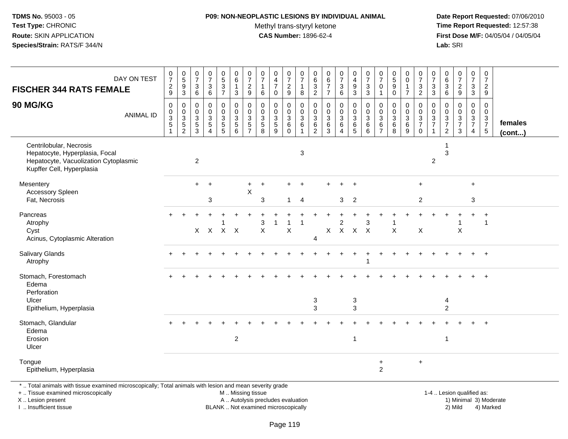## **P09: NON-NEOPLASTIC LESIONS BY INDIVIDUAL ANIMAL**Methyl trans-styryl ketone<br>CAS Number: 1896-62-4

 **Date Report Requested:** 07/06/2010 **Time Report Requested:** 12:57:38 **First Dose M/F:** 04/05/04 / 04/05/04<br>Lab: SRI **Lab:** SRI

| <b>FISCHER 344 RATS FEMALE</b>                                                                                                                                      | DAY ON TEST      | $\begin{smallmatrix}0\\7\end{smallmatrix}$<br>$\frac{2}{9}$ | $\begin{array}{c} 0 \\ 5 \\ 3 \end{array}$           | 0<br>$\overline{7}$<br>3<br>6             | $\mathbf 0$<br>$\overline{7}$<br>3<br>$\,6\,$                           | $\begin{array}{c} 0 \\ 5 \end{array}$<br>$\overline{3}$<br>$\overline{7}$ | $\begin{array}{c} 0 \\ 6 \end{array}$<br>$\mathbf 1$<br>$\mathbf{3}$ | $\frac{0}{7}$<br>$\sqrt{2}$<br>$9\,$                          | $\mathbf 0$<br>$\overline{7}$<br>$\overline{1}$<br>6                         | $\mathbf 0$<br>$\overline{4}$<br>$\overline{7}$<br>$\mathbf 0$             | $\,0\,$<br>$\overline{7}$<br>$\sqrt{2}$<br>$\boldsymbol{9}$ | 0<br>$\overline{7}$<br>1<br>8                 | 0<br>$\overline{6}$<br>$\overline{3}$<br>$\overline{c}$        | $\begin{array}{c} 0 \\ 6 \\ 7 \end{array}$<br>$\overline{7}$ | $\begin{array}{c} 0 \\ 7 \end{array}$<br>$\ensuremath{\mathsf{3}}$<br>$\,6\,$               | $\begin{smallmatrix}0\\4\end{smallmatrix}$<br>$\frac{9}{3}$                            | $\frac{0}{7}$<br>$\frac{3}{3}$                                   | 0<br>$\overline{7}$<br>0<br>1                | $\begin{array}{c} 0 \\ 5 \end{array}$<br>$\overline{9}$<br>$\mathbf 0$ | $_0^0$<br>1<br>$\overline{7}$  | $\frac{0}{7}$<br>$\frac{3}{2}$                                        | $\frac{0}{7}$<br>$_3^3$                                                    | 0<br>6<br>$\sqrt{3}$<br>$\,6\,$                        | $\frac{0}{7}$<br>$\sqrt{2}$<br>9                                     | $\frac{0}{7}$<br>$\ensuremath{\mathsf{3}}$<br>$\mathbf{3}$          | $\frac{0}{7}$<br>$\overline{2}$<br>9                                              |                         |
|---------------------------------------------------------------------------------------------------------------------------------------------------------------------|------------------|-------------------------------------------------------------|------------------------------------------------------|-------------------------------------------|-------------------------------------------------------------------------|---------------------------------------------------------------------------|----------------------------------------------------------------------|---------------------------------------------------------------|------------------------------------------------------------------------------|----------------------------------------------------------------------------|-------------------------------------------------------------|-----------------------------------------------|----------------------------------------------------------------|--------------------------------------------------------------|---------------------------------------------------------------------------------------------|----------------------------------------------------------------------------------------|------------------------------------------------------------------|----------------------------------------------|------------------------------------------------------------------------|--------------------------------|-----------------------------------------------------------------------|----------------------------------------------------------------------------|--------------------------------------------------------|----------------------------------------------------------------------|---------------------------------------------------------------------|-----------------------------------------------------------------------------------|-------------------------|
| <b>90 MG/KG</b>                                                                                                                                                     | <b>ANIMAL ID</b> | 0<br>0<br>3<br>5                                            | 0<br>$\begin{array}{c} 0 \\ 3 \\ 5 \\ 2 \end{array}$ | 0<br>$\mathbf 0$<br>3<br>$\,$ 5 $\,$<br>3 | $\mathbf 0$<br>$\mathbf 0$<br>3<br>$\sqrt{5}$<br>$\boldsymbol{\Lambda}$ | 0<br>$\mathbf 0$<br>$\sqrt{3}$<br>5<br>5                                  | 0<br>$\mathbf 0$<br>$\sqrt{3}$<br>$5\phantom{.0}$<br>6               | 0<br>$\pmb{0}$<br>$\sqrt{3}$<br>$\mathbf 5$<br>$\overline{7}$ | 0<br>0<br>$\ensuremath{\mathsf{3}}$<br>$\begin{array}{c} 5 \\ 8 \end{array}$ | $\mathbf 0$<br>$\mathbf 0$<br>$\ensuremath{\mathsf{3}}$<br>$\sqrt{5}$<br>9 | 0<br>0<br>$\ensuremath{\mathsf{3}}$<br>$\,6\,$<br>$\Omega$  | 0<br>0<br>$\ensuremath{\mathsf{3}}$<br>6<br>1 | 0<br>$\mathbf 0$<br>$\ensuremath{\mathsf{3}}$<br>$\frac{6}{2}$ | 0<br>0<br>$\ensuremath{\mathsf{3}}$<br>$^6_3$                | 0<br>$\mathsf{O}\xspace$<br>$\ensuremath{\mathsf{3}}$<br>$\,6\,$<br>$\overline{\mathbf{4}}$ | 0<br>$\mathbf 0$<br>$\ensuremath{\mathsf{3}}$<br>$\begin{array}{c} 6 \\ 5 \end{array}$ | 0<br>$\mathsf{O}\xspace$<br>$\mathbf{3}$<br>$6\phantom{1}6$<br>6 | 0<br>$\mathbf 0$<br>3<br>6<br>$\overline{7}$ | $\mathbf 0$<br>$\mathbf 0$<br>$\ensuremath{\mathsf{3}}$<br>$^6_8$      | 0<br>0<br>$\sqrt{3}$<br>6<br>9 | 0<br>$\mathsf{O}$<br>$\ensuremath{\mathsf{3}}$<br>$\overline{7}$<br>0 | $\mathbf 0$<br>$\mathbf 0$<br>$\sqrt{3}$<br>$\overline{7}$<br>$\mathbf{1}$ | 0<br>$\Omega$<br>3<br>$\overline{7}$<br>$\overline{2}$ | 0<br>$\mathbf 0$<br>$\ensuremath{\mathsf{3}}$<br>$\overline{7}$<br>3 | 0<br>$\mathbf 0$<br>$\mathbf 3$<br>$\overline{7}$<br>$\overline{4}$ | 0<br>$\mathbf 0$<br>$\ensuremath{\mathsf{3}}$<br>$\overline{7}$<br>$\overline{5}$ | females<br>$($ cont $)$ |
| Centrilobular, Necrosis<br>Hepatocyte, Hyperplasia, Focal<br>Hepatocyte, Vacuolization Cytoplasmic<br>Kupffer Cell, Hyperplasia                                     |                  |                                                             |                                                      | $\sqrt{2}$                                |                                                                         |                                                                           |                                                                      |                                                               |                                                                              |                                                                            |                                                             | 3                                             |                                                                |                                                              |                                                                                             |                                                                                        |                                                                  |                                              |                                                                        |                                |                                                                       | $\overline{2}$                                                             | -1<br>3                                                |                                                                      |                                                                     |                                                                                   |                         |
| Mesentery<br>Accessory Spleen<br>Fat, Necrosis                                                                                                                      |                  |                                                             |                                                      | $+$                                       | $\overline{+}$<br>3                                                     |                                                                           |                                                                      | $\boldsymbol{\mathsf{X}}$                                     | 3                                                                            |                                                                            | 1.                                                          | -4                                            |                                                                |                                                              | 3                                                                                           | $\overline{2}$                                                                         |                                                                  |                                              |                                                                        |                                | $+$<br>$\overline{2}$                                                 |                                                                            |                                                        |                                                                      | $\ddot{}$<br>3                                                      |                                                                                   |                         |
| Pancreas<br>Atrophy<br>Cyst<br>Acinus, Cytoplasmic Alteration                                                                                                       |                  |                                                             |                                                      |                                           |                                                                         | X X X X                                                                   |                                                                      |                                                               | 3<br>$\pmb{\times}$                                                          |                                                                            | X                                                           |                                               | $\overline{4}$                                                 | X                                                            | 2                                                                                           | $X$ $X$ $X$                                                                            | 3                                                                |                                              | X                                                                      |                                | X                                                                     |                                                                            |                                                        | X                                                                    |                                                                     | -1                                                                                |                         |
| Salivary Glands<br>Atrophy                                                                                                                                          |                  |                                                             |                                                      |                                           |                                                                         |                                                                           |                                                                      |                                                               |                                                                              |                                                                            |                                                             |                                               |                                                                |                                                              |                                                                                             |                                                                                        |                                                                  |                                              |                                                                        |                                |                                                                       |                                                                            |                                                        |                                                                      |                                                                     | $+$                                                                               |                         |
| Stomach, Forestomach<br>Edema<br>Perforation<br>Ulcer<br>Epithelium, Hyperplasia                                                                                    |                  |                                                             |                                                      |                                           |                                                                         |                                                                           |                                                                      |                                                               |                                                                              |                                                                            |                                                             |                                               | 3<br>3                                                         |                                                              |                                                                                             | 3<br>3                                                                                 |                                                                  |                                              |                                                                        |                                |                                                                       |                                                                            | 4<br>$\overline{c}$                                    |                                                                      |                                                                     | $\ddot{}$                                                                         |                         |
| Stomach, Glandular<br>Edema<br>Erosion<br>Ulcer                                                                                                                     |                  |                                                             |                                                      |                                           |                                                                         |                                                                           | $\overline{2}$                                                       |                                                               |                                                                              |                                                                            |                                                             |                                               |                                                                |                                                              |                                                                                             | $\overline{1}$                                                                         |                                                                  |                                              |                                                                        |                                |                                                                       |                                                                            | $\overline{1}$                                         |                                                                      |                                                                     |                                                                                   |                         |
| Tongue<br>Epithelium, Hyperplasia                                                                                                                                   |                  |                                                             |                                                      |                                           |                                                                         |                                                                           |                                                                      |                                                               |                                                                              |                                                                            |                                                             |                                               |                                                                |                                                              |                                                                                             |                                                                                        |                                                                  | $\ddot{}$<br>$\overline{2}$                  |                                                                        |                                | $+$                                                                   |                                                                            |                                                        |                                                                      |                                                                     |                                                                                   |                         |
| *  Total animals with tissue examined microscopically; Total animals with lesion and mean severity grade<br>+  Tissue examined microscopically<br>X  Lesion present |                  |                                                             |                                                      |                                           |                                                                         |                                                                           | M  Missing tissue                                                    |                                                               | A  Autolysis precludes evaluation                                            |                                                                            |                                                             |                                               |                                                                |                                                              |                                                                                             |                                                                                        |                                                                  |                                              |                                                                        |                                |                                                                       |                                                                            |                                                        |                                                                      | 1-4  Lesion qualified as:                                           | 1) Minimal 3) Moderate                                                            |                         |

I .. Insufficient tissue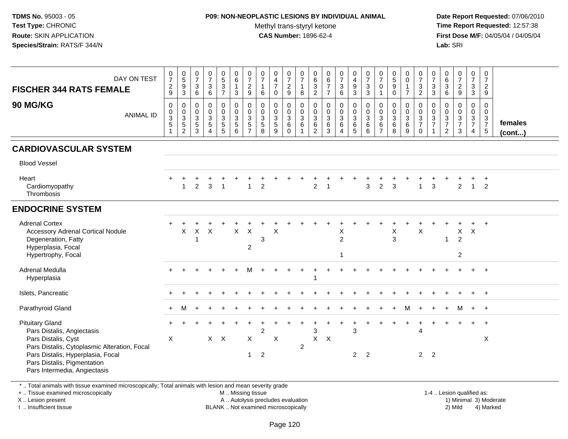## **P09: NON-NEOPLASTIC LESIONS BY INDIVIDUAL ANIMAL**

Methyl trans-styryl ketone<br>CAS Number: 1896-62-4

 **Date Report Requested:** 07/06/2010 **Time Report Requested:** 12:57:38 **First Dose M/F:** 04/05/04 / 04/05/04<br>**Lab:** SRI **Lab:** SRI

| DAY ON TEST<br><b>FISCHER 344 RATS FEMALE</b>                                                                                                                                                                                   | $\frac{0}{7}$<br>$\frac{2}{9}$                          | 0<br>5<br>9<br>3                                                          | $\frac{0}{7}$<br>$\sqrt{3}$<br>$6\phantom{a}$                | $\frac{0}{7}$<br>$\mathbf 3$<br>$\,6\,$                      | $\begin{array}{c} 0 \\ 5 \\ 3 \end{array}$<br>$\overline{7}$ | $\begin{matrix} 0 \\ 6 \end{matrix}$<br>$\mathbf{1}$<br>$\mathsf 3$ | $\frac{0}{7}$<br>$\overline{c}$<br>9                                       | $\frac{0}{7}$<br>$\mathbf{1}$<br>6   | $\begin{array}{c} 0 \\ 4 \\ 7 \end{array}$<br>$\mathbf 0$ | $\frac{0}{7}$<br>$\boldsymbol{2}$<br>$\boldsymbol{9}$ | $\frac{0}{7}$<br>$\mathbf{1}$<br>$\boldsymbol{8}$       | 0<br>$\,6$<br>$\overline{3}$<br>$\overline{2}$                      | $\begin{array}{c} 0 \\ 6 \\ 7 \end{array}$<br>$\overline{7}$ | $\frac{0}{7}$<br>$\frac{3}{6}$                                             | 0<br>$\frac{4}{9}$<br>$\overline{3}$                     | $\frac{0}{7}$<br>$\frac{3}{3}$             | $\frac{0}{7}$<br>$\mathbf 0$<br>$\mathbf{1}$                        | $\begin{array}{c} 0 \\ 5 \\ 9 \end{array}$<br>$\pmb{0}$ | $\begin{smallmatrix}0\0\0\end{smallmatrix}$<br>$\mathbf{1}$<br>$\overline{7}$ | $\frac{0}{7}$<br>$\frac{3}{2}$                                 | $\frac{0}{7}$<br>$\frac{3}{3}$            | $\begin{array}{c} 0 \\ 6 \end{array}$<br>$\frac{3}{6}$                    | $\frac{0}{7}$<br>$\frac{2}{9}$                                            | $\frac{0}{7}$<br>$\mathbf{3}$<br>$\mathbf{3}$          | 0<br>$\overline{7}$<br>$\overline{a}$<br>$9\,$ |                         |
|---------------------------------------------------------------------------------------------------------------------------------------------------------------------------------------------------------------------------------|---------------------------------------------------------|---------------------------------------------------------------------------|--------------------------------------------------------------|--------------------------------------------------------------|--------------------------------------------------------------|---------------------------------------------------------------------|----------------------------------------------------------------------------|--------------------------------------|-----------------------------------------------------------|-------------------------------------------------------|---------------------------------------------------------|---------------------------------------------------------------------|--------------------------------------------------------------|----------------------------------------------------------------------------|----------------------------------------------------------|--------------------------------------------|---------------------------------------------------------------------|---------------------------------------------------------|-------------------------------------------------------------------------------|----------------------------------------------------------------|-------------------------------------------|---------------------------------------------------------------------------|---------------------------------------------------------------------------|--------------------------------------------------------|------------------------------------------------|-------------------------|
| 90 MG/KG<br><b>ANIMAL ID</b>                                                                                                                                                                                                    | $\pmb{0}$<br>$\begin{array}{c} 0 \\ 3 \\ 5 \end{array}$ | $\pmb{0}$<br>$\begin{array}{c} 0 \\ 3 \\ 5 \end{array}$<br>$\overline{2}$ | $\pmb{0}$<br>$\begin{array}{c} 0 \\ 3 \\ 5 \\ 3 \end{array}$ | $\pmb{0}$<br>$\,0\,$<br>$\sqrt{3}$<br>$\sqrt{5}$<br>$\Delta$ | 0<br>$\mathbf 0$<br>$\frac{3}{5}$                            | 0<br>0<br>0<br>5<br>6                                               | $\pmb{0}$<br>$\pmb{0}$<br>$\ensuremath{\mathsf{3}}$<br>5<br>$\overline{7}$ | 0<br>$\pmb{0}$<br>$\frac{3}{5}$<br>8 | $\pmb{0}$<br>$\frac{0}{3}$<br>9                           | 0<br>$\mathbf 0$<br>$\sqrt{3}$<br>$\,6\,$<br>$\Omega$ | $\pmb{0}$<br>$\frac{0}{3}$<br>$\,6\,$<br>$\overline{1}$ | $\pmb{0}$<br>$\pmb{0}$<br>$\mathbf{3}$<br>$\,6\,$<br>$\overline{2}$ | 0<br>$_{3}^{\rm 0}$<br>$6\phantom{a}$<br>3                   | $\pmb{0}$<br>$\begin{matrix}0\\3\\6\end{matrix}$<br>$\boldsymbol{\Lambda}$ | $\pmb{0}$<br>$\frac{0}{3}$<br>$\,6\,$<br>$5\phantom{.0}$ | $\pmb{0}$<br>$\frac{0}{3}$<br>$\,6\,$<br>6 | $\pmb{0}$<br>$\mathbf 0$<br>$\sqrt{3}$<br>$\,6\,$<br>$\overline{7}$ | $\pmb{0}$<br>$_3^{\rm 0}$<br>$6\phantom{a}$<br>8        | 0<br>$\mathsf{O}\xspace$<br>$\mathbf{3}$<br>$6\phantom{a}$<br>9               | $\begin{array}{c} 0 \\ 0 \\ 3 \\ 7 \end{array}$<br>$\mathbf 0$ | $\mathsf 0$<br>$\pmb{0}$<br>$\frac{3}{7}$ | $\pmb{0}$<br>$\begin{array}{c} 0 \\ 3 \\ 7 \end{array}$<br>$\overline{2}$ | $\mathbf 0$<br>$\begin{array}{c} 0 \\ 3 \\ 7 \end{array}$<br>$\mathbf{3}$ | $\pmb{0}$<br>$\mathsf{O}\xspace$<br>$\frac{3}{7}$<br>4 | 0<br>$\mathsf{O}\xspace$<br>$\frac{3}{7}$      | females<br>$($ cont $)$ |
| <b>CARDIOVASCULAR SYSTEM</b>                                                                                                                                                                                                    |                                                         |                                                                           |                                                              |                                                              |                                                              |                                                                     |                                                                            |                                      |                                                           |                                                       |                                                         |                                                                     |                                                              |                                                                            |                                                          |                                            |                                                                     |                                                         |                                                                               |                                                                |                                           |                                                                           |                                                                           |                                                        |                                                |                         |
| <b>Blood Vessel</b>                                                                                                                                                                                                             |                                                         |                                                                           |                                                              |                                                              |                                                              |                                                                     |                                                                            |                                      |                                                           |                                                       |                                                         |                                                                     |                                                              |                                                                            |                                                          |                                            |                                                                     |                                                         |                                                                               |                                                                |                                           |                                                                           |                                                                           |                                                        |                                                |                         |
| Heart<br>Cardiomyopathy<br>Thrombosis                                                                                                                                                                                           |                                                         | $\overline{1}$                                                            | $\overline{2}$                                               | 3                                                            | $\overline{1}$                                               |                                                                     | $\overline{1}$                                                             | $\overline{2}$                       |                                                           |                                                       |                                                         | $\overline{2}$                                                      |                                                              |                                                                            |                                                          | 3                                          | $\overline{2}$                                                      | 3                                                       |                                                                               | $\mathbf{1}$                                                   | $\mathbf{3}$                              |                                                                           | $\overline{2}$                                                            | $\overline{1}$                                         | $\div$<br>$\overline{2}$                       |                         |
| <b>ENDOCRINE SYSTEM</b>                                                                                                                                                                                                         |                                                         |                                                                           |                                                              |                                                              |                                                              |                                                                     |                                                                            |                                      |                                                           |                                                       |                                                         |                                                                     |                                                              |                                                                            |                                                          |                                            |                                                                     |                                                         |                                                                               |                                                                |                                           |                                                                           |                                                                           |                                                        |                                                |                         |
| <b>Adrenal Cortex</b><br><b>Accessory Adrenal Cortical Nodule</b><br>Degeneration, Fatty<br>Hyperplasia, Focal                                                                                                                  |                                                         | X                                                                         | X                                                            | $\sf X$                                                      |                                                              | $\mathsf{X}$                                                        | $\mathsf{X}$<br>$\overline{c}$                                             | 3                                    | X                                                         |                                                       |                                                         |                                                                     |                                                              | X<br>$\overline{2}$                                                        |                                                          |                                            |                                                                     | X<br>3                                                  |                                                                               | X                                                              |                                           | -1                                                                        | X<br>$\overline{2}$                                                       | $\sf X$                                                |                                                |                         |
| Hypertrophy, Focal                                                                                                                                                                                                              |                                                         |                                                                           |                                                              |                                                              |                                                              |                                                                     |                                                                            |                                      |                                                           |                                                       |                                                         |                                                                     |                                                              | $\overline{1}$                                                             |                                                          |                                            |                                                                     |                                                         |                                                                               |                                                                |                                           |                                                                           | $\overline{c}$                                                            |                                                        |                                                |                         |
| Adrenal Medulla<br>Hyperplasia                                                                                                                                                                                                  |                                                         |                                                                           |                                                              |                                                              |                                                              |                                                                     |                                                                            |                                      |                                                           |                                                       |                                                         | $\overline{1}$                                                      |                                                              |                                                                            |                                                          |                                            |                                                                     |                                                         |                                                                               |                                                                |                                           |                                                                           |                                                                           |                                                        | $\ddot{+}$                                     |                         |
| Islets, Pancreatic                                                                                                                                                                                                              |                                                         |                                                                           |                                                              |                                                              |                                                              |                                                                     |                                                                            |                                      |                                                           |                                                       |                                                         |                                                                     |                                                              |                                                                            |                                                          |                                            |                                                                     |                                                         |                                                                               |                                                                |                                           |                                                                           |                                                                           |                                                        | $\ddot{}$                                      |                         |
| Parathyroid Gland                                                                                                                                                                                                               | $+$                                                     | м                                                                         |                                                              |                                                              |                                                              |                                                                     |                                                                            |                                      |                                                           |                                                       |                                                         |                                                                     |                                                              |                                                                            |                                                          |                                            |                                                                     |                                                         |                                                                               |                                                                |                                           |                                                                           | м                                                                         | $+$                                                    | $+$                                            |                         |
| <b>Pituitary Gland</b><br>Pars Distalis, Angiectasis<br>Pars Distalis, Cyst<br>Pars Distalis, Cytoplasmic Alteration, Focal<br>Pars Distalis, Hyperplasia, Focal<br>Pars Distalis, Pigmentation<br>Pars Intermedia, Angiectasis | X                                                       |                                                                           |                                                              |                                                              | $X$ $X$                                                      |                                                                     | X<br>$\mathbf{1}$                                                          | $\overline{2}$<br>$\overline{2}$     | X                                                         |                                                       | $\overline{2}$                                          | 3<br>X                                                              | $\mathsf{X}$                                                 |                                                                            | 3<br>$\overline{2}$                                      | $\overline{2}$                             |                                                                     |                                                         |                                                                               | Δ<br>$2^{\circ}$                                               | $\overline{\phantom{0}}$                  |                                                                           |                                                                           |                                                        | X                                              |                         |

\* .. Total animals with tissue examined microscopically; Total animals with lesion and mean severity grade

+ .. Tissue examined microscopically

X .. Lesion present

I .. Insufficient tissue

M .. Missing tissue

A .. Autolysis precludes evaluation

1-4 .. Lesion qualified as:<br>1) Minimal 3) Moderate BLANK .. Not examined microscopically 2) Mild 4) Marked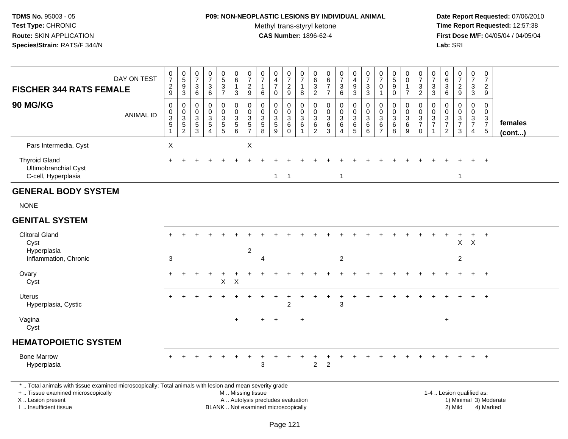## **P09: NON-NEOPLASTIC LESIONS BY INDIVIDUAL ANIMAL**Methyl trans-styryl ketone<br>CAS Number: 1896-62-4

| <b>FISCHER 344 RATS FEMALE</b>                                                                                                                                                                | DAY ON TEST      | $\frac{0}{7}$<br>$\frac{2}{9}$                                             | $\begin{array}{c} 0 \\ 5 \end{array}$<br>$\frac{9}{3}$      | $\frac{0}{7}$<br>$\ensuremath{\mathsf{3}}$<br>$6^{\circ}$ | $\pmb{0}$<br>$\overline{7}$<br>$\begin{array}{c} 3 \\ 6 \end{array}$             | 0537                                        | $\begin{array}{c} 0 \\ 6 \end{array}$<br>$\mathbf{1}$<br>$\mathbf{3}$ | $\frac{0}{7}$<br>$\frac{2}{9}$                            | $\frac{0}{7}$<br>1<br>$6\phantom{1}6$                                    | $_4^{\rm O}$<br>$\overline{7}$<br>$\mathbf 0$                            | $\frac{0}{7}$<br>$\overline{c}$<br>9             | $\frac{0}{7}$<br>$\mathbf{1}$<br>8                                            | $\boldsymbol{0}$<br>$6\phantom{a}$<br>$\frac{3}{2}$                 | $\pmb{0}$<br>$\,6\,$<br>$\overline{7}$<br>$\overline{7}$        | $\frac{0}{7}$<br>$\sqrt{3}$<br>6                                    | $\pmb{0}$<br>$\frac{4}{9}$<br>$\overline{3}$                                              | $\frac{0}{7}$<br>$\frac{3}{3}$                                   | $\frac{0}{7}$<br>$\mathbf 0$<br>$\mathbf{1}$                                | $\begin{array}{c} 0 \\ 5 \end{array}$<br>$\boldsymbol{9}$<br>$\mathbf 0$ | $\pmb{0}$<br>$\pmb{0}$<br>$\overline{7}$                                                     | $\frac{0}{7}$<br>$\mathbf{3}$<br>$\overline{2}$                   | $\frac{0}{7}$<br>$_3^3$                      | 0<br>$\,6\,$<br>$\sqrt{3}$<br>$\,6\,$                                                        | $\begin{array}{c} 0 \\ 7 \end{array}$<br>$\frac{2}{9}$                                 | $\frac{0}{7}$<br>3<br>$\overline{3}$                             | $\pmb{0}$<br>$\overline{7}$<br>$\frac{2}{9}$                   |                   |  |
|-----------------------------------------------------------------------------------------------------------------------------------------------------------------------------------------------|------------------|----------------------------------------------------------------------------|-------------------------------------------------------------|-----------------------------------------------------------|----------------------------------------------------------------------------------|---------------------------------------------|-----------------------------------------------------------------------|-----------------------------------------------------------|--------------------------------------------------------------------------|--------------------------------------------------------------------------|--------------------------------------------------|-------------------------------------------------------------------------------|---------------------------------------------------------------------|-----------------------------------------------------------------|---------------------------------------------------------------------|-------------------------------------------------------------------------------------------|------------------------------------------------------------------|-----------------------------------------------------------------------------|--------------------------------------------------------------------------|----------------------------------------------------------------------------------------------|-------------------------------------------------------------------|----------------------------------------------|----------------------------------------------------------------------------------------------|----------------------------------------------------------------------------------------|------------------------------------------------------------------|----------------------------------------------------------------|-------------------|--|
| <b>90 MG/KG</b>                                                                                                                                                                               | <b>ANIMAL ID</b> | $\mathbf 0$<br>$\pmb{0}$<br>$\ensuremath{\mathsf{3}}$<br>5<br>$\mathbf{1}$ | $\pmb{0}$<br>$\mathbf 0$<br>$\overline{3}$<br>$\frac{5}{2}$ | 0<br>$\mathbf 0$<br>3<br>5<br>$\overline{3}$              | $\boldsymbol{0}$<br>$\mathbf 0$<br>$\mathbf{3}$<br>$\,$ 5 $\,$<br>$\overline{4}$ | $\mathsf 0$<br>$\mathbf 0$<br>$\frac{3}{5}$ | $\mathbf 0$<br>$\mathsf{O}\xspace$<br>$\frac{3}{5}$                   | $\mathbf 0$<br>$\mathbf 0$<br>$\sqrt{3}$<br>$\frac{5}{7}$ | $\mathbf 0$<br>$\mathbf 0$<br>3<br>$\sqrt{5}$<br>$\overline{8}$          | $\mathbf 0$<br>$\mathbf 0$<br>$\sqrt{3}$<br>$\sqrt{5}$<br>$\overline{9}$ | $\mathbf 0$<br>$\mathbf 0$<br>3<br>6<br>$\Omega$ | $\pmb{0}$<br>$\mathsf{O}\xspace$<br>$\mathfrak{S}$<br>$\,6\,$<br>$\mathbf{1}$ | $\mathbf 0$<br>$\mathbf 0$<br>$\sqrt{3}$<br>$\,6$<br>$\overline{2}$ | $\mathbf 0$<br>$\mathbf 0$<br>$\sqrt{3}$<br>6<br>$\overline{3}$ | $\mathbf 0$<br>$\mathbf 0$<br>$\mathfrak{Z}$<br>6<br>$\overline{4}$ | $\boldsymbol{0}$<br>$\mathbf 0$<br>$\ensuremath{\mathsf{3}}$<br>$\,6\,$<br>$\overline{5}$ | $\mathbf 0$<br>$\mathsf{O}\xspace$<br>$\sqrt{3}$<br>6<br>$\,6\,$ | $\pmb{0}$<br>$\mathsf{O}\xspace$<br>$\sqrt{3}$<br>$\,6\,$<br>$\overline{7}$ | $\mathbf 0$<br>$\mathbf 0$<br>$\sqrt{3}$<br>$\,6\,$<br>$\overline{8}$    | $\mathbf 0$<br>$\mathsf{O}\xspace$<br>$\ensuremath{\mathsf{3}}$<br>$\,6\,$<br>$\overline{9}$ | 0<br>$\mathbf 0$<br>$\mathbf{3}$<br>$\overline{7}$<br>$\mathbf 0$ | $\pmb{0}$<br>$\frac{0}{3}$<br>$\overline{1}$ | $\mathbf 0$<br>$\mathbf{0}$<br>$\ensuremath{\mathsf{3}}$<br>$\overline{7}$<br>$\overline{2}$ | $\Omega$<br>$\mathbf 0$<br>$\ensuremath{\mathsf{3}}$<br>$\overline{7}$<br>$\mathbf{3}$ | $\mathbf 0$<br>$\overline{0}$<br>$\frac{3}{7}$<br>$\overline{4}$ | $\mathbf 0$<br>$\mathbf 0$<br>$\frac{3}{7}$<br>$5\phantom{.0}$ | females<br>(cont) |  |
| Pars Intermedia, Cyst                                                                                                                                                                         |                  | X                                                                          |                                                             |                                                           |                                                                                  |                                             |                                                                       | X                                                         |                                                                          |                                                                          |                                                  |                                                                               |                                                                     |                                                                 |                                                                     |                                                                                           |                                                                  |                                                                             |                                                                          |                                                                                              |                                                                   |                                              |                                                                                              |                                                                                        |                                                                  |                                                                |                   |  |
| <b>Thyroid Gland</b><br>Ultimobranchial Cyst<br>C-cell, Hyperplasia                                                                                                                           |                  | $+$                                                                        |                                                             | ÷                                                         |                                                                                  |                                             |                                                                       |                                                           |                                                                          | $\mathbf{1}$                                                             | $\overline{1}$                                   |                                                                               |                                                                     |                                                                 | $\overline{1}$                                                      |                                                                                           |                                                                  |                                                                             |                                                                          |                                                                                              |                                                                   |                                              |                                                                                              | $\mathbf{1}$                                                                           |                                                                  | $\ddot{+}$                                                     |                   |  |
| <b>GENERAL BODY SYSTEM</b>                                                                                                                                                                    |                  |                                                                            |                                                             |                                                           |                                                                                  |                                             |                                                                       |                                                           |                                                                          |                                                                          |                                                  |                                                                               |                                                                     |                                                                 |                                                                     |                                                                                           |                                                                  |                                                                             |                                                                          |                                                                                              |                                                                   |                                              |                                                                                              |                                                                                        |                                                                  |                                                                |                   |  |
| <b>NONE</b>                                                                                                                                                                                   |                  |                                                                            |                                                             |                                                           |                                                                                  |                                             |                                                                       |                                                           |                                                                          |                                                                          |                                                  |                                                                               |                                                                     |                                                                 |                                                                     |                                                                                           |                                                                  |                                                                             |                                                                          |                                                                                              |                                                                   |                                              |                                                                                              |                                                                                        |                                                                  |                                                                |                   |  |
| <b>GENITAL SYSTEM</b>                                                                                                                                                                         |                  |                                                                            |                                                             |                                                           |                                                                                  |                                             |                                                                       |                                                           |                                                                          |                                                                          |                                                  |                                                                               |                                                                     |                                                                 |                                                                     |                                                                                           |                                                                  |                                                                             |                                                                          |                                                                                              |                                                                   |                                              |                                                                                              |                                                                                        |                                                                  |                                                                |                   |  |
| <b>Clitoral Gland</b><br>Cyst<br>Hyperplasia                                                                                                                                                  |                  |                                                                            |                                                             |                                                           |                                                                                  |                                             |                                                                       | $\overline{2}$                                            |                                                                          |                                                                          |                                                  |                                                                               |                                                                     |                                                                 |                                                                     |                                                                                           |                                                                  |                                                                             |                                                                          |                                                                                              |                                                                   |                                              |                                                                                              | $\mathsf{X}$                                                                           | $\times$                                                         |                                                                |                   |  |
| Inflammation, Chronic                                                                                                                                                                         |                  | 3                                                                          |                                                             |                                                           |                                                                                  |                                             |                                                                       |                                                           | 4                                                                        |                                                                          |                                                  |                                                                               |                                                                     |                                                                 | $\boldsymbol{2}$                                                    |                                                                                           |                                                                  |                                                                             |                                                                          |                                                                                              |                                                                   |                                              |                                                                                              | $\overline{c}$                                                                         |                                                                  |                                                                |                   |  |
| Ovary<br>Cyst                                                                                                                                                                                 |                  | $+$                                                                        |                                                             |                                                           |                                                                                  | $\ddot{}$<br>$\mathsf X$                    | $\times$                                                              |                                                           |                                                                          |                                                                          |                                                  |                                                                               |                                                                     |                                                                 |                                                                     |                                                                                           |                                                                  |                                                                             |                                                                          |                                                                                              |                                                                   |                                              |                                                                                              |                                                                                        |                                                                  |                                                                |                   |  |
| Uterus<br>Hyperplasia, Cystic                                                                                                                                                                 |                  |                                                                            |                                                             |                                                           |                                                                                  |                                             |                                                                       |                                                           |                                                                          |                                                                          | $\overline{2}$                                   |                                                                               |                                                                     |                                                                 | 3                                                                   |                                                                                           |                                                                  |                                                                             |                                                                          |                                                                                              |                                                                   |                                              |                                                                                              |                                                                                        |                                                                  |                                                                |                   |  |
| Vagina<br>Cyst                                                                                                                                                                                |                  |                                                                            |                                                             |                                                           |                                                                                  |                                             | $+$                                                                   |                                                           |                                                                          |                                                                          |                                                  | $\ddot{}$                                                                     |                                                                     |                                                                 |                                                                     |                                                                                           |                                                                  |                                                                             |                                                                          |                                                                                              |                                                                   |                                              | $\ddot{}$                                                                                    |                                                                                        |                                                                  |                                                                |                   |  |
| <b>HEMATOPOIETIC SYSTEM</b>                                                                                                                                                                   |                  |                                                                            |                                                             |                                                           |                                                                                  |                                             |                                                                       |                                                           |                                                                          |                                                                          |                                                  |                                                                               |                                                                     |                                                                 |                                                                     |                                                                                           |                                                                  |                                                                             |                                                                          |                                                                                              |                                                                   |                                              |                                                                                              |                                                                                        |                                                                  |                                                                |                   |  |
| <b>Bone Marrow</b><br>Hyperplasia                                                                                                                                                             |                  |                                                                            |                                                             |                                                           |                                                                                  |                                             |                                                                       |                                                           | 3                                                                        |                                                                          |                                                  |                                                                               | $\overline{2}$                                                      | $\overline{2}$                                                  |                                                                     |                                                                                           |                                                                  |                                                                             |                                                                          |                                                                                              |                                                                   |                                              |                                                                                              |                                                                                        |                                                                  |                                                                |                   |  |
| *  Total animals with tissue examined microscopically; Total animals with lesion and mean severity grade<br>+  Tissue examined microscopically<br>X  Lesion present<br>I  Insufficient tissue |                  |                                                                            |                                                             |                                                           |                                                                                  |                                             | M  Missing tissue                                                     |                                                           | A  Autolysis precludes evaluation<br>BLANK  Not examined microscopically |                                                                          |                                                  |                                                                               |                                                                     |                                                                 |                                                                     |                                                                                           |                                                                  |                                                                             |                                                                          |                                                                                              |                                                                   |                                              |                                                                                              | 1-4  Lesion qualified as:<br>1) Minimal 3) Moderate<br>2) Mild                         |                                                                  | 4) Marked                                                      |                   |  |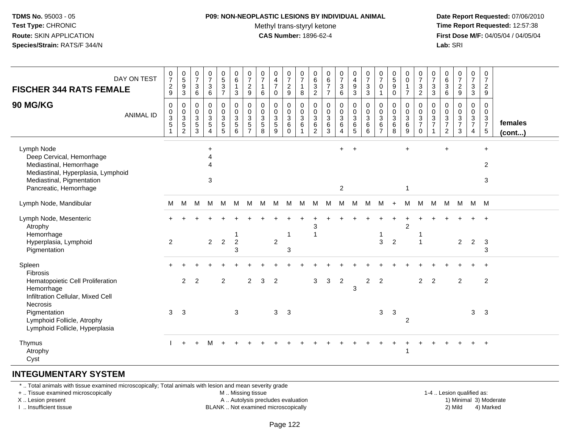### **P09: NON-NEOPLASTIC LESIONS BY INDIVIDUAL ANIMAL**Methyl trans-styryl ketone<br>CAS Number: 1896-62-4

 **Date Report Requested:** 07/06/2010 **Time Report Requested:** 12:57:38 **First Dose M/F:** 04/05/04 / 04/05/04<br>**Lab:** SRI **Lab:** SRI

| DAY ON TEST<br><b>FISCHER 344 RATS FEMALE</b><br>90 MG/KG<br><b>ANIMAL ID</b>                                                                                   | 0<br>$\overline{7}$<br>$\overline{c}$<br>9<br>0<br>0<br>$\ensuremath{\mathsf{3}}$<br>$\mathbf 5$<br>$\mathbf{1}$ | $\begin{smallmatrix}0\0\5\end{smallmatrix}$<br>$\boldsymbol{9}$<br>$\mathbf 3$<br>$\mathbf 0$<br>$\mathbf 0$<br>$\frac{3}{5}$<br>$\overline{c}$ | $\frac{0}{7}$<br>3<br>$\,6\,$<br>0<br>0<br>$\mathsf 3$<br>$\,$ 5 $\,$<br>3 | $\begin{array}{c} 0 \\ 7 \end{array}$<br>$\ensuremath{\mathsf{3}}$<br>$\,6\,$<br>$\mathbf 0$<br>$\ddot{\mathbf{0}}$<br>$\frac{3}{5}$<br>4 | $\begin{array}{c} 0 \\ 5 \\ 3 \end{array}$<br>$\overline{7}$<br>0<br>$\mathbf 0$<br>$\ensuremath{\mathsf{3}}$<br>$\overline{5}$ | $\begin{matrix} 0 \\ 6 \\ 1 \end{matrix}$<br>$\sqrt{3}$<br>$\pmb{0}$<br>$\ddot{\mathbf{0}}$<br>$\mathbf{3}$<br>$\overline{5}$<br>6 | $\frac{0}{7}$<br>$\overline{2}$<br>9<br>0<br>0<br>3<br>5<br>$\overline{7}$ | $\frac{0}{7}$<br>$\mathbf{1}$<br>$\,6\,$<br>0<br>$\pmb{0}$<br>$\sqrt{3}$<br>$\sqrt{5}$<br>8 | $_4^{\rm 0}$<br>$\overline{7}$<br>0<br>0<br>$\mathbf 0$<br>$\mathbf{3}$<br>5<br>9 | 0<br>$\overline{7}$<br>$\overline{c}$<br>9<br>0<br>$\mathsf{O}$<br>$\mathbf{3}$<br>6<br>$\mathbf 0$ | $\mathbf 0$<br>$\overline{7}$<br>$\mathbf{1}$<br>8<br>$\mathbf 0$<br>$\boldsymbol{0}$<br>$\sqrt{3}$<br>6<br>$\mathbf{1}$ | 0<br>$\,6\,$<br>$\mathbf{3}$<br>$\sqrt{2}$<br>0<br>0<br>$\sqrt{3}$<br>6<br>$\overline{2}$ | 0<br>$\,6\,$<br>$\overline{7}$<br>$\overline{7}$<br>$\mathbf 0$<br>$\mathbf 0$<br>$\sqrt{3}$<br>6<br>3 | $\frac{0}{7}$<br>3<br>6<br>0<br>$\mathbf 0$<br>$\mathbf{3}$<br>6<br>$\overline{4}$ | 0<br>$\overline{4}$<br>$\boldsymbol{9}$<br>$\sqrt{3}$<br>0<br>0<br>$\mathbf{3}$<br>6<br>5 | $\frac{0}{7}$<br>$\sqrt{3}$<br>$\sqrt{3}$<br>$\pmb{0}$<br>$\pmb{0}$<br>$\sqrt{3}$<br>$\,6$<br>6 | 0<br>$\overline{7}$<br>$\mathbf 0$<br>-1<br>0<br>$\mathbf 0$<br>$\sqrt{3}$<br>6<br>$\overline{7}$ | $\begin{array}{c} 0 \\ 5 \end{array}$<br>$\boldsymbol{9}$<br>$\mathbf 0$<br>0<br>$\mathbf 0$<br>$\mathbf 3$<br>6<br>8 | $\pmb{0}$<br>$\pmb{0}$<br>$\mathbf{1}$<br>$\overline{7}$<br>0<br>$\mathbf 0$<br>$\sqrt{3}$<br>$\,6\,$<br>9 | 0<br>$\overline{7}$<br>$\sqrt{3}$<br>$\overline{c}$<br>0<br>0<br>$\sqrt{3}$<br>$\overline{7}$<br>$\mathbf 0$ | 0<br>$\overline{7}$<br>$\sqrt{3}$<br>3<br>0<br>0<br>$\mathbf{3}$<br>$\overline{7}$ | 0<br>$\,6$<br>$\ensuremath{\mathsf{3}}$<br>$\,6$<br>0<br>0<br>$\mathbf{3}$<br>$\overline{7}$<br>2 | $\frac{0}{7}$<br>$\overline{a}$<br>$\boldsymbol{9}$<br>$\pmb{0}$<br>$\pmb{0}$<br>$\ensuremath{\mathsf{3}}$<br>$\overline{7}$<br>3 | $\mathbf 0$<br>$\overline{7}$<br>$\mathsf 3$<br>$\mathsf 3$<br>0<br>$\mathbf 0$<br>$\frac{3}{7}$<br>$\overline{4}$ | $\pmb{0}$<br>$\overline{7}$<br>$\overline{2}$<br>9<br>$\mathbf 0$<br>$\mathbf{0}$<br>$\mathbf{3}$<br>$\boldsymbol{7}$<br>$5\phantom{.0}$ | females<br>$($ cont $$ |
|-----------------------------------------------------------------------------------------------------------------------------------------------------------------|------------------------------------------------------------------------------------------------------------------|-------------------------------------------------------------------------------------------------------------------------------------------------|----------------------------------------------------------------------------|-------------------------------------------------------------------------------------------------------------------------------------------|---------------------------------------------------------------------------------------------------------------------------------|------------------------------------------------------------------------------------------------------------------------------------|----------------------------------------------------------------------------|---------------------------------------------------------------------------------------------|-----------------------------------------------------------------------------------|-----------------------------------------------------------------------------------------------------|--------------------------------------------------------------------------------------------------------------------------|-------------------------------------------------------------------------------------------|--------------------------------------------------------------------------------------------------------|------------------------------------------------------------------------------------|-------------------------------------------------------------------------------------------|-------------------------------------------------------------------------------------------------|---------------------------------------------------------------------------------------------------|-----------------------------------------------------------------------------------------------------------------------|------------------------------------------------------------------------------------------------------------|--------------------------------------------------------------------------------------------------------------|------------------------------------------------------------------------------------|---------------------------------------------------------------------------------------------------|-----------------------------------------------------------------------------------------------------------------------------------|--------------------------------------------------------------------------------------------------------------------|------------------------------------------------------------------------------------------------------------------------------------------|------------------------|
| Lymph Node<br>Deep Cervical, Hemorrhage<br>Mediastinal, Hemorrhage<br>Mediastinal, Hyperplasia, Lymphoid<br>Mediastinal, Pigmentation<br>Pancreatic, Hemorrhage |                                                                                                                  |                                                                                                                                                 |                                                                            | $\ddot{}$<br>Δ<br>Δ<br>3                                                                                                                  |                                                                                                                                 |                                                                                                                                    |                                                                            |                                                                                             |                                                                                   |                                                                                                     |                                                                                                                          |                                                                                           |                                                                                                        | $+$<br>$\overline{c}$                                                              | $\ddot{}$                                                                                 |                                                                                                 |                                                                                                   |                                                                                                                       | $\ddot{}$<br>1                                                                                             |                                                                                                              |                                                                                    | $\ddot{}$                                                                                         |                                                                                                                                   |                                                                                                                    | $\ddot{}$<br>2<br>3                                                                                                                      |                        |
| Lymph Node, Mandibular                                                                                                                                          | М                                                                                                                | м                                                                                                                                               | М                                                                          | м                                                                                                                                         | M                                                                                                                               | M                                                                                                                                  | М                                                                          | М                                                                                           | M                                                                                 | M                                                                                                   | м                                                                                                                        | м                                                                                         | M                                                                                                      | М                                                                                  | м                                                                                         | м                                                                                               | м                                                                                                 | $\ddot{}$                                                                                                             | М                                                                                                          | M                                                                                                            | M                                                                                  | M                                                                                                 | M                                                                                                                                 | M M                                                                                                                |                                                                                                                                          |                        |
| Lymph Node, Mesenteric<br>Atrophy<br>Hemorrhage<br>Hyperplasia, Lymphoid<br>Pigmentation                                                                        | $\overline{2}$                                                                                                   |                                                                                                                                                 |                                                                            | $\overline{2}$                                                                                                                            | $\overline{2}$                                                                                                                  | 1<br>$\boldsymbol{2}$<br>3                                                                                                         |                                                                            |                                                                                             | $\overline{c}$                                                                    | 3                                                                                                   |                                                                                                                          | 3                                                                                         |                                                                                                        |                                                                                    |                                                                                           |                                                                                                 | $\mathbf{3}$                                                                                      | $\overline{2}$                                                                                                        | $\overline{2}$                                                                                             |                                                                                                              |                                                                                    |                                                                                                   | $\overline{2}$                                                                                                                    | $\overline{2}$                                                                                                     | $\mathbf{3}$<br>3                                                                                                                        |                        |
| Spleen<br>Fibrosis<br>Hematopoietic Cell Proliferation<br>Hemorrhage<br>Infiltration Cellular, Mixed Cell<br>Necrosis<br>Pigmentation                           | 3                                                                                                                | 2<br>$\mathbf{3}$                                                                                                                               | 2                                                                          |                                                                                                                                           | 2                                                                                                                               | 3                                                                                                                                  | 2                                                                          | 3                                                                                           | $\overline{2}$<br>3                                                               | $\mathbf{3}$                                                                                        |                                                                                                                          | 3                                                                                         | $\mathbf{3}$                                                                                           | $\overline{2}$                                                                     | 3                                                                                         | 2                                                                                               | 2<br>$\mathbf{3}$                                                                                 | 3                                                                                                                     |                                                                                                            | $\overline{2}$                                                                                               | 2                                                                                  |                                                                                                   | 2                                                                                                                                 | 3                                                                                                                  | 2<br>3                                                                                                                                   |                        |
| Lymphoid Follicle, Atrophy<br>Lymphoid Follicle, Hyperplasia                                                                                                    |                                                                                                                  |                                                                                                                                                 |                                                                            |                                                                                                                                           |                                                                                                                                 |                                                                                                                                    |                                                                            |                                                                                             |                                                                                   |                                                                                                     |                                                                                                                          |                                                                                           |                                                                                                        |                                                                                    |                                                                                           |                                                                                                 |                                                                                                   |                                                                                                                       | 2                                                                                                          |                                                                                                              |                                                                                    |                                                                                                   |                                                                                                                                   |                                                                                                                    |                                                                                                                                          |                        |
| Thymus<br>Atrophy<br>Cyst                                                                                                                                       |                                                                                                                  |                                                                                                                                                 |                                                                            | M                                                                                                                                         |                                                                                                                                 |                                                                                                                                    |                                                                            |                                                                                             |                                                                                   |                                                                                                     |                                                                                                                          |                                                                                           |                                                                                                        |                                                                                    |                                                                                           |                                                                                                 |                                                                                                   |                                                                                                                       | 1                                                                                                          |                                                                                                              |                                                                                    |                                                                                                   |                                                                                                                                   |                                                                                                                    | $+$                                                                                                                                      |                        |

#### **INTEGUMENTARY SYSTEM**

\* .. Total animals with tissue examined microscopically; Total animals with lesion and mean severity grade

+ .. Tissue examined microscopically

X .. Lesion present

I .. Insufficient tissue

M .. Missing tissue

A .. Autolysis precludes evaluation

BLANK .. Not examined microscopically 2) Mild 4) Marked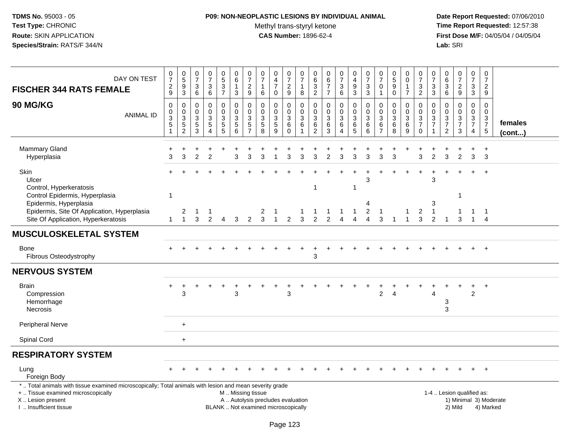## **P09: NON-NEOPLASTIC LESIONS BY INDIVIDUAL ANIMAL**Methyl trans-styryl ketone<br>CAS Number: 1896-62-4

| DAY ON TEST<br><b>FISCHER 344 RATS FEMALE</b>                                                                                                                                                | $\frac{0}{7}$<br>$\frac{2}{9}$            | 0<br>5<br>9<br>3                                     | $\frac{0}{7}$<br>$\sqrt{3}$<br>$\,6$                            | $\begin{array}{c} 0 \\ 7 \end{array}$<br>$\sqrt{3}$<br>6                         | $\begin{matrix}0\\5\\3\end{matrix}$<br>$\overline{7}$ | 0<br>6<br>$\mathbf{1}$<br>3                                     | 0<br>$\overline{7}$<br>$\overline{c}$<br>$\mathsf g$ | 0<br>$\overline{7}$<br>$\mathbf{1}$<br>6      | $\pmb{0}$<br>$\overline{4}$<br>$\overline{7}$<br>0                       | 0<br>$\overline{7}$<br>$\frac{2}{9}$                          | $\pmb{0}$<br>$\overline{7}$<br>$\overline{1}$<br>8                          | 0<br>$6\phantom{1}6$<br>3<br>$\sqrt{2}$                | 0<br>$\,6\,$<br>$\overline{7}$<br>$\overline{7}$ | $\frac{0}{7}$<br>3<br>6                                   | 0<br>$\overline{4}$<br>$\boldsymbol{9}$<br>$\mathbf{3}$           | $\frac{0}{7}$<br>$\ensuremath{\mathsf{3}}$<br>$\mathfrak{S}$ | 0<br>$\overline{7}$<br>$\Omega$                      | $\begin{array}{c} 0 \\ 5 \end{array}$<br>$9\,$<br>$\mathbf 0$ | 0<br>$\mathsf 0$<br>$\overline{1}$<br>$\overline{7}$               | $\frac{0}{7}$<br>$\sqrt{3}$<br>$\overline{2}$              | 0<br>$\overline{7}$<br>3<br>3                         | 0<br>$\frac{6}{3}$<br>6                                                           | $\frac{0}{7}$<br>$\frac{2}{9}$               | $\begin{array}{c} 0 \\ 7 \end{array}$<br>$\ensuremath{\mathsf{3}}$<br>$\mathbf{3}$ | $\pmb{0}$<br>$\overline{7}$<br>$\overline{c}$<br>9             |                         |
|----------------------------------------------------------------------------------------------------------------------------------------------------------------------------------------------|-------------------------------------------|------------------------------------------------------|-----------------------------------------------------------------|----------------------------------------------------------------------------------|-------------------------------------------------------|-----------------------------------------------------------------|------------------------------------------------------|-----------------------------------------------|--------------------------------------------------------------------------|---------------------------------------------------------------|-----------------------------------------------------------------------------|--------------------------------------------------------|--------------------------------------------------|-----------------------------------------------------------|-------------------------------------------------------------------|--------------------------------------------------------------|------------------------------------------------------|---------------------------------------------------------------|--------------------------------------------------------------------|------------------------------------------------------------|-------------------------------------------------------|-----------------------------------------------------------------------------------|----------------------------------------------|------------------------------------------------------------------------------------|----------------------------------------------------------------|-------------------------|
| <b>90 MG/KG</b><br><b>ANIMAL ID</b>                                                                                                                                                          | 0<br>0<br>$\frac{3}{5}$<br>$\overline{1}$ | 0<br>$\begin{array}{c} 0 \\ 3 \\ 5 \\ 2 \end{array}$ | $\mathbf 0$<br>0<br>$\sqrt{3}$<br>$\,$ 5 $\,$<br>$\overline{3}$ | $\mathbf 0$<br>$\mathbf 0$<br>$\sqrt{3}$<br>$\sqrt{5}$<br>$\boldsymbol{\Lambda}$ | 0<br>$\pmb{0}$<br>3<br>$\frac{5}{5}$                  | 0<br>$\pmb{0}$<br>$\ensuremath{\mathsf{3}}$<br>$\overline{5}$ 6 | 0<br>$\mathbf 0$<br>3<br>5<br>$\overline{7}$         | 0<br>0<br>$\mathbf{3}$<br>$\overline{5}$<br>8 | $\mathbf 0$<br>$\mathbf 0$<br>$\sqrt{3}$<br>$\sqrt{5}$<br>9              | $\mathbf 0$<br>$\mathbf 0$<br>$\mathsf 3$<br>6<br>$\mathbf 0$ | $\mathbf 0$<br>$\mathsf{O}\xspace$<br>$\sqrt{3}$<br>$\,6$<br>$\overline{1}$ | $\mathbf 0$<br>$\mathbf 0$<br>3<br>6<br>$\overline{2}$ | 0<br>$\mathbf 0$<br>$\sqrt{3}$<br>6<br>3         | 0<br>$\pmb{0}$<br>$\mathbf{3}$<br>$\,6$<br>$\overline{4}$ | $\Omega$<br>$\mathbf 0$<br>$\sqrt{3}$<br>$\,6$<br>$5\phantom{.0}$ | 0<br>$\mathsf 0$<br>$\ensuremath{\mathsf{3}}$<br>$\,6$<br>6  | $\Omega$<br>0<br>$\mathbf{3}$<br>6<br>$\overline{7}$ | 0<br>$\pmb{0}$<br>$\sqrt{3}$<br>$\,6$<br>8                    | 0<br>0<br>$\ensuremath{\mathsf{3}}$<br>$\,6\,$<br>$\boldsymbol{9}$ | $\mathbf 0$<br>$\mathbf 0$<br>$\frac{3}{7}$<br>$\mathbf 0$ | 0<br>0<br>$\ensuremath{\mathsf{3}}$<br>$\overline{7}$ | 0<br>$\mathbf 0$<br>$\ensuremath{\mathsf{3}}$<br>$\overline{7}$<br>$\overline{2}$ | 0<br>$\mathbf 0$<br>3<br>$\overline{7}$<br>3 | 0<br>$\mathbf 0$<br>$\frac{3}{7}$<br>$\overline{4}$                                | $\mathbf 0$<br>$\mathbf 0$<br>$\frac{3}{7}$<br>$5\phantom{.0}$ | females<br>$($ cont $)$ |
| <b>Mammary Gland</b><br>Hyperplasia                                                                                                                                                          | +<br>3                                    | 3                                                    | $\overline{2}$                                                  | 2                                                                                |                                                       | 3                                                               | 3                                                    |                                               |                                                                          | 3                                                             | 3                                                                           | 3                                                      | 2                                                | 3                                                         | 3                                                                 | 3                                                            | 3                                                    | 3                                                             |                                                                    | 3                                                          | $\mathfrak{p}$                                        | 3                                                                                 | $\overline{2}$                               | 3                                                                                  | $\overline{1}$<br>3                                            |                         |
| Skin<br>Ulcer<br>Control, Hyperkeratosis<br>Control Epidermis, Hyperplasia<br>Epidermis, Hyperplasia<br>Epidermis, Site Of Application, Hyperplasia<br>Site Of Application, Hyperkeratosis   | 1<br>$\mathbf 1$                          | $\overline{c}$<br>$\overline{1}$                     | 3                                                               | -1<br>$\mathcal{P}$                                                              | 4                                                     | 3                                                               | $\overline{2}$                                       | 2<br>3                                        |                                                                          | 2                                                             | 3                                                                           | 1<br>$\mathcal{P}$                                     | -1<br>$\mathfrak{p}$                             | 1<br>$\Delta$                                             | -1<br>$\boldsymbol{\Lambda}$                                      | 3<br>4<br>$\overline{c}$<br>$\overline{4}$                   | -1<br>3                                              |                                                               |                                                                    | 2<br>3                                                     | 3<br>3<br>-1<br>$\mathcal{P}$                         |                                                                                   | -1<br>3                                      | $\ddot{}$<br>1<br>$\mathbf{1}$                                                     | $+$<br>$\overline{1}$<br>$\overline{4}$                        |                         |
| <b>MUSCULOSKELETAL SYSTEM</b>                                                                                                                                                                |                                           |                                                      |                                                                 |                                                                                  |                                                       |                                                                 |                                                      |                                               |                                                                          |                                                               |                                                                             |                                                        |                                                  |                                                           |                                                                   |                                                              |                                                      |                                                               |                                                                    |                                                            |                                                       |                                                                                   |                                              |                                                                                    |                                                                |                         |
| Bone<br>Fibrous Osteodystrophy                                                                                                                                                               |                                           |                                                      |                                                                 |                                                                                  |                                                       |                                                                 |                                                      |                                               |                                                                          |                                                               |                                                                             | 3                                                      |                                                  |                                                           |                                                                   |                                                              |                                                      |                                                               |                                                                    |                                                            |                                                       |                                                                                   |                                              |                                                                                    | $+$                                                            |                         |
| <b>NERVOUS SYSTEM</b>                                                                                                                                                                        |                                           |                                                      |                                                                 |                                                                                  |                                                       |                                                                 |                                                      |                                               |                                                                          |                                                               |                                                                             |                                                        |                                                  |                                                           |                                                                   |                                                              |                                                      |                                                               |                                                                    |                                                            |                                                       |                                                                                   |                                              |                                                                                    |                                                                |                         |
| <b>Brain</b><br>Compression<br>Hemorrhage<br>Necrosis                                                                                                                                        | $+$                                       | 3                                                    |                                                                 |                                                                                  |                                                       | 3                                                               |                                                      |                                               |                                                                          | 3                                                             |                                                                             |                                                        |                                                  |                                                           |                                                                   |                                                              | 2                                                    |                                                               |                                                                    |                                                            | 4                                                     | 3<br>3                                                                            |                                              | $+$<br>$\overline{2}$                                                              | $^{+}$                                                         |                         |
| <b>Peripheral Nerve</b>                                                                                                                                                                      |                                           | $\ddot{}$                                            |                                                                 |                                                                                  |                                                       |                                                                 |                                                      |                                               |                                                                          |                                                               |                                                                             |                                                        |                                                  |                                                           |                                                                   |                                                              |                                                      |                                                               |                                                                    |                                                            |                                                       |                                                                                   |                                              |                                                                                    |                                                                |                         |
| Spinal Cord                                                                                                                                                                                  |                                           | $\ddot{}$                                            |                                                                 |                                                                                  |                                                       |                                                                 |                                                      |                                               |                                                                          |                                                               |                                                                             |                                                        |                                                  |                                                           |                                                                   |                                                              |                                                      |                                                               |                                                                    |                                                            |                                                       |                                                                                   |                                              |                                                                                    |                                                                |                         |
| <b>RESPIRATORY SYSTEM</b>                                                                                                                                                                    |                                           |                                                      |                                                                 |                                                                                  |                                                       |                                                                 |                                                      |                                               |                                                                          |                                                               |                                                                             |                                                        |                                                  |                                                           |                                                                   |                                                              |                                                      |                                                               |                                                                    |                                                            |                                                       |                                                                                   |                                              |                                                                                    |                                                                |                         |
| Lung<br>Foreign Body                                                                                                                                                                         |                                           |                                                      |                                                                 |                                                                                  |                                                       |                                                                 |                                                      |                                               |                                                                          |                                                               |                                                                             |                                                        |                                                  |                                                           |                                                                   |                                                              |                                                      |                                                               |                                                                    |                                                            |                                                       |                                                                                   |                                              |                                                                                    | $^{+}$                                                         |                         |
| *  Total animals with tissue examined microscopically; Total animals with lesion and mean severity grade<br>+  Tissue examined microscopically<br>X Lesion present<br>I. Insufficient tissue |                                           |                                                      |                                                                 |                                                                                  |                                                       |                                                                 | M  Missing tissue                                    |                                               | A  Autolysis precludes evaluation<br>BLANK  Not examined microscopically |                                                               |                                                                             |                                                        |                                                  |                                                           |                                                                   |                                                              |                                                      |                                                               |                                                                    |                                                            |                                                       |                                                                                   | 1-4  Lesion qualified as:<br>2) Mild         |                                                                                    | 4) Marked                                                      | 1) Minimal 3) Moderate  |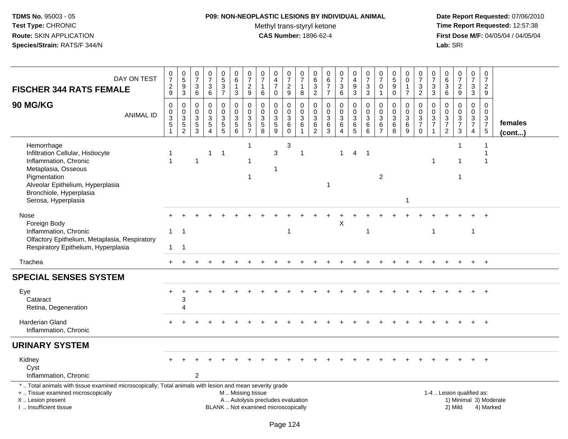## **P09: NON-NEOPLASTIC LESIONS BY INDIVIDUAL ANIMAL**Methyl trans-styryl ketone<br>CAS Number: 1896-62-4

| DAY ON TEST<br><b>FISCHER 344 RATS FEMALE</b><br><b>90 MG/KG</b><br><b>ANIMAL ID</b>                                                                                                                  | $\frac{0}{7}$<br>$\frac{2}{9}$<br>0<br>0<br>$\ensuremath{\mathsf{3}}$<br>5<br>$\overline{1}$ | $\begin{array}{c} 0 \\ 5 \end{array}$<br>$\boldsymbol{9}$<br>$\overline{3}$<br>$\pmb{0}$<br>$\begin{array}{c} 0 \\ 3 \\ 5 \\ 2 \end{array}$ | $\mathbf 0$<br>$\overline{7}$<br>$\mathbf{3}$<br>6<br>$\mathbf 0$<br>$\mathbf 0$<br>$\mathsf 3$<br>$\,$ 5 $\,$<br>3 | $\begin{array}{c} 0 \\ 7 \end{array}$<br>$\mathbf{3}$<br>$\,6\,$<br>$\mathbf 0$<br>$\mathbf 0$<br>$\ensuremath{\mathsf{3}}$<br>$\overline{5}$<br>$\overline{A}$ | 0<br>$\overline{5}$<br>$\mathbf{3}$<br>$\overline{7}$<br>$\mathbf 0$<br>$\mathbf 0$<br>$\mathbf{3}$<br>$\overline{5}$ | 0<br>$\,6\,$<br>1<br>3<br>$\mathbf 0$<br>$\mathbf 0$<br>$\sqrt{3}$<br>$\mathbf 5$<br>6 | $\frac{0}{7}$<br>$\overline{c}$<br>$\overline{9}$<br>0<br>$\pmb{0}$<br>$\mathbf{3}$<br>$\frac{5}{7}$ | 0<br>$\overline{7}$<br>1<br>6<br>$\mathbf 0$<br>$\mathbf 0$<br>$\sqrt{3}$<br>$\overline{5}$<br>8 | $\pmb{0}$<br>$\overline{\mathbf{4}}$<br>$\overline{7}$<br>$\mathbf 0$<br>$\mathbf 0$<br>$\mathsf{O}\xspace$<br>$\ensuremath{\mathsf{3}}$<br>$\overline{5}$<br>9 | $\mathbf 0$<br>$\overline{7}$<br>$\frac{2}{9}$<br>$\mathbf 0$<br>$\mathbf 0$<br>$\mathbf{3}$<br>6<br>$\mathbf 0$ | $\pmb{0}$<br>$\overline{7}$<br>$\overline{1}$<br>8<br>$\mathbf 0$<br>$\pmb{0}$<br>$\overline{3}$<br>$6\phantom{a}$<br>$\mathbf{1}$ | 0<br>$\,6\,$<br>$\mathbf{3}$<br>$\sqrt{2}$<br>$\mathbf 0$<br>$\mathbf 0$<br>3<br>6<br>2 | $\mathbf 0$<br>$6\phantom{a}$<br>$\overline{7}$<br>$\overline{7}$<br>$\mathbf 0$<br>$\mathbf 0$<br>$\ensuremath{\mathsf{3}}$<br>$\,6$<br>3 | $\frac{0}{7}$<br>$\mathbf{3}$<br>6<br>0<br>$\mathsf{O}\xspace$<br>$\mathbf{3}$<br>$\,6$<br>$\overline{4}$ | $\begin{smallmatrix}0\\4\end{smallmatrix}$<br>$\boldsymbol{9}$<br>3<br>$\mathbf 0$<br>$\mathbf 0$<br>$\sqrt{3}$<br>$rac{6}{5}$ | $\frac{0}{7}$<br>$\mathbf{3}$<br>3<br>$\pmb{0}$<br>$\mathsf{O}\xspace$<br>$\ensuremath{\mathsf{3}}$<br>$\,6$<br>6 | 0<br>$\overline{7}$<br>$\mathbf 0$<br>$\mathbf{1}$<br>0<br>$\mathbf 0$<br>3<br>6<br>$\overline{7}$ | $\begin{array}{c} 0 \\ 5 \end{array}$<br>$\boldsymbol{9}$<br>$\mathbf 0$<br>$\mathbf 0$<br>$\pmb{0}$<br>$\sqrt{3}$<br>$\,6\,$<br>8 | $\mathbf 0$<br>$\mathbf 0$<br>$\mathbf{1}$<br>$\overline{7}$<br>0<br>0<br>$\mathbf{3}$<br>$\,6\,$<br>9 | $\frac{0}{7}$<br>$\sqrt{3}$<br>$\overline{2}$<br>$\mathbf 0$<br>$\mathbf 0$<br>$\frac{3}{7}$<br>$\mathbf 0$ | 0<br>$\overline{7}$<br>3<br>3<br>$\mathbf 0$<br>0<br>3<br>$\overline{7}$<br>1 | $_{6}^{\rm 0}$<br>$\mathfrak{S}$<br>6<br>$\mathbf 0$<br>$\mathsf{O}\xspace$<br>$\frac{3}{7}$<br>$\overline{2}$ | $\frac{0}{7}$<br>$\frac{2}{9}$<br>0<br>$\mathbf 0$<br>$\frac{3}{7}$<br>3 | 0<br>$\overline{7}$<br>3<br>$\mathbf{3}$<br>$\mathbf 0$<br>$\mathbf 0$<br>$\frac{3}{7}$<br>$\overline{4}$ | $\mathbf 0$<br>$\overline{7}$<br>$\overline{c}$<br>9<br>$\mathbf 0$<br>$\mathsf 0$<br>$\frac{3}{7}$<br>$\sqrt{5}$ | females<br>(cont)      |
|-------------------------------------------------------------------------------------------------------------------------------------------------------------------------------------------------------|----------------------------------------------------------------------------------------------|---------------------------------------------------------------------------------------------------------------------------------------------|---------------------------------------------------------------------------------------------------------------------|-----------------------------------------------------------------------------------------------------------------------------------------------------------------|-----------------------------------------------------------------------------------------------------------------------|----------------------------------------------------------------------------------------|------------------------------------------------------------------------------------------------------|--------------------------------------------------------------------------------------------------|-----------------------------------------------------------------------------------------------------------------------------------------------------------------|------------------------------------------------------------------------------------------------------------------|------------------------------------------------------------------------------------------------------------------------------------|-----------------------------------------------------------------------------------------|--------------------------------------------------------------------------------------------------------------------------------------------|-----------------------------------------------------------------------------------------------------------|--------------------------------------------------------------------------------------------------------------------------------|-------------------------------------------------------------------------------------------------------------------|----------------------------------------------------------------------------------------------------|------------------------------------------------------------------------------------------------------------------------------------|--------------------------------------------------------------------------------------------------------|-------------------------------------------------------------------------------------------------------------|-------------------------------------------------------------------------------|----------------------------------------------------------------------------------------------------------------|--------------------------------------------------------------------------|-----------------------------------------------------------------------------------------------------------|-------------------------------------------------------------------------------------------------------------------|------------------------|
| Hemorrhage<br>Infiltration Cellular, Histiocyte<br>Inflammation, Chronic<br>Metaplasia, Osseous<br>Pigmentation<br>Alveolar Epithelium, Hyperplasia<br>Bronchiole, Hyperplasia<br>Serosa, Hyperplasia |                                                                                              |                                                                                                                                             | 1                                                                                                                   | $\overline{1}$                                                                                                                                                  | $\overline{1}$                                                                                                        |                                                                                        | $\mathbf{1}$<br>$\mathbf 1$<br>$\mathbf{1}$                                                          |                                                                                                  | $\mathfrak{Z}$                                                                                                                                                  | 3                                                                                                                | $\overline{1}$                                                                                                                     |                                                                                         | -1                                                                                                                                         | $\mathbf{1}$                                                                                              | $\overline{4}$                                                                                                                 | $\overline{1}$                                                                                                    | $\overline{2}$                                                                                     |                                                                                                                                    | 1                                                                                                      |                                                                                                             | -1                                                                            |                                                                                                                | $\mathbf 1$<br>1<br>$\mathbf 1$                                          |                                                                                                           | -1<br>-1                                                                                                          |                        |
| Nose<br>Foreign Body<br>Inflammation, Chronic<br>Olfactory Epithelium, Metaplasia, Respiratory<br>Respiratory Epithelium, Hyperplasia                                                                 | $\mathbf{1}$<br>1                                                                            | $\overline{1}$<br>$\overline{1}$                                                                                                            |                                                                                                                     |                                                                                                                                                                 |                                                                                                                       |                                                                                        |                                                                                                      |                                                                                                  |                                                                                                                                                                 |                                                                                                                  |                                                                                                                                    |                                                                                         |                                                                                                                                            | X                                                                                                         |                                                                                                                                | $\mathbf{1}$                                                                                                      |                                                                                                    |                                                                                                                                    |                                                                                                        |                                                                                                             | $\mathbf 1$                                                                   |                                                                                                                |                                                                          | $\overline{1}$                                                                                            |                                                                                                                   |                        |
| Trachea                                                                                                                                                                                               |                                                                                              |                                                                                                                                             |                                                                                                                     |                                                                                                                                                                 |                                                                                                                       |                                                                                        |                                                                                                      |                                                                                                  |                                                                                                                                                                 |                                                                                                                  |                                                                                                                                    |                                                                                         |                                                                                                                                            |                                                                                                           |                                                                                                                                |                                                                                                                   |                                                                                                    |                                                                                                                                    |                                                                                                        |                                                                                                             |                                                                               |                                                                                                                |                                                                          |                                                                                                           | $+$                                                                                                               |                        |
| <b>SPECIAL SENSES SYSTEM</b>                                                                                                                                                                          |                                                                                              |                                                                                                                                             |                                                                                                                     |                                                                                                                                                                 |                                                                                                                       |                                                                                        |                                                                                                      |                                                                                                  |                                                                                                                                                                 |                                                                                                                  |                                                                                                                                    |                                                                                         |                                                                                                                                            |                                                                                                           |                                                                                                                                |                                                                                                                   |                                                                                                    |                                                                                                                                    |                                                                                                        |                                                                                                             |                                                                               |                                                                                                                |                                                                          |                                                                                                           |                                                                                                                   |                        |
| Eye<br>Cataract<br>Retina, Degeneration                                                                                                                                                               | $\div$                                                                                       | 3<br>$\Delta$                                                                                                                               |                                                                                                                     |                                                                                                                                                                 |                                                                                                                       |                                                                                        |                                                                                                      |                                                                                                  |                                                                                                                                                                 |                                                                                                                  |                                                                                                                                    |                                                                                         |                                                                                                                                            |                                                                                                           |                                                                                                                                |                                                                                                                   |                                                                                                    |                                                                                                                                    |                                                                                                        |                                                                                                             |                                                                               |                                                                                                                |                                                                          |                                                                                                           | $\overline{+}$                                                                                                    |                        |
| <b>Harderian Gland</b><br>Inflammation, Chronic                                                                                                                                                       |                                                                                              |                                                                                                                                             |                                                                                                                     |                                                                                                                                                                 |                                                                                                                       |                                                                                        |                                                                                                      |                                                                                                  |                                                                                                                                                                 |                                                                                                                  |                                                                                                                                    |                                                                                         |                                                                                                                                            |                                                                                                           |                                                                                                                                |                                                                                                                   |                                                                                                    |                                                                                                                                    |                                                                                                        |                                                                                                             |                                                                               |                                                                                                                |                                                                          |                                                                                                           | $\overline{+}$                                                                                                    |                        |
| <b>URINARY SYSTEM</b>                                                                                                                                                                                 |                                                                                              |                                                                                                                                             |                                                                                                                     |                                                                                                                                                                 |                                                                                                                       |                                                                                        |                                                                                                      |                                                                                                  |                                                                                                                                                                 |                                                                                                                  |                                                                                                                                    |                                                                                         |                                                                                                                                            |                                                                                                           |                                                                                                                                |                                                                                                                   |                                                                                                    |                                                                                                                                    |                                                                                                        |                                                                                                             |                                                                               |                                                                                                                |                                                                          |                                                                                                           |                                                                                                                   |                        |
| Kidney<br>Cyst<br>Inflammation, Chronic                                                                                                                                                               |                                                                                              |                                                                                                                                             | 2                                                                                                                   |                                                                                                                                                                 |                                                                                                                       |                                                                                        |                                                                                                      |                                                                                                  |                                                                                                                                                                 |                                                                                                                  |                                                                                                                                    |                                                                                         |                                                                                                                                            |                                                                                                           |                                                                                                                                |                                                                                                                   |                                                                                                    |                                                                                                                                    |                                                                                                        |                                                                                                             |                                                                               |                                                                                                                |                                                                          |                                                                                                           |                                                                                                                   |                        |
| *  Total animals with tissue examined microscopically; Total animals with lesion and mean severity grade<br>+  Tissue examined microscopically<br>X  Lesion present<br>I. Insufficient tissue         |                                                                                              |                                                                                                                                             |                                                                                                                     |                                                                                                                                                                 |                                                                                                                       | M  Missing tissue                                                                      |                                                                                                      |                                                                                                  | A  Autolysis precludes evaluation<br>BLANK  Not examined microscopically                                                                                        |                                                                                                                  |                                                                                                                                    |                                                                                         |                                                                                                                                            |                                                                                                           |                                                                                                                                |                                                                                                                   |                                                                                                    |                                                                                                                                    |                                                                                                        |                                                                                                             |                                                                               |                                                                                                                | 1-4  Lesion qualified as:<br>2) Mild                                     |                                                                                                           | 4) Marked                                                                                                         | 1) Minimal 3) Moderate |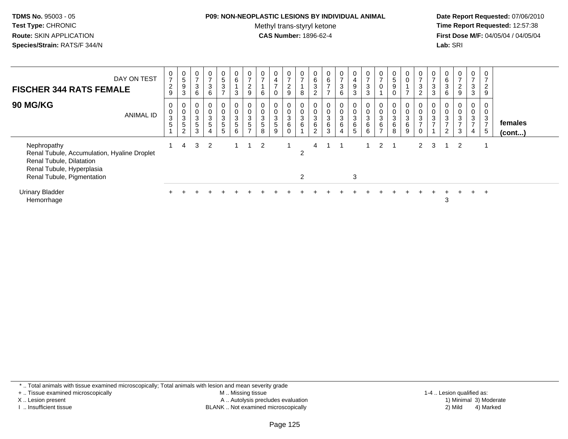### **P09: NON-NEOPLASTIC LESIONS BY INDIVIDUAL ANIMAL**

Methyl trans-styryl ketone<br>CAS Number: 1896-62-4

 **Date Report Requested:** 07/06/2010 **Time Report Requested:** 12:57:38 **First Dose M/F:** 04/05/04 / 04/05/04<br>**Lab:** SRI **Lab:** SRI

| DAY ON TEST<br><b>FISCHER 344 RATS FEMALE</b>                                                                                                     | 0<br>$\overline{z}$<br>$\overline{c}$<br>9 | $\begin{array}{c} 0 \\ 5 \end{array}$<br>$\boldsymbol{9}$<br>3              | 0<br>$\rightarrow$<br>$\sqrt{3}$<br>6           | 0<br>$\overline{ }$<br>$\ensuremath{\mathsf{3}}$<br>6             | $\begin{array}{c} 0 \\ 5 \end{array}$<br>3<br>$\overline{ }$ | 0<br>$6\phantom{1}$<br>3                            | 0<br>$\overline{ }$<br>$\overline{a}$<br>9 | $\frac{0}{7}$<br>6        | $\mathbf 0$<br>$\overline{\mathbf{4}}$<br>$\rightarrow$<br>0 | $\frac{0}{7}$<br>$\overline{c}$<br>9                                    | $\frac{0}{7}$<br>8                          | 0<br>6<br>3<br>2                                           | $\begin{matrix} 0 \\ 6 \end{matrix}$<br>$\overline{ }$<br>$\overline{ }$ | $\frac{0}{7}$<br>$\mathbf{3}$<br>6   | 0<br>4<br>9<br>3                           | $\frac{0}{7}$<br>$\sqrt{3}$<br>$\mathbf{3}$ | $\frac{0}{7}$<br>$\pmb{0}$                     | 0<br>5<br>$\boldsymbol{9}$<br>$\mathbf 0$ | 0<br>⇁           | $\frac{0}{7}$<br>$\ensuremath{\mathsf{3}}$<br>$\overline{c}$ | $\frac{0}{7}$<br>$\ensuremath{\mathsf{3}}$<br>3 | $\boldsymbol{0}$<br>6<br>$\sqrt{3}$<br>6   | 0<br>$\overline{ }$<br>$\frac{2}{9}$      | $\frac{0}{7}$<br>3<br>3                               | 0<br>7<br>$\overline{2}$<br>9 |                         |
|---------------------------------------------------------------------------------------------------------------------------------------------------|--------------------------------------------|-----------------------------------------------------------------------------|-------------------------------------------------|-------------------------------------------------------------------|--------------------------------------------------------------|-----------------------------------------------------|--------------------------------------------|---------------------------|--------------------------------------------------------------|-------------------------------------------------------------------------|---------------------------------------------|------------------------------------------------------------|--------------------------------------------------------------------------|--------------------------------------|--------------------------------------------|---------------------------------------------|------------------------------------------------|-------------------------------------------|------------------|--------------------------------------------------------------|-------------------------------------------------|--------------------------------------------|-------------------------------------------|-------------------------------------------------------|-------------------------------|-------------------------|
| <b>90 MG/KG</b><br><b>ANIMAL ID</b>                                                                                                               | 0<br>$\pmb{0}$<br>3<br>5                   | 0<br>$\pmb{0}$<br>$\ensuremath{\mathsf{3}}$<br>$\sqrt{5}$<br>$\overline{2}$ | 0<br>$\pmb{0}$<br>$\sqrt{3}$<br>$\sqrt{5}$<br>3 | $\boldsymbol{0}$<br>$\frac{0}{3}$<br>$\sqrt{5}$<br>$\overline{4}$ | 0<br>$_{3}^{\rm 0}$<br>$\overline{5}$<br>5                   | $\mathbf 0$<br>$\mathbf{3}$<br>$5\phantom{.0}$<br>6 | 0<br>0<br>$\frac{3}{5}$<br>$\rightarrow$   | $_3^0$<br>$\sqrt{5}$<br>8 | 0<br>$_{3}^{\rm 0}$<br>$\sqrt{5}$<br>9                       | $\begin{smallmatrix}0\\0\\3\end{smallmatrix}$<br>$\,6\,$<br>$\mathbf 0$ | 0<br>$\pmb{0}$<br>$\overline{3}$<br>$\,6\,$ | 0<br>$\pmb{0}$<br>$\ensuremath{\mathsf{3}}$<br>6<br>$\sim$ | $_{3}^{\rm 0}$<br>$\,6\,$<br>3                                           | 0<br>$\frac{0}{3}$<br>$\overline{4}$ | 0<br>$\frac{0}{3}$<br>6<br>$5\overline{)}$ | 0<br>$_{3}^{\rm 0}$<br>$\,6\,$<br>6         | 0<br>$_{3}^{\rm 0}$<br>$\,6$<br>$\overline{ }$ | 0<br>$\pmb{0}$<br>3<br>$\,6$<br>8         | 0<br>3<br>6<br>9 | $\pmb{0}$<br>$\ensuremath{\mathsf{3}}$<br>$\overline{ }$     | 0<br>$\pmb{0}$<br>$\ensuremath{\mathsf{3}}$     | 0<br>$_{3}^{\rm 0}$<br>$\overline{ }$<br>2 | 0<br>$\frac{0}{3}$<br>$\overline{z}$<br>3 | 0<br>$\pmb{0}$<br>$\mathbf{3}$<br>$\overline{ }$<br>4 | 0<br>3<br>$\overline{ }$<br>5 | females<br>$($ cont $)$ |
| Nephropathy<br>Renal Tubule, Accumulation, Hyaline Droplet<br>Renal Tubule, Dilatation<br>Renal Tubule, Hyperplasia<br>Renal Tubule, Pigmentation |                                            | 4                                                                           | 3                                               | $\overline{2}$                                                    |                                                              |                                                     |                                            | $\overline{2}$            |                                                              |                                                                         | 2<br>$\overline{2}$                         | 4                                                          |                                                                          |                                      | 3                                          |                                             | $\overline{2}$                                 |                                           |                  | 2                                                            | 3                                               | -1                                         | $\overline{2}$                            |                                                       |                               |                         |
| <b>Urinary Bladder</b><br>Hemorrhage                                                                                                              |                                            |                                                                             |                                                 |                                                                   |                                                              |                                                     |                                            |                           |                                                              |                                                                         |                                             |                                                            |                                                                          |                                      |                                            |                                             |                                                |                                           |                  |                                                              |                                                 | 3                                          |                                           |                                                       | $\div$                        |                         |

\* .. Total animals with tissue examined microscopically; Total animals with lesion and mean severity grade

+ .. Tissue examined microscopically

X .. Lesion present

I .. Insufficient tissue

 M .. Missing tissueA .. Autolysis precludes evaluation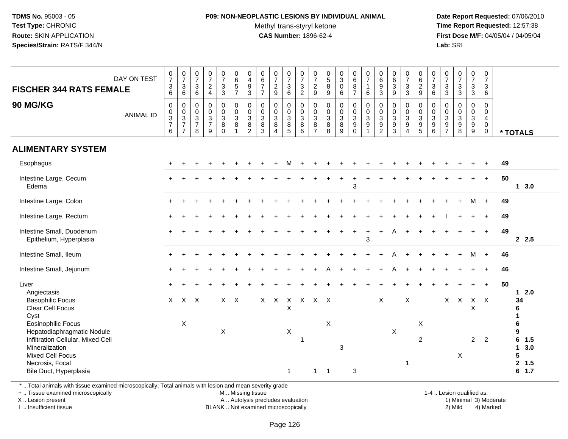### **P09: NON-NEOPLASTIC LESIONS BY INDIVIDUAL ANIMAL**Methyl trans-styryl ketone<br>CAS Number: 1896-62-4

 **Date Report Requested:** 07/06/2010 **Time Report Requested:** 12:57:38 **First Dose M/F:** 04/05/04 / 04/05/04<br>**Lab:** SRI **Lab:** SRI

| DAY ON TEST<br><b>FISCHER 344 RATS FEMALE</b><br>90 MG/KG                                                                                                                              | $\frac{0}{7}$<br>$\frac{3}{6}$<br>$\pmb{0}$ | $\begin{array}{c} 0 \\ 7 \end{array}$<br>$\ensuremath{\mathsf{3}}$<br>6<br>$\mathbf 0$ | $\frac{0}{7}$<br>$\mathbf{3}$<br>$6\phantom{1}$<br>0  | $\begin{array}{c} 0 \\ 7 \end{array}$<br>$\frac{2}{4}$<br>$\pmb{0}$ | $\frac{0}{7}$<br>$\mathbf{3}$<br>$\overline{3}$<br>0 | $_{6}^{\rm 0}$<br>$\sqrt{5}$<br>$\overline{7}$<br>$\mathsf{O}$ | $\begin{smallmatrix}0\\4\end{smallmatrix}$<br>$\boldsymbol{9}$<br>$\mathfrak{Z}$<br>$\pmb{0}$ | $0$<br>6<br>7<br>7<br>7<br>$\mathbf 0$    | $\begin{array}{c} 0 \\ 7 \\ 2 \end{array}$<br>9<br>$\mathbf 0$       | $\frac{0}{7}$<br>3<br>$6\phantom{a}$<br>0   | $\frac{0}{7}$<br>$\frac{3}{2}$<br>$\pmb{0}$ | $\begin{array}{c} 0 \\ 7 \end{array}$<br>$\overline{c}$<br>9<br>$\mathsf{O}\xspace$ | $\begin{array}{c} 0 \\ 5 \end{array}$<br>$\bf 8$<br>$\overline{9}$<br>0 | $\begin{smallmatrix}0\\3\\0\end{smallmatrix}$<br>6                         | $\begin{array}{c} 0 \\ 6 \end{array}$<br>8<br>$\overline{7}$<br>0 | $\frac{0}{7}$<br>$\mathbf{1}$<br>6<br>$\mathbf 0$               | $\begin{array}{c} 0 \\ 6 \\ 9 \end{array}$<br>3<br>$\mathbf 0$ | $\begin{array}{c} 0 \\ 6 \end{array}$<br>$\ensuremath{\mathsf{3}}$<br>$\overline{9}$<br>$\pmb{0}$ | $\begin{array}{c} 0 \\ 7 \end{array}$<br>$\ensuremath{\mathsf{3}}$<br>$\overline{3}$<br>$\mathbf 0$ | $\begin{array}{c} 0 \\ 6 \end{array}$<br>$\frac{2}{9}$<br>0 | $\begin{array}{c} 0 \\ 7 \\ 3 \end{array}$<br>6<br>$\mathbf 0$ | $\frac{0}{7}$<br>$\sqrt{3}$<br>3<br>0      | $\begin{smallmatrix}0\\7\end{smallmatrix}$<br>$\mathbf{3}$<br>$\overline{3}$<br>$\pmb{0}$ | $\frac{0}{7}$<br>$\ensuremath{\mathsf{3}}$<br>$\overline{3}$<br>$\pmb{0}$        | $\begin{array}{c} 0 \\ 7 \end{array}$<br>$\mathbf{3}$<br>$6\phantom{1}$<br>0 |    |                                                                                    |
|----------------------------------------------------------------------------------------------------------------------------------------------------------------------------------------|---------------------------------------------|----------------------------------------------------------------------------------------|-------------------------------------------------------|---------------------------------------------------------------------|------------------------------------------------------|----------------------------------------------------------------|-----------------------------------------------------------------------------------------------|-------------------------------------------|----------------------------------------------------------------------|---------------------------------------------|---------------------------------------------|-------------------------------------------------------------------------------------|-------------------------------------------------------------------------|----------------------------------------------------------------------------|-------------------------------------------------------------------|-----------------------------------------------------------------|----------------------------------------------------------------|---------------------------------------------------------------------------------------------------|-----------------------------------------------------------------------------------------------------|-------------------------------------------------------------|----------------------------------------------------------------|--------------------------------------------|-------------------------------------------------------------------------------------------|----------------------------------------------------------------------------------|------------------------------------------------------------------------------|----|------------------------------------------------------------------------------------|
| <b>ANIMAL ID</b>                                                                                                                                                                       | $_3^0$<br>$\overline{7}$<br>6               | $_{3}^{\rm 0}$<br>$\overline{7}$<br>$\overline{7}$                                     | $\boldsymbol{0}$<br>$\sqrt{3}$<br>$\overline{7}$<br>8 | $\pmb{0}$<br>$\ensuremath{\mathsf{3}}$<br>$\overline{7}$<br>9       | $_3^0$<br>8<br>$\Omega$                              | $\mathbf 0$<br>$\overline{3}$<br>8<br>$\overline{1}$           | $_{3}^{\rm 0}$<br>$\bf8$<br>$\overline{c}$                                                    | $_{3}^{\rm 0}$<br>$\,8\,$<br>$\mathbf{3}$ | $\begin{smallmatrix} 0\\ 3 \end{smallmatrix}$<br>8<br>$\overline{4}$ | $\mathbf 0$<br>$\mathbf{3}$<br>$\bf 8$<br>5 | $\frac{0}{3}$<br>8<br>6                     | $\pmb{0}$<br>$\mathfrak{S}$<br>8<br>$\overline{7}$                                  | $\mathbf 0$<br>$\mathbf{3}$<br>$\bf 8$<br>8                             | $\begin{smallmatrix}0\\0\\3\end{smallmatrix}$<br>$\bf 8$<br>$\overline{9}$ | $_{3}^{\rm 0}$<br>9<br>$\Omega$                                   | $\mathbf 0$<br>$\mathbf{3}$<br>$\boldsymbol{9}$<br>$\mathbf{1}$ | $_3^0$<br>9<br>$\overline{a}$                                  | $\pmb{0}$<br>$\sqrt{3}$<br>$\boldsymbol{9}$<br>$\mathbf{3}$                                       | $_{3}^{\rm 0}$<br>$\boldsymbol{9}$<br>$\overline{4}$                                                | $_{3}^{\rm 0}$<br>$\boldsymbol{9}$<br>$\sqrt{5}$            | $_{3}^{\rm 0}$<br>$\boldsymbol{9}$<br>6                        | 0<br>$\mathfrak{S}$<br>9<br>$\overline{7}$ | $\pmb{0}$<br>$\overline{3}$<br>$\boldsymbol{9}$<br>8                                      | $\begin{smallmatrix} 0\\ 3 \end{smallmatrix}$<br>$\boldsymbol{9}$<br>$\mathsf g$ | $\mathbf{0}$<br>$\overline{4}$<br>$\mathbf 0$<br>$\mathbf 0$                 |    | * TOTALS                                                                           |
| <b>ALIMENTARY SYSTEM</b>                                                                                                                                                               |                                             |                                                                                        |                                                       |                                                                     |                                                      |                                                                |                                                                                               |                                           |                                                                      |                                             |                                             |                                                                                     |                                                                         |                                                                            |                                                                   |                                                                 |                                                                |                                                                                                   |                                                                                                     |                                                             |                                                                |                                            |                                                                                           |                                                                                  |                                                                              |    |                                                                                    |
| Esophagus                                                                                                                                                                              |                                             |                                                                                        |                                                       |                                                                     |                                                      |                                                                |                                                                                               |                                           |                                                                      |                                             |                                             |                                                                                     |                                                                         |                                                                            |                                                                   |                                                                 |                                                                |                                                                                                   |                                                                                                     |                                                             |                                                                |                                            |                                                                                           |                                                                                  |                                                                              | 49 |                                                                                    |
| Intestine Large, Cecum<br>Edema                                                                                                                                                        |                                             |                                                                                        |                                                       |                                                                     |                                                      |                                                                |                                                                                               |                                           |                                                                      |                                             |                                             |                                                                                     |                                                                         |                                                                            | 3                                                                 |                                                                 |                                                                |                                                                                                   |                                                                                                     |                                                             |                                                                |                                            |                                                                                           |                                                                                  | $\ddot{}$                                                                    | 50 | $1 \quad 3.0$                                                                      |
| Intestine Large, Colon                                                                                                                                                                 |                                             |                                                                                        |                                                       |                                                                     |                                                      |                                                                |                                                                                               |                                           |                                                                      |                                             |                                             |                                                                                     |                                                                         |                                                                            |                                                                   |                                                                 |                                                                |                                                                                                   |                                                                                                     |                                                             |                                                                |                                            |                                                                                           | M +                                                                              |                                                                              | 49 |                                                                                    |
| Intestine Large, Rectum                                                                                                                                                                |                                             |                                                                                        |                                                       |                                                                     |                                                      |                                                                |                                                                                               |                                           |                                                                      |                                             |                                             |                                                                                     |                                                                         |                                                                            |                                                                   |                                                                 |                                                                |                                                                                                   |                                                                                                     |                                                             |                                                                |                                            |                                                                                           |                                                                                  |                                                                              | 49 |                                                                                    |
| Intestine Small, Duodenum<br>Epithelium, Hyperplasia                                                                                                                                   |                                             |                                                                                        |                                                       |                                                                     |                                                      |                                                                |                                                                                               |                                           |                                                                      |                                             |                                             |                                                                                     |                                                                         |                                                                            |                                                                   | 3                                                               |                                                                |                                                                                                   |                                                                                                     |                                                             |                                                                |                                            |                                                                                           |                                                                                  | $+$                                                                          | 49 | 2.5                                                                                |
| Intestine Small, Ileum                                                                                                                                                                 |                                             |                                                                                        |                                                       |                                                                     |                                                      |                                                                |                                                                                               |                                           |                                                                      |                                             |                                             |                                                                                     |                                                                         |                                                                            |                                                                   |                                                                 |                                                                |                                                                                                   |                                                                                                     |                                                             |                                                                |                                            |                                                                                           | M                                                                                | $+$                                                                          | 46 |                                                                                    |
| Intestine Small, Jejunum                                                                                                                                                               |                                             |                                                                                        |                                                       |                                                                     |                                                      |                                                                |                                                                                               |                                           |                                                                      |                                             |                                             |                                                                                     |                                                                         |                                                                            |                                                                   |                                                                 |                                                                |                                                                                                   |                                                                                                     |                                                             |                                                                |                                            |                                                                                           |                                                                                  | $\ddot{}$                                                                    | 46 |                                                                                    |
| Liver                                                                                                                                                                                  |                                             |                                                                                        |                                                       |                                                                     |                                                      |                                                                |                                                                                               |                                           |                                                                      |                                             |                                             |                                                                                     |                                                                         |                                                                            |                                                                   |                                                                 |                                                                |                                                                                                   |                                                                                                     |                                                             |                                                                |                                            |                                                                                           |                                                                                  | $\ddot{}$                                                                    | 50 | 2.0<br>$\mathbf{1}$                                                                |
| Angiectasis<br><b>Basophilic Focus</b><br>Clear Cell Focus<br>Cyst                                                                                                                     |                                             | $X$ $X$ $X$                                                                            |                                                       |                                                                     |                                                      | $X$ $X$                                                        |                                                                                               |                                           |                                                                      | X                                           | X X X X X X                                 |                                                                                     |                                                                         |                                                                            |                                                                   |                                                                 | X                                                              |                                                                                                   | X                                                                                                   |                                                             |                                                                |                                            |                                                                                           | X X X X<br>Χ                                                                     |                                                                              |    | 34<br>6                                                                            |
| <b>Eosinophilic Focus</b><br>Hepatodiaphragmatic Nodule<br>Infiltration Cellular, Mixed Cell<br>Mineralization<br><b>Mixed Cell Focus</b><br>Necrosis, Focal<br>Bile Duct, Hyperplasia |                                             | Χ                                                                                      |                                                       |                                                                     | X                                                    |                                                                |                                                                                               |                                           |                                                                      | Χ<br>1                                      | -1                                          | $\mathbf 1$                                                                         | X<br>-1                                                                 | 3                                                                          | 3                                                                 |                                                                 |                                                                | X                                                                                                 | -1                                                                                                  | X<br>$\overline{2}$                                         |                                                                |                                            | $\pmb{\times}$                                                                            | $\overline{2}$                                                                   | $\overline{2}$                                                               |    | 6<br>9<br>6<br>1.5<br>$\mathbf{1}$<br>3.0<br>5<br>$\mathbf{2}$<br>1.5<br>$6 \t1.7$ |

\* .. Total animals with tissue examined microscopically; Total animals with lesion and mean severity grade

+ .. Tissue examined microscopically

X .. Lesion present

I .. Insufficient tissue

M .. Missing tissue

A .. Autolysis precludes evaluation

BLANK .. Not examined microscopically 2) Mild 4) Marked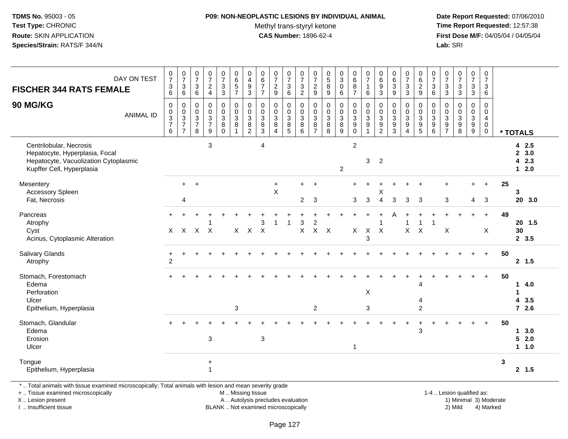## **P09: NON-NEOPLASTIC LESIONS BY INDIVIDUAL ANIMAL**

Methyl trans-styryl ketone<br>CAS Number: 1896-62-4

 **Date Report Requested:** 07/06/2010 **Time Report Requested:** 12:57:38 **First Dose M/F:** 04/05/04 / 04/05/04 Lab: SRI **Lab:** SRI

| DAY ON TEST<br><b>FISCHER 344 RATS FEMALE</b><br>90 MG/KG<br><b>ANIMAL ID</b>                                                   | $\frac{0}{7}$<br>$^3$ 6<br>0<br>$\frac{0}{3}$<br>6 | $\begin{array}{c} 0 \\ 7 \end{array}$<br>$\sqrt{3}$<br>$\,6\,$<br>0<br>$\frac{0}{3}$<br>$\overline{7}$ | $\frac{0}{7}$<br>$\sqrt{3}$<br>$\,6\,$<br>0<br>0<br>$\sqrt{3}$<br>$\overline{7}$<br>8 | $\frac{0}{7}$<br>$\sqrt{2}$<br>$\overline{4}$<br>$\mathbf 0$<br>$\pmb{0}$<br>$\overline{3}$<br>$\overline{7}$<br>9 | $\frac{0}{7}$<br>3<br>3<br>0<br>$\mathbf 0$<br>$\overline{3}$<br>8<br>$\Omega$ | $_{6}^{\rm 0}$<br>$\sqrt{5}$<br>$\overline{7}$<br>0<br>$\pmb{0}$<br>$\overline{3}$<br>8<br>$\overline{\mathbf{1}}$ | $\begin{smallmatrix}0\\4\end{smallmatrix}$<br>$\boldsymbol{9}$<br>$\sqrt{3}$<br>$\mathbf 0$<br>$\frac{0}{3}$<br>$\, 8$<br>$\overline{c}$ | $_{6}^{\rm 0}$<br>$\overline{7}$<br>$\overline{7}$<br>0<br>$\mathbf 0$<br>$\overline{3}$<br>8<br>3 | $\begin{array}{c} 0 \\ 7 \end{array}$<br>$\boldsymbol{2}$<br>9<br>$\mathbf 0$<br>$\pmb{0}$<br>$\overline{3}$<br>8<br>$\boldsymbol{\Lambda}$ | $\frac{0}{7}$<br>3<br>$\,6\,$<br>0<br>$\pmb{0}$<br>$\overline{3}$<br>$\overline{8}$<br>$\overline{5}$ | $\frac{0}{7}$<br>3<br>$\overline{2}$<br>0<br>$\mathbf 0$<br>$\overline{3}$<br>8<br>6 | $\frac{0}{7}$<br>$\frac{2}{9}$<br>0<br>$\mathbf 0$<br>$\overline{3}$<br>$\overline{8}$<br>$\overline{7}$ | $\begin{array}{c} 0 \\ 5 \\ 8 \end{array}$<br>9<br>$\pmb{0}$<br>$\begin{array}{c} 0 \\ 3 \\ 8 \end{array}$ | $_{3}^{\rm 0}$<br>$_{6}^{\rm 0}$<br>$\mathsf{O}\xspace$<br>$\frac{0}{3}$<br>$\overline{9}$ | $\begin{array}{c} 0 \\ 6 \end{array}$<br>8<br>$\overline{7}$<br>0<br>$\mathbf 0$<br>$\overline{3}$<br>$\overline{9}$<br>$\mathbf 0$ | $\begin{array}{c} 0 \\ 7 \end{array}$<br>$\mathbf{1}$<br>$\,6\,$<br>$\mathbf 0$<br>$\overline{0}$<br>3<br>$\boldsymbol{9}$<br>$\overline{1}$ | $_{6}^{\rm 0}$<br>9<br>3<br>$\mathbf 0$<br>$\pmb{0}$<br>$\overline{3}$<br>9<br>$\overline{c}$ | $_{6}^{\rm 0}$<br>$\ensuremath{\mathsf{3}}$<br>9<br>0<br>$\pmb{0}$<br>$\overline{3}$<br>$\frac{9}{3}$ | $\frac{0}{7}$<br>$\ensuremath{\mathsf{3}}$<br>$\mathbf{3}$<br>0<br>$_{3}^{\rm 0}$<br>$\overline{9}$<br>$\boldsymbol{\Lambda}$ | $_{6}^{\rm 0}$<br>$\frac{2}{9}$<br>0<br>$\mathsf{O}\xspace$<br>$\overline{3}$<br>$\boldsymbol{9}$<br>$\overline{5}$ | $\frac{0}{7}$<br>$\mathsf 3$<br>6<br>$\mathbf 0$<br>$\frac{0}{3}$<br>6 | $\frac{0}{7}$<br>$\sqrt{3}$<br>3<br>0<br>$\mathbf 0$<br>$\mathsf 3$<br>$\boldsymbol{9}$<br>$\overline{7}$ | $\frac{0}{7}$<br>3<br>$\mathbf{3}$<br>$\mathbf 0$<br>$\pmb{0}$<br>$\overline{3}$<br>$\boldsymbol{9}$<br>8 | $\begin{smallmatrix}0\\7\end{smallmatrix}$<br>3<br>3<br>0<br>0<br>9<br>9 | $\begin{smallmatrix}0\\7\end{smallmatrix}$<br>3<br>$6\phantom{1}$<br>$\pmb{0}$<br>$\mathsf{O}\xspace$<br>$\overline{4}$<br>$\mathbf 0$<br>$\mathbf 0$ |    |                                               |
|---------------------------------------------------------------------------------------------------------------------------------|----------------------------------------------------|--------------------------------------------------------------------------------------------------------|---------------------------------------------------------------------------------------|--------------------------------------------------------------------------------------------------------------------|--------------------------------------------------------------------------------|--------------------------------------------------------------------------------------------------------------------|------------------------------------------------------------------------------------------------------------------------------------------|----------------------------------------------------------------------------------------------------|---------------------------------------------------------------------------------------------------------------------------------------------|-------------------------------------------------------------------------------------------------------|--------------------------------------------------------------------------------------|----------------------------------------------------------------------------------------------------------|------------------------------------------------------------------------------------------------------------|--------------------------------------------------------------------------------------------|-------------------------------------------------------------------------------------------------------------------------------------|----------------------------------------------------------------------------------------------------------------------------------------------|-----------------------------------------------------------------------------------------------|-------------------------------------------------------------------------------------------------------|-------------------------------------------------------------------------------------------------------------------------------|---------------------------------------------------------------------------------------------------------------------|------------------------------------------------------------------------|-----------------------------------------------------------------------------------------------------------|-----------------------------------------------------------------------------------------------------------|--------------------------------------------------------------------------|-------------------------------------------------------------------------------------------------------------------------------------------------------|----|-----------------------------------------------|
| Centrilobular, Necrosis<br>Hepatocyte, Hyperplasia, Focal<br>Hepatocyte, Vacuolization Cytoplasmic<br>Kupffer Cell, Hyperplasia |                                                    |                                                                                                        |                                                                                       | 3                                                                                                                  |                                                                                |                                                                                                                    |                                                                                                                                          | $\overline{4}$                                                                                     |                                                                                                                                             |                                                                                                       |                                                                                      |                                                                                                          |                                                                                                            | $\overline{2}$                                                                             | $\overline{2}$                                                                                                                      | 3                                                                                                                                            | $\overline{2}$                                                                                |                                                                                                       |                                                                                                                               |                                                                                                                     |                                                                        |                                                                                                           |                                                                                                           |                                                                          |                                                                                                                                                       |    | * TOTALS<br>4 2.5<br>2, 3.0<br>42.3<br>$12.0$ |
| Mesentery<br><b>Accessory Spleen</b><br>Fat, Necrosis                                                                           |                                                    | $+$<br>4                                                                                               | $+$                                                                                   |                                                                                                                    |                                                                                |                                                                                                                    |                                                                                                                                          |                                                                                                    | $\ddot{}$<br>X                                                                                                                              |                                                                                                       | $\overline{2}$                                                                       | $\overline{1}$<br>-3                                                                                     |                                                                                                            |                                                                                            | $+$<br>3                                                                                                                            | 3                                                                                                                                            | Χ<br>$\overline{4}$                                                                           | 3                                                                                                     | 3                                                                                                                             | $\ddot{}$<br>3                                                                                                      |                                                                        | ÷<br>3                                                                                                    |                                                                                                           | $\ddot{}$<br>4                                                           | $\ddot{}$<br>3                                                                                                                                        | 25 | 3<br>20 3.0                                   |
| Pancreas<br>Atrophy<br>Cyst<br>Acinus, Cytoplasmic Alteration                                                                   | $\pm$                                              | $X$ $X$                                                                                                |                                                                                       | $X$ $X$                                                                                                            |                                                                                | X                                                                                                                  | $\mathsf{X}$                                                                                                                             | 3<br>$\mathsf{X}$                                                                                  | $\overline{1}$                                                                                                                              | 1                                                                                                     | 3<br>$\mathsf{X}$                                                                    | $\overline{c}$<br>$\mathsf{X}$                                                                           | $\mathsf{X}$                                                                                               |                                                                                            | X                                                                                                                                   | X<br>3                                                                                                                                       | $\boldsymbol{\mathsf{X}}$                                                                     |                                                                                                       | $\mathsf{X}$                                                                                                                  | $\mathsf{X}$                                                                                                        |                                                                        | X                                                                                                         |                                                                                                           |                                                                          | $+$<br>X                                                                                                                                              | 49 | $20$ 1.5<br>30<br>2, 3.5                      |
| Salivary Glands<br>Atrophy                                                                                                      | $\overline{2}$                                     |                                                                                                        |                                                                                       |                                                                                                                    |                                                                                |                                                                                                                    |                                                                                                                                          |                                                                                                    |                                                                                                                                             |                                                                                                       |                                                                                      |                                                                                                          |                                                                                                            |                                                                                            |                                                                                                                                     |                                                                                                                                              |                                                                                               |                                                                                                       |                                                                                                                               |                                                                                                                     |                                                                        |                                                                                                           |                                                                                                           |                                                                          | $+$                                                                                                                                                   | 50 | 2, 1.5                                        |
| Stomach, Forestomach<br>Edema<br>Perforation<br>Ulcer<br>Epithelium, Hyperplasia                                                |                                                    |                                                                                                        |                                                                                       |                                                                                                                    |                                                                                | 3                                                                                                                  |                                                                                                                                          |                                                                                                    |                                                                                                                                             |                                                                                                       |                                                                                      | $\overline{2}$                                                                                           |                                                                                                            |                                                                                            |                                                                                                                                     | $\times$<br>3                                                                                                                                |                                                                                               |                                                                                                       |                                                                                                                               | 4<br>$\overline{2}$                                                                                                 |                                                                        |                                                                                                           |                                                                                                           |                                                                          |                                                                                                                                                       | 50 | 14.0<br>1<br>3.5<br>$\overline{4}$<br>$72.6$  |
| Stomach, Glandular<br>Edema<br>Erosion<br>Ulcer                                                                                 |                                                    |                                                                                                        |                                                                                       | 3                                                                                                                  |                                                                                |                                                                                                                    |                                                                                                                                          | $\sqrt{3}$                                                                                         |                                                                                                                                             |                                                                                                       |                                                                                      |                                                                                                          |                                                                                                            |                                                                                            | -1                                                                                                                                  |                                                                                                                                              |                                                                                               |                                                                                                       |                                                                                                                               | 3                                                                                                                   |                                                                        |                                                                                                           |                                                                                                           |                                                                          | $+$                                                                                                                                                   | 50 | 1, 3.0<br>52.0<br>$1 1.0$                     |
| Tongue<br>Epithelium, Hyperplasia                                                                                               |                                                    |                                                                                                        |                                                                                       | $\ddot{}$<br>1                                                                                                     |                                                                                |                                                                                                                    |                                                                                                                                          |                                                                                                    |                                                                                                                                             |                                                                                                       |                                                                                      |                                                                                                          |                                                                                                            |                                                                                            |                                                                                                                                     |                                                                                                                                              |                                                                                               |                                                                                                       |                                                                                                                               |                                                                                                                     |                                                                        |                                                                                                           |                                                                                                           |                                                                          |                                                                                                                                                       | 3  | 2, 1.5                                        |

\* .. Total animals with tissue examined microscopically; Total animals with lesion and mean severity grade

+ .. Tissue examined microscopically

X .. Lesion present

I .. Insufficient tissue

M .. Missing tissue

A .. Autolysis precludes evaluation

BLANK .. Not examined microscopically 2) Mild 4) Marked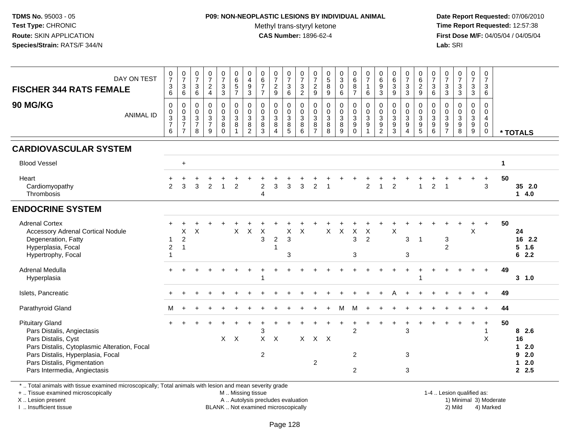# **P09: NON-NEOPLASTIC LESIONS BY INDIVIDUAL ANIMAL**

Methyl trans-styryl ketone<br>CAS Number: 1896-62-4

 **Date Report Requested:** 07/06/2010 **Time Report Requested:** 12:57:38 **First Dose M/F:** 04/05/04 / 04/05/04<br>**Lab:** SRI **Lab:** SRI

| DAY ON TEST<br><b>FISCHER 344 RATS FEMALE</b><br>90 MG/KG<br><b>ANIMAL ID</b><br><b>CARDIOVASCULAR SYSTEM</b>                                                                                                                   | $\frac{0}{7}$<br>3<br>$\,6$<br>$\mathbf 0$<br>$\mathbf 0$<br>3<br>$\overline{7}$<br>6 | $\frac{0}{7}$<br>$\mathbf{3}$<br>6<br>$\pmb{0}$<br>$_{3}^{\rm 0}$<br>$\overline{7}$<br>$\overline{7}$ | $\frac{0}{7}$<br>$\mathsf 3$<br>$\,6\,$<br>$\mathsf{O}\xspace$<br>$\mathsf{O}\xspace$<br>$\ensuremath{\mathsf{3}}$<br>$\overline{7}$<br>8 | $\begin{array}{c} 0 \\ 7 \end{array}$<br>$\sqrt{2}$<br>$\overline{4}$<br>$\pmb{0}$<br>$\frac{0}{3}$<br>$\overline{7}$<br>9 | $\begin{array}{c} 0 \\ 7 \\ 3 \end{array}$<br>$\mathsf 3$<br>$\mathbf 0$<br>$\frac{0}{3}$<br>8<br>$\mathbf 0$ | $\begin{array}{c} 0 \\ 6 \\ 5 \end{array}$<br>$\overline{7}$<br>0<br>$\overline{0}$<br>$\mathbf{3}$<br>8<br>$\mathbf{1}$ | $\begin{array}{c} 0 \\ 4 \\ 9 \end{array}$<br>$\sqrt{3}$<br>0<br>$\mathbf 0$<br>$\ensuremath{\mathsf{3}}$<br>$\bf8$<br>$\overline{c}$ | $\begin{array}{c} 0 \\ 6 \\ 7 \end{array}$<br>$\overline{7}$<br>$\pmb{0}$<br>$\overline{0}$<br>$\mathbf{3}$<br>$\bf8$<br>3 | 0729<br>0<br>$\frac{0}{3}$<br>8<br>$\overline{4}$ | $\begin{array}{c} 0 \\ 7 \\ 3 \end{array}$<br>6<br>0<br>$\frac{0}{3}$<br>$\bf 8$<br>5 | $\frac{0}{7}$<br>$\frac{3}{2}$<br>$\begin{smallmatrix}0\0\0\3\end{smallmatrix}$<br>$\bf 8$<br>$\,6$ | $\frac{0}{7}$<br>$\frac{2}{9}$<br>$\boldsymbol{0}$<br>$\frac{0}{3}$<br>$\bf8$<br>$\overline{7}$ | $\begin{array}{c} 0 \\ 5 \\ 8 \end{array}$<br>$\boldsymbol{9}$<br>$\begin{smallmatrix}0\\0\\3\end{smallmatrix}$<br>$\, 8$<br>8 | $\begin{bmatrix} 0 \\ 3 \\ 0 \\ 6 \end{bmatrix}$<br>0<br>$\frac{0}{3}$<br>$\bf 8$<br>$\boldsymbol{9}$ | $_{6}^{\rm 0}$<br>$\bf 8$<br>$\overline{7}$<br>$\pmb{0}$<br>$\overline{0}$<br>$\ensuremath{\mathsf{3}}$<br>$\boldsymbol{9}$<br>$\pmb{0}$ | $\frac{0}{7}$<br>$\mathbf{1}$<br>6<br>$\begin{smallmatrix} 0\\0\\3 \end{smallmatrix}$<br>$\boldsymbol{9}$<br>1 | $\begin{array}{c} 0 \\ 6 \\ 9 \\ 3 \end{array}$<br>$\mathbf 0$<br>$_{3}^{\rm 0}$<br>9<br>$\overline{2}$ | $\begin{matrix} 0 \\ 6 \\ 3 \end{matrix}$<br>$\boldsymbol{9}$<br>0<br>$\overline{0}$<br>3<br>$\boldsymbol{9}$<br>$\mathbf{3}$ | $\begin{array}{c} 0 \\ 7 \\ 3 \end{array}$<br>$\sqrt{3}$<br>0<br>$\ddot{\mathbf{0}}$<br>$\overline{3}$<br>9<br>$\overline{4}$ | 0629<br>$\mathbf 0$<br>$\overline{0}$<br>$\overline{3}$<br>$\boldsymbol{9}$<br>$\sqrt{5}$ | $\frac{0}{7}$<br>$\sqrt{3}$<br>$\,6\,$<br>$\mathbf 0$<br>$\boldsymbol{0}$<br>$\mathsf 3$<br>$\boldsymbol{9}$<br>$\,6\,$ | $\begin{array}{c} 0 \\ 7 \\ 3 \end{array}$<br>$\sqrt{3}$<br>$\mathbf 0$<br>$\overline{0}$<br>$\ensuremath{\mathsf{3}}$<br>$\boldsymbol{9}$<br>$\overline{7}$ | $\begin{array}{c} 0 \\ 7 \\ 3 \\ 3 \end{array}$<br>0<br>$\frac{0}{3}$<br>8 | $\frac{0}{7}$<br>$\sqrt{3}$<br>$\mathbf{3}$<br>0<br>$\mathsf{O}\xspace$<br>$\mathbf{3}$<br>$\boldsymbol{9}$<br>9 | 0<br>$\overline{7}$<br>3<br>$\,6\,$<br>$\mathbf 0$<br>0<br>4<br>0<br>$\pmb{0}$ |             | * TOTALS                                       |
|---------------------------------------------------------------------------------------------------------------------------------------------------------------------------------------------------------------------------------|---------------------------------------------------------------------------------------|-------------------------------------------------------------------------------------------------------|-------------------------------------------------------------------------------------------------------------------------------------------|----------------------------------------------------------------------------------------------------------------------------|---------------------------------------------------------------------------------------------------------------|--------------------------------------------------------------------------------------------------------------------------|---------------------------------------------------------------------------------------------------------------------------------------|----------------------------------------------------------------------------------------------------------------------------|---------------------------------------------------|---------------------------------------------------------------------------------------|-----------------------------------------------------------------------------------------------------|-------------------------------------------------------------------------------------------------|--------------------------------------------------------------------------------------------------------------------------------|-------------------------------------------------------------------------------------------------------|------------------------------------------------------------------------------------------------------------------------------------------|----------------------------------------------------------------------------------------------------------------|---------------------------------------------------------------------------------------------------------|-------------------------------------------------------------------------------------------------------------------------------|-------------------------------------------------------------------------------------------------------------------------------|-------------------------------------------------------------------------------------------|-------------------------------------------------------------------------------------------------------------------------|--------------------------------------------------------------------------------------------------------------------------------------------------------------|----------------------------------------------------------------------------|------------------------------------------------------------------------------------------------------------------|--------------------------------------------------------------------------------|-------------|------------------------------------------------|
| <b>Blood Vessel</b>                                                                                                                                                                                                             |                                                                                       | $\ddot{}$                                                                                             |                                                                                                                                           |                                                                                                                            |                                                                                                               |                                                                                                                          |                                                                                                                                       |                                                                                                                            |                                                   |                                                                                       |                                                                                                     |                                                                                                 |                                                                                                                                |                                                                                                       |                                                                                                                                          |                                                                                                                |                                                                                                         |                                                                                                                               |                                                                                                                               |                                                                                           |                                                                                                                         |                                                                                                                                                              |                                                                            |                                                                                                                  |                                                                                | $\mathbf 1$ |                                                |
| Heart<br>Cardiomyopathy<br>Thrombosis                                                                                                                                                                                           | $\overline{2}$                                                                        | 3                                                                                                     | $\overline{3}$                                                                                                                            | $\overline{2}$                                                                                                             | $\mathbf{1}$                                                                                                  | $\overline{2}$                                                                                                           |                                                                                                                                       | $\boldsymbol{2}$<br>$\overline{4}$                                                                                         | $\mathbf{3}$                                      | 3                                                                                     | 3                                                                                                   | $\overline{2}$                                                                                  | $\overline{1}$                                                                                                                 |                                                                                                       |                                                                                                                                          | $\overline{2}$                                                                                                 | $\overline{1}$                                                                                          | $\overline{2}$                                                                                                                |                                                                                                                               | $\overline{1}$                                                                            | $\overline{2}$                                                                                                          |                                                                                                                                                              |                                                                            | +                                                                                                                | $\ddot{}$<br>$\mathbf{3}$                                                      | 50          | 35 2.0<br>$1 \quad 4.0$                        |
| <b>ENDOCRINE SYSTEM</b>                                                                                                                                                                                                         |                                                                                       |                                                                                                       |                                                                                                                                           |                                                                                                                            |                                                                                                               |                                                                                                                          |                                                                                                                                       |                                                                                                                            |                                                   |                                                                                       |                                                                                                     |                                                                                                 |                                                                                                                                |                                                                                                       |                                                                                                                                          |                                                                                                                |                                                                                                         |                                                                                                                               |                                                                                                                               |                                                                                           |                                                                                                                         |                                                                                                                                                              |                                                                            |                                                                                                                  |                                                                                |             |                                                |
| <b>Adrenal Cortex</b><br><b>Accessory Adrenal Cortical Nodule</b><br>Degeneration, Fatty<br>Hyperplasia, Focal<br>Hypertrophy, Focal                                                                                            | 1<br>$\overline{c}$                                                                   | X<br>$\sqrt{2}$<br>$\overline{1}$                                                                     | X                                                                                                                                         |                                                                                                                            |                                                                                                               | $\boldsymbol{\mathsf{X}}$                                                                                                | $\mathsf X$                                                                                                                           | $\times$<br>$\mathfrak{S}$                                                                                                 | $\boldsymbol{2}$<br>1                             | X<br>$\ensuremath{\mathsf{3}}$<br>3                                                   | $\times$                                                                                            |                                                                                                 | $\mathsf{X}$                                                                                                                   | $\boldsymbol{\mathsf{X}}$                                                                             | $\boldsymbol{\mathsf{X}}$<br>$\mathfrak{S}$<br>3                                                                                         | $\times$<br>$\overline{2}$                                                                                     |                                                                                                         | $\pmb{\times}$                                                                                                                | 3<br>3                                                                                                                        | $\overline{1}$                                                                            |                                                                                                                         | 3<br>$\overline{2}$                                                                                                                                          |                                                                            | X                                                                                                                | $+$                                                                            | 50          | 24<br>16 2.2<br>5 <sup>5</sup><br>1.6<br>62.2  |
| Adrenal Medulla<br>Hyperplasia                                                                                                                                                                                                  |                                                                                       |                                                                                                       |                                                                                                                                           |                                                                                                                            |                                                                                                               |                                                                                                                          |                                                                                                                                       |                                                                                                                            |                                                   |                                                                                       |                                                                                                     |                                                                                                 |                                                                                                                                |                                                                                                       |                                                                                                                                          |                                                                                                                |                                                                                                         |                                                                                                                               |                                                                                                                               |                                                                                           |                                                                                                                         |                                                                                                                                                              |                                                                            |                                                                                                                  |                                                                                | 49          | $3 - 1.0$                                      |
| Islets, Pancreatic                                                                                                                                                                                                              |                                                                                       |                                                                                                       |                                                                                                                                           |                                                                                                                            |                                                                                                               |                                                                                                                          |                                                                                                                                       |                                                                                                                            |                                                   |                                                                                       |                                                                                                     |                                                                                                 |                                                                                                                                |                                                                                                       |                                                                                                                                          |                                                                                                                |                                                                                                         |                                                                                                                               |                                                                                                                               |                                                                                           |                                                                                                                         |                                                                                                                                                              |                                                                            |                                                                                                                  |                                                                                | 49          |                                                |
| Parathyroid Gland                                                                                                                                                                                                               | м                                                                                     |                                                                                                       |                                                                                                                                           |                                                                                                                            |                                                                                                               |                                                                                                                          |                                                                                                                                       |                                                                                                                            |                                                   |                                                                                       |                                                                                                     |                                                                                                 |                                                                                                                                | M                                                                                                     | м                                                                                                                                        |                                                                                                                |                                                                                                         |                                                                                                                               |                                                                                                                               |                                                                                           |                                                                                                                         |                                                                                                                                                              |                                                                            |                                                                                                                  |                                                                                | 44          |                                                |
| <b>Pituitary Gland</b><br>Pars Distalis, Angiectasis<br>Pars Distalis, Cyst<br>Pars Distalis, Cytoplasmic Alteration, Focal<br>Pars Distalis, Hyperplasia, Focal<br>Pars Distalis, Pigmentation<br>Pars Intermedia, Angiectasis |                                                                                       |                                                                                                       |                                                                                                                                           |                                                                                                                            |                                                                                                               | $X \times$                                                                                                               |                                                                                                                                       | 3<br>$X$ $X$<br>$\overline{c}$                                                                                             |                                                   |                                                                                       |                                                                                                     | $X$ $X$ $X$<br>2                                                                                |                                                                                                                                |                                                                                                       | $\overline{2}$<br>$\overline{2}$<br>$\overline{2}$                                                                                       |                                                                                                                |                                                                                                         |                                                                                                                               | 3<br>3<br>3                                                                                                                   |                                                                                           |                                                                                                                         |                                                                                                                                                              |                                                                            | +                                                                                                                | $\ddot{}$<br>$\mathbf{1}$<br>X                                                 | 50          | 8 2.6<br>16<br>$12.0$<br>92.0<br>$12.0$<br>2.5 |

\* .. Total animals with tissue examined microscopically; Total animals with lesion and mean severity grade

+ .. Tissue examined microscopically

X .. Lesion present

I .. Insufficient tissue

M .. Missing tissue

A .. Autolysis precludes evaluation BLANK .. Not examined microscopically 2) Mild 4) Marked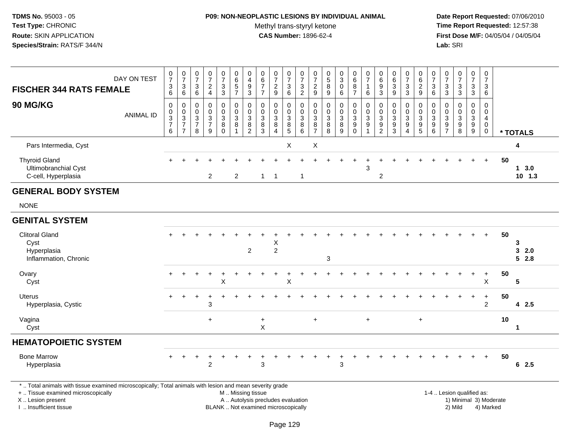## **P09: NON-NEOPLASTIC LESIONS BY INDIVIDUAL ANIMAL**Methyl trans-styryl ketone<br>CAS Number: 1896-62-4

 **Date Report Requested:** 07/06/2010 **Time Report Requested:** 12:57:38 **First Dose M/F:** 04/05/04 / 04/05/04<br>Lab: SRI **Lab:** SRI

| <b>FISCHER 344 RATS FEMALE</b>                                                                                                                                      | DAY ON TEST      | $\frac{0}{7}$<br>$\frac{3}{6}$                 | $\frac{0}{7}$<br>$\mathbf{3}$<br>6                                   | 0<br>$\overline{7}$<br>3<br>6                | $\frac{0}{7}$<br>$\frac{2}{4}$                      | $\frac{0}{7}$<br>$\frac{3}{3}$                                 | 0<br>6<br>5<br>7                                             | $\begin{array}{c} 0 \\ 4 \\ 9 \\ 3 \end{array}$             | $\begin{array}{c} 0 \\ 6 \\ 7 \end{array}$<br>$\overline{7}$ | $\frac{0}{7}$<br>$\frac{2}{9}$                                                 | $\frac{0}{7}$<br>$\ensuremath{\mathsf{3}}$<br>6              | $\frac{0}{7}$<br>$\sqrt{3}$<br>$\overline{2}$            | 0<br>$\overline{7}$<br>$\frac{2}{9}$         | $\begin{matrix} 0 \\ 5 \end{matrix}$<br>8<br>$\overline{9}$ | $\frac{0}{3}$<br>$\mathsf 0$<br>6                         | $_{6}^{\rm 0}$<br>$\bf 8$<br>$\overline{7}$          | $\frac{0}{7}$<br>$\mathbf{1}$<br>6                              | $\begin{array}{c} 0 \\ 6 \end{array}$<br>$\frac{9}{3}$   | $\begin{array}{c} 0 \\ 6 \end{array}$<br>$\sqrt{3}$<br>9        | $\frac{0}{7}$<br>$\sqrt{3}$<br>$\overline{3}$                | 0<br>$\,6\,$<br>$\frac{2}{9}$                                     | 0<br>$\overline{7}$<br>3<br>6                      | $\frac{0}{7}$<br>$\frac{3}{3}$                                                   | $\frac{0}{7}$<br>$\mathbf{3}$<br>$\overline{3}$                      | $\frac{0}{7}$<br>3<br>$\overline{3}$                                   | $\boldsymbol{0}$<br>$\overline{7}$<br>3<br>6                               |                        |                       |
|---------------------------------------------------------------------------------------------------------------------------------------------------------------------|------------------|------------------------------------------------|----------------------------------------------------------------------|----------------------------------------------|-----------------------------------------------------|----------------------------------------------------------------|--------------------------------------------------------------|-------------------------------------------------------------|--------------------------------------------------------------|--------------------------------------------------------------------------------|--------------------------------------------------------------|----------------------------------------------------------|----------------------------------------------|-------------------------------------------------------------|-----------------------------------------------------------|------------------------------------------------------|-----------------------------------------------------------------|----------------------------------------------------------|-----------------------------------------------------------------|--------------------------------------------------------------|-------------------------------------------------------------------|----------------------------------------------------|----------------------------------------------------------------------------------|----------------------------------------------------------------------|------------------------------------------------------------------------|----------------------------------------------------------------------------|------------------------|-----------------------|
| 90 MG/KG                                                                                                                                                            | <b>ANIMAL ID</b> | 0<br>$_{3}^{\rm 0}$<br>$\overline{7}$<br>$\,6$ | 0<br>$\pmb{0}$<br>$\overline{3}$<br>$\overline{7}$<br>$\overline{7}$ | 0<br>$\mathbf 0$<br>3<br>$\overline{7}$<br>8 | 0<br>$\pmb{0}$<br>$\sqrt{3}$<br>$\overline{7}$<br>9 | $\mathbf 0$<br>0<br>$\mathbf{3}$<br>$\overline{8}$<br>$\Omega$ | 0<br>$\mathsf{O}\xspace$<br>$\overline{3}$<br>$\overline{8}$ | $\pmb{0}$<br>$\mathbf 0$<br>$\frac{3}{8}$<br>$\overline{2}$ | $\mathbf 0$<br>$\mathbf 0$<br>$_8^3$<br>3                    | $\mathbf 0$<br>$\mathbf 0$<br>$\mathbf{3}$<br>$\bf8$<br>$\boldsymbol{\Lambda}$ | 0<br>0<br>$\overline{3}$<br>$\overline{8}$<br>$\overline{5}$ | $\mathbf 0$<br>$\mathbf 0$<br>$\sqrt{3}$<br>$\,8\,$<br>6 | 0<br>$\mathbf 0$<br>3<br>8<br>$\overline{7}$ | 0<br>$\mathbf 0$<br>$\sqrt{3}$<br>$\overline{8}$<br>8       | $\mathbf 0$<br>0<br>$\overline{3}$<br>$\overline{8}$<br>9 | 0<br>$_{3}^{\rm 0}$<br>$\overline{9}$<br>$\mathbf 0$ | $\pmb{0}$<br>$\pmb{0}$<br>$\overline{3}$<br>$\overline{9}$<br>1 | 0<br>$\boldsymbol{0}$<br>$\frac{3}{9}$<br>$\overline{2}$ | $\mathbf 0$<br>$\mathbf 0$<br>$\sqrt{3}$<br>$\overline{9}$<br>3 | 0<br>0<br>$\overline{3}$<br>$\overline{9}$<br>$\overline{4}$ | $\mathbf 0$<br>$\mathbf 0$<br>$\mathbf{3}$<br>$\overline{9}$<br>5 | 0<br>$\mathbf 0$<br>3<br>$\boldsymbol{9}$<br>$\,6$ | $\Omega$<br>0<br>$\ensuremath{\mathsf{3}}$<br>$\boldsymbol{9}$<br>$\overline{7}$ | 0<br>$\pmb{0}$<br>$\overline{3}$<br>$\overline{9}$<br>$\overline{8}$ | 0<br>$\mathbf 0$<br>$\overline{3}$<br>$\overline{9}$<br>$\overline{9}$ | $\mathbf 0$<br>$\mathbf 0$<br>$\overline{4}$<br>$\mathbf 0$<br>$\mathbf 0$ |                        | * TOTALS              |
| Pars Intermedia, Cyst                                                                                                                                               |                  |                                                |                                                                      |                                              |                                                     |                                                                |                                                              |                                                             |                                                              |                                                                                | $\boldsymbol{\mathsf{X}}$                                    |                                                          | $\boldsymbol{\mathsf{X}}$                    |                                                             |                                                           |                                                      |                                                                 |                                                          |                                                                 |                                                              |                                                                   |                                                    |                                                                                  |                                                                      |                                                                        |                                                                            |                        | 4                     |
| <b>Thyroid Gland</b><br>Ultimobranchial Cyst<br>C-cell, Hyperplasia                                                                                                 |                  |                                                |                                                                      |                                              | 2                                                   |                                                                | $\overline{2}$                                               |                                                             | $\mathbf{1}$                                                 | $\overline{1}$                                                                 |                                                              | 1                                                        |                                              |                                                             |                                                           |                                                      | 3                                                               | $\overline{2}$                                           |                                                                 |                                                              |                                                                   |                                                    |                                                                                  |                                                                      |                                                                        | $+$                                                                        | 50                     | $1 \t3.0$<br>$10$ 1.3 |
| <b>GENERAL BODY SYSTEM</b>                                                                                                                                          |                  |                                                |                                                                      |                                              |                                                     |                                                                |                                                              |                                                             |                                                              |                                                                                |                                                              |                                                          |                                              |                                                             |                                                           |                                                      |                                                                 |                                                          |                                                                 |                                                              |                                                                   |                                                    |                                                                                  |                                                                      |                                                                        |                                                                            |                        |                       |
| <b>NONE</b>                                                                                                                                                         |                  |                                                |                                                                      |                                              |                                                     |                                                                |                                                              |                                                             |                                                              |                                                                                |                                                              |                                                          |                                              |                                                             |                                                           |                                                      |                                                                 |                                                          |                                                                 |                                                              |                                                                   |                                                    |                                                                                  |                                                                      |                                                                        |                                                                            |                        |                       |
| <b>GENITAL SYSTEM</b>                                                                                                                                               |                  |                                                |                                                                      |                                              |                                                     |                                                                |                                                              |                                                             |                                                              |                                                                                |                                                              |                                                          |                                              |                                                             |                                                           |                                                      |                                                                 |                                                          |                                                                 |                                                              |                                                                   |                                                    |                                                                                  |                                                                      |                                                                        |                                                                            |                        |                       |
| <b>Clitoral Gland</b><br>Cyst<br>Hyperplasia<br>Inflammation, Chronic                                                                                               |                  |                                                |                                                                      |                                              |                                                     |                                                                |                                                              | $\overline{2}$                                              |                                                              | X<br>$\overline{2}$                                                            |                                                              |                                                          |                                              | 3                                                           |                                                           |                                                      |                                                                 |                                                          |                                                                 |                                                              |                                                                   |                                                    |                                                                                  |                                                                      |                                                                        | $\ddot{}$                                                                  | 50                     | 3<br>3<br>2.0<br>52.8 |
| Ovary<br>Cyst                                                                                                                                                       |                  |                                                |                                                                      |                                              |                                                     | X                                                              |                                                              |                                                             |                                                              |                                                                                | $\sf X$                                                      |                                                          |                                              |                                                             |                                                           |                                                      |                                                                 |                                                          |                                                                 |                                                              |                                                                   |                                                    |                                                                                  |                                                                      | $\pm$                                                                  | $+$<br>$\boldsymbol{\mathsf{X}}$                                           | 50                     | 5                     |
| <b>Uterus</b><br>Hyperplasia, Cystic                                                                                                                                |                  |                                                |                                                                      |                                              | 3                                                   |                                                                |                                                              |                                                             |                                                              |                                                                                |                                                              |                                                          |                                              |                                                             |                                                           |                                                      |                                                                 |                                                          |                                                                 |                                                              |                                                                   |                                                    |                                                                                  |                                                                      |                                                                        | $\ddot{}$<br>$\overline{2}$                                                | 50                     | 42.5                  |
| Vagina<br>Cyst                                                                                                                                                      |                  |                                                |                                                                      |                                              | $+$                                                 |                                                                |                                                              |                                                             | $\ddot{}$<br>$\pmb{\times}$                                  |                                                                                |                                                              |                                                          | $\ddot{}$                                    |                                                             |                                                           |                                                      | $\ddot{+}$                                                      |                                                          |                                                                 |                                                              | $\ddot{}$                                                         |                                                    |                                                                                  |                                                                      |                                                                        |                                                                            | 10                     | $\mathbf{1}$          |
| <b>HEMATOPOIETIC SYSTEM</b>                                                                                                                                         |                  |                                                |                                                                      |                                              |                                                     |                                                                |                                                              |                                                             |                                                              |                                                                                |                                                              |                                                          |                                              |                                                             |                                                           |                                                      |                                                                 |                                                          |                                                                 |                                                              |                                                                   |                                                    |                                                                                  |                                                                      |                                                                        |                                                                            |                        |                       |
| <b>Bone Marrow</b><br>Hyperplasia                                                                                                                                   |                  | ÷.                                             |                                                                      |                                              | $\overline{2}$                                      |                                                                |                                                              |                                                             | 3                                                            |                                                                                |                                                              |                                                          |                                              |                                                             | 3                                                         |                                                      |                                                                 |                                                          |                                                                 |                                                              |                                                                   |                                                    |                                                                                  |                                                                      |                                                                        | $+$                                                                        | 50                     | 62.5                  |
| *  Total animals with tissue examined microscopically; Total animals with lesion and mean severity grade<br>+  Tissue examined microscopically<br>X  Lesion present |                  |                                                |                                                                      |                                              |                                                     |                                                                | M  Missing tissue                                            |                                                             | A  Autolysis precludes evaluation                            |                                                                                |                                                              |                                                          |                                              |                                                             |                                                           |                                                      |                                                                 |                                                          |                                                                 |                                                              |                                                                   |                                                    |                                                                                  | 1-4  Lesion qualified as:                                            |                                                                        |                                                                            | 1) Minimal 3) Moderate |                       |

I .. Insufficient tissue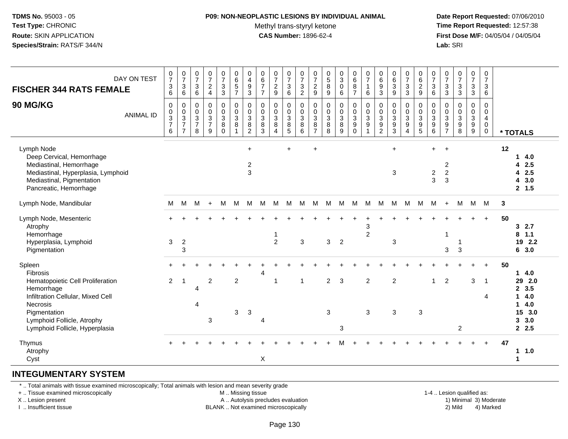### **P09: NON-NEOPLASTIC LESIONS BY INDIVIDUAL ANIMAL**Methyl trans-styryl ketone<br>CAS Number: 1896-62-4

 **Date Report Requested:** 07/06/2010 **Time Report Requested:** 12:57:38 **First Dose M/F:** 04/05/04 / 04/05/04<br>**Lab:** SRI **Lab:** SRI

| DAY ON TEST<br><b>FISCHER 344 RATS FEMALE</b><br>90 MG/KG<br><b>ANIMAL ID</b>                                                                                                                                       | $\pmb{0}$<br>$\overline{7}$<br>$\ensuremath{\mathsf{3}}$<br>6<br>$\pmb{0}$<br>$_{3}^{\rm 0}$<br>$\overline{7}$ | $\begin{array}{c} 0 \\ 7 \end{array}$<br>$\sqrt{3}$<br>6<br>$\pmb{0}$<br>$\frac{0}{3}$<br>$\overline{7}$ | $\frac{0}{7}$<br>$\mathbf{3}$<br>6<br>0<br>$\mathbf 0$<br>$\ensuremath{\mathsf{3}}$<br>$\overline{7}$ | $\frac{0}{7}$<br>$\sqrt{2}$<br>$\overline{4}$<br>$\mathbf 0$<br>$\mathbf 0$<br>$\ensuremath{\mathsf{3}}$<br>$\overline{7}$ | $\frac{0}{7}$<br>$\mathbf 3$<br>3<br>0<br>$\mathbf 0$<br>$\ensuremath{\mathsf{3}}$<br>8 | $\pmb{0}$<br>6<br>$5\,$<br>$\overline{7}$<br>$\pmb{0}$<br>$\pmb{0}$<br>$\overline{3}$<br>8 | $\pmb{0}$<br>$\overline{4}$<br>$\boldsymbol{9}$<br>3<br>$\pmb{0}$<br>$\pmb{0}$<br>$\ensuremath{\mathsf{3}}$<br>$\bf8$ | $\begin{array}{c} 0 \\ 6 \end{array}$<br>$\overline{7}$<br>$\overline{7}$<br>$\pmb{0}$<br>$\pmb{0}$<br>$\overline{3}$<br>$\bf 8$ | $\begin{matrix} 0 \\ 7 \end{matrix}$<br>$\sqrt{2}$<br>9<br>$\pmb{0}$<br>$\mathbf 0$<br>$\overline{3}$<br>8 | $\frac{0}{7}$<br>3<br>6<br>0<br>$\mathbf 0$<br>3<br>8 | $\frac{0}{7}$<br>$\ensuremath{\mathsf{3}}$<br>$\overline{2}$<br>$\,0\,$<br>$\mathbf 0$<br>$\overline{3}$<br>8 | $\frac{0}{7}$<br>$\sqrt{2}$<br>9<br>0<br>$\pmb{0}$<br>$\mathbf{3}$<br>8 | 0<br>$\sqrt{5}$<br>$\bf 8$<br>9<br>0<br>$\mathbf 0$<br>3<br>$\bf 8$ | $_{3}^{\rm 0}$<br>$\pmb{0}$<br>6<br>$\pmb{0}$<br>$\pmb{0}$<br>$\overline{3}$<br>$\bf8$ | $\begin{array}{c} 0 \\ 6 \end{array}$<br>$\bf 8$<br>$\overline{7}$<br>0<br>$\mathsf 0$<br>$\overline{3}$<br>$\boldsymbol{9}$ | $\frac{0}{7}$<br>$\mathbf{1}$<br>6<br>$\pmb{0}$<br>$\mathsf{O}\xspace$<br>$\mathbf{3}$<br>$\boldsymbol{9}$ | $_6^0$<br>9<br>3<br>0<br>$\pmb{0}$<br>$\overline{3}$<br>9 | $\pmb{0}$<br>$\,6\,$<br>$\ensuremath{\mathsf{3}}$<br>9<br>$\pmb{0}$<br>$\pmb{0}$<br>$\overline{3}$<br>$\boldsymbol{9}$ | $\begin{array}{c} 0 \\ 7 \end{array}$<br>$\ensuremath{\mathsf{3}}$<br>$\mathbf{3}$<br>$\pmb{0}$<br>$\ddot{\mathbf{0}}$<br>$\overline{3}$<br>$\boldsymbol{9}$ | $\pmb{0}$<br>$\,6$<br>$\overline{2}$<br>9<br>$\pmb{0}$<br>$\overline{0}$<br>$\overline{3}$<br>$\boldsymbol{9}$ | $\begin{matrix} 0 \\ 7 \end{matrix}$<br>$\mathbf{3}$<br>6<br>$\pmb{0}$<br>$\pmb{0}$<br>$\overline{3}$<br>$9\,$ | $\frac{0}{7}$<br>$\ensuremath{\mathsf{3}}$<br>3<br>0<br>0<br>$\ensuremath{\mathsf{3}}$<br>$\boldsymbol{9}$ | $\frac{0}{7}$<br>$\ensuremath{\mathsf{3}}$<br>3<br>0<br>$\pmb{0}$<br>$\ensuremath{\mathsf{3}}$<br>$\boldsymbol{9}$ | $\frac{0}{7}$<br>$\ensuremath{\mathsf{3}}$<br>$\mathbf{3}$<br>$\pmb{0}$<br>$\pmb{0}$<br>$\overline{3}$ | $\mathbf 0$<br>$\overline{7}$<br>$\mathbf{3}$<br>6<br>0<br>$\mathbf 0$<br>4<br>$\mathbf 0$ |    |                                                                                                      |
|---------------------------------------------------------------------------------------------------------------------------------------------------------------------------------------------------------------------|----------------------------------------------------------------------------------------------------------------|----------------------------------------------------------------------------------------------------------|-------------------------------------------------------------------------------------------------------|----------------------------------------------------------------------------------------------------------------------------|-----------------------------------------------------------------------------------------|--------------------------------------------------------------------------------------------|-----------------------------------------------------------------------------------------------------------------------|----------------------------------------------------------------------------------------------------------------------------------|------------------------------------------------------------------------------------------------------------|-------------------------------------------------------|---------------------------------------------------------------------------------------------------------------|-------------------------------------------------------------------------|---------------------------------------------------------------------|----------------------------------------------------------------------------------------|------------------------------------------------------------------------------------------------------------------------------|------------------------------------------------------------------------------------------------------------|-----------------------------------------------------------|------------------------------------------------------------------------------------------------------------------------|--------------------------------------------------------------------------------------------------------------------------------------------------------------|----------------------------------------------------------------------------------------------------------------|----------------------------------------------------------------------------------------------------------------|------------------------------------------------------------------------------------------------------------|--------------------------------------------------------------------------------------------------------------------|--------------------------------------------------------------------------------------------------------|--------------------------------------------------------------------------------------------|----|------------------------------------------------------------------------------------------------------|
|                                                                                                                                                                                                                     | 6                                                                                                              | $\overline{7}$                                                                                           | 8                                                                                                     | 9                                                                                                                          | $\Omega$                                                                                | $\overline{1}$                                                                             | $\overline{2}$                                                                                                        | $\mathbf{3}$                                                                                                                     | $\overline{4}$                                                                                             | 5                                                     | 6                                                                                                             | $\overline{7}$                                                          | 8                                                                   | 9                                                                                      | $\mathbf 0$                                                                                                                  | 1                                                                                                          | $\overline{2}$                                            | $\overline{3}$                                                                                                         | $\overline{4}$                                                                                                                                               | $\overline{5}$                                                                                                 | $\,6\,$                                                                                                        | $\overline{7}$                                                                                             | 8                                                                                                                  | $\frac{9}{9}$                                                                                          | $\mathbf 0$                                                                                |    | * TOTALS                                                                                             |
| Lymph Node<br>Deep Cervical, Hemorrhage<br>Mediastinal, Hemorrhage<br>Mediastinal, Hyperplasia, Lymphoid<br>Mediastinal, Pigmentation<br>Pancreatic, Hemorrhage                                                     |                                                                                                                |                                                                                                          |                                                                                                       |                                                                                                                            |                                                                                         |                                                                                            | $\ddot{}$<br>$\overline{2}$<br>$\mathbf{3}$                                                                           |                                                                                                                                  |                                                                                                            | $\ddot{}$                                             |                                                                                                               | $\ddot{}$                                                               |                                                                     |                                                                                        |                                                                                                                              |                                                                                                            |                                                           | $+$<br>3                                                                                                               |                                                                                                                                                              |                                                                                                                | $+$<br>$\boldsymbol{2}$<br>3                                                                                   | $+$<br>$\boldsymbol{2}$<br>$\overline{2}$<br>3                                                             |                                                                                                                    |                                                                                                        |                                                                                            | 12 | 4.0<br>$\mathbf{1}$<br>2.5<br>4<br>2.5<br>4<br>3.0<br>4<br>2, 1.5                                    |
| Lymph Node, Mandibular                                                                                                                                                                                              | М                                                                                                              | М                                                                                                        | м                                                                                                     | $\ddot{}$                                                                                                                  | M                                                                                       | M                                                                                          | M                                                                                                                     | M                                                                                                                                | м                                                                                                          | М                                                     | M                                                                                                             | M                                                                       | м                                                                   | м                                                                                      | M                                                                                                                            | M                                                                                                          | M                                                         | M                                                                                                                      | м                                                                                                                                                            | м                                                                                                              | M                                                                                                              | $\ddot{}$                                                                                                  | M                                                                                                                  | M M                                                                                                    |                                                                                            | 3  |                                                                                                      |
| Lymph Node, Mesenteric<br>Atrophy<br>Hemorrhage<br>Hyperplasia, Lymphoid<br>Pigmentation                                                                                                                            | 3                                                                                                              | $\overline{2}$<br>3                                                                                      |                                                                                                       |                                                                                                                            |                                                                                         |                                                                                            |                                                                                                                       |                                                                                                                                  | 1<br>$\overline{2}$                                                                                        |                                                       | 3                                                                                                             |                                                                         | 3                                                                   | $\overline{2}$                                                                         |                                                                                                                              | 3<br>$\overline{2}$                                                                                        |                                                           | $\mathbf{3}$                                                                                                           |                                                                                                                                                              |                                                                                                                |                                                                                                                | $\mathbf{1}$<br>3                                                                                          | 3                                                                                                                  |                                                                                                        | $\ddot{}$                                                                                  | 50 | 32.7<br>1.1<br>8<br>19 2.2<br>63.0                                                                   |
| Spleen<br><b>Fibrosis</b><br>Hematopoietic Cell Proliferation<br>Hemorrhage<br>Infiltration Cellular, Mixed Cell<br><b>Necrosis</b><br>Pigmentation<br>Lymphoid Follicle, Atrophy<br>Lymphoid Follicle, Hyperplasia | $\overline{2}$                                                                                                 | -1                                                                                                       | 4<br>$\overline{4}$                                                                                   | $\overline{c}$<br>3                                                                                                        |                                                                                         | $\overline{2}$<br>$\mathbf{3}$                                                             | 3                                                                                                                     | 4<br>4                                                                                                                           | $\overline{1}$                                                                                             |                                                       | $\overline{1}$                                                                                                |                                                                         | $\overline{c}$<br>$\mathbf{3}$                                      | 3<br>$\mathbf{3}$                                                                      |                                                                                                                              | $\overline{2}$<br>3                                                                                        |                                                           | $\overline{c}$<br>$\mathbf{3}$                                                                                         |                                                                                                                                                              | 3                                                                                                              | 1                                                                                                              | $\overline{2}$                                                                                             | $\overline{2}$                                                                                                     | 3                                                                                                      | $\ddot{}$<br>$\overline{1}$<br>4                                                           | 50 | 4.0<br>1<br>2.0<br>29<br>3.5<br>$\mathbf{2}$<br>4.0<br>1<br>4.0<br>1<br>15<br>3.0<br>3.0<br>3<br>2.5 |
| Thymus<br>Atrophy<br>Cyst                                                                                                                                                                                           |                                                                                                                |                                                                                                          |                                                                                                       |                                                                                                                            |                                                                                         |                                                                                            |                                                                                                                       | X                                                                                                                                |                                                                                                            |                                                       |                                                                                                               |                                                                         |                                                                     |                                                                                        |                                                                                                                              |                                                                                                            |                                                           |                                                                                                                        |                                                                                                                                                              |                                                                                                                |                                                                                                                |                                                                                                            |                                                                                                                    |                                                                                                        | $+$                                                                                        | 47 | 1.0<br>1                                                                                             |

#### **INTEGUMENTARY SYSTEM**

\* .. Total animals with tissue examined microscopically; Total animals with lesion and mean severity grade

+ .. Tissue examined microscopically

X .. Lesion present

I .. Insufficient tissue

M .. Missing tissue

A .. Autolysis precludes evaluation

BLANK .. Not examined microscopically 2) Mild 4) Marked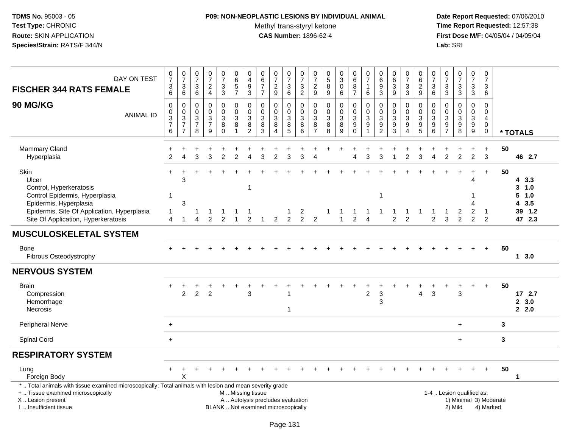## **P09: NON-NEOPLASTIC LESIONS BY INDIVIDUAL ANIMAL**Methyl trans-styryl ketone<br>CAS Number: 1896-62-4

| DAY ON TEST<br><b>FISCHER 344 RATS FEMALE</b>                                                                                                                                                 | $\frac{0}{7}$<br>$^3$ 6                                                      | $\frac{0}{7}$<br>$\ensuremath{\mathsf{3}}$<br>6                                  | 0<br>$\overline{7}$<br>3<br>6                              | $\frac{0}{7}$<br>$\frac{2}{4}$                                                 | $\frac{0}{7}$<br>$\frac{3}{3}$                                                        | 0<br>$\overline{6}$<br>$\frac{5}{7}$                                                          | $\mathbf 0$<br>$\overline{4}$<br>$^9_3$                                                                   | 0<br>$6\phantom{a}$<br>$\overline{7}$<br>$\overline{7}$ | $\frac{0}{7}$<br>$\overline{\mathbf{c}}$<br>9                 | 0<br>$\overline{7}$<br>$\sqrt{3}$<br>6   | $\frac{0}{7}$<br>$\frac{3}{2}$             | $\frac{0}{7}$<br>$\frac{2}{9}$                                       | 0<br>$\overline{5}$<br>8<br>$\boldsymbol{9}$ | $_{3}^{\rm 0}$<br>$\pmb{0}$<br>6                                        | 0<br>$\overline{6}$<br>$\begin{array}{c} 8 \\ 7 \end{array}$    | 0<br>$\overline{7}$<br>1<br>6             | $\begin{array}{c} 0 \\ 6 \end{array}$<br>$\boldsymbol{9}$<br>3 | $\begin{array}{c} 0 \\ 6 \end{array}$<br>$\mathbf 3$<br>$\boldsymbol{9}$ | $\begin{array}{c} 0 \\ 7 \end{array}$<br>$\ensuremath{\mathsf{3}}$<br>$\mathbf{3}$ | 0<br>$\overline{6}$<br>$\frac{2}{9}$                                                   | 0<br>$\overline{7}$<br>$\ensuremath{\mathsf{3}}$<br>6                               | 0<br>$\overline{7}$<br>3<br>$\sqrt{3}$           | $\begin{array}{c} 0 \\ 7 \end{array}$<br>$\frac{3}{3}$                         | $\frac{0}{7}$<br>3<br>3         | $\frac{0}{7}$<br>$\mathbf{3}$<br>$6\phantom{1}6$                      |                        |                                                     |
|-----------------------------------------------------------------------------------------------------------------------------------------------------------------------------------------------|------------------------------------------------------------------------------|----------------------------------------------------------------------------------|------------------------------------------------------------|--------------------------------------------------------------------------------|---------------------------------------------------------------------------------------|-----------------------------------------------------------------------------------------------|-----------------------------------------------------------------------------------------------------------|---------------------------------------------------------|---------------------------------------------------------------|------------------------------------------|--------------------------------------------|----------------------------------------------------------------------|----------------------------------------------|-------------------------------------------------------------------------|-----------------------------------------------------------------|-------------------------------------------|----------------------------------------------------------------|--------------------------------------------------------------------------|------------------------------------------------------------------------------------|----------------------------------------------------------------------------------------|-------------------------------------------------------------------------------------|--------------------------------------------------|--------------------------------------------------------------------------------|---------------------------------|-----------------------------------------------------------------------|------------------------|-----------------------------------------------------|
| <b>90 MG/KG</b><br><b>ANIMAL ID</b>                                                                                                                                                           | $\mathbf 0$<br>$\boldsymbol{0}$<br>$\overline{3}$<br>$\overline{7}$<br>$\,6$ | $\mathbf 0$<br>$\mathbf 0$<br>$\overline{3}$<br>$\overline{7}$<br>$\overline{7}$ | 0<br>0<br>$\ensuremath{\mathsf{3}}$<br>$\overline{7}$<br>8 | $\mathbf 0$<br>$\mathbf 0$<br>$\ensuremath{\mathsf{3}}$<br>$\overline{7}$<br>9 | $\mathsf 0$<br>0<br>$\ensuremath{\mathsf{3}}$<br>$\begin{matrix} 8 \\ 0 \end{matrix}$ | 0<br>0<br>$\sqrt{3}$<br>8                                                                     | $\mathbf 0$<br>$\mathbf 0$<br>$\ensuremath{\mathsf{3}}$<br>$\begin{smallmatrix} 8 \\ 2 \end{smallmatrix}$ | 0<br>$\mathbf 0$<br>3<br>8<br>3                         | 0<br>$\mathbf 0$<br>$\sqrt{3}$<br>8<br>$\boldsymbol{\Lambda}$ | 0<br>$\mathbf 0$<br>$\sqrt{3}$<br>$^8_5$ | 0<br>$\pmb{0}$<br>$\overline{3}$<br>$^8_6$ | $\mathbf 0$<br>$\,0\,$<br>$\ensuremath{\mathsf{3}}$<br>$\frac{8}{7}$ | $\mathbf 0$<br>0<br>3<br>8<br>8              | $\mathbf 0$<br>$\pmb{0}$<br>$\overline{3}$<br>$\bf 8$<br>$\overline{9}$ | 0<br>0<br>$\ensuremath{\mathsf{3}}$<br>9<br>$\ddot{\mathbf{0}}$ | $\mathbf 0$<br>$\mathbf 0$<br>3<br>9<br>1 | 0<br>$\pmb{0}$<br>$\ensuremath{\mathsf{3}}$<br>$\frac{9}{2}$   | $\mathbf 0$<br>0<br>$\sqrt{3}$<br>$\frac{9}{3}$                          | 0<br>0<br>$\ensuremath{\mathsf{3}}$<br>$\boldsymbol{9}$<br>$\boldsymbol{\Lambda}$  | $\mathbf 0$<br>0<br>$\ensuremath{\mathsf{3}}$<br>$\begin{array}{c} 9 \\ 5 \end{array}$ | $\mathbf 0$<br>$\mathbf 0$<br>$\mathbf{3}$<br>$\begin{array}{c} 9 \\ 6 \end{array}$ | $\mathbf 0$<br>$\mathbf 0$<br>3<br>$\frac{9}{7}$ | $\mathbf 0$<br>$\mathbf 0$<br>$\ensuremath{\mathsf{3}}$<br>9<br>$\overline{8}$ | $\mathbf 0$<br>0<br>3<br>9<br>9 | $\mathbf 0$<br>0<br>$\overline{4}$<br>$\mathbf 0$<br>$\boldsymbol{0}$ |                        | * TOTALS                                            |
| Mammary Gland<br>Hyperplasia                                                                                                                                                                  | $\overline{2}$                                                               |                                                                                  | 3                                                          | 3                                                                              | $\overline{2}$                                                                        | $\overline{c}$                                                                                | 4                                                                                                         | 3                                                       | 2                                                             | 3                                        | 3                                          |                                                                      |                                              |                                                                         | 4                                                               | 3                                         | 3                                                              |                                                                          | 2                                                                                  | 3                                                                                      |                                                                                     | $\overline{2}$                                   | $\mathcal{P}$                                                                  | $\overline{2}$                  | $\ddot{}$<br>3                                                        | 50                     | 46 2.7                                              |
| Skin<br>Ulcer<br>Control, Hyperkeratosis<br>Control Epidermis, Hyperplasia<br>Epidermis, Hyperplasia<br>Epidermis, Site Of Application, Hyperplasia<br>Site Of Application, Hyperkeratosis    | -1<br>-1<br>4                                                                | 3<br>3<br>1                                                                      | 1<br>4                                                     | $\mathfrak{p}$                                                                 | 2                                                                                     |                                                                                               | -1<br>$\overline{2}$                                                                                      |                                                         | $\overline{2}$                                                | $\overline{2}$                           | $\mathbf{z}$<br>$\overline{2}$             | 2                                                                    |                                              | -1                                                                      | $\overline{2}$                                                  | $\overline{A}$                            | $\mathbf{1}$                                                   | $\overline{2}$                                                           | $\overline{2}$                                                                     |                                                                                        | $\overline{2}$                                                                      | 3                                                | 2<br>2                                                                         | 4<br>-1<br>Δ<br>2<br>2          | $+$<br>-1<br>2                                                        | 50                     | 43.3<br>3, 1.0<br>5 1.0<br>43.5<br>39 1.2<br>47 2.3 |
| <b>MUSCULOSKELETAL SYSTEM</b>                                                                                                                                                                 |                                                                              |                                                                                  |                                                            |                                                                                |                                                                                       |                                                                                               |                                                                                                           |                                                         |                                                               |                                          |                                            |                                                                      |                                              |                                                                         |                                                                 |                                           |                                                                |                                                                          |                                                                                    |                                                                                        |                                                                                     |                                                  |                                                                                |                                 |                                                                       |                        |                                                     |
| <b>Bone</b><br>Fibrous Osteodystrophy                                                                                                                                                         |                                                                              |                                                                                  |                                                            |                                                                                |                                                                                       |                                                                                               |                                                                                                           |                                                         |                                                               |                                          |                                            |                                                                      |                                              |                                                                         |                                                                 |                                           |                                                                |                                                                          |                                                                                    |                                                                                        |                                                                                     |                                                  |                                                                                |                                 | $\ddot{}$                                                             | 50                     | 13.0                                                |
| <b>NERVOUS SYSTEM</b>                                                                                                                                                                         |                                                                              |                                                                                  |                                                            |                                                                                |                                                                                       |                                                                                               |                                                                                                           |                                                         |                                                               |                                          |                                            |                                                                      |                                              |                                                                         |                                                                 |                                           |                                                                |                                                                          |                                                                                    |                                                                                        |                                                                                     |                                                  |                                                                                |                                 |                                                                       |                        |                                                     |
| <b>Brain</b><br>Compression<br>Hemorrhage<br><b>Necrosis</b>                                                                                                                                  | $\pm$                                                                        | $\overline{2}$                                                                   | 2                                                          | $\overline{2}$                                                                 |                                                                                       |                                                                                               | 3                                                                                                         |                                                         |                                                               | 1                                        |                                            |                                                                      |                                              |                                                                         |                                                                 | 2                                         | 3<br>3                                                         |                                                                          |                                                                                    | 4                                                                                      | 3                                                                                   |                                                  | 3                                                                              |                                 | $\ddot{}$                                                             | 50                     | 172.7<br>2, 3.0<br>2.0                              |
| Peripheral Nerve                                                                                                                                                                              | $\ddot{}$                                                                    |                                                                                  |                                                            |                                                                                |                                                                                       |                                                                                               |                                                                                                           |                                                         |                                                               |                                          |                                            |                                                                      |                                              |                                                                         |                                                                 |                                           |                                                                |                                                                          |                                                                                    |                                                                                        |                                                                                     |                                                  | $+$                                                                            |                                 |                                                                       | 3                      |                                                     |
| Spinal Cord                                                                                                                                                                                   | $+$                                                                          |                                                                                  |                                                            |                                                                                |                                                                                       |                                                                                               |                                                                                                           |                                                         |                                                               |                                          |                                            |                                                                      |                                              |                                                                         |                                                                 |                                           |                                                                |                                                                          |                                                                                    |                                                                                        |                                                                                     |                                                  | $\ddot{}$                                                                      |                                 |                                                                       | 3                      |                                                     |
| <b>RESPIRATORY SYSTEM</b>                                                                                                                                                                     |                                                                              |                                                                                  |                                                            |                                                                                |                                                                                       |                                                                                               |                                                                                                           |                                                         |                                                               |                                          |                                            |                                                                      |                                              |                                                                         |                                                                 |                                           |                                                                |                                                                          |                                                                                    |                                                                                        |                                                                                     |                                                  |                                                                                |                                 |                                                                       |                        |                                                     |
| Lung<br>Foreign Body                                                                                                                                                                          | $+$                                                                          | $\div$<br>x                                                                      |                                                            |                                                                                |                                                                                       |                                                                                               |                                                                                                           |                                                         |                                                               |                                          |                                            |                                                                      |                                              |                                                                         |                                                                 |                                           |                                                                |                                                                          |                                                                                    |                                                                                        |                                                                                     |                                                  |                                                                                |                                 | $\ddot{}$                                                             | 50                     | $\mathbf 1$                                         |
| *  Total animals with tissue examined microscopically; Total animals with lesion and mean severity grade<br>+  Tissue examined microscopically<br>X  Lesion present<br>I  Insufficient tissue |                                                                              |                                                                                  |                                                            |                                                                                |                                                                                       | M  Missing tissue<br>A  Autolysis precludes evaluation<br>BLANK  Not examined microscopically |                                                                                                           |                                                         |                                                               |                                          |                                            |                                                                      |                                              |                                                                         |                                                                 |                                           |                                                                |                                                                          |                                                                                    |                                                                                        |                                                                                     |                                                  | 1-4  Lesion qualified as:<br>2) Mild                                           |                                 | 4) Marked                                                             | 1) Minimal 3) Moderate |                                                     |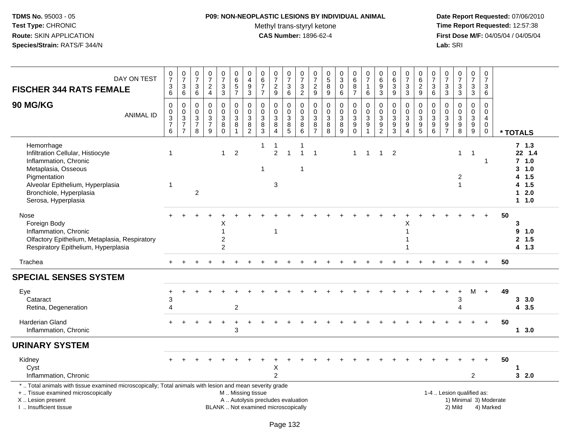## **P09: NON-NEOPLASTIC LESIONS BY INDIVIDUAL ANIMAL**Methyl trans-styryl ketone<br>CAS Number: 1896-62-4

| DAY ON TEST<br><b>FISCHER 344 RATS FEMALE</b>                                                                                                                                                         | 0736                                        | $\frac{0}{7}$<br>$\sqrt{3}$<br>$6\phantom{a}$     | $\begin{smallmatrix} 0\\7 \end{smallmatrix}$<br>$\ensuremath{\mathsf{3}}$<br>$\,6\,$ | $\begin{array}{c} 0 \\ 7 \end{array}$<br>$\frac{2}{4}$ | $\begin{smallmatrix}0\\7\end{smallmatrix}$<br>3<br>$\overline{3}$ | $\pmb{0}$<br>$6\phantom{a}$<br>$\sqrt{5}$<br>$\overline{7}$         | 0<br>$\overline{\mathbf{4}}$<br>$\boldsymbol{9}$<br>3               | $\pmb{0}$<br>$\overline{6}$<br>$\overline{7}$<br>$\overline{7}$ | $\begin{array}{c} 0 \\ 7 \end{array}$<br>$\frac{2}{9}$                                   | $\frac{0}{7}$<br>$\ensuremath{\mathsf{3}}$<br>6                       | $\frac{0}{7}$<br>$\frac{3}{2}$                                 | $\pmb{0}$<br>$\overline{7}$<br>$\frac{2}{9}$                             | $\begin{array}{c} 0 \\ 5 \end{array}$<br>8<br>$9\,$ | $_3^0$<br>$\pmb{0}$<br>6                             | $_{6}^{\rm 0}$<br>$\bf8$<br>$\overline{7}$                                       | $\begin{array}{c} 0 \\ 7 \end{array}$<br>$\mathbf{1}$<br>6      | $_{6}^{\rm 0}$<br>$\boldsymbol{9}$<br>$\overline{3}$ | $\pmb{0}$<br>$\overline{6}$<br>$\sqrt{3}$<br>$\boldsymbol{9}$     | $\frac{0}{7}$<br>3<br>$\overline{3}$              | 0<br>$\overline{6}$<br>$\frac{2}{9}$                                   | $\frac{0}{7}$<br>$\ensuremath{\mathsf{3}}$<br>$6\phantom{a}$ | $\begin{smallmatrix}0\\7\end{smallmatrix}$<br>$\ensuremath{\mathsf{3}}$<br>$\overline{3}$ | $\frac{0}{7}$<br>$\frac{3}{3}$            | $\begin{array}{c} 0 \\ 7 \end{array}$<br>$_3^3$     | $\frac{0}{7}$<br>$\sqrt{3}$<br>6                                           |                        |                                                                            |
|-------------------------------------------------------------------------------------------------------------------------------------------------------------------------------------------------------|---------------------------------------------|---------------------------------------------------|--------------------------------------------------------------------------------------|--------------------------------------------------------|-------------------------------------------------------------------|---------------------------------------------------------------------|---------------------------------------------------------------------|-----------------------------------------------------------------|------------------------------------------------------------------------------------------|-----------------------------------------------------------------------|----------------------------------------------------------------|--------------------------------------------------------------------------|-----------------------------------------------------|------------------------------------------------------|----------------------------------------------------------------------------------|-----------------------------------------------------------------|------------------------------------------------------|-------------------------------------------------------------------|---------------------------------------------------|------------------------------------------------------------------------|--------------------------------------------------------------|-------------------------------------------------------------------------------------------|-------------------------------------------|-----------------------------------------------------|----------------------------------------------------------------------------|------------------------|----------------------------------------------------------------------------|
| 90 MG/KG<br><b>ANIMAL ID</b>                                                                                                                                                                          | $\mathbf 0$<br>$\pmb{0}$<br>$\frac{3}{7}$ 6 | 0<br>$\pmb{0}$<br>$\frac{3}{7}$<br>$\overline{7}$ | 0<br>0<br>$\sqrt{3}$<br>$\overline{7}$<br>8                                          | $\mathbf 0$<br>$\pmb{0}$<br>$\frac{3}{7}$<br>9         | 0<br>$\mathsf 0$<br>$\sqrt{3}$<br>8<br>$\mathbf 0$                | $\mathbf 0$<br>$\mathbf 0$<br>$\sqrt{3}$<br>$\bf 8$<br>$\mathbf{1}$ | $\mathbf 0$<br>$\mathbf 0$<br>$\mathfrak{S}$<br>8<br>$\overline{2}$ | $\mathbf 0$<br>$\mathbf 0$<br>$\mathfrak{Z}$<br>$^8_3$          | $\mathbf 0$<br>$\mathbf 0$<br>$\ensuremath{\mathsf{3}}$<br>$\,$ 8 $\,$<br>$\overline{4}$ | $\Omega$<br>$\mathbf 0$<br>3<br>$\begin{array}{c} 8 \\ 5 \end{array}$ | $\mathbf 0$<br>$\begin{array}{c} 0 \\ 3 \\ 8 \\ 6 \end{array}$ | $\mathbf 0$<br>$\mathbf 0$<br>$\ensuremath{\mathsf{3}}$<br>$\frac{8}{7}$ | $\mathbf 0$<br>$\mathbf 0$<br>$\sqrt{3}$<br>8<br>8  | $\mathbf 0$<br>$\mathsf 0$<br>$\mathbf{3}$<br>8<br>9 | $\mathbf 0$<br>$\mathbf 0$<br>$\mathbf{3}$<br>$\boldsymbol{9}$<br>$\overline{0}$ | $\mathbf 0$<br>$\pmb{0}$<br>$\sqrt{3}$<br>$\boldsymbol{9}$<br>1 | $\mathbf 0$<br>0<br>$\frac{3}{9}$                    | $\mathbf 0$<br>$\mathbf 0$<br>$\sqrt{3}$<br>$\boldsymbol{9}$<br>3 | 0<br>$\pmb{0}$<br>$\frac{3}{9}$<br>$\overline{4}$ | $\Omega$<br>0<br>$\mathbf{3}$<br>$\begin{array}{c} 9 \\ 5 \end{array}$ | $\mathbf 0$<br>$\mathbf 0$<br>3<br>9<br>$\overline{6}$       | $\mathbf 0$<br>0<br>$\ensuremath{\mathsf{3}}$<br>$\frac{9}{7}$                            | $\mathbf 0$<br>$\pmb{0}$<br>$\frac{3}{9}$ | $\mathbf 0$<br>$\mathsf{O}\xspace$<br>$\frac{3}{9}$ | $\mathbf 0$<br>$\mathbf 0$<br>$\overline{4}$<br>$\mathbf 0$<br>$\mathbf 0$ |                        | * TOTALS                                                                   |
| Hemorrhage<br>Infiltration Cellular, Histiocyte<br>Inflammation, Chronic<br>Metaplasia, Osseous<br>Pigmentation<br>Alveolar Epithelium, Hyperplasia<br>Bronchiole, Hyperplasia<br>Serosa, Hyperplasia | 1<br>-1                                     |                                                   | 2                                                                                    |                                                        | $\mathbf 1$                                                       | $\overline{c}$                                                      |                                                                     | -1<br>-1                                                        | -1<br>$\overline{2}$<br>3                                                                | $\overline{1}$                                                        | -1<br>$\overline{1}$<br>-1                                     | $\mathbf{1}$                                                             |                                                     |                                                      | $\mathbf{1}$                                                                     | $\overline{1}$                                                  | $\mathbf{1}$                                         | $\overline{2}$                                                    |                                                   |                                                                        |                                                              |                                                                                           | 1<br>$\overline{2}$<br>1                  | -1                                                  | 1                                                                          |                        | 7, 1.3<br>22 1.4<br>$7$ 1.0<br>3, 1.0<br>4 1.5<br>4 1.5<br>$12.0$<br>1 1.0 |
| Nose<br>Foreign Body<br>Inflammation, Chronic<br>Olfactory Epithelium, Metaplasia, Respiratory<br>Respiratory Epithelium, Hyperplasia                                                                 |                                             |                                                   |                                                                                      |                                                        | X<br>1<br>$\overline{c}$<br>$\overline{2}$                        |                                                                     |                                                                     |                                                                 | $\overline{1}$                                                                           |                                                                       |                                                                |                                                                          |                                                     |                                                      |                                                                                  |                                                                 |                                                      |                                                                   | х<br>1                                            |                                                                        |                                                              |                                                                                           |                                           |                                                     |                                                                            | 50                     | 3<br>9 1.0<br>2, 1.5<br>4 1.3                                              |
| Trachea                                                                                                                                                                                               |                                             |                                                   |                                                                                      |                                                        |                                                                   |                                                                     |                                                                     |                                                                 |                                                                                          |                                                                       |                                                                |                                                                          |                                                     |                                                      |                                                                                  |                                                                 |                                                      |                                                                   |                                                   |                                                                        |                                                              |                                                                                           |                                           |                                                     | $+$                                                                        | 50                     |                                                                            |
| <b>SPECIAL SENSES SYSTEM</b>                                                                                                                                                                          |                                             |                                                   |                                                                                      |                                                        |                                                                   |                                                                     |                                                                     |                                                                 |                                                                                          |                                                                       |                                                                |                                                                          |                                                     |                                                      |                                                                                  |                                                                 |                                                      |                                                                   |                                                   |                                                                        |                                                              |                                                                                           |                                           |                                                     |                                                                            |                        |                                                                            |
| Eye<br>Cataract<br>Retina, Degeneration                                                                                                                                                               | 3<br>4                                      |                                                   |                                                                                      |                                                        |                                                                   | $\overline{c}$                                                      |                                                                     |                                                                 |                                                                                          |                                                                       |                                                                |                                                                          |                                                     |                                                      |                                                                                  |                                                                 |                                                      |                                                                   |                                                   |                                                                        |                                                              |                                                                                           | 3<br>$\boldsymbol{\Delta}$                | M                                                   | $+$                                                                        | 49                     | 3, 3.0<br>4 3.5                                                            |
| Harderian Gland<br>Inflammation, Chronic                                                                                                                                                              |                                             |                                                   |                                                                                      |                                                        |                                                                   | 3                                                                   |                                                                     |                                                                 |                                                                                          |                                                                       |                                                                |                                                                          |                                                     |                                                      |                                                                                  |                                                                 |                                                      |                                                                   |                                                   |                                                                        |                                                              |                                                                                           |                                           |                                                     | $+$                                                                        | 50                     | 13.0                                                                       |
| <b>URINARY SYSTEM</b>                                                                                                                                                                                 |                                             |                                                   |                                                                                      |                                                        |                                                                   |                                                                     |                                                                     |                                                                 |                                                                                          |                                                                       |                                                                |                                                                          |                                                     |                                                      |                                                                                  |                                                                 |                                                      |                                                                   |                                                   |                                                                        |                                                              |                                                                                           |                                           |                                                     |                                                                            |                        |                                                                            |
| Kidney<br>Cyst<br>Inflammation, Chronic                                                                                                                                                               |                                             |                                                   |                                                                                      |                                                        |                                                                   |                                                                     |                                                                     |                                                                 | Х<br>$\mathcal{P}$                                                                       |                                                                       |                                                                |                                                                          |                                                     |                                                      |                                                                                  |                                                                 |                                                      |                                                                   |                                                   |                                                                        |                                                              |                                                                                           |                                           | $\overline{2}$                                      |                                                                            | 50                     | 32.0                                                                       |
| *  Total animals with tissue examined microscopically; Total animals with lesion and mean severity grade<br>+  Tissue examined microscopically<br>X  Lesion present<br>I. Insufficient tissue         |                                             |                                                   |                                                                                      |                                                        | BLANK  Not examined microscopically                               | M  Missing tissue                                                   |                                                                     |                                                                 | A  Autolysis precludes evaluation                                                        |                                                                       |                                                                |                                                                          |                                                     |                                                      |                                                                                  |                                                                 |                                                      |                                                                   |                                                   |                                                                        |                                                              |                                                                                           | 1-4  Lesion qualified as:<br>2) Mild      |                                                     | 4) Marked                                                                  | 1) Minimal 3) Moderate |                                                                            |